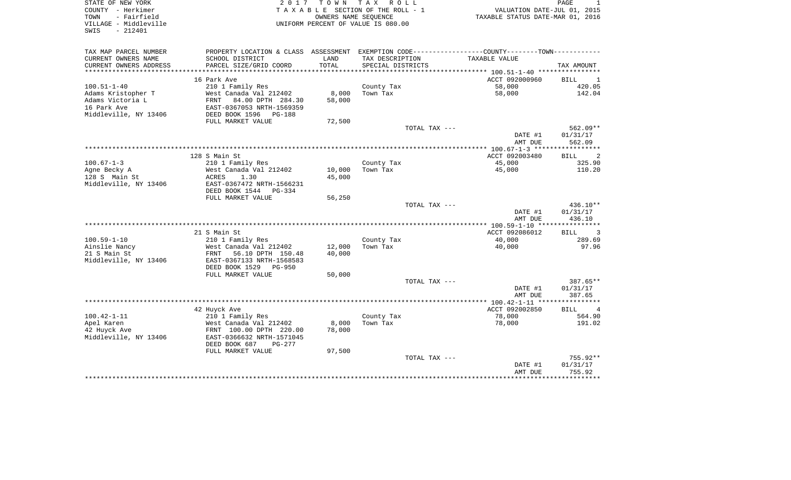| STATE OF NEW YORK<br>COUNTY - Herkimer                            | 2017                                                                                            | TOWN TAX | R O L L<br>TAXABLE SECTION OF THE ROLL - 1                 | VALUATION DATE-JUL 01, 2015      | PAGE<br>1                     |
|-------------------------------------------------------------------|-------------------------------------------------------------------------------------------------|----------|------------------------------------------------------------|----------------------------------|-------------------------------|
| - Fairfield<br>TOWN<br>VILLAGE - Middleville<br>$-212401$<br>SWIS |                                                                                                 |          | OWNERS NAME SEQUENCE<br>UNIFORM PERCENT OF VALUE IS 080.00 | TAXABLE STATUS DATE-MAR 01, 2016 |                               |
| TAX MAP PARCEL NUMBER                                             | PROPERTY LOCATION & CLASS ASSESSMENT EXEMPTION CODE----------------COUNTY--------TOWN---------- |          |                                                            |                                  |                               |
| CURRENT OWNERS NAME                                               | SCHOOL DISTRICT                                                                                 | LAND     | TAX DESCRIPTION                                            | TAXABLE VALUE                    |                               |
| CURRENT OWNERS ADDRESS                                            | PARCEL SIZE/GRID COORD                                                                          | TOTAL    | SPECIAL DISTRICTS                                          |                                  | TAX AMOUNT                    |
| ************************                                          |                                                                                                 |          |                                                            |                                  |                               |
|                                                                   | 16 Park Ave                                                                                     |          |                                                            | ACCT 092000960                   | BILL<br>1                     |
| $100.51 - 1 - 40$<br>Adams Kristopher T                           | 210 1 Family Res<br>West Canada Val 212402                                                      | 8,000    | County Tax<br>Town Tax                                     | 58,000<br>58,000                 | 420.05<br>142.04              |
| Adams Victoria L                                                  | 84.00 DPTH 284.30<br>FRNT                                                                       | 58,000   |                                                            |                                  |                               |
| 16 Park Ave                                                       | EAST-0367053 NRTH-1569359                                                                       |          |                                                            |                                  |                               |
| Middleville, NY 13406                                             | DEED BOOK 1596<br>PG-188                                                                        |          |                                                            |                                  |                               |
|                                                                   | FULL MARKET VALUE                                                                               | 72,500   |                                                            |                                  |                               |
|                                                                   |                                                                                                 |          | TOTAL TAX ---                                              |                                  | 562.09**                      |
|                                                                   |                                                                                                 |          |                                                            | DATE #1<br>AMT DUE               | 01/31/17<br>562.09            |
|                                                                   |                                                                                                 |          |                                                            |                                  |                               |
|                                                                   | 128 S Main St                                                                                   |          |                                                            | ACCT 092003480                   | 2<br><b>BILL</b>              |
| $100.67 - 1 - 3$                                                  | 210 1 Family Res                                                                                |          | County Tax                                                 | 45,000                           | 325.90                        |
| Agne Becky A                                                      | West Canada Val 212402                                                                          | 10,000   | Town Tax                                                   | 45,000                           | 110.20                        |
| 128 S Main St                                                     | ACRES<br>1.30                                                                                   | 45,000   |                                                            |                                  |                               |
| Middleville, NY 13406                                             | EAST-0367472 NRTH-1566231                                                                       |          |                                                            |                                  |                               |
|                                                                   | DEED BOOK 1544<br>PG-334                                                                        |          |                                                            |                                  |                               |
|                                                                   | FULL MARKET VALUE                                                                               | 56,250   |                                                            |                                  |                               |
|                                                                   |                                                                                                 |          | TOTAL TAX ---                                              |                                  | 436.10**                      |
|                                                                   |                                                                                                 |          |                                                            | DATE #1<br>AMT DUE               | 01/31/17<br>436.10            |
|                                                                   |                                                                                                 |          |                                                            |                                  |                               |
|                                                                   | 21 S Main St                                                                                    |          |                                                            | ACCT 092086012                   | $\overline{3}$<br><b>BILL</b> |
| $100.59 - 1 - 10$                                                 | 210 1 Family Res                                                                                |          | County Tax                                                 | 40,000                           | 289.69                        |
| Ainslie Nancy                                                     | West Canada Val 212402                                                                          | 12,000   | Town Tax                                                   | 40,000                           | 97.96                         |
| 21 S Main St                                                      | 56.10 DPTH 150.48<br>FRNT                                                                       | 40,000   |                                                            |                                  |                               |
| Middleville, NY 13406                                             | EAST-0367133 NRTH-1568583                                                                       |          |                                                            |                                  |                               |
|                                                                   | DEED BOOK 1529<br>PG-950                                                                        |          |                                                            |                                  |                               |
|                                                                   | FULL MARKET VALUE                                                                               | 50,000   | TOTAL TAX ---                                              |                                  | 387.65**                      |
|                                                                   |                                                                                                 |          |                                                            | DATE #1                          | 01/31/17                      |
|                                                                   |                                                                                                 |          |                                                            | AMT DUE                          | 387.65                        |
|                                                                   |                                                                                                 |          |                                                            | ****** 100.42-1-11 ****          | **********                    |
|                                                                   | 42 Huyck Ave                                                                                    |          |                                                            | ACCT 092002850                   | <b>BILL</b><br>$\overline{4}$ |
| $100.42 - 1 - 11$                                                 | 210 1 Family Res                                                                                |          | County Tax                                                 | 78,000                           | 564.90                        |
| Apel Karen                                                        | West Canada Val 212402                                                                          | 8,000    | Town Tax                                                   | 78,000                           | 191.02                        |
| 42 Huyck Ave                                                      | FRNT 100.00 DPTH 220.00                                                                         | 78,000   |                                                            |                                  |                               |
| Middleville, NY 13406                                             | EAST-0366632 NRTH-1571045                                                                       |          |                                                            |                                  |                               |
|                                                                   | DEED BOOK 687<br>$PG-277$                                                                       |          |                                                            |                                  |                               |
|                                                                   | FULL MARKET VALUE                                                                               | 97,500   |                                                            |                                  |                               |
|                                                                   |                                                                                                 |          | TOTAL TAX ---                                              |                                  | 755.92**                      |
|                                                                   |                                                                                                 |          |                                                            | DATE #1                          | 01/31/17                      |
|                                                                   |                                                                                                 |          |                                                            | AMT DUE                          | 755.92                        |
|                                                                   |                                                                                                 |          |                                                            |                                  |                               |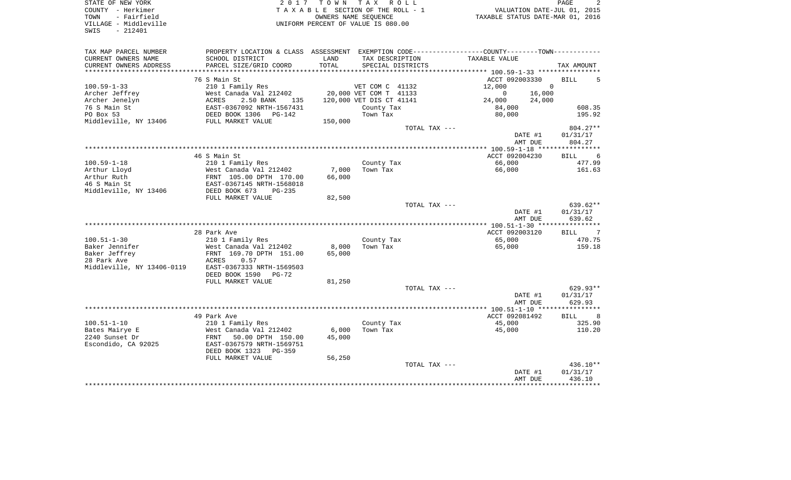| COUNTY<br>- Herkimer       |                                                                                               | T A X A B L E SECTION OF THE ROLL - 1 |                          |                   |                                  |          | VALUATION DATE-JUL 01, 2015 |
|----------------------------|-----------------------------------------------------------------------------------------------|---------------------------------------|--------------------------|-------------------|----------------------------------|----------|-----------------------------|
| - Fairfield<br>TOWN        |                                                                                               |                                       | OWNERS NAME SEQUENCE     |                   | TAXABLE STATUS DATE-MAR 01, 2016 |          |                             |
| VILLAGE - Middleville      |                                                                                               | UNIFORM PERCENT OF VALUE IS 080.00    |                          |                   |                                  |          |                             |
| $-212401$<br>SWIS          |                                                                                               |                                       |                          |                   |                                  |          |                             |
|                            |                                                                                               |                                       |                          |                   |                                  |          |                             |
|                            |                                                                                               |                                       |                          |                   |                                  |          |                             |
| TAX MAP PARCEL NUMBER      | PROPERTY LOCATION & CLASS ASSESSMENT EXEMPTION CODE---------------COUNTY-------TOWN---------- |                                       |                          |                   |                                  |          |                             |
| CURRENT OWNERS NAME        | SCHOOL DISTRICT                                                                               | LAND                                  | TAX DESCRIPTION          |                   | <b>TAXABLE VALUE</b>             |          |                             |
| CURRENT OWNERS ADDRESS     | PARCEL SIZE/GRID COORD                                                                        | TOTAL                                 |                          | SPECIAL DISTRICTS |                                  |          | TAX AMOUNT                  |
|                            |                                                                                               |                                       |                          |                   |                                  |          |                             |
|                            | 76 S Main St                                                                                  |                                       |                          |                   | ACCT 092003330                   |          | <b>BILL</b><br>5            |
| $100.59 - 1 - 33$          | 210 1 Family Res                                                                              |                                       | VET COM C 41132          |                   | 12,000                           | $\Omega$ |                             |
| Archer Jeffrey             | West Canada Val 212402                                                                        |                                       | 20,000 VET COM T 41133   |                   | $\mathbf 0$                      | 16,000   |                             |
| Archer Jenelyn             | ACRES<br>2.50 BANK<br>135                                                                     |                                       | 120,000 VET DIS CT 41141 |                   | 24,000                           | 24,000   |                             |
| 76 S Main St               | EAST-0367092 NRTH-1567431                                                                     |                                       |                          |                   | 84,000                           |          | 608.35                      |
| PO Box 53                  |                                                                                               |                                       | County Tax               |                   |                                  |          | 195.92                      |
|                            | DEED BOOK 1306<br>PG-142                                                                      |                                       | Town Tax                 |                   | 80,000                           |          |                             |
| Middleville, NY 13406      | FULL MARKET VALUE                                                                             | 150,000                               |                          |                   |                                  |          |                             |
|                            |                                                                                               |                                       |                          | TOTAL TAX ---     |                                  |          | $804.27**$                  |
|                            |                                                                                               |                                       |                          |                   |                                  | DATE #1  | 01/31/17                    |
|                            |                                                                                               |                                       |                          |                   |                                  | AMT DUE  | 804.27                      |
|                            |                                                                                               |                                       |                          |                   |                                  |          |                             |
|                            | 46 S Main St                                                                                  |                                       |                          |                   | ACCT 092004230                   |          | 6<br>BILL                   |
| $100.59 - 1 - 18$          | 210 1 Family Res                                                                              |                                       | County Tax               |                   | 66,000                           |          | 477.99                      |
| Arthur Lloyd               | West Canada Val 212402                                                                        | 7,000                                 | Town Tax                 |                   | 66,000                           |          | 161.63                      |
| Arthur Ruth                | FRNT 105.00 DPTH 170.00                                                                       | 66,000                                |                          |                   |                                  |          |                             |
| 46 S Main St               | EAST-0367145 NRTH-1568018                                                                     |                                       |                          |                   |                                  |          |                             |
| Middleville, NY 13406      | DEED BOOK 673<br>$PG-235$                                                                     |                                       |                          |                   |                                  |          |                             |
|                            | FULL MARKET VALUE                                                                             | 82,500                                |                          |                   |                                  |          |                             |
|                            |                                                                                               |                                       |                          | TOTAL TAX ---     |                                  |          | 639.62**                    |
|                            |                                                                                               |                                       |                          |                   |                                  | DATE #1  | 01/31/17                    |
|                            |                                                                                               |                                       |                          |                   |                                  |          |                             |
|                            |                                                                                               |                                       |                          |                   |                                  | AMT DUE  | 639.62                      |
|                            |                                                                                               |                                       |                          |                   |                                  |          |                             |
|                            | 28 Park Ave                                                                                   |                                       |                          |                   | ACCT 092003120                   |          | 7<br>BILL                   |
| $100.51 - 1 - 30$          | 210 1 Family Res                                                                              |                                       | County Tax               |                   | 65,000                           |          | 470.75                      |
| Baker Jennifer             | West Canada Val 212402                                                                        | 8,000                                 | Town Tax                 |                   | 65,000                           |          | 159.18                      |
| Baker Jeffrey              | FRNT 169.70 DPTH 151.00                                                                       | 65,000                                |                          |                   |                                  |          |                             |
| 28 Park Ave                | 0.57<br>ACRES                                                                                 |                                       |                          |                   |                                  |          |                             |
| Middleville, NY 13406-0119 | EAST-0367333 NRTH-1569503                                                                     |                                       |                          |                   |                                  |          |                             |
|                            | DEED BOOK 1590<br>PG-72                                                                       |                                       |                          |                   |                                  |          |                             |
|                            | FULL MARKET VALUE                                                                             | 81,250                                |                          |                   |                                  |          |                             |
|                            |                                                                                               |                                       |                          | TOTAL TAX ---     |                                  |          | 629.93**                    |
|                            |                                                                                               |                                       |                          |                   |                                  | DATE #1  | 01/31/17                    |
|                            |                                                                                               |                                       |                          |                   |                                  | AMT DUE  | 629.93                      |
|                            |                                                                                               |                                       |                          |                   |                                  |          |                             |
|                            | 49 Park Ave                                                                                   |                                       |                          |                   | ACCT 092081492                   |          | <b>BILL</b><br>8            |
|                            |                                                                                               |                                       |                          |                   |                                  |          |                             |
| $100.51 - 1 - 10$          | 210 1 Family Res                                                                              |                                       | County Tax               |                   | 45,000                           |          | 325.90                      |
| Bates Mairye E             | West Canada Val 212402                                                                        | 6,000                                 | Town Tax                 |                   | 45,000                           |          | 110.20                      |
| 2240 Sunset Dr             | 50.00 DPTH 150.00<br>FRNT                                                                     | 45,000                                |                          |                   |                                  |          |                             |
| Escondido, CA 92025        | EAST-0367579 NRTH-1569751                                                                     |                                       |                          |                   |                                  |          |                             |
|                            | DEED BOOK 1323<br>$PG-359$                                                                    |                                       |                          |                   |                                  |          |                             |
|                            | FULL MARKET VALUE                                                                             | 56,250                                |                          |                   |                                  |          |                             |
|                            |                                                                                               |                                       |                          | TOTAL TAX ---     |                                  |          | 436.10**                    |
|                            |                                                                                               |                                       |                          |                   |                                  | DATE #1  | 01/31/17                    |
|                            |                                                                                               |                                       |                          |                   |                                  | AMT DUE  | 436.10                      |
|                            |                                                                                               |                                       |                          |                   |                                  |          |                             |
|                            |                                                                                               |                                       |                          |                   |                                  |          |                             |

STATE OF NEW YORK 2 0 1 7 T O W N T A X R O L L PAGE 2

 $\overline{\mathbf{c}}$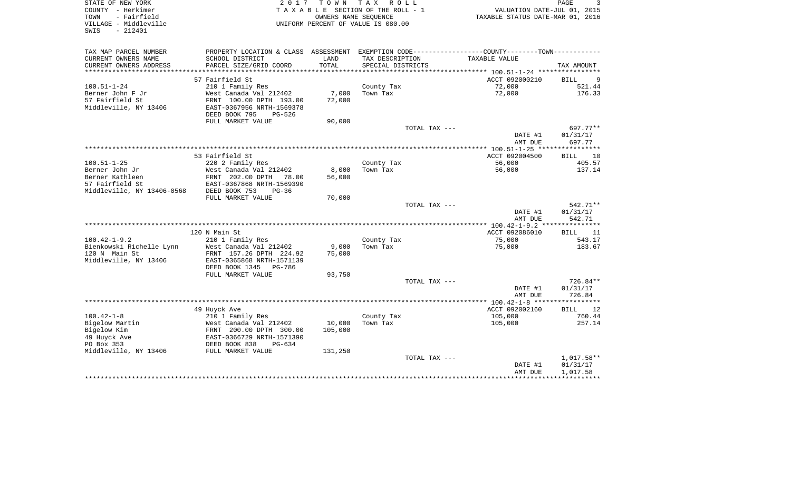| STATE OF NEW YORK<br>COUNTY - Herkimer<br>- Fairfield<br>TOWN<br>VILLAGE - Middleville | 2017                                                 | T O W N<br>OWNERS NAME SEQUENCE | TAX ROLL<br>TAXABLE SECTION OF THE ROLL - 1<br>UNIFORM PERCENT OF VALUE IS 080.00 | VALUATION DATE-JUL 01, 2015<br>TAXABLE STATUS DATE-MAR 01, 2016                                  | PAGE                  |
|----------------------------------------------------------------------------------------|------------------------------------------------------|---------------------------------|-----------------------------------------------------------------------------------|--------------------------------------------------------------------------------------------------|-----------------------|
| SWIS<br>$-212401$                                                                      |                                                      |                                 |                                                                                   |                                                                                                  |                       |
| TAX MAP PARCEL NUMBER                                                                  |                                                      |                                 |                                                                                   | PROPERTY LOCATION & CLASS ASSESSMENT EXEMPTION CODE----------------COUNTY--------TOWN----------- |                       |
| CURRENT OWNERS NAME                                                                    | SCHOOL DISTRICT                                      | LAND                            | TAX DESCRIPTION                                                                   | TAXABLE VALUE                                                                                    |                       |
| CURRENT OWNERS ADDRESS                                                                 | PARCEL SIZE/GRID COORD                               | TOTAL                           | SPECIAL DISTRICTS                                                                 |                                                                                                  | TAX AMOUNT            |
|                                                                                        |                                                      |                                 |                                                                                   |                                                                                                  |                       |
| $100.51 - 1 - 24$                                                                      | 57 Fairfield St<br>210 1 Family Res                  |                                 | County Tax                                                                        | ACCT 092000210<br>72,000                                                                         | 9<br>BILL<br>521.44   |
| Berner John F Jr                                                                       | West Canada Val 212402                               | 7,000                           | Town Tax                                                                          | 72,000                                                                                           | 176.33                |
| 57 Fairfield St                                                                        | FRNT 100.00 DPTH 193.00                              | 72,000                          |                                                                                   |                                                                                                  |                       |
| Middleville, NY 13406                                                                  | EAST-0367956 NRTH-1569378<br>DEED BOOK 795<br>PG-526 |                                 |                                                                                   |                                                                                                  |                       |
|                                                                                        | FULL MARKET VALUE                                    | 90,000                          |                                                                                   |                                                                                                  |                       |
|                                                                                        |                                                      |                                 | TOTAL TAX ---                                                                     |                                                                                                  | 697.77**              |
|                                                                                        |                                                      |                                 |                                                                                   | DATE #1<br>AMT DUE                                                                               | 01/31/17<br>697.77    |
|                                                                                        |                                                      |                                 |                                                                                   |                                                                                                  |                       |
|                                                                                        | 53 Fairfield St                                      |                                 |                                                                                   | ACCT 092004500                                                                                   | <b>BILL</b><br>10     |
| $100.51 - 1 - 25$                                                                      | 220 2 Family Res                                     |                                 | County Tax                                                                        | 56,000                                                                                           | 405.57                |
| Berner John Jr                                                                         | West Canada Val 212402                               | 8,000                           | Town Tax                                                                          | 56,000                                                                                           | 137.14                |
| Berner Kathleen                                                                        | FRNT 202.00 DPTH<br>78.00                            | 56,000                          |                                                                                   |                                                                                                  |                       |
| 57 Fairfield St                                                                        | EAST-0367868 NRTH-1569390                            |                                 |                                                                                   |                                                                                                  |                       |
| Middleville, NY 13406-0568                                                             | DEED BOOK 753<br>$PG-36$<br>FULL MARKET VALUE        | 70,000                          |                                                                                   |                                                                                                  |                       |
|                                                                                        |                                                      |                                 | TOTAL TAX ---                                                                     |                                                                                                  | 542.71**              |
|                                                                                        |                                                      |                                 |                                                                                   | DATE #1                                                                                          | 01/31/17              |
|                                                                                        |                                                      |                                 |                                                                                   | AMT DUE                                                                                          | 542.71                |
|                                                                                        |                                                      |                                 |                                                                                   |                                                                                                  |                       |
|                                                                                        | 120 N Main St                                        |                                 |                                                                                   | ACCT 092086010                                                                                   | BILL<br>11            |
| $100.42 - 1 - 9.2$                                                                     | 210 1 Family Res                                     |                                 | County Tax                                                                        | 75,000                                                                                           | 543.17                |
| Bienkowski Richelle Lynn                                                               | West Canada Val 212402                               | 9,000                           | Town Tax                                                                          | 75,000                                                                                           | 183.67                |
| 120 N Main St<br>Middleville, NY 13406                                                 | FRNT 157.26 DPTH 224.92<br>EAST-0365868 NRTH-1571139 | 75,000                          |                                                                                   |                                                                                                  |                       |
|                                                                                        | DEED BOOK 1345 PG-786                                |                                 |                                                                                   |                                                                                                  |                       |
|                                                                                        | FULL MARKET VALUE                                    | 93,750                          |                                                                                   |                                                                                                  |                       |
|                                                                                        |                                                      |                                 | TOTAL TAX ---                                                                     |                                                                                                  | 726.84**              |
|                                                                                        |                                                      |                                 |                                                                                   | DATE #1                                                                                          | 01/31/17              |
|                                                                                        |                                                      |                                 |                                                                                   | AMT DUE                                                                                          | 726.84                |
|                                                                                        |                                                      |                                 |                                                                                   |                                                                                                  | * * * * * * * * * * * |
|                                                                                        | 49 Huyck Ave                                         |                                 |                                                                                   | ACCT 092002160                                                                                   | 12<br>BILL            |
| $100.42 - 1 - 8$                                                                       | 210 1 Family Res                                     |                                 | County Tax                                                                        | 105,000                                                                                          | 760.44                |
| Bigelow Martin<br>Bigelow Kim                                                          | West Canada Val 212402                               | 10,000<br>105,000               | Town Tax                                                                          | 105,000                                                                                          | 257.14                |
| 49 Huyck Ave                                                                           | FRNT 200.00 DPTH 300.00<br>EAST-0366729 NRTH-1571390 |                                 |                                                                                   |                                                                                                  |                       |
| PO Box 353                                                                             | DEED BOOK 838<br>$PG-634$                            |                                 |                                                                                   |                                                                                                  |                       |
| Middleville, NY 13406                                                                  | FULL MARKET VALUE                                    | 131,250                         |                                                                                   |                                                                                                  |                       |
|                                                                                        |                                                      |                                 | TOTAL TAX ---                                                                     |                                                                                                  | 1,017.58**            |
|                                                                                        |                                                      |                                 |                                                                                   | DATE #1                                                                                          | 01/31/17              |
|                                                                                        |                                                      |                                 |                                                                                   | AMT DUE                                                                                          | 1,017.58              |
|                                                                                        |                                                      |                                 |                                                                                   |                                                                                                  |                       |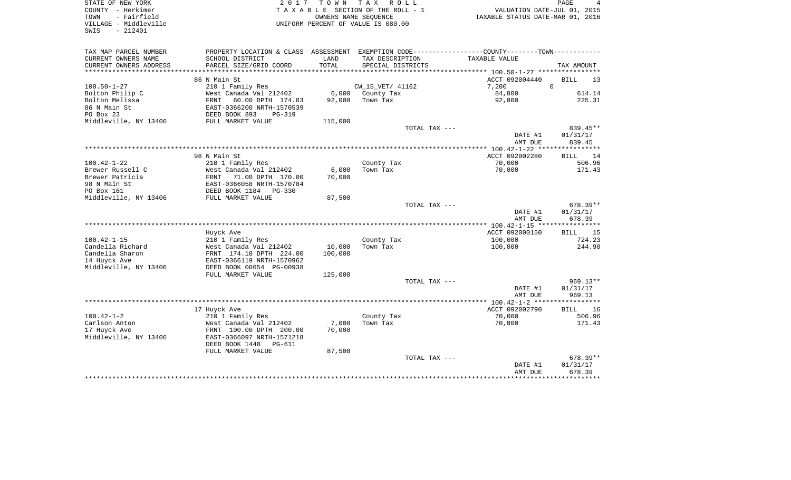| STATE OF NEW YORK<br>COUNTY - Herkimer<br>- Fairfield<br>TOWN<br>VILLAGE - Middleville<br>SWIS<br>$-212401$ |                                                                                               |                   | 2017 TOWN TAX ROLL<br>TAXABLE SECTION OF THE ROLL - 1<br>OWNERS NAME SEOUENCE<br>UNIFORM PERCENT OF VALUE IS 080.00 |               | TAXABLE STATUS DATE-MAR 01, 2016 | PAGE<br>4<br>VALUATION DATE-JUL 01, 2015 |
|-------------------------------------------------------------------------------------------------------------|-----------------------------------------------------------------------------------------------|-------------------|---------------------------------------------------------------------------------------------------------------------|---------------|----------------------------------|------------------------------------------|
|                                                                                                             |                                                                                               |                   |                                                                                                                     |               |                                  |                                          |
| TAX MAP PARCEL NUMBER                                                                                       | PROPERTY LOCATION & CLASS ASSESSMENT EXEMPTION CODE---------------COUNTY-------TOWN---------- |                   |                                                                                                                     |               |                                  |                                          |
| CURRENT OWNERS NAME                                                                                         | SCHOOL DISTRICT                                                                               | LAND              | TAX DESCRIPTION                                                                                                     |               | TAXABLE VALUE                    |                                          |
| CURRENT OWNERS ADDRESS                                                                                      | PARCEL SIZE/GRID COORD                                                                        | TOTAL             | SPECIAL DISTRICTS                                                                                                   |               |                                  | TAX AMOUNT                               |
|                                                                                                             | 86 N Main St                                                                                  |                   |                                                                                                                     |               | ACCT 092004440                   | <b>BILL</b><br>13                        |
| $100.50 - 1 - 27$                                                                                           | 210 1 Family Res                                                                              |                   | CW_15_VET/ 41162                                                                                                    |               | 7,200                            | $\Omega$                                 |
| Bolton Philip C                                                                                             | West Canada Val 212402                                                                        |                   | 6,000 County Tax                                                                                                    |               | 84,800                           | 614.14                                   |
| Bolton Melissa                                                                                              | 60.00 DPTH 174.83<br>FRNT                                                                     | 92,000            | Town Tax                                                                                                            |               | 92,000                           | 225.31                                   |
| 86 N Main St                                                                                                | EAST-0366200 NRTH-1570539                                                                     |                   |                                                                                                                     |               |                                  |                                          |
| PO Box 23                                                                                                   | DEED BOOK 893<br>$PG-319$                                                                     |                   |                                                                                                                     |               |                                  |                                          |
| Middleville, NY 13406                                                                                       | FULL MARKET VALUE                                                                             | 115,000           |                                                                                                                     |               |                                  |                                          |
|                                                                                                             |                                                                                               |                   |                                                                                                                     | TOTAL TAX --- |                                  | 839.45**                                 |
|                                                                                                             |                                                                                               |                   |                                                                                                                     |               | DATE #1                          | 01/31/17                                 |
|                                                                                                             |                                                                                               |                   |                                                                                                                     |               | AMT DUE                          | 839.45                                   |
|                                                                                                             |                                                                                               |                   |                                                                                                                     |               |                                  |                                          |
| $100.42 - 1 - 22$                                                                                           | 98 N Main St<br>210 1 Family Res                                                              |                   | County Tax                                                                                                          |               | ACCT 092002280<br>70,000         | <b>BILL</b><br>14<br>506.96              |
| Brewer Russell C                                                                                            | West Canada Val 212402                                                                        | 6,000             | Town Tax                                                                                                            |               | 70,000                           | 171.43                                   |
| Brewer Patricia                                                                                             | FRNT<br>71.00 DPTH 170.00                                                                     | 70,000            |                                                                                                                     |               |                                  |                                          |
| 98 N Main St                                                                                                | EAST-0366058 NRTH-1570784                                                                     |                   |                                                                                                                     |               |                                  |                                          |
| PO Box 161                                                                                                  | DEED BOOK 1184   PG-330                                                                       |                   |                                                                                                                     |               |                                  |                                          |
| Middleville, NY 13406                                                                                       | FULL MARKET VALUE                                                                             | 87,500            |                                                                                                                     |               |                                  |                                          |
|                                                                                                             |                                                                                               |                   |                                                                                                                     | TOTAL TAX --- |                                  | 678.39**                                 |
|                                                                                                             |                                                                                               |                   |                                                                                                                     |               | DATE #1                          | 01/31/17                                 |
|                                                                                                             |                                                                                               |                   |                                                                                                                     |               | AMT DUE                          | 678.39                                   |
|                                                                                                             |                                                                                               |                   |                                                                                                                     |               |                                  |                                          |
|                                                                                                             | Huyck Ave                                                                                     |                   |                                                                                                                     |               | ACCT 092000150                   | BILL 15                                  |
| $100.42 - 1 - 15$                                                                                           | 210 1 Family Res                                                                              |                   | County Tax                                                                                                          |               | 100,000                          | 724.23                                   |
| Candella Richard<br>Candella Sharon                                                                         | West Canada Val 212402<br>FRNT 174.18 DPTH 224.00                                             | 10,000<br>100,000 | Town Tax                                                                                                            |               | 100,000                          | 244.90                                   |
| 14 Huyck Ave                                                                                                | EAST-0366119 NRTH-1570962                                                                     |                   |                                                                                                                     |               |                                  |                                          |
| Middleville, NY 13406                                                                                       | DEED BOOK 00654 PG-00938                                                                      |                   |                                                                                                                     |               |                                  |                                          |
|                                                                                                             | FULL MARKET VALUE                                                                             | 125,000           |                                                                                                                     |               |                                  |                                          |
|                                                                                                             |                                                                                               |                   |                                                                                                                     | TOTAL TAX --- |                                  | $969.13**$                               |
|                                                                                                             |                                                                                               |                   |                                                                                                                     |               | DATE #1                          | 01/31/17                                 |
|                                                                                                             |                                                                                               |                   |                                                                                                                     |               | AMT DUE                          | 969.13                                   |
|                                                                                                             |                                                                                               |                   |                                                                                                                     |               |                                  |                                          |
|                                                                                                             | 17 Huyck Ave                                                                                  |                   |                                                                                                                     |               | ACCT 092002790                   | 16<br>BILL                               |
| $100.42 - 1 - 2$                                                                                            | 210 1 Family Res                                                                              |                   | County Tax                                                                                                          |               | 70,000                           | 506.96                                   |
| Carlson Anton                                                                                               | West Canada Val 212402                                                                        | 7,000             | Town Tax                                                                                                            |               | 70,000                           | 171.43                                   |
| 17 Huyck Ave                                                                                                | FRNT 100.00 DPTH 200.00                                                                       | 70,000            |                                                                                                                     |               |                                  |                                          |
| Middleville, NY 13406                                                                                       | EAST-0366097 NRTH-1571218                                                                     |                   |                                                                                                                     |               |                                  |                                          |
|                                                                                                             | DEED BOOK 1448<br>PG-611<br>FULL MARKET VALUE                                                 | 87,500            |                                                                                                                     |               |                                  |                                          |
|                                                                                                             |                                                                                               |                   |                                                                                                                     | TOTAL TAX --- |                                  | 678.39**                                 |
|                                                                                                             |                                                                                               |                   |                                                                                                                     |               | DATE #1                          | 01/31/17                                 |
|                                                                                                             |                                                                                               |                   |                                                                                                                     |               | AMT DUE                          | 678.39                                   |
|                                                                                                             |                                                                                               |                   |                                                                                                                     |               |                                  |                                          |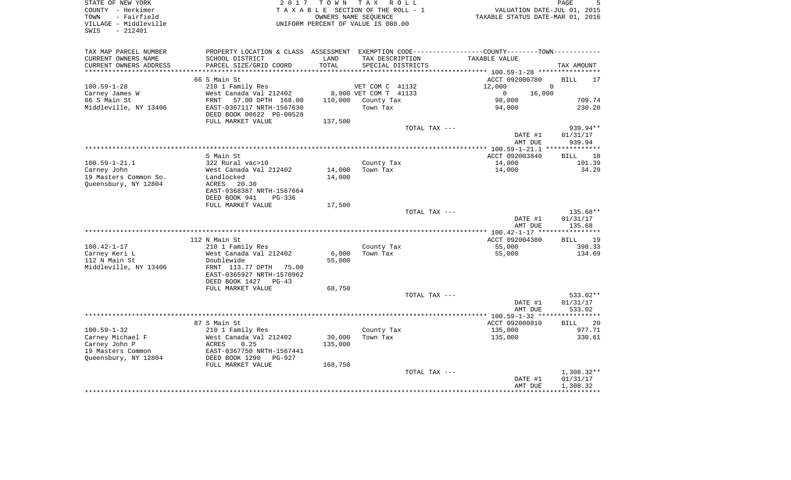| COUNTY - Herkimer<br>TOWN<br>- Fairfield<br>VILLAGE - Middleville<br>$-212401$<br>SWIS |                                                                                               |         | T A X A B L E SECTION OF THE ROLL - 1<br>OWNERS NAME SEQUENCE<br>UNIFORM PERCENT OF VALUE IS 080.00 | VALUATION DATE-JUL 01, 2015<br>TAXABLE STATUS DATE-MAR 01, 2016 |                               |
|----------------------------------------------------------------------------------------|-----------------------------------------------------------------------------------------------|---------|-----------------------------------------------------------------------------------------------------|-----------------------------------------------------------------|-------------------------------|
|                                                                                        |                                                                                               |         |                                                                                                     |                                                                 |                               |
| TAX MAP PARCEL NUMBER                                                                  | PROPERTY LOCATION & CLASS ASSESSMENT EXEMPTION CODE---------------COUNTY-------TOWN---------- |         |                                                                                                     |                                                                 |                               |
| CURRENT OWNERS NAME                                                                    | SCHOOL DISTRICT                                                                               | LAND    | TAX DESCRIPTION                                                                                     | TAXABLE VALUE                                                   |                               |
| CURRENT OWNERS ADDRESS<br>*********************                                        | PARCEL SIZE/GRID COORD                                                                        | TOTAL   | SPECIAL DISTRICTS                                                                                   |                                                                 | TAX AMOUNT                    |
|                                                                                        |                                                                                               |         |                                                                                                     |                                                                 |                               |
| $100.59 - 1 - 28$                                                                      | 66 S Main St<br>210 1 Family Res                                                              |         | VET COM C 41132                                                                                     | ACCT 092000780<br>12,000                                        | <b>BILL</b><br>17<br>$\Omega$ |
| Carney James W                                                                         | West Canada Val 212402                                                                        |         | 8,000 VET COM T 41133                                                                               | 16,000<br>$\overline{0}$                                        |                               |
| 66 S Main St                                                                           | 57.00 DPTH 168.00<br>FRNT                                                                     |         | 110,000 County Tax                                                                                  | 98,000                                                          | 709.74                        |
| Middleville, NY 13406                                                                  | EAST-0367117 NRTH-1567630                                                                     |         | Town Tax                                                                                            | 94,000                                                          | 230.20                        |
|                                                                                        | DEED BOOK 00622 PG-00528                                                                      |         |                                                                                                     |                                                                 |                               |
|                                                                                        | FULL MARKET VALUE                                                                             | 137,500 |                                                                                                     |                                                                 |                               |
|                                                                                        |                                                                                               |         | TOTAL TAX ---                                                                                       |                                                                 | 939.94**                      |
|                                                                                        |                                                                                               |         |                                                                                                     | DATE #1                                                         | 01/31/17                      |
|                                                                                        |                                                                                               |         |                                                                                                     | AMT DUE                                                         | 939.94                        |
|                                                                                        |                                                                                               |         |                                                                                                     |                                                                 |                               |
|                                                                                        | S Main St                                                                                     |         |                                                                                                     | ACCT 092003840                                                  | <b>BILL</b><br>18             |
| 100.59-1-21.1                                                                          | 322 Rural vac>10<br>West Canada Val 212402                                                    | 14,000  | County Tax<br>Town Tax                                                                              | 14,000<br>14,000                                                | 101.39<br>34.29               |
| Carney John<br>19 Masters Common So.                                                   | Landlocked                                                                                    | 14,000  |                                                                                                     |                                                                 |                               |
| Queensbury, NY 12804                                                                   | ACRES 20.30                                                                                   |         |                                                                                                     |                                                                 |                               |
|                                                                                        | EAST-0368387 NRTH-1567664                                                                     |         |                                                                                                     |                                                                 |                               |
|                                                                                        | DEED BOOK 941<br>$PG-336$                                                                     |         |                                                                                                     |                                                                 |                               |
|                                                                                        | FULL MARKET VALUE                                                                             | 17,500  |                                                                                                     |                                                                 |                               |
|                                                                                        |                                                                                               |         | TOTAL TAX ---                                                                                       |                                                                 | 135.68**                      |
|                                                                                        |                                                                                               |         |                                                                                                     | DATE #1                                                         | 01/31/17                      |
|                                                                                        |                                                                                               |         |                                                                                                     | AMT DUE                                                         | 135.68                        |
|                                                                                        | 112 N Main St                                                                                 |         |                                                                                                     | ACCT 092004380                                                  | <b>BILL</b><br>19             |
| 100.42-1-17                                                                            | 210 1 Family Res                                                                              |         | County Tax                                                                                          | 55,000                                                          | 398.33                        |
| Carney Keri L                                                                          | West Canada Val 212402                                                                        | 6,000   | Town Tax                                                                                            | 55,000                                                          | 134.69                        |
| 112 N Main St                                                                          | Doublewide                                                                                    | 55,000  |                                                                                                     |                                                                 |                               |
| Middleville, NY 13406                                                                  | FRNT 113.77 DPTH 75.00                                                                        |         |                                                                                                     |                                                                 |                               |
|                                                                                        | EAST-0365927 NRTH-1570962                                                                     |         |                                                                                                     |                                                                 |                               |
|                                                                                        | DEED BOOK 1427 PG-43                                                                          |         |                                                                                                     |                                                                 |                               |
|                                                                                        | FULL MARKET VALUE                                                                             | 68,750  |                                                                                                     |                                                                 |                               |
|                                                                                        |                                                                                               |         | TOTAL TAX ---                                                                                       | DATE #1                                                         | 533.02**<br>01/31/17          |
|                                                                                        |                                                                                               |         |                                                                                                     | AMT DUE                                                         | 533.02                        |
|                                                                                        |                                                                                               |         |                                                                                                     |                                                                 | * * * * * * * * * * *         |
|                                                                                        | 87 S Main St                                                                                  |         |                                                                                                     | ACCT 092000810                                                  | <b>BILL</b><br>20             |
| $100.59 - 1 - 32$                                                                      | 210 1 Family Res                                                                              |         | County Tax                                                                                          | 135,000                                                         | 977.71                        |
| Carney Michael F                                                                       |                                                                                               | 30,000  | Town Tax                                                                                            | 135,000                                                         | 330.61                        |
| Carney John P                                                                          |                                                                                               | 135,000 |                                                                                                     |                                                                 |                               |
| 19 Masters Common                                                                      | EAST-0367750 NRTH-1567441<br>DEED BOOK 1290 PG-927                                            |         |                                                                                                     |                                                                 |                               |
| Queensbury, NY 12804                                                                   |                                                                                               |         |                                                                                                     |                                                                 |                               |
|                                                                                        | FULL MARKET VALUE                                                                             | 168,750 |                                                                                                     |                                                                 |                               |
|                                                                                        |                                                                                               |         | TOTAL TAX ---                                                                                       | DATE #1                                                         | 1,308.32**<br>01/31/17        |
|                                                                                        |                                                                                               |         |                                                                                                     | AMT DUE                                                         | 1,308.32                      |
|                                                                                        |                                                                                               |         |                                                                                                     |                                                                 |                               |
|                                                                                        |                                                                                               |         |                                                                                                     |                                                                 |                               |

STATE OF NEW YORK GOOD CONSULTED A RESOLUTION OF A LOCAL CONSULTANCE AND RAGE STATE OF MEMORY OF PAGE

 $5\overline{5}$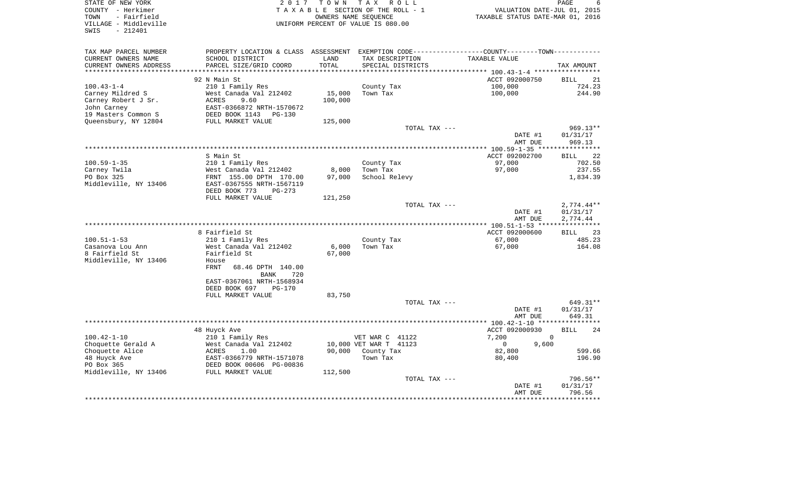| STATE OF NEW YORK<br>COUNTY - Herkimer<br>- Fairfield<br>TOWN<br>VILLAGE - Middleville<br>$-212401$<br>SWIS | 2 0 1 7                                              | TOWN                           | T A X<br>R O L L<br>TAXABLE SECTION OF THE ROLL - 1<br>OWNERS NAME SEQUENCE<br>UNIFORM PERCENT OF VALUE IS 080.00 | VALUATION DATE-JUL 01, 2015<br>TAXABLE STATUS DATE-MAR 01, 2016                                | PAGE<br>6         |
|-------------------------------------------------------------------------------------------------------------|------------------------------------------------------|--------------------------------|-------------------------------------------------------------------------------------------------------------------|------------------------------------------------------------------------------------------------|-------------------|
|                                                                                                             |                                                      |                                |                                                                                                                   |                                                                                                |                   |
| TAX MAP PARCEL NUMBER                                                                                       |                                                      |                                |                                                                                                                   | PROPERTY LOCATION & CLASS ASSESSMENT EXEMPTION CODE----------------COUNTY-------TOWN---------- |                   |
| CURRENT OWNERS NAME                                                                                         | SCHOOL DISTRICT                                      | LAND                           | TAX DESCRIPTION                                                                                                   | TAXABLE VALUE                                                                                  |                   |
| CURRENT OWNERS ADDRESS<br>********************                                                              | PARCEL SIZE/GRID COORD                               | TOTAL<br>* * * * * * * * * * * | SPECIAL DISTRICTS                                                                                                 |                                                                                                | TAX AMOUNT        |
|                                                                                                             | 92 N Main St                                         |                                |                                                                                                                   | ACCT 092000750                                                                                 | 21<br><b>BILL</b> |
| $100.43 - 1 - 4$                                                                                            | 210 1 Family Res                                     |                                | County Tax                                                                                                        | 100,000                                                                                        | 724.23            |
| Carney Mildred S                                                                                            | West Canada Val 212402                               | 15,000                         | Town Tax                                                                                                          | 100,000                                                                                        | 244.90            |
| Carney Robert J Sr.                                                                                         | 9.60<br>ACRES                                        | 100,000                        |                                                                                                                   |                                                                                                |                   |
| John Carney                                                                                                 | EAST-0366872 NRTH-1570672                            |                                |                                                                                                                   |                                                                                                |                   |
| 19 Masters Common S                                                                                         | DEED BOOK 1143<br>PG-130                             |                                |                                                                                                                   |                                                                                                |                   |
| Queensbury, NY 12804                                                                                        | FULL MARKET VALUE                                    | 125,000                        |                                                                                                                   |                                                                                                |                   |
|                                                                                                             |                                                      |                                | TOTAL TAX ---                                                                                                     |                                                                                                | $969.13**$        |
|                                                                                                             |                                                      |                                |                                                                                                                   | DATE #1                                                                                        | 01/31/17          |
|                                                                                                             |                                                      |                                |                                                                                                                   | AMT DUE                                                                                        | 969.13            |
|                                                                                                             |                                                      |                                |                                                                                                                   |                                                                                                |                   |
|                                                                                                             | S Main St                                            |                                |                                                                                                                   | ACCT 092002700                                                                                 | 22<br><b>BILL</b> |
| $100.59 - 1 - 35$                                                                                           | 210 1 Family Res                                     |                                | County Tax                                                                                                        | 97,000                                                                                         | 702.50            |
| Carney Twila                                                                                                | West Canada Val 212402                               | 8,000                          | Town Tax                                                                                                          | 97,000                                                                                         | 237.55            |
| PO Box 325<br>Middleville, NY 13406                                                                         | FRNT 155.00 DPTH 170.00<br>EAST-0367555 NRTH-1567119 | 97,000                         | School Relevy                                                                                                     |                                                                                                | 1,834.39          |
|                                                                                                             | DEED BOOK 773<br>$PG-273$                            |                                |                                                                                                                   |                                                                                                |                   |
|                                                                                                             | FULL MARKET VALUE                                    | 121,250                        |                                                                                                                   |                                                                                                |                   |
|                                                                                                             |                                                      |                                | TOTAL TAX ---                                                                                                     |                                                                                                | $2,774.44**$      |
|                                                                                                             |                                                      |                                |                                                                                                                   | DATE #1                                                                                        | 01/31/17          |
|                                                                                                             |                                                      |                                |                                                                                                                   | AMT DUE                                                                                        | 2,774.44          |
|                                                                                                             |                                                      |                                | *********************                                                                                             | $** 100.51 - 1 - 53 **$                                                                        |                   |
|                                                                                                             | 8 Fairfield St                                       |                                |                                                                                                                   | ACCT 092000600                                                                                 | 23<br>BILL        |
| $100.51 - 1 - 53$                                                                                           | 210 1 Family Res                                     |                                | County Tax                                                                                                        | 67,000                                                                                         | 485.23            |
| Casanova Lou Ann                                                                                            | West Canada Val 212402                               | 6,000                          | Town Tax                                                                                                          | 67,000                                                                                         | 164.08            |
| 8 Fairfield St                                                                                              | Fairfield St                                         | 67,000                         |                                                                                                                   |                                                                                                |                   |
| Middleville, NY 13406                                                                                       | House                                                |                                |                                                                                                                   |                                                                                                |                   |
|                                                                                                             | FRNT<br>68.46 DPTH 140.00                            |                                |                                                                                                                   |                                                                                                |                   |
|                                                                                                             | 720<br><b>BANK</b>                                   |                                |                                                                                                                   |                                                                                                |                   |
|                                                                                                             | EAST-0367061 NRTH-1568934                            |                                |                                                                                                                   |                                                                                                |                   |
|                                                                                                             | DEED BOOK 697<br>$PG-170$                            |                                |                                                                                                                   |                                                                                                |                   |
|                                                                                                             | FULL MARKET VALUE                                    | 83,750                         |                                                                                                                   |                                                                                                |                   |
|                                                                                                             |                                                      |                                | TOTAL TAX ---                                                                                                     |                                                                                                | 649.31**          |
|                                                                                                             |                                                      |                                |                                                                                                                   | DATE #1                                                                                        | 01/31/17          |
|                                                                                                             |                                                      |                                |                                                                                                                   | AMT DUE                                                                                        | 649.31            |
|                                                                                                             |                                                      |                                |                                                                                                                   | ******** 100.42-1-10 ****                                                                      |                   |
|                                                                                                             | 48 Huyck Ave                                         |                                |                                                                                                                   | ACCT 092000930                                                                                 | 24<br><b>BILL</b> |
| $100.42 - 1 - 10$                                                                                           | 210 1 Family Res                                     |                                | VET WAR C 41122                                                                                                   | 7,200<br>$\mathbf{0}$                                                                          |                   |
| Choquette Gerald A<br>Choquette Alice                                                                       | West Canada Val 212402<br>ACRES<br>1.00              | 90,000                         | 10,000 VET WAR T 41123                                                                                            | $\mathbf 0$<br>9,600<br>82,800                                                                 | 599.66            |
| 48 Huyck Ave                                                                                                | EAST-0366779 NRTH-1571078                            |                                | County Tax<br>Town Tax                                                                                            | 80,400                                                                                         | 196.90            |
| PO Box 365                                                                                                  | DEED BOOK 00606 PG-00836                             |                                |                                                                                                                   |                                                                                                |                   |
| Middleville, NY 13406                                                                                       | FULL MARKET VALUE                                    | 112,500                        |                                                                                                                   |                                                                                                |                   |
|                                                                                                             |                                                      |                                | TOTAL TAX ---                                                                                                     |                                                                                                | 796.56**          |
|                                                                                                             |                                                      |                                |                                                                                                                   | DATE #1                                                                                        | 01/31/17          |
|                                                                                                             |                                                      |                                |                                                                                                                   | AMT DUE                                                                                        | 796.56            |
|                                                                                                             |                                                      |                                |                                                                                                                   |                                                                                                |                   |
|                                                                                                             |                                                      |                                |                                                                                                                   |                                                                                                |                   |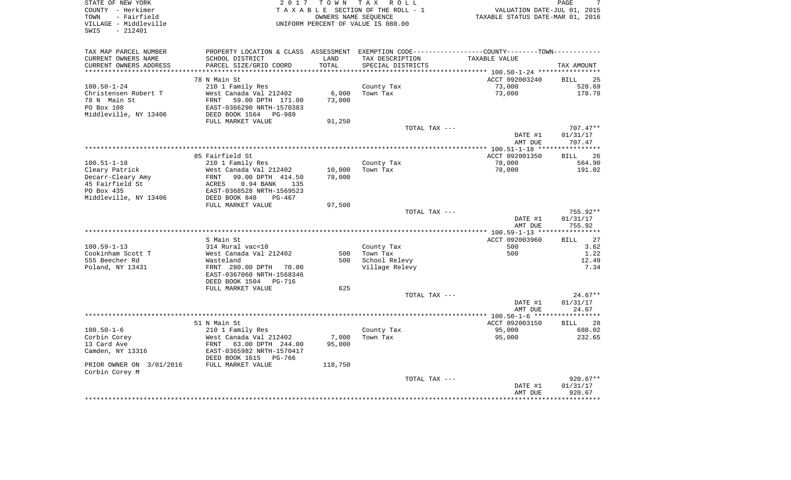| STATE OF NEW YORK<br>COUNTY - Herkimer<br>TOWN<br>- Fairfield<br>VILLAGE - Middleville<br>$-212401$<br>SWIS |                                                                                                                   |                  | 2017 TOWN TAX ROLL<br>TAXABLE SECTION OF THE ROLL - 1<br>OWNERS NAME SEQUENCE<br>UNIFORM PERCENT OF VALUE IS 080.00 | VALUATION DATE-JUL 01, 2015<br>TAXABLE STATUS DATE-MAR 01, 2016 | PAGE        |
|-------------------------------------------------------------------------------------------------------------|-------------------------------------------------------------------------------------------------------------------|------------------|---------------------------------------------------------------------------------------------------------------------|-----------------------------------------------------------------|-------------|
|                                                                                                             |                                                                                                                   |                  |                                                                                                                     |                                                                 |             |
| TAX MAP PARCEL NUMBER<br>CURRENT OWNERS NAME                                                                | PROPERTY LOCATION & CLASS ASSESSMENT EXEMPTION CODE----------------COUNTY-------TOWN----------<br>SCHOOL DISTRICT | LAND             | TAX DESCRIPTION                                                                                                     | TAXABLE VALUE                                                   |             |
| CURRENT OWNERS ADDRESS                                                                                      | PARCEL SIZE/GRID COORD                                                                                            | TOTAL            | SPECIAL DISTRICTS                                                                                                   |                                                                 | TAX AMOUNT  |
| *********************                                                                                       |                                                                                                                   | *******          |                                                                                                                     | ******* 100.50-1-24 *****************                           |             |
|                                                                                                             | 78 N Main St                                                                                                      |                  |                                                                                                                     | ACCT 092003240                                                  | <b>BILL</b> |
| $100.50 - 1 - 24$                                                                                           | 210 1 Family Res                                                                                                  |                  | County Tax                                                                                                          | 73,000                                                          |             |
| Christensen Robert T                                                                                        | West Canada Val 212402                                                                                            | 6,000            | Town Tax                                                                                                            | 73,000                                                          |             |
| 78 N Main St                                                                                                | FRNT 59.00 DPTH 171.00                                                                                            | 73,000           |                                                                                                                     |                                                                 |             |
| PO Box 108<br>Middleville, NY 13406                                                                         | EAST-0366290 NRTH-1570383<br>DEED BOOK 1564 PG-989                                                                |                  |                                                                                                                     |                                                                 |             |
|                                                                                                             | FULL MARKET VALUE                                                                                                 | 91,250           |                                                                                                                     |                                                                 |             |
|                                                                                                             |                                                                                                                   |                  | TOTAL TAX ---                                                                                                       |                                                                 | $707.47**$  |
|                                                                                                             |                                                                                                                   |                  |                                                                                                                     | DATE #1                                                         | 01/31/17    |
|                                                                                                             |                                                                                                                   |                  |                                                                                                                     | AMT DUE                                                         | 707.47      |
|                                                                                                             |                                                                                                                   |                  |                                                                                                                     |                                                                 | *********** |
|                                                                                                             | 85 Fairfield St                                                                                                   |                  |                                                                                                                     | ACCT 092001350                                                  | <b>BILL</b> |
| $100.51 - 1 - 18$                                                                                           | 210 1 Family Res                                                                                                  |                  | County Tax                                                                                                          | 78,000                                                          |             |
| Cleary Patrick<br>Decarr-Cleary Amy                                                                         | West Canada Val 212402<br>FRNT                                                                                    | 10,000<br>78,000 | Town Tax                                                                                                            | 78,000                                                          |             |
| 45 Fairfield St                                                                                             | 99.00 DPTH 414.50<br>ACRES<br>$0.94$ BANK<br>135                                                                  |                  |                                                                                                                     |                                                                 |             |
| PO Box 435                                                                                                  | EAST-0368528 NRTH-1569523                                                                                         |                  |                                                                                                                     |                                                                 |             |
| Middleville, NY 13406                                                                                       | DEED BOOK 848<br>$PG-467$                                                                                         |                  |                                                                                                                     |                                                                 |             |
|                                                                                                             | FULL MARKET VALUE                                                                                                 | 97,500           |                                                                                                                     |                                                                 |             |
|                                                                                                             |                                                                                                                   |                  | TOTAL TAX ---                                                                                                       |                                                                 | $755.92**$  |
|                                                                                                             |                                                                                                                   |                  |                                                                                                                     | DATE #1                                                         | 01/31/17    |
|                                                                                                             |                                                                                                                   |                  |                                                                                                                     | AMT DUE                                                         | 755.92      |
|                                                                                                             | S Main St                                                                                                         |                  |                                                                                                                     | ACCT 092003960                                                  | <b>BILL</b> |
| $100.59 - 1 - 13$                                                                                           | 314 Rural vac<10                                                                                                  |                  | County Tax                                                                                                          | 500                                                             |             |
| Cookinham Scott T                                                                                           | West Canada Val 212402                                                                                            | 500              | Town Tax                                                                                                            | 500                                                             |             |
| 555 Beecher Rd                                                                                              | Wasteland                                                                                                         | 500              | School Relevy                                                                                                       |                                                                 |             |
| Poland, NY 13431                                                                                            | FRNT 280.00 DPTH 70.00                                                                                            |                  | Village Relevy                                                                                                      |                                                                 |             |
|                                                                                                             | EAST-0367060 NRTH-1568346                                                                                         |                  |                                                                                                                     |                                                                 |             |
|                                                                                                             | DEED BOOK 1504 PG-716<br>FULL MARKET VALUE                                                                        | 625              |                                                                                                                     |                                                                 |             |
|                                                                                                             |                                                                                                                   |                  | TOTAL TAX ---                                                                                                       |                                                                 | $24.67**$   |
|                                                                                                             |                                                                                                                   |                  |                                                                                                                     | DATE #1                                                         | 01/31/17    |
|                                                                                                             |                                                                                                                   |                  |                                                                                                                     | AMT DUE                                                         | 24.67       |
|                                                                                                             |                                                                                                                   |                  |                                                                                                                     |                                                                 |             |
|                                                                                                             | 51 N Main St                                                                                                      |                  |                                                                                                                     | ACCT 092003150                                                  | <b>BILL</b> |
| $100.50 - 1 - 6$                                                                                            | 210 1 Family Res                                                                                                  |                  | County Tax                                                                                                          | 95,000                                                          |             |
| Corbin Corey                                                                                                | West Canada Val 212402                                                                                            | 7,000            | Town Tax                                                                                                            | 95,000                                                          |             |
| 13 Card Ave<br>Camden, NY 13316                                                                             | FRNT 63.00 DPTH 244.00<br>EAST-0365982 NRTH-1570417                                                               | 95,000           |                                                                                                                     |                                                                 |             |
|                                                                                                             | DEED BOOK 1615 PG-766                                                                                             |                  |                                                                                                                     |                                                                 |             |
| PRIOR OWNER ON 3/01/2016                                                                                    | FULL MARKET VALUE                                                                                                 | 118,750          |                                                                                                                     |                                                                 |             |
| Corbin Corey M                                                                                              |                                                                                                                   |                  |                                                                                                                     |                                                                 |             |
|                                                                                                             |                                                                                                                   |                  | TOTAL TAX ---                                                                                                       |                                                                 | $920.67**$  |
|                                                                                                             |                                                                                                                   |                  |                                                                                                                     | DATE #1                                                         | 01/31/17    |
|                                                                                                             |                                                                                                                   |                  |                                                                                                                     | AMT DUE                                                         | 920.67      |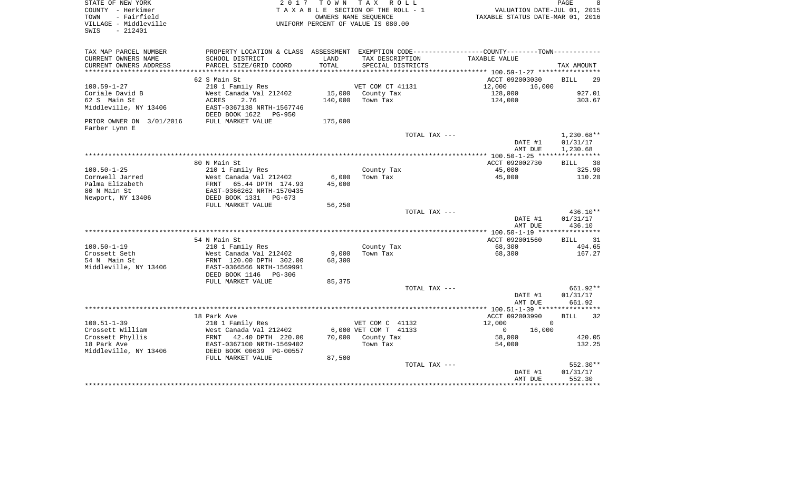| STATE OF NEW YORK        |                                 |         | 2017 TOWN TAX ROLL                 |                                                                                               | PAGE<br>- 8       |
|--------------------------|---------------------------------|---------|------------------------------------|-----------------------------------------------------------------------------------------------|-------------------|
| COUNTY - Herkimer        |                                 |         | TAXABLE SECTION OF THE ROLL - 1    | VALUATION DATE-JUL 01, 2015                                                                   |                   |
| TOWN<br>- Fairfield      |                                 |         | OWNERS NAME SEQUENCE               | TAXABLE STATUS DATE-MAR 01, 2016                                                              |                   |
| VILLAGE - Middleville    |                                 |         | UNIFORM PERCENT OF VALUE IS 080.00 |                                                                                               |                   |
| SWIS<br>$-212401$        |                                 |         |                                    |                                                                                               |                   |
|                          |                                 |         |                                    |                                                                                               |                   |
| TAX MAP PARCEL NUMBER    |                                 |         |                                    | PROPERTY LOCATION & CLASS ASSESSMENT EXEMPTION CODE---------------COUNTY-------TOWN---------- |                   |
| CURRENT OWNERS NAME      | SCHOOL DISTRICT                 | LAND    | TAX DESCRIPTION                    | TAXABLE VALUE                                                                                 |                   |
| CURRENT OWNERS ADDRESS   | PARCEL SIZE/GRID COORD          | TOTAL   | SPECIAL DISTRICTS                  |                                                                                               | TAX AMOUNT        |
|                          |                                 |         |                                    |                                                                                               |                   |
|                          | 62 S Main St                    |         |                                    | ACCT 092003030                                                                                | <b>BILL</b><br>29 |
| $100.59 - 1 - 27$        | 210 1 Family Res                |         | VET COM CT 41131                   | 12,000<br>16,000                                                                              |                   |
| Coriale David B          | West Canada Val 212402          | 15,000  | County Tax                         | 128,000                                                                                       | 927.01            |
| 62 S Main St             | ACRES<br>2.76                   | 140,000 | Town Tax                           | 124,000                                                                                       | 303.67            |
| Middleville, NY 13406    | EAST-0367138 NRTH-1567746       |         |                                    |                                                                                               |                   |
|                          | DEED BOOK 1622<br>PG-950        |         |                                    |                                                                                               |                   |
| PRIOR OWNER ON 3/01/2016 | FULL MARKET VALUE               | 175,000 |                                    |                                                                                               |                   |
| Farber Lynn E            |                                 |         |                                    |                                                                                               |                   |
|                          |                                 |         | TOTAL TAX ---                      |                                                                                               | $1,230.68**$      |
|                          |                                 |         |                                    | DATE #1                                                                                       | 01/31/17          |
|                          |                                 |         |                                    | AMT DUE                                                                                       | 1,230.68          |
|                          |                                 |         |                                    |                                                                                               |                   |
|                          | 80 N Main St                    |         |                                    | ACCT 092002730                                                                                | BILL<br>30        |
| $100.50 - 1 - 25$        | 210 1 Family Res                |         | County Tax                         | 45,000                                                                                        | 325.90            |
| Cornwell Jarred          | West Canada Val 212402          | 6,000   | Town Tax                           | 45,000                                                                                        | 110.20            |
| Palma Elizabeth          | FRNT<br>65.44 DPTH 174.93       | 45,000  |                                    |                                                                                               |                   |
| 80 N Main St             | EAST-0366262 NRTH-1570435       |         |                                    |                                                                                               |                   |
| Newport, NY 13406        | DEED BOOK 1331<br>PG-673        |         |                                    |                                                                                               |                   |
|                          | FULL MARKET VALUE               | 56,250  |                                    |                                                                                               |                   |
|                          |                                 |         | TOTAL TAX ---                      |                                                                                               | $436.10**$        |
|                          |                                 |         |                                    | DATE #1                                                                                       | 01/31/17          |
|                          |                                 |         |                                    | AMT DUE                                                                                       | 436.10            |
|                          |                                 |         |                                    |                                                                                               |                   |
|                          | 54 N Main St                    |         |                                    | ACCT 092001560                                                                                | BILL 31           |
| $100.50 - 1 - 19$        | 210 1 Family Res                |         | County Tax                         | 68,300                                                                                        | 494.65            |
| Crossett Seth            | West Canada Val 212402          | 9,000   | Town Tax                           | 68,300                                                                                        | 167.27            |
| 54 N Main St             | FRNT 120.00 DPTH 302.00         | 68,300  |                                    |                                                                                               |                   |
| Middleville, NY 13406    | EAST-0366566 NRTH-1569991       |         |                                    |                                                                                               |                   |
|                          | DEED BOOK 1146<br><b>PG-306</b> |         |                                    |                                                                                               |                   |
|                          | FULL MARKET VALUE               | 85,375  |                                    |                                                                                               |                   |
|                          |                                 |         | TOTAL TAX ---                      |                                                                                               | 661.92**          |
|                          |                                 |         |                                    | DATE #1                                                                                       | 01/31/17          |
|                          |                                 |         |                                    | AMT DUE                                                                                       | 661.92            |
|                          |                                 |         |                                    |                                                                                               |                   |
|                          | 18 Park Ave                     |         |                                    | ACCT 092003990                                                                                | 32<br><b>BILL</b> |
| $100.51 - 1 - 39$        |                                 |         | VET COM C 41132                    | 12,000<br>$\mathbf 0$                                                                         |                   |
|                          | 210 1 Family Res                |         | 6,000 VET COM T 41133              | $\mathbf{0}$                                                                                  |                   |
| Crossett William         | West Canada Val 212402          | 70,000  |                                    | 16,000                                                                                        |                   |
| Crossett Phyllis         | 42.40 DPTH 220.00<br>FRNT       |         | County Tax                         | 58,000                                                                                        | 420.05            |
| 18 Park Ave              | EAST-0367100 NRTH-1569402       |         | Town Tax                           | 54,000                                                                                        | 132.25            |
| Middleville, NY 13406    | DEED BOOK 00639 PG-00557        |         |                                    |                                                                                               |                   |
|                          | FULL MARKET VALUE               | 87,500  |                                    |                                                                                               |                   |
|                          |                                 |         | TOTAL TAX ---                      |                                                                                               | 552.30**          |
|                          |                                 |         |                                    | DATE #1                                                                                       | 01/31/17          |
|                          |                                 |         |                                    | AMT DUE                                                                                       | 552.30            |
|                          |                                 |         |                                    |                                                                                               |                   |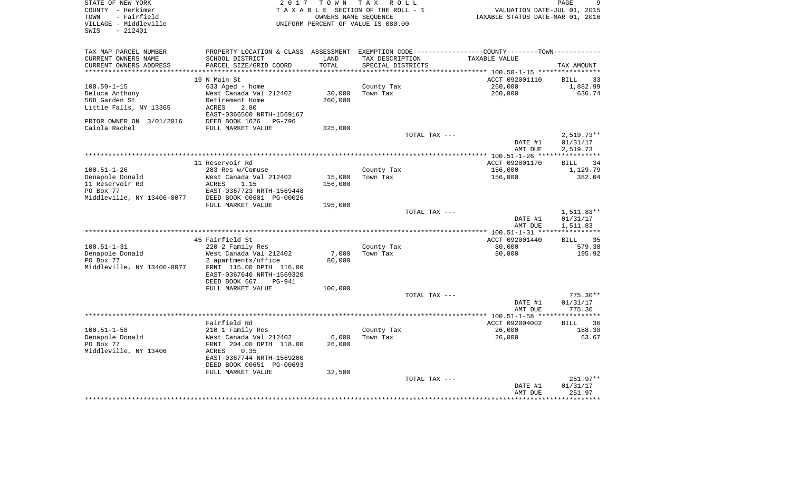| STATE OF NEW YORK<br>COUNTY - Herkimer<br>- Fairfield<br>TOWN<br>VILLAGE - Middleville<br>$-212401$<br>SWIS | 2 0 1 7                            | T O W N              | T A X<br>R O L L<br>TAXABLE SECTION OF THE ROLL - 1<br>OWNERS NAME SEOUENCE<br>UNIFORM PERCENT OF VALUE IS 080.00 |               | VALUATION DATE-JUL 01, 2015<br>TAXABLE STATUS DATE-MAR 01, 2016                               | PAGE<br>9            |
|-------------------------------------------------------------------------------------------------------------|------------------------------------|----------------------|-------------------------------------------------------------------------------------------------------------------|---------------|-----------------------------------------------------------------------------------------------|----------------------|
| TAX MAP PARCEL NUMBER                                                                                       |                                    |                      |                                                                                                                   |               | PROPERTY LOCATION & CLASS ASSESSMENT EXEMPTION CODE---------------COUNTY-------TOWN---------- |                      |
| CURRENT OWNERS NAME<br>SCHOOL DISTRICT                                                                      |                                    | LAND                 | TAX DESCRIPTION                                                                                                   |               | TAXABLE VALUE                                                                                 |                      |
| CURRENT OWNERS ADDRESS                                                                                      | PARCEL SIZE/GRID COORD             | TOTAL<br>*********** | SPECIAL DISTRICTS                                                                                                 |               |                                                                                               | TAX AMOUNT           |
| ********************<br>19 N Main St                                                                        |                                    |                      |                                                                                                                   |               | ACCT 092001110                                                                                | <b>BILL</b><br>33    |
| $100.50 - 1 - 15$<br>633 Aged - home                                                                        |                                    |                      | County Tax                                                                                                        |               | 260,000                                                                                       | 1,882.99             |
| Deluca Anthony                                                                                              | West Canada Val 212402             | 30,000               | Town Tax                                                                                                          |               | 260,000                                                                                       | 636.74               |
| 568 Garden St<br>Retirement Home                                                                            |                                    | 260,000              |                                                                                                                   |               |                                                                                               |                      |
| Little Falls, NY 13365<br><b>ACRES</b>                                                                      | 2.80                               |                      |                                                                                                                   |               |                                                                                               |                      |
|                                                                                                             | EAST-0366500 NRTH-1569167          |                      |                                                                                                                   |               |                                                                                               |                      |
| PRIOR OWNER ON 3/01/2016<br>DEED BOOK 1626                                                                  | PG-796                             |                      |                                                                                                                   |               |                                                                                               |                      |
| Caiola Rachel                                                                                               | FULL MARKET VALUE                  | 325,000              |                                                                                                                   | TOTAL TAX --- |                                                                                               | $2,519.73**$         |
|                                                                                                             |                                    |                      |                                                                                                                   |               | DATE #1                                                                                       | 01/31/17             |
|                                                                                                             |                                    |                      |                                                                                                                   |               | AMT DUE                                                                                       | 2,519.73             |
|                                                                                                             |                                    |                      |                                                                                                                   |               |                                                                                               |                      |
| 11 Reservoir Rd                                                                                             |                                    |                      |                                                                                                                   |               | ACCT 092001170                                                                                | 34<br>BILL           |
| $100.51 - 1 - 26$<br>283 Res w/Comuse                                                                       |                                    |                      | County Tax                                                                                                        |               | 156,000                                                                                       | 1,129.79             |
| Denapole Donald<br>11 Reservoir Rd<br>ACRES                                                                 | West Canada Val 212402<br>1.15     | 15,000               | Town Tax                                                                                                          |               | 156,000                                                                                       | 382.04               |
| PO Box 77                                                                                                   | EAST-0367723 NRTH-1569448          | 156,000              |                                                                                                                   |               |                                                                                               |                      |
| Middleville, NY 13406-0077                                                                                  | DEED BOOK 00601 PG-00026           |                      |                                                                                                                   |               |                                                                                               |                      |
|                                                                                                             | FULL MARKET VALUE                  | 195,000              |                                                                                                                   |               |                                                                                               |                      |
|                                                                                                             |                                    |                      |                                                                                                                   | TOTAL TAX --- |                                                                                               | 1,511.83**           |
|                                                                                                             |                                    |                      |                                                                                                                   |               | DATE #1                                                                                       | 01/31/17             |
|                                                                                                             |                                    |                      |                                                                                                                   |               | AMT DUE                                                                                       | 1,511.83             |
| 45 Fairfield St                                                                                             |                                    |                      |                                                                                                                   |               | ***************** 100.51-1-31 *****************<br>ACCT 092001440                             | <b>BILL</b><br>35    |
| $100.51 - 1 - 31$<br>220 2 Family Res                                                                       |                                    |                      | County Tax                                                                                                        |               | 80,000                                                                                        | 579.38               |
| Denapole Donald                                                                                             | West Canada Val 212402             | 7,000                | Town Tax                                                                                                          |               | 80,000                                                                                        | 195.92               |
| PO Box 77                                                                                                   | 2 apartments/office                | 80,000               |                                                                                                                   |               |                                                                                               |                      |
| Middleville, NY 13406-0077                                                                                  | FRNT 115.00 DPTH 116.00            |                      |                                                                                                                   |               |                                                                                               |                      |
|                                                                                                             | EAST-0367640 NRTH-1569320          |                      |                                                                                                                   |               |                                                                                               |                      |
| DEED BOOK 667                                                                                               | <b>PG-941</b><br>FULL MARKET VALUE | 100,000              |                                                                                                                   |               |                                                                                               |                      |
|                                                                                                             |                                    |                      |                                                                                                                   | TOTAL TAX --- |                                                                                               | $775.30**$           |
|                                                                                                             |                                    |                      |                                                                                                                   |               | DATE #1                                                                                       | 01/31/17             |
|                                                                                                             |                                    |                      |                                                                                                                   |               | AMT DUE                                                                                       | 775.30               |
|                                                                                                             |                                    |                      |                                                                                                                   |               |                                                                                               |                      |
| Fairfield Rd                                                                                                |                                    |                      |                                                                                                                   |               | ACCT 092004002                                                                                | <b>BILL</b><br>36    |
| $100.51 - 1 - 58$<br>210 1 Family Res<br>Denapole Donald                                                    | West Canada Val 212402             | 6,000                | County Tax<br>Town Tax                                                                                            |               | 26,000<br>26,000                                                                              | 188.30<br>63.67      |
| PO Box 77                                                                                                   | FRNT 204.00 DPTH 118.00            | 26,000               |                                                                                                                   |               |                                                                                               |                      |
| Middleville, NY 13406<br>ACRES                                                                              | 0.35                               |                      |                                                                                                                   |               |                                                                                               |                      |
|                                                                                                             | EAST-0367744 NRTH-1569200          |                      |                                                                                                                   |               |                                                                                               |                      |
|                                                                                                             | DEED BOOK 00651 PG-00693           |                      |                                                                                                                   |               |                                                                                               |                      |
|                                                                                                             | FULL MARKET VALUE                  | 32,500               |                                                                                                                   |               |                                                                                               |                      |
|                                                                                                             |                                    |                      |                                                                                                                   | TOTAL TAX --- |                                                                                               | 251.97**<br>01/31/17 |
|                                                                                                             |                                    |                      |                                                                                                                   |               | DATE #1<br>AMT DUE                                                                            | 251.97               |
|                                                                                                             |                                    |                      |                                                                                                                   |               |                                                                                               |                      |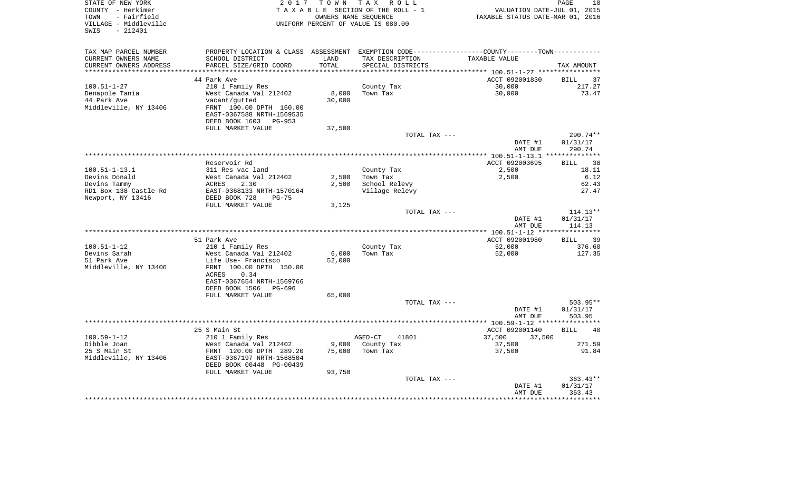| STATE OF NEW YORK<br>COUNTY - Herkimer<br>TOWN<br>- Fairfield<br>VILLAGE - Middleville<br>SWIS<br>$-212401$ | 2017                                                  | T O W N<br>OWNERS NAME SEOUENCE | TAX ROLL<br>TAXABLE SECTION OF THE ROLL - 1<br>UNIFORM PERCENT OF VALUE IS 080.00 | VALUATION DATE-JUL 01, 2015<br>TAXABLE STATUS DATE-MAR 01, 2016 | PAGE<br>10        |
|-------------------------------------------------------------------------------------------------------------|-------------------------------------------------------|---------------------------------|-----------------------------------------------------------------------------------|-----------------------------------------------------------------|-------------------|
|                                                                                                             |                                                       |                                 |                                                                                   |                                                                 |                   |
| TAX MAP PARCEL NUMBER                                                                                       | PROPERTY LOCATION & CLASS ASSESSMENT                  |                                 | EXEMPTION CODE-----------------COUNTY-------TOWN-----------                       |                                                                 |                   |
| CURRENT OWNERS NAME                                                                                         | SCHOOL DISTRICT                                       | LAND                            | TAX DESCRIPTION                                                                   | TAXABLE VALUE                                                   |                   |
| CURRENT OWNERS ADDRESS                                                                                      | PARCEL SIZE/GRID COORD                                | TOTAL                           | SPECIAL DISTRICTS                                                                 |                                                                 | TAX AMOUNT        |
| *********************                                                                                       |                                                       |                                 |                                                                                   |                                                                 |                   |
|                                                                                                             | 44 Park Ave                                           |                                 |                                                                                   | ACCT 092001830                                                  | 37<br>BILL        |
| $100.51 - 1 - 27$                                                                                           | 210 1 Family Res                                      |                                 | County Tax                                                                        | 30,000                                                          | 217.27            |
| Denapole Tania<br>44 Park Ave                                                                               | West Canada Val 212402                                | 8,000                           | Town Tax                                                                          | 30,000                                                          | 73.47             |
| Middleville, NY 13406                                                                                       | vacant/gutted<br>FRNT 100.00 DPTH 160.00              | 30,000                          |                                                                                   |                                                                 |                   |
|                                                                                                             | EAST-0367588 NRTH-1569535                             |                                 |                                                                                   |                                                                 |                   |
|                                                                                                             | DEED BOOK 1603<br>PG-953                              |                                 |                                                                                   |                                                                 |                   |
|                                                                                                             | FULL MARKET VALUE                                     | 37,500                          |                                                                                   |                                                                 |                   |
|                                                                                                             |                                                       |                                 | TOTAL TAX ---                                                                     |                                                                 | 290.74**          |
|                                                                                                             |                                                       |                                 |                                                                                   | DATE #1                                                         | 01/31/17          |
|                                                                                                             |                                                       |                                 |                                                                                   | AMT DUE                                                         | 290.74            |
|                                                                                                             |                                                       |                                 | **********************************                                                | *************** 100.51-1-13.1                                   | **********        |
|                                                                                                             | Reservoir Rd                                          |                                 |                                                                                   | ACCT 092003695                                                  | 38<br>BILL        |
| $100.51 - 1 - 13.1$                                                                                         | 311 Res vac land                                      |                                 | County Tax                                                                        | 2,500                                                           | 18.11             |
| Devins Donald                                                                                               | West Canada Val 212402                                | 2,500                           | Town Tax                                                                          | 2,500                                                           | 6.12              |
| Devins Tammy<br>RD1 Box 138 Castle Rd                                                                       | ACRES<br>2.30<br>EAST-0368133 NRTH-1570164            | 2,500                           | School Relevy<br>Village Relevy                                                   |                                                                 | 62.43<br>27.47    |
| Newport, NY 13416                                                                                           | DEED BOOK 728<br>$PG-75$                              |                                 |                                                                                   |                                                                 |                   |
|                                                                                                             | FULL MARKET VALUE                                     | 3,125                           |                                                                                   |                                                                 |                   |
|                                                                                                             |                                                       |                                 | TOTAL TAX ---                                                                     |                                                                 | $114.13**$        |
|                                                                                                             |                                                       |                                 |                                                                                   | DATE #1                                                         | 01/31/17          |
|                                                                                                             |                                                       |                                 |                                                                                   | AMT DUE                                                         | 114.13            |
|                                                                                                             |                                                       |                                 |                                                                                   |                                                                 |                   |
|                                                                                                             | 51 Park Ave                                           |                                 |                                                                                   | ACCT 092001980                                                  | <b>BILL</b><br>39 |
| $100.51 - 1 - 12$                                                                                           | 210 1 Family Res                                      |                                 | County Tax                                                                        | 52,000                                                          | 376.60            |
| Devins Sarah                                                                                                | West Canada Val 212402                                | 6,000                           | Town Tax                                                                          | 52,000                                                          | 127.35            |
| 51 Park Ave                                                                                                 | Life Use- Francisco                                   | 52,000                          |                                                                                   |                                                                 |                   |
| Middleville, NY 13406                                                                                       | FRNT 100.00 DPTH 150.00<br><b>ACRES</b><br>0.34       |                                 |                                                                                   |                                                                 |                   |
|                                                                                                             | EAST-0367654 NRTH-1569766                             |                                 |                                                                                   |                                                                 |                   |
|                                                                                                             | DEED BOOK 1506<br>PG-696                              |                                 |                                                                                   |                                                                 |                   |
|                                                                                                             | FULL MARKET VALUE                                     | 65,000                          |                                                                                   |                                                                 |                   |
|                                                                                                             |                                                       |                                 | TOTAL TAX ---                                                                     |                                                                 | 503.95**          |
|                                                                                                             |                                                       |                                 |                                                                                   | DATE #1                                                         | 01/31/17          |
|                                                                                                             |                                                       |                                 |                                                                                   | AMT DUE                                                         | 503.95            |
|                                                                                                             | *********                                             |                                 | ********************                                                              | **** $100.59 - 1 - 12$ **                                       |                   |
|                                                                                                             | 25 S Main St                                          |                                 |                                                                                   | ACCT 092001140                                                  | 40<br><b>BILL</b> |
| $100.59 - 1 - 12$                                                                                           | 210 1 Family Res                                      |                                 | AGED-CT<br>41801                                                                  | 37,500<br>37,500                                                |                   |
| Dibble Joan                                                                                                 | West Canada Val 212402                                | 9,000                           | County Tax                                                                        | 37,500                                                          | 271.59            |
| 25 S Main St                                                                                                | FRNT 120.00 DPTH 289.20                               | 75,000                          | Town Tax                                                                          | 37,500                                                          | 91.84             |
| Middleville, NY 13406                                                                                       | EAST-0367197 NRTH-1568504<br>DEED BOOK 00448 PG-00439 |                                 |                                                                                   |                                                                 |                   |
|                                                                                                             | FULL MARKET VALUE                                     | 93,750                          |                                                                                   |                                                                 |                   |
|                                                                                                             |                                                       |                                 | TOTAL TAX ---                                                                     |                                                                 | 363.43**          |
|                                                                                                             |                                                       |                                 |                                                                                   | DATE #1                                                         | 01/31/17          |
|                                                                                                             |                                                       |                                 |                                                                                   | AMT DUE                                                         | 363.43            |
|                                                                                                             |                                                       |                                 |                                                                                   |                                                                 |                   |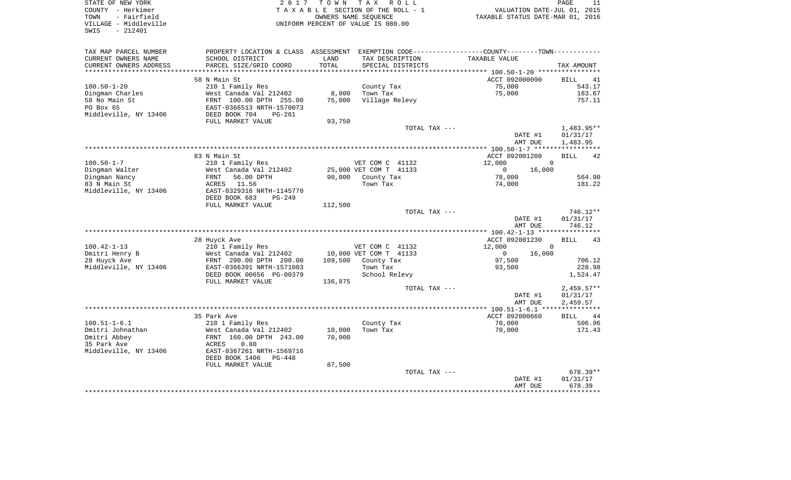| STATE OF NEW YORK<br>COUNTY - Herkimer<br>- Fairfield<br>TOWN<br>VILLAGE - Middleville<br>SWIS<br>$-212401$ | 2 0 1 7                                                 | T O W N      | TAX ROLL<br>TAXABLE SECTION OF THE ROLL - 1<br>OWNERS NAME SEOUENCE<br>UNIFORM PERCENT OF VALUE IS 080.00 | VALUATION DATE-JUL 01, 2015<br>TAXABLE STATUS DATE-MAR 01, 2016              | PAGE<br>11            |
|-------------------------------------------------------------------------------------------------------------|---------------------------------------------------------|--------------|-----------------------------------------------------------------------------------------------------------|------------------------------------------------------------------------------|-----------------------|
| TAX MAP PARCEL NUMBER<br>CURRENT OWNERS NAME                                                                | PROPERTY LOCATION & CLASS ASSESSMENT<br>SCHOOL DISTRICT | LAND         | TAX DESCRIPTION                                                                                           | EXEMPTION CODE-----------------COUNTY-------TOWN-----------<br>TAXABLE VALUE |                       |
| CURRENT OWNERS ADDRESS                                                                                      | PARCEL SIZE/GRID COORD                                  | <b>TOTAL</b> | SPECIAL DISTRICTS                                                                                         |                                                                              | TAX AMOUNT            |
| ******************                                                                                          |                                                         | ************ | *********************                                                                                     | ********* 100.50-1-20 *****************                                      |                       |
|                                                                                                             | 58 N Main St                                            |              |                                                                                                           | ACCT 092000090                                                               | 41<br><b>BILL</b>     |
| $100.50 - 1 - 20$                                                                                           | 210 1 Family Res                                        |              | County Tax                                                                                                | 75,000                                                                       | 543.17                |
| Dingman Charles                                                                                             | West Canada Val 212402                                  | 8,000        | Town Tax                                                                                                  | 75,000                                                                       | 183.67                |
| 58 No Main St<br>PO Box 65                                                                                  | FRNT 100.00 DPTH 255.00                                 | 75,000       | Village Relevy                                                                                            |                                                                              | 757.11                |
| Middleville, NY 13406                                                                                       | EAST-0366513 NRTH-1570073<br>DEED BOOK 704<br>PG-261    |              |                                                                                                           |                                                                              |                       |
|                                                                                                             | FULL MARKET VALUE                                       | 93,750       |                                                                                                           |                                                                              |                       |
|                                                                                                             |                                                         |              | TOTAL TAX ---                                                                                             |                                                                              | $1,483.95**$          |
|                                                                                                             |                                                         |              |                                                                                                           | DATE #1                                                                      | 01/31/17              |
|                                                                                                             |                                                         |              |                                                                                                           | AMT DUE                                                                      | 1,483.95              |
|                                                                                                             |                                                         |              |                                                                                                           |                                                                              |                       |
|                                                                                                             | 83 N Main St                                            |              |                                                                                                           | ACCT 092001200                                                               | <b>BILL</b><br>42     |
| $100.50 - 1 - 7$                                                                                            | 210 1 Family Res                                        |              | VET COM C 41132                                                                                           | 12,000<br>$\Omega$                                                           |                       |
| Dingman Walter                                                                                              | West Canada Val 212402                                  |              | 25,000 VET COM T 41133                                                                                    | $\mathbf 0$<br>16,000<br>78,000                                              |                       |
| Dingman Nancy<br>83 N Main St                                                                               | FRNT<br>56.00 DPTH<br>ACRES 11.56                       |              | 90,000 County Tax<br>Town Tax                                                                             | 74,000                                                                       | 564.90<br>181.22      |
| Middleville, NY 13406                                                                                       | EAST-0329316 NRTH-1145770                               |              |                                                                                                           |                                                                              |                       |
|                                                                                                             | DEED BOOK 683<br>$PG-249$                               |              |                                                                                                           |                                                                              |                       |
|                                                                                                             | FULL MARKET VALUE                                       | 112,500      |                                                                                                           |                                                                              |                       |
|                                                                                                             |                                                         |              | TOTAL TAX ---                                                                                             |                                                                              | 746.12**              |
|                                                                                                             |                                                         |              |                                                                                                           | DATE #1                                                                      | 01/31/17              |
|                                                                                                             |                                                         |              |                                                                                                           | AMT DUE                                                                      | 746.12                |
|                                                                                                             |                                                         |              |                                                                                                           | ****** 100.42-1-13 ******                                                    |                       |
| $100.42 - 1 - 13$                                                                                           | 28 Huyck Ave<br>210 1 Family Res                        |              | VET COM C 41132                                                                                           | ACCT 092001230<br>12,000<br>$\Omega$                                         | <b>BILL</b><br>43     |
| Dmitri Henry B                                                                                              | West Canada Val 212402                                  |              | 10,000 VET COM T 41133                                                                                    | $\mathbf{0}$<br>16,000                                                       |                       |
| 28 Huyck Ave                                                                                                | FRNT 200.00 DPTH 200.00                                 |              | 109,500 County Tax                                                                                        | 97,500                                                                       | 706.12                |
| Middleville, NY 13406                                                                                       | EAST-0366391 NRTH-1571003                               |              | Town Tax                                                                                                  | 93,500                                                                       | 228.98                |
|                                                                                                             | DEED BOOK 00656 PG-00379                                |              | School Relevy                                                                                             |                                                                              | 1,524.47              |
|                                                                                                             | FULL MARKET VALUE                                       | 136,875      |                                                                                                           |                                                                              |                       |
|                                                                                                             |                                                         |              | TOTAL TAX ---                                                                                             |                                                                              | $2,459.57**$          |
|                                                                                                             |                                                         |              |                                                                                                           | DATE #1                                                                      | 01/31/17              |
|                                                                                                             |                                                         |              |                                                                                                           | AMT DUE                                                                      | 2,459.57              |
|                                                                                                             |                                                         |              |                                                                                                           | ACCT 092000660                                                               | <b>BILL</b><br>44     |
| $100.51 - 1 - 6.1$                                                                                          | 35 Park Ave<br>210 1 Family Res                         |              | County Tax                                                                                                | 70,000                                                                       | 506.96                |
| Dmitri Johnathan                                                                                            | West Canada Val 212402                                  | 10,000       | Town Tax                                                                                                  | 70,000                                                                       | 171.43                |
| Dmitri Abbey                                                                                                | FRNT 160.00 DPTH 243.00                                 | 70,000       |                                                                                                           |                                                                              |                       |
| 35 Park Ave                                                                                                 | 0.80<br>ACRES                                           |              |                                                                                                           |                                                                              |                       |
| Middleville, NY 13406                                                                                       | EAST-0367261 NRTH-1569716                               |              |                                                                                                           |                                                                              |                       |
|                                                                                                             | DEED BOOK 1406 PG-448                                   |              |                                                                                                           |                                                                              |                       |
|                                                                                                             | FULL MARKET VALUE                                       | 87,500       |                                                                                                           |                                                                              |                       |
|                                                                                                             |                                                         |              | TOTAL TAX ---                                                                                             |                                                                              | $678.39**$            |
|                                                                                                             |                                                         |              |                                                                                                           | DATE #1                                                                      | 01/31/17              |
|                                                                                                             |                                                         |              |                                                                                                           | AMT DUE<br>* * * * * * * * *                                                 | 678.39<br>*********** |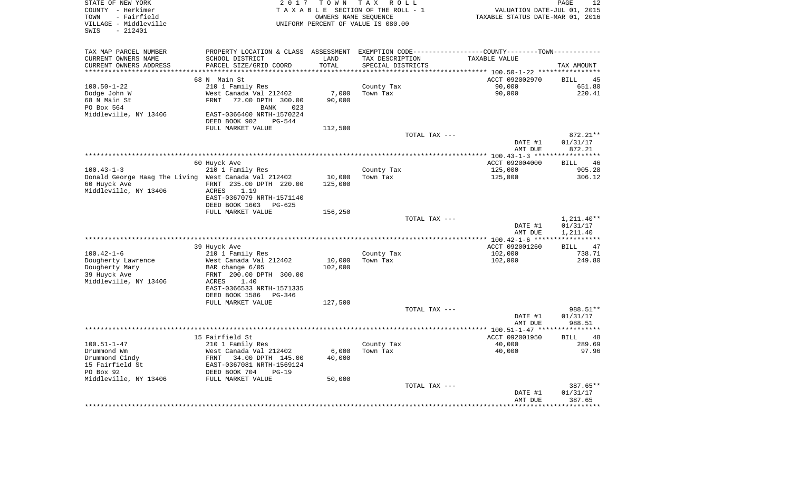| STATE OF NEW YORK<br>COUNTY - Herkimer<br>- Fairfield<br>TOWN<br>VILLAGE - Middleville<br>$-212401$<br>SWIS | 2017                                                                                          | T O W N         | T A X<br>R O L L<br>TAXABLE SECTION OF THE ROLL - 1<br>OWNERS NAME SEQUENCE<br>UNIFORM PERCENT OF VALUE IS 080.00 |               | VALUATION DATE-JUL 01, 2015<br>TAXABLE STATUS DATE-MAR 01, 2016 | PAGE<br>12                  |
|-------------------------------------------------------------------------------------------------------------|-----------------------------------------------------------------------------------------------|-----------------|-------------------------------------------------------------------------------------------------------------------|---------------|-----------------------------------------------------------------|-----------------------------|
| TAX MAP PARCEL NUMBER                                                                                       | PROPERTY LOCATION & CLASS ASSESSMENT EXEMPTION CODE---------------COUNTY-------TOWN---------- |                 |                                                                                                                   |               |                                                                 |                             |
| CURRENT OWNERS NAME                                                                                         | SCHOOL DISTRICT                                                                               | LAND            | TAX DESCRIPTION                                                                                                   |               | TAXABLE VALUE                                                   |                             |
| CURRENT OWNERS ADDRESS                                                                                      | PARCEL SIZE/GRID COORD                                                                        | TOTAL           | SPECIAL DISTRICTS                                                                                                 |               |                                                                 | TAX AMOUNT                  |
| **********************                                                                                      |                                                                                               |                 |                                                                                                                   |               |                                                                 |                             |
| $100.50 - 1 - 22$                                                                                           | 68 N Main St<br>210 1 Family Res                                                              |                 |                                                                                                                   |               | ACCT 092002970<br>90,000                                        | <b>BILL</b><br>45<br>651.80 |
| Dodge John W                                                                                                | West Canada Val 212402                                                                        | 7,000           | County Tax<br>Town Tax                                                                                            |               | 90,000                                                          | 220.41                      |
| 68 N Main St                                                                                                | 72.00 DPTH 300.00<br>FRNT                                                                     | 90,000          |                                                                                                                   |               |                                                                 |                             |
| PO Box 564                                                                                                  | <b>BANK</b><br>023                                                                            |                 |                                                                                                                   |               |                                                                 |                             |
| Middleville, NY 13406                                                                                       | EAST-0366400 NRTH-1570224                                                                     |                 |                                                                                                                   |               |                                                                 |                             |
|                                                                                                             | DEED BOOK 902<br>PG-544                                                                       |                 |                                                                                                                   |               |                                                                 |                             |
|                                                                                                             | FULL MARKET VALUE                                                                             | 112,500         |                                                                                                                   |               |                                                                 |                             |
|                                                                                                             |                                                                                               |                 |                                                                                                                   | TOTAL TAX --- |                                                                 | 872.21**                    |
|                                                                                                             |                                                                                               |                 |                                                                                                                   |               | DATE #1<br>AMT DUE                                              | 01/31/17<br>872.21          |
|                                                                                                             |                                                                                               |                 |                                                                                                                   |               | ************* 100.43-1-3 ******************                     |                             |
|                                                                                                             | 60 Huyck Ave                                                                                  |                 |                                                                                                                   |               | ACCT 092004000                                                  | <b>BILL</b><br>46           |
| $100.43 - 1 - 3$                                                                                            | 210 1 Family Res                                                                              |                 | County Tax                                                                                                        |               | 125,000                                                         | 905.28                      |
| Donald George Haag The Living West Canada Val 212402                                                        |                                                                                               | 10,000          | Town Tax                                                                                                          |               | 125,000                                                         | 306.12                      |
| 60 Huyck Ave                                                                                                | FRNT 235.00 DPTH 220.00                                                                       | 125,000         |                                                                                                                   |               |                                                                 |                             |
| Middleville, NY 13406                                                                                       | ACRES<br>1.19                                                                                 |                 |                                                                                                                   |               |                                                                 |                             |
|                                                                                                             | EAST-0367079 NRTH-1571140<br>DEED BOOK 1603<br>PG-625                                         |                 |                                                                                                                   |               |                                                                 |                             |
|                                                                                                             | FULL MARKET VALUE                                                                             | 156,250         |                                                                                                                   |               |                                                                 |                             |
|                                                                                                             |                                                                                               |                 |                                                                                                                   | TOTAL TAX --- |                                                                 | 1,211.40**                  |
|                                                                                                             |                                                                                               |                 |                                                                                                                   |               | DATE #1                                                         | 01/31/17                    |
|                                                                                                             |                                                                                               |                 |                                                                                                                   |               | AMT DUE                                                         | 1,211.40                    |
|                                                                                                             |                                                                                               |                 |                                                                                                                   |               | *************** 100.42-1-6 ***                                  | * * * * * * * * * * *       |
| $100.42 - 1 - 6$                                                                                            | 39 Huyck Ave<br>210 1 Family Res                                                              |                 | County Tax                                                                                                        |               | ACCT 092001260<br>102,000                                       | 47<br>BILL<br>738.71        |
| Dougherty Lawrence                                                                                          | West Canada Val 212402                                                                        | 10,000          | Town Tax                                                                                                          |               | 102,000                                                         | 249.80                      |
| Dougherty Mary                                                                                              | BAR change 6/05                                                                               | 102,000         |                                                                                                                   |               |                                                                 |                             |
| 39 Huyck Ave                                                                                                | FRNT 200.00 DPTH 300.00                                                                       |                 |                                                                                                                   |               |                                                                 |                             |
| Middleville, NY 13406                                                                                       | <b>ACRES</b><br>1.40                                                                          |                 |                                                                                                                   |               |                                                                 |                             |
|                                                                                                             | EAST-0366533 NRTH-1571335                                                                     |                 |                                                                                                                   |               |                                                                 |                             |
|                                                                                                             | DEED BOOK 1586<br>PG-346                                                                      |                 |                                                                                                                   |               |                                                                 |                             |
|                                                                                                             | FULL MARKET VALUE                                                                             | 127,500         |                                                                                                                   | TOTAL TAX --- |                                                                 | 988.51**                    |
|                                                                                                             |                                                                                               |                 |                                                                                                                   |               | DATE #1                                                         | 01/31/17                    |
|                                                                                                             |                                                                                               |                 |                                                                                                                   |               | AMT DUE                                                         | 988.51                      |
|                                                                                                             |                                                                                               |                 |                                                                                                                   |               | ********** 100.51-1-47 ***                                      |                             |
|                                                                                                             | 15 Fairfield St                                                                               |                 |                                                                                                                   |               | ACCT 092001950                                                  | 48<br><b>BILL</b>           |
| $100.51 - 1 - 47$                                                                                           | 210 1 Family Res                                                                              |                 | County Tax                                                                                                        |               | 40,000                                                          | 289.69                      |
| Drummond Wm                                                                                                 | West Canada Val 212402<br>FRNT                                                                | 6,000<br>40,000 | Town Tax                                                                                                          |               | 40,000                                                          | 97.96                       |
| Drummond Cindy<br>15 Fairfield St                                                                           | 34.00 DPTH 145.00<br>EAST-0367081 NRTH-1569124                                                |                 |                                                                                                                   |               |                                                                 |                             |
| PO Box 92                                                                                                   | DEED BOOK 704<br>$PG-19$                                                                      |                 |                                                                                                                   |               |                                                                 |                             |
| Middleville, NY 13406                                                                                       | FULL MARKET VALUE                                                                             | 50,000          |                                                                                                                   |               |                                                                 |                             |
|                                                                                                             |                                                                                               |                 |                                                                                                                   | TOTAL TAX --- |                                                                 | 387.65**                    |
|                                                                                                             |                                                                                               |                 |                                                                                                                   |               | DATE #1                                                         | 01/31/17                    |
|                                                                                                             |                                                                                               |                 |                                                                                                                   |               | AMT DUE                                                         | 387.65<br>********          |
|                                                                                                             |                                                                                               |                 |                                                                                                                   |               |                                                                 |                             |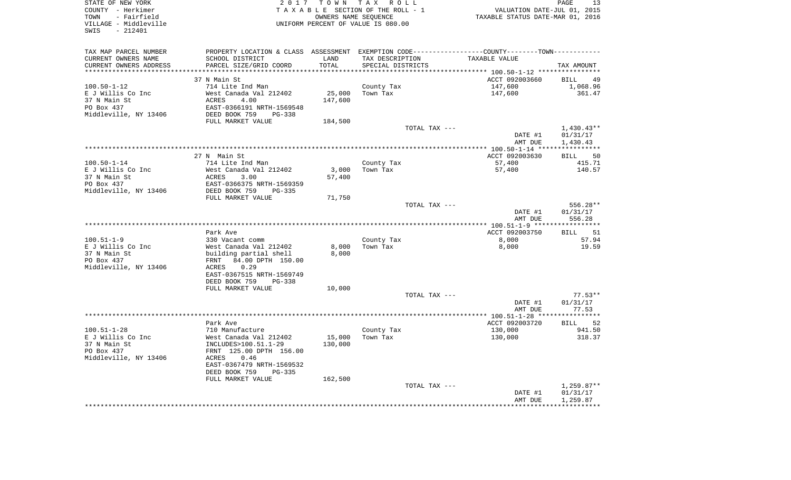| STATE OF NEW YORK<br>COUNTY - Herkimer<br>- Fairfield<br>TOWN<br>VILLAGE - Middleville<br>SWIS<br>$-212401$ | 2017                                                                                           | T O W N           | T A X<br>R O L L<br>TAXABLE SECTION OF THE ROLL - 1<br>OWNERS NAME SEQUENCE<br>UNIFORM PERCENT OF VALUE IS 080.00 | VALUATION DATE-JUL 01, 2015<br>TAXABLE STATUS DATE-MAR 01, 2016 | PAGE<br>13           |
|-------------------------------------------------------------------------------------------------------------|------------------------------------------------------------------------------------------------|-------------------|-------------------------------------------------------------------------------------------------------------------|-----------------------------------------------------------------|----------------------|
| TAX MAP PARCEL NUMBER                                                                                       | PROPERTY LOCATION & CLASS ASSESSMENT EXEMPTION CODE----------------COUNTY-------TOWN---------- |                   |                                                                                                                   |                                                                 |                      |
| CURRENT OWNERS NAME                                                                                         | SCHOOL DISTRICT                                                                                | LAND              | TAX DESCRIPTION                                                                                                   | TAXABLE VALUE                                                   |                      |
| CURRENT OWNERS ADDRESS<br>**********************                                                            | PARCEL SIZE/GRID COORD                                                                         | TOTAL             | SPECIAL DISTRICTS                                                                                                 |                                                                 | TAX AMOUNT           |
|                                                                                                             | 37 N Main St                                                                                   |                   |                                                                                                                   | ACCT 092003660                                                  | <b>BILL</b><br>49    |
| $100.50 - 1 - 12$                                                                                           | 714 Lite Ind Man                                                                               |                   | County Tax                                                                                                        | 147,600                                                         | 1,068.96             |
| E J Willis Co Inc                                                                                           | West Canada Val 212402                                                                         | 25,000            | Town Tax                                                                                                          | 147,600                                                         | 361.47               |
| 37 N Main St                                                                                                | 4.00<br>ACRES                                                                                  | 147,600           |                                                                                                                   |                                                                 |                      |
| PO Box 437                                                                                                  | EAST-0366191 NRTH-1569548                                                                      |                   |                                                                                                                   |                                                                 |                      |
| Middleville, NY 13406                                                                                       | DEED BOOK 759<br>PG-338                                                                        |                   |                                                                                                                   |                                                                 |                      |
|                                                                                                             | FULL MARKET VALUE                                                                              | 184,500           |                                                                                                                   |                                                                 | $1,430.43**$         |
|                                                                                                             |                                                                                                |                   | TOTAL TAX ---                                                                                                     | DATE #1<br>AMT DUE                                              | 01/31/17<br>1,430.43 |
|                                                                                                             |                                                                                                |                   |                                                                                                                   |                                                                 |                      |
|                                                                                                             | 27 N Main St                                                                                   |                   |                                                                                                                   | ACCT 092003630                                                  | <b>BILL</b><br>50    |
| $100.50 - 1 - 14$                                                                                           | 714 Lite Ind Man                                                                               |                   | County Tax                                                                                                        | 57,400                                                          | 415.71               |
| E J Willis Co Inc                                                                                           | West Canada Val 212402                                                                         | 3,000             | Town Tax                                                                                                          | 57,400                                                          | 140.57               |
| 37 N Main St<br>PO Box 437                                                                                  | 3.00<br>ACRES<br>EAST-0366375 NRTH-1569359                                                     | 57,400            |                                                                                                                   |                                                                 |                      |
| Middleville, NY 13406                                                                                       | DEED BOOK 759<br>PG-335                                                                        |                   |                                                                                                                   |                                                                 |                      |
|                                                                                                             | FULL MARKET VALUE                                                                              | 71,750            |                                                                                                                   |                                                                 |                      |
|                                                                                                             |                                                                                                |                   | TOTAL TAX ---                                                                                                     |                                                                 | 556.28**             |
|                                                                                                             |                                                                                                |                   |                                                                                                                   | DATE #1<br>AMT DUE                                              | 01/31/17<br>556.28   |
|                                                                                                             |                                                                                                |                   |                                                                                                                   |                                                                 |                      |
|                                                                                                             | Park Ave                                                                                       |                   |                                                                                                                   | ACCT 092003750                                                  | 51<br><b>BILL</b>    |
| $100.51 - 1 - 9$                                                                                            | 330 Vacant comm                                                                                |                   | County Tax                                                                                                        | 8,000                                                           | 57.94                |
| E J Willis Co Inc<br>37 N Main St                                                                           | West Canada Val 212402<br>building partial shell                                               | 8,000<br>8,000    | Town Tax                                                                                                          | 8,000                                                           | 19.59                |
| PO Box 437                                                                                                  | 84.00 DPTH 150.00<br>FRNT                                                                      |                   |                                                                                                                   |                                                                 |                      |
| Middleville, NY 13406                                                                                       | ACRES<br>0.29                                                                                  |                   |                                                                                                                   |                                                                 |                      |
|                                                                                                             | EAST-0367515 NRTH-1569749                                                                      |                   |                                                                                                                   |                                                                 |                      |
|                                                                                                             | DEED BOOK 759<br>$PG-338$                                                                      |                   |                                                                                                                   |                                                                 |                      |
|                                                                                                             | FULL MARKET VALUE                                                                              | 10,000            | TOTAL TAX ---                                                                                                     |                                                                 | $77.53**$            |
|                                                                                                             |                                                                                                |                   |                                                                                                                   | DATE #1                                                         | 01/31/17             |
|                                                                                                             |                                                                                                |                   |                                                                                                                   | AMT DUE                                                         | 77.53                |
|                                                                                                             |                                                                                                |                   |                                                                                                                   |                                                                 | * * * * * * * * * *  |
|                                                                                                             | Park Ave                                                                                       |                   |                                                                                                                   | ACCT 092003720                                                  | 52<br><b>BILL</b>    |
| $100.51 - 1 - 28$                                                                                           | 710 Manufacture                                                                                |                   | County Tax                                                                                                        | 130,000                                                         | 941.50               |
| E J Willis Co Inc<br>37 N Main St                                                                           | West Canada Val 212402<br>INCLUDES>100.51.1-29                                                 | 15,000<br>130,000 | Town Tax                                                                                                          | 130,000                                                         | 318.37               |
| PO Box 437                                                                                                  | FRNT 125.00 DPTH 156.00                                                                        |                   |                                                                                                                   |                                                                 |                      |
| Middleville, NY 13406                                                                                       | ACRES<br>0.46                                                                                  |                   |                                                                                                                   |                                                                 |                      |
|                                                                                                             | EAST-0367479 NRTH-1569532                                                                      |                   |                                                                                                                   |                                                                 |                      |
|                                                                                                             | DEED BOOK 759<br>$PG-335$                                                                      |                   |                                                                                                                   |                                                                 |                      |
|                                                                                                             | FULL MARKET VALUE                                                                              | 162,500           | TOTAL TAX ---                                                                                                     |                                                                 | $1,259.87**$         |
|                                                                                                             |                                                                                                |                   |                                                                                                                   | DATE #1                                                         | 01/31/17             |
|                                                                                                             |                                                                                                |                   |                                                                                                                   | AMT DUE                                                         | 1,259.87             |
|                                                                                                             |                                                                                                |                   |                                                                                                                   |                                                                 | *********            |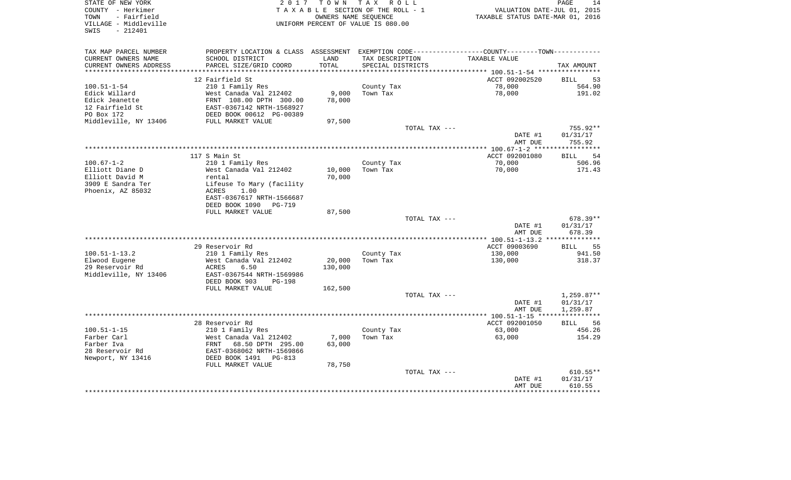| STATE OF NEW YORK<br>COUNTY - Herkimer<br>TOWN<br>- Fairfield<br>VILLAGE - Middleville<br>$-212401$<br>SWIS | 2017                                                                                             |         | TOWN TAX ROLL<br>TAXABLE SECTION OF THE ROLL - 1<br>OWNERS NAME SEQUENCE<br>UNIFORM PERCENT OF VALUE IS 080.00 | VALUATION DATE-JUL 01, 2015<br>TAXABLE STATUS DATE-MAR 01, 2016 | 14<br>PAGE           |
|-------------------------------------------------------------------------------------------------------------|--------------------------------------------------------------------------------------------------|---------|----------------------------------------------------------------------------------------------------------------|-----------------------------------------------------------------|----------------------|
| TAX MAP PARCEL NUMBER                                                                                       | PROPERTY LOCATION & CLASS ASSESSMENT EXEMPTION CODE----------------COUNTY--------TOWN----------- |         |                                                                                                                |                                                                 |                      |
| CURRENT OWNERS NAME                                                                                         | SCHOOL DISTRICT                                                                                  | LAND    | TAX DESCRIPTION                                                                                                | TAXABLE VALUE                                                   |                      |
| CURRENT OWNERS ADDRESS                                                                                      | PARCEL SIZE/GRID COORD                                                                           | TOTAL   | SPECIAL DISTRICTS                                                                                              |                                                                 | TAX AMOUNT           |
| ***********************                                                                                     |                                                                                                  |         |                                                                                                                |                                                                 |                      |
|                                                                                                             | 12 Fairfield St                                                                                  |         |                                                                                                                | ACCT 092002520                                                  | BILL<br>53           |
| $100.51 - 1 - 54$                                                                                           | 210 1 Family Res                                                                                 |         | County Tax                                                                                                     | 78,000                                                          | 564.90               |
| Edick Willard                                                                                               | West Canada Val 212402                                                                           | 9,000   | Town Tax                                                                                                       | 78,000                                                          | 191.02               |
| Edick Jeanette<br>12 Fairfield St                                                                           | FRNT 108.00 DPTH 300.00<br>EAST-0367142 NRTH-1568927                                             | 78,000  |                                                                                                                |                                                                 |                      |
| PO Box 172                                                                                                  | DEED BOOK 00612 PG-00389                                                                         |         |                                                                                                                |                                                                 |                      |
| Middleville, NY 13406                                                                                       | FULL MARKET VALUE                                                                                | 97,500  |                                                                                                                |                                                                 |                      |
|                                                                                                             |                                                                                                  |         | TOTAL TAX ---                                                                                                  |                                                                 | 755.92**             |
|                                                                                                             |                                                                                                  |         |                                                                                                                | DATE #1                                                         | 01/31/17             |
|                                                                                                             |                                                                                                  |         |                                                                                                                | AMT DUE                                                         | 755.92               |
|                                                                                                             |                                                                                                  |         |                                                                                                                |                                                                 |                      |
|                                                                                                             | 117 S Main St                                                                                    |         |                                                                                                                | ACCT 092001080                                                  | 54<br><b>BILL</b>    |
| 100.67-1-2                                                                                                  | 210 1 Family Res                                                                                 |         | County Tax                                                                                                     | 70,000                                                          | 506.96               |
| Elliott Diane D                                                                                             | West Canada Val 212402                                                                           | 10,000  | Town Tax                                                                                                       | 70,000                                                          | 171.43               |
| Elliott David M<br>3909 E Sandra Ter                                                                        | rental                                                                                           | 70,000  |                                                                                                                |                                                                 |                      |
| Phoenix, AZ 85032                                                                                           | Lifeuse To Mary (facility<br>ACRES<br>1.00                                                       |         |                                                                                                                |                                                                 |                      |
|                                                                                                             | EAST-0367617 NRTH-1566687                                                                        |         |                                                                                                                |                                                                 |                      |
|                                                                                                             | DEED BOOK 1090<br>PG-719                                                                         |         |                                                                                                                |                                                                 |                      |
|                                                                                                             | FULL MARKET VALUE                                                                                | 87,500  |                                                                                                                |                                                                 |                      |
|                                                                                                             |                                                                                                  |         | TOTAL TAX ---                                                                                                  |                                                                 | $678.39**$           |
|                                                                                                             |                                                                                                  |         |                                                                                                                | DATE #1                                                         | 01/31/17             |
|                                                                                                             |                                                                                                  |         |                                                                                                                | AMT DUE                                                         | 678.39               |
|                                                                                                             |                                                                                                  |         |                                                                                                                |                                                                 |                      |
|                                                                                                             | 29 Reservoir Rd                                                                                  |         |                                                                                                                | ACCT 09003690                                                   | 55<br><b>BILL</b>    |
| $100.51 - 1 - 13.2$<br>Elwood Eugene                                                                        | 210 1 Family Res<br>West Canada Val 212402                                                       | 20,000  | County Tax<br>Town Tax                                                                                         | 130,000<br>130,000                                              | 941.50<br>318.37     |
| 29 Reservoir Rd                                                                                             | 6.50<br>ACRES                                                                                    | 130,000 |                                                                                                                |                                                                 |                      |
| Middleville, NY 13406                                                                                       | EAST-0367544 NRTH-1569986                                                                        |         |                                                                                                                |                                                                 |                      |
|                                                                                                             | DEED BOOK 903<br><b>PG-198</b>                                                                   |         |                                                                                                                |                                                                 |                      |
|                                                                                                             | FULL MARKET VALUE                                                                                | 162,500 |                                                                                                                |                                                                 |                      |
|                                                                                                             |                                                                                                  |         | TOTAL TAX ---                                                                                                  |                                                                 | $1,259.87**$         |
|                                                                                                             |                                                                                                  |         |                                                                                                                | DATE #1                                                         | 01/31/17             |
|                                                                                                             |                                                                                                  |         |                                                                                                                | AMT DUE                                                         | 1,259.87             |
|                                                                                                             |                                                                                                  |         |                                                                                                                |                                                                 |                      |
| $100.51 - 1 - 15$                                                                                           | 28 Reservoir Rd                                                                                  |         |                                                                                                                | ACCT 092001050<br>63,000                                        | 56<br>BILL<br>456.26 |
| Farber Carl                                                                                                 | 210 1 Family Res<br>West Canada Val 212402                                                       | 7,000   | County Tax<br>Town Tax                                                                                         | 63,000                                                          | 154.29               |
| Farber Iva                                                                                                  | FRNT<br>68.50 DPTH 295.00                                                                        | 63,000  |                                                                                                                |                                                                 |                      |
| 28 Reservoir Rd                                                                                             | EAST-0368062 NRTH-1569866                                                                        |         |                                                                                                                |                                                                 |                      |
| Newport, NY 13416                                                                                           | DEED BOOK 1491<br>PG-813                                                                         |         |                                                                                                                |                                                                 |                      |
|                                                                                                             | FULL MARKET VALUE                                                                                | 78,750  |                                                                                                                |                                                                 |                      |
|                                                                                                             |                                                                                                  |         | TOTAL TAX ---                                                                                                  |                                                                 | $610.55**$           |
|                                                                                                             |                                                                                                  |         |                                                                                                                | DATE #1                                                         | 01/31/17             |
|                                                                                                             |                                                                                                  |         |                                                                                                                | AMT DUE                                                         | 610.55               |
|                                                                                                             |                                                                                                  |         |                                                                                                                |                                                                 |                      |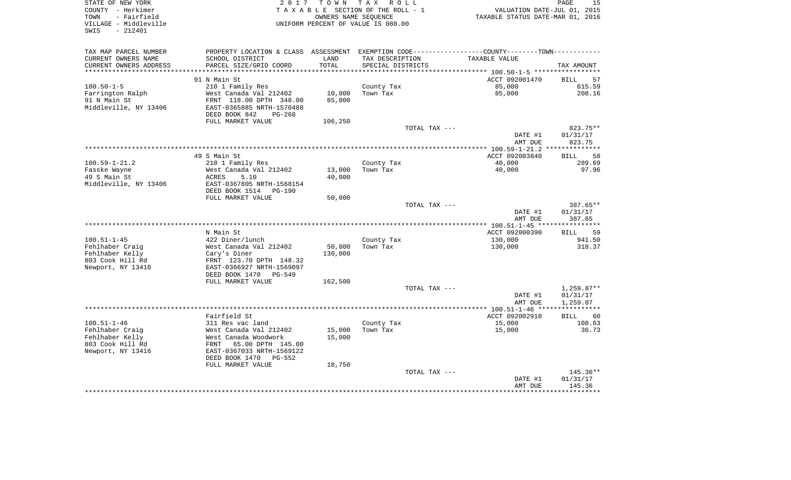| STATE OF NEW YORK<br>COUNTY - Herkimer<br>- Fairfield<br>TOWN<br>VILLAGE - Middleville<br>$-212401$<br>SWIS | 2 0 1 7                                           | T O W N       | T A X<br>R O L L<br>TAXABLE SECTION OF THE ROLL - 1<br>OWNERS NAME SEOUENCE<br>UNIFORM PERCENT OF VALUE IS 080.00 |                                                                       | VALUATION DATE-JUL 01, 2015<br>TAXABLE STATUS DATE-MAR 01, 2016 | PAGE<br>15            |
|-------------------------------------------------------------------------------------------------------------|---------------------------------------------------|---------------|-------------------------------------------------------------------------------------------------------------------|-----------------------------------------------------------------------|-----------------------------------------------------------------|-----------------------|
| TAX MAP PARCEL NUMBER                                                                                       | PROPERTY LOCATION & CLASS                         |               |                                                                                                                   | ASSESSMENT EXEMPTION CODE-----------------COUNTY-------TOWN---------- |                                                                 |                       |
| CURRENT OWNERS NAME<br>CURRENT OWNERS ADDRESS                                                               | SCHOOL DISTRICT<br>PARCEL SIZE/GRID COORD         | LAND<br>TOTAL | TAX DESCRIPTION<br>SPECIAL DISTRICTS                                                                              |                                                                       | TAXABLE VALUE                                                   | TAX AMOUNT            |
|                                                                                                             |                                                   |               |                                                                                                                   |                                                                       |                                                                 |                       |
|                                                                                                             | 91 N Main St                                      |               |                                                                                                                   |                                                                       | ACCT 092001470                                                  | <b>BILL</b><br>57     |
| $100.50 - 1 - 5$                                                                                            | 210 1 Family Res                                  |               | County Tax                                                                                                        |                                                                       | 85,000                                                          | 615.59                |
| Farrington Ralph                                                                                            | West Canada Val 212402                            | 10,000        | Town Tax                                                                                                          |                                                                       | 85,000                                                          | 208.16                |
| 91 N Main St                                                                                                | FRNT 118.00 DPTH 348.00                           | 85,000        |                                                                                                                   |                                                                       |                                                                 |                       |
| Middleville, NY 13406                                                                                       | EAST-0365885 NRTH-1570488                         |               |                                                                                                                   |                                                                       |                                                                 |                       |
|                                                                                                             | DEED BOOK 842<br>$PG-268$                         |               |                                                                                                                   |                                                                       |                                                                 |                       |
|                                                                                                             | FULL MARKET VALUE                                 | 106,250       |                                                                                                                   |                                                                       |                                                                 |                       |
|                                                                                                             |                                                   |               |                                                                                                                   | TOTAL TAX ---                                                         |                                                                 | 823.75**              |
|                                                                                                             |                                                   |               |                                                                                                                   |                                                                       | DATE #1                                                         | 01/31/17              |
|                                                                                                             |                                                   |               |                                                                                                                   |                                                                       | AMT DUE                                                         | 823.75                |
|                                                                                                             | 49 S Main St                                      |               |                                                                                                                   |                                                                       | ACCT 092003840                                                  | 58                    |
| $100.59 - 1 - 21.2$                                                                                         | 210 1 Family Res                                  |               | County Tax                                                                                                        |                                                                       | 40,000                                                          | <b>BILL</b><br>289.69 |
| Fasske Wayne                                                                                                | West Canada Val 212402                            | 13,000        | Town Tax                                                                                                          |                                                                       | 40,000                                                          | 97.96                 |
| 49 S Main St                                                                                                | 5.10<br><b>ACRES</b>                              | 40,000        |                                                                                                                   |                                                                       |                                                                 |                       |
| Middleville, NY 13406                                                                                       | EAST-0367805 NRTH-1568154                         |               |                                                                                                                   |                                                                       |                                                                 |                       |
|                                                                                                             | DEED BOOK 1514<br>$PG-190$                        |               |                                                                                                                   |                                                                       |                                                                 |                       |
|                                                                                                             | FULL MARKET VALUE                                 | 50,000        |                                                                                                                   |                                                                       |                                                                 |                       |
|                                                                                                             |                                                   |               |                                                                                                                   | TOTAL TAX ---                                                         |                                                                 | 387.65**              |
|                                                                                                             |                                                   |               |                                                                                                                   |                                                                       | DATE #1<br>AMT DUE                                              | 01/31/17<br>387.65    |
|                                                                                                             |                                                   |               |                                                                                                                   |                                                                       | *********** 100.51-1-45 *****************                       |                       |
|                                                                                                             | N Main St                                         |               |                                                                                                                   |                                                                       | ACCT 092000390                                                  | 59<br><b>BILL</b>     |
| $100.51 - 1 - 45$                                                                                           | 422 Diner/lunch                                   |               | County Tax                                                                                                        |                                                                       | 130,000                                                         | 941.50                |
| Fehlhaber Craig                                                                                             | West Canada Val 212402                            | 50,000        | Town Tax                                                                                                          |                                                                       | 130,000                                                         | 318.37                |
| Fehlhaber Kelly<br>803 Cook Hill Rd                                                                         | Cary's Diner<br>FRNT 123.70 DPTH 148.32           | 130,000       |                                                                                                                   |                                                                       |                                                                 |                       |
| Newport, NY 13416                                                                                           | EAST-0366927 NRTH-1569097                         |               |                                                                                                                   |                                                                       |                                                                 |                       |
|                                                                                                             | DEED BOOK 1470<br>PG-549                          |               |                                                                                                                   |                                                                       |                                                                 |                       |
|                                                                                                             | FULL MARKET VALUE                                 | 162,500       |                                                                                                                   |                                                                       |                                                                 |                       |
|                                                                                                             |                                                   |               |                                                                                                                   | TOTAL TAX ---                                                         |                                                                 | $1,259.87**$          |
|                                                                                                             |                                                   |               |                                                                                                                   |                                                                       | DATE #1                                                         | 01/31/17              |
|                                                                                                             |                                                   |               |                                                                                                                   |                                                                       | AMT DUE                                                         | 1,259.87              |
|                                                                                                             |                                                   |               |                                                                                                                   |                                                                       | ********** 100.51-1-46 *****************                        |                       |
|                                                                                                             | Fairfield St                                      |               |                                                                                                                   |                                                                       | ACCT 092002910                                                  | 60<br><b>BILL</b>     |
| $100.51 - 1 - 46$                                                                                           | 311 Res vac land                                  |               | County Tax                                                                                                        |                                                                       | 15,000                                                          | 108.63                |
| Fehlhaber Craig                                                                                             | West Canada Val 212402                            | 15,000        | Town Tax                                                                                                          |                                                                       | 15,000                                                          | 36.73                 |
| Fehlhaber Kelly<br>803 Cook Hill Rd                                                                         | West Canada Woodwork<br>FRNT<br>65.00 DPTH 145.00 | 15,000        |                                                                                                                   |                                                                       |                                                                 |                       |
| Newport, NY 13416                                                                                           | EAST-0367033 NRTH-1569122                         |               |                                                                                                                   |                                                                       |                                                                 |                       |
|                                                                                                             | DEED BOOK 1470<br>$PG-552$                        |               |                                                                                                                   |                                                                       |                                                                 |                       |
|                                                                                                             | FULL MARKET VALUE                                 | 18,750        |                                                                                                                   |                                                                       |                                                                 |                       |
|                                                                                                             |                                                   |               |                                                                                                                   | TOTAL TAX ---                                                         |                                                                 | 145.36**              |
|                                                                                                             |                                                   |               |                                                                                                                   |                                                                       | DATE #1                                                         | 01/31/17              |
|                                                                                                             |                                                   |               |                                                                                                                   |                                                                       | AMT DUE                                                         | 145.36                |
|                                                                                                             |                                                   |               |                                                                                                                   |                                                                       |                                                                 | ********              |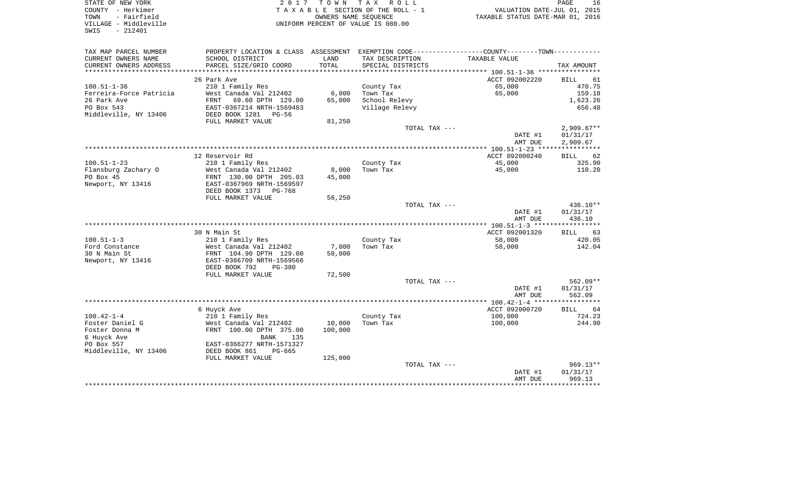| STATE OF NEW YORK<br>COUNTY - Herkimer<br>TOWN<br>- Fairfield |                                                                                               | OWNERS NAME SEOUENCE | 2017 TOWN TAX ROLL<br>TAXABLE SECTION OF THE ROLL - 1 | VALUATION DATE-JUL 01, 2015<br>TAXABLE STATUS DATE-MAR 01, 2016 | PAGE<br>16                  |
|---------------------------------------------------------------|-----------------------------------------------------------------------------------------------|----------------------|-------------------------------------------------------|-----------------------------------------------------------------|-----------------------------|
| VILLAGE - Middleville<br>$-212401$<br>SWIS                    |                                                                                               |                      | UNIFORM PERCENT OF VALUE IS 080.00                    |                                                                 |                             |
| TAX MAP PARCEL NUMBER                                         | PROPERTY LOCATION & CLASS ASSESSMENT EXEMPTION CODE---------------COUNTY-------TOWN---------- |                      |                                                       |                                                                 |                             |
| CURRENT OWNERS NAME<br>CURRENT OWNERS ADDRESS                 | SCHOOL DISTRICT<br>PARCEL SIZE/GRID COORD                                                     | LAND<br>TOTAL        | TAX DESCRIPTION<br>SPECIAL DISTRICTS                  | TAXABLE VALUE                                                   | TAX AMOUNT                  |
|                                                               |                                                                                               |                      |                                                       |                                                                 |                             |
| $100.51 - 1 - 36$                                             | 26 Park Ave<br>210 1 Family Res                                                               |                      |                                                       | ACCT 092002220<br>65,000                                        | <b>BILL</b><br>61<br>470.75 |
| Ferreira-Force Patricia                                       | West Canada Val 212402                                                                        |                      | County Tax<br>$6,000$ Town Tax                        | 65,000                                                          | 159.18                      |
| 26 Park Ave                                                   | 69.60 DPTH 129.00<br>FRNT                                                                     | 65,000               | School Relevy                                         |                                                                 | 1,623.26                    |
| PO Box 543                                                    | EAST-0367214 NRTH-1569483                                                                     |                      | Village Relevy                                        |                                                                 | 656.48                      |
| Middleville, NY 13406                                         | DEED BOOK 1281 PG-56                                                                          |                      |                                                       |                                                                 |                             |
|                                                               | FULL MARKET VALUE                                                                             | 81,250               |                                                       |                                                                 |                             |
|                                                               |                                                                                               |                      | TOTAL TAX ---                                         |                                                                 | $2,909.67**$                |
|                                                               |                                                                                               |                      |                                                       | DATE #1<br>AMT DUE                                              | 01/31/17<br>2,909.67        |
|                                                               |                                                                                               |                      |                                                       |                                                                 |                             |
|                                                               | 12 Reservoir Rd                                                                               |                      |                                                       | ACCT 092000240                                                  | 62<br>BILL                  |
| $100.51 - 1 - 23$                                             | 210 1 Family Res                                                                              |                      | County Tax                                            | 45,000                                                          | 325.90                      |
| Flansburg Zachary O                                           | West Canada Val 212402                                                                        | 8,000                | Town Tax                                              | 45,000                                                          | 110.20                      |
| PO Box 45                                                     | FRNT 130.00 DPTH 205.03                                                                       | 45,000               |                                                       |                                                                 |                             |
| Newport, NY 13416                                             | EAST-0367969 NRTH-1569597                                                                     |                      |                                                       |                                                                 |                             |
|                                                               | DEED BOOK 1373 PG-768                                                                         |                      |                                                       |                                                                 |                             |
|                                                               | FULL MARKET VALUE                                                                             | 56,250               | TOTAL TAX ---                                         |                                                                 | $436.10**$                  |
|                                                               |                                                                                               |                      |                                                       | DATE #1                                                         | 01/31/17                    |
|                                                               |                                                                                               |                      |                                                       | AMT DUE                                                         | 436.10                      |
|                                                               |                                                                                               |                      |                                                       |                                                                 |                             |
|                                                               | 30 N Main St                                                                                  |                      |                                                       | ACCT 092001320                                                  | 63<br>BILL                  |
| $100.51 - 1 - 3$                                              | 210 1 Family Res                                                                              |                      | County Tax                                            | 58,000                                                          | 420.05                      |
| Ford Constance                                                | West Canada Val 212402                                                                        | 7,000                | Town Tax                                              | 58,000                                                          | 142.04                      |
| 30 N Main St                                                  | FRNT 104.90 DPTH 129.00                                                                       | 58,000               |                                                       |                                                                 |                             |
| Newport, NY 13416                                             | EAST-0366709 NRTH-1569566                                                                     |                      |                                                       |                                                                 |                             |
|                                                               | DEED BOOK 792<br><b>PG-380</b>                                                                |                      |                                                       |                                                                 |                             |
|                                                               | FULL MARKET VALUE                                                                             | 72,500               | TOTAL TAX ---                                         |                                                                 | $562.09**$                  |
|                                                               |                                                                                               |                      |                                                       | DATE #1                                                         | 01/31/17                    |
|                                                               |                                                                                               |                      |                                                       |                                                                 |                             |

| 30 N Main St          | FRNT 104.90 DPTH 129.00    | 58,000  |               |                                      |            |
|-----------------------|----------------------------|---------|---------------|--------------------------------------|------------|
| Newport, NY 13416     | EAST-0366709 NRTH-1569566  |         |               |                                      |            |
|                       | DEED BOOK 792<br>PG-380    |         |               |                                      |            |
|                       | FULL MARKET VALUE          | 72,500  |               |                                      |            |
|                       |                            |         | TOTAL TAX --- |                                      | $562.09**$ |
|                       |                            |         |               | DATE #1                              | 01/31/17   |
|                       |                            |         |               | AMT DUE                              | 562.09     |
|                       |                            |         |               | $100.42 - 1 - 4$ ******************* |            |
|                       | 6 Huyck Ave                |         |               | ACCT 092000720                       | 64<br>BILL |
| 100.42-1-4            | 210 1 Family Res           |         | County Tax    | 100,000                              | 724.23     |
| Foster Daniel G       | West Canada Val 212402     | 10,000  | Town Tax      | 100,000                              | 244.90     |
| Foster Donna M        | 100.00 DPTH 375.00<br>FRNT | 100,000 |               |                                      |            |
| 6 Huyck Ave           | 135<br>BANK                |         |               |                                      |            |
| PO Box 557            | EAST-0366277 NRTH-1571327  |         |               |                                      |            |
| Middleville, NY 13406 | DEED BOOK 861<br>PG-665    |         |               |                                      |            |
|                       | FULL MARKET VALUE          | 125,000 |               |                                      |            |
|                       |                            |         | TOTAL TAX --- |                                      | $969.13**$ |
|                       |                            |         |               | DATE #1                              | 01/31/17   |
|                       |                            |         |               | AMT DUE                              | 969.13     |
|                       |                            |         |               |                                      |            |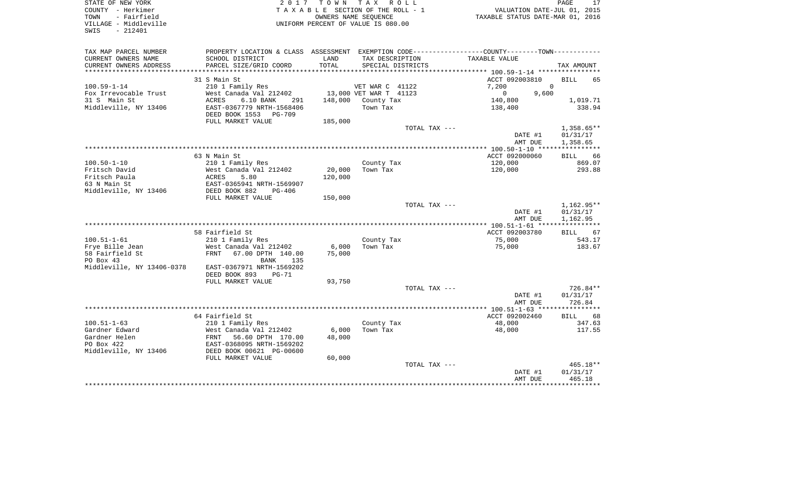| COUNTY<br>– Herkimer<br>- Fairfield<br>TOWN<br>VILLAGE - Middleville<br>$-212401$<br>SWIS |                                                            |                 | TAXABLE SECTION OF THE ROLL - 1<br>OWNERS NAME SEQUENCE<br>UNIFORM PERCENT OF VALUE IS 080.00 | TAXABLE STATUS DATE-MAR 01, 2016                                                               | VALUATION DATE-JUL 01, 2015          |
|-------------------------------------------------------------------------------------------|------------------------------------------------------------|-----------------|-----------------------------------------------------------------------------------------------|------------------------------------------------------------------------------------------------|--------------------------------------|
| TAX MAP PARCEL NUMBER                                                                     |                                                            |                 |                                                                                               | PROPERTY LOCATION & CLASS ASSESSMENT EXEMPTION CODE----------------COUNTY-------TOWN---------- |                                      |
| CURRENT OWNERS NAME                                                                       | SCHOOL DISTRICT                                            | LAND            | TAX DESCRIPTION                                                                               | TAXABLE VALUE                                                                                  |                                      |
| CURRENT OWNERS ADDRESS                                                                    | PARCEL SIZE/GRID COORD                                     | TOTAL           | SPECIAL DISTRICTS                                                                             |                                                                                                | TAX AMOUNT                           |
|                                                                                           |                                                            |                 |                                                                                               | ***************** 100.59-1-14 *****************                                                |                                      |
|                                                                                           | 31 S Main St                                               |                 |                                                                                               | ACCT 092003810                                                                                 | <b>BILL</b><br>65                    |
| $100.59 - 1 - 14$                                                                         | 210 1 Family Res                                           |                 | VET WAR C 41122                                                                               | 7,200                                                                                          | $\Omega$                             |
| Fox Irrevocable Trust                                                                     | West Canada Val 212402                                     |                 | 13,000 VET WAR T 41123                                                                        | $\mathbf 0$                                                                                    | 9,600                                |
| 31 S Main St                                                                              | <b>ACRES</b><br>6.10 BANK<br>291                           | 148,000         | County Tax                                                                                    | 140,800                                                                                        | 1,019.71                             |
| Middleville, NY 13406                                                                     | EAST-0367779 NRTH-1568406<br>DEED BOOK 1553<br>PG-709      |                 | Town Tax                                                                                      | 138,400                                                                                        | 338.94                               |
|                                                                                           | FULL MARKET VALUE                                          | 185,000         |                                                                                               |                                                                                                |                                      |
|                                                                                           |                                                            |                 |                                                                                               | TOTAL TAX ---<br>DATE #1<br>AMT DUE                                                            | $1,358.65**$<br>01/31/17<br>1,358.65 |
|                                                                                           |                                                            |                 |                                                                                               |                                                                                                |                                      |
|                                                                                           | 63 N Main St                                               |                 |                                                                                               | ACCT 092000060                                                                                 | 66<br>BILL                           |
| $100.50 - 1 - 10$                                                                         | 210 1 Family Res                                           |                 | County Tax                                                                                    | 120,000                                                                                        | 869.07                               |
| Fritsch David                                                                             | West Canada Val 212402                                     | 20,000          | Town Tax                                                                                      | 120,000                                                                                        | 293.88                               |
| Fritsch Paula                                                                             | 5.80<br>ACRES                                              | 120,000         |                                                                                               |                                                                                                |                                      |
| 63 N Main St                                                                              | EAST-0365941 NRTH-1569907                                  |                 |                                                                                               |                                                                                                |                                      |
| Middleville, NY 13406                                                                     | DEED BOOK 882<br>$PG-406$<br>FULL MARKET VALUE             | 150,000         |                                                                                               |                                                                                                |                                      |
|                                                                                           |                                                            |                 |                                                                                               | TOTAL TAX ---                                                                                  | 1,162.95**                           |
|                                                                                           |                                                            |                 |                                                                                               | DATE #1                                                                                        | 01/31/17                             |
|                                                                                           |                                                            |                 |                                                                                               | AMT DUE                                                                                        | 1,162.95                             |
|                                                                                           |                                                            |                 |                                                                                               |                                                                                                |                                      |
|                                                                                           | 58 Fairfield St                                            |                 |                                                                                               | ACCT 092003780                                                                                 | <b>BILL</b><br>67                    |
| $100.51 - 1 - 61$                                                                         | 210 1 Family Res                                           |                 | County Tax                                                                                    | 75,000                                                                                         | 543.17                               |
| Frye Bille Jean<br>58 Fairfield St                                                        | West Canada Val 212402<br><b>FRNT</b><br>67.00 DPTH 140.00 | 6,000<br>75,000 | Town Tax                                                                                      | 75,000                                                                                         | 183.67                               |
| PO Box 43                                                                                 | <b>BANK</b><br>135                                         |                 |                                                                                               |                                                                                                |                                      |
| Middleville, NY 13406-0378                                                                | EAST-0367971 NRTH-1569202                                  |                 |                                                                                               |                                                                                                |                                      |
|                                                                                           | DEED BOOK 893<br>$PG-71$                                   |                 |                                                                                               |                                                                                                |                                      |
|                                                                                           | FULL MARKET VALUE                                          | 93,750          |                                                                                               |                                                                                                |                                      |
|                                                                                           |                                                            |                 |                                                                                               | TOTAL TAX ---<br>DATE #1                                                                       | 726.84**<br>01/31/17                 |
|                                                                                           |                                                            |                 |                                                                                               | AMT DUE                                                                                        | 726.84                               |
|                                                                                           |                                                            |                 |                                                                                               |                                                                                                |                                      |
|                                                                                           | 64 Fairfield St                                            |                 |                                                                                               | ACCT 092002460                                                                                 | 68<br><b>BILL</b>                    |
| $100.51 - 1 - 63$                                                                         | 210 1 Family Res                                           |                 | County Tax                                                                                    | 48,000                                                                                         | 347.63                               |
| Gardner Edward                                                                            | West Canada Val 212402                                     | 6,000           | Town Tax                                                                                      | 48,000                                                                                         | 117.55                               |
| Gardner Helen                                                                             | FRNT<br>56.60 DPTH 170.00                                  | 48,000          |                                                                                               |                                                                                                |                                      |
| PO Box 422                                                                                | EAST-0368095 NRTH-1569202                                  |                 |                                                                                               |                                                                                                |                                      |
| Middleville, NY 13406                                                                     | DEED BOOK 00621 PG-00600<br>FULL MARKET VALUE              |                 |                                                                                               |                                                                                                |                                      |
|                                                                                           |                                                            | 60,000          |                                                                                               | TOTAL TAX ---                                                                                  | 465.18**                             |
|                                                                                           |                                                            |                 |                                                                                               | DATE #1                                                                                        | 01/31/17                             |
|                                                                                           |                                                            |                 |                                                                                               | AMT DUE                                                                                        | 465.18                               |
|                                                                                           |                                                            |                 |                                                                                               |                                                                                                |                                      |

PAGE 17

STATE OF NEW YORK **EXECUTE:**  $2017$  TOWN TAX ROLL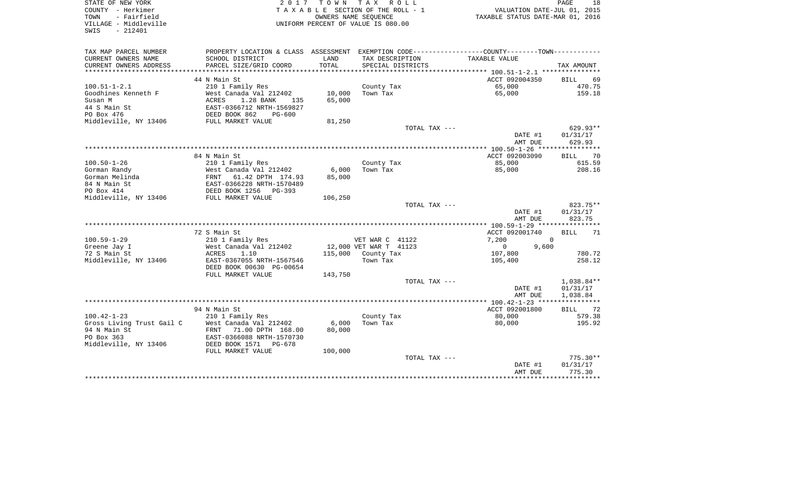| STATE OF NEW YORK<br>COUNTY - Herkimer<br>- Fairfield<br>TOWN<br>VILLAGE - Middleville | 2017                                                                         |         | TOWN TAX ROLL<br>TAXABLE SECTION OF THE ROLL - 1<br>OWNERS NAME SEQUENCE<br>UNIFORM PERCENT OF VALUE IS 080.00 | VALUATION DATE-JUL 01, 2015<br>TAXABLE STATUS DATE-MAR 01, 2016                              | 18<br>PAGE         |
|----------------------------------------------------------------------------------------|------------------------------------------------------------------------------|---------|----------------------------------------------------------------------------------------------------------------|----------------------------------------------------------------------------------------------|--------------------|
| SWIS<br>$-212401$                                                                      |                                                                              |         |                                                                                                                |                                                                                              |                    |
| TAX MAP PARCEL NUMBER                                                                  |                                                                              |         |                                                                                                                | PROPERTY LOCATION & CLASS ASSESSMENT EXEMPTION CODE---------------COUNTY-------TOWN--------- |                    |
| CURRENT OWNERS NAME                                                                    | SCHOOL DISTRICT                                                              | LAND    | TAX DESCRIPTION                                                                                                | TAXABLE VALUE                                                                                |                    |
| CURRENT OWNERS ADDRESS                                                                 | PARCEL SIZE/GRID COORD                                                       | TOTAL   | SPECIAL DISTRICTS                                                                                              |                                                                                              | TAX AMOUNT         |
|                                                                                        |                                                                              |         |                                                                                                                |                                                                                              |                    |
|                                                                                        | 44 N Main St                                                                 |         |                                                                                                                | ACCT 092004350                                                                               | <b>BILL</b><br>69  |
| $100.51 - 1 - 2.1$                                                                     | 210 1 Family Res                                                             |         | County Tax                                                                                                     | 65,000                                                                                       | 470.75             |
| Goodhines Kenneth F                                                                    | West Canada Val 212402                                                       | 10,000  | Town Tax                                                                                                       | 65,000                                                                                       | 159.18             |
| Susan M                                                                                | 1.28 BANK<br>ACRES<br>135                                                    | 65,000  |                                                                                                                |                                                                                              |                    |
| 44 S Main St                                                                           | EAST-0366712 NRTH-1569827                                                    |         |                                                                                                                |                                                                                              |                    |
| PO Box 476                                                                             | DEED BOOK 862<br>$PG-600$                                                    |         |                                                                                                                |                                                                                              |                    |
| Middleville, NY 13406                                                                  | FULL MARKET VALUE                                                            | 81,250  |                                                                                                                |                                                                                              |                    |
|                                                                                        |                                                                              |         | TOTAL TAX ---                                                                                                  |                                                                                              | 629.93**           |
|                                                                                        |                                                                              |         |                                                                                                                | DATE #1<br>AMT DUE                                                                           | 01/31/17<br>629.93 |
|                                                                                        |                                                                              |         |                                                                                                                |                                                                                              |                    |
|                                                                                        | 84 N Main St                                                                 |         |                                                                                                                | ACCT 092003090                                                                               | <b>BILL</b><br>70  |
| $100.50 - 1 - 26$                                                                      | 210 1 Family Res                                                             |         | County Tax                                                                                                     | 85,000                                                                                       | 615.59             |
| Gorman Randy                                                                           | West Canada Val 212402                                                       | 6,000   | Town Tax                                                                                                       | 85,000                                                                                       | 208.16             |
| Gorman Melinda                                                                         |                                                                              | 85,000  |                                                                                                                |                                                                                              |                    |
| 84 N Main St                                                                           |                                                                              |         |                                                                                                                |                                                                                              |                    |
| PO Box 414                                                                             | FRNT 61.42 DPTH 174.93<br>EAST-0366228 NRTH-1570489<br>DEED BOOK 1256 PG-393 |         |                                                                                                                |                                                                                              |                    |
| Middleville, NY 13406                                                                  | FULL MARKET VALUE                                                            | 106,250 |                                                                                                                |                                                                                              |                    |
|                                                                                        |                                                                              |         | TOTAL TAX ---                                                                                                  |                                                                                              | 823.75**           |
|                                                                                        |                                                                              |         |                                                                                                                | DATE #1                                                                                      | 01/31/17           |
|                                                                                        |                                                                              |         |                                                                                                                | AMT DUE                                                                                      | 823.75             |
|                                                                                        | 72 S Main St                                                                 |         |                                                                                                                | ACCT 092001740                                                                               | <b>BILL</b><br>71  |
| $100.59 - 1 - 29$                                                                      | 210 1 Family Res                                                             |         | VET WAR C 41122                                                                                                | 7,200<br>$\Omega$                                                                            |                    |
| Greene Jay I                                                                           | West Canada Val 212402                                                       |         | 12,000 VET WAR T 41123                                                                                         | $0 \qquad \qquad$<br>9,600                                                                   |                    |
| 72 S Main St                                                                           | ACRES<br>1.10                                                                |         | 115,000 County Tax                                                                                             | 107,800                                                                                      | 780.72             |
| Middleville, NY 13406                                                                  | EAST-0367055 NRTH-1567546                                                    |         | Town Tax                                                                                                       | 105,400                                                                                      | 258.12             |
|                                                                                        | DEED BOOK 00630 PG-00654                                                     |         |                                                                                                                |                                                                                              |                    |
|                                                                                        | FULL MARKET VALUE                                                            | 143,750 |                                                                                                                |                                                                                              |                    |
|                                                                                        |                                                                              |         | TOTAL TAX ---                                                                                                  |                                                                                              | 1,038.84**         |
|                                                                                        |                                                                              |         |                                                                                                                | DATE #1                                                                                      | 01/31/17           |
|                                                                                        |                                                                              |         |                                                                                                                | AMT DUE                                                                                      | 1,038.84           |
|                                                                                        |                                                                              |         |                                                                                                                | *************** 100.42-1-23 *****************                                                |                    |
|                                                                                        | 94 N Main St                                                                 |         |                                                                                                                | ACCT 092001800                                                                               | BILL 72            |
| $100.42 - 1 - 23$                                                                      | 210 1 Family Res                                                             |         | County Tax                                                                                                     | 80,000                                                                                       | 579.38             |
| Gross Living Trust Gail C                                                              | West Canada Val 212402                                                       | 6,000   | Town Tax                                                                                                       | 80,000                                                                                       | 195.92             |
| 94 N Main St<br>PO Box 363                                                             | FRNT 71.00 DPTH 168.00<br>EAST-0366088 NRTH-1570730                          | 80,000  |                                                                                                                |                                                                                              |                    |
| Middleville, NY 13406                                                                  | DEED BOOK 1571 PG-678                                                        |         |                                                                                                                |                                                                                              |                    |
|                                                                                        | FULL MARKET VALUE                                                            | 100,000 |                                                                                                                |                                                                                              |                    |
|                                                                                        |                                                                              |         | TOTAL TAX ---                                                                                                  |                                                                                              | $775.30**$         |
|                                                                                        |                                                                              |         |                                                                                                                | DATE #1                                                                                      | 01/31/17           |
|                                                                                        |                                                                              |         |                                                                                                                | AMT DUE                                                                                      | 775.30             |
|                                                                                        |                                                                              |         |                                                                                                                |                                                                                              |                    |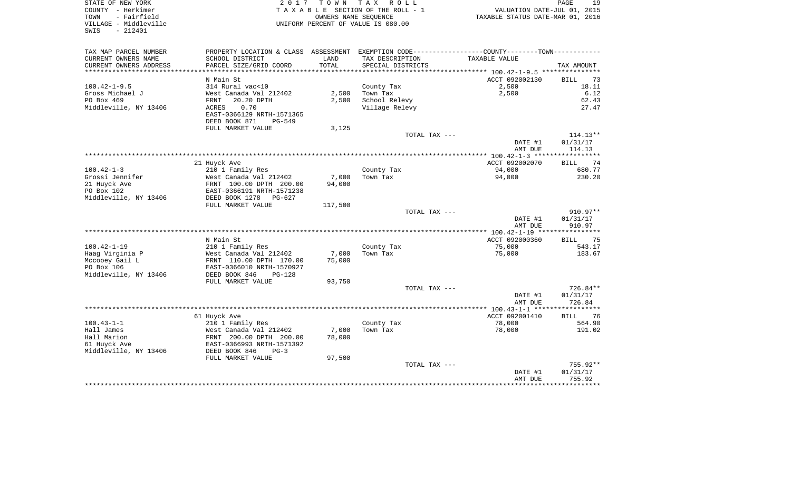SWIS - 212401

STATE OF NEW YORK PAGE 2017 TO W N T A X R O L L COUNTY - Herkimer T A X A B L E SECTION OF THE ROLL - 1 VALUATION DATE-JUL 01, 2015 TOWN - Fairfield OWNERS NAME SEQUENCE TAXABLE STATUS DATE-MAR 01, 2016 VILLAGE - Middleville UNIFORM PERCENT OF VALUE IS 080.00

19

| TAX MAP PARCEL NUMBER     | PROPERTY LOCATION & CLASS ASSESSMENT |         |                   | EXEMPTION CODE-----------------COUNTY-------TOWN----------- |                   |
|---------------------------|--------------------------------------|---------|-------------------|-------------------------------------------------------------|-------------------|
| CURRENT OWNERS NAME       | SCHOOL DISTRICT                      | LAND    | TAX DESCRIPTION   | TAXABLE VALUE                                               |                   |
| CURRENT OWNERS ADDRESS    | PARCEL SIZE/GRID COORD               | TOTAL   | SPECIAL DISTRICTS |                                                             | TAX AMOUNT        |
| ************************* |                                      |         |                   |                                                             |                   |
|                           | N Main St                            |         |                   | ACCT 092002130                                              | 73<br><b>BILL</b> |
| $100.42 - 1 - 9.5$        | 314 Rural vac<10                     |         | County Tax        | 2,500                                                       | 18.11             |
| Gross Michael J           | West Canada Val 212402               | 2,500   | Town Tax          | 2,500                                                       | 6.12              |
| PO Box 469                | 20.20 DPTH<br><b>FRNT</b>            | 2,500   | School Relevy     |                                                             | 62.43             |
| Middleville, NY 13406     | 0.70<br>ACRES                        |         | Village Relevy    |                                                             | 27.47             |
|                           | EAST-0366129 NRTH-1571365            |         |                   |                                                             |                   |
|                           | DEED BOOK 871<br>$PG-549$            |         |                   |                                                             |                   |
|                           | FULL MARKET VALUE                    | 3,125   |                   |                                                             |                   |
|                           |                                      |         | TOTAL TAX ---     |                                                             | $114.13**$        |
|                           |                                      |         |                   | DATE #1                                                     | 01/31/17          |
|                           |                                      |         |                   | AMT DUE                                                     | 114.13            |
|                           |                                      |         |                   |                                                             |                   |
|                           | 21 Huyck Ave                         |         |                   | ACCT 092002070                                              | 74<br>BILL        |
| $100.42 - 1 - 3$          | 210 1 Family Res                     |         | County Tax        | 94,000                                                      | 680.77            |
| Grossi Jennifer           | West Canada Val 212402               | 7,000   | Town Tax          | 94,000                                                      | 230.20            |
| 21 Huyck Ave              | FRNT 100.00 DPTH 200.00              | 94,000  |                   |                                                             |                   |
| PO Box 102                | EAST-0366191 NRTH-1571238            |         |                   |                                                             |                   |
| Middleville, NY 13406     | DEED BOOK 1278 PG-627                |         |                   |                                                             |                   |
|                           | FULL MARKET VALUE                    | 117,500 | TOTAL TAX ---     |                                                             | $910.97**$        |
|                           |                                      |         |                   | DATE #1                                                     | 01/31/17          |
|                           |                                      |         |                   | AMT DUE                                                     | 910.97            |
|                           |                                      |         |                   |                                                             |                   |
|                           | N Main St                            |         |                   | ACCT 092000360                                              | <b>BILL</b><br>75 |
| $100.42 - 1 - 19$         | 210 1 Family Res                     |         | County Tax        | 75,000                                                      | 543.17            |
| Haag Virginia P           | West Canada Val 212402               | 7,000   | Town Tax          | 75,000                                                      | 183.67            |
| Mccooey Gail L            | FRNT 110.00 DPTH 170.00              | 75,000  |                   |                                                             |                   |
| PO Box 106                | EAST-0366010 NRTH-1570927            |         |                   |                                                             |                   |
| Middleville, NY 13406     | DEED BOOK 846<br>$PG-128$            |         |                   |                                                             |                   |
|                           | FULL MARKET VALUE                    | 93,750  |                   |                                                             |                   |
|                           |                                      |         | TOTAL TAX ---     |                                                             | $726.84**$        |
|                           |                                      |         |                   | DATE #1                                                     | 01/31/17          |
|                           |                                      |         |                   | AMT DUE                                                     | 726.84            |
|                           |                                      |         |                   |                                                             |                   |
|                           | 61 Huyck Ave                         |         |                   | ACCT 092001410                                              | 76<br><b>BILL</b> |
| $100.43 - 1 - 1$          | 210 1 Family Res                     |         | County Tax        | 78,000                                                      | 564.90            |
| Hall James                | West Canada Val 212402               | 7,000   | Town Tax          | 78,000                                                      | 191.02            |
| Hall Marion               | FRNT 200.00 DPTH 200.00              | 78,000  |                   |                                                             |                   |
| 61 Huyck Ave              | EAST-0366993 NRTH-1571392            |         |                   |                                                             |                   |
| Middleville, NY 13406     | DEED BOOK 846<br>$PG-3$              |         |                   |                                                             |                   |
|                           | FULL MARKET VALUE                    | 97,500  |                   |                                                             |                   |
|                           |                                      |         | TOTAL TAX ---     |                                                             | $755.92**$        |
|                           |                                      |         |                   | DATE #1                                                     | 01/31/17          |
|                           |                                      |         |                   | AMT DUE                                                     | 755.92            |
|                           |                                      |         |                   |                                                             |                   |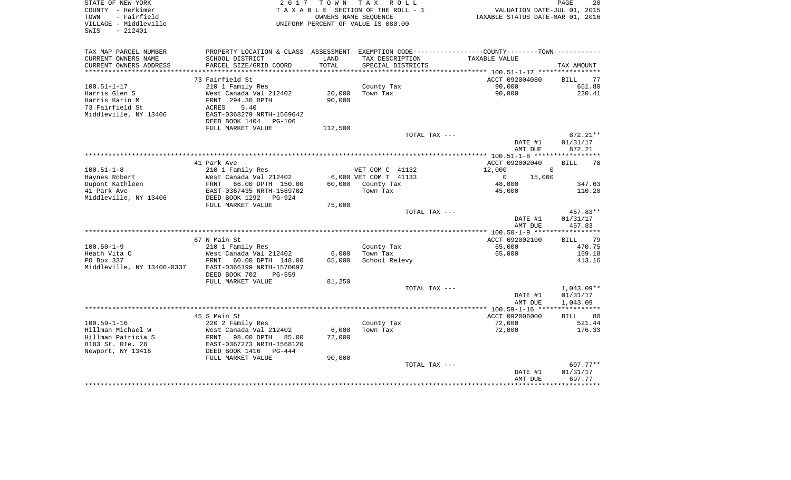| STATE OF NEW YORK<br>COUNTY - Herkimer<br>- Fairfield<br>TOWN<br>VILLAGE - Middleville<br>$-212401$<br>SWIS | 2017                                                   | T O W N<br>OWNERS NAME SEQUENCE | TAX ROLL<br>TAXABLE SECTION OF THE ROLL - 1<br>UNIFORM PERCENT OF VALUE IS 080.00             | VALUATION DATE-JUL 01, 2015<br>TAXABLE STATUS DATE-MAR 01, 2016 | PAGE<br>20                  |
|-------------------------------------------------------------------------------------------------------------|--------------------------------------------------------|---------------------------------|-----------------------------------------------------------------------------------------------|-----------------------------------------------------------------|-----------------------------|
| TAX MAP PARCEL NUMBER                                                                                       |                                                        |                                 | PROPERTY LOCATION & CLASS ASSESSMENT EXEMPTION CODE---------------COUNTY-------TOWN---------- |                                                                 |                             |
| CURRENT OWNERS NAME                                                                                         | SCHOOL DISTRICT                                        | LAND                            | TAX DESCRIPTION                                                                               | TAXABLE VALUE                                                   |                             |
| CURRENT OWNERS ADDRESS<br>***********************                                                           | PARCEL SIZE/GRID COORD                                 | TOTAL                           | SPECIAL DISTRICTS                                                                             |                                                                 | TAX AMOUNT                  |
|                                                                                                             | 73 Fairfield St                                        |                                 |                                                                                               | ACCT 092004080                                                  | 77<br><b>BILL</b>           |
| $100.51 - 1 - 17$                                                                                           | 210 1 Family Res                                       |                                 | County Tax                                                                                    | 90,000                                                          | 651.80                      |
| Harris Glen S                                                                                               | West Canada Val 212402                                 | 20,000                          | Town Tax                                                                                      | 90,000                                                          | 220.41                      |
| Harris Karin M                                                                                              | FRNT 294.30 DPTH                                       | 90,000                          |                                                                                               |                                                                 |                             |
| 73 Fairfield St                                                                                             | <b>ACRES</b><br>5.40                                   |                                 |                                                                                               |                                                                 |                             |
| Middleville, NY 13406                                                                                       | EAST-0368279 NRTH-1569642                              |                                 |                                                                                               |                                                                 |                             |
|                                                                                                             | DEED BOOK 1404<br><b>PG-106</b>                        |                                 |                                                                                               |                                                                 |                             |
|                                                                                                             | FULL MARKET VALUE                                      | 112,500                         |                                                                                               |                                                                 |                             |
|                                                                                                             |                                                        |                                 | TOTAL TAX ---                                                                                 | DATE #1                                                         | 872.21**<br>01/31/17        |
|                                                                                                             |                                                        |                                 |                                                                                               | AMT DUE                                                         | 872.21                      |
|                                                                                                             |                                                        |                                 |                                                                                               |                                                                 |                             |
|                                                                                                             | 41 Park Ave                                            |                                 |                                                                                               | ACCT 092002040                                                  | 78<br><b>BILL</b>           |
| $100.51 - 1 - 8$                                                                                            | 210 1 Family Res                                       |                                 | VET COM C 41132                                                                               | 12,000<br>$\Omega$                                              |                             |
| Haynes Robert                                                                                               | West Canada Val 212402                                 |                                 | 6,000 VET COM T 41133                                                                         | 15,000<br>$\Omega$                                              |                             |
| Dupont Kathleen<br>41 Park Ave                                                                              | 66.00 DPTH 150.00<br>FRNT<br>EAST-0367435 NRTH-1569702 | 60,000                          | County Tax<br>Town Tax                                                                        | 48,000<br>45,000                                                | 347.63<br>110.20            |
| Middleville, NY 13406                                                                                       | DEED BOOK 1292<br>$PG-924$                             |                                 |                                                                                               |                                                                 |                             |
|                                                                                                             | FULL MARKET VALUE                                      | 75,000                          |                                                                                               |                                                                 |                             |
|                                                                                                             |                                                        |                                 | TOTAL TAX ---                                                                                 |                                                                 | 457.83**                    |
|                                                                                                             |                                                        |                                 |                                                                                               | DATE #1                                                         | 01/31/17                    |
|                                                                                                             |                                                        |                                 |                                                                                               | AMT DUE                                                         | 457.83                      |
|                                                                                                             |                                                        |                                 |                                                                                               |                                                                 |                             |
| $100.50 - 1 - 9$                                                                                            | 67 N Main St<br>210 1 Family Res                       |                                 | County Tax                                                                                    | ACCT 092002100<br>65,000                                        | 79<br><b>BILL</b><br>470.75 |
| Heath Vita C                                                                                                | West Canada Val 212402                                 | 6,000                           | Town Tax                                                                                      | 65,000                                                          | 159.18                      |
| PO Box 337                                                                                                  | FRNT<br>60.00 DPTH 148.00                              | 65,000                          | School Relevy                                                                                 |                                                                 | 413.16                      |
| Middleville, NY 13406-0337                                                                                  | EAST-0366199 NRTH-1570097                              |                                 |                                                                                               |                                                                 |                             |
|                                                                                                             | DEED BOOK 702<br>PG-559                                |                                 |                                                                                               |                                                                 |                             |
|                                                                                                             | FULL MARKET VALUE                                      | 81,250                          |                                                                                               |                                                                 |                             |
|                                                                                                             |                                                        |                                 | TOTAL TAX ---                                                                                 |                                                                 | $1,043.09**$                |
|                                                                                                             |                                                        |                                 |                                                                                               | DATE #1<br>AMT DUE                                              | 01/31/17<br>1,043.09        |
|                                                                                                             |                                                        |                                 |                                                                                               |                                                                 |                             |
|                                                                                                             | 45 S Main St                                           |                                 |                                                                                               | ACCT 092006000                                                  | <b>BILL</b><br>80           |
| $100.59 - 1 - 16$                                                                                           | 220 2 Family Res                                       |                                 | County Tax                                                                                    | 72,000                                                          | 521.44                      |
| Hillman Michael W                                                                                           | West Canada Val 212402                                 | 6,000                           | Town Tax                                                                                      | 72,000                                                          | 176.33                      |
| Hillman Patricia S                                                                                          | 98.00 DPTH<br>FRNT<br>85.00                            | 72,000                          |                                                                                               |                                                                 |                             |
| 8183 St. Rte. 28                                                                                            | EAST-0367273 NRTH-1568120                              |                                 |                                                                                               |                                                                 |                             |
| Newport, NY 13416                                                                                           | DEED BOOK 1416<br>$PG-444$<br>FULL MARKET VALUE        | 90,000                          |                                                                                               |                                                                 |                             |
|                                                                                                             |                                                        |                                 | TOTAL TAX ---                                                                                 |                                                                 | 697.77**                    |
|                                                                                                             |                                                        |                                 |                                                                                               | DATE #1                                                         | 01/31/17                    |
|                                                                                                             |                                                        |                                 |                                                                                               | AMT DUE                                                         | 697.77                      |
|                                                                                                             |                                                        |                                 |                                                                                               |                                                                 |                             |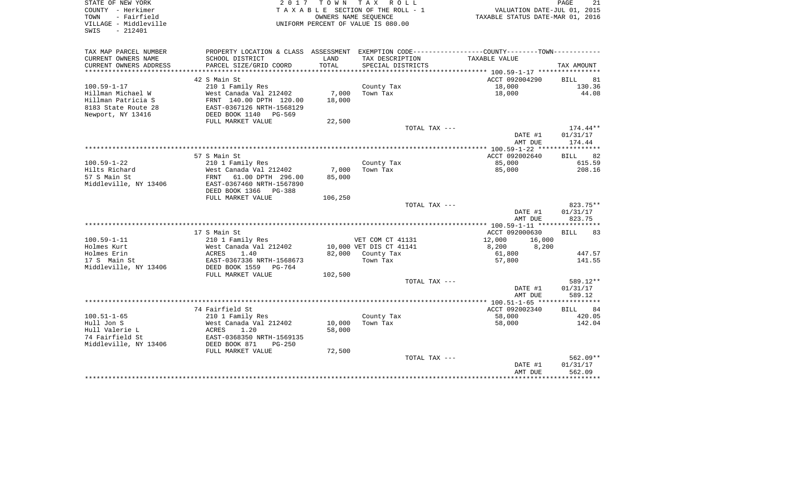| STATE OF NEW YORK<br>COUNTY - Herkimer<br>TOWN<br>- Fairfield<br>VILLAGE - Middleville<br>SWIS<br>$-212401$ | 2017                                                | T O W N<br>OWNERS NAME SEQUENCE | TAX ROLL<br>TAXABLE SECTION OF THE ROLL - 1<br>UNIFORM PERCENT OF VALUE IS 080.00 | VALUATION DATE-JUL 01, 2015<br>TAXABLE STATUS DATE-MAR 01, 2016                               | PAGE<br>21         |
|-------------------------------------------------------------------------------------------------------------|-----------------------------------------------------|---------------------------------|-----------------------------------------------------------------------------------|-----------------------------------------------------------------------------------------------|--------------------|
| TAX MAP PARCEL NUMBER                                                                                       |                                                     |                                 |                                                                                   | PROPERTY LOCATION & CLASS ASSESSMENT EXEMPTION CODE---------------COUNTY-------TOWN---------- |                    |
| CURRENT OWNERS NAME                                                                                         | SCHOOL DISTRICT                                     | LAND                            | TAX DESCRIPTION                                                                   | TAXABLE VALUE                                                                                 |                    |
| CURRENT OWNERS ADDRESS                                                                                      | PARCEL SIZE/GRID COORD                              | TOTAL                           | SPECIAL DISTRICTS                                                                 |                                                                                               | TAX AMOUNT         |
|                                                                                                             |                                                     |                                 |                                                                                   |                                                                                               |                    |
|                                                                                                             | 42 S Main St                                        |                                 |                                                                                   | ACCT 092004290                                                                                | <b>BILL</b><br>81  |
| $100.59 - 1 - 17$                                                                                           | 210 1 Family Res                                    |                                 | County Tax                                                                        | 18,000                                                                                        | 130.36             |
| Hillman Michael W                                                                                           | West Canada Val 212402                              | 7,000                           | Town Tax                                                                          | 18,000                                                                                        | 44.08              |
| Hillman Patricia S                                                                                          | FRNT 140.00 DPTH 120.00                             | 18,000                          |                                                                                   |                                                                                               |                    |
| 8183 State Route 28                                                                                         | EAST-0367126 NRTH-1568129                           |                                 |                                                                                   |                                                                                               |                    |
| Newport, NY 13416                                                                                           | DEED BOOK 1140 PG-569<br>FULL MARKET VALUE          | 22,500                          |                                                                                   |                                                                                               |                    |
|                                                                                                             |                                                     |                                 | TOTAL TAX ---                                                                     |                                                                                               | $174.44**$         |
|                                                                                                             |                                                     |                                 |                                                                                   | DATE #1                                                                                       | 01/31/17           |
|                                                                                                             |                                                     |                                 |                                                                                   | AMT DUE                                                                                       | 174.44             |
|                                                                                                             |                                                     |                                 |                                                                                   |                                                                                               |                    |
|                                                                                                             | 57 S Main St                                        |                                 |                                                                                   | ACCT 092002640                                                                                | <b>BILL</b><br>82  |
| $100.59 - 1 - 22$                                                                                           | 210 1 Family Res                                    |                                 | County Tax<br>Town Tax                                                            | 85,000                                                                                        | 615.59             |
| Hilts Richard<br>57 S Main St                                                                               | West Canada Val 212402<br>FRNT<br>61.00 DPTH 296.00 | 7,000<br>85,000                 |                                                                                   | 85,000                                                                                        | 208.16             |
| Middleville, NY 13406                                                                                       | EAST-0367460 NRTH-1567890                           |                                 |                                                                                   |                                                                                               |                    |
|                                                                                                             | DEED BOOK 1366 PG-388                               |                                 |                                                                                   |                                                                                               |                    |
|                                                                                                             | FULL MARKET VALUE                                   | 106,250                         |                                                                                   |                                                                                               |                    |
|                                                                                                             |                                                     |                                 | TOTAL TAX ---                                                                     |                                                                                               | 823.75**           |
|                                                                                                             |                                                     |                                 |                                                                                   | DATE #1<br>AMT DUE                                                                            | 01/31/17<br>823.75 |
|                                                                                                             | 17 S Main St                                        |                                 |                                                                                   | ACCT 092000630                                                                                | <b>BILL</b><br>83  |
| $100.59 - 1 - 11$                                                                                           | 210 1 Family Res                                    |                                 | VET COM CT 41131                                                                  | 12,000<br>16,000                                                                              |                    |
| Holmes Kurt                                                                                                 | West Canada Val 212402                              |                                 | 10,000 VET DIS CT 41141                                                           | 8,200<br>8,200                                                                                |                    |
| Holmes Erin                                                                                                 | 1.40<br>ACRES                                       |                                 | 82,000 County Tax                                                                 | 61,800                                                                                        | 447.57             |
| 17 S Main St                                                                                                | EAST-0367336 NRTH-1568673                           |                                 | Town Tax                                                                          | 57,800                                                                                        | 141.55             |
| Middleville, NY 13406                                                                                       | DEED BOOK 1559<br>PG-764                            |                                 |                                                                                   |                                                                                               |                    |
|                                                                                                             | FULL MARKET VALUE                                   | 102,500                         |                                                                                   |                                                                                               |                    |
|                                                                                                             |                                                     |                                 | TOTAL TAX ---                                                                     |                                                                                               | 589.12**           |
|                                                                                                             |                                                     |                                 |                                                                                   | DATE #1<br>AMT DUE                                                                            | 01/31/17<br>589.12 |
|                                                                                                             |                                                     |                                 |                                                                                   |                                                                                               |                    |
|                                                                                                             | 74 Fairfield St                                     |                                 |                                                                                   | ACCT 092002340                                                                                | 84<br><b>BILL</b>  |
| $100.51 - 1 - 65$                                                                                           | 210 1 Family Res                                    |                                 | County Tax                                                                        | 58,000                                                                                        | 420.05             |
| Hull Jon S                                                                                                  | West Canada Val 212402                              | 10,000                          | Town Tax                                                                          | 58,000                                                                                        | 142.04             |
| Hull Valerie L                                                                                              | ACRES<br>1.20                                       | 58,000                          |                                                                                   |                                                                                               |                    |
| 74 Fairfield St                                                                                             | EAST-0368350 NRTH-1569135                           |                                 |                                                                                   |                                                                                               |                    |
| Middleville, NY 13406                                                                                       | DEED BOOK 871<br>$PG-250$                           |                                 |                                                                                   |                                                                                               |                    |
|                                                                                                             | FULL MARKET VALUE                                   | 72,500                          | TOTAL TAX ---                                                                     |                                                                                               | $562.09**$         |
|                                                                                                             |                                                     |                                 |                                                                                   | DATE #1                                                                                       | 01/31/17           |
|                                                                                                             |                                                     |                                 |                                                                                   | AMT DUE                                                                                       | 562.09             |
|                                                                                                             |                                                     |                                 |                                                                                   |                                                                                               | ************       |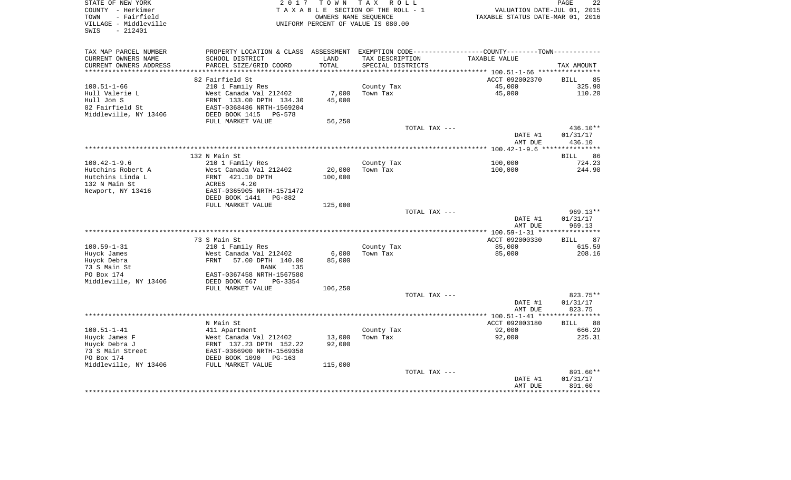| STATE OF NEW YORK<br>COUNTY - Herkimer<br>TOWN<br>- Fairfield<br>VILLAGE - Middleville<br>$-212401$<br>SWIS | 2017                                                                                           | T O W N<br>OWNERS NAME SEQUENCE | T A X<br>R O L L<br>TAXABLE SECTION OF THE ROLL - 1<br>UNIFORM PERCENT OF VALUE IS 080.00 | VALUATION DATE-JUL 01, 2015<br>TAXABLE STATUS DATE-MAR 01, 2016 | PAGE<br>22                      |
|-------------------------------------------------------------------------------------------------------------|------------------------------------------------------------------------------------------------|---------------------------------|-------------------------------------------------------------------------------------------|-----------------------------------------------------------------|---------------------------------|
| TAX MAP PARCEL NUMBER                                                                                       | PROPERTY LOCATION & CLASS ASSESSMENT EXEMPTION CODE---------------COUNTY--------TOWN---------- |                                 |                                                                                           |                                                                 |                                 |
| CURRENT OWNERS NAME                                                                                         | SCHOOL DISTRICT                                                                                | LAND                            | TAX DESCRIPTION                                                                           | TAXABLE VALUE                                                   |                                 |
| CURRENT OWNERS ADDRESS                                                                                      | PARCEL SIZE/GRID COORD                                                                         | TOTAL                           | SPECIAL DISTRICTS                                                                         |                                                                 | TAX AMOUNT                      |
| **********************                                                                                      | ****************************                                                                   |                                 |                                                                                           |                                                                 |                                 |
|                                                                                                             | 82 Fairfield St                                                                                |                                 |                                                                                           | ACCT 092002370                                                  | 85<br><b>BILL</b>               |
| $100.51 - 1 - 66$                                                                                           | 210 1 Family Res                                                                               |                                 | County Tax                                                                                | 45,000                                                          | 325.90                          |
| Hull Valerie L                                                                                              | West Canada Val 212402                                                                         | 7,000                           | Town Tax                                                                                  | 45,000                                                          | 110.20                          |
| Hull Jon S                                                                                                  | FRNT 133.00 DPTH 134.30                                                                        | 45,000                          |                                                                                           |                                                                 |                                 |
| 82 Fairfield St                                                                                             | EAST-0368486 NRTH-1569204                                                                      |                                 |                                                                                           |                                                                 |                                 |
| Middleville, NY 13406                                                                                       | DEED BOOK 1415<br>PG-578                                                                       |                                 |                                                                                           |                                                                 |                                 |
|                                                                                                             | FULL MARKET VALUE                                                                              | 56,250                          |                                                                                           |                                                                 |                                 |
|                                                                                                             |                                                                                                |                                 | TOTAL TAX ---                                                                             | DATE #1                                                         | 436.10**                        |
|                                                                                                             |                                                                                                |                                 |                                                                                           | AMT DUE                                                         | 01/31/17<br>436.10              |
|                                                                                                             |                                                                                                |                                 |                                                                                           |                                                                 |                                 |
|                                                                                                             | 132 N Main St                                                                                  |                                 |                                                                                           |                                                                 | 86<br>BILL                      |
| $100.42 - 1 - 9.6$                                                                                          | 210 1 Family Res                                                                               |                                 | County Tax                                                                                | 100,000                                                         | 724.23                          |
| Hutchins Robert A                                                                                           | West Canada Val 212402                                                                         | 20,000                          | Town Tax                                                                                  | 100,000                                                         | 244.90                          |
| Hutchins Linda L                                                                                            | FRNT 421.10 DPTH                                                                               | 100,000                         |                                                                                           |                                                                 |                                 |
| 132 N Main St                                                                                               | 4.20<br>ACRES                                                                                  |                                 |                                                                                           |                                                                 |                                 |
| Newport, NY 13416                                                                                           | EAST-0365905 NRTH-1571472                                                                      |                                 |                                                                                           |                                                                 |                                 |
|                                                                                                             | DEED BOOK 1441<br>PG-882                                                                       |                                 |                                                                                           |                                                                 |                                 |
|                                                                                                             | FULL MARKET VALUE                                                                              | 125,000                         |                                                                                           |                                                                 |                                 |
|                                                                                                             |                                                                                                |                                 | TOTAL TAX ---                                                                             |                                                                 | 969.13**                        |
|                                                                                                             |                                                                                                |                                 |                                                                                           | DATE #1                                                         | 01/31/17                        |
|                                                                                                             |                                                                                                |                                 |                                                                                           | AMT DUE                                                         | 969.13<br>* * * * * * * * * * * |
|                                                                                                             | 73 S Main St                                                                                   |                                 |                                                                                           | ACCT 092000330                                                  | 87<br>BILL                      |
| $100.59 - 1 - 31$                                                                                           | 210 1 Family Res                                                                               |                                 | County Tax                                                                                | 85,000                                                          | 615.59                          |
| Huyck James                                                                                                 | West Canada Val 212402                                                                         | 6,000                           | Town Tax                                                                                  | 85,000                                                          | 208.16                          |
| Huyck Debra                                                                                                 | FRNT<br>57.00 DPTH 140.00                                                                      | 85,000                          |                                                                                           |                                                                 |                                 |
| 73 S Main St                                                                                                | <b>BANK</b><br>135                                                                             |                                 |                                                                                           |                                                                 |                                 |
| PO Box 174                                                                                                  | EAST-0367458 NRTH-1567580                                                                      |                                 |                                                                                           |                                                                 |                                 |
| Middleville, NY 13406                                                                                       | DEED BOOK 667<br>PG-3354                                                                       |                                 |                                                                                           |                                                                 |                                 |
|                                                                                                             | FULL MARKET VALUE                                                                              | 106,250                         |                                                                                           |                                                                 |                                 |
|                                                                                                             |                                                                                                |                                 | TOTAL TAX ---                                                                             |                                                                 | 823.75**                        |
|                                                                                                             |                                                                                                |                                 |                                                                                           | DATE #1                                                         | 01/31/17                        |
|                                                                                                             |                                                                                                |                                 |                                                                                           | AMT DUE                                                         | 823.75                          |
|                                                                                                             |                                                                                                |                                 |                                                                                           |                                                                 |                                 |
|                                                                                                             | N Main St                                                                                      |                                 |                                                                                           | ACCT 092003180                                                  | 88<br><b>BILL</b>               |
| $100.51 - 1 - 41$                                                                                           | 411 Apartment                                                                                  |                                 | County Tax                                                                                | 92,000                                                          | 666.29                          |
| Huyck James F                                                                                               | West Canada Val 212402                                                                         | 13,000                          | Town Tax                                                                                  | 92,000                                                          | 225.31                          |
| Huyck Debra J                                                                                               | FRNT 137.23 DPTH 152.22                                                                        | 92,000                          |                                                                                           |                                                                 |                                 |
| 73 S Main Street<br>PO Box 174                                                                              | EAST-0366900 NRTH-1569358<br>DEED BOOK 1090<br>PG-163                                          |                                 |                                                                                           |                                                                 |                                 |
| Middleville, NY 13406                                                                                       | FULL MARKET VALUE                                                                              | 115,000                         |                                                                                           |                                                                 |                                 |
|                                                                                                             |                                                                                                |                                 | TOTAL TAX ---                                                                             |                                                                 | 891.60**                        |
|                                                                                                             |                                                                                                |                                 |                                                                                           | DATE #1                                                         | 01/31/17                        |
|                                                                                                             |                                                                                                |                                 |                                                                                           | AMT DUE                                                         | 891.60                          |
|                                                                                                             |                                                                                                |                                 |                                                                                           |                                                                 |                                 |
|                                                                                                             |                                                                                                |                                 |                                                                                           |                                                                 |                                 |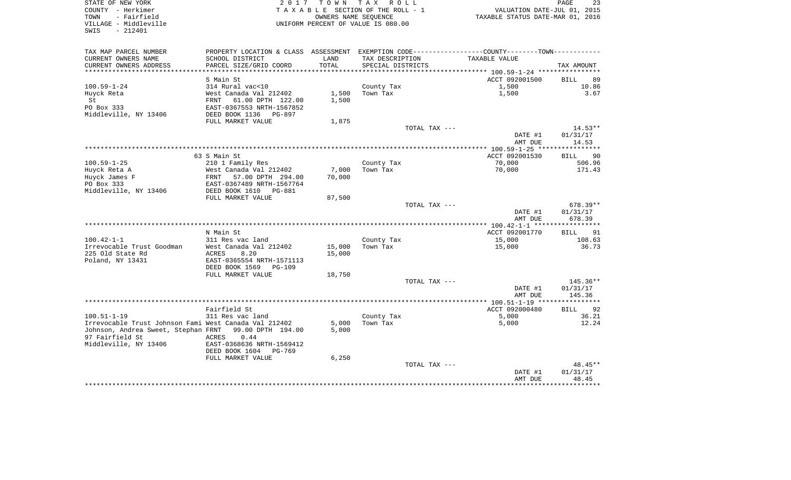| COUNTY - Herkimer<br>TOWN<br>- Fairfield<br>VILLAGE - Middleville<br>SWIS<br>$-212401$ |                                            |        | TAXABLE SECTION OF THE ROLL - 1<br>OWNERS NAME SEQUENCE<br>UNIFORM PERCENT OF VALUE IS 080.00 | VALUATION DATE-JUL 01, 2015<br>TAXABLE STATUS DATE-MAR 01, 2016                                |             |
|----------------------------------------------------------------------------------------|--------------------------------------------|--------|-----------------------------------------------------------------------------------------------|------------------------------------------------------------------------------------------------|-------------|
| TAX MAP PARCEL NUMBER                                                                  |                                            |        |                                                                                               | PROPERTY LOCATION & CLASS ASSESSMENT EXEMPTION CODE---------------COUNTY--------TOWN---------- |             |
| CURRENT OWNERS NAME                                                                    | SCHOOL DISTRICT                            | LAND   | TAX DESCRIPTION                                                                               | TAXABLE VALUE                                                                                  |             |
| CURRENT OWNERS ADDRESS                                                                 | PARCEL SIZE/GRID COORD                     | TOTAL  | SPECIAL DISTRICTS                                                                             |                                                                                                | TAX AMOUNT  |
| ***********************                                                                |                                            |        |                                                                                               |                                                                                                |             |
|                                                                                        | S Main St                                  |        |                                                                                               | ACCT 092001500                                                                                 | BILL        |
| $100.59 - 1 - 24$                                                                      | 314 Rural vac<10                           |        | County Tax                                                                                    | 1,500                                                                                          |             |
| Huyck Reta                                                                             | West Canada Val 212402                     | 1,500  | Town Tax                                                                                      | 1,500                                                                                          |             |
| St                                                                                     | FRNT 61.00 DPTH 122.00                     | 1,500  |                                                                                               |                                                                                                |             |
| PO Box 333                                                                             | EAST-0367553 NRTH-1567852                  |        |                                                                                               |                                                                                                |             |
| Middleville, NY 13406                                                                  | DEED BOOK 1136 PG-897                      |        |                                                                                               |                                                                                                |             |
|                                                                                        | FULL MARKET VALUE                          | 1,875  |                                                                                               |                                                                                                |             |
|                                                                                        |                                            |        | TOTAL TAX ---                                                                                 |                                                                                                | $14.53**$   |
|                                                                                        |                                            |        |                                                                                               | DATE #1                                                                                        | 01/31/17    |
|                                                                                        |                                            |        |                                                                                               | AMT DUE                                                                                        | 14.53       |
|                                                                                        |                                            |        |                                                                                               |                                                                                                |             |
|                                                                                        | 63 S Main St                               |        |                                                                                               | ACCT 092001530                                                                                 | BILL 90     |
| $100.59 - 1 - 25$                                                                      | 210 1 Family Res                           |        | County Tax                                                                                    | 70,000                                                                                         | 506.96      |
| Huyck Reta A                                                                           | West Canada Val 212402                     | 7,000  | Town Tax                                                                                      | 70,000                                                                                         | 171.43      |
| Huyck James F                                                                          | FRNT 57.00 DPTH 294.00                     | 70,000 |                                                                                               |                                                                                                |             |
| PO Box 333                                                                             | EAST-0367489 NRTH-1567764                  |        |                                                                                               |                                                                                                |             |
| Middleville, NY 13406                                                                  | DEED BOOK 1610 PG-881<br>FULL MARKET VALUE |        |                                                                                               |                                                                                                |             |
|                                                                                        |                                            | 87,500 | TOTAL TAX ---                                                                                 |                                                                                                | $678.39**$  |
|                                                                                        |                                            |        |                                                                                               | DATE #1                                                                                        | 01/31/17    |
|                                                                                        |                                            |        |                                                                                               | AMT DUE                                                                                        | 678.39      |
|                                                                                        |                                            |        |                                                                                               |                                                                                                |             |
|                                                                                        | N Main St                                  |        |                                                                                               | ACCT 092001770                                                                                 | <b>BILL</b> |
| $100.42 - 1 - 1$                                                                       | 311 Res vac land                           |        | County Tax                                                                                    | 15,000                                                                                         | 108.63      |
| Irrevocable Trust Goodman                                                              | West Canada Val 212402                     | 15,000 | Town Tax                                                                                      | 15,000                                                                                         |             |
| 225 Old State Rd                                                                       | ACRES<br>8.20                              | 15,000 |                                                                                               |                                                                                                | 36.73       |
| Poland, NY 13431                                                                       | EAST-0365554 NRTH-1571113                  |        |                                                                                               |                                                                                                |             |
|                                                                                        | DEED BOOK 1569 PG-109                      |        |                                                                                               |                                                                                                |             |
|                                                                                        | FULL MARKET VALUE                          | 18,750 |                                                                                               |                                                                                                |             |
|                                                                                        |                                            |        | TOTAL TAX ---                                                                                 |                                                                                                | 145.36**    |
|                                                                                        |                                            |        |                                                                                               | DATE #1                                                                                        | 01/31/17    |
|                                                                                        |                                            |        |                                                                                               | AMT DUE                                                                                        | 145.36      |
|                                                                                        |                                            |        |                                                                                               |                                                                                                |             |
|                                                                                        | Fairfield St                               |        |                                                                                               | ACCT 092000480                                                                                 | <b>BILL</b> |
| $100.51 - 1 - 19$                                                                      | 311 Res vac land                           |        | County Tax                                                                                    | 5,000                                                                                          |             |
| Irrevocable Trust Johnson Fami West Canada Val 212402                                  |                                            | 5,000  | Town Tax                                                                                      | 5,000                                                                                          | 12.24       |
| Johnson, Andrea Sweet, Stephan FRNT 99.00 DPTH 194.00                                  |                                            | 5.000  |                                                                                               |                                                                                                |             |
| 97 Fairfield St                                                                        | ACRES 0.44                                 |        |                                                                                               |                                                                                                |             |
| Middleville, NY 13406                                                                  | EAST-0368636 NRTH-1569412                  |        |                                                                                               |                                                                                                |             |
|                                                                                        | DEED BOOK 1604 PG-769                      |        |                                                                                               |                                                                                                |             |
|                                                                                        | FULL MARKET VALUE                          | 6,250  |                                                                                               |                                                                                                |             |
|                                                                                        |                                            |        | TOTAL TAX ---                                                                                 |                                                                                                | 48.45**     |
|                                                                                        |                                            |        |                                                                                               |                                                                                                |             |
|                                                                                        |                                            |        |                                                                                               | DATE #1                                                                                        | 01/31/17    |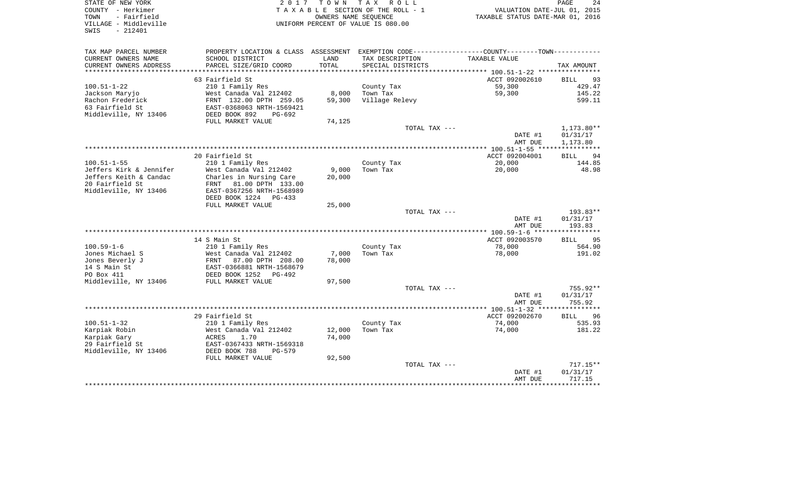| STATE OF NEW YORK<br>COUNTY - Herkimer<br>- Fairfield<br>TOWN<br>VILLAGE - Middleville<br>$-212401$<br>SWIS | 2017                                                 | T O W N | TAX ROLL<br>TAXABLE SECTION OF THE ROLL - 1<br>OWNERS NAME SEQUENCE<br>UNIFORM PERCENT OF VALUE IS 080.00 | VALUATION DATE-JUL 01, 2015<br>TAXABLE STATUS DATE-MAR 01, 2016                                  | PAGE<br>24        |
|-------------------------------------------------------------------------------------------------------------|------------------------------------------------------|---------|-----------------------------------------------------------------------------------------------------------|--------------------------------------------------------------------------------------------------|-------------------|
| TAX MAP PARCEL NUMBER                                                                                       |                                                      |         |                                                                                                           | PROPERTY LOCATION & CLASS ASSESSMENT EXEMPTION CODE----------------COUNTY--------TOWN----------- |                   |
| CURRENT OWNERS NAME                                                                                         | SCHOOL DISTRICT                                      | LAND    | TAX DESCRIPTION                                                                                           | TAXABLE VALUE                                                                                    |                   |
| CURRENT OWNERS ADDRESS                                                                                      | PARCEL SIZE/GRID COORD                               | TOTAL   | SPECIAL DISTRICTS                                                                                         |                                                                                                  | TAX AMOUNT        |
| **********************                                                                                      |                                                      |         |                                                                                                           |                                                                                                  |                   |
|                                                                                                             | 63 Fairfield St                                      |         |                                                                                                           | ACCT 092002610                                                                                   | 93<br>BILL        |
| $100.51 - 1 - 22$                                                                                           | 210 1 Family Res                                     |         | County Tax                                                                                                | 59,300                                                                                           | 429.47<br>145.22  |
| Jackson Maryjo                                                                                              | West Canada Val 212402                               | 8,000   | Town Tax                                                                                                  | 59,300                                                                                           |                   |
| Rachon Frederick<br>63 Fairfield St                                                                         | FRNT 132.00 DPTH 259.05<br>EAST-0368063 NRTH-1569421 | 59,300  | Village Relevy                                                                                            |                                                                                                  | 599.11            |
| Middleville, NY 13406                                                                                       | DEED BOOK 892<br>$PG-692$                            |         |                                                                                                           |                                                                                                  |                   |
|                                                                                                             | FULL MARKET VALUE                                    | 74,125  |                                                                                                           |                                                                                                  |                   |
|                                                                                                             |                                                      |         | TOTAL TAX ---                                                                                             |                                                                                                  | 1,173.80**        |
|                                                                                                             |                                                      |         |                                                                                                           | DATE #1                                                                                          | 01/31/17          |
|                                                                                                             |                                                      |         |                                                                                                           | AMT DUE                                                                                          | 1,173.80          |
|                                                                                                             |                                                      |         |                                                                                                           | **************** 100.51-1-55 *****************                                                   |                   |
|                                                                                                             | 20 Fairfield St                                      |         |                                                                                                           | ACCT 092004001                                                                                   | 94<br>BILL        |
| $100.51 - 1 - 55$                                                                                           | 210 1 Family Res                                     |         | County Tax                                                                                                | 20,000                                                                                           | 144.85            |
| Jeffers Kirk & Jennifer                                                                                     | West Canada Val 212402                               | 9.000   | Town Tax                                                                                                  | 20,000                                                                                           | 48.98             |
| Jeffers Keith & Candac                                                                                      | Charles in Nursing Care                              | 20,000  |                                                                                                           |                                                                                                  |                   |
| 20 Fairfield St                                                                                             | FRNT 81.00 DPTH 133.00                               |         |                                                                                                           |                                                                                                  |                   |
| Middleville, NY 13406                                                                                       | EAST-0367256 NRTH-1568989                            |         |                                                                                                           |                                                                                                  |                   |
|                                                                                                             | DEED BOOK 1224 PG-433<br>FULL MARKET VALUE           | 25,000  |                                                                                                           |                                                                                                  |                   |
|                                                                                                             |                                                      |         | TOTAL TAX ---                                                                                             |                                                                                                  | 193.83**          |
|                                                                                                             |                                                      |         |                                                                                                           | DATE #1                                                                                          | 01/31/17          |
|                                                                                                             |                                                      |         |                                                                                                           | AMT DUE                                                                                          | 193.83            |
|                                                                                                             |                                                      |         |                                                                                                           |                                                                                                  |                   |
|                                                                                                             | 14 S Main St                                         |         |                                                                                                           | ACCT 092003570                                                                                   | 95<br><b>BILL</b> |
| $100.59 - 1 - 6$                                                                                            | 210 1 Family Res                                     |         | County Tax                                                                                                | 78,000                                                                                           | 564.90            |
| Jones Michael S                                                                                             | West Canada Val 212402                               | 7,000   | Town Tax                                                                                                  | 78,000                                                                                           | 191.02            |
| Jones Beverly J                                                                                             | FRNT<br>87.00 DPTH 208.00                            | 78,000  |                                                                                                           |                                                                                                  |                   |
| 14 S Main St                                                                                                | EAST-0366881 NRTH-1568679                            |         |                                                                                                           |                                                                                                  |                   |
| PO Box 411                                                                                                  | DEED BOOK 1252<br>PG-492                             |         |                                                                                                           |                                                                                                  |                   |
| Middleville, NY 13406                                                                                       | FULL MARKET VALUE                                    | 97,500  |                                                                                                           |                                                                                                  |                   |
|                                                                                                             |                                                      |         | TOTAL TAX ---                                                                                             |                                                                                                  | $755.92**$        |
|                                                                                                             |                                                      |         |                                                                                                           | DATE #1                                                                                          | 01/31/17          |
|                                                                                                             |                                                      |         |                                                                                                           | AMT DUE                                                                                          | 755.92            |
|                                                                                                             | 29 Fairfield St                                      |         |                                                                                                           | ACCT 092002670                                                                                   | <b>BILL</b><br>96 |
| $100.51 - 1 - 32$                                                                                           | 210 1 Family Res                                     |         | County Tax                                                                                                | 74,000                                                                                           | 535.93            |
| Karpiak Robin                                                                                               | West Canada Val 212402                               | 12,000  | Town Tax                                                                                                  | 74,000                                                                                           | 181.22            |
| Karpiak Gary                                                                                                | ACRES<br>1.70                                        | 74,000  |                                                                                                           |                                                                                                  |                   |
| 29 Fairfield St                                                                                             | EAST-0367433 NRTH-1569318                            |         |                                                                                                           |                                                                                                  |                   |
| Middleville, NY 13406                                                                                       | DEED BOOK 788<br>$PG-579$                            |         |                                                                                                           |                                                                                                  |                   |
|                                                                                                             | FULL MARKET VALUE                                    | 92,500  |                                                                                                           |                                                                                                  |                   |
|                                                                                                             |                                                      |         | TOTAL TAX ---                                                                                             |                                                                                                  | $717.15**$        |
|                                                                                                             |                                                      |         |                                                                                                           | DATE #1                                                                                          | 01/31/17          |
|                                                                                                             |                                                      |         |                                                                                                           | AMT DUE<br>**************                                                                        | 717.15<br>.       |
|                                                                                                             |                                                      |         |                                                                                                           |                                                                                                  |                   |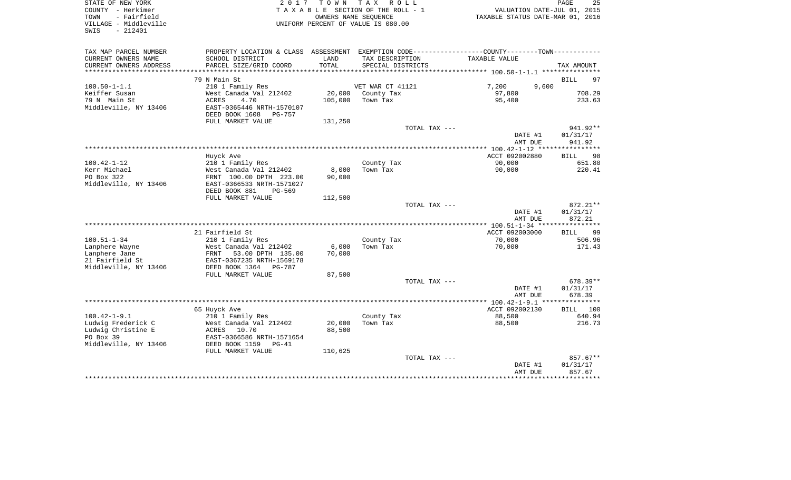| STATE OF NEW YORK<br>COUNTY - Herkimer<br>TOWN<br>- Fairfield<br>VILLAGE - Middleville<br>SWIS<br>$-212401$ | 2017                                                  | T O W N         | TAX ROLL<br>TAXABLE SECTION OF THE ROLL - 1<br>OWNERS NAME SEQUENCE<br>UNIFORM PERCENT OF VALUE IS 080.00 | VALUATION DATE-JUL 01, 2015<br>TAXABLE STATUS DATE-MAR 01, 2016                                 | 25<br>PAGE                     |
|-------------------------------------------------------------------------------------------------------------|-------------------------------------------------------|-----------------|-----------------------------------------------------------------------------------------------------------|-------------------------------------------------------------------------------------------------|--------------------------------|
| TAX MAP PARCEL NUMBER                                                                                       |                                                       |                 |                                                                                                           | PROPERTY LOCATION & CLASS ASSESSMENT EXEMPTION CODE----------------COUNTY--------TOWN---------- |                                |
| CURRENT OWNERS NAME                                                                                         | SCHOOL DISTRICT                                       | LAND            | TAX DESCRIPTION                                                                                           | TAXABLE VALUE                                                                                   |                                |
| CURRENT OWNERS ADDRESS                                                                                      | PARCEL SIZE/GRID COORD                                | TOTAL           | SPECIAL DISTRICTS                                                                                         |                                                                                                 | TAX AMOUNT                     |
|                                                                                                             | 79 N Main St                                          |                 |                                                                                                           |                                                                                                 | <b>BILL</b><br>97              |
| $100.50 - 1 - 1.1$                                                                                          | 210 1 Family Res                                      |                 | VET WAR CT 41121                                                                                          | 7,200<br>9,600                                                                                  |                                |
| Keiffer Susan                                                                                               | West Canada Val 212402                                | 20,000          | County Tax                                                                                                | 97,800                                                                                          | 708.29                         |
| 79 N Main St                                                                                                | ACRES<br>4.70                                         | 105,000         | Town Tax                                                                                                  | 95,400                                                                                          | 233.63                         |
| Middleville, NY 13406                                                                                       | EAST-0365446 NRTH-1570107<br>DEED BOOK 1608<br>PG-757 |                 |                                                                                                           |                                                                                                 |                                |
|                                                                                                             | FULL MARKET VALUE                                     | 131,250         |                                                                                                           |                                                                                                 |                                |
|                                                                                                             |                                                       |                 | TOTAL TAX ---                                                                                             | DATE #1<br>AMT DUE                                                                              | 941.92**<br>01/31/17<br>941.92 |
|                                                                                                             |                                                       |                 |                                                                                                           |                                                                                                 |                                |
|                                                                                                             | Huyck Ave                                             |                 |                                                                                                           | ACCT 092002880                                                                                  | <b>BILL</b><br>98              |
| $100.42 - 1 - 12$                                                                                           | 210 1 Family Res                                      |                 | County Tax                                                                                                | 90,000                                                                                          | 651.80                         |
| Kerr Michael<br>PO Box 322                                                                                  | West Canada Val 212402<br>FRNT 100.00 DPTH 223.00     | 8,000<br>90,000 | Town Tax                                                                                                  | 90,000                                                                                          | 220.41                         |
| Middleville, NY 13406                                                                                       | EAST-0366533 NRTH-1571027                             |                 |                                                                                                           |                                                                                                 |                                |
|                                                                                                             | DEED BOOK 881<br>PG-569                               |                 |                                                                                                           |                                                                                                 |                                |
|                                                                                                             | FULL MARKET VALUE                                     | 112,500         |                                                                                                           |                                                                                                 |                                |
|                                                                                                             |                                                       |                 | TOTAL TAX ---                                                                                             | DATE #1<br>AMT DUE                                                                              | 872.21**<br>01/31/17<br>872.21 |
|                                                                                                             |                                                       |                 |                                                                                                           |                                                                                                 |                                |
|                                                                                                             | 21 Fairfield St                                       |                 |                                                                                                           | ACCT 092003000                                                                                  | <b>BILL</b><br>99              |
| $100.51 - 1 - 34$                                                                                           | 210 1 Family Res                                      |                 | County Tax                                                                                                | 70,000                                                                                          | 506.96                         |
| Lanphere Wayne                                                                                              | West Canada Val 212402                                | 6,000           | Town Tax                                                                                                  | 70,000                                                                                          | 171.43                         |
| Lanphere Jane                                                                                               | 53.00 DPTH 135.00<br>FRNT                             | 70,000          |                                                                                                           |                                                                                                 |                                |
| 21 Fairfield St<br>Middleville, NY 13406                                                                    | EAST-0367235 NRTH-1569178<br>DEED BOOK 1364 PG-787    |                 |                                                                                                           |                                                                                                 |                                |
|                                                                                                             | FULL MARKET VALUE                                     | 87,500          |                                                                                                           |                                                                                                 |                                |
|                                                                                                             |                                                       |                 | TOTAL TAX ---                                                                                             |                                                                                                 | $678.39**$                     |
|                                                                                                             |                                                       |                 |                                                                                                           | DATE #1                                                                                         | 01/31/17                       |
|                                                                                                             |                                                       |                 |                                                                                                           | AMT DUE                                                                                         | 678.39                         |
|                                                                                                             |                                                       |                 |                                                                                                           |                                                                                                 |                                |
| $100.42 - 1 - 9.1$                                                                                          | 65 Huyck Ave<br>210 1 Family Res                      |                 | County Tax                                                                                                | ACCT 092002130<br>88,500                                                                        | BILL 100<br>640.94             |
| Ludwig Frederick C                                                                                          | West Canada Val 212402                                | 20,000          | Town Tax                                                                                                  | 88,500                                                                                          | 216.73                         |
| Ludwig Christine E                                                                                          | 10.70<br>ACRES                                        | 88,500          |                                                                                                           |                                                                                                 |                                |
| PO Box 39                                                                                                   | EAST-0366586 NRTH-1571654                             |                 |                                                                                                           |                                                                                                 |                                |
| Middleville, NY 13406                                                                                       | DEED BOOK 1159<br>$PG-41$                             |                 |                                                                                                           |                                                                                                 |                                |
|                                                                                                             | FULL MARKET VALUE                                     | 110,625         | TOTAL TAX ---                                                                                             |                                                                                                 | 857.67**                       |
|                                                                                                             |                                                       |                 |                                                                                                           | DATE #1                                                                                         | 01/31/17                       |
|                                                                                                             |                                                       |                 |                                                                                                           | AMT DUE                                                                                         | 857.67                         |
|                                                                                                             |                                                       |                 |                                                                                                           | ********************************                                                                |                                |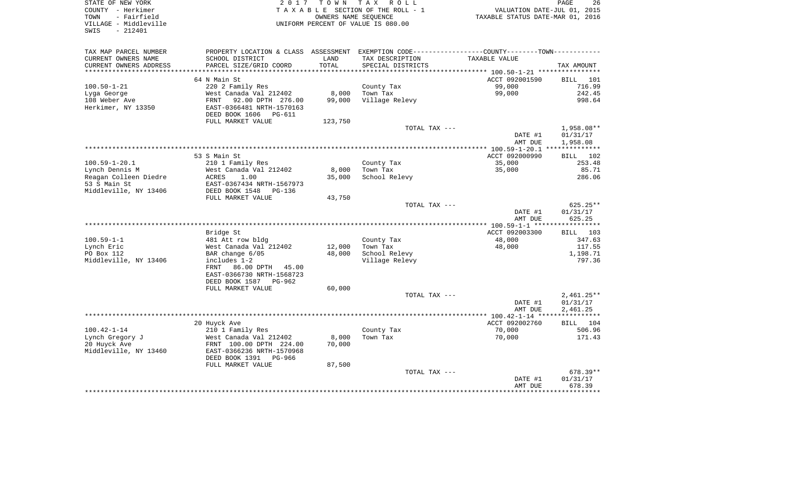| STATE OF NEW YORK<br>COUNTY - Herkimer<br>- Fairfield<br>TOWN<br>VILLAGE - Middleville | 2 0 1 7                                              | T O W N       | T A X<br>R O L L<br>TAXABLE SECTION OF THE ROLL - 1<br>OWNERS NAME SEQUENCE<br>UNIFORM PERCENT OF VALUE IS 080.00 | VALUATION DATE-JUL 01, 2015<br>TAXABLE STATUS DATE-MAR 01, 2016       | 26<br>PAGE            |
|----------------------------------------------------------------------------------------|------------------------------------------------------|---------------|-------------------------------------------------------------------------------------------------------------------|-----------------------------------------------------------------------|-----------------------|
| $-212401$<br>SWIS                                                                      |                                                      |               |                                                                                                                   |                                                                       |                       |
| TAX MAP PARCEL NUMBER                                                                  | PROPERTY LOCATION & CLASS                            |               |                                                                                                                   | ASSESSMENT EXEMPTION CODE-----------------COUNTY-------TOWN---------- |                       |
| CURRENT OWNERS NAME<br>CURRENT OWNERS ADDRESS                                          | SCHOOL DISTRICT<br>PARCEL SIZE/GRID COORD            | LAND<br>TOTAL | TAX DESCRIPTION<br>SPECIAL DISTRICTS                                                                              | TAXABLE VALUE                                                         | TAX AMOUNT            |
| ***********************                                                                |                                                      |               |                                                                                                                   |                                                                       |                       |
|                                                                                        | 64 N Main St                                         |               |                                                                                                                   | ACCT 092001590                                                        | 101<br>BILL           |
| $100.50 - 1 - 21$                                                                      | 220 2 Family Res                                     |               | County Tax                                                                                                        | 99,000                                                                | 716.99                |
| Lyga George                                                                            | West Canada Val 212402                               | 8,000         | Town Tax                                                                                                          | 99,000                                                                | 242.45                |
| 108 Weber Ave                                                                          | 92.00 DPTH 276.00<br>FRNT                            | 99,000        | Village Relevy                                                                                                    |                                                                       | 998.64                |
| Herkimer, NY 13350                                                                     | EAST-0366481 NRTH-1570163                            |               |                                                                                                                   |                                                                       |                       |
|                                                                                        | DEED BOOK 1606<br><b>PG-611</b><br>FULL MARKET VALUE | 123,750       |                                                                                                                   |                                                                       |                       |
|                                                                                        |                                                      |               | TOTAL TAX ---                                                                                                     |                                                                       | 1,958.08**            |
|                                                                                        |                                                      |               |                                                                                                                   | DATE #1                                                               | 01/31/17              |
|                                                                                        |                                                      |               |                                                                                                                   | AMT DUE                                                               | 1,958.08              |
|                                                                                        |                                                      |               |                                                                                                                   | $** 100.59 - 1 - 20.1$                                                | ***********           |
|                                                                                        | 53 S Main St                                         |               |                                                                                                                   | ACCT 092000990                                                        | 102<br>BILL           |
| $100.59 - 1 - 20.1$                                                                    | 210 1 Family Res                                     |               | County Tax                                                                                                        | 35,000                                                                | 253.48                |
| Lynch Dennis M                                                                         | West Canada Val 212402                               | 8,000         | Town Tax                                                                                                          | 35,000                                                                | 85.71                 |
| Reagan Colleen Diedre                                                                  | ACRES<br>1.00                                        | 35,000        | School Relevy                                                                                                     |                                                                       | 286.06                |
| 53 S Main St                                                                           | EAST-0367434 NRTH-1567973                            |               |                                                                                                                   |                                                                       |                       |
| Middleville, NY 13406                                                                  | DEED BOOK 1548<br>PG-136<br>FULL MARKET VALUE        | 43,750        |                                                                                                                   |                                                                       |                       |
|                                                                                        |                                                      |               | TOTAL TAX ---                                                                                                     |                                                                       | 625.25**              |
|                                                                                        |                                                      |               |                                                                                                                   | DATE #1                                                               | 01/31/17              |
|                                                                                        |                                                      |               |                                                                                                                   | AMT DUE                                                               | 625.25                |
|                                                                                        |                                                      |               | *********************************                                                                                 | **** 100.59-1-1 ***                                                   | ***********           |
|                                                                                        | Bridge St                                            |               |                                                                                                                   | ACCT 092003300                                                        | 103<br>BILL           |
| $100.59 - 1 - 1$                                                                       | 481 Att row bldg                                     |               | County Tax                                                                                                        | 48,000                                                                | 347.63                |
| Lynch Eric                                                                             | West Canada Val 212402                               | 12,000        | Town Tax                                                                                                          | 48,000                                                                | 117.55                |
| PO Box 112<br>Middleville, NY 13406                                                    | BAR change 6/05<br>includes 1-2                      | 48,000        | School Relevy                                                                                                     |                                                                       | 1,198.71<br>797.36    |
|                                                                                        | FRNT<br>86.00 DPTH 45.00                             |               | Village Relevy                                                                                                    |                                                                       |                       |
|                                                                                        | EAST-0366730 NRTH-1568723                            |               |                                                                                                                   |                                                                       |                       |
|                                                                                        | DEED BOOK 1587<br>PG-962                             |               |                                                                                                                   |                                                                       |                       |
|                                                                                        | FULL MARKET VALUE                                    | 60,000        |                                                                                                                   |                                                                       |                       |
|                                                                                        |                                                      |               | TOTAL TAX ---                                                                                                     |                                                                       | $2,461.25**$          |
|                                                                                        |                                                      |               |                                                                                                                   | DATE #1                                                               | 01/31/17              |
|                                                                                        |                                                      |               |                                                                                                                   | AMT DUE                                                               | 2,461.25              |
|                                                                                        |                                                      |               |                                                                                                                   |                                                                       | * * * * * * * * * * * |
| $100.42 - 1 - 14$                                                                      | 20 Huyck Ave                                         |               |                                                                                                                   | ACCT 092002760<br>70,000                                              | BILL 104<br>506.96    |
| Lynch Gregory J                                                                        | 210 1 Family Res<br>West Canada Val 212402           | 8,000         | County Tax<br>Town Tax                                                                                            | 70,000                                                                | 171.43                |
| 20 Huyck Ave                                                                           | FRNT 100.00 DPTH 224.00                              | 70,000        |                                                                                                                   |                                                                       |                       |
| Middleville, NY 13460                                                                  | EAST-0366236 NRTH-1570968                            |               |                                                                                                                   |                                                                       |                       |
|                                                                                        | DEED BOOK 1391<br>PG-966                             |               |                                                                                                                   |                                                                       |                       |
|                                                                                        | FULL MARKET VALUE                                    | 87,500        |                                                                                                                   |                                                                       |                       |
|                                                                                        |                                                      |               | TOTAL TAX ---                                                                                                     |                                                                       | 678.39**              |
|                                                                                        |                                                      |               |                                                                                                                   | DATE #1                                                               | 01/31/17              |
|                                                                                        |                                                      |               |                                                                                                                   | AMT DUE                                                               | 678.39<br>********    |
|                                                                                        |                                                      |               |                                                                                                                   |                                                                       |                       |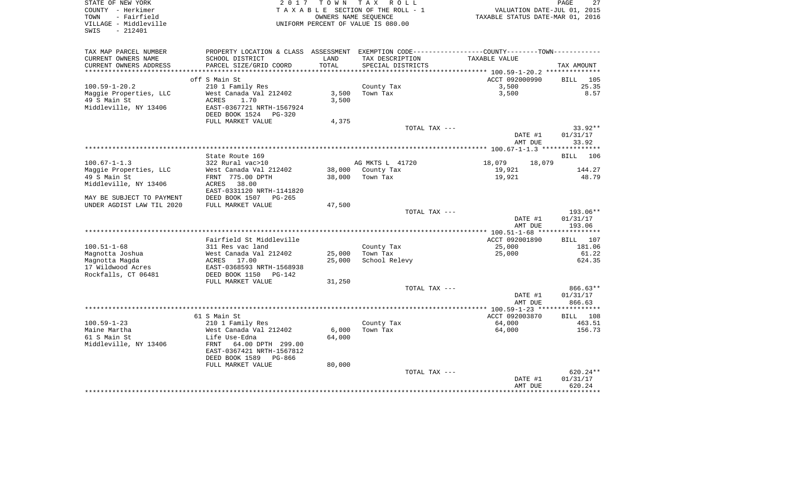| STATE OF NEW YORK                          | 2 0 1 7                                     | T O W N          | T A X<br>R O L L                   |                                                                                               | 27<br>PAGE         |
|--------------------------------------------|---------------------------------------------|------------------|------------------------------------|-----------------------------------------------------------------------------------------------|--------------------|
| COUNTY - Herkimer                          |                                             |                  | TAXABLE SECTION OF THE ROLL - 1    | VALUATION DATE-JUL 01, 2015                                                                   |                    |
| - Fairfield<br>TOWN                        |                                             |                  | OWNERS NAME SEQUENCE               | TAXABLE STATUS DATE-MAR 01, 2016                                                              |                    |
| VILLAGE - Middleville<br>$-212401$<br>SWIS |                                             |                  | UNIFORM PERCENT OF VALUE IS 080.00 |                                                                                               |                    |
|                                            |                                             |                  |                                    |                                                                                               |                    |
| TAX MAP PARCEL NUMBER                      |                                             |                  |                                    | PROPERTY LOCATION & CLASS ASSESSMENT EXEMPTION CODE---------------COUNTY-------TOWN---------- |                    |
| CURRENT OWNERS NAME                        | SCHOOL DISTRICT                             | LAND             | TAX DESCRIPTION                    | TAXABLE VALUE                                                                                 |                    |
| CURRENT OWNERS ADDRESS                     | PARCEL SIZE/GRID COORD                      | TOTAL            | SPECIAL DISTRICTS                  |                                                                                               | TAX AMOUNT         |
|                                            |                                             |                  |                                    |                                                                                               |                    |
|                                            | off S Main St                               |                  |                                    | ACCT 092000990                                                                                | 105<br>BILL        |
| $100.59 - 1 - 20.2$                        | 210 1 Family Res                            |                  | County Tax                         | 3,500                                                                                         | 25.35              |
| Maggie Properties, LLC                     | West Canada Val 212402                      | 3,500            | Town Tax                           | 3,500                                                                                         | 8.57               |
| 49 S Main St<br>Middleville, NY 13406      | 1.70<br>ACRES<br>EAST-0367721 NRTH-1567924  | 3,500            |                                    |                                                                                               |                    |
|                                            | DEED BOOK 1524<br><b>PG-320</b>             |                  |                                    |                                                                                               |                    |
|                                            | FULL MARKET VALUE                           | 4,375            |                                    |                                                                                               |                    |
|                                            |                                             |                  | TOTAL TAX ---                      |                                                                                               | 33.92**            |
|                                            |                                             |                  |                                    | DATE #1                                                                                       | 01/31/17           |
|                                            |                                             |                  |                                    | AMT DUE                                                                                       | 33.92              |
|                                            |                                             |                  |                                    |                                                                                               |                    |
|                                            | State Route 169                             |                  |                                    |                                                                                               | <b>BILL</b><br>106 |
| $100.67 - 1 - 1.3$                         | 322 Rural vac>10                            |                  | AG MKTS L 41720                    | 18,079<br>18,079                                                                              |                    |
| Maggie Properties, LLC                     | West Canada Val 212402                      | 38,000           | County Tax                         | 19,921                                                                                        | 144.27             |
| 49 S Main St                               | FRNT 775.00 DPTH                            | 38,000           | Town Tax                           | 19,921                                                                                        | 48.79              |
| Middleville, NY 13406                      | ACRES<br>38.00<br>EAST-0331120 NRTH-1141820 |                  |                                    |                                                                                               |                    |
| MAY BE SUBJECT TO PAYMENT                  | DEED BOOK 1507<br>$PG-265$                  |                  |                                    |                                                                                               |                    |
| UNDER AGDIST LAW TIL 2020                  | FULL MARKET VALUE                           | 47,500           |                                    |                                                                                               |                    |
|                                            |                                             |                  | TOTAL TAX ---                      |                                                                                               | 193.06**           |
|                                            |                                             |                  |                                    | DATE #1                                                                                       | 01/31/17           |
|                                            |                                             |                  |                                    | AMT DUE                                                                                       | 193.06             |
|                                            |                                             |                  |                                    |                                                                                               |                    |
|                                            | Fairfield St Middleville                    |                  |                                    | ACCT 092001890                                                                                | 107<br>BILL        |
| $100.51 - 1 - 68$                          | 311 Res vac land                            |                  | County Tax                         | 25,000                                                                                        | 181.06<br>61.22    |
| Magnotta Joshua<br>Magnotta Magda          | West Canada Val 212402<br>ACRES<br>17.00    | 25,000<br>25,000 | Town Tax<br>School Relevy          | 25,000                                                                                        | 624.35             |
| 17 Wildwood Acres                          | EAST-0368593 NRTH-1568938                   |                  |                                    |                                                                                               |                    |
| Rockfalls, CT 06481                        | DEED BOOK 1150<br>$PG-142$                  |                  |                                    |                                                                                               |                    |
|                                            | FULL MARKET VALUE                           | 31,250           |                                    |                                                                                               |                    |
|                                            |                                             |                  | TOTAL TAX ---                      |                                                                                               | 866.63**           |
|                                            |                                             |                  |                                    | DATE #1                                                                                       | 01/31/17           |
|                                            |                                             |                  |                                    | AMT DUE                                                                                       | 866.63             |
|                                            |                                             |                  |                                    |                                                                                               |                    |
|                                            | 61 S Main St                                |                  |                                    | ACCT 092003870                                                                                | <b>BILL</b><br>108 |
| $100.59 - 1 - 23$                          | 210 1 Family Res                            |                  | County Tax                         | 64,000                                                                                        | 463.51             |
| Maine Martha<br>61 S Main St               | West Canada Val 212402<br>Life Use-Edna     | 6,000<br>64,000  | Town Tax                           | 64,000                                                                                        | 156.73             |
| Middleville, NY 13406                      | 64.00 DPTH 299.00<br>FRNT                   |                  |                                    |                                                                                               |                    |
|                                            | EAST-0367421 NRTH-1567812                   |                  |                                    |                                                                                               |                    |
|                                            | DEED BOOK 1589<br>PG-866                    |                  |                                    |                                                                                               |                    |
|                                            | FULL MARKET VALUE                           | 80,000           |                                    |                                                                                               |                    |
|                                            |                                             |                  | TOTAL TAX ---                      |                                                                                               | 620.24**           |
|                                            |                                             |                  |                                    | DATE #1                                                                                       | 01/31/17           |
|                                            |                                             |                  |                                    | AMT DUE                                                                                       | 620.24             |
|                                            |                                             |                  |                                    |                                                                                               | **********         |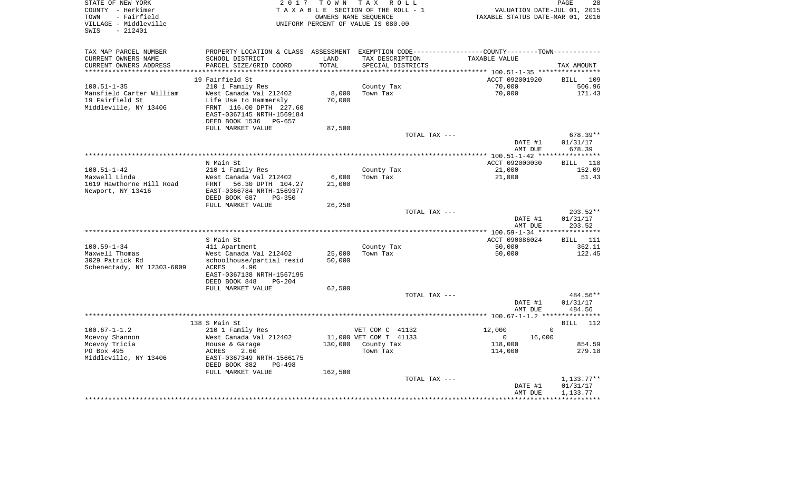| STATE OF NEW YORK<br>COUNTY - Herkimer<br>- Fairfield<br>TOWN<br>VILLAGE - Middleville<br>$-212401$<br>SWIS | 2017                                                 | T O W N         | T A X<br>R O L L<br>TAXABLE SECTION OF THE ROLL - 1<br>OWNERS NAME SEQUENCE<br>UNIFORM PERCENT OF VALUE IS 080.00 | VALUATION DATE-JUL 01, 2015<br>TAXABLE STATUS DATE-MAR 01, 2016                                | PAGE<br>28                   |
|-------------------------------------------------------------------------------------------------------------|------------------------------------------------------|-----------------|-------------------------------------------------------------------------------------------------------------------|------------------------------------------------------------------------------------------------|------------------------------|
| TAX MAP PARCEL NUMBER                                                                                       |                                                      |                 |                                                                                                                   | PROPERTY LOCATION & CLASS ASSESSMENT EXEMPTION CODE----------------COUNTY-------TOWN---------- |                              |
| CURRENT OWNERS NAME                                                                                         | SCHOOL DISTRICT                                      | LAND            | TAX DESCRIPTION                                                                                                   | TAXABLE VALUE                                                                                  |                              |
| CURRENT OWNERS ADDRESS                                                                                      | PARCEL SIZE/GRID COORD                               | TOTAL           | SPECIAL DISTRICTS                                                                                                 |                                                                                                | TAX AMOUNT                   |
| **********************                                                                                      |                                                      | *************** |                                                                                                                   |                                                                                                |                              |
| $100.51 - 1 - 35$                                                                                           | 19 Fairfield St<br>210 1 Family Res                  |                 | County Tax                                                                                                        | ACCT 092001920<br>70,000                                                                       | <b>BILL</b><br>109<br>506.96 |
| Mansfield Carter William                                                                                    | West Canada Val 212402                               | 8,000           | Town Tax                                                                                                          | 70,000                                                                                         | 171.43                       |
| 19 Fairfield St                                                                                             | Life Use to Hammersly                                | 70,000          |                                                                                                                   |                                                                                                |                              |
| Middleville, NY 13406                                                                                       | FRNT 116.00 DPTH 227.60<br>EAST-0367145 NRTH-1569184 |                 |                                                                                                                   |                                                                                                |                              |
|                                                                                                             | DEED BOOK 1536<br>PG-657<br>FULL MARKET VALUE        | 87,500          |                                                                                                                   |                                                                                                |                              |
|                                                                                                             |                                                      |                 | TOTAL TAX ---                                                                                                     |                                                                                                | 678.39**                     |
|                                                                                                             |                                                      |                 |                                                                                                                   | DATE #1                                                                                        | 01/31/17                     |
|                                                                                                             |                                                      |                 |                                                                                                                   | AMT DUE                                                                                        | 678.39                       |
|                                                                                                             |                                                      |                 |                                                                                                                   |                                                                                                |                              |
| $100.51 - 1 - 42$                                                                                           | N Main St<br>210 1 Family Res                        |                 | County Tax                                                                                                        | ACCT 092000030<br>21,000                                                                       | <b>BILL</b><br>110<br>152.09 |
| Maxwell Linda                                                                                               | West Canada Val 212402                               | 6,000           | Town Tax                                                                                                          | 21,000                                                                                         | 51.43                        |
| 1619 Hawthorne Hill Road                                                                                    | 56.30 DPTH 104.27<br>FRNT                            | 21,000          |                                                                                                                   |                                                                                                |                              |
| Newport, NY 13416                                                                                           | EAST-0366784 NRTH-1569377                            |                 |                                                                                                                   |                                                                                                |                              |
|                                                                                                             | DEED BOOK 687<br>$PG-350$                            |                 |                                                                                                                   |                                                                                                |                              |
|                                                                                                             | FULL MARKET VALUE                                    | 26,250          | TOTAL TAX ---                                                                                                     |                                                                                                | 203.52**                     |
|                                                                                                             |                                                      |                 |                                                                                                                   | DATE #1                                                                                        | 01/31/17                     |
|                                                                                                             |                                                      |                 |                                                                                                                   | AMT DUE                                                                                        | 203.52                       |
|                                                                                                             |                                                      |                 |                                                                                                                   |                                                                                                |                              |
|                                                                                                             | S Main St                                            |                 |                                                                                                                   | ACCT 090086024                                                                                 | <b>BILL</b><br>111           |
| $100.59 - 1 - 34$<br>Maxwell Thomas                                                                         | 411 Apartment<br>West Canada Val 212402              | 25,000          | County Tax<br>Town Tax                                                                                            | 50,000<br>50,000                                                                               | 362.11<br>122.45             |
| 3029 Patrick Rd                                                                                             | schoolhouse/partial resid                            | 50,000          |                                                                                                                   |                                                                                                |                              |
| Schenectady, NY 12303-6009                                                                                  | 4.90<br>ACRES                                        |                 |                                                                                                                   |                                                                                                |                              |
|                                                                                                             | EAST-0367138 NRTH-1567195                            |                 |                                                                                                                   |                                                                                                |                              |
|                                                                                                             | DEED BOOK 848<br>$PG-204$                            |                 |                                                                                                                   |                                                                                                |                              |
|                                                                                                             | FULL MARKET VALUE                                    | 62,500          |                                                                                                                   |                                                                                                |                              |
|                                                                                                             |                                                      |                 | TOTAL TAX ---                                                                                                     | DATE #1                                                                                        | 484.56**<br>01/31/17         |
|                                                                                                             |                                                      |                 |                                                                                                                   | AMT DUE                                                                                        | 484.56                       |
|                                                                                                             |                                                      |                 |                                                                                                                   |                                                                                                |                              |
|                                                                                                             | 138 S Main St                                        |                 |                                                                                                                   |                                                                                                | <b>BILL</b><br>112           |
| $100.67 - 1 - 1.2$                                                                                          | 210 1 Family Res                                     |                 | VET COM C 41132                                                                                                   | 12,000                                                                                         | $\mathbf 0$                  |
| Mcevoy Shannon<br>Mcevoy Tricia                                                                             | West Canada Val 212402<br>House & Garage             | 130,000         | 11,000 VET COM T 41133<br>County Tax                                                                              | $\mathbf 0$<br>16,000<br>118,000                                                               | 854.59                       |
| PO Box 495                                                                                                  | ACRES<br>2.60                                        |                 | Town Tax                                                                                                          | 114,000                                                                                        | 279.18                       |
| Middleville, NY 13406                                                                                       | EAST-0367349 NRTH-1566175                            |                 |                                                                                                                   |                                                                                                |                              |
|                                                                                                             | DEED BOOK 882<br>PG-498                              |                 |                                                                                                                   |                                                                                                |                              |
|                                                                                                             | FULL MARKET VALUE                                    | 162,500         |                                                                                                                   |                                                                                                |                              |
|                                                                                                             |                                                      |                 | TOTAL TAX ---                                                                                                     |                                                                                                | $1,133.77**$                 |
|                                                                                                             |                                                      |                 |                                                                                                                   | DATE #1<br>AMT DUE                                                                             | 01/31/17<br>1,133.77         |
|                                                                                                             |                                                      |                 |                                                                                                                   |                                                                                                | ************                 |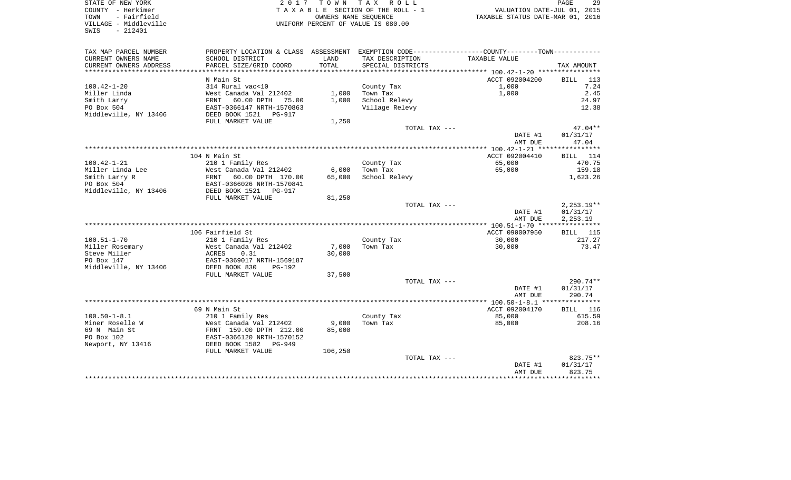SWIS - 212401

STATE OF NEW YORK 2 0 1 7 T O W N T A X R O L L PAGE 29COUNTY - Herkimer T A X A B L E SECTION OF THE ROLL - 1 VALUATION DATE-JUL 01, 2015 TOWN - Fairfield OWNERS NAME SEQUENCE TAXABLE STATUS DATE-MAR 01, 2016 VILLAGE - Middleville UNIFORM PERCENT OF VALUE IS 080.00

29

| TAX MAP PARCEL NUMBER  | PROPERTY LOCATION & CLASS ASSESSMENT EXEMPTION CODE----------------COUNTY-------TOWN-------- |         |                   |                |                     |
|------------------------|----------------------------------------------------------------------------------------------|---------|-------------------|----------------|---------------------|
| CURRENT OWNERS NAME    | SCHOOL DISTRICT                                                                              | LAND    | TAX DESCRIPTION   | TAXABLE VALUE  |                     |
| CURRENT OWNERS ADDRESS | PARCEL SIZE/GRID COORD                                                                       | TOTAL   | SPECIAL DISTRICTS |                | TAX AMOUNT          |
|                        |                                                                                              |         |                   |                |                     |
|                        | N Main St                                                                                    |         |                   | ACCT 092004200 | <b>BILL</b><br>113  |
| $100.42 - 1 - 20$      | 314 Rural vac<10                                                                             |         | County Tax        | 1,000          | 7.24                |
| Miller Linda           | West Canada Val 212402                                                                       | 1,000   | Town Tax          | 1,000          | 2.45                |
| Smith Larry            | 60.00 DPTH<br>75.00<br>FRNT                                                                  | 1,000   | School Relevy     |                | 24.97               |
| PO Box 504             | EAST-0366147 NRTH-1570863                                                                    |         | Village Relevy    |                | 12.38               |
| Middleville, NY 13406  | DEED BOOK 1521<br>PG-917                                                                     |         |                   |                |                     |
|                        | FULL MARKET VALUE                                                                            | 1,250   |                   |                |                     |
|                        |                                                                                              |         |                   |                | $47.04**$           |
|                        |                                                                                              |         | TOTAL TAX ---     |                |                     |
|                        |                                                                                              |         |                   | DATE #1        | 01/31/17            |
|                        |                                                                                              |         |                   | AMT DUE        | 47.04               |
|                        |                                                                                              |         |                   |                |                     |
|                        | 104 N Main St                                                                                |         |                   | ACCT 092004410 | BILL 114            |
| $100.42 - 1 - 21$      | 210 1 Family Res                                                                             |         | County Tax        | 65,000         | 470.75              |
| Miller Linda Lee       | West Canada Val 212402                                                                       | 6,000   | Town Tax          | 65,000         | 159.18              |
| Smith Larry R          | <b>FRNT</b><br>60.00 DPTH 170.00                                                             | 65,000  | School Relevy     |                | 1,623.26            |
| PO Box 504             | EAST-0366026 NRTH-1570841                                                                    |         |                   |                |                     |
| Middleville, NY 13406  | DEED BOOK 1521<br>PG-917                                                                     |         |                   |                |                     |
|                        | FULL MARKET VALUE                                                                            | 81,250  |                   |                |                     |
|                        |                                                                                              |         | TOTAL TAX ---     |                | $2,253.19**$        |
|                        |                                                                                              |         |                   | DATE #1        | 01/31/17            |
|                        |                                                                                              |         |                   | AMT DUE        | 2,253.19            |
|                        |                                                                                              |         |                   |                |                     |
|                        | 106 Fairfield St                                                                             |         |                   | ACCT 090007950 | <b>BILL</b> 115     |
| $100.51 - 1 - 70$      | 210 1 Family Res                                                                             |         | County Tax        | 30,000         | 217.27              |
| Miller Rosemary        | West Canada Val 212402                                                                       | 7,000   | Town Tax          | 30,000         | 73.47               |
| Steve Miller           | 0.31<br>ACRES                                                                                | 30,000  |                   |                |                     |
| PO Box 147             | EAST-0369017 NRTH-1569187                                                                    |         |                   |                |                     |
| Middleville, NY 13406  | DEED BOOK 830<br><b>PG-192</b>                                                               |         |                   |                |                     |
|                        | FULL MARKET VALUE                                                                            | 37,500  |                   |                |                     |
|                        |                                                                                              |         | TOTAL TAX ---     |                | $290.74**$          |
|                        |                                                                                              |         |                   | DATE #1        | 01/31/17            |
|                        |                                                                                              |         |                   | AMT DUE        | 290.74              |
|                        |                                                                                              |         |                   |                |                     |
|                        | 69 N Main St                                                                                 |         |                   | ACCT 092004170 | 116<br>BILL         |
| $100.50 - 1 - 8.1$     | 210 1 Family Res                                                                             |         | County Tax        | 85,000         | 615.59              |
| Miner Roselle W        | West Canada Val 212402                                                                       | 9,000   | Town Tax          | 85,000         | 208.16              |
| 69 N Main St           | FRNT 159.00 DPTH 212.00                                                                      | 85,000  |                   |                |                     |
| PO Box 102             | EAST-0366120 NRTH-1570152                                                                    |         |                   |                |                     |
| Newport, NY 13416      | DEED BOOK 1582<br>PG-949                                                                     |         |                   |                |                     |
|                        |                                                                                              |         |                   |                |                     |
|                        | FULL MARKET VALUE                                                                            | 106,250 | TOTAL TAX ---     |                | 823.75**            |
|                        |                                                                                              |         |                   |                | 01/31/17            |
|                        |                                                                                              |         |                   | DATE #1        |                     |
|                        |                                                                                              |         |                   | AMT DUE        | 823.75<br>********* |
|                        |                                                                                              |         |                   |                |                     |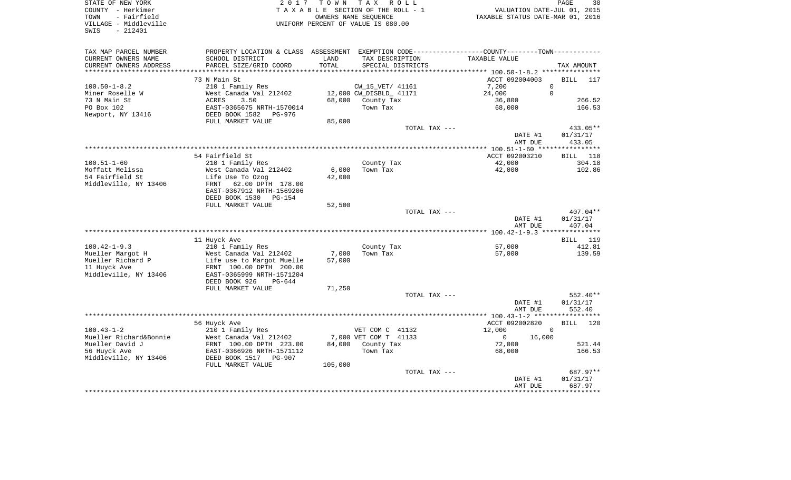| STATE OF NEW YORK<br>COUNTY - Herkimer<br>- Fairfield<br>TOWN<br>VILLAGE - Middleville<br>SWIS<br>$-212401$ | 2 0 1 7                                                                                                        | TOWN       | T A X<br>R O L L<br>T A X A B L E SECTION OF THE ROLL - 1<br>OWNERS NAME SEQUENCE<br>UNIFORM PERCENT OF VALUE IS 080.00 | VALUATION DATE-JUL 01, 2015<br>TAXABLE STATUS DATE-MAR 01, 2016 | PAGE<br>30                     |
|-------------------------------------------------------------------------------------------------------------|----------------------------------------------------------------------------------------------------------------|------------|-------------------------------------------------------------------------------------------------------------------------|-----------------------------------------------------------------|--------------------------------|
| TAX MAP PARCEL NUMBER                                                                                       | PROPERTY LOCATION & CLASS                                                                                      | ASSESSMENT |                                                                                                                         | EXEMPTION CODE-----------------COUNTY-------TOWN-----------     |                                |
| CURRENT OWNERS NAME                                                                                         | SCHOOL DISTRICT                                                                                                | LAND       | TAX DESCRIPTION                                                                                                         | TAXABLE VALUE                                                   |                                |
| CURRENT OWNERS ADDRESS<br>***************************                                                       | PARCEL SIZE/GRID COORD                                                                                         | TOTAL      | SPECIAL DISTRICTS                                                                                                       |                                                                 | TAX AMOUNT                     |
|                                                                                                             | 73 N Main St                                                                                                   |            |                                                                                                                         | ACCT 092004003                                                  | 117                            |
| $100.50 - 1 - 8.2$                                                                                          | 210 1 Family Res                                                                                               |            | CW_15_VET/ 41161                                                                                                        | 7,200                                                           | <b>BILL</b><br>$\mathbf 0$     |
| Miner Roselle W                                                                                             | West Canada Val 212402                                                                                         |            | 12,000 CW_DISBLD_ 41171                                                                                                 | 24,000                                                          | $\Omega$                       |
| 73 N Main St                                                                                                | <b>ACRES</b><br>3.50                                                                                           | 68,000     | County Tax                                                                                                              | 36,800                                                          | 266.52                         |
| PO Box 102                                                                                                  | EAST-0365675 NRTH-1570014                                                                                      |            | Town Tax                                                                                                                | 68,000                                                          | 166.53                         |
| Newport, NY 13416                                                                                           | DEED BOOK 1582<br>PG-976                                                                                       |            |                                                                                                                         |                                                                 |                                |
|                                                                                                             | FULL MARKET VALUE                                                                                              | 85,000     |                                                                                                                         |                                                                 |                                |
|                                                                                                             |                                                                                                                |            | TOTAL TAX ---                                                                                                           |                                                                 | 433.05**                       |
|                                                                                                             |                                                                                                                |            |                                                                                                                         | DATE #1<br>AMT DUE                                              | 01/31/17<br>433.05             |
|                                                                                                             |                                                                                                                |            |                                                                                                                         |                                                                 |                                |
|                                                                                                             | 54 Fairfield St                                                                                                |            |                                                                                                                         | ACCT 092003210                                                  | <b>BILL</b><br>118             |
| $100.51 - 1 - 60$                                                                                           | 210 1 Family Res                                                                                               |            | County Tax                                                                                                              | 42,000                                                          | 304.18                         |
| Moffatt Melissa                                                                                             | West Canada Val 212402                                                                                         | 6,000      | Town Tax                                                                                                                | 42,000                                                          | 102.86                         |
| 54 Fairfield St<br>Middleville, NY 13406                                                                    | Life Use To Ozog<br>62.00 DPTH 178.00<br>FRNT<br>EAST-0367912 NRTH-1569206<br>DEED BOOK 1530<br>PG-154         | 42,000     |                                                                                                                         |                                                                 |                                |
|                                                                                                             | FULL MARKET VALUE                                                                                              | 52,500     |                                                                                                                         |                                                                 |                                |
|                                                                                                             |                                                                                                                |            | TOTAL TAX ---                                                                                                           | DATE #1<br>AMT DUE                                              | 407.04**<br>01/31/17<br>407.04 |
|                                                                                                             |                                                                                                                |            |                                                                                                                         |                                                                 |                                |
|                                                                                                             | 11 Huyck Ave                                                                                                   |            |                                                                                                                         |                                                                 | <b>BILL</b> 119                |
| $100.42 - 1 - 9.3$                                                                                          | 210 1 Family Res                                                                                               |            | County Tax                                                                                                              | 57,000                                                          | 412.81                         |
| Mueller Margot H                                                                                            | West Canada Val 212402                                                                                         | 7,000      | Town Tax                                                                                                                | 57,000                                                          | 139.59                         |
| Mueller Richard P<br>11 Huyck Ave<br>Middleville, NY 13406                                                  | Life use to Margot Muelle<br>FRNT 100.00 DPTH 200.00<br>EAST-0365999 NRTH-1571204<br>DEED BOOK 926<br>$PG-644$ | 57,000     |                                                                                                                         |                                                                 |                                |
|                                                                                                             | FULL MARKET VALUE                                                                                              | 71,250     |                                                                                                                         |                                                                 |                                |
|                                                                                                             |                                                                                                                |            | TOTAL TAX ---                                                                                                           |                                                                 | 552.40**                       |
|                                                                                                             |                                                                                                                |            |                                                                                                                         | DATE #1<br>AMT DUE                                              | 01/31/17<br>552.40             |
|                                                                                                             |                                                                                                                |            |                                                                                                                         | *****                                                           | ***********                    |
|                                                                                                             | 56 Huyck Ave                                                                                                   |            |                                                                                                                         | ACCT 092002820                                                  | 120<br><b>BILL</b>             |
| $100.43 - 1 - 2$                                                                                            | 210 1 Family Res                                                                                               |            | VET COM C 41132                                                                                                         | 12,000                                                          | $\mathbf 0$                    |
| Mueller Richard&Bonnie<br>Mueller David J                                                                   | West Canada Val 212402<br>FRNT 100.00 DPTH 223.00                                                              | 84,000     | 7,000 VET COM T 41133<br>County Tax                                                                                     | 16,000<br>0<br>72,000                                           | 521.44                         |
| 56 Huyck Ave                                                                                                | EAST-0366926 NRTH-1571112                                                                                      |            | Town Tax                                                                                                                | 68,000                                                          | 166.53                         |
| Middleville, NY 13406                                                                                       | DEED BOOK 1517<br><b>PG-907</b>                                                                                |            |                                                                                                                         |                                                                 |                                |
|                                                                                                             | FULL MARKET VALUE                                                                                              | 105,000    | TOTAL TAX ---                                                                                                           |                                                                 | 687.97**                       |
|                                                                                                             |                                                                                                                |            |                                                                                                                         | DATE #1<br>AMT DUE                                              | 01/31/17<br>687.97             |
|                                                                                                             |                                                                                                                |            |                                                                                                                         |                                                                 | ********                       |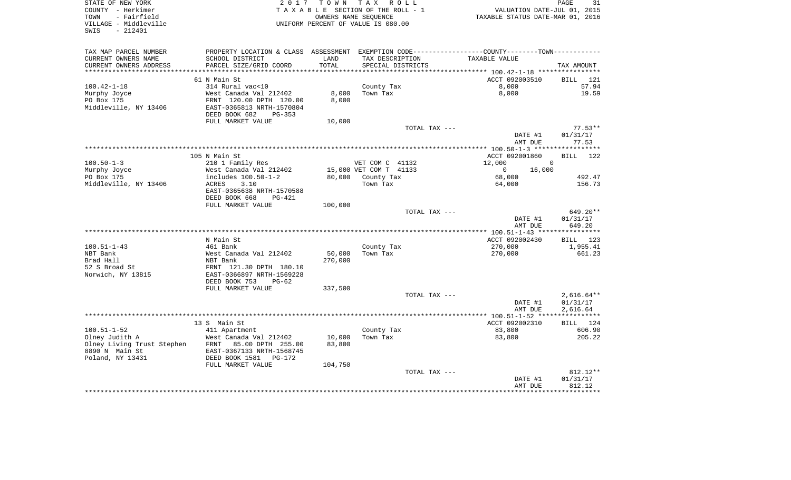| STATE OF NEW YORK<br>COUNTY - Herkimer<br>TOWN<br>- Fairfield<br>VILLAGE - Middleville<br>SWIS<br>$-212401$ | 2017                                                                                   | OWNERS NAME SEQUENCE | TOWN TAX ROLL<br>TAXABLE SECTION OF THE ROLL - 1<br>UNIFORM PERCENT OF VALUE IS 080.00 | VALUATION DATE-JUL 01, 2015<br>TAXABLE STATUS DATE-MAR 01, 2016                               | PAGE<br>31               |
|-------------------------------------------------------------------------------------------------------------|----------------------------------------------------------------------------------------|----------------------|----------------------------------------------------------------------------------------|-----------------------------------------------------------------------------------------------|--------------------------|
| TAX MAP PARCEL NUMBER                                                                                       |                                                                                        |                      |                                                                                        | PROPERTY LOCATION & CLASS ASSESSMENT EXEMPTION CODE---------------COUNTY-------TOWN---------- |                          |
| CURRENT OWNERS NAME                                                                                         | SCHOOL DISTRICT                                                                        | LAND                 | TAX DESCRIPTION                                                                        | TAXABLE VALUE                                                                                 |                          |
| CURRENT OWNERS ADDRESS<br>**************************                                                        | PARCEL SIZE/GRID COORD                                                                 | TOTAL                | SPECIAL DISTRICTS                                                                      |                                                                                               | TAX AMOUNT               |
|                                                                                                             | 61 N Main St                                                                           |                      |                                                                                        | ACCT 092003510                                                                                | BILL 121                 |
| $100.42 - 1 - 18$                                                                                           | 314 Rural vac<10                                                                       |                      | County Tax                                                                             | 8,000                                                                                         | 57.94                    |
| Murphy Joyce                                                                                                | West Canada Val 212402                                                                 | 8,000                | Town Tax                                                                               | 8,000                                                                                         | 19.59                    |
| PO Box 175<br>Middleville, NY 13406                                                                         | FRNT 120.00 DPTH 120.00<br>EAST-0365813 NRTH-1570804<br>DEED BOOK 682<br><b>PG-353</b> | 8,000                |                                                                                        |                                                                                               |                          |
|                                                                                                             | FULL MARKET VALUE                                                                      | 10,000               |                                                                                        |                                                                                               |                          |
|                                                                                                             |                                                                                        |                      | TOTAL TAX ---                                                                          | DATE #1                                                                                       | $77.53**$<br>01/31/17    |
|                                                                                                             |                                                                                        |                      |                                                                                        | AMT DUE                                                                                       | 77.53                    |
|                                                                                                             |                                                                                        |                      |                                                                                        |                                                                                               |                          |
|                                                                                                             | 105 N Main St                                                                          |                      |                                                                                        | ACCT 092001860                                                                                | <b>BILL</b><br>122       |
| $100.50 - 1 - 3$                                                                                            | 210 1 Family Res                                                                       |                      | VET COM C 41132                                                                        | 12,000<br>$\overline{0}$                                                                      |                          |
| Murphy Joyce                                                                                                | West Canada Val 212402                                                                 |                      | 15,000 VET COM T 41133                                                                 | 16,000<br>$\mathbf{0}$                                                                        |                          |
| PO Box 175<br>Middleville, NY 13406                                                                         | includes 100.50-1-2<br>ACRES<br>3.10                                                   | 80,000               | County Tax<br>Town Tax                                                                 | 68,000<br>64,000                                                                              | 492.47<br>156.73         |
|                                                                                                             | EAST-0365638 NRTH-1570588                                                              |                      |                                                                                        |                                                                                               |                          |
|                                                                                                             | DEED BOOK 668<br>PG-421                                                                |                      |                                                                                        |                                                                                               |                          |
|                                                                                                             | FULL MARKET VALUE                                                                      | 100,000              |                                                                                        |                                                                                               |                          |
|                                                                                                             |                                                                                        |                      | TOTAL TAX ---                                                                          |                                                                                               | 649.20**                 |
|                                                                                                             |                                                                                        |                      |                                                                                        | DATE #1                                                                                       | 01/31/17                 |
|                                                                                                             |                                                                                        |                      |                                                                                        | AMT DUE                                                                                       | 649.20                   |
|                                                                                                             | N Main St                                                                              |                      |                                                                                        | ACCT 092002430                                                                                | BILL 123                 |
| 100.51-1-43                                                                                                 | 461 Bank                                                                               |                      | County Tax                                                                             | 270,000                                                                                       | 1,955.41                 |
| NBT Bank                                                                                                    | West Canada Val 212402                                                                 | 50,000               | Town Tax                                                                               | 270,000                                                                                       | 661.23                   |
| Brad Hall                                                                                                   | NBT Bank                                                                               | 270,000              |                                                                                        |                                                                                               |                          |
| 52 S Broad St                                                                                               | FRNT 121.30 DPTH 180.10                                                                |                      |                                                                                        |                                                                                               |                          |
| Norwich, NY 13815                                                                                           | EAST-0366897 NRTH-1569228                                                              |                      |                                                                                        |                                                                                               |                          |
|                                                                                                             | DEED BOOK 753<br>$PG-62$                                                               |                      |                                                                                        |                                                                                               |                          |
|                                                                                                             | FULL MARKET VALUE                                                                      | 337,500              |                                                                                        |                                                                                               |                          |
|                                                                                                             |                                                                                        |                      | TOTAL TAX ---                                                                          | DATE #1                                                                                       | $2,616.64**$<br>01/31/17 |
|                                                                                                             |                                                                                        |                      |                                                                                        | AMT DUE                                                                                       | 2,616.64                 |
|                                                                                                             |                                                                                        |                      |                                                                                        |                                                                                               |                          |
|                                                                                                             | 13 S Main St                                                                           |                      |                                                                                        | ACCT 092002310                                                                                | BILL 124                 |
| $100.51 - 1 - 52$                                                                                           | 411 Apartment                                                                          |                      | County Tax                                                                             | 83,800                                                                                        | 606.90                   |
| Olney Judith A                                                                                              | West Canada Val 212402                                                                 | 10,000               | Town Tax                                                                               | 83,800                                                                                        | 205.22                   |
| Olney Living Trust Stephen                                                                                  | FRNT 85.00 DPTH 255.00                                                                 | 83,800               |                                                                                        |                                                                                               |                          |
| 8890 N Main St                                                                                              | EAST-0367133 NRTH-1568745                                                              |                      |                                                                                        |                                                                                               |                          |
| Poland, NY 13431                                                                                            | DEED BOOK 1581<br>PG-172<br>FULL MARKET VALUE                                          | 104,750              |                                                                                        |                                                                                               |                          |
|                                                                                                             |                                                                                        |                      | TOTAL TAX ---                                                                          |                                                                                               | 812.12**                 |
|                                                                                                             |                                                                                        |                      |                                                                                        | DATE #1                                                                                       | 01/31/17                 |
|                                                                                                             |                                                                                        |                      |                                                                                        | AMT DUE                                                                                       | 812.12                   |
|                                                                                                             |                                                                                        |                      |                                                                                        |                                                                                               |                          |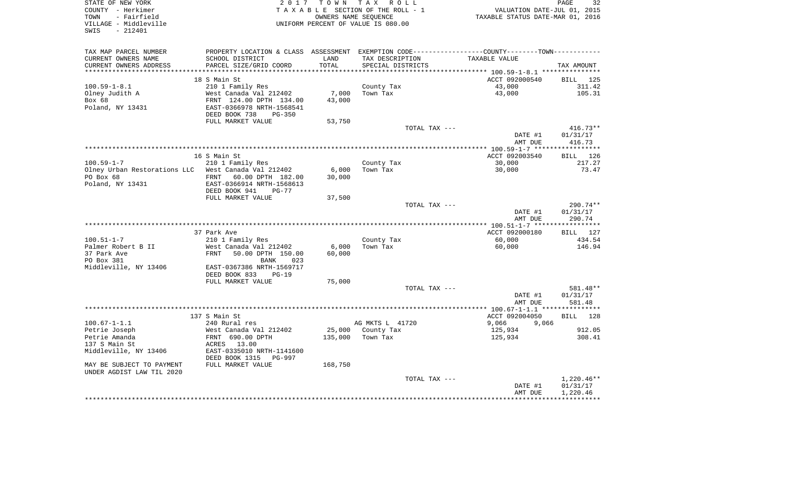| STATE OF NEW YORK            | 2 0 1 7                                    |                              | TOWN TAX ROLL                      |                                                                                               | PAGE<br>32           |
|------------------------------|--------------------------------------------|------------------------------|------------------------------------|-----------------------------------------------------------------------------------------------|----------------------|
| COUNTY - Herkimer            | TAXABLE SECTION OF THE ROLL - 1            |                              |                                    | VALUATION DATE-JUL 01, 2015                                                                   |                      |
| - Fairfield<br>TOWN          | OWNERS NAME SEOUENCE                       |                              |                                    | TAXABLE STATUS DATE-MAR 01, 2016                                                              |                      |
| VILLAGE - Middleville        |                                            |                              | UNIFORM PERCENT OF VALUE IS 080.00 |                                                                                               |                      |
| $-212401$<br>SWIS            |                                            |                              |                                    |                                                                                               |                      |
|                              |                                            |                              |                                    |                                                                                               |                      |
| TAX MAP PARCEL NUMBER        |                                            |                              |                                    | PROPERTY LOCATION & CLASS ASSESSMENT EXEMPTION CODE---------------COUNTY-------TOWN---------- |                      |
| CURRENT OWNERS NAME          | SCHOOL DISTRICT                            | LAND                         | TAX DESCRIPTION                    | TAXABLE VALUE                                                                                 |                      |
| CURRENT OWNERS ADDRESS       | PARCEL SIZE/GRID COORD                     | TOTAL<br>* * * * * * * * * * | SPECIAL DISTRICTS                  |                                                                                               | TAX AMOUNT           |
|                              | 18 S Main St                               |                              |                                    | ***************************** 100.59-1-8.1 ***************                                    | BILL 125             |
| $100.59 - 1 - 8.1$           |                                            |                              |                                    | ACCT 092000540<br>43,000                                                                      | 311.42               |
| Olney Judith A               | 210 1 Family Res<br>West Canada Val 212402 | 7,000                        | County Tax<br>Town Tax             | 43,000                                                                                        | 105.31               |
| Box 68                       | FRNT 124.00 DPTH 134.00                    | 43,000                       |                                    |                                                                                               |                      |
| Poland, NY 13431             | EAST-0366978 NRTH-1568541                  |                              |                                    |                                                                                               |                      |
|                              | DEED BOOK 738<br>$PG-350$                  |                              |                                    |                                                                                               |                      |
|                              | FULL MARKET VALUE                          | 53,750                       |                                    |                                                                                               |                      |
|                              |                                            |                              | TOTAL TAX ---                      |                                                                                               | 416.73**             |
|                              |                                            |                              |                                    | DATE #1                                                                                       | 01/31/17             |
|                              |                                            |                              |                                    | AMT DUE                                                                                       | 416.73               |
|                              |                                            |                              |                                    |                                                                                               | ***********          |
|                              | 16 S Main St                               |                              |                                    | ACCT 092003540                                                                                | 126<br><b>BILL</b>   |
| $100.59 - 1 - 7$             | 210 1 Family Res                           |                              | County Tax                         | 30,000                                                                                        | 217.27               |
| Olney Urban Restorations LLC | West Canada Val 212402                     | 6,000                        | Town Tax                           | 30,000                                                                                        | 73.47                |
| PO Box 68                    | FRNT<br>60.00 DPTH 182.00                  | 30,000                       |                                    |                                                                                               |                      |
| Poland, NY 13431             | EAST-0366914 NRTH-1568613                  |                              |                                    |                                                                                               |                      |
|                              | DEED BOOK 941<br>$PG-77$                   |                              |                                    |                                                                                               |                      |
|                              | FULL MARKET VALUE                          | 37,500                       |                                    |                                                                                               |                      |
|                              |                                            |                              | TOTAL TAX ---                      | DATE #1                                                                                       | 290.74**<br>01/31/17 |
|                              |                                            |                              |                                    | AMT DUE                                                                                       | 290.74               |
|                              |                                            |                              |                                    |                                                                                               |                      |
|                              | 37 Park Ave                                |                              |                                    | ACCT 092000180                                                                                | BILL 127             |
| $100.51 - 1 - 7$             | 210 1 Family Res                           |                              | County Tax                         | 60,000                                                                                        | 434.54               |
| Palmer Robert B II           | West Canada Val 212402                     | 6,000                        | Town Tax                           | 60,000                                                                                        | 146.94               |
| 37 Park Ave                  | FRNT<br>50.00 DPTH 150.00                  | 60,000                       |                                    |                                                                                               |                      |
| PO Box 381                   | 023<br>BANK                                |                              |                                    |                                                                                               |                      |
| Middleville, NY 13406        | EAST-0367386 NRTH-1569717                  |                              |                                    |                                                                                               |                      |
|                              | DEED BOOK 833<br>$PG-19$                   |                              |                                    |                                                                                               |                      |
|                              | FULL MARKET VALUE                          | 75,000                       |                                    |                                                                                               |                      |
|                              |                                            |                              | TOTAL TAX ---                      |                                                                                               | 581.48**             |
|                              |                                            |                              |                                    | DATE #1                                                                                       | 01/31/17             |
|                              |                                            |                              |                                    | AMT DUE                                                                                       | 581.48               |
|                              | 137 S Main St                              |                              |                                    | ACCT 092004050                                                                                | BILL 128             |
| $100.67 - 1 - 1.1$           | 240 Rural res                              |                              | AG MKTS L 41720                    | 9,066<br>9,066                                                                                |                      |
| Petrie Joseph                | West Canada Val 212402                     | 25,000                       | County Tax                         | 125,934                                                                                       | 912.05               |
| Petrie Amanda                | FRNT 690.00 DPTH                           | 135,000                      | Town Tax                           | 125,934                                                                                       | 308.41               |
| 137 S Main St                | 13.00<br>ACRES                             |                              |                                    |                                                                                               |                      |
| Middleville, NY 13406        | EAST-0335010 NRTH-1141600                  |                              |                                    |                                                                                               |                      |
|                              | DEED BOOK 1315<br>PG-997                   |                              |                                    |                                                                                               |                      |
| MAY BE SUBJECT TO PAYMENT    | FULL MARKET VALUE                          | 168,750                      |                                    |                                                                                               |                      |
| UNDER AGDIST LAW TIL 2020    |                                            |                              |                                    |                                                                                               |                      |
|                              |                                            |                              | TOTAL TAX ---                      |                                                                                               | $1,220.46**$         |
|                              |                                            |                              |                                    | DATE #1                                                                                       | 01/31/17             |
|                              |                                            |                              |                                    | AMT DUE                                                                                       | 1,220.46             |
|                              |                                            |                              |                                    |                                                                                               |                      |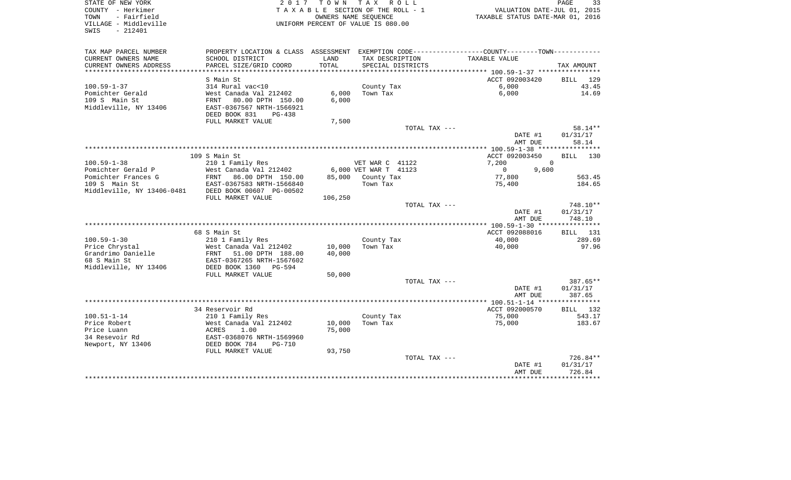| STATE OF NEW YORK<br>COUNTY - Herkimer<br>TOWN<br>- Fairfield<br>VILLAGE - Middleville<br>$-212401$<br>SWIS |                                                   |         | 2017 TOWN TAX ROLL<br>TAXABLE SECTION OF THE ROLL - 1<br>OWNERS NAME SEOUENCE<br>UNIFORM PERCENT OF VALUE IS 080.00 | VALUATION DATE-JUL 01, 2015<br>TAXABLE STATUS DATE-MAR 01, 2016                                 | PAGE<br>33           |
|-------------------------------------------------------------------------------------------------------------|---------------------------------------------------|---------|---------------------------------------------------------------------------------------------------------------------|-------------------------------------------------------------------------------------------------|----------------------|
| TAX MAP PARCEL NUMBER                                                                                       |                                                   |         |                                                                                                                     | PROPERTY LOCATION & CLASS ASSESSMENT EXEMPTION CODE----------------COUNTY--------TOWN---------- |                      |
| CURRENT OWNERS NAME                                                                                         | SCHOOL DISTRICT                                   | LAND    | TAX DESCRIPTION                                                                                                     | TAXABLE VALUE                                                                                   |                      |
| CURRENT OWNERS ADDRESS                                                                                      | PARCEL SIZE/GRID COORD                            | TOTAL   | SPECIAL DISTRICTS                                                                                                   |                                                                                                 | TAX AMOUNT           |
|                                                                                                             |                                                   |         |                                                                                                                     |                                                                                                 |                      |
| $100.59 - 1 - 37$                                                                                           | S Main St<br>314 Rural vac<10                     |         | County Tax                                                                                                          | ACCT 092003420<br>6,000                                                                         | BILL 129<br>43.45    |
| Pomichter Gerald                                                                                            | West Canada Val 212402                            | 6,000   | Town Tax                                                                                                            | 6,000                                                                                           | 14.69                |
| 109 S Main St                                                                                               | FRNT 80.00 DPTH 150.00                            | 6,000   |                                                                                                                     |                                                                                                 |                      |
| Middleville, NY 13406                                                                                       | EAST-0367567 NRTH-1566921                         |         |                                                                                                                     |                                                                                                 |                      |
|                                                                                                             | DEED BOOK 831<br>$PG-438$                         |         |                                                                                                                     |                                                                                                 |                      |
|                                                                                                             | FULL MARKET VALUE                                 | 7,500   |                                                                                                                     |                                                                                                 |                      |
|                                                                                                             |                                                   |         | TOTAL TAX ---                                                                                                       |                                                                                                 | 58.14**              |
|                                                                                                             |                                                   |         |                                                                                                                     | DATE #1                                                                                         | 01/31/17             |
|                                                                                                             |                                                   |         |                                                                                                                     | AMT DUE                                                                                         | 58.14                |
|                                                                                                             | 109 S Main St                                     |         |                                                                                                                     | ACCT 092003450                                                                                  | BILL 130             |
| $100.59 - 1 - 38$                                                                                           | 210 1 Family Res                                  |         | VET WAR C 41122                                                                                                     | 7,200                                                                                           | $\Omega$             |
| Pomichter Gerald P                                                                                          | West Canada Val 212402                            |         | 6,000 VET WAR T 41123                                                                                               | $\overline{0}$<br>9,600                                                                         |                      |
| Pomichter Frances G                                                                                         | FRNT 86.00 DPTH 150.00                            | 85,000  | County Tax                                                                                                          | 77,800                                                                                          | 563.45               |
| 109 S Main St                                                                                               | EAST-0367583 NRTH-1566840                         |         | Town Tax                                                                                                            | 75,400                                                                                          | 184.65               |
| Middleville, NY 13406-0481                                                                                  | DEED BOOK 00607 PG-00502                          |         |                                                                                                                     |                                                                                                 |                      |
|                                                                                                             | FULL MARKET VALUE                                 | 106,250 |                                                                                                                     |                                                                                                 |                      |
|                                                                                                             |                                                   |         | TOTAL TAX ---                                                                                                       |                                                                                                 | 748.10**             |
|                                                                                                             |                                                   |         |                                                                                                                     | DATE #1                                                                                         | 01/31/17             |
|                                                                                                             |                                                   |         |                                                                                                                     | AMT DUE                                                                                         | 748.10               |
|                                                                                                             | 68 S Main St                                      |         |                                                                                                                     | ACCT 092088016                                                                                  | <b>BILL</b> 131      |
| $100.59 - 1 - 30$                                                                                           | 210 1 Family Res                                  |         | County Tax                                                                                                          | 40,000                                                                                          | 289.69               |
| Price Chrystal                                                                                              | West Canada Val 212402                            | 10,000  | Town Tax                                                                                                            | 40,000                                                                                          | 97.96                |
| Grandrimo Danielle                                                                                          | FRNT 51.00 DPTH 188.00                            | 40,000  |                                                                                                                     |                                                                                                 |                      |
| 68 S Main St                                                                                                | EAST-0367265 NRTH-1567602                         |         |                                                                                                                     |                                                                                                 |                      |
| Middleville, NY 13406                                                                                       | DEED BOOK 1360 PG-594                             |         |                                                                                                                     |                                                                                                 |                      |
|                                                                                                             | FULL MARKET VALUE                                 | 50,000  |                                                                                                                     |                                                                                                 |                      |
|                                                                                                             |                                                   |         | TOTAL TAX ---                                                                                                       | DATE #1                                                                                         | 387.65**<br>01/31/17 |
|                                                                                                             |                                                   |         |                                                                                                                     | AMT DUE                                                                                         | 387.65               |
|                                                                                                             |                                                   |         |                                                                                                                     |                                                                                                 |                      |
|                                                                                                             | 34 Reservoir Rd                                   |         |                                                                                                                     | ACCT 092000570                                                                                  | BILL 132             |
| $100.51 - 1 - 14$                                                                                           | 210 1 Family Res                                  |         | County Tax                                                                                                          | 75,000                                                                                          | 543.17               |
| Price Robert                                                                                                | West Canada Val 212402                            | 10,000  | Town Tax                                                                                                            | 75,000                                                                                          | 183.67               |
| Price Luann                                                                                                 | ACRES<br>1.00                                     | 75,000  |                                                                                                                     |                                                                                                 |                      |
| 34 Resevoir Rd                                                                                              | EAST-0368076 NRTH-1569960<br>DEED BOOK 784 PG-710 |         |                                                                                                                     |                                                                                                 |                      |
| Newport, NY 13406                                                                                           |                                                   |         |                                                                                                                     |                                                                                                 |                      |
|                                                                                                             | FULL MARKET VALUE                                 | 93,750  | TOTAL TAX ---                                                                                                       |                                                                                                 | 726.84**             |
|                                                                                                             |                                                   |         |                                                                                                                     | DATE #1                                                                                         | 01/31/17             |
|                                                                                                             |                                                   |         |                                                                                                                     | AMT DUE                                                                                         | 726.84               |
|                                                                                                             |                                                   |         |                                                                                                                     |                                                                                                 |                      |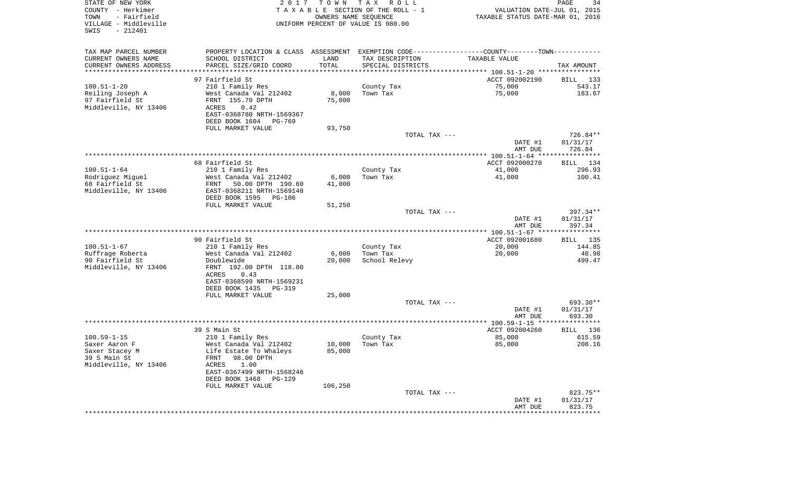| STATE OF NEW YORK<br>COUNTY - Herkimer<br>- Fairfield<br>TOWN<br>VILLAGE - Middleville<br>$-212401$<br>SWIS | 2017                                                                                          | T O W N<br>OWNERS NAME SEQUENCE | T A X<br>R O L L<br>TAXABLE SECTION OF THE ROLL - 1<br>UNIFORM PERCENT OF VALUE IS 080.00 | VALUATION DATE-JUL 01, 2015<br>TAXABLE STATUS DATE-MAR 01, 2016 | PAGE<br>34         |
|-------------------------------------------------------------------------------------------------------------|-----------------------------------------------------------------------------------------------|---------------------------------|-------------------------------------------------------------------------------------------|-----------------------------------------------------------------|--------------------|
| TAX MAP PARCEL NUMBER                                                                                       | PROPERTY LOCATION & CLASS ASSESSMENT EXEMPTION CODE---------------COUNTY-------TOWN---------- |                                 |                                                                                           |                                                                 |                    |
| CURRENT OWNERS NAME                                                                                         | SCHOOL DISTRICT                                                                               | LAND                            | TAX DESCRIPTION                                                                           | TAXABLE VALUE                                                   |                    |
| CURRENT OWNERS ADDRESS<br>***********************                                                           | PARCEL SIZE/GRID COORD                                                                        | TOTAL                           | SPECIAL DISTRICTS                                                                         |                                                                 | TAX AMOUNT         |
|                                                                                                             | 97 Fairfield St                                                                               |                                 |                                                                                           | ACCT 092002190                                                  | BILL 133           |
| $100.51 - 1 - 20$                                                                                           | 210 1 Family Res                                                                              |                                 | County Tax                                                                                | 75,000                                                          | 543.17             |
| Reiling Joseph A                                                                                            | West Canada Val 212402                                                                        | 8,000                           | Town Tax                                                                                  | 75,000                                                          | 183.67             |
| 97 Fairfield St                                                                                             | FRNT 155.70 DPTH                                                                              | 75,000                          |                                                                                           |                                                                 |                    |
| Middleville, NY 13406                                                                                       | ACRES<br>0.42                                                                                 |                                 |                                                                                           |                                                                 |                    |
|                                                                                                             | EAST-0368780 NRTH-1569367                                                                     |                                 |                                                                                           |                                                                 |                    |
|                                                                                                             | DEED BOOK 1604 PG-769<br>FULL MARKET VALUE                                                    | 93,750                          |                                                                                           |                                                                 |                    |
|                                                                                                             |                                                                                               |                                 | TOTAL TAX ---                                                                             |                                                                 | 726.84**           |
|                                                                                                             |                                                                                               |                                 |                                                                                           | DATE #1                                                         | 01/31/17           |
|                                                                                                             |                                                                                               |                                 |                                                                                           | AMT DUE                                                         | 726.84             |
|                                                                                                             | 68 Fairfield St                                                                               |                                 |                                                                                           | ACCT 092000270                                                  | 134<br>BILL        |
| $100.51 - 1 - 64$                                                                                           | 210 1 Family Res                                                                              |                                 | County Tax                                                                                | 41,000                                                          | 296.93             |
| Rodriguez Miguel                                                                                            | West Canada Val 212402                                                                        | 6,000                           | Town Tax                                                                                  | 41,000                                                          | 100.41             |
| 68 Fairfield St                                                                                             | FRNT<br>50.00 DPTH 190.60                                                                     | 41,000                          |                                                                                           |                                                                 |                    |
| Middleville, NY 13406                                                                                       | EAST-0368211 NRTH-1569148                                                                     |                                 |                                                                                           |                                                                 |                    |
|                                                                                                             | DEED BOOK 1595<br>PG-106<br>FULL MARKET VALUE                                                 |                                 |                                                                                           |                                                                 |                    |
|                                                                                                             |                                                                                               | 51,250                          | TOTAL TAX ---                                                                             |                                                                 | $397.34**$         |
|                                                                                                             |                                                                                               |                                 |                                                                                           | DATE #1<br>AMT DUE                                              | 01/31/17<br>397.34 |
|                                                                                                             |                                                                                               |                                 |                                                                                           |                                                                 |                    |
| $100.51 - 1 - 67$                                                                                           | 90 Fairfield St<br>210 1 Family Res                                                           |                                 | County Tax                                                                                | ACCT 092001680<br>20,000                                        | BILL 135<br>144.85 |
| Ruffrage Roberta                                                                                            | West Canada Val 212402                                                                        | 6,000                           | Town Tax                                                                                  | 20,000                                                          | 48.98              |
| 90 Fairfield St                                                                                             | Doublewide                                                                                    | 20,000                          | School Relevy                                                                             |                                                                 | 499.47             |
| Middleville, NY 13406                                                                                       | FRNT 192.00 DPTH 118.00                                                                       |                                 |                                                                                           |                                                                 |                    |
|                                                                                                             | ACRES<br>0.43                                                                                 |                                 |                                                                                           |                                                                 |                    |
|                                                                                                             | EAST-0368599 NRTH-1569231<br>DEED BOOK 1435<br>PG-319                                         |                                 |                                                                                           |                                                                 |                    |
|                                                                                                             | FULL MARKET VALUE                                                                             | 25,000                          |                                                                                           |                                                                 |                    |
|                                                                                                             |                                                                                               |                                 | TOTAL TAX ---                                                                             |                                                                 | 693.30**           |
|                                                                                                             |                                                                                               |                                 |                                                                                           | DATE #1                                                         | 01/31/17           |
|                                                                                                             |                                                                                               |                                 |                                                                                           | AMT DUE                                                         | 693.30             |
|                                                                                                             | 39 S Main St                                                                                  |                                 |                                                                                           | ACCT 092004260                                                  | <b>BILL</b> 136    |
| $100.59 - 1 - 15$                                                                                           | 210 1 Family Res                                                                              |                                 | County Tax                                                                                | 85,000                                                          | 615.59             |
| Saxer Aaron F                                                                                               | West Canada Val 212402                                                                        | 10,000                          | Town Tax                                                                                  | 85,000                                                          | 208.16             |
| Saxer Stacey M                                                                                              | Life Estate To Whaleys                                                                        | 85,000                          |                                                                                           |                                                                 |                    |
| 39 S Main St                                                                                                | 98.00 DPTH<br>FRNT                                                                            |                                 |                                                                                           |                                                                 |                    |
| Middleville, NY 13406                                                                                       | ACRES<br>1.00<br>EAST-0367499 NRTH-1568246                                                    |                                 |                                                                                           |                                                                 |                    |
|                                                                                                             | DEED BOOK 1468<br>PG-129                                                                      |                                 |                                                                                           |                                                                 |                    |
|                                                                                                             | FULL MARKET VALUE                                                                             | 106,250                         |                                                                                           |                                                                 |                    |
|                                                                                                             |                                                                                               |                                 | TOTAL TAX ---                                                                             |                                                                 | 823.75**           |
|                                                                                                             |                                                                                               |                                 |                                                                                           | DATE #1                                                         | 01/31/17           |
|                                                                                                             |                                                                                               |                                 |                                                                                           | AMT DUE<br>*************************************                | 823.75             |
|                                                                                                             |                                                                                               |                                 |                                                                                           |                                                                 |                    |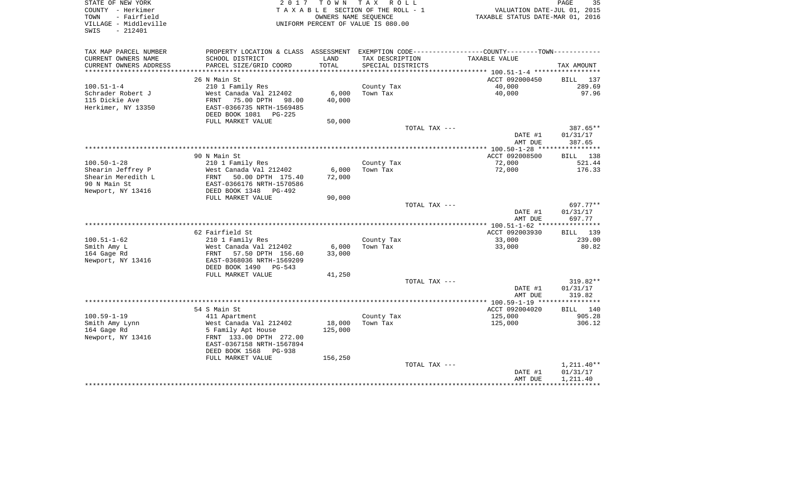| STATE OF NEW YORK<br>COUNTY - Herkimer<br>- Fairfield<br>TOWN<br>VILLAGE - Middleville<br>- 212401<br>SWIS | 2017                                                                                            | T O W N           | T A X<br>R O L L<br>TAXABLE SECTION OF THE ROLL - 1<br>OWNERS NAME SEQUENCE<br>UNIFORM PERCENT OF VALUE IS 080.00 |               | VALUATION DATE-JUL 01, 2015<br>TAXABLE STATUS DATE-MAR 01, 2016 | PAGE<br>35           |
|------------------------------------------------------------------------------------------------------------|-------------------------------------------------------------------------------------------------|-------------------|-------------------------------------------------------------------------------------------------------------------|---------------|-----------------------------------------------------------------|----------------------|
| TAX MAP PARCEL NUMBER                                                                                      | PROPERTY LOCATION & CLASS ASSESSMENT EXEMPTION CODE----------------COUNTY--------TOWN---------- |                   |                                                                                                                   |               |                                                                 |                      |
| CURRENT OWNERS NAME                                                                                        | SCHOOL DISTRICT                                                                                 | LAND              | TAX DESCRIPTION                                                                                                   |               | TAXABLE VALUE                                                   |                      |
| CURRENT OWNERS ADDRESS                                                                                     | PARCEL SIZE/GRID COORD                                                                          | TOTAL             | SPECIAL DISTRICTS                                                                                                 |               |                                                                 | TAX AMOUNT           |
|                                                                                                            |                                                                                                 |                   |                                                                                                                   |               |                                                                 |                      |
| $100.51 - 1 - 4$                                                                                           | 26 N Main St                                                                                    |                   |                                                                                                                   |               | ACCT 092000450<br>40,000                                        | BILL 137<br>289.69   |
| Schrader Robert J                                                                                          | 210 1 Family Res<br>West Canada Val 212402                                                      | 6,000             | County Tax<br>Town Tax                                                                                            |               | 40,000                                                          | 97.96                |
| 115 Dickie Ave                                                                                             | 75.00 DPTH<br>FRNT<br>98.00                                                                     | 40,000            |                                                                                                                   |               |                                                                 |                      |
| Herkimer, NY 13350                                                                                         | EAST-0366735 NRTH-1569485                                                                       |                   |                                                                                                                   |               |                                                                 |                      |
|                                                                                                            | DEED BOOK 1081 PG-225                                                                           |                   |                                                                                                                   |               |                                                                 |                      |
|                                                                                                            | FULL MARKET VALUE                                                                               | 50,000            |                                                                                                                   |               |                                                                 |                      |
|                                                                                                            |                                                                                                 |                   |                                                                                                                   | TOTAL TAX --- |                                                                 | 387.65**             |
|                                                                                                            |                                                                                                 |                   |                                                                                                                   |               | DATE #1                                                         | 01/31/17             |
|                                                                                                            |                                                                                                 |                   |                                                                                                                   |               | AMT DUE                                                         | 387.65               |
|                                                                                                            | 90 N Main St                                                                                    |                   |                                                                                                                   |               | ACCT 092008500                                                  | BILL 138             |
| $100.50 - 1 - 28$                                                                                          | 210 1 Family Res                                                                                |                   | County Tax                                                                                                        |               | 72,000                                                          | 521.44               |
| Shearin Jeffrey P                                                                                          | West Canada Val 212402                                                                          | 6,000             | Town Tax                                                                                                          |               | 72,000                                                          | 176.33               |
| Shearin Meredith L                                                                                         | FRNT<br>50.00 DPTH 175.40                                                                       | 72,000            |                                                                                                                   |               |                                                                 |                      |
| 90 N Main St                                                                                               | EAST-0366176 NRTH-1570586                                                                       |                   |                                                                                                                   |               |                                                                 |                      |
| Newport, NY 13416                                                                                          | DEED BOOK 1348 PG-492                                                                           |                   |                                                                                                                   |               |                                                                 |                      |
|                                                                                                            | FULL MARKET VALUE                                                                               | 90,000            |                                                                                                                   |               |                                                                 |                      |
|                                                                                                            |                                                                                                 |                   |                                                                                                                   | TOTAL TAX --- | DATE #1                                                         | 697.77**<br>01/31/17 |
|                                                                                                            |                                                                                                 |                   |                                                                                                                   |               | AMT DUE                                                         | 697.77               |
|                                                                                                            |                                                                                                 |                   |                                                                                                                   |               |                                                                 |                      |
|                                                                                                            | 62 Fairfield St                                                                                 |                   |                                                                                                                   |               | ACCT 092003930                                                  | BILL 139             |
| $100.51 - 1 - 62$                                                                                          | 210 1 Family Res                                                                                |                   | County Tax                                                                                                        |               | 33,000                                                          | 239.00               |
| Smith Amy L                                                                                                | West Canada Val 212402                                                                          | 6,000             | Town Tax                                                                                                          |               | 33,000                                                          | 80.82                |
| 164 Gage Rd                                                                                                | FRNT<br>57.50 DPTH 156.60                                                                       | 33,000            |                                                                                                                   |               |                                                                 |                      |
| Newport, NY 13416                                                                                          | EAST-0368036 NRTH-1569209<br>DEED BOOK 1490<br>PG-543                                           |                   |                                                                                                                   |               |                                                                 |                      |
|                                                                                                            | FULL MARKET VALUE                                                                               | 41,250            |                                                                                                                   |               |                                                                 |                      |
|                                                                                                            |                                                                                                 |                   |                                                                                                                   | TOTAL TAX --- |                                                                 | 319.82**             |
|                                                                                                            |                                                                                                 |                   |                                                                                                                   |               | DATE #1                                                         | 01/31/17             |
|                                                                                                            |                                                                                                 |                   |                                                                                                                   |               | AMT DUE                                                         | 319.82               |
|                                                                                                            |                                                                                                 |                   |                                                                                                                   |               |                                                                 |                      |
|                                                                                                            | 54 S Main St                                                                                    |                   |                                                                                                                   |               | ACCT 092004020                                                  | BILL 140             |
| $100.59 - 1 - 19$                                                                                          | 411 Apartment                                                                                   |                   | County Tax                                                                                                        |               | 125,000                                                         | 905.28               |
| Smith Amy Lynn<br>164 Gage Rd                                                                              | West Canada Val 212402<br>5 Family Apt House                                                    | 18,000<br>125,000 | Town Tax                                                                                                          |               | 125,000                                                         | 306.12               |
| Newport, NY 13416                                                                                          | FRNT 133.00 DPTH 272.00                                                                         |                   |                                                                                                                   |               |                                                                 |                      |
|                                                                                                            | EAST-0367158 NRTH-1567894                                                                       |                   |                                                                                                                   |               |                                                                 |                      |
|                                                                                                            | DEED BOOK 1568<br><b>PG-938</b>                                                                 |                   |                                                                                                                   |               |                                                                 |                      |
|                                                                                                            | FULL MARKET VALUE                                                                               | 156,250           |                                                                                                                   |               |                                                                 |                      |
|                                                                                                            |                                                                                                 |                   |                                                                                                                   | TOTAL TAX --- |                                                                 | $1,211.40**$         |
|                                                                                                            |                                                                                                 |                   |                                                                                                                   |               | DATE #1                                                         | 01/31/17             |
|                                                                                                            |                                                                                                 |                   |                                                                                                                   |               | AMT DUE                                                         | 1,211.40             |
|                                                                                                            |                                                                                                 |                   |                                                                                                                   |               |                                                                 |                      |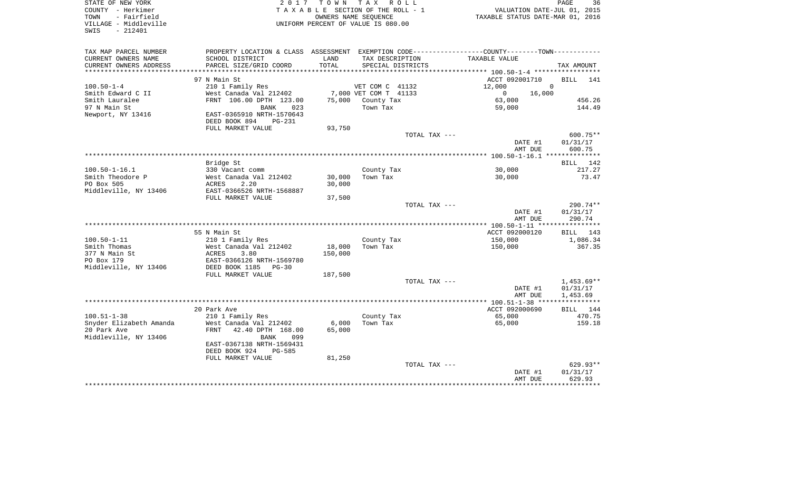| COUNTY<br>- Herkimer<br>- Fairfield<br>TOWN |                                                                                               |                  | T A X A B L E SECTION OF THE ROLL - 1<br>OWNERS NAME SEQUENCE | VALUATION DATE-JUL 01, 2015<br>TAXABLE STATUS DATE-MAR 01, 2016 |                      |
|---------------------------------------------|-----------------------------------------------------------------------------------------------|------------------|---------------------------------------------------------------|-----------------------------------------------------------------|----------------------|
| VILLAGE - Middleville<br>$-212401$<br>SWIS  |                                                                                               |                  | UNIFORM PERCENT OF VALUE IS 080.00                            |                                                                 |                      |
| TAX MAP PARCEL NUMBER                       | PROPERTY LOCATION & CLASS ASSESSMENT EXEMPTION CODE---------------COUNTY-------TOWN---------- |                  |                                                               |                                                                 |                      |
| CURRENT OWNERS NAME                         | SCHOOL DISTRICT                                                                               | LAND             | TAX DESCRIPTION                                               | TAXABLE VALUE                                                   |                      |
| CURRENT OWNERS ADDRESS                      | PARCEL SIZE/GRID COORD                                                                        | TOTAL            | SPECIAL DISTRICTS                                             |                                                                 | TAX AMOUNT           |
|                                             | 97 N Main St                                                                                  |                  |                                                               | ACCT 092001710                                                  | BILL<br>141          |
| $100.50 - 1 - 4$                            | 210 1 Family Res                                                                              |                  | VET COM C 41132                                               | 12,000                                                          | $\Omega$             |
| Smith Edward C II                           | West Canada Val 212402                                                                        |                  | 7,000 VET COM T 41133                                         | $\mathbf 0$<br>16,000                                           |                      |
| Smith Lauralee                              | FRNT 106.00 DPTH 123.00                                                                       |                  | 75,000 County Tax                                             | 63,000                                                          | 456.26               |
| 97 N Main St<br>Newport, NY 13416           | <b>BANK</b><br>023<br>EAST-0365910 NRTH-1570643                                               |                  | Town Tax                                                      | 59,000                                                          | 144.49               |
|                                             | DEED BOOK 894<br><b>PG-231</b><br>FULL MARKET VALUE                                           | 93,750           |                                                               |                                                                 |                      |
|                                             |                                                                                               |                  | TOTAL TAX ---                                                 |                                                                 | $600.75**$           |
|                                             |                                                                                               |                  |                                                               | DATE #1<br>AMT DUE                                              | 01/31/17<br>600.75   |
|                                             |                                                                                               |                  |                                                               |                                                                 |                      |
|                                             | Bridge St                                                                                     |                  |                                                               |                                                                 | 142<br>BILL          |
| $100.50 - 1 - 16.1$                         | 330 Vacant comm                                                                               |                  | County Tax                                                    | 30,000                                                          | 217.27               |
| Smith Theodore P<br>PO Box 505              | West Canada Val 212402<br>2.20<br>ACRES                                                       | 30,000<br>30,000 | Town Tax                                                      | 30,000                                                          | 73.47                |
| Middleville, NY 13406                       | EAST-0366526 NRTH-1568887                                                                     |                  |                                                               |                                                                 |                      |
|                                             | FULL MARKET VALUE                                                                             | 37,500           |                                                               |                                                                 |                      |
|                                             |                                                                                               |                  | TOTAL TAX ---                                                 |                                                                 | $290.74**$           |
|                                             |                                                                                               |                  |                                                               | DATE #1                                                         | 01/31/17             |
|                                             |                                                                                               |                  |                                                               | AMT DUE                                                         | 290.74               |
|                                             |                                                                                               |                  |                                                               |                                                                 |                      |
| $100.50 - 1 - 11$                           | 55 N Main St<br>210 1 Family Res                                                              |                  | County Tax                                                    | ACCT 092000120<br>150,000                                       | BILL 143<br>1,086.34 |
| Smith Thomas                                | West Canada Val 212402                                                                        | 18,000           | Town Tax                                                      | 150,000                                                         | 367.35               |
| 377 N Main St                               | ACRES<br>3.80                                                                                 | 150,000          |                                                               |                                                                 |                      |
| PO Box 179                                  | EAST-0366126 NRTH-1569780                                                                     |                  |                                                               |                                                                 |                      |
| Middleville, NY 13406                       | DEED BOOK 1185<br>$PG-30$                                                                     |                  |                                                               |                                                                 |                      |
|                                             | FULL MARKET VALUE                                                                             | 187,500          |                                                               |                                                                 |                      |
|                                             |                                                                                               |                  | TOTAL TAX ---                                                 |                                                                 | $1,453.69**$         |
|                                             |                                                                                               |                  |                                                               | DATE #1                                                         | 01/31/17             |
|                                             |                                                                                               |                  | ***********************************                           | AMT DUE<br>**** 100.51-1-38 **                                  | 1,453.69             |
|                                             | 20 Park Ave                                                                                   |                  |                                                               | ACCT 092000690                                                  | BILL 144             |
| $100.51 - 1 - 38$                           | 210 1 Family Res                                                                              |                  | County Tax                                                    | 65,000                                                          | 470.75               |
| Snyder Elizabeth Amanda                     | West Canada Val 212402                                                                        | 6,000            | Town Tax                                                      | 65,000                                                          | 159.18               |
| 20 Park Ave                                 | FRNT<br>42.40 DPTH 168.00                                                                     | 65,000           |                                                               |                                                                 |                      |
| Middleville, NY 13406                       | 099<br>BANK                                                                                   |                  |                                                               |                                                                 |                      |
|                                             | EAST-0367138 NRTH-1569431                                                                     |                  |                                                               |                                                                 |                      |
|                                             | DEED BOOK 924<br><b>PG-585</b>                                                                |                  |                                                               |                                                                 |                      |
|                                             | FULL MARKET VALUE                                                                             | 81,250           | TOTAL TAX ---                                                 |                                                                 | 629.93**             |
|                                             |                                                                                               |                  |                                                               | DATE #1                                                         | 01/31/17             |
|                                             |                                                                                               |                  |                                                               | AMT DUE                                                         | 629.93               |
|                                             |                                                                                               |                  |                                                               |                                                                 |                      |

PAGE 36

STATE OF NEW YORK **EXECUTE:** A G L L 2 0 1 7 T O W N T A X R O L L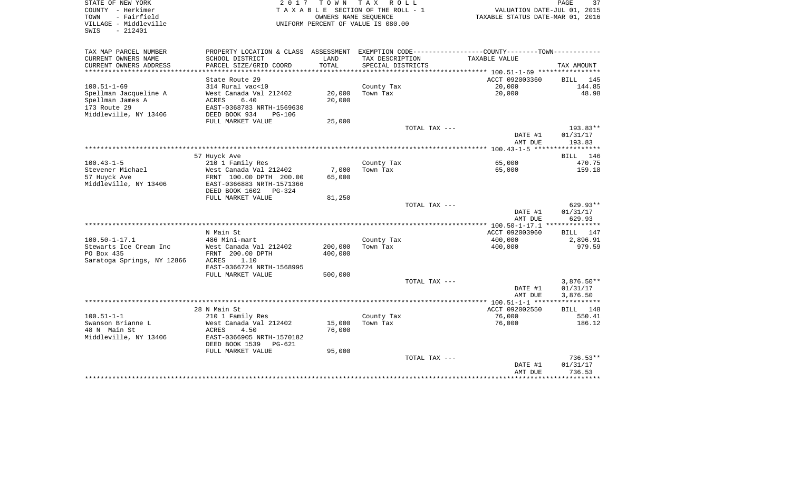| STATE OF NEW YORK<br>COUNTY - Herkimer<br>- Fairfield<br>TOWN | 2 0 1 7                                               | TOWN TAX | R O L L<br>TAXABLE SECTION OF THE ROLL - 1<br>OWNERS NAME SEQUENCE | TAXABLE STATUS DATE-MAR 01, 2016                            | 37<br>PAGE<br>VALUATION DATE-JUL 01, 2015 |
|---------------------------------------------------------------|-------------------------------------------------------|----------|--------------------------------------------------------------------|-------------------------------------------------------------|-------------------------------------------|
| VILLAGE - Middleville<br>$-212401$<br>SWIS                    |                                                       |          | UNIFORM PERCENT OF VALUE IS 080.00                                 |                                                             |                                           |
| TAX MAP PARCEL NUMBER                                         | PROPERTY LOCATION & CLASS ASSESSMENT                  |          |                                                                    | EXEMPTION CODE-----------------COUNTY-------TOWN----------- |                                           |
| CURRENT OWNERS NAME                                           | SCHOOL DISTRICT                                       | LAND     | TAX DESCRIPTION                                                    | TAXABLE VALUE                                               |                                           |
| CURRENT OWNERS ADDRESS                                        | PARCEL SIZE/GRID COORD                                | TOTAL    | SPECIAL DISTRICTS                                                  |                                                             | TAX AMOUNT                                |
|                                                               |                                                       |          |                                                                    |                                                             |                                           |
|                                                               | State Route 29                                        |          |                                                                    | ACCT 092003360                                              | BILL 145                                  |
| $100.51 - 1 - 69$<br>Spellman Jacqueline A                    | 314 Rural vac<10<br>West Canada Val 212402            | 20,000   | County Tax<br>Town Tax                                             | 20,000<br>20,000                                            | 144.85<br>48.98                           |
| Spellman James A                                              | 6.40<br>ACRES                                         | 20,000   |                                                                    |                                                             |                                           |
| 173 Route 29                                                  | EAST-0368783 NRTH-1569630                             |          |                                                                    |                                                             |                                           |
| Middleville, NY 13406                                         | DEED BOOK 934<br>$PG-106$                             |          |                                                                    |                                                             |                                           |
|                                                               | FULL MARKET VALUE                                     | 25,000   |                                                                    |                                                             |                                           |
|                                                               |                                                       |          |                                                                    | TOTAL TAX ---                                               | 193.83**                                  |
|                                                               |                                                       |          |                                                                    | DATE #1<br>AMT DUE                                          | 01/31/17<br>193.83                        |
|                                                               |                                                       |          |                                                                    |                                                             |                                           |
|                                                               | 57 Huyck Ave                                          |          |                                                                    |                                                             | 146<br>BILL                               |
| $100.43 - 1 - 5$<br>Stevener Michael                          | 210 1 Family Res<br>West Canada Val 212402            | 7,000    | County Tax<br>Town Tax                                             | 65,000<br>65,000                                            | 470.75<br>159.18                          |
| 57 Huyck Ave                                                  | FRNT 100.00 DPTH 200.00                               | 65,000   |                                                                    |                                                             |                                           |
| Middleville, NY 13406                                         | EAST-0366883 NRTH-1571366<br>DEED BOOK 1602<br>PG-324 |          |                                                                    |                                                             |                                           |
|                                                               | FULL MARKET VALUE                                     | 81,250   |                                                                    |                                                             |                                           |
|                                                               |                                                       |          |                                                                    | TOTAL TAX ---                                               | 629.93**                                  |
|                                                               |                                                       |          |                                                                    | DATE #1<br>AMT DUE                                          | 01/31/17<br>629.93                        |
|                                                               |                                                       |          |                                                                    |                                                             | **************                            |
|                                                               | N Main St                                             |          |                                                                    | ACCT 092003960                                              | BILL 147                                  |
| $100.50 - 1 - 17.1$                                           | 486 Mini-mart                                         | 200,000  | County Tax                                                         | 400,000                                                     | 2,896.91                                  |
| Stewarts Ice Cream Inc<br>PO Box 435                          | West Canada Val 212402<br>FRNT 200.00 DPTH            | 400,000  | Town Tax                                                           | 400,000                                                     | 979.59                                    |
| Saratoga Springs, NY 12866                                    | <b>ACRES</b><br>1.10                                  |          |                                                                    |                                                             |                                           |
|                                                               | EAST-0366724 NRTH-1568995                             |          |                                                                    |                                                             |                                           |
|                                                               | FULL MARKET VALUE                                     | 500,000  |                                                                    |                                                             |                                           |
|                                                               |                                                       |          |                                                                    | TOTAL TAX ---                                               | $3,876.50**$                              |
|                                                               |                                                       |          |                                                                    | DATE #1                                                     | 01/31/17                                  |
|                                                               |                                                       |          |                                                                    | AMT DUE                                                     | 3,876.50                                  |
|                                                               |                                                       |          |                                                                    |                                                             | * * * * * * * * * * * *                   |
| $100.51 - 1 - 1$                                              | 28 N Main St                                          |          | County Tax                                                         | ACCT 092002550<br>76,000                                    | BILL 148<br>550.41                        |
| Swanson Brianne L                                             | 210 1 Family Res<br>West Canada Val 212402            | 15,000   | Town Tax                                                           | 76,000                                                      | 186.12                                    |
| 48 N Main St                                                  | ACRES<br>4.50                                         | 76,000   |                                                                    |                                                             |                                           |
| Middleville, NY 13406                                         | EAST-0366905 NRTH-1570182                             |          |                                                                    |                                                             |                                           |
|                                                               | DEED BOOK 1539<br>PG-621                              |          |                                                                    |                                                             |                                           |
|                                                               | FULL MARKET VALUE                                     | 95,000   |                                                                    |                                                             |                                           |
|                                                               |                                                       |          |                                                                    | TOTAL TAX ---                                               | 736.53**                                  |
|                                                               |                                                       |          |                                                                    | DATE #1                                                     | 01/31/17                                  |
|                                                               |                                                       |          |                                                                    | AMT DUE                                                     | 736.53<br>********                        |
|                                                               |                                                       |          |                                                                    |                                                             |                                           |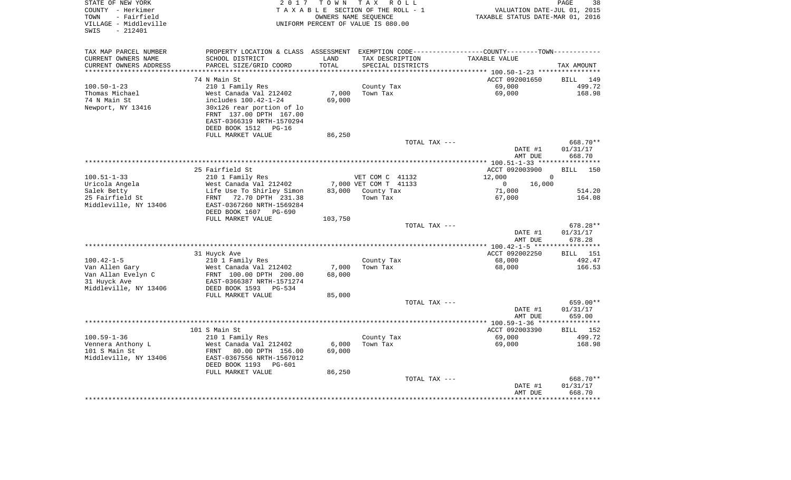| STATE OF NEW YORK<br>COUNTY - Herkimer<br>- Fairfield<br>TOWN<br>VILLAGE - Middleville<br>$-212401$<br>SWIS | 2 0 1 7                                        | TOWN            | T A X<br>R O L L<br>TAXABLE SECTION OF THE ROLL - 1<br>OWNERS NAME SEOUENCE<br>UNIFORM PERCENT OF VALUE IS 080.00 | VALUATION DATE-JUL 01, 2015<br>TAXABLE STATUS DATE-MAR 01, 2016 | PAGE<br>38                     |
|-------------------------------------------------------------------------------------------------------------|------------------------------------------------|-----------------|-------------------------------------------------------------------------------------------------------------------|-----------------------------------------------------------------|--------------------------------|
| TAX MAP PARCEL NUMBER                                                                                       |                                                |                 | PROPERTY LOCATION & CLASS ASSESSMENT EXEMPTION CODE---------------COUNTY-------TOWN----------                     |                                                                 |                                |
| CURRENT OWNERS NAME                                                                                         | SCHOOL DISTRICT                                | LAND            | TAX DESCRIPTION                                                                                                   | TAXABLE VALUE                                                   |                                |
| CURRENT OWNERS ADDRESS                                                                                      | PARCEL SIZE/GRID COORD                         | TOTAL           | SPECIAL DISTRICTS                                                                                                 |                                                                 | TAX AMOUNT                     |
| ******************                                                                                          |                                                |                 |                                                                                                                   | ********** 100.50-1-23 *****************                        |                                |
|                                                                                                             | 74 N Main St                                   |                 |                                                                                                                   | ACCT 092001650                                                  | 149<br>BILL                    |
| $100.50 - 1 - 23$                                                                                           | 210 1 Family Res                               |                 | County Tax                                                                                                        | 69,000                                                          | 499.72                         |
| Thomas Michael<br>74 N Main St                                                                              | West Canada Val 212402<br>includes 100.42-1-24 | 7,000<br>69,000 | Town Tax                                                                                                          | 69,000                                                          | 168.98                         |
| Newport, NY 13416                                                                                           | 30x126 rear portion of lo                      |                 |                                                                                                                   |                                                                 |                                |
|                                                                                                             | FRNT 137.00 DPTH 167.00                        |                 |                                                                                                                   |                                                                 |                                |
|                                                                                                             | EAST-0366319 NRTH-1570294                      |                 |                                                                                                                   |                                                                 |                                |
|                                                                                                             | DEED BOOK 1512 PG-16                           |                 |                                                                                                                   |                                                                 |                                |
|                                                                                                             | FULL MARKET VALUE                              | 86,250          |                                                                                                                   |                                                                 |                                |
|                                                                                                             |                                                |                 | TOTAL TAX ---                                                                                                     |                                                                 | 668.70**                       |
|                                                                                                             |                                                |                 |                                                                                                                   | DATE #1                                                         | 01/31/17                       |
|                                                                                                             |                                                |                 |                                                                                                                   | AMT DUE                                                         | 668.70                         |
|                                                                                                             |                                                |                 |                                                                                                                   |                                                                 |                                |
| $100.51 - 1 - 33$                                                                                           | 25 Fairfield St<br>210 1 Family Res            |                 | VET COM C 41132                                                                                                   | ACCT 092003900<br>12,000                                        | <b>BILL</b><br>150<br>$\Omega$ |
| Uricola Angela                                                                                              | West Canada Val 212402                         |                 | 7,000 VET COM T 41133                                                                                             | 16,000<br>0                                                     |                                |
| Salek Betty                                                                                                 | Life Use To Shirley Simon                      | 83,000          | County Tax                                                                                                        | 71,000                                                          | 514.20                         |
| 25 Fairfield St                                                                                             | 72.70 DPTH 231.38<br>FRNT                      |                 | Town Tax                                                                                                          | 67,000                                                          | 164.08                         |
| Middleville, NY 13406                                                                                       | EAST-0367260 NRTH-1569284                      |                 |                                                                                                                   |                                                                 |                                |
|                                                                                                             | DEED BOOK 1607<br>$PG-690$                     |                 |                                                                                                                   |                                                                 |                                |
|                                                                                                             | FULL MARKET VALUE                              | 103,750         |                                                                                                                   |                                                                 |                                |
|                                                                                                             |                                                |                 | TOTAL TAX ---                                                                                                     |                                                                 | 678.28**                       |
|                                                                                                             |                                                |                 |                                                                                                                   | DATE #1                                                         | 01/31/17                       |
|                                                                                                             |                                                |                 |                                                                                                                   | AMT DUE<br>************* 100.42-1-5 ****                        | 678.28<br>***********          |
|                                                                                                             | 31 Huyck Ave                                   |                 |                                                                                                                   | ACCT 092002250                                                  | 151<br>BILL                    |
| $100.42 - 1 - 5$                                                                                            | 210 1 Family Res                               |                 | County Tax                                                                                                        | 68,000                                                          | 492.47                         |
| Van Allen Gary                                                                                              | West Canada Val 212402                         | 7,000           | Town Tax                                                                                                          | 68,000                                                          | 166.53                         |
| Van Allan Evelyn C                                                                                          | FRNT 100.00 DPTH 200.00                        | 68,000          |                                                                                                                   |                                                                 |                                |
| 31 Huyck Ave                                                                                                | EAST-0366387 NRTH-1571274                      |                 |                                                                                                                   |                                                                 |                                |
| Middleville, NY 13406                                                                                       | DEED BOOK 1593<br>$PG-534$                     |                 |                                                                                                                   |                                                                 |                                |
|                                                                                                             | FULL MARKET VALUE                              | 85,000          |                                                                                                                   |                                                                 |                                |
|                                                                                                             |                                                |                 | TOTAL TAX ---                                                                                                     |                                                                 | 659.00**                       |
|                                                                                                             |                                                |                 |                                                                                                                   | DATE #1                                                         | 01/31/17                       |
|                                                                                                             |                                                |                 |                                                                                                                   | AMT DUE                                                         | 659.00                         |
|                                                                                                             | 101 S Main St                                  |                 |                                                                                                                   | ACCT 092003390                                                  | 152<br>BILL                    |
| $100.59 - 1 - 36$                                                                                           | 210 1 Family Res                               |                 | County Tax                                                                                                        | 69,000                                                          | 499.72                         |
| Vennera Anthony L                                                                                           | West Canada Val 212402                         | 6,000           | Town Tax                                                                                                          | 69,000                                                          | 168.98                         |
| 101 S Main St                                                                                               | FRNT<br>80.00 DPTH 156.00                      | 69,000          |                                                                                                                   |                                                                 |                                |
| Middleville, NY 13406                                                                                       | EAST-0367556 NRTH-1567012                      |                 |                                                                                                                   |                                                                 |                                |
|                                                                                                             | DEED BOOK 1193<br>$PG-601$                     |                 |                                                                                                                   |                                                                 |                                |
|                                                                                                             | FULL MARKET VALUE                              | 86,250          |                                                                                                                   |                                                                 |                                |
|                                                                                                             |                                                |                 | TOTAL TAX ---                                                                                                     |                                                                 | 668.70**                       |
|                                                                                                             |                                                |                 |                                                                                                                   | DATE #1                                                         | 01/31/17                       |
|                                                                                                             |                                                |                 |                                                                                                                   | AMT DUE                                                         | 668.70                         |
|                                                                                                             |                                                |                 |                                                                                                                   |                                                                 |                                |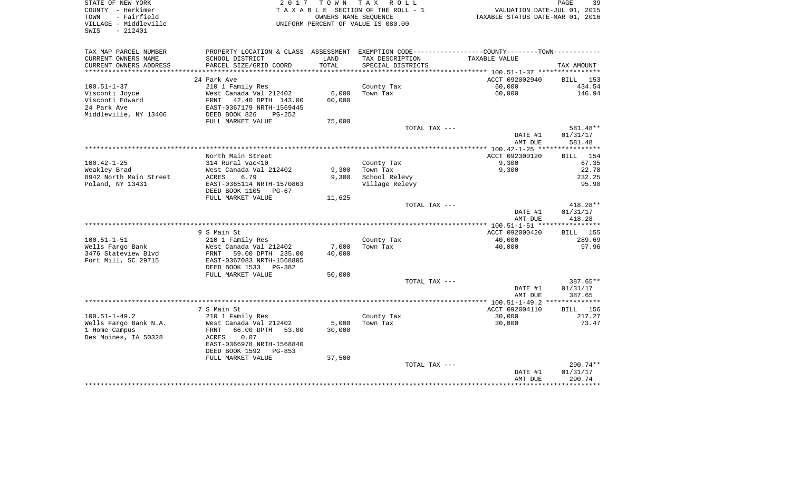| STATE OF NEW YORK<br>COUNTY - Herkimer<br>TOWN<br>- Fairfield<br>VILLAGE - Middleville<br>$-212401$<br>SWIS |                                                      | 2017 TOWN TAX | R O L L<br>TAXABLE SECTION OF THE ROLL - 1<br>OWNERS NAME SEQUENCE<br>UNIFORM PERCENT OF VALUE IS 080.00 | VALUATION DATE-JUL 01, 2015<br>TAXABLE STATUS DATE-MAR 01, 2016                                | PAGE<br>39         |
|-------------------------------------------------------------------------------------------------------------|------------------------------------------------------|---------------|----------------------------------------------------------------------------------------------------------|------------------------------------------------------------------------------------------------|--------------------|
| TAX MAP PARCEL NUMBER                                                                                       |                                                      |               |                                                                                                          | PROPERTY LOCATION & CLASS ASSESSMENT EXEMPTION CODE---------------COUNTY--------TOWN---------- |                    |
| CURRENT OWNERS NAME                                                                                         | SCHOOL DISTRICT                                      | LAND          | TAX DESCRIPTION                                                                                          | TAXABLE VALUE                                                                                  |                    |
| CURRENT OWNERS ADDRESS                                                                                      | PARCEL SIZE/GRID COORD                               | TOTAL         | SPECIAL DISTRICTS                                                                                        |                                                                                                | TAX AMOUNT         |
| ***********************                                                                                     |                                                      |               |                                                                                                          |                                                                                                |                    |
|                                                                                                             | 24 Park Ave                                          |               |                                                                                                          | ACCT 092002940                                                                                 | BILL 153           |
| $100.51 - 1 - 37$                                                                                           | 210 1 Family Res                                     |               | County Tax                                                                                               | 60,000                                                                                         | 434.54             |
| Visconti Joyce                                                                                              | West Canada Val 212402                               | 6,000         | Town Tax                                                                                                 | 60,000                                                                                         | 146.94             |
| Visconti Edward<br>24 Park Ave                                                                              | FRNT 42.40 DPTH 143.00<br>EAST-0367179 NRTH-1569445  | 60,000        |                                                                                                          |                                                                                                |                    |
| Middleville, NY 13406                                                                                       | DEED BOOK 826<br>$PG-252$                            |               |                                                                                                          |                                                                                                |                    |
|                                                                                                             | FULL MARKET VALUE                                    | 75,000        |                                                                                                          |                                                                                                |                    |
|                                                                                                             |                                                      |               | TOTAL TAX ---                                                                                            |                                                                                                | 581.48**           |
|                                                                                                             |                                                      |               |                                                                                                          | DATE #1<br>AMT DUE                                                                             | 01/31/17<br>581.48 |
|                                                                                                             |                                                      |               |                                                                                                          |                                                                                                |                    |
|                                                                                                             | North Main Street                                    |               |                                                                                                          | ACCT 092300120                                                                                 | BILL 154           |
| $100.42 - 1 - 25$                                                                                           | 314 Rural vac<10                                     |               | County Tax                                                                                               | 9,300                                                                                          | 67.35              |
| Weakley Brad                                                                                                | West Canada Val 212402                               | 9,300         | Town Tax                                                                                                 | 9,300                                                                                          | 22.78              |
| 8942 North Main Street                                                                                      | ACRES<br>6.79                                        | 9,300         | School Relevy                                                                                            |                                                                                                | 232.25             |
| Poland, NY 13431                                                                                            | EAST-0365114 NRTH-1570863<br>DEED BOOK 1105<br>PG-67 |               | Village Relevy                                                                                           |                                                                                                | 95.90              |
|                                                                                                             | FULL MARKET VALUE                                    | 11,625        |                                                                                                          |                                                                                                |                    |
|                                                                                                             |                                                      |               | TOTAL TAX ---                                                                                            |                                                                                                | 418.28**           |
|                                                                                                             |                                                      |               |                                                                                                          | DATE #1                                                                                        | 01/31/17           |
|                                                                                                             |                                                      |               |                                                                                                          | AMT DUE                                                                                        | 418.28             |
|                                                                                                             |                                                      |               |                                                                                                          |                                                                                                |                    |
|                                                                                                             | 9 S Main St                                          |               |                                                                                                          | ACCT 092000420                                                                                 | BILL 155           |
| $100.51 - 1 - 51$<br>Wells Fargo Bank                                                                       | 210 1 Family Res<br>West Canada Val 212402           | 7,000         | County Tax<br>Town Tax                                                                                   | 40,000<br>40,000                                                                               | 289.69<br>97.96    |
| 3476 Stateview Blvd                                                                                         | 59.00 DPTH 235.00<br>FRNT                            | 40,000        |                                                                                                          |                                                                                                |                    |
| Fort Mill, SC 29715                                                                                         | EAST-0367083 NRTH-1568805                            |               |                                                                                                          |                                                                                                |                    |
|                                                                                                             | DEED BOOK 1533<br>PG-382                             |               |                                                                                                          |                                                                                                |                    |
|                                                                                                             | FULL MARKET VALUE                                    | 50,000        |                                                                                                          |                                                                                                |                    |
|                                                                                                             |                                                      |               | TOTAL TAX ---                                                                                            |                                                                                                | $387.65**$         |
|                                                                                                             |                                                      |               |                                                                                                          | DATE #1                                                                                        | 01/31/17           |
|                                                                                                             |                                                      |               |                                                                                                          | AMT DUE                                                                                        | 387.65             |
|                                                                                                             |                                                      |               |                                                                                                          |                                                                                                |                    |
|                                                                                                             | 7 S Main St                                          |               |                                                                                                          | ACCT 092004110                                                                                 | BILL 156           |
| $100.51 - 1 - 49.2$                                                                                         | 210 1 Family Res                                     |               | County Tax                                                                                               | 30,000                                                                                         | 217.27             |
| Wells Fargo Bank N.A.                                                                                       | West Canada Val 212402                               | 5,000         | Town Tax                                                                                                 | 30,000                                                                                         | 73.47              |
| 1 Home Campus                                                                                               | 66.00 DPTH 53.00<br>FRNT                             | 30,000        |                                                                                                          |                                                                                                |                    |
| Des Moines, IA 50328                                                                                        | ACRES<br>0.07                                        |               |                                                                                                          |                                                                                                |                    |
|                                                                                                             | EAST-0366978 NRTH-1568840                            |               |                                                                                                          |                                                                                                |                    |
|                                                                                                             | DEED BOOK 1592<br>$PG-853$                           |               |                                                                                                          |                                                                                                |                    |
|                                                                                                             | FULL MARKET VALUE                                    | 37,500        | TOTAL TAX ---                                                                                            |                                                                                                | 290.74**           |
|                                                                                                             |                                                      |               |                                                                                                          | DATE #1                                                                                        | 01/31/17           |
|                                                                                                             |                                                      |               |                                                                                                          | AMT DUE                                                                                        | 290.74             |
|                                                                                                             |                                                      |               |                                                                                                          |                                                                                                | ********           |
|                                                                                                             |                                                      |               |                                                                                                          |                                                                                                |                    |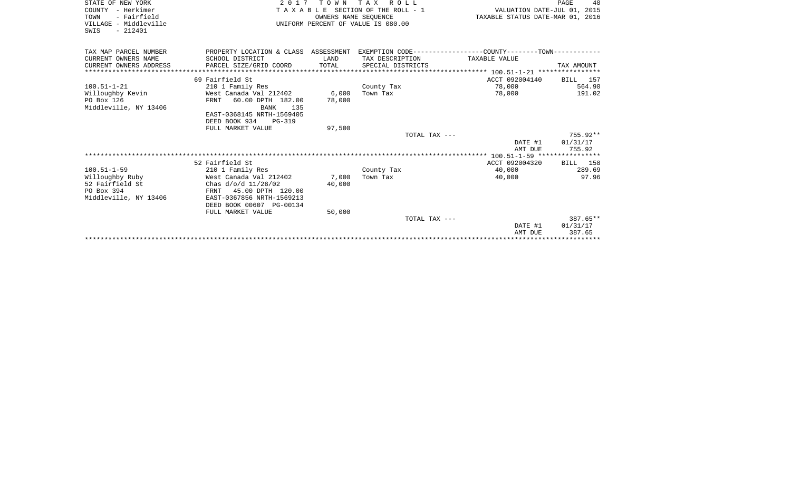| STATE OF NEW YORK<br>COUNTY - Herkimer<br>- Fairfield<br>TOWN<br>VILLAGE - Middleville<br>SWIS<br>$-212401$ | 2017 TOWN TAX ROLL<br>TAXABLE SECTION OF THE ROLL - 1<br>OWNERS NAME SEOUENCE<br>UNIFORM PERCENT OF VALUE IS 080.00 |                 |                   | PAGE<br>40<br>VALUATION DATE-JUL 01, 2015<br>TAXABLE STATUS DATE-MAR 01, 2016 |                    |  |
|-------------------------------------------------------------------------------------------------------------|---------------------------------------------------------------------------------------------------------------------|-----------------|-------------------|-------------------------------------------------------------------------------|--------------------|--|
| TAX MAP PARCEL NUMBER                                                                                       | PROPERTY LOCATION & CLASS ASSESSMENT EXEMPTION CODE----------------COUNTY-------TOWN----------                      |                 |                   |                                                                               |                    |  |
| CURRENT OWNERS NAME                                                                                         | SCHOOL DISTRICT                                                                                                     | LAND            | TAX DESCRIPTION   | TAXABLE VALUE                                                                 |                    |  |
| CURRENT OWNERS ADDRESS                                                                                      | PARCEL SIZE/GRID COORD                                                                                              | TOTAL           | SPECIAL DISTRICTS |                                                                               | TAX AMOUNT         |  |
|                                                                                                             |                                                                                                                     |                 |                   |                                                                               |                    |  |
|                                                                                                             | 69 Fairfield St                                                                                                     |                 |                   | ACCT 092004140                                                                | BILL 157           |  |
| $100.51 - 1 - 21$                                                                                           | 210 1 Family Res                                                                                                    |                 | County Tax        | 78,000                                                                        | 564.90             |  |
| Willoughby Kevin<br>PO Box 126                                                                              | West Canada Val 212402<br>60.00 DPTH 182.00<br>FRNT                                                                 | 6,000<br>78,000 | Town Tax          | 78,000                                                                        | 191.02             |  |
| Middleville, NY 13406                                                                                       | <b>BANK</b> 135                                                                                                     |                 |                   |                                                                               |                    |  |
|                                                                                                             | EAST-0368145 NRTH-1569405                                                                                           |                 |                   |                                                                               |                    |  |
|                                                                                                             | DEED BOOK 934 PG-319                                                                                                |                 |                   |                                                                               |                    |  |
|                                                                                                             | FULL MARKET VALUE                                                                                                   | 97,500          |                   |                                                                               |                    |  |
|                                                                                                             |                                                                                                                     |                 | TOTAL TAX ---     |                                                                               | 755.92**           |  |
|                                                                                                             |                                                                                                                     |                 |                   | DATE #1                                                                       | 01/31/17           |  |
|                                                                                                             |                                                                                                                     |                 |                   | AMT DUE                                                                       | 755.92             |  |
|                                                                                                             |                                                                                                                     |                 |                   |                                                                               |                    |  |
| $100.51 - 1 - 59$                                                                                           | 52 Fairfield St<br>210 1 Family Res                                                                                 |                 | County Tax        | ACCT 092004320<br>40,000                                                      | BILL 158<br>289.69 |  |
| Willoughby Ruby                                                                                             | West Canada Val 212402                                                                                              | 7,000           | Town Tax          | 40,000                                                                        | 97.96              |  |
| 52 Fairfield St                                                                                             | Chas d/o/d 11/28/02                                                                                                 | 40,000          |                   |                                                                               |                    |  |
| PO Box 394                                                                                                  | FRNT 45.00 DPTH 120.00                                                                                              |                 |                   |                                                                               |                    |  |
| Middleville, NY 13406                                                                                       | EAST-0367856 NRTH-1569213                                                                                           |                 |                   |                                                                               |                    |  |
|                                                                                                             | DEED BOOK 00607 PG-00134                                                                                            |                 |                   |                                                                               |                    |  |
|                                                                                                             | FULL MARKET VALUE                                                                                                   | 50,000          |                   |                                                                               |                    |  |
|                                                                                                             |                                                                                                                     |                 | TOTAL TAX ---     |                                                                               | $387.65**$         |  |
|                                                                                                             |                                                                                                                     |                 |                   | DATE #1                                                                       | 01/31/17           |  |
|                                                                                                             |                                                                                                                     |                 |                   | AMT DUE                                                                       | 387.65             |  |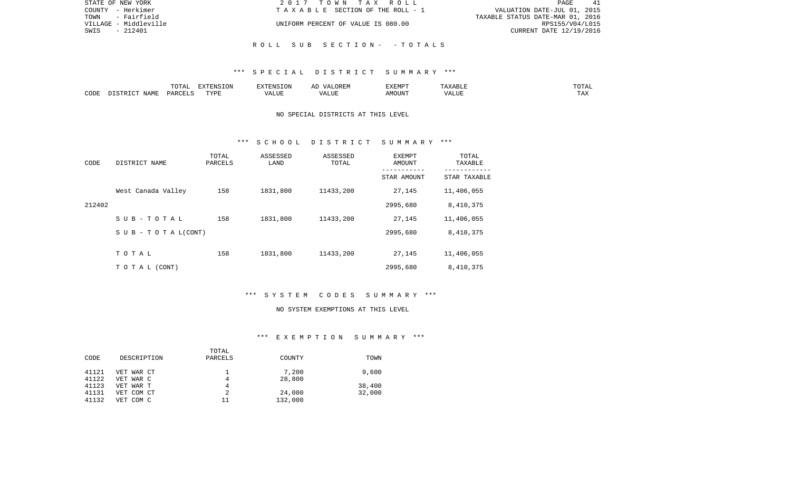| STATE OF NEW YORK     | 2017 TOWN TAX ROLL                 | 41<br>PAGE                       |
|-----------------------|------------------------------------|----------------------------------|
| COUNTY - Herkimer     | TAXABLE SECTION OF THE ROLL - 1    | VALUATION DATE-JUL 01, 2015      |
| - Fairfield<br>TOWN   |                                    | TAXABLE STATUS DATE-MAR 01, 2016 |
| VILLAGE - Middleville | UNIFORM PERCENT OF VALUE IS 080.00 | RPS155/V04/L015                  |
| $-212401$<br>SWIS     |                                    | CURRENT DATE 12/19/2016          |
|                       |                                    |                                  |
|                       | ROLL SUB SECTION- -TOTALS          |                                  |

|      |                 | .<br>LUTAL                      | EXTENSION                      |                         | ▵                   | EXEMPT | $A \sim 1$ | JTAI |
|------|-----------------|---------------------------------|--------------------------------|-------------------------|---------------------|--------|------------|------|
| CODE | JAMF<br>$ \sim$ | $\cap$ TT (<br>DAR <sub>(</sub> | $mx \tau n \tau$<br>∨ ⊃ ⊧<br>. | $- - - - -$<br>11 U J J | ----<br>$^{\prime}$ | AMOUNT |            |      |

## NO SPECIAL DISTRICTS AT THIS LEVEL

### \*\*\* S C H O O L D I S T R I C T S U M M A R Y \*\*\*

| CODE   | DISTRICT NAME             | TOTAL<br>PARCELS | ASSESSED<br>LAND | ASSESSED<br>TOTAL | EXEMPT<br>AMOUNT<br>- - - - - - - - - - | TOTAL<br>TAXABLE<br>------------ |
|--------|---------------------------|------------------|------------------|-------------------|-----------------------------------------|----------------------------------|
|        |                           |                  |                  |                   | STAR AMOUNT                             | STAR TAXABLE                     |
|        | West Canada Valley        | 158              | 1831,800         | 11433,200         | 27,145                                  | 11,406,055                       |
| 212402 |                           |                  |                  |                   | 2995,680                                | 8,410,375                        |
|        | $S$ U B - T O T A L       | 158              | 1831,800         | 11433,200         | 27,145                                  | 11,406,055                       |
|        | S U B - T O T A $L(CONT)$ |                  |                  |                   | 2995,680                                | 8,410,375                        |
|        |                           |                  |                  |                   |                                         |                                  |
|        | TOTAL                     | 158              | 1831,800         | 11433,200         | 27,145                                  | 11,406,055                       |
|        | TO TAL (CONT)             |                  |                  |                   | 2995,680                                | 8,410,375                        |

# \*\*\* S Y S T E M C O D E S S U M M A R Y \*\*\*

#### NO SYSTEM EXEMPTIONS AT THIS LEVEL

# \*\*\* E X E M P T I O N S U M M A R Y \*\*\*

|       |             | TOTAL   |         |        |
|-------|-------------|---------|---------|--------|
| CODE  | DESCRIPTION | PARCELS | COUNTY  | TOWN   |
| 41121 | VET WAR CT  |         | 7,200   | 9,600  |
| 41122 | VET WAR C   | 4       | 28,800  |        |
| 41123 | VET WAR T   | 4       |         | 38,400 |
| 41131 | VET COM CT  |         | 24,000  | 32,000 |
| 41132 | VET COM C   | 11      | 132,000 |        |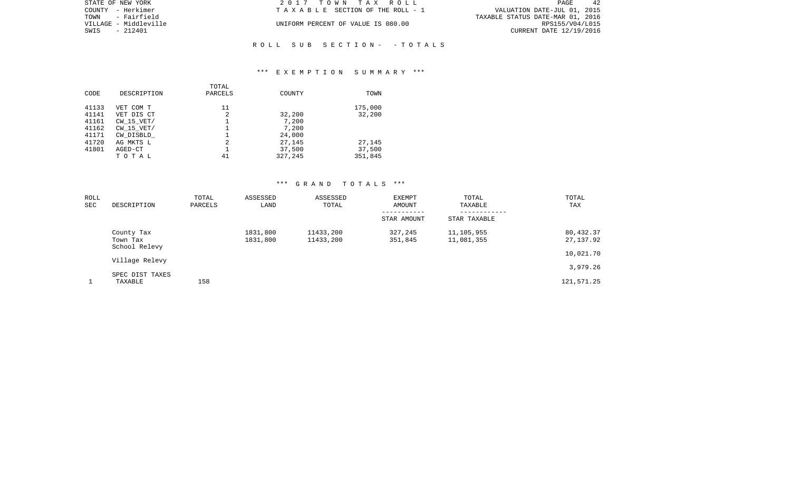| STATE OF NEW YORK     | 2017 TOWN TAX ROLL                 | 42<br>PAGE                       |
|-----------------------|------------------------------------|----------------------------------|
| COUNTY - Herkimer     | TAXABLE SECTION OF THE ROLL - 1    | VALUATION DATE-JUL 01, 2015      |
| TOWN - Fairfield      |                                    | TAXABLE STATUS DATE-MAR 01, 2016 |
| VILLAGE - Middleville | UNIFORM PERCENT OF VALUE IS 080.00 | RPS155/V04/L015                  |
| SWIS<br>- 212401      |                                    | CURRENT DATE 12/19/2016          |
|                       |                                    |                                  |

## \*\*\* E X E M P T I O N S U M M A R Y \*\*\*

R O L L S U B S E C T I O N - - T O T A L S

| CODE  | DESCRIPTION    | TOTAL<br>PARCELS | COUNTY  | TOWN    |
|-------|----------------|------------------|---------|---------|
| 41133 | VET COM T      | 11               |         | 175,000 |
| 41141 | VET DIS CT     | 2                | 32,200  | 32,200  |
| 41161 | $CW$ 15 $VET/$ |                  | 7,200   |         |
| 41162 | $CW$ 15 $VET/$ |                  | 7,200   |         |
| 41171 | CW DISBLD      |                  | 24,000  |         |
| 41720 | AG MKTS L      | 2                | 27,145  | 27,145  |
| 41801 | AGED-CT        |                  | 37,500  | 37,500  |
|       | TOTAL          | 41               | 327,245 | 351,845 |
|       |                |                  |         |         |

| ROLL<br>SEC | DESCRIPTION                             | TOTAL<br>PARCELS | ASSESSED<br>LAND     | ASSESSED<br>TOTAL      | EXEMPT<br>AMOUNT           | TOTAL<br>TAXABLE             | TOTAL<br>TAX           |
|-------------|-----------------------------------------|------------------|----------------------|------------------------|----------------------------|------------------------------|------------------------|
|             |                                         |                  |                      |                        | -----------<br>STAR AMOUNT | ------------<br>STAR TAXABLE |                        |
|             | County Tax<br>Town Tax<br>School Relevy |                  | 1831,800<br>1831,800 | 11433,200<br>11433,200 | 327,245<br>351,845         | 11,105,955<br>11,081,355     | 80,432.37<br>27,137.92 |
|             | Village Relevy                          |                  |                      |                        |                            |                              | 10,021.70              |
|             |                                         |                  |                      |                        |                            |                              | 3,979.26               |
|             | SPEC DIST TAXES<br>TAXABLE              | 158              |                      |                        |                            |                              | 121,571.25             |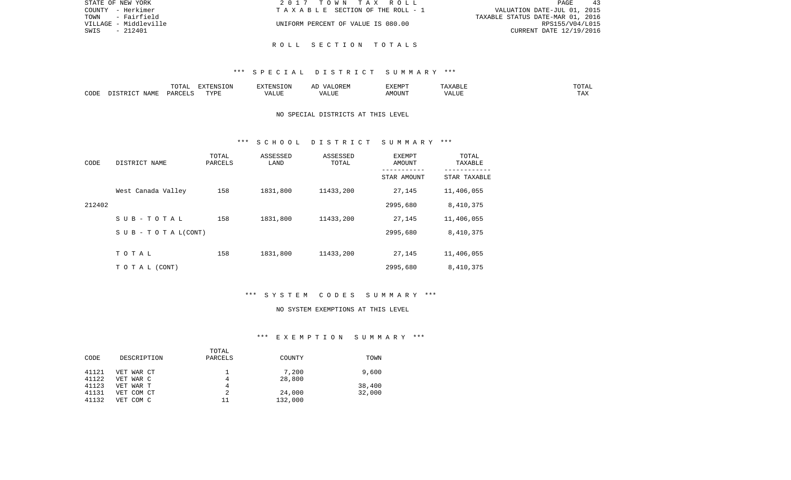| STATE OF NEW YORK     | 2017 TOWN TAX ROLL                 | -43<br>PAGE                      |
|-----------------------|------------------------------------|----------------------------------|
| COUNTY - Herkimer     | TAXABLE SECTION OF THE ROLL - 1    | VALUATION DATE-JUL 01, 2015      |
| - Fairfield<br>TOWN   |                                    | TAXABLE STATUS DATE-MAR 01, 2016 |
| VILLAGE - Middleville | UNIFORM PERCENT OF VALUE IS 080.00 | RPS155/V04/L015                  |
| - 212401<br>SWIS      |                                    | CURRENT DATE 12/19/2016          |
|                       |                                    |                                  |

R O L L S E C T I O N T O T A L S

|      |                    | $H \cap H$<br>$\cdots$<br>. U 1 1 1 1 | סוותידצים<br><b>ION</b> |      | UKLIY                                  | F.XFMP'<br>∸∡∡⊥ | A           | .              |
|------|--------------------|---------------------------------------|-------------------------|------|----------------------------------------|-----------------|-------------|----------------|
| CODE | JAME<br>$\sqrt{2}$ | $\Box$ $\Box$ $\Box$ $\Box$ $\Box$    | <b>TITZD</b><br>.       | ALUF | " TTT.<br>$\sqrt{2}$<br>. . <i>.</i> . | MC<br>OUN.      | 77T<br>Anur | max<br>د د د . |

## NO SPECIAL DISTRICTS AT THIS LEVEL

### \*\*\* S C H O O L D I S T R I C T S U M M A R Y \*\*\*

| CODE   | DISTRICT NAME             | TOTAL<br>PARCELS | ASSESSED<br>LAND | ASSESSED<br>TOTAL | EXEMPT<br>AMOUNT<br>-------- | TOTAL<br>TAXABLE<br>--------- |
|--------|---------------------------|------------------|------------------|-------------------|------------------------------|-------------------------------|
|        |                           |                  |                  |                   | STAR AMOUNT                  | STAR TAXABLE                  |
|        | West Canada Valley        | 158              | 1831,800         | 11433,200         | 27,145                       | 11,406,055                    |
| 212402 |                           |                  |                  |                   | 2995,680                     | 8,410,375                     |
|        | SUB-TOTAL                 | 158              | 1831,800         | 11433,200         | 27,145                       | 11,406,055                    |
|        | S U B - T O T A $L(CONT)$ |                  |                  |                   | 2995,680                     | 8,410,375                     |
|        |                           |                  |                  |                   |                              |                               |
|        | TOTAL                     | 158              | 1831,800         | 11433,200         | 27,145                       | 11,406,055                    |
|        | T O T A L (CONT)          |                  |                  |                   | 2995,680                     | 8,410,375                     |

# \*\*\* S Y S T E M C O D E S S U M M A R Y \*\*\*

#### NO SYSTEM EXEMPTIONS AT THIS LEVEL

# \*\*\* E X E M P T I O N S U M M A R Y \*\*\*

|       |             | TOTAL   |         |        |
|-------|-------------|---------|---------|--------|
| CODE  | DESCRIPTION | PARCELS | COUNTY  | TOWN   |
| 41121 | VET WAR CT  |         | 7,200   | 9,600  |
| 41122 | VET WAR C   | 4       | 28,800  |        |
| 41123 | VET WAR T   | 4       |         | 38,400 |
| 41131 | VET COM CT  |         | 24,000  | 32,000 |
| 41132 | VET COM C   | 11      | 132,000 |        |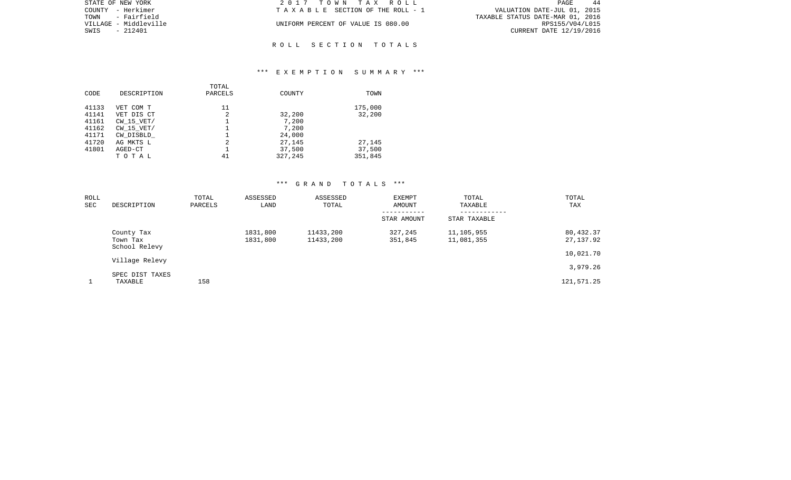| STATE OF NEW YORK     | 2017 TOWN TAX ROLL                 | PAGE<br>-44                      |
|-----------------------|------------------------------------|----------------------------------|
| COUNTY - Herkimer     | TAXABLE SECTION OF THE ROLL - 1    | VALUATION DATE-JUL 01, 2015      |
| TOWN<br>- Fairfield   |                                    | TAXABLE STATUS DATE-MAR 01, 2016 |
| VILLAGE - Middleville | UNIFORM PERCENT OF VALUE IS 080.00 | RPS155/V04/L015                  |
| SWIS<br>- 212401      |                                    | CURRENT DATE 12/19/2016          |
|                       |                                    |                                  |

### \*\*\* E X E M P T I O N S U M M A R Y \*\*\*

R O L L S E C T I O N T O T A L S

| CODE  | DESCRIPTION    | TOTAL<br>PARCELS | COUNTY  | TOWN    |
|-------|----------------|------------------|---------|---------|
| 41133 | VET COM T      | 11               |         | 175,000 |
| 41141 | VET DIS CT     | 2                | 32,200  | 32,200  |
| 41161 | $CW$ 15 $VET/$ |                  | 7,200   |         |
| 41162 | $CW$ 15 $VET/$ |                  | 7,200   |         |
| 41171 | CW DISBLD      |                  | 24,000  |         |
| 41720 | AG MKTS L      | 2                | 27,145  | 27,145  |
| 41801 | AGED-CT        |                  | 37,500  | 37,500  |
|       | TOTAL          | 41               | 327,245 | 351,845 |
|       |                |                  |         |         |

| ROLL<br><b>SEC</b> | DESCRIPTION                             | TOTAL<br>PARCELS | ASSESSED<br>LAND     | ASSESSED<br>TOTAL      | <b>EXEMPT</b><br>AMOUNT | TOTAL<br>TAXABLE         | TOTAL<br>TAX           |
|--------------------|-----------------------------------------|------------------|----------------------|------------------------|-------------------------|--------------------------|------------------------|
|                    |                                         |                  |                      |                        | STAR AMOUNT             | STAR TAXABLE             |                        |
|                    | County Tax<br>Town Tax<br>School Relevy |                  | 1831,800<br>1831,800 | 11433,200<br>11433,200 | 327,245<br>351,845      | 11,105,955<br>11,081,355 | 80,432.37<br>27,137.92 |
|                    | Village Relevy                          |                  |                      |                        |                         |                          | 10,021.70              |
|                    | SPEC DIST TAXES                         |                  |                      |                        |                         |                          | 3,979.26               |
|                    | TAXABLE                                 | 158              |                      |                        |                         |                          | 121,571.25             |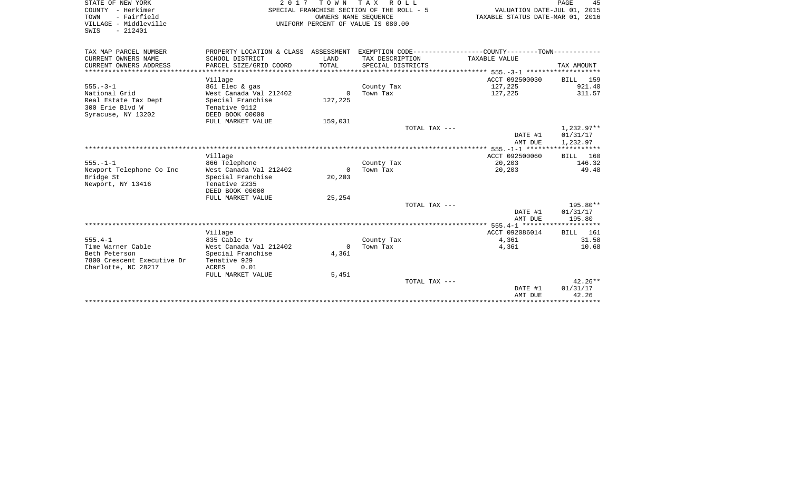| STATE OF NEW YORK<br>COUNTY - Herkimer<br>- Fairfield<br>TOWN<br>VILLAGE - Middleville<br>SWIS<br>$-212401$ | 2017                               | T O W N<br>OWNERS NAME SEOUENCE | T A X<br>R O L L<br>SPECIAL FRANCHISE SECTION OF THE ROLL - 5<br>UNIFORM PERCENT OF VALUE IS 080.00 | VALUATION DATE-JUL 01, 2015<br>TAXABLE STATUS DATE-MAR 01, 2016                              | 45<br>PAGE           |
|-------------------------------------------------------------------------------------------------------------|------------------------------------|---------------------------------|-----------------------------------------------------------------------------------------------------|----------------------------------------------------------------------------------------------|----------------------|
| TAX MAP PARCEL NUMBER                                                                                       |                                    |                                 |                                                                                                     | PROPERTY LOCATION & CLASS ASSESSMENT EXEMPTION CODE---------------COUNTY-------TOWN--------- |                      |
| CURRENT OWNERS NAME                                                                                         | SCHOOL DISTRICT                    | LAND                            | TAX DESCRIPTION                                                                                     | TAXABLE VALUE                                                                                |                      |
| CURRENT OWNERS ADDRESS                                                                                      | PARCEL SIZE/GRID COORD             | TOTAL                           | SPECIAL DISTRICTS                                                                                   |                                                                                              | TAX AMOUNT           |
| **************************                                                                                  |                                    |                                 |                                                                                                     |                                                                                              |                      |
| Village                                                                                                     |                                    |                                 |                                                                                                     | ACCT 092500030                                                                               | BILL<br>159          |
| $555. - 3 - 1$                                                                                              | 861 Elec & gas                     |                                 | County Tax                                                                                          | 127,225                                                                                      | 921.40               |
| National Grid                                                                                               | West Canada Val 212402             | $\mathbf{0}$                    | Town Tax                                                                                            | 127,225                                                                                      | 311.57               |
| Real Estate Tax Dept<br>300 Erie Blyd W                                                                     | Special Franchise<br>Tenative 9112 | 127,225                         |                                                                                                     |                                                                                              |                      |
| Syracuse, NY 13202                                                                                          | DEED BOOK 00000                    |                                 |                                                                                                     |                                                                                              |                      |
|                                                                                                             | FULL MARKET VALUE                  | 159,031                         |                                                                                                     |                                                                                              |                      |
|                                                                                                             |                                    |                                 | TOTAL TAX ---                                                                                       |                                                                                              | $1,232.97**$         |
|                                                                                                             |                                    |                                 |                                                                                                     | DATE #1                                                                                      | 01/31/17             |
|                                                                                                             |                                    |                                 |                                                                                                     | AMT DUE                                                                                      | 1,232.97             |
|                                                                                                             |                                    |                                 |                                                                                                     |                                                                                              |                      |
| Village                                                                                                     |                                    |                                 |                                                                                                     | ACCT 092500060                                                                               | 160<br>BILL          |
| $555. - 1 - 1$                                                                                              | 866 Telephone                      |                                 | County Tax                                                                                          | 20,203                                                                                       | 146.32               |
| Newport Telephone Co Inc                                                                                    | West Canada Val 212402             | $\Omega$                        | Town Tax                                                                                            | 20,203                                                                                       | 49.48                |
| Bridge St                                                                                                   | Special Franchise                  | 20,203                          |                                                                                                     |                                                                                              |                      |
| Newport, NY 13416                                                                                           | Tenative 2235                      |                                 |                                                                                                     |                                                                                              |                      |
|                                                                                                             | DEED BOOK 00000                    |                                 |                                                                                                     |                                                                                              |                      |
|                                                                                                             | FULL MARKET VALUE                  | 25,254                          |                                                                                                     |                                                                                              |                      |
|                                                                                                             |                                    |                                 | TOTAL TAX ---                                                                                       | DATE #1                                                                                      | 195.80**<br>01/31/17 |
|                                                                                                             |                                    |                                 |                                                                                                     | AMT DUE                                                                                      | 195.80               |
|                                                                                                             |                                    |                                 |                                                                                                     |                                                                                              |                      |
| Village                                                                                                     |                                    |                                 |                                                                                                     | ACCT 092086014                                                                               | 161<br><b>BILL</b>   |
| $555.4 - 1$                                                                                                 | 835 Cable tv                       |                                 | County Tax                                                                                          | 4,361                                                                                        | 31.58                |
| Time Warner Cable                                                                                           | West Canada Val 212402             | $\Omega$                        | Town Tax                                                                                            | 4,361                                                                                        | 10.68                |
| Beth Peterson                                                                                               | Special Franchise                  | 4,361                           |                                                                                                     |                                                                                              |                      |
| 7800 Crescent Executive Dr                                                                                  | Tenative 929                       |                                 |                                                                                                     |                                                                                              |                      |
| Charlotte, NC 28217<br>ACRES                                                                                | 0.01                               |                                 |                                                                                                     |                                                                                              |                      |
|                                                                                                             | FULL MARKET VALUE                  | 5,451                           |                                                                                                     |                                                                                              |                      |
|                                                                                                             |                                    |                                 | TOTAL TAX ---                                                                                       |                                                                                              | $42.26**$            |
|                                                                                                             |                                    |                                 |                                                                                                     | DATE #1                                                                                      | 01/31/17             |
|                                                                                                             |                                    |                                 |                                                                                                     | AMT DUE                                                                                      | 42.26                |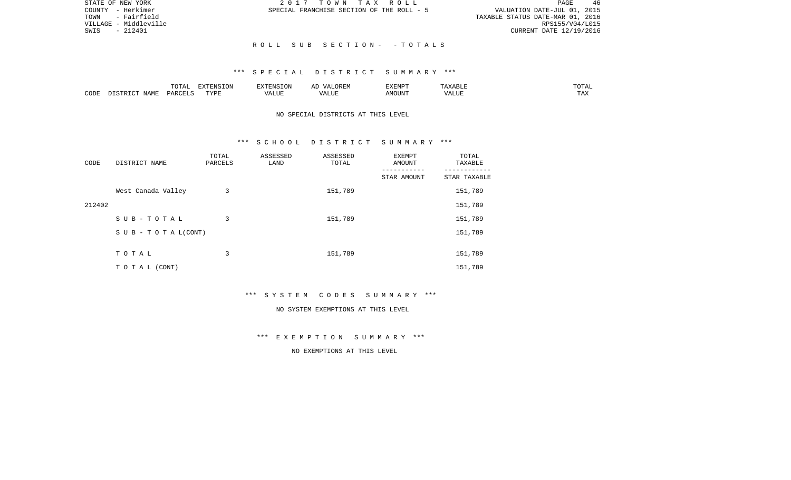| STATE OF NEW YORK     | 2017 TOWN TAX ROLL                        | 46<br>PAGE                       |
|-----------------------|-------------------------------------------|----------------------------------|
| - Herkimer<br>COUNTY  | SPECIAL FRANCHISE SECTION OF THE ROLL - 5 | VALUATION DATE-JUL 01, 2015      |
| - Fairfield<br>TOWN   |                                           | TAXABLE STATUS DATE-MAR 01, 2016 |
| VILLAGE - Middleville |                                           | RPS155/V04/L015                  |
| $-212401$<br>SWIS     |                                           | CURRENT DATE 12/19/2016          |
|                       |                                           |                                  |
|                       | ROLL SUB SECTION- -TOTALS                 |                                  |

|      |      | $m \wedge m \wedge n$<br>. U 171 | <b>FYTFNCT∩N</b><br>- 71 | ∴N.  | $\cdots$ | <b>DA 4 DI</b> |               | JIAL |
|------|------|----------------------------------|--------------------------|------|----------|----------------|---------------|------|
| CODE | NAMF | UAROTT                           | <b>TIZE</b>              | JU P |          | OUN            | .<br>$\cdots$ |      |

## NO SPECIAL DISTRICTS AT THIS LEVEL

### \*\*\* S C H O O L D I S T R I C T S U M M A R Y \*\*\*

| CODE   | DISTRICT NAME                    | TOTAL<br>PARCELS | ASSESSED<br>LAND | ASSESSED<br>TOTAL | EXEMPT<br>AMOUNT<br>--------- | TOTAL<br>TAXABLE<br>-------- |
|--------|----------------------------------|------------------|------------------|-------------------|-------------------------------|------------------------------|
|        |                                  |                  |                  |                   | STAR AMOUNT                   | STAR TAXABLE                 |
|        | West Canada Valley               | 3                |                  | 151,789           |                               | 151,789                      |
| 212402 |                                  |                  |                  |                   |                               | 151,789                      |
|        | SUB-TOTAL                        | 3                |                  | 151,789           |                               | 151,789                      |
|        | $S \cup B - T \cup T A L (CONT)$ |                  |                  |                   |                               | 151,789                      |
|        |                                  |                  |                  |                   |                               |                              |
|        | TOTAL                            | 3                |                  | 151,789           |                               | 151,789                      |
|        | T O T A L (CONT)                 |                  |                  |                   |                               | 151,789                      |

\*\*\* S Y S T E M C O D E S S U M M A R Y \*\*\*

#### NO SYSTEM EXEMPTIONS AT THIS LEVEL

\*\*\* E X E M P T I O N S U M M A R Y \*\*\*

NO EXEMPTIONS AT THIS LEVEL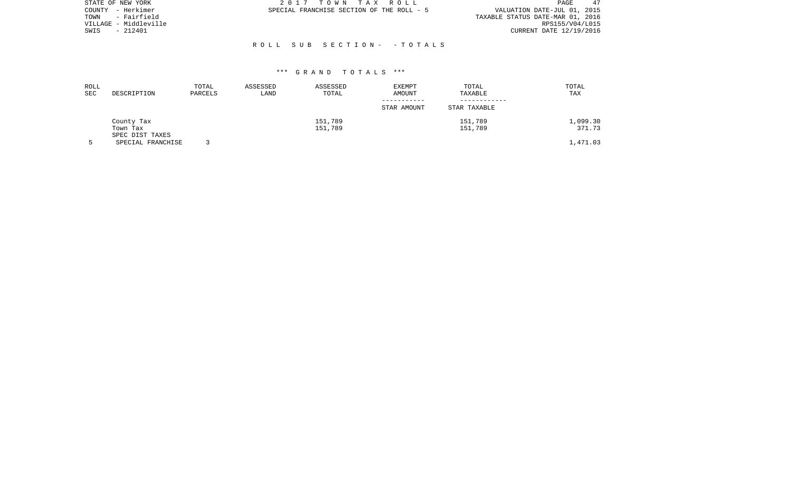| STATE OF NEW YORK     | 2017 TOWN TAX ROLL                        | 47<br>PAGE                       |
|-----------------------|-------------------------------------------|----------------------------------|
| COUNTY - Herkimer     | SPECIAL FRANCHISE SECTION OF THE ROLL - 5 | VALUATION DATE-JUL 01, 2015      |
| - Fairfield<br>TOWN   |                                           | TAXABLE STATUS DATE-MAR 01, 2016 |
| VILLAGE - Middleville |                                           | RPS155/V04/L015                  |
| - 212401<br>SWIS      |                                           | CURRENT DATE 12/19/2016          |
|                       |                                           |                                  |
|                       | ROLL SUB SECTION- -TOTALS                 |                                  |

| ROLL<br>SEC | DESCRIPTION                          | TOTAL<br>PARCELS | ASSESSED<br>LAND | ASSESSED<br>TOTAL | <b>EXEMPT</b><br>AMOUNT | TOTAL<br>TAXABLE | TOTAL<br>TAX |
|-------------|--------------------------------------|------------------|------------------|-------------------|-------------------------|------------------|--------------|
|             |                                      |                  |                  |                   | STAR AMOUNT             | STAR TAXABLE     |              |
|             | County Tax                           |                  |                  | 151,789           |                         | 151,789          | 1,099.30     |
|             | Town Tax                             |                  |                  | 151,789           |                         | 151,789          | 371.73       |
|             | SPEC DIST TAXES<br>SPECIAL FRANCHISE |                  |                  |                   |                         |                  | 1,471.03     |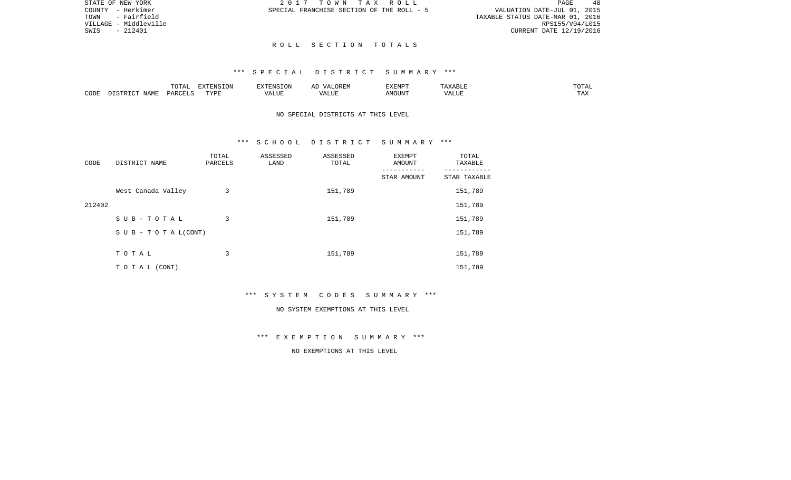48 TOWN - Fairfield TAXABLE STATUS DATE-MAR 01, 2016 VILLAGE - Middleville RPS155/V04/L015 SWIS - 212401 CURRENT DATE 12/19/2016

STATE OF NEW YORK  $2017$  TO W N T A X R O L L PAGE 48 PAGE COUNTY - Herkimer SPECIAL FRANCHISE SECTION OF THE ROLL - 5 VALUATION DATE-JUL 01, 2015

### R O L L S E C T I O N T O T A L S

# \*\*\* S P E C I A L D I S T R I C T S U M M A R Y \*\*\*

|      |             | $m \wedge m \wedge n$<br>◡∸ェ | $\Box$<br>LVIN | an Nisi                | . בג | proprac<br>r:MP | <b>BII</b> | $n \cap m \geq r$<br>∸∸ |
|------|-------------|------------------------------|----------------|------------------------|------|-----------------|------------|-------------------------|
| CODE | <b>NAME</b> | D∆F                          | TVDI           | $- - - -$<br>. L I J F |      | MOUN.           | 77T        | $m \times n$<br>⊥ A∡    |

## NO SPECIAL DISTRICTS AT THIS LEVEL

## \*\*\* S C H O O L D I S T R I C T S U M M A R Y \*\*\*

| CODE   | DISTRICT NAME      | TOTAL<br>PARCELS | ASSESSED<br>LAND | ASSESSED<br>TOTAL | EXEMPT<br>AMOUNT | TOTAL<br>TAXABLE |
|--------|--------------------|------------------|------------------|-------------------|------------------|------------------|
|        |                    |                  |                  |                   | STAR AMOUNT      | STAR TAXABLE     |
|        | West Canada Valley | 3                |                  | 151,789           |                  | 151,789          |
| 212402 |                    |                  |                  |                   |                  | 151,789          |
|        | SUB-TOTAL          | 3                |                  | 151,789           |                  | 151,789          |
|        | SUB - TO TAL(CONT) |                  |                  |                   |                  | 151,789          |
|        |                    |                  |                  |                   |                  |                  |
|        | TOTAL              | 3                |                  | 151,789           |                  | 151,789          |
|        | TO TAL (CONT)      |                  |                  |                   |                  | 151,789          |

\*\*\* S Y S T E M C O D E S S U M M A R Y \*\*\*

#### NO SYSTEM EXEMPTIONS AT THIS LEVEL

\*\*\* E X E M P T I O N S U M M A R Y \*\*\*

NO EXEMPTIONS AT THIS LEVEL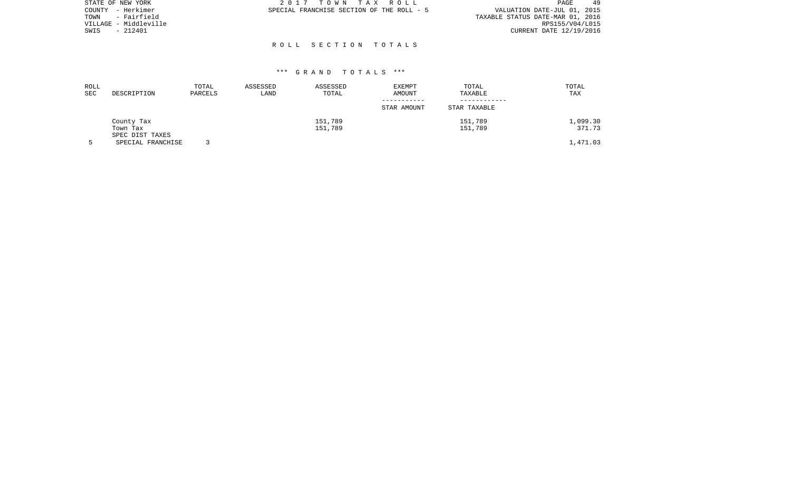| STATE OF NEW YORK     | 2017 TOWN TAX ROLL<br>PAGE                                               | 49 |
|-----------------------|--------------------------------------------------------------------------|----|
| COUNTY - Herkimer     | VALUATION DATE-JUL 01, 2015<br>SPECIAL FRANCHISE SECTION OF THE ROLL - 5 |    |
| TOWN - Fairfield      | TAXABLE STATUS DATE-MAR 01, 2016                                         |    |
| VILLAGE - Middleville | RPS155/V04/L015                                                          |    |
| $-212401$<br>SWIS     | CURRENT DATE 12/19/2016                                                  |    |
|                       |                                                                          |    |

R O L L S E C T I O N T O T A L S

| ROLL<br>SEC | DESCRIPTION                               | TOTAL<br>PARCELS | ASSESSED<br>LAND | ASSESSED<br>TOTAL  | <b>EXEMPT</b><br>AMOUNT<br>STAR AMOUNT | TOTAL<br>TAXABLE<br>STAR TAXABLE | TOTAL<br>TAX       |
|-------------|-------------------------------------------|------------------|------------------|--------------------|----------------------------------------|----------------------------------|--------------------|
|             | County Tax<br>Town Tax<br>SPEC DIST TAXES |                  |                  | 151,789<br>151,789 |                                        | 151,789<br>151,789               | 1,099.30<br>371.73 |
|             | SPECIAL FRANCHISE                         |                  |                  |                    |                                        |                                  | 1,471.03           |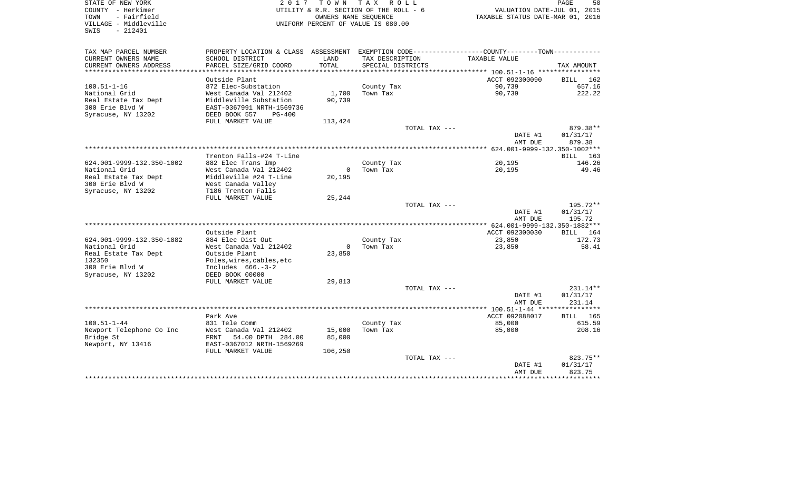| STATE OF NEW YORK                             | 2017                                      |               | TOWN TAX ROLL                                              |                                                                                                  | PAGE<br>50         |
|-----------------------------------------------|-------------------------------------------|---------------|------------------------------------------------------------|--------------------------------------------------------------------------------------------------|--------------------|
| COUNTY - Herkimer                             |                                           |               | UTILITY & R.R. SECTION OF THE ROLL - 6                     | VALUATION DATE-JUL 01, 2015                                                                      |                    |
| - Fairfield<br>TOWN<br>VILLAGE - Middleville  |                                           |               | OWNERS NAME SEOUENCE<br>UNIFORM PERCENT OF VALUE IS 080.00 | TAXABLE STATUS DATE-MAR 01, 2016                                                                 |                    |
| - 212401<br>SWIS                              |                                           |               |                                                            |                                                                                                  |                    |
|                                               |                                           |               |                                                            |                                                                                                  |                    |
| TAX MAP PARCEL NUMBER                         |                                           |               |                                                            | PROPERTY LOCATION & CLASS ASSESSMENT EXEMPTION CODE----------------COUNTY--------TOWN----------- |                    |
| CURRENT OWNERS NAME<br>CURRENT OWNERS ADDRESS | SCHOOL DISTRICT<br>PARCEL SIZE/GRID COORD | LAND<br>TOTAL | TAX DESCRIPTION<br>SPECIAL DISTRICTS                       | TAXABLE VALUE                                                                                    | TAX AMOUNT         |
| ************************                      |                                           |               |                                                            |                                                                                                  |                    |
|                                               | Outside Plant                             |               |                                                            | ACCT 092300090                                                                                   | BILL 162           |
| $100.51 - 1 - 16$                             | 872 Elec-Substation                       |               | County Tax                                                 | 90,739                                                                                           | 657.16             |
| National Grid                                 | West Canada Val 212402                    | 1,700         | Town Tax                                                   | 90,739                                                                                           | 222.22             |
| Real Estate Tax Dept                          | Middleville Substation                    | 90,739        |                                                            |                                                                                                  |                    |
| 300 Erie Blvd W                               | EAST-0367991 NRTH-1569736                 |               |                                                            |                                                                                                  |                    |
| Syracuse, NY 13202                            | DEED BOOK 557<br>$PG-400$                 |               |                                                            |                                                                                                  |                    |
|                                               | FULL MARKET VALUE                         | 113,424       |                                                            |                                                                                                  |                    |
|                                               |                                           |               | TOTAL TAX ---                                              |                                                                                                  | 879.38**           |
|                                               |                                           |               |                                                            | DATE #1<br>AMT DUE                                                                               | 01/31/17<br>879.38 |
|                                               |                                           |               |                                                            |                                                                                                  |                    |
|                                               | Trenton Falls-#24 T-Line                  |               |                                                            |                                                                                                  | BILL 163           |
| 624.001-9999-132.350-1002                     | 882 Elec Trans Imp                        |               | County Tax                                                 | 20,195                                                                                           | 146.26             |
| National Grid                                 | West Canada Val 212402                    | $\Omega$      | Town Tax                                                   | 20,195                                                                                           | 49.46              |
| Real Estate Tax Dept                          | Middleville #24 T-Line                    | 20,195        |                                                            |                                                                                                  |                    |
| 300 Erie Blvd W                               | West Canada Valley                        |               |                                                            |                                                                                                  |                    |
| Syracuse, NY 13202                            | T186 Trenton Falls                        |               |                                                            |                                                                                                  |                    |
|                                               | FULL MARKET VALUE                         | 25,244        | TOTAL TAX ---                                              |                                                                                                  | 195.72**           |
|                                               |                                           |               |                                                            | DATE #1                                                                                          | 01/31/17           |
|                                               |                                           |               |                                                            | AMT DUE                                                                                          | 195.72             |
|                                               |                                           |               |                                                            | *************** 624.001-9999-132.350-1882***                                                     |                    |
|                                               | Outside Plant                             |               |                                                            | ACCT 092300030                                                                                   | BILL 164           |
| 624.001-9999-132.350-1882                     | 884 Elec Dist Out                         |               | County Tax                                                 | 23,850                                                                                           | 172.73             |
| National Grid                                 | West Canada Val 212402                    | $\Omega$      | Town Tax                                                   | 23,850                                                                                           | 58.41              |
| Real Estate Tax Dept                          | Outside Plant                             | 23,850        |                                                            |                                                                                                  |                    |
| 132350                                        | Poles, wires, cables, etc                 |               |                                                            |                                                                                                  |                    |
| 300 Erie Blvd W                               | Includes $666.-3-2$                       |               |                                                            |                                                                                                  |                    |
| Syracuse, NY 13202                            | DEED BOOK 00000                           |               |                                                            |                                                                                                  |                    |
|                                               | FULL MARKET VALUE                         | 29,813        |                                                            |                                                                                                  |                    |
|                                               |                                           |               | TOTAL TAX ---                                              |                                                                                                  | $231.14**$         |
|                                               |                                           |               |                                                            | DATE #1                                                                                          | 01/31/17           |
|                                               |                                           |               |                                                            | AMT DUE                                                                                          | 231.14             |
|                                               | Park Ave                                  |               |                                                            | ACCT 092088017                                                                                   | BILL 165           |
| $100.51 - 1 - 44$                             | 831 Tele Comm                             |               | County Tax                                                 | 85,000                                                                                           | 615.59             |
| Newport Telephone Co Inc                      | West Canada Val 212402                    | 15,000        | Town Tax                                                   | 85,000                                                                                           | 208.16             |
| Bridge St                                     | FRNT 54.00 DPTH 284.00                    | 85,000        |                                                            |                                                                                                  |                    |
| Newport, NY 13416                             | EAST-0367012 NRTH-1569269                 |               |                                                            |                                                                                                  |                    |
|                                               | FULL MARKET VALUE                         | 106,250       |                                                            |                                                                                                  |                    |
|                                               |                                           |               | TOTAL TAX ---                                              |                                                                                                  | 823.75**           |
|                                               |                                           |               |                                                            | DATE #1                                                                                          | 01/31/17           |
|                                               |                                           |               |                                                            | AMT DUE                                                                                          | 823.75             |
|                                               |                                           |               |                                                            |                                                                                                  | ************       |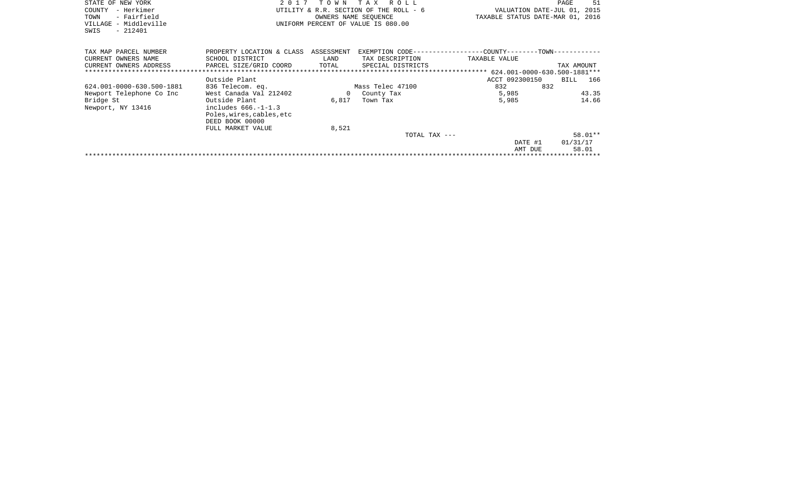| STATE OF NEW YORK<br>- Herkimer<br>COUNTY<br>- Fairfield<br>TOWN<br>VILLAGE - Middleville<br>$-212401$<br>SWIS | 2 0 1 7                                                                                   | T O W N                     | T A X<br>R O L L<br>UTILITY & R.R. SECTION OF THE ROLL - 6<br>OWNERS NAME SEOUENCE<br>UNIFORM PERCENT OF VALUE IS 080.00 | VALUATION DATE-JUL 01, 2015<br>TAXABLE STATUS DATE-MAR 01, 2016               | 51<br>PAGE                   |
|----------------------------------------------------------------------------------------------------------------|-------------------------------------------------------------------------------------------|-----------------------------|--------------------------------------------------------------------------------------------------------------------------|-------------------------------------------------------------------------------|------------------------------|
| TAX MAP PARCEL NUMBER<br>CURRENT OWNERS NAME<br>CURRENT OWNERS ADDRESS                                         | PROPERTY LOCATION & CLASS<br>SCHOOL DISTRICT<br>PARCEL SIZE/GRID COORD                    | ASSESSMENT<br>LAND<br>TOTAL | TAX DESCRIPTION<br>SPECIAL DISTRICTS                                                                                     | EXEMPTION CODE-----------------COUNTY-------TOWN------------<br>TAXABLE VALUE | TAX AMOUNT                   |
|                                                                                                                |                                                                                           |                             |                                                                                                                          |                                                                               |                              |
|                                                                                                                | Outside Plant                                                                             |                             |                                                                                                                          | ACCT 092300150                                                                | BILL 166                     |
| 624.001-0000-630.500-1881                                                                                      | 836 Telecom. eq.                                                                          |                             | Mass Telec 47100                                                                                                         | 832<br>832                                                                    |                              |
| Newport Telephone Co Inc                                                                                       | West Canada Val 212402                                                                    | $\overline{0}$              | County Tax                                                                                                               | 5,985                                                                         | 43.35                        |
| Bridge St<br>Newport, NY 13416                                                                                 | Outside Plant<br>includes $666. -1 - 1.3$<br>Poles, wires, cables, etc<br>DEED BOOK 00000 | 6,817                       | Town Tax                                                                                                                 | 5,985                                                                         | 14.66                        |
|                                                                                                                | FULL MARKET VALUE                                                                         | 8,521                       |                                                                                                                          |                                                                               |                              |
|                                                                                                                |                                                                                           |                             | TOTAL TAX ---                                                                                                            | DATE #1<br>AMT DUE                                                            | 58.01**<br>01/31/17<br>58.01 |
|                                                                                                                |                                                                                           |                             |                                                                                                                          |                                                                               |                              |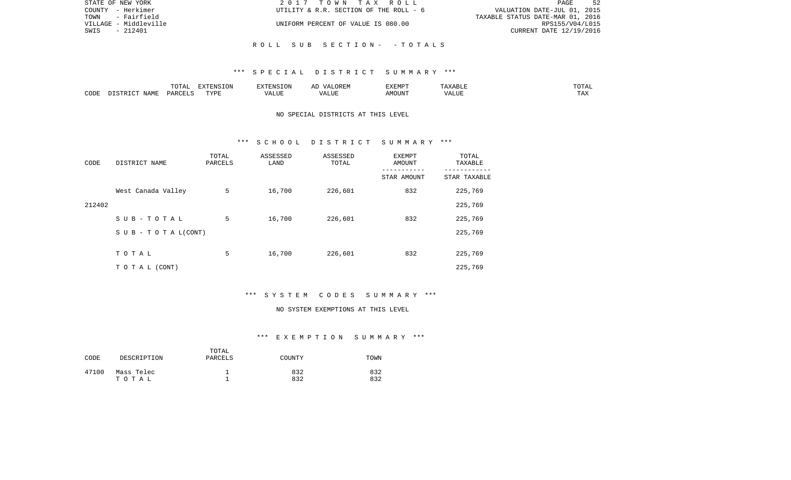| STATE OF NEW YORK     | 2017 TOWN TAX ROLL                     | 52<br>PAGE                       |
|-----------------------|----------------------------------------|----------------------------------|
| COUNTY - Herkimer     | UTILITY & R.R. SECTION OF THE ROLL - 6 | VALUATION DATE-JUL 01, 2015      |
| TOWN - Fairfield      |                                        | TAXABLE STATUS DATE-MAR 01, 2016 |
| VILLAGE - Middleville | UNIFORM PERCENT OF VALUE IS 080.00     | RPS155/V04/L015                  |
| - 212401<br>SWIS      |                                        | CURRENT DATE 12/19/2016          |
|                       |                                        |                                  |
|                       | ROLL SUB SECTION- -TOTALS              |                                  |

|      |                            | .∪⊥⊓⊥         | $\blacksquare$<br>11 L<br>LUIN |               |            | EXEMPT       | ABL.                  | $m \wedge m$<br>. |
|------|----------------------------|---------------|--------------------------------|---------------|------------|--------------|-----------------------|-------------------|
| CODE | <b>ABST</b><br>. .<br>NAMP | <b>DARCFT</b> | TVDT                           | $\mathcal{L}$ | ,,,<br>שחד | OUN".<br>۱M۲ | $- - - - - -$<br>ALUI | $- - -$<br>. Ал   |

## NO SPECIAL DISTRICTS AT THIS LEVEL

### \*\*\* S C H O O L D I S T R I C T S U M M A R Y \*\*\*

| CODE   | DISTRICT NAME                    | TOTAL<br>PARCELS | ASSESSED<br>LAND | ASSESSED<br>TOTAL | EXEMPT<br><b>AMOUNT</b> | TOTAL<br>TAXABLE |
|--------|----------------------------------|------------------|------------------|-------------------|-------------------------|------------------|
|        |                                  |                  |                  |                   | STAR AMOUNT             | STAR TAXABLE     |
|        | West Canada Valley               | 5                | 16,700           | 226,601           | 832                     | 225,769          |
| 212402 |                                  |                  |                  |                   |                         | 225,769          |
|        | SUB-TOTAL                        | 5                | 16,700           | 226,601           | 832                     | 225,769          |
|        | $S \cup B - T \cup T A L (CONT)$ |                  |                  |                   |                         | 225,769          |
|        |                                  |                  |                  |                   |                         |                  |
|        | TOTAL                            | 5                | 16,700           | 226,601           | 832                     | 225,769          |
|        | T O T A L (CONT)                 |                  |                  |                   |                         | 225,769          |

# \*\*\* S Y S T E M C O D E S S U M M A R Y \*\*\*

#### NO SYSTEM EXEMPTIONS AT THIS LEVEL

# \*\*\* E X E M P T I O N S U M M A R Y \*\*\*

| CODE  | DESCRIPTION         | TOTAL<br>PARCELS | COUNTY     | TOWN       |
|-------|---------------------|------------------|------------|------------|
| 47100 | Mass Telec<br>тотаь |                  | 832<br>832 | 832<br>832 |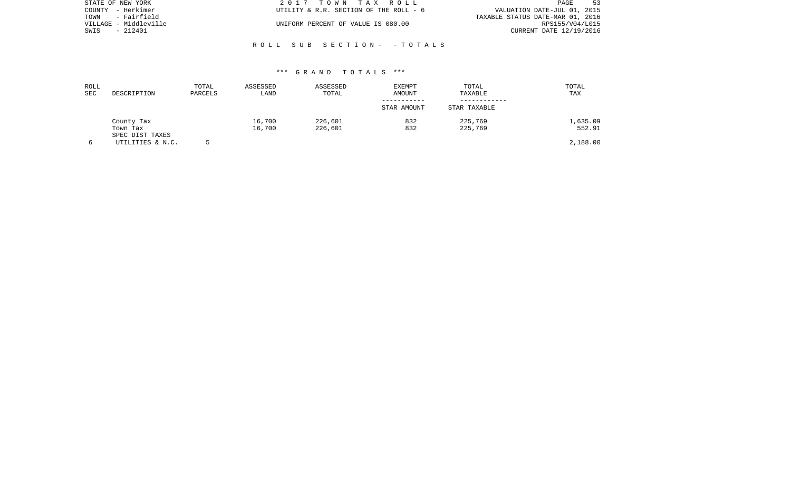| STATE OF NEW YORK     | 2017 TOWN TAX ROLL                     | -53<br>PAGE                      |
|-----------------------|----------------------------------------|----------------------------------|
| COUNTY - Herkimer     | UTILITY & R.R. SECTION OF THE ROLL - 6 | VALUATION DATE-JUL 01, 2015      |
| - Fairfield<br>TOWN   |                                        | TAXABLE STATUS DATE-MAR 01, 2016 |
| VILLAGE - Middleville | UNIFORM PERCENT OF VALUE IS 080.00     | RPS155/V04/L015                  |
| SWIS<br>- 212401      |                                        | CURRENT DATE 12/19/2016          |
|                       |                                        |                                  |

### \*\*\* G R A N D T O T A L S \*\*\*

R O L L S U B S E C T I O N - - T O T A L S

| ROLL<br>SEC | DESCRIPTION                 | TOTAL<br>PARCELS | ASSESSED<br>LAND | ASSESSED<br>TOTAL | <b>EXEMPT</b><br>AMOUNT | TOTAL<br>TAXABLE | TOTAL<br>TAX |
|-------------|-----------------------------|------------------|------------------|-------------------|-------------------------|------------------|--------------|
|             |                             |                  |                  |                   |                         |                  |              |
|             |                             |                  |                  |                   | STAR AMOUNT             | STAR TAXABLE     |              |
|             | County Tax                  |                  | 16,700           | 226,601           | 832                     | 225,769          | 1,635.09     |
|             | Town Tax<br>SPEC DIST TAXES |                  | 16,700           | 226,601           | 832                     | 225,769          | 552.91       |
|             | UTILITIES & N.C.            |                  |                  |                   |                         |                  | 2,188.00     |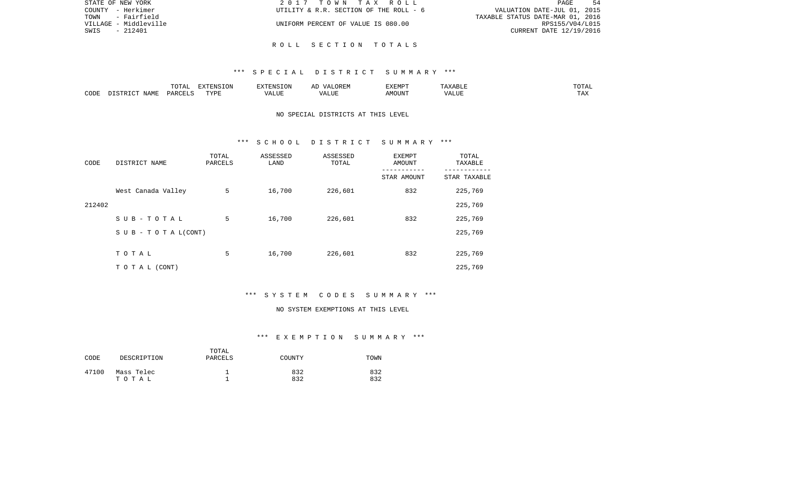| STATE OF NEW YORK     | 2017 TOWN TAX ROLL                     | -54<br>PAGE                      |
|-----------------------|----------------------------------------|----------------------------------|
| COUNTY - Herkimer     | UTILITY & R.R. SECTION OF THE ROLL - 6 | VALUATION DATE-JUL 01, 2015      |
| TOWN<br>- Fairfield   |                                        | TAXABLE STATUS DATE-MAR 01, 2016 |
| VILLAGE - Middleville | UNIFORM PERCENT OF VALUE IS 080.00     | RPS155/V04/L015                  |
| - 212401<br>SWIS      |                                        | CURRENT DATE 12/19/2016          |
|                       |                                        |                                  |

R O L L S E C T I O N T O T A L S

|      |                    | $H \cap H$<br>$\cdots$<br>. U 1 1 1 1 | סוותידצים<br><b>ION</b> |      | UKLIY                                  | F.XFMP'<br>∸∡∡⊥ | A           | .              |
|------|--------------------|---------------------------------------|-------------------------|------|----------------------------------------|-----------------|-------------|----------------|
| CODE | JAME<br>$\sqrt{2}$ | $\Box$ $\Box$ $\Box$ $\Box$ $\Box$    | <b>TRAT</b><br>.        | ALUF | " TTT.<br>$\sqrt{2}$<br>. . <i>.</i> . | MC<br>OUN.      | 77T<br>Anur | max<br>د د د . |

# NO SPECIAL DISTRICTS AT THIS LEVEL

#### \*\*\* S C H O O L D I S T R I C T S U M M A R Y \*\*\*

| CODE   | DISTRICT NAME                    | TOTAL<br>PARCELS | ASSESSED<br>LAND | ASSESSED<br>TOTAL | EXEMPT<br>AMOUNT | TOTAL<br>TAXABLE |
|--------|----------------------------------|------------------|------------------|-------------------|------------------|------------------|
|        |                                  |                  |                  |                   | STAR AMOUNT      | STAR TAXABLE     |
|        | West Canada Valley               | 5                | 16,700           | 226,601           | 832              | 225,769          |
| 212402 |                                  |                  |                  |                   |                  | 225,769          |
|        | SUB-TOTAL                        | 5                | 16,700           | 226,601           | 832              | 225,769          |
|        | $S \cup B - T \cup T A L (CONT)$ |                  |                  |                   |                  | 225,769          |
|        |                                  |                  |                  |                   |                  |                  |
|        | TOTAL                            | 5                | 16,700           | 226,601           | 832              | 225,769          |
|        | T O T A L (CONT)                 |                  |                  |                   |                  | 225,769          |

# \*\*\* S Y S T E M C O D E S S U M M A R Y \*\*\*

#### NO SYSTEM EXEMPTIONS AT THIS LEVEL

# \*\*\* E X E M P T I O N S U M M A R Y \*\*\*

| CODE  | DESCRIPTION         | TOTAL<br>PARCELS | COUNTY     | TOWN       |
|-------|---------------------|------------------|------------|------------|
| 47100 | Mass Telec<br>тотаь |                  | 832<br>832 | 832<br>832 |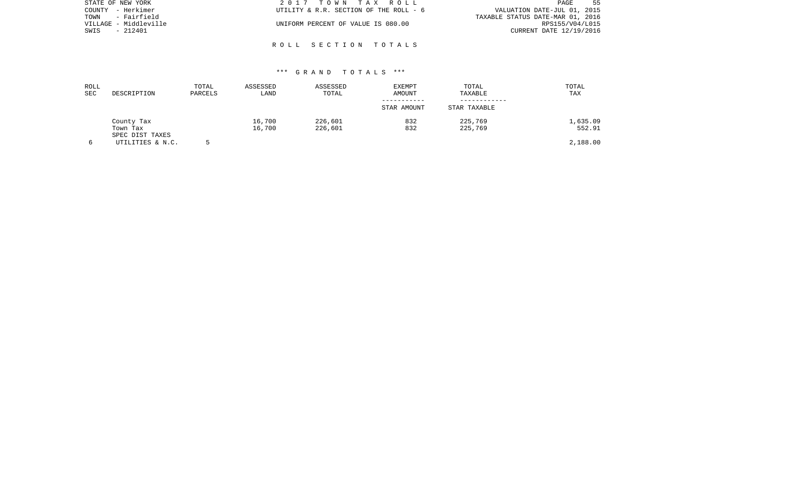| STATE OF NEW YORK     | 2017 TOWN TAX ROLL                     | 55<br>PAGE                       |
|-----------------------|----------------------------------------|----------------------------------|
| COUNTY - Herkimer     | UTILITY & R.R. SECTION OF THE ROLL - 6 | VALUATION DATE-JUL 01, 2015      |
| - Fairfield<br>TOWN   |                                        | TAXABLE STATUS DATE-MAR 01, 2016 |
| VILLAGE - Middleville | UNIFORM PERCENT OF VALUE IS 080.00     | RPS155/V04/L015                  |
| SWIS<br>- 212401      |                                        | CURRENT DATE 12/19/2016          |
|                       |                                        |                                  |

### \*\*\* G R A N D T O T A L S \*\*\*

R O L L S E C T I O N T O T A L S

| ROLL<br>SEC | DESCRIPTION                         | TOTAL<br>PARCELS | ASSESSED<br>LAND | ASSESSED<br>TOTAL  | <b>EXEMPT</b><br>AMOUNT<br>STAR AMOUNT | TOTAL<br>TAXABLE<br>STAR TAXABLE | TOTAL<br>TAX       |
|-------------|-------------------------------------|------------------|------------------|--------------------|----------------------------------------|----------------------------------|--------------------|
|             | County Tax<br>Town Tax              |                  | 16,700<br>16,700 | 226,601<br>226,601 | 832<br>832                             | 225,769<br>225,769               | 1,635.09<br>552.91 |
|             | SPEC DIST TAXES<br>UTILITIES & N.C. |                  |                  |                    |                                        |                                  | 2,188.00           |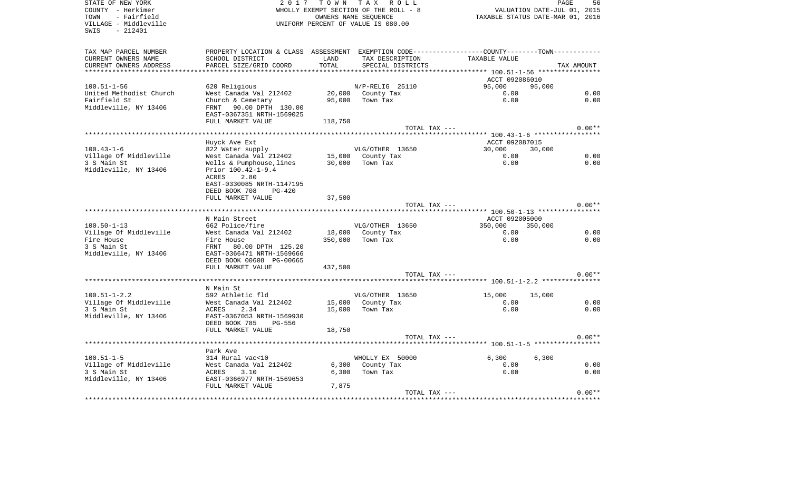SWIS - 212401

STATE OF NEW YORK GOOD CONSULTED A RESOLUCT A LOCAL TO WING TAX A ROLL TO MY TAX ROLL STATE OF NEW YORK SAGE COUNTY - Herkimer **WHOLLY EXEMPT SECTION OF THE ROLL - 8** VALUATION DATE-JUL 01, 2015 TOWN - Fairfield OWNERS NAME SEQUENCE TAXABLE STATUS DATE-MAR 01, 2016 VILLAGE - Middleville UNIFORM PERCENT OF VALUE IS 080.00

56

| TAX MAP PARCEL NUMBER   | PROPERTY LOCATION & CLASS ASSESSMENT EXEMPTION CODE---------------COUNTY-------TOWN---------- |                   |                   |                                          |                                       |
|-------------------------|-----------------------------------------------------------------------------------------------|-------------------|-------------------|------------------------------------------|---------------------------------------|
| CURRENT OWNERS NAME     | SCHOOL DISTRICT                                                                               | LAND              | TAX DESCRIPTION   | TAXABLE VALUE                            |                                       |
| CURRENT OWNERS ADDRESS  | PARCEL SIZE/GRID COORD                                                                        | TOTAL             | SPECIAL DISTRICTS |                                          | TAX AMOUNT                            |
| *********************** |                                                                                               |                   |                   |                                          |                                       |
|                         |                                                                                               |                   |                   | ACCT 092086010                           |                                       |
| $100.51 - 1 - 56$       | 620 Religious                                                                                 |                   | N/P-RELIG 25110   | 95,000                                   | 95,000                                |
| United Methodist Church | West Canada Val 212402                                                                        |                   | 20,000 County Tax | 0.00                                     | 0.00                                  |
| Fairfield St            | Church & Cemetary                                                                             | 95,000            | Town Tax          | 0.00                                     | 0.00                                  |
| Middleville, NY 13406   | 90.00 DPTH 130.00<br>FRNT                                                                     |                   |                   |                                          |                                       |
|                         | EAST-0367351 NRTH-1569025                                                                     |                   |                   |                                          |                                       |
|                         | FULL MARKET VALUE                                                                             | 118,750           |                   |                                          |                                       |
|                         |                                                                                               |                   | TOTAL TAX ---     |                                          | $0.00**$                              |
|                         |                                                                                               |                   |                   |                                          |                                       |
|                         | Huyck Ave Ext                                                                                 |                   |                   | ACCT 092087015                           |                                       |
| $100.43 - 1 - 6$        | 822 Water supply                                                                              |                   | VLG/OTHER 13650   | 30,000                                   | 30,000                                |
| Village Of Middleville  | West Canada Val 212402 15,000 County Tax                                                      |                   |                   | 0.00                                     | 0.00                                  |
| 3 S Main St             | Wells & Pumphouse, lines                                                                      | $30,000$ Town Tax |                   | 0.00                                     | 0.00                                  |
| Middleville, NY 13406   | Prior 100.42-1-9.4                                                                            |                   |                   |                                          |                                       |
|                         | ACRES<br>2.80                                                                                 |                   |                   |                                          |                                       |
|                         | EAST-0330085 NRTH-1147195                                                                     |                   |                   |                                          |                                       |
|                         | DEED BOOK 708<br>$PG-420$                                                                     |                   |                   |                                          |                                       |
|                         | FULL MARKET VALUE                                                                             | 37,500            |                   |                                          |                                       |
|                         |                                                                                               |                   | TOTAL TAX ---     |                                          | $0.00**$                              |
|                         |                                                                                               |                   |                   | ********** 100.50-1-13 ***************** |                                       |
|                         | N Main Street                                                                                 |                   |                   | ACCT 092005000                           |                                       |
| $100.50 - 1 - 13$       | 662 Police/fire                                                                               |                   | VLG/OTHER 13650   | 350,000                                  | 350,000                               |
| Village Of Middleville  | West Canada Val 212402                                                                        |                   | 18,000 County Tax | 0.00                                     | 0.00                                  |
| Fire House              | Fire House                                                                                    | 350,000           | Town Tax          | 0.00                                     | 0.00                                  |
| 3 S Main St             | FRNT 80.00 DPTH 125.20                                                                        |                   |                   |                                          |                                       |
| Middleville, NY 13406   | EAST-0366471 NRTH-1569666                                                                     |                   |                   |                                          |                                       |
|                         | DEED BOOK 00608 PG-00665                                                                      |                   |                   |                                          |                                       |
|                         | FULL MARKET VALUE                                                                             | 437,500           |                   |                                          |                                       |
|                         |                                                                                               |                   | TOTAL TAX ---     |                                          | $0.00**$                              |
|                         |                                                                                               |                   |                   |                                          |                                       |
|                         | N Main St                                                                                     |                   |                   |                                          |                                       |
| $100.51 - 1 - 2.2$      | 592 Athletic fld                                                                              |                   | VLG/OTHER 13650   | 15,000                                   | 15,000                                |
| Village Of Middleville  | West Canada Val 212402                                                                        |                   | 15,000 County Tax | 0.00                                     | 0.00                                  |
| 3 S Main St             | 2.34<br>ACRES                                                                                 |                   | 15,000 Town Tax   | 0.00                                     | 0.00                                  |
| Middleville, NY 13406   | EAST-0367053 NRTH-1569930                                                                     |                   |                   |                                          |                                       |
|                         | DEED BOOK 785<br>PG-556                                                                       |                   |                   |                                          |                                       |
|                         | FULL MARKET VALUE                                                                             | 18,750            |                   |                                          |                                       |
|                         |                                                                                               |                   | TOTAL TAX ---     |                                          | $0.00**$                              |
|                         |                                                                                               |                   |                   | ********** 100.51-1-5 ****************** |                                       |
|                         | Park Ave                                                                                      |                   |                   |                                          |                                       |
| $100.51 - 1 - 5$        | 314 Rural vac<10                                                                              |                   | WHOLLY EX 50000   | 6,300                                    | 6,300                                 |
| Village of Middleville  | West Canada Val 212402                                                                        |                   | 6,300 County Tax  | 0.00                                     | 0.00                                  |
| 3 S Main St             | 3.10<br>ACRES                                                                                 | 6,300             | Town Tax          | 0.00                                     | 0.00                                  |
| Middleville, NY 13406   | EAST-0366977 NRTH-1569653                                                                     |                   |                   |                                          |                                       |
|                         | FULL MARKET VALUE                                                                             | 7,875             |                   |                                          |                                       |
|                         |                                                                                               |                   | TOTAL TAX ---     |                                          | $0.00**$                              |
|                         |                                                                                               |                   |                   |                                          | ************************************* |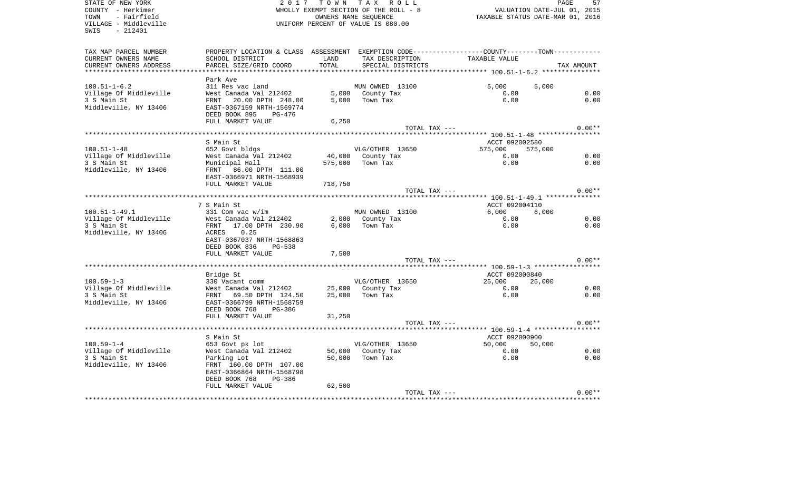STATE OF NEW YORK 2 0 1 7 T O W N T A X R O L L PAGE 57COUNTY - Herkimer WHOLLY EXEMPT SECTION OF THE ROLL - 8 VALUATION DATE-JUL 01, 2015 TOWN - Fairfield **Taxable State of the CONNERT CONNERS NAME SEQUENCE** THE STATUS DATE-MAR 01, 2016 VILLAGE - Middleville UNIFORM PERCENT OF VALUE IS 080.00SWIS - 212401TAX MAP PARCEL NUMBER PROPERTY LOCATION & CLASS ASSESSMENT EXEMPTION CODE------------------COUNTY--------TOWN------------ CURRENT OWNERS NAME SCHOOL DISTRICT LAND TAX DESCRIPTION TAXABLE VALUECURRENT OWNERS ADDRESS PARCEL SIZE/GRID COORD TOTAL SPECIAL DISTRICTS TAX AMOUNT \*\*\*\*\*\*\*\*\*\*\*\*\*\*\*\*\*\*\*\*\*\*\*\*\*\*\*\*\*\*\*\*\*\*\*\*\*\*\*\*\*\*\*\*\*\*\*\*\*\*\*\*\*\*\*\*\*\*\*\*\*\*\*\*\*\*\*\*\*\*\*\*\*\*\*\*\*\*\*\*\*\*\*\*\*\*\*\*\*\*\*\*\*\*\*\*\*\*\*\*\*\*\* 100.51-1-6.2 \*\*\*\*\*\*\*\*\*\*\*\*\*\*\* Park Ave100.51-1-6.2 311 Res vac land MUN OWNED 13100 5,000 5,000 Village Of Middleville West Canada Val 212402 5,000 County Tax 0.00 0.00 0.00 0.00 3 S Main St FRNT 20.00 DPTH 248.00 5,000 Town Tax 0.00 0.00 Middleville, NY 13406 EAST-0367159 NRTH-1569774 DEED BOOK 895 PG-476FULL MARKET VALUE 6,250 TOTAL TAX  $---$  0.00\*\* \*\*\*\*\*\*\*\*\*\*\*\*\*\*\*\*\*\*\*\*\*\*\*\*\*\*\*\*\*\*\*\*\*\*\*\*\*\*\*\*\*\*\*\*\*\*\*\*\*\*\*\*\*\*\*\*\*\*\*\*\*\*\*\*\*\*\*\*\*\*\*\*\*\*\*\*\*\*\*\*\*\*\*\*\*\*\*\*\*\*\*\*\*\*\*\*\*\*\*\*\*\*\* 100.51-1-48 \*\*\*\*\*\*\*\*\*\*\*\*\*\*\*\* S Main St Accr 092002580 100.51-1-48 652 Govt bldgs VLG/OTHER 13650 575,000 575,000 Village Of Middleville West Canada Val 212402 40,000 County Tax 0.00 0.00 0.00 0.00 3 S Main St Municipal Hall 575,000 Town Tax 0.00 0.00 Middleville, NY 13406 FRNT 86.00 DPTH 111.00 EAST-0366971 NRTH-1568939 FULL MARKET VALUE 718,750 TOTAL TAX  $---$  0.00\*\* \*\*\*\*\*\*\*\*\*\*\*\*\*\*\*\*\*\*\*\*\*\*\*\*\*\*\*\*\*\*\*\*\*\*\*\*\*\*\*\*\*\*\*\*\*\*\*\*\*\*\*\*\*\*\*\*\*\*\*\*\*\*\*\*\*\*\*\*\*\*\*\*\*\*\*\*\*\*\*\*\*\*\*\*\*\*\*\*\*\*\*\*\*\*\*\*\*\*\*\*\*\*\* 100.51-1-49.1 \*\*\*\*\*\*\*\*\*\*\*\*\*\*7 S Main St ACCT 092004110 100.51-1-49.1 331 Com vac w/im MUN OWNED 13100 6,000 6,000 Village Of Middleville West Canada Val 212402 2,000 County Tax 0.00 0.00 3 S Main St FRNT 17.00 DPTH 230.90 6,000 Town Tax 0.00 0.00 Middleville, NY 13406 ACRES 0.25 EAST-0367037 NRTH-1568863 DEED BOOK 836 PG-538FULL MARKET VALUE 7,500 TOTAL TAX  $---$  0.00\*\* \*\*\*\*\*\*\*\*\*\*\*\*\*\*\*\*\*\*\*\*\*\*\*\*\*\*\*\*\*\*\*\*\*\*\*\*\*\*\*\*\*\*\*\*\*\*\*\*\*\*\*\*\*\*\*\*\*\*\*\*\*\*\*\*\*\*\*\*\*\*\*\*\*\*\*\*\*\*\*\*\*\*\*\*\*\*\*\*\*\*\*\*\*\*\*\*\*\*\*\*\*\*\* 100.59-1-3 \*\*\*\*\*\*\*\*\*\*\*\*\*\*\*\*\*Bridge St ACCT 092000840 100.59-1-3 330 Vacant comm VLG/OTHER 13650 25,000 25,000 Village Of Middleville West Canada Val 212402 25,000 County Tax 0.00 0.00 3 S Main St FRNT 69.50 DPTH 124.50 25,000 Town Tax 0.00 0.00 Middleville, NY 13406 EAST-0366799 NRTH-1568759 DEED BOOK 768 PG-386 FULL MARKET VALUE 31,250 TOTAL TAX  $---$  0.00\*\* \*\*\*\*\*\*\*\*\*\*\*\*\*\*\*\*\*\*\*\*\*\*\*\*\*\*\*\*\*\*\*\*\*\*\*\*\*\*\*\*\*\*\*\*\*\*\*\*\*\*\*\*\*\*\*\*\*\*\*\*\*\*\*\*\*\*\*\*\*\*\*\*\*\*\*\*\*\*\*\*\*\*\*\*\*\*\*\*\*\*\*\*\*\*\*\*\*\*\*\*\*\*\* 100.59-1-4 \*\*\*\*\*\*\*\*\*\*\*\*\*\*\*\*\*S Main St <br>
S Main St 
and the Contract Contract 
and the ACCT 092000900 100.59-1-4 653 Govt pk lot VLG/OTHER 13650 50,000 50,000 Village Of Middleville West Canada Val 212402 50,000 County Tax 0.00 0.00 0.00 0.00 3 S Main St Character Charles Control Control Control Control Control Control Control Control Control Control Control Control Control Control Control Control Control Control Control Control Control Control Control Control Middleville, NY 13406 FRNT 160.00 DPTH 107.00 EAST-0366864 NRTH-1568798 DEED BOOK 768 PG-386FULL MARKET VALUE 62,500 TOTAL TAX  $---$  0.00\*\* \*\*\*\*\*\*\*\*\*\*\*\*\*\*\*\*\*\*\*\*\*\*\*\*\*\*\*\*\*\*\*\*\*\*\*\*\*\*\*\*\*\*\*\*\*\*\*\*\*\*\*\*\*\*\*\*\*\*\*\*\*\*\*\*\*\*\*\*\*\*\*\*\*\*\*\*\*\*\*\*\*\*\*\*\*\*\*\*\*\*\*\*\*\*\*\*\*\*\*\*\*\*\*\*\*\*\*\*\*\*\*\*\*\*\*\*\*\*\*\*\*\*\*\*\*\*\*\*\*\*\*\*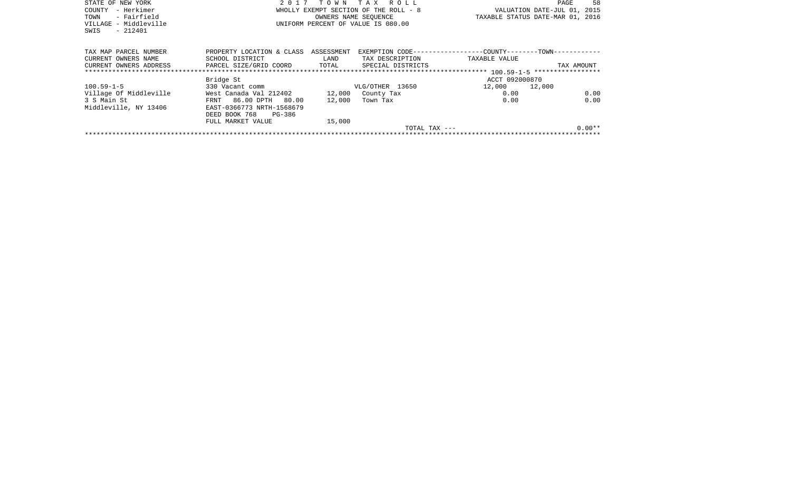| STATE OF NEW YORK      |                                      |        | 2017 TOWN TAX ROLL                    |                                                              | 58<br>PAGE                       |  |  |  |
|------------------------|--------------------------------------|--------|---------------------------------------|--------------------------------------------------------------|----------------------------------|--|--|--|
| – Herkimer<br>COUNTY   |                                      |        | WHOLLY EXEMPT SECTION OF THE ROLL - 8 |                                                              | VALUATION DATE-JUL 01, 2015      |  |  |  |
| - Fairfield<br>TOWN    |                                      |        | OWNERS NAME SEQUENCE                  |                                                              | TAXABLE STATUS DATE-MAR 01, 2016 |  |  |  |
| VILLAGE - Middleville  |                                      |        | UNIFORM PERCENT OF VALUE IS 080.00    |                                                              |                                  |  |  |  |
| $-212401$<br>SWIS      |                                      |        |                                       |                                                              |                                  |  |  |  |
|                        |                                      |        |                                       |                                                              |                                  |  |  |  |
|                        |                                      |        |                                       |                                                              |                                  |  |  |  |
| TAX MAP PARCEL NUMBER  | PROPERTY LOCATION & CLASS ASSESSMENT |        |                                       | EXEMPTION CODE-----------------COUNTY--------TOWN----------- |                                  |  |  |  |
| CURRENT OWNERS NAME    | SCHOOL DISTRICT                      | LAND   | TAX DESCRIPTION                       | TAXABLE VALUE                                                |                                  |  |  |  |
| CURRENT OWNERS ADDRESS | PARCEL SIZE/GRID COORD TOTAL         |        | SPECIAL DISTRICTS                     |                                                              | TAX AMOUNT                       |  |  |  |
|                        |                                      |        |                                       |                                                              |                                  |  |  |  |
|                        | Bridge St                            |        |                                       | ACCT 092000870                                               |                                  |  |  |  |
| $100.59 - 1 - 5$       | 330 Vacant comm                      |        | VLG/OTHER 13650                       | 12,000 12,000                                                |                                  |  |  |  |
| Village Of Middleville | West Canada Val 212402 12,000        |        | County Tax                            | 0.00                                                         | 0.00                             |  |  |  |
| 3 S Main St            | FRNT 86.00 DPTH 80.00                | 12,000 | Town Tax                              | 0.00                                                         | 0.00                             |  |  |  |
| Middleville, NY 13406  | EAST-0366773 NRTH-1568679            |        |                                       |                                                              |                                  |  |  |  |
|                        | DEED BOOK 768<br>PG-386              |        |                                       |                                                              |                                  |  |  |  |
|                        | FULL MARKET VALUE                    | 15,000 |                                       |                                                              |                                  |  |  |  |
|                        |                                      |        | TOTAL TAX ---                         |                                                              | $0.00**$                         |  |  |  |
|                        |                                      |        |                                       |                                                              |                                  |  |  |  |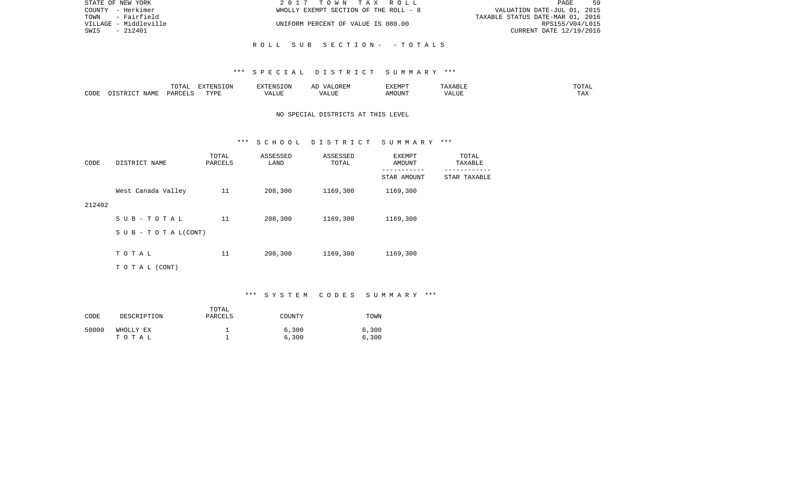| STATE OF NEW YORK     | 2017 TOWN TAX ROLL                    | 59<br>PAGE                       |
|-----------------------|---------------------------------------|----------------------------------|
| COUNTY - Herkimer     | WHOLLY EXEMPT SECTION OF THE ROLL - 8 | VALUATION DATE-JUL 01, 2015      |
| TOWN - Fairfield      |                                       | TAXABLE STATUS DATE-MAR 01, 2016 |
| VILLAGE - Middleville | UNIFORM PERCENT OF VALUE IS 080.00    | RPS155/V04/L015                  |
| - 212401<br>SWIS      |                                       | CURRENT DATE 12/19/2016          |
|                       |                                       |                                  |
|                       | ROLL SUB SECTION- -TOTALS             |                                  |

|      |                            | .∪⊥⊓⊥         | $\blacksquare$<br>11 L<br>LUIN |               |            | EXEMPT       | ABL.                  | $m \wedge m$<br>. |
|------|----------------------------|---------------|--------------------------------|---------------|------------|--------------|-----------------------|-------------------|
| CODE | <b>ABST</b><br>. .<br>NAMP | <b>DARCFT</b> | TVDT                           | $\mathcal{L}$ | ,,,<br>שחד | OUN".<br>۱M۲ | $- - - - - -$<br>ALUI | $- - -$<br>. Ал   |

## NO SPECIAL DISTRICTS AT THIS LEVEL

#### \*\*\* S C H O O L D I S T R I C T S U M M A R Y \*\*\*

| CODE   | DISTRICT NAME                    | TOTAL<br>PARCELS | ASSESSED<br>LAND | ASSESSED<br>TOTAL | EXEMPT<br>AMOUNT<br>--------- | TOTAL<br>TAXABLE<br>------------ |
|--------|----------------------------------|------------------|------------------|-------------------|-------------------------------|----------------------------------|
|        |                                  |                  |                  |                   | STAR AMOUNT                   | STAR TAXABLE                     |
|        | West Canada Valley               | 11               | 208,300          | 1169,300          | 1169,300                      |                                  |
| 212402 |                                  |                  |                  |                   |                               |                                  |
|        | SUB-TOTAL                        | 11               | 208,300          | 1169,300          | 1169,300                      |                                  |
|        | $S \cup B - T \cup T A L (CONT)$ |                  |                  |                   |                               |                                  |
|        |                                  |                  |                  |                   |                               |                                  |
|        | TOTAL                            | 11               | 208,300          | 1169,300          | 1169,300                      |                                  |
|        | TO TAL (CONT)                    |                  |                  |                   |                               |                                  |

# \*\*\* S Y S T E M C O D E S S U M M A R Y \*\*\*

| CODE  | DESCRIPTION        | TOTAL<br>PARCELS | COUNTY         | TOWN           |
|-------|--------------------|------------------|----------------|----------------|
| 50000 | WHOLLY EX<br>тотаь |                  | 6,300<br>6,300 | 6,300<br>6,300 |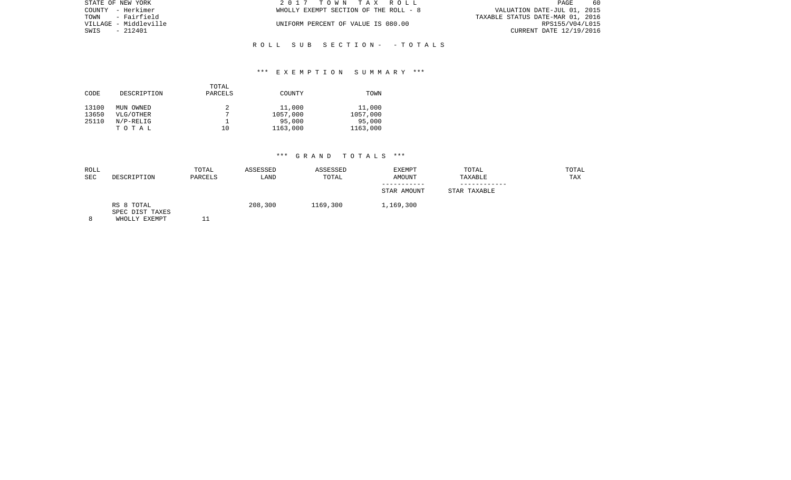|                       | 2017 TOWN TAX ROLL                    | -60<br>PAGE                      |
|-----------------------|---------------------------------------|----------------------------------|
| COUNTY - Herkimer     | WHOLLY EXEMPT SECTION OF THE ROLL - 8 | VALUATION DATE-JUL 01, 2015      |
| TOWN - Fairfield      |                                       | TAXABLE STATUS DATE-MAR 01, 2016 |
| VILLAGE - Middleville | UNIFORM PERCENT OF VALUE IS 080.00    | RPS155/V04/L015                  |
| - 212401              |                                       | CURRENT DATE 12/19/2016          |
|                       |                                       |                                  |
|                       |                                       |                                  |

## \*\*\* E X E M P T I O N S U M M A R Y \*\*\*

R O L L S U B S E C T I O N - - T O T A L S

| CODE           | DESCRIPTION            | TOTAL<br>PARCELS | COUNTY             | TOWN               |
|----------------|------------------------|------------------|--------------------|--------------------|
| 13100<br>13650 | MUN OWNED<br>VLG/OTHER |                  | 11,000<br>1057,000 | 11,000<br>1057,000 |
| 25110          | $N/P-RELLIG$           |                  | 95,000             | 95,000             |
|                | TOTAL                  | 10               | 1163,000           | 1163,000           |

| ROLL<br><b>SEC</b> | DESCRIPTION                                    | TOTAL<br>PARCELS | ASSESSED<br>LAND | ASSESSED<br>TOTAL | <b>EXEMPT</b><br><b>AMOUNT</b><br>-----------<br>STAR AMOUNT | TOTAL<br>TAXABLE<br>STAR TAXABLE | TOTAL<br>TAX |
|--------------------|------------------------------------------------|------------------|------------------|-------------------|--------------------------------------------------------------|----------------------------------|--------------|
|                    | RS 8 TOTAL<br>SPEC DIST TAXES<br>WHOLLY EXEMPT |                  | 208,300          | 1169,300          | 1,169,300                                                    |                                  |              |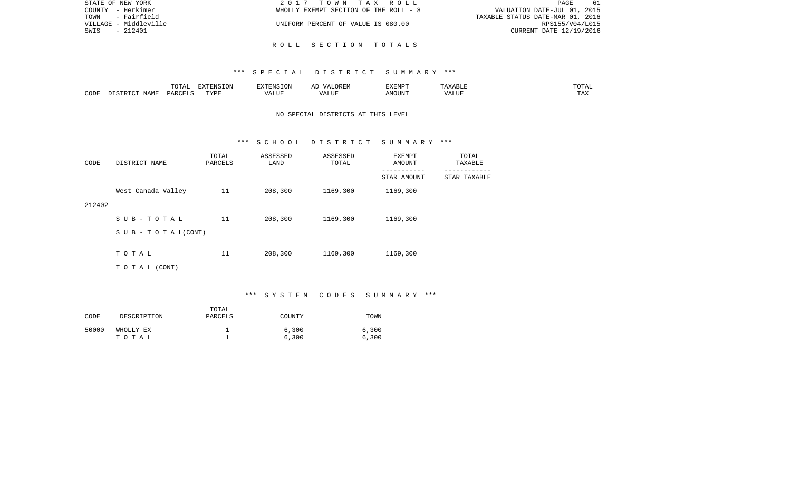| STATE OF NEW YORK     | 2017 TOWN TAX ROLL                    | PAGE<br>-61                      |
|-----------------------|---------------------------------------|----------------------------------|
| COUNTY - Herkimer     | WHOLLY EXEMPT SECTION OF THE ROLL - 8 | VALUATION DATE-JUL 01, 2015      |
| TOWN<br>- Fairfield   |                                       | TAXABLE STATUS DATE-MAR 01, 2016 |
| VILLAGE - Middleville | UNIFORM PERCENT OF VALUE IS 080.00    | RPS155/V04/L015                  |
| SWIS<br>- 212401      |                                       | CURRENT DATE 12/19/2016          |
|                       |                                       |                                  |

R O L L S E C T I O N T O T A L S

|      |      | ---- | EXTENSION  |            | . JK LIV                             | "ת אים א<br>┚┵┻┸ | . .<br><b>ABLI</b> | .                     |
|------|------|------|------------|------------|--------------------------------------|------------------|--------------------|-----------------------|
| CODI | IAME |      | $\pi$<br>. | ם דדיד ה77 | $^{\circ}$ TTT.<br>$\sqrt{2}$<br>,,, | MOUN.            | 77T<br>ALUT        | $m \times v$<br>T LAV |

# NO SPECIAL DISTRICTS AT THIS LEVEL

#### \*\*\* S C H O O L D I S T R I C T S U M M A R Y \*\*\*

| CODE   | DISTRICT NAME             | TOTAL<br>PARCELS | ASSESSED<br>LAND | ASSESSED<br>TOTAL | EXEMPT<br>AMOUNT         | TOTAL<br>TAXABLE           |
|--------|---------------------------|------------------|------------------|-------------------|--------------------------|----------------------------|
|        |                           |                  |                  |                   | ---------<br>STAR AMOUNT | ----------<br>STAR TAXABLE |
|        | West Canada Valley        | 11               | 208,300          | 1169,300          | 1169,300                 |                            |
| 212402 |                           |                  |                  |                   |                          |                            |
|        | SUB-TOTAL                 | 11               | 208,300          | 1169,300          | 1169,300                 |                            |
|        | S U B - T O T A $L(CONT)$ |                  |                  |                   |                          |                            |
|        |                           |                  |                  |                   |                          |                            |
|        | TOTAL                     | 11               | 208,300          | 1169,300          | 1169,300                 |                            |
|        | TO TAL (CONT)             |                  |                  |                   |                          |                            |

# \*\*\* S Y S T E M C O D E S S U M M A R Y \*\*\*

| CODE  | DESCRIPTION        | TOTAL<br>PARCELS | COUNTY         | TOWN           |
|-------|--------------------|------------------|----------------|----------------|
| 50000 | WHOLLY EX<br>тотаь |                  | 6,300<br>6,300 | 6,300<br>6,300 |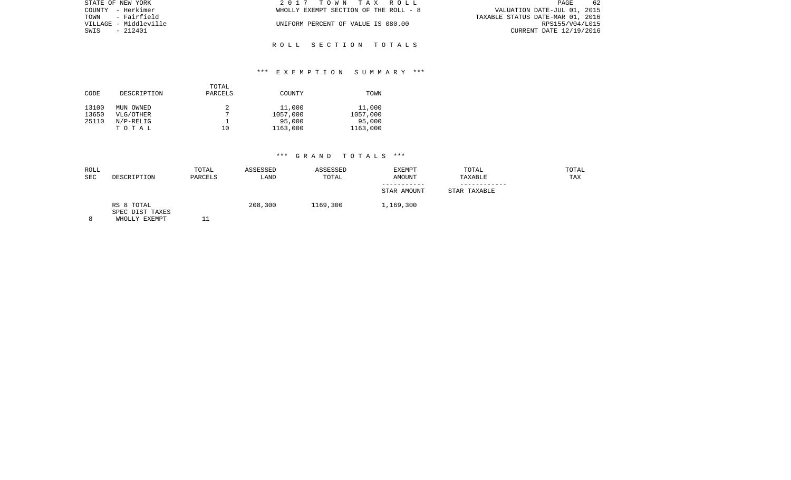| STATE OF NEW YORK     | 2017 TOWN TAX ROLL                    | 62<br>PAGE                       |
|-----------------------|---------------------------------------|----------------------------------|
| COUNTY - Herkimer     | WHOLLY EXEMPT SECTION OF THE ROLL - 8 | VALUATION DATE-JUL 01, 2015      |
| TOWN - Fairfield      |                                       | TAXABLE STATUS DATE-MAR 01, 2016 |
| VILLAGE - Middleville | UNIFORM PERCENT OF VALUE IS 080.00    | RPS155/V04/L015                  |
| SWIS<br>- 212401      |                                       | CURRENT DATE 12/19/2016          |
|                       |                                       |                                  |

R O L L S E C T I O N T O T A L S

## \*\*\* E X E M P T I O N S U M M A R Y \*\*\*

| CODE  | DESCRIPTION | TOTAL<br>PARCELS | COUNTY   | TOWN     |
|-------|-------------|------------------|----------|----------|
| 13100 | MUN OWNED   |                  | 11,000   | 11,000   |
| 13650 | VLG/OTHER   | π                | 1057,000 | 1057,000 |
| 25110 | $N/P-RELIG$ |                  | 95,000   | 95,000   |
|       | TOTAL       | 10               | 1163,000 | 1163,000 |

| ROLL<br><b>SEC</b> | DESCRIPTION                                    | TOTAL<br>PARCELS | ASSESSED<br>LAND | ASSESSED<br>TOTAL | <b>EXEMPT</b><br><b>AMOUNT</b> | TOTAL<br>TAXABLE | TOTAL<br>TAX |
|--------------------|------------------------------------------------|------------------|------------------|-------------------|--------------------------------|------------------|--------------|
|                    |                                                |                  |                  |                   | STAR AMOUNT                    | STAR TAXABLE     |              |
|                    | RS 8 TOTAL<br>SPEC DIST TAXES<br>WHOLLY EXEMPT |                  | 208,300          | 1169,300          | 1,169,300                      |                  |              |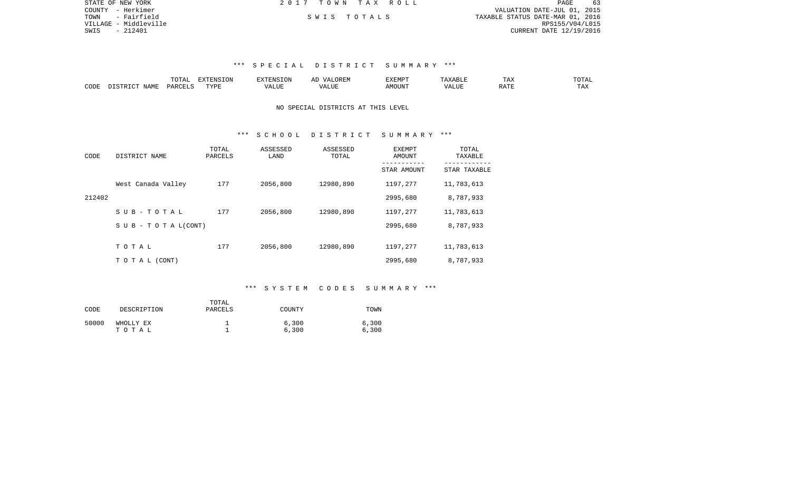| STATE OF NEW YORK     | 2017 TOWN TAX ROLL | 63<br>PAGE                       |
|-----------------------|--------------------|----------------------------------|
| COUNTY - Herkimer     |                    | VALUATION DATE-JUL 01, 2015      |
| TOWN - Fairfield      | SWIS TOTALS        | TAXABLE STATUS DATE-MAR 01, 2016 |
| VILLAGE - Middleville |                    | RPS155/V04/L015                  |
| SWIS<br>- 212401      |                    | CURRENT DATE 12/19/2016          |
|                       |                    |                                  |
|                       |                    |                                  |

|      | $m \wedge m$<br>$\Gamma$ | -------<br>---<br>$\overline{1}$ |           | <u>д</u> і<br>∼ | YEMP. | --                               | ∸⊷           | $m \wedge n$            |
|------|--------------------------|----------------------------------|-----------|-----------------|-------|----------------------------------|--------------|-------------------------|
| CODE | レムド                      | TVDI                             | $- - - -$ |                 | 550T  | . <b></b><br>a HC.<br>$\sqrt{ }$ | $\neg$ $\pi$ | $m \times r$<br>- - - - |

#### NO SPECIAL DISTRICTS AT THIS LEVEL

### \*\*\* S C H O O L D I S T R I C T S U M M A R Y \*\*\*

| CODE   | DISTRICT NAME             | TOTAL<br>PARCELS | ASSESSED<br>LAND | ASSESSED<br>TOTAL | EXEMPT<br>AMOUNT | TOTAL<br>TAXABLE |
|--------|---------------------------|------------------|------------------|-------------------|------------------|------------------|
|        |                           |                  |                  |                   | STAR AMOUNT      | STAR TAXABLE     |
|        | West Canada Valley        | 177              | 2056,800         | 12980,890         | 1197,277         | 11,783,613       |
| 212402 |                           |                  |                  |                   | 2995,680         | 8,787,933        |
|        | $S$ U B - T O T A L       | 177              | 2056,800         | 12980,890         | 1197,277         | 11,783,613       |
|        | S U B - T O T A $L(CONT)$ |                  |                  |                   | 2995,680         | 8,787,933        |
|        |                           |                  |                  |                   |                  |                  |
|        | TOTAL                     | 177              | 2056,800         | 12980,890         | 1197,277         | 11,783,613       |
|        | TO TAL (CONT)             |                  |                  |                   | 2995,680         | 8,787,933        |

### \*\*\* S Y S T E M C O D E S S U M M A R Y \*\*\*

| CODE  | DESCRIPTION        | TOTAL<br>PARCELS | COUNTY         | TOWN           |
|-------|--------------------|------------------|----------------|----------------|
| 50000 | WHOLLY EX<br>тотаь |                  | 6,300<br>6,300 | 6,300<br>6,300 |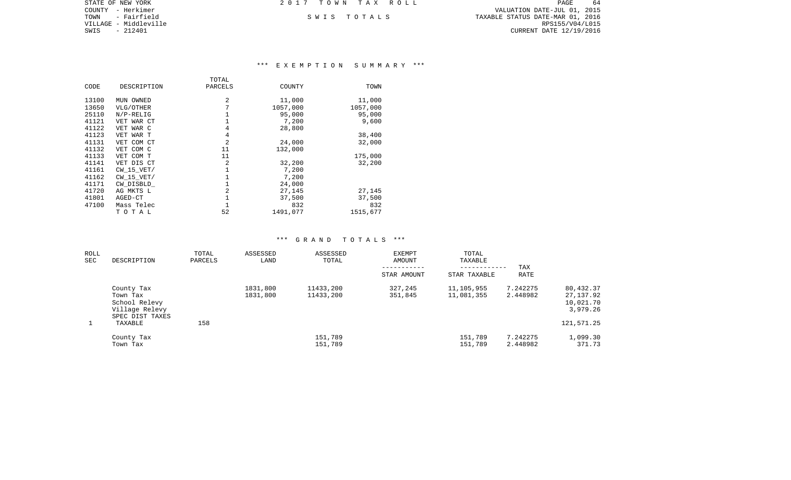PAGE 64 COUNTY - Herkimer VALUATION DATE-JUL 01, 2015 TOWN - Fairfield S W I S T O T A L S TAXABLE STATUS DATE-MAR 01, 2016 CURRENT DATE 12/19/2016

STATE OF NEW YORK **2017 TOWN TAX ROLL** 

VILLAGE - Middleville<br>SWIS - 212401

# \*\*\* E X E M P T I O N S U M M A R Y \*\*\*

|       |                | TOTAL   |          |          |
|-------|----------------|---------|----------|----------|
| CODE  | DESCRIPTION    | PARCELS | COUNTY   | TOWN     |
| 13100 | MUN OWNED      | 2       | 11,000   | 11,000   |
|       |                |         |          |          |
| 13650 | VLG/OTHER      | 7       | 1057,000 | 1057,000 |
| 25110 | $N/P-RELIG$    |         | 95,000   | 95,000   |
| 41121 | VET WAR CT     |         | 7,200    | 9,600    |
| 41122 | VET WAR C      | 4       | 28,800   |          |
| 41123 | VET WAR T      | 4       |          | 38,400   |
| 41131 | VET COM CT     | 2       | 24,000   | 32,000   |
| 41132 | VET COM C      | 11      | 132,000  |          |
| 41133 | VET COM T      | 11      |          | 175,000  |
| 41141 | VET DIS CT     | 2       | 32,200   | 32,200   |
| 41161 | $CW$ 15 $VET/$ |         | 7,200    |          |
| 41162 | $CW$ 15 $VET/$ |         | 7,200    |          |
| 41171 | CW DISBLD      |         | 24,000   |          |
| 41720 | AG MKTS L      | 2       | 27,145   | 27,145   |
| 41801 | AGED-CT        |         | 37,500   | 37,500   |
| 47100 | Mass Telec     |         | 832      | 832      |
|       | тотаь          | 52      | 1491,077 | 1515,677 |

| ROLL<br>SEC | DESCRIPTION                                                                  | TOTAL<br>PARCELS | ASSESSED<br>LAND     | ASSESSED<br>TOTAL      | <b>EXEMPT</b><br>AMOUNT<br>STAR AMOUNT | TOTAL<br>TAXABLE<br>STAR TAXABLE | TAX<br><b>RATE</b>   |                                                 |
|-------------|------------------------------------------------------------------------------|------------------|----------------------|------------------------|----------------------------------------|----------------------------------|----------------------|-------------------------------------------------|
|             | County Tax<br>Town Tax<br>School Relevy<br>Village Relevy<br>SPEC DIST TAXES |                  | 1831,800<br>1831,800 | 11433,200<br>11433,200 | 327,245<br>351,845                     | 11,105,955<br>11,081,355         | 7.242275<br>2.448982 | 80,432.37<br>27,137.92<br>10,021.70<br>3,979.26 |
|             | TAXABLE                                                                      | 158              |                      |                        |                                        |                                  |                      | 121,571.25                                      |
|             | County Tax<br>Town Tax                                                       |                  |                      | 151,789<br>151,789     |                                        | 151,789<br>151,789               | 7.242275<br>2.448982 | 1,099.30<br>371.73                              |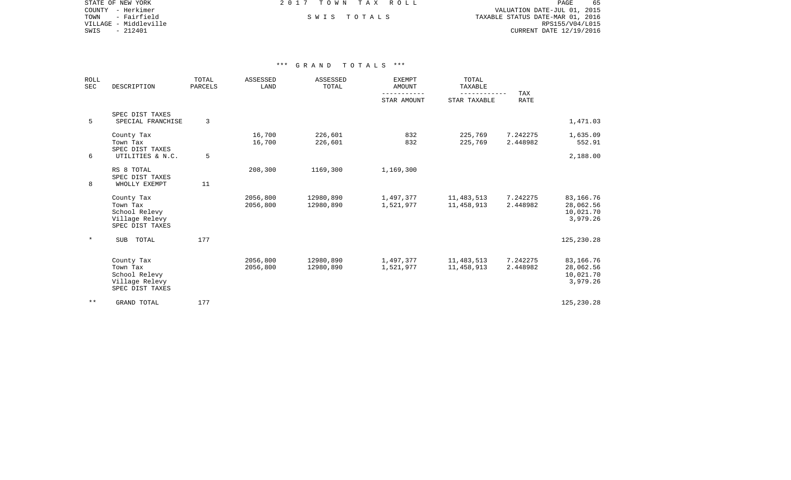STATE OF NEW YORK **EXECUTE:** A G L L 2 0 1 7 T O W N T A X R O L L COUNTY - Herkimer VALUATION DATE-JUL 01, 2015

VILLAGE - Middleville<br>SWIS - 212401

TOWN - Fairfield S W I S T O T A L S TAXABLE STATUS DATE-MAR 01, 2016 CURRENT DATE 12/19/2016

PAGE 65

| <b>ROLL</b><br>SEC | DESCRIPTION                                                                  | TOTAL<br>PARCELS | ASSESSED<br>LAND     | ASSESSED<br>TOTAL      | <b>EXEMPT</b><br><b>AMOUNT</b><br>--------- | TOTAL<br>TAXABLE          | <b>TAX</b>           |                                                 |
|--------------------|------------------------------------------------------------------------------|------------------|----------------------|------------------------|---------------------------------------------|---------------------------|----------------------|-------------------------------------------------|
|                    |                                                                              |                  |                      |                        | STAR AMOUNT                                 | ---------<br>STAR TAXABLE | <b>RATE</b>          |                                                 |
| 5                  | SPEC DIST TAXES<br>SPECIAL FRANCHISE                                         | 3                |                      |                        |                                             |                           |                      | 1,471.03                                        |
|                    | County Tax<br>Town Tax<br>SPEC DIST TAXES                                    |                  | 16,700<br>16,700     | 226,601<br>226,601     | 832<br>832                                  | 225,769<br>225,769        | 7.242275<br>2.448982 | 1,635.09<br>552.91                              |
| 6                  | UTILITIES & N.C.                                                             | 5                |                      |                        |                                             |                           |                      | 2,188.00                                        |
| 8                  | RS 8 TOTAL<br>SPEC DIST TAXES<br>WHOLLY EXEMPT                               | 11               | 208,300              | 1169,300               | 1,169,300                                   |                           |                      |                                                 |
|                    | County Tax<br>Town Tax<br>School Relevy<br>Village Relevy<br>SPEC DIST TAXES |                  | 2056,800<br>2056,800 | 12980,890<br>12980,890 | 1,497,377<br>1,521,977                      | 11,483,513<br>11,458,913  | 7.242275<br>2.448982 | 83,166.76<br>28,062.56<br>10,021.70<br>3,979.26 |
| $\ast$             | TOTAL<br>SUB                                                                 | 177              |                      |                        |                                             |                           |                      | 125,230.28                                      |
|                    | County Tax<br>Town Tax<br>School Relevy<br>Village Relevy<br>SPEC DIST TAXES |                  | 2056,800<br>2056,800 | 12980,890<br>12980,890 | 1,497,377<br>1,521,977                      | 11,483,513<br>11,458,913  | 7.242275<br>2.448982 | 83,166.76<br>28,062.56<br>10,021.70<br>3,979.26 |
| $* *$              | GRAND TOTAL                                                                  | 177              |                      |                        |                                             |                           |                      | 125,230.28                                      |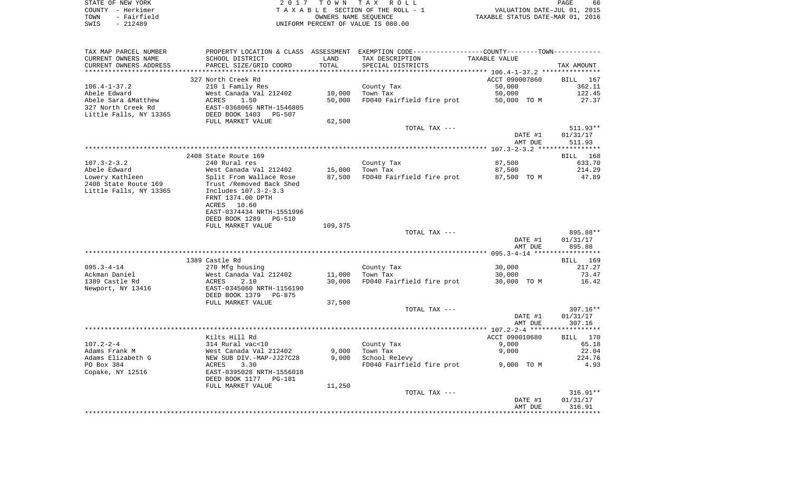| STATE OF NEW YORK   | 2017 TOWN TAX ROLL                 | 66<br>PAGE                       |
|---------------------|------------------------------------|----------------------------------|
| COUNTY - Herkimer   | TAXABLE SECTION OF THE ROLL - 1    | VALUATION DATE-JUL 01, 2015      |
| - Fairfield<br>TOWN | OWNERS NAME SEOUENCE               | TAXABLE STATUS DATE-MAR 01, 2016 |
| SWIS<br>- 212489    | UNIFORM PERCENT OF VALUE IS 080.00 |                                  |
|                     |                                    |                                  |

| TAX MAP PARCEL NUMBER  |                                 |         | PROPERTY LOCATION & CLASS ASSESSMENT EXEMPTION CODE----------------COUNTY-------TOWN---------- |                |                    |
|------------------------|---------------------------------|---------|------------------------------------------------------------------------------------------------|----------------|--------------------|
| CURRENT OWNERS NAME    | SCHOOL DISTRICT                 | LAND    | TAX DESCRIPTION                                                                                | TAXABLE VALUE  |                    |
| CURRENT OWNERS ADDRESS | PARCEL SIZE/GRID COORD          | TOTAL   | SPECIAL DISTRICTS                                                                              |                | TAX AMOUNT         |
|                        |                                 |         |                                                                                                |                |                    |
|                        | 327 North Creek Rd              |         |                                                                                                | ACCT 090007860 | BILL 167           |
| $106.4 - 1 - 37.2$     | 210 1 Family Res                |         | County Tax                                                                                     | 50,000         | 362.11             |
| Abele Edward           | West Canada Val 212402          | 10,000  | Town Tax                                                                                       | 50,000         | 122.45             |
| Abele Sara &Matthew    | ACRES<br>1.50                   | 50,000  | FD040 Fairfield fire prot                                                                      | 50,000 TO M    | 27.37              |
| 327 North Creek Rd     | EAST-0368065 NRTH-1546805       |         |                                                                                                |                |                    |
| Little Falls, NY 13365 | DEED BOOK 1403<br><b>PG-507</b> |         |                                                                                                |                |                    |
|                        | FULL MARKET VALUE               | 62,500  |                                                                                                |                |                    |
|                        |                                 |         | TOTAL TAX ---                                                                                  |                | $511.93**$         |
|                        |                                 |         |                                                                                                | DATE #1        | 01/31/17           |
|                        |                                 |         |                                                                                                | AMT DUE        | 511.93             |
|                        |                                 |         |                                                                                                |                |                    |
|                        | 2408 State Route 169            |         |                                                                                                |                | 168<br>BILL        |
| $107.3 - 2 - 3.2$      | 240 Rural res                   |         |                                                                                                | 87,500         | 633.70             |
|                        |                                 |         | County Tax                                                                                     |                |                    |
| Abele Edward           | West Canada Val 212402          | 15,000  | Town Tax                                                                                       | 87,500         | 214.29             |
| Lowery Kathleen        | Split From Wallace Rose         | 87,500  | FD040 Fairfield fire prot                                                                      | 87,500 TO M    | 47.89              |
| 2408 State Route 169   | Trust / Removed Back Shed       |         |                                                                                                |                |                    |
| Little Falls, NY 13365 | Includes 107.3-2-3.3            |         |                                                                                                |                |                    |
|                        | FRNT 1374.00 DPTH               |         |                                                                                                |                |                    |
|                        | ACRES 10.60                     |         |                                                                                                |                |                    |
|                        | EAST-0374434 NRTH-1551996       |         |                                                                                                |                |                    |
|                        | DEED BOOK 1289<br><b>PG-510</b> |         |                                                                                                |                |                    |
|                        | FULL MARKET VALUE               | 109,375 |                                                                                                |                |                    |
|                        |                                 |         | TOTAL TAX ---                                                                                  |                | 895.88**           |
|                        |                                 |         |                                                                                                | DATE #1        | 01/31/17           |
|                        |                                 |         |                                                                                                | AMT DUE        | 895.88             |
|                        |                                 |         |                                                                                                |                |                    |
|                        | 1389 Castle Rd                  |         |                                                                                                |                | <b>BILL</b><br>169 |
| $095.3 - 4 - 14$       | 270 Mfg housing                 |         | County Tax                                                                                     | 30,000         | 217.27             |
| Ackman Daniel          | West Canada Val 212402          | 11,000  | Town Tax                                                                                       | 30,000         | 73.47              |
| 1389 Castle Rd         | ACRES<br>2.10                   | 30,000  | FD040 Fairfield fire prot                                                                      | 30,000 TO M    | 16.42              |
| Newport, NY 13416      | EAST-0345060 NRTH-1156190       |         |                                                                                                |                |                    |
|                        | DEED BOOK 1379<br>PG-875        |         |                                                                                                |                |                    |
|                        | FULL MARKET VALUE               | 37,500  |                                                                                                |                |                    |
|                        |                                 |         | TOTAL TAX ---                                                                                  |                | $307.16**$         |
|                        |                                 |         |                                                                                                | DATE #1        | 01/31/17           |
|                        |                                 |         |                                                                                                | AMT DUE        | 307.16             |
|                        |                                 |         |                                                                                                |                |                    |
|                        | Kilts Hill Rd                   |         |                                                                                                | ACCT 090010680 | BILL<br>170        |
| $107.2 - 2 - 4$        | 314 Rural vac<10                |         | County Tax                                                                                     | 9,000          | 65.18              |
| Adams Frank M          | West Canada Val 212402          | 9,000   | Town Tax                                                                                       | 9,000          | 22.04              |
| Adams Elizabeth G      | NEW SUB DIV.-MAP-JJ27C28        | 9,000   | School Relevy                                                                                  |                | 224.76             |
| PO Box 384             | 3.30<br>ACRES                   |         | FD040 Fairfield fire prot                                                                      | 9,000 TO M     | 4.93               |
|                        | EAST-0395028 NRTH-1556018       |         |                                                                                                |                |                    |
| Copake, NY 12516       |                                 |         |                                                                                                |                |                    |
|                        | DEED BOOK 1177<br>PG-181        |         |                                                                                                |                |                    |
|                        | FULL MARKET VALUE               | 11,250  |                                                                                                |                |                    |
|                        |                                 |         | TOTAL TAX ---                                                                                  |                | $316.91**$         |
|                        |                                 |         |                                                                                                | DATE #1        | 01/31/17           |
|                        |                                 |         |                                                                                                | AMT DUE        | 316.91             |
|                        |                                 |         |                                                                                                |                |                    |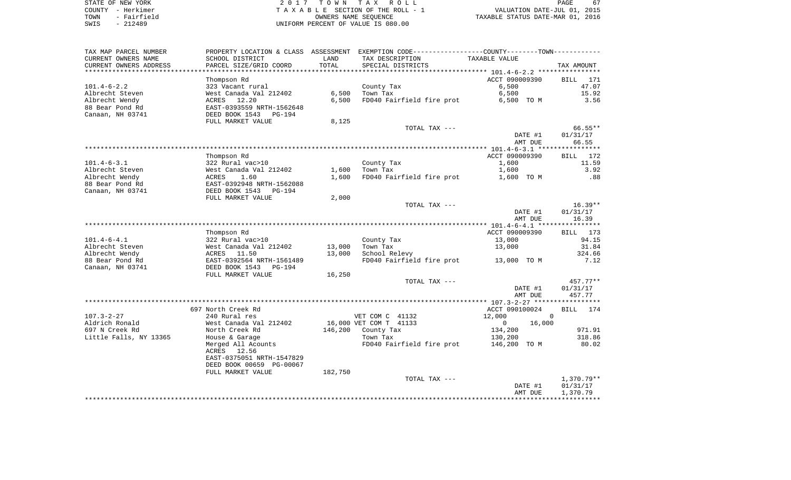| STATE OF NEW YORK |           |             |  |
|-------------------|-----------|-------------|--|
| COUNTY - Herkimer |           |             |  |
| TOWN              |           | - Fairfield |  |
| SWIS              | $-212489$ |             |  |

2017 TOWN TAX ROLL TA X A B L E SECTION OF THE ROLL - 1 TOWN - Fairfield OWNERS NAME SEQUENCE TAXABLE STATUS DATE-MAR 01, 2016 SWIS - 212489 UNIFORM PERCENT OF VALUE IS 080.00

| TAX MAP PARCEL NUMBER  | PROPERTY LOCATION & CLASS ASSESSMENT EXEMPTION CODE----------------COUNTY-------TOWN---------- |         |                           |                          |                          |
|------------------------|------------------------------------------------------------------------------------------------|---------|---------------------------|--------------------------|--------------------------|
| CURRENT OWNERS NAME    | SCHOOL DISTRICT                                                                                | LAND    | TAX DESCRIPTION           | TAXABLE VALUE            |                          |
| CURRENT OWNERS ADDRESS | PARCEL SIZE/GRID COORD                                                                         | TOTAL   | SPECIAL DISTRICTS         |                          | TAX AMOUNT               |
|                        |                                                                                                |         |                           |                          |                          |
|                        | Thompson Rd                                                                                    |         |                           | ACCT 090009390           | <b>BILL</b> 171          |
| $101.4 - 6 - 2.2$      | 323 Vacant rural                                                                               |         | County Tax                | 6,500                    | 47.07                    |
| Albrecht Steven        | West Canada Val 212402                                                                         | 6,500   | Town Tax                  | 6,500                    | 15.92                    |
| Albrecht Wendy         | ACRES 12.20                                                                                    | 6,500   | FD040 Fairfield fire prot | 6,500 TO M               | 3.56                     |
| 88 Bear Pond Rd        | EAST-0393559 NRTH-1562648                                                                      |         |                           |                          |                          |
| Canaan, NH 03741       | DEED BOOK 1543<br>PG-194                                                                       |         |                           |                          |                          |
|                        | FULL MARKET VALUE                                                                              | 8,125   |                           |                          |                          |
|                        |                                                                                                |         | TOTAL TAX ---             |                          | 66.55**                  |
|                        |                                                                                                |         |                           | DATE #1                  | 01/31/17                 |
|                        |                                                                                                |         |                           | AMT DUE                  | 66.55                    |
|                        |                                                                                                |         |                           |                          |                          |
|                        |                                                                                                |         |                           | ACCT 090009390           |                          |
|                        | Thompson Rd                                                                                    |         |                           |                          | BILL 172                 |
| $101.4 - 6 - 3.1$      | 322 Rural vac>10                                                                               |         | County Tax                | 1,600                    | 11.59                    |
| Albrecht Steven        | West Canada Val 212402                                                                         | 1,600   | Town Tax                  | 1,600                    | 3.92                     |
| Albrecht Wendy         | ACRES<br>1.60                                                                                  | 1,600   | FD040 Fairfield fire prot | 1,600 TO M               | .88                      |
| 88 Bear Pond Rd        | EAST-0392948 NRTH-1562088                                                                      |         |                           |                          |                          |
| Canaan, NH 03741       | DEED BOOK 1543<br>PG-194                                                                       |         |                           |                          |                          |
|                        | FULL MARKET VALUE                                                                              | 2,000   |                           |                          |                          |
|                        |                                                                                                |         | TOTAL TAX ---             |                          | $16.39**$                |
|                        |                                                                                                |         |                           | DATE #1                  | 01/31/17                 |
|                        |                                                                                                |         |                           | AMT DUE                  | 16.39                    |
|                        |                                                                                                |         |                           |                          |                          |
|                        | Thompson Rd                                                                                    |         |                           | ACCT 090009390           | BILL 173                 |
| $101.4 - 6 - 4.1$      | 322 Rural vac>10                                                                               |         | County Tax                | 13,000                   | 94.15                    |
| Albrecht Steven        | West Canada Val 212402                                                                         | 13,000  | Town Tax                  | 13,000                   | 31.84                    |
| Albrecht Wendy         | ACRES 11.50                                                                                    | 13,000  | School Relevy             |                          | 324.66                   |
| 88 Bear Pond Rd        | EAST-0392564 NRTH-1561489                                                                      |         | FD040 Fairfield fire prot | 13,000 TO M              | 7.12                     |
| Canaan, NH 03741       | DEED BOOK 1543<br>PG-194                                                                       |         |                           |                          |                          |
|                        | FULL MARKET VALUE                                                                              | 16,250  |                           |                          |                          |
|                        |                                                                                                |         | TOTAL TAX ---             |                          | 457.77**                 |
|                        |                                                                                                |         |                           | DATE #1                  | 01/31/17                 |
|                        |                                                                                                |         |                           | AMT DUE                  | 457.77                   |
|                        |                                                                                                |         |                           |                          |                          |
|                        | 697 North Creek Rd                                                                             |         |                           | ACCT 090100024           | BILL 174                 |
| $107.3 - 2 - 27$       | 240 Rural res                                                                                  |         | VET COM C 41132           | 12,000                   | $\mathbf 0$              |
| Aldrich Ronald         | West Canada Val 212402                                                                         |         | 16,000 VET COM T 41133    | $\overline{0}$<br>16,000 |                          |
| 697 N Creek Rd         | North Creek Rd                                                                                 |         | 146,200 County Tax        | 134,200                  | 971.91                   |
| Little Falls, NY 13365 | House & Garage                                                                                 |         | Town Tax                  | 130,200                  | 318.86                   |
|                        | Merged All Acounts                                                                             |         | FD040 Fairfield fire prot | 146,200 TO M             | 80.02                    |
|                        | ACRES<br>12.56                                                                                 |         |                           |                          |                          |
|                        | EAST-0375051 NRTH-1547829                                                                      |         |                           |                          |                          |
|                        |                                                                                                |         |                           |                          |                          |
|                        | DEED BOOK 00659 PG-00067                                                                       |         |                           |                          |                          |
|                        | FULL MARKET VALUE                                                                              | 182,750 |                           |                          |                          |
|                        |                                                                                                |         | TOTAL TAX ---             | DATE #1                  | $1,370.79**$<br>01/31/17 |
|                        |                                                                                                |         |                           |                          |                          |
|                        |                                                                                                |         |                           | AMT DUE                  | 1,370.79                 |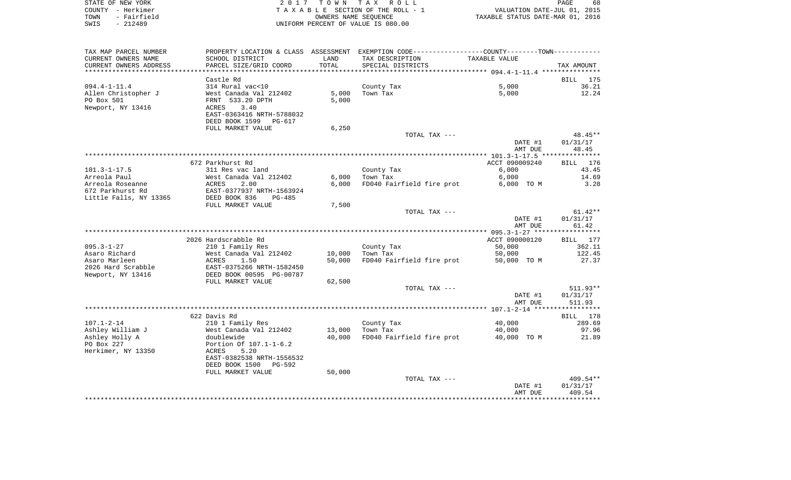| STATE OF NEW YORK   | 2017 TOWN TAX ROLL                 | 68<br><b>PAGE</b>                |
|---------------------|------------------------------------|----------------------------------|
| COUNTY - Herkimer   | TAXABLE SECTION OF THE ROLL - 1    | VALUATION DATE-JUL 01, 2015      |
| - Fairfield<br>TOWN | OWNERS NAME SEOUENCE               | TAXABLE STATUS DATE-MAR 01, 2016 |
| - 212489<br>SWIS    | UNIFORM PERCENT OF VALUE IS 080.00 |                                  |

| TAX MAP PARCEL NUMBER  |                           |        | PROPERTY LOCATION & CLASS ASSESSMENT EXEMPTION CODE-----------------COUNTY-------TOWN- |                |             |
|------------------------|---------------------------|--------|----------------------------------------------------------------------------------------|----------------|-------------|
| CURRENT OWNERS NAME    | SCHOOL DISTRICT           | LAND   | TAX DESCRIPTION                                                                        | TAXABLE VALUE  |             |
| CURRENT OWNERS ADDRESS | PARCEL SIZE/GRID COORD    | TOTAL  | SPECIAL DISTRICTS                                                                      |                | TAX AMOUNT  |
|                        |                           |        |                                                                                        |                |             |
|                        | Castle Rd                 |        |                                                                                        |                | BILL 175    |
| $094.4 - 1 - 11.4$     | 314 Rural vac<10          |        | County Tax                                                                             | 5,000          | 36.21       |
| Allen Christopher J    | West Canada Val 212402    | 5,000  | Town Tax                                                                               | 5,000          | 12.24       |
| PO Box 501             | FRNT 533.20 DPTH          | 5,000  |                                                                                        |                |             |
| Newport, NY 13416      | 3.40<br>ACRES             |        |                                                                                        |                |             |
|                        | EAST-0363416 NRTH-5788032 |        |                                                                                        |                |             |
|                        | DEED BOOK 1599 PG-617     |        |                                                                                        |                |             |
|                        | FULL MARKET VALUE         | 6,250  |                                                                                        |                |             |
|                        |                           |        | TOTAL TAX ---                                                                          |                | 48.45**     |
|                        |                           |        |                                                                                        | DATE #1        | 01/31/17    |
|                        |                           |        |                                                                                        | AMT DUE        | 48.45       |
|                        |                           |        |                                                                                        |                | *********** |
|                        | 672 Parkhurst Rd          |        |                                                                                        | ACCT 090009240 | BILL 176    |
| $101.3 - 1 - 17.5$     | 311 Res vac land          |        | County Tax                                                                             | 6,000          | 43.45       |
| Arreola Paul           | West Canada Val 212402    | 6,000  | Town Tax                                                                               | 6,000          | 14.69       |
| Arreola Roseanne       | 2.00<br>ACRES             | 6.000  | FD040 Fairfield fire prot                                                              | 6,000 TO M     | 3.28        |
| 672 Parkhurst Rd       | EAST-0377937 NRTH-1563924 |        |                                                                                        |                |             |
| Little Falls, NY 13365 | DEED BOOK 836<br>$PG-485$ |        |                                                                                        |                |             |
|                        | FULL MARKET VALUE         | 7,500  |                                                                                        |                |             |
|                        |                           |        | TOTAL TAX ---                                                                          |                | $61.42**$   |
|                        |                           |        |                                                                                        | DATE #1        | 01/31/17    |
|                        |                           |        |                                                                                        | AMT DUE        | 61.42       |
|                        |                           |        |                                                                                        |                |             |
|                        | 2026 Hardscrabble Rd      |        |                                                                                        | ACCT 090000120 | BILL 177    |
| $095.3 - 1 - 27$       | 210 1 Family Res          |        | County Tax                                                                             | 50,000         | 362.11      |
| Asaro Richard          | West Canada Val 212402    | 10,000 | Town Tax                                                                               | 50,000         | 122.45      |
| Asaro Marleen          | ACRES<br>1.50             | 50,000 | FD040 Fairfield fire prot                                                              | 50,000 TO M    | 27.37       |
| 2026 Hard Scrabble     | EAST-0375266 NRTH-1582450 |        |                                                                                        |                |             |
| Newport, NY 13416      | DEED BOOK 00595 PG-00787  |        |                                                                                        |                |             |
|                        | FULL MARKET VALUE         | 62,500 |                                                                                        |                |             |
|                        |                           |        | TOTAL TAX ---                                                                          |                | $511.93**$  |
|                        |                           |        |                                                                                        | DATE #1        | 01/31/17    |
|                        |                           |        |                                                                                        | AMT DUE        | 511.93      |
|                        |                           |        |                                                                                        |                |             |
|                        | 622 Davis Rd              |        |                                                                                        |                | BILL 178    |
| $107.1 - 2 - 14$       | 210 1 Family Res          |        | County Tax                                                                             | 40,000         | 289.69      |
| Ashley William J       | West Canada Val 212402    | 13,000 | Town Tax                                                                               | 40,000         | 97.96       |
| Ashley Holly A         | doublewide                | 40,000 | FD040 Fairfield fire prot                                                              | 40,000 TO M    | 21.89       |
| PO Box 227             | Portion Of 107.1-1-6.2    |        |                                                                                        |                |             |
| Herkimer, NY 13350     | <b>ACRES</b><br>5.20      |        |                                                                                        |                |             |
|                        | EAST-0382538 NRTH-1556532 |        |                                                                                        |                |             |
|                        | DEED BOOK 1500<br>PG-592  |        |                                                                                        |                |             |
|                        | FULL MARKET VALUE         | 50,000 |                                                                                        |                |             |
|                        |                           |        | TOTAL TAX ---                                                                          |                | 409.54**    |
|                        |                           |        |                                                                                        | DATE #1        | 01/31/17    |
|                        |                           |        |                                                                                        | AMT DUE        | 409.54      |
|                        |                           |        |                                                                                        |                |             |
|                        |                           |        |                                                                                        |                |             |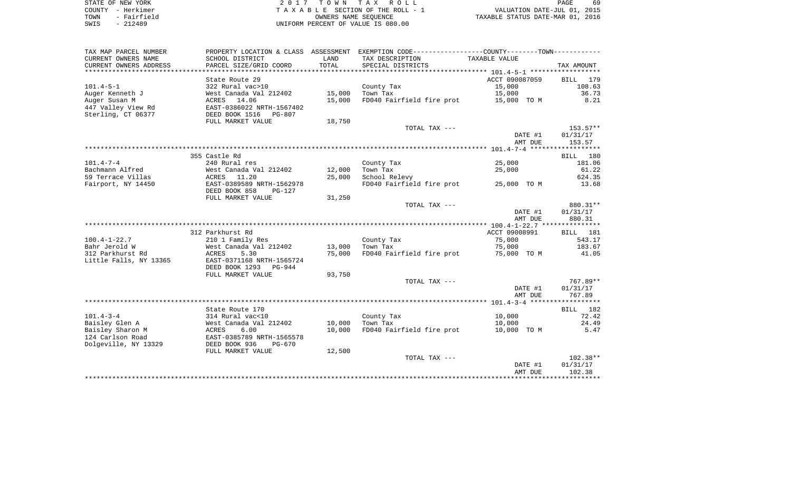| STATE OF NEW YORK |           |             |  |
|-------------------|-----------|-------------|--|
| COUNTY - Herkimer |           |             |  |
| TOWN              |           | - Fairfield |  |
| SWTS              | $-212489$ |             |  |

2017 TOWN TAX ROLL TA X A B L E SECTION OF THE ROLL - 1 TOWN - THE ROLL - 1<br>
TAXABLE STATUS DATE-JUL 01, 2015<br>
TAXABLE STATUS DATE-MAR 01, 2016 SWIS - 212489 UNIFORM PERCENT OF VALUE IS 080.00

PAGE 69

| TAX MAP PARCEL NUMBER  |                                 |        | PROPERTY LOCATION & CLASS ASSESSMENT EXEMPTION CODE----------------COUNTY-------TOWN---------- |                |                    |
|------------------------|---------------------------------|--------|------------------------------------------------------------------------------------------------|----------------|--------------------|
| CURRENT OWNERS NAME    | SCHOOL DISTRICT                 | LAND   | TAX DESCRIPTION                                                                                | TAXABLE VALUE  |                    |
| CURRENT OWNERS ADDRESS | PARCEL SIZE/GRID COORD          | TOTAL  | SPECIAL DISTRICTS                                                                              |                | TAX AMOUNT         |
| ******************     | *******************             |        |                                                                                                |                |                    |
|                        | State Route 29                  |        |                                                                                                | ACCT 090087059 | 179<br><b>BILL</b> |
| $101.4 - 5 - 1$        | 322 Rural vac>10                |        | County Tax                                                                                     | 15,000         | 108.63             |
| Auger Kenneth J        | West Canada Val 212402          | 15,000 | Town Tax                                                                                       | 15,000         | 36.73              |
| Auger Susan M          | 14.06<br>ACRES                  | 15,000 | FD040 Fairfield fire prot                                                                      | 15,000 TO M    | 8.21               |
| 447 Valley View Rd     | EAST-0386022 NRTH-1567402       |        |                                                                                                |                |                    |
| Sterling, CT 06377     | DEED BOOK 1516<br><b>PG-807</b> |        |                                                                                                |                |                    |
|                        | FULL MARKET VALUE               | 18,750 |                                                                                                |                |                    |
|                        |                                 |        | TOTAL TAX ---                                                                                  |                | 153.57**           |
|                        |                                 |        |                                                                                                |                |                    |
|                        |                                 |        |                                                                                                | DATE #1        | 01/31/17           |
|                        |                                 |        |                                                                                                | AMT DUE        | 153.57             |
|                        |                                 |        |                                                                                                |                |                    |
|                        | 355 Castle Rd                   |        |                                                                                                |                | BILL 180           |
| $101.4 - 7 - 4$        | 240 Rural res                   |        | County Tax                                                                                     | 25,000         | 181.06             |
| Bachmann Alfred        | West Canada Val 212402          | 12,000 | Town Tax                                                                                       | 25,000         | 61.22              |
| 59 Terrace Villas      | ACRES<br>11.20                  | 25,000 | School Relevy                                                                                  |                | 624.35             |
| Fairport, NY 14450     | EAST-0389589 NRTH-1562978       |        | FD040 Fairfield fire prot                                                                      | 25,000 TO M    | 13.68              |
|                        | DEED BOOK 858<br>$PG-127$       |        |                                                                                                |                |                    |
|                        | FULL MARKET VALUE               | 31,250 |                                                                                                |                |                    |
|                        |                                 |        | TOTAL TAX ---                                                                                  |                | 880.31**           |
|                        |                                 |        |                                                                                                | DATE #1        | 01/31/17           |
|                        |                                 |        |                                                                                                | AMT DUE        | 880.31             |
|                        |                                 |        |                                                                                                |                |                    |
|                        | 312 Parkhurst Rd                |        |                                                                                                | ACCT 09008991  | BILL 181           |
| $100.4 - 1 - 22.7$     | 210 1 Family Res                |        | County Tax                                                                                     | 75,000         | 543.17             |
| Bahr Jerold W          | West Canada Val 212402          | 13,000 | Town Tax                                                                                       | 75,000         | 183.67             |
| 312 Parkhurst Rd       | ACRES<br>5.30                   | 75,000 | FD040 Fairfield fire prot                                                                      | 75,000 TO M    | 41.05              |
| Little Falls, NY 13365 | EAST-0371168 NRTH-1565724       |        |                                                                                                |                |                    |
|                        | DEED BOOK 1293<br>PG-944        |        |                                                                                                |                |                    |
|                        | FULL MARKET VALUE               | 93,750 |                                                                                                |                |                    |
|                        |                                 |        | TOTAL TAX ---                                                                                  |                | 767.89**           |
|                        |                                 |        |                                                                                                | DATE #1        | 01/31/17           |
|                        |                                 |        |                                                                                                | AMT DUE        | 767.89             |
|                        |                                 |        |                                                                                                |                |                    |
|                        | State Route 170                 |        |                                                                                                |                | BILL 182           |
| $101.4 - 3 - 4$        | 314 Rural vac<10                |        | County Tax                                                                                     | 10,000         | 72.42              |
| Baisley Glen A         | West Canada Val 212402          | 10,000 | Town Tax                                                                                       | 10,000         | 24.49              |
| Baisley Sharon M       | 6.00<br>ACRES                   | 10,000 | FD040 Fairfield fire prot                                                                      | 10,000 TO M    | 5.47               |
| 124 Carlson Road       | EAST-0385789 NRTH-1565578       |        |                                                                                                |                |                    |
| Dolgeville, NY 13329   | DEED BOOK 936<br>$PG-670$       |        |                                                                                                |                |                    |
|                        | FULL MARKET VALUE               | 12,500 |                                                                                                |                |                    |
|                        |                                 |        | TOTAL TAX ---                                                                                  |                | $102.38**$         |
|                        |                                 |        |                                                                                                | DATE #1        | 01/31/17           |
|                        |                                 |        |                                                                                                | AMT DUE        | 102.38             |
|                        |                                 |        |                                                                                                |                |                    |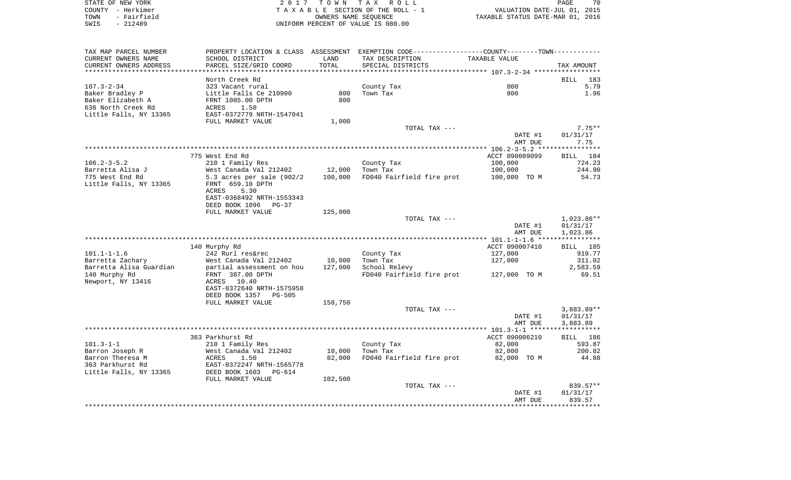| STATE OF NEW YORK<br>- Herkimer<br>COUNTY<br>- Fairfield<br>TOWN<br>SWIS<br>$-212489$ |                                                                        |                             | 2017 TOWN TAX ROLL<br>TAXABLE SECTION OF THE ROLL - 1<br>OWNERS NAME SEOUENCE<br>UNIFORM PERCENT OF VALUE IS 080.00 | TAXABLE STATUS DATE-MAR 01, 2016 | PAGE<br>VALUATION DATE-JUL 01, 2015 | 70         |
|---------------------------------------------------------------------------------------|------------------------------------------------------------------------|-----------------------------|---------------------------------------------------------------------------------------------------------------------|----------------------------------|-------------------------------------|------------|
| TAX MAP PARCEL NUMBER<br>CURRENT OWNERS NAME<br>CURRENT OWNERS ADDRESS                | PROPERTY LOCATION & CLASS<br>SCHOOL DISTRICT<br>PARCEL SIZE/GRID COORD | ASSESSMENT<br>LAND<br>TOTAL | EXEMPTION CODE-----------------COUNTY--------TOWN-----------<br>TAX DESCRIPTION<br>SPECIAL DISTRICTS                | TAXABLE VALUE                    |                                     | TAX AMOUNT |

|                         | North Creek Rd                  |         |                           |                                     | BILL<br>183        |
|-------------------------|---------------------------------|---------|---------------------------|-------------------------------------|--------------------|
| $107.3 - 2 - 34$        | 323 Vacant rural                |         | County Tax                | 800                                 | 5.79               |
| Baker Bradley P         | Little Falls Ce 210900          | 800     | Town Tax                  | 800                                 | 1.96               |
| Baker Elizabeth A       | FRNT 1085.00 DPTH               | 800     |                           |                                     |                    |
| 636 North Creek Rd      | 1.50<br>ACRES                   |         |                           |                                     |                    |
| Little Falls, NY 13365  | EAST-0372779 NRTH-1547041       |         |                           |                                     |                    |
|                         | FULL MARKET VALUE               | 1,000   |                           |                                     |                    |
|                         |                                 |         | TOTAL TAX ---             |                                     | $7.75**$           |
|                         |                                 |         |                           | DATE #1                             |                    |
|                         |                                 |         |                           |                                     | 01/31/17           |
|                         |                                 |         |                           | AMT DUE                             | 7.75               |
|                         |                                 |         |                           | $106.2 - 3 - 5.2$ ***************** |                    |
|                         | 775 West End Rd                 |         |                           | ACCT 090089099                      | 184<br><b>BILL</b> |
| $106.2 - 3 - 5.2$       | 210 1 Family Res                |         | County Tax                | 100,000                             | 724.23             |
| Barretta Alisa J        | West Canada Val 212402          | 12,000  | Town Tax                  | 100,000                             | 244.90             |
| 775 West End Rd         | 5.3 acres per sale (902/2       | 100,000 | FD040 Fairfield fire prot | 100,000 TO M                        | 54.73              |
| Little Falls, NY 13365  | FRNT 659.10 DPTH                |         |                           |                                     |                    |
|                         | 5.30<br>ACRES                   |         |                           |                                     |                    |
|                         | EAST-0368492 NRTH-1553343       |         |                           |                                     |                    |
|                         | DEED BOOK 1096<br>$PG-37$       |         |                           |                                     |                    |
|                         | FULL MARKET VALUE               | 125,000 |                           |                                     |                    |
|                         |                                 |         | TOTAL TAX ---             |                                     | 1,023.86**         |
|                         |                                 |         |                           | DATE #1                             | 01/31/17           |
|                         |                                 |         |                           | AMT DUE                             | 1,023.86           |
|                         |                                 |         | ***************           | $101.1 - 1 - 1.6$ ***************** |                    |
|                         | 140 Murphy Rd                   |         |                           | ACCT 090007410                      | <b>BILL</b><br>185 |
| $101.1 - 1 - 1.6$       | 242 Rurl res&rec                |         | County Tax                | 127,000                             | 919.77             |
| Barretta Zachary        | West Canada Val 212402          | 10,000  | Town Tax                  | 127,000                             | 311.02             |
| Barretta Alisa Guardian | partial assessment on hou       | 127,000 | School Relevy             |                                     | 2,583.59           |
| 140 Murphy Rd           | FRNT 387.00 DPTH                |         | FD040 Fairfield fire prot | 127,000 TO M                        | 69.51              |
| Newport, NY 13416       | <b>ACRES</b><br>10.40           |         |                           |                                     |                    |
|                         |                                 |         |                           |                                     |                    |
|                         | EAST-0372640 NRTH-1575958       |         |                           |                                     |                    |
|                         | DEED BOOK 1357<br><b>PG-505</b> |         |                           |                                     |                    |
|                         | FULL MARKET VALUE               | 158,750 |                           |                                     |                    |
|                         |                                 |         | TOTAL TAX ---             |                                     | $3,883.89**$       |
|                         |                                 |         |                           | DATE #1                             | 01/31/17           |
|                         |                                 |         |                           | AMT DUE                             | 3,883.89           |
|                         |                                 |         |                           | $101.3 - 1 - 1$ *******             | *****              |
|                         | 363 Parkhurst Rd                |         |                           | ACCT 090006210                      | 186<br>BILL        |
| $101.3 - 1 - 1$         | 210 1 Family Res                |         | County Tax                | 82,000                              | 593.87             |
| Barron Joseph R         | West Canada Val 212402          | 10,000  | Town Tax                  | 82,000                              | 200.82             |
| Barron Theresa M        | ACRES<br>1.50                   | 82,000  | FD040 Fairfield fire prot | 82,000 TO M                         | 44.88              |
| 363 Parkhurst Rd        | EAST-0372247 NRTH-1565778       |         |                           |                                     |                    |
| Little Falls, NY 13365  | DEED BOOK 1603<br><b>PG-614</b> |         |                           |                                     |                    |
|                         | FULL MARKET VALUE               | 102,500 |                           |                                     |                    |
|                         |                                 |         | TOTAL TAX ---             |                                     | 839.57**           |
|                         |                                 |         |                           | DATE #1                             | 01/31/17           |
|                         |                                 |         |                           | AMT DUE                             | 839.57             |
|                         |                                 |         |                           | ********************************    |                    |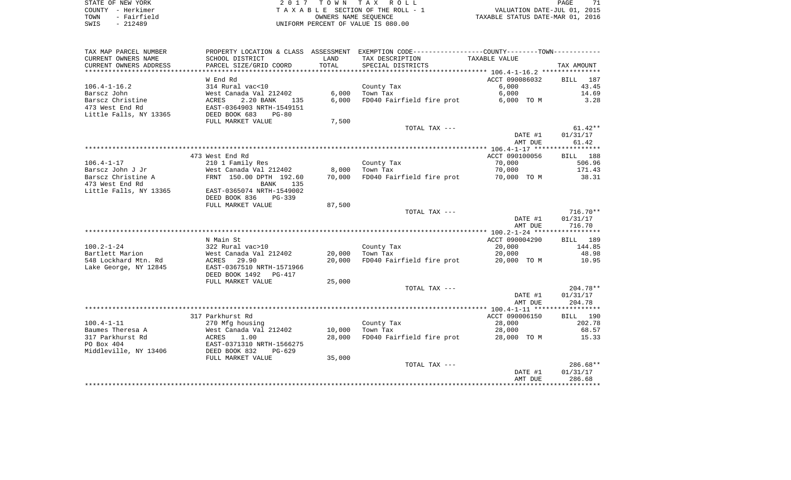|      | STATE OF NEW YORK |  |
|------|-------------------|--|
|      | COUNTY - Herkimer |  |
| TOWN | - Fairfield       |  |
| SWIS | $-212489$         |  |

2017 TOWN TAX ROLL TA X A B L E SECTION OF THE ROLL - 1 UNIFORM PERCENT OF VALUE IS 080.00

PAGE 71 TO A THE ROLL - 1 WALUATION DATE-JUL 01, 2015<br>
TAXABLE SECTION OF THE ROLL - 1 TAXABLE STATUS DATE-MAR 01, 2016

| TAX MAP PARCEL NUMBER          |                                            |                 | PROPERTY LOCATION & CLASS ASSESSMENT EXEMPTION CODE----------------COUNTY--------TOWN----------- |                          |                    |
|--------------------------------|--------------------------------------------|-----------------|--------------------------------------------------------------------------------------------------|--------------------------|--------------------|
| CURRENT OWNERS NAME            | SCHOOL DISTRICT                            | LAND            | TAX DESCRIPTION                                                                                  | TAXABLE VALUE            |                    |
| CURRENT OWNERS ADDRESS         | PARCEL SIZE/GRID COORD                     | TOTAL           | SPECIAL DISTRICTS                                                                                |                          | TAX AMOUNT         |
|                                |                                            |                 |                                                                                                  |                          |                    |
|                                | W End Rd                                   |                 |                                                                                                  | ACCT 090086032           | 187<br>BILL        |
| $106.4 - 1 - 16.2$             | 314 Rural vac<10                           |                 | County Tax                                                                                       | 6,000                    | 43.45              |
| Barscz John                    | West Canada Val 212402                     | 6,000           | Town Tax                                                                                         | 6,000                    | 14.69              |
| Barscz Christine               | 2.20 BANK<br>ACRES<br>135                  | 6.000           | FD040 Fairfield fire prot                                                                        | 6,000 TO M               | 3.28               |
| 473 West End Rd                | EAST-0364903 NRTH-1549151                  |                 |                                                                                                  |                          |                    |
| Little Falls, NY 13365         | DEED BOOK 683<br>$PG-80$                   |                 |                                                                                                  |                          |                    |
|                                | FULL MARKET VALUE                          | 7,500           |                                                                                                  |                          |                    |
|                                |                                            |                 | TOTAL TAX ---                                                                                    |                          | $61.42**$          |
|                                |                                            |                 |                                                                                                  | DATE #1                  | 01/31/17           |
|                                |                                            |                 |                                                                                                  | AMT DUE                  | 61.42              |
|                                |                                            |                 |                                                                                                  |                          |                    |
| $106.4 - 1 - 17$               | 473 West End Rd<br>210 1 Family Res        |                 | County Tax                                                                                       | ACCT 090100056<br>70,000 | BILL 188<br>506.96 |
| Barscz John J Jr               | West Canada Val 212402                     |                 | Town Tax                                                                                         | 70,000                   | 171.43             |
| Barscz Christine A             | FRNT 150.00 DPTH 192.60                    | 8,000<br>70,000 | FD040 Fairfield fire prot 70,000 TO M                                                            |                          | 38.31              |
| 473 West End Rd                | BANK<br>135                                |                 |                                                                                                  |                          |                    |
| Little Falls, NY 13365         | EAST-0365074 NRTH-1549002                  |                 |                                                                                                  |                          |                    |
|                                | DEED BOOK 836<br>PG-339                    |                 |                                                                                                  |                          |                    |
|                                | FULL MARKET VALUE                          | 87,500          |                                                                                                  |                          |                    |
|                                |                                            |                 | TOTAL TAX ---                                                                                    |                          | $716.70**$         |
|                                |                                            |                 |                                                                                                  | DATE #1                  | 01/31/17           |
|                                |                                            |                 |                                                                                                  | AMT DUE                  | 716.70             |
|                                |                                            |                 |                                                                                                  |                          |                    |
|                                | N Main St                                  |                 |                                                                                                  | ACCT 090004290           | BILL 189           |
| $100.2 - 1 - 24$               | 322 Rural vac>10                           |                 | County Tax                                                                                       | 20,000                   | 144.85             |
| Bartlett Marion                | West Canada Val 212402                     | 20,000          | Town Tax                                                                                         | 20,000                   | 48.98              |
| 548 Lockhard Mtn. Rd           | 29.90<br>ACRES                             | 20,000          | FD040 Fairfield fire prot                                                                        | 20,000 TO M              | 10.95              |
| Lake George, NY 12845          | EAST-0367510 NRTH-1571966                  |                 |                                                                                                  |                          |                    |
|                                | DEED BOOK 1492 PG-417                      |                 |                                                                                                  |                          |                    |
|                                | FULL MARKET VALUE                          | 25,000          |                                                                                                  |                          |                    |
|                                |                                            |                 | TOTAL TAX ---                                                                                    |                          | $204.78**$         |
|                                |                                            |                 |                                                                                                  | DATE #1                  | 01/31/17           |
|                                |                                            |                 |                                                                                                  | AMT DUE                  | 204.78             |
|                                |                                            |                 |                                                                                                  |                          |                    |
|                                | 317 Parkhurst Rd                           |                 |                                                                                                  | ACCT 090006150           | BILL 190           |
| $100.4 - 1 - 11$               | 270 Mfg housing                            |                 | County Tax                                                                                       | 28,000                   | 202.78             |
| Baumes Theresa A               | West Canada Val 212402                     | 10,000          | Town Tax                                                                                         | 28,000                   | 68.57              |
| 317 Parkhurst Rd<br>PO Box 404 | 1.00<br>ACRES<br>EAST-0371310 NRTH-1566275 | 28,000          | FD040 Fairfield fire prot                                                                        | 28,000 TO M              | 15.33              |
| Middleville, NY 13406          | DEED BOOK 832<br>$PG-629$                  |                 |                                                                                                  |                          |                    |
|                                | FULL MARKET VALUE                          | 35,000          |                                                                                                  |                          |                    |
|                                |                                            |                 | TOTAL TAX ---                                                                                    |                          | 286.68**           |
|                                |                                            |                 |                                                                                                  | DATE #1                  | 01/31/17           |
|                                |                                            |                 |                                                                                                  | AMT DUE                  | 286.68             |
|                                |                                            |                 |                                                                                                  |                          |                    |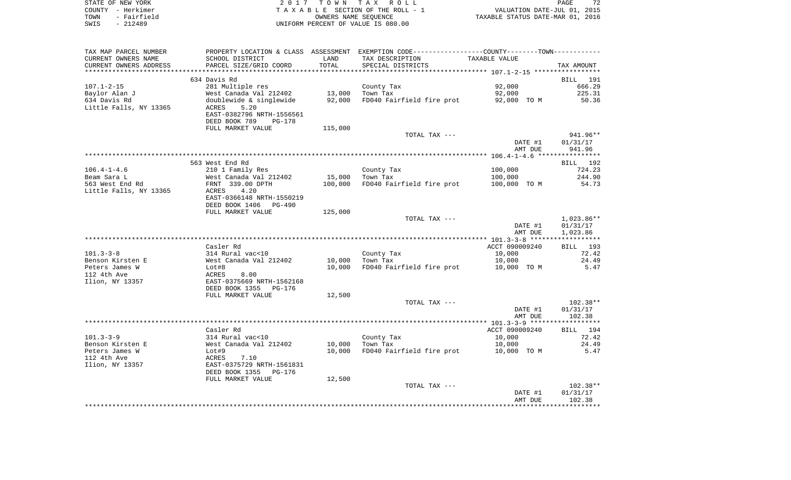| STATE OF NEW YORK   | 2017 TOWN TAX ROLL                 | 72<br>PAGE                       |
|---------------------|------------------------------------|----------------------------------|
| COUNTY - Herkimer   | TAXABLE SECTION OF THE ROLL - 1    | VALUATION DATE-JUL 01, 2015      |
| - Fairfield<br>TOWN | OWNERS NAME SEOUENCE               | TAXABLE STATUS DATE-MAR 01, 2016 |
| SWIS<br>- 212489    | UNIFORM PERCENT OF VALUE IS 080.00 |                                  |

| TAX MAP PARCEL NUMBER        | PROPERTY LOCATION & CLASS ASSESSMENT EXEMPTION CODE----------------COUNTY-------TOWN----------                          |         |                                                |                |              |
|------------------------------|-------------------------------------------------------------------------------------------------------------------------|---------|------------------------------------------------|----------------|--------------|
| CURRENT OWNERS NAME          | SCHOOL DISTRICT                                                                                                         | LAND    | TAX DESCRIPTION                                | TAXABLE VALUE  |              |
| CURRENT OWNERS ADDRESS       | PARCEL SIZE/GRID COORD                                                                                                  | TOTAL   | SPECIAL DISTRICTS                              |                | TAX AMOUNT   |
|                              |                                                                                                                         |         |                                                |                |              |
|                              | 634 Davis Rd                                                                                                            |         |                                                |                | BILL 191     |
| 107.1-2-15                   | 281 Multiple res                                                                                                        |         | County Tax                                     | 92,000         | 666.29       |
| Baylor Alan J                | West Canada Val 212402 13,000 Town Tax<br>doublewide & singlewide 92,000 FD040 Fai                                      |         |                                                | 92,000         | 225.31       |
| 634 Davis Rd                 |                                                                                                                         |         | FD040 Fairfield fire prot                      | 92,000 TO M    | 50.36        |
| Little Falls, NY 13365       | ACRES<br>5.20                                                                                                           |         |                                                |                |              |
|                              | EAST-0382796 NRTH-1556561                                                                                               |         |                                                |                |              |
|                              | DEED BOOK 789<br>PG-178                                                                                                 |         |                                                |                |              |
|                              | FULL MARKET VALUE                                                                                                       | 115,000 |                                                |                |              |
|                              |                                                                                                                         |         | TOTAL TAX ---                                  |                | 941.96**     |
|                              |                                                                                                                         |         |                                                | DATE #1        | 01/31/17     |
|                              |                                                                                                                         |         |                                                | AMT DUE        | 941.96       |
|                              |                                                                                                                         |         |                                                |                |              |
|                              | 563 West End Rd                                                                                                         |         |                                                |                | BILL 192     |
| 106.4-1-4.6                  | 210 1 Family Res                                                                                                        |         | County Tax                                     | 100,000        | 724.23       |
| Beam Sara L                  |                                                                                                                         |         | 15,000 Town Tax                                | 100,000        | 244.90       |
| 563 West End Rd              | West Canada Val 212402<br>FRNT 339.00 DPTH                                                                              |         | 100,000 FD040 Fairfield fire prot 100,000 TO M |                | 54.73        |
| Little Falls, NY 13365 ACRES | 4.20                                                                                                                    |         |                                                |                |              |
|                              | EAST-0366148 NRTH-1550219                                                                                               |         |                                                |                |              |
|                              | DEED BOOK 1406 PG-490                                                                                                   |         |                                                |                |              |
|                              | FULL MARKET VALUE                                                                                                       | 125,000 |                                                |                |              |
|                              |                                                                                                                         |         | TOTAL TAX ---                                  |                | $1,023.86**$ |
|                              |                                                                                                                         |         |                                                | DATE #1        | 01/31/17     |
|                              |                                                                                                                         |         |                                                | AMT DUE        | 1,023.86     |
|                              |                                                                                                                         |         |                                                |                |              |
|                              | Casler Rd                                                                                                               |         |                                                | ACCT 090009240 | BILL 193     |
| $101.3 - 3 - 8$              |                                                                                                                         |         | County Tax                                     | 10,000         | 72.42        |
| Benson Kirsten E             | 314 Rural vac<10<br>West Canada Val 212402                                                                              |         | 10,000 Town Tax                                | 10,000         | 24.49        |
| Peters James W               |                                                                                                                         |         | 10,000 FD040 Fairfield fire prot 10,000 TO M   |                | 5.47         |
| 112 4th Ave                  | Lot#8<br>ACRES 8.00<br>EAST-0375669 NRTH-1562168                                                                        |         |                                                |                |              |
| Ilion, NY 13357              |                                                                                                                         |         |                                                |                |              |
|                              | DEED BOOK 1355 PG-176                                                                                                   |         |                                                |                |              |
|                              | FULL MARKET VALUE                                                                                                       | 12,500  |                                                |                |              |
|                              |                                                                                                                         |         | TOTAL TAX ---                                  |                | $102.38**$   |
|                              |                                                                                                                         |         |                                                | DATE #1        | 01/31/17     |
|                              |                                                                                                                         |         |                                                | AMT DUE        | 102.38       |
|                              |                                                                                                                         |         |                                                |                |              |
|                              | Casler Rd                                                                                                               |         |                                                | ACCT 090009240 | BILL 194     |
| $101.3 - 3 - 9$              |                                                                                                                         |         | County Tax                                     | 10,000         | 72.42        |
| Benson Kirsten E             |                                                                                                                         |         | 10,000 Town Tax                                | 10,000         | 24.49        |
| Peters James W               |                                                                                                                         | 10,000  | FD040 Fairfield fire prot 10,000 TO M          |                | 5.47         |
| 112 4th Ave                  |                                                                                                                         |         |                                                |                |              |
| Ilion, NY 13357              | 314 Rural vac<10<br>West Canada Val 212402<br>Lot#9<br>ACRES 7.10<br>EAST-0375729 NRTH-1561831<br>DEED BOOK 1355 PG-176 |         |                                                |                |              |
|                              |                                                                                                                         |         |                                                |                |              |
|                              | FULL MARKET VALUE                                                                                                       | 12,500  |                                                |                |              |
|                              |                                                                                                                         |         | TOTAL TAX ---                                  |                | 102.38**     |
|                              |                                                                                                                         |         |                                                | DATE #1        | 01/31/17     |
|                              |                                                                                                                         |         |                                                | AMT DUE        | 102.38       |
|                              |                                                                                                                         |         |                                                |                |              |
|                              |                                                                                                                         |         |                                                |                |              |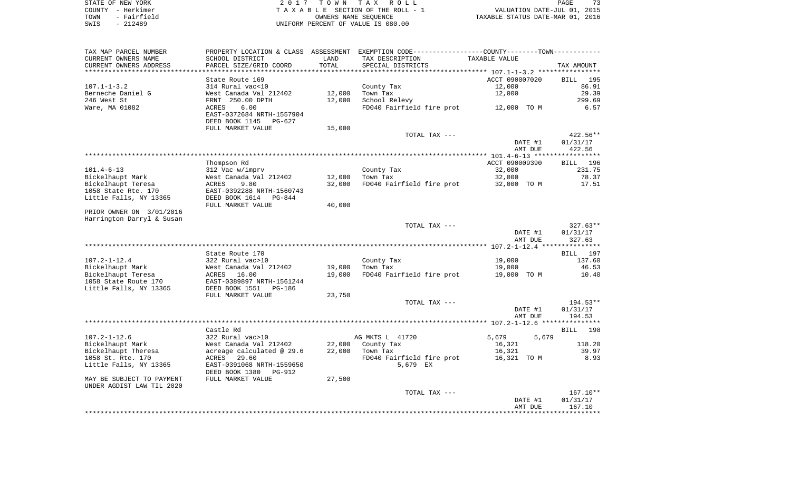| STATE OF NEW YORK   | 2017 TOWN TAX ROLL                 | 73<br>PAGE                       |
|---------------------|------------------------------------|----------------------------------|
| COUNTY - Herkimer   | TAXABLE SECTION OF THE ROLL - 1    | VALUATION DATE-JUL 01, 2015      |
| - Fairfield<br>TOWN | OWNERS NAME SEOUENCE               | TAXABLE STATUS DATE-MAR 01, 2016 |
| $-212489$<br>SWIS   | UNIFORM PERCENT OF VALUE IS 080.00 |                                  |

| TAX MAP PARCEL NUMBER<br>CURRENT OWNERS NAME           | PROPERTY LOCATION & CLASS ASSESSMENT<br>SCHOOL DISTRICT | LAND             | EXEMPTION CODE-----------------COUNTY-------TOWN-----------<br>TAX DESCRIPTION | TAXABLE VALUE  |                 |
|--------------------------------------------------------|---------------------------------------------------------|------------------|--------------------------------------------------------------------------------|----------------|-----------------|
| CURRENT OWNERS ADDRESS                                 | PARCEL SIZE/GRID COORD                                  | TOTAL            | SPECIAL DISTRICTS                                                              |                | TAX AMOUNT      |
|                                                        |                                                         | **********       |                                                                                |                |                 |
|                                                        | State Route 169                                         |                  |                                                                                | ACCT 090007020 | <b>BILL</b> 195 |
| $107.1 - 1 - 3.2$                                      | 314 Rural vac<10                                        |                  | County Tax                                                                     | 12,000         | 86.91           |
| Berneche Daniel G                                      | West Canada Val 212402                                  | 12,000           | Town Tax                                                                       | 12,000         | 29.39           |
| 246 West St                                            | FRNT 250.00 DPTH                                        | 12,000           | School Relevy                                                                  |                | 299.69          |
| Ware, MA 01082                                         | 6.00<br>ACRES                                           |                  | FD040 Fairfield fire prot                                                      | 12,000 TO M    | 6.57            |
|                                                        | EAST-0372684 NRTH-1557904                               |                  |                                                                                |                |                 |
|                                                        | DEED BOOK 1145<br>PG-627                                |                  |                                                                                |                |                 |
|                                                        | FULL MARKET VALUE                                       | 15,000           |                                                                                |                |                 |
|                                                        |                                                         |                  | TOTAL TAX ---                                                                  |                | 422.56**        |
|                                                        |                                                         |                  |                                                                                | DATE #1        | 01/31/17        |
|                                                        |                                                         |                  |                                                                                | AMT DUE        | 422.56          |
|                                                        |                                                         |                  |                                                                                |                |                 |
|                                                        | Thompson Rd                                             |                  |                                                                                | ACCT 090009390 | BILL 196        |
| $101.4 - 6 - 13$                                       | 312 Vac w/imprv                                         |                  | County Tax                                                                     | 32,000         | 231.75          |
| Bickelhaupt Mark                                       | West Canada Val 212402                                  | 12,000<br>32,000 | Town Tax                                                                       | 32,000         | 78.37           |
| Bickelhaupt Teresa<br>1058 State Rte. 170              | 9.80<br>ACRES                                           |                  | FD040 Fairfield fire prot                                                      | 32,000 TO M    | 17.51           |
| Little Falls, NY 13365                                 | EAST-0392288 NRTH-1560743<br>DEED BOOK 1614<br>PG-844   |                  |                                                                                |                |                 |
|                                                        | FULL MARKET VALUE                                       | 40,000           |                                                                                |                |                 |
| PRIOR OWNER ON 3/01/2016                               |                                                         |                  |                                                                                |                |                 |
| Harrington Darryl & Susan                              |                                                         |                  |                                                                                |                |                 |
|                                                        |                                                         |                  | TOTAL TAX ---                                                                  |                | $327.63**$      |
|                                                        |                                                         |                  |                                                                                | DATE #1        | 01/31/17        |
|                                                        |                                                         |                  |                                                                                | AMT DUE        | 327.63          |
|                                                        |                                                         |                  |                                                                                |                |                 |
|                                                        | State Route 170                                         |                  |                                                                                |                | BILL 197        |
| $107.2 - 1 - 12.4$                                     | 322 Rural vac>10                                        |                  | County Tax                                                                     | 19,000         | 137.60          |
| Bickelhaupt Mark                                       | West Canada Val 212402                                  | 19,000           | Town Tax                                                                       | 19,000         | 46.53           |
| Bickelhaupt Teresa                                     | ACRES 16.00                                             | 19,000           | FD040 Fairfield fire prot                                                      | 19,000 TO M    | 10.40           |
| 1058 State Route 170                                   | EAST-0389897 NRTH-1561244                               |                  |                                                                                |                |                 |
| Little Falls, NY 13365                                 | DEED BOOK 1551<br>PG-186                                |                  |                                                                                |                |                 |
|                                                        | FULL MARKET VALUE                                       | 23,750           |                                                                                |                |                 |
|                                                        |                                                         |                  | TOTAL TAX ---                                                                  |                | $194.53**$      |
|                                                        |                                                         |                  |                                                                                | DATE #1        | 01/31/17        |
|                                                        |                                                         |                  |                                                                                | AMT DUE        | 194.53          |
|                                                        |                                                         |                  |                                                                                |                |                 |
|                                                        | Castle Rd                                               |                  |                                                                                |                | BILL 198        |
| $107.2 - 1 - 12.6$                                     | 322 Rural vac>10                                        |                  | AG MKTS L 41720                                                                | 5,679<br>5,679 |                 |
| Bickelhaupt Mark                                       | West Canada Val 212402                                  | 22,000           | County Tax                                                                     | 16,321         | 118.20          |
| Bickelhaupt Theresa                                    | acreage calculated @ 29.6                               | 22,000           | Town Tax                                                                       | 16,321         | 39.97           |
| 1058 St. Rte. 170                                      | ACRES<br>29.60                                          |                  | FD040 Fairfield fire prot                                                      | 16,321 TO M    | 8.93            |
| Little Falls, NY 13365                                 | EAST-0391068 NRTH-1559650                               |                  | 5,679 EX                                                                       |                |                 |
|                                                        | DEED BOOK 1380<br>PG-912                                |                  |                                                                                |                |                 |
| MAY BE SUBJECT TO PAYMENT<br>UNDER AGDIST LAW TIL 2020 | FULL MARKET VALUE                                       | 27,500           |                                                                                |                |                 |
|                                                        |                                                         |                  | TOTAL TAX ---                                                                  |                | $167.10**$      |
|                                                        |                                                         |                  |                                                                                | DATE #1        | 01/31/17        |
|                                                        |                                                         |                  |                                                                                | AMT DUE        | 167.10          |
|                                                        |                                                         |                  |                                                                                |                |                 |
|                                                        |                                                         |                  |                                                                                |                |                 |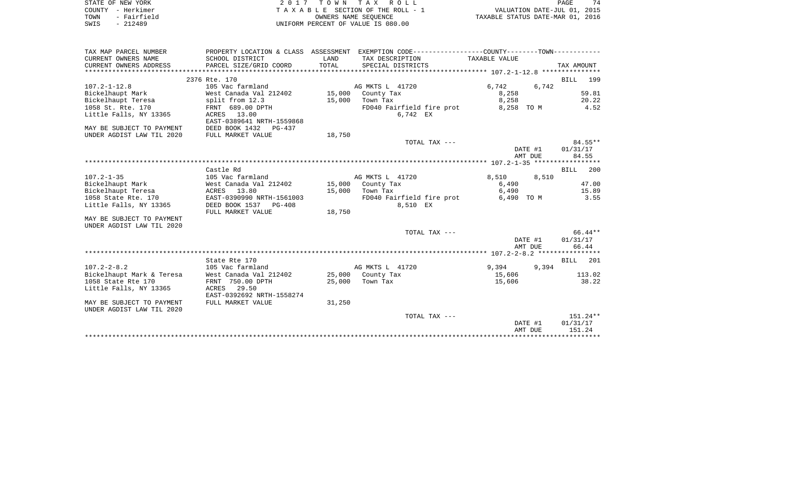| STATE OF NEW YORK   | 2017 TOWN TAX ROLL                 | 74<br>PAGE                       |
|---------------------|------------------------------------|----------------------------------|
| COUNTY - Herkimer   | TAXABLE SECTION OF THE ROLL - 1    | VALUATION DATE-JUL 01, 2015      |
| - Fairfield<br>TOWN | OWNERS NAME SEOUENCE               | TAXABLE STATUS DATE-MAR 01, 2016 |
| $-212489$<br>SWIS   | UNIFORM PERCENT OF VALUE IS 080.00 |                                  |

| TAX MAP PARCEL NUMBER     |                                          |        | PROPERTY LOCATION & CLASS ASSESSMENT EXEMPTION CODE---------------COUNTY-------TOWN---------- |               |                    |
|---------------------------|------------------------------------------|--------|-----------------------------------------------------------------------------------------------|---------------|--------------------|
| CURRENT OWNERS NAME       | SCHOOL DISTRICT                          | LAND   | TAX DESCRIPTION                                                                               | TAXABLE VALUE |                    |
| CURRENT OWNERS ADDRESS    |                                          |        |                                                                                               |               |                    |
|                           |                                          |        |                                                                                               |               |                    |
|                           | 2376 Rte. 170                            |        |                                                                                               |               | BILL 199           |
| $107.2 - 1 - 12.8$        | 105 Vac farmland                         |        | AG MKTS L 41720                                                                               | 6,742         | 6,742              |
| Bickelhaupt Mark          | West Canada Val 212402 15,000 County Tax |        |                                                                                               | 8,258         | 59.81              |
| Bickelhaupt Teresa        | split from 12.3                          | 15,000 | Town Tax                                                                                      | 8,258         | 20.22              |
| 1058 St. Rte. 170         | FRNT 689.00 DPTH                         |        | FD040 Fairfield fire prot                                                                     | 8,258 TO M    | 4.52               |
| Little Falls, NY 13365    | ACRES 13.00                              |        | 6,742 EX                                                                                      |               |                    |
|                           | EAST-0389641 NRTH-1559868                |        |                                                                                               |               |                    |
| MAY BE SUBJECT TO PAYMENT | DEED BOOK 1432 PG-437                    |        |                                                                                               |               |                    |
| UNDER AGDIST LAW TIL 2020 | FULL MARKET VALUE                        | 18,750 |                                                                                               |               |                    |
|                           |                                          |        | TOTAL TAX ---                                                                                 |               | $84.55**$          |
|                           |                                          |        |                                                                                               | DATE #1       | 01/31/17           |
|                           |                                          |        |                                                                                               | AMT DUE       | 84.55              |
|                           |                                          |        |                                                                                               |               |                    |
|                           | Castle Rd                                |        |                                                                                               |               | 200<br>BILL        |
| $107.2 - 1 - 35$          | 105 Vac farmland                         |        | AG MKTS L 41720                                                                               | 8,510 8,510   |                    |
| Bickelhaupt Mark          | West Canada Val 212402                   |        | 15,000 County Tax                                                                             | 6,490         | 47.00              |
| Bickelhaupt Teresa        | ACRES 13.80                              | 15,000 | Town Tax                                                                                      | 6,490         | 15.89              |
| 1058 State Rte. 170       | EAST-0390990 NRTH-1561003                |        | FD040 Fairfield fire prot                                                                     | 6,490 TO M    | 3.55               |
| Little Falls, NY 13365    | DEED BOOK 1537 PG-408                    |        | 8,510 EX                                                                                      |               |                    |
|                           | FULL MARKET VALUE                        | 18,750 |                                                                                               |               |                    |
| MAY BE SUBJECT TO PAYMENT |                                          |        |                                                                                               |               |                    |
| UNDER AGDIST LAW TIL 2020 |                                          |        |                                                                                               |               |                    |
|                           |                                          |        | TOTAL TAX ---                                                                                 |               | 66.44**            |
|                           |                                          |        |                                                                                               | DATE #1       | 01/31/17           |
|                           |                                          |        |                                                                                               | AMT DUE       | 66.44              |
|                           |                                          |        |                                                                                               |               |                    |
|                           | State Rte 170                            |        |                                                                                               |               | <b>BILL</b><br>201 |
| $107.2 - 2 - 8.2$         | 105 Vac farmland                         |        | AG MKTS L 41720                                                                               | 9,394         | 9,394              |
| Bickelhaupt Mark & Teresa | West Canada Val 212402                   |        | 25,000 County Tax                                                                             | 15,606        | 113.02             |
| 1058 State Rte 170        | FRNT 750.00 DPTH                         |        | 25,000 Town Tax                                                                               | 15,606        | 38.22              |
| Little Falls, NY 13365    | ACRES<br>29.50                           |        |                                                                                               |               |                    |
|                           | EAST-0392692 NRTH-1558274                |        |                                                                                               |               |                    |
| MAY BE SUBJECT TO PAYMENT | FULL MARKET VALUE                        | 31,250 |                                                                                               |               |                    |
| UNDER AGDIST LAW TIL 2020 |                                          |        |                                                                                               |               |                    |
|                           |                                          |        | TOTAL TAX ---                                                                                 |               | $151.24**$         |
|                           |                                          |        |                                                                                               | DATE #1       | 01/31/17           |
|                           |                                          |        |                                                                                               | AMT DUE       | 151.24             |
|                           |                                          |        |                                                                                               |               |                    |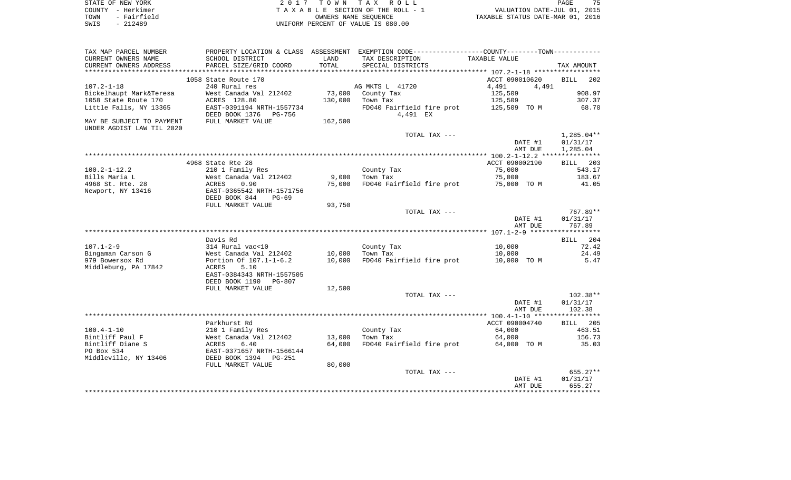| STATE OF NEW YORK   | 2017 TOWN TAX ROLL                 | 75<br><b>PAGE</b>                |
|---------------------|------------------------------------|----------------------------------|
| COUNTY - Herkimer   | TAXABLE SECTION OF THE ROLL - 1    | VALUATION DATE-JUL 01, 2015      |
| - Fairfield<br>TOWN | OWNERS NAME SEOUENCE               | TAXABLE STATUS DATE-MAR 01, 2016 |
| - 212489<br>SWIS    | UNIFORM PERCENT OF VALUE IS 080.00 |                                  |

| TAX MAP PARCEL NUMBER     |                                         |         | PROPERTY LOCATION & CLASS ASSESSMENT EXEMPTION CODE---------------COUNTY-------TOWN---------- |                  |                    |
|---------------------------|-----------------------------------------|---------|-----------------------------------------------------------------------------------------------|------------------|--------------------|
| CURRENT OWNERS NAME       | SCHOOL DISTRICT                         | LAND    | TAX DESCRIPTION                                                                               | TAXABLE VALUE    |                    |
| CURRENT OWNERS ADDRESS    | PARCEL SIZE/GRID COORD                  | TOTAL   | SPECIAL DISTRICTS                                                                             |                  | TAX AMOUNT         |
| **********************    | *****************************           |         |                                                                                               |                  |                    |
|                           | 1058 State Route 170                    |         |                                                                                               | ACCT 090010620   | 202<br>BILL        |
| $107.2 - 1 - 18$          | 240 Rural res                           |         | AG MKTS L 41720                                                                               | 4,491<br>4,491   |                    |
| Bickelhaupt Mark&Teresa   | West Canada Val 212402                  |         | 73,000 County Tax                                                                             | 125,509          | 908.97             |
| 1058 State Route 170      | ACRES 128.80                            | 130,000 | Town Tax                                                                                      | 125,509          | 307.37             |
| Little Falls, NY 13365    | EAST-0391194 NRTH-1557734               |         | FD040 Fairfield fire prot                                                                     | 125,509 TO M     | 68.70              |
|                           | DEED BOOK 1376<br>PG-756                |         | 4,491 EX                                                                                      |                  |                    |
| MAY BE SUBJECT TO PAYMENT | FULL MARKET VALUE                       | 162,500 |                                                                                               |                  |                    |
| UNDER AGDIST LAW TIL 2020 |                                         |         |                                                                                               |                  |                    |
|                           |                                         |         | TOTAL TAX ---                                                                                 |                  | 1,285.04**         |
|                           |                                         |         |                                                                                               | DATE #1          | 01/31/17           |
|                           |                                         |         |                                                                                               | AMT DUE          | 1,285.04           |
|                           |                                         |         |                                                                                               |                  |                    |
|                           | 4968 State Rte 28                       |         |                                                                                               | ACCT 090002190   | BILL 203           |
| $100.2 - 1 - 12.2$        | 210 1 Family Res                        |         | County Tax                                                                                    | 75,000           | 543.17             |
| Bills Maria L             | West Canada Val 212402                  | 9,000   | Town Tax                                                                                      | 75,000           | 183.67             |
| 4968 St. Rte. 28          | ACRES<br>0.90                           | 75,000  | FD040 Fairfield fire prot                                                                     | 75,000 TO M      | 41.05              |
| Newport, NY 13416         | EAST-0365542 NRTH-1571756               |         |                                                                                               |                  |                    |
|                           | DEED BOOK 844<br>$PG-69$                |         |                                                                                               |                  |                    |
|                           | FULL MARKET VALUE                       | 93,750  |                                                                                               |                  |                    |
|                           |                                         |         | TOTAL TAX ---                                                                                 |                  | 767.89**           |
|                           |                                         |         |                                                                                               | DATE #1          | 01/31/17<br>767.89 |
|                           |                                         |         |                                                                                               | AMT DUE          |                    |
|                           |                                         |         |                                                                                               |                  |                    |
| $107.1 - 2 - 9$           | Davis Rd<br>314 Rural vac<10            |         | County Tax                                                                                    |                  | BILL 204<br>72.42  |
| Bingaman Carson G         | West Canada Val 212402                  | 10,000  | Town Tax                                                                                      | 10,000<br>10,000 | 24.49              |
| 979 Bowersox Rd           | Portion Of 107.1-1-6.2                  |         | FD040 Fairfield fire prot                                                                     | 10,000 TO M      | 5.47               |
| Middleburg, PA 17842      | 5.10<br>ACRES                           | 10,000  |                                                                                               |                  |                    |
|                           | EAST-0384343 NRTH-1557505               |         |                                                                                               |                  |                    |
|                           | DEED BOOK 1190<br>PG-807                |         |                                                                                               |                  |                    |
|                           | FULL MARKET VALUE                       | 12,500  |                                                                                               |                  |                    |
|                           |                                         |         | TOTAL TAX ---                                                                                 |                  | $102.38**$         |
|                           |                                         |         |                                                                                               | DATE #1          | 01/31/17           |
|                           |                                         |         |                                                                                               | AMT DUE          | 102.38             |
|                           |                                         |         |                                                                                               |                  |                    |
|                           | Parkhurst Rd                            |         |                                                                                               | ACCT 090004740   | BILL 205           |
| $100.4 - 1 - 10$          | 210 1 Family Res                        |         | County Tax                                                                                    | 64,000           | 463.51             |
| Bintliff Paul F           | West Canada Val 212402                  | 13,000  | Town Tax                                                                                      | 64,000           | 156.73             |
| Bintliff Diane S          |                                         | 64,000  | FD040 Fairfield fire prot                                                                     | 64,000 TO M      | 35.03              |
| PO Box 534                | ACRES 6.40<br>EAST-0371657 NRTH-1566144 |         |                                                                                               |                  |                    |
| Middleville, NY 13406     | DEED BOOK 1394<br>PG-251                |         |                                                                                               |                  |                    |
|                           | FULL MARKET VALUE                       | 80,000  |                                                                                               |                  |                    |
|                           |                                         |         | TOTAL TAX ---                                                                                 |                  | 655.27**           |
|                           |                                         |         |                                                                                               | DATE #1          | 01/31/17           |
|                           |                                         |         |                                                                                               | AMT DUE          | 655.27             |
|                           |                                         |         |                                                                                               |                  |                    |
|                           |                                         |         |                                                                                               |                  |                    |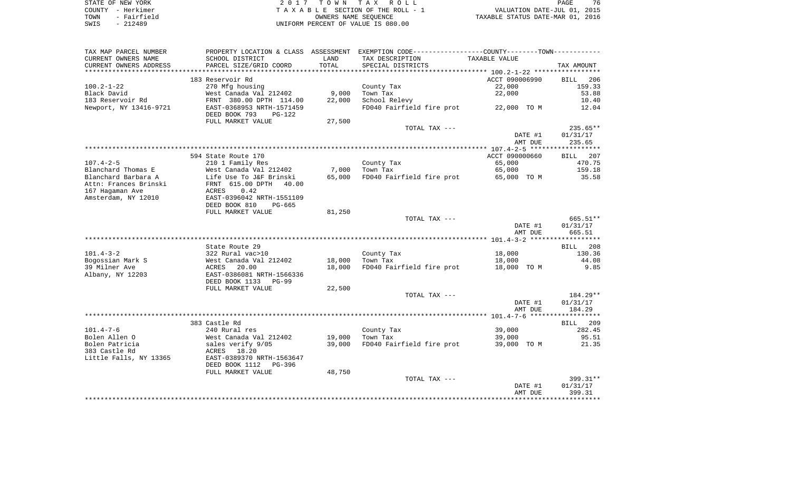|      | STATE OF NEW YORK | 2017 TOWN TAX ROLL                 | 76<br>PAGE                       |
|------|-------------------|------------------------------------|----------------------------------|
|      | COUNTY - Herkimer | TAXABLE SECTION OF THE ROLL - 1    | VALUATION DATE-JUL 01, 2015      |
| TOWN | - Fairfield       | OWNERS NAME SEOUENCE               | TAXABLE STATUS DATE-MAR 01, 2016 |
| SWIS | $-212489$         | UNIFORM PERCENT OF VALUE IS 080.00 |                                  |

|  | PAGE                           | 76 |  |
|--|--------------------------------|----|--|
|  | VALUATION DATE-JUL 01, 2015    |    |  |
|  | XABLE STATUS DATE-MAR 01, 2016 |    |  |

| TAX MAP PARCEL NUMBER   | PROPERTY LOCATION & CLASS ASSESSMENT |        | EXEMPTION CODE----------------COUNTY-------TOWN----------- |                |                 |
|-------------------------|--------------------------------------|--------|------------------------------------------------------------|----------------|-----------------|
| CURRENT OWNERS NAME     | SCHOOL DISTRICT                      | LAND   | TAX DESCRIPTION                                            | TAXABLE VALUE  |                 |
| CURRENT OWNERS ADDRESS  | PARCEL SIZE/GRID COORD               | TOTAL  | SPECIAL DISTRICTS                                          |                | TAX AMOUNT      |
| *********************** |                                      |        |                                                            |                |                 |
|                         | 183 Reservoir Rd                     |        |                                                            | ACCT 090006990 | BILL<br>206     |
| $100.2 - 1 - 22$        | 270 Mfg housing                      |        | County Tax                                                 | 22,000         | 159.33          |
| Black David             | West Canada Val 212402               | 9,000  | Town Tax                                                   | 22,000         | 53.88           |
| 183 Reservoir Rd        | FRNT 380.00 DPTH 114.00              | 22,000 | School Relevy                                              |                | 10.40           |
| Newport, NY 13416-9721  | EAST-0368953 NRTH-1571459            |        | FD040 Fairfield fire prot                                  | 22,000 TO M    | 12.04           |
|                         | DEED BOOK 793<br>$PG-122$            |        |                                                            |                |                 |
|                         | FULL MARKET VALUE                    | 27,500 |                                                            |                |                 |
|                         |                                      |        | TOTAL TAX ---                                              |                | 235.65**        |
|                         |                                      |        |                                                            | DATE #1        | 01/31/17        |
|                         |                                      |        |                                                            | AMT DUE        | 235.65          |
|                         |                                      |        |                                                            |                |                 |
|                         | 594 State Route 170                  |        |                                                            | ACCT 090000660 | 207<br>BILL     |
| $107.4 - 2 - 5$         | 210 1 Family Res                     |        | County Tax                                                 | 65,000         | 470.75          |
|                         |                                      |        |                                                            | 65,000         |                 |
| Blanchard Thomas E      | West Canada Val 212402               | 7,000  | Town Tax                                                   |                | 159.18          |
| Blanchard Barbara A     | Life Use To J&F Brinski              | 65,000 | FD040 Fairfield fire prot                                  | 65,000 TO M    | 35.58           |
| Attn: Frances Brinski   | FRNT 615.00 DPTH<br>40.00            |        |                                                            |                |                 |
| 167 Hagaman Ave         | ACRES<br>0.42                        |        |                                                            |                |                 |
| Amsterdam, NY 12010     | EAST-0396042 NRTH-1551109            |        |                                                            |                |                 |
|                         | DEED BOOK 810<br>PG-665              |        |                                                            |                |                 |
|                         | FULL MARKET VALUE                    | 81,250 |                                                            |                |                 |
|                         |                                      |        | TOTAL TAX ---                                              |                | 665.51**        |
|                         |                                      |        |                                                            | DATE #1        | 01/31/17        |
|                         |                                      |        |                                                            | AMT DUE        | 665.51          |
|                         |                                      |        |                                                            |                |                 |
|                         | State Route 29                       |        |                                                            |                | BILL 208        |
| $101.4 - 3 - 2$         | 322 Rural vac>10                     |        | County Tax                                                 | 18,000         | 130.36          |
| Bogossian Mark S        | West Canada Val 212402               | 18,000 | Town Tax                                                   | 18,000         | 44.08           |
| 39 Milner Ave           | 20.00<br>ACRES                       | 18,000 | FD040 Fairfield fire prot                                  | 18,000 TO M    | 9.85            |
| Albany, NY 12203        | EAST-0386081 NRTH-1566336            |        |                                                            |                |                 |
|                         | DEED BOOK 1133<br>PG-99              |        |                                                            |                |                 |
|                         | FULL MARKET VALUE                    | 22,500 |                                                            |                |                 |
|                         |                                      |        | TOTAL TAX ---                                              |                | $184.29**$      |
|                         |                                      |        |                                                            | DATE #1        | 01/31/17        |
|                         |                                      |        |                                                            | AMT DUE        | 184.29          |
|                         |                                      |        |                                                            |                |                 |
|                         | 383 Castle Rd                        |        |                                                            |                | <b>BILL</b> 209 |
| $101.4 - 7 - 6$         | 240 Rural res                        |        | County Tax                                                 | 39,000         | 282.45          |
| Bolen Allen O           | West Canada Val 212402               | 19,000 | Town Tax                                                   | 39,000         | 95.51           |
| Bolen Patricia          | sales verify 9/05                    | 39,000 | FD040 Fairfield fire prot                                  | 39,000 TO M    | 21.35           |
| 383 Castle Rd           | 18.20<br>ACRES                       |        |                                                            |                |                 |
| Little Falls, NY 13365  | EAST-0389370 NRTH-1563647            |        |                                                            |                |                 |
|                         | DEED BOOK 1112<br>PG-396             |        |                                                            |                |                 |
|                         | FULL MARKET VALUE                    | 48,750 |                                                            |                |                 |
|                         |                                      |        | TOTAL TAX ---                                              |                | 399.31**        |
|                         |                                      |        |                                                            | DATE #1        | 01/31/17        |
|                         |                                      |        |                                                            | AMT DUE        | 399.31          |
|                         |                                      |        |                                                            |                |                 |
|                         |                                      |        |                                                            |                |                 |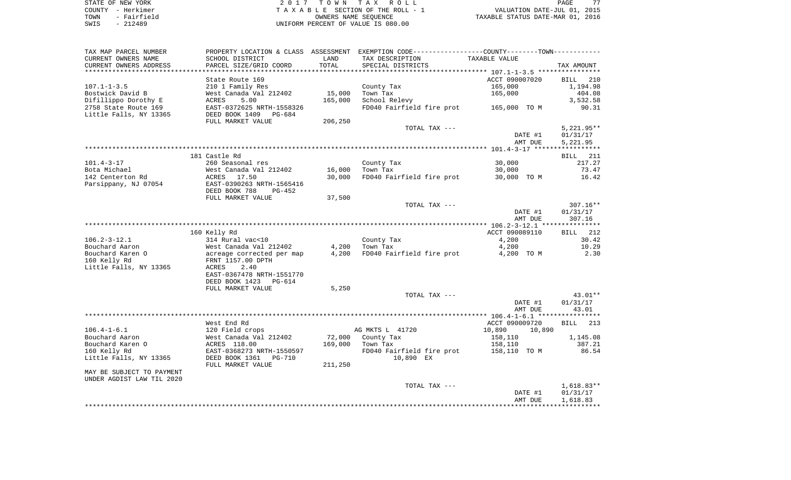| STATE OF NEW YORK   | 2017 TOWN TAX ROLL                 | 77<br>PAGE                       |
|---------------------|------------------------------------|----------------------------------|
| COUNTY - Herkimer   | TAXABLE SECTION OF THE ROLL - 1    | VALUATION DATE-JUL 01, 2015      |
| - Fairfield<br>TOWN | OWNERS NAME SEOUENCE               | TAXABLE STATUS DATE-MAR 01, 2016 |
| SWIS<br>- 212489    | UNIFORM PERCENT OF VALUE IS 080.00 |                                  |

| CURRENT OWNERS NAME<br>SCHOOL DISTRICT<br>LAND<br>TAX DESCRIPTION<br>TAXABLE VALUE<br>TOTAL<br>PARCEL SIZE/GRID COORD<br>SPECIAL DISTRICTS<br>TAX AMOUNT<br>ACCT 090007020<br>State Route 169<br><b>BILL</b><br>210<br>$107.1 - 1 - 3.5$<br>210 1 Family Res<br>1,194.98<br>County Tax<br>165,000<br>Bostwick David B<br>West Canada Val 212402<br>15,000<br>Town Tax<br>165,000<br>404.08<br>Difillippo Dorothy E<br>ACRES<br>5.00<br>165,000<br>School Relevy<br>3,532.58<br>FD040 Fairfield fire prot<br>2758 State Route 169<br>EAST-0372625 NRTH-1558326<br>90.31<br>165,000 TO M<br>Little Falls, NY 13365<br>DEED BOOK 1409<br>$PG-684$<br>FULL MARKET VALUE<br>206,250<br>TOTAL TAX ---<br>$5,221.95**$<br>DATE #1<br>01/31/17<br>5,221.95<br>AMT DUE<br>181 Castle Rd<br><b>BILL</b> 211<br>$101.4 - 3 - 17$<br>260 Seasonal res<br>County Tax<br>30,000<br>217.27<br>Bota Michael<br>West Canada Val 212402<br>16,000<br>Town Tax<br>30,000<br>73.47<br>142 Centerton Rd<br>ACRES<br>17.50<br>30,000<br>FD040 Fairfield fire prot<br>30,000 TO M<br>16.42<br>Parsippany, NJ 07054<br>EAST-0390263 NRTH-1565416<br>DEED BOOK 788<br>$PG-452$<br>FULL MARKET VALUE<br>37,500<br>307.16**<br>TOTAL TAX ---<br>DATE #1<br>01/31/17<br>AMT DUE<br>307.16<br>ACCT 090089110<br>BILL 212<br>160 Kelly Rd<br>$106.2 - 3 - 12.1$<br>314 Rural vac<10<br>County Tax<br>4,200<br>30.42<br>Bouchard Aaron<br>West Canada Val 212402<br>4,200<br>4,200<br>10.29<br>Town Tax<br>Bouchard Karen O<br>2.30<br>acreage corrected per map<br>4,200<br>FD040 Fairfield fire prot<br>4,200 TO M<br>FRNT 1157.00 DPTH<br>Little Falls, NY 13365<br>2.40<br>ACRES<br>EAST-0367478 NRTH-1551770<br>DEED BOOK 1423<br>$PG-614$<br>FULL MARKET VALUE<br>5,250<br>43.01**<br>TOTAL TAX ---<br>DATE #1<br>01/31/17<br>AMT DUE<br>43.01<br>*******<br>West End Rd<br>ACCT 090009720<br><b>BILL</b><br>213<br>120 Field crops<br>AG MKTS L 41720<br>10,890<br>10,890<br>Bouchard Aaron<br>West Canada Val 212402<br>72,000<br>1,145.08<br>County Tax<br>158,110<br>Bouchard Karen O<br>ACRES 118.00<br>169,000<br>387.21<br>Town Tax<br>158,110<br>160 Kelly Rd<br>EAST-0368273 NRTH-1550597<br>FD040 Fairfield fire prot<br>158,110 TO M<br>86.54<br>Little Falls, NY 13365<br>DEED BOOK 1361<br>10,890 EX<br><b>PG-710</b><br>211,250<br>FULL MARKET VALUE<br>MAY BE SUBJECT TO PAYMENT<br>UNDER AGDIST LAW TIL 2020<br>$1,618.83**$<br>TOTAL TAX ---<br>01/31/17<br>DATE #1<br>AMT DUE<br>1,618.83 | TAX MAP PARCEL NUMBER  | PROPERTY LOCATION & CLASS ASSESSMENT | EXEMPTION CODE-----------------COUNTY--------TOWN----------- |  |
|------------------------------------------------------------------------------------------------------------------------------------------------------------------------------------------------------------------------------------------------------------------------------------------------------------------------------------------------------------------------------------------------------------------------------------------------------------------------------------------------------------------------------------------------------------------------------------------------------------------------------------------------------------------------------------------------------------------------------------------------------------------------------------------------------------------------------------------------------------------------------------------------------------------------------------------------------------------------------------------------------------------------------------------------------------------------------------------------------------------------------------------------------------------------------------------------------------------------------------------------------------------------------------------------------------------------------------------------------------------------------------------------------------------------------------------------------------------------------------------------------------------------------------------------------------------------------------------------------------------------------------------------------------------------------------------------------------------------------------------------------------------------------------------------------------------------------------------------------------------------------------------------------------------------------------------------------------------------------------------------------------------------------------------------------------------------------------------------------------------------------------------------------------------------------------------------------------------------------------------------------------------------------------------------------------------------------------------------------------------------------------------------------------------------------------------------------------------------------------|------------------------|--------------------------------------|--------------------------------------------------------------|--|
|                                                                                                                                                                                                                                                                                                                                                                                                                                                                                                                                                                                                                                                                                                                                                                                                                                                                                                                                                                                                                                                                                                                                                                                                                                                                                                                                                                                                                                                                                                                                                                                                                                                                                                                                                                                                                                                                                                                                                                                                                                                                                                                                                                                                                                                                                                                                                                                                                                                                                    |                        |                                      |                                                              |  |
|                                                                                                                                                                                                                                                                                                                                                                                                                                                                                                                                                                                                                                                                                                                                                                                                                                                                                                                                                                                                                                                                                                                                                                                                                                                                                                                                                                                                                                                                                                                                                                                                                                                                                                                                                                                                                                                                                                                                                                                                                                                                                                                                                                                                                                                                                                                                                                                                                                                                                    | CURRENT OWNERS ADDRESS |                                      |                                                              |  |
|                                                                                                                                                                                                                                                                                                                                                                                                                                                                                                                                                                                                                                                                                                                                                                                                                                                                                                                                                                                                                                                                                                                                                                                                                                                                                                                                                                                                                                                                                                                                                                                                                                                                                                                                                                                                                                                                                                                                                                                                                                                                                                                                                                                                                                                                                                                                                                                                                                                                                    |                        |                                      |                                                              |  |
|                                                                                                                                                                                                                                                                                                                                                                                                                                                                                                                                                                                                                                                                                                                                                                                                                                                                                                                                                                                                                                                                                                                                                                                                                                                                                                                                                                                                                                                                                                                                                                                                                                                                                                                                                                                                                                                                                                                                                                                                                                                                                                                                                                                                                                                                                                                                                                                                                                                                                    |                        |                                      |                                                              |  |
|                                                                                                                                                                                                                                                                                                                                                                                                                                                                                                                                                                                                                                                                                                                                                                                                                                                                                                                                                                                                                                                                                                                                                                                                                                                                                                                                                                                                                                                                                                                                                                                                                                                                                                                                                                                                                                                                                                                                                                                                                                                                                                                                                                                                                                                                                                                                                                                                                                                                                    |                        |                                      |                                                              |  |
|                                                                                                                                                                                                                                                                                                                                                                                                                                                                                                                                                                                                                                                                                                                                                                                                                                                                                                                                                                                                                                                                                                                                                                                                                                                                                                                                                                                                                                                                                                                                                                                                                                                                                                                                                                                                                                                                                                                                                                                                                                                                                                                                                                                                                                                                                                                                                                                                                                                                                    |                        |                                      |                                                              |  |
|                                                                                                                                                                                                                                                                                                                                                                                                                                                                                                                                                                                                                                                                                                                                                                                                                                                                                                                                                                                                                                                                                                                                                                                                                                                                                                                                                                                                                                                                                                                                                                                                                                                                                                                                                                                                                                                                                                                                                                                                                                                                                                                                                                                                                                                                                                                                                                                                                                                                                    |                        |                                      |                                                              |  |
|                                                                                                                                                                                                                                                                                                                                                                                                                                                                                                                                                                                                                                                                                                                                                                                                                                                                                                                                                                                                                                                                                                                                                                                                                                                                                                                                                                                                                                                                                                                                                                                                                                                                                                                                                                                                                                                                                                                                                                                                                                                                                                                                                                                                                                                                                                                                                                                                                                                                                    |                        |                                      |                                                              |  |
|                                                                                                                                                                                                                                                                                                                                                                                                                                                                                                                                                                                                                                                                                                                                                                                                                                                                                                                                                                                                                                                                                                                                                                                                                                                                                                                                                                                                                                                                                                                                                                                                                                                                                                                                                                                                                                                                                                                                                                                                                                                                                                                                                                                                                                                                                                                                                                                                                                                                                    |                        |                                      |                                                              |  |
|                                                                                                                                                                                                                                                                                                                                                                                                                                                                                                                                                                                                                                                                                                                                                                                                                                                                                                                                                                                                                                                                                                                                                                                                                                                                                                                                                                                                                                                                                                                                                                                                                                                                                                                                                                                                                                                                                                                                                                                                                                                                                                                                                                                                                                                                                                                                                                                                                                                                                    |                        |                                      |                                                              |  |
|                                                                                                                                                                                                                                                                                                                                                                                                                                                                                                                                                                                                                                                                                                                                                                                                                                                                                                                                                                                                                                                                                                                                                                                                                                                                                                                                                                                                                                                                                                                                                                                                                                                                                                                                                                                                                                                                                                                                                                                                                                                                                                                                                                                                                                                                                                                                                                                                                                                                                    |                        |                                      |                                                              |  |
|                                                                                                                                                                                                                                                                                                                                                                                                                                                                                                                                                                                                                                                                                                                                                                                                                                                                                                                                                                                                                                                                                                                                                                                                                                                                                                                                                                                                                                                                                                                                                                                                                                                                                                                                                                                                                                                                                                                                                                                                                                                                                                                                                                                                                                                                                                                                                                                                                                                                                    |                        |                                      |                                                              |  |
|                                                                                                                                                                                                                                                                                                                                                                                                                                                                                                                                                                                                                                                                                                                                                                                                                                                                                                                                                                                                                                                                                                                                                                                                                                                                                                                                                                                                                                                                                                                                                                                                                                                                                                                                                                                                                                                                                                                                                                                                                                                                                                                                                                                                                                                                                                                                                                                                                                                                                    |                        |                                      |                                                              |  |
|                                                                                                                                                                                                                                                                                                                                                                                                                                                                                                                                                                                                                                                                                                                                                                                                                                                                                                                                                                                                                                                                                                                                                                                                                                                                                                                                                                                                                                                                                                                                                                                                                                                                                                                                                                                                                                                                                                                                                                                                                                                                                                                                                                                                                                                                                                                                                                                                                                                                                    |                        |                                      |                                                              |  |
|                                                                                                                                                                                                                                                                                                                                                                                                                                                                                                                                                                                                                                                                                                                                                                                                                                                                                                                                                                                                                                                                                                                                                                                                                                                                                                                                                                                                                                                                                                                                                                                                                                                                                                                                                                                                                                                                                                                                                                                                                                                                                                                                                                                                                                                                                                                                                                                                                                                                                    |                        |                                      |                                                              |  |
|                                                                                                                                                                                                                                                                                                                                                                                                                                                                                                                                                                                                                                                                                                                                                                                                                                                                                                                                                                                                                                                                                                                                                                                                                                                                                                                                                                                                                                                                                                                                                                                                                                                                                                                                                                                                                                                                                                                                                                                                                                                                                                                                                                                                                                                                                                                                                                                                                                                                                    |                        |                                      |                                                              |  |
|                                                                                                                                                                                                                                                                                                                                                                                                                                                                                                                                                                                                                                                                                                                                                                                                                                                                                                                                                                                                                                                                                                                                                                                                                                                                                                                                                                                                                                                                                                                                                                                                                                                                                                                                                                                                                                                                                                                                                                                                                                                                                                                                                                                                                                                                                                                                                                                                                                                                                    |                        |                                      |                                                              |  |
|                                                                                                                                                                                                                                                                                                                                                                                                                                                                                                                                                                                                                                                                                                                                                                                                                                                                                                                                                                                                                                                                                                                                                                                                                                                                                                                                                                                                                                                                                                                                                                                                                                                                                                                                                                                                                                                                                                                                                                                                                                                                                                                                                                                                                                                                                                                                                                                                                                                                                    |                        |                                      |                                                              |  |
|                                                                                                                                                                                                                                                                                                                                                                                                                                                                                                                                                                                                                                                                                                                                                                                                                                                                                                                                                                                                                                                                                                                                                                                                                                                                                                                                                                                                                                                                                                                                                                                                                                                                                                                                                                                                                                                                                                                                                                                                                                                                                                                                                                                                                                                                                                                                                                                                                                                                                    |                        |                                      |                                                              |  |
|                                                                                                                                                                                                                                                                                                                                                                                                                                                                                                                                                                                                                                                                                                                                                                                                                                                                                                                                                                                                                                                                                                                                                                                                                                                                                                                                                                                                                                                                                                                                                                                                                                                                                                                                                                                                                                                                                                                                                                                                                                                                                                                                                                                                                                                                                                                                                                                                                                                                                    |                        |                                      |                                                              |  |
|                                                                                                                                                                                                                                                                                                                                                                                                                                                                                                                                                                                                                                                                                                                                                                                                                                                                                                                                                                                                                                                                                                                                                                                                                                                                                                                                                                                                                                                                                                                                                                                                                                                                                                                                                                                                                                                                                                                                                                                                                                                                                                                                                                                                                                                                                                                                                                                                                                                                                    |                        |                                      |                                                              |  |
|                                                                                                                                                                                                                                                                                                                                                                                                                                                                                                                                                                                                                                                                                                                                                                                                                                                                                                                                                                                                                                                                                                                                                                                                                                                                                                                                                                                                                                                                                                                                                                                                                                                                                                                                                                                                                                                                                                                                                                                                                                                                                                                                                                                                                                                                                                                                                                                                                                                                                    |                        |                                      |                                                              |  |
|                                                                                                                                                                                                                                                                                                                                                                                                                                                                                                                                                                                                                                                                                                                                                                                                                                                                                                                                                                                                                                                                                                                                                                                                                                                                                                                                                                                                                                                                                                                                                                                                                                                                                                                                                                                                                                                                                                                                                                                                                                                                                                                                                                                                                                                                                                                                                                                                                                                                                    |                        |                                      |                                                              |  |
|                                                                                                                                                                                                                                                                                                                                                                                                                                                                                                                                                                                                                                                                                                                                                                                                                                                                                                                                                                                                                                                                                                                                                                                                                                                                                                                                                                                                                                                                                                                                                                                                                                                                                                                                                                                                                                                                                                                                                                                                                                                                                                                                                                                                                                                                                                                                                                                                                                                                                    |                        |                                      |                                                              |  |
|                                                                                                                                                                                                                                                                                                                                                                                                                                                                                                                                                                                                                                                                                                                                                                                                                                                                                                                                                                                                                                                                                                                                                                                                                                                                                                                                                                                                                                                                                                                                                                                                                                                                                                                                                                                                                                                                                                                                                                                                                                                                                                                                                                                                                                                                                                                                                                                                                                                                                    |                        |                                      |                                                              |  |
|                                                                                                                                                                                                                                                                                                                                                                                                                                                                                                                                                                                                                                                                                                                                                                                                                                                                                                                                                                                                                                                                                                                                                                                                                                                                                                                                                                                                                                                                                                                                                                                                                                                                                                                                                                                                                                                                                                                                                                                                                                                                                                                                                                                                                                                                                                                                                                                                                                                                                    |                        |                                      |                                                              |  |
|                                                                                                                                                                                                                                                                                                                                                                                                                                                                                                                                                                                                                                                                                                                                                                                                                                                                                                                                                                                                                                                                                                                                                                                                                                                                                                                                                                                                                                                                                                                                                                                                                                                                                                                                                                                                                                                                                                                                                                                                                                                                                                                                                                                                                                                                                                                                                                                                                                                                                    |                        |                                      |                                                              |  |
|                                                                                                                                                                                                                                                                                                                                                                                                                                                                                                                                                                                                                                                                                                                                                                                                                                                                                                                                                                                                                                                                                                                                                                                                                                                                                                                                                                                                                                                                                                                                                                                                                                                                                                                                                                                                                                                                                                                                                                                                                                                                                                                                                                                                                                                                                                                                                                                                                                                                                    |                        |                                      |                                                              |  |
|                                                                                                                                                                                                                                                                                                                                                                                                                                                                                                                                                                                                                                                                                                                                                                                                                                                                                                                                                                                                                                                                                                                                                                                                                                                                                                                                                                                                                                                                                                                                                                                                                                                                                                                                                                                                                                                                                                                                                                                                                                                                                                                                                                                                                                                                                                                                                                                                                                                                                    |                        |                                      |                                                              |  |
|                                                                                                                                                                                                                                                                                                                                                                                                                                                                                                                                                                                                                                                                                                                                                                                                                                                                                                                                                                                                                                                                                                                                                                                                                                                                                                                                                                                                                                                                                                                                                                                                                                                                                                                                                                                                                                                                                                                                                                                                                                                                                                                                                                                                                                                                                                                                                                                                                                                                                    |                        |                                      |                                                              |  |
|                                                                                                                                                                                                                                                                                                                                                                                                                                                                                                                                                                                                                                                                                                                                                                                                                                                                                                                                                                                                                                                                                                                                                                                                                                                                                                                                                                                                                                                                                                                                                                                                                                                                                                                                                                                                                                                                                                                                                                                                                                                                                                                                                                                                                                                                                                                                                                                                                                                                                    | 160 Kelly Rd           |                                      |                                                              |  |
|                                                                                                                                                                                                                                                                                                                                                                                                                                                                                                                                                                                                                                                                                                                                                                                                                                                                                                                                                                                                                                                                                                                                                                                                                                                                                                                                                                                                                                                                                                                                                                                                                                                                                                                                                                                                                                                                                                                                                                                                                                                                                                                                                                                                                                                                                                                                                                                                                                                                                    |                        |                                      |                                                              |  |
|                                                                                                                                                                                                                                                                                                                                                                                                                                                                                                                                                                                                                                                                                                                                                                                                                                                                                                                                                                                                                                                                                                                                                                                                                                                                                                                                                                                                                                                                                                                                                                                                                                                                                                                                                                                                                                                                                                                                                                                                                                                                                                                                                                                                                                                                                                                                                                                                                                                                                    |                        |                                      |                                                              |  |
|                                                                                                                                                                                                                                                                                                                                                                                                                                                                                                                                                                                                                                                                                                                                                                                                                                                                                                                                                                                                                                                                                                                                                                                                                                                                                                                                                                                                                                                                                                                                                                                                                                                                                                                                                                                                                                                                                                                                                                                                                                                                                                                                                                                                                                                                                                                                                                                                                                                                                    |                        |                                      |                                                              |  |
|                                                                                                                                                                                                                                                                                                                                                                                                                                                                                                                                                                                                                                                                                                                                                                                                                                                                                                                                                                                                                                                                                                                                                                                                                                                                                                                                                                                                                                                                                                                                                                                                                                                                                                                                                                                                                                                                                                                                                                                                                                                                                                                                                                                                                                                                                                                                                                                                                                                                                    |                        |                                      |                                                              |  |
|                                                                                                                                                                                                                                                                                                                                                                                                                                                                                                                                                                                                                                                                                                                                                                                                                                                                                                                                                                                                                                                                                                                                                                                                                                                                                                                                                                                                                                                                                                                                                                                                                                                                                                                                                                                                                                                                                                                                                                                                                                                                                                                                                                                                                                                                                                                                                                                                                                                                                    |                        |                                      |                                                              |  |
|                                                                                                                                                                                                                                                                                                                                                                                                                                                                                                                                                                                                                                                                                                                                                                                                                                                                                                                                                                                                                                                                                                                                                                                                                                                                                                                                                                                                                                                                                                                                                                                                                                                                                                                                                                                                                                                                                                                                                                                                                                                                                                                                                                                                                                                                                                                                                                                                                                                                                    |                        |                                      |                                                              |  |
|                                                                                                                                                                                                                                                                                                                                                                                                                                                                                                                                                                                                                                                                                                                                                                                                                                                                                                                                                                                                                                                                                                                                                                                                                                                                                                                                                                                                                                                                                                                                                                                                                                                                                                                                                                                                                                                                                                                                                                                                                                                                                                                                                                                                                                                                                                                                                                                                                                                                                    |                        |                                      |                                                              |  |
|                                                                                                                                                                                                                                                                                                                                                                                                                                                                                                                                                                                                                                                                                                                                                                                                                                                                                                                                                                                                                                                                                                                                                                                                                                                                                                                                                                                                                                                                                                                                                                                                                                                                                                                                                                                                                                                                                                                                                                                                                                                                                                                                                                                                                                                                                                                                                                                                                                                                                    |                        |                                      |                                                              |  |
|                                                                                                                                                                                                                                                                                                                                                                                                                                                                                                                                                                                                                                                                                                                                                                                                                                                                                                                                                                                                                                                                                                                                                                                                                                                                                                                                                                                                                                                                                                                                                                                                                                                                                                                                                                                                                                                                                                                                                                                                                                                                                                                                                                                                                                                                                                                                                                                                                                                                                    |                        |                                      |                                                              |  |
|                                                                                                                                                                                                                                                                                                                                                                                                                                                                                                                                                                                                                                                                                                                                                                                                                                                                                                                                                                                                                                                                                                                                                                                                                                                                                                                                                                                                                                                                                                                                                                                                                                                                                                                                                                                                                                                                                                                                                                                                                                                                                                                                                                                                                                                                                                                                                                                                                                                                                    | $106.4 - 1 - 6.1$      |                                      |                                                              |  |
|                                                                                                                                                                                                                                                                                                                                                                                                                                                                                                                                                                                                                                                                                                                                                                                                                                                                                                                                                                                                                                                                                                                                                                                                                                                                                                                                                                                                                                                                                                                                                                                                                                                                                                                                                                                                                                                                                                                                                                                                                                                                                                                                                                                                                                                                                                                                                                                                                                                                                    |                        |                                      |                                                              |  |
|                                                                                                                                                                                                                                                                                                                                                                                                                                                                                                                                                                                                                                                                                                                                                                                                                                                                                                                                                                                                                                                                                                                                                                                                                                                                                                                                                                                                                                                                                                                                                                                                                                                                                                                                                                                                                                                                                                                                                                                                                                                                                                                                                                                                                                                                                                                                                                                                                                                                                    |                        |                                      |                                                              |  |
|                                                                                                                                                                                                                                                                                                                                                                                                                                                                                                                                                                                                                                                                                                                                                                                                                                                                                                                                                                                                                                                                                                                                                                                                                                                                                                                                                                                                                                                                                                                                                                                                                                                                                                                                                                                                                                                                                                                                                                                                                                                                                                                                                                                                                                                                                                                                                                                                                                                                                    |                        |                                      |                                                              |  |
|                                                                                                                                                                                                                                                                                                                                                                                                                                                                                                                                                                                                                                                                                                                                                                                                                                                                                                                                                                                                                                                                                                                                                                                                                                                                                                                                                                                                                                                                                                                                                                                                                                                                                                                                                                                                                                                                                                                                                                                                                                                                                                                                                                                                                                                                                                                                                                                                                                                                                    |                        |                                      |                                                              |  |
|                                                                                                                                                                                                                                                                                                                                                                                                                                                                                                                                                                                                                                                                                                                                                                                                                                                                                                                                                                                                                                                                                                                                                                                                                                                                                                                                                                                                                                                                                                                                                                                                                                                                                                                                                                                                                                                                                                                                                                                                                                                                                                                                                                                                                                                                                                                                                                                                                                                                                    |                        |                                      |                                                              |  |
|                                                                                                                                                                                                                                                                                                                                                                                                                                                                                                                                                                                                                                                                                                                                                                                                                                                                                                                                                                                                                                                                                                                                                                                                                                                                                                                                                                                                                                                                                                                                                                                                                                                                                                                                                                                                                                                                                                                                                                                                                                                                                                                                                                                                                                                                                                                                                                                                                                                                                    |                        |                                      |                                                              |  |
|                                                                                                                                                                                                                                                                                                                                                                                                                                                                                                                                                                                                                                                                                                                                                                                                                                                                                                                                                                                                                                                                                                                                                                                                                                                                                                                                                                                                                                                                                                                                                                                                                                                                                                                                                                                                                                                                                                                                                                                                                                                                                                                                                                                                                                                                                                                                                                                                                                                                                    |                        |                                      |                                                              |  |
|                                                                                                                                                                                                                                                                                                                                                                                                                                                                                                                                                                                                                                                                                                                                                                                                                                                                                                                                                                                                                                                                                                                                                                                                                                                                                                                                                                                                                                                                                                                                                                                                                                                                                                                                                                                                                                                                                                                                                                                                                                                                                                                                                                                                                                                                                                                                                                                                                                                                                    |                        |                                      |                                                              |  |
|                                                                                                                                                                                                                                                                                                                                                                                                                                                                                                                                                                                                                                                                                                                                                                                                                                                                                                                                                                                                                                                                                                                                                                                                                                                                                                                                                                                                                                                                                                                                                                                                                                                                                                                                                                                                                                                                                                                                                                                                                                                                                                                                                                                                                                                                                                                                                                                                                                                                                    |                        |                                      |                                                              |  |
|                                                                                                                                                                                                                                                                                                                                                                                                                                                                                                                                                                                                                                                                                                                                                                                                                                                                                                                                                                                                                                                                                                                                                                                                                                                                                                                                                                                                                                                                                                                                                                                                                                                                                                                                                                                                                                                                                                                                                                                                                                                                                                                                                                                                                                                                                                                                                                                                                                                                                    |                        |                                      |                                                              |  |
|                                                                                                                                                                                                                                                                                                                                                                                                                                                                                                                                                                                                                                                                                                                                                                                                                                                                                                                                                                                                                                                                                                                                                                                                                                                                                                                                                                                                                                                                                                                                                                                                                                                                                                                                                                                                                                                                                                                                                                                                                                                                                                                                                                                                                                                                                                                                                                                                                                                                                    |                        |                                      |                                                              |  |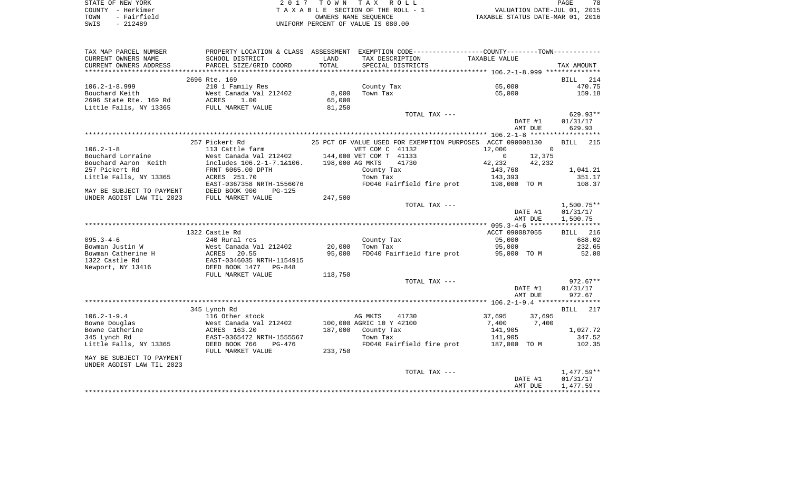| STATE OF NEW YORK   | 2017 TOWN TAX ROLL                 |                                  | PAGE | 78 |
|---------------------|------------------------------------|----------------------------------|------|----|
| COUNTY - Herkimer   | TAXABLE SECTION OF THE ROLL - 1    | VALUATION DATE-JUL 01, 2015      |      |    |
| TOWN<br>- Fairfield | OWNERS NAME SEOUENCE               | TAXABLE STATUS DATE-MAR 01, 2016 |      |    |
| SWIS<br>- 212489    | UNIFORM PERCENT OF VALUE IS 080.00 |                                  |      |    |

| TAX MAP PARCEL NUMBER                                                              | PROPERTY LOCATION & CLASS ASSESSMENT EXEMPTION CODE--------------COUNTY-------TOWN---------                                                                                                              |                          |                    |                                                            |                    |          |                 |
|------------------------------------------------------------------------------------|----------------------------------------------------------------------------------------------------------------------------------------------------------------------------------------------------------|--------------------------|--------------------|------------------------------------------------------------|--------------------|----------|-----------------|
| CURRENT OWNERS NAME                                                                | SCHOOL DISTRICT                                                                                                                                                                                          | LAND                     | TAX DESCRIPTION    |                                                            | TAXABLE VALUE      |          |                 |
| CURRENT OWNERS ADDRESS                                                             | PARCEL SIZE/GRID COORD                                                                                                                                                                                   | TOTAL                    |                    | SPECIAL DISTRICTS                                          |                    |          | TAX AMOUNT      |
|                                                                                    |                                                                                                                                                                                                          |                          |                    |                                                            |                    |          |                 |
|                                                                                    | 2696 Rte. 169                                                                                                                                                                                            |                          |                    |                                                            |                    |          | BILL 214        |
| $106.2 - 1 - 8.999$                                                                | 210 1 Family Res                                                                                                                                                                                         |                          |                    | County Tax                                                 | 65,000             |          | 470.75          |
|                                                                                    |                                                                                                                                                                                                          |                          | Town Tax           |                                                            | 65,000             |          | 159.18          |
|                                                                                    | Pouchard Keith and Mest Canada Val 212402 8,000<br>2696 State Rte. 169 Rd ACRES 1.00 65,000<br>Little Falls, NY 13365 FULL MARKET VALUE 81,250                                                           |                          |                    |                                                            |                    |          |                 |
|                                                                                    |                                                                                                                                                                                                          |                          |                    |                                                            |                    |          |                 |
|                                                                                    |                                                                                                                                                                                                          |                          |                    |                                                            |                    |          |                 |
|                                                                                    |                                                                                                                                                                                                          |                          |                    | TOTAL TAX ---                                              |                    |          | $629.93**$      |
|                                                                                    |                                                                                                                                                                                                          |                          |                    |                                                            |                    | DATE #1  | 01/31/17        |
|                                                                                    |                                                                                                                                                                                                          |                          |                    |                                                            |                    | AMT DUE  | 629.93          |
|                                                                                    |                                                                                                                                                                                                          |                          |                    |                                                            |                    |          |                 |
|                                                                                    | 257 Pickert Rd                                                                                                                                                                                           |                          |                    | 25 PCT OF VALUE USED FOR EXEMPTION PURPOSES ACCT 090008130 |                    |          | <b>BILL</b> 215 |
| $106.2 - 1 - 8$                                                                    | 113 Cattle farm                                                                                                                                                                                          |                          | VET COM C 41132    |                                                            | 12,000             | $\Omega$ |                 |
|                                                                                    | 113 Cattle farm<br>Bouchard Lorraine Mest Canada Val 212402 144,000 VET COM C 41132 12,000 12,375<br>Bouchard Aaron Keith includes 106.2-1-7.1&106. 198,000 AG MKTS 41730 12,232 42,232<br>12,232 42,232 |                          |                    |                                                            |                    |          |                 |
|                                                                                    |                                                                                                                                                                                                          |                          |                    |                                                            |                    |          |                 |
| 257 Pickert Rd                                                                     | FRNT 6065.00 DPTH                                                                                                                                                                                        |                          | County Tax         |                                                            | 143,768            |          | 1,041.21        |
| Little Falls, NY 13365 ACRES 251.70                                                |                                                                                                                                                                                                          |                          |                    |                                                            |                    |          | 351.17          |
|                                                                                    | EAST-0367358 NRTH-1556076                                                                                                                                                                                |                          |                    |                                                            |                    |          | 108.37          |
|                                                                                    | PG-125                                                                                                                                                                                                   |                          |                    |                                                            |                    |          |                 |
| MAY BE SUBJECT TO PAYMENT DEED BOOK 900<br>UNDER AGDIST LAW TIL 2023 FULL MARKET V |                                                                                                                                                                                                          | 247,500                  |                    |                                                            |                    |          |                 |
|                                                                                    | FULL MARKET VALUE                                                                                                                                                                                        |                          |                    | TOTAL TAX ---                                              |                    |          |                 |
|                                                                                    |                                                                                                                                                                                                          |                          |                    |                                                            |                    |          | 1,500.75**      |
|                                                                                    |                                                                                                                                                                                                          |                          |                    |                                                            |                    | DATE #1  | 01/31/17        |
|                                                                                    |                                                                                                                                                                                                          |                          |                    |                                                            |                    | AMT DUE  | 1,500.75        |
|                                                                                    |                                                                                                                                                                                                          |                          |                    |                                                            |                    |          |                 |
|                                                                                    | 1322 Castle Rd                                                                                                                                                                                           |                          |                    |                                                            | ACCT 090087055     |          | BILL 216        |
| $095.3 - 4 - 6$                                                                    | 240 Rural res                                                                                                                                                                                            |                          |                    | County Tax<br>Town Tax                                     | 95,000             |          | 688.02          |
|                                                                                    |                                                                                                                                                                                                          |                          |                    |                                                            |                    |          | 95,000 232.65   |
|                                                                                    |                                                                                                                                                                                                          |                          |                    | FD040 Fairfield fire prot 55,000 TOM                       |                    |          | 52.00           |
|                                                                                    | Bowman Justin W West Canada Val 212402 20,000<br>Bowman Catherine H ACRES 20.55 95,000<br>1322 Castle Rd EAST-0346035 NRTH-1154915 Newport, NY 13416 DEED BOOK 1477 PG-848                               |                          |                    |                                                            |                    |          |                 |
|                                                                                    |                                                                                                                                                                                                          |                          |                    |                                                            |                    |          |                 |
|                                                                                    | FULL MARKET VALUE                                                                                                                                                                                        | 118,750                  |                    |                                                            |                    |          |                 |
|                                                                                    |                                                                                                                                                                                                          |                          |                    | TOTAL TAX ---                                              |                    |          | $972.67**$      |
|                                                                                    |                                                                                                                                                                                                          |                          |                    |                                                            |                    | DATE #1  | 01/31/17        |
|                                                                                    |                                                                                                                                                                                                          |                          |                    |                                                            |                    | AMT DUE  | 972.67          |
|                                                                                    |                                                                                                                                                                                                          |                          |                    |                                                            |                    |          |                 |
|                                                                                    | 345 Lynch Rd                                                                                                                                                                                             |                          |                    |                                                            |                    |          | BILL 217        |
| $106.2 - 1 - 9.4$                                                                  | AND KQ<br>116 Other stock<br>West Care                                                                                                                                                                   |                          | AG MKTS            | 41730                                                      |                    |          |                 |
|                                                                                    |                                                                                                                                                                                                          |                          |                    |                                                            | 37,695 37,695      |          |                 |
| Bowne Douglas                                                                      | West Canada Val 212402                                                                                                                                                                                   | 100,000 AGRIC 10 Y 42100 |                    |                                                            | 7,400 7,400        |          |                 |
| Bowne Catherine                                                                    | ACRES 163.20                                                                                                                                                                                             |                          | 187,000 County Tax |                                                            | 141,905<br>141,905 |          | 1,027.72        |
| 345 Lynch Rd                                                                       | EAST-0365472 NRTH-1555567                                                                                                                                                                                |                          | Town Tax           |                                                            |                    |          | 347.52          |
| Little Falls, NY 13365                                                             | DEED BOOK 766                                                                                                                                                                                            | $PG-476$<br>LUE 233,750  |                    | FD040 Fairfield fire prot 187,000 TO M 102.35              |                    |          |                 |
|                                                                                    | FULL MARKET VALUE                                                                                                                                                                                        |                          |                    |                                                            |                    |          |                 |
| MAY BE SUBJECT TO PAYMENT                                                          |                                                                                                                                                                                                          |                          |                    |                                                            |                    |          |                 |
| UNDER AGDIST LAW TIL 2023                                                          |                                                                                                                                                                                                          |                          |                    |                                                            |                    |          |                 |
|                                                                                    |                                                                                                                                                                                                          |                          |                    | TOTAL TAX ---                                              |                    |          | 1,477.59**      |
|                                                                                    |                                                                                                                                                                                                          |                          |                    |                                                            |                    | DATE #1  | 01/31/17        |
|                                                                                    |                                                                                                                                                                                                          |                          |                    |                                                            |                    | AMT DUE  | 1,477.59        |
|                                                                                    |                                                                                                                                                                                                          |                          |                    |                                                            |                    |          |                 |
|                                                                                    |                                                                                                                                                                                                          |                          |                    |                                                            |                    |          |                 |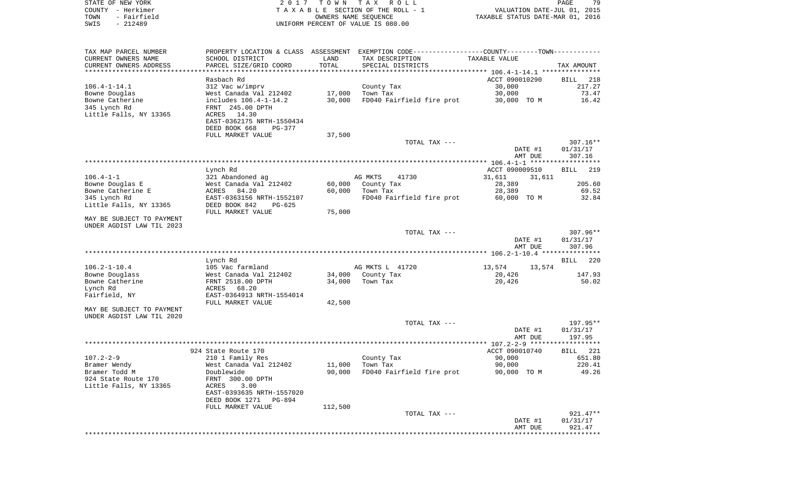STATE OF NEW YORK 2 0 1 7 T O W N T A X R O L L PAGE 79COUNTY - Herkimer **T A X A B L E** SECTION OF THE ROLL - 1 VALUATION DATE-JUL 01, 2015 TOWN - Fairfield **Taxable State of the CONNERT CONNERS NAME SEQUENCE** THE STATUS DATE-MAR 01, 2016 SWIS - 212489 UNIFORM PERCENT OF VALUE IS 080.00

TAX MAP PARCEL NUMBER PROPERTY LOCATION & CLASS ASSESSMENT EXEMPTION CODE------------------COUNTY--------TOWN------------ CURRENT OWNERS NAME SCHOOL DISTRICT LAND TAX DESCRIPTION TAXABLE VALUECURRENT OWNERS ADDRESS PARCEL SIZE/GRID COORD TOTAL SPECIAL DISTRICTS TAX AMOUNT \*\*\*\*\*\*\*\*\*\*\*\*\*\*\*\*\*\*\*\*\*\*\*\*\*\*\*\*\*\*\*\*\*\*\*\*\*\*\*\*\*\*\*\*\*\*\*\*\*\*\*\*\*\*\*\*\*\*\*\*\*\*\*\*\*\*\*\*\*\*\*\*\*\*\*\*\*\*\*\*\*\*\*\*\*\*\*\*\*\*\*\*\*\*\*\*\*\*\*\*\*\*\* 106.4-1-14.1 \*\*\*\*\*\*\*\*\*\*\*\*\*\*\***BILL** 218 Rasbach Rd **ACCT** 090010290 BILL 2188 BILL 2188 BILL 2188 BILL 2188 BILL 2188 BILL 2188 BILL 2188 BILL 2188 BILL 2188 BILL 2188 BILL 2188 BILL 2188 BILL 2188 BILL 2188 BILL 2188 BILL 2188 BILL 2188 BILL 2188 BILL 2188 BILL 217.27 106.4-1-14.1 312 Vac w/imprv County Tax 30,000 217.27 Bowne Douglas 6. 1992 West Canada Val 212402 17,000 Town Tax 30,000 73.47 Bowne Catherine **includes 106.4-1-14.2** 30,000 FD040 Fairfield fire prot 30,000 TO M 16.42 345 Lynch Rd FRNT 245.00 DPTH Little Falls, NY 13365 ACRES 14.30 EAST-0362175 NRTH-1550434 DEED BOOK 668 PG-377FULL MARKET VALUE 37,500 TOTAL TAX --- 307.16\*\* DATE #1 01/31/17 AMT DUE 307.16 \*\*\*\*\*\*\*\*\*\*\*\*\*\*\*\*\*\*\*\*\*\*\*\*\*\*\*\*\*\*\*\*\*\*\*\*\*\*\*\*\*\*\*\*\*\*\*\*\*\*\*\*\*\*\*\*\*\*\*\*\*\*\*\*\*\*\*\*\*\*\*\*\*\*\*\*\*\*\*\*\*\*\*\*\*\*\*\*\*\*\*\*\*\*\*\*\*\*\*\*\*\*\* 106.4-1-1 \*\*\*\*\*\*\*\*\*\*\*\*\*\*\*\*\*\*BILL 219 Lynch Rd  $\overline{ACCT}$  090009510  $\overline{ACCT}$  090009510 106.4-1-1 321 Abandoned ag AG MKTS 41730 31,611 31,611 Bowne Douglas E West Canada Val 212402 60,000 County Tax 28,389 205.60 Bowne Catherine E 69.52 69.52 69.52 69.52 60,000 Town Tax 28,389 69.52 345 Lynch Rd EAST-0363156 NRTH-1552107 FD040 Fairfield fire prot 60,000 TO M 32.84 Little Falls, NY 13365 DEED BOOK 842 PG-625 FULL MARKET VALUE 75,000 MAY BE SUBJECT TO PAYMENTUNDER AGDIST LAW TIL 2023 TOTAL TAX --- 307.96\*\* DATE #1 01/31/17 AMT DUE 307.96 \*\*\*\*\*\*\*\*\*\*\*\*\*\*\*\*\*\*\*\*\*\*\*\*\*\*\*\*\*\*\*\*\*\*\*\*\*\*\*\*\*\*\*\*\*\*\*\*\*\*\*\*\*\*\*\*\*\*\*\*\*\*\*\*\*\*\*\*\*\*\*\*\*\*\*\*\*\*\*\*\*\*\*\*\*\*\*\*\*\*\*\*\*\*\*\*\*\*\*\*\*\*\* 106.2-1-10.4 \*\*\*\*\*\*\*\*\*\*\*\*\*\*\*BILL 220 Lynch Rd BILL 220 106.2-1-10.4 105 Vac farmland AG MKTS L 41720 13,574 13,574 13,574 Bowne Douglass West Canada Val 212402 34,000 County Tax 20,426 147.93 Bowne Catherine FRNT 2518.00 DPTH 34,000 Town Tax 20,426 50.02 Lynch Rd ACRES 68.20 Fairfield, NY EAST-0364913 NRTH-1554014 FULL MARKET VALUE 42,500 MAY BE SUBJECT TO PAYMENT UNDER AGDIST LAW TIL 2020 TOTAL TAX --- 197.95\*\* DATE #1 01/31/17 AMT DUE 197.95 \*\*\*\*\*\*\*\*\*\*\*\*\*\*\*\*\*\*\*\*\*\*\*\*\*\*\*\*\*\*\*\*\*\*\*\*\*\*\*\*\*\*\*\*\*\*\*\*\*\*\*\*\*\*\*\*\*\*\*\*\*\*\*\*\*\*\*\*\*\*\*\*\*\*\*\*\*\*\*\*\*\*\*\*\*\*\*\*\*\*\*\*\*\*\*\*\*\*\*\*\*\*\* 107.2-2-9 \*\*\*\*\*\*\*\*\*\*\*\*\*\*\*\*\*\*924 State Route 170 **ACCT 090010740** BILL 221 107.2-2-9 210 1 Family Res County Tax 90,000 651.80 Bramer Wendy West Canada Val 212402 11,000 Town Tax 90,000 220.41 Doublewide 30,000 FD040 Fairfield fire prot 90,000 TO M 49.26 924 State Route 170 FRNT 300.00 DPTH Little Falls, NY 13365 ACRES 3.00 EAST-0393635 NRTH-1557020 DEED BOOK 1271 PG-894 FULL MARKET VALUE 112,500 TOTAL TAX --- 921.47\*\* DATE #1 01/31/17 AMT DUE 921.47\*\*\*\*\*\*\*\*\*\*\*\*\*\*\*\*\*\*\*\*\*\*\*\*\*\*\*\*\*\*\*\*\*\*\*\*\*\*\*\*\*\*\*\*\*\*\*\*\*\*\*\*\*\*\*\*\*\*\*\*\*\*\*\*\*\*\*\*\*\*\*\*\*\*\*\*\*\*\*\*\*\*\*\*\*\*\*\*\*\*\*\*\*\*\*\*\*\*\*\*\*\*\*\*\*\*\*\*\*\*\*\*\*\*\*\*\*\*\*\*\*\*\*\*\*\*\*\*\*\*\*\*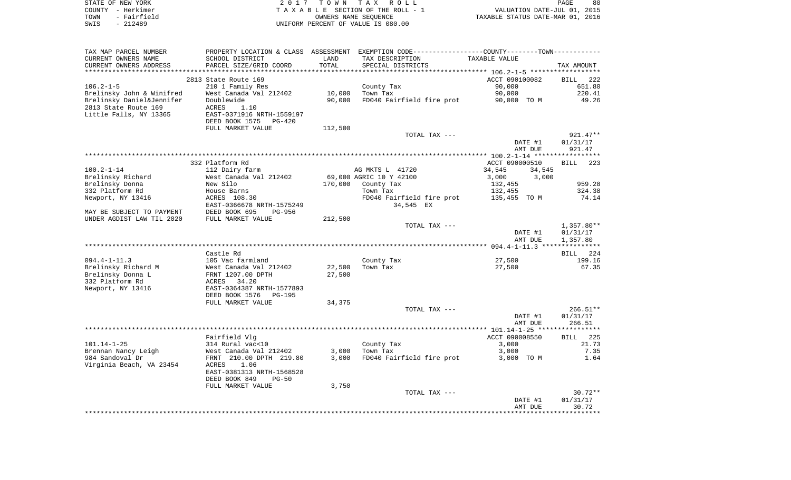| STATE OF NEW YORK         |                           |         | 2017 TOWN TAX ROLL                                                                           |                                  | PAGE<br>80         |
|---------------------------|---------------------------|---------|----------------------------------------------------------------------------------------------|----------------------------------|--------------------|
| COUNTY - Herkimer         |                           |         | TAXABLE SECTION OF THE ROLL - 1                                                              | VALUATION DATE-JUL 01, 2015      |                    |
| TOWN<br>- Fairfield       |                           |         | OWNERS NAME SEQUENCE                                                                         | TAXABLE STATUS DATE-MAR 01, 2016 |                    |
| SWIS<br>$-212489$         |                           |         | UNIFORM PERCENT OF VALUE IS 080.00                                                           |                                  |                    |
|                           |                           |         |                                                                                              |                                  |                    |
| TAX MAP PARCEL NUMBER     |                           |         | PROPERTY LOCATION & CLASS ASSESSMENT EXEMPTION CODE---------------COUNTY-------TOWN--------- |                                  |                    |
| CURRENT OWNERS NAME       | SCHOOL DISTRICT           | LAND    | TAX DESCRIPTION                                                                              | TAXABLE VALUE                    |                    |
| CURRENT OWNERS ADDRESS    | PARCEL SIZE/GRID COORD    | TOTAL   | SPECIAL DISTRICTS                                                                            |                                  | TAX AMOUNT         |
|                           |                           |         |                                                                                              |                                  |                    |
|                           | 2813 State Route 169      |         |                                                                                              | ACCT 090100082                   | BILL<br>222        |
| $106.2 - 1 - 5$           | 210 1 Family Res          |         | County Tax                                                                                   | 90,000                           | 651.80             |
| Brelinsky John & Winifred | West Canada Val 212402    | 10,000  | Town Tax                                                                                     | 90,000                           | 220.41             |
| Brelinsky Daniel&Jennifer | Doublewide                | 90,000  | FD040 Fairfield fire prot                                                                    | 90,000 TO M                      | 49.26              |
| 2813 State Route 169      | ACRES<br>1.10             |         |                                                                                              |                                  |                    |
| Little Falls, NY 13365    | EAST-0371916 NRTH-1559197 |         |                                                                                              |                                  |                    |
|                           |                           |         |                                                                                              |                                  |                    |
|                           | DEED BOOK 1575<br>PG-420  |         |                                                                                              |                                  |                    |
|                           | FULL MARKET VALUE         | 112,500 |                                                                                              |                                  |                    |
|                           |                           |         | TOTAL TAX ---                                                                                |                                  | $921.47**$         |
|                           |                           |         |                                                                                              | DATE #1                          | 01/31/17           |
|                           |                           |         |                                                                                              | AMT DUE                          | 921.47             |
|                           |                           |         |                                                                                              |                                  |                    |
|                           | 332 Platform Rd           |         |                                                                                              | ACCT 090000510                   | 223<br>BILL        |
| 100.2-1-14                | 112 Dairy farm            |         | AG MKTS L 41720                                                                              | 34,545<br>34,545                 |                    |
| Brelinsky Richard         | West Canada Val 212402    |         | 69,000 AGRIC 10 Y 42100                                                                      | 3,000<br>3,000                   |                    |
| Brelinsky Donna           | New Silo                  | 170,000 | County Tax                                                                                   | 132,455                          | 959.28             |
| 332 Platform Rd           | House Barns               |         | Town Tax                                                                                     | 132,455                          | 324.38             |
| Newport, NY 13416         | ACRES 108.30              |         | FD040 Fairfield fire prot                                                                    | 135,455 TO M                     | 74.14              |
|                           | EAST-0366678 NRTH-1575249 |         | 34,545 EX                                                                                    |                                  |                    |
| MAY BE SUBJECT TO PAYMENT | DEED BOOK 695<br>PG-956   |         |                                                                                              |                                  |                    |
| UNDER AGDIST LAW TIL 2020 | FULL MARKET VALUE         | 212,500 |                                                                                              |                                  |                    |
|                           |                           |         | TOTAL TAX ---                                                                                |                                  | $1,357.80**$       |
|                           |                           |         |                                                                                              | DATE #1                          | 01/31/17           |
|                           |                           |         |                                                                                              | AMT DUE                          | 1,357.80           |
|                           |                           |         |                                                                                              |                                  |                    |
|                           | Castle Rd                 |         |                                                                                              |                                  | <b>BILL</b><br>224 |
| $094.4 - 1 - 11.3$        | 105 Vac farmland          |         | County Tax                                                                                   | 27,500                           | 199.16             |
| Brelinsky Richard M       | West Canada Val 212402    | 22,500  | Town Tax                                                                                     | 27,500                           | 67.35              |
| Brelinsky Donna L         | FRNT 1207.00 DPTH         | 27,500  |                                                                                              |                                  |                    |
| 332 Platform Rd           | 34.20<br>ACRES            |         |                                                                                              |                                  |                    |
| Newport, NY 13416         | EAST-0364387 NRTH-1577893 |         |                                                                                              |                                  |                    |
|                           | DEED BOOK 1576<br>PG-195  |         |                                                                                              |                                  |                    |
|                           | FULL MARKET VALUE         | 34,375  |                                                                                              |                                  |                    |
|                           |                           |         | TOTAL TAX ---                                                                                |                                  | $266.51**$         |
|                           |                           |         |                                                                                              | DATE #1                          | 01/31/17           |
|                           |                           |         |                                                                                              | AMT DUE                          | 266.51             |
|                           |                           |         |                                                                                              |                                  |                    |
|                           | Fairfield Vlg             |         |                                                                                              | ACCT 090008550                   | 225<br>BILL        |
| 101.14-1-25               | 314 Rural vac<10          |         | County Tax                                                                                   | 3,000                            | 21.73              |
| Brennan Nancy Leigh       | West Canada Val 212402    | 3,000   | Town Tax                                                                                     | 3,000                            | 7.35               |
| 984 Sandoval Dr           | FRNT 210.00 DPTH 219.80   | 3,000   | FD040 Fairfield fire prot                                                                    | 3,000 TO M                       | 1.64               |
| Virginia Beach, VA 23454  | 1.06<br>ACRES             |         |                                                                                              |                                  |                    |
|                           | EAST-0381313 NRTH-1568528 |         |                                                                                              |                                  |                    |
|                           | DEED BOOK 849<br>$PG-50$  |         |                                                                                              |                                  |                    |
|                           | FULL MARKET VALUE         | 3,750   |                                                                                              |                                  |                    |
|                           |                           |         | TOTAL TAX ---                                                                                |                                  | $30.72**$          |
|                           |                           |         |                                                                                              | DATE #1                          | 01/31/17           |
|                           |                           |         |                                                                                              | AMT DUE                          | 30.72              |
|                           |                           |         |                                                                                              |                                  |                    |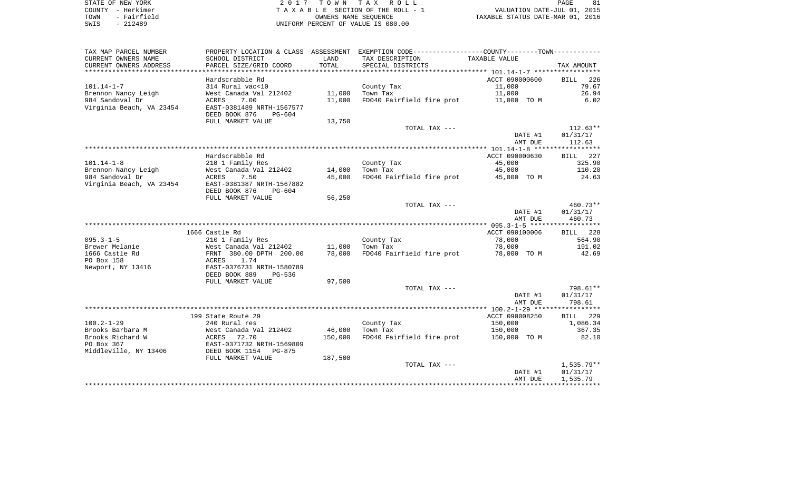| STATE OF NEW YORK |             |
|-------------------|-------------|
| COUNTY            | - Herkimer  |
| TOWN              | - Fairfield |
| SWIS              | $-212489$   |

2017 TOWN TAX ROLL TA X A B L E SECTION OF THE ROLL - 1 TOWN - Fairfield OWNERS NAME SEQUENCE TAXABLE STATUS DATE-MAR 01, 2016 UNIFORM PERCENT OF VALUE IS 080.00

| TAX MAP PARCEL NUMBER<br>CURRENT OWNERS NAME | PROPERTY LOCATION & CLASS ASSESSMENT<br>SCHOOL DISTRICT | LAND    | EXEMPTION CODE-----------------COUNTY-------TOWN-----------<br>TAX DESCRIPTION | <b>TAXABLE VALUE</b> |                    |
|----------------------------------------------|---------------------------------------------------------|---------|--------------------------------------------------------------------------------|----------------------|--------------------|
| CURRENT OWNERS ADDRESS                       | PARCEL SIZE/GRID COORD                                  | TOTAL   | SPECIAL DISTRICTS                                                              |                      | TAX AMOUNT         |
|                                              | Hardscrabble Rd                                         |         |                                                                                | ACCT 090000600       | 226<br><b>BILL</b> |
| $101.14 - 1 - 7$                             | 314 Rural vac<10                                        |         | County Tax                                                                     | 11,000               | 79.67              |
| Brennon Nancy Leigh                          | West Canada Val 212402                                  | 11,000  | Town Tax                                                                       | 11,000               | 26.94              |
| 984 Sandoval Dr                              | ACRES<br>7.00                                           | 11,000  | FD040 Fairfield fire prot                                                      | 11,000 TO M          | 6.02               |
| Virginia Beach, VA 23454                     | EAST-0381489 NRTH-1567577<br>DEED BOOK 876<br>$PG-604$  |         |                                                                                |                      |                    |
|                                              | FULL MARKET VALUE                                       | 13,750  |                                                                                |                      |                    |
|                                              |                                                         |         | TOTAL TAX ---                                                                  |                      | $112.63**$         |
|                                              |                                                         |         |                                                                                | DATE #1<br>AMT DUE   | 01/31/17<br>112.63 |
|                                              |                                                         |         |                                                                                |                      |                    |
|                                              | Hardscrabble Rd                                         |         |                                                                                | ACCT 090000630       | 227<br>BILL        |
| $101.14 - 1 - 8$                             | 210 1 Family Res                                        |         | County Tax                                                                     | 45,000               | 325.90             |
| Brennon Nancy Leigh                          | West Canada Val 212402                                  | 14,000  | Town Tax                                                                       | 45,000               | 110.20             |
| 984 Sandoval Dr                              | <b>ACRES</b><br>7.50                                    | 45,000  | FD040 Fairfield fire prot                                                      | 45,000 TO M          | 24.63              |
| Virginia Beach, VA 23454                     | EAST-0381387 NRTH-1567882                               |         |                                                                                |                      |                    |
|                                              | DEED BOOK 876<br>PG-604                                 |         |                                                                                |                      |                    |
|                                              | FULL MARKET VALUE                                       | 56,250  |                                                                                |                      |                    |
|                                              |                                                         |         | TOTAL TAX ---                                                                  |                      | 460.73**           |
|                                              |                                                         |         |                                                                                | DATE #1              | 01/31/17           |
|                                              |                                                         |         |                                                                                | AMT DUE              | 460.73             |
|                                              |                                                         |         |                                                                                |                      |                    |
|                                              | 1666 Castle Rd                                          |         |                                                                                | ACCT 090100006       | 228<br>BILL        |
| $095.3 - 1 - 5$<br>Brewer Melanie            | 210 1 Family Res<br>West Canada Val 212402              | 11,000  | County Tax<br>Town Tax                                                         | 78,000<br>78,000     | 564.90<br>191.02   |
| 1666 Castle Rd                               | FRNT 380.00 DPTH 200.00                                 | 78,000  | FD040 Fairfield fire prot                                                      | 78,000 TO M          | 42.69              |
| PO Box 158                                   | ACRES<br>1.74                                           |         |                                                                                |                      |                    |
| Newport, NY 13416                            | EAST-0376731 NRTH-1580789                               |         |                                                                                |                      |                    |
|                                              | DEED BOOK 889<br>PG-536                                 |         |                                                                                |                      |                    |
|                                              | FULL MARKET VALUE                                       | 97,500  |                                                                                |                      |                    |
|                                              |                                                         |         | TOTAL TAX ---                                                                  |                      | 798.61**           |
|                                              |                                                         |         |                                                                                | DATE #1              | 01/31/17           |
|                                              |                                                         |         |                                                                                | AMT DUE              | 798.61             |
|                                              |                                                         |         |                                                                                |                      |                    |
|                                              | 199 State Route 29                                      |         |                                                                                | ACCT 090008250       | 229<br>BILL        |
| $100.2 - 1 - 29$                             | 240 Rural res                                           |         | County Tax                                                                     | 150,000              | 1,086.34           |
| Brooks Barbara M                             | West Canada Val 212402                                  | 46,000  | Town Tax                                                                       | 150,000              | 367.35             |
| Brooks Richard W                             | ACRES 72.70                                             | 150,000 | FD040 Fairfield fire prot                                                      | 150,000 TO M         | 82.10              |
| PO Box 367<br>Middleville, NY 13406          | EAST-0371732 NRTH-1569809<br>DEED BOOK 1154 PG-875      |         |                                                                                |                      |                    |
|                                              | FULL MARKET VALUE                                       | 187,500 |                                                                                |                      |                    |
|                                              |                                                         |         | TOTAL TAX ---                                                                  |                      | $1,535.79**$       |
|                                              |                                                         |         |                                                                                | DATE #1              | 01/31/17           |
|                                              |                                                         |         |                                                                                | AMT DUE              | 1,535.79           |
|                                              |                                                         |         |                                                                                |                      |                    |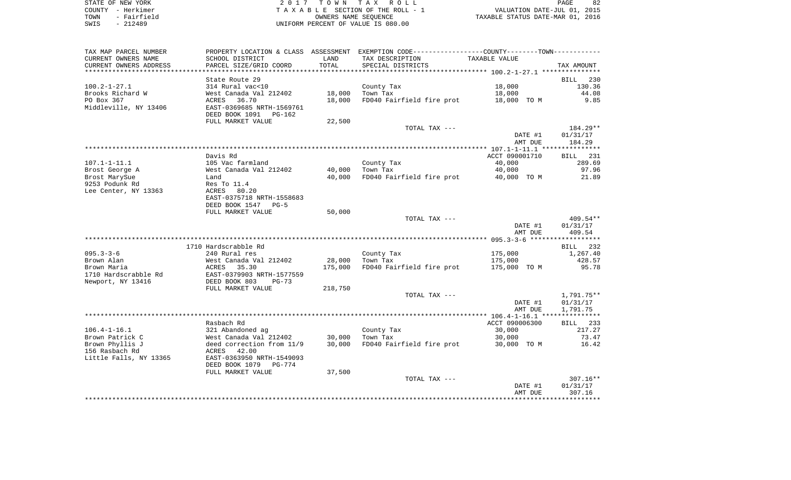| STATE OF NEW YORK   | 2017 TOWN TAX ROLL                 | 82<br>PAGE                       |
|---------------------|------------------------------------|----------------------------------|
| COUNTY - Herkimer   | TAXABLE SECTION OF THE ROLL - 1    | VALUATION DATE-JUL 01, 2015      |
| - Fairfield<br>TOWN | OWNERS NAME SEOUENCE               | TAXABLE STATUS DATE-MAR 01, 2016 |
| - 212489<br>SWIS    | UNIFORM PERCENT OF VALUE IS 080.00 |                                  |

| TAX MAP PARCEL NUMBER  |                           |         | PROPERTY LOCATION & CLASS ASSESSMENT EXEMPTION CODE---------------COUNTY-------TOWN---------- |                |            |
|------------------------|---------------------------|---------|-----------------------------------------------------------------------------------------------|----------------|------------|
| CURRENT OWNERS NAME    | SCHOOL DISTRICT           | LAND    | TAX DESCRIPTION                                                                               | TAXABLE VALUE  |            |
| CURRENT OWNERS ADDRESS | PARCEL SIZE/GRID COORD    | TOTAL   | SPECIAL DISTRICTS                                                                             |                | TAX AMOUNT |
| ********************** |                           |         |                                                                                               |                |            |
|                        | State Route 29            |         |                                                                                               |                | BILL 230   |
| 100.2-1-27.1           | 314 Rural vac<10          |         | County Tax                                                                                    | 18,000         | 130.36     |
| Brooks Richard W       | West Canada Val 212402    | 18,000  | Town Tax                                                                                      | 18,000         | 44.08      |
| PO Box 367             | ACRES<br>36.70            | 18,000  | FD040 Fairfield fire prot                                                                     | 18,000 TO M    | 9.85       |
| Middleville, NY 13406  | EAST-0369685 NRTH-1569761 |         |                                                                                               |                |            |
|                        | DEED BOOK 1091<br>PG-162  |         |                                                                                               |                |            |
|                        | FULL MARKET VALUE         | 22,500  |                                                                                               |                |            |
|                        |                           |         | TOTAL TAX ---                                                                                 |                | 184.29**   |
|                        |                           |         |                                                                                               | DATE #1        | 01/31/17   |
|                        |                           |         |                                                                                               | AMT DUE        | 184.29     |
|                        |                           |         |                                                                                               |                |            |
|                        | Davis Rd                  |         |                                                                                               | ACCT 090001710 | BILL 231   |
| 107.1-1-11.1           | 105 Vac farmland          |         | County Tax                                                                                    | 40,000         | 289.69     |
| Brost George A         | West Canada Val 212402    | 40,000  | Town Tax                                                                                      | 40,000         | 97.96      |
| Brost MarySue          | Land                      | 40,000  | FD040 Fairfield fire prot                                                                     | 40,000 TO M    | 21.89      |
| 9253 Podunk Rd         | Res To 11.4               |         |                                                                                               |                |            |
| Lee Center, NY 13363   | ACRES<br>80.20            |         |                                                                                               |                |            |
|                        | EAST-0375718 NRTH-1558683 |         |                                                                                               |                |            |
|                        | DEED BOOK 1547<br>$PG-5$  |         |                                                                                               |                |            |
|                        | FULL MARKET VALUE         | 50,000  | TOTAL TAX ---                                                                                 |                | $409.54**$ |
|                        |                           |         |                                                                                               | DATE #1        | 01/31/17   |
|                        |                           |         |                                                                                               | AMT DUE        | 409.54     |
|                        |                           |         |                                                                                               |                |            |
|                        | 1710 Hardscrabble Rd      |         |                                                                                               |                | BILL 232   |
| $095.3 - 3 - 6$        | 240 Rural res             |         | County Tax                                                                                    | 175,000        | 1,267.40   |
| Brown Alan             | West Canada Val 212402    | 28,000  | Town Tax                                                                                      | 175,000        | 428.57     |
| Brown Maria            | ACRES 35.30               | 175,000 | FD040 Fairfield fire prot                                                                     | 175,000 TO M   | 95.78      |
| 1710 Hardscrabble Rd   | EAST-0379903 NRTH-1577559 |         |                                                                                               |                |            |
| Newport, NY 13416      | DEED BOOK 803<br>$PG-73$  |         |                                                                                               |                |            |
|                        | FULL MARKET VALUE         | 218,750 |                                                                                               |                |            |
|                        |                           |         | TOTAL TAX ---                                                                                 |                | 1,791.75** |
|                        |                           |         |                                                                                               | DATE #1        | 01/31/17   |
|                        |                           |         |                                                                                               | AMT DUE        | 1,791.75   |
|                        |                           |         |                                                                                               |                |            |
|                        | Rasbach Rd                |         |                                                                                               | ACCT 090006300 | BILL 233   |
| $106.4 - 1 - 16.1$     | 321 Abandoned ag          |         | County Tax                                                                                    | 30,000         | 217.27     |
| Brown Patrick C        | West Canada Val 212402    | 30,000  | Town Tax                                                                                      | 30,000         | 73.47      |
| Brown Phyllis J        | deed correction from 11/9 | 30,000  | FD040 Fairfield fire prot                                                                     | 30,000 TO M    | 16.42      |
| 156 Rasbach Rd         | 42.00<br>ACRES            |         |                                                                                               |                |            |
| Little Falls, NY 13365 | EAST-0363950 NRTH-1549093 |         |                                                                                               |                |            |
|                        | DEED BOOK 1079<br>PG-774  |         |                                                                                               |                |            |
|                        | FULL MARKET VALUE         | 37,500  |                                                                                               |                |            |
|                        |                           |         | TOTAL TAX ---                                                                                 |                | $307.16**$ |
|                        |                           |         |                                                                                               | DATE #1        | 01/31/17   |
|                        |                           |         |                                                                                               | AMT DUE        | 307.16     |
|                        |                           |         |                                                                                               |                |            |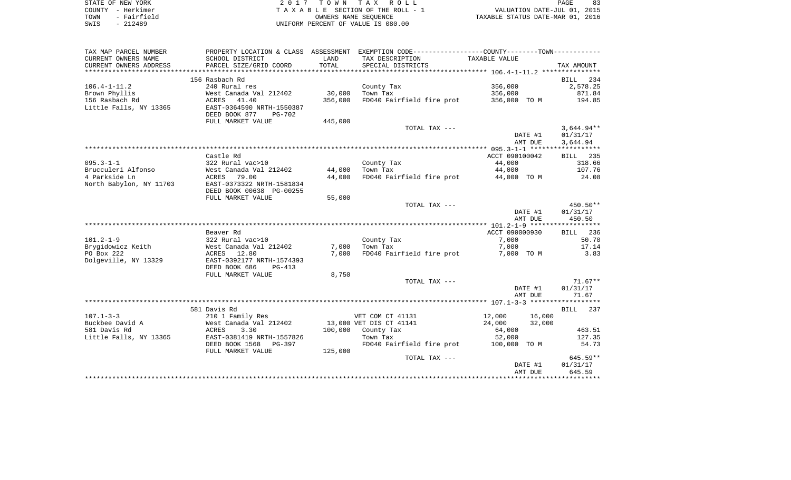| STATE OF NEW YORK   | 2017 TOWN TAX ROLL                 | PAGE                             |
|---------------------|------------------------------------|----------------------------------|
| COUNTY - Herkimer   | TAXABLE SECTION OF THE ROLL - 1    | VALUATION DATE-JUL 01, 2015      |
| - Fairfield<br>TOWN | OWNERS NAME SEOUENCE               | TAXABLE STATUS DATE-MAR 01, 2016 |
| SWIS<br>$-212489$   | UNIFORM PERCENT OF VALUE IS 080.00 |                                  |

| TAX MAP PARCEL NUMBER   |                                                            |         | PROPERTY LOCATION & CLASS ASSESSMENT EXEMPTION CODE----------------COUNTY--------TOWN---------- |                |         |              |
|-------------------------|------------------------------------------------------------|---------|-------------------------------------------------------------------------------------------------|----------------|---------|--------------|
| CURRENT OWNERS NAME     | SCHOOL DISTRICT                                            | LAND    | TAX DESCRIPTION                                                                                 | TAXABLE VALUE  |         |              |
| CURRENT OWNERS ADDRESS  | PARCEL SIZE/GRID COORD                                     | TOTAL   | SPECIAL DISTRICTS                                                                               |                |         | TAX AMOUNT   |
|                         |                                                            |         |                                                                                                 |                |         |              |
|                         | 156 Rasbach Rd                                             |         |                                                                                                 |                |         | BILL 234     |
| $106.4 - 1 - 11.2$      | 240 Rural res                                              |         | County Tax                                                                                      | 356,000        |         | 2,578.25     |
| Brown Phyllis           | West Canada Val 212402                                     | 30,000  | Town Tax                                                                                        | 356,000        |         | 871.84       |
| 156 Rasbach Rd          | $\text{ACRES}$ 41.40                                       | 356,000 | FD040 Fairfield fire prot                                                                       | 356,000 TO M   |         | 194.85       |
| Little Falls, NY 13365  | EAST-0364590 NRTH-1550387                                  |         |                                                                                                 |                |         |              |
|                         | DEED BOOK 877<br>PG-702                                    |         |                                                                                                 |                |         |              |
|                         | FULL MARKET VALUE                                          | 445,000 |                                                                                                 |                |         |              |
|                         |                                                            |         | TOTAL TAX ---                                                                                   |                |         | $3,644.94**$ |
|                         |                                                            |         |                                                                                                 |                | DATE #1 | 01/31/17     |
|                         |                                                            |         |                                                                                                 |                | AMT DUE | 3,644.94     |
|                         |                                                            |         |                                                                                                 |                |         |              |
|                         | Castle Rd                                                  |         |                                                                                                 | ACCT 090100042 |         | BILL 235     |
| $095.3 - 1 - 1$         | 322 Rural vac>10                                           |         | County Tax                                                                                      | 44,000         |         | 318.66       |
| Brucculeri Alfonso      | West Canada Val 212402                                     | 44,000  | Town Tax                                                                                        | 44,000         |         | 107.76       |
| 4 Parkside Ln           | ACRES 79.00                                                | 44,000  | FD040 Fairfield fire prot                                                                       | 44,000 TO M    |         | 24.08        |
| North Babylon, NY 11703 | EAST-0373322 NRTH-1581834                                  |         |                                                                                                 |                |         |              |
|                         | DEED BOOK 00638 PG-00255                                   |         |                                                                                                 |                |         |              |
|                         | FULL MARKET VALUE                                          | 55,000  |                                                                                                 |                |         |              |
|                         |                                                            |         | TOTAL TAX ---                                                                                   |                |         | $450.50**$   |
|                         |                                                            |         |                                                                                                 |                | DATE #1 | 01/31/17     |
|                         |                                                            |         |                                                                                                 |                | AMT DUE | 450.50       |
|                         | Beaver Rd                                                  |         |                                                                                                 | ACCT 090000930 |         | BILL 236     |
| $101.2 - 1 - 9$         | 322 Rural vac>10                                           |         | County Tax                                                                                      | 7,000          |         | 50.70        |
|                         | Brygidowicz Keith                   West Canada Val 212402 | 7,000   | Town Tax                                                                                        | 7,000          |         | 17.14        |
| PO Box 222              | ACRES 12.80                                                | 7,000   | FD040 Fairfield fire prot                                                                       | 7,000 TO M     |         | 3.83         |
| Dolgeville, NY 13329    | EAST-0392177 NRTH-1574393                                  |         |                                                                                                 |                |         |              |
|                         | DEED BOOK 686<br>PG-413                                    |         |                                                                                                 |                |         |              |
|                         | FULL MARKET VALUE                                          | 8,750   |                                                                                                 |                |         |              |
|                         |                                                            |         | TOTAL TAX ---                                                                                   |                |         | $71.67**$    |
|                         |                                                            |         |                                                                                                 |                | DATE #1 | 01/31/17     |
|                         |                                                            |         |                                                                                                 |                | AMT DUE | 71.67        |
|                         |                                                            |         |                                                                                                 |                |         |              |
|                         | 581 Davis Rd                                               |         |                                                                                                 |                |         | BILL 237     |
| $107.1 - 3 - 3$         | 210 1 Family Res                                           |         | VET COM CT 41131                                                                                | 12,000         | 16,000  |              |
| Buckbee David A         | West Canada Val 212402                                     |         | 13,000 VET DIS CT 41141                                                                         | 24,000         | 32,000  |              |
| 581 Davis Rd            | ACRES<br>3.30                                              |         | $100,000$ County Tax                                                                            | 64,000         |         | 463.51       |
| Little Falls, NY 13365  | EAST-0381419 NRTH-1557826                                  |         | Town Tax                                                                                        | 52,000         |         | 127.35       |
|                         | DEED BOOK 1568 PG-397                                      |         | FD040 Fairfield fire prot 100,000 TO M                                                          |                |         | 54.73        |
|                         | FULL MARKET VALUE                                          | 125,000 |                                                                                                 |                |         |              |
|                         |                                                            |         | TOTAL TAX ---                                                                                   |                |         | $645.59**$   |
|                         |                                                            |         |                                                                                                 |                | DATE #1 | 01/31/17     |
|                         |                                                            |         |                                                                                                 |                | AMT DUE | 645.59       |
|                         |                                                            |         |                                                                                                 |                |         |              |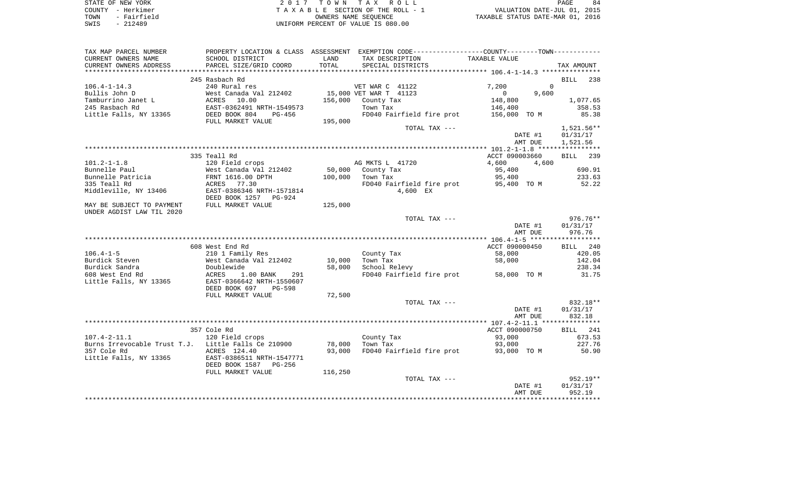| STATE OF NEW YORK   | 2017 TOWN TAX ROLL                 | 84<br>PAGE                       |
|---------------------|------------------------------------|----------------------------------|
| COUNTY - Herkimer   | TAXABLE SECTION OF THE ROLL - 1    | VALUATION DATE-JUL 01, 2015      |
| - Fairfield<br>TOWN | OWNERS NAME SEOUENCE               | TAXABLE STATUS DATE-MAR 01, 2016 |
| $-212489$<br>SWIS   | UNIFORM PERCENT OF VALUE IS 080.00 |                                  |

| TAX MAP PARCEL NUMBER                               |                                                     |         | PROPERTY LOCATION & CLASS ASSESSMENT EXEMPTION CODE---------------COUNTY-------TOWN---------- |                         |              |
|-----------------------------------------------------|-----------------------------------------------------|---------|-----------------------------------------------------------------------------------------------|-------------------------|--------------|
| CURRENT OWNERS NAME                                 | SCHOOL DISTRICT                                     | LAND    | TAX DESCRIPTION                                                                               | TAXABLE VALUE           |              |
| CURRENT OWNERS ADDRESS                              | PARCEL SIZE/GRID COORD                              | TOTAL   | SPECIAL DISTRICTS                                                                             |                         | TAX AMOUNT   |
|                                                     |                                                     |         |                                                                                               |                         |              |
|                                                     | 245 Rasbach Rd                                      |         |                                                                                               |                         | BILL 238     |
| $106.4 - 1 - 14.3$                                  | 240 Rural res                                       |         | VET WAR C 41122                                                                               | 7,200                   | $\mathbf{0}$ |
| Bullis John D                                       | West Canada Val 212402                              |         | 15,000 VET WAR T 41123                                                                        | 9,600<br>$\overline{0}$ |              |
| Tamburrino Janet L                                  | <b>ACRES</b><br>10.00                               | 156,000 | County Tax                                                                                    | 148,800                 | 1,077.65     |
|                                                     |                                                     |         |                                                                                               |                         |              |
| 245 Rasbach Rd                                      | EAST-0362491 NRTH-1549573<br>DEED BOOK 804   PG-456 |         | Town Tax<br>FD040 Fairfield fire prot                                                         | 146,400                 | 358.53       |
| Little Falls, NY 13365                              |                                                     |         |                                                                                               | 156,000 TO M            | 85.38        |
|                                                     | FULL MARKET VALUE                                   | 195,000 |                                                                                               |                         |              |
|                                                     |                                                     |         | TOTAL TAX ---                                                                                 |                         | 1,521.56**   |
|                                                     |                                                     |         |                                                                                               | DATE #1                 | 01/31/17     |
|                                                     |                                                     |         |                                                                                               | AMT DUE                 | 1,521.56     |
|                                                     |                                                     |         |                                                                                               |                         |              |
|                                                     | 335 Teall Rd                                        |         |                                                                                               | ACCT 090003660          | BILL 239     |
| $101.2 - 1 - 1.8$                                   | 120 Field crops                                     |         | AG MKTS L 41720                                                                               | 4,600<br>4,600          |              |
| Bunnelle Paul                                       |                                                     |         | 50,000 County Tax                                                                             | 95,400                  | 690.91       |
| Bunnelle Patricia                                   | West Canada Val 212402<br>FRNT 1616.00 DPTH         | 100,000 | Town Tax                                                                                      | 95,400                  | 233.63       |
| 335 Teall Rd                                        | ACRES 77.30                                         |         | FD040 Fairfield fire prot 95,400 TO M                                                         |                         | 52.22        |
| Middleville, NY 13406                               | EAST-0386346 NRTH-1571814                           |         | 4,600 EX                                                                                      |                         |              |
|                                                     | DEED BOOK 1257<br>PG-924                            |         |                                                                                               |                         |              |
| MAY BE SUBJECT TO PAYMENT                           | FULL MARKET VALUE                                   | 125,000 |                                                                                               |                         |              |
| UNDER AGDIST LAW TIL 2020                           |                                                     |         |                                                                                               |                         |              |
|                                                     |                                                     |         |                                                                                               |                         | 976.76**     |
|                                                     |                                                     |         | TOTAL TAX ---                                                                                 |                         |              |
|                                                     |                                                     |         |                                                                                               | DATE #1                 | 01/31/17     |
|                                                     |                                                     |         |                                                                                               | AMT DUE                 | 976.76       |
|                                                     |                                                     |         |                                                                                               |                         |              |
|                                                     | 608 West End Rd                                     |         |                                                                                               | ACCT 090000450          | BILL 240     |
| $106.4 - 1 - 5$                                     | 210 1 Family Res                                    |         | County Tax                                                                                    | 58,000                  | 420.05       |
| Burdick Steven                                      | West Canada Val 212402<br>West Canada<br>Doublewide | 10,000  | Town Tax                                                                                      | 58,000                  | 142.04       |
| Burdick Sandra                                      |                                                     | 58,000  | School Relevy                                                                                 |                         | 238.34       |
| 608 West End Rd                                     | ACRES<br>$1.00$ BANK<br>291                         |         | FD040 Fairfield fire prot 58,000 TO M                                                         |                         | 31.75        |
| Little Falls, NY 13365                              | EAST-0366642 NRTH-1550607                           |         |                                                                                               |                         |              |
|                                                     | DEED BOOK 697<br>PG-598                             |         |                                                                                               |                         |              |
|                                                     | FULL MARKET VALUE                                   | 72,500  |                                                                                               |                         |              |
|                                                     |                                                     |         | TOTAL TAX ---                                                                                 |                         | 832.18**     |
|                                                     |                                                     |         |                                                                                               | DATE #1                 | 01/31/17     |
|                                                     |                                                     |         |                                                                                               | AMT DUE                 | 832.18       |
|                                                     |                                                     |         |                                                                                               |                         |              |
|                                                     | 357 Cole Rd                                         |         |                                                                                               | ACCT 090000750          | BILL 241     |
| $107.4 - 2 - 11.1$                                  | 120 Field crops                                     |         | County Tax                                                                                    | 93,000                  | 673.53       |
| Burns Irrevocable Trust T.J. Little Falls Ce 210900 |                                                     | 78,000  | Town Tax                                                                                      | 93,000                  | 227.76       |
| 357 Cole Rd                                         | ACRES 124.40                                        | 93,000  | FD040 Fairfield fire prot 93,000 TO M                                                         |                         | 50.90        |
|                                                     | EAST-0386511 NRTH-1547771                           |         |                                                                                               |                         |              |
| Little Falls, NY 13365                              |                                                     |         |                                                                                               |                         |              |
|                                                     | DEED BOOK 1587<br>PG-256                            |         |                                                                                               |                         |              |
|                                                     | FULL MARKET VALUE                                   | 116,250 |                                                                                               |                         |              |
|                                                     |                                                     |         | TOTAL TAX ---                                                                                 |                         | 952.19**     |
|                                                     |                                                     |         |                                                                                               | DATE #1                 | 01/31/17     |
|                                                     |                                                     |         |                                                                                               | AMT DUE                 | 952.19       |
|                                                     |                                                     |         |                                                                                               |                         |              |
|                                                     |                                                     |         |                                                                                               |                         |              |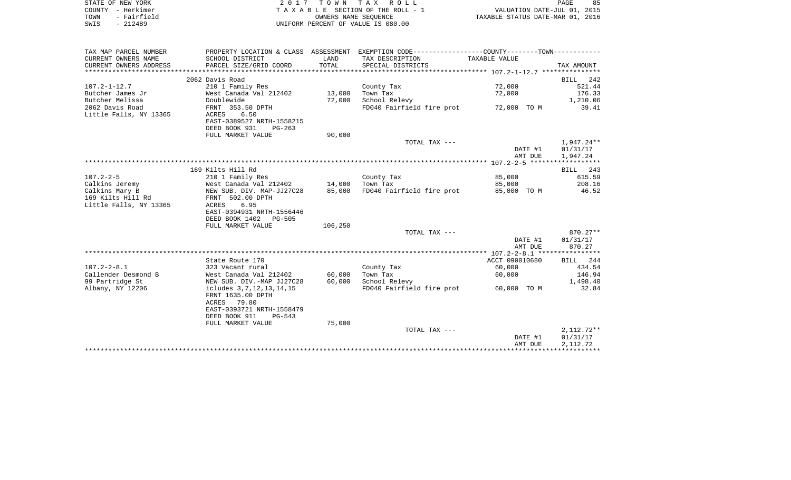| STATE OF NEW YORK   | 2017 TOWN TAX ROLL                 |                                  | PAGE | 85 |
|---------------------|------------------------------------|----------------------------------|------|----|
| COUNTY - Herkimer   | TAXABLE SECTION OF THE ROLL - 1    | VALUATION DATE-JUL 01, 2015      |      |    |
| TOWN<br>- Fairfield | OWNERS NAME SEOUENCE               | TAXABLE STATUS DATE-MAR 01, 2016 |      |    |
| SWIS<br>- 212489    | UNIFORM PERCENT OF VALUE IS 080.00 |                                  |      |    |
|                     |                                    |                                  |      |    |
|                     |                                    |                                  |      |    |

| TAX MAP PARCEL NUMBER  |                                        |         | PROPERTY LOCATION & CLASS ASSESSMENT EXEMPTION CODE---------------COUNTY-------TOWN---------- |                |            |
|------------------------|----------------------------------------|---------|-----------------------------------------------------------------------------------------------|----------------|------------|
| CURRENT OWNERS NAME    | SCHOOL DISTRICT                        | LAND    | TAX DESCRIPTION                                                                               | TAXABLE VALUE  |            |
| CURRENT OWNERS ADDRESS | PARCEL SIZE/GRID COORD                 | TOTAL   | SPECIAL DISTRICTS                                                                             |                | TAX AMOUNT |
|                        |                                        |         |                                                                                               |                |            |
|                        | 2062 Davis Road                        |         |                                                                                               |                | BILL 242   |
| $107.2 - 1 - 12.7$     | 210 1 Family Res                       |         | County Tax                                                                                    | 72,000         | 521.44     |
| Butcher James Jr       | West Canada Val 212402 13,000          |         | Town Tax                                                                                      | 72,000         | 176.33     |
| Butcher Melissa        | Doublewide                             | 72,000  | School Relevy                                                                                 |                | 1,210.06   |
| 2062 Davis Road        | FRNT 353.50 DPTH                       |         | FD040 Fairfield fire prot 72,000 TO M                                                         |                | 39.41      |
| Little Falls, NY 13365 | ACRES<br>6.50                          |         |                                                                                               |                |            |
|                        | EAST-0389527 NRTH-1558215              |         |                                                                                               |                |            |
|                        | DEED BOOK 931<br>$PG-263$              |         |                                                                                               |                |            |
|                        | FULL MARKET VALUE                      | 90,000  |                                                                                               |                |            |
|                        |                                        |         | TOTAL TAX ---                                                                                 |                | 1,947.24** |
|                        |                                        |         |                                                                                               | DATE #1        | 01/31/17   |
|                        |                                        |         |                                                                                               | AMT DUE        | 1,947.24   |
|                        |                                        |         |                                                                                               |                |            |
|                        | 169 Kilts Hill Rd                      |         |                                                                                               |                | BILL 243   |
| $107.2 - 2 - 5$        | 210 1 Family Res                       |         | County Tax                                                                                    | 85,000         | 615.59     |
| Calkins Jeremy         | West Canada Val 212402 14,000 Town Tax |         |                                                                                               | 85,000         | 208.16     |
| Calkins Mary B         | NEW SUB. DIV. MAP-JJ27C28 85,000       |         | FD040 Fairfield fire prot 85,000 TO M 46.52                                                   |                |            |
| 169 Kilts Hill Rd      | FRNT 502.00 DPTH                       |         |                                                                                               |                |            |
| Little Falls, NY 13365 | 6.95<br>ACRES                          |         |                                                                                               |                |            |
|                        | EAST-0394931 NRTH-1556446              |         |                                                                                               |                |            |
|                        | DEED BOOK 1402 PG-505                  |         |                                                                                               |                |            |
|                        | FULL MARKET VALUE                      | 106,250 |                                                                                               |                |            |
|                        |                                        |         | TOTAL TAX ---                                                                                 |                | $870.27**$ |
|                        |                                        |         |                                                                                               | DATE #1        | 01/31/17   |
|                        |                                        |         |                                                                                               | AMT DUE        | 870.27     |
|                        |                                        |         |                                                                                               |                |            |
|                        | State Route 170                        |         |                                                                                               | ACCT 090010680 | BILL 244   |
| $107.2 - 2 - 8.1$      | 323 Vacant rural                       |         | County Tax                                                                                    | 60,000         | 434.54     |
| Callender Desmond B    | West Canada Val 212402                 | 60,000  | Town Tax                                                                                      | 60,000         | 146.94     |
| 99 Partridge St        | NEW SUB. DIV.-MAP JJ27C28              | 60,000  | School Relevy                                                                                 |                | 1,498.40   |
| Albany, NY 12206       | icludes 3, 7, 12, 13, 14, 15           |         | FD040 Fairfield fire prot 60,000 TO M                                                         |                | 32.84      |
|                        | FRNT 1635.00 DPTH                      |         |                                                                                               |                |            |
|                        | ACRES 79.80                            |         |                                                                                               |                |            |
|                        | EAST-0393721 NRTH-1558479              |         |                                                                                               |                |            |
|                        | DEED BOOK 911 PG-543                   |         |                                                                                               |                |            |
|                        | FULL MARKET VALUE                      | 75,000  |                                                                                               |                |            |
|                        |                                        |         | TOTAL TAX ---                                                                                 |                | 2,112.72** |
|                        |                                        |         |                                                                                               | DATE #1        | 01/31/17   |
|                        |                                        |         |                                                                                               | AMT DUE        | 2,112.72   |
|                        |                                        |         |                                                                                               |                |            |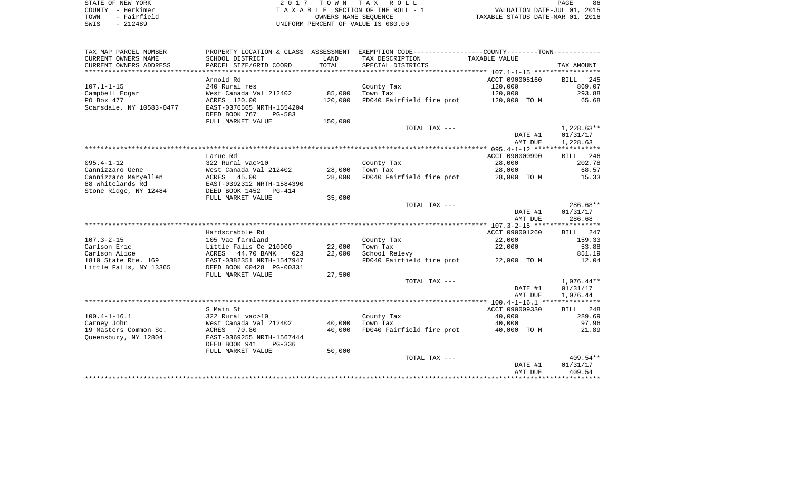| STATE OF NEW YORK |  |             |
|-------------------|--|-------------|
| COUNTY            |  | - Herkimer  |
| TOWN              |  | - Fairfield |
| SWIS              |  | $-212489$   |

2017 TOWN TAX ROLL TA X A B L E SECTION OF THE ROLL - 1 TOWN - Fairfield OWNERS NAME SEQUENCE TAXABLE STATUS DATE-MAR 01, 2016 SWIS - 212489 UNIFORM PERCENT OF VALUE IS 080.00

| TAX MAP PARCEL NUMBER    | PROPERTY LOCATION & CLASS ASSESSMENT |         | EXEMPTION CODE-----------------COUNTY-------TOWN----------- |                |              |
|--------------------------|--------------------------------------|---------|-------------------------------------------------------------|----------------|--------------|
| CURRENT OWNERS NAME      | SCHOOL DISTRICT                      | LAND    | TAX DESCRIPTION                                             | TAXABLE VALUE  |              |
| CURRENT OWNERS ADDRESS   | PARCEL SIZE/GRID COORD               | TOTAL   | SPECIAL DISTRICTS                                           |                | TAX AMOUNT   |
|                          |                                      |         |                                                             |                |              |
|                          | Arnold Rd                            |         |                                                             | ACCT 090005160 | 245<br>BILL  |
| $107.1 - 1 - 15$         | 240 Rural res                        |         | County Tax                                                  | 120,000        | 869.07       |
| Campbell Edgar           | West Canada Val 212402               | 85,000  | Town Tax                                                    | 120,000        | 293.88       |
| PO Box 477               | ACRES 120.00                         | 120,000 | FD040 Fairfield fire prot                                   | 120,000 TO M   | 65.68        |
| Scarsdale, NY 10583-0477 | EAST-0376565 NRTH-1554204            |         |                                                             |                |              |
|                          | DEED BOOK 767<br>$PG-583$            |         |                                                             |                |              |
|                          | FULL MARKET VALUE                    | 150,000 |                                                             |                |              |
|                          |                                      |         | TOTAL TAX ---                                               |                | $1,228.63**$ |
|                          |                                      |         |                                                             | DATE #1        | 01/31/17     |
|                          |                                      |         |                                                             | AMT DUE        | 1,228.63     |
|                          |                                      |         |                                                             |                |              |
|                          | Larue Rd                             |         |                                                             | ACCT 090000990 | BILL 246     |
| $095.4 - 1 - 12$         | 322 Rural vac>10                     |         | County Tax                                                  | 28,000         | 202.78       |
| Cannizzaro Gene          | West Canada Val 212402               | 28,000  | Town Tax                                                    | 28,000         | 68.57        |
| Cannizzaro Maryellen     | ACRES 45.00                          | 28,000  | FD040 Fairfield fire prot                                   | 28,000 TO M    | 15.33        |
| 88 Whitelands Rd         | EAST-0392312 NRTH-1584390            |         |                                                             |                |              |
| Stone Ridge, NY 12484    | DEED BOOK 1452 PG-414                |         |                                                             |                |              |
|                          | FULL MARKET VALUE                    | 35,000  |                                                             |                |              |
|                          |                                      |         | TOTAL TAX ---                                               |                | 286.68**     |
|                          |                                      |         |                                                             | DATE #1        | 01/31/17     |
|                          |                                      |         |                                                             | AMT DUE        | 286.68       |
|                          |                                      |         |                                                             |                |              |
|                          | Hardscrabble Rd                      |         |                                                             | ACCT 090001260 | BILL 247     |
| $107.3 - 2 - 15$         | 105 Vac farmland                     |         | County Tax                                                  | 22,000         | 159.33       |
| Carlson Eric             | Little Falls Ce 210900               | 22,000  | Town Tax                                                    | 22,000         | 53.88        |
| Carlson Alice            | ACRES<br>44.70 BANK<br>023           | 22,000  | School Relevy                                               |                | 851.19       |
| 1810 State Rte. 169      | EAST-0382351 NRTH-1547947            |         | FD040 Fairfield fire prot                                   | 22,000 TO M    | 12.04        |
| Little Falls, NY 13365   | DEED BOOK 00428 PG-00331             |         |                                                             |                |              |
|                          | FULL MARKET VALUE                    | 27,500  |                                                             |                |              |
|                          |                                      |         | TOTAL TAX ---                                               |                | $1,076.44**$ |
|                          |                                      |         |                                                             | DATE #1        | 01/31/17     |
|                          |                                      |         |                                                             | AMT DUE        | 1,076.44     |
|                          |                                      |         |                                                             |                |              |
|                          | S Main St                            |         |                                                             | ACCT 090009330 | BILL 248     |
| $100.4 - 1 - 16.1$       | 322 Rural vac>10                     |         | County Tax                                                  | 40,000         | 289.69       |
| Carney John              | West Canada Val 212402               | 40,000  | Town Tax                                                    | 40,000         | 97.96        |
| 19 Masters Common So.    | 70.80<br>ACRES                       | 40,000  | FD040 Fairfield fire prot                                   | 40,000 TO M    | 21.89        |
| Queensbury, NY 12804     | EAST-0369255 NRTH-1567444            |         |                                                             |                |              |
|                          | DEED BOOK 941<br>PG-336              |         |                                                             |                |              |
|                          | FULL MARKET VALUE                    | 50,000  |                                                             |                |              |
|                          |                                      |         | TOTAL TAX ---                                               |                | 409.54**     |
|                          |                                      |         |                                                             | DATE #1        | 01/31/17     |
|                          |                                      |         |                                                             | AMT DUE        | 409.54       |
|                          |                                      |         |                                                             |                |              |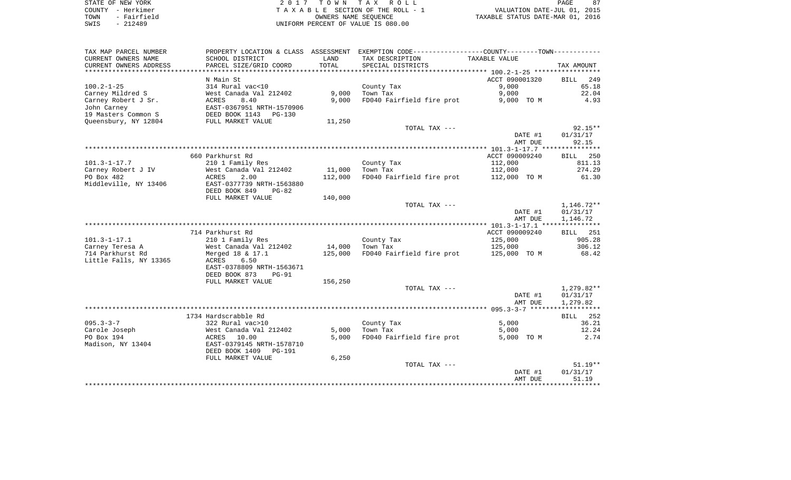STATE OF NEW YORK **EXECUTE:** A 2 0 1 7 T O W N T A X R O L L COUNTY - Herkimer T A X A B L E SECTION OF THE ROLL - 1 VALUATION DATE-JUL 01, 2015 L E SECTION OF THE ROLL - 1<br>
OWNERS NAME SEQUENCE TAXABLE STATUS DATE-MAR 01, 2016 SWIS - 212489 UNIFORM PERCENT OF VALUE IS 080.00

PAGE 87

| TAX MAP PARCEL NUMBER  |                           |         | PROPERTY LOCATION & CLASS ASSESSMENT EXEMPTION CODE-----------------COUNTY--------TOWN----------- |                |                    |
|------------------------|---------------------------|---------|---------------------------------------------------------------------------------------------------|----------------|--------------------|
| CURRENT OWNERS NAME    | SCHOOL DISTRICT           | LAND    | TAX DESCRIPTION                                                                                   | TAXABLE VALUE  |                    |
| CURRENT OWNERS ADDRESS | PARCEL SIZE/GRID COORD    | TOTAL   | SPECIAL DISTRICTS                                                                                 |                | TAX AMOUNT         |
|                        |                           |         |                                                                                                   |                |                    |
|                        | N Main St                 |         |                                                                                                   | ACCT 090001320 | <b>BILL</b><br>249 |
|                        | 314 Rural vac<10          |         |                                                                                                   |                | 65.18              |
| $100.2 - 1 - 25$       |                           |         | County Tax                                                                                        | 9,000          |                    |
| Carney Mildred S       | West Canada Val 212402    | 9,000   | Town Tax                                                                                          | 9,000          | 22.04              |
| Carney Robert J Sr.    | <b>ACRES</b><br>8.40      | 9,000   | FD040 Fairfield fire prot                                                                         | 9,000 TO M     | 4.93               |
| John Carney            | EAST-0367951 NRTH-1570906 |         |                                                                                                   |                |                    |
| 19 Masters Common S    | DEED BOOK 1143 PG-130     |         |                                                                                                   |                |                    |
| Queensbury, NY 12804   | FULL MARKET VALUE         | 11,250  |                                                                                                   |                |                    |
|                        |                           |         | TOTAL TAX ---                                                                                     |                | 92.15**            |
|                        |                           |         |                                                                                                   | DATE #1        | 01/31/17           |
|                        |                           |         |                                                                                                   | AMT DUE        | 92.15              |
|                        |                           |         |                                                                                                   |                |                    |
|                        |                           |         |                                                                                                   |                |                    |
|                        | 660 Parkhurst Rd          |         |                                                                                                   | ACCT 090009240 | BILL 250           |
| $101.3 - 1 - 17.7$     | 210 1 Family Res          |         | County Tax                                                                                        | 112,000        | 811.13             |
| Carney Robert J IV     | West Canada Val 212402    | 11,000  | Town Tax                                                                                          | 112,000        | 274.29             |
| PO Box 482             | ACRES<br>2.00             | 112,000 | FD040 Fairfield fire prot                                                                         | 112,000 TO M   | 61.30              |
| Middleville, NY 13406  | EAST-0377739 NRTH-1563880 |         |                                                                                                   |                |                    |
|                        | DEED BOOK 849<br>$PG-82$  |         |                                                                                                   |                |                    |
|                        | FULL MARKET VALUE         | 140,000 |                                                                                                   |                |                    |
|                        |                           |         | TOTAL TAX ---                                                                                     |                | $1,146.72**$       |
|                        |                           |         |                                                                                                   | DATE #1        | 01/31/17           |
|                        |                           |         |                                                                                                   |                |                    |
|                        |                           |         |                                                                                                   | AMT DUE        | 1,146.72           |
|                        |                           |         |                                                                                                   |                |                    |
|                        | 714 Parkhurst Rd          |         |                                                                                                   | ACCT 090009240 | <b>BILL</b> 251    |
| $101.3 - 1 - 17.1$     | 210 1 Family Res          |         | County Tax                                                                                        | 125,000        | 905.28             |
| Carney Teresa A        | West Canada Val 212402    | 14,000  | Town Tax                                                                                          | 125,000        | 306.12             |
| 714 Parkhurst Rd       | Merged 18 & 17.1          | 125,000 | FD040 Fairfield fire prot                                                                         | 125,000 TO M   | 68.42              |
| Little Falls, NY 13365 | ACRES<br>6.50             |         |                                                                                                   |                |                    |
|                        | EAST-0378809 NRTH-1563671 |         |                                                                                                   |                |                    |
|                        | DEED BOOK 873<br>$PG-91$  |         |                                                                                                   |                |                    |
|                        |                           |         |                                                                                                   |                |                    |
|                        | FULL MARKET VALUE         | 156,250 |                                                                                                   |                |                    |
|                        |                           |         | TOTAL TAX ---                                                                                     |                | 1,279.82**         |
|                        |                           |         |                                                                                                   | DATE #1        | 01/31/17           |
|                        |                           |         |                                                                                                   | AMT DUE        | 1,279.82           |
|                        |                           |         |                                                                                                   |                |                    |
|                        | 1734 Hardscrabble Rd      |         |                                                                                                   |                | BILL 252           |
| $095.3 - 3 - 7$        | 322 Rural vac>10          |         | County Tax                                                                                        | 5,000          | 36.21              |
| Carole Joseph          | West Canada Val 212402    | 5,000   | Town Tax                                                                                          | 5,000          | 12.24              |
| PO Box 194             | ACRES 10.00               | 5,000   | FD040 Fairfield fire prot                                                                         | 5,000 TO M     | 2.74               |
|                        |                           |         |                                                                                                   |                |                    |
| Madison, NY 13404      | EAST-0379145 NRTH-1578710 |         |                                                                                                   |                |                    |
|                        | DEED BOOK 1409 PG-191     |         |                                                                                                   |                |                    |
|                        | FULL MARKET VALUE         | 6,250   |                                                                                                   |                |                    |
|                        |                           |         | TOTAL TAX ---                                                                                     |                | $51.19**$          |
|                        |                           |         |                                                                                                   | DATE #1        | 01/31/17           |
|                        |                           |         |                                                                                                   | AMT DUE        | 51.19              |
|                        |                           |         |                                                                                                   |                |                    |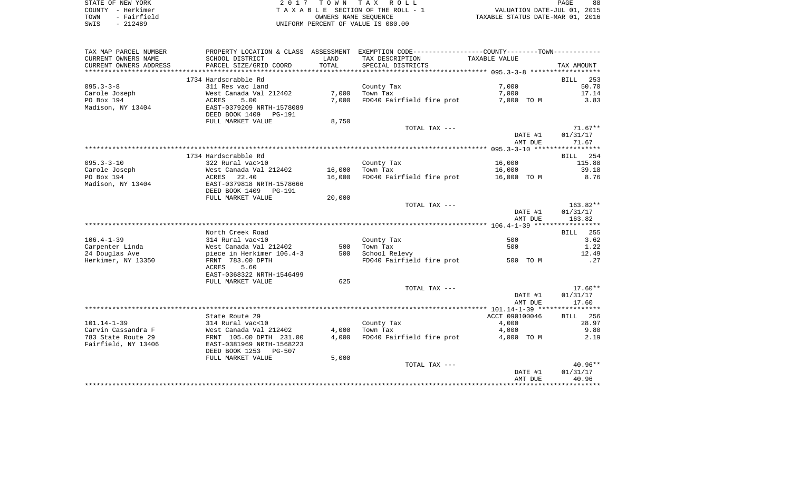| STATE OF NEW YORK   | 2017 TOWN TAX ROLL                 | 88<br>PAGE                       |
|---------------------|------------------------------------|----------------------------------|
| COUNTY - Herkimer   | TAXABLE SECTION OF THE ROLL - 1    | VALUATION DATE-JUL 01, 2015      |
| - Fairfield<br>TOWN | OWNERS NAME SEOUENCE               | TAXABLE STATUS DATE-MAR 01, 2016 |
| SWIS<br>$-212489$   | UNIFORM PERCENT OF VALUE IS 080.00 |                                  |

| TAX MAP PARCEL NUMBER   |                                                              |        | PROPERTY LOCATION & CLASS ASSESSMENT EXEMPTION CODE----------------COUNTY--------TOWN---------- |                |                    |
|-------------------------|--------------------------------------------------------------|--------|-------------------------------------------------------------------------------------------------|----------------|--------------------|
| CURRENT OWNERS NAME     | SCHOOL DISTRICT                                              | LAND   | TAX DESCRIPTION                                                                                 | TAXABLE VALUE  |                    |
| CURRENT OWNERS ADDRESS  | PARCEL SIZE/GRID COORD                                       | TOTAL  | SPECIAL DISTRICTS                                                                               |                | TAX AMOUNT         |
| *********************** |                                                              |        |                                                                                                 |                |                    |
|                         | 1734 Hardscrabble Rd                                         |        |                                                                                                 |                | 253<br>BILL        |
| $095.3 - 3 - 8$         | 311 Res vac land                                             |        | County Tax                                                                                      | 7,000          | 50.70              |
| Carole Joseph           | West Canada Val 212402                                       | 7,000  | Town Tax                                                                                        | 7,000          | 17.14              |
| PO Box 194              | 5.00<br>ACRES                                                | 7,000  | FD040 Fairfield fire prot                                                                       | 7,000 TO M     | 3.83               |
| Madison, NY 13404       | EAST-0379209 NRTH-1578089<br>DEED BOOK 1409<br><b>PG-191</b> |        |                                                                                                 |                |                    |
|                         | FULL MARKET VALUE                                            | 8,750  |                                                                                                 |                |                    |
|                         |                                                              |        | TOTAL TAX ---                                                                                   |                | $71.67**$          |
|                         |                                                              |        |                                                                                                 | DATE #1        | 01/31/17           |
|                         |                                                              |        |                                                                                                 | AMT DUE        | 71.67              |
|                         |                                                              |        |                                                                                                 |                |                    |
|                         | 1734 Hardscrabble Rd                                         |        |                                                                                                 |                | BILL 254           |
| $095.3 - 3 - 10$        | 322 Rural vac>10                                             |        | County Tax                                                                                      | 16,000         | 115.88             |
| Carole Joseph           | West Canada Val 212402                                       | 16,000 | Town Tax                                                                                        | 16,000         | 39.18              |
| PO Box 194              | 22.40<br>ACRES                                               | 16,000 | FD040 Fairfield fire prot                                                                       | 16,000 TO M    | 8.76               |
| Madison, NY 13404       | EAST-0379818 NRTH-1578666                                    |        |                                                                                                 |                |                    |
|                         | DEED BOOK 1409<br>PG-191                                     |        |                                                                                                 |                |                    |
|                         | FULL MARKET VALUE                                            | 20,000 |                                                                                                 |                |                    |
|                         |                                                              |        | TOTAL TAX ---                                                                                   |                | 163.82**           |
|                         |                                                              |        |                                                                                                 | DATE #1        | 01/31/17           |
|                         |                                                              |        |                                                                                                 | AMT DUE        | 163.82             |
|                         | North Creek Road                                             |        |                                                                                                 |                | <b>BILL</b><br>255 |
| $106.4 - 1 - 39$        | 314 Rural vac<10                                             |        | County Tax                                                                                      | 500            | 3.62               |
| Carpenter Linda         | West Canada Val 212402                                       | 500    | Town Tax                                                                                        | 500            | 1.22               |
| 24 Douglas Ave          | piece in Herkimer 106.4-3                                    | 500    | School Relevy                                                                                   |                | 12.49              |
| Herkimer, NY 13350      | FRNT 783.00 DPTH                                             |        | FD040 Fairfield fire prot                                                                       | 500 TO M       | .27                |
|                         | ACRES<br>5.60                                                |        |                                                                                                 |                |                    |
|                         | EAST-0368322 NRTH-1546499<br>FULL MARKET VALUE               | 625    |                                                                                                 |                |                    |
|                         |                                                              |        | TOTAL TAX ---                                                                                   |                | $17.60**$          |
|                         |                                                              |        |                                                                                                 | DATE #1        | 01/31/17           |
|                         |                                                              |        |                                                                                                 | AMT DUE        | 17.60              |
|                         |                                                              |        |                                                                                                 |                |                    |
|                         | State Route 29                                               |        |                                                                                                 | ACCT 090100046 | 256<br>BILL        |
| $101.14 - 1 - 39$       | 314 Rural vac<10                                             |        | County Tax                                                                                      | 4,000          | 28.97              |
| Carvin Cassandra F      | West Canada Val 212402                                       | 4,000  | Town Tax                                                                                        | 4,000          | 9.80               |
| 783 State Route 29      | FRNT 105.00 DPTH 231.00                                      | 4,000  | FD040 Fairfield fire prot                                                                       | 4,000 TO M     | 2.19               |
| Fairfield, NY 13406     | EAST-0381969 NRTH-1568223                                    |        |                                                                                                 |                |                    |
|                         | DEED BOOK 1253 PG-507                                        |        |                                                                                                 |                |                    |
|                         | FULL MARKET VALUE                                            | 5,000  |                                                                                                 |                |                    |
|                         |                                                              |        | TOTAL TAX ---                                                                                   |                | $40.96**$          |
|                         |                                                              |        |                                                                                                 | DATE #1        | 01/31/17           |
|                         |                                                              |        |                                                                                                 | AMT DUE        | 40.96              |
|                         |                                                              |        |                                                                                                 |                |                    |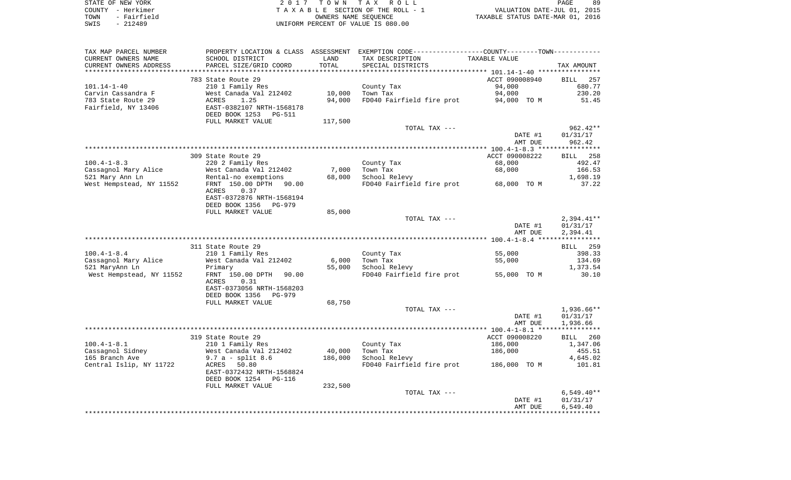| STATE OF NEW YORK     | ' TOWN TAX ROLL<br>2 N 1 7         | 89<br>PAGE                       |
|-----------------------|------------------------------------|----------------------------------|
| COUNTY - Herkimer     | TAXABLE SECTION OF THE ROLL - 1    | VALUATION DATE-JUL 01, 2015      |
| - Fairfield<br>TOWN   | OWNERS NAME SEOUENCE               | TAXABLE STATUS DATE-MAR 01, 2016 |
| 212489<br>SWIS<br>$-$ | UNIFORM PERCENT OF VALUE IS 080.00 |                                  |

| TAX MAP PARCEL NUMBER                      |                                      |         | PROPERTY LOCATION & CLASS ASSESSMENT EXEMPTION CODE----------------COUNTY--------TOWN---------- |                |                    |
|--------------------------------------------|--------------------------------------|---------|-------------------------------------------------------------------------------------------------|----------------|--------------------|
| CURRENT OWNERS NAME                        | SCHOOL DISTRICT                      | LAND    | TAX DESCRIPTION                                                                                 | TAXABLE VALUE  |                    |
| CURRENT OWNERS ADDRESS                     | PARCEL SIZE/GRID COORD               | TOTAL   | SPECIAL DISTRICTS                                                                               |                | TAX AMOUNT         |
|                                            |                                      |         |                                                                                                 |                |                    |
|                                            | 783 State Route 29                   |         |                                                                                                 | ACCT 090008940 | <b>BILL</b><br>257 |
| $101.14 - 1 - 40$                          | 210 1 Family Res                     |         | County Tax                                                                                      | 94,000         | 680.77             |
| Carvin Cassandra F                         | West Canada Val 212402               | 10,000  | Town Tax                                                                                        | 94,000         | 230.20             |
| 783 State Route 29                         | ACRES<br>1.25                        | 94,000  | FD040 Fairfield fire prot                                                                       | 94,000 TO M    | 51.45              |
| Fairfield, NY 13406                        | EAST-0382107 NRTH-1568178            |         |                                                                                                 |                |                    |
|                                            | DEED BOOK 1253<br>PG-511             |         |                                                                                                 |                |                    |
|                                            | FULL MARKET VALUE                    | 117,500 |                                                                                                 |                |                    |
|                                            |                                      |         | TOTAL TAX ---                                                                                   |                | $962.42**$         |
|                                            |                                      |         |                                                                                                 | DATE #1        | 01/31/17           |
|                                            |                                      |         |                                                                                                 | AMT DUE        | 962.42             |
|                                            |                                      |         |                                                                                                 |                |                    |
|                                            | 309 State Route 29                   |         |                                                                                                 | ACCT 090008222 | BILL 258           |
| $100.4 - 1 - 8.3$                          | 220 2 Family Res                     |         | County Tax                                                                                      | 68,000         | 492.47             |
| Cassagnol Mary Alice                       | West Canada Val 212402               | 7,000   | Town Tax                                                                                        | 68,000         | 166.53             |
| 521 Mary Ann Ln                            | Rental-no exemptions                 | 68,000  | School Relevy                                                                                   |                | 1,698.19           |
| West Hempstead, NY 11552                   | FRNT 150.00 DPTH 90.00               |         | FD040 Fairfield fire prot 68,000 TO M                                                           |                | 37.22              |
|                                            | ACRES<br>0.37                        |         |                                                                                                 |                |                    |
|                                            | EAST-0372876 NRTH-1568194            |         |                                                                                                 |                |                    |
|                                            | DEED BOOK 1356<br>PG-979             |         |                                                                                                 |                |                    |
|                                            | FULL MARKET VALUE                    | 85,000  |                                                                                                 |                |                    |
|                                            |                                      |         | TOTAL TAX ---                                                                                   |                | $2,394.41**$       |
|                                            |                                      |         |                                                                                                 | DATE #1        | 01/31/17           |
|                                            |                                      |         |                                                                                                 | AMT DUE        | 2,394.41           |
|                                            |                                      |         |                                                                                                 |                |                    |
|                                            | 311 State Route 29                   |         |                                                                                                 |                | BILL 259           |
| $100.4 - 1 - 8.4$                          | 210 1 Family Res                     |         | County Tax<br>Town Tax                                                                          | 55,000         | 398.33<br>134.69   |
| Cassagnol Mary Alice                       | West Canada Val 212402               | 6,000   |                                                                                                 | 55,000         |                    |
| 521 MaryAnn Ln<br>West Hempstead, NY 11552 | Primary<br>FRNT 150.00 DPTH<br>90.00 | 55,000  | School Relevy<br>FD040 Fairfield fire prot                                                      | 55,000 TO M    | 1,373.54<br>30.10  |
|                                            | <b>ACRES</b><br>0.31                 |         |                                                                                                 |                |                    |
|                                            | EAST-0373056 NRTH-1568203            |         |                                                                                                 |                |                    |
|                                            | DEED BOOK 1356<br><b>PG-979</b>      |         |                                                                                                 |                |                    |
|                                            | FULL MARKET VALUE                    | 68,750  |                                                                                                 |                |                    |
|                                            |                                      |         | TOTAL TAX ---                                                                                   |                | 1,936.66**         |
|                                            |                                      |         |                                                                                                 | DATE #1        | 01/31/17           |
|                                            |                                      |         |                                                                                                 | AMT DUE        | 1,936.66           |
|                                            |                                      |         |                                                                                                 |                |                    |
|                                            | 319 State Route 29                   |         |                                                                                                 | ACCT 090008220 | BILL 260           |
| $100.4 - 1 - 8.1$                          | 210 1 Family Res                     |         | County Tax                                                                                      | 186,000        | 1,347.06           |
| Cassagnol Sidney                           | West Canada Val 212402               | 40,000  | Town Tax                                                                                        | 186,000        | 455.51             |
| 165 Branch Ave                             | $9.7 a - split 8.6$                  | 186,000 | School Relevy                                                                                   |                | 4,645.02           |
| Central Islip, NY 11722                    | 50.80<br>ACRES                       |         | FD040 Fairfield fire prot                                                                       | 186,000 TO M   | 101.81             |
|                                            | EAST-0372432 NRTH-1568824            |         |                                                                                                 |                |                    |
|                                            | DEED BOOK 1254<br>PG-116             |         |                                                                                                 |                |                    |
|                                            | FULL MARKET VALUE                    | 232,500 |                                                                                                 |                |                    |
|                                            |                                      |         | TOTAL TAX ---                                                                                   |                | $6,549.40**$       |
|                                            |                                      |         |                                                                                                 | DATE #1        | 01/31/17           |
|                                            |                                      |         |                                                                                                 | AMT DUE        | 6,549.40           |
|                                            |                                      |         |                                                                                                 |                |                    |
|                                            |                                      |         |                                                                                                 |                |                    |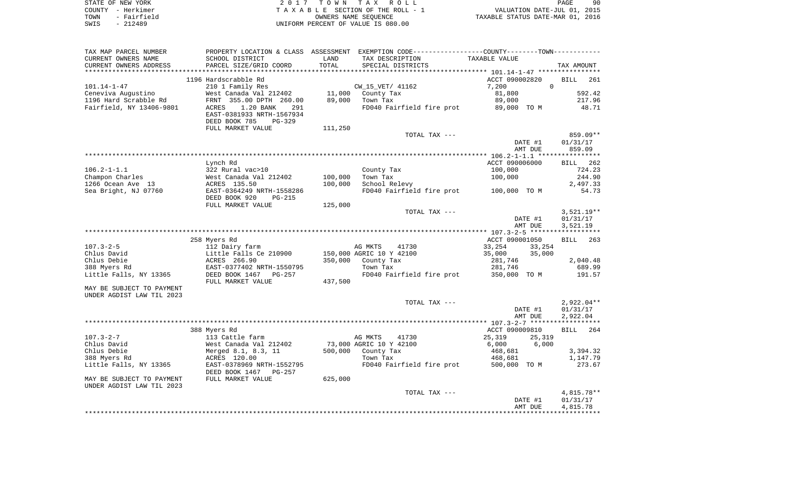| STATE OF NEW YORK   | 2017 TOWN TAX ROLL                 | 90<br>PAGE                       |
|---------------------|------------------------------------|----------------------------------|
| COUNTY - Herkimer   | TAXABLE SECTION OF THE ROLL - 1    | VALUATION DATE-JUL 01, 2015      |
| - Fairfield<br>TOWN | OWNERS NAME SEOUENCE               | TAXABLE STATUS DATE-MAR 01, 2016 |
| SWIS<br>- 212489    | UNIFORM PERCENT OF VALUE IS 080.00 |                                  |

| TAX MAP PARCEL NUMBER     |                                        |         | PROPERTY LOCATION & CLASS ASSESSMENT EXEMPTION CODE----------------COUNTY--------TOWN----------- |                   |                    |
|---------------------------|----------------------------------------|---------|--------------------------------------------------------------------------------------------------|-------------------|--------------------|
| CURRENT OWNERS NAME       | SCHOOL DISTRICT                        | LAND    | TAX DESCRIPTION                                                                                  | TAXABLE VALUE     |                    |
| CURRENT OWNERS ADDRESS    | PARCEL SIZE/GRID COORD                 | TOTAL   | SPECIAL DISTRICTS                                                                                |                   | TAX AMOUNT         |
|                           |                                        |         |                                                                                                  |                   |                    |
|                           | 1196 Hardscrabble Rd                   |         |                                                                                                  | ACCT 090002820    | BILL<br>261        |
| $101.14 - 1 - 47$         | 210 1 Family Res                       |         | CW_15_VET/ 41162                                                                                 | $\Omega$<br>7,200 |                    |
| Ceneviva Augustino        | West Canada Val 212402                 | 11,000  | County Tax                                                                                       | 81,800            | 592.42             |
| 1196 Hard Scrabble Rd     | FRNT 355.00 DPTH 260.00                | 89,000  | Town Tax                                                                                         | 89,000            | 217.96             |
| Fairfield, NY 13406-9801  | ACRES<br>1.20 BANK<br>291              |         | FD040 Fairfield fire prot 89,000 TO M                                                            |                   | 48.71              |
|                           | EAST-0381933 NRTH-1567934              |         |                                                                                                  |                   |                    |
|                           | DEED BOOK 785<br>PG-329                |         |                                                                                                  |                   |                    |
|                           | FULL MARKET VALUE                      | 111,250 |                                                                                                  |                   |                    |
|                           |                                        |         | TOTAL TAX ---                                                                                    |                   | 859.09**           |
|                           |                                        |         |                                                                                                  | DATE #1           | 01/31/17           |
|                           |                                        |         |                                                                                                  | AMT DUE           | 859.09             |
|                           |                                        |         |                                                                                                  |                   |                    |
|                           | Lynch Rd                               |         |                                                                                                  | ACCT 090006000    | BILL 262           |
| $106.2 - 1 - 1.1$         | 322 Rural vac>10                       |         | County Tax                                                                                       | 100,000           | 724.23             |
| Champon Charles           |                                        | 100,000 | Town Tax                                                                                         | 100,000           | 244.90             |
| 1266 Ocean Ave 13         | West Canada Val 212402<br>ACRES 135.50 | 100,000 | School Relevy                                                                                    |                   | 2,497.33           |
| Sea Bright, NJ 07760      | EAST-0364249 NRTH-1558286              |         | FD040 Fairfield fire prot 100,000 TO M                                                           |                   | 54.73              |
|                           | DEED BOOK 920<br>PG-215                |         |                                                                                                  |                   |                    |
|                           | FULL MARKET VALUE                      | 125,000 |                                                                                                  |                   |                    |
|                           |                                        |         | TOTAL TAX ---                                                                                    |                   | $3,521.19**$       |
|                           |                                        |         |                                                                                                  | DATE #1           | 01/31/17           |
|                           |                                        |         |                                                                                                  | AMT DUE           | 3,521.19           |
|                           |                                        |         |                                                                                                  |                   |                    |
|                           | 258 Myers Rd                           |         |                                                                                                  | ACCT 090001050    | <b>BILL</b><br>263 |
| $107.3 - 2 - 5$           | 112 Dairy farm                         |         | AG MKTS<br>41730                                                                                 | 33,254<br>33,254  |                    |
| Chlus David               |                                        |         | 150,000 AGRIC 10 Y 42100                                                                         | 35,000<br>35,000  |                    |
| Chlus Debie               | Little Falls Ce 210900<br>ACRES 266.90 | 350,000 | County Tax                                                                                       | 281,746           | 2,040.48           |
| 388 Myers Rd              | EAST-0377402 NRTH-1550795              |         | Town Tax                                                                                         | 281,746           | 689.99             |
| Little Falls, NY 13365    | DEED BOOK 1467 PG-257                  |         | FD040 Fairfield fire prot 350,000 TO M                                                           |                   | 191.57             |
|                           | FULL MARKET VALUE                      | 437,500 |                                                                                                  |                   |                    |
| MAY BE SUBJECT TO PAYMENT |                                        |         |                                                                                                  |                   |                    |
| UNDER AGDIST LAW TIL 2023 |                                        |         |                                                                                                  |                   |                    |
|                           |                                        |         | TOTAL TAX ---                                                                                    |                   | 2,922.04**         |
|                           |                                        |         |                                                                                                  | DATE #1           | 01/31/17           |
|                           |                                        |         |                                                                                                  | AMT DUE           | 2,922.04           |
|                           |                                        |         |                                                                                                  |                   |                    |
|                           | 388 Myers Rd                           |         |                                                                                                  | ACCT 090009810    | 264<br><b>BILL</b> |
| 107.3-2-7                 | 113 Cattle farm                        |         | AG MKTS<br>41730                                                                                 | 25,319<br>25,319  |                    |
| Chlus David               | West Canada Val 212402                 |         | 73,000 AGRIC 10 Y 42100                                                                          | 6,000<br>6,000    |                    |
| Chlus Debie               | Merged 8.1, 8.3, 11                    |         | 500,000 County Tax                                                                               | 468,681           | 3,394.32           |
| 388 Myers Rd              | ACRES 120.00                           |         | Town Tax                                                                                         | 468,681           | 1,147.79           |
| Little Falls, NY 13365    | EAST-0378969 NRTH-1552795              |         | FD040 Fairfield fire prot 500,000 TO M                                                           |                   | 273.67             |
|                           | DEED BOOK 1467 PG-257                  |         |                                                                                                  |                   |                    |
| MAY BE SUBJECT TO PAYMENT | FULL MARKET VALUE                      | 625,000 |                                                                                                  |                   |                    |
| UNDER AGDIST LAW TIL 2023 |                                        |         |                                                                                                  |                   |                    |
|                           |                                        |         | TOTAL TAX ---                                                                                    |                   | $4,815.78**$       |
|                           |                                        |         |                                                                                                  | DATE #1           | 01/31/17           |
|                           |                                        |         |                                                                                                  | AMT DUE           | 4,815.78           |
|                           |                                        |         |                                                                                                  |                   |                    |
|                           |                                        |         |                                                                                                  |                   |                    |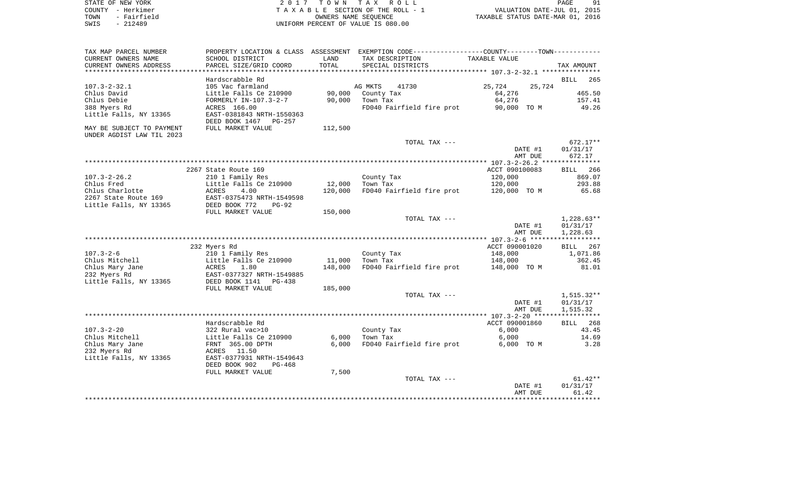| STATE OF NEW YORK   | 2017 TOWN TAX ROLL                 | -91<br>PAGE                      |
|---------------------|------------------------------------|----------------------------------|
| COUNTY - Herkimer   | TAXABLE SECTION OF THE ROLL - 1    | VALUATION DATE-JUL 01, 2015      |
| - Fairfield<br>TOWN | OWNERS NAME SEOUENCE               | TAXABLE STATUS DATE-MAR 01, 2016 |
| - 212489<br>SWIS    | UNIFORM PERCENT OF VALUE IS 080.00 |                                  |

| TAX MAP PARCEL NUMBER     |                                                                   |         | PROPERTY LOCATION & CLASS ASSESSMENT EXEMPTION CODE---------------COUNTY-------TOWN----------- |                  |                 |
|---------------------------|-------------------------------------------------------------------|---------|------------------------------------------------------------------------------------------------|------------------|-----------------|
| CURRENT OWNERS NAME       | SCHOOL DISTRICT                                                   | LAND    | TAX DESCRIPTION                                                                                | TAXABLE VALUE    |                 |
| CURRENT OWNERS ADDRESS    | PARCEL SIZE/GRID COORD                                            | TOTAL   | SPECIAL DISTRICTS                                                                              |                  | TAX AMOUNT      |
|                           |                                                                   |         |                                                                                                |                  |                 |
|                           | Hardscrabble Rd                                                   |         |                                                                                                |                  | BILL<br>265     |
| $107.3 - 2 - 32.1$        | 105 Vac farmland                                                  |         | AG MKTS<br>41730                                                                               | 25,724<br>25,724 |                 |
| Chlus David               | Little Falls Ce 210900                                            | 90,000  | County Tax                                                                                     | 64,276           | 465.50          |
| Chlus Debie               | FORMERLY IN-107.3-2-7                                             | 90,000  | Town Tax                                                                                       | 64,276           | 157.41          |
| 388 Myers Rd              | ACRES 166.00                                                      |         | FD040 Fairfield fire prot                                                                      | 90,000 TO M      | 49.26           |
| Little Falls, NY 13365    | EAST-0381843 NRTH-1550363                                         |         |                                                                                                |                  |                 |
|                           | DEED BOOK 1467 PG-257                                             |         |                                                                                                |                  |                 |
| MAY BE SUBJECT TO PAYMENT | FULL MARKET VALUE                                                 | 112,500 |                                                                                                |                  |                 |
| UNDER AGDIST LAW TIL 2023 |                                                                   |         |                                                                                                |                  |                 |
|                           |                                                                   |         | TOTAL TAX ---                                                                                  |                  | 672.17**        |
|                           |                                                                   |         |                                                                                                | DATE #1          | 01/31/17        |
|                           |                                                                   |         |                                                                                                | AMT DUE          | 672.17          |
|                           |                                                                   |         |                                                                                                |                  |                 |
|                           | 2267 State Route 169                                              |         |                                                                                                | ACCT 090100083   | BILL 266        |
| $107.3 - 2 - 26.2$        | 210 1 Family Res                                                  |         | County Tax                                                                                     | 120,000          | 869.07          |
| Chlus Fred                | Little Falls Ce 210900                                            | 12,000  | Town Tax                                                                                       | 120,000          | 293.88          |
| Chlus Charlotte           | <b>DICCIO</b><br>ACRES<br>4.00                                    | 120,000 | FD040 Fairfield fire prot                                                                      | 120,000 TO M     | 65.68           |
| 2267 State Route 169      | EAST-0375473 NRTH-1549598                                         |         |                                                                                                |                  |                 |
| Little Falls, NY 13365    | DEED BOOK 772<br>$PG-92$                                          |         |                                                                                                |                  |                 |
|                           | FULL MARKET VALUE                                                 | 150,000 |                                                                                                |                  |                 |
|                           |                                                                   |         | TOTAL TAX ---                                                                                  |                  | $1,228.63**$    |
|                           |                                                                   |         |                                                                                                | DATE #1          | 01/31/17        |
|                           |                                                                   |         |                                                                                                | AMT DUE          | 1,228.63        |
|                           |                                                                   |         |                                                                                                |                  |                 |
|                           |                                                                   |         |                                                                                                | ACCT 090001020   | 267             |
|                           | 232 Myers Rd                                                      |         |                                                                                                |                  | BILL            |
| $107.3 - 2 - 6$           | 210 1 Family Res                                                  |         | County Tax                                                                                     | 148,000          | 1,071.86        |
| Chlus Mitchell            | Little Falls Ce 210900<br>ACRES 1.80<br>EAST-0377327 NRTH-1549885 | 11,000  | Town Tax                                                                                       | 148,000          | 362.45          |
| Chlus Mary Jane           |                                                                   | 148,000 | FD040 Fairfield fire prot                                                                      | 148,000 TO M     | 81.01           |
| 232 Myers Rd              |                                                                   |         |                                                                                                |                  |                 |
| Little Falls, NY 13365    | DEED BOOK 1141<br>PG-438                                          |         |                                                                                                |                  |                 |
|                           | FULL MARKET VALUE                                                 | 185,000 |                                                                                                |                  |                 |
|                           |                                                                   |         | TOTAL TAX ---                                                                                  |                  | 1,515.32**      |
|                           |                                                                   |         |                                                                                                | DATE #1          | 01/31/17        |
|                           |                                                                   |         |                                                                                                | AMT DUE          | 1,515.32        |
|                           |                                                                   |         |                                                                                                |                  |                 |
|                           | Hardscrabble Rd                                                   |         |                                                                                                | ACCT 090001860   | <b>BILL</b> 268 |
| $107.3 - 2 - 20$          | 322 Rural vac>10                                                  |         | County Tax                                                                                     | 6,000            | 43.45           |
| Chlus Mitchell            | Little Falls Ce 210900<br>FRNT 365.00 DPTH                        | 6,000   | Town Tax                                                                                       | 6,000            | 14.69           |
| Chlus Mary Jane           |                                                                   | 6,000   | FD040 Fairfield fire prot                                                                      | 6,000 TO M       | 3.28            |
| 232 Myers Rd              | 11.50<br>ACRES                                                    |         |                                                                                                |                  |                 |
| Little Falls, NY 13365    | EAST-0377931 NRTH-1549643                                         |         |                                                                                                |                  |                 |
|                           | DEED BOOK 902<br>$PG-468$                                         |         |                                                                                                |                  |                 |
|                           | FULL MARKET VALUE                                                 | 7,500   |                                                                                                |                  |                 |
|                           |                                                                   |         | TOTAL TAX ---                                                                                  |                  | $61.42**$       |
|                           |                                                                   |         |                                                                                                | DATE #1          | 01/31/17        |
|                           |                                                                   |         |                                                                                                | AMT DUE          | 61.42           |
|                           |                                                                   |         |                                                                                                |                  |                 |
|                           |                                                                   |         |                                                                                                |                  |                 |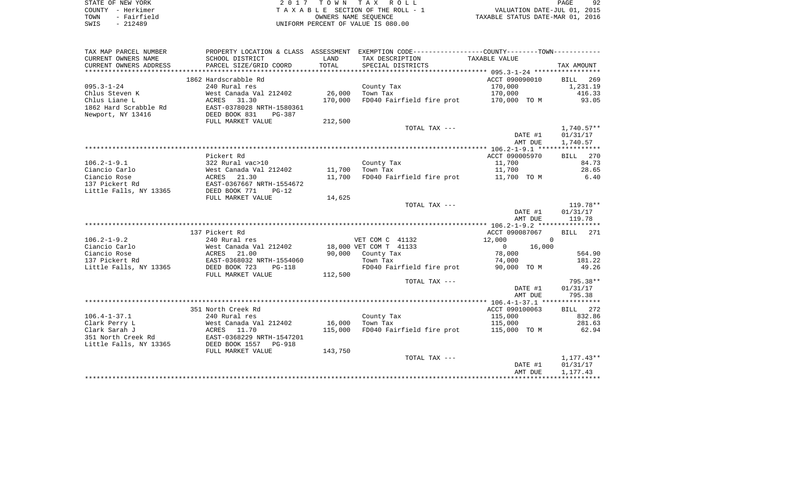| STATE OF NEW YORK   | 2017 TOWN TAX ROLL                 | 92<br>PAGE                       |
|---------------------|------------------------------------|----------------------------------|
| COUNTY - Herkimer   | TAXABLE SECTION OF THE ROLL - 1    | VALUATION DATE-JUL 01, 2015      |
| - Fairfield<br>TOWN | OWNERS NAME SEOUENCE               | TAXABLE STATUS DATE-MAR 01, 2016 |
| SWIS<br>$-212489$   | UNIFORM PERCENT OF VALUE IS 080.00 |                                  |

| TAX MAP PARCEL NUMBER  |                                                                                                                                                             |         | PROPERTY LOCATION & CLASS ASSESSMENT EXEMPTION CODE----------------COUNTY--------TOWN---------- |                          |              |
|------------------------|-------------------------------------------------------------------------------------------------------------------------------------------------------------|---------|-------------------------------------------------------------------------------------------------|--------------------------|--------------|
| CURRENT OWNERS NAME    | SCHOOL DISTRICT                                                                                                                                             | LAND    | TAX DESCRIPTION                                                                                 | TAXABLE VALUE            |              |
| CURRENT OWNERS ADDRESS | PARCEL SIZE/GRID COORD                                                                                                                                      | TOTAL   | SPECIAL DISTRICTS                                                                               |                          | TAX AMOUNT   |
|                        |                                                                                                                                                             |         |                                                                                                 |                          |              |
|                        | 1862 Hardscrabble Rd                                                                                                                                        |         |                                                                                                 | ACCT 090090010           | BILL 269     |
| $095.3 - 1 - 24$       | 240 Rural res                                                                                                                                               |         | County Tax                                                                                      | 170,000                  | 1,231.19     |
| Chlus Steven K         | West Canada Val 212402                                                                                                                                      | 26,000  | Town Tax                                                                                        | 170,000                  | 416.33       |
| Chlus Liane L          | ACRES 31.30                                                                                                                                                 | 170,000 | FD040 Fairfield fire prot 170,000 TO M                                                          |                          | 93.05        |
| 1862 Hard Scrabble Rd  | EAST-0378028 NRTH-1580361                                                                                                                                   |         |                                                                                                 |                          |              |
| Newport, NY 13416      | DEED BOOK 831<br>PG-387                                                                                                                                     |         |                                                                                                 |                          |              |
|                        | FULL MARKET VALUE                                                                                                                                           | 212,500 |                                                                                                 |                          |              |
|                        |                                                                                                                                                             |         | TOTAL TAX ---                                                                                   |                          | $1,740.57**$ |
|                        |                                                                                                                                                             |         |                                                                                                 | DATE #1                  | 01/31/17     |
|                        |                                                                                                                                                             |         |                                                                                                 | AMT DUE                  | 1,740.57     |
|                        |                                                                                                                                                             |         |                                                                                                 |                          |              |
|                        | Pickert Rd                                                                                                                                                  |         |                                                                                                 | ACCT 090005970           | BILL 270     |
| $106.2 - 1 - 9.1$      | 322 Rural vac>10                                                                                                                                            |         | County Tax                                                                                      | 11,700                   | 84.73        |
| Ciancio Carlo          | West Canada Val 212402           11,700    Town  Tax<br>ACRES     21.30                                  11,700     FD040  Fai<br>EAST-0367667 NRTH-1554672 |         |                                                                                                 | 11,700                   | 28.65        |
| Ciancio Rose           |                                                                                                                                                             |         | FD040 Fairfield fire prot 11,700 TO M                                                           |                          | 6.40         |
| 137 Pickert Rd         |                                                                                                                                                             |         |                                                                                                 |                          |              |
| Little Falls, NY 13365 | DEED BOOK 771<br>$PG-12$                                                                                                                                    |         |                                                                                                 |                          |              |
|                        | FULL MARKET VALUE                                                                                                                                           | 14,625  |                                                                                                 |                          |              |
|                        |                                                                                                                                                             |         | TOTAL TAX ---                                                                                   |                          | 119.78**     |
|                        |                                                                                                                                                             |         |                                                                                                 | DATE #1                  | 01/31/17     |
|                        |                                                                                                                                                             |         |                                                                                                 | AMT DUE                  | 119.78       |
|                        |                                                                                                                                                             |         |                                                                                                 |                          |              |
|                        | 137 Pickert Rd                                                                                                                                              |         |                                                                                                 | ACCT 090087067           | BILL 271     |
| $106.2 - 1 - 9.2$      | 240 Rural res                                                                                                                                               |         | VET COM C 41132                                                                                 | 12,000<br>$\overline{0}$ |              |
| Ciancio Carlo          |                                                                                                                                                             |         | 18,000 VET COM T 41133                                                                          | $\Omega$<br>16,000       |              |
| Ciancio Rose           | nest Canada val 212402<br>ACRES 21.00<br>EAST-0368032 NRTH-1554060                                                                                          |         | 90,000 County Tax                                                                               | 78,000                   | 564.90       |
| 137 Pickert Rd         |                                                                                                                                                             |         | Town Tax                                                                                        | 74,000                   | 181.22       |
| Little Falls, NY 13365 | DEED BOOK 723<br>PG-118                                                                                                                                     |         | FD040 Fairfield fire prot                                                                       | 90,000 TO M              | 49.26        |
|                        | FULL MARKET VALUE                                                                                                                                           | 112,500 |                                                                                                 |                          |              |
|                        |                                                                                                                                                             |         | TOTAL TAX ---                                                                                   |                          | 795.38**     |
|                        |                                                                                                                                                             |         |                                                                                                 | DATE #1                  | 01/31/17     |
|                        |                                                                                                                                                             |         |                                                                                                 | AMT DUE                  | 795.38       |
|                        |                                                                                                                                                             |         |                                                                                                 |                          |              |
|                        | 351 North Creek Rd                                                                                                                                          |         |                                                                                                 | ACCT 090100063           | BILL 272     |
| $106.4 - 1 - 37.1$     | 240 Rural res                                                                                                                                               |         | County Tax                                                                                      | 115,000                  | 832.86       |
| Clark Perry L          |                                                                                                                                                             | 16,000  | Town Tax                                                                                        | 115,000                  | 281.63       |
| Clark Sarah J          | West Canada Val 212402<br>ACRES 11.70<br>EAST-0368229 NRTH-1547201<br>DEED BOOK 1557 PG-918                                                                 | 115,000 | FD040 Fairfield fire prot 115,000 TO M                                                          |                          | 62.94        |
| 351 North Creek Rd     |                                                                                                                                                             |         |                                                                                                 |                          |              |
| Little Falls, NY 13365 |                                                                                                                                                             |         |                                                                                                 |                          |              |
|                        | FULL MARKET VALUE                                                                                                                                           | 143,750 |                                                                                                 |                          |              |
|                        |                                                                                                                                                             |         | TOTAL TAX ---                                                                                   |                          | $1,177.43**$ |
|                        |                                                                                                                                                             |         |                                                                                                 | DATE #1                  | 01/31/17     |
|                        |                                                                                                                                                             |         |                                                                                                 | AMT DUE                  | 1,177.43     |
|                        |                                                                                                                                                             |         |                                                                                                 |                          |              |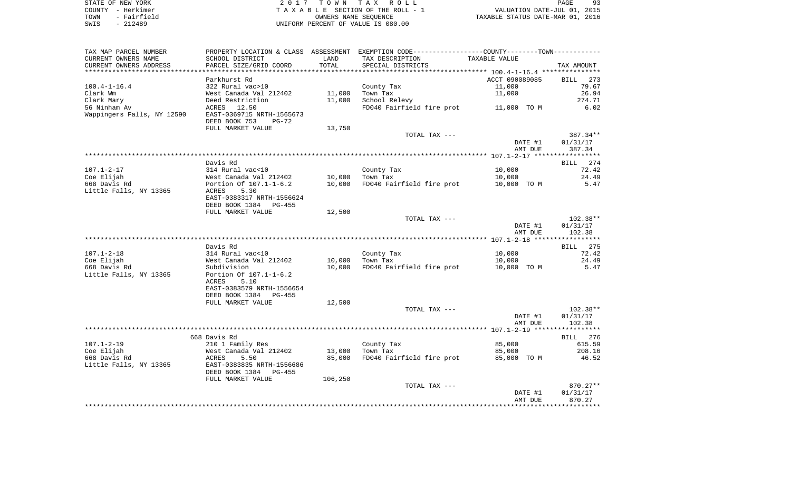| STATE OF NEW YORK   | 2017 TOWN TAX ROLL                 | PAGE                             |
|---------------------|------------------------------------|----------------------------------|
| COUNTY - Herkimer   | TAXABLE SECTION OF THE ROLL - 1    | VALUATION DATE-JUL 01, 2015      |
| - Fairfield<br>TOWN | OWNERS NAME SEOUENCE               | TAXABLE STATUS DATE-MAR 01, 2016 |
| $-212489$<br>SWIS   | UNIFORM PERCENT OF VALUE IS 080.00 |                                  |

| TAX MAP PARCEL NUMBER  |                                                                                                 |         | PROPERTY LOCATION & CLASS ASSESSMENT EXEMPTION CODE---------------COUNTY-------TOWN---------- |                |            |
|------------------------|-------------------------------------------------------------------------------------------------|---------|-----------------------------------------------------------------------------------------------|----------------|------------|
| CURRENT OWNERS NAME    | SCHOOL DISTRICT                                                                                 | LAND    | TAX DESCRIPTION                                                                               | TAXABLE VALUE  |            |
| CURRENT OWNERS ADDRESS | PARCEL SIZE/GRID COORD                                                                          | TOTAL   | SPECIAL DISTRICTS                                                                             |                | TAX AMOUNT |
|                        |                                                                                                 |         |                                                                                               |                |            |
|                        | Parkhurst Rd                                                                                    |         |                                                                                               | ACCT 090089085 | BILL 273   |
| $100.4 - 1 - 16.4$     | 322 Rural vac>10                                                                                |         | County Tax                                                                                    | 11,000         | 79.67      |
| Clark Wm               | West Canada Val 212402                                                                          | 11,000  | Town Tax                                                                                      | 11,000         | 26.94      |
| Clark Mary             | Deed Restriction                                                                                | 11,000  | School Relevy                                                                                 |                | 274.71     |
| 56 Ninham Av           | ACRES 12.50                                                                                     |         | FD040 Fairfield fire prot 11,000 TO M                                                         |                | 6.02       |
|                        |                                                                                                 |         |                                                                                               |                |            |
|                        | DEED BOOK 753<br>PG-72                                                                          |         |                                                                                               |                |            |
|                        | FULL MARKET VALUE                                                                               | 13,750  |                                                                                               |                |            |
|                        |                                                                                                 |         | TOTAL TAX ---                                                                                 |                | 387.34**   |
|                        |                                                                                                 |         |                                                                                               | DATE #1        | 01/31/17   |
|                        |                                                                                                 |         |                                                                                               | AMT DUE        | 387.34     |
|                        |                                                                                                 |         |                                                                                               |                |            |
|                        | Davis Rd                                                                                        |         |                                                                                               |                | BILL 274   |
| 107.1-2-17             | 314 Rural vac<10                                                                                |         | County Tax                                                                                    | 10,000         | 72.42      |
| Coe Elijah             | 314 Ruiai voor<br>West Canada Val 212402<br>Portion Of 107.1-1-6.2<br>ACRES 5.300 Portion 15566 | 10,000  | Town Tax                                                                                      | 10,000         | 24.49      |
| 668 Davis Rd           |                                                                                                 | 10,000  | FD040 Fairfield fire prot                                                                     | 10,000 TO M    | 5.47       |
| Little Falls, NY 13365 |                                                                                                 |         |                                                                                               |                |            |
|                        | EAST-0383317 NRTH-1556624                                                                       |         |                                                                                               |                |            |
|                        | DEED BOOK 1384 PG-455                                                                           |         |                                                                                               |                |            |
|                        | FULL MARKET VALUE                                                                               | 12,500  |                                                                                               |                |            |
|                        |                                                                                                 |         | TOTAL TAX ---                                                                                 |                | 102.38**   |
|                        |                                                                                                 |         |                                                                                               | DATE #1        | 01/31/17   |
|                        |                                                                                                 |         |                                                                                               | AMT DUE        | 102.38     |
|                        |                                                                                                 |         |                                                                                               |                |            |
|                        | Davis Rd                                                                                        |         |                                                                                               |                | BILL 275   |
| $107.1 - 2 - 18$       | 314 Rural vac<10<br>West Canada Val 212402<br>Sabelici                                          |         | County Tax                                                                                    | 10,000         | 72.42      |
| Coe Elijah             |                                                                                                 | 10,000  | Town Tax                                                                                      | 10,000         | 24.49      |
| 668 Davis Rd           | Subdivision                                                                                     | 10,000  | FD040 Fairfield fire prot                                                                     | 10,000 TO M    | 5.47       |
| Little Falls, NY 13365 | Portion Of 107.1-1-6.2                                                                          |         |                                                                                               |                |            |
|                        | ACRES<br>5.10                                                                                   |         |                                                                                               |                |            |
|                        | EAST-0383579 NRTH-1556654                                                                       |         |                                                                                               |                |            |
|                        | DEED BOOK 1384<br>PG-455                                                                        |         |                                                                                               |                |            |
|                        | FULL MARKET VALUE                                                                               | 12,500  |                                                                                               |                |            |
|                        |                                                                                                 |         | TOTAL TAX ---                                                                                 |                | 102.38**   |
|                        |                                                                                                 |         |                                                                                               | DATE #1        | 01/31/17   |
|                        |                                                                                                 |         |                                                                                               | AMT DUE        | 102.38     |
|                        |                                                                                                 |         |                                                                                               |                |            |
|                        | 668 Davis Rd                                                                                    |         |                                                                                               |                | BILL 276   |
| 107.1-2-19             | 210 1 Family Res                                                                                |         | County Tax                                                                                    | 85,000         | 615.59     |
| Coe Elijah             | West Canada Val 212402                                                                          | 13,000  | Town Tax                                                                                      | 85,000         | 208.16     |
| 668 Davis Rd           | ACRES<br>5.50                                                                                   | 85,000  | FD040 Fairfield fire prot                                                                     | 85,000 TO M    | 46.52      |
| Little Falls, NY 13365 | EAST-0383835 NRTH-1556686                                                                       |         |                                                                                               |                |            |
|                        | DEED BOOK 1384 PG-455                                                                           |         |                                                                                               |                |            |
|                        | FULL MARKET VALUE                                                                               | 106,250 |                                                                                               |                |            |
|                        |                                                                                                 |         | TOTAL TAX ---                                                                                 |                | 870.27**   |
|                        |                                                                                                 |         |                                                                                               | DATE #1        | 01/31/17   |
|                        |                                                                                                 |         |                                                                                               | AMT DUE        | 870.27     |
|                        |                                                                                                 |         |                                                                                               |                |            |
|                        |                                                                                                 |         |                                                                                               |                |            |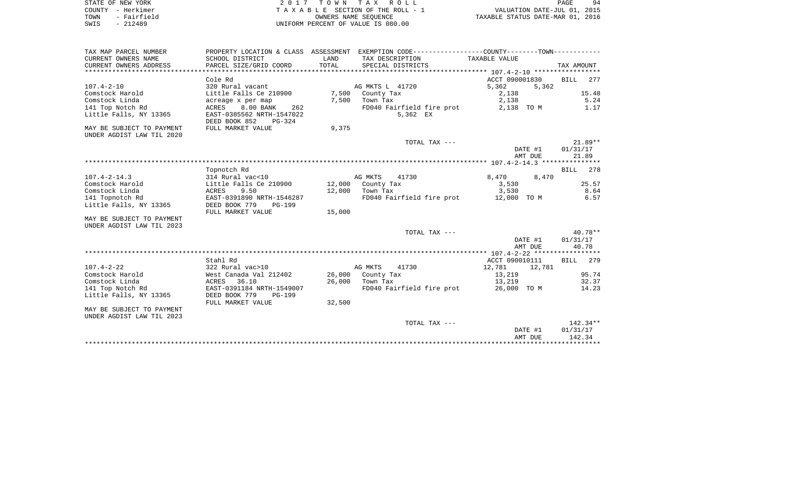| STATE OF NEW YORK   | 2017 TOWN TAX ROLL                 | 94<br>PAGE                       |
|---------------------|------------------------------------|----------------------------------|
| COUNTY - Herkimer   | TAXABLE SECTION OF THE ROLL - 1    | VALUATION DATE-JUL 01, 2015      |
| - Fairfield<br>TOWN | OWNERS NAME SEOUENCE               | TAXABLE STATUS DATE-MAR 01, 2016 |
| $-212489$<br>SWIS   | UNIFORM PERCENT OF VALUE IS 080.00 |                                  |

| TAX MAP PARCEL NUMBER     |                                  |        | PROPERTY LOCATION & CLASS ASSESSMENT EXEMPTION CODE---------------COUNTY-------TOWN---------- |                |         |             |
|---------------------------|----------------------------------|--------|-----------------------------------------------------------------------------------------------|----------------|---------|-------------|
| CURRENT OWNERS NAME       | SCHOOL DISTRICT                  | LAND   | TAX DESCRIPTION                                                                               | TAXABLE VALUE  |         |             |
| CURRENT OWNERS ADDRESS    | PARCEL SIZE/GRID COORD           | TOTAL  | SPECIAL DISTRICTS                                                                             |                |         | TAX AMOUNT  |
|                           |                                  |        |                                                                                               |                |         |             |
|                           | Cole Rd                          |        |                                                                                               | ACCT 090001830 |         | BILL 277    |
| $107.4 - 2 - 10$          | 320 Rural vacant                 |        | AG MKTS L 41720                                                                               | 5,362          | 5,362   |             |
| Comstock Harold           | Little Falls Ce 210900           | 7,500  | County Tax                                                                                    | 2,138          |         | 15.48       |
| Comstock Linda            | acreage x per map                | 7,500  | Town Tax                                                                                      | 2,138          |         | 5.24        |
| 141 Top Notch Rd          | <b>ACRES</b><br>8.00 BANK<br>262 |        | FD040 Fairfield fire prot                                                                     | 2,138 TO M     |         | 1.17        |
| Little Falls, NY 13365    | EAST-0385562 NRTH-1547022        |        | 5,362 EX                                                                                      |                |         |             |
|                           | DEED BOOK 852<br>$PG-324$        |        |                                                                                               |                |         |             |
| MAY BE SUBJECT TO PAYMENT | FULL MARKET VALUE                | 9,375  |                                                                                               |                |         |             |
| UNDER AGDIST LAW TIL 2020 |                                  |        |                                                                                               |                |         |             |
|                           |                                  |        | TOTAL TAX ---                                                                                 |                |         | $21.89**$   |
|                           |                                  |        |                                                                                               |                | DATE #1 | 01/31/17    |
|                           |                                  |        |                                                                                               |                | AMT DUE | 21.89       |
|                           |                                  |        |                                                                                               |                |         |             |
|                           | Topnotch Rd                      |        |                                                                                               |                |         | BILL<br>278 |
| $107.4 - 2 - 14.3$        | 314 Rural vac<10                 |        | AG MKTS<br>41730                                                                              | 8,470          | 8,470   |             |
| Comstock Harold           | Little Falls Ce 210900           |        | 12,000 County Tax                                                                             | 3,530          |         | 25.57       |
| Comstock Linda            | ACRES<br>9.50                    | 12,000 | Town Tax                                                                                      | 3,530          |         | 8.64        |
| 141 Topnotch Rd           | EAST-0391890 NRTH-1546287        |        | FD040 Fairfield fire prot 12,000 TO M                                                         |                |         | 6.57        |
| Little Falls, NY 13365    | DEED BOOK 779<br><b>PG-199</b>   |        |                                                                                               |                |         |             |
|                           | FULL MARKET VALUE                | 15,000 |                                                                                               |                |         |             |
| MAY BE SUBJECT TO PAYMENT |                                  |        |                                                                                               |                |         |             |
| UNDER AGDIST LAW TIL 2023 |                                  |        |                                                                                               |                |         |             |
|                           |                                  |        | TOTAL TAX ---                                                                                 |                |         | $40.78**$   |
|                           |                                  |        |                                                                                               |                | DATE #1 | 01/31/17    |
|                           |                                  |        |                                                                                               |                | AMT DUE | 40.78       |
|                           |                                  |        |                                                                                               |                |         |             |
|                           | Stahl Rd                         |        |                                                                                               | ACCT 090010111 |         | 279<br>BILL |
| $107.4 - 2 - 22$          | 322 Rural vac>10                 |        | AG MKTS<br>41730                                                                              | 12,781         | 12,781  |             |
| Comstock Harold           | West Canada Val 212402           |        | 26,000 County Tax                                                                             | 13,219         |         | 95.74       |
| Comstock Linda            | 36.10<br>ACRES                   | 26,000 | Town Tax                                                                                      | 13,219         |         | 32.37       |
| 141 Top Notch Rd          | EAST-0391184 NRTH-1549007        |        | FD040 Fairfield fire prot 26,000 TO M                                                         |                |         | 14.23       |
| Little Falls, NY 13365    | DEED BOOK 779                    |        |                                                                                               |                |         |             |
|                           | <b>PG-199</b>                    |        |                                                                                               |                |         |             |
|                           | FULL MARKET VALUE                | 32,500 |                                                                                               |                |         |             |
| MAY BE SUBJECT TO PAYMENT |                                  |        |                                                                                               |                |         |             |
| UNDER AGDIST LAW TIL 2023 |                                  |        |                                                                                               |                |         |             |
|                           |                                  |        | TOTAL TAX ---                                                                                 |                |         | $142.34**$  |
|                           |                                  |        |                                                                                               |                | DATE #1 | 01/31/17    |
|                           |                                  |        |                                                                                               |                | AMT DUE | 142.34      |
|                           |                                  |        |                                                                                               |                |         |             |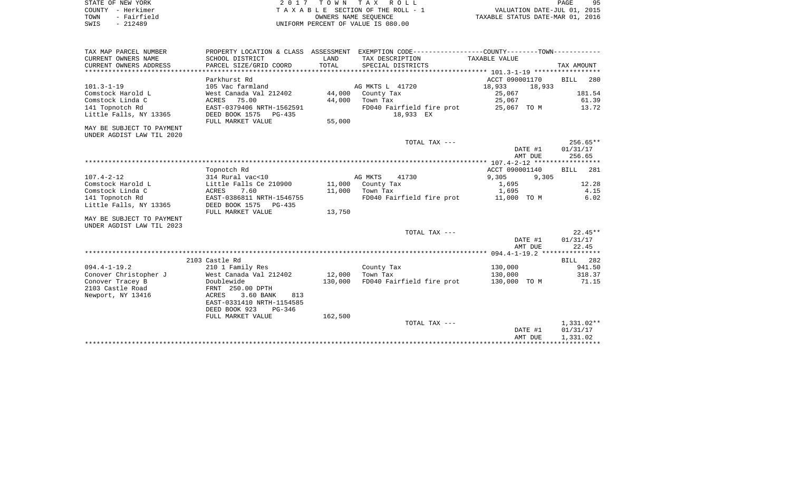| STATE OF NEW YORK    | 2017 TOWN TAX ROLL                 | 95<br>PAGE                       |
|----------------------|------------------------------------|----------------------------------|
| – Herkimer<br>COUNTY | TAXABLE SECTION OF THE ROLL - 1    | VALUATION DATE-JUL 01, 2015      |
| - Fairfield<br>TOWN  | OWNERS NAME SEOUENCE               | TAXABLE STATUS DATE-MAR 01, 2016 |
| - 212489<br>SWIS     | UNIFORM PERCENT OF VALUE IS 080.00 |                                  |

| TAX MAP PARCEL NUMBER<br>CURRENT OWNERS NAME | SCHOOL DISTRICT           | LAND    | PROPERTY LOCATION & CLASS ASSESSMENT EXEMPTION CODE----------------COUNTY-------TOWN----------<br>TAX DESCRIPTION | TAXABLE VALUE      |                        |
|----------------------------------------------|---------------------------|---------|-------------------------------------------------------------------------------------------------------------------|--------------------|------------------------|
| CURRENT OWNERS ADDRESS                       | PARCEL SIZE/GRID COORD    | TOTAL   | SPECIAL DISTRICTS                                                                                                 |                    | TAX AMOUNT             |
|                                              | Parkhurst Rd              |         |                                                                                                                   | ACCT 090001170     | <b>BILL</b><br>280     |
| $101.3 - 1 - 19$                             | 105 Vac farmland          |         | AG MKTS L 41720                                                                                                   | 18,933<br>18,933   |                        |
| Comstock Harold L                            | West Canada Val 212402    |         | 44,000 County Tax                                                                                                 | 25,067             | 181.54                 |
| Comstock Linda C                             | ACRES 75.00               | 44,000  | Town Tax                                                                                                          | 25,067             | 61.39                  |
| 141 Topnotch Rd                              | EAST-0379406 NRTH-1562591 |         | FD040 Fairfield fire prot                                                                                         | 25,067 TO M        | 13.72                  |
| Little Falls, NY 13365                       | DEED BOOK 1575<br>PG-435  |         | 18,933 EX                                                                                                         |                    |                        |
|                                              | FULL MARKET VALUE         | 55,000  |                                                                                                                   |                    |                        |
| MAY BE SUBJECT TO PAYMENT                    |                           |         |                                                                                                                   |                    |                        |
| UNDER AGDIST LAW TIL 2020                    |                           |         |                                                                                                                   |                    |                        |
|                                              |                           |         | TOTAL TAX ---                                                                                                     |                    | $256.65**$             |
|                                              |                           |         |                                                                                                                   | DATE #1<br>AMT DUE | 01/31/17<br>256.65     |
|                                              |                           |         |                                                                                                                   |                    |                        |
|                                              | Topnotch Rd               |         |                                                                                                                   | ACCT 090001140     | BILL<br>281            |
| $107.4 - 2 - 12$                             | 314 Rural vac<10          |         | AG MKTS<br>41730                                                                                                  | 9,305<br>9,305     |                        |
| Comstock Harold L                            | Little Falls Ce 210900    |         | 11,000 County Tax                                                                                                 | 1,695              | 12.28                  |
| Comstock Linda C                             | ACRES 7.60                |         | 11,000 Town Tax                                                                                                   | 1,695              | 4.15                   |
| 141 Topnotch Rd                              | EAST-0386811 NRTH-1546755 |         | FD040 Fairfield fire prot 11,000 TO M                                                                             |                    | 6.02                   |
| Little Falls, NY 13365                       | DEED BOOK 1575 PG-435     |         |                                                                                                                   |                    |                        |
|                                              | FULL MARKET VALUE         | 13,750  |                                                                                                                   |                    |                        |
| MAY BE SUBJECT TO PAYMENT                    |                           |         |                                                                                                                   |                    |                        |
| UNDER AGDIST LAW TIL 2023                    |                           |         |                                                                                                                   |                    |                        |
|                                              |                           |         | TOTAL TAX ---                                                                                                     |                    | $22.45**$              |
|                                              |                           |         |                                                                                                                   | DATE #1<br>AMT DUE | 01/31/17<br>22.45      |
|                                              |                           |         |                                                                                                                   |                    |                        |
|                                              | 2103 Castle Rd            |         |                                                                                                                   |                    | BILL 282               |
| $094.4 - 1 - 19.2$                           | 210 1 Family Res          |         | County Tax                                                                                                        | 130,000            | 941.50                 |
| Conover Christopher J                        | West Canada Val 212402    | 12,000  | Town Tax                                                                                                          | 130,000            | 318.37                 |
| Conover Tracey B                             | Doublewide                | 130,000 | FD040 Fairfield fire prot                                                                                         | 130,000 TO M       | 71.15                  |
| 2103 Castle Road                             | FRNT 250.00 DPTH          |         |                                                                                                                   |                    |                        |
| Newport, NY 13416                            | ACRES<br>3.60 BANK<br>813 |         |                                                                                                                   |                    |                        |
|                                              | EAST-0331410 NRTH-1154585 |         |                                                                                                                   |                    |                        |
|                                              | DEED BOOK 923<br>PG-346   |         |                                                                                                                   |                    |                        |
|                                              | FULL MARKET VALUE         | 162,500 |                                                                                                                   |                    |                        |
|                                              |                           |         | TOTAL TAX ---                                                                                                     | DATE #1            | 1,331.02**<br>01/31/17 |
|                                              |                           |         |                                                                                                                   | AMT DUE            | 1,331.02               |
|                                              |                           |         |                                                                                                                   |                    |                        |

95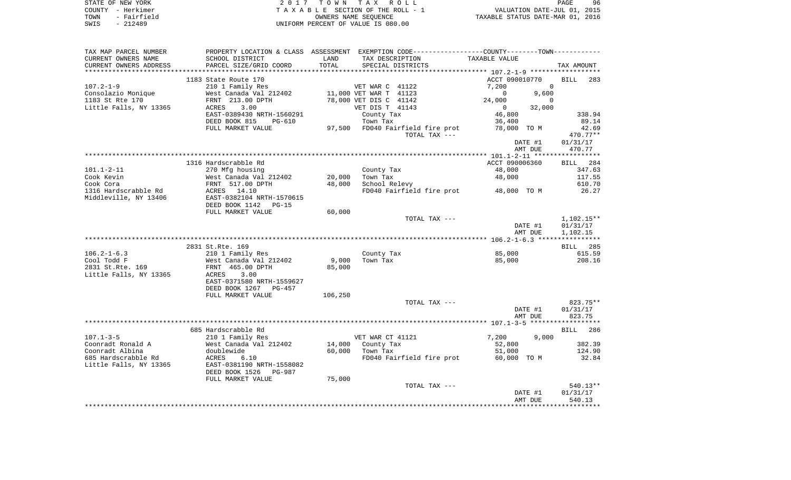| STATE OF NEW YORK   | 2017 TOWN TAX ROLL                 | 96<br>PAGE                       |
|---------------------|------------------------------------|----------------------------------|
| COUNTY - Herkimer   | TAXABLE SECTION OF THE ROLL - 1    | VALUATION DATE-JUL 01, 2015      |
| - Fairfield<br>TOWN | OWNERS NAME SEOUENCE               | TAXABLE STATUS DATE-MAR 01, 2016 |
| - 212489<br>SWIS    | UNIFORM PERCENT OF VALUE IS 080.00 |                                  |

| TAX MAP PARCEL NUMBER  |                                 |         |                                  | PROPERTY LOCATION & CLASS ASSESSMENT EXEMPTION CODE----------------COUNTY--------TOWN----------- |                    |
|------------------------|---------------------------------|---------|----------------------------------|--------------------------------------------------------------------------------------------------|--------------------|
| CURRENT OWNERS NAME    | SCHOOL DISTRICT                 | LAND    | TAX DESCRIPTION                  | TAXABLE VALUE                                                                                    |                    |
| CURRENT OWNERS ADDRESS | PARCEL SIZE/GRID COORD          | TOTAL   | SPECIAL DISTRICTS                |                                                                                                  | TAX AMOUNT         |
|                        |                                 |         |                                  |                                                                                                  |                    |
|                        | 1183 State Route 170            |         |                                  | ACCT 090010770                                                                                   | <b>BILL</b><br>283 |
| $107.2 - 1 - 9$        | 210 1 Family Res                |         | VET WAR C 41122                  | 7,200<br>$\mathbf 0$                                                                             |                    |
| Consolazio Monique     | West Canada Val 212402          |         | 11,000 VET WAR T 41123           | $\mathbf 0$<br>9,600                                                                             |                    |
| 1183 St Rte 170        | FRNT 213.00 DPTH                |         | 78,000 VET DIS C 41142           | 24,000<br>0                                                                                      |                    |
| Little Falls, NY 13365 | 3.00<br>ACRES                   |         | VET DIS T 41143                  | 32,000<br>$\mathbf{0}$                                                                           |                    |
|                        | EAST-0389430 NRTH-1560291       |         | County Tax                       | 46,800                                                                                           | 338.94             |
|                        | DEED BOOK 815<br><b>PG-610</b>  |         | Town Tax                         | 36,400                                                                                           | 89.14              |
|                        | FULL MARKET VALUE               |         | 97,500 FD040 Fairfield fire prot | 78,000 TO M                                                                                      | 42.69              |
|                        |                                 |         | TOTAL TAX ---                    |                                                                                                  | 470.77**           |
|                        |                                 |         |                                  | DATE #1                                                                                          | 01/31/17           |
|                        |                                 |         |                                  | AMT DUE                                                                                          | 470.77             |
|                        |                                 |         |                                  |                                                                                                  |                    |
|                        | 1316 Hardscrabble Rd            |         |                                  | ACCT 090006360                                                                                   | 284<br>BILL        |
| $101.1 - 2 - 11$       | 270 Mfg housing                 |         | County Tax                       | 48,000                                                                                           | 347.63             |
| Cook Kevin             | West Canada Val 212402          | 20,000  | Town Tax                         | 48,000                                                                                           | 117.55             |
| Cook Cora              | FRNT 517.00 DPTH                | 48,000  | School Relevy                    |                                                                                                  | 610.70             |
| 1316 Hardscrabble Rd   | ACRES 14.10                     |         | FD040 Fairfield fire prot        | 48,000 TO M                                                                                      | 26.27              |
| Middleville, NY 13406  | EAST-0382104 NRTH-1570615       |         |                                  |                                                                                                  |                    |
|                        | DEED BOOK 1142<br>$PG-15$       |         |                                  |                                                                                                  |                    |
|                        | FULL MARKET VALUE               | 60,000  |                                  |                                                                                                  |                    |
|                        |                                 |         | TOTAL TAX ---                    |                                                                                                  | $1,102.15**$       |
|                        |                                 |         |                                  | DATE #1                                                                                          | 01/31/17           |
|                        |                                 |         |                                  | AMT DUE                                                                                          | 1,102.15           |
|                        |                                 |         |                                  |                                                                                                  |                    |
|                        | 2831 St.Rte. 169                |         |                                  |                                                                                                  | 285<br>BILL        |
| $106.2 - 1 - 6.3$      | 210 1 Family Res                |         | County Tax                       | 85,000                                                                                           | 615.59             |
| Cool Todd F            | West Canada Val 212402          | 9,000   | Town Tax                         | 85,000                                                                                           | 208.16             |
| 2831 St.Rte. 169       | FRNT 465.00 DPTH                | 85,000  |                                  |                                                                                                  |                    |
| Little Falls, NY 13365 | 3.00<br>ACRES                   |         |                                  |                                                                                                  |                    |
|                        | EAST-0371580 NRTH-1559627       |         |                                  |                                                                                                  |                    |
|                        | DEED BOOK 1267<br>$PG-457$      |         |                                  |                                                                                                  |                    |
|                        | FULL MARKET VALUE               | 106,250 |                                  |                                                                                                  |                    |
|                        |                                 |         | TOTAL TAX ---                    |                                                                                                  | 823.75**           |
|                        |                                 |         |                                  |                                                                                                  |                    |
|                        |                                 |         |                                  | DATE #1                                                                                          | 01/31/17           |
|                        |                                 |         |                                  | AMT DUE                                                                                          | 823.75             |
|                        |                                 |         |                                  |                                                                                                  |                    |
| $107.1 - 3 - 5$        | 685 Hardscrabble Rd             |         |                                  | 7,200<br>9,000                                                                                   | BILL 286           |
|                        | 210 1 Family Res                |         | VET WAR CT 41121                 |                                                                                                  |                    |
| Coonradt Ronald A      | West Canada Val 212402          | 14,000  | County Tax                       | 52,800                                                                                           | 382.39             |
| Coonradt Albina        | doublewide                      | 60,000  | Town Tax                         | 51,000                                                                                           | 124.90             |
| 685 Hardscrabble Rd    | ACRES<br>6.10                   |         | FD040 Fairfield fire prot        | 60,000 TO M                                                                                      | 32.84              |
| Little Falls, NY 13365 | EAST-0381190 NRTH-1558082       |         |                                  |                                                                                                  |                    |
|                        | DEED BOOK 1526<br><b>PG-987</b> |         |                                  |                                                                                                  |                    |
|                        | FULL MARKET VALUE               | 75,000  |                                  |                                                                                                  |                    |
|                        |                                 |         | TOTAL TAX ---                    |                                                                                                  | 540.13**           |
|                        |                                 |         |                                  | DATE #1                                                                                          | 01/31/17           |
|                        |                                 |         |                                  | AMT DUE                                                                                          | 540.13             |
|                        |                                 |         |                                  |                                                                                                  |                    |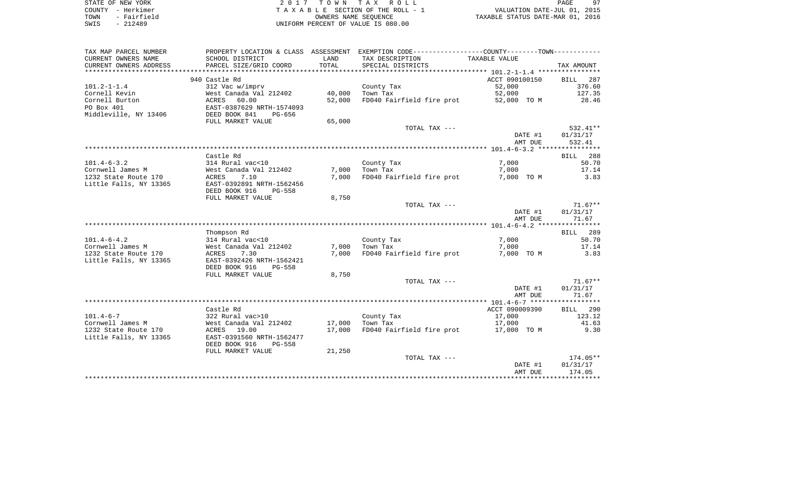| STATE OF NEW YORK   | 2017 TOWN TAX ROLL                 | 97<br>PAGE                       |
|---------------------|------------------------------------|----------------------------------|
| COUNTY - Herkimer   | TAXABLE SECTION OF THE ROLL - 1    | VALUATION DATE-JUL 01, 2015      |
| - Fairfield<br>TOWN | OWNERS NAME SEOUENCE               | TAXABLE STATUS DATE-MAR 01, 2016 |
| $-212489$<br>SWIS   | UNIFORM PERCENT OF VALUE IS 080.00 |                                  |

| CURRENT OWNERS NAME<br>SCHOOL DISTRICT<br>LAND<br>TAX DESCRIPTION<br>TAXABLE VALUE<br>CURRENT OWNERS ADDRESS<br>PARCEL SIZE/GRID COORD<br>TOTAL<br>SPECIAL DISTRICTS<br>TAX AMOUNT<br>***************<br>*******************<br>940 Castle Rd<br>ACCT 090100150<br>BILL<br>287<br>52,000<br>376.60<br>$101.2 - 1 - 1.4$<br>312 Vac w/imprv<br>County Tax<br>127.35<br>Cornell Kevin<br>West Canada Val 212402<br>40,000<br>Town Tax<br>52,000<br>Cornell Burton<br>ACRES<br>60.00<br>52,000<br>FD040 Fairfield fire prot<br>52,000 TO M<br>28.46<br>PO Box 401<br>EAST-0387629 NRTH-1574093<br>Middleville, NY 13406<br>DEED BOOK 841<br>PG-656<br>FULL MARKET VALUE<br>65,000<br>TOTAL TAX ---<br>$532.41**$<br>01/31/17<br>DATE #1<br>532.41<br>AMT DUE<br>Castle Rd<br>BILL 288<br>$101.4 - 6 - 3.2$<br>7,000<br>314 Rural vac<10<br>County Tax<br>50.70<br>Cornwell James M<br>West Canada Val 212402<br>7,000<br>Town Tax<br>7,000<br>17.14<br>1232 State Route 170<br>ACRES<br>7.10<br>7,000<br>FD040 Fairfield fire prot<br>7,000 TO M<br>3.83<br>Little Falls, NY 13365<br>EAST-0392891 NRTH-1562456<br>DEED BOOK 916<br>PG-558<br>FULL MARKET VALUE<br>8,750<br>TOTAL TAX ---<br>$71.67**$<br>01/31/17<br>DATE #1<br>AMT DUE<br>71.67<br>Thompson Rd<br>BILL 289<br>$101.4 - 6 - 4.2$<br>314 Rural vac<10<br>7,000<br>50.70<br>County Tax<br>Cornwell James M<br>7,000<br>Town Tax<br>West Canada Val 212402<br>7,000<br>17.14<br>FD040 Fairfield fire prot<br>1232 State Route 170<br>ACRES<br>7.30<br>7,000<br>7,000 TO M<br>3.83<br>EAST-0392426 NRTH-1562421<br>Little Falls, NY 13365<br>DEED BOOK 916<br>$PG-558$<br>FULL MARKET VALUE<br>8,750<br>TOTAL TAX ---<br>$71.67**$<br>01/31/17<br>DATE #1<br>AMT DUE<br>71.67<br>Castle Rd<br>ACCT 090009390<br>BILL 290<br>$101.4 - 6 - 7$<br>322 Rural vac>10<br>County Tax<br>17,000<br>123.12<br>Cornwell James M<br>West Canada Val 212402<br>17,000<br>Town Tax<br>17,000<br>41.63<br>FD040 Fairfield fire prot 17,000 TO M<br>9.30<br>1232 State Route 170<br>ACRES 19.00<br>17,000<br>Little Falls, NY 13365<br>EAST-0391560 NRTH-1562477<br>DEED BOOK 916<br><b>PG-558</b><br>FULL MARKET VALUE<br>21,250<br>174.05**<br>TOTAL TAX ---<br>DATE #1<br>01/31/17<br>174.05<br>AMT DUE | TAX MAP PARCEL NUMBER | PROPERTY LOCATION & CLASS ASSESSMENT | EXEMPTION CODE-----------------COUNTY--------TOWN----------- |  |
|-------------------------------------------------------------------------------------------------------------------------------------------------------------------------------------------------------------------------------------------------------------------------------------------------------------------------------------------------------------------------------------------------------------------------------------------------------------------------------------------------------------------------------------------------------------------------------------------------------------------------------------------------------------------------------------------------------------------------------------------------------------------------------------------------------------------------------------------------------------------------------------------------------------------------------------------------------------------------------------------------------------------------------------------------------------------------------------------------------------------------------------------------------------------------------------------------------------------------------------------------------------------------------------------------------------------------------------------------------------------------------------------------------------------------------------------------------------------------------------------------------------------------------------------------------------------------------------------------------------------------------------------------------------------------------------------------------------------------------------------------------------------------------------------------------------------------------------------------------------------------------------------------------------------------------------------------------------------------------------------------------------------------------------------------------------------------------------------------------------------------------------------------------------------------------------------------------------------------------------------------------|-----------------------|--------------------------------------|--------------------------------------------------------------|--|
|                                                                                                                                                                                                                                                                                                                                                                                                                                                                                                                                                                                                                                                                                                                                                                                                                                                                                                                                                                                                                                                                                                                                                                                                                                                                                                                                                                                                                                                                                                                                                                                                                                                                                                                                                                                                                                                                                                                                                                                                                                                                                                                                                                                                                                                       |                       |                                      |                                                              |  |
|                                                                                                                                                                                                                                                                                                                                                                                                                                                                                                                                                                                                                                                                                                                                                                                                                                                                                                                                                                                                                                                                                                                                                                                                                                                                                                                                                                                                                                                                                                                                                                                                                                                                                                                                                                                                                                                                                                                                                                                                                                                                                                                                                                                                                                                       |                       |                                      |                                                              |  |
|                                                                                                                                                                                                                                                                                                                                                                                                                                                                                                                                                                                                                                                                                                                                                                                                                                                                                                                                                                                                                                                                                                                                                                                                                                                                                                                                                                                                                                                                                                                                                                                                                                                                                                                                                                                                                                                                                                                                                                                                                                                                                                                                                                                                                                                       |                       |                                      |                                                              |  |
|                                                                                                                                                                                                                                                                                                                                                                                                                                                                                                                                                                                                                                                                                                                                                                                                                                                                                                                                                                                                                                                                                                                                                                                                                                                                                                                                                                                                                                                                                                                                                                                                                                                                                                                                                                                                                                                                                                                                                                                                                                                                                                                                                                                                                                                       |                       |                                      |                                                              |  |
|                                                                                                                                                                                                                                                                                                                                                                                                                                                                                                                                                                                                                                                                                                                                                                                                                                                                                                                                                                                                                                                                                                                                                                                                                                                                                                                                                                                                                                                                                                                                                                                                                                                                                                                                                                                                                                                                                                                                                                                                                                                                                                                                                                                                                                                       |                       |                                      |                                                              |  |
|                                                                                                                                                                                                                                                                                                                                                                                                                                                                                                                                                                                                                                                                                                                                                                                                                                                                                                                                                                                                                                                                                                                                                                                                                                                                                                                                                                                                                                                                                                                                                                                                                                                                                                                                                                                                                                                                                                                                                                                                                                                                                                                                                                                                                                                       |                       |                                      |                                                              |  |
|                                                                                                                                                                                                                                                                                                                                                                                                                                                                                                                                                                                                                                                                                                                                                                                                                                                                                                                                                                                                                                                                                                                                                                                                                                                                                                                                                                                                                                                                                                                                                                                                                                                                                                                                                                                                                                                                                                                                                                                                                                                                                                                                                                                                                                                       |                       |                                      |                                                              |  |
|                                                                                                                                                                                                                                                                                                                                                                                                                                                                                                                                                                                                                                                                                                                                                                                                                                                                                                                                                                                                                                                                                                                                                                                                                                                                                                                                                                                                                                                                                                                                                                                                                                                                                                                                                                                                                                                                                                                                                                                                                                                                                                                                                                                                                                                       |                       |                                      |                                                              |  |
|                                                                                                                                                                                                                                                                                                                                                                                                                                                                                                                                                                                                                                                                                                                                                                                                                                                                                                                                                                                                                                                                                                                                                                                                                                                                                                                                                                                                                                                                                                                                                                                                                                                                                                                                                                                                                                                                                                                                                                                                                                                                                                                                                                                                                                                       |                       |                                      |                                                              |  |
|                                                                                                                                                                                                                                                                                                                                                                                                                                                                                                                                                                                                                                                                                                                                                                                                                                                                                                                                                                                                                                                                                                                                                                                                                                                                                                                                                                                                                                                                                                                                                                                                                                                                                                                                                                                                                                                                                                                                                                                                                                                                                                                                                                                                                                                       |                       |                                      |                                                              |  |
|                                                                                                                                                                                                                                                                                                                                                                                                                                                                                                                                                                                                                                                                                                                                                                                                                                                                                                                                                                                                                                                                                                                                                                                                                                                                                                                                                                                                                                                                                                                                                                                                                                                                                                                                                                                                                                                                                                                                                                                                                                                                                                                                                                                                                                                       |                       |                                      |                                                              |  |
|                                                                                                                                                                                                                                                                                                                                                                                                                                                                                                                                                                                                                                                                                                                                                                                                                                                                                                                                                                                                                                                                                                                                                                                                                                                                                                                                                                                                                                                                                                                                                                                                                                                                                                                                                                                                                                                                                                                                                                                                                                                                                                                                                                                                                                                       |                       |                                      |                                                              |  |
|                                                                                                                                                                                                                                                                                                                                                                                                                                                                                                                                                                                                                                                                                                                                                                                                                                                                                                                                                                                                                                                                                                                                                                                                                                                                                                                                                                                                                                                                                                                                                                                                                                                                                                                                                                                                                                                                                                                                                                                                                                                                                                                                                                                                                                                       |                       |                                      |                                                              |  |
|                                                                                                                                                                                                                                                                                                                                                                                                                                                                                                                                                                                                                                                                                                                                                                                                                                                                                                                                                                                                                                                                                                                                                                                                                                                                                                                                                                                                                                                                                                                                                                                                                                                                                                                                                                                                                                                                                                                                                                                                                                                                                                                                                                                                                                                       |                       |                                      |                                                              |  |
|                                                                                                                                                                                                                                                                                                                                                                                                                                                                                                                                                                                                                                                                                                                                                                                                                                                                                                                                                                                                                                                                                                                                                                                                                                                                                                                                                                                                                                                                                                                                                                                                                                                                                                                                                                                                                                                                                                                                                                                                                                                                                                                                                                                                                                                       |                       |                                      |                                                              |  |
|                                                                                                                                                                                                                                                                                                                                                                                                                                                                                                                                                                                                                                                                                                                                                                                                                                                                                                                                                                                                                                                                                                                                                                                                                                                                                                                                                                                                                                                                                                                                                                                                                                                                                                                                                                                                                                                                                                                                                                                                                                                                                                                                                                                                                                                       |                       |                                      |                                                              |  |
|                                                                                                                                                                                                                                                                                                                                                                                                                                                                                                                                                                                                                                                                                                                                                                                                                                                                                                                                                                                                                                                                                                                                                                                                                                                                                                                                                                                                                                                                                                                                                                                                                                                                                                                                                                                                                                                                                                                                                                                                                                                                                                                                                                                                                                                       |                       |                                      |                                                              |  |
|                                                                                                                                                                                                                                                                                                                                                                                                                                                                                                                                                                                                                                                                                                                                                                                                                                                                                                                                                                                                                                                                                                                                                                                                                                                                                                                                                                                                                                                                                                                                                                                                                                                                                                                                                                                                                                                                                                                                                                                                                                                                                                                                                                                                                                                       |                       |                                      |                                                              |  |
|                                                                                                                                                                                                                                                                                                                                                                                                                                                                                                                                                                                                                                                                                                                                                                                                                                                                                                                                                                                                                                                                                                                                                                                                                                                                                                                                                                                                                                                                                                                                                                                                                                                                                                                                                                                                                                                                                                                                                                                                                                                                                                                                                                                                                                                       |                       |                                      |                                                              |  |
|                                                                                                                                                                                                                                                                                                                                                                                                                                                                                                                                                                                                                                                                                                                                                                                                                                                                                                                                                                                                                                                                                                                                                                                                                                                                                                                                                                                                                                                                                                                                                                                                                                                                                                                                                                                                                                                                                                                                                                                                                                                                                                                                                                                                                                                       |                       |                                      |                                                              |  |
|                                                                                                                                                                                                                                                                                                                                                                                                                                                                                                                                                                                                                                                                                                                                                                                                                                                                                                                                                                                                                                                                                                                                                                                                                                                                                                                                                                                                                                                                                                                                                                                                                                                                                                                                                                                                                                                                                                                                                                                                                                                                                                                                                                                                                                                       |                       |                                      |                                                              |  |
|                                                                                                                                                                                                                                                                                                                                                                                                                                                                                                                                                                                                                                                                                                                                                                                                                                                                                                                                                                                                                                                                                                                                                                                                                                                                                                                                                                                                                                                                                                                                                                                                                                                                                                                                                                                                                                                                                                                                                                                                                                                                                                                                                                                                                                                       |                       |                                      |                                                              |  |
|                                                                                                                                                                                                                                                                                                                                                                                                                                                                                                                                                                                                                                                                                                                                                                                                                                                                                                                                                                                                                                                                                                                                                                                                                                                                                                                                                                                                                                                                                                                                                                                                                                                                                                                                                                                                                                                                                                                                                                                                                                                                                                                                                                                                                                                       |                       |                                      |                                                              |  |
|                                                                                                                                                                                                                                                                                                                                                                                                                                                                                                                                                                                                                                                                                                                                                                                                                                                                                                                                                                                                                                                                                                                                                                                                                                                                                                                                                                                                                                                                                                                                                                                                                                                                                                                                                                                                                                                                                                                                                                                                                                                                                                                                                                                                                                                       |                       |                                      |                                                              |  |
|                                                                                                                                                                                                                                                                                                                                                                                                                                                                                                                                                                                                                                                                                                                                                                                                                                                                                                                                                                                                                                                                                                                                                                                                                                                                                                                                                                                                                                                                                                                                                                                                                                                                                                                                                                                                                                                                                                                                                                                                                                                                                                                                                                                                                                                       |                       |                                      |                                                              |  |
|                                                                                                                                                                                                                                                                                                                                                                                                                                                                                                                                                                                                                                                                                                                                                                                                                                                                                                                                                                                                                                                                                                                                                                                                                                                                                                                                                                                                                                                                                                                                                                                                                                                                                                                                                                                                                                                                                                                                                                                                                                                                                                                                                                                                                                                       |                       |                                      |                                                              |  |
|                                                                                                                                                                                                                                                                                                                                                                                                                                                                                                                                                                                                                                                                                                                                                                                                                                                                                                                                                                                                                                                                                                                                                                                                                                                                                                                                                                                                                                                                                                                                                                                                                                                                                                                                                                                                                                                                                                                                                                                                                                                                                                                                                                                                                                                       |                       |                                      |                                                              |  |
|                                                                                                                                                                                                                                                                                                                                                                                                                                                                                                                                                                                                                                                                                                                                                                                                                                                                                                                                                                                                                                                                                                                                                                                                                                                                                                                                                                                                                                                                                                                                                                                                                                                                                                                                                                                                                                                                                                                                                                                                                                                                                                                                                                                                                                                       |                       |                                      |                                                              |  |
|                                                                                                                                                                                                                                                                                                                                                                                                                                                                                                                                                                                                                                                                                                                                                                                                                                                                                                                                                                                                                                                                                                                                                                                                                                                                                                                                                                                                                                                                                                                                                                                                                                                                                                                                                                                                                                                                                                                                                                                                                                                                                                                                                                                                                                                       |                       |                                      |                                                              |  |
|                                                                                                                                                                                                                                                                                                                                                                                                                                                                                                                                                                                                                                                                                                                                                                                                                                                                                                                                                                                                                                                                                                                                                                                                                                                                                                                                                                                                                                                                                                                                                                                                                                                                                                                                                                                                                                                                                                                                                                                                                                                                                                                                                                                                                                                       |                       |                                      |                                                              |  |
|                                                                                                                                                                                                                                                                                                                                                                                                                                                                                                                                                                                                                                                                                                                                                                                                                                                                                                                                                                                                                                                                                                                                                                                                                                                                                                                                                                                                                                                                                                                                                                                                                                                                                                                                                                                                                                                                                                                                                                                                                                                                                                                                                                                                                                                       |                       |                                      |                                                              |  |
|                                                                                                                                                                                                                                                                                                                                                                                                                                                                                                                                                                                                                                                                                                                                                                                                                                                                                                                                                                                                                                                                                                                                                                                                                                                                                                                                                                                                                                                                                                                                                                                                                                                                                                                                                                                                                                                                                                                                                                                                                                                                                                                                                                                                                                                       |                       |                                      |                                                              |  |
|                                                                                                                                                                                                                                                                                                                                                                                                                                                                                                                                                                                                                                                                                                                                                                                                                                                                                                                                                                                                                                                                                                                                                                                                                                                                                                                                                                                                                                                                                                                                                                                                                                                                                                                                                                                                                                                                                                                                                                                                                                                                                                                                                                                                                                                       |                       |                                      |                                                              |  |
|                                                                                                                                                                                                                                                                                                                                                                                                                                                                                                                                                                                                                                                                                                                                                                                                                                                                                                                                                                                                                                                                                                                                                                                                                                                                                                                                                                                                                                                                                                                                                                                                                                                                                                                                                                                                                                                                                                                                                                                                                                                                                                                                                                                                                                                       |                       |                                      |                                                              |  |
|                                                                                                                                                                                                                                                                                                                                                                                                                                                                                                                                                                                                                                                                                                                                                                                                                                                                                                                                                                                                                                                                                                                                                                                                                                                                                                                                                                                                                                                                                                                                                                                                                                                                                                                                                                                                                                                                                                                                                                                                                                                                                                                                                                                                                                                       |                       |                                      |                                                              |  |
|                                                                                                                                                                                                                                                                                                                                                                                                                                                                                                                                                                                                                                                                                                                                                                                                                                                                                                                                                                                                                                                                                                                                                                                                                                                                                                                                                                                                                                                                                                                                                                                                                                                                                                                                                                                                                                                                                                                                                                                                                                                                                                                                                                                                                                                       |                       |                                      |                                                              |  |
|                                                                                                                                                                                                                                                                                                                                                                                                                                                                                                                                                                                                                                                                                                                                                                                                                                                                                                                                                                                                                                                                                                                                                                                                                                                                                                                                                                                                                                                                                                                                                                                                                                                                                                                                                                                                                                                                                                                                                                                                                                                                                                                                                                                                                                                       |                       |                                      |                                                              |  |
|                                                                                                                                                                                                                                                                                                                                                                                                                                                                                                                                                                                                                                                                                                                                                                                                                                                                                                                                                                                                                                                                                                                                                                                                                                                                                                                                                                                                                                                                                                                                                                                                                                                                                                                                                                                                                                                                                                                                                                                                                                                                                                                                                                                                                                                       |                       |                                      |                                                              |  |
|                                                                                                                                                                                                                                                                                                                                                                                                                                                                                                                                                                                                                                                                                                                                                                                                                                                                                                                                                                                                                                                                                                                                                                                                                                                                                                                                                                                                                                                                                                                                                                                                                                                                                                                                                                                                                                                                                                                                                                                                                                                                                                                                                                                                                                                       |                       |                                      |                                                              |  |
|                                                                                                                                                                                                                                                                                                                                                                                                                                                                                                                                                                                                                                                                                                                                                                                                                                                                                                                                                                                                                                                                                                                                                                                                                                                                                                                                                                                                                                                                                                                                                                                                                                                                                                                                                                                                                                                                                                                                                                                                                                                                                                                                                                                                                                                       |                       |                                      |                                                              |  |
|                                                                                                                                                                                                                                                                                                                                                                                                                                                                                                                                                                                                                                                                                                                                                                                                                                                                                                                                                                                                                                                                                                                                                                                                                                                                                                                                                                                                                                                                                                                                                                                                                                                                                                                                                                                                                                                                                                                                                                                                                                                                                                                                                                                                                                                       |                       |                                      |                                                              |  |
|                                                                                                                                                                                                                                                                                                                                                                                                                                                                                                                                                                                                                                                                                                                                                                                                                                                                                                                                                                                                                                                                                                                                                                                                                                                                                                                                                                                                                                                                                                                                                                                                                                                                                                                                                                                                                                                                                                                                                                                                                                                                                                                                                                                                                                                       |                       |                                      |                                                              |  |
|                                                                                                                                                                                                                                                                                                                                                                                                                                                                                                                                                                                                                                                                                                                                                                                                                                                                                                                                                                                                                                                                                                                                                                                                                                                                                                                                                                                                                                                                                                                                                                                                                                                                                                                                                                                                                                                                                                                                                                                                                                                                                                                                                                                                                                                       |                       |                                      |                                                              |  |
|                                                                                                                                                                                                                                                                                                                                                                                                                                                                                                                                                                                                                                                                                                                                                                                                                                                                                                                                                                                                                                                                                                                                                                                                                                                                                                                                                                                                                                                                                                                                                                                                                                                                                                                                                                                                                                                                                                                                                                                                                                                                                                                                                                                                                                                       |                       |                                      |                                                              |  |
|                                                                                                                                                                                                                                                                                                                                                                                                                                                                                                                                                                                                                                                                                                                                                                                                                                                                                                                                                                                                                                                                                                                                                                                                                                                                                                                                                                                                                                                                                                                                                                                                                                                                                                                                                                                                                                                                                                                                                                                                                                                                                                                                                                                                                                                       |                       |                                      |                                                              |  |
|                                                                                                                                                                                                                                                                                                                                                                                                                                                                                                                                                                                                                                                                                                                                                                                                                                                                                                                                                                                                                                                                                                                                                                                                                                                                                                                                                                                                                                                                                                                                                                                                                                                                                                                                                                                                                                                                                                                                                                                                                                                                                                                                                                                                                                                       |                       |                                      |                                                              |  |
|                                                                                                                                                                                                                                                                                                                                                                                                                                                                                                                                                                                                                                                                                                                                                                                                                                                                                                                                                                                                                                                                                                                                                                                                                                                                                                                                                                                                                                                                                                                                                                                                                                                                                                                                                                                                                                                                                                                                                                                                                                                                                                                                                                                                                                                       |                       |                                      |                                                              |  |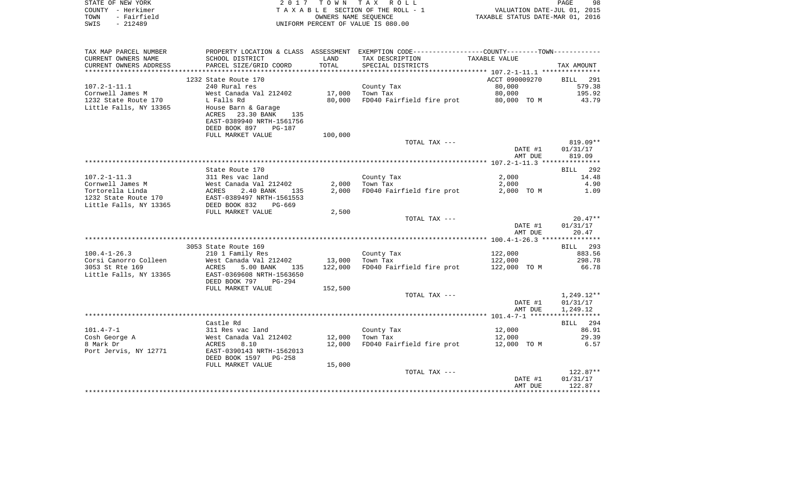| STATE OF NEW YORK               | 2017                                 | T O W N              | TAX ROLL                                                     |                | 98<br>PAGE                       |
|---------------------------------|--------------------------------------|----------------------|--------------------------------------------------------------|----------------|----------------------------------|
| - Herkimer<br>COUNTY            |                                      |                      | T A X A B L E SECTION OF THE ROLL - 1                        |                | VALUATION DATE-JUL 01, 2015      |
| - Fairfield<br>TOWN             |                                      | OWNERS NAME SEOUENCE |                                                              |                | TAXABLE STATUS DATE-MAR 01, 2016 |
| SWIS<br>- 212489                |                                      |                      | UNIFORM PERCENT OF VALUE IS 080.00                           |                |                                  |
|                                 |                                      |                      |                                                              |                |                                  |
|                                 |                                      |                      |                                                              |                |                                  |
| TAX MAP PARCEL NUMBER           | PROPERTY LOCATION & CLASS ASSESSMENT |                      | EXEMPTION CODE-----------------COUNTY--------TOWN----------- |                |                                  |
| CURRENT OWNERS NAME             | SCHOOL DISTRICT                      | LAND                 | TAX DESCRIPTION                                              | TAXABLE VALUE  |                                  |
| CURRENT OWNERS ADDRESS          | PARCEL SIZE/GRID COORD               | TOTAL                | SPECIAL DISTRICTS                                            |                | TAX AMOUNT                       |
|                                 |                                      |                      |                                                              |                |                                  |
|                                 | 1232 State Route 170                 |                      |                                                              | ACCT 090009270 | BILL 291                         |
|                                 |                                      |                      |                                                              |                |                                  |
| $107.2 - 1 - 11.1$              | 240 Rural res                        |                      | County Tax                                                   | 80,000         | 579.38                           |
| Cornwell James M                | West Canada Val 212402               | 17,000               | Town Tax                                                     | 80,000 000     | 195.92                           |
| 1232 State Route 170 L Falls Rd |                                      | 80,000               | FD040 Fairfield fire prot 60,000 TO M                        |                | 43.79                            |
| Little Falls, NY 13365          | House Barn & Garage                  |                      |                                                              |                |                                  |
|                                 | 23.30 BANK<br>135<br>ACRES           |                      |                                                              |                |                                  |
|                                 | EAST-0389940 NRTH-1561756            |                      |                                                              |                |                                  |
|                                 | <b>PG-187</b>                        |                      |                                                              |                |                                  |
|                                 | DEED BOOK 897                        |                      |                                                              |                |                                  |

|                        | FULL MARKET VALUE         | 100,000 |                           |              |              |
|------------------------|---------------------------|---------|---------------------------|--------------|--------------|
|                        |                           |         | TOTAL TAX ---             |              | $819.09**$   |
|                        |                           |         |                           | DATE #1      | 01/31/17     |
|                        |                           |         |                           | AMT DUE      | 819.09       |
|                        |                           |         |                           |              |              |
|                        | State Route 170           |         |                           |              | 292<br>BILL  |
| $107.2 - 1 - 11.3$     | 311 Res vac land          |         | County Tax                | 2,000        | 14.48        |
| Cornwell James M       | West Canada Val 212402    | 2,000   | Town Tax                  | 2,000        | 4.90         |
| Tortorella Linda       | 2.40 BANK<br>ACRES<br>135 | 2,000   | FD040 Fairfield fire prot | 2,000 TO M   | 1.09         |
| 1232 State Route 170   | EAST-0389497 NRTH-1561553 |         |                           |              |              |
| Little Falls, NY 13365 | DEED BOOK 832<br>PG-669   |         |                           |              |              |
|                        | FULL MARKET VALUE         | 2,500   |                           |              |              |
|                        |                           |         | TOTAL TAX ---             |              | $20.47**$    |
|                        |                           |         |                           | DATE #1      | 01/31/17     |
|                        |                           |         |                           | AMT DUE      | 20.47        |
|                        |                           |         |                           |              |              |
|                        | 3053 State Route 169      |         |                           |              | BILL 293     |
| $100.4 - 1 - 26.3$     | 210 1 Family Res          |         | County Tax                | 122,000      | 883.56       |
| Corsi Canorro Colleen  | West Canada Val 212402    | 13,000  | Town Tax                  | 122,000      | 298.78       |
| 3053 St Rte 169        | 5.00 BANK<br>135<br>ACRES | 122,000 | FD040 Fairfield fire prot | 122,000 TO M | 66.78        |
| Little Falls, NY 13365 | EAST-0369608 NRTH-1563650 |         |                           |              |              |
|                        | DEED BOOK 797<br>$PG-294$ |         |                           |              |              |
|                        | FULL MARKET VALUE         | 152,500 |                           |              |              |
|                        |                           |         | TOTAL TAX ---             |              | $1,249.12**$ |
|                        |                           |         |                           | DATE #1      | 01/31/17     |
|                        |                           |         |                           | AMT DUE      | 1,249.12     |
|                        |                           |         |                           |              |              |
|                        | Castle Rd                 |         |                           |              | 294<br>BILL  |
| $101.4 - 7 - 1$        | 311 Res vac land          |         | County Tax                | 12,000       | 86.91        |
| Cosh George A          | West Canada Val 212402    | 12,000  | Town Tax                  | 12,000       | 29.39        |
| 8 Mark Dr              | 8.10<br>ACRES             | 12,000  | FD040 Fairfield fire prot | 12,000 TO M  | 6.57         |
| Port Jervis, NY 12771  | EAST-0390143 NRTH-1562013 |         |                           |              |              |
|                        |                           |         |                           |              |              |

| DEED BOOK 1597<br>PG-258 |        |               |         |            |
|--------------------------|--------|---------------|---------|------------|
| FULL MARKET VALUE        | 15,000 |               |         |            |
|                          |        | TOTAL TAX --- |         | $122.87**$ |
|                          |        |               | DATE #1 | 01/31/17   |
|                          |        |               | AMT DUE | 122.87     |
|                          |        |               |         |            |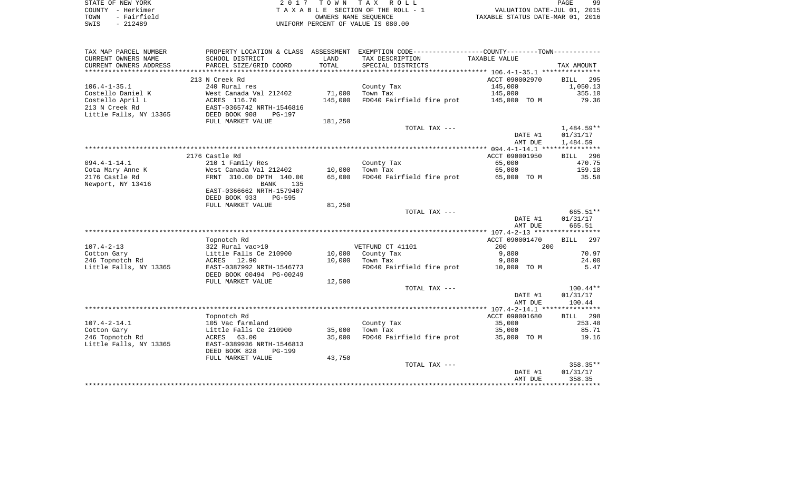|      | STATE OF NEW YORK | 2017 TOWN TAX ROLL                 | 99<br>PAGE                       |
|------|-------------------|------------------------------------|----------------------------------|
|      | COUNTY - Herkimer | TAXABLE SECTION OF THE ROLL - 1    | VALUATION DATE-JUL 01, 2015      |
| TOWN | - Fairfield       | OWNERS NAME SEOUENCE               | TAXABLE STATUS DATE-MAR 01, 2016 |
| SWIS | $-212489$         | UNIFORM PERCENT OF VALUE IS 080.00 |                                  |

| TAX MAP PARCEL NUMBER  | PROPERTY LOCATION & CLASS ASSESSMENT |         | EXEMPTION CODE----------------COUNTY-------TOWN----------- |                |                    |
|------------------------|--------------------------------------|---------|------------------------------------------------------------|----------------|--------------------|
| CURRENT OWNERS NAME    | SCHOOL DISTRICT                      | LAND    | TAX DESCRIPTION                                            | TAXABLE VALUE  |                    |
| CURRENT OWNERS ADDRESS | PARCEL SIZE/GRID COORD               | TOTAL   | SPECIAL DISTRICTS                                          |                | TAX AMOUNT         |
|                        |                                      |         |                                                            |                |                    |
|                        | 213 N Creek Rd                       |         |                                                            | ACCT 090002970 | 295<br><b>BILL</b> |
| $106.4 - 1 - 35.1$     | 240 Rural res                        |         | County Tax                                                 | 145,000        | 1,050.13           |
| Costello Daniel K      | West Canada Val 212402               | 71,000  | Town Tax                                                   | 145,000        | 355.10             |
| Costello April L       | ACRES 116.70                         | 145,000 | FD040 Fairfield fire prot                                  | 145,000 TO M   | 79.36              |
| 213 N Creek Rd         | EAST-0365742 NRTH-1546816            |         |                                                            |                |                    |
| Little Falls, NY 13365 | DEED BOOK 908<br>PG-197              |         |                                                            |                |                    |
|                        | FULL MARKET VALUE                    | 181,250 |                                                            |                |                    |
|                        |                                      |         | TOTAL TAX ---                                              |                | $1,484.59**$       |
|                        |                                      |         |                                                            | DATE #1        | 01/31/17           |
|                        |                                      |         |                                                            | AMT DUE        | 1,484.59           |
|                        |                                      |         |                                                            |                |                    |
|                        | 2176 Castle Rd                       |         |                                                            | ACCT 090001950 | 296                |
|                        |                                      |         |                                                            |                | BILL<br>470.75     |
| $094.4 - 1 - 14.1$     | 210 1 Family Res                     |         | County Tax                                                 | 65,000         |                    |
| Cota Mary Anne K       | West Canada Val 212402               | 10,000  | Town Tax                                                   | 65,000         | 159.18             |
| 2176 Castle Rd         | FRNT 310.00 DPTH 140.00              | 65,000  | FD040 Fairfield fire prot                                  | 65,000 TO M    | 35.58              |
| Newport, NY 13416      | <b>BANK</b><br>135                   |         |                                                            |                |                    |
|                        | EAST-0366662 NRTH-1579407            |         |                                                            |                |                    |
|                        | DEED BOOK 933<br><b>PG-595</b>       |         |                                                            |                |                    |
|                        | FULL MARKET VALUE                    | 81,250  |                                                            |                |                    |
|                        |                                      |         | TOTAL TAX ---                                              |                | 665.51**           |
|                        |                                      |         |                                                            | DATE #1        | 01/31/17           |
|                        |                                      |         |                                                            | AMT DUE        | 665.51             |
|                        |                                      |         |                                                            |                |                    |
|                        | Topnotch Rd                          |         |                                                            | ACCT 090001470 | 297<br>BILL        |
| $107.4 - 2 - 13$       | 322 Rural vac>10                     |         | VETFUND CT 41101                                           | 200<br>200     |                    |
| Cotton Gary            | Little Falls Ce 210900               | 10,000  | County Tax                                                 | 9,800          | 70.97              |
| 246 Topnotch Rd        | ACRES 12.90                          | 10,000  | Town Tax                                                   | 9,800          | 24.00              |
| Little Falls, NY 13365 | EAST-0387992 NRTH-1546773            |         | FD040 Fairfield fire prot                                  | 10,000 TO M    | 5.47               |
|                        | DEED BOOK 00494 PG-00249             |         |                                                            |                |                    |
|                        | FULL MARKET VALUE                    | 12,500  |                                                            |                |                    |
|                        |                                      |         | TOTAL TAX ---                                              |                | $100.44**$         |
|                        |                                      |         |                                                            | DATE #1        | 01/31/17           |
|                        |                                      |         |                                                            | AMT DUE        | 100.44             |
|                        |                                      |         |                                                            |                |                    |
|                        | Topnotch Rd                          |         |                                                            | ACCT 090001680 | BILL 298           |
| $107.4 - 2 - 14.1$     | 105 Vac farmland                     |         | County Tax                                                 | 35,000         | 253.48             |
| Cotton Gary            | Little Falls Ce 210900               | 35,000  | Town Tax                                                   | 35,000         | 85.71              |
| 246 Topnotch Rd        | ACRES 63.00                          | 35,000  | FD040 Fairfield fire prot                                  | 35,000 TO M    | 19.16              |
| Little Falls, NY 13365 | EAST-0389936 NRTH-1546813            |         |                                                            |                |                    |
|                        | DEED BOOK 828<br><b>PG-199</b>       |         |                                                            |                |                    |
|                        | FULL MARKET VALUE                    | 43,750  |                                                            |                |                    |
|                        |                                      |         | TOTAL TAX ---                                              |                | 358.35**           |
|                        |                                      |         |                                                            | DATE #1        | 01/31/17           |
|                        |                                      |         |                                                            | AMT DUE        | 358.35             |
|                        |                                      |         |                                                            |                |                    |
|                        |                                      |         |                                                            |                |                    |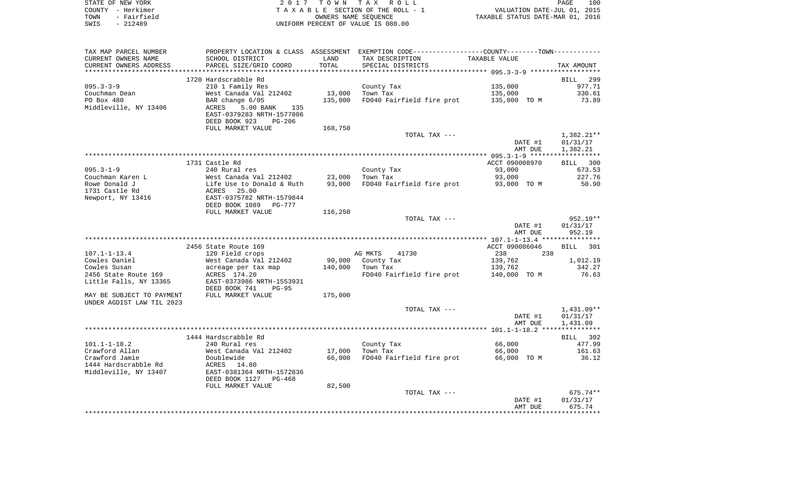|      | STATE OF NEW YORK | 2017 TOWN TAX ROLL                 | 100<br>PAGE                      |
|------|-------------------|------------------------------------|----------------------------------|
|      | COUNTY - Herkimer | TAXABLE SECTION OF THE ROLL - 1    | VALUATION DATE-JUL 01, 2015      |
| TOWN | - Fairfield       | OWNERS NAME SEOUENCE               | TAXABLE STATUS DATE-MAR 01, 2016 |
| SWIS | $-212489$         | UNIFORM PERCENT OF VALUE IS 080.00 |                                  |

| TAX MAP PARCEL NUMBER<br>CURRENT OWNERS NAME | SCHOOL DISTRICT                     | LAND    | PROPERTY LOCATION & CLASS ASSESSMENT EXEMPTION CODE---------------COUNTY-------TOWN----------<br>TAX DESCRIPTION | TAXABLE VALUE           |                    |
|----------------------------------------------|-------------------------------------|---------|------------------------------------------------------------------------------------------------------------------|-------------------------|--------------------|
| CURRENT OWNERS ADDRESS                       | PARCEL SIZE/GRID COORD              | TOTAL   | SPECIAL DISTRICTS                                                                                                |                         | TAX AMOUNT         |
|                                              |                                     |         |                                                                                                                  |                         |                    |
|                                              | 1720 Hardscrabble Rd                |         |                                                                                                                  |                         | BILL<br>299        |
| $095.3 - 3 - 9$                              | 210 1 Family Res                    |         | County Tax                                                                                                       | 135,000                 | 977.71             |
| Couchman Dean                                | West Canada Val 212402              | 13,000  | Town Tax                                                                                                         | 135,000                 | 330.61             |
| PO Box 480                                   | BAR change 6/05                     | 135,000 | FD040 Fairfield fire prot                                                                                        | 135,000 TO M            | 73.89              |
| Middleville, NY 13406                        | 5.00 BANK<br>ACRES<br>135           |         |                                                                                                                  |                         |                    |
|                                              | EAST-0379283 NRTH-1577806           |         |                                                                                                                  |                         |                    |
|                                              | DEED BOOK 923<br><b>PG-206</b>      |         |                                                                                                                  |                         |                    |
|                                              | FULL MARKET VALUE                   | 168,750 |                                                                                                                  |                         |                    |
|                                              |                                     |         | TOTAL TAX ---                                                                                                    |                         | $1,382.21**$       |
|                                              |                                     |         |                                                                                                                  | DATE #1                 | 01/31/17           |
|                                              |                                     |         |                                                                                                                  | AMT DUE                 | 1,382.21           |
|                                              |                                     |         |                                                                                                                  |                         |                    |
|                                              | 1731 Castle Rd                      |         |                                                                                                                  | ACCT 090008970          | BILL 300           |
| $095.3 - 1 - 9$                              | 240 Rural res                       |         | County Tax                                                                                                       | 93,000                  | 673.53             |
| Couchman Karen L                             | West Canada Val 212402              | 23,000  | Town Tax                                                                                                         | 93,000                  | 227.76             |
| Rowe Donald J                                | Life Use to Donald & Ruth           | 93,000  | FD040 Fairfield fire prot                                                                                        | 93,000 TO M             | 50.90              |
| 1731 Castle Rd                               | 25.00<br>ACRES                      |         |                                                                                                                  |                         |                    |
| Newport, NY 13416                            | EAST-0375782 NRTH-1579844           |         |                                                                                                                  |                         |                    |
|                                              | DEED BOOK 1089<br>PG-777            |         |                                                                                                                  |                         |                    |
|                                              | FULL MARKET VALUE                   | 116,250 |                                                                                                                  |                         |                    |
|                                              |                                     |         | TOTAL TAX ---                                                                                                    |                         | 952.19**           |
|                                              |                                     |         |                                                                                                                  | DATE #1                 | 01/31/17           |
|                                              |                                     |         |                                                                                                                  | AMT DUE                 | 952.19             |
|                                              |                                     |         |                                                                                                                  |                         |                    |
|                                              | 2456 State Route 169                |         |                                                                                                                  | ACCT 090086046          | BILL<br>301        |
| $107.1 - 1 - 13.4$                           | 120 Field crops                     | 90,000  | AG MKTS<br>41730                                                                                                 | 238<br>238              |                    |
| Cowles Daniel<br>Cowles Susan                | West Canada Val 212402              | 140,000 | County Tax<br>Town Tax                                                                                           | 139,762                 | 1,012.19<br>342.27 |
| 2456 State Route 169                         | acreage per tax map<br>ACRES 174.20 |         | FD040 Fairfield fire prot                                                                                        | 139,762<br>140,000 TO M | 76.63              |
| Little Falls, NY 13365                       | EAST-0373986 NRTH-1553931           |         |                                                                                                                  |                         |                    |
|                                              | DEED BOOK 741<br>$PG-95$            |         |                                                                                                                  |                         |                    |
| MAY BE SUBJECT TO PAYMENT                    | FULL MARKET VALUE                   | 175,000 |                                                                                                                  |                         |                    |
| UNDER AGDIST LAW TIL 2023                    |                                     |         |                                                                                                                  |                         |                    |
|                                              |                                     |         | TOTAL TAX ---                                                                                                    |                         | 1,431.09**         |
|                                              |                                     |         |                                                                                                                  | DATE #1                 | 01/31/17           |
|                                              |                                     |         |                                                                                                                  | AMT DUE                 | 1,431.09           |
|                                              |                                     |         |                                                                                                                  |                         |                    |
|                                              | 1444 Hardscrabble Rd                |         |                                                                                                                  |                         | BILL 302           |
| $101.1 - 1 - 18.2$                           | 240 Rural res                       |         | County Tax                                                                                                       | 66,000                  | 477.99             |
| Crawford Allan                               | West Canada Val 212402              | 17,000  | Town Tax                                                                                                         | 66,000                  | 161.63             |
| Crawford Jamie                               | Doublewide                          | 66,000  | FD040 Fairfield fire prot                                                                                        | 66,000 TO M             | 36.12              |
| 1444 Hardscrabble Rd                         | ACRES<br>14.80                      |         |                                                                                                                  |                         |                    |
| Middleville, NY 13407                        | EAST-0381364 NRTH-1572836           |         |                                                                                                                  |                         |                    |
|                                              | DEED BOOK 1127<br>PG-468            |         |                                                                                                                  |                         |                    |
|                                              | FULL MARKET VALUE                   | 82,500  |                                                                                                                  |                         |                    |
|                                              |                                     |         | TOTAL TAX ---                                                                                                    |                         | $675.74**$         |
|                                              |                                     |         |                                                                                                                  | DATE #1                 | 01/31/17           |
|                                              |                                     |         |                                                                                                                  | AMT DUE                 | 675.74             |
|                                              |                                     |         |                                                                                                                  |                         |                    |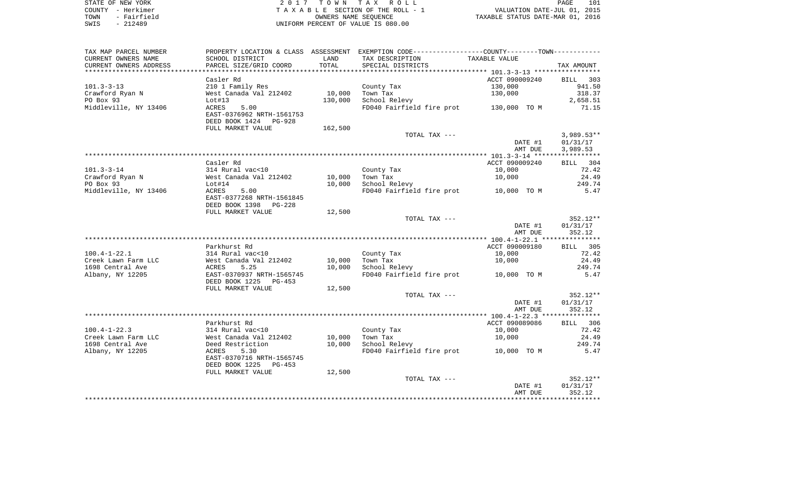| STATE OF NEW YORK   | 2017 TOWN TAX ROLL                 | 101<br>PAGE                      |
|---------------------|------------------------------------|----------------------------------|
| COUNTY - Herkimer   | TAXABLE SECTION OF THE ROLL - 1    | VALUATION DATE-JUL 01, 2015      |
| - Fairfield<br>TOWN | OWNERS NAME SEOUENCE               | TAXABLE STATUS DATE-MAR 01, 2016 |
| $-212489$<br>SWIS   | UNIFORM PERCENT OF VALUE IS 080.00 |                                  |

 $\begin{array}{c} 101 \\ 2015 \end{array}$ 

| TAX MAP PARCEL NUMBER  |                                                       |         | PROPERTY LOCATION & CLASS ASSESSMENT EXEMPTION CODE---------------COUNTY-------TOWN---------- |                |              |
|------------------------|-------------------------------------------------------|---------|-----------------------------------------------------------------------------------------------|----------------|--------------|
| CURRENT OWNERS NAME    | SCHOOL DISTRICT                                       | LAND    | TAX DESCRIPTION                                                                               | TAXABLE VALUE  |              |
| CURRENT OWNERS ADDRESS | PARCEL SIZE/GRID COORD                                | TOTAL   | SPECIAL DISTRICTS                                                                             |                | TAX AMOUNT   |
| ********************   |                                                       |         |                                                                                               |                |              |
|                        | Casler Rd                                             |         |                                                                                               | ACCT 090009240 | BILL 303     |
| $101.3 - 3 - 13$       | 210 1 Family Res                                      |         | County Tax                                                                                    | 130,000        | 941.50       |
| Crawford Ryan N        | West Canada Val 212402                                | 10,000  | Town Tax                                                                                      | 130,000        | 318.37       |
| PO Box 93              | Lot#13                                                | 130,000 | School Relevy                                                                                 |                | 2,658.51     |
| Middleville, NY 13406  | 5.00<br>ACRES                                         |         | FD040 Fairfield fire prot 130,000 TO M                                                        |                | 71.15        |
|                        | EAST-0376962 NRTH-1561753                             |         |                                                                                               |                |              |
|                        | DEED BOOK 1424 PG-928<br>FULL MARKET VALUE            |         |                                                                                               |                |              |
|                        |                                                       | 162,500 | TOTAL TAX ---                                                                                 |                | $3,989.53**$ |
|                        |                                                       |         |                                                                                               | DATE #1        | 01/31/17     |
|                        |                                                       |         |                                                                                               | AMT DUE        | 3,989.53     |
|                        |                                                       |         |                                                                                               |                |              |
|                        | Casler Rd                                             |         |                                                                                               | ACCT 090009240 | BILL 304     |
| $101.3 - 3 - 14$       | 314 Rural vac<10                                      |         | County Tax                                                                                    | 10,000         | 72.42        |
| Crawford Ryan N        | West Canada Val 212402                                | 10,000  | Town Tax                                                                                      | 10,000         | 24.49        |
| PO Box 93              | Lot#14                                                | 10,000  | School Relevy                                                                                 |                | 249.74       |
| Middleville, NY 13406  | ACRES<br>5.00                                         |         | FD040 Fairfield fire prot 10,000 TO M                                                         |                | 5.47         |
|                        | EAST-0377268 NRTH-1561845                             |         |                                                                                               |                |              |
|                        | DEED BOOK 1398<br>PG-228                              |         |                                                                                               |                |              |
|                        | FULL MARKET VALUE                                     | 12,500  |                                                                                               |                |              |
|                        |                                                       |         | TOTAL TAX ---                                                                                 |                | $352.12**$   |
|                        |                                                       |         |                                                                                               | DATE #1        | 01/31/17     |
|                        |                                                       |         |                                                                                               | AMT DUE        | 352.12       |
|                        |                                                       |         |                                                                                               |                |              |
|                        | Parkhurst Rd                                          |         |                                                                                               | ACCT 090009180 | BILL 305     |
| $100.4 - 1 - 22.1$     | 314 Rural vac<10                                      |         | County Tax                                                                                    | 10,000         | 72.42        |
| Creek Lawn Farm LLC    | West Canada Val 212402                                | 10,000  | Town Tax                                                                                      | 10,000         | 24.49        |
| 1698 Central Ave       | 5.25<br>ACRES                                         | 10,000  | School Relevy                                                                                 |                | 249.74       |
| Albany, NY 12205       | EAST-0370937 NRTH-1565745<br>DEED BOOK 1225<br>PG-453 |         | FD040 Fairfield fire prot                                                                     | 10,000 TO M    | 5.47         |
|                        | FULL MARKET VALUE                                     | 12,500  |                                                                                               |                |              |
|                        |                                                       |         | TOTAL TAX ---                                                                                 |                | $352.12**$   |
|                        |                                                       |         |                                                                                               | DATE #1        | 01/31/17     |
|                        |                                                       |         |                                                                                               | AMT DUE        | 352.12       |
|                        |                                                       |         |                                                                                               |                |              |
|                        | Parkhurst Rd                                          |         |                                                                                               | ACCT 090089086 | BILL 306     |
| $100.4 - 1 - 22.3$     | 314 Rural vac<10                                      |         | County Tax                                                                                    | 10,000         | 72.42        |
| Creek Lawn Farm LLC    | West Canada Val 212402                                | 10,000  | Town Tax                                                                                      | 10,000         | 24.49        |
| 1698 Central Ave       | Deed Restriction                                      | 10,000  | School Relevy                                                                                 |                | 249.74       |
| Albany, NY 12205       | 5.30<br>ACRES                                         |         | FD040 Fairfield fire prot 10,000 TO M                                                         |                | 5.47         |
|                        | EAST-0370716 NRTH-1565745                             |         |                                                                                               |                |              |
|                        | DEED BOOK 1225<br>PG-453                              |         |                                                                                               |                |              |
|                        | FULL MARKET VALUE                                     | 12,500  |                                                                                               |                |              |
|                        |                                                       |         | TOTAL TAX ---                                                                                 |                | $352.12**$   |
|                        |                                                       |         |                                                                                               | DATE #1        | 01/31/17     |
|                        |                                                       |         |                                                                                               | AMT DUE        | 352.12       |
|                        |                                                       |         |                                                                                               |                |              |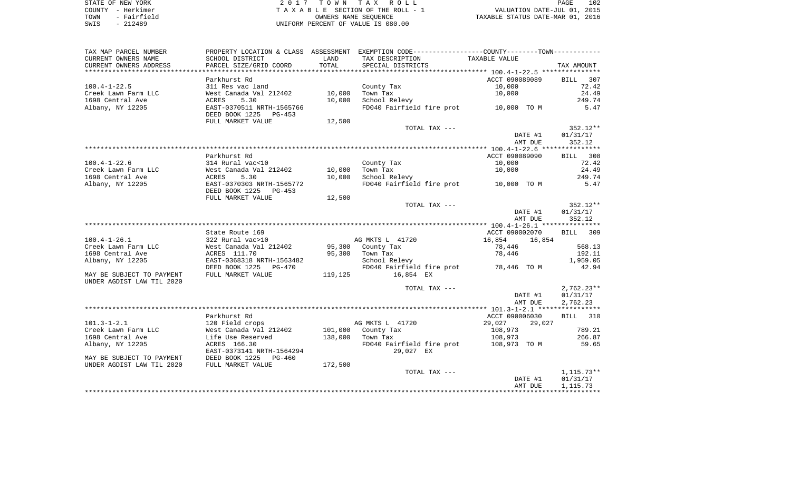| STATE OF NEW YORK   | 2017 TOWN TAX ROLL                 | 102<br>PAGE                      |
|---------------------|------------------------------------|----------------------------------|
| COUNTY - Herkimer   | TAXABLE SECTION OF THE ROLL - 1    | VALUATION DATE-JUL 01, 2015      |
| - Fairfield<br>TOWN | OWNERS NAME SEOUENCE               | TAXABLE STATUS DATE-MAR 01, 2016 |
| $-212489$<br>SWIS   | UNIFORM PERCENT OF VALUE IS 080.00 |                                  |

| CURRENT OWNERS NAME<br>SCHOOL DISTRICT<br>TAX DESCRIPTION<br>TAXABLE VALUE<br>LAND<br>TOTAL<br>CURRENT OWNERS ADDRESS<br>PARCEL SIZE/GRID COORD<br>SPECIAL DISTRICTS<br>TAX AMOUNT<br>ACCT 090089089<br>Parkhurst Rd<br>BILL<br>307<br>10,000<br>72.42<br>$100.4 - 1 - 22.5$<br>311 Res vac land<br>County Tax<br>24.49<br>West Canada Val 212402<br>10,000<br>Town Tax<br>10,000<br>Creek Lawn Farm LLC<br>1698 Central Ave<br>5.30<br>10,000<br>School Relevy<br>ACRES<br>249.74<br>Albany, NY 12205<br>FD040 Fairfield fire prot 10,000 TO M<br>5.47<br>EAST-0370511 NRTH-1565766<br>DEED BOOK 1225<br>PG-453 |
|------------------------------------------------------------------------------------------------------------------------------------------------------------------------------------------------------------------------------------------------------------------------------------------------------------------------------------------------------------------------------------------------------------------------------------------------------------------------------------------------------------------------------------------------------------------------------------------------------------------|
|                                                                                                                                                                                                                                                                                                                                                                                                                                                                                                                                                                                                                  |
|                                                                                                                                                                                                                                                                                                                                                                                                                                                                                                                                                                                                                  |
|                                                                                                                                                                                                                                                                                                                                                                                                                                                                                                                                                                                                                  |
|                                                                                                                                                                                                                                                                                                                                                                                                                                                                                                                                                                                                                  |
|                                                                                                                                                                                                                                                                                                                                                                                                                                                                                                                                                                                                                  |
|                                                                                                                                                                                                                                                                                                                                                                                                                                                                                                                                                                                                                  |
|                                                                                                                                                                                                                                                                                                                                                                                                                                                                                                                                                                                                                  |
|                                                                                                                                                                                                                                                                                                                                                                                                                                                                                                                                                                                                                  |
| FULL MARKET VALUE<br>12,500                                                                                                                                                                                                                                                                                                                                                                                                                                                                                                                                                                                      |
| $352.12**$<br>TOTAL TAX ---                                                                                                                                                                                                                                                                                                                                                                                                                                                                                                                                                                                      |
| 01/31/17<br>DATE #1<br>352.12<br>AMT DUE                                                                                                                                                                                                                                                                                                                                                                                                                                                                                                                                                                         |
|                                                                                                                                                                                                                                                                                                                                                                                                                                                                                                                                                                                                                  |
| Parkhurst Rd<br>ACCT 090089090<br>BILL 308                                                                                                                                                                                                                                                                                                                                                                                                                                                                                                                                                                       |
| $100.4 - 1 - 22.6$<br>314 Rural vac<10<br>10,000<br>72.42<br>County Tax                                                                                                                                                                                                                                                                                                                                                                                                                                                                                                                                          |
| Creek Lawn Farm LLC<br>West Canada Val 212402<br>10,000<br>Town Tax<br>10,000<br>24.49                                                                                                                                                                                                                                                                                                                                                                                                                                                                                                                           |
| 1698 Central Ave<br>School Relevy<br>249.74<br>ACRES<br>5.30<br>10,000                                                                                                                                                                                                                                                                                                                                                                                                                                                                                                                                           |
| EAST-0370303 NRTH-1565772<br>FD040 Fairfield fire prot<br>5.47<br>Albany, NY 12205<br>10,000 TO M<br>DEED BOOK 1225<br>PG-453                                                                                                                                                                                                                                                                                                                                                                                                                                                                                    |
| FULL MARKET VALUE<br>12,500                                                                                                                                                                                                                                                                                                                                                                                                                                                                                                                                                                                      |
| $352.12**$<br>TOTAL TAX ---                                                                                                                                                                                                                                                                                                                                                                                                                                                                                                                                                                                      |
| DATE #1<br>01/31/17                                                                                                                                                                                                                                                                                                                                                                                                                                                                                                                                                                                              |
| 352.12<br>AMT DUE                                                                                                                                                                                                                                                                                                                                                                                                                                                                                                                                                                                                |
|                                                                                                                                                                                                                                                                                                                                                                                                                                                                                                                                                                                                                  |
| State Route 169<br>ACCT 090002070<br>BILL 309                                                                                                                                                                                                                                                                                                                                                                                                                                                                                                                                                                    |
| $100.4 - 1 - 26.1$<br>322 Rural vac>10<br>AG MKTS L 41720<br>16,854<br>16,854                                                                                                                                                                                                                                                                                                                                                                                                                                                                                                                                    |
| Creek Lawn Farm LLC<br>West Canada Val 212402<br>95,300 County Tax<br>568.13<br>78,446                                                                                                                                                                                                                                                                                                                                                                                                                                                                                                                           |
| 95,300<br>192.11<br>1698 Central Ave<br>ACRES 111.70<br>Town Tax<br>78,446                                                                                                                                                                                                                                                                                                                                                                                                                                                                                                                                       |
| 1,959.05<br>Albany, NY 12205<br>EAST-0368318 NRTH-1563482<br>School Relevy                                                                                                                                                                                                                                                                                                                                                                                                                                                                                                                                       |
| FD040 Fairfield fire prot 78,446 TO M<br>42.94<br>DEED BOOK 1225 PG-470                                                                                                                                                                                                                                                                                                                                                                                                                                                                                                                                          |
| FULL MARKET VALUE<br>119,125<br>16,854 EX<br>MAY BE SUBJECT TO PAYMENT<br>UNDER AGDIST LAW TIL 2020                                                                                                                                                                                                                                                                                                                                                                                                                                                                                                              |
| $2,762.23**$<br>TOTAL TAX ---                                                                                                                                                                                                                                                                                                                                                                                                                                                                                                                                                                                    |
| DATE #1<br>01/31/17                                                                                                                                                                                                                                                                                                                                                                                                                                                                                                                                                                                              |
| 2,762.23<br>AMT DUE                                                                                                                                                                                                                                                                                                                                                                                                                                                                                                                                                                                              |
|                                                                                                                                                                                                                                                                                                                                                                                                                                                                                                                                                                                                                  |
| Parkhurst Rd<br>ACCT 090006030<br><b>BILL</b><br>310                                                                                                                                                                                                                                                                                                                                                                                                                                                                                                                                                             |
| $101.3 - 1 - 2.1$<br>120 Field crops<br>AG MKTS L 41720<br>29,027<br>29,027                                                                                                                                                                                                                                                                                                                                                                                                                                                                                                                                      |
| Creek Lawn Farm LLC<br>West Canada Val 212402<br>101,000<br>County Tax<br>789.21<br>108,973                                                                                                                                                                                                                                                                                                                                                                                                                                                                                                                      |
| 1698 Central Ave<br>Life Use Reserved<br>138,000<br>Town Tax<br>266.87<br>108,973                                                                                                                                                                                                                                                                                                                                                                                                                                                                                                                                |
| Albany, NY 12205<br>FD040 Fairfield fire prot 108,973 TO M<br>59.65<br>ACRES 166.30                                                                                                                                                                                                                                                                                                                                                                                                                                                                                                                              |
| EAST-0373141 NRTH-1564294<br>29,027 EX                                                                                                                                                                                                                                                                                                                                                                                                                                                                                                                                                                           |
| DEED BOOK 1225<br>MAY BE SUBJECT TO PAYMENT<br>PG-460                                                                                                                                                                                                                                                                                                                                                                                                                                                                                                                                                            |
| 172,500<br>UNDER AGDIST LAW TIL 2020<br>FULL MARKET VALUE                                                                                                                                                                                                                                                                                                                                                                                                                                                                                                                                                        |
| TOTAL TAX ---<br>1,115.73**                                                                                                                                                                                                                                                                                                                                                                                                                                                                                                                                                                                      |
| DATE #1<br>01/31/17                                                                                                                                                                                                                                                                                                                                                                                                                                                                                                                                                                                              |
| AMT DUE<br>1,115.73                                                                                                                                                                                                                                                                                                                                                                                                                                                                                                                                                                                              |

PAGE 102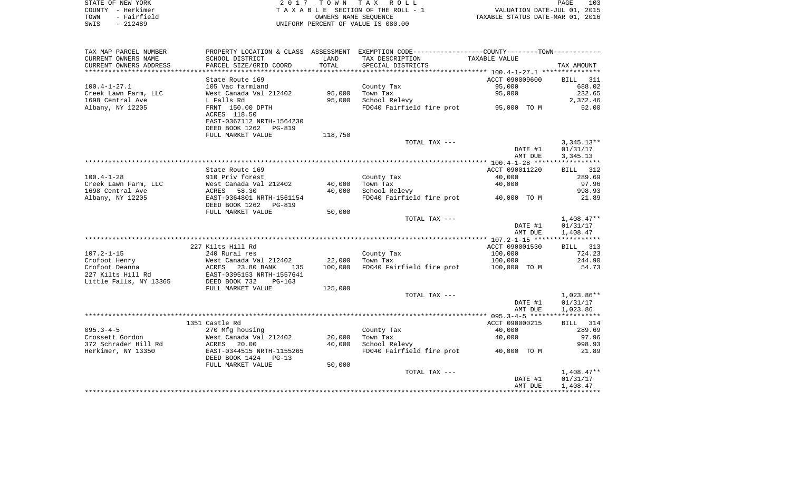|      | STATE OF NEW YORK | 2017 TOWN TAX ROLL                 | PAGE                             | 103 |
|------|-------------------|------------------------------------|----------------------------------|-----|
|      | COUNTY - Herkimer | TAXABLE SECTION OF THE ROLL - 1    | VALUATION DATE-JUL 01, 2015      |     |
| TOWN | - Fairfield       | OWNERS NAME SEOUENCE               | TAXABLE STATUS DATE-MAR 01, 2016 |     |
| SWIS | - 212489          | UNIFORM PERCENT OF VALUE IS 080.00 |                                  |     |

| TAX MAP PARCEL NUMBER  |                            |         | PROPERTY LOCATION & CLASS ASSESSMENT EXEMPTION CODE---------------COUNTY--------TOWN---------- |                |              |
|------------------------|----------------------------|---------|------------------------------------------------------------------------------------------------|----------------|--------------|
| CURRENT OWNERS NAME    | SCHOOL DISTRICT            | LAND    | TAX DESCRIPTION                                                                                | TAXABLE VALUE  |              |
| CURRENT OWNERS ADDRESS | PARCEL SIZE/GRID COORD     | TOTAL   | SPECIAL DISTRICTS                                                                              |                | TAX AMOUNT   |
| *********************  |                            |         |                                                                                                |                |              |
|                        | State Route 169            |         |                                                                                                | ACCT 090009600 | BILL 311     |
| $100.4 - 1 - 27.1$     | 105 Vac farmland           |         | County Tax                                                                                     | 95,000         | 688.02       |
| Creek Lawn Farm, LLC   | West Canada Val 212402     | 95,000  | Town Tax                                                                                       | 95,000         | 232.65       |
| 1698 Central Ave       | L Falls Rd                 | 95,000  | School Relevy                                                                                  |                | 2,372.46     |
| Albany, NY 12205       | FRNT 150.00 DPTH           |         | FD040 Fairfield fire prot 95,000 TO M                                                          |                | 52.00        |
|                        | ACRES 118.50               |         |                                                                                                |                |              |
|                        | EAST-0367112 NRTH-1564230  |         |                                                                                                |                |              |
|                        | DEED BOOK 1262<br>PG-819   |         |                                                                                                |                |              |
|                        | FULL MARKET VALUE          | 118,750 |                                                                                                |                |              |
|                        |                            |         | TOTAL TAX ---                                                                                  |                | $3,345.13**$ |
|                        |                            |         |                                                                                                | DATE #1        | 01/31/17     |
|                        |                            |         |                                                                                                | AMT DUE        | 3,345.13     |
|                        |                            |         |                                                                                                |                |              |
|                        | State Route 169            |         |                                                                                                | ACCT 090011220 | BILL 312     |
| $100.4 - 1 - 28$       | 910 Priv forest            |         | County Tax                                                                                     | 40,000         | 289.69       |
| Creek Lawn Farm, LLC   | West Canada Val 212402     | 40,000  | Town Tax                                                                                       | 40,000         | 97.96        |
| 1698 Central Ave       | 58.30<br>ACRES             | 40,000  | School Relevy                                                                                  |                | 998.93       |
| Albany, NY 12205       | EAST-0364801 NRTH-1561154  |         | FD040 Fairfield fire prot                                                                      | 40,000 TO M    | 21.89        |
|                        | DEED BOOK 1262<br>PG-819   |         |                                                                                                |                |              |
|                        | FULL MARKET VALUE          | 50,000  |                                                                                                |                |              |
|                        |                            |         | TOTAL TAX ---                                                                                  |                | $1,408.47**$ |
|                        |                            |         |                                                                                                | DATE #1        | 01/31/17     |
|                        |                            |         |                                                                                                | AMT DUE        | 1,408.47     |
|                        |                            |         |                                                                                                |                |              |
|                        | 227 Kilts Hill Rd          |         |                                                                                                | ACCT 090001530 | BILL 313     |
| $107.2 - 1 - 15$       | 240 Rural res              |         | County Tax                                                                                     | 100,000        | 724.23       |
| Crofoot Henry          | West Canada Val 212402     | 22,000  | Town Tax                                                                                       | 100,000        | 244.90       |
| Crofoot Deanna         | ACRES<br>23.80 BANK<br>135 | 100,000 | FD040 Fairfield fire prot                                                                      | 100,000 TO M   | 54.73        |
| 227 Kilts Hill Rd      | EAST-0395153 NRTH-1557641  |         |                                                                                                |                |              |
| Little Falls, NY 13365 | DEED BOOK 732<br>$PG-163$  |         |                                                                                                |                |              |
|                        | FULL MARKET VALUE          | 125,000 |                                                                                                |                |              |
|                        |                            |         | TOTAL TAX ---                                                                                  |                | $1,023.86**$ |
|                        |                            |         |                                                                                                | DATE #1        | 01/31/17     |
|                        |                            |         |                                                                                                | AMT DUE        | 1,023.86     |
|                        |                            |         |                                                                                                |                |              |
|                        | 1351 Castle Rd             |         |                                                                                                | ACCT 090000215 | BILL 314     |
| $095.3 - 4 - 5$        | 270 Mfg housing            |         | County Tax                                                                                     | 40,000         | 289.69       |
| Crossett Gordon        | West Canada Val 212402     | 20,000  | Town Tax                                                                                       | 40,000         | 97.96        |
| 372 Schrader Hill Rd   | ACRES<br>20.00             | 40,000  | School Relevy                                                                                  |                | 998.93       |
| Herkimer, NY 13350     | EAST-0344515 NRTH-1155265  |         | FD040 Fairfield fire prot 40,000 TO M                                                          |                | 21.89        |
|                        | DEED BOOK 1424<br>$PG-13$  |         |                                                                                                |                |              |
|                        | FULL MARKET VALUE          | 50,000  |                                                                                                |                |              |
|                        |                            |         | TOTAL TAX ---                                                                                  |                | $1,408.47**$ |
|                        |                            |         |                                                                                                | DATE #1        | 01/31/17     |
|                        |                            |         |                                                                                                | AMT DUE        | 1,408.47     |
|                        |                            |         |                                                                                                |                |              |
|                        |                            |         |                                                                                                |                |              |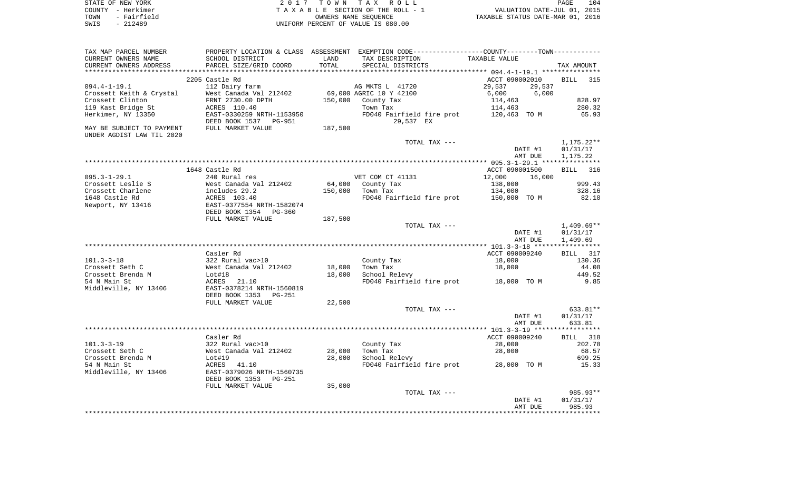| STATE OF NEW YORK   | 2017 TOWN TAX ROLL                 | 104<br>PAGE                      |
|---------------------|------------------------------------|----------------------------------|
| COUNTY - Herkimer   | TAXABLE SECTION OF THE ROLL - 1    | VALUATION DATE-JUL 01, 2015      |
| - Fairfield<br>TOWN | OWNERS NAME SEOUENCE               | TAXABLE STATUS DATE-MAR 01, 2016 |
| SWIS<br>- 212489    | UNIFORM PERCENT OF VALUE IS 080.00 |                                  |

| TAX MAP PARCEL NUMBER                                  |                            |                      | PROPERTY LOCATION & CLASS ASSESSMENT EXEMPTION CODE----------------COUNTY--------TOWN----------- |                                                      |                          |
|--------------------------------------------------------|----------------------------|----------------------|--------------------------------------------------------------------------------------------------|------------------------------------------------------|--------------------------|
| CURRENT OWNERS NAME                                    | SCHOOL DISTRICT            | LAND                 | TAX DESCRIPTION                                                                                  | TAXABLE VALUE                                        |                          |
| CURRENT OWNERS ADDRESS                                 | PARCEL SIZE/GRID COORD     | TOTAL                | SPECIAL DISTRICTS                                                                                |                                                      | TAX AMOUNT               |
| ************************                               |                            | ******************** |                                                                                                  | ********************** 094.4-1-19.1 **************** |                          |
|                                                        | 2205 Castle Rd             |                      |                                                                                                  | ACCT 090002010                                       | <b>BILL</b><br>315       |
| $094.4 - 1 - 19.1$                                     | 112 Dairy farm             |                      | AG MKTS L 41720                                                                                  | 29,537<br>29,537                                     |                          |
| Crossett Keith & Crystal                               | West Canada Val 212402     |                      | 69,000 AGRIC 10 Y 42100                                                                          | 6,000<br>6,000                                       |                          |
| Crossett Clinton                                       | FRNT 2730.00 DPTH          | 150,000              | County Tax                                                                                       | 114,463                                              | 828.97                   |
| 119 Kast Bridge St                                     | ACRES 110.40               |                      | Town Tax                                                                                         | 114,463                                              | 280.32                   |
| Herkimer, NY 13350                                     | EAST-0330259 NRTH-1153950  |                      | FD040 Fairfield fire prot                                                                        | 120,463 TO M                                         | 65.93                    |
|                                                        | DEED BOOK 1537 PG-951      |                      | 29,537 EX                                                                                        |                                                      |                          |
| MAY BE SUBJECT TO PAYMENT<br>UNDER AGDIST LAW TIL 2020 | FULL MARKET VALUE          | 187,500              |                                                                                                  |                                                      |                          |
|                                                        |                            |                      | TOTAL TAX ---                                                                                    |                                                      | $1,175.22**$             |
|                                                        |                            |                      |                                                                                                  | DATE #1                                              | 01/31/17                 |
|                                                        |                            |                      |                                                                                                  | AMT DUE                                              | 1,175.22                 |
|                                                        |                            |                      |                                                                                                  |                                                      |                          |
|                                                        | 1648 Castle Rd             |                      |                                                                                                  | ACCT 090001500                                       | 316<br><b>BILL</b>       |
| $095.3 - 1 - 29.1$                                     | 240 Rural res              |                      | VET COM CT 41131                                                                                 | 12,000<br>16,000                                     |                          |
| Crossett Leslie S                                      | West Canada Val 212402     | 64,000               | County Tax                                                                                       | 138,000                                              | 999.43                   |
| Crossett Charlene                                      | includes 29.2              | 150,000              | Town Tax                                                                                         | 134,000                                              | 328.16                   |
| 1648 Castle Rd                                         | ACRES 103.40               |                      | FD040 Fairfield fire prot                                                                        | 150,000 TO M                                         | 82.10                    |
| Newport, NY 13416                                      | EAST-0377554 NRTH-1582074  |                      |                                                                                                  |                                                      |                          |
|                                                        | DEED BOOK 1354<br>$PG-360$ |                      |                                                                                                  |                                                      |                          |
|                                                        | FULL MARKET VALUE          | 187,500              |                                                                                                  |                                                      |                          |
|                                                        |                            |                      | TOTAL TAX ---                                                                                    | DATE #1                                              | $1,409.69**$<br>01/31/17 |
|                                                        |                            |                      |                                                                                                  | AMT DUE                                              | 1,409.69                 |
|                                                        |                            |                      |                                                                                                  |                                                      |                          |
|                                                        | Casler Rd                  |                      |                                                                                                  | ACCT 090009240                                       | BILL<br>317              |
| $101.3 - 3 - 18$                                       | 322 Rural vac>10           |                      | County Tax                                                                                       | 18,000                                               | 130.36                   |
| Crossett Seth C                                        | West Canada Val 212402     | 18,000               | Town Tax                                                                                         | 18,000                                               | 44.08                    |
| Crossett Brenda M                                      | Lot#18                     | 18,000               | School Relevy                                                                                    |                                                      | 449.52                   |
| 54 N Main St                                           | ACRES<br>21.10             |                      | FD040 Fairfield fire prot                                                                        | 18,000 TO M                                          | 9.85                     |
| Middleville, NY 13406                                  | EAST-0378214 NRTH-1560819  |                      |                                                                                                  |                                                      |                          |
|                                                        | DEED BOOK 1353<br>PG-251   |                      |                                                                                                  |                                                      |                          |
|                                                        | FULL MARKET VALUE          | 22,500               |                                                                                                  |                                                      |                          |
|                                                        |                            |                      | TOTAL TAX ---                                                                                    |                                                      | 633.81**                 |
|                                                        |                            |                      |                                                                                                  | DATE #1                                              | 01/31/17                 |
|                                                        |                            |                      |                                                                                                  | AMT DUE                                              | 633.81                   |
|                                                        |                            |                      |                                                                                                  |                                                      |                          |
|                                                        | Casler Rd                  |                      |                                                                                                  | ACCT 090009240                                       | BILL 318                 |
| $101.3 - 3 - 19$                                       | 322 Rural vac>10           |                      | County Tax                                                                                       | 28,000                                               | 202.78                   |
| Crossett Seth C                                        | West Canada Val 212402     | 28,000               | Town Tax                                                                                         | 28,000                                               | 68.57                    |
| Crossett Brenda M                                      | Lot#19                     | 28,000               | School Relevy                                                                                    |                                                      | 699.25                   |
| 54 N Main St                                           | ACRES<br>41.10             |                      | FD040 Fairfield fire prot                                                                        | 28,000 TO M                                          | 15.33                    |
| Middleville, NY 13406                                  | EAST-0379026 NRTH-1560735  |                      |                                                                                                  |                                                      |                          |
|                                                        | DEED BOOK 1353<br>$PG-251$ |                      |                                                                                                  |                                                      |                          |
|                                                        | FULL MARKET VALUE          | 35,000               |                                                                                                  |                                                      |                          |
|                                                        |                            |                      | TOTAL TAX ---                                                                                    |                                                      | 985.93**                 |
|                                                        |                            |                      |                                                                                                  | DATE #1                                              | 01/31/17                 |
|                                                        |                            |                      |                                                                                                  | AMT DUE                                              | 985.93                   |
|                                                        |                            |                      |                                                                                                  |                                                      |                          |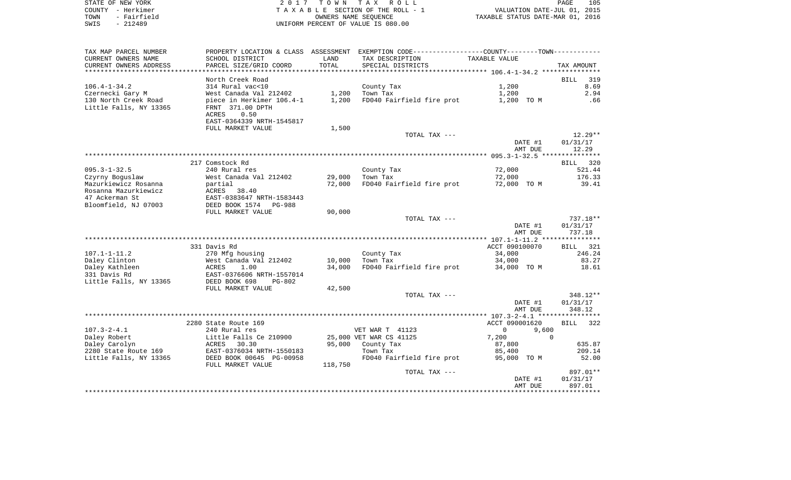|      | STATE OF NEW YORK | 2017 TOWN TAX ROLL                 | PAGE                             | 105 |
|------|-------------------|------------------------------------|----------------------------------|-----|
|      | COUNTY - Herkimer | TAXABLE SECTION OF THE ROLL - 1    | VALUATION DATE-JUL 01, 2015      |     |
| TOWN | - Fairfield       | OWNERS NAME SEOUENCE               | TAXABLE STATUS DATE-MAR 01, 2016 |     |
| SWIS | - 212489          | UNIFORM PERCENT OF VALUE IS 080.00 |                                  |     |

| TAX MAP PARCEL NUMBER  |                                                       |                | PROPERTY LOCATION & CLASS ASSESSMENT EXEMPTION CODE----------------COUNTY--------TOWN----------- |                      |                    |
|------------------------|-------------------------------------------------------|----------------|--------------------------------------------------------------------------------------------------|----------------------|--------------------|
| CURRENT OWNERS NAME    | SCHOOL DISTRICT                                       | LAND           | TAX DESCRIPTION                                                                                  | TAXABLE VALUE        |                    |
| CURRENT OWNERS ADDRESS | PARCEL SIZE/GRID COORD                                | TOTAL          | SPECIAL DISTRICTS                                                                                |                      | TAX AMOUNT         |
|                        |                                                       | ************** |                                                                                                  |                      |                    |
|                        | North Creek Road                                      |                |                                                                                                  |                      | 319<br><b>BILL</b> |
| $106.4 - 1 - 34.2$     | 314 Rural vac<10                                      |                | County Tax                                                                                       | 1,200                | 8.69               |
| Czernecki Gary M       | West Canada Val 212402                                | 1,200          | Town Tax                                                                                         | 1,200                | 2.94               |
| 130 North Creek Road   | piece in Herkimer 106.4-1                             | 1,200          | FD040 Fairfield fire prot                                                                        | 1,200 TO M           | .66                |
| Little Falls, NY 13365 | FRNT 371.00 DPTH                                      |                |                                                                                                  |                      |                    |
|                        | 0.50<br>ACRES                                         |                |                                                                                                  |                      |                    |
|                        | EAST-0364339 NRTH-1545817                             |                |                                                                                                  |                      |                    |
|                        | FULL MARKET VALUE                                     | 1,500          |                                                                                                  |                      |                    |
|                        |                                                       |                | TOTAL TAX ---                                                                                    |                      | $12.29**$          |
|                        |                                                       |                |                                                                                                  | DATE #1              | 01/31/17           |
|                        |                                                       |                |                                                                                                  | AMT DUE              | 12.29              |
|                        |                                                       |                |                                                                                                  |                      |                    |
|                        | 217 Comstock Rd                                       |                |                                                                                                  |                      | BILL<br>320        |
| $095.3 - 1 - 32.5$     | 240 Rural res                                         |                | County Tax                                                                                       | 72,000               | 521.44             |
| Czyrny Boquslaw        | West Canada Val 212402                                | 29,000         | Town Tax                                                                                         | 72,000               | 176.33             |
| Mazurkiewicz Rosanna   | partial                                               | 72,000         | FD040 Fairfield fire prot                                                                        | 72,000 TO M          | 39.41              |
| Rosanna Mazurkiewicz   | ACRES 38.40                                           |                |                                                                                                  |                      |                    |
| 47 Ackerman St         | EAST-0383647 NRTH-1583443<br>DEED BOOK 1574<br>PG-988 |                |                                                                                                  |                      |                    |
| Bloomfield, NJ 07003   | FULL MARKET VALUE                                     |                |                                                                                                  |                      |                    |
|                        |                                                       | 90,000         |                                                                                                  |                      | 737.18**           |
|                        |                                                       |                | TOTAL TAX ---                                                                                    | DATE #1              | 01/31/17           |
|                        |                                                       |                |                                                                                                  | AMT DUE              | 737.18             |
|                        |                                                       |                |                                                                                                  |                      |                    |
|                        | 331 Davis Rd                                          |                |                                                                                                  | ACCT 090100070       | BILL 321           |
| $107.1 - 1 - 11.2$     | 270 Mfg housing                                       |                | County Tax                                                                                       | 34,000               | 246.24             |
| Daley Clinton          | West Canada Val 212402                                | 10,000         | Town Tax                                                                                         | 34,000               | 83.27              |
| Daley Kathleen         | ACRES<br>1.00                                         | 34,000         | FD040 Fairfield fire prot                                                                        | 34,000 TO M          | 18.61              |
| 331 Davis Rd           | EAST-0376606 NRTH-1557014                             |                |                                                                                                  |                      |                    |
| Little Falls, NY 13365 | DEED BOOK 698<br>$PG-802$                             |                |                                                                                                  |                      |                    |
|                        | FULL MARKET VALUE                                     | 42,500         |                                                                                                  |                      |                    |
|                        |                                                       |                | TOTAL TAX ---                                                                                    |                      | 348.12**           |
|                        |                                                       |                |                                                                                                  | DATE #1              | 01/31/17           |
|                        |                                                       |                |                                                                                                  | AMT DUE              | 348.12             |
|                        |                                                       |                |                                                                                                  |                      |                    |
|                        | 2280 State Route 169                                  |                |                                                                                                  | ACCT 090001620       | <b>BILL</b><br>322 |
| $107.3 - 2 - 4.1$      | 240 Rural res                                         |                | VET WAR T 41123                                                                                  | $\mathbf 0$<br>9,600 |                    |
| Daley Robert           | Little Falls Ce 210900                                |                | 25,000 VET WAR CS 41125                                                                          | 7,200                | $\Omega$           |
| Daley Carolyn          | ACRES<br>30.30                                        | 95,000         | County Tax                                                                                       | 87,800               | 635.87             |
| 2280 State Route 169   | EAST-0376034 NRTH-1550183                             |                | Town Tax                                                                                         | 85,400               | 209.14             |
| Little Falls, NY 13365 | DEED BOOK 00645 PG-00958                              |                | FD040 Fairfield fire prot                                                                        | 95,000 TO M          | 52.00              |
|                        | FULL MARKET VALUE                                     | 118,750        |                                                                                                  |                      |                    |
|                        |                                                       |                | TOTAL TAX ---                                                                                    |                      | 897.01**           |
|                        |                                                       |                |                                                                                                  | DATE #1              | 01/31/17           |
|                        |                                                       |                |                                                                                                  | AMT DUE              | 897.01             |
|                        |                                                       |                |                                                                                                  |                      |                    |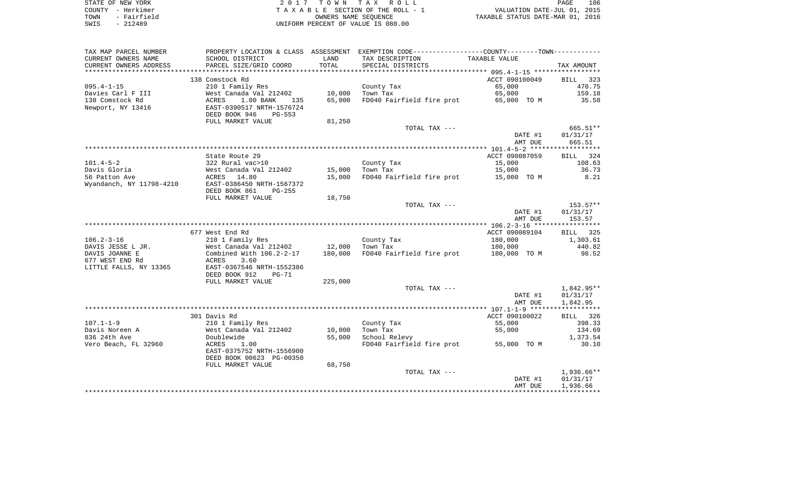| STATE OF NEW YORK   | 2017 TOWN TAX ROLL                 | 106<br>PAGE                      |
|---------------------|------------------------------------|----------------------------------|
| COUNTY - Herkimer   | TAXABLE SECTION OF THE ROLL - 1    | VALUATION DATE-JUL 01, 2015      |
| - Fairfield<br>TOWN | OWNERS NAME SEOUENCE               | TAXABLE STATUS DATE-MAR 01, 2016 |
| $-212489$<br>SWIS   | UNIFORM PERCENT OF VALUE IS 080.00 |                                  |

| TAX MAP PARCEL NUMBER    | PROPERTY LOCATION & CLASS ASSESSMENT                |         | EXEMPTION CODE-----------------COUNTY-------TOWN----------- |                    |                    |
|--------------------------|-----------------------------------------------------|---------|-------------------------------------------------------------|--------------------|--------------------|
| CURRENT OWNERS NAME      | SCHOOL DISTRICT                                     | LAND    | TAX DESCRIPTION                                             | TAXABLE VALUE      |                    |
| CURRENT OWNERS ADDRESS   | PARCEL SIZE/GRID COORD                              | TOTAL   | SPECIAL DISTRICTS                                           |                    | TAX AMOUNT         |
| ***********************  |                                                     |         |                                                             |                    |                    |
|                          | 138 Comstock Rd                                     |         |                                                             | ACCT 090100049     | <b>BILL</b><br>323 |
| $095.4 - 1 - 15$         | 210 1 Family Res                                    |         | County Tax                                                  | 65,000             | 470.75             |
| Davies Carl F III        | West Canada Val 212402                              | 10,000  | Town Tax                                                    | 65,000             | 159.18             |
| 138 Comstock Rd          | ACRES<br>1.00 BANK<br>135                           | 65,000  | FD040 Fairfield fire prot                                   | 65,000 TO M        | 35.58              |
| Newport, NY 13416        | EAST-0390517 NRTH-1576724                           |         |                                                             |                    |                    |
|                          | DEED BOOK 946<br><b>PG-553</b><br>FULL MARKET VALUE | 81,250  |                                                             |                    |                    |
|                          |                                                     |         | TOTAL TAX ---                                               |                    | 665.51**           |
|                          |                                                     |         |                                                             | DATE #1            | 01/31/17           |
|                          |                                                     |         |                                                             | AMT DUE            | 665.51             |
|                          |                                                     |         |                                                             |                    |                    |
|                          | State Route 29                                      |         |                                                             | ACCT 090087059     | BILL 324           |
| $101.4 - 5 - 2$          | 322 Rural vac>10                                    |         | County Tax                                                  | 15,000             | 108.63             |
| Davis Gloria             | West Canada Val 212402                              | 15,000  | Town Tax                                                    | 15,000             | 36.73              |
| 56 Patton Ave            | ACRES<br>14.80                                      | 15,000  | FD040 Fairfield fire prot                                   | 15,000 TO M        | 8.21               |
| Wyandanch, NY 11798-4210 | EAST-0386450 NRTH-1567372                           |         |                                                             |                    |                    |
|                          | DEED BOOK 861<br>$PG-255$                           |         |                                                             |                    |                    |
|                          | FULL MARKET VALUE                                   | 18,750  |                                                             |                    |                    |
|                          |                                                     |         | TOTAL TAX ---                                               |                    | $153.57**$         |
|                          |                                                     |         |                                                             | DATE #1<br>AMT DUE | 01/31/17<br>153.57 |
|                          |                                                     |         |                                                             |                    |                    |
|                          | 677 West End Rd                                     |         |                                                             | ACCT 090089104     | BILL<br>325        |
| $106.2 - 3 - 16$         | 210 1 Family Res                                    |         | County Tax                                                  | 180,000            | 1,303.61           |
| DAVIS JESSE L JR.        | West Canada Val 212402                              | 12,000  | Town Tax                                                    | 180,000            | 440.82             |
| DAVIS JOANNE E           | Combined With 106.2-2-17                            | 180,000 | FD040 Fairfield fire prot                                   | 180,000 TO M       | 98.52              |
| 677 WEST END Rd          | 3.60<br>ACRES                                       |         |                                                             |                    |                    |
| LITTLE FALLS, NY 13365   | EAST-0367546 NRTH-1552386                           |         |                                                             |                    |                    |
|                          | DEED BOOK 912<br>$PG-71$                            |         |                                                             |                    |                    |
|                          | FULL MARKET VALUE                                   | 225,000 |                                                             |                    |                    |
|                          |                                                     |         | TOTAL TAX ---                                               |                    | 1,842.95**         |
|                          |                                                     |         |                                                             | DATE #1            | 01/31/17           |
|                          |                                                     |         |                                                             | AMT DUE            | 1,842.95           |
|                          | 301 Davis Rd                                        |         |                                                             | ACCT 090100022     | BILL 326           |
| $107.1 - 1 - 9$          | 210 1 Family Res                                    |         | County Tax                                                  | 55,000             | 398.33             |
| Davis Noreen A           | West Canada Val 212402                              | 10,000  | Town Tax                                                    | 55,000             | 134.69             |
| 836 24th Ave             | Doublewide                                          | 55,000  | School Relevy                                               |                    | 1,373.54           |
| Vero Beach, FL 32960     | ACRES<br>1.00                                       |         | FD040 Fairfield fire prot                                   | 55,000 TO M        | 30.10              |
|                          | EAST-0375752 NRTH-1556900                           |         |                                                             |                    |                    |
|                          | DEED BOOK 00623 PG-00350                            |         |                                                             |                    |                    |
|                          | FULL MARKET VALUE                                   | 68,750  |                                                             |                    |                    |
|                          |                                                     |         | TOTAL TAX ---                                               |                    | $1,936.66**$       |
|                          |                                                     |         |                                                             | DATE #1            | 01/31/17           |
|                          |                                                     |         |                                                             | AMT DUE            | 1,936.66           |
|                          |                                                     |         |                                                             |                    |                    |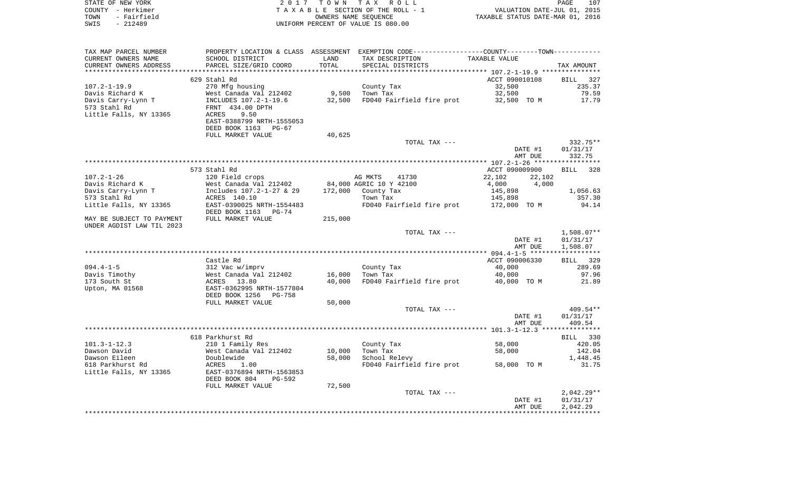| STATE OF NEW YORK   | 2017 TOWN TAX ROLL                 | 107<br>PAGE                      |
|---------------------|------------------------------------|----------------------------------|
| COUNTY - Herkimer   | TAXABLE SECTION OF THE ROLL - 1    | VALUATION DATE-JUL 01, 2015      |
| TOWN<br>- Fairfield | OWNERS NAME SEOUENCE               | TAXABLE STATUS DATE-MAR 01, 2016 |
| SWIS<br>- 212489    | UNIFORM PERCENT OF VALUE IS 080.00 |                                  |
|                     |                                    |                                  |

| TAX MAP PARCEL NUMBER     | PROPERTY LOCATION & CLASS ASSESSMENT               |         | EXEMPTION CODE-----------------COUNTY-------TOWN----------- |                  |              |
|---------------------------|----------------------------------------------------|---------|-------------------------------------------------------------|------------------|--------------|
| CURRENT OWNERS NAME       | SCHOOL DISTRICT                                    | LAND    | TAX DESCRIPTION                                             | TAXABLE VALUE    |              |
| CURRENT OWNERS ADDRESS    | PARCEL SIZE/GRID COORD                             | TOTAL   | SPECIAL DISTRICTS                                           |                  | TAX AMOUNT   |
|                           |                                                    |         |                                                             |                  |              |
|                           | 629 Stahl Rd                                       |         |                                                             | ACCT 090010108   | BILL 327     |
| $107.2 - 1 - 19.9$        | 270 Mfg housing                                    |         | County Tax                                                  | 32,500           | 235.37       |
| Davis Richard K           | West Canada Val 212402                             |         | 9,500 Town Tax                                              | 32,500           | 79.59        |
| Davis Carry-Lynn T        | INCLUDES 107.2-1-19.6                              | 32,500  | FD040 Fairfield fire prot 32,500 TO M                       |                  | 17.79        |
| 573 Stahl Rd              | FRNT 434.00 DPTH                                   |         |                                                             |                  |              |
| Little Falls, NY 13365    | ACRES<br>9.50                                      |         |                                                             |                  |              |
|                           | EAST-0388799 NRTH-1555053                          |         |                                                             |                  |              |
|                           | DEED BOOK 1163<br>PG-67                            |         |                                                             |                  |              |
|                           |                                                    |         |                                                             |                  |              |
|                           | FULL MARKET VALUE                                  | 40,625  |                                                             |                  |              |
|                           |                                                    |         | TOTAL TAX ---                                               |                  | 332.75**     |
|                           |                                                    |         |                                                             | DATE #1          | 01/31/17     |
|                           |                                                    |         |                                                             | AMT DUE          | 332.75       |
|                           |                                                    |         |                                                             |                  |              |
|                           | 573 Stahl Rd                                       |         |                                                             | ACCT 090009900   | BILL 328     |
| $107.2 - 1 - 26$          | 120 Field crops                                    |         | AG MKTS<br>41730                                            | 22,102<br>22,102 |              |
| Davis Richard K           | West Canada Val 212402<br>Includes 107.2-1-27 & 29 |         | 84,000 AGRIC 10 Y 42100                                     | 4,000<br>4,000   |              |
| Davis Carry-Lynn T        |                                                    |         | 172,000 County Tax                                          | 145,898          | 1,056.63     |
| 573 Stahl Rd              | ACRES 140.10                                       |         | Town Tax                                                    | 145,898          | 357.30       |
| Little Falls, NY 13365    | EAST-0390025 NRTH-1554483                          |         | FD040 Fairfield fire prot 172,000 TO M                      |                  | 94.14        |
|                           | DEED BOOK 1163 PG-74                               |         |                                                             |                  |              |
| MAY BE SUBJECT TO PAYMENT | FULL MARKET VALUE                                  | 215,000 |                                                             |                  |              |
| UNDER AGDIST LAW TIL 2023 |                                                    |         |                                                             |                  |              |
|                           |                                                    |         | TOTAL TAX ---                                               |                  | $1,508.07**$ |
|                           |                                                    |         |                                                             | DATE #1          | 01/31/17     |
|                           |                                                    |         |                                                             | AMT DUE          | 1,508.07     |
|                           |                                                    |         |                                                             |                  |              |
|                           | Castle Rd                                          |         |                                                             | ACCT 090006330   | BILL 329     |
| $094.4 - 1 - 5$           | 312 Vac w/imprv                                    |         | County Tax                                                  | 40,000           | 289.69       |
| Davis Timothy             | West Canada Val 212402<br>ACRES 13.80              | 16,000  | Town Tax                                                    | 40,000           | 97.96        |
| 173 South St              |                                                    | 40,000  | FD040 Fairfield fire prot 40,000 TO M                       |                  | 21.89        |
| Upton, MA 01568           | EAST-0362995 NRTH-1577804                          |         |                                                             |                  |              |
|                           | DEED BOOK 1256<br>PG-758                           |         |                                                             |                  |              |
|                           | FULL MARKET VALUE                                  | 50,000  |                                                             |                  |              |
|                           |                                                    |         | TOTAL TAX ---                                               |                  | 409.54**     |
|                           |                                                    |         |                                                             |                  | 01/31/17     |
|                           |                                                    |         |                                                             | DATE #1          |              |
|                           |                                                    |         |                                                             | AMT DUE          | 409.54       |
|                           |                                                    |         |                                                             |                  |              |
|                           | 618 Parkhurst Rd                                   |         |                                                             |                  | BILL 330     |
| $101.3 - 1 - 12.3$        | 210 1 Family Res                                   |         | County Tax                                                  | 58,000           | 420.05       |
| Dawson David              | West Canada Val 212402                             | 10,000  | Town Tax                                                    | 58,000           | 142.04       |
| Dawson Eileen             | nese canada                                        | 58,000  | School Relevy                                               |                  | 1,448.45     |
| 618 Parkhurst Rd          | ACRES<br>1.00                                      |         | FD040 Fairfield fire prot 58,000 TO M                       |                  | 31.75        |
| Little Falls, NY 13365    | EAST-0376894 NRTH-1563853                          |         |                                                             |                  |              |
|                           | DEED BOOK 804<br>PG-592                            |         |                                                             |                  |              |
|                           | FULL MARKET VALUE                                  | 72,500  |                                                             |                  |              |
|                           |                                                    |         | TOTAL TAX ---                                               |                  | $2,042.29**$ |
|                           |                                                    |         |                                                             | DATE #1          | 01/31/17     |
|                           |                                                    |         |                                                             | AMT DUE          | 2,042.29     |
|                           |                                                    |         |                                                             |                  |              |
|                           |                                                    |         |                                                             |                  |              |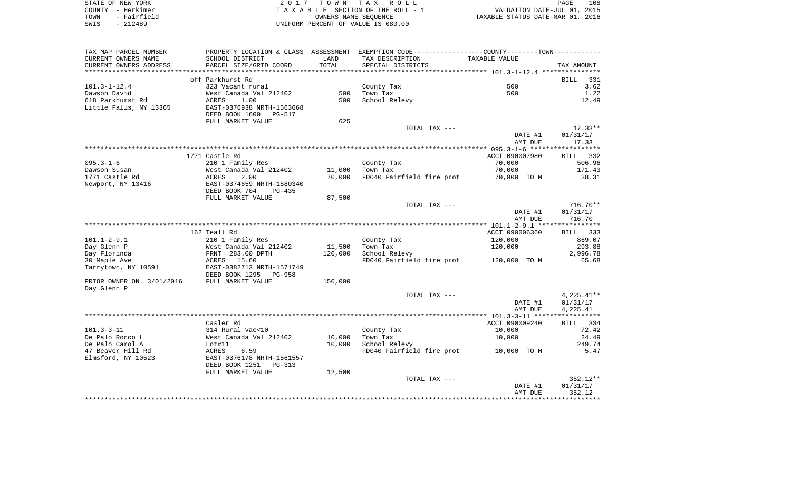| STATE OF NEW YORK   | 2017 TOWN TAX ROLL                 | 108<br>PAGE                      |
|---------------------|------------------------------------|----------------------------------|
| COUNTY – Herkimer   | TAXABLE SECTION OF THE ROLL - 1    | VALUATION DATE-JUL 01, 2015      |
| - Fairfield<br>TOWN | OWNERS NAME SEOUENCE               | TAXABLE STATUS DATE-MAR 01, 2016 |
| $-212489$<br>SWIS   | UNIFORM PERCENT OF VALUE IS 080.00 |                                  |

| TAX MAP PARCEL NUMBER<br>CURRENT OWNERS NAME | PROPERTY LOCATION & CLASS ASSESSMENT<br>SCHOOL DISTRICT                       | LAND        | EXEMPTION CODE-----------------COUNTY-------TOWN-----------<br>TAX DESCRIPTION | TAXABLE VALUE            |                    |
|----------------------------------------------|-------------------------------------------------------------------------------|-------------|--------------------------------------------------------------------------------|--------------------------|--------------------|
| CURRENT OWNERS ADDRESS<br>****************** | PARCEL SIZE/GRID COORD                                                        | TOTAL       | SPECIAL DISTRICTS                                                              |                          | TAX AMOUNT         |
|                                              |                                                                               | *********** |                                                                                |                          |                    |
|                                              | off Parkhurst Rd                                                              |             |                                                                                |                          | 331<br><b>BILL</b> |
| $101.3 - 1 - 12.4$<br>Dawson David           | 323 Vacant rural                                                              | 500         | County Tax<br>Town Tax                                                         | 500<br>500               | 3.62<br>1.22       |
| 618 Parkhurst Rd                             | West Canada Val 212402<br>1.00<br>ACRES                                       | 500         | School Relevy                                                                  |                          | 12.49              |
| Little Falls, NY 13365                       | EAST-0376938 NRTH-1563668<br>DEED BOOK 1600<br><b>PG-517</b>                  |             |                                                                                |                          |                    |
|                                              | FULL MARKET VALUE                                                             | 625         |                                                                                |                          |                    |
|                                              |                                                                               |             | TOTAL TAX ---                                                                  |                          | $17.33**$          |
|                                              |                                                                               |             |                                                                                | DATE #1                  | 01/31/17           |
|                                              |                                                                               |             |                                                                                | AMT DUE                  | 17.33              |
|                                              |                                                                               |             |                                                                                |                          |                    |
|                                              | 1771 Castle Rd                                                                |             |                                                                                | ACCT 090007980           | 332<br>BILL        |
| $095.3 - 1 - 6$                              | 210 1 Family Res                                                              |             | County Tax                                                                     | 70,000                   | 506.96             |
| Dawson Susan                                 | West Canada Val 212402                                                        | 11,000      | Town Tax                                                                       | 70,000                   | 171.43             |
| 1771 Castle Rd                               | 2.00<br><b>ACRES</b>                                                          | 70,000      | FD040 Fairfield fire prot                                                      | 70,000 TO M              | 38.31              |
| Newport, NY 13416                            | EAST-0374659 NRTH-1580340<br>DEED BOOK 704<br>$PG-435$                        |             |                                                                                |                          |                    |
|                                              | FULL MARKET VALUE                                                             | 87,500      |                                                                                |                          |                    |
|                                              |                                                                               |             | TOTAL TAX ---                                                                  |                          | $716.70**$         |
|                                              |                                                                               |             |                                                                                | DATE #1                  | 01/31/17           |
|                                              |                                                                               |             |                                                                                | AMT DUE                  | 716.70             |
|                                              |                                                                               |             | **********************************                                             | $* 101.1 - 2 - 9.1$ **** |                    |
|                                              | 162 Teall Rd                                                                  |             |                                                                                | ACCT 090006360           | 333<br>BILL        |
| $101.1 - 2 - 9.1$                            | 210 1 Family Res                                                              |             | County Tax                                                                     | 120,000                  | 869.07             |
| Day Glenn P                                  | West Canada Val 212402                                                        | 11,500      | Town Tax                                                                       | 120,000                  | 293.88             |
| Day Florinda                                 | FRNT 283.00 DPTH                                                              | 120,000     | School Relevy                                                                  |                          | 2,996.78           |
| 30 Maple Ave                                 | 15.60<br>ACRES                                                                |             | FD040 Fairfield fire prot                                                      | 120,000 TO M             | 65.68              |
| Tarrytown, NY 10591                          | EAST-0382713 NRTH-1571749                                                     |             |                                                                                |                          |                    |
|                                              | DEED BOOK 1295<br>PG-958                                                      |             |                                                                                |                          |                    |
| PRIOR OWNER ON 3/01/2016<br>Day Glenn P      | FULL MARKET VALUE                                                             | 150,000     |                                                                                |                          |                    |
|                                              |                                                                               |             | TOTAL TAX ---                                                                  |                          | 4,225.41**         |
|                                              |                                                                               |             |                                                                                | DATE #1                  | 01/31/17           |
|                                              |                                                                               |             |                                                                                | AMT DUE                  | 4,225.41           |
|                                              |                                                                               |             |                                                                                |                          | ***********        |
|                                              | Casler Rd                                                                     |             |                                                                                | ACCT 090009240           | 334<br>BILL        |
| $101.3 - 3 - 11$                             | 314 Rural vac<10                                                              |             | County Tax                                                                     | 10,000                   | 72.42              |
| De Palo Rocco L                              | West Canada Val 212402                                                        | 10,000      | Town Tax                                                                       | 10,000                   | 24.49              |
| De Palo Carol A                              | Lot#11                                                                        | 10,000      | School Relevy                                                                  |                          | 249.74             |
| 47 Beaver Hill Rd<br>Elmsford, NY 10523      | ACRES<br>6.59<br>EAST-0376178 NRTH-1561557<br>DEED BOOK 1251<br><b>PG-313</b> |             | FD040 Fairfield fire prot                                                      | 10,000 TO M              | 5.47               |
|                                              | FULL MARKET VALUE                                                             | 12,500      |                                                                                |                          |                    |
|                                              |                                                                               |             | TOTAL TAX ---                                                                  |                          | $352.12**$         |
|                                              |                                                                               |             |                                                                                | DATE #1                  | 01/31/17           |
|                                              |                                                                               |             |                                                                                | AMT DUE                  | 352.12             |
|                                              |                                                                               |             |                                                                                |                          |                    |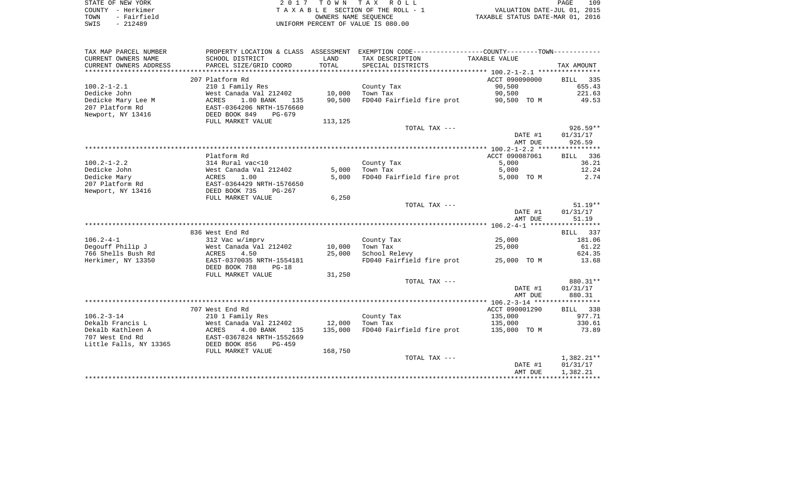| STATE OF NEW YORK   | 2017 TOWN TAX ROLL                 | 109<br>PAGE                      |
|---------------------|------------------------------------|----------------------------------|
| COUNTY - Herkimer   | TAXABLE SECTION OF THE ROLL - 1    | VALUATION DATE-JUL 01, 2015      |
| - Fairfield<br>TOWN | OWNERS NAME SEOUENCE               | TAXABLE STATUS DATE-MAR 01, 2016 |
| $-212489$<br>SWIS   | UNIFORM PERCENT OF VALUE IS 080.00 |                                  |

| TAX MAP PARCEL NUMBER  |                                           |         | PROPERTY LOCATION & CLASS ASSESSMENT EXEMPTION CODE----------------COUNTY--------TOWN---------- |                |                    |
|------------------------|-------------------------------------------|---------|-------------------------------------------------------------------------------------------------|----------------|--------------------|
| CURRENT OWNERS NAME    | SCHOOL DISTRICT                           | LAND    | TAX DESCRIPTION                                                                                 | TAXABLE VALUE  |                    |
| CURRENT OWNERS ADDRESS | PARCEL SIZE/GRID COORD                    | TOTAL   | SPECIAL DISTRICTS                                                                               |                | TAX AMOUNT         |
|                        |                                           |         |                                                                                                 |                |                    |
|                        | 207 Platform Rd                           |         |                                                                                                 | ACCT 090090000 | 335<br>BILL        |
| $100.2 - 1 - 2.1$      | 210 1 Family Res                          |         | County Tax                                                                                      | 90,500         | 655.43             |
| Dedicke John           | West Canada Val 212402                    | 10,000  | Town Tax                                                                                        | 90,500         | 221.63             |
| Dedicke Mary Lee M     | 1.00 BANK<br>ACRES<br>135                 | 90,500  | FD040 Fairfield fire prot                                                                       | 90,500 TO M    | 49.53              |
| 207 Platform Rd        | EAST-0364206 NRTH-1576660                 |         |                                                                                                 |                |                    |
| Newport, NY 13416      | DEED BOOK 849<br>$PG-679$                 |         |                                                                                                 |                |                    |
|                        | FULL MARKET VALUE                         | 113,125 |                                                                                                 |                |                    |
|                        |                                           |         | TOTAL TAX ---                                                                                   |                | $926.59**$         |
|                        |                                           |         |                                                                                                 | DATE #1        | 01/31/17           |
|                        |                                           |         |                                                                                                 | AMT DUE        | 926.59             |
|                        |                                           |         |                                                                                                 |                |                    |
|                        | Platform Rd                               |         |                                                                                                 | ACCT 090087061 | BILL 336           |
| $100.2 - 1 - 2.2$      | 314 Rural vac<10                          |         | County Tax                                                                                      | 5,000          | 36.21              |
| Dedicke John           | West Canada Val 212402                    | 5,000   | Town Tax                                                                                        | 5,000          | 12.24              |
| Dedicke Mary           | 1.00<br>ACRES                             | 5,000   | FD040 Fairfield fire prot                                                                       | 5,000 TO M     | 2.74               |
| 207 Platform Rd        | EAST-0364429 NRTH-1576650                 |         |                                                                                                 |                |                    |
| Newport, NY 13416      | DEED BOOK 735<br>PG-267                   |         |                                                                                                 |                |                    |
|                        | FULL MARKET VALUE                         | 6,250   |                                                                                                 |                |                    |
|                        |                                           |         | TOTAL TAX ---                                                                                   |                | $51.19**$          |
|                        |                                           |         |                                                                                                 | DATE #1        | 01/31/17           |
|                        |                                           |         |                                                                                                 | AMT DUE        | 51.19              |
|                        | 836 West End Rd                           |         |                                                                                                 |                |                    |
| $106.2 - 4 - 1$        |                                           |         |                                                                                                 | 25,000         | BILL 337<br>181.06 |
| Degouff Philip J       | 312 Vac w/imprv<br>West Canada Val 212402 | 10,000  | County Tax<br>Town Tax                                                                          | 25,000         | 61.22              |
| 766 Shells Bush Rd     | ACRES<br>4.50                             | 25,000  | School Relevy                                                                                   |                | 624.35             |
| Herkimer, NY 13350     | EAST-0370035 NRTH-1554181                 |         | FD040 Fairfield fire prot                                                                       | 25,000 TO M    | 13.68              |
|                        | DEED BOOK 788<br>$PG-18$                  |         |                                                                                                 |                |                    |
|                        | FULL MARKET VALUE                         | 31,250  |                                                                                                 |                |                    |
|                        |                                           |         | TOTAL TAX ---                                                                                   |                | 880.31**           |
|                        |                                           |         |                                                                                                 | DATE #1        | 01/31/17           |
|                        |                                           |         |                                                                                                 | AMT DUE        | 880.31             |
|                        |                                           |         |                                                                                                 |                |                    |
|                        | 707 West End Rd                           |         |                                                                                                 | ACCT 090001290 | BILL 338           |
| $106.2 - 3 - 14$       | 210 1 Family Res                          |         | County Tax                                                                                      | 135,000        | 977.71             |
| Dekalb Francis L       | West Canada Val 212402                    | 12,000  | Town Tax                                                                                        | 135,000        | 330.61             |
| Dekalb Kathleen A      | ACRES<br>4.00 BANK<br>135                 | 135,000 | FD040 Fairfield fire prot                                                                       | 135,000 TO M   | 73.89              |
| 707 West End Rd        | EAST-0367824 NRTH-1552669                 |         |                                                                                                 |                |                    |
| Little Falls, NY 13365 | DEED BOOK 856<br>$PG-459$                 |         |                                                                                                 |                |                    |
|                        | FULL MARKET VALUE                         | 168,750 |                                                                                                 |                |                    |
|                        |                                           |         | TOTAL TAX ---                                                                                   |                | $1,382.21**$       |
|                        |                                           |         |                                                                                                 | DATE #1        | 01/31/17           |
|                        |                                           |         |                                                                                                 | AMT DUE        | 1,382.21           |
|                        |                                           |         |                                                                                                 |                |                    |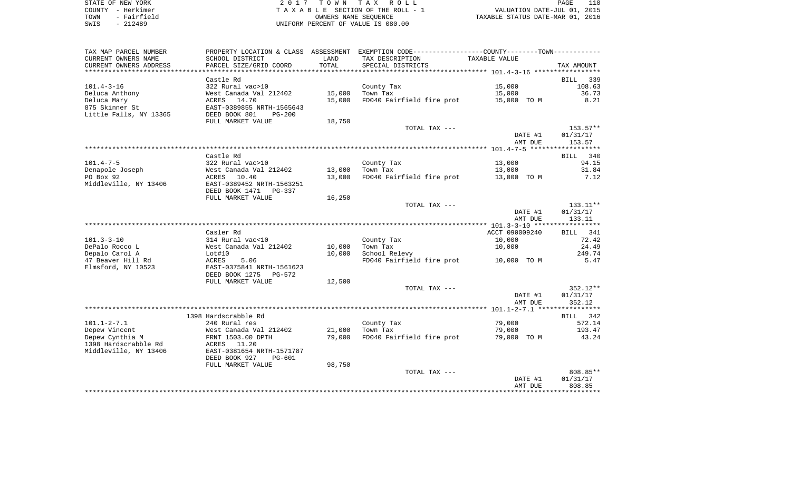| STATE OF NEW YORK |  |             |  |
|-------------------|--|-------------|--|
| COUNTY - Herkimer |  |             |  |
| TOWN              |  | - Fairfield |  |
| SWTS              |  | $-212489$   |  |

2017 TOWN TAX ROLL TA X A B L E SECTION OF THE ROLL - 1 TOWN - Fairfield OWNERS NAME SEQUENCE TAXABLE STATUS DATE-MAR 01, 2016 SWIS - 212489 UNIFORM PERCENT OF VALUE IS 080.00

| TAX MAP PARCEL NUMBER<br>CURRENT OWNERS NAME     | PROPERTY LOCATION & CLASS ASSESSMENT<br>SCHOOL DISTRICT     | LAND   | EXEMPTION CODE-----------------COUNTY-------TOWN-----------<br>TAX DESCRIPTION | TAXABLE VALUE      |                    |
|--------------------------------------------------|-------------------------------------------------------------|--------|--------------------------------------------------------------------------------|--------------------|--------------------|
| CURRENT OWNERS ADDRESS<br>********************** | PARCEL SIZE/GRID COORD                                      | TOTAL  | SPECIAL DISTRICTS                                                              |                    | TAX AMOUNT         |
|                                                  | Castle Rd                                                   |        |                                                                                |                    | 339<br>BILL        |
| $101.4 - 3 - 16$                                 | 322 Rural vac>10                                            |        | County Tax                                                                     | 15,000             | 108.63             |
| Deluca Anthony                                   | West Canada Val 212402                                      | 15,000 | Town Tax                                                                       | 15,000             | 36.73              |
| Deluca Mary                                      | 14.70<br>ACRES                                              | 15,000 | FD040 Fairfield fire prot                                                      | 15,000 TO M        | 8.21               |
| 875 Skinner St<br>Little Falls, NY 13365         | EAST-0389855 NRTH-1565643<br>DEED BOOK 801<br>$PG-200$      |        |                                                                                |                    |                    |
|                                                  | FULL MARKET VALUE                                           | 18,750 |                                                                                |                    |                    |
|                                                  |                                                             |        | TOTAL TAX ---                                                                  |                    | $153.57**$         |
|                                                  |                                                             |        |                                                                                | DATE #1<br>AMT DUE | 01/31/17<br>153.57 |
|                                                  |                                                             |        |                                                                                |                    |                    |
|                                                  | Castle Rd                                                   |        |                                                                                |                    | 340<br>BILL        |
| $101.4 - 7 - 5$                                  | 322 Rural vac>10                                            |        | County Tax                                                                     | 13,000             | 94.15              |
| Denapole Joseph                                  | West Canada Val 212402                                      | 13,000 | Town Tax                                                                       | 13,000             | 31.84              |
| PO Box 92<br>Middleville, NY 13406               | ACRES 10.40<br>EAST-0389452 NRTH-1563251                    | 13,000 | FD040 Fairfield fire prot                                                      | 13,000 TO M        | 7.12               |
|                                                  | DEED BOOK 1471 PG-337                                       |        |                                                                                |                    |                    |
|                                                  | FULL MARKET VALUE                                           | 16,250 |                                                                                |                    |                    |
|                                                  |                                                             |        | TOTAL TAX ---                                                                  |                    | 133.11**           |
|                                                  |                                                             |        |                                                                                | DATE #1            | 01/31/17           |
|                                                  |                                                             |        |                                                                                | AMT DUE            | 133.11             |
|                                                  |                                                             |        |                                                                                |                    |                    |
|                                                  | Casler Rd                                                   |        |                                                                                | ACCT 090009240     | BILL<br>341        |
| $101.3 - 3 - 10$                                 | 314 Rural vac<10                                            |        | County Tax                                                                     | 10,000             | 72.42              |
| DePalo Rocco L                                   | West Canada Val 212402                                      | 10,000 | Town Tax                                                                       | 10,000             | 24.49              |
| Depalo Carol A                                   | Lot#10                                                      | 10,000 | School Relevy                                                                  |                    | 249.74             |
| 47 Beaver Hill Rd<br>Elmsford, NY 10523          | ACRES<br>5.06<br>EAST-0375841 NRTH-1561623                  |        | FD040 Fairfield fire prot                                                      | 10,000 TO M        | 5.47               |
|                                                  | DEED BOOK 1275<br>PG-572<br>FULL MARKET VALUE               | 12,500 |                                                                                |                    |                    |
|                                                  |                                                             |        | TOTAL TAX ---                                                                  |                    | $352.12**$         |
|                                                  |                                                             |        |                                                                                | DATE #1            | 01/31/17           |
|                                                  |                                                             |        |                                                                                | AMT DUE            | 352.12             |
|                                                  |                                                             |        |                                                                                |                    |                    |
|                                                  | 1398 Hardscrabble Rd                                        |        |                                                                                |                    | BILL<br>342        |
| $101.1 - 2 - 7.1$                                | 240 Rural res                                               |        | County Tax                                                                     | 79,000             | 572.14             |
| Depew Vincent                                    | West Canada Val 212402                                      | 21,000 | Town Tax                                                                       | 79,000             | 193.47             |
| Depew Cynthia M                                  | FRNT 1503.00 DPTH                                           | 79,000 | FD040 Fairfield fire prot                                                      | 79,000 TO M        | 43.24              |
| 1398 Hardscrabble Rd                             | ACRES 11.20                                                 |        |                                                                                |                    |                    |
| Middleville, NY 13406                            | EAST-0381654 NRTH-1571787<br>DEED BOOK 927<br><b>PG-601</b> |        |                                                                                |                    |                    |
|                                                  | FULL MARKET VALUE                                           | 98,750 |                                                                                |                    |                    |
|                                                  |                                                             |        | TOTAL TAX ---                                                                  |                    | 808.85**           |
|                                                  |                                                             |        |                                                                                | DATE #1<br>AMT DUE | 01/31/17<br>808.85 |
|                                                  |                                                             |        |                                                                                |                    |                    |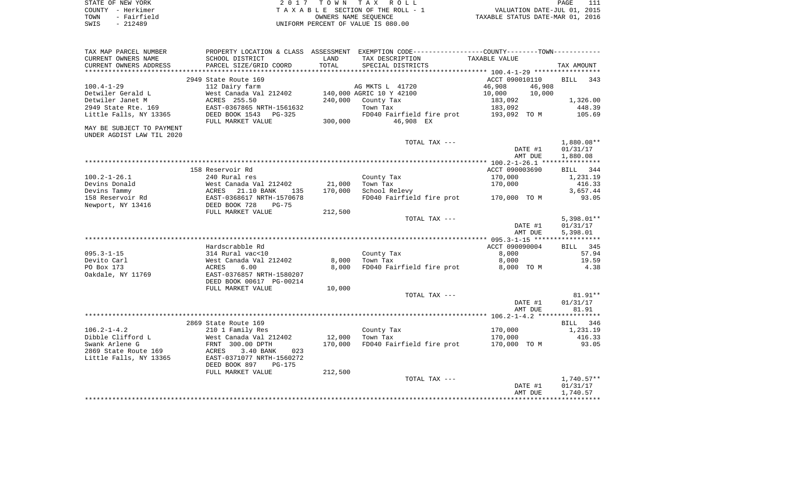| STATE OF NEW YORK   | 2017 TOWN TAX ROLL                 | PAGE                             |
|---------------------|------------------------------------|----------------------------------|
| COUNTY – Herkimer   | TAXABLE SECTION OF THE ROLL - 1    | VALUATION DATE-JUL 01, 2015      |
| - Fairfield<br>TOWN | OWNERS NAME SEOUENCE               | TAXABLE STATUS DATE-MAR 01, 2016 |
| SWIS<br>- 212489    | UNIFORM PERCENT OF VALUE IS 080.00 |                                  |

| TAX MAP PARCEL NUMBER     |                                                 |         | PROPERTY LOCATION & CLASS ASSESSMENT EXEMPTION CODE---------------COUNTY-------TOWN---------- |                  |                    |
|---------------------------|-------------------------------------------------|---------|-----------------------------------------------------------------------------------------------|------------------|--------------------|
| CURRENT OWNERS NAME       | SCHOOL DISTRICT                                 | LAND    | TAX DESCRIPTION                                                                               | TAXABLE VALUE    |                    |
| CURRENT OWNERS ADDRESS    | PARCEL SIZE/GRID COORD                          | TOTAL   | SPECIAL DISTRICTS                                                                             |                  | TAX AMOUNT         |
| ***********************   |                                                 |         |                                                                                               |                  |                    |
|                           | 2949 State Route 169                            |         |                                                                                               | ACCT 090010110   | <b>BILL</b><br>343 |
| $100.4 - 1 - 29$          | 112 Dairy farm                                  |         | AG MKTS L 41720                                                                               | 46,908<br>46,908 |                    |
| Detwiler Gerald L         | West Canada Val 212402                          |         | 140,000 AGRIC 10 Y 42100                                                                      | 10,000<br>10,000 |                    |
| Detwiler Janet M          | ACRES 255.50                                    | 240,000 | County Tax                                                                                    | 183,092          | 1,326.00           |
| 2949 State Rte. 169       | EAST-0367865 NRTH-1561632                       |         | Town Tax                                                                                      | 183,092          | 448.39             |
| Little Falls, NY 13365    | DEED BOOK 1543<br>$PG-325$<br>FULL MARKET VALUE | 300,000 | FD040 Fairfield fire prot<br>46,908 EX                                                        | 193,092 TO M     | 105.69             |
| MAY BE SUBJECT TO PAYMENT |                                                 |         |                                                                                               |                  |                    |
| UNDER AGDIST LAW TIL 2020 |                                                 |         |                                                                                               |                  |                    |
|                           |                                                 |         | TOTAL TAX ---                                                                                 |                  | 1,880.08**         |
|                           |                                                 |         |                                                                                               | DATE #1          | 01/31/17           |
|                           |                                                 |         |                                                                                               | AMT DUE          | 1,880.08           |
|                           |                                                 |         |                                                                                               |                  |                    |
|                           | 158 Reservoir Rd                                |         |                                                                                               | ACCT 090003690   | BILL 344           |
| $100.2 - 1 - 26.1$        | 240 Rural res                                   |         | County Tax                                                                                    | 170,000          | 1,231.19           |
| Devins Donald             | West Canada Val 212402                          | 21,000  | Town Tax                                                                                      | 170,000          | 416.33             |
| Devins Tammy              | 21.10 BANK<br>ACRES<br>135                      | 170,000 | School Relevy                                                                                 |                  | 3,657.44           |
| 158 Reservoir Rd          | EAST-0368617 NRTH-1570678                       |         | FD040 Fairfield fire prot                                                                     | 170,000 TO M     | 93.05              |
| Newport, NY 13416         | DEED BOOK 728<br>$PG-75$                        |         |                                                                                               |                  |                    |
|                           | FULL MARKET VALUE                               | 212,500 |                                                                                               |                  |                    |
|                           |                                                 |         | TOTAL TAX ---                                                                                 |                  | $5,398.01**$       |
|                           |                                                 |         |                                                                                               | DATE #1          | 01/31/17           |
|                           |                                                 |         |                                                                                               | AMT DUE          | 5,398.01           |
|                           |                                                 |         |                                                                                               |                  |                    |
|                           | Hardscrabble Rd                                 |         |                                                                                               | ACCT 090090004   | BILL 345           |
| $095.3 - 1 - 15$          | 314 Rural vac<10                                |         | County Tax                                                                                    | 8,000            | 57.94              |
| Devito Carl               | West Canada Val 212402                          | 8,000   | Town Tax                                                                                      | 8,000            | 19.59              |
| PO Box 173                | ACRES<br>6.00<br>EAST-0376857 NRTH-1580207      | 8,000   | FD040 Fairfield fire prot                                                                     | 8,000 TO M       | 4.38               |
| Oakdale, NY 11769         | DEED BOOK 00617 PG-00214                        |         |                                                                                               |                  |                    |
|                           | FULL MARKET VALUE                               | 10,000  |                                                                                               |                  |                    |
|                           |                                                 |         | TOTAL TAX ---                                                                                 |                  | $81.91**$          |
|                           |                                                 |         |                                                                                               | DATE #1          | 01/31/17           |
|                           |                                                 |         |                                                                                               | AMT DUE          | 81.91              |
|                           |                                                 |         |                                                                                               |                  |                    |
|                           | 2869 State Route 169                            |         |                                                                                               |                  | BILL<br>346        |
| $106.2 - 1 - 4.2$         | 210 1 Family Res                                |         | County Tax                                                                                    | 170,000          | 1,231.19           |
| Dibble Clifford L         | West Canada Val 212402                          | 12,000  | Town Tax                                                                                      | 170,000          | 416.33             |
| Swank Arlene G            | FRNT 300.00 DPTH                                | 170,000 | FD040 Fairfield fire prot                                                                     | 170,000 TO M     | 93.05              |
| 2869 State Route 169      | 3.40 BANK<br>ACRES<br>023                       |         |                                                                                               |                  |                    |
| Little Falls, NY 13365    | EAST-0371077 NRTH-1560272                       |         |                                                                                               |                  |                    |
|                           | DEED BOOK 897<br>PG-175                         |         |                                                                                               |                  |                    |
|                           | FULL MARKET VALUE                               | 212,500 |                                                                                               |                  |                    |
|                           |                                                 |         | TOTAL TAX ---                                                                                 |                  | $1,740.57**$       |
|                           |                                                 |         |                                                                                               | DATE #1          | 01/31/17           |
|                           |                                                 |         |                                                                                               | AMT DUE          | 1,740.57           |
|                           |                                                 |         |                                                                                               |                  |                    |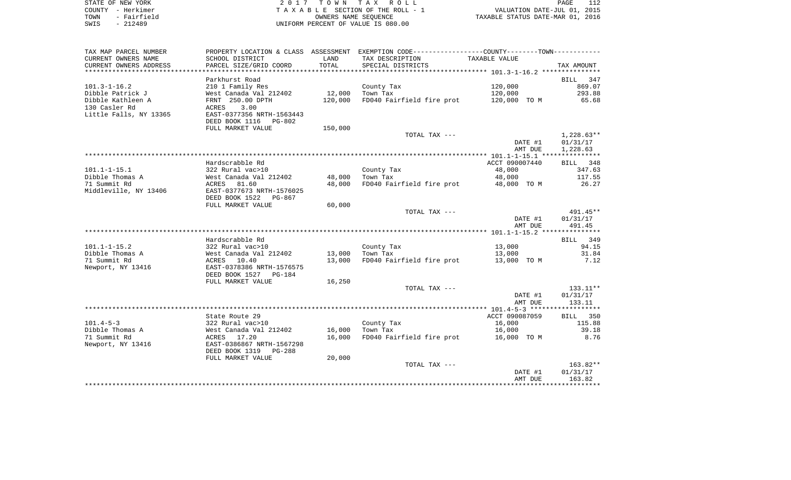| STATE OF NEW YORK   | 2017 TOWN TAX ROLL                 | PAGE                             |
|---------------------|------------------------------------|----------------------------------|
| COUNTY - Herkimer   | TAXABLE SECTION OF THE ROLL - 1    | VALUATION DATE-JUL 01, 2015      |
| - Fairfield<br>TOWN | OWNERS NAME SEOUENCE               | TAXABLE STATUS DATE-MAR 01, 2016 |
| SWIS<br>- 212489    | UNIFORM PERCENT OF VALUE IS 080.00 |                                  |

 $\frac{112}{2015}$ 

| TAX MAP PARCEL NUMBER  |                                 |         | PROPERTY LOCATION & CLASS ASSESSMENT EXEMPTION CODE---------------COUNTY-------TOWN---------- |                |              |
|------------------------|---------------------------------|---------|-----------------------------------------------------------------------------------------------|----------------|--------------|
| CURRENT OWNERS NAME    | SCHOOL DISTRICT                 | LAND    | TAX DESCRIPTION                                                                               | TAXABLE VALUE  |              |
| CURRENT OWNERS ADDRESS | PARCEL SIZE/GRID COORD          | TOTAL   | SPECIAL DISTRICTS                                                                             |                | TAX AMOUNT   |
| ********************   | *****************************   |         |                                                                                               |                |              |
|                        | Parkhurst Road                  |         |                                                                                               |                | BILL<br>347  |
| $101.3 - 1 - 16.2$     | 210 1 Family Res                |         | County Tax                                                                                    | 120,000        | 869.07       |
| Dibble Patrick J       | West Canada Val 212402          | 12,000  | Town Tax                                                                                      | 120,000        | 293.88       |
| Dibble Kathleen A      | FRNT 250.00 DPTH                | 120,000 | FD040 Fairfield fire prot                                                                     | 120,000 TO M   | 65.68        |
| 130 Casler Rd          | 3.00<br>ACRES                   |         |                                                                                               |                |              |
| Little Falls, NY 13365 | EAST-0377356 NRTH-1563443       |         |                                                                                               |                |              |
|                        | DEED BOOK 1116<br>PG-802        |         |                                                                                               |                |              |
|                        | FULL MARKET VALUE               | 150,000 |                                                                                               |                |              |
|                        |                                 |         | TOTAL TAX ---                                                                                 |                | $1,228.63**$ |
|                        |                                 |         |                                                                                               | DATE #1        | 01/31/17     |
|                        |                                 |         |                                                                                               | AMT DUE        | 1,228.63     |
|                        |                                 |         |                                                                                               |                |              |
|                        | Hardscrabble Rd                 |         |                                                                                               | ACCT 090007440 | BILL 348     |
| $101.1 - 1 - 15.1$     | 322 Rural vac>10                |         | County Tax                                                                                    | 48,000         | 347.63       |
| Dibble Thomas A        | West Canada Val 212402          | 48,000  | Town Tax                                                                                      | 48,000         | 117.55       |
| 71 Summit Rd           | 81.60<br>ACRES                  | 48,000  | FD040 Fairfield fire prot                                                                     | 48,000 TO M    | 26.27        |
| Middleville, NY 13406  | EAST-0377673 NRTH-1576025       |         |                                                                                               |                |              |
|                        | DEED BOOK 1522<br>PG-867        |         |                                                                                               |                |              |
|                        | FULL MARKET VALUE               | 60,000  |                                                                                               |                |              |
|                        |                                 |         | TOTAL TAX ---                                                                                 |                | 491.45**     |
|                        |                                 |         |                                                                                               | DATE #1        | 01/31/17     |
|                        |                                 |         |                                                                                               | AMT DUE        | 491.45       |
|                        |                                 |         |                                                                                               |                |              |
|                        | Hardscrabble Rd                 |         |                                                                                               |                | BILL 349     |
| $101.1 - 1 - 15.2$     | 322 Rural vac>10                |         | County Tax                                                                                    | 13,000         | 94.15        |
| Dibble Thomas A        | West Canada Val 212402          | 13,000  | Town Tax                                                                                      | 13,000         | 31.84        |
| 71 Summit Rd           | ACRES<br>10.40                  | 13,000  | FD040 Fairfield fire prot                                                                     | 13,000 TO M    | 7.12         |
| Newport, NY 13416      | EAST-0378386 NRTH-1576575       |         |                                                                                               |                |              |
|                        | DEED BOOK 1527<br><b>PG-184</b> |         |                                                                                               |                |              |
|                        | FULL MARKET VALUE               | 16,250  |                                                                                               |                |              |
|                        |                                 |         | TOTAL TAX ---                                                                                 |                | 133.11**     |
|                        |                                 |         |                                                                                               | DATE #1        | 01/31/17     |
|                        |                                 |         |                                                                                               | AMT DUE        | 133.11       |
|                        |                                 |         |                                                                                               |                |              |
|                        | State Route 29                  |         |                                                                                               | ACCT 090087059 | BILL 350     |
| $101.4 - 5 - 3$        | 322 Rural vac>10                |         | County Tax                                                                                    | 16,000         | 115.88       |
| Dibble Thomas A        | West Canada Val 212402          | 16,000  | Town Tax                                                                                      | 16,000         | 39.18        |
| 71 Summit Rd           | ACRES 17.20                     | 16,000  | FD040 Fairfield fire prot                                                                     | 16,000 TO M    | 8.76         |
| Newport, NY 13416      | EAST-0386867 NRTH-1567298       |         |                                                                                               |                |              |
|                        | DEED BOOK 1319<br><b>PG-288</b> |         |                                                                                               |                |              |
|                        | FULL MARKET VALUE               | 20,000  |                                                                                               |                |              |
|                        |                                 |         | TOTAL TAX ---                                                                                 |                | 163.82**     |
|                        |                                 |         |                                                                                               | DATE #1        | 01/31/17     |
|                        |                                 |         |                                                                                               | AMT DUE        | 163.82       |
|                        |                                 |         |                                                                                               |                |              |
|                        |                                 |         |                                                                                               |                |              |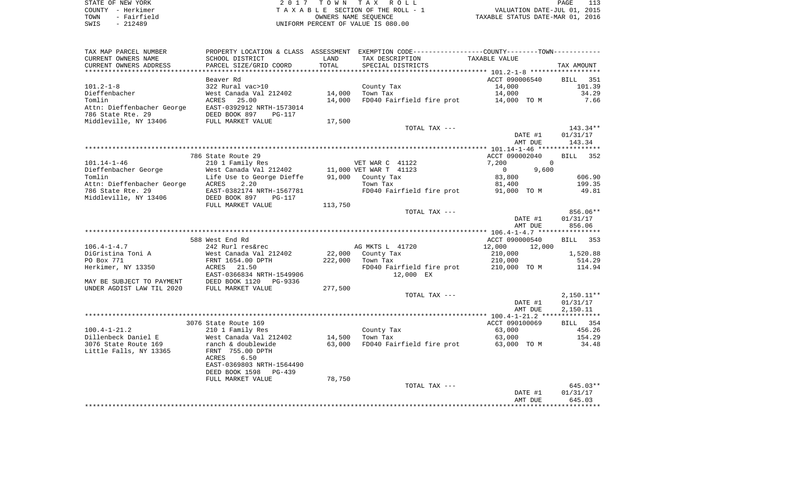| STATE OF NEW YORK |  |             |
|-------------------|--|-------------|
| COUNTY - Herkimer |  |             |
| TOWN              |  | - Fairfield |
| SWIS              |  | $-212489$   |

STATE OF THE TAX ROLL TA X A B L E SECTION OF THE ROLL - 1 TOWN - Fairfield OWNERS NAME SEQUENCE TAXABLE STATUS DATE-MAR 01, 2016 SWIS - 212489 UNIFORM PERCENT OF VALUE IS 080.00

| TAX MAP PARCEL NUMBER      | PROPERTY LOCATION & CLASS ASSESSMENT EXEMPTION CODE---------------COUNTY-------TOWN---------- |         |                           |                |              |
|----------------------------|-----------------------------------------------------------------------------------------------|---------|---------------------------|----------------|--------------|
| CURRENT OWNERS NAME        | SCHOOL DISTRICT                                                                               | LAND    | TAX DESCRIPTION           | TAXABLE VALUE  |              |
| CURRENT OWNERS ADDRESS     | PARCEL SIZE/GRID COORD                                                                        | TOTAL   | SPECIAL DISTRICTS         |                | TAX AMOUNT   |
|                            |                                                                                               |         |                           |                |              |
|                            | Beaver Rd                                                                                     |         |                           | ACCT 090006540 | BILL 351     |
| $101.2 - 1 - 8$            | 322 Rural vac>10                                                                              |         | County Tax                | 14,000         | 101.39       |
| Dieffenbacher              | West Canada Val 212402                                                                        | 14,000  | Town Tax                  | 14,000         | 34.29        |
| Tomlin                     | ACRES<br>25.00                                                                                | 14,000  | FD040 Fairfield fire prot | 14,000 TO M    | 7.66         |
| Attn: Dieffenbacher George | EAST-0392912 NRTH-1573014                                                                     |         |                           |                |              |
| 786 State Rte. 29          | DEED BOOK 897<br>PG-117                                                                       |         |                           |                |              |
| Middleville, NY 13406      | FULL MARKET VALUE                                                                             | 17,500  |                           |                |              |
|                            |                                                                                               |         |                           |                |              |
|                            |                                                                                               |         | TOTAL TAX ---             |                | 143.34**     |
|                            |                                                                                               |         |                           | DATE #1        | 01/31/17     |
|                            |                                                                                               |         |                           | AMT DUE        | 143.34       |
|                            |                                                                                               |         |                           |                |              |
|                            | 786 State Route 29                                                                            |         |                           | ACCT 090002040 | BILL 352     |
| $101.14 - 1 - 46$          | 210 1 Family Res                                                                              |         | VET WAR C 41122           | 7,200          | $\Omega$     |
| Dieffenbacher George       | West Canada Val 212402                                                                        |         | 11,000 VET WAR T 41123    | $\overline{0}$ | 9,600        |
| Tomlin                     | Life Use to George Dieffe                                                                     |         | 91,000 County Tax         | 83,800         | 606.90       |
| Attn: Dieffenbacher George | ACRES<br>2.20                                                                                 |         | Town Tax                  | 81,400         | 199.35       |
| 786 State Rte. 29          | EAST-0382174 NRTH-1567781                                                                     |         | FD040 Fairfield fire prot | 91,000 TO M    | 49.81        |
| Middleville, NY 13406      | DEED BOOK 897<br>PG-117                                                                       |         |                           |                |              |
|                            | FULL MARKET VALUE                                                                             | 113,750 |                           |                |              |
|                            |                                                                                               |         | TOTAL TAX ---             |                | 856.06**     |
|                            |                                                                                               |         |                           | DATE #1        | 01/31/17     |
|                            |                                                                                               |         |                           | AMT DUE        | 856.06       |
|                            |                                                                                               |         |                           |                |              |
|                            | 588 West End Rd                                                                               |         |                           | ACCT 090000540 | BILL<br>353  |
| $106.4 - 1 - 4.7$          | 242 Rurl res&rec                                                                              |         | AG MKTS L 41720           | 12,000         | 12,000       |
| DiGristina Toni A          | West Canada Val 212402                                                                        | 22,000  | County Tax                | 210,000        | 1,520.88     |
| PO Box 771                 | FRNT 1654.00 DPTH                                                                             | 222,000 | Town Tax                  | 210,000        | 514.29       |
| Herkimer, NY 13350         | ACRES 21.50                                                                                   |         | FD040 Fairfield fire prot | 210,000 TO M   | 114.94       |
|                            | EAST-0366834 NRTH-1549906                                                                     |         | 12,000 EX                 |                |              |
| MAY BE SUBJECT TO PAYMENT  | DEED BOOK 1120 PG-9336                                                                        |         |                           |                |              |
| UNDER AGDIST LAW TIL 2020  | FULL MARKET VALUE                                                                             | 277,500 |                           |                |              |
|                            |                                                                                               |         | TOTAL TAX ---             |                | $2,150.11**$ |
|                            |                                                                                               |         |                           | DATE #1        | 01/31/17     |
|                            |                                                                                               |         |                           | AMT DUE        | 2,150.11     |
|                            |                                                                                               |         |                           |                |              |
|                            | 3076 State Route 169                                                                          |         |                           | ACCT 090100069 | BILL 354     |
| $100.4 - 1 - 21.2$         | 210 1 Family Res                                                                              |         | County Tax                | 63,000         | 456.26       |
| Dillenbeck Daniel E        | West Canada Val 212402                                                                        | 14,500  | Town Tax                  | 63,000         | 154.29       |
| 3076 State Route 169       | ranch & doublewide                                                                            | 63,000  | FD040 Fairfield fire prot | 63,000 TO M    | 34.48        |
|                            |                                                                                               |         |                           |                |              |
| Little Falls, NY 13365     | FRNT 755.00 DPTH<br>ACRES<br>6.50                                                             |         |                           |                |              |
|                            |                                                                                               |         |                           |                |              |
|                            | EAST-0369803 NRTH-1564490                                                                     |         |                           |                |              |
|                            | DEED BOOK 1598<br>PG-439                                                                      |         |                           |                |              |
|                            | FULL MARKET VALUE                                                                             | 78,750  |                           |                |              |
|                            |                                                                                               |         | TOTAL TAX ---             |                | 645.03**     |
|                            |                                                                                               |         |                           | DATE #1        | 01/31/17     |
|                            |                                                                                               |         |                           | AMT DUE        | 645.03       |
|                            |                                                                                               |         |                           |                |              |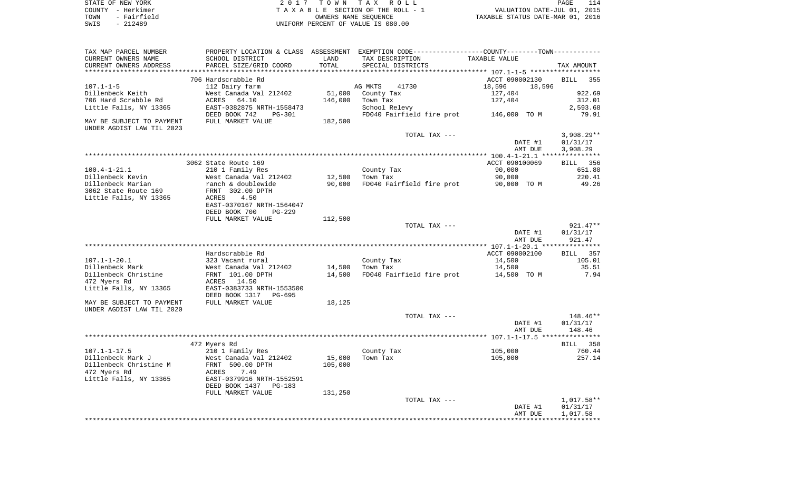|      | STATE OF NEW YORK | 2017 TOWN TAX ROLL                 | 114<br>PAGE                      |
|------|-------------------|------------------------------------|----------------------------------|
|      | COUNTY - Herkimer | TAXABLE SECTION OF THE ROLL - 1    | VALUATION DATE-JUL 01, 2015      |
| TOWN | - Fairfield       | OWNERS NAME SEOUENCE               | TAXABLE STATUS DATE-MAR 01, 2016 |
| SWIS | - 212489          | UNIFORM PERCENT OF VALUE IS 080.00 |                                  |

| TAX MAP PARCEL NUMBER<br>CURRENT OWNERS NAME                                            | SCHOOL DISTRICT                                                                          | LAND              | PROPERTY LOCATION & CLASS ASSESSMENT EXEMPTION CODE----------------COUNTY-------TOWN-----------<br>TAX DESCRIPTION | TAXABLE VALUE                                            |                                        |
|-----------------------------------------------------------------------------------------|------------------------------------------------------------------------------------------|-------------------|--------------------------------------------------------------------------------------------------------------------|----------------------------------------------------------|----------------------------------------|
| CURRENT OWNERS ADDRESS<br>**********************                                        | PARCEL SIZE/GRID COORD                                                                   | TOTAL             | SPECIAL DISTRICTS                                                                                                  |                                                          | TAX AMOUNT                             |
|                                                                                         |                                                                                          |                   |                                                                                                                    |                                                          |                                        |
| $107.1 - 1 - 5$<br>Dillenbeck Keith<br>706 Hard Scrabble Rd                             | 706 Hardscrabble Rd<br>112 Dairy farm<br>West Canada Val 212402<br>64.10<br>ACRES        | 51,000<br>146,000 | AG MKTS<br>41730<br>County Tax<br>Town Tax                                                                         | ACCT 090002130<br>18,596<br>18,596<br>127,404<br>127,404 | <b>BILL</b><br>355<br>922.69<br>312.01 |
| Little Falls, NY 13365                                                                  | EAST-0382875 NRTH-1558473<br>DEED BOOK 742<br>$PG-301$                                   |                   | School Relevy<br>FD040 Fairfield fire prot                                                                         | 146,000 TO M                                             | 2,593.68<br>79.91                      |
| MAY BE SUBJECT TO PAYMENT<br>UNDER AGDIST LAW TIL 2023                                  | FULL MARKET VALUE                                                                        | 182,500           |                                                                                                                    |                                                          |                                        |
|                                                                                         |                                                                                          |                   | TOTAL TAX ---                                                                                                      | DATE #1<br>AMT DUE                                       | $3,908.29**$<br>01/31/17<br>3,908.29   |
|                                                                                         |                                                                                          |                   |                                                                                                                    |                                                          |                                        |
| $100.4 - 1 - 21.1$                                                                      | 3062 State Route 169<br>210 1 Family Res                                                 |                   | County Tax                                                                                                         | ACCT 090100069<br>90,000                                 | 356<br><b>BILL</b><br>651.80           |
| Dillenbeck Kevin<br>Dillenbeck Marian<br>3062 State Route 169<br>Little Falls, NY 13365 | West Canada Val 212402<br>ranch & doublewide<br>FRNT 302.00 DPTH<br><b>ACRES</b><br>4.50 | 12,500<br>90,000  | Town Tax<br>FD040 Fairfield fire prot                                                                              | 90,000<br>90,000 TO M                                    | 220.41<br>49.26                        |
|                                                                                         | EAST-0370167 NRTH-1564047<br>DEED BOOK 700<br>$PG-229$<br>FULL MARKET VALUE              | 112,500           |                                                                                                                    |                                                          |                                        |
|                                                                                         |                                                                                          |                   | TOTAL TAX ---                                                                                                      | DATE #1<br>AMT DUE                                       | $921.47**$<br>01/31/17<br>921.47       |
|                                                                                         |                                                                                          |                   |                                                                                                                    |                                                          |                                        |
|                                                                                         | Hardscrabble Rd                                                                          |                   |                                                                                                                    | ACCT 090002100                                           | 357<br>BILL                            |
| $107.1 - 1 - 20.1$                                                                      | 323 Vacant rural                                                                         |                   | County Tax                                                                                                         | 14,500                                                   | 105.01                                 |
| Dillenbeck Mark<br>Dillenbeck Christine<br>472 Myers Rd                                 | West Canada Val 212402<br>FRNT 101.00 DPTH<br>14.50<br>ACRES                             | 14,500<br>14,500  | Town Tax<br>FD040 Fairfield fire prot                                                                              | 14,500<br>14,500 TO M                                    | 35.51<br>7.94                          |
| Little Falls, NY 13365                                                                  | EAST-0383733 NRTH-1553500<br>DEED BOOK 1317<br>PG-695                                    |                   |                                                                                                                    |                                                          |                                        |
| MAY BE SUBJECT TO PAYMENT<br>UNDER AGDIST LAW TIL 2020                                  | FULL MARKET VALUE                                                                        | 18,125            |                                                                                                                    |                                                          |                                        |
|                                                                                         |                                                                                          |                   | TOTAL TAX ---                                                                                                      | DATE #1<br>AMT DUE                                       | 148.46**<br>01/31/17<br>148.46         |
|                                                                                         |                                                                                          |                   |                                                                                                                    |                                                          | ********                               |
|                                                                                         | 472 Myers Rd                                                                             |                   |                                                                                                                    |                                                          | 358<br>BILL                            |
| $107.1 - 1 - 17.5$<br>Dillenbeck Mark J<br>Dillenbeck Christine M<br>472 Myers Rd       | 210 1 Family Res<br>West Canada Val 212402<br>FRNT 500.00 DPTH<br>7.49<br>ACRES          | 15,000<br>105,000 | County Tax<br>Town Tax                                                                                             | 105,000<br>105,000                                       | 760.44<br>257.14                       |
| Little Falls, NY 13365                                                                  | EAST-0379916 NRTH-1552591<br>DEED BOOK 1437<br>$PG-183$<br>FULL MARKET VALUE             | 131,250           |                                                                                                                    |                                                          |                                        |
|                                                                                         |                                                                                          |                   | TOTAL TAX ---                                                                                                      |                                                          | 1,017.58**                             |
|                                                                                         |                                                                                          |                   |                                                                                                                    | DATE #1<br>AMT DUE                                       | 01/31/17<br>1,017.58                   |
|                                                                                         |                                                                                          |                   |                                                                                                                    |                                                          |                                        |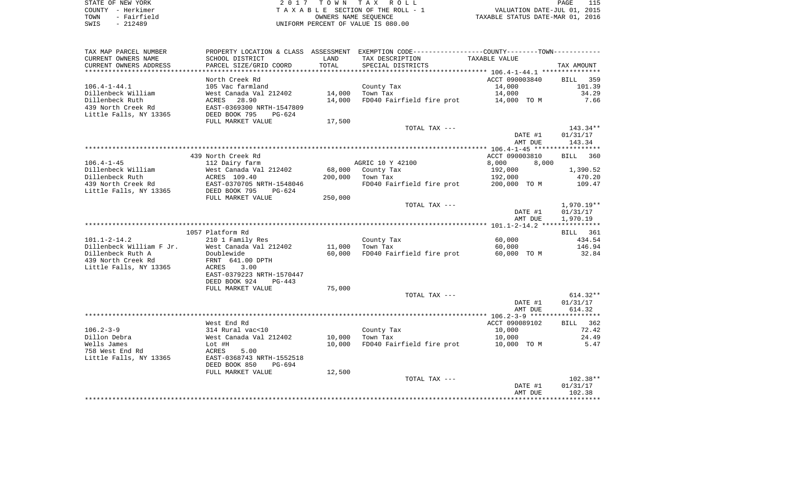| STATE OF NEW YORK   | 2017 TOWN TAX ROLL                 | PAGE                             |
|---------------------|------------------------------------|----------------------------------|
| COUNTY - Herkimer   | TAXABLE SECTION OF THE ROLL - 1    | VALUATION DATE-JUL 01, 2015      |
| - Fairfield<br>TOWN | OWNERS NAME SEOUENCE               | TAXABLE STATUS DATE-MAR 01, 2016 |
| $-212489$<br>SWIS   | UNIFORM PERCENT OF VALUE IS 080.00 |                                  |

| TAX MAP PARCEL NUMBER                 |                                                   |         | PROPERTY LOCATION & CLASS ASSESSMENT EXEMPTION CODE----------------COUNTY-------TOWN----------- |                |                    |
|---------------------------------------|---------------------------------------------------|---------|-------------------------------------------------------------------------------------------------|----------------|--------------------|
| CURRENT OWNERS NAME                   | SCHOOL DISTRICT                                   | LAND    | TAX DESCRIPTION                                                                                 | TAXABLE VALUE  |                    |
| CURRENT OWNERS ADDRESS                | PARCEL SIZE/GRID COORD                            | TOTAL   | SPECIAL DISTRICTS                                                                               |                | TAX AMOUNT         |
| **********************                | ****************************                      |         |                                                                                                 |                |                    |
|                                       | North Creek Rd                                    |         |                                                                                                 | ACCT 090003840 | BILL 359           |
| $106.4 - 1 - 44.1$                    | 105 Vac farmland                                  |         | County Tax                                                                                      | 14,000         | 101.39             |
| Dillenbeck William                    | West Canada Val 212402                            | 14,000  | Town Tax                                                                                        | 14,000         | 34.29              |
| Dillenbeck Ruth                       | ACRES 28.90                                       | 14,000  | FD040 Fairfield fire prot                                                                       | 14,000 TO M    | 7.66               |
| 439 North Creek Rd                    | EAST-0369300 NRTH-1547809                         |         |                                                                                                 |                |                    |
| Little Falls, NY 13365                | DEED BOOK 795<br>PG-624                           |         |                                                                                                 |                |                    |
|                                       | FULL MARKET VALUE                                 | 17,500  |                                                                                                 |                |                    |
|                                       |                                                   |         | TOTAL TAX ---                                                                                   |                | 143.34**           |
|                                       |                                                   |         |                                                                                                 | DATE #1        | 01/31/17           |
|                                       |                                                   |         |                                                                                                 | AMT DUE        | 143.34             |
|                                       |                                                   |         |                                                                                                 |                |                    |
|                                       | 439 North Creek Rd                                |         |                                                                                                 | ACCT 090003810 | <b>BILL</b><br>360 |
| $106.4 - 1 - 45$                      | 112 Dairy farm                                    |         | AGRIC 10 Y 42100                                                                                | 8,000<br>8,000 |                    |
| Dillenbeck William<br>Dillenbeck Ruth | West Canada Val 212402<br>ACRES 109.40            | 68,000  | County Tax                                                                                      | 192,000        | 1,390.52           |
| 439 North Creek Rd                    |                                                   | 200,000 | Town Tax<br>FD040 Fairfield fire prot 200,000 TO M                                              | 192,000        | 470.20<br>109.47   |
| Little Falls, NY 13365                | EAST-0370705 NRTH-1548046<br>DEED BOOK 795 PG-624 |         |                                                                                                 |                |                    |
|                                       | FULL MARKET VALUE                                 | 250,000 |                                                                                                 |                |                    |
|                                       |                                                   |         | TOTAL TAX ---                                                                                   |                | $1,970.19**$       |
|                                       |                                                   |         |                                                                                                 | DATE #1        | 01/31/17           |
|                                       |                                                   |         |                                                                                                 | AMT DUE        | 1,970.19           |
|                                       |                                                   |         |                                                                                                 |                |                    |
|                                       | 1057 Platform Rd                                  |         |                                                                                                 |                | BILL 361           |
| $101.1 - 2 - 14.2$                    | 210 1 Family Res                                  |         | County Tax                                                                                      | 60,000         | 434.54             |
| Dillenbeck William F Jr.              | West Canada Val 212402                            | 11,000  | Town Tax                                                                                        | 60,000         | 146.94             |
| Dillenbeck Ruth A                     | Doublewide                                        | 60,000  | FD040 Fairfield fire prot                                                                       | 60,000 TO M    | 32.84              |
| 439 North Creek Rd                    | FRNT 641.00 DPTH                                  |         |                                                                                                 |                |                    |
| Little Falls, NY 13365                | 3.00<br>ACRES                                     |         |                                                                                                 |                |                    |
|                                       | EAST-0379223 NRTH-1570447                         |         |                                                                                                 |                |                    |
|                                       | DEED BOOK 924<br>$PG-443$                         |         |                                                                                                 |                |                    |
|                                       | FULL MARKET VALUE                                 | 75,000  |                                                                                                 |                |                    |
|                                       |                                                   |         | TOTAL TAX ---                                                                                   |                | $614.32**$         |
|                                       |                                                   |         |                                                                                                 | DATE #1        | 01/31/17           |
|                                       |                                                   |         |                                                                                                 | AMT DUE        | 614.32             |
|                                       |                                                   |         |                                                                                                 |                |                    |
|                                       | West End Rd                                       |         |                                                                                                 | ACCT 090089102 | BILL 362           |
| $106.2 - 3 - 9$                       | 314 Rural vac<10                                  |         | County Tax                                                                                      | 10,000         | 72.42              |
| Dillon Debra                          | West Canada Val 212402                            | 10,000  | Town Tax                                                                                        | 10,000         | 24.49              |
| Wells James                           | Lot #H                                            | 10,000  | FD040 Fairfield fire prot                                                                       | 10,000 TO M    | 5.47               |
| 758 West End Rd                       | 5.00<br>ACRES                                     |         |                                                                                                 |                |                    |
| Little Falls, NY 13365                | EAST-0368743 NRTH-1552518                         |         |                                                                                                 |                |                    |
|                                       | DEED BOOK 850<br>PG-694                           |         |                                                                                                 |                |                    |
|                                       | FULL MARKET VALUE                                 | 12,500  | TOTAL TAX ---                                                                                   |                | $102.38**$         |
|                                       |                                                   |         |                                                                                                 | DATE #1        | 01/31/17           |
|                                       |                                                   |         |                                                                                                 | AMT DUE        | 102.38             |
|                                       |                                                   |         |                                                                                                 |                |                    |
|                                       |                                                   |         |                                                                                                 |                |                    |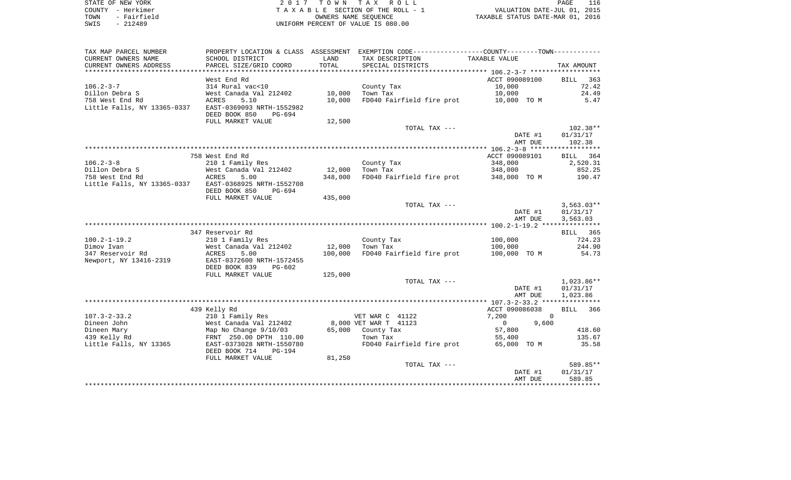| STATE OF NEW YORK   | 2017 TOWN TAX ROLL                 | 116<br>PAGE                      |
|---------------------|------------------------------------|----------------------------------|
| COUNTY - Herkimer   | TAXABLE SECTION OF THE ROLL - 1    | VALUATION DATE-JUL 01, 2015      |
| - Fairfield<br>TOWN | OWNERS NAME SEOUENCE               | TAXABLE STATUS DATE-MAR 01, 2016 |
| $-212489$<br>SWIS   | UNIFORM PERCENT OF VALUE IS 080.00 |                                  |

| TAX MAP PARCEL NUMBER                          | PROPERTY LOCATION & CLASS ASSESSMENT                   |         | EXEMPTION CODE-----------------COUNTY-------TOWN----------- |                       |              |
|------------------------------------------------|--------------------------------------------------------|---------|-------------------------------------------------------------|-----------------------|--------------|
| CURRENT OWNERS NAME                            | SCHOOL DISTRICT                                        | LAND    | TAX DESCRIPTION                                             | TAXABLE VALUE         |              |
| CURRENT OWNERS ADDRESS                         | PARCEL SIZE/GRID COORD                                 | TOTAL   | SPECIAL DISTRICTS                                           |                       | TAX AMOUNT   |
| ******************                             |                                                        |         |                                                             |                       |              |
|                                                | West End Rd                                            |         |                                                             | ACCT 090089100        | BILL<br>363  |
| $106.2 - 3 - 7$                                | 314 Rural vac<10                                       |         | County Tax                                                  | 10,000                | 72.42        |
| Dillon Debra S                                 | West Canada Val 212402                                 | 10,000  | Town Tax                                                    | 10,000                | 24.49        |
| 758 West End Rd                                | <b>ACRES</b><br>5.10                                   | 10,000  | FD040 Fairfield fire prot                                   | 10,000 TO M           | 5.47         |
| Little Falls, NY 13365-0337                    | EAST-0369093 NRTH-1552982<br>DEED BOOK 850<br>PG-694   |         |                                                             |                       |              |
|                                                | FULL MARKET VALUE                                      | 12,500  |                                                             |                       |              |
|                                                |                                                        |         | TOTAL TAX ---                                               |                       | $102.38**$   |
|                                                |                                                        |         |                                                             | DATE #1               | 01/31/17     |
|                                                |                                                        |         |                                                             | AMT DUE               | 102.38       |
|                                                |                                                        |         |                                                             |                       |              |
|                                                | 758 West End Rd                                        |         |                                                             | ACCT 090089101        | BILL<br>364  |
| $106.2 - 3 - 8$                                | 210 1 Family Res                                       |         | County Tax                                                  | 348,000               | 2,520.31     |
| Dillon Debra S                                 | West Canada Val 212402                                 | 12,000  | Town Tax                                                    | 348,000               | 852.25       |
| 758 West End Rd<br>Little Falls, NY 13365-0337 | ACRES<br>5.00<br>EAST-0368925 NRTH-1552708             | 348,000 | FD040 Fairfield fire prot                                   | 348,000 TO M          | 190.47       |
|                                                | DEED BOOK 850<br>PG-694                                |         |                                                             |                       |              |
|                                                | FULL MARKET VALUE                                      | 435,000 |                                                             |                       |              |
|                                                |                                                        |         | TOTAL TAX ---                                               |                       | $3,563.03**$ |
|                                                |                                                        |         |                                                             | DATE #1               | 01/31/17     |
|                                                |                                                        |         |                                                             | AMT DUE               | 3,563.03     |
|                                                |                                                        |         |                                                             |                       |              |
|                                                | 347 Reservoir Rd                                       |         |                                                             |                       | BILL 365     |
| $100.2 - 1 - 19.2$                             | 210 1 Family Res                                       |         | County Tax                                                  | 100,000               | 724.23       |
| Dimov Ivan                                     | West Canada Val 212402                                 | 12,000  | Town Tax                                                    | 100,000               | 244.90       |
| 347 Reservoir Rd                               | <b>ACRES</b><br>5.00                                   | 100,000 | FD040 Fairfield fire prot                                   | 100,000 TO M          | 54.73        |
| Newport, NY 13416-2319                         | EAST-0372600 NRTH-1572455<br>DEED BOOK 839<br>$PG-602$ |         |                                                             |                       |              |
|                                                | FULL MARKET VALUE                                      | 125,000 |                                                             |                       |              |
|                                                |                                                        |         | TOTAL TAX ---                                               |                       | $1,023.86**$ |
|                                                |                                                        |         |                                                             | DATE #1               | 01/31/17     |
|                                                |                                                        |         |                                                             | AMT DUE               | 1,023.86     |
|                                                |                                                        |         |                                                             |                       |              |
|                                                | 439 Kelly Rd                                           |         |                                                             | ACCT 090086038        | 366<br>BILL  |
| $107.3 - 2 - 33.2$                             | 210 1 Family Res                                       |         | VET WAR C 41122                                             | 7,200                 | $\Omega$     |
| Dineen John                                    | West Canada Val 212402                                 |         | 8,000 VET WAR T 41123                                       | 9,600<br>$\mathbf{0}$ |              |
| Dineen Mary                                    | Map No Change 9/10/03                                  | 65,000  | County Tax                                                  | 57,800                | 418.60       |
| 439 Kelly Rd                                   | FRNT 250.00 DPTH 110.00                                |         | Town Tax                                                    | 55,400                | 135.67       |
| Little Falls, NY 13365                         | EAST-0373028 NRTH-1550780                              |         | FD040 Fairfield fire prot                                   | 65,000 TO M           | 35.58        |
|                                                | DEED BOOK 714<br><b>PG-194</b><br>FULL MARKET VALUE    | 81,250  |                                                             |                       |              |
|                                                |                                                        |         | TOTAL TAX ---                                               |                       | 589.85**     |
|                                                |                                                        |         |                                                             | DATE #1               | 01/31/17     |
|                                                |                                                        |         |                                                             | AMT DUE               | 589.85       |
|                                                |                                                        |         |                                                             |                       |              |
|                                                |                                                        |         |                                                             |                       |              |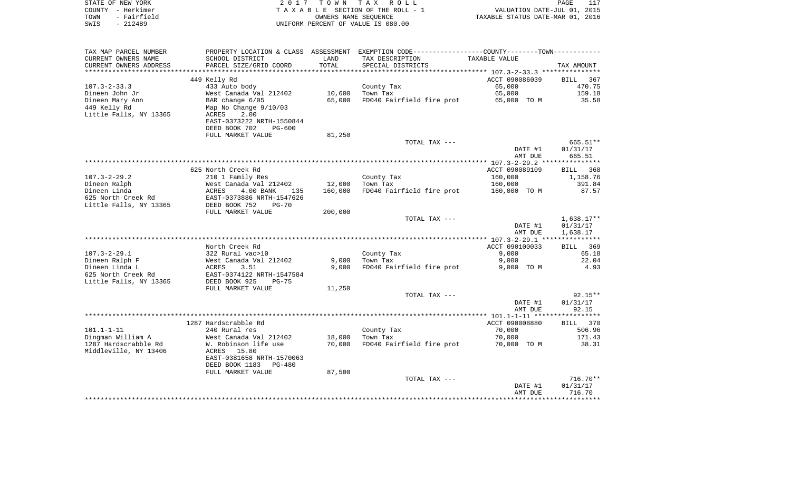| STATE OF NEW YORK                            |                                                     | 2017 TOWN            | TAX ROLL                                                                                                         |                                  | PAGE<br>117            |
|----------------------------------------------|-----------------------------------------------------|----------------------|------------------------------------------------------------------------------------------------------------------|----------------------------------|------------------------|
| COUNTY - Herkimer                            |                                                     |                      | TAXABLE SECTION OF THE ROLL - 1                                                                                  | VALUATION DATE-JUL 01, 2015      |                        |
| TOWN<br>- Fairfield                          |                                                     | OWNERS NAME SEOUENCE |                                                                                                                  | TAXABLE STATUS DATE-MAR 01, 2016 |                        |
| $-212489$<br>SWIS                            |                                                     |                      | UNIFORM PERCENT OF VALUE IS 080.00                                                                               |                                  |                        |
|                                              |                                                     |                      |                                                                                                                  |                                  |                        |
|                                              |                                                     |                      |                                                                                                                  |                                  |                        |
| TAX MAP PARCEL NUMBER<br>CURRENT OWNERS NAME | SCHOOL DISTRICT                                     | LAND                 | PROPERTY LOCATION & CLASS ASSESSMENT EXEMPTION CODE---------------COUNTY-------TOWN----------<br>TAX DESCRIPTION | TAXABLE VALUE                    |                        |
| CURRENT OWNERS ADDRESS                       | PARCEL SIZE/GRID COORD                              | TOTAL                | SPECIAL DISTRICTS                                                                                                |                                  | TAX AMOUNT             |
|                                              |                                                     |                      |                                                                                                                  |                                  |                        |
|                                              | 449 Kelly Rd                                        |                      |                                                                                                                  | ACCT 090086039                   | BILL 367               |
| $107.3 - 2 - 33.3$                           | 433 Auto body                                       |                      | County Tax                                                                                                       | 65,000                           | 470.75                 |
| Dineen John Jr                               | West Canada Val 212402                              | 10,600               | Town Tax                                                                                                         | 65,000                           | 159.18                 |
| Dineen Mary Ann                              | BAR change 6/05                                     | 65,000               | FD040 Fairfield fire prot                                                                                        | 65,000 TO M                      | 35.58                  |
| 449 Kelly Rd                                 | Map No Change 9/10/03                               |                      |                                                                                                                  |                                  |                        |
| Little Falls, NY 13365                       | ACRES<br>2.00                                       |                      |                                                                                                                  |                                  |                        |
|                                              | EAST-0373222 NRTH-1550844                           |                      |                                                                                                                  |                                  |                        |
|                                              | DEED BOOK 702<br><b>PG-600</b><br>FULL MARKET VALUE |                      |                                                                                                                  |                                  |                        |
|                                              |                                                     | 81,250               | TOTAL TAX ---                                                                                                    |                                  | $665.51**$             |
|                                              |                                                     |                      |                                                                                                                  | DATE #1                          | 01/31/17               |
|                                              |                                                     |                      |                                                                                                                  | AMT DUE                          | 665.51                 |
|                                              |                                                     |                      |                                                                                                                  |                                  | ***********            |
|                                              | 625 North Creek Rd                                  |                      |                                                                                                                  | ACCT 090089109                   | BILL<br>368            |
| $107.3 - 2 - 29.2$                           | 210 1 Family Res                                    |                      | County Tax                                                                                                       | 160,000                          | 1,158.76               |
| Dineen Ralph                                 | West Canada Val 212402                              | 12,000               | Town Tax                                                                                                         | 160,000                          | 391.84                 |
| Dineen Linda                                 | ACRES<br>4.00 BANK<br>135                           | 160,000              | FD040 Fairfield fire prot                                                                                        | 160,000 TO M                     | 87.57                  |
| 625 North Creek Rd                           | EAST-0373886 NRTH-1547626                           |                      |                                                                                                                  |                                  |                        |
| Little Falls, NY 13365                       | DEED BOOK 752<br>$PG-70$                            |                      |                                                                                                                  |                                  |                        |
|                                              | FULL MARKET VALUE                                   | 200,000              |                                                                                                                  |                                  |                        |
|                                              |                                                     |                      | TOTAL TAX ---                                                                                                    | DATE #1                          | 1,638.17**<br>01/31/17 |
|                                              |                                                     |                      |                                                                                                                  | AMT DUE                          | 1,638.17               |
|                                              |                                                     |                      |                                                                                                                  |                                  |                        |
|                                              | North Creek Rd                                      |                      |                                                                                                                  | ACCT 090100033                   | BILL 369               |
| $107.3 - 2 - 29.1$                           | 322 Rural vac>10                                    |                      | County Tax                                                                                                       | 9,000                            | 65.18                  |
| Dineen Ralph F                               | West Canada Val 212402                              | 9,000                | Town Tax                                                                                                         | 9,000                            | 22.04                  |
| Dineen Linda L                               | ACRES<br>3.51                                       | 9,000                | FD040 Fairfield fire prot                                                                                        | 9,000 TO M                       | 4.93                   |
| 625 North Creek Rd                           | EAST-0374122 NRTH-1547584                           |                      |                                                                                                                  |                                  |                        |
| Little Falls, NY 13365                       | DEED BOOK 925<br>$PG-75$                            |                      |                                                                                                                  |                                  |                        |
|                                              | FULL MARKET VALUE                                   | 11,250               |                                                                                                                  |                                  |                        |
|                                              |                                                     |                      | TOTAL TAX ---                                                                                                    |                                  | $92.15**$              |
|                                              |                                                     |                      |                                                                                                                  | DATE #1                          | 01/31/17               |
|                                              |                                                     |                      |                                                                                                                  | AMT DUE                          | 92.15                  |
|                                              | 1287 Hardscrabble Rd                                |                      |                                                                                                                  | ACCT 090008880                   | BILL 370               |
| $101.1 - 1 - 11$                             | 240 Rural res                                       |                      | County Tax                                                                                                       | 70,000                           | 506.96                 |
| Dingman William A                            | West Canada Val 212402                              | 18,000               | Town Tax                                                                                                         | 70,000                           | 171.43                 |
| 1287 Hardscrabble Rd                         | W. Robinson life use                                | 70,000               | FD040 Fairfield fire prot                                                                                        | 70,000 TO M                      | 38.31                  |
| Middleville, NY 13406                        | ACRES 15.80                                         |                      |                                                                                                                  |                                  |                        |
|                                              | EAST-0381658 NRTH-1570063                           |                      |                                                                                                                  |                                  |                        |
|                                              | DEED BOOK 1183<br><b>PG-480</b>                     |                      |                                                                                                                  |                                  |                        |
|                                              | FULL MARKET VALUE                                   | 87,500               |                                                                                                                  |                                  |                        |
|                                              |                                                     |                      | TOTAL TAX ---                                                                                                    |                                  | $716.70**$             |
|                                              |                                                     |                      |                                                                                                                  | DATE #1                          | 01/31/17<br>716.70     |
|                                              |                                                     |                      |                                                                                                                  | AMT DUE                          |                        |

\*\*\*\*\*\*\*\*\*\*\*\*\*\*\*\*\*\*\*\*\*\*\*\*\*\*\*\*\*\*\*\*\*\*\*\*\*\*\*\*\*\*\*\*\*\*\*\*\*\*\*\*\*\*\*\*\*\*\*\*\*\*\*\*\*\*\*\*\*\*\*\*\*\*\*\*\*\*\*\*\*\*\*\*\*\*\*\*\*\*\*\*\*\*\*\*\*\*\*\*\*\*\*\*\*\*\*\*\*\*\*\*\*\*\*\*\*\*\*\*\*\*\*\*\*\*\*\*\*\*\*\*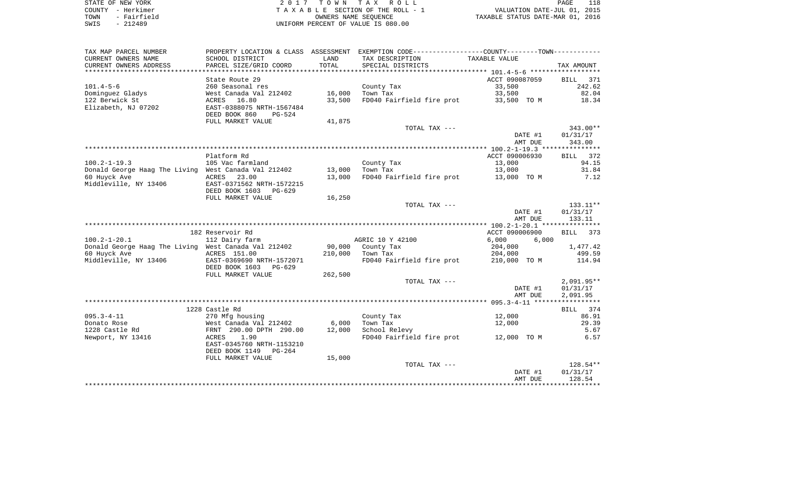| STATE OF NEW YORK   | 2017 TOWN TAX ROLL                 | 118<br>PAGE                      |
|---------------------|------------------------------------|----------------------------------|
| COUNTY - Herkimer   | TAXABLE SECTION OF THE ROLL - 1    | VALUATION DATE-JUL 01, 2015      |
| - Fairfield<br>TOWN | OWNERS NAME SEOUENCE               | TAXABLE STATUS DATE-MAR 01, 2016 |
| SWIS<br>- 212489    | UNIFORM PERCENT OF VALUE IS 080.00 |                                  |

| TAX MAP PARCEL NUMBER                                |                                                        |                | PROPERTY LOCATION & CLASS ASSESSMENT EXEMPTION CODE----------------COUNTY--------TOWN---------- |                |                    |
|------------------------------------------------------|--------------------------------------------------------|----------------|-------------------------------------------------------------------------------------------------|----------------|--------------------|
| CURRENT OWNERS NAME                                  | SCHOOL DISTRICT                                        | LAND           | TAX DESCRIPTION                                                                                 | TAXABLE VALUE  |                    |
| CURRENT OWNERS ADDRESS                               | PARCEL SIZE/GRID COORD                                 | TOTAL          | SPECIAL DISTRICTS                                                                               |                | TAX AMOUNT         |
|                                                      |                                                        | ************** |                                                                                                 |                | * * * * *          |
|                                                      | State Route 29                                         |                |                                                                                                 | ACCT 090087059 | <b>BILL</b><br>371 |
| $101.4 - 5 - 6$                                      | 260 Seasonal res                                       |                | County Tax                                                                                      | 33,500         | 242.62             |
| Dominguez Gladys                                     | West Canada Val 212402                                 | 16,000         | Town Tax                                                                                        | 33,500         | 82.04              |
| 122 Berwick St                                       | ACRES 16.80                                            | 33,500         | FD040 Fairfield fire prot                                                                       | 33,500 TO M    | 18.34              |
| Elizabeth, NJ 07202                                  | EAST-0388075 NRTH-1567484<br>DEED BOOK 860<br>$PG-524$ |                |                                                                                                 |                |                    |
|                                                      | FULL MARKET VALUE                                      | 41,875         |                                                                                                 |                |                    |
|                                                      |                                                        |                | TOTAL TAX ---                                                                                   |                | 343.00**           |
|                                                      |                                                        |                |                                                                                                 | DATE #1        | 01/31/17           |
|                                                      |                                                        |                |                                                                                                 | AMT DUE        | 343.00             |
|                                                      |                                                        |                |                                                                                                 |                |                    |
|                                                      | Platform Rd                                            |                |                                                                                                 | ACCT 090006930 | BILL 372           |
| $100.2 - 1 - 19.3$                                   | 105 Vac farmland                                       |                | County Tax                                                                                      | 13,000         | 94.15              |
| Donald George Haag The Living West Canada Val 212402 |                                                        | 13,000         | Town Tax                                                                                        | 13,000         | 31.84              |
| 60 Huyck Ave                                         | 23.00<br>ACRES                                         | 13,000         | FD040 Fairfield fire prot                                                                       | 13,000 TO M    | 7.12               |
| Middleville, NY 13406                                | EAST-0371562 NRTH-1572215                              |                |                                                                                                 |                |                    |
|                                                      | DEED BOOK 1603<br>PG-629                               |                |                                                                                                 |                |                    |
|                                                      | FULL MARKET VALUE                                      | 16,250         |                                                                                                 |                |                    |
|                                                      |                                                        |                | TOTAL TAX ---                                                                                   |                | 133.11**           |
|                                                      |                                                        |                |                                                                                                 | DATE #1        | 01/31/17           |
|                                                      |                                                        |                |                                                                                                 | AMT DUE        | 133.11             |
|                                                      |                                                        |                |                                                                                                 |                |                    |
|                                                      | 182 Reservoir Rd                                       |                |                                                                                                 | ACCT 090006900 | <b>BILL</b><br>373 |
| $100.2 - 1 - 20.1$                                   | 112 Dairy farm                                         |                | AGRIC 10 Y 42100                                                                                | 6,000<br>6,000 |                    |
| Donald George Haag The Living West Canada Val 212402 |                                                        | 90,000         | County Tax                                                                                      | 204,000        | 1,477.42           |
| 60 Huyck Ave                                         | ACRES 151.00                                           | 210,000        | Town Tax                                                                                        | 204,000        | 499.59             |
| Middleville, NY 13406                                | EAST-0369690 NRTH-1572071                              |                | FD040 Fairfield fire prot                                                                       | 210,000 TO M   | 114.94             |
|                                                      | DEED BOOK 1603<br>PG-629                               |                |                                                                                                 |                |                    |
|                                                      | FULL MARKET VALUE                                      | 262,500        |                                                                                                 |                |                    |
|                                                      |                                                        |                | TOTAL TAX ---                                                                                   |                | $2,091.95**$       |
|                                                      |                                                        |                |                                                                                                 | DATE #1        | 01/31/17           |
|                                                      |                                                        |                |                                                                                                 | AMT DUE        | 2,091.95           |
|                                                      |                                                        |                |                                                                                                 |                |                    |
|                                                      | 1228 Castle Rd                                         |                |                                                                                                 |                | BILL 374           |
| $095.3 - 4 - 11$                                     | 270 Mfg housing                                        |                | County Tax                                                                                      | 12,000         | 86.91              |
| Donato Rose                                          | West Canada Val 212402                                 | 6,000          | Town Tax                                                                                        | 12,000         | 29.39              |
| 1228 Castle Rd                                       | FRNT 290.00 DPTH 290.00                                | 12,000         | School Relevy                                                                                   |                | 5.67               |
| Newport, NY 13416                                    | 1.90<br>ACRES                                          |                | FD040 Fairfield fire prot                                                                       | 12,000 TO M    | 6.57               |
|                                                      | EAST-0345760 NRTH-1153210                              |                |                                                                                                 |                |                    |
|                                                      | DEED BOOK 1149<br>$PG-264$                             |                |                                                                                                 |                |                    |
|                                                      | FULL MARKET VALUE                                      | 15,000         |                                                                                                 |                |                    |
|                                                      |                                                        |                | TOTAL TAX ---                                                                                   |                | 128.54**           |
|                                                      |                                                        |                |                                                                                                 | DATE #1        | 01/31/17           |
|                                                      |                                                        |                |                                                                                                 | AMT DUE        | 128.54             |
|                                                      |                                                        |                |                                                                                                 |                |                    |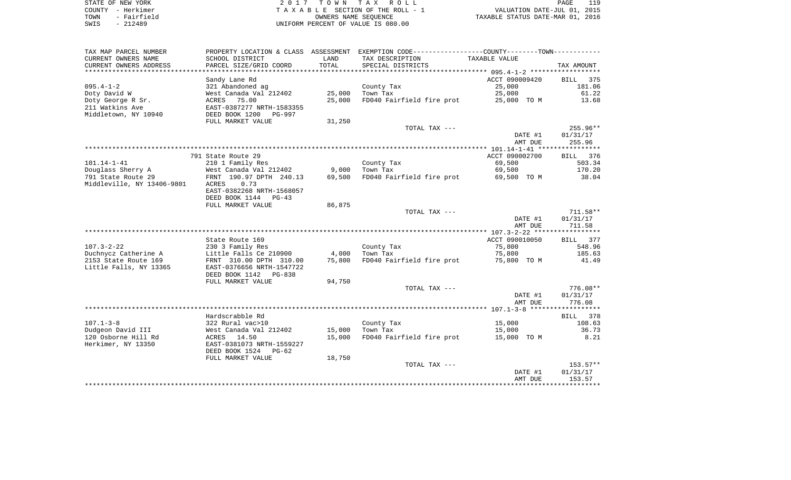|      | STATE OF NEW YORK | 2017 TOWN TAX ROLL                 | 119<br>PAGE                      |
|------|-------------------|------------------------------------|----------------------------------|
|      | COUNTY - Herkimer | TAXABLE SECTION OF THE ROLL - 1    | VALUATION DATE-JUL 01, 2015      |
| TOWN | - Fairfield       | OWNERS NAME SEOUENCE               | TAXABLE STATUS DATE-MAR 01, 2016 |
| SWIS | - 212489          | UNIFORM PERCENT OF VALUE IS 080.00 |                                  |

| TAX MAP PARCEL NUMBER      | PROPERTY LOCATION & CLASS ASSESSMENT |        | EXEMPTION CODE-----------------COUNTY--------TOWN----------- |                |             |
|----------------------------|--------------------------------------|--------|--------------------------------------------------------------|----------------|-------------|
| CURRENT OWNERS NAME        | SCHOOL DISTRICT                      | LAND   | TAX DESCRIPTION                                              | TAXABLE VALUE  |             |
| CURRENT OWNERS ADDRESS     | PARCEL SIZE/GRID COORD               | TOTAL  | SPECIAL DISTRICTS                                            |                | TAX AMOUNT  |
| *********************      |                                      |        |                                                              |                |             |
|                            | Sandy Lane Rd                        |        |                                                              | ACCT 090009420 | 375<br>BILL |
| $095.4 - 1 - 2$            | 321 Abandoned ag                     |        | County Tax                                                   | 25,000         | 181.06      |
| Doty David W               | West Canada Val 212402               | 25,000 | Town Tax                                                     | 25,000         | 61.22       |
| Doty George R Sr.          | ACRES 75.00                          | 25,000 | FD040 Fairfield fire prot                                    | 25,000 TO M    | 13.68       |
| 211 Watkins Ave            | EAST-0387277 NRTH-1583355            |        |                                                              |                |             |
| Middletown, NY 10940       | DEED BOOK 1200<br>PG-997             |        |                                                              |                |             |
|                            | FULL MARKET VALUE                    | 31,250 |                                                              |                |             |
|                            |                                      |        | TOTAL TAX ---                                                |                | $255.96**$  |
|                            |                                      |        |                                                              | DATE #1        | 01/31/17    |
|                            |                                      |        |                                                              | AMT DUE        | 255.96      |
|                            |                                      |        |                                                              |                |             |
|                            | 791 State Route 29                   |        |                                                              | ACCT 090002700 | BILL 376    |
| $101.14 - 1 - 41$          | 210 1 Family Res                     |        | County Tax                                                   | 69,500         | 503.34      |
| Douglass Sherry A          | West Canada Val 212402               | 9,000  | Town Tax                                                     | 69,500         | 170.20      |
| 791 State Route 29         | FRNT 190.97 DPTH 240.13              | 69,500 | FD040 Fairfield fire prot                                    | 69,500 TO M    | 38.04       |
| Middleville, NY 13406-9801 | 0.73<br>ACRES                        |        |                                                              |                |             |
|                            | EAST-0382268 NRTH-1568057            |        |                                                              |                |             |
|                            | DEED BOOK 1144 PG-43                 |        |                                                              |                |             |
|                            | FULL MARKET VALUE                    | 86,875 |                                                              |                |             |
|                            |                                      |        | TOTAL TAX ---                                                |                | $711.58**$  |
|                            |                                      |        |                                                              | DATE #1        | 01/31/17    |
|                            |                                      |        |                                                              | AMT DUE        | 711.58      |
|                            |                                      |        |                                                              |                |             |
|                            | State Route 169                      |        |                                                              | ACCT 090010050 | BILL 377    |
| $107.3 - 2 - 22$           | 230 3 Family Res                     |        | County Tax                                                   | 75,800         | 548.96      |
| Duchnycz Catherine A       | Little Falls Ce 210900               | 4,000  | Town Tax                                                     | 75,800         | 185.63      |
| 2153 State Route 169       | FRNT 310.00 DPTH 310.00              | 75,800 | FD040 Fairfield fire prot                                    | 75,800 TO M    | 41.49       |
| Little Falls, NY 13365     | EAST-0376656 NRTH-1547722            |        |                                                              |                |             |
|                            | DEED BOOK 1142<br>PG-838             |        |                                                              |                |             |
|                            | FULL MARKET VALUE                    | 94,750 |                                                              |                |             |
|                            |                                      |        | TOTAL TAX ---                                                |                | $776.08**$  |
|                            |                                      |        |                                                              | DATE #1        | 01/31/17    |
|                            |                                      |        |                                                              | AMT DUE        | 776.08      |
|                            |                                      |        |                                                              |                |             |
|                            | Hardscrabble Rd                      |        |                                                              |                | BILL 378    |
| $107.1 - 3 - 8$            | 322 Rural vac>10                     |        | County Tax                                                   | 15,000         | 108.63      |
| Dudgeon David III          | West Canada Val 212402               | 15,000 | Town Tax                                                     | 15,000         | 36.73       |
| 120 Osborne Hill Rd        | ACRES 14.50                          | 15,000 | FD040 Fairfield fire prot                                    | 15,000 TO M    | 8.21        |
| Herkimer, NY 13350         | EAST-0381073 NRTH-1559227            |        |                                                              |                |             |
|                            | DEED BOOK 1524<br>PG-62              |        |                                                              |                |             |
|                            | FULL MARKET VALUE                    | 18,750 |                                                              |                |             |
|                            |                                      |        | TOTAL TAX ---                                                |                | $153.57**$  |
|                            |                                      |        |                                                              | DATE #1        | 01/31/17    |
|                            |                                      |        |                                                              | AMT DUE        | 153.57      |
|                            |                                      |        |                                                              |                | *********** |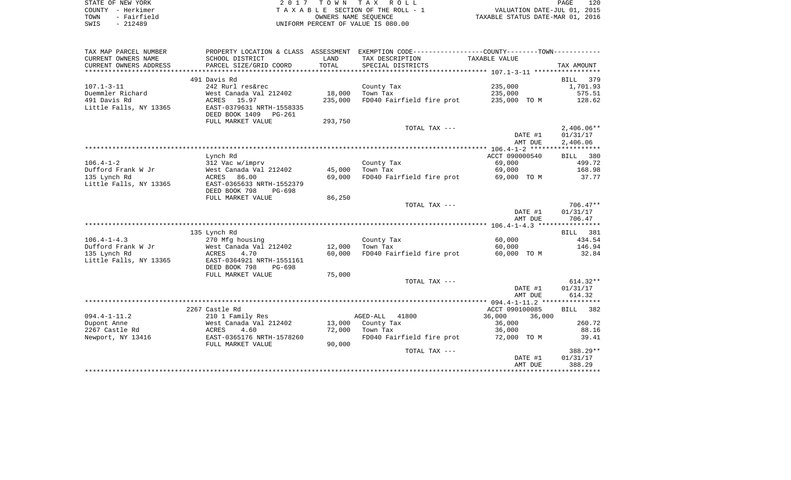| STATE OF NEW YORK   | 2017 TOWN TAX ROLL                 | 120<br>PAGE                      |
|---------------------|------------------------------------|----------------------------------|
| COUNTY - Herkimer   | TAXABLE SECTION OF THE ROLL - 1    | VALUATION DATE-JUL 01, 2015      |
| - Fairfield<br>TOWN | OWNERS NAME SEOUENCE               | TAXABLE STATUS DATE-MAR 01, 2016 |
| $-212489$<br>SWIS   | UNIFORM PERCENT OF VALUE IS 080.00 |                                  |

120<br>2015<br>2016

| TAX MAP PARCEL NUMBER  |                           |         | PROPERTY LOCATION & CLASS ASSESSMENT EXEMPTION CODE---------------COUNTY-------TOWN---------- |                  |              |
|------------------------|---------------------------|---------|-----------------------------------------------------------------------------------------------|------------------|--------------|
| CURRENT OWNERS NAME    | SCHOOL DISTRICT           | LAND    | TAX DESCRIPTION                                                                               | TAXABLE VALUE    |              |
| CURRENT OWNERS ADDRESS | PARCEL SIZE/GRID COORD    | TOTAL   | SPECIAL DISTRICTS                                                                             |                  | TAX AMOUNT   |
|                        |                           |         |                                                                                               |                  |              |
|                        | 491 Davis Rd              |         |                                                                                               |                  | BILL<br>379  |
| $107.1 - 3 - 11$       | 242 Rurl res&rec          |         | County Tax                                                                                    | 235,000          | 1,701.93     |
| Duemmler Richard       | West Canada Val 212402    | 18,000  | Town Tax                                                                                      | 235,000          | 575.51       |
| 491 Davis Rd           | ACRES 15.97               | 235,000 | FD040 Fairfield fire prot                                                                     | 235,000 TO M     | 128.62       |
| Little Falls, NY 13365 | EAST-0379631 NRTH-1558335 |         |                                                                                               |                  |              |
|                        | DEED BOOK 1409 PG-261     |         |                                                                                               |                  |              |
|                        | FULL MARKET VALUE         | 293,750 |                                                                                               |                  |              |
|                        |                           |         | TOTAL TAX ---                                                                                 |                  | $2,406.06**$ |
|                        |                           |         |                                                                                               | DATE #1          | 01/31/17     |
|                        |                           |         |                                                                                               | AMT DUE          | 2,406.06     |
|                        |                           |         |                                                                                               |                  |              |
|                        | Lynch Rd                  |         |                                                                                               | ACCT 090000540   | BILL 380     |
| $106.4 - 1 - 2$        | 312 Vac w/imprv           |         | County Tax                                                                                    | 69,000           | 499.72       |
| Dufford Frank W Jr     | West Canada Val 212402    | 45,000  | Town Tax                                                                                      | 69,000           | 168.98       |
| 135 Lynch Rd           | 86.00<br>ACRES            | 69,000  | FD040 Fairfield fire prot                                                                     | 69,000 TO M      | 37.77        |
| Little Falls, NY 13365 | EAST-0365633 NRTH-1552379 |         |                                                                                               |                  |              |
|                        | DEED BOOK 798<br>PG-698   |         |                                                                                               |                  |              |
|                        | FULL MARKET VALUE         | 86,250  |                                                                                               |                  |              |
|                        |                           |         | TOTAL TAX ---                                                                                 |                  | $706.47**$   |
|                        |                           |         |                                                                                               | DATE #1          | 01/31/17     |
|                        |                           |         |                                                                                               | AMT DUE          | 706.47       |
|                        |                           |         |                                                                                               |                  |              |
|                        | 135 Lynch Rd              |         |                                                                                               |                  | BILL 381     |
| $106.4 - 1 - 4.3$      | 270 Mfg housing           |         | County Tax                                                                                    | 60,000           | 434.54       |
| Dufford Frank W Jr     | West Canada Val 212402    | 12,000  | Town Tax                                                                                      | 60,000           | 146.94       |
| 135 Lynch Rd           | ACRES<br>4.70             | 60,000  | FD040 Fairfield fire prot                                                                     | 60,000 TO M      | 32.84        |
| Little Falls, NY 13365 | EAST-0364921 NRTH-1551161 |         |                                                                                               |                  |              |
|                        | DEED BOOK 798<br>PG-698   |         |                                                                                               |                  |              |
|                        | FULL MARKET VALUE         | 75,000  |                                                                                               |                  |              |
|                        |                           |         | TOTAL TAX ---                                                                                 |                  | $614.32**$   |
|                        |                           |         |                                                                                               | DATE #1          | 01/31/17     |
|                        |                           |         |                                                                                               | AMT DUE          | 614.32       |
|                        |                           |         |                                                                                               |                  |              |
|                        | 2267 Castle Rd            |         |                                                                                               | ACCT 090100085   | BILL 382     |
| $094.4 - 1 - 11.2$     | 210 1 Family Res          |         | AGED-ALL<br>41800                                                                             | 36,000<br>36,000 |              |
| Dupont Anne            | West Canada Val 212402    |         | 13,000 County Tax                                                                             | 36,000           | 260.72       |
| 2267 Castle Rd         | 4.60<br>ACRES             | 72,000  | Town Tax                                                                                      | 36,000           | 88.16        |
| Newport, NY 13416      | EAST-0365176 NRTH-1578260 |         | FD040 Fairfield fire prot                                                                     | 72,000 TO M      | 39.41        |
|                        | FULL MARKET VALUE         | 90,000  |                                                                                               |                  |              |
|                        |                           |         | TOTAL TAX ---                                                                                 |                  | 388.29**     |
|                        |                           |         |                                                                                               | DATE #1          | 01/31/17     |
|                        |                           |         |                                                                                               | AMT DUE          | 388.29       |
|                        |                           |         |                                                                                               |                  |              |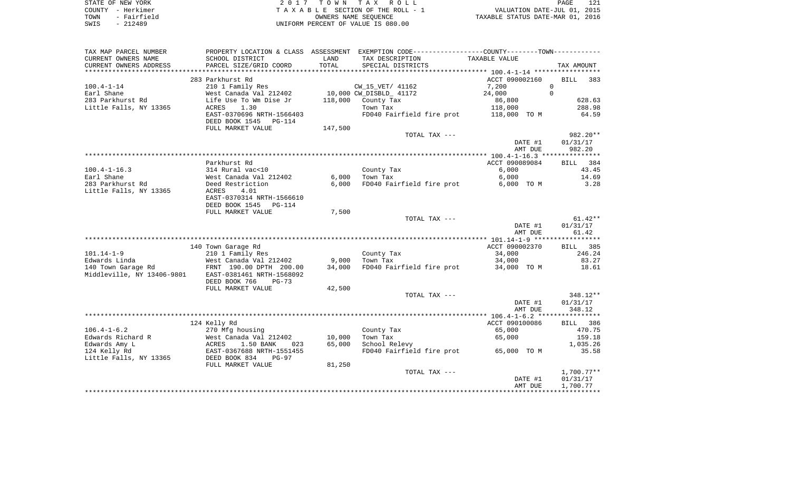| STATE OF NEW YORK   | 2017 TOWN TAX ROLL                 | 121<br><b>PAGE</b>               |
|---------------------|------------------------------------|----------------------------------|
| COUNTY - Herkimer   | TAXABLE SECTION OF THE ROLL - 1    | VALUATION DATE-JUL 01, 2015      |
| - Fairfield<br>TOWN | OWNERS NAME SEOUENCE               | TAXABLE STATUS DATE-MAR 01, 2016 |
| SWIS<br>- 212489    | UNIFORM PERCENT OF VALUE IS 080.00 |                                  |

| TAX MAP PARCEL NUMBER      |                                            |         | PROPERTY LOCATION & CLASS ASSESSMENT EXEMPTION CODE---------------COUNTY-------TOWN--------- |                |                        |
|----------------------------|--------------------------------------------|---------|----------------------------------------------------------------------------------------------|----------------|------------------------|
| CURRENT OWNERS NAME        | SCHOOL DISTRICT                            | LAND    | TAX DESCRIPTION                                                                              | TAXABLE VALUE  |                        |
| CURRENT OWNERS ADDRESS     | PARCEL SIZE/GRID COORD                     | TOTAL   | SPECIAL DISTRICTS                                                                            |                | TAX AMOUNT             |
|                            |                                            |         |                                                                                              |                |                        |
|                            | 283 Parkhurst Rd                           |         |                                                                                              | ACCT 090002160 | BILL<br>383            |
| $100.4 - 1 - 14$           | 210 1 Family Res                           |         | CW 15 VET/ 41162                                                                             | 7,200          | $\overline{0}$         |
| Earl Shane                 | West Canada Val 212402                     |         | 10,000 CW_DISBLD_ 41172                                                                      | 24,000         | $\Omega$               |
| 283 Parkhurst Rd           | Life Use To Wm Dise Jr                     | 118,000 | County Tax                                                                                   | 86,800         | 628.63                 |
| Little Falls, NY 13365     | 1.30<br>ACRES                              |         | Town Tax                                                                                     | 118,000        | 288.98                 |
|                            | EAST-0370696 NRTH-1566403                  |         | FD040 Fairfield fire prot 118,000 TO M                                                       |                | 64.59                  |
|                            | DEED BOOK 1545<br>PG-114                   |         |                                                                                              |                |                        |
|                            | FULL MARKET VALUE                          | 147,500 |                                                                                              |                |                        |
|                            |                                            |         | TOTAL TAX ---                                                                                |                | 982.20**               |
|                            |                                            |         |                                                                                              | DATE #1        | 01/31/17               |
|                            |                                            |         |                                                                                              | AMT DUE        | 982.20                 |
|                            | Parkhurst Rd                               |         |                                                                                              | ACCT 090089084 | <b>BILL</b><br>384     |
| $100.4 - 1 - 16.3$         | 314 Rural vac<10                           |         |                                                                                              | 6,000          | 43.45                  |
| Earl Shane                 | West Canada Val 212402                     | 6,000   | County Tax<br>Town Tax                                                                       | 6,000          | 14.69                  |
| 283 Parkhurst Rd           | Deed Restriction                           | 6,000   | FD040 Fairfield fire prot                                                                    | 6,000 TO M     | 3.28                   |
| Little Falls, NY 13365     | 4.01<br>ACRES                              |         |                                                                                              |                |                        |
|                            | EAST-0370314 NRTH-1566610                  |         |                                                                                              |                |                        |
|                            | DEED BOOK 1545<br>PG-114                   |         |                                                                                              |                |                        |
|                            | FULL MARKET VALUE                          | 7,500   |                                                                                              |                |                        |
|                            |                                            |         | TOTAL TAX ---                                                                                |                | $61.42**$              |
|                            |                                            |         |                                                                                              | DATE #1        | 01/31/17               |
|                            |                                            |         |                                                                                              | AMT DUE        | 61.42                  |
|                            |                                            |         |                                                                                              |                |                        |
|                            | 140 Town Garage Rd                         |         |                                                                                              | ACCT 090002370 | BILL 385               |
| $101.14 - 1 - 9$           | 210 1 Family Res                           |         | County Tax                                                                                   | 34,000         | 246.24                 |
|                            |                                            | 9,000   | Town Tax                                                                                     | 34,000         | 83.27                  |
|                            | FRNT 190.00 DPTH 200.00                    | 34,000  | FD040 Fairfield fire prot 34,000 TO M                                                        |                | 18.61                  |
| Middleville, NY 13406-9801 | EAST-0381461 NRTH-1568092                  |         |                                                                                              |                |                        |
|                            | DEED BOOK 766<br>$PG-73$                   |         |                                                                                              |                |                        |
|                            | FULL MARKET VALUE                          | 42,500  |                                                                                              |                |                        |
|                            |                                            |         | TOTAL TAX ---                                                                                |                | 348.12**               |
|                            |                                            |         |                                                                                              | DATE #1        | 01/31/17               |
|                            |                                            |         |                                                                                              | AMT DUE        | 348.12                 |
|                            |                                            |         |                                                                                              |                |                        |
|                            | 124 Kelly Rd                               |         |                                                                                              | ACCT 090100086 | BILL 386               |
| $106.4 - 1 - 6.2$          | 270 Mfg housing                            |         | County Tax                                                                                   | 65,000         | 470.75                 |
| Edwards Richard R          | West Canada Val 212402                     | 10,000  | Town Tax                                                                                     | 65,000         | 159.18                 |
| Edwards Amy L              | ACRES<br>1.50 BANK<br>023                  | 65,000  | School Relevy                                                                                |                | 1,035.26               |
| 124 Kelly Rd               | EAST-0367688 NRTH-1551455<br>DEED BOOK 834 |         | FD040 Fairfield fire prot 65,000 TO M                                                        |                | 35.58                  |
| Little Falls, NY 13365     | <b>PG-97</b>                               |         |                                                                                              |                |                        |
|                            | FULL MARKET VALUE                          | 81,250  |                                                                                              |                |                        |
|                            |                                            |         | TOTAL TAX ---                                                                                | DATE #1        | 1,700.77**<br>01/31/17 |
|                            |                                            |         |                                                                                              | AMT DUE        | 1,700.77               |
|                            |                                            |         |                                                                                              |                |                        |
|                            |                                            |         |                                                                                              |                |                        |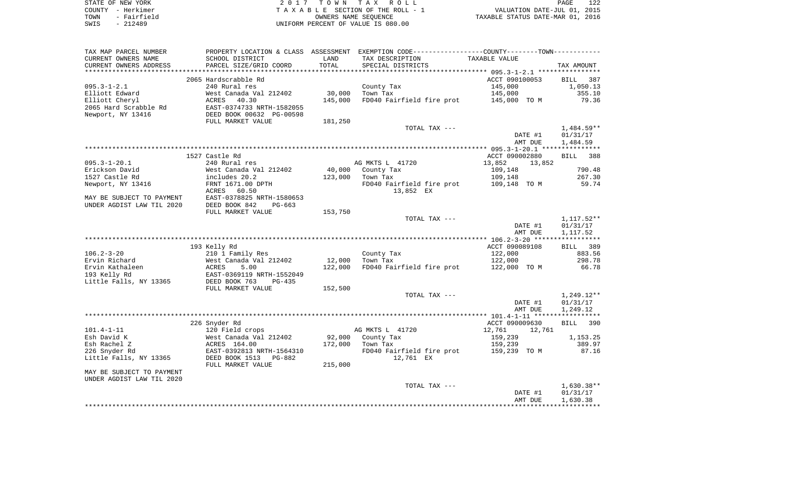| STATE OF NEW YORK   | 2017 TOWN TAX ROLL                 | 122<br>PAGE                      |
|---------------------|------------------------------------|----------------------------------|
| COUNTY - Herkimer   | TAXABLE SECTION OF THE ROLL - 1    | VALUATION DATE-JUL 01, 2015      |
| - Fairfield<br>TOWN | OWNERS NAME SEOUENCE               | TAXABLE STATUS DATE-MAR 01, 2016 |
| - 212489<br>SWIS    | UNIFORM PERCENT OF VALUE IS 080.00 |                                  |

| TAX MAP PARCEL NUMBER     |                           |         | PROPERTY LOCATION & CLASS ASSESSMENT EXEMPTION CODE---------------COUNTY-------TOWN---------- |                  |              |
|---------------------------|---------------------------|---------|-----------------------------------------------------------------------------------------------|------------------|--------------|
| CURRENT OWNERS NAME       | SCHOOL DISTRICT           | LAND    | TAX DESCRIPTION                                                                               | TAXABLE VALUE    |              |
| CURRENT OWNERS ADDRESS    | PARCEL SIZE/GRID COORD    | TOTAL   | SPECIAL DISTRICTS                                                                             |                  | TAX AMOUNT   |
|                           |                           |         |                                                                                               |                  |              |
|                           | 2065 Hardscrabble Rd      |         |                                                                                               | ACCT 090100053   | BILL 387     |
| $095.3 - 1 - 2.1$         | 240 Rural res             |         | County Tax                                                                                    | 145,000          | 1,050.13     |
| Elliott Edward            | West Canada Val 212402    | 30,000  | Town Tax                                                                                      | 145,000          | 355.10       |
|                           |                           |         |                                                                                               |                  |              |
| Elliott Cheryl            | 40.30<br>ACRES            | 145,000 | FD040 Fairfield fire prot                                                                     | 145,000 TO M     | 79.36        |
| 2065 Hard Scrabble Rd     | EAST-0374733 NRTH-1582055 |         |                                                                                               |                  |              |
| Newport, NY 13416         | DEED BOOK 00632 PG-00598  |         |                                                                                               |                  |              |
|                           | FULL MARKET VALUE         | 181,250 |                                                                                               |                  |              |
|                           |                           |         | TOTAL TAX ---                                                                                 |                  | $1,484.59**$ |
|                           |                           |         |                                                                                               | DATE #1          | 01/31/17     |
|                           |                           |         |                                                                                               | AMT DUE          | 1,484.59     |
|                           |                           |         |                                                                                               |                  |              |
|                           | 1527 Castle Rd            |         |                                                                                               | ACCT 090002880   | BILL 388     |
| $095.3 - 1 - 20.1$        | 240 Rural res             |         | AG MKTS L 41720                                                                               | 13,852<br>13,852 |              |
| Erickson David            | West Canada Val 212402    | 40,000  | County Tax                                                                                    | 109,148          | 790.48       |
| 1527 Castle Rd            | includes 20.2             | 123,000 | Town Tax                                                                                      | 109,148          | 267.30       |
| Newport, NY 13416         | FRNT 1671.00 DPTH         |         | FD040 Fairfield fire prot                                                                     | 109,148 TO M     | 59.74        |
|                           | ACRES<br>60.50            |         | 13,852 EX                                                                                     |                  |              |
|                           |                           |         |                                                                                               |                  |              |
| MAY BE SUBJECT TO PAYMENT | EAST-0378825 NRTH-1580653 |         |                                                                                               |                  |              |
| UNDER AGDIST LAW TIL 2020 | DEED BOOK 842<br>$PG-663$ |         |                                                                                               |                  |              |
|                           | FULL MARKET VALUE         | 153,750 |                                                                                               |                  |              |
|                           |                           |         | TOTAL TAX ---                                                                                 |                  | 1,117.52**   |
|                           |                           |         |                                                                                               | DATE #1          | 01/31/17     |
|                           |                           |         |                                                                                               | AMT DUE          | 1,117.52     |
|                           |                           |         |                                                                                               |                  |              |
|                           | 193 Kelly Rd              |         |                                                                                               | ACCT 090089108   | BILL 389     |
| 106.2-3-20                | 210 1 Family Res          |         | County Tax                                                                                    | 122,000          | 883.56       |
| Ervin Richard             | West Canada Val 212402    | 12,000  | Town Tax                                                                                      | 122,000          | 298.78       |
| Ervin Kathaleen           | ACRES<br>5.00             | 122,000 | FD040 Fairfield fire prot 122,000 TO M                                                        |                  | 66.78        |
| 193 Kelly Rd              | EAST-0369119 NRTH-1552049 |         |                                                                                               |                  |              |
| Little Falls, NY 13365    | DEED BOOK 763<br>PG-435   |         |                                                                                               |                  |              |
|                           | FULL MARKET VALUE         | 152,500 |                                                                                               |                  |              |
|                           |                           |         | TOTAL TAX ---                                                                                 |                  | 1,249.12**   |
|                           |                           |         |                                                                                               | DATE #1          | 01/31/17     |
|                           |                           |         |                                                                                               |                  | 1,249.12     |
|                           |                           |         |                                                                                               | AMT DUE          |              |
|                           |                           |         |                                                                                               |                  |              |
|                           | 226 Snyder Rd             |         |                                                                                               | ACCT 090009630   | 390<br>BILL  |
| 101.4-1-11                | 120 Field crops           |         | AG MKTS L 41720                                                                               | 12,761<br>12,761 |              |
| Esh David K               | West Canada Val 212402    | 92,000  | County Tax                                                                                    | 159,239          | 1,153.25     |
| Esh Rachel Z              | ACRES 164.00              | 172,000 | Town Tax                                                                                      | 159,239          | 389.97       |
| 226 Snyder Rd             | EAST-0392813 NRTH-1564310 |         | FD040 Fairfield fire prot 159,239 TO M                                                        |                  | 87.16        |
| Little Falls, NY 13365    | DEED BOOK 1513<br>PG-882  |         | 12,761 EX                                                                                     |                  |              |
|                           | FULL MARKET VALUE         | 215,000 |                                                                                               |                  |              |
| MAY BE SUBJECT TO PAYMENT |                           |         |                                                                                               |                  |              |
| UNDER AGDIST LAW TIL 2020 |                           |         |                                                                                               |                  |              |
|                           |                           |         | TOTAL TAX ---                                                                                 |                  | $1,630.38**$ |
|                           |                           |         |                                                                                               | DATE #1          | 01/31/17     |
|                           |                           |         |                                                                                               | AMT DUE          | 1,630.38     |
|                           |                           |         |                                                                                               |                  |              |
|                           |                           |         |                                                                                               |                  |              |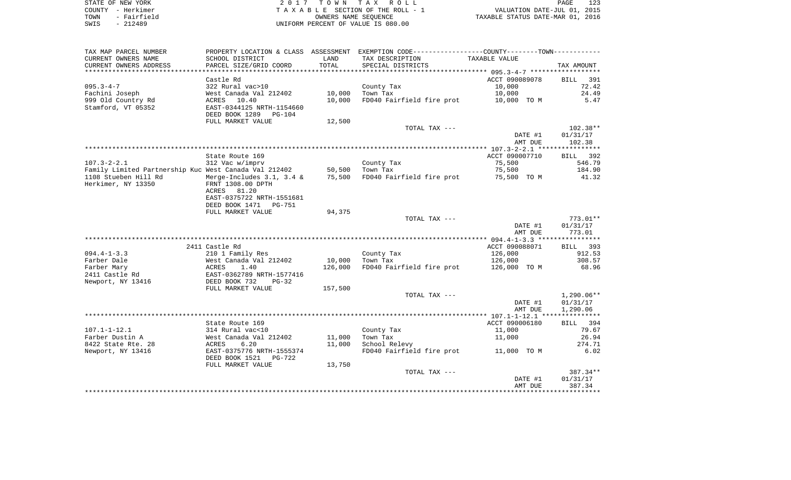| STATE OF NEW YORK   | 2017 TOWN TAX ROLL                 | 123<br>PAGE                      |
|---------------------|------------------------------------|----------------------------------|
| COUNTY - Herkimer   | TAXABLE SECTION OF THE ROLL - 1    | VALUATION DATE-JUL 01, 2015      |
| - Fairfield<br>TOWN | OWNERS NAME SEOUENCE               | TAXABLE STATUS DATE-MAR 01, 2016 |
| $-212489$<br>SWIS   | UNIFORM PERCENT OF VALUE IS 080.00 |                                  |

| TAX MAP PARCEL NUMBER                                 |                           |         | PROPERTY LOCATION & CLASS ASSESSMENT EXEMPTION CODE----------------COUNTY-------TOWN---------- |                |                    |
|-------------------------------------------------------|---------------------------|---------|------------------------------------------------------------------------------------------------|----------------|--------------------|
| CURRENT OWNERS NAME                                   | SCHOOL DISTRICT           | LAND    | TAX DESCRIPTION                                                                                | TAXABLE VALUE  |                    |
| CURRENT OWNERS ADDRESS                                | PARCEL SIZE/GRID COORD    | TOTAL   | SPECIAL DISTRICTS                                                                              |                | TAX AMOUNT         |
| **********************                                |                           |         |                                                                                                |                |                    |
|                                                       | Castle Rd                 |         |                                                                                                | ACCT 090089078 | BILL<br>391        |
| $095.3 - 4 - 7$                                       | 322 Rural vac>10          |         | County Tax                                                                                     | 10,000         | 72.42              |
| Fachini Joseph                                        | West Canada Val 212402    | 10,000  | Town Tax                                                                                       | 10,000         | 24.49              |
| 999 Old Country Rd                                    | ACRES<br>10.40            | 10,000  | FD040 Fairfield fire prot                                                                      | 10,000 TO M    | 5.47               |
| Stamford, VT 05352                                    | EAST-0344125 NRTH-1154660 |         |                                                                                                |                |                    |
|                                                       | DEED BOOK 1289<br>PG-104  |         |                                                                                                |                |                    |
|                                                       | FULL MARKET VALUE         | 12,500  |                                                                                                |                |                    |
|                                                       |                           |         | TOTAL TAX ---                                                                                  |                | $102.38**$         |
|                                                       |                           |         |                                                                                                | DATE #1        | 01/31/17           |
|                                                       |                           |         |                                                                                                | AMT DUE        | 102.38             |
|                                                       |                           |         |                                                                                                |                |                    |
|                                                       | State Route 169           |         |                                                                                                | ACCT 090007710 | BILL 392           |
| $107.3 - 2 - 2.1$                                     | 312 Vac w/imprv           |         | County Tax                                                                                     | 75,500         | 546.79             |
| Family Limited Partnership Kuc West Canada Val 212402 |                           | 50,500  | Town Tax                                                                                       | 75,500         | 184.90             |
| 1108 Stueben Hill Rd                                  | Merge-Includes 3.1, 3.4 & | 75,500  | FD040 Fairfield fire prot                                                                      | 75,500 TO M    | 41.32              |
| Herkimer, NY 13350                                    | FRNT 1308.00 DPTH         |         |                                                                                                |                |                    |
|                                                       | 81.20<br>ACRES            |         |                                                                                                |                |                    |
|                                                       | EAST-0375722 NRTH-1551681 |         |                                                                                                |                |                    |
|                                                       | DEED BOOK 1471<br>PG-751  |         |                                                                                                |                |                    |
|                                                       | FULL MARKET VALUE         | 94,375  |                                                                                                |                |                    |
|                                                       |                           |         | TOTAL TAX ---                                                                                  |                | $773.01**$         |
|                                                       |                           |         |                                                                                                | DATE #1        | 01/31/17           |
|                                                       |                           |         |                                                                                                | AMT DUE        | 773.01             |
|                                                       | 2411 Castle Rd            |         |                                                                                                | ACCT 090088071 |                    |
| $094.4 - 1 - 3.3$                                     | 210 1 Family Res          |         | County Tax                                                                                     | 126,000        | BILL 393<br>912.53 |
| Farber Dale                                           | West Canada Val 212402    | 10,000  | Town Tax                                                                                       | 126,000        | 308.57             |
| Farber Mary                                           | ACRES<br>1.40             | 126,000 | FD040 Fairfield fire prot                                                                      | 126,000 TO M   | 68.96              |
| 2411 Castle Rd                                        | EAST-0362789 NRTH-1577416 |         |                                                                                                |                |                    |
| Newport, NY 13416                                     | DEED BOOK 732<br>$PG-32$  |         |                                                                                                |                |                    |
|                                                       | FULL MARKET VALUE         | 157,500 |                                                                                                |                |                    |
|                                                       |                           |         | TOTAL TAX ---                                                                                  |                | $1,290.06**$       |
|                                                       |                           |         |                                                                                                | DATE #1        | 01/31/17           |
|                                                       |                           |         |                                                                                                | AMT DUE        | 1,290.06           |
|                                                       |                           |         |                                                                                                |                |                    |
|                                                       | State Route 169           |         |                                                                                                | ACCT 090006180 | BILL 394           |
| $107.1 - 1 - 12.1$                                    | 314 Rural vac<10          |         | County Tax                                                                                     | 11,000         | 79.67              |
| Farber Dustin A                                       | West Canada Val 212402    | 11,000  | Town Tax                                                                                       | 11,000         | 26.94              |
| 8422 State Rte. 28                                    | ACRES<br>6.20             | 11,000  | School Relevy                                                                                  |                | 274.71             |
| Newport, NY 13416                                     | EAST-0375776 NRTH-1555374 |         | FD040 Fairfield fire prot                                                                      | 11,000 TO M    | 6.02               |
|                                                       | DEED BOOK 1521<br>PG-722  |         |                                                                                                |                |                    |
|                                                       | FULL MARKET VALUE         | 13,750  |                                                                                                |                |                    |
|                                                       |                           |         | TOTAL TAX ---                                                                                  |                | 387.34**           |
|                                                       |                           |         |                                                                                                | DATE #1        | 01/31/17           |
|                                                       |                           |         |                                                                                                | AMT DUE        | 387.34             |
|                                                       |                           |         |                                                                                                |                |                    |
|                                                       |                           |         |                                                                                                |                |                    |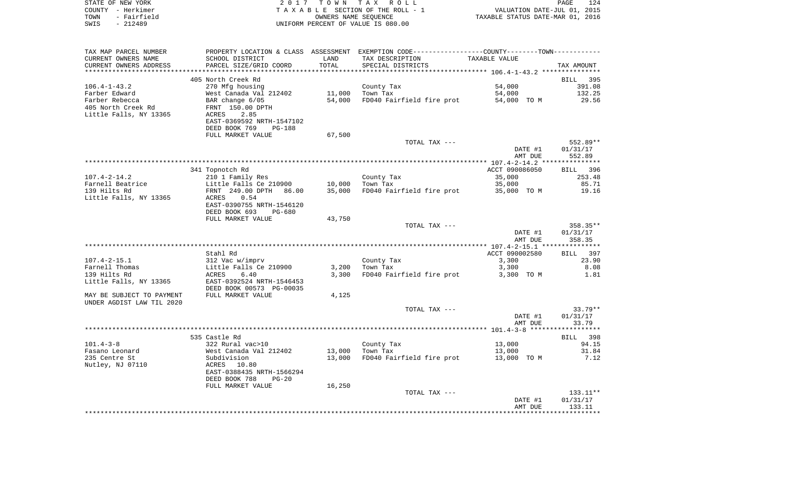|      | STATE OF NEW YORK | 2017 TOWN TAX ROLL                 | PAGE                             | 124 |
|------|-------------------|------------------------------------|----------------------------------|-----|
|      | COUNTY - Herkimer | TAXABLE SECTION OF THE ROLL - 1    | VALUATION DATE-JUL 01, 2015      |     |
| TOWN | - Fairfield       | OWNERS NAME SEOUENCE               | TAXABLE STATUS DATE-MAR 01, 2016 |     |
| SWIS | - 212489          | UNIFORM PERCENT OF VALUE IS 080.00 |                                  |     |

| TAX MAP PARCEL NUMBER     |                                |        | PROPERTY LOCATION & CLASS ASSESSMENT EXEMPTION CODE---------------COUNTY-------TOWN-------- |                |            |
|---------------------------|--------------------------------|--------|---------------------------------------------------------------------------------------------|----------------|------------|
| CURRENT OWNERS NAME       | SCHOOL DISTRICT                | LAND   | TAX DESCRIPTION                                                                             | TAXABLE VALUE  |            |
| CURRENT OWNERS ADDRESS    | PARCEL SIZE/GRID COORD         | TOTAL  | SPECIAL DISTRICTS                                                                           |                | TAX AMOUNT |
|                           |                                |        |                                                                                             |                |            |
|                           | 405 North Creek Rd             |        |                                                                                             |                | BILL 395   |
| $106.4 - 1 - 43.2$        | 270 Mfg housing                |        | County Tax                                                                                  | 54,000         | 391.08     |
| Farber Edward             | West Canada Val 212402         | 11,000 | Town Tax                                                                                    | 54,000         | 132.25     |
| Farber Rebecca            | BAR change 6/05                | 54,000 | FD040 Fairfield fire prot                                                                   | 54,000 TO M    | 29.56      |
| 405 North Creek Rd        | FRNT 150.00 DPTH               |        |                                                                                             |                |            |
| Little Falls, NY 13365    | 2.85<br>ACRES                  |        |                                                                                             |                |            |
|                           | EAST-0369592 NRTH-1547102      |        |                                                                                             |                |            |
|                           | DEED BOOK 769<br><b>PG-188</b> |        |                                                                                             |                |            |
|                           | FULL MARKET VALUE              | 67,500 |                                                                                             |                |            |
|                           |                                |        | TOTAL TAX ---                                                                               |                | 552.89**   |
|                           |                                |        |                                                                                             | DATE #1        | 01/31/17   |
|                           |                                |        |                                                                                             | AMT DUE        | 552.89     |
|                           |                                |        |                                                                                             |                |            |
|                           |                                |        |                                                                                             |                |            |
|                           | 341 Topnotch Rd                |        |                                                                                             | ACCT 090086050 | BILL 396   |
| $107.4 - 2 - 14.2$        | 210 1 Family Res               |        | County Tax                                                                                  | 35,000         | 253.48     |
| Farnell Beatrice          | Little Falls Ce 210900         | 10,000 | Town Tax                                                                                    | 35,000         | 85.71      |
| 139 Hilts Rd              | FRNT 249.00 DPTH<br>86.00      | 35,000 | FD040 Fairfield fire prot 35,000 TO M                                                       |                | 19.16      |
| Little Falls, NY 13365    | ACRES<br>0.54                  |        |                                                                                             |                |            |
|                           | EAST-0390755 NRTH-1546120      |        |                                                                                             |                |            |
|                           | DEED BOOK 693<br>PG-680        |        |                                                                                             |                |            |
|                           | FULL MARKET VALUE              | 43,750 |                                                                                             |                |            |
|                           |                                |        | TOTAL TAX ---                                                                               |                | 358.35**   |
|                           |                                |        |                                                                                             | DATE #1        | 01/31/17   |
|                           |                                |        |                                                                                             | AMT DUE        | 358.35     |
|                           |                                |        |                                                                                             |                |            |
|                           | Stahl Rd                       |        |                                                                                             | ACCT 090002580 | BILL 397   |
| $107.4 - 2 - 15.1$        | 312 Vac w/imprv                |        | County Tax                                                                                  | 3,300          | 23.90      |
| Farnell Thomas            | Little Falls Ce 210900         | 3,200  | Town Tax                                                                                    | 3,300          | 8.08       |
| 139 Hilts Rd              | 6.40<br>ACRES                  | 3,300  | FD040 Fairfield fire prot                                                                   | 3,300 TO M     | 1.81       |
| Little Falls, NY 13365    | EAST-0392524 NRTH-1546453      |        |                                                                                             |                |            |
|                           | DEED BOOK 00573 PG-00035       |        |                                                                                             |                |            |
| MAY BE SUBJECT TO PAYMENT | FULL MARKET VALUE              | 4,125  |                                                                                             |                |            |
| UNDER AGDIST LAW TIL 2020 |                                |        |                                                                                             |                |            |
|                           |                                |        | TOTAL TAX ---                                                                               |                | $33.79**$  |
|                           |                                |        |                                                                                             | DATE #1        | 01/31/17   |
|                           |                                |        |                                                                                             | AMT DUE        | 33.79      |
|                           |                                |        |                                                                                             |                |            |
|                           | 535 Castle Rd                  |        |                                                                                             |                | BILL 398   |
| $101.4 - 3 - 8$           | 322 Rural vac>10               |        | County Tax                                                                                  | 13,000         | 94.15      |
| Fasano Leonard            | West Canada Val 212402         | 13,000 | Town Tax                                                                                    | 13,000         | 31.84      |
| 235 Centre St             | Subdivision                    | 13,000 | FD040 Fairfield fire prot 13,000 TO M                                                       |                | 7.12       |
|                           | ACRES 10.80                    |        |                                                                                             |                |            |
| Nutley, NJ 07110          |                                |        |                                                                                             |                |            |
|                           | EAST-0388435 NRTH-1566294      |        |                                                                                             |                |            |
|                           | DEED BOOK 788<br>$PG-20$       |        |                                                                                             |                |            |
|                           | FULL MARKET VALUE              | 16,250 |                                                                                             |                |            |
|                           |                                |        | TOTAL TAX ---                                                                               |                | $133.11**$ |
|                           |                                |        |                                                                                             | DATE #1        | 01/31/17   |
|                           |                                |        |                                                                                             | AMT DUE        | 133.11     |
|                           |                                |        |                                                                                             |                |            |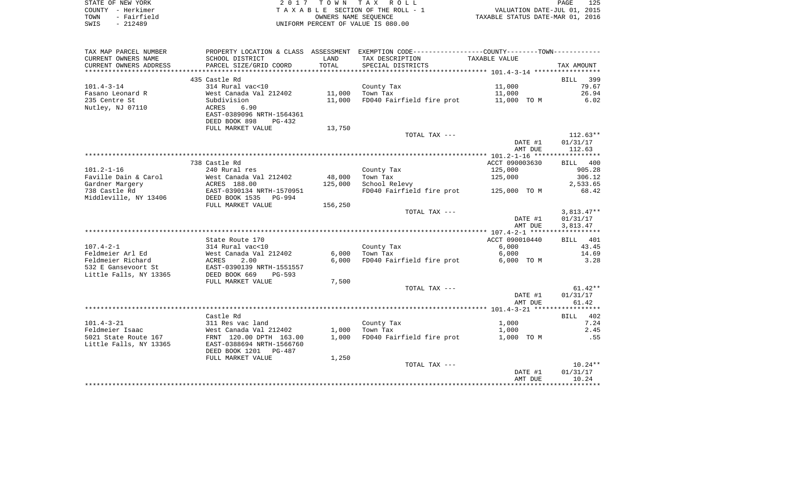| STATE OF NEW YORK   | 2017 TOWN TAX ROLL                 | 125<br>PAGE                      |
|---------------------|------------------------------------|----------------------------------|
| COUNTY - Herkimer   | TAXABLE SECTION OF THE ROLL - 1    | VALUATION DATE-JUL 01, 2015      |
| - Fairfield<br>TOWN | OWNERS NAME SEOUENCE               | TAXABLE STATUS DATE-MAR 01, 2016 |
| $-212489$<br>SWIS   | UNIFORM PERCENT OF VALUE IS 080.00 |                                  |

| TAX MAP PARCEL NUMBER  | PROPERTY LOCATION & CLASS ASSESSMENT |         | EXEMPTION CODE-----------------COUNTY-------TOWN----------- |                |              |
|------------------------|--------------------------------------|---------|-------------------------------------------------------------|----------------|--------------|
| CURRENT OWNERS NAME    | SCHOOL DISTRICT                      | LAND    | TAX DESCRIPTION                                             | TAXABLE VALUE  |              |
| CURRENT OWNERS ADDRESS | PARCEL SIZE/GRID COORD               | TOTAL   | SPECIAL DISTRICTS                                           |                | TAX AMOUNT   |
| ********************** |                                      |         |                                                             |                |              |
|                        | 435 Castle Rd                        |         |                                                             |                | 399<br>BILL  |
| $101.4 - 3 - 14$       | 314 Rural vac<10                     |         | County Tax                                                  | 11,000         | 79.67        |
| Fasano Leonard R       | West Canada Val 212402               | 11,000  | Town Tax                                                    | 11,000         | 26.94        |
| 235 Centre St          | Subdivision                          | 11,000  | FD040 Fairfield fire prot                                   | 11,000 TO M    | 6.02         |
| Nutley, NJ 07110       | 6.90<br>ACRES                        |         |                                                             |                |              |
|                        | EAST-0389096 NRTH-1564361            |         |                                                             |                |              |
|                        | DEED BOOK 898<br>$PG-432$            |         |                                                             |                |              |
|                        | FULL MARKET VALUE                    | 13,750  |                                                             |                |              |
|                        |                                      |         | TOTAL TAX ---                                               |                | $112.63**$   |
|                        |                                      |         |                                                             | DATE #1        | 01/31/17     |
|                        |                                      |         |                                                             | AMT DUE        | 112.63       |
|                        |                                      |         |                                                             |                |              |
|                        | 738 Castle Rd                        |         |                                                             | ACCT 090003630 | BILL 400     |
| $101.2 - 1 - 16$       | 240 Rural res                        |         | County Tax                                                  | 125,000        | 905.28       |
| Faville Dain & Carol   | West Canada Val 212402               | 48,000  | Town Tax                                                    | 125,000        | 306.12       |
| Gardner Margery        | ACRES 188.00                         | 125,000 | School Relevy                                               |                | 2,533.65     |
| 738 Castle Rd          | EAST-0390134 NRTH-1570951            |         | FD040 Fairfield fire prot                                   | 125,000 TO M   | 68.42        |
| Middleville, NY 13406  | DEED BOOK 1535<br><b>PG-994</b>      |         |                                                             |                |              |
|                        | FULL MARKET VALUE                    | 156,250 |                                                             |                |              |
|                        |                                      |         | TOTAL TAX ---                                               |                | $3,813.47**$ |
|                        |                                      |         |                                                             | DATE #1        | 01/31/17     |
|                        |                                      |         |                                                             | AMT DUE        | 3,813.47     |
|                        |                                      |         |                                                             |                |              |
|                        | State Route 170                      |         |                                                             | ACCT 090010440 | BILL 401     |
| $107.4 - 2 - 1$        | 314 Rural vac<10                     |         | County Tax                                                  | 6,000          | 43.45        |
| Feldmeier Arl Ed       | West Canada Val 212402               | 6,000   | Town Tax                                                    | 6,000          | 14.69        |
| Feldmeier Richard      | ACRES<br>2.00                        | 6,000   | FD040 Fairfield fire prot                                   | 6,000 TO M     | 3.28         |
| 532 E Gansevoort St    | EAST-0390139 NRTH-1551557            |         |                                                             |                |              |
| Little Falls, NY 13365 | DEED BOOK 669<br>PG-593              |         |                                                             |                |              |
|                        | FULL MARKET VALUE                    | 7,500   |                                                             |                |              |
|                        |                                      |         | TOTAL TAX ---                                               |                | $61.42**$    |
|                        |                                      |         |                                                             | DATE #1        | 01/31/17     |
|                        |                                      |         |                                                             | AMT DUE        | 61.42        |
|                        |                                      |         |                                                             |                |              |
|                        | Castle Rd                            |         |                                                             |                | 402<br>BILL  |
| $101.4 - 3 - 21$       | 311 Res vac land                     |         | County Tax                                                  | 1,000          | 7.24         |
| Feldmeier Isaac        | West Canada Val 212402               | 1,000   | Town Tax                                                    | 1,000          | 2.45         |
| 5021 State Route 167   | FRNT 120.00 DPTH 163.00              | 1,000   | FD040 Fairfield fire prot                                   | 1,000 TO M     | .55          |
| Little Falls, NY 13365 | EAST-0388694 NRTH-1566760            |         |                                                             |                |              |
|                        | DEED BOOK 1201<br>PG-487             |         |                                                             |                |              |
|                        | FULL MARKET VALUE                    | 1,250   |                                                             |                |              |
|                        |                                      |         | TOTAL TAX ---                                               |                | $10.24**$    |
|                        |                                      |         |                                                             | DATE #1        | 01/31/17     |
|                        |                                      |         |                                                             | AMT DUE        | 10.24        |
|                        |                                      |         |                                                             |                |              |
|                        |                                      |         |                                                             |                |              |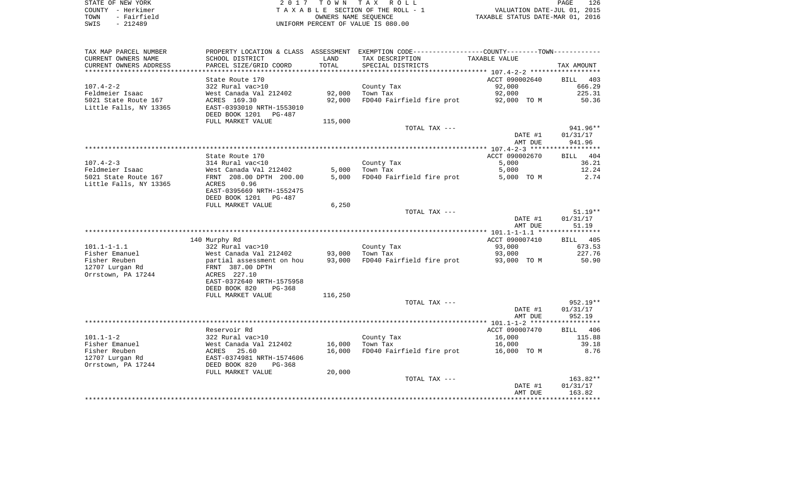| STATE OF NEW YORK   | 2017 TOWN TAX ROLL                 | 126<br>PAGE                      |
|---------------------|------------------------------------|----------------------------------|
| COUNTY - Herkimer   | TAXABLE SECTION OF THE ROLL - 1    | VALUATION DATE-JUL 01, 2015      |
| - Fairfield<br>TOWN | OWNERS NAME SEOUENCE               | TAXABLE STATUS DATE-MAR 01, 2016 |
| $-212489$<br>SWIS   | UNIFORM PERCENT OF VALUE IS 080.00 |                                  |

126<br>2015<br>2016

| TAX MAP PARCEL NUMBER                           |                                                                                        |         | PROPERTY LOCATION & CLASS ASSESSMENT EXEMPTION CODE----------------COUNTY--------TOWN----------- |                    |                    |
|-------------------------------------------------|----------------------------------------------------------------------------------------|---------|--------------------------------------------------------------------------------------------------|--------------------|--------------------|
| CURRENT OWNERS NAME                             | SCHOOL DISTRICT                                                                        | LAND    | TAX DESCRIPTION                                                                                  | TAXABLE VALUE      |                    |
| CURRENT OWNERS ADDRESS<br>********************* | PARCEL SIZE/GRID COORD<br>**************************                                   | TOTAL   | SPECIAL DISTRICTS                                                                                |                    | TAX AMOUNT         |
|                                                 |                                                                                        |         |                                                                                                  |                    |                    |
|                                                 | State Route 170                                                                        |         |                                                                                                  | ACCT 090002640     | BILL 403           |
| $107.4 - 2 - 2$                                 | 322 Rural vac>10                                                                       |         | County Tax                                                                                       | 92,000             | 666.29             |
| Feldmeier Isaac                                 | West Canada Val 212402                                                                 | 92,000  | Town Tax                                                                                         | 92,000             | 225.31             |
| 5021 State Route 167                            | ACRES 169.30                                                                           | 92,000  | FD040 Fairfield fire prot                                                                        | 92,000 TO M        | 50.36              |
| Little Falls, NY 13365                          | EAST-0393010 NRTH-1553010<br>DEED BOOK 1201 PG-487                                     |         |                                                                                                  |                    |                    |
|                                                 | FULL MARKET VALUE                                                                      | 115,000 |                                                                                                  |                    |                    |
|                                                 |                                                                                        |         | TOTAL TAX ---                                                                                    |                    | 941.96**           |
|                                                 |                                                                                        |         |                                                                                                  | DATE #1            | 01/31/17           |
|                                                 |                                                                                        |         |                                                                                                  | AMT DUE            | 941.96             |
|                                                 |                                                                                        |         |                                                                                                  |                    |                    |
|                                                 | State Route 170                                                                        |         |                                                                                                  | ACCT 090002670     | BILL 404           |
| $107.4 - 2 - 3$                                 |                                                                                        |         | County Tax                                                                                       | 5,000              | 36.21              |
| Feldmeier Isaac                                 | 314 Rural vac<10<br>West Canada Val 212402                                             | 5,000   | Town Tax                                                                                         | 5,000              | 12.24              |
| 5021 State Route 167                            | FRNT 208.00 DPTH 200.00                                                                | 5,000   | FD040 Fairfield fire prot                                                                        | 5,000 TO M         | 2.74               |
| Little Falls, NY 13365                          | 0.96<br>ACRES                                                                          |         |                                                                                                  |                    |                    |
|                                                 | EAST-0395669 NRTH-1552475                                                              |         |                                                                                                  |                    |                    |
|                                                 | DEED BOOK 1201<br>PG-487                                                               |         |                                                                                                  |                    |                    |
|                                                 | FULL MARKET VALUE                                                                      | 6,250   |                                                                                                  |                    |                    |
|                                                 |                                                                                        |         | TOTAL TAX ---                                                                                    |                    | $51.19**$          |
|                                                 |                                                                                        |         |                                                                                                  | DATE #1            | 01/31/17           |
|                                                 |                                                                                        |         |                                                                                                  | AMT DUE            | 51.19              |
|                                                 |                                                                                        |         |                                                                                                  |                    |                    |
|                                                 | 140 Murphy Rd                                                                          |         |                                                                                                  | ACCT 090007410     | BILL 405           |
| $101.1 - 1 - 1.1$                               | 322 Rural vac>10                                                                       |         | County Tax                                                                                       | 93,000             | 673.53             |
| Fisher Emanuel                                  | West Canada Val 212402                                                                 |         | 93,000 Town Tax                                                                                  | 93,000             | 227.76             |
| Fisher Reuben                                   | West Canada Val 212402<br>partial assessment on hou<br>pour 205.00 poru                | 93,000  | FD040 Fairfield fire prot 93,000 TO M                                                            |                    | 50.90              |
| 12707 Lurgan Rd                                 | FRNT 387.00 DPTH                                                                       |         |                                                                                                  |                    |                    |
| Orrstown, PA 17244                              | ACRES 227.10                                                                           |         |                                                                                                  |                    |                    |
|                                                 | EAST-0372640 NRTH-1575958                                                              |         |                                                                                                  |                    |                    |
|                                                 | DEED BOOK 820<br>$PG-368$                                                              |         |                                                                                                  |                    |                    |
|                                                 | FULL MARKET VALUE                                                                      | 116,250 |                                                                                                  |                    |                    |
|                                                 |                                                                                        |         | TOTAL TAX ---                                                                                    |                    | 952.19**           |
|                                                 |                                                                                        |         |                                                                                                  | DATE #1<br>AMT DUE | 01/31/17<br>952.19 |
|                                                 |                                                                                        |         |                                                                                                  |                    |                    |
|                                                 | Reservoir Rd                                                                           |         |                                                                                                  | ACCT 090007470     | BILL 406           |
| $101.1 - 1 - 2$                                 |                                                                                        |         | County Tax                                                                                       | 16,000             | 115.88             |
| Fisher Emanuel                                  |                                                                                        | 16,000  | Town Tax                                                                                         | 16,000             | 39.18              |
| Fisher Reuben                                   |                                                                                        | 16,000  | FD040 Fairfield fire prot 16,000 TO M                                                            |                    | 8.76               |
| 12707 Lurgan Rd                                 | 322 Rural vac>10<br>West Canada Val 212402<br>ACRES 25.60<br>EAST-0374981 NRTH-1574606 |         |                                                                                                  |                    |                    |
| Orrstown, PA 17244                              | DEED BOOK 820<br>PG-368                                                                |         |                                                                                                  |                    |                    |
|                                                 | FULL MARKET VALUE                                                                      | 20,000  |                                                                                                  |                    |                    |
|                                                 |                                                                                        |         | TOTAL TAX ---                                                                                    |                    | 163.82**           |
|                                                 |                                                                                        |         |                                                                                                  | DATE #1            | 01/31/17           |
|                                                 |                                                                                        |         |                                                                                                  | AMT DUE            | 163.82             |
|                                                 |                                                                                        |         |                                                                                                  |                    |                    |
|                                                 |                                                                                        |         |                                                                                                  |                    |                    |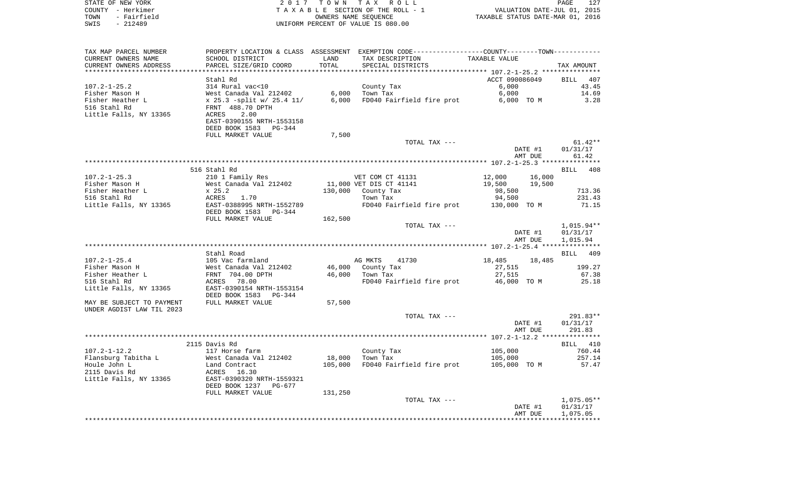| STATE OF NEW YORK                        |                                            |                      | 2017 TOWN TAX ROLL                                                                            |                    | 127<br>PAGE                                                     |
|------------------------------------------|--------------------------------------------|----------------------|-----------------------------------------------------------------------------------------------|--------------------|-----------------------------------------------------------------|
| COUNTY - Herkimer<br>TOWN<br>- Fairfield |                                            | OWNERS NAME SEOUENCE | TAXABLE SECTION OF THE ROLL - 1                                                               |                    | VALUATION DATE-JUL 01, 2015<br>TAXABLE STATUS DATE-MAR 01, 2016 |
| $-212489$<br>SWIS                        |                                            |                      | UNIFORM PERCENT OF VALUE IS 080.00                                                            |                    |                                                                 |
|                                          |                                            |                      |                                                                                               |                    |                                                                 |
|                                          |                                            |                      |                                                                                               |                    |                                                                 |
| TAX MAP PARCEL NUMBER                    |                                            |                      | PROPERTY LOCATION & CLASS ASSESSMENT EXEMPTION CODE---------------COUNTY-------TOWN---------- |                    |                                                                 |
| CURRENT OWNERS NAME                      | SCHOOL DISTRICT                            | LAND                 | TAX DESCRIPTION                                                                               | TAXABLE VALUE      |                                                                 |
| CURRENT OWNERS ADDRESS                   | PARCEL SIZE/GRID COORD                     | TOTAL                | SPECIAL DISTRICTS                                                                             |                    | TAX AMOUNT                                                      |
|                                          |                                            |                      |                                                                                               |                    |                                                                 |
|                                          | Stahl Rd                                   |                      |                                                                                               | ACCT 090086049     | BILL<br>407                                                     |
| 107.2-1-25.2                             | 314 Rural vac<10                           |                      | County Tax                                                                                    | 6,000              | 43.45                                                           |
| Fisher Mason H                           | West Canada Val 212402                     | 6,000                | Town Tax                                                                                      | 6,000              | 14.69                                                           |
| Fisher Heather L                         | x 25.3 -split w/ 25.4 11/                  | 6,000                | FD040 Fairfield fire prot                                                                     | 6,000 TO M         | 3.28                                                            |
| 516 Stahl Rd                             | FRNT 488.70 DPTH                           |                      |                                                                                               |                    |                                                                 |
| Little Falls, NY 13365                   | 2.00<br>ACRES                              |                      |                                                                                               |                    |                                                                 |
|                                          | EAST-0390155 NRTH-1553158                  |                      |                                                                                               |                    |                                                                 |
|                                          | DEED BOOK 1583 PG-344                      |                      |                                                                                               |                    |                                                                 |
|                                          | FULL MARKET VALUE                          | 7,500                |                                                                                               |                    |                                                                 |
|                                          |                                            |                      | TOTAL TAX ---                                                                                 |                    | $61.42**$                                                       |
|                                          |                                            |                      |                                                                                               | DATE #1            | 01/31/17                                                        |
|                                          |                                            |                      |                                                                                               | AMT DUE            | 61.42                                                           |
|                                          |                                            |                      |                                                                                               |                    |                                                                 |
| $107.2 - 1 - 25.3$                       | 516 Stahl Rd                               |                      | VET COM CT 41131                                                                              | 12,000             | BILL 408                                                        |
| Fisher Mason H                           | 210 1 Family Res<br>West Canada Val 212402 |                      | 11,000 VET DIS CT 41141                                                                       | 19,500             | 16,000<br>19,500                                                |
| Fisher Heather L                         | x 25.2                                     | 130,000              | County Tax                                                                                    | 98,500             | 713.36                                                          |
| 516 Stahl Rd                             | 1.70<br>ACRES                              |                      | Town Tax                                                                                      | 94,500             | 231.43                                                          |
| Little Falls, NY 13365                   | EAST-0388995 NRTH-1552789                  |                      | FD040 Fairfield fire prot                                                                     | 130,000 TO M       | 71.15                                                           |
|                                          | DEED BOOK 1583 PG-344                      |                      |                                                                                               |                    |                                                                 |
|                                          | FULL MARKET VALUE                          | 162,500              |                                                                                               |                    |                                                                 |
|                                          |                                            |                      | TOTAL TAX ---                                                                                 |                    | $1,015.94**$                                                    |
|                                          |                                            |                      |                                                                                               | DATE #1            | 01/31/17                                                        |
|                                          |                                            |                      |                                                                                               | AMT DUE            | 1,015.94                                                        |
|                                          |                                            |                      |                                                                                               |                    |                                                                 |
|                                          | Stahl Road                                 |                      |                                                                                               |                    | BILL 409                                                        |
| $107.2 - 1 - 25.4$                       | 105 Vac farmland                           |                      | AG MKTS<br>41730                                                                              | 18,485             | 18,485                                                          |
| Fisher Mason H                           | West Canada Val 212402                     | 46,000               | County Tax                                                                                    | 27,515             | 199.27                                                          |
| Fisher Heather L                         | FRNT 704.00 DPTH                           | 46,000               | Town Tax                                                                                      | 27,515             | 67.38                                                           |
| 516 Stahl Rd                             | ACRES 78.00                                |                      | FD040 Fairfield fire prot                                                                     | 46,000 TO M        | 25.18                                                           |
| Little Falls, NY 13365                   | EAST-0390154 NRTH-1553154                  |                      |                                                                                               |                    |                                                                 |
|                                          | DEED BOOK 1583 PG-344                      |                      |                                                                                               |                    |                                                                 |
| MAY BE SUBJECT TO PAYMENT                | FULL MARKET VALUE                          | 57,500               |                                                                                               |                    |                                                                 |
| UNDER AGDIST LAW TIL 2023                |                                            |                      |                                                                                               |                    |                                                                 |
|                                          |                                            |                      | TOTAL TAX ---                                                                                 |                    | 291.83**                                                        |
|                                          |                                            |                      |                                                                                               | DATE #1<br>AMT DUE | 01/31/17<br>291.83                                              |
|                                          |                                            |                      |                                                                                               |                    |                                                                 |
|                                          | 2115 Davis Rd                              |                      |                                                                                               |                    | 410<br>BILL                                                     |
| $107.2 - 1 - 12.2$                       | 117 Horse farm                             |                      | County Tax                                                                                    | 105,000            | 760.44                                                          |
| Flansburg Tabitha L                      | West Canada Val 212402                     | 18,000               | Town Tax                                                                                      | 105,000            | 257.14                                                          |
| Houle John L                             | Land Contract                              | 105,000              | FD040 Fairfield fire prot                                                                     | 105,000 TO M       | 57.47                                                           |
| 2115 Davis Rd                            | 16.30<br>ACRES                             |                      |                                                                                               |                    |                                                                 |
| Little Falls, NY 13365                   | EAST-0390320 NRTH-1559321                  |                      |                                                                                               |                    |                                                                 |
|                                          | DEED BOOK 1237<br>PG-677                   |                      |                                                                                               |                    |                                                                 |
|                                          | FULL MARKET VALUE                          | 131,250              |                                                                                               |                    |                                                                 |
|                                          |                                            |                      | TOTAL TAX ---                                                                                 |                    | $1,075.05**$                                                    |
|                                          |                                            |                      |                                                                                               | DATE #1            | 01/31/17                                                        |
|                                          |                                            |                      |                                                                                               | AMT DUE            | 1,075.05                                                        |
|                                          |                                            |                      |                                                                                               |                    |                                                                 |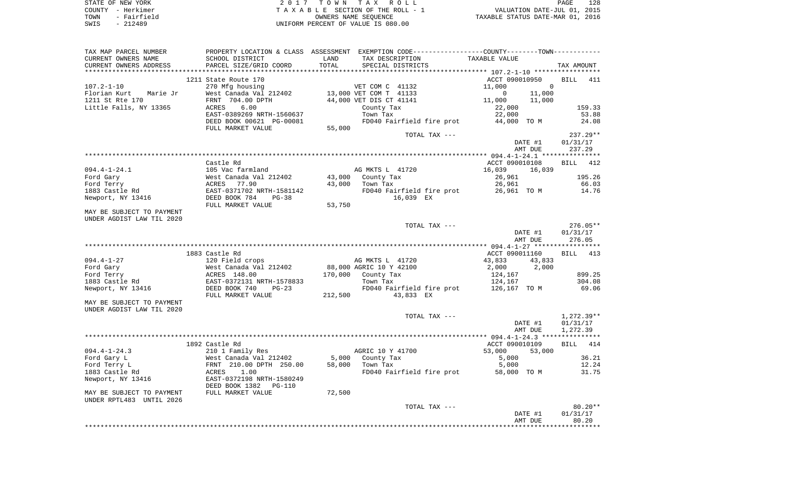|      | STATE OF NEW YORK | 2017 TOWN TAX ROLL                 | 128<br>PAGE                      |  |
|------|-------------------|------------------------------------|----------------------------------|--|
|      | COUNTY - Herkimer | TAXABLE SECTION OF THE ROLL - 1    | VALUATION DATE-JUL 01, 2015      |  |
| TOWN | - Fairfield       | OWNERS NAME SEOUENCE               | TAXABLE STATUS DATE-MAR 01, 2016 |  |
| SWIS | $-212489$         | UNIFORM PERCENT OF VALUE IS 080.00 |                                  |  |

| TAX MAP PARCEL NUMBER<br>CURRENT OWNERS NAME<br>CURRENT OWNERS ADDRESS | SCHOOL DISTRICT<br>PARCEL SIZE/GRID COORD                                             | LAND<br>TOTAL    | PROPERTY LOCATION & CLASS ASSESSMENT EXEMPTION CODE----------------COUNTY-------TOWN----------<br>TAX DESCRIPTION<br>SPECIAL DISTRICTS | TAXABLE VALUE                                                                        | TAX AMOUNT                           |
|------------------------------------------------------------------------|---------------------------------------------------------------------------------------|------------------|----------------------------------------------------------------------------------------------------------------------------------------|--------------------------------------------------------------------------------------|--------------------------------------|
| ************************                                               |                                                                                       |                  |                                                                                                                                        |                                                                                      |                                      |
| $107.2 - 1 - 10$<br>Florian Kurt<br>Marie Jr<br>1211 St Rte 170        | 1211 State Route 170<br>270 Mfg housing<br>West Canada Val 212402<br>FRNT 704.00 DPTH |                  | VET COM C 41132<br>13,000 VET COM T 41133<br>44,000 VET DIS CT 41141                                                                   | ACCT 090010950<br>11,000<br>$\mathbf 0$<br>$\mathbf 0$<br>11,000<br>11,000<br>11,000 | <b>BILL</b><br>411                   |
| Little Falls, NY 13365                                                 | ACRES<br>6.00<br>EAST-0389269 NRTH-1560637<br>DEED BOOK 00621 PG-00081                |                  | County Tax<br>Town Tax<br>FD040 Fairfield fire prot                                                                                    | 22,000<br>22,000<br>44,000 TO M                                                      | 159.33<br>53.88<br>24.08             |
|                                                                        | FULL MARKET VALUE                                                                     | 55,000           | TOTAL TAX ---                                                                                                                          |                                                                                      | 237.29**                             |
|                                                                        |                                                                                       |                  |                                                                                                                                        | DATE #1<br>AMT DUE                                                                   | 01/31/17<br>237.29                   |
|                                                                        |                                                                                       |                  |                                                                                                                                        |                                                                                      |                                      |
| $094.4 - 1 - 24.1$                                                     | Castle Rd<br>105 Vac farmland                                                         |                  | AG MKTS L 41720                                                                                                                        | ACCT 090010108<br>16,039<br>16,039                                                   | <b>BILL</b><br>412                   |
| Ford Gary<br>Ford Terry                                                | West Canada Val 212402<br>77.90<br>ACRES                                              | 43,000<br>43,000 | County Tax<br>Town Tax                                                                                                                 | 26,961<br>26,961                                                                     | 195.26<br>66.03                      |
| 1883 Castle Rd<br>Newport, NY 13416                                    | EAST-0371702 NRTH-1581142<br>DEED BOOK 784<br>$PG-38$<br>FULL MARKET VALUE            | 53,750           | FD040 Fairfield fire prot<br>16,039 EX                                                                                                 | 26,961 TO M                                                                          | 14.76                                |
| MAY BE SUBJECT TO PAYMENT<br>UNDER AGDIST LAW TIL 2020                 |                                                                                       |                  |                                                                                                                                        |                                                                                      |                                      |
|                                                                        |                                                                                       |                  | TOTAL TAX ---                                                                                                                          | DATE #1<br>AMT DUE                                                                   | $276.05**$<br>01/31/17<br>276.05     |
|                                                                        |                                                                                       |                  |                                                                                                                                        |                                                                                      |                                      |
|                                                                        | 1883 Castle Rd                                                                        |                  |                                                                                                                                        | ACCT 090011160                                                                       | BILL<br>413                          |
| $094.4 - 1 - 27$<br>Ford Gary                                          | 120 Field crops<br>West Canada Val 212402                                             |                  | AG MKTS L 41720<br>88,000 AGRIC 10 Y 42100                                                                                             | 43,833<br>43,833<br>2,000<br>2,000                                                   |                                      |
| Ford Terry                                                             | ACRES 148.00                                                                          | 170,000          | County Tax                                                                                                                             | 124,167                                                                              | 899.25                               |
| 1883 Castle Rd                                                         | EAST-0372131 NRTH-1578833                                                             |                  | Town Tax                                                                                                                               | 124,167                                                                              | 304.08                               |
| Newport, NY 13416                                                      | DEED BOOK 740<br>$PG-23$<br>FULL MARKET VALUE                                         | 212,500          | FD040 Fairfield fire prot<br>43,833 EX                                                                                                 | 126,167 TO M                                                                         | 69.06                                |
| MAY BE SUBJECT TO PAYMENT<br>UNDER AGDIST LAW TIL 2020                 |                                                                                       |                  |                                                                                                                                        |                                                                                      |                                      |
|                                                                        |                                                                                       |                  | TOTAL TAX ---                                                                                                                          | DATE #1<br>AMT DUE                                                                   | $1,272.39**$<br>01/31/17<br>1,272.39 |
|                                                                        |                                                                                       |                  |                                                                                                                                        |                                                                                      |                                      |
|                                                                        | 1892 Castle Rd                                                                        |                  |                                                                                                                                        | ACCT 090010109                                                                       | <b>BILL</b><br>414                   |
| $094.4 - 1 - 24.3$                                                     | 210 1 Family Res                                                                      |                  | AGRIC 10 Y 41700                                                                                                                       | 53,000<br>53,000                                                                     |                                      |
| Ford Gary L                                                            | West Canada Val 212402                                                                | 5,000            | County Tax                                                                                                                             | 5,000                                                                                | 36.21                                |
| Ford Terry L                                                           | FRNT 210.00 DPTH 250.00                                                               | 58,000           | Town Tax                                                                                                                               | 5,000                                                                                | 12.24                                |
| 1883 Castle Rd<br>Newport, NY 13416                                    | ACRES<br>1.00<br>EAST-0372198 NRTH-1580249<br>DEED BOOK 1382<br><b>PG-110</b>         |                  | FD040 Fairfield fire prot                                                                                                              | 58,000 TO M                                                                          | 31.75                                |
| MAY BE SUBJECT TO PAYMENT<br>UNDER RPTL483 UNTIL 2026                  | FULL MARKET VALUE                                                                     | 72,500           |                                                                                                                                        |                                                                                      |                                      |
|                                                                        |                                                                                       |                  | TOTAL TAX ---                                                                                                                          | DATE #1<br>AMT DUE                                                                   | 80.20**<br>01/31/17<br>80.20         |
|                                                                        |                                                                                       |                  |                                                                                                                                        |                                                                                      |                                      |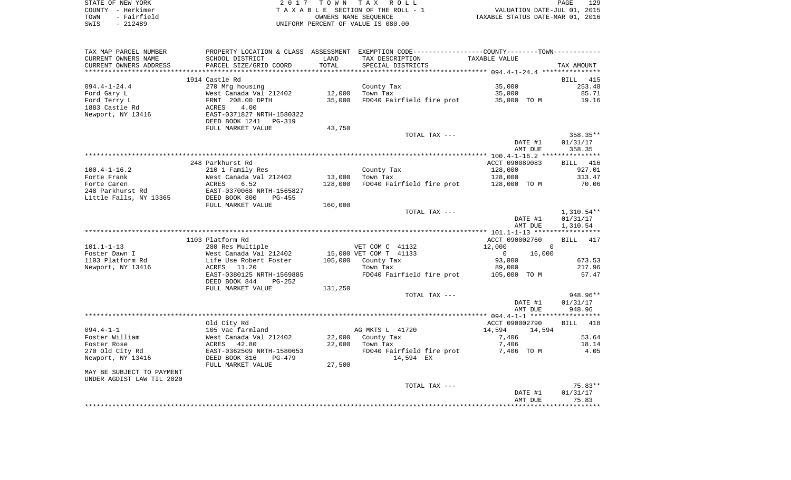| STATE OF NEW YORK   | 2017 TOWN TAX ROLL                 | 129<br>PAGE                      |
|---------------------|------------------------------------|----------------------------------|
| COUNTY - Herkimer   | TAXABLE SECTION OF THE ROLL - 1    | VALUATION DATE-JUL 01, 2015      |
| - Fairfield<br>TOWN | OWNERS NAME SEOUENCE               | TAXABLE STATUS DATE-MAR 01, 2016 |
| $-212489$<br>SWIS   | UNIFORM PERCENT OF VALUE IS 080.00 |                                  |

| TAX MAP PARCEL NUMBER          | PROPERTY LOCATION & CLASS ASSESSMENT EXEMPTION CODE---------------COUNTY-------TOWN---------- |         |                                        |                          |                          |
|--------------------------------|-----------------------------------------------------------------------------------------------|---------|----------------------------------------|--------------------------|--------------------------|
| CURRENT OWNERS NAME            | SCHOOL DISTRICT                                                                               | LAND    | TAX DESCRIPTION                        | TAXABLE VALUE            |                          |
| CURRENT OWNERS ADDRESS         | PARCEL SIZE/GRID COORD                                                                        | TOTAL   | SPECIAL DISTRICTS                      |                          | TAX AMOUNT               |
| *******************            | ***************************                                                                   |         |                                        |                          |                          |
|                                | 1914 Castle Rd                                                                                |         |                                        |                          | BILL<br>415              |
| $094.4 - 1 - 24.4$             | 270 Mfg housing                                                                               |         | County Tax                             | 35,000                   | 253.48                   |
| Ford Gary L                    | West Canada Val 212402                                                                        | 12,000  | Town Tax                               | 35,000                   | 85.71                    |
| Ford Terry L<br>1883 Castle Rd | FRNT 208.00 DPTH<br>4.00                                                                      | 35,000  | FD040 Fairfield fire prot              | 35,000 TO M              | 19.16                    |
| Newport, NY 13416              | ACRES<br>EAST-0371827 NRTH-1580322                                                            |         |                                        |                          |                          |
|                                | DEED BOOK 1241 PG-319                                                                         |         |                                        |                          |                          |
|                                | FULL MARKET VALUE                                                                             | 43,750  |                                        |                          |                          |
|                                |                                                                                               |         | TOTAL TAX ---                          |                          | 358.35**                 |
|                                |                                                                                               |         |                                        | DATE #1                  | 01/31/17                 |
|                                |                                                                                               |         |                                        | AMT DUE                  | 358.35                   |
|                                |                                                                                               |         |                                        |                          |                          |
|                                | 248 Parkhurst Rd                                                                              |         |                                        | ACCT 090089083           | BILL 416                 |
| $100.4 - 1 - 16.2$             | 210 1 Family Res                                                                              |         | County Tax                             | 128,000                  | 927.01                   |
| Forte Frank                    | West Canada Val 212402                                                                        | 13,000  | Town Tax                               | 128,000                  | 313.47                   |
| Forte Caren                    | ACRES<br>6.52                                                                                 | 128,000 | FD040 Fairfield fire prot 128,000 TO M |                          | 70.06                    |
| 248 Parkhurst Rd               | EAST-0370068 NRTH-1565827                                                                     |         |                                        |                          |                          |
| Little Falls, NY 13365         | DEED BOOK 800<br>$PG-455$                                                                     |         |                                        |                          |                          |
|                                | FULL MARKET VALUE                                                                             | 160,000 | TOTAL TAX ---                          |                          |                          |
|                                |                                                                                               |         |                                        | DATE #1                  | $1,310.54**$<br>01/31/17 |
|                                |                                                                                               |         |                                        | AMT DUE                  | 1,310.54                 |
|                                |                                                                                               |         |                                        |                          |                          |
|                                | 1103 Platform Rd                                                                              |         |                                        | ACCT 090002760           | <b>BILL</b><br>417       |
| $101.1 - 1 - 13$               | 280 Res Multiple                                                                              |         | VET COM C 41132                        | 12,000<br>$\Omega$       |                          |
| Foster Dawn I                  | West Canada Val 212402                                                                        |         | 15,000 VET COM T 41133                 | $\overline{0}$<br>16,000 |                          |
| 1103 Platform Rd               | Life Use Robert Foster                                                                        |         | 105,000 County Tax                     | 93,000                   | 673.53                   |
| Newport, NY 13416              | 11.20<br>ACRES                                                                                |         | Town Tax                               | 89,000                   | 217.96                   |
|                                | EAST-0380125 NRTH-1569885                                                                     |         | FD040 Fairfield fire prot 105,000 TO M |                          | 57.47                    |
|                                | DEED BOOK 844<br>PG-252                                                                       |         |                                        |                          |                          |
|                                | FULL MARKET VALUE                                                                             | 131,250 |                                        |                          |                          |
|                                |                                                                                               |         | TOTAL TAX ---                          |                          | 948.96**                 |
|                                |                                                                                               |         |                                        | DATE #1                  | 01/31/17<br>948.96       |
|                                |                                                                                               |         |                                        | AMT DUE                  |                          |
|                                | Old City Rd                                                                                   |         |                                        | ACCT 090002790           | <b>BILL</b><br>418       |
| $094.4 - 1 - 1$                | 105 Vac farmland                                                                              |         | AG MKTS L 41720                        | 14,594<br>14,594         |                          |
| Foster William                 | West Canada Val 212402                                                                        |         | 22,000 County Tax                      | 7,406                    | 53.64                    |
| Foster Rose                    | 42.80<br>ACRES                                                                                | 22,000  | Town Tax                               | 7,406                    | 18.14                    |
| 270 Old City Rd                | EAST-0362509 NRTH-1580653                                                                     |         | FD040 Fairfield fire prot              | 7,406 TO M               | 4.05                     |
| Newport, NY 13416              | DEED BOOK 816<br>PG-479                                                                       |         | 14,594 EX                              |                          |                          |
|                                | FULL MARKET VALUE                                                                             | 27,500  |                                        |                          |                          |
| MAY BE SUBJECT TO PAYMENT      |                                                                                               |         |                                        |                          |                          |
| UNDER AGDIST LAW TIL 2020      |                                                                                               |         |                                        |                          |                          |
|                                |                                                                                               |         | TOTAL TAX ---                          |                          | 75.83**                  |
|                                |                                                                                               |         |                                        | DATE #1                  | 01/31/17                 |
|                                |                                                                                               |         |                                        | AMT DUE                  | 75.83                    |
|                                |                                                                                               |         |                                        |                          |                          |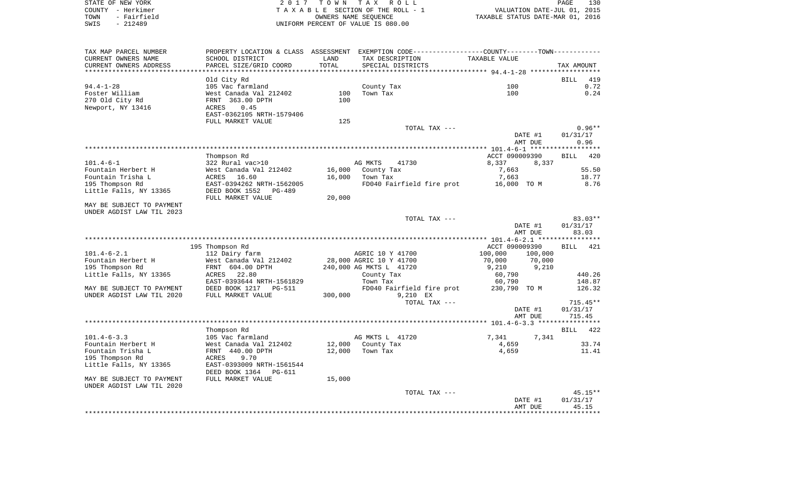| STATE OF NEW YORK   | 2017 TOWN TAX ROLL                 | 130<br>PAGE                      |
|---------------------|------------------------------------|----------------------------------|
| COUNTY – Herkimer   | TAXABLE SECTION OF THE ROLL - 1    | VALUATION DATE-JUL 01, 2015      |
| - Fairfield<br>TOWN | OWNERS NAME SEOUENCE               | TAXABLE STATUS DATE-MAR 01, 2016 |
| SWIS<br>- 212489    | UNIFORM PERCENT OF VALUE IS 080.00 |                                  |

| SCHOOL DISTRICT<br>TAX DESCRIPTION<br>TAXABLE VALUE<br>LAND<br>PARCEL SIZE/GRID COORD<br>TOTAL<br>SPECIAL DISTRICTS<br>TAX AMOUNT<br>Old City Rd<br>419<br>BILL<br>0.72<br>105 Vac farmland<br>County Tax<br>100<br>West Canada Val 212402<br>Town Tax<br>100<br>0.24<br>100<br>270 Old City Rd<br>FRNT 363.00 DPTH<br>100<br>Newport, NY 13416<br>0.45<br>ACRES<br>EAST-0362105 NRTH-1579406<br>125<br>FULL MARKET VALUE<br>$0.96**$<br>TOTAL TAX ---<br>DATE #1<br>01/31/17<br>AMT DUE<br>0.96<br>******************<br>Thompson Rd<br>ACCT 090009390<br><b>BILL</b><br>420<br>322 Rural vac>10<br>8,337<br>$101.4 - 6 - 1$<br>AG MKTS<br>41730<br>8,337<br>Fountain Herbert H<br>West Canada Val 212402<br>16,000<br>County Tax<br>7,663<br>55.50<br>Fountain Trisha L<br>ACRES<br>16.60<br>16,000<br>Town Tax<br>7,663<br>18.77<br>195 Thompson Rd<br>EAST-0394262 NRTH-1562005<br>FD040 Fairfield fire prot<br>8.76<br>16,000 TO M<br>Little Falls, NY 13365<br>DEED BOOK 1552<br>PG-489<br>20,000<br>FULL MARKET VALUE<br>MAY BE SUBJECT TO PAYMENT<br>$83.03**$<br>TOTAL TAX ---<br>01/31/17<br>DATE #1<br>AMT DUE<br>83.03<br>195 Thompson Rd<br>ACCT 090009390<br>421<br>BILL<br>112 Dairy farm<br>AGRIC 10 Y 41700<br>100,000<br>100,000<br>West Canada Val 212402<br>28,000 AGRIC 10 Y 41700<br>70,000<br>70,000<br>9,210<br>FRNT 604.00 DPTH<br>240,000 AG MKTS L 41720<br>9,210<br>440.26<br>22.80<br>60,790<br>ACRES<br>County Tax<br>148.87<br>EAST-0393644 NRTH-1561829<br>Town Tax<br>60,790<br>DEED BOOK 1217<br>PG-511<br>FD040 Fairfield fire prot<br>230,790 TO M<br>126.32<br>300,000<br>FULL MARKET VALUE<br>9,210 EX<br>TOTAL TAX ---<br>$715.45**$<br>DATE #1<br>01/31/17<br>AMT DUE<br>715.45<br>Thompson Rd<br><b>BILL</b><br>422<br>AG MKTS L 41720<br>7,341<br>105 Vac farmland<br>7,341<br>12,000<br>County Tax<br>33.74<br>West Canada Val 212402<br>4,659<br>4,659<br>FRNT 440.00 DPTH<br>12,000<br>Town Tax<br>11.41<br>9.70<br>ACRES<br>EAST-0393009 NRTH-1561544<br>DEED BOOK 1364<br><b>PG-611</b><br>15,000<br>FULL MARKET VALUE<br>$45.15**$<br>TOTAL TAX ---<br>01/31/17<br>DATE #1<br>AMT DUE<br>45.15 | TAX MAP PARCEL NUMBER     |  | PROPERTY LOCATION & CLASS ASSESSMENT EXEMPTION CODE----------------COUNTY--------TOWN---------- |  |
|------------------------------------------------------------------------------------------------------------------------------------------------------------------------------------------------------------------------------------------------------------------------------------------------------------------------------------------------------------------------------------------------------------------------------------------------------------------------------------------------------------------------------------------------------------------------------------------------------------------------------------------------------------------------------------------------------------------------------------------------------------------------------------------------------------------------------------------------------------------------------------------------------------------------------------------------------------------------------------------------------------------------------------------------------------------------------------------------------------------------------------------------------------------------------------------------------------------------------------------------------------------------------------------------------------------------------------------------------------------------------------------------------------------------------------------------------------------------------------------------------------------------------------------------------------------------------------------------------------------------------------------------------------------------------------------------------------------------------------------------------------------------------------------------------------------------------------------------------------------------------------------------------------------------------------------------------------------------------------------------------------------------------------------------------------------------------------------------------------------------------------------------|---------------------------|--|-------------------------------------------------------------------------------------------------|--|
|                                                                                                                                                                                                                                                                                                                                                                                                                                                                                                                                                                                                                                                                                                                                                                                                                                                                                                                                                                                                                                                                                                                                                                                                                                                                                                                                                                                                                                                                                                                                                                                                                                                                                                                                                                                                                                                                                                                                                                                                                                                                                                                                                | CURRENT OWNERS NAME       |  |                                                                                                 |  |
|                                                                                                                                                                                                                                                                                                                                                                                                                                                                                                                                                                                                                                                                                                                                                                                                                                                                                                                                                                                                                                                                                                                                                                                                                                                                                                                                                                                                                                                                                                                                                                                                                                                                                                                                                                                                                                                                                                                                                                                                                                                                                                                                                | CURRENT OWNERS ADDRESS    |  |                                                                                                 |  |
|                                                                                                                                                                                                                                                                                                                                                                                                                                                                                                                                                                                                                                                                                                                                                                                                                                                                                                                                                                                                                                                                                                                                                                                                                                                                                                                                                                                                                                                                                                                                                                                                                                                                                                                                                                                                                                                                                                                                                                                                                                                                                                                                                |                           |  |                                                                                                 |  |
|                                                                                                                                                                                                                                                                                                                                                                                                                                                                                                                                                                                                                                                                                                                                                                                                                                                                                                                                                                                                                                                                                                                                                                                                                                                                                                                                                                                                                                                                                                                                                                                                                                                                                                                                                                                                                                                                                                                                                                                                                                                                                                                                                |                           |  |                                                                                                 |  |
|                                                                                                                                                                                                                                                                                                                                                                                                                                                                                                                                                                                                                                                                                                                                                                                                                                                                                                                                                                                                                                                                                                                                                                                                                                                                                                                                                                                                                                                                                                                                                                                                                                                                                                                                                                                                                                                                                                                                                                                                                                                                                                                                                | $94.4 - 1 - 28$           |  |                                                                                                 |  |
|                                                                                                                                                                                                                                                                                                                                                                                                                                                                                                                                                                                                                                                                                                                                                                                                                                                                                                                                                                                                                                                                                                                                                                                                                                                                                                                                                                                                                                                                                                                                                                                                                                                                                                                                                                                                                                                                                                                                                                                                                                                                                                                                                | Foster William            |  |                                                                                                 |  |
|                                                                                                                                                                                                                                                                                                                                                                                                                                                                                                                                                                                                                                                                                                                                                                                                                                                                                                                                                                                                                                                                                                                                                                                                                                                                                                                                                                                                                                                                                                                                                                                                                                                                                                                                                                                                                                                                                                                                                                                                                                                                                                                                                |                           |  |                                                                                                 |  |
|                                                                                                                                                                                                                                                                                                                                                                                                                                                                                                                                                                                                                                                                                                                                                                                                                                                                                                                                                                                                                                                                                                                                                                                                                                                                                                                                                                                                                                                                                                                                                                                                                                                                                                                                                                                                                                                                                                                                                                                                                                                                                                                                                |                           |  |                                                                                                 |  |
|                                                                                                                                                                                                                                                                                                                                                                                                                                                                                                                                                                                                                                                                                                                                                                                                                                                                                                                                                                                                                                                                                                                                                                                                                                                                                                                                                                                                                                                                                                                                                                                                                                                                                                                                                                                                                                                                                                                                                                                                                                                                                                                                                |                           |  |                                                                                                 |  |
|                                                                                                                                                                                                                                                                                                                                                                                                                                                                                                                                                                                                                                                                                                                                                                                                                                                                                                                                                                                                                                                                                                                                                                                                                                                                                                                                                                                                                                                                                                                                                                                                                                                                                                                                                                                                                                                                                                                                                                                                                                                                                                                                                |                           |  |                                                                                                 |  |
|                                                                                                                                                                                                                                                                                                                                                                                                                                                                                                                                                                                                                                                                                                                                                                                                                                                                                                                                                                                                                                                                                                                                                                                                                                                                                                                                                                                                                                                                                                                                                                                                                                                                                                                                                                                                                                                                                                                                                                                                                                                                                                                                                |                           |  |                                                                                                 |  |
|                                                                                                                                                                                                                                                                                                                                                                                                                                                                                                                                                                                                                                                                                                                                                                                                                                                                                                                                                                                                                                                                                                                                                                                                                                                                                                                                                                                                                                                                                                                                                                                                                                                                                                                                                                                                                                                                                                                                                                                                                                                                                                                                                |                           |  |                                                                                                 |  |
|                                                                                                                                                                                                                                                                                                                                                                                                                                                                                                                                                                                                                                                                                                                                                                                                                                                                                                                                                                                                                                                                                                                                                                                                                                                                                                                                                                                                                                                                                                                                                                                                                                                                                                                                                                                                                                                                                                                                                                                                                                                                                                                                                |                           |  |                                                                                                 |  |
|                                                                                                                                                                                                                                                                                                                                                                                                                                                                                                                                                                                                                                                                                                                                                                                                                                                                                                                                                                                                                                                                                                                                                                                                                                                                                                                                                                                                                                                                                                                                                                                                                                                                                                                                                                                                                                                                                                                                                                                                                                                                                                                                                |                           |  |                                                                                                 |  |
|                                                                                                                                                                                                                                                                                                                                                                                                                                                                                                                                                                                                                                                                                                                                                                                                                                                                                                                                                                                                                                                                                                                                                                                                                                                                                                                                                                                                                                                                                                                                                                                                                                                                                                                                                                                                                                                                                                                                                                                                                                                                                                                                                |                           |  |                                                                                                 |  |
|                                                                                                                                                                                                                                                                                                                                                                                                                                                                                                                                                                                                                                                                                                                                                                                                                                                                                                                                                                                                                                                                                                                                                                                                                                                                                                                                                                                                                                                                                                                                                                                                                                                                                                                                                                                                                                                                                                                                                                                                                                                                                                                                                |                           |  |                                                                                                 |  |
|                                                                                                                                                                                                                                                                                                                                                                                                                                                                                                                                                                                                                                                                                                                                                                                                                                                                                                                                                                                                                                                                                                                                                                                                                                                                                                                                                                                                                                                                                                                                                                                                                                                                                                                                                                                                                                                                                                                                                                                                                                                                                                                                                |                           |  |                                                                                                 |  |
|                                                                                                                                                                                                                                                                                                                                                                                                                                                                                                                                                                                                                                                                                                                                                                                                                                                                                                                                                                                                                                                                                                                                                                                                                                                                                                                                                                                                                                                                                                                                                                                                                                                                                                                                                                                                                                                                                                                                                                                                                                                                                                                                                |                           |  |                                                                                                 |  |
|                                                                                                                                                                                                                                                                                                                                                                                                                                                                                                                                                                                                                                                                                                                                                                                                                                                                                                                                                                                                                                                                                                                                                                                                                                                                                                                                                                                                                                                                                                                                                                                                                                                                                                                                                                                                                                                                                                                                                                                                                                                                                                                                                |                           |  |                                                                                                 |  |
|                                                                                                                                                                                                                                                                                                                                                                                                                                                                                                                                                                                                                                                                                                                                                                                                                                                                                                                                                                                                                                                                                                                                                                                                                                                                                                                                                                                                                                                                                                                                                                                                                                                                                                                                                                                                                                                                                                                                                                                                                                                                                                                                                |                           |  |                                                                                                 |  |
|                                                                                                                                                                                                                                                                                                                                                                                                                                                                                                                                                                                                                                                                                                                                                                                                                                                                                                                                                                                                                                                                                                                                                                                                                                                                                                                                                                                                                                                                                                                                                                                                                                                                                                                                                                                                                                                                                                                                                                                                                                                                                                                                                |                           |  |                                                                                                 |  |
|                                                                                                                                                                                                                                                                                                                                                                                                                                                                                                                                                                                                                                                                                                                                                                                                                                                                                                                                                                                                                                                                                                                                                                                                                                                                                                                                                                                                                                                                                                                                                                                                                                                                                                                                                                                                                                                                                                                                                                                                                                                                                                                                                |                           |  |                                                                                                 |  |
|                                                                                                                                                                                                                                                                                                                                                                                                                                                                                                                                                                                                                                                                                                                                                                                                                                                                                                                                                                                                                                                                                                                                                                                                                                                                                                                                                                                                                                                                                                                                                                                                                                                                                                                                                                                                                                                                                                                                                                                                                                                                                                                                                | UNDER AGDIST LAW TIL 2023 |  |                                                                                                 |  |
|                                                                                                                                                                                                                                                                                                                                                                                                                                                                                                                                                                                                                                                                                                                                                                                                                                                                                                                                                                                                                                                                                                                                                                                                                                                                                                                                                                                                                                                                                                                                                                                                                                                                                                                                                                                                                                                                                                                                                                                                                                                                                                                                                |                           |  |                                                                                                 |  |
|                                                                                                                                                                                                                                                                                                                                                                                                                                                                                                                                                                                                                                                                                                                                                                                                                                                                                                                                                                                                                                                                                                                                                                                                                                                                                                                                                                                                                                                                                                                                                                                                                                                                                                                                                                                                                                                                                                                                                                                                                                                                                                                                                |                           |  |                                                                                                 |  |
|                                                                                                                                                                                                                                                                                                                                                                                                                                                                                                                                                                                                                                                                                                                                                                                                                                                                                                                                                                                                                                                                                                                                                                                                                                                                                                                                                                                                                                                                                                                                                                                                                                                                                                                                                                                                                                                                                                                                                                                                                                                                                                                                                |                           |  |                                                                                                 |  |
|                                                                                                                                                                                                                                                                                                                                                                                                                                                                                                                                                                                                                                                                                                                                                                                                                                                                                                                                                                                                                                                                                                                                                                                                                                                                                                                                                                                                                                                                                                                                                                                                                                                                                                                                                                                                                                                                                                                                                                                                                                                                                                                                                |                           |  |                                                                                                 |  |
|                                                                                                                                                                                                                                                                                                                                                                                                                                                                                                                                                                                                                                                                                                                                                                                                                                                                                                                                                                                                                                                                                                                                                                                                                                                                                                                                                                                                                                                                                                                                                                                                                                                                                                                                                                                                                                                                                                                                                                                                                                                                                                                                                |                           |  |                                                                                                 |  |
|                                                                                                                                                                                                                                                                                                                                                                                                                                                                                                                                                                                                                                                                                                                                                                                                                                                                                                                                                                                                                                                                                                                                                                                                                                                                                                                                                                                                                                                                                                                                                                                                                                                                                                                                                                                                                                                                                                                                                                                                                                                                                                                                                | $101.4 - 6 - 2.1$         |  |                                                                                                 |  |
|                                                                                                                                                                                                                                                                                                                                                                                                                                                                                                                                                                                                                                                                                                                                                                                                                                                                                                                                                                                                                                                                                                                                                                                                                                                                                                                                                                                                                                                                                                                                                                                                                                                                                                                                                                                                                                                                                                                                                                                                                                                                                                                                                | Fountain Herbert H        |  |                                                                                                 |  |
|                                                                                                                                                                                                                                                                                                                                                                                                                                                                                                                                                                                                                                                                                                                                                                                                                                                                                                                                                                                                                                                                                                                                                                                                                                                                                                                                                                                                                                                                                                                                                                                                                                                                                                                                                                                                                                                                                                                                                                                                                                                                                                                                                | 195 Thompson Rd           |  |                                                                                                 |  |
|                                                                                                                                                                                                                                                                                                                                                                                                                                                                                                                                                                                                                                                                                                                                                                                                                                                                                                                                                                                                                                                                                                                                                                                                                                                                                                                                                                                                                                                                                                                                                                                                                                                                                                                                                                                                                                                                                                                                                                                                                                                                                                                                                | Little Falls, NY 13365    |  |                                                                                                 |  |
|                                                                                                                                                                                                                                                                                                                                                                                                                                                                                                                                                                                                                                                                                                                                                                                                                                                                                                                                                                                                                                                                                                                                                                                                                                                                                                                                                                                                                                                                                                                                                                                                                                                                                                                                                                                                                                                                                                                                                                                                                                                                                                                                                |                           |  |                                                                                                 |  |
|                                                                                                                                                                                                                                                                                                                                                                                                                                                                                                                                                                                                                                                                                                                                                                                                                                                                                                                                                                                                                                                                                                                                                                                                                                                                                                                                                                                                                                                                                                                                                                                                                                                                                                                                                                                                                                                                                                                                                                                                                                                                                                                                                | MAY BE SUBJECT TO PAYMENT |  |                                                                                                 |  |
|                                                                                                                                                                                                                                                                                                                                                                                                                                                                                                                                                                                                                                                                                                                                                                                                                                                                                                                                                                                                                                                                                                                                                                                                                                                                                                                                                                                                                                                                                                                                                                                                                                                                                                                                                                                                                                                                                                                                                                                                                                                                                                                                                | UNDER AGDIST LAW TIL 2020 |  |                                                                                                 |  |
|                                                                                                                                                                                                                                                                                                                                                                                                                                                                                                                                                                                                                                                                                                                                                                                                                                                                                                                                                                                                                                                                                                                                                                                                                                                                                                                                                                                                                                                                                                                                                                                                                                                                                                                                                                                                                                                                                                                                                                                                                                                                                                                                                |                           |  |                                                                                                 |  |
|                                                                                                                                                                                                                                                                                                                                                                                                                                                                                                                                                                                                                                                                                                                                                                                                                                                                                                                                                                                                                                                                                                                                                                                                                                                                                                                                                                                                                                                                                                                                                                                                                                                                                                                                                                                                                                                                                                                                                                                                                                                                                                                                                |                           |  |                                                                                                 |  |
|                                                                                                                                                                                                                                                                                                                                                                                                                                                                                                                                                                                                                                                                                                                                                                                                                                                                                                                                                                                                                                                                                                                                                                                                                                                                                                                                                                                                                                                                                                                                                                                                                                                                                                                                                                                                                                                                                                                                                                                                                                                                                                                                                |                           |  |                                                                                                 |  |
|                                                                                                                                                                                                                                                                                                                                                                                                                                                                                                                                                                                                                                                                                                                                                                                                                                                                                                                                                                                                                                                                                                                                                                                                                                                                                                                                                                                                                                                                                                                                                                                                                                                                                                                                                                                                                                                                                                                                                                                                                                                                                                                                                |                           |  |                                                                                                 |  |
|                                                                                                                                                                                                                                                                                                                                                                                                                                                                                                                                                                                                                                                                                                                                                                                                                                                                                                                                                                                                                                                                                                                                                                                                                                                                                                                                                                                                                                                                                                                                                                                                                                                                                                                                                                                                                                                                                                                                                                                                                                                                                                                                                |                           |  |                                                                                                 |  |
|                                                                                                                                                                                                                                                                                                                                                                                                                                                                                                                                                                                                                                                                                                                                                                                                                                                                                                                                                                                                                                                                                                                                                                                                                                                                                                                                                                                                                                                                                                                                                                                                                                                                                                                                                                                                                                                                                                                                                                                                                                                                                                                                                | $101.4 - 6 - 3.3$         |  |                                                                                                 |  |
|                                                                                                                                                                                                                                                                                                                                                                                                                                                                                                                                                                                                                                                                                                                                                                                                                                                                                                                                                                                                                                                                                                                                                                                                                                                                                                                                                                                                                                                                                                                                                                                                                                                                                                                                                                                                                                                                                                                                                                                                                                                                                                                                                | Fountain Herbert H        |  |                                                                                                 |  |
|                                                                                                                                                                                                                                                                                                                                                                                                                                                                                                                                                                                                                                                                                                                                                                                                                                                                                                                                                                                                                                                                                                                                                                                                                                                                                                                                                                                                                                                                                                                                                                                                                                                                                                                                                                                                                                                                                                                                                                                                                                                                                                                                                | Fountain Trisha L         |  |                                                                                                 |  |
|                                                                                                                                                                                                                                                                                                                                                                                                                                                                                                                                                                                                                                                                                                                                                                                                                                                                                                                                                                                                                                                                                                                                                                                                                                                                                                                                                                                                                                                                                                                                                                                                                                                                                                                                                                                                                                                                                                                                                                                                                                                                                                                                                | 195 Thompson Rd           |  |                                                                                                 |  |
|                                                                                                                                                                                                                                                                                                                                                                                                                                                                                                                                                                                                                                                                                                                                                                                                                                                                                                                                                                                                                                                                                                                                                                                                                                                                                                                                                                                                                                                                                                                                                                                                                                                                                                                                                                                                                                                                                                                                                                                                                                                                                                                                                | Little Falls, NY 13365    |  |                                                                                                 |  |
|                                                                                                                                                                                                                                                                                                                                                                                                                                                                                                                                                                                                                                                                                                                                                                                                                                                                                                                                                                                                                                                                                                                                                                                                                                                                                                                                                                                                                                                                                                                                                                                                                                                                                                                                                                                                                                                                                                                                                                                                                                                                                                                                                |                           |  |                                                                                                 |  |
|                                                                                                                                                                                                                                                                                                                                                                                                                                                                                                                                                                                                                                                                                                                                                                                                                                                                                                                                                                                                                                                                                                                                                                                                                                                                                                                                                                                                                                                                                                                                                                                                                                                                                                                                                                                                                                                                                                                                                                                                                                                                                                                                                | MAY BE SUBJECT TO PAYMENT |  |                                                                                                 |  |
|                                                                                                                                                                                                                                                                                                                                                                                                                                                                                                                                                                                                                                                                                                                                                                                                                                                                                                                                                                                                                                                                                                                                                                                                                                                                                                                                                                                                                                                                                                                                                                                                                                                                                                                                                                                                                                                                                                                                                                                                                                                                                                                                                | UNDER AGDIST LAW TIL 2020 |  |                                                                                                 |  |
|                                                                                                                                                                                                                                                                                                                                                                                                                                                                                                                                                                                                                                                                                                                                                                                                                                                                                                                                                                                                                                                                                                                                                                                                                                                                                                                                                                                                                                                                                                                                                                                                                                                                                                                                                                                                                                                                                                                                                                                                                                                                                                                                                |                           |  |                                                                                                 |  |
|                                                                                                                                                                                                                                                                                                                                                                                                                                                                                                                                                                                                                                                                                                                                                                                                                                                                                                                                                                                                                                                                                                                                                                                                                                                                                                                                                                                                                                                                                                                                                                                                                                                                                                                                                                                                                                                                                                                                                                                                                                                                                                                                                |                           |  |                                                                                                 |  |
|                                                                                                                                                                                                                                                                                                                                                                                                                                                                                                                                                                                                                                                                                                                                                                                                                                                                                                                                                                                                                                                                                                                                                                                                                                                                                                                                                                                                                                                                                                                                                                                                                                                                                                                                                                                                                                                                                                                                                                                                                                                                                                                                                |                           |  |                                                                                                 |  |
|                                                                                                                                                                                                                                                                                                                                                                                                                                                                                                                                                                                                                                                                                                                                                                                                                                                                                                                                                                                                                                                                                                                                                                                                                                                                                                                                                                                                                                                                                                                                                                                                                                                                                                                                                                                                                                                                                                                                                                                                                                                                                                                                                |                           |  |                                                                                                 |  |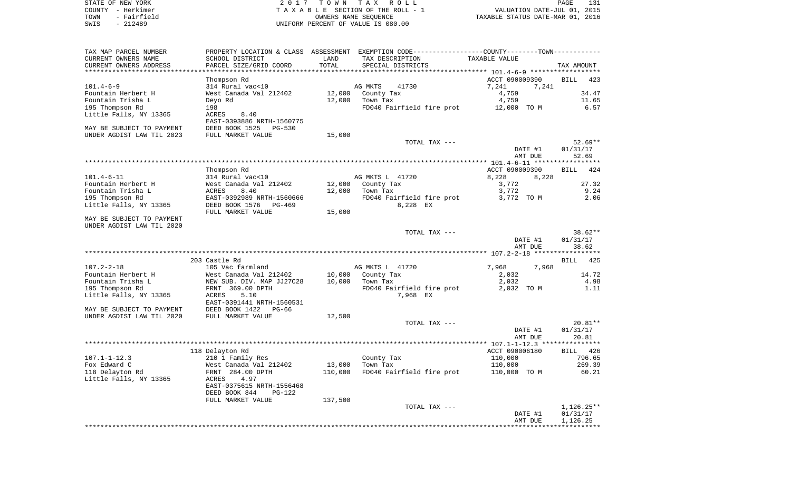| STATE OF NEW YORK   | 2017 TOWN TAX ROLL                 | 131<br>PAGE                      |
|---------------------|------------------------------------|----------------------------------|
| COUNTY - Herkimer   | TAXABLE SECTION OF THE ROLL - 1    | VALUATION DATE-JUL 01, 2015      |
| - Fairfield<br>TOWN | OWNERS NAME SEOUENCE               | TAXABLE STATUS DATE-MAR 01, 2016 |
| - 212489<br>SWIS    | UNIFORM PERCENT OF VALUE IS 080.00 |                                  |
|                     |                                    |                                  |

| TAX MAP PARCEL NUMBER     |                                |         | PROPERTY LOCATION & CLASS ASSESSMENT EXEMPTION CODE----------------COUNTY-------TOWN---------- |                                        |                    |
|---------------------------|--------------------------------|---------|------------------------------------------------------------------------------------------------|----------------------------------------|--------------------|
| CURRENT OWNERS NAME       | SCHOOL DISTRICT                | LAND    | TAX DESCRIPTION                                                                                | TAXABLE VALUE                          |                    |
| CURRENT OWNERS ADDRESS    | PARCEL SIZE/GRID COORD         | TOTAL   | SPECIAL DISTRICTS                                                                              |                                        | TAX AMOUNT         |
|                           |                                |         |                                                                                                | *************** 101.4-6-9 ************ |                    |
|                           | Thompson Rd                    |         |                                                                                                | ACCT 090009390                         | <b>BILL</b><br>423 |
| $101.4 - 6 - 9$           | 314 Rural vac<10               |         | AG MKTS<br>41730                                                                               | 7,241<br>7,241                         |                    |
| Fountain Herbert H        | West Canada Val 212402         | 12,000  | County Tax                                                                                     | 4,759                                  | 34.47              |
| Fountain Trisha L         | Deyo Rd                        | 12,000  | Town Tax                                                                                       | 4,759                                  | 11.65              |
| 195 Thompson Rd           | 198                            |         | FD040 Fairfield fire prot                                                                      | 12,000 TO M                            | 6.57               |
| Little Falls, NY 13365    | ACRES<br>8.40                  |         |                                                                                                |                                        |                    |
|                           | EAST-0393886 NRTH-1560775      |         |                                                                                                |                                        |                    |
| MAY BE SUBJECT TO PAYMENT | DEED BOOK 1525<br>$PG-530$     |         |                                                                                                |                                        |                    |
| UNDER AGDIST LAW TIL 2023 | FULL MARKET VALUE              | 15,000  |                                                                                                |                                        |                    |
|                           |                                |         | TOTAL TAX ---                                                                                  |                                        | $52.69**$          |
|                           |                                |         |                                                                                                | DATE #1                                | 01/31/17           |
|                           |                                |         |                                                                                                | AMT DUE                                | 52.69              |
|                           |                                |         |                                                                                                |                                        |                    |
|                           | Thompson Rd                    |         |                                                                                                | ACCT 090009390                         | 424<br><b>BILL</b> |
| $101.4 - 6 - 11$          | 314 Rural vac<10               |         | AG MKTS L 41720                                                                                | 8,228<br>8,228                         |                    |
| Fountain Herbert H        | West Canada Val 212402         | 12,000  | County Tax                                                                                     | 3,772                                  | 27.32              |
| Fountain Trisha L         | ACRES<br>8.40                  | 12,000  | Town Tax                                                                                       | 3,772                                  | 9.24               |
| 195 Thompson Rd           | EAST-0392989 NRTH-1560666      |         | FD040 Fairfield fire prot                                                                      | 3,772 TO M                             | 2.06               |
| Little Falls, NY 13365    | DEED BOOK 1576<br>PG-469       |         | 8,228 EX                                                                                       |                                        |                    |
|                           | FULL MARKET VALUE              | 15,000  |                                                                                                |                                        |                    |
| MAY BE SUBJECT TO PAYMENT |                                |         |                                                                                                |                                        |                    |
| UNDER AGDIST LAW TIL 2020 |                                |         |                                                                                                |                                        |                    |
|                           |                                |         | TOTAL TAX ---                                                                                  |                                        | $38.62**$          |
|                           |                                |         |                                                                                                | DATE #1                                | 01/31/17           |
|                           |                                |         |                                                                                                | AMT DUE                                | 38.62              |
|                           |                                |         |                                                                                                |                                        |                    |
|                           | 203 Castle Rd                  |         |                                                                                                |                                        | <b>BILL</b><br>425 |
| $107.2 - 2 - 18$          | 105 Vac farmland               |         | AG MKTS L 41720                                                                                | 7,968<br>7,968                         |                    |
| Fountain Herbert H        | West Canada Val 212402         | 10,000  |                                                                                                |                                        | 14.72              |
|                           |                                |         | County Tax                                                                                     | 2,032                                  |                    |
| Fountain Trisha L         | NEW SUB. DIV. MAP JJ27C28      | 10,000  | Town Tax                                                                                       | 2,032                                  | 4.98               |
| 195 Thompson Rd           | FRNT 369.00 DPTH               |         | FD040 Fairfield fire prot                                                                      | 2,032 TO M                             | 1.11               |
| Little Falls, NY 13365    | ACRES<br>5.10                  |         | 7,968 EX                                                                                       |                                        |                    |
|                           | EAST-0391441 NRTH-1560531      |         |                                                                                                |                                        |                    |
| MAY BE SUBJECT TO PAYMENT | DEED BOOK 1422<br>PG-66        |         |                                                                                                |                                        |                    |
| UNDER AGDIST LAW TIL 2020 | FULL MARKET VALUE              | 12,500  |                                                                                                |                                        |                    |
|                           |                                |         | TOTAL TAX ---                                                                                  |                                        | $20.81**$          |
|                           |                                |         |                                                                                                | DATE #1                                | 01/31/17           |
|                           |                                |         |                                                                                                | AMT DUE                                | 20.81              |
|                           |                                |         |                                                                                                |                                        |                    |
|                           | 118 Delayton Rd                |         |                                                                                                | ACCT 090006180                         | BILL 426           |
| $107.1 - 1 - 12.3$        | 210 1 Family Res               |         | County Tax                                                                                     | 110,000                                | 796.65             |
| Fox Edward C              | West Canada Val 212402         | 13,000  | Town Tax                                                                                       | 110,000                                | 269.39             |
| 118 Delayton Rd           | FRNT 284.00 DPTH               | 110,000 | FD040 Fairfield fire prot                                                                      | 110,000 TO M                           | 60.21              |
| Little Falls, NY 13365    | ACRES<br>4.97                  |         |                                                                                                |                                        |                    |
|                           | EAST-0375615 NRTH-1556468      |         |                                                                                                |                                        |                    |
|                           | DEED BOOK 844<br><b>PG-122</b> |         |                                                                                                |                                        |                    |
|                           | FULL MARKET VALUE              | 137,500 |                                                                                                |                                        |                    |
|                           |                                |         | TOTAL TAX ---                                                                                  |                                        | $1,126.25**$       |
|                           |                                |         |                                                                                                | DATE #1                                | 01/31/17           |
|                           |                                |         |                                                                                                | AMT DUE                                | 1,126.25           |
|                           |                                |         |                                                                                                |                                        |                    |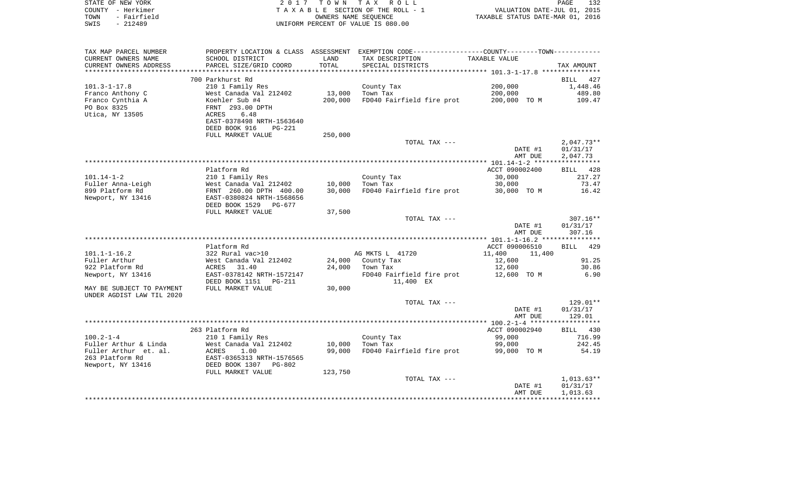|      | STATE OF NEW YORK | 2017 TOWN TAX ROLL                 | PAGE                             | 132 |
|------|-------------------|------------------------------------|----------------------------------|-----|
|      | COUNTY - Herkimer | TAXABLE SECTION OF THE ROLL - 1    | VALUATION DATE-JUL 01, 2015      |     |
| TOWN | - Fairfield       | OWNERS NAME SEOUENCE               | TAXABLE STATUS DATE-MAR 01, 2016 |     |
| SWIS | - 212489          | UNIFORM PERCENT OF VALUE IS 080.00 |                                  |     |

| TAX MAP PARCEL NUMBER     | PROPERTY LOCATION & CLASS ASSESSMENT |         | EXEMPTION CODE-----------------COUNTY-------TOWN----------- |                  |                    |
|---------------------------|--------------------------------------|---------|-------------------------------------------------------------|------------------|--------------------|
| CURRENT OWNERS NAME       | SCHOOL DISTRICT                      | LAND    | TAX DESCRIPTION                                             | TAXABLE VALUE    |                    |
| CURRENT OWNERS ADDRESS    | PARCEL SIZE/GRID COORD               | TOTAL   | SPECIAL DISTRICTS                                           |                  | TAX AMOUNT         |
| ********************      |                                      |         |                                                             |                  |                    |
|                           | 700 Parkhurst Rd                     |         |                                                             |                  | <b>BILL</b><br>427 |
| $101.3 - 1 - 17.8$        | 210 1 Family Res                     |         | County Tax                                                  | 200,000          | 1,448.46           |
| Franco Anthony C          | West Canada Val 212402               | 13,000  | Town Tax                                                    | 200,000          | 489.80             |
|                           |                                      |         |                                                             |                  |                    |
| Franco Cynthia A          | Koehler Sub #4                       | 200,000 | FD040 Fairfield fire prot                                   | 200,000 TO M     | 109.47             |
| PO Box 8325               | FRNT 293.00 DPTH                     |         |                                                             |                  |                    |
| Utica, NY 13505           | 6.48<br>ACRES                        |         |                                                             |                  |                    |
|                           | EAST-0378498 NRTH-1563640            |         |                                                             |                  |                    |
|                           | DEED BOOK 916<br>$PG-221$            |         |                                                             |                  |                    |
|                           | FULL MARKET VALUE                    | 250,000 |                                                             |                  |                    |
|                           |                                      |         | TOTAL TAX ---                                               |                  | $2,047.73**$       |
|                           |                                      |         |                                                             | DATE #1          | 01/31/17           |
|                           |                                      |         |                                                             | AMT DUE          | 2,047.73           |
|                           |                                      |         |                                                             |                  |                    |
|                           |                                      |         |                                                             | ACCT 090002400   |                    |
|                           | Platform Rd                          |         |                                                             |                  | BILL<br>428        |
| $101.14 - 1 - 2$          | 210 1 Family Res                     |         | County Tax                                                  | 30,000           | 217.27             |
| Fuller Anna-Leigh         | West Canada Val 212402               | 10,000  | Town Tax                                                    | 30,000           | 73.47              |
| 899 Platform Rd           | FRNT 260.00 DPTH 400.00              | 30,000  | FD040 Fairfield fire prot                                   | 30,000 TO M      | 16.42              |
| Newport, NY 13416         | EAST-0380824 NRTH-1568656            |         |                                                             |                  |                    |
|                           | DEED BOOK 1529<br>$PG-677$           |         |                                                             |                  |                    |
|                           | FULL MARKET VALUE                    | 37,500  |                                                             |                  |                    |
|                           |                                      |         | TOTAL TAX ---                                               |                  | $307.16**$         |
|                           |                                      |         |                                                             | DATE #1          | 01/31/17           |
|                           |                                      |         |                                                             | AMT DUE          | 307.16             |
|                           |                                      |         |                                                             |                  |                    |
|                           | Platform Rd                          |         |                                                             | ACCT 090006510   | BILL<br>429        |
|                           |                                      |         |                                                             |                  |                    |
| $101.1 - 1 - 16.2$        | 322 Rural vac>10                     |         | AG MKTS L 41720                                             | 11,400<br>11,400 |                    |
| Fuller Arthur             | West Canada Val 212402               | 24,000  | County Tax                                                  | 12,600           | 91.25              |
| 922 Platform Rd           | ACRES 31.40                          | 24,000  | Town Tax                                                    | 12,600           | 30.86              |
| Newport, NY 13416         | EAST-0378142 NRTH-1572147            |         | FD040 Fairfield fire prot                                   | 12,600 TO M      | 6.90               |
|                           | DEED BOOK 1151<br>PG-211             |         | 11,400 EX                                                   |                  |                    |
| MAY BE SUBJECT TO PAYMENT | FULL MARKET VALUE                    | 30,000  |                                                             |                  |                    |
| UNDER AGDIST LAW TIL 2020 |                                      |         |                                                             |                  |                    |
|                           |                                      |         | TOTAL TAX ---                                               |                  | 129.01**           |
|                           |                                      |         |                                                             | DATE #1          | 01/31/17           |
|                           |                                      |         |                                                             | AMT DUE          | 129.01             |
|                           |                                      |         |                                                             |                  |                    |
|                           |                                      |         |                                                             |                  |                    |
|                           | 263 Platform Rd                      |         |                                                             | ACCT 090002940   | BILL 430           |
| $100.2 - 1 - 4$           | 210 1 Family Res                     |         | County Tax                                                  | 99,000           | 716.99             |
| Fuller Arthur & Linda     | West Canada Val 212402               | 10,000  | Town Tax                                                    | 99,000           | 242.45             |
| Fuller Arthur et. al.     | 1.00<br>ACRES                        | 99,000  | FD040 Fairfield fire prot                                   | 99,000 TO M      | 54.19              |
| 263 Platform Rd           | EAST-0365313 NRTH-1576565            |         |                                                             |                  |                    |
| Newport, NY 13416         | DEED BOOK 1307<br>PG-802             |         |                                                             |                  |                    |
|                           | FULL MARKET VALUE                    | 123,750 |                                                             |                  |                    |
|                           |                                      |         | TOTAL TAX ---                                               |                  | $1,013.63**$       |
|                           |                                      |         |                                                             | DATE #1          | 01/31/17           |
|                           |                                      |         |                                                             | AMT DUE          | 1,013.63           |
|                           |                                      |         |                                                             |                  |                    |
|                           |                                      |         |                                                             |                  |                    |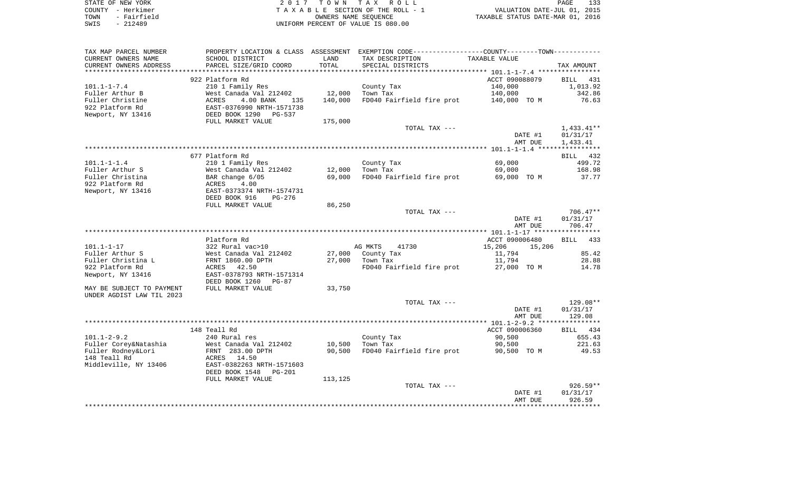|      | STATE OF NEW YORK | 2017 TOWN TAX ROLL                 | PAGE                             |
|------|-------------------|------------------------------------|----------------------------------|
|      | COUNTY - Herkimer | TAXABLE SECTION OF THE ROLL - 1    | VALUATION DATE-JUL 01, 2015      |
| TOWN | - Fairfield       | OWNERS NAME SEOUENCE               | TAXABLE STATUS DATE-MAR 01, 2016 |
| SWIS | $-212489$         | UNIFORM PERCENT OF VALUE IS 080.00 |                                  |

| TAX MAP PARCEL NUMBER     | PROPERTY LOCATION & CLASS ASSESSMENT |         | EXEMPTION CODE-----------------COUNTY-------TOWN----------- |                  |                    |
|---------------------------|--------------------------------------|---------|-------------------------------------------------------------|------------------|--------------------|
| CURRENT OWNERS NAME       | SCHOOL DISTRICT                      | LAND    | TAX DESCRIPTION                                             | TAXABLE VALUE    |                    |
| CURRENT OWNERS ADDRESS    | PARCEL SIZE/GRID COORD               | TOTAL   | SPECIAL DISTRICTS                                           |                  | TAX AMOUNT         |
|                           |                                      |         |                                                             |                  |                    |
|                           | 922 Platform Rd                      |         |                                                             | ACCT 090088079   | <b>BILL</b><br>431 |
| $101.1 - 1 - 7.4$         | 210 1 Family Res                     |         | County Tax                                                  | 140,000          | 1,013.92           |
| Fuller Arthur B           | West Canada Val 212402               | 12,000  | Town Tax                                                    | 140,000          | 342.86             |
| Fuller Christine          | <b>ACRES</b><br>4.00 BANK<br>135     | 140,000 | FD040 Fairfield fire prot                                   | 140,000 TO M     | 76.63              |
| 922 Platform Rd           | EAST-0376990 NRTH-1571738            |         |                                                             |                  |                    |
| Newport, NY 13416         | DEED BOOK 1290<br><b>PG-537</b>      |         |                                                             |                  |                    |
|                           | FULL MARKET VALUE                    | 175,000 |                                                             |                  |                    |
|                           |                                      |         | TOTAL TAX ---                                               |                  | $1,433.41**$       |
|                           |                                      |         |                                                             | DATE #1          | 01/31/17           |
|                           |                                      |         |                                                             | AMT DUE          | 1,433.41           |
|                           |                                      |         |                                                             |                  |                    |
|                           | 677 Platform Rd                      |         |                                                             |                  | BILL 432           |
| $101.1 - 1 - 1.4$         | 210 1 Family Res                     |         | County Tax                                                  | 69,000           | 499.72             |
| Fuller Arthur S           | West Canada Val 212402               | 12,000  | Town Tax                                                    | 69,000           | 168.98             |
| Fuller Christina          | BAR change 6/05                      | 69,000  | FD040 Fairfield fire prot                                   | 69,000 TO M      | 37.77              |
| 922 Platform Rd           | ACRES<br>4.00                        |         |                                                             |                  |                    |
| Newport, NY 13416         | EAST-0373374 NRTH-1574731            |         |                                                             |                  |                    |
|                           | DEED BOOK 916<br><b>PG-276</b>       |         |                                                             |                  |                    |
|                           | FULL MARKET VALUE                    | 86,250  |                                                             |                  |                    |
|                           |                                      |         | TOTAL TAX ---                                               |                  | $706.47**$         |
|                           |                                      |         |                                                             | DATE #1          | 01/31/17           |
|                           |                                      |         |                                                             | AMT DUE          | 706.47             |
|                           |                                      |         |                                                             |                  |                    |
|                           | Platform Rd                          |         |                                                             | ACCT 090006480   | 433<br>BILL        |
| $101.1 - 1 - 17$          | 322 Rural vac>10                     |         | AG MKTS<br>41730                                            | 15,206<br>15,206 |                    |
| Fuller Arthur S           | West Canada Val 212402               | 27,000  | County Tax                                                  | 11,794           | 85.42              |
| Fuller Christina L        | FRNT 1860.00 DPTH                    | 27,000  | Town Tax                                                    | 11,794           | 28.88              |
| 922 Platform Rd           | 42.50<br>ACRES                       |         | FD040 Fairfield fire prot                                   | 27,000 TO M      | 14.78              |
| Newport, NY 13416         | EAST-0378793 NRTH-1571314            |         |                                                             |                  |                    |
|                           | DEED BOOK 1260<br>$PG-87$            |         |                                                             |                  |                    |
| MAY BE SUBJECT TO PAYMENT | FULL MARKET VALUE                    | 33,750  |                                                             |                  |                    |
| UNDER AGDIST LAW TIL 2023 |                                      |         |                                                             |                  |                    |
|                           |                                      |         | TOTAL TAX ---                                               |                  | $129.08**$         |
|                           |                                      |         |                                                             | DATE #1          | 01/31/17           |
|                           |                                      |         |                                                             | AMT DUE          | 129.08             |
|                           |                                      |         |                                                             |                  |                    |
|                           | 148 Teall Rd                         |         |                                                             | ACCT 090006360   | BILL 434           |
| $101.1 - 2 - 9.2$         | 240 Rural res                        |         | County Tax                                                  | 90,500           | 655.43             |
| Fuller Corey&Natashia     | West Canada Val 212402               | 10,500  | Town Tax                                                    | 90,500           | 221.63             |
| Fuller Rodney&Lori        | FRNT 283.00 DPTH                     | 90,500  | FD040 Fairfield fire prot                                   | 90,500 TO M      | 49.53              |
| 148 Teall Rd              | ACRES<br>14.50                       |         |                                                             |                  |                    |
| Middleville, NY 13406     | EAST-0382263 NRTH-1571603            |         |                                                             |                  |                    |
|                           | DEED BOOK 1548<br>$PG-201$           |         |                                                             |                  |                    |
|                           | FULL MARKET VALUE                    | 113,125 |                                                             |                  |                    |
|                           |                                      |         | TOTAL TAX ---                                               |                  | $926.59**$         |
|                           |                                      |         |                                                             | DATE #1          | 01/31/17           |
|                           |                                      |         |                                                             | AMT DUE          | 926.59             |
|                           |                                      |         |                                                             |                  |                    |
|                           |                                      |         |                                                             |                  |                    |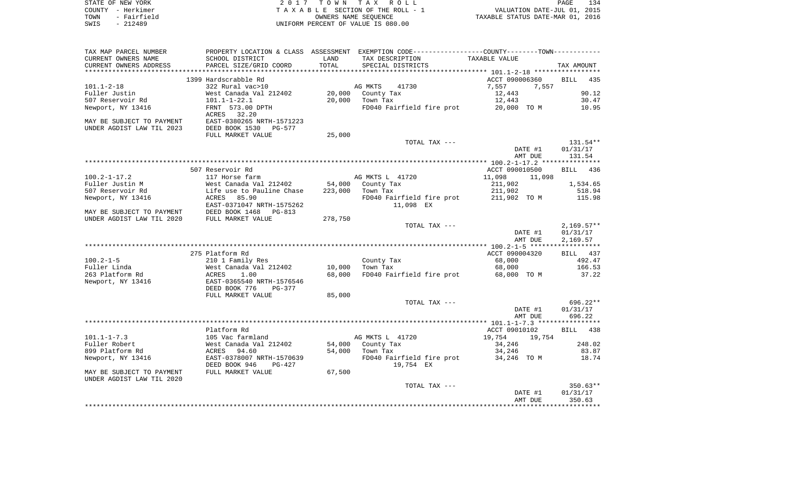| STATE OF NEW YORK   | 2017 TOWN TAX ROLL                 | 134<br>PAGE                      |
|---------------------|------------------------------------|----------------------------------|
| COUNTY - Herkimer   | TAXABLE SECTION OF THE ROLL - 1    | VALUATION DATE-JUL 01, 2015      |
| - Fairfield<br>TOWN | OWNERS NAME SEOUENCE               | TAXABLE STATUS DATE-MAR 01, 2016 |
| SWIS<br>- 212489    | UNIFORM PERCENT OF VALUE IS 080.00 |                                  |
|                     |                                    |                                  |

| TAX MAP PARCEL NUMBER     |                                |         | PROPERTY LOCATION & CLASS ASSESSMENT EXEMPTION CODE----------------COUNTY-------TOWN-------- |                  |                    |
|---------------------------|--------------------------------|---------|----------------------------------------------------------------------------------------------|------------------|--------------------|
| CURRENT OWNERS NAME       | SCHOOL DISTRICT                | LAND    | TAX DESCRIPTION                                                                              | TAXABLE VALUE    |                    |
| CURRENT OWNERS ADDRESS    | PARCEL SIZE/GRID COORD         | TOTAL   | SPECIAL DISTRICTS                                                                            |                  | TAX AMOUNT         |
|                           |                                |         |                                                                                              |                  |                    |
|                           | 1399 Hardscrabble Rd           |         |                                                                                              | ACCT 090006360   | <b>BILL</b><br>435 |
| $101.1 - 2 - 18$          | 322 Rural vac>10               |         | 41730<br>AG MKTS                                                                             | 7,557<br>7,557   |                    |
| Fuller Justin             | West Canada Val 212402         | 20,000  | County Tax                                                                                   | 12,443           | 90.12              |
| 507 Reservoir Rd          | $101.1 - 1 - 22.1$             | 20,000  | Town Tax                                                                                     | 12,443           | 30.47              |
| Newport, NY 13416         | FRNT 573.00 DPTH               |         | FD040 Fairfield fire prot                                                                    | 20,000 TO M      | 10.95              |
|                           | ACRES 32.20                    |         |                                                                                              |                  |                    |
| MAY BE SUBJECT TO PAYMENT | EAST-0380265 NRTH-1571223      |         |                                                                                              |                  |                    |
| UNDER AGDIST LAW TIL 2023 | DEED BOOK 1530<br>PG-577       |         |                                                                                              |                  |                    |
|                           |                                |         |                                                                                              |                  |                    |
|                           | FULL MARKET VALUE              | 25,000  |                                                                                              |                  |                    |
|                           |                                |         | TOTAL TAX ---                                                                                |                  | $131.54**$         |
|                           |                                |         |                                                                                              | DATE #1          | 01/31/17           |
|                           |                                |         |                                                                                              | AMT DUE          | 131.54             |
|                           |                                |         |                                                                                              |                  |                    |
|                           | 507 Reservoir Rd               |         |                                                                                              | ACCT 090010500   | <b>BILL</b><br>436 |
| $100.2 - 1 - 17.2$        | 117 Horse farm                 |         | AG MKTS L 41720                                                                              | 11,098<br>11,098 |                    |
| Fuller Justin M           | West Canada Val 212402         | 54,000  | County Tax                                                                                   | 211,902          | 1,534.65           |
| 507 Reservoir Rd          | Life use to Pauline Chase      | 223,000 | Town Tax                                                                                     | 211,902          | 518.94             |
| Newport, NY 13416         | ACRES<br>85.90                 |         | FD040 Fairfield fire prot                                                                    | 211,902 TO M     | 115.98             |
|                           | EAST-0371047 NRTH-1575262      |         | 11,098 EX                                                                                    |                  |                    |
| MAY BE SUBJECT TO PAYMENT | DEED BOOK 1468<br>$PG-813$     |         |                                                                                              |                  |                    |
| UNDER AGDIST LAW TIL 2020 | FULL MARKET VALUE              | 278,750 |                                                                                              |                  |                    |
|                           |                                |         | TOTAL TAX ---                                                                                |                  | $2,169.57**$       |
|                           |                                |         |                                                                                              | DATE #1          | 01/31/17           |
|                           |                                |         |                                                                                              | AMT DUE          | 2,169.57           |
|                           |                                |         |                                                                                              |                  |                    |
|                           | 275 Platform Rd                |         |                                                                                              | ACCT 090004320   | BILL 437           |
| $100.2 - 1 - 5$           | 210 1 Family Res               |         | County Tax                                                                                   | 68,000           | 492.47             |
| Fuller Linda              | West Canada Val 212402         | 10,000  | Town Tax                                                                                     | 68,000           | 166.53             |
| 263 Platform Rd           | 1.00<br>ACRES                  | 68,000  | FD040 Fairfield fire prot                                                                    | 68,000 TO M      | 37.22              |
| Newport, NY 13416         | EAST-0365540 NRTH-1576546      |         |                                                                                              |                  |                    |
|                           | DEED BOOK 776<br><b>PG-377</b> |         |                                                                                              |                  |                    |
|                           | FULL MARKET VALUE              | 85,000  |                                                                                              |                  |                    |
|                           |                                |         | TOTAL TAX ---                                                                                |                  | 696.22**           |
|                           |                                |         |                                                                                              | DATE #1          | 01/31/17           |
|                           |                                |         |                                                                                              | AMT DUE          | 696.22             |
|                           |                                |         |                                                                                              |                  |                    |
|                           | Platform Rd                    |         |                                                                                              | ACCT 09010102    | BILL 438           |
| $101.1 - 1 - 7.3$         | 105 Vac farmland               |         | AG MKTS L 41720                                                                              | 19,754<br>19,754 |                    |
| Fuller Robert             | West Canada Val 212402         | 54,000  | County Tax                                                                                   | 34,246           | 248.02             |
| 899 Platform Rd           | 94.60<br>ACRES                 | 54,000  | Town Tax                                                                                     | 34,246           | 83.87              |
| Newport, NY 13416         | EAST-0378007 NRTH-1570639      |         | FD040 Fairfield fire prot                                                                    | 34,246 TO M      | 18.74              |
|                           | DEED BOOK 946<br>$PG-427$      |         | 19,754 EX                                                                                    |                  |                    |
| MAY BE SUBJECT TO PAYMENT | FULL MARKET VALUE              | 67,500  |                                                                                              |                  |                    |
| UNDER AGDIST LAW TIL 2020 |                                |         |                                                                                              |                  |                    |
|                           |                                |         | TOTAL TAX ---                                                                                |                  | $350.63**$         |
|                           |                                |         |                                                                                              | DATE #1          | 01/31/17           |
|                           |                                |         |                                                                                              | AMT DUE          | 350.63             |
|                           |                                |         |                                                                                              |                  |                    |
|                           |                                |         |                                                                                              |                  |                    |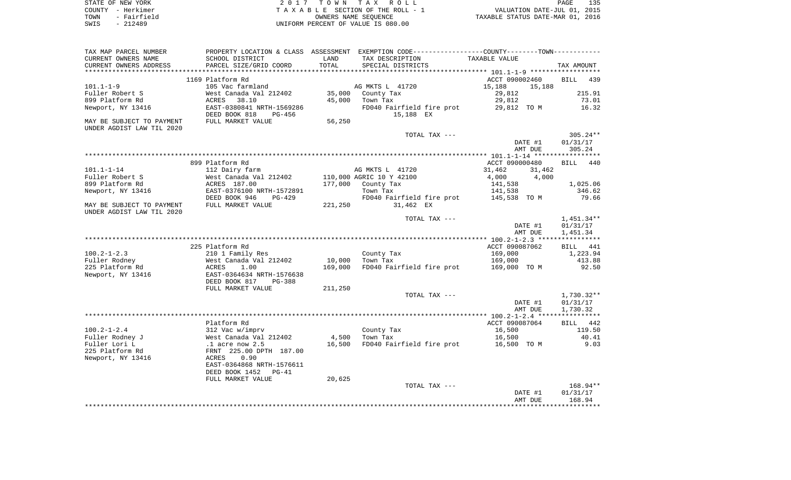|      | STATE OF NEW YORK | 2017 TOWN TAX ROLL                 | 135<br>PAGE                      |
|------|-------------------|------------------------------------|----------------------------------|
|      | COUNTY - Herkimer | TAXABLE SECTION OF THE ROLL - 1    | VALUATION DATE-JUL 01, 2015      |
| TOWN | - Fairfield       | OWNERS NAME SEOUENCE               | TAXABLE STATUS DATE-MAR 01, 2016 |
| SWIS | - 212489          | UNIFORM PERCENT OF VALUE IS 080.00 |                                  |

| TAX MAP PARCEL NUMBER     |                                                                                         |         | PROPERTY LOCATION & CLASS ASSESSMENT EXEMPTION CODE---------------COUNTY--------TOWN---------- |                  |                    |
|---------------------------|-----------------------------------------------------------------------------------------|---------|------------------------------------------------------------------------------------------------|------------------|--------------------|
| CURRENT OWNERS NAME       | SCHOOL DISTRICT                                                                         | LAND    | TAX DESCRIPTION                                                                                | TAXABLE VALUE    |                    |
| CURRENT OWNERS ADDRESS    | PARCEL SIZE/GRID COORD                                                                  | TOTAL   | SPECIAL DISTRICTS                                                                              |                  | TAX AMOUNT         |
| ***********************   |                                                                                         |         |                                                                                                |                  |                    |
|                           | 1169 Platform Rd                                                                        |         |                                                                                                | ACCT 090002460   | <b>BILL</b><br>439 |
| $101.1 - 1 - 9$           | 105 Vac farmland                                                                        |         | AG MKTS L 41720                                                                                | 15,188<br>15,188 |                    |
| Fuller Robert S           | West Canada Val 212402                                                                  |         | 35,000 County Tax                                                                              | 29,812           | 215.91             |
| 899 Platform Rd           | ACRES<br>38.10                                                                          | 45,000  | Town Tax                                                                                       | 29,812           | 73.01              |
| Newport, NY 13416         | EAST-0380841 NRTH-1569286                                                               |         | FD040 Fairfield fire prot                                                                      | 29,812 TO M      | 16.32              |
|                           | DEED BOOK 818<br>PG-456                                                                 |         | 15,188 EX                                                                                      |                  |                    |
| MAY BE SUBJECT TO PAYMENT | FULL MARKET VALUE                                                                       | 56,250  |                                                                                                |                  |                    |
| UNDER AGDIST LAW TIL 2020 |                                                                                         |         |                                                                                                |                  |                    |
|                           |                                                                                         |         | TOTAL TAX ---                                                                                  |                  | $305.24**$         |
|                           |                                                                                         |         |                                                                                                | DATE #1          | 01/31/17           |
|                           |                                                                                         |         |                                                                                                | AMT DUE          | 305.24             |
|                           | 899 Platform Rd                                                                         |         |                                                                                                | ACCT 090000480   | BILL 440           |
| $101.1 - 1 - 14$          | 112 Dairy farm                                                                          |         | AG MKTS L 41720                                                                                | 31,462<br>31,462 |                    |
| Fuller Robert S           | West Canada Val 212402                                                                  |         | 110,000 AGRIC 10 Y 42100                                                                       | 4,000<br>4,000   |                    |
| 899 Platform Rd           | ACRES 187.00                                                                            |         | 177,000 County Tax                                                                             | 141,538          | 1,025.06           |
| Newport, NY 13416         | EAST-0376100 NRTH-1572891                                                               |         | Town Tax                                                                                       | 141,538          | 346.62             |
|                           | DEED BOOK 946<br>PG-429                                                                 |         | FD040 Fairfield fire prot                                                                      | 145,538 TO M     | 79.66              |
| MAY BE SUBJECT TO PAYMENT | FULL MARKET VALUE                                                                       | 221,250 | 31,462 EX                                                                                      |                  |                    |
| UNDER AGDIST LAW TIL 2020 |                                                                                         |         |                                                                                                |                  |                    |
|                           |                                                                                         |         | TOTAL TAX ---                                                                                  |                  | $1,451.34**$       |
|                           |                                                                                         |         |                                                                                                | DATE #1          | 01/31/17           |
|                           |                                                                                         |         |                                                                                                | AMT DUE          | 1,451.34           |
|                           |                                                                                         |         |                                                                                                |                  |                    |
|                           | 225 Platform Rd                                                                         |         |                                                                                                | ACCT 090087062   | BILL 441           |
| $100.2 - 1 - 2.3$         | 210 1 Family Res                                                                        |         | County Tax                                                                                     | 169,000          | 1,223.94           |
| Fuller Rodney             | West Canada Val 212402                                                                  | 10,000  | Town Tax                                                                                       | 169,000          | 413.88             |
| 225 Platform Rd           | ACRES 1.00<br>EAST-0364634 NRTH-1576638                                                 | 169,000 | FD040 Fairfield fire prot                                                                      | 169,000 TO M     | 92.50              |
| Newport, NY 13416         |                                                                                         |         |                                                                                                |                  |                    |
|                           | DEED BOOK 817<br>PG-388                                                                 |         |                                                                                                |                  |                    |
|                           | FULL MARKET VALUE                                                                       | 211,250 | TOTAL TAX ---                                                                                  |                  | 1,730.32**         |
|                           |                                                                                         |         |                                                                                                | DATE #1          | 01/31/17           |
|                           |                                                                                         |         |                                                                                                | AMT DUE          | 1,730.32           |
|                           |                                                                                         |         |                                                                                                |                  |                    |
|                           | Platform Rd                                                                             |         |                                                                                                | ACCT 090087064   | BILL 442           |
| $100.2 - 1 - 2.4$         |                                                                                         |         | County Tax                                                                                     | 16,500           | 119.50             |
| Fuller Rodney J           | 312 Vac w/imprv<br>West Canada Val 212402<br>.1 acre now 2.5<br>FRNT 225.00 DPTH 187.00 | 4,500   | Town Tax                                                                                       | 16,500           | 40.41              |
| Fuller Lori L             |                                                                                         | 16,500  | FD040 Fairfield fire prot 16,500 TO M                                                          |                  | 9.03               |
| 225 Platform Rd           |                                                                                         |         |                                                                                                |                  |                    |
| Newport, NY 13416         | ACRES 0.90                                                                              |         |                                                                                                |                  |                    |
|                           | EAST-0364868 NRTH-1576611                                                               |         |                                                                                                |                  |                    |
|                           | DEED BOOK 1452<br>PG-41                                                                 |         |                                                                                                |                  |                    |
|                           | FULL MARKET VALUE                                                                       | 20,625  |                                                                                                |                  |                    |
|                           |                                                                                         |         | TOTAL TAX ---                                                                                  |                  | 168.94**           |
|                           |                                                                                         |         |                                                                                                | DATE #1          | 01/31/17           |
|                           |                                                                                         |         |                                                                                                | AMT DUE          | 168.94             |
|                           |                                                                                         |         |                                                                                                |                  |                    |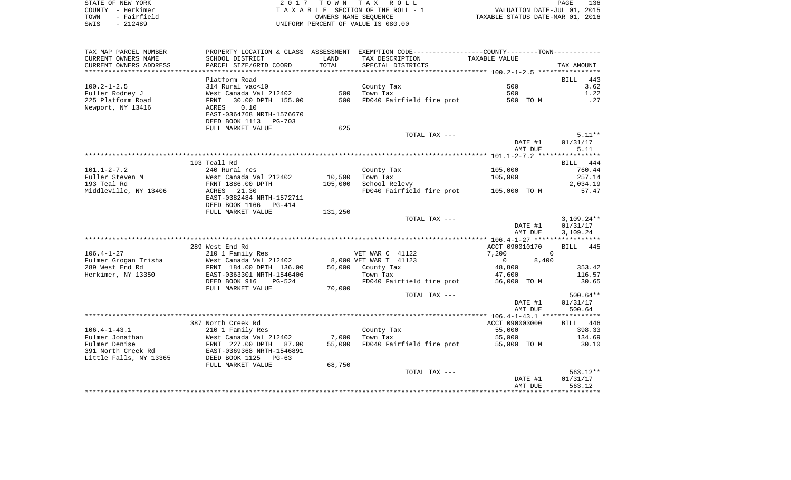|      | STATE OF NEW YORK | 2017 TOWN TAX ROLL                 | 136<br>PAGE                      |
|------|-------------------|------------------------------------|----------------------------------|
|      | COUNTY - Herkimer | TAXABLE SECTION OF THE ROLL - 1    | VALUATION DATE-JUL 01, 2015      |
| TOWN | - Fairfield       | OWNERS NAME SEOUENCE               | TAXABLE STATUS DATE-MAR 01, 2016 |
| SWIS | - 212489          | UNIFORM PERCENT OF VALUE IS 080.00 |                                  |

| TAX MAP PARCEL NUMBER  |                                                                               |         | PROPERTY LOCATION & CLASS ASSESSMENT EXEMPTION CODE---------------COUNTY-------TOWN---------- |                         |                    |
|------------------------|-------------------------------------------------------------------------------|---------|-----------------------------------------------------------------------------------------------|-------------------------|--------------------|
| CURRENT OWNERS NAME    | SCHOOL DISTRICT                                                               | LAND    | TAX DESCRIPTION                                                                               | TAXABLE VALUE           |                    |
| CURRENT OWNERS ADDRESS | PARCEL SIZE/GRID COORD                                                        | TOTAL   | SPECIAL DISTRICTS                                                                             |                         | TAX AMOUNT         |
|                        |                                                                               |         |                                                                                               |                         |                    |
|                        | Platform Road                                                                 |         |                                                                                               |                         | 443<br><b>BILL</b> |
| $100.2 - 1 - 2.5$      | 314 Rural vac<10                                                              |         | County Tax                                                                                    | 500                     | 3.62               |
| Fuller Rodney J        | West Canada Val 212402                                                        |         | 500 Town Tax                                                                                  | 500                     | 1.22               |
| 225 Platform Road      | 30.00 DPTH 155.00<br>FRNT                                                     | 500     | FD040 Fairfield fire prot 500 TO M                                                            |                         | .27                |
| Newport, NY 13416      | ACRES<br>0.10                                                                 |         |                                                                                               |                         |                    |
|                        | EAST-0364768 NRTH-1576670                                                     |         |                                                                                               |                         |                    |
|                        | DEED BOOK 1113<br>PG-703                                                      |         |                                                                                               |                         |                    |
|                        | FULL MARKET VALUE                                                             | 625     |                                                                                               |                         |                    |
|                        |                                                                               |         | TOTAL TAX ---                                                                                 |                         | $5.11**$           |
|                        |                                                                               |         |                                                                                               | DATE #1                 | 01/31/17           |
|                        |                                                                               |         |                                                                                               | AMT DUE                 | 5.11               |
|                        |                                                                               |         |                                                                                               |                         |                    |
|                        | 193 Teall Rd                                                                  |         |                                                                                               |                         | BILL 444           |
| $101.1 - 2 - 7.2$      | 240 Rural res                                                                 |         | County Tax                                                                                    | 105,000                 | 760.44             |
| Fuller Steven M        | West Canada Val 212402<br>FRNT 1886.00 DPTH                                   | 10,500  | Town Tax                                                                                      | 105,000                 | 257.14             |
| 193 Teal Rd            |                                                                               | 105,000 | School Relevy                                                                                 |                         | 2,034.19           |
| Middleville, NY 13406  | ACRES 21.30                                                                   |         | FD040 Fairfield fire prot 105,000 TO M                                                        |                         | 57.47              |
|                        | EAST-0382484 NRTH-1572711<br>DEED BOOK 1166<br>PG-414                         |         |                                                                                               |                         |                    |
|                        | FULL MARKET VALUE                                                             | 131,250 |                                                                                               |                         |                    |
|                        |                                                                               |         | TOTAL TAX ---                                                                                 |                         | $3,109.24**$       |
|                        |                                                                               |         |                                                                                               | DATE #1                 | 01/31/17           |
|                        |                                                                               |         |                                                                                               | AMT DUE                 | 3,109.24           |
|                        |                                                                               |         |                                                                                               |                         |                    |
|                        | 289 West End Rd                                                               |         |                                                                                               | ACCT 090010170          | BILL 445           |
| $106.4 - 1 - 27$       | 210 1 Family Res                                                              |         | VET WAR C 41122                                                                               | 7,200                   | $\overline{0}$     |
| Fulmer Grogan Trisha   | West Canada Val 212402                                                        |         | 8,000 VET WAR T 41123                                                                         | $\overline{0}$<br>8,400 |                    |
| 289 West End Rd        | FRNT 184.00 DPTH 136.00                                                       |         | 56,000 County Tax                                                                             | 48,800                  | 353.42             |
| Herkimer, NY 13350     | EAST-0363301 NRTH-1546406                                                     |         | Town Tax                                                                                      | 47,600                  | 116.57             |
|                        | DEED BOOK 916<br>$PG-524$                                                     |         | FD040 Fairfield fire prot                                                                     | 56,000 TO M             | 30.65              |
|                        | FULL MARKET VALUE                                                             | 70,000  |                                                                                               |                         |                    |
|                        |                                                                               |         | TOTAL TAX ---                                                                                 |                         | $500.64**$         |
|                        |                                                                               |         |                                                                                               | DATE #1                 | 01/31/17           |
|                        |                                                                               |         |                                                                                               | AMT DUE                 | 500.64             |
|                        |                                                                               |         |                                                                                               |                         |                    |
|                        | 387 North Creek Rd                                                            |         |                                                                                               | ACCT 090003000          | BILL 446           |
| $106.4 - 1 - 43.1$     | 210 1 Family Res                                                              |         | County Tax                                                                                    | 55,000                  | 398.33             |
| Fulmer Jonathan        | West Canada Val 212402<br>West Canada Val 212402<br>FRNT  227.00 DPTH   87.00 | 7,000   | Town Tax                                                                                      | 55,000                  | 134.69             |
| Fulmer Denise          |                                                                               | 55,000  | FD040 Fairfield fire prot                                                                     | 55,000 TO M             | 30.10              |
| 391 North Creek Rd     | EAST-0369368 NRTH-1546891                                                     |         |                                                                                               |                         |                    |
| Little Falls, NY 13365 | DEED BOOK 1125<br>$PG-63$                                                     |         |                                                                                               |                         |                    |
|                        | FULL MARKET VALUE                                                             | 68,750  |                                                                                               |                         |                    |
|                        |                                                                               |         | TOTAL TAX ---                                                                                 |                         | $563.12**$         |
|                        |                                                                               |         |                                                                                               | DATE #1                 | 01/31/17           |
|                        |                                                                               |         |                                                                                               | AMT DUE                 | 563.12             |
|                        |                                                                               |         |                                                                                               |                         |                    |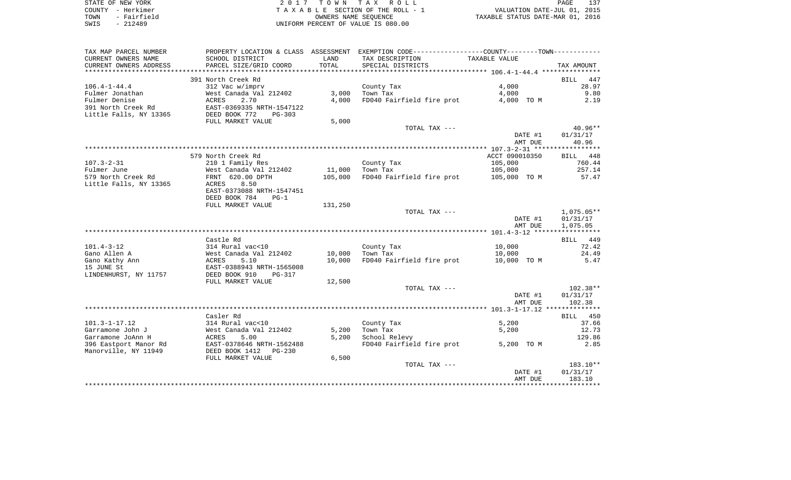| STATE OF NEW YORK   | 2017 TOWN TAX ROLL                 | 137<br>PAGE                      |
|---------------------|------------------------------------|----------------------------------|
| COUNTY - Herkimer   | TAXABLE SECTION OF THE ROLL - 1    | VALUATION DATE-JUL 01, 2015      |
| - Fairfield<br>TOWN | OWNERS NAME SEOUENCE               | TAXABLE STATUS DATE-MAR 01, 2016 |
| SWIS<br>$-212489$   | UNIFORM PERCENT OF VALUE IS 080.00 |                                  |

| TAX MAP PARCEL NUMBER        |                                                |         | PROPERTY LOCATION & CLASS ASSESSMENT EXEMPTION CODE---------------COUNTY-------TOWN---------- |                |              |
|------------------------------|------------------------------------------------|---------|-----------------------------------------------------------------------------------------------|----------------|--------------|
| CURRENT OWNERS NAME          | SCHOOL DISTRICT                                | LAND    | TAX DESCRIPTION                                                                               | TAXABLE VALUE  |              |
| CURRENT OWNERS ADDRESS       | PARCEL SIZE/GRID COORD                         | TOTAL   | SPECIAL DISTRICTS                                                                             |                | TAX AMOUNT   |
|                              |                                                |         |                                                                                               |                |              |
|                              | 391 North Creek Rd                             |         |                                                                                               |                | 447<br>BILL  |
| $106.4 - 1 - 44.4$           | 312 Vac w/imprv                                |         | County Tax                                                                                    | 4,000          | 28.97        |
| Fulmer Jonathan              | West Canada Val 212402                         | 3,000   | Town Tax                                                                                      | 4,000          | 9.80         |
| Fulmer Denise                | 2.70<br>ACRES                                  | 4,000   | FD040 Fairfield fire prot                                                                     | 4,000 TO M     | 2.19         |
| 391 North Creek Rd           | EAST-0369335 NRTH-1547122                      |         |                                                                                               |                |              |
| Little Falls, NY 13365       | DEED BOOK 772<br>$PG-303$<br>FULL MARKET VALUE |         |                                                                                               |                |              |
|                              |                                                | 5,000   | TOTAL TAX ---                                                                                 |                | $40.96**$    |
|                              |                                                |         |                                                                                               | DATE #1        | 01/31/17     |
|                              |                                                |         |                                                                                               | AMT DUE        | 40.96        |
|                              |                                                |         |                                                                                               |                |              |
|                              | 579 North Creek Rd                             |         |                                                                                               | ACCT 090010350 | BILL 448     |
| $107.3 - 2 - 31$             | 210 1 Family Res                               |         | County Tax                                                                                    | 105,000        | 760.44       |
| Fulmer June                  | West Canada Val 212402                         | 11,000  | Town Tax                                                                                      | 105,000        | 257.14       |
| 579 North Creek Rd           | FRNT 620.00 DPTH                               | 105,000 | FD040 Fairfield fire prot                                                                     | 105,000 TO M   | 57.47        |
| Little Falls, NY 13365       | ACRES<br>8.50                                  |         |                                                                                               |                |              |
|                              | EAST-0373088 NRTH-1547451                      |         |                                                                                               |                |              |
|                              | DEED BOOK 784<br>$PG-1$                        |         |                                                                                               |                |              |
|                              | FULL MARKET VALUE                              | 131,250 |                                                                                               |                |              |
|                              |                                                |         | TOTAL TAX ---                                                                                 |                | $1,075.05**$ |
|                              |                                                |         |                                                                                               | DATE #1        | 01/31/17     |
|                              |                                                |         |                                                                                               | AMT DUE        | 1,075.05     |
|                              |                                                |         |                                                                                               |                |              |
|                              | Castle Rd                                      |         |                                                                                               |                | BILL 449     |
| $101.4 - 3 - 12$             | 314 Rural vac<10                               |         | County Tax                                                                                    | 10,000         | 72.42        |
| Gano Allen A                 | West Canada Val 212402                         | 10,000  | Town Tax                                                                                      | 10,000         | 24.49        |
| Gano Kathy Ann<br>15 JUNE St | 5.10<br>ACRES<br>EAST-0388943 NRTH-1565008     | 10,000  | FD040 Fairfield fire prot                                                                     | 10,000 TO M    | 5.47         |
| LINDENHURST, NY 11757        | DEED BOOK 910<br><b>PG-317</b>                 |         |                                                                                               |                |              |
|                              | FULL MARKET VALUE                              | 12,500  |                                                                                               |                |              |
|                              |                                                |         | TOTAL TAX ---                                                                                 |                | $102.38**$   |
|                              |                                                |         |                                                                                               | DATE #1        | 01/31/17     |
|                              |                                                |         |                                                                                               | AMT DUE        | 102.38       |
|                              |                                                |         |                                                                                               |                |              |
|                              | Casler Rd                                      |         |                                                                                               |                | 450<br>BILL  |
| $101.3 - 1 - 17.12$          | 314 Rural vac<10                               |         | County Tax                                                                                    | 5,200          | 37.66        |
| Garramone John J             | West Canada Val 212402                         | 5,200   | Town Tax                                                                                      | 5,200          | 12.73        |
| Garramone JoAnn H            | ACRES<br>5.00                                  | 5,200   | School Relevy                                                                                 |                | 129.86       |
| 396 Eastport Manor Rd        | EAST-0378646 NRTH-1562488                      |         | FD040 Fairfield fire prot                                                                     | 5,200 TO M     | 2.85         |
| Manorville, NY 11949         | DEED BOOK 1412<br>$PG-230$                     |         |                                                                                               |                |              |
|                              | FULL MARKET VALUE                              | 6,500   |                                                                                               |                |              |
|                              |                                                |         | TOTAL TAX ---                                                                                 |                | 183.10**     |
|                              |                                                |         |                                                                                               | DATE #1        | 01/31/17     |
|                              |                                                |         |                                                                                               | AMT DUE        | 183.10       |
|                              |                                                |         |                                                                                               |                |              |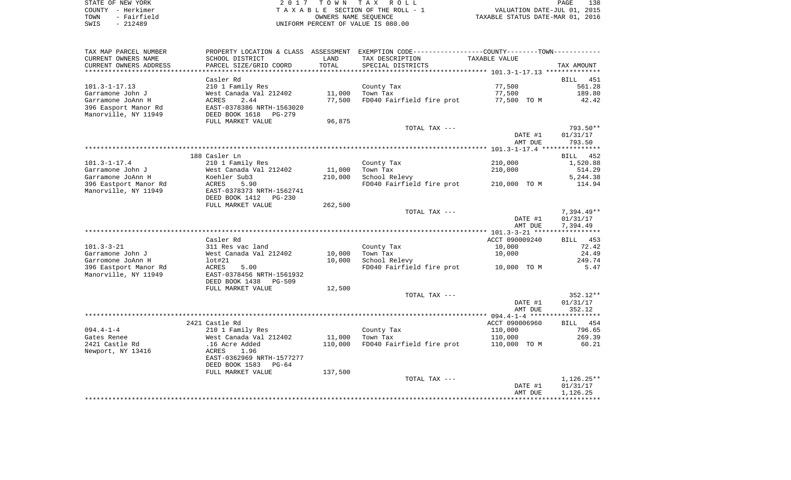| STATE OF NEW YORK          | 2017 TOWN TAX ROLL                   | 138<br>PAGE                      |
|----------------------------|--------------------------------------|----------------------------------|
| COUNTY - Herkimer          | TAXABLE SECTION OF THE ROLL - 1      | VALUATION DATE-JUL 01, 2015      |
| - Fairfield<br>TOWN        | OWNERS NAME SEOUENCE                 | TAXABLE STATUS DATE-MAR 01, 2016 |
| смте <sub>–</sub> 21.2400. | LINITEONA DEDCENT OF VALUE TO 000 00 |                                  |

SWIS - 212489 UNIFORM PERCENT OF VALUE IS 080.00

| TAX MAP PARCEL NUMBER  |                                 |         | PROPERTY LOCATION & CLASS ASSESSMENT EXEMPTION CODE-----------------COUNTY--------TOWN-------- |                |                    |
|------------------------|---------------------------------|---------|------------------------------------------------------------------------------------------------|----------------|--------------------|
| CURRENT OWNERS NAME    | SCHOOL DISTRICT                 | LAND    | TAX DESCRIPTION                                                                                | TAXABLE VALUE  |                    |
| CURRENT OWNERS ADDRESS | PARCEL SIZE/GRID COORD          | TOTAL   | SPECIAL DISTRICTS                                                                              |                | TAX AMOUNT         |
|                        |                                 |         |                                                                                                |                |                    |
|                        | Casler Rd                       |         |                                                                                                |                | BILL<br>451        |
| $101.3 - 1 - 17.13$    | 210 1 Family Res                |         | County Tax                                                                                     | 77,500         | 561.28             |
| Garramone John J       | West Canada Val 212402          | 11,000  | Town Tax                                                                                       | 77,500         | 189.80             |
| Garramone JoAnn H      | 2.44<br><b>ACRES</b>            | 77,500  | FD040 Fairfield fire prot                                                                      | 77,500 TO M    | 42.42              |
| 396 Easport Manor Rd   | EAST-0378386 NRTH-1563020       |         |                                                                                                |                |                    |
| Manorville, NY 11949   | DEED BOOK 1618<br>PG-279        |         |                                                                                                |                |                    |
|                        | FULL MARKET VALUE               |         |                                                                                                |                |                    |
|                        |                                 | 96,875  |                                                                                                |                |                    |
|                        |                                 |         | TOTAL TAX ---                                                                                  |                | 793.50**           |
|                        |                                 |         |                                                                                                | DATE #1        | 01/31/17           |
|                        |                                 |         |                                                                                                | AMT DUE        | 793.50             |
|                        |                                 |         |                                                                                                |                |                    |
|                        | 188 Casler Ln                   |         |                                                                                                |                | 452<br><b>BILL</b> |
| $101.3 - 1 - 17.4$     | 210 1 Family Res                |         | County Tax                                                                                     | 210,000        | 1,520.88           |
| Garramone John J       | West Canada Val 212402          | 11,000  | Town Tax                                                                                       | 210,000        | 514.29             |
| Garramone JoAnn H      | Koehler Sub3                    | 210,000 | School Relevy                                                                                  |                | 5,244.38           |
| 396 Eastport Manor Rd  | ACRES<br>5.90                   |         | FD040 Fairfield fire prot                                                                      | 210,000 TO M   | 114.94             |
| Manorville, NY 11949   | EAST-0378373 NRTH-1562741       |         |                                                                                                |                |                    |
|                        | DEED BOOK 1412<br><b>PG-230</b> |         |                                                                                                |                |                    |
|                        | FULL MARKET VALUE               | 262,500 |                                                                                                |                |                    |
|                        |                                 |         | TOTAL TAX ---                                                                                  |                | $7,394.49**$       |
|                        |                                 |         |                                                                                                | DATE #1        | 01/31/17           |
|                        |                                 |         |                                                                                                | AMT DUE        | 7,394.49           |
|                        |                                 |         |                                                                                                |                |                    |
|                        |                                 |         |                                                                                                | ACCT 090009240 |                    |
|                        | Casler Rd                       |         |                                                                                                |                | 453<br>BILL        |
| $101.3 - 3 - 21$       | 311 Res vac land                |         | County Tax                                                                                     | 10,000         | 72.42              |
| Garramone John J       | West Canada Val 212402          | 10,000  | Town Tax                                                                                       | 10,000         | 24.49              |
| Garromone JoAnn H      | $1$ ot# $21$                    | 10,000  | School Relevy                                                                                  |                | 249.74             |
| 396 Eastport Manor Rd  | 5.00<br>ACRES                   |         | FD040 Fairfield fire prot                                                                      | 10,000 TO M    | 5.47               |
| Manorville, NY 11949   | EAST-0378456 NRTH-1561932       |         |                                                                                                |                |                    |
|                        | DEED BOOK 1438<br>PG-509        |         |                                                                                                |                |                    |
|                        | FULL MARKET VALUE               | 12,500  |                                                                                                |                |                    |
|                        |                                 |         | TOTAL TAX ---                                                                                  |                | $352.12**$         |
|                        |                                 |         |                                                                                                | DATE #1        | 01/31/17           |
|                        |                                 |         |                                                                                                | AMT DUE        | 352.12             |
|                        |                                 |         |                                                                                                |                |                    |
|                        | 2421 Castle Rd                  |         |                                                                                                | ACCT 090006960 | 454<br>BILL        |
| $094.4 - 1 - 4$        | 210 1 Family Res                |         | County Tax                                                                                     | 110,000        | 796.65             |
| Gates Renee            | West Canada Val 212402          | 11,000  | Town Tax                                                                                       | 110,000        | 269.39             |
| 2421 Castle Rd         | .16 Acre Added                  | 110,000 | FD040 Fairfield fire prot                                                                      | 110,000 TO M   | 60.21              |
| Newport, NY 13416      | 1.96<br>ACRES                   |         |                                                                                                |                |                    |
|                        | EAST-0362969 NRTH-1577277       |         |                                                                                                |                |                    |
|                        |                                 |         |                                                                                                |                |                    |
|                        | DEED BOOK 1583<br>$PG-64$       |         |                                                                                                |                |                    |
|                        | FULL MARKET VALUE               | 137,500 |                                                                                                |                |                    |
|                        |                                 |         | TOTAL TAX ---                                                                                  |                | $1,126.25**$       |
|                        |                                 |         |                                                                                                | DATE #1        | 01/31/17           |
|                        |                                 |         |                                                                                                | AMT DUE        | 1,126.25           |
|                        |                                 |         |                                                                                                |                |                    |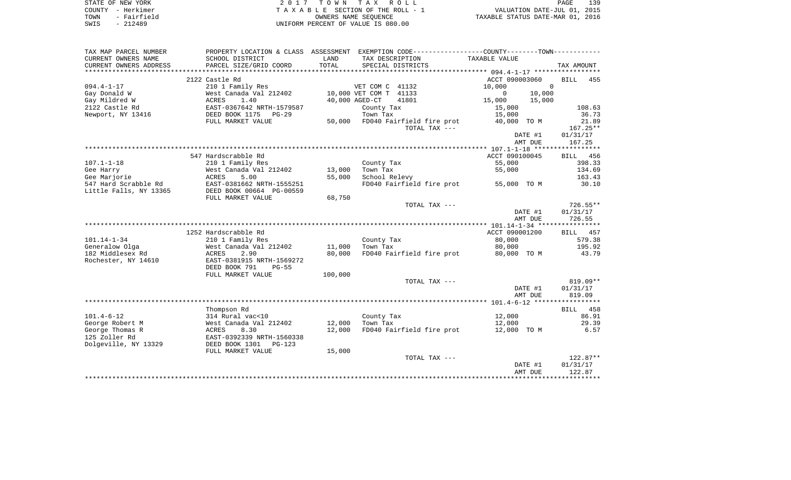|      | STATE OF NEW YORK | 2017 TOWN TAX ROLL                 | 139<br>PAGE                      |  |
|------|-------------------|------------------------------------|----------------------------------|--|
|      | COUNTY - Herkimer | TAXABLE SECTION OF THE ROLL - 1    | VALUATION DATE-JUL 01, 2015      |  |
| TOWN | - Fairfield       | OWNERS NAME SEOUENCE               | TAXABLE STATUS DATE-MAR 01, 2016 |  |
| SWIS | $-212489$         | UNIFORM PERCENT OF VALUE IS 080.00 |                                  |  |

| TAX MAP PARCEL NUMBER                         | PROPERTY LOCATION & CLASS ASSESSMENT            |                  | EXEMPTION CODE----------------COUNTY-------TOWN----------- |                              |                    |
|-----------------------------------------------|-------------------------------------------------|------------------|------------------------------------------------------------|------------------------------|--------------------|
| CURRENT OWNERS NAME<br>CURRENT OWNERS ADDRESS | SCHOOL DISTRICT<br>PARCEL SIZE/GRID COORD       | LAND<br>TOTAL    | TAX DESCRIPTION<br>SPECIAL DISTRICTS                       | TAXABLE VALUE                | TAX AMOUNT         |
|                                               |                                                 |                  |                                                            |                              |                    |
|                                               | 2122 Castle Rd                                  |                  |                                                            | ACCT 090003060               | <b>BILL</b><br>455 |
| $094.4 - 1 - 17$                              | 210 1 Family Res                                |                  | VET COM C 41132                                            | 10,000<br>$\Omega$           |                    |
| Gay Donald W<br>Gay Mildred W                 | West Canada Val 212402<br>1.40                  |                  | 10,000 VET COM T 41133<br>40,000 AGED-CT<br>41801          | 10,000<br>$\Omega$<br>15,000 |                    |
| 2122 Castle Rd                                | ACRES<br>EAST-0367642 NRTH-1579587              |                  | County Tax                                                 | 15,000<br>15,000             | 108.63             |
| Newport, NY 13416                             | DEED BOOK 1175<br>$PG-29$                       |                  | Town Tax                                                   | 15,000                       | 36.73              |
|                                               | FULL MARKET VALUE                               | 50,000           | FD040 Fairfield fire prot                                  | 40,000 TO M                  | 21.89              |
|                                               |                                                 |                  | TOTAL TAX ---                                              |                              | $167.25**$         |
|                                               |                                                 |                  |                                                            | DATE #1                      | 01/31/17           |
|                                               |                                                 |                  |                                                            | AMT DUE                      | 167.25             |
|                                               | 547 Hardscrabble Rd                             |                  |                                                            | ACCT 090100045               | BILL<br>456        |
| $107.1 - 1 - 18$                              | 210 1 Family Res                                |                  | County Tax                                                 | 55,000                       | 398.33             |
| Gee Harry                                     | West Canada Val 212402                          | 13,000           | Town Tax                                                   | 55,000                       | 134.69             |
| Gee Marjorie                                  | ACRES<br>5.00                                   | 55,000           | School Relevy                                              |                              | 163.43             |
| 547 Hard Scrabble Rd                          | EAST-0381662 NRTH-1555251                       |                  | FD040 Fairfield fire prot                                  | 55,000 TO M                  | 30.10              |
| Little Falls, NY 13365                        | DEED BOOK 00664 PG-00559                        |                  |                                                            |                              |                    |
|                                               | FULL MARKET VALUE                               | 68,750           | TOTAL TAX ---                                              |                              | $726.55**$         |
|                                               |                                                 |                  |                                                            | DATE #1                      | 01/31/17           |
|                                               |                                                 |                  |                                                            | AMT DUE                      | 726.55             |
|                                               |                                                 |                  |                                                            |                              |                    |
|                                               | 1252 Hardscrabble Rd                            |                  |                                                            | ACCT 090001200               | BILL 457           |
| $101.14 - 1 - 34$                             | 210 1 Family Res                                |                  | County Tax                                                 | 80,000                       | 579.38             |
| Generalow Olga<br>182 Middlesex Rd            | West Canada Val 212402<br>2.90<br>ACRES         | 11,000<br>80,000 | Town Tax<br>FD040 Fairfield fire prot                      | 80,000<br>80,000 TO M        | 195.92<br>43.79    |
| Rochester, NY 14610                           | EAST-0381915 NRTH-1569272                       |                  |                                                            |                              |                    |
|                                               | DEED BOOK 791<br>$PG-55$                        |                  |                                                            |                              |                    |
|                                               | FULL MARKET VALUE                               | 100,000          |                                                            |                              |                    |
|                                               |                                                 |                  | TOTAL TAX ---                                              |                              | 819.09**           |
|                                               |                                                 |                  |                                                            | DATE #1                      | 01/31/17           |
|                                               |                                                 |                  |                                                            | AMT DUE                      | 819.09             |
|                                               | Thompson Rd                                     |                  |                                                            |                              | 458<br><b>BILL</b> |
| $101.4 - 6 - 12$                              | 314 Rural vac<10                                |                  | County Tax                                                 | 12,000                       | 86.91              |
| George Robert M                               | West Canada Val 212402                          | 12,000           | Town Tax                                                   | 12,000                       | 29.39              |
| George Thomas R                               | 8.30<br>ACRES                                   | 12,000           | FD040 Fairfield fire prot                                  | 12,000 TO M                  | 6.57               |
| 125 Zoller Rd                                 | EAST-0392339 NRTH-1560338                       |                  |                                                            |                              |                    |
| Dolgeville, NY 13329                          | DEED BOOK 1301<br>$PG-123$<br>FULL MARKET VALUE | 15,000           |                                                            |                              |                    |
|                                               |                                                 |                  | TOTAL TAX ---                                              |                              | $122.87**$         |
|                                               |                                                 |                  |                                                            | DATE #1                      | 01/31/17           |
|                                               |                                                 |                  |                                                            | AMT DUE                      | 122.87             |
|                                               |                                                 |                  |                                                            |                              |                    |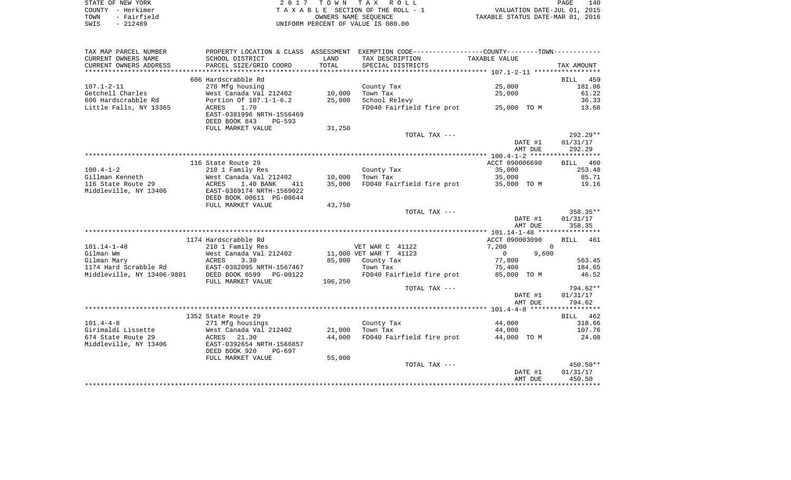|      | STATE OF NEW YORK | 2017 TOWN TAX ROLL                 | 140<br><b>PAGE</b>               |
|------|-------------------|------------------------------------|----------------------------------|
|      | COUNTY - Herkimer | TAXABLE SECTION OF THE ROLL - 1    | VALUATION DATE-JUL 01, 2015      |
| TOWN | - Fairfield       | OWNERS NAME SEOUENCE               | TAXABLE STATUS DATE-MAR 01, 2016 |
| SWIS | $-212489$         | UNIFORM PERCENT OF VALUE IS 080.00 |                                  |

| TAX MAP PARCEL NUMBER                       | PROPERTY LOCATION & CLASS ASSESSMENT                                               |         | EXEMPTION CODE-----------------COUNTY--------TOWN----------- |                    |                                |
|---------------------------------------------|------------------------------------------------------------------------------------|---------|--------------------------------------------------------------|--------------------|--------------------------------|
| CURRENT OWNERS NAME                         | SCHOOL DISTRICT                                                                    | LAND    | TAX DESCRIPTION                                              | TAXABLE VALUE      |                                |
| CURRENT OWNERS ADDRESS                      | PARCEL SIZE/GRID COORD                                                             | TOTAL   | SPECIAL DISTRICTS                                            |                    | TAX AMOUNT                     |
| ********************                        |                                                                                    |         |                                                              |                    |                                |
|                                             | 606 Hardscrabble Rd                                                                |         |                                                              |                    | <b>BILL</b><br>459             |
| $107.1 - 2 - 11$                            | 270 Mfg housing                                                                    |         | County Tax                                                   | 25,000             | 181.06                         |
| Getchell Charles                            | West Canada Val 212402                                                             | 10,000  | Town Tax                                                     | 25,000             | 61.22                          |
| 606 Hardscrabble Rd                         | Portion Of 107.1-1-6.2                                                             | 25,000  | School Relevy                                                |                    | 36.33                          |
| Little Falls, NY 13365                      | ACRES<br>1.70<br>EAST-0381996 NRTH-1556469<br>DEED BOOK 843<br>PG-593              |         | FD040 Fairfield fire prot 25,000 TO M                        |                    | 13.68                          |
|                                             | FULL MARKET VALUE                                                                  | 31,250  |                                                              |                    |                                |
|                                             |                                                                                    |         | TOTAL TAX ---                                                |                    | $292.29**$                     |
|                                             |                                                                                    |         |                                                              | DATE #1            | 01/31/17                       |
|                                             |                                                                                    |         |                                                              | AMT DUE            | 292.29                         |
|                                             |                                                                                    |         |                                                              |                    |                                |
|                                             | 116 State Route 29                                                                 |         |                                                              | ACCT 090006690     | BILL 460                       |
| $100.4 - 1 - 2$                             | 210 1 Family Res                                                                   |         | County Tax                                                   | 35,000             | 253.48                         |
| Gillman Kenneth                             | West Canada Val 212402                                                             | 10,000  | Town Tax                                                     | 35,000             | 85.71                          |
| 116 State Route 29<br>Middleville, NY 13406 | ACRES<br>1.40 BANK<br>411<br>EAST-0369174 NRTH-1569022<br>DEED BOOK 00611 PG-00644 | 35,000  | FD040 Fairfield fire prot                                    | 35,000 TO M        | 19.16                          |
|                                             | FULL MARKET VALUE                                                                  | 43,750  |                                                              |                    |                                |
|                                             |                                                                                    |         | TOTAL TAX ---                                                | DATE #1<br>AMT DUE | 358.35**<br>01/31/17<br>358.35 |
|                                             |                                                                                    |         |                                                              |                    |                                |
|                                             | 1174 Hardscrabble Rd                                                               |         |                                                              | ACCT 090003090     | <b>BILL</b><br>461             |
| $101.14 - 1 - 48$                           | 210 1 Family Res                                                                   |         | VET WAR C 41122                                              | 7,200              | $\Omega$                       |
| Gilman Wm                                   | West Canada Val 212402                                                             |         | 11,000 VET WAR T 41123                                       | 9,600<br>$\Omega$  |                                |
| Gilman Mary                                 | 3.30<br>ACRES                                                                      | 85,000  | County Tax                                                   | 77,800             | 563.45                         |
| 1174 Hard Scrabble Rd                       | EAST-0382095 NRTH-1567467                                                          |         | Town Tax                                                     | 75,400             | 184.65                         |
| Middleville, NY 13406-9801                  | DEED BOOK 0599<br>PG-00122<br>FULL MARKET VALUE                                    | 106,250 | FD040 Fairfield fire prot                                    | 85,000 TO M        | 46.52                          |
|                                             |                                                                                    |         | TOTAL TAX ---                                                |                    | 794.62**                       |
|                                             |                                                                                    |         |                                                              | DATE #1<br>AMT DUE | 01/31/17<br>794.62             |
|                                             |                                                                                    |         |                                                              |                    |                                |
|                                             | 1352 State Route 29                                                                |         |                                                              |                    | BILL 462                       |
| $101.4 - 4 - 8$                             | 271 Mfg housings                                                                   |         | County Tax                                                   | 44,000             | 318.66                         |
| Girimaldi Lissette                          | West Canada Val 212402                                                             | 21,000  | Town Tax                                                     | 44,000             | 107.76                         |
| 674 State Route 29<br>Middleville, NY 13406 | ACRES<br>21.30<br>EAST-0392654 NRTH-1566857<br>DEED BOOK 920<br>PG-697             | 44,000  | FD040 Fairfield fire prot                                    | 44,000 TO M        | 24.08                          |
|                                             | FULL MARKET VALUE                                                                  | 55,000  | TOTAL TAX ---                                                |                    | $450.50**$                     |
|                                             |                                                                                    |         |                                                              |                    |                                |
|                                             |                                                                                    |         |                                                              | DATE #1<br>AMT DUE | 01/31/17<br>450.50             |
|                                             |                                                                                    |         |                                                              |                    |                                |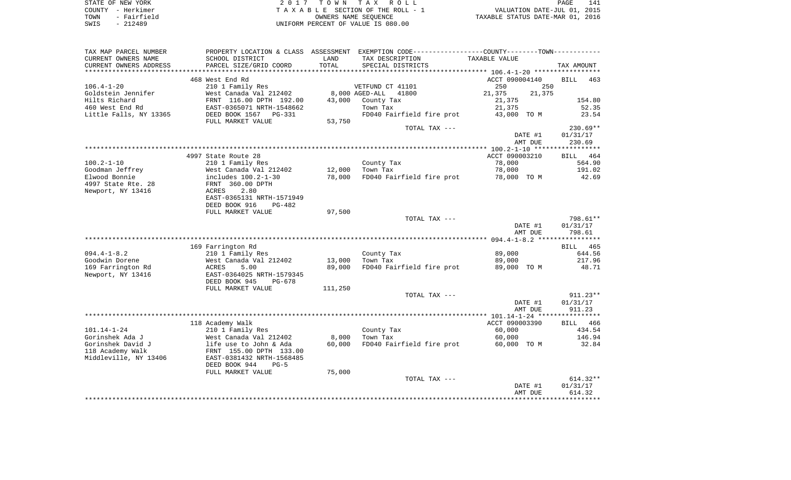| STATE OF NEW YORK   | 2017 TOWN TAX ROLL                 | 141<br>PAGE                      |
|---------------------|------------------------------------|----------------------------------|
| COUNTY - Herkimer   | TAXABLE SECTION OF THE ROLL - 1    | VALUATION DATE-JUL 01, 2015      |
| - Fairfield<br>TOWN | OWNERS NAME SEOUENCE               | TAXABLE STATUS DATE-MAR 01, 2016 |
| - 212489<br>SWIS    | UNIFORM PERCENT OF VALUE IS 080.00 |                                  |

| TAX MAP PARCEL NUMBER   |                            |         | PROPERTY LOCATION & CLASS ASSESSMENT EXEMPTION CODE----------------COUNTY--------TOWN----------- |                  |                    |
|-------------------------|----------------------------|---------|--------------------------------------------------------------------------------------------------|------------------|--------------------|
| CURRENT OWNERS NAME     | SCHOOL DISTRICT            | LAND    | TAX DESCRIPTION                                                                                  | TAXABLE VALUE    |                    |
| CURRENT OWNERS ADDRESS  | PARCEL SIZE/GRID COORD     | TOTAL   | SPECIAL DISTRICTS                                                                                |                  | TAX AMOUNT         |
| *********************** | ************************** |         |                                                                                                  |                  |                    |
|                         | 468 West End Rd            |         |                                                                                                  | ACCT 090004140   | <b>BILL</b><br>463 |
| $106.4 - 1 - 20$        | 210 1 Family Res           |         | VETFUND CT 41101                                                                                 | 250<br>250       |                    |
| Goldstein Jennifer      | West Canada Val 212402     |         | 8,000 AGED-ALL<br>41800                                                                          | 21,375<br>21,375 |                    |
| Hilts Richard           | FRNT 116.00 DPTH 192.00    | 43,000  | County Tax                                                                                       | 21,375           | 154.80             |
| 460 West End Rd         | EAST-0365071 NRTH-1548662  |         | Town Tax                                                                                         | 21,375           | 52.35              |
| Little Falls, NY 13365  | DEED BOOK 1567 PG-331      |         | FD040 Fairfield fire prot                                                                        | 43,000 TO M      | 23.54              |
|                         | FULL MARKET VALUE          | 53,750  |                                                                                                  |                  |                    |
|                         |                            |         | TOTAL TAX ---                                                                                    |                  | $230.69**$         |
|                         |                            |         |                                                                                                  | DATE #1          | 01/31/17           |
|                         |                            |         |                                                                                                  | AMT DUE          | 230.69             |
|                         |                            |         |                                                                                                  |                  |                    |
|                         | 4997 State Route 28        |         |                                                                                                  | ACCT 090003210   | BILL 464           |
| $100.2 - 1 - 10$        | 210 1 Family Res           |         | County Tax                                                                                       | 78,000           | 564.90             |
| Goodman Jeffrey         | West Canada Val 212402     | 12,000  | Town Tax                                                                                         | 78,000           | 191.02             |
| Elwood Bonnie           | includes 100.2-1-30        | 78,000  | FD040 Fairfield fire prot                                                                        | 78,000 TO M      | 42.69              |
| 4997 State Rte. 28      | FRNT 360.00 DPTH           |         |                                                                                                  |                  |                    |
| Newport, NY 13416       | 2.80<br>ACRES              |         |                                                                                                  |                  |                    |
|                         | EAST-0365131 NRTH-1571949  |         |                                                                                                  |                  |                    |
|                         | DEED BOOK 916<br>$PG-482$  |         |                                                                                                  |                  |                    |
|                         | FULL MARKET VALUE          | 97,500  |                                                                                                  |                  |                    |
|                         |                            |         | TOTAL TAX ---                                                                                    |                  | 798.61**           |
|                         |                            |         |                                                                                                  | DATE #1          | 01/31/17           |
|                         |                            |         |                                                                                                  | AMT DUE          | 798.61             |
|                         |                            |         |                                                                                                  |                  |                    |
|                         | 169 Farrington Rd          |         |                                                                                                  |                  | BILL 465           |
| $094.4 - 1 - 8.2$       | 210 1 Family Res           |         | County Tax                                                                                       | 89,000           | 644.56             |
| Goodwin Dorene          | West Canada Val 212402     | 13,000  | Town Tax                                                                                         | 89,000           | 217.96             |
| 169 Farrington Rd       | 5.00<br>ACRES              | 89,000  | FD040 Fairfield fire prot                                                                        | 89,000 TO M      | 48.71              |
| Newport, NY 13416       | EAST-0364025 NRTH-1579345  |         |                                                                                                  |                  |                    |
|                         | DEED BOOK 945<br>$PG-678$  |         |                                                                                                  |                  |                    |
|                         | FULL MARKET VALUE          | 111,250 |                                                                                                  |                  |                    |
|                         |                            |         | TOTAL TAX ---                                                                                    |                  | $911.23**$         |
|                         |                            |         |                                                                                                  | DATE #1          | 01/31/17           |
|                         |                            |         |                                                                                                  | AMT DUE          | 911.23             |
|                         | 118 Academy Walk           |         |                                                                                                  | ACCT 090003390   | BILL 466           |
| $101.14 - 1 - 24$       | 210 1 Family Res           |         | County Tax                                                                                       | 60,000           | 434.54             |
| Gorinshek Ada J         | West Canada Val 212402     | 8,000   | Town Tax                                                                                         | 60,000           | 146.94             |
| Gorinshek David J       | life use to John & Ada     | 60,000  | FD040 Fairfield fire prot                                                                        | 60,000 TO M      | 32.84              |
| 118 Academy Walk        | FRNT 155.00 DPTH 133.00    |         |                                                                                                  |                  |                    |
| Middleville, NY 13406   | EAST-0381432 NRTH-1568485  |         |                                                                                                  |                  |                    |
|                         | DEED BOOK 944<br>$PG-5$    |         |                                                                                                  |                  |                    |
|                         | FULL MARKET VALUE          | 75,000  |                                                                                                  |                  |                    |
|                         |                            |         | TOTAL TAX ---                                                                                    |                  | $614.32**$         |
|                         |                            |         |                                                                                                  | DATE #1          | 01/31/17           |
|                         |                            |         |                                                                                                  | AMT DUE          | 614.32             |
|                         |                            |         |                                                                                                  |                  |                    |
|                         |                            |         |                                                                                                  |                  |                    |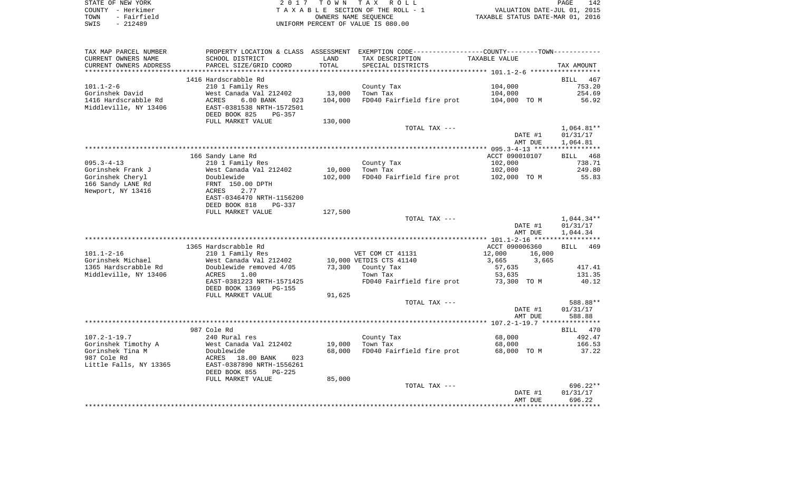| STATE OF NEW YORK   | 2017 TOWN TAX ROLL                 | 142<br>PAGE                      |
|---------------------|------------------------------------|----------------------------------|
| COUNTY - Herkimer   | TAXABLE SECTION OF THE ROLL - 1    | VALUATION DATE-JUL 01, 2015      |
| - Fairfield<br>TOWN | OWNERS NAME SEOUENCE               | TAXABLE STATUS DATE-MAR 01, 2016 |
| - 212489<br>SWIS    | UNIFORM PERCENT OF VALUE IS 080.00 |                                  |

| TAX MAP PARCEL NUMBER                 |                                                     |         | PROPERTY LOCATION & CLASS ASSESSMENT EXEMPTION CODE---------------COUNTY-------TOWN---------- |                  |                 |
|---------------------------------------|-----------------------------------------------------|---------|-----------------------------------------------------------------------------------------------|------------------|-----------------|
| CURRENT OWNERS NAME                   | SCHOOL DISTRICT                                     | LAND    | TAX DESCRIPTION                                                                               | TAXABLE VALUE    |                 |
| CURRENT OWNERS ADDRESS                | PARCEL SIZE/GRID COORD                              | TOTAL   | SPECIAL DISTRICTS                                                                             |                  | TAX AMOUNT      |
|                                       |                                                     |         |                                                                                               |                  |                 |
|                                       | 1416 Hardscrabble Rd                                |         |                                                                                               |                  | BILL 467        |
| $101.1 - 2 - 6$                       | 210 1 Family Res                                    |         | County Tax                                                                                    | 104,000          | 753.20          |
| Gorinshek David                       | West Canada Val 212402                              | 13,000  | Town Tax                                                                                      | 104,000          | 254.69          |
| 1416 Hardscrabble Rd                  | ACRES<br>$6.00$ BANK<br>023                         | 104,000 | FD040 Fairfield fire prot                                                                     | 104,000 TO M     | 56.92           |
| Middleville, NY 13406                 | EAST-0381538 NRTH-1572501                           |         |                                                                                               |                  |                 |
|                                       | DEED BOOK 825<br>PG-357                             |         |                                                                                               |                  |                 |
|                                       | FULL MARKET VALUE                                   | 130,000 |                                                                                               |                  |                 |
|                                       |                                                     |         | TOTAL TAX ---                                                                                 |                  | $1,064.81**$    |
|                                       |                                                     |         |                                                                                               | DATE #1          | 01/31/17        |
|                                       |                                                     |         |                                                                                               | AMT DUE          | 1,064.81        |
|                                       |                                                     |         |                                                                                               |                  |                 |
|                                       | 166 Sandy Lane Rd                                   |         |                                                                                               | ACCT 090010107   | BILL 468        |
| $095.3 - 4 - 13$                      | 210 1 Family Res                                    |         | County Tax                                                                                    | 102,000          | 738.71          |
| Gorinshek Frank J                     | West Canada Val 212402<br>nese canaa.<br>Doublewide | 10,000  | Town Tax                                                                                      | 102,000          | 249.80<br>55.83 |
| Gorinshek Cheryl<br>166 Sandy LANE Rd |                                                     | 102,000 | FD040 Fairfield fire prot                                                                     | 102,000 TO M     |                 |
| Newport, NY 13416                     | FRNT 150.00 DPTH<br>2.77<br>ACRES                   |         |                                                                                               |                  |                 |
|                                       | EAST-0346470 NRTH-1156200                           |         |                                                                                               |                  |                 |
|                                       | DEED BOOK 818<br>PG-337                             |         |                                                                                               |                  |                 |
|                                       | FULL MARKET VALUE                                   | 127,500 |                                                                                               |                  |                 |
|                                       |                                                     |         | TOTAL TAX ---                                                                                 |                  | $1,044.34**$    |
|                                       |                                                     |         |                                                                                               | DATE #1          | 01/31/17        |
|                                       |                                                     |         |                                                                                               | AMT DUE          | 1,044.34        |
|                                       |                                                     |         |                                                                                               |                  |                 |
|                                       | 1365 Hardscrabble Rd                                |         |                                                                                               | ACCT 090006360   | BILL 469        |
| $101.1 - 2 - 16$                      | 210 1 Family Res                                    |         | VET COM CT 41131                                                                              | 12,000<br>16,000 |                 |
| Gorinshek Michael                     | West Canada Val 212402                              |         | 10,000 VETDIS CTS 41140                                                                       | 3,665<br>3,665   |                 |
| 1365 Hardscrabble Rd                  | Doublewide removed 4/05                             |         | 73,300 County Tax                                                                             | 57,635           | 417.41          |
| Middleville, NY 13406                 | ACRES<br>1.00                                       |         | Town Tax                                                                                      | 53,635           | 131.35          |
|                                       | EAST-0381223 NRTH-1571425                           |         | FD040 Fairfield fire prot                                                                     | 73,300 TO M      | 40.12           |
|                                       | DEED BOOK 1369<br>PG-155                            |         |                                                                                               |                  |                 |
|                                       | FULL MARKET VALUE                                   | 91,625  |                                                                                               |                  |                 |
|                                       |                                                     |         | TOTAL TAX ---                                                                                 |                  | 588.88**        |
|                                       |                                                     |         |                                                                                               | DATE #1          | 01/31/17        |
|                                       |                                                     |         |                                                                                               | AMT DUE          | 588.88          |
|                                       |                                                     |         |                                                                                               |                  |                 |
|                                       | 987 Cole Rd                                         |         |                                                                                               |                  | BILL 470        |
| $107.2 - 1 - 19.7$                    | 240 Rural res                                       |         | County Tax                                                                                    | 68,000           | 492.47          |
| Gorinshek Timothy A                   | West Canada Val 212402                              | 19,000  | Town Tax                                                                                      | 68,000           | 166.53          |
| Gorinshek Tina M                      | Doublewide                                          | 68,000  | FD040 Fairfield fire prot 68,000 TO M                                                         |                  | 37.22           |
| 987 Cole Rd                           | ACRES<br>18.00 BANK<br>023                          |         |                                                                                               |                  |                 |
| Little Falls, NY 13365                | EAST-0387890 NRTH-1556261                           |         |                                                                                               |                  |                 |
|                                       | DEED BOOK 855<br>$PG-225$                           |         |                                                                                               |                  |                 |
|                                       | FULL MARKET VALUE                                   | 85,000  | TOTAL TAX ---                                                                                 |                  | $696.22**$      |
|                                       |                                                     |         |                                                                                               | DATE #1          | 01/31/17        |
|                                       |                                                     |         |                                                                                               | AMT DUE          | 696.22          |
|                                       |                                                     |         |                                                                                               |                  |                 |
|                                       |                                                     |         |                                                                                               |                  |                 |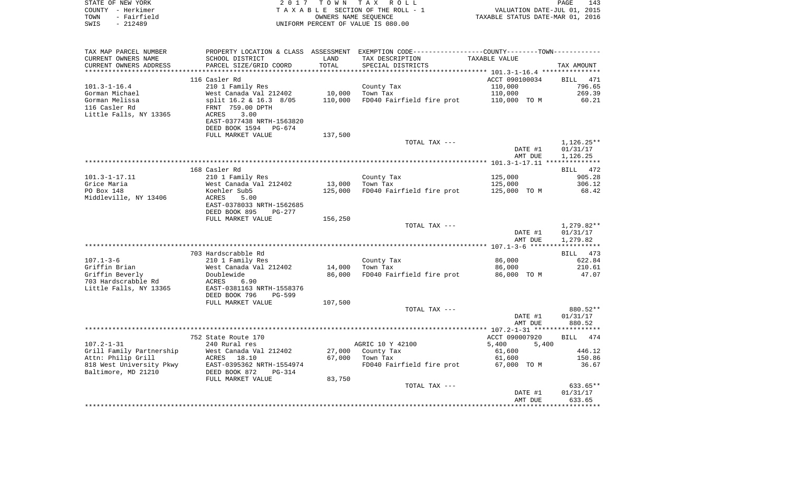| STATE OF NEW YORK                |                                                      | 2017 TOWN | TAX ROLL                                                                                      |                                                    | 143<br>PAGE                     |
|----------------------------------|------------------------------------------------------|-----------|-----------------------------------------------------------------------------------------------|----------------------------------------------------|---------------------------------|
| COUNTY - Herkimer<br>TOWN        |                                                      |           | TAXABLE SECTION OF THE ROLL - 1                                                               |                                                    | VALUATION DATE-JUL 01, 2015     |
| - Fairfield<br>SWIS<br>$-212489$ |                                                      |           | OWNERS NAME SEOUENCE<br>UNIFORM PERCENT OF VALUE IS 080.00                                    | TAXABLE STATUS DATE-MAR 01, 2016                   |                                 |
|                                  |                                                      |           |                                                                                               |                                                    |                                 |
| TAX MAP PARCEL NUMBER            |                                                      |           | PROPERTY LOCATION & CLASS ASSESSMENT EXEMPTION CODE---------------COUNTY-------TOWN---------- |                                                    |                                 |
| CURRENT OWNERS NAME              | SCHOOL DISTRICT                                      | LAND      | TAX DESCRIPTION                                                                               | TAXABLE VALUE                                      |                                 |
| CURRENT OWNERS ADDRESS           | PARCEL SIZE/GRID COORD                               | TOTAL     | SPECIAL DISTRICTS                                                                             |                                                    | TAX AMOUNT                      |
|                                  |                                                      | ******    |                                                                                               | *********** 101.3-1-16.4 ****************          |                                 |
|                                  | 116 Casler Rd                                        |           |                                                                                               | ACCT 090100034                                     | 471<br>BILL                     |
| $101.3 - 1 - 16.4$               | 210 1 Family Res                                     |           | County Tax                                                                                    | 110,000                                            | 796.65                          |
| Gorman Michael                   | West Canada Val 212402                               | 10,000    | Town Tax                                                                                      | 110,000                                            | 269.39                          |
| Gorman Melissa                   | split 16.2 & 16.3 8/05                               | 110,000   | FD040 Fairfield fire prot                                                                     | 110,000 TO M                                       | 60.21                           |
| 116 Casler Rd                    | FRNT 759.00 DPTH                                     |           |                                                                                               |                                                    |                                 |
| Little Falls, NY 13365           | 3.00<br>ACRES                                        |           |                                                                                               |                                                    |                                 |
|                                  | EAST-0377438 NRTH-1563820                            |           |                                                                                               |                                                    |                                 |
|                                  | DEED BOOK 1594<br>PG-674<br>FULL MARKET VALUE        |           |                                                                                               |                                                    |                                 |
|                                  |                                                      | 137,500   | TOTAL TAX ---                                                                                 |                                                    | $1,126.25**$                    |
|                                  |                                                      |           |                                                                                               | DATE #1                                            | 01/31/17                        |
|                                  |                                                      |           |                                                                                               | AMT DUE                                            | 1,126.25                        |
|                                  |                                                      |           |                                                                                               |                                                    |                                 |
|                                  | 168 Casler Rd                                        |           |                                                                                               |                                                    | 472<br>BILL                     |
| $101.3 - 1 - 17.11$              | 210 1 Family Res                                     |           | County Tax                                                                                    | 125,000                                            | 905.28                          |
| Grice Maria                      | West Canada Val 212402                               | 13,000    | Town Tax                                                                                      | 125,000                                            | 306.12                          |
| PO Box 148                       | Koehler Sub5                                         | 125,000   | FD040 Fairfield fire prot                                                                     | 125,000 TO M                                       | 68.42                           |
| Middleville, NY 13406            | ACRES<br>5.00                                        |           |                                                                                               |                                                    |                                 |
|                                  | EAST-0378033 NRTH-1562685<br>DEED BOOK 895<br>PG-277 |           |                                                                                               |                                                    |                                 |
|                                  | FULL MARKET VALUE                                    | 156,250   |                                                                                               |                                                    |                                 |
|                                  |                                                      |           | TOTAL TAX ---                                                                                 |                                                    | $1,279.82**$                    |
|                                  |                                                      |           |                                                                                               | DATE #1                                            | 01/31/17                        |
|                                  |                                                      |           |                                                                                               | AMT DUE                                            | 1,279.82                        |
|                                  |                                                      |           |                                                                                               |                                                    | ***********                     |
|                                  | 703 Hardscrabble Rd                                  |           |                                                                                               |                                                    | 473<br>BILL                     |
| $107.1 - 3 - 6$<br>Griffin Brian | 210 1 Family Res                                     | 14,000    | County Tax<br>Town Tax                                                                        | 86,000<br>86,000                                   | 622.84<br>210.61                |
| Griffin Beverly                  | West Canada Val 212402<br>Doublewide                 | 86,000    | FD040 Fairfield fire prot                                                                     | 86,000 TO M                                        | 47.07                           |
| 703 Hardscrabble Rd              | ACRES<br>6.90                                        |           |                                                                                               |                                                    |                                 |
| Little Falls, NY 13365           | EAST-0381163 NRTH-1558376                            |           |                                                                                               |                                                    |                                 |
|                                  | DEED BOOK 796<br>PG-599                              |           |                                                                                               |                                                    |                                 |
|                                  | FULL MARKET VALUE                                    | 107,500   |                                                                                               |                                                    |                                 |
|                                  |                                                      |           | TOTAL TAX ---                                                                                 |                                                    | 880.52**                        |
|                                  |                                                      |           |                                                                                               | DATE #1                                            | 01/31/17                        |
|                                  |                                                      |           |                                                                                               | AMT DUE                                            | 880.52<br>* * * * * * * * * * * |
|                                  | 752 State Route 170                                  |           |                                                                                               | ************** 107.2-1-31 ******<br>ACCT 090007920 | 474<br>BILL                     |
| $107.2 - 1 - 31$                 | 240 Rural res                                        |           | AGRIC 10 Y 42100                                                                              | 5,400<br>5,400                                     |                                 |
| Grill Family Partnership         | West Canada Val 212402                               | 27,000    | County Tax                                                                                    | 61,600                                             | 446.12                          |
| Attn: Philip Grill               | ACRES 18.10                                          | 67,000    | Town Tax                                                                                      | 61,600                                             | 150.86                          |
| 818 West University Pkwy         | EAST-0395362 NRTH-1554974                            |           | FD040 Fairfield fire prot                                                                     | 67,000 TO M                                        | 36.67                           |
| Baltimore, MD 21210              | DEED BOOK 872<br>PG-314                              |           |                                                                                               |                                                    |                                 |
|                                  | FULL MARKET VALUE                                    | 83,750    |                                                                                               |                                                    |                                 |
|                                  |                                                      |           | TOTAL TAX ---                                                                                 |                                                    | 633.65**                        |
|                                  |                                                      |           |                                                                                               | DATE #1                                            | 01/31/17                        |
|                                  |                                                      |           |                                                                                               | AMT DUE                                            | 633.65<br>* * * * * * * * *     |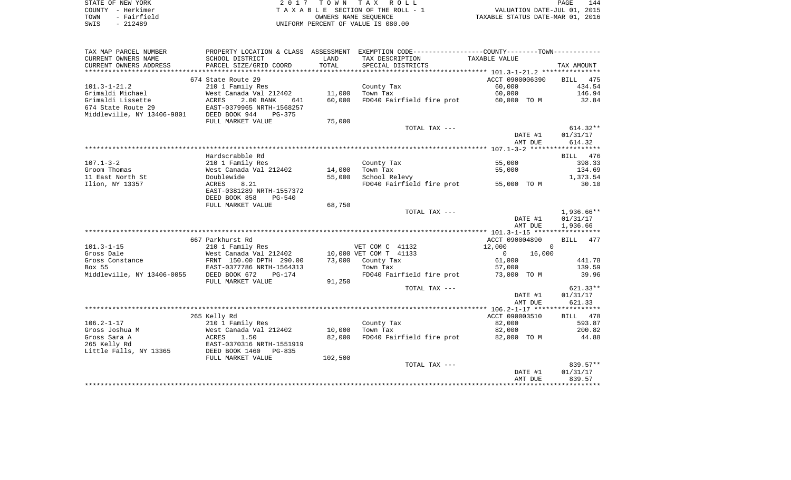| STATE OF NEW YORK   | 2017 TOWN TAX ROLL                 | 144<br>PAGE                      |
|---------------------|------------------------------------|----------------------------------|
| COUNTY - Herkimer   | TAXABLE SECTION OF THE ROLL - 1    | VALUATION DATE-JUL 01, 2015      |
| - Fairfield<br>TOWN | OWNERS NAME SEOUENCE               | TAXABLE STATUS DATE-MAR 01, 2016 |
| $-212489$<br>SWIS   | UNIFORM PERCENT OF VALUE IS 080.00 |                                  |

| TAX MAP PARCEL NUMBER      |                                |         | PROPERTY LOCATION & CLASS ASSESSMENT EXEMPTION CODE---------------COUNTY-------TOWN---------- |                          |                      |
|----------------------------|--------------------------------|---------|-----------------------------------------------------------------------------------------------|--------------------------|----------------------|
| CURRENT OWNERS NAME        | SCHOOL DISTRICT                | LAND    | TAX DESCRIPTION                                                                               | TAXABLE VALUE            |                      |
| CURRENT OWNERS ADDRESS     | PARCEL SIZE/GRID COORD         | TOTAL   | SPECIAL DISTRICTS                                                                             |                          | TAX AMOUNT           |
|                            |                                |         |                                                                                               |                          |                      |
|                            | 674 State Route 29             |         |                                                                                               | ACCT 0900006390          | BILL<br>475          |
| $101.3 - 1 - 21.2$         | 210 1 Family Res               |         | County Tax                                                                                    | 60,000                   | 434.54               |
| Grimaldi Michael           | West Canada Val 212402         | 11,000  | Town Tax                                                                                      | 60,000                   | 146.94               |
| Grimaldi Lissette          | 2.00 BANK<br>ACRES<br>641      | 60,000  | FD040 Fairfield fire prot                                                                     | 60,000 TO M              | 32.84                |
| 674 State Route 29         | EAST-0379965 NRTH-1568257      |         |                                                                                               |                          |                      |
| Middleville, NY 13406-9801 | DEED BOOK 944<br>$PG-375$      |         |                                                                                               |                          |                      |
|                            | FULL MARKET VALUE              | 75,000  |                                                                                               |                          |                      |
|                            |                                |         | TOTAL TAX ---                                                                                 |                          | $614.32**$           |
|                            |                                |         |                                                                                               | DATE #1                  | 01/31/17             |
|                            |                                |         |                                                                                               | AMT DUE                  | 614.32               |
|                            |                                |         |                                                                                               |                          |                      |
|                            | Hardscrabble Rd                |         |                                                                                               |                          | BILL 476             |
| $107.1 - 3 - 2$            | 210 1 Family Res               |         | County Tax                                                                                    | 55,000                   | 398.33               |
| Groom Thomas               | West Canada Val 212402         | 14,000  | Town Tax                                                                                      | 55,000                   | 134.69               |
| 11 East North St           | Doublewide                     | 55,000  | School Relevy                                                                                 |                          | 1,373.54             |
| Ilion, NY 13357            | ACRES<br>8.21                  |         | FD040 Fairfield fire prot                                                                     | 55,000 TO M              | 30.10                |
|                            | EAST-0381289 NRTH-1557372      |         |                                                                                               |                          |                      |
|                            | DEED BOOK 858<br><b>PG-540</b> |         |                                                                                               |                          |                      |
|                            | FULL MARKET VALUE              | 68,750  |                                                                                               |                          |                      |
|                            |                                |         | TOTAL TAX ---                                                                                 |                          | 1,936.66**           |
|                            |                                |         |                                                                                               | DATE #1<br>AMT DUE       | 01/31/17<br>1,936.66 |
|                            |                                |         |                                                                                               |                          |                      |
|                            | 667 Parkhurst Rd               |         |                                                                                               | ACCT 090004890           | BILL 477             |
| $101.3 - 1 - 15$           | 210 1 Family Res               |         | VET COM C 41132                                                                               | 12,000<br>$\Omega$       |                      |
| Gross Dale                 | West Canada Val 212402         |         | 10,000 VET COM T 41133                                                                        | 16,000<br>$\overline{0}$ |                      |
| Gross Constance            | FRNT 150.00 DPTH 290.00        | 73,000  | County Tax                                                                                    | 61,000                   | 441.78               |
| Box 55                     | EAST-0377786 NRTH-1564313      |         | Town Tax                                                                                      | 57,000                   | 139.59               |
| Middleville, NY 13406-0055 | DEED BOOK 672<br>$PG-174$      |         | FD040 Fairfield fire prot                                                                     | 73,000 TO M              | 39.96                |
|                            | FULL MARKET VALUE              | 91,250  |                                                                                               |                          |                      |
|                            |                                |         | TOTAL TAX ---                                                                                 |                          | 621.33**             |
|                            |                                |         |                                                                                               | DATE #1                  | 01/31/17             |
|                            |                                |         |                                                                                               | AMT DUE                  | 621.33               |
|                            |                                |         |                                                                                               |                          |                      |
|                            | 265 Kelly Rd                   |         |                                                                                               | ACCT 090003510           | BILL 478             |
| $106.2 - 1 - 17$           | 210 1 Family Res               |         | County Tax                                                                                    | 82,000                   | 593.87               |
| Gross Joshua M             | West Canada Val 212402         | 10,000  | Town Tax                                                                                      | 82,000                   | 200.82               |
| Gross Sara A               | ACRES<br>1.50                  | 82,000  | FD040 Fairfield fire prot 82,000 TO M                                                         |                          | 44.88                |
| 265 Kelly Rd               | EAST-0370316 NRTH-1551919      |         |                                                                                               |                          |                      |
| Little Falls, NY 13365     | DEED BOOK 1460<br>PG-835       |         |                                                                                               |                          |                      |
|                            | FULL MARKET VALUE              | 102,500 |                                                                                               |                          |                      |
|                            |                                |         | TOTAL TAX ---                                                                                 |                          | 839.57**             |
|                            |                                |         |                                                                                               | DATE #1                  | 01/31/17             |
|                            |                                |         |                                                                                               | AMT DUE                  | 839.57               |
|                            |                                |         |                                                                                               |                          |                      |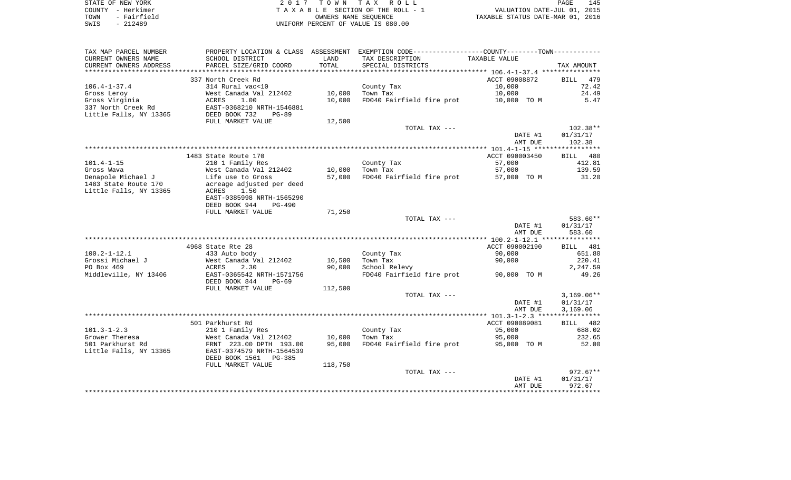| STATE OF NEW YORK   | 2017 TOWN TAX ROLL                 | 145<br>PAGE                      |
|---------------------|------------------------------------|----------------------------------|
| COUNTY - Herkimer   | TAXABLE SECTION OF THE ROLL - 1    | VALUATION DATE-JUL 01, 2015      |
| - Fairfield<br>TOWN | OWNERS NAME SEOUENCE               | TAXABLE STATUS DATE-MAR 01, 2016 |
| - 212489<br>SWIS    | UNIFORM PERCENT OF VALUE IS 080.00 |                                  |

 $\frac{145}{2015}$ 

| TAX MAP PARCEL NUMBER  |                              |         | PROPERTY LOCATION & CLASS ASSESSMENT EXEMPTION CODE---------------COUNTY-------TOWN--------- |                |              |
|------------------------|------------------------------|---------|----------------------------------------------------------------------------------------------|----------------|--------------|
| CURRENT OWNERS NAME    | SCHOOL DISTRICT              | LAND    | TAX DESCRIPTION                                                                              | TAXABLE VALUE  |              |
| CURRENT OWNERS ADDRESS | PARCEL SIZE/GRID COORD       | TOTAL   | SPECIAL DISTRICTS                                                                            |                | TAX AMOUNT   |
| ********************   | **************************** |         |                                                                                              |                |              |
|                        | 337 North Creek Rd           |         |                                                                                              | ACCT 09008872  | 479<br>BILL  |
| $106.4 - 1 - 37.4$     | 314 Rural vac<10             |         | County Tax                                                                                   | 10,000         | 72.42        |
| Gross Leroy            | West Canada Val 212402       | 10,000  | Town Tax                                                                                     | 10,000         | 24.49        |
| Gross Virginia         | ACRES<br>1.00                | 10,000  | FD040 Fairfield fire prot                                                                    | 10,000 TO M    | 5.47         |
| 337 North Creek Rd     | EAST-0368210 NRTH-1546881    |         |                                                                                              |                |              |
| Little Falls, NY 13365 | DEED BOOK 732<br>$PG-89$     |         |                                                                                              |                |              |
|                        | FULL MARKET VALUE            | 12,500  |                                                                                              |                |              |
|                        |                              |         | TOTAL TAX ---                                                                                |                | $102.38**$   |
|                        |                              |         |                                                                                              | DATE #1        | 01/31/17     |
|                        |                              |         |                                                                                              | AMT DUE        | 102.38       |
|                        |                              |         |                                                                                              |                |              |
|                        | 1483 State Route 170         |         |                                                                                              | ACCT 090003450 | BILL 480     |
| $101.4 - 1 - 15$       | 210 1 Family Res             |         | County Tax                                                                                   | 57,000         | 412.81       |
| Gross Wava             | West Canada Val 212402       | 10,000  | Town Tax                                                                                     | 57,000         | 139.59       |
| Denapole Michael J     | Life use to Gross            | 57,000  | FD040 Fairfield fire prot                                                                    | 57,000 TO M    | 31.20        |
| 1483 State Route 170   | acreage adjusted per deed    |         |                                                                                              |                |              |
| Little Falls, NY 13365 | ACRES<br>1.50                |         |                                                                                              |                |              |
|                        | EAST-0385998 NRTH-1565290    |         |                                                                                              |                |              |
|                        | DEED BOOK 944<br>$PG-490$    |         |                                                                                              |                |              |
|                        | FULL MARKET VALUE            | 71,250  |                                                                                              |                |              |
|                        |                              |         | TOTAL TAX ---                                                                                |                | 583.60**     |
|                        |                              |         |                                                                                              | DATE #1        | 01/31/17     |
|                        |                              |         |                                                                                              | AMT DUE        | 583.60       |
|                        |                              |         |                                                                                              |                |              |
|                        | 4968 State Rte 28            |         |                                                                                              | ACCT 090002190 | BILL 481     |
| $100.2 - 1 - 12.1$     | 433 Auto body                |         | County Tax                                                                                   | 90,000         | 651.80       |
| Grossi Michael J       | West Canada Val 212402       | 10,500  | Town Tax                                                                                     | 90,000         | 220.41       |
| PO Box 469             | ACRES<br>2.30                | 90,000  | School Relevy                                                                                |                | 2,247.59     |
| Middleville, NY 13406  | EAST-0365542 NRTH-1571756    |         | FD040 Fairfield fire prot                                                                    | 90,000 TO M    | 49.26        |
|                        | DEED BOOK 844<br>$PG-69$     |         |                                                                                              |                |              |
|                        | FULL MARKET VALUE            | 112,500 | TOTAL TAX ---                                                                                |                | $3,169.06**$ |
|                        |                              |         |                                                                                              | DATE #1        | 01/31/17     |
|                        |                              |         |                                                                                              | AMT DUE        | 3,169.06     |
|                        |                              |         |                                                                                              |                |              |
|                        | 501 Parkhurst Rd             |         |                                                                                              | ACCT 090089081 | BILL 482     |
| $101.3 - 1 - 2.3$      | 210 1 Family Res             |         | County Tax                                                                                   | 95,000         | 688.02       |
| Grower Theresa         | West Canada Val 212402       | 10,000  | Town Tax                                                                                     | 95,000         | 232.65       |
| 501 Parkhurst Rd       | FRNT 223.00 DPTH 193.00      | 95,000  | FD040 Fairfield fire prot                                                                    | 95,000 TO M    | 52.00        |
| Little Falls, NY 13365 | EAST-0374579 NRTH-1564539    |         |                                                                                              |                |              |
|                        | DEED BOOK 1561<br>PG-385     |         |                                                                                              |                |              |
|                        | FULL MARKET VALUE            | 118,750 |                                                                                              |                |              |
|                        |                              |         | TOTAL TAX ---                                                                                |                | $972.67**$   |
|                        |                              |         |                                                                                              | DATE #1        | 01/31/17     |
|                        |                              |         |                                                                                              | AMT DUE        | 972.67       |
|                        |                              |         |                                                                                              |                |              |
|                        |                              |         |                                                                                              |                |              |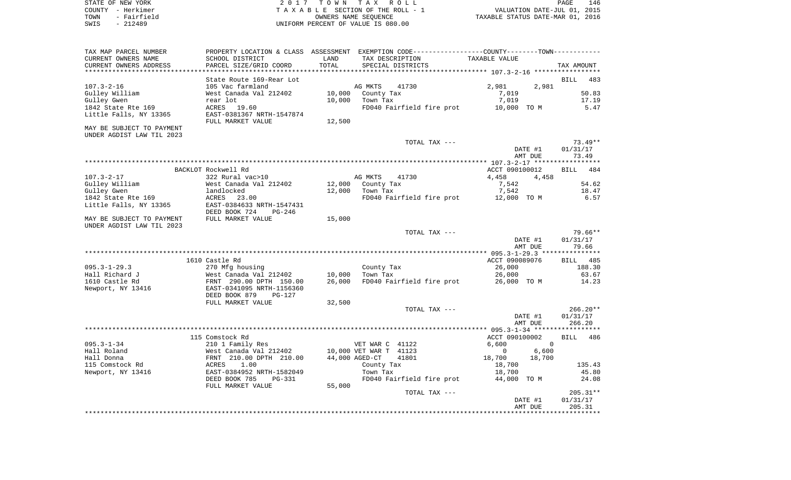|      | STATE OF NEW YORK | 2017 TOWN TAX ROLL                 |                                  | PAGE | 146 |
|------|-------------------|------------------------------------|----------------------------------|------|-----|
|      | COUNTY - Herkimer | TAXABLE SECTION OF THE ROLL - 1    | VALUATION DATE-JUL 01, 2015      |      |     |
| TOWN | - Fairfield       | OWNERS NAME SEOUENCE               | TAXABLE STATUS DATE-MAR 01, 2016 |      |     |
| SWIS | - 212489          | UNIFORM PERCENT OF VALUE IS 080.00 |                                  |      |     |

 $\frac{146}{2015}$ <br>2016

| TAX MAP PARCEL NUMBER     |                                |                | PROPERTY LOCATION & CLASS ASSESSMENT EXEMPTION CODE----------------COUNTY--------TOWN----------- |                                           |                    |
|---------------------------|--------------------------------|----------------|--------------------------------------------------------------------------------------------------|-------------------------------------------|--------------------|
| CURRENT OWNERS NAME       | SCHOOL DISTRICT                | LAND           | TAX DESCRIPTION                                                                                  | TAXABLE VALUE                             |                    |
| CURRENT OWNERS ADDRESS    | PARCEL SIZE/GRID COORD         | TOTAL          | SPECIAL DISTRICTS                                                                                |                                           | TAX AMOUNT         |
|                           |                                |                |                                                                                                  | ****************** 107.3-2-16 *********** |                    |
|                           | State Route 169-Rear Lot       |                |                                                                                                  |                                           | BILL<br>483        |
| $107.3 - 2 - 16$          | 105 Vac farmland               |                | AG MKTS<br>41730                                                                                 | 2,981<br>2,981                            |                    |
| Gulley William            | West Canada Val 212402         | 10,000         | County Tax                                                                                       | 7,019                                     | 50.83              |
| Gulley Gwen               | rear lot                       | 10,000         | Town Tax                                                                                         | 7,019                                     | 17.19              |
| 1842 State Rte 169        | ACRES<br>19.60                 |                | FD040 Fairfield fire prot                                                                        | 10,000 TO M                               | 5.47               |
| Little Falls, NY 13365    | EAST-0381367 NRTH-1547874      |                |                                                                                                  |                                           |                    |
|                           | FULL MARKET VALUE              | 12,500         |                                                                                                  |                                           |                    |
| MAY BE SUBJECT TO PAYMENT |                                |                |                                                                                                  |                                           |                    |
| UNDER AGDIST LAW TIL 2023 |                                |                |                                                                                                  |                                           |                    |
|                           |                                |                |                                                                                                  |                                           |                    |
|                           |                                |                | TOTAL TAX ---                                                                                    |                                           | $73.49**$          |
|                           |                                |                |                                                                                                  | DATE #1                                   | 01/31/17           |
|                           |                                |                |                                                                                                  | AMT DUE                                   | 73.49              |
|                           |                                |                |                                                                                                  |                                           |                    |
|                           | BACKLOT Rockwell Rd            |                |                                                                                                  | ACCT 090100012                            | <b>BILL</b><br>484 |
| $107.3 - 2 - 17$          | 322 Rural vac>10               |                | AG MKTS<br>41730                                                                                 | 4,458<br>4,458                            |                    |
| Gulley William            | West Canada Val 212402         | 12,000         | County Tax                                                                                       | 7,542                                     | 54.62              |
| Gulley Gwen               | landlocked                     | 12,000         | Town Tax                                                                                         | 7,542                                     | 18.47              |
| 1842 State Rte 169        | ACRES<br>23.00                 |                | FD040 Fairfield fire prot                                                                        | 12,000 TO M                               | 6.57               |
| Little Falls, NY 13365    | EAST-0384633 NRTH-1547431      |                |                                                                                                  |                                           |                    |
|                           | DEED BOOK 724<br>PG-246        |                |                                                                                                  |                                           |                    |
| MAY BE SUBJECT TO PAYMENT | FULL MARKET VALUE              | 15,000         |                                                                                                  |                                           |                    |
| UNDER AGDIST LAW TIL 2023 |                                |                |                                                                                                  |                                           |                    |
|                           |                                |                | TOTAL TAX ---                                                                                    |                                           | 79.66**            |
|                           |                                |                |                                                                                                  | DATE #1                                   | 01/31/17           |
|                           |                                |                |                                                                                                  | AMT DUE                                   | 79.66              |
|                           |                                |                |                                                                                                  |                                           |                    |
|                           | 1610 Castle Rd                 |                |                                                                                                  | ACCT 090089076                            | <b>BILL</b> 485    |
| $095.3 - 1 - 29.3$        | 270 Mfg housing                |                | County Tax                                                                                       | 26,000                                    | 188.30             |
| Hall Richard J            | West Canada Val 212402         | 10,000         | Town Tax                                                                                         | 26,000                                    | 63.67              |
| 1610 Castle Rd            | FRNT 290.00 DPTH 150.00        | 26,000         | FD040 Fairfield fire prot                                                                        | 26,000 TO M                               | 14.23              |
|                           |                                |                |                                                                                                  |                                           |                    |
| Newport, NY 13416         | EAST-0341095 NRTH-1156360      |                |                                                                                                  |                                           |                    |
|                           | DEED BOOK 879<br>$PG-127$      |                |                                                                                                  |                                           |                    |
|                           | FULL MARKET VALUE              | 32,500         |                                                                                                  |                                           |                    |
|                           |                                |                | TOTAL TAX ---                                                                                    |                                           | $266.20**$         |
|                           |                                |                |                                                                                                  | DATE #1                                   | 01/31/17           |
|                           |                                |                |                                                                                                  | AMT DUE                                   | 266.20             |
|                           |                                |                |                                                                                                  |                                           |                    |
|                           | 115 Comstock Rd                |                |                                                                                                  | ACCT 090100002                            | BILL 486           |
| $095.3 - 1 - 34$          | 210 1 Family Res               |                | VET WAR C 41122                                                                                  | 6,600<br>$\Omega$                         |                    |
| Hall Roland               | West Canada Val 212402         |                | 10,000 VET WAR T 41123                                                                           | $\mathbf 0$<br>6,600                      |                    |
| Hall Donna                | FRNT 210.00 DPTH 210.00        | 44,000 AGED-CT | 41801                                                                                            | 18,700<br>18,700                          |                    |
| 115 Comstock Rd           | 1.00<br>ACRES                  |                | County Tax                                                                                       | 18,700                                    | 135.43             |
| Newport, NY 13416         | EAST-0384952 NRTH-1582049      |                | Town Tax                                                                                         | 18,700                                    | 45.80              |
|                           | DEED BOOK 785<br><b>PG-331</b> |                | FD040 Fairfield fire prot                                                                        | 44,000 TO M                               | 24.08              |
|                           | FULL MARKET VALUE              | 55,000         |                                                                                                  |                                           |                    |
|                           |                                |                | TOTAL TAX ---                                                                                    |                                           | $205.31**$         |
|                           |                                |                |                                                                                                  | DATE #1                                   | 01/31/17           |
|                           |                                |                |                                                                                                  | AMT DUE                                   | 205.31             |
|                           |                                |                |                                                                                                  |                                           |                    |
|                           |                                |                |                                                                                                  |                                           |                    |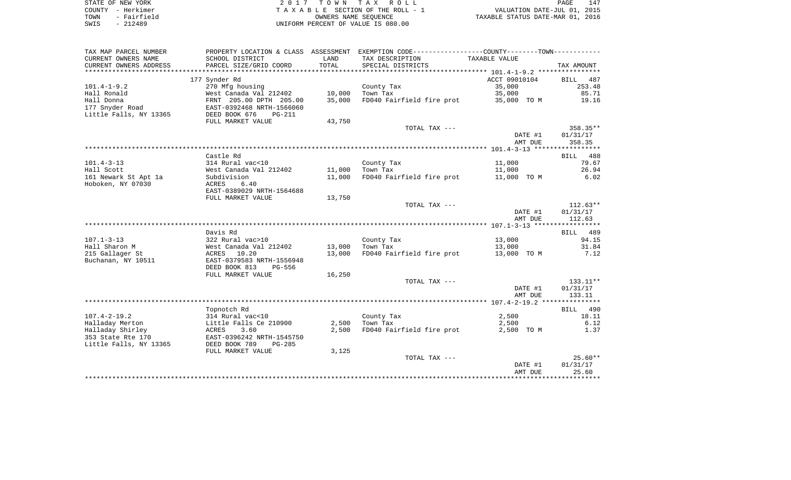| STATE OF NEW YORK   | 2017 TOWN TAX ROLL                 | 147<br>PAGE                      |
|---------------------|------------------------------------|----------------------------------|
| COUNTY - Herkimer   | TAXABLE SECTION OF THE ROLL - 1    | VALUATION DATE-JUL 01, 2015      |
| - Fairfield<br>TOWN | OWNERS NAME SEOUENCE               | TAXABLE STATUS DATE-MAR 01, 2016 |
| SWIS<br>$-212489$   | UNIFORM PERCENT OF VALUE IS 080.00 |                                  |

| TAX MAP PARCEL NUMBER  |                                            |        | PROPERTY LOCATION & CLASS ASSESSMENT EXEMPTION CODE----------------COUNTY--------TOWN---------- |                  |                |
|------------------------|--------------------------------------------|--------|-------------------------------------------------------------------------------------------------|------------------|----------------|
| CURRENT OWNERS NAME    | SCHOOL DISTRICT                            | LAND   | TAX DESCRIPTION                                                                                 | TAXABLE VALUE    |                |
| CURRENT OWNERS ADDRESS | PARCEL SIZE/GRID COORD                     | TOTAL  | SPECIAL DISTRICTS                                                                               |                  | TAX AMOUNT     |
|                        |                                            |        |                                                                                                 |                  |                |
|                        | 177 Synder Rd                              |        |                                                                                                 | ACCT 09010104    | BILL<br>487    |
| $101.4 - 1 - 9.2$      | 270 Mfg housing                            |        | County Tax                                                                                      | 35,000           | 253.48         |
| Hall Ronald            | West Canada Val 212402                     | 10,000 | Town Tax                                                                                        | 35,000           | 85.71          |
| Hall Donna             | FRNT 205.00 DPTH 205.00                    | 35,000 | FD040 Fairfield fire prot                                                                       | 35,000 TO M      | 19.16          |
| 177 Snyder Road        | EAST-0392468 NRTH-1566060                  |        |                                                                                                 |                  |                |
| Little Falls, NY 13365 | DEED BOOK 676<br>$PG-211$                  |        |                                                                                                 |                  |                |
|                        | FULL MARKET VALUE                          | 43,750 |                                                                                                 |                  |                |
|                        |                                            |        | TOTAL TAX ---                                                                                   |                  | 358.35**       |
|                        |                                            |        |                                                                                                 | DATE #1          | 01/31/17       |
|                        |                                            |        |                                                                                                 | AMT DUE          | 358.35         |
|                        |                                            |        |                                                                                                 |                  |                |
|                        | Castle Rd                                  |        |                                                                                                 |                  | BILL 488       |
| $101.4 - 3 - 13$       | 314 Rural vac<10                           |        | County Tax                                                                                      | 11,000           | 79.67          |
| Hall Scott             | West Canada Val 212402                     | 11,000 | Town Tax                                                                                        | 11,000           | 26.94          |
| 161 Newark St Apt 1a   | Subdivision                                | 11,000 | FD040 Fairfield fire prot                                                                       | 11,000 TO M      | 6.02           |
| Hoboken, NY 07030      | ACRES<br>6.40                              |        |                                                                                                 |                  |                |
|                        | EAST-0389029 NRTH-1564688                  |        |                                                                                                 |                  |                |
|                        | FULL MARKET VALUE                          | 13,750 |                                                                                                 |                  |                |
|                        |                                            |        | TOTAL TAX ---                                                                                   |                  | $112.63**$     |
|                        |                                            |        |                                                                                                 | DATE #1          | 01/31/17       |
|                        |                                            |        |                                                                                                 | AMT DUE          | 112.63         |
|                        |                                            |        |                                                                                                 |                  |                |
| $107.1 - 3 - 13$       | Davis Rd                                   |        |                                                                                                 |                  | BILL 489       |
| Hall Sharon M          | 322 Rural vac>10<br>West Canada Val 212402 | 13,000 | County Tax<br>Town Tax                                                                          | 13,000<br>13,000 | 94.15<br>31.84 |
| 215 Gallager St        | ACRES 10.20                                | 13,000 | FD040 Fairfield fire prot 13,000 TO M                                                           |                  | 7.12           |
| Buchanan, NY 10511     | EAST-0379583 NRTH-1556948                  |        |                                                                                                 |                  |                |
|                        | DEED BOOK 813<br>PG-556                    |        |                                                                                                 |                  |                |
|                        | FULL MARKET VALUE                          | 16,250 |                                                                                                 |                  |                |
|                        |                                            |        | TOTAL TAX ---                                                                                   |                  | 133.11**       |
|                        |                                            |        |                                                                                                 | DATE #1          | 01/31/17       |
|                        |                                            |        |                                                                                                 | AMT DUE          | 133.11         |
|                        |                                            |        |                                                                                                 |                  |                |
|                        | Topnotch Rd                                |        |                                                                                                 |                  | BILL<br>490    |
| $107.4 - 2 - 19.2$     | 314 Rural vac<10                           |        | County Tax                                                                                      | 2,500            | 18.11          |
| Halladay Merton        | Little Falls Ce 210900                     | 2,500  | Town Tax                                                                                        | 2,500            | 6.12           |
| Halladay Shirley       | 3.60<br>ACRES                              | 2,500  | FD040 Fairfield fire prot                                                                       | 2,500 TO M       | 1.37           |
| 353 State Rte 170      | EAST-0396242 NRTH-1545750                  |        |                                                                                                 |                  |                |
| Little Falls, NY 13365 | DEED BOOK 789<br>$PG-285$                  |        |                                                                                                 |                  |                |
|                        | FULL MARKET VALUE                          | 3,125  |                                                                                                 |                  |                |
|                        |                                            |        | TOTAL TAX ---                                                                                   |                  | $25.60**$      |
|                        |                                            |        |                                                                                                 | DATE #1          | 01/31/17       |
|                        |                                            |        |                                                                                                 | AMT DUE          | 25.60          |
|                        |                                            |        |                                                                                                 |                  | ***********    |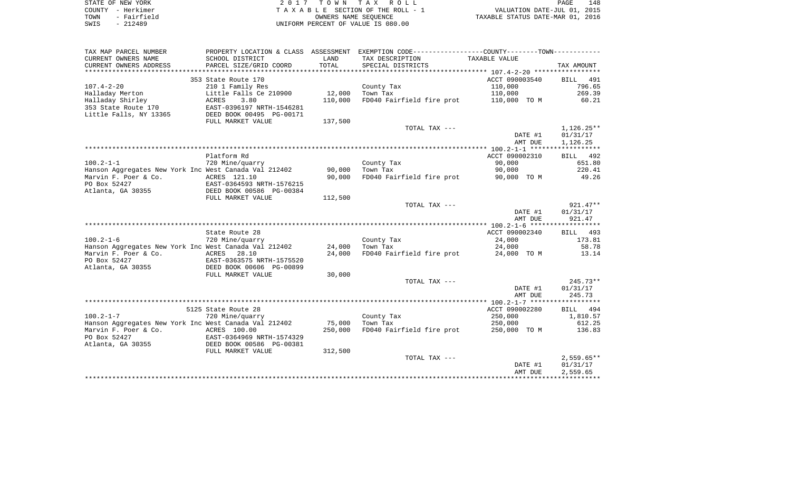|      | STATE OF NEW YORK | 2017 TOWN TAX ROLL                 | PAGE                             | 148 |
|------|-------------------|------------------------------------|----------------------------------|-----|
|      | COUNTY - Herkimer | TAXABLE SECTION OF THE ROLL - 1    | VALUATION DATE-JUL 01, 2015      |     |
| TOWN | - Fairfield       | OWNERS NAME SEOUENCE               | TAXABLE STATUS DATE-MAR 01, 2016 |     |
| SWIS | - 212489          | UNIFORM PERCENT OF VALUE IS 080.00 |                                  |     |

| TAX MAP PARCEL NUMBER                                 |                                           |         | PROPERTY LOCATION & CLASS ASSESSMENT EXEMPTION CODE----------------COUNTY--------TOWN---------- |                                    |                    |
|-------------------------------------------------------|-------------------------------------------|---------|-------------------------------------------------------------------------------------------------|------------------------------------|--------------------|
| CURRENT OWNERS NAME                                   | SCHOOL DISTRICT                           | LAND    | TAX DESCRIPTION                                                                                 | TAXABLE VALUE                      |                    |
| CURRENT OWNERS ADDRESS                                | PARCEL SIZE/GRID COORD                    | TOTAL   | SPECIAL DISTRICTS                                                                               |                                    | TAX AMOUNT         |
|                                                       |                                           |         |                                                                                                 |                                    |                    |
|                                                       | 353 State Route 170                       |         |                                                                                                 | ACCT 090003540                     | BILL<br>491        |
| $107.4 - 2 - 20$                                      | 210 1 Family Res                          |         | County Tax                                                                                      | 110,000                            | 796.65             |
| Halladay Merton                                       | Little Falls Ce 210900                    | 12,000  | Town Tax                                                                                        | 110,000                            | 269.39             |
| Halladay Shirley                                      | 3.80<br>ACRES                             | 110,000 | FD040 Fairfield fire prot                                                                       | 110,000 TO M                       | 60.21              |
| 353 State Route 170                                   | EAST-0396197 NRTH-1546281                 |         |                                                                                                 |                                    |                    |
| Little Falls, NY 13365                                | DEED BOOK 00495 PG-00171                  |         |                                                                                                 |                                    |                    |
|                                                       | FULL MARKET VALUE                         | 137,500 |                                                                                                 |                                    |                    |
|                                                       |                                           |         | TOTAL TAX ---                                                                                   |                                    | $1,126.25**$       |
|                                                       |                                           |         |                                                                                                 | DATE #1                            | 01/31/17           |
|                                                       |                                           |         |                                                                                                 | AMT DUE                            | 1,126.25           |
|                                                       |                                           |         |                                                                                                 |                                    |                    |
|                                                       | Platform Rd                               |         |                                                                                                 | ACCT 090002310                     | BILL 492           |
| $100.2 - 1 - 1$                                       | 720 Mine/quarry                           |         | County Tax                                                                                      | 90,000                             | 651.80             |
| Hanson Aggregates New York Inc West Canada Val 212402 |                                           | 90,000  | Town Tax                                                                                        | 90,000                             | 220.41             |
| Marvin F. Poer & Co.                                  | ACRES 121.10                              | 90,000  | FD040 Fairfield fire prot 90,000 TO M                                                           |                                    | 49.26              |
| PO Box 52427                                          | EAST-0364593 NRTH-1576215                 |         |                                                                                                 |                                    |                    |
| Atlanta, GA 30355                                     | DEED BOOK 00586 PG-00384                  |         |                                                                                                 |                                    |                    |
|                                                       | FULL MARKET VALUE                         | 112,500 |                                                                                                 |                                    |                    |
|                                                       |                                           |         | TOTAL TAX ---                                                                                   |                                    | $921.47**$         |
|                                                       |                                           |         |                                                                                                 | DATE #1                            | 01/31/17           |
|                                                       |                                           |         |                                                                                                 | AMT DUE                            | 921.47             |
|                                                       |                                           |         |                                                                                                 |                                    |                    |
|                                                       | State Route 28                            |         |                                                                                                 | ACCT 090002340                     | BILL 493           |
| $100.2 - 1 - 6$                                       | 720 Mine/quarry                           |         | County Tax                                                                                      | 24,000                             | 173.81             |
| Hanson Aggregates New York Inc West Canada Val 212402 |                                           | 24,000  | Town Tax                                                                                        | 24,000                             | 58.78              |
| Marvin F. Poer & Co.                                  | ACRES 28.10                               | 24,000  | FD040 Fairfield fire prot 24,000 TO M                                                           |                                    | 13.14              |
| PO Box 52427                                          | EAST-0363575 NRTH-1575520                 |         |                                                                                                 |                                    |                    |
| Atlanta, GA 30355                                     | DEED BOOK 00606 PG-00899                  |         |                                                                                                 |                                    |                    |
|                                                       | FULL MARKET VALUE                         | 30,000  |                                                                                                 |                                    |                    |
|                                                       |                                           |         | TOTAL TAX ---                                                                                   |                                    | $245.73**$         |
|                                                       |                                           |         |                                                                                                 | DATE #1                            | 01/31/17           |
|                                                       |                                           |         |                                                                                                 | AMT DUE                            | 245.73             |
|                                                       |                                           |         |                                                                                                 | ACCT 090002280                     | BILL 494           |
| $100.2 - 1 - 7$                                       | 5125 State Route 28                       |         |                                                                                                 | 250,000                            |                    |
| Hanson Aggregates New York Inc West Canada Val 212402 | 720 Mine/quarry                           | 75,000  | County Tax<br>Town Tax                                                                          | 250,000                            | 1,810.57<br>612.25 |
| Marvin F. Poer & Co.                                  |                                           | 250,000 | FD040 Fairfield fire prot 250,000 TO M                                                          |                                    | 136.83             |
| PO Box 52427                                          | ACRES 100.00<br>EAST-0364969 NRTH-1574329 |         |                                                                                                 |                                    |                    |
| Atlanta, GA 30355 DEED BOOK 00586 PG-00381            |                                           |         |                                                                                                 |                                    |                    |
|                                                       | FULL MARKET VALUE                         | 312,500 |                                                                                                 |                                    |                    |
|                                                       |                                           |         | TOTAL TAX ---                                                                                   |                                    | $2,559.65**$       |
|                                                       |                                           |         |                                                                                                 | DATE #1                            | 01/31/17           |
|                                                       |                                           |         |                                                                                                 | AMT DUE                            | 2,559.65           |
|                                                       |                                           |         |                                                                                                 | ********************************** |                    |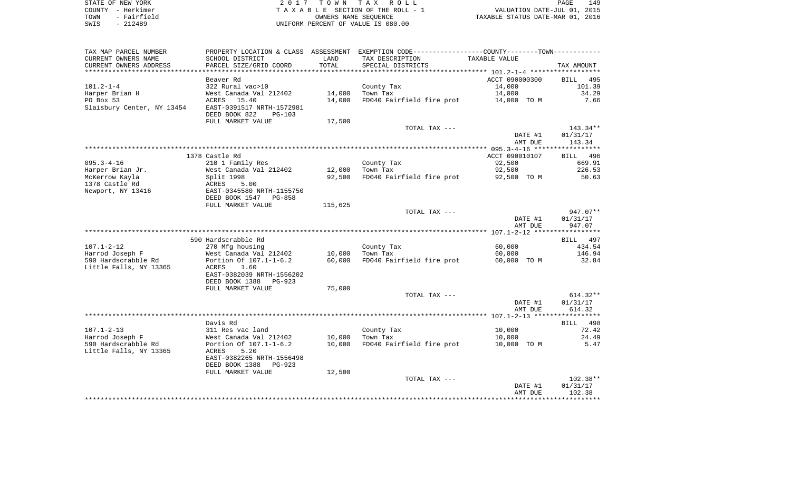| STATE OF NEW YORK   | 2017 TOWN TAX ROLL                 | 149<br>PAGE                      |
|---------------------|------------------------------------|----------------------------------|
| COUNTY - Herkimer   | TAXABLE SECTION OF THE ROLL - 1    | VALUATION DATE-JUL 01, 2015      |
| - Fairfield<br>TOWN | OWNERS NAME SEOUENCE               | TAXABLE STATUS DATE-MAR 01, 2016 |
| - 212489<br>SWIS    | UNIFORM PERCENT OF VALUE IS 080.00 |                                  |

149<br>2015<br>2016

| TAX MAP PARCEL NUMBER            | PROPERTY LOCATION & CLASS ASSESSMENT                  |                      | EXEMPTION CODE-----------------COUNTY-------TOWN----------- |                |             |
|----------------------------------|-------------------------------------------------------|----------------------|-------------------------------------------------------------|----------------|-------------|
| CURRENT OWNERS NAME              | SCHOOL DISTRICT                                       | LAND                 | TAX DESCRIPTION                                             | TAXABLE VALUE  |             |
| CURRENT OWNERS ADDRESS           | PARCEL SIZE/GRID COORD                                | TOTAL<br>*********** | SPECIAL DISTRICTS                                           |                | TAX AMOUNT  |
|                                  | Beaver Rd                                             |                      |                                                             | ACCT 090000300 | BILL 495    |
| $101.2 - 1 - 4$                  | 322 Rural vac>10                                      |                      | County Tax                                                  | 14,000         | 101.39      |
| Harper Brian H                   | West Canada Val 212402                                | 14,000               | Town Tax                                                    | 14,000         | 34.29       |
| PO Box 53                        | ACRES 15.40                                           | 14,000               | FD040 Fairfield fire prot                                   | 14,000 TO M    | 7.66        |
| Slaisbury Center, NY 13454       | EAST-0391517 NRTH-1572981                             |                      |                                                             |                |             |
|                                  | DEED BOOK 822<br>$PG-103$                             |                      |                                                             |                |             |
|                                  | FULL MARKET VALUE                                     | 17,500               |                                                             |                |             |
|                                  |                                                       |                      | TOTAL TAX ---                                               |                | $143.34**$  |
|                                  |                                                       |                      |                                                             | DATE #1        | 01/31/17    |
|                                  |                                                       |                      |                                                             | AMT DUE        | 143.34      |
|                                  |                                                       |                      |                                                             |                | *********** |
|                                  | 1378 Castle Rd                                        |                      |                                                             | ACCT 090010107 | BILL 496    |
| $095.3 - 4 - 16$                 | 210 1 Family Res                                      |                      | County Tax                                                  | 92,500         | 669.91      |
| Harper Brian Jr.                 | West Canada Val 212402                                | 12,000               | Town Tax                                                    | 92,500         | 226.53      |
| McKerrow Kayla<br>1378 Castle Rd | Split 1998<br>5.00<br>ACRES                           | 92,500               | FD040 Fairfield fire prot                                   | 92,500 TO M    | 50.63       |
| Newport, NY 13416                | EAST-0345580 NRTH-1155750                             |                      |                                                             |                |             |
|                                  | DEED BOOK 1547 PG-858                                 |                      |                                                             |                |             |
|                                  | FULL MARKET VALUE                                     | 115,625              |                                                             |                |             |
|                                  |                                                       |                      | TOTAL TAX ---                                               |                | 947.07**    |
|                                  |                                                       |                      |                                                             | DATE #1        | 01/31/17    |
|                                  |                                                       |                      |                                                             | AMT DUE        | 947.07      |
|                                  |                                                       |                      |                                                             |                |             |
|                                  | 590 Hardscrabble Rd                                   |                      |                                                             |                | BILL 497    |
| $107.1 - 2 - 12$                 | 270 Mfg housing                                       |                      | County Tax                                                  | 60,000         | 434.54      |
| Harrod Joseph F                  | West Canada Val 212402                                | 10,000               | Town Tax                                                    | 60,000         | 146.94      |
| 590 Hardscrabble Rd              | Portion Of 107.1-1-6.2                                | 60,000               | FD040 Fairfield fire prot                                   | 60,000 TO M    | 32.84       |
| Little Falls, NY 13365           | 1.60<br>ACRES<br>EAST-0382039 NRTH-1556202            |                      |                                                             |                |             |
|                                  | DEED BOOK 1388<br>PG-923                              |                      |                                                             |                |             |
|                                  | FULL MARKET VALUE                                     | 75,000               |                                                             |                |             |
|                                  |                                                       |                      | TOTAL TAX ---                                               |                | $614.32**$  |
|                                  |                                                       |                      |                                                             | DATE #1        | 01/31/17    |
|                                  |                                                       |                      |                                                             | AMT DUE        | 614.32      |
|                                  |                                                       |                      |                                                             |                |             |
|                                  | Davis Rd                                              |                      |                                                             |                | BILL 498    |
| $107.1 - 2 - 13$                 | 311 Res vac land                                      |                      | County Tax                                                  | 10,000         | 72.42       |
| Harrod Joseph F                  | West Canada Val 212402                                | 10,000               | Town Tax                                                    | 10,000         | 24.49       |
| 590 Hardscrabble Rd              | Portion Of 107.1-1-6.2                                | 10,000               | FD040 Fairfield fire prot                                   | 10,000 TO M    | 5.47        |
| Little Falls, NY 13365           | 5.20<br>ACRES                                         |                      |                                                             |                |             |
|                                  | EAST-0382265 NRTH-1556498<br>DEED BOOK 1388<br>PG-923 |                      |                                                             |                |             |
|                                  |                                                       |                      |                                                             |                |             |
|                                  | FULL MARKET VALUE                                     | 12,500               | TOTAL TAX ---                                               |                | $102.38**$  |
|                                  |                                                       |                      |                                                             | DATE #1        | 01/31/17    |
|                                  |                                                       |                      |                                                             | AMT DUE        | 102.38      |
|                                  |                                                       |                      |                                                             |                |             |
|                                  |                                                       |                      |                                                             |                |             |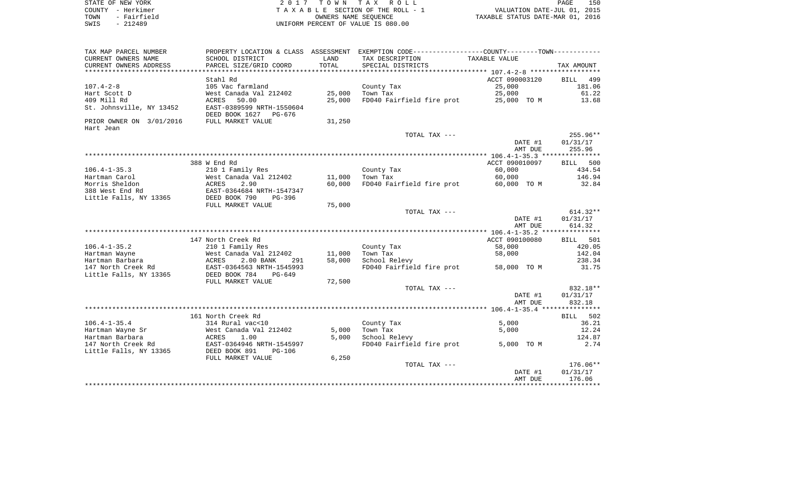| STATE OF NEW YORK   | 2017 TOWN TAX ROLL                 | 150<br>PAGE                      |
|---------------------|------------------------------------|----------------------------------|
| COUNTY - Herkimer   | TAXABLE SECTION OF THE ROLL - 1    | VALUATION DATE-JUL 01, 2015      |
| - Fairfield<br>TOWN | OWNERS NAME SEOUENCE               | TAXABLE STATUS DATE-MAR 01, 2016 |
| $-212489$<br>SWIS   | UNIFORM PERCENT OF VALUE IS 080.00 |                                  |

| TAX MAP PARCEL NUMBER<br>CURRENT OWNERS NAME | SCHOOL DISTRICT                                             | LAND   | PROPERTY LOCATION & CLASS ASSESSMENT EXEMPTION CODE---------------COUNTY-------TOWN---------<br>TAX DESCRIPTION | TAXABLE VALUE  |                    |
|----------------------------------------------|-------------------------------------------------------------|--------|-----------------------------------------------------------------------------------------------------------------|----------------|--------------------|
| CURRENT OWNERS ADDRESS                       | PARCEL SIZE/GRID COORD                                      | TOTAL  | SPECIAL DISTRICTS                                                                                               |                | TAX AMOUNT         |
|                                              |                                                             |        |                                                                                                                 |                |                    |
|                                              | Stahl Rd                                                    |        |                                                                                                                 | ACCT 090003120 | 499<br>BILL        |
| $107.4 - 2 - 8$                              | 105 Vac farmland                                            |        | County Tax                                                                                                      | 25,000         | 181.06             |
| Hart Scott D                                 | West Canada Val 212402                                      | 25,000 | Town Tax                                                                                                        | 25,000         | 61.22              |
| 409 Mill Rd                                  | 50.00<br>ACRES                                              | 25,000 | FD040 Fairfield fire prot                                                                                       | 25,000 TO M    | 13.68              |
| St. Johnsville, NY 13452                     | EAST-0389599 NRTH-1550604<br>DEED BOOK 1627<br>PG-676       |        |                                                                                                                 |                |                    |
| PRIOR OWNER ON 3/01/2016<br>Hart Jean        | FULL MARKET VALUE                                           | 31,250 |                                                                                                                 |                |                    |
|                                              |                                                             |        | TOTAL TAX ---                                                                                                   |                | 255.96**           |
|                                              |                                                             |        |                                                                                                                 | DATE #1        | 01/31/17           |
|                                              |                                                             |        |                                                                                                                 | AMT DUE        | 255.96             |
|                                              |                                                             |        |                                                                                                                 |                |                    |
|                                              | 388 W End Rd                                                |        |                                                                                                                 | ACCT 090010097 | 500<br>BILL        |
| $106.4 - 1 - 35.3$                           | 210 1 Family Res                                            |        | County Tax                                                                                                      | 60,000         | 434.54             |
| Hartman Carol                                | West Canada Val 212402                                      | 11,000 | Town Tax                                                                                                        | 60,000         | 146.94             |
| Morris Sheldon                               | ACRES<br>2.90                                               | 60,000 | FD040 Fairfield fire prot                                                                                       | 60,000 TO M    | 32.84              |
| 388 West End Rd                              | EAST-0364684 NRTH-1547347                                   |        |                                                                                                                 |                |                    |
| Little Falls, NY 13365                       | DEED BOOK 790<br>$PG-396$                                   |        |                                                                                                                 |                |                    |
|                                              | FULL MARKET VALUE                                           | 75,000 |                                                                                                                 |                |                    |
|                                              |                                                             |        | TOTAL TAX ---                                                                                                   |                | $614.32**$         |
|                                              |                                                             |        |                                                                                                                 | DATE #1        | 01/31/17           |
|                                              |                                                             |        |                                                                                                                 | AMT DUE        | 614.32             |
|                                              |                                                             |        |                                                                                                                 |                |                    |
|                                              | 147 North Creek Rd                                          |        |                                                                                                                 | ACCT 090100080 | 501<br>BILL        |
| $106.4 - 1 - 35.2$                           | 210 1 Family Res                                            |        | County Tax                                                                                                      | 58,000         | 420.05             |
| Hartman Wayne                                | West Canada Val 212402                                      | 11,000 | Town Tax                                                                                                        | 58,000         | 142.04             |
| Hartman Barbara                              | ACRES<br>2.00 BANK<br>291                                   | 58,000 | School Relevy                                                                                                   |                | 238.34<br>31.75    |
| 147 North Creek Rd<br>Little Falls, NY 13365 | EAST-0364563 NRTH-1545993<br>DEED BOOK 784<br>$PG-649$      |        | FD040 Fairfield fire prot                                                                                       | 58,000 TO M    |                    |
|                                              | FULL MARKET VALUE                                           | 72,500 |                                                                                                                 |                |                    |
|                                              |                                                             |        | TOTAL TAX ---                                                                                                   |                | 832.18**           |
|                                              |                                                             |        |                                                                                                                 | DATE #1        | 01/31/17           |
|                                              |                                                             |        |                                                                                                                 | AMT DUE        | 832.18             |
|                                              |                                                             |        |                                                                                                                 |                |                    |
|                                              | 161 North Creek Rd                                          |        |                                                                                                                 |                | <b>BILL</b><br>502 |
| $106.4 - 1 - 35.4$                           | 314 Rural vac<10                                            |        | County Tax                                                                                                      | 5.000          | 36.21              |
| Hartman Wayne Sr                             | West Canada Val 212402                                      | 5,000  | Town Tax                                                                                                        | 5,000          | 12.24              |
| Hartman Barbara                              | ACRES<br>1.00                                               | 5,000  | School Relevy                                                                                                   |                | 124.87             |
| 147 North Creek Rd<br>Little Falls, NY 13365 | EAST-0364946 NRTH-1545997<br>DEED BOOK 891<br><b>PG-106</b> |        | FD040 Fairfield fire prot                                                                                       | 5,000 TO M     | 2.74               |
|                                              | FULL MARKET VALUE                                           | 6,250  |                                                                                                                 |                |                    |
|                                              |                                                             |        | TOTAL TAX ---                                                                                                   |                | $176.06**$         |
|                                              |                                                             |        |                                                                                                                 | DATE #1        | 01/31/17           |
|                                              |                                                             |        |                                                                                                                 | AMT DUE        | 176.06             |
|                                              |                                                             |        |                                                                                                                 |                |                    |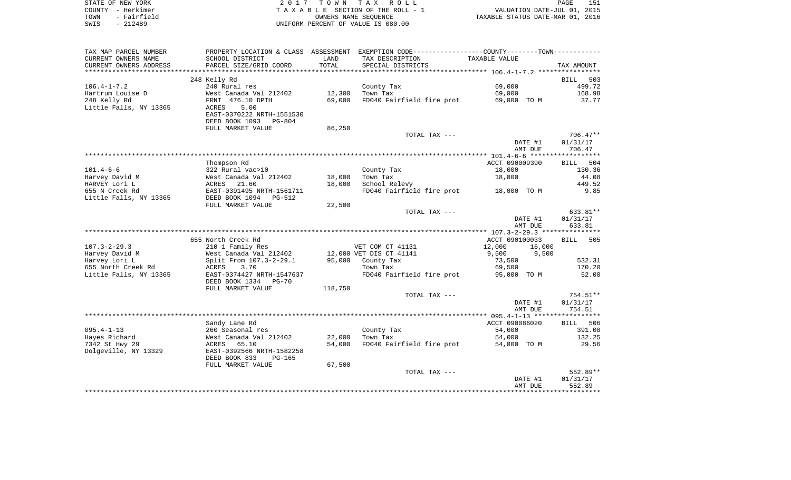| STATE OF NEW YORK   | 2017 TOWN TAX ROLL                 | 151<br>PAGE                      |
|---------------------|------------------------------------|----------------------------------|
| COUNTY - Herkimer   | TAXABLE SECTION OF THE ROLL - 1    | VALUATION DATE-JUL 01, 2015      |
| - Fairfield<br>TOWN | OWNERS NAME SEOUENCE               | TAXABLE STATUS DATE-MAR 01, 2016 |
| $-212489$<br>SWIS   | UNIFORM PERCENT OF VALUE IS 080.00 |                                  |

| TAX MAP PARCEL NUMBER  | PROPERTY LOCATION & CLASS ASSESSMENT |         | EXEMPTION CODE-----------------COUNTY-------TOWN----------- |                  |                      |
|------------------------|--------------------------------------|---------|-------------------------------------------------------------|------------------|----------------------|
| CURRENT OWNERS NAME    | SCHOOL DISTRICT                      | LAND    | TAX DESCRIPTION                                             | TAXABLE VALUE    |                      |
| CURRENT OWNERS ADDRESS | PARCEL SIZE/GRID COORD               | TOTAL   | SPECIAL DISTRICTS                                           |                  | TAX AMOUNT           |
| *******************    | ***************************          |         |                                                             |                  |                      |
|                        | 248 Kelly Rd                         |         |                                                             |                  | <b>BILL</b><br>503   |
| $106.4 - 1 - 7.2$      | 240 Rural res                        |         | County Tax                                                  | 69,000           | 499.72               |
| Hartrum Louise D       | West Canada Val 212402               | 12,300  | Town Tax                                                    | 69,000           | 168.98               |
| 248 Kelly Rd           | FRNT 476.10 DPTH                     | 69,000  | FD040 Fairfield fire prot                                   | 69,000 TO M      | 37.77                |
| Little Falls, NY 13365 | 5.00<br>ACRES                        |         |                                                             |                  |                      |
|                        | EAST-0370222 NRTH-1551530            |         |                                                             |                  |                      |
|                        | DEED BOOK 1093 PG-804                |         |                                                             |                  |                      |
|                        | FULL MARKET VALUE                    | 86,250  |                                                             |                  |                      |
|                        |                                      |         | TOTAL TAX ---                                               |                  | $706.47**$           |
|                        |                                      |         |                                                             | DATE #1          | 01/31/17             |
|                        |                                      |         |                                                             | AMT DUE          | 706.47               |
|                        |                                      |         |                                                             |                  |                      |
|                        | Thompson Rd                          |         |                                                             | ACCT 090009390   | 504<br><b>BILL</b>   |
| $101.4 - 6 - 6$        | 322 Rural vac>10                     |         | County Tax                                                  | 18,000           | 130.36               |
| Harvey David M         | West Canada Val 212402               | 18,000  | Town Tax                                                    | 18,000           | 44.08                |
| HARVEY Lori L          | ACRES<br>21.60                       | 18,000  | School Relevy                                               |                  | 449.52               |
| 655 N Creek Rd         | EAST-0391495 NRTH-1561711            |         | FD040 Fairfield fire prot                                   | 18,000 TO M      | 9.85                 |
| Little Falls, NY 13365 | DEED BOOK 1094<br>PG-512             |         |                                                             |                  |                      |
|                        | FULL MARKET VALUE                    | 22,500  |                                                             |                  |                      |
|                        |                                      |         | TOTAL TAX ---                                               | DATE #1          | 633.81**<br>01/31/17 |
|                        |                                      |         |                                                             | AMT DUE          | 633.81               |
|                        |                                      |         |                                                             |                  |                      |
|                        | 655 North Creek Rd                   |         |                                                             | ACCT 090100033   | BILL<br>505          |
| $107.3 - 2 - 29.3$     | 210 1 Family Res                     |         | VET COM CT 41131                                            | 12,000<br>16,000 |                      |
| Harvey David M         | West Canada Val 212402               |         | 12,000 VET DIS CT 41141                                     | 9,500<br>9,500   |                      |
| Harvey Lori L          | Split From 107.3-2-29.1              | 95,000  | County Tax                                                  | 73,500           | 532.31               |
| 655 North Creek Rd     | ACRES<br>3.70                        |         | Town Tax                                                    | 69,500           | 170.20               |
| Little Falls, NY 13365 | EAST-0374427 NRTH-1547637            |         | FD040 Fairfield fire prot                                   | 95,000 TO M      | 52.00                |
|                        | DEED BOOK 1334<br>$PG-70$            |         |                                                             |                  |                      |
|                        | FULL MARKET VALUE                    | 118,750 |                                                             |                  |                      |
|                        |                                      |         | TOTAL TAX ---                                               |                  | 754.51**             |
|                        |                                      |         |                                                             | DATE #1          | 01/31/17             |
|                        |                                      |         |                                                             | AMT DUE          | 754.51               |
|                        |                                      |         |                                                             |                  |                      |
|                        | Sandy Lane Rd                        |         |                                                             | ACCT 090086020   | 506<br>BILL          |
| $095.4 - 1 - 13$       | 260 Seasonal res                     |         | County Tax                                                  | 54,000           | 391.08               |
| Hayes Richard          | West Canada Val 212402               | 22,000  | Town Tax                                                    | 54,000           | 132.25               |
| 7342 St Hwy 29         | ACRES<br>65.10                       | 54,000  | FD040 Fairfield fire prot                                   | 54,000 TO M      | 29.56                |
| Dolgeville, NY 13329   | EAST-0392566 NRTH-1582258            |         |                                                             |                  |                      |
|                        | DEED BOOK 833<br>PG-165              |         |                                                             |                  |                      |
|                        | FULL MARKET VALUE                    | 67,500  |                                                             |                  |                      |
|                        |                                      |         | TOTAL TAX ---                                               |                  | 552.89**             |
|                        |                                      |         |                                                             | DATE #1          | 01/31/17             |
|                        |                                      |         |                                                             | AMT DUE          | 552.89               |
|                        |                                      |         |                                                             |                  |                      |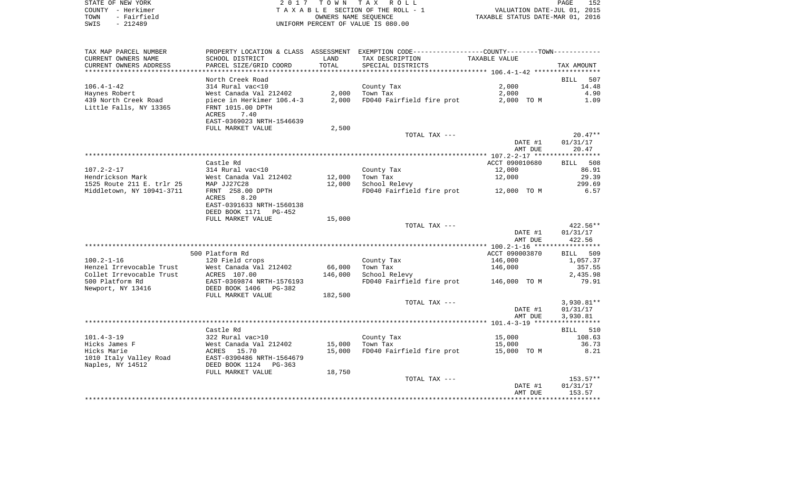| STATE OF NEW YORK   | 2017 TOWN TAX ROLL                 | 152<br>PAGE                      |
|---------------------|------------------------------------|----------------------------------|
| COUNTY - Herkimer   | TAXABLE SECTION OF THE ROLL - 1    | VALUATION DATE-JUL 01, 2015      |
| - Fairfield<br>TOWN | OWNERS NAME SEOUENCE               | TAXABLE STATUS DATE-MAR 01, 2016 |
| SWIS<br>- 212489    | UNIFORM PERCENT OF VALUE IS 080.00 |                                  |

152<br>2015

| TAX MAP PARCEL NUMBER                                  |                                 |                  | PROPERTY LOCATION & CLASS ASSESSMENT EXEMPTION CODE---------------COUNTY-------TOWN---------- |                |                 |
|--------------------------------------------------------|---------------------------------|------------------|-----------------------------------------------------------------------------------------------|----------------|-----------------|
| CURRENT OWNERS NAME                                    | SCHOOL DISTRICT                 | LAND             | TAX DESCRIPTION                                                                               | TAXABLE VALUE  |                 |
| CURRENT OWNERS ADDRESS                                 | PARCEL SIZE/GRID COORD          | TOTAL            | SPECIAL DISTRICTS                                                                             |                | TAX AMOUNT      |
|                                                        |                                 |                  |                                                                                               |                |                 |
|                                                        | North Creek Road                |                  |                                                                                               |                | BILL<br>507     |
| $106.4 - 1 - 42$                                       | 314 Rural vac<10                |                  | County Tax                                                                                    | 2,000          | 14.48           |
| Haynes Robert                                          | West Canada Val 212402          | 2,000            | Town Tax                                                                                      | 2,000          | 4.90            |
| 439 North Creek Road                                   | piece in Herkimer 106.4-3       | 2,000            | FD040 Fairfield fire prot                                                                     | 2,000 TO M     | 1.09            |
| Little Falls, NY 13365                                 | FRNT 1015.00 DPTH               |                  |                                                                                               |                |                 |
|                                                        | ACRES<br>7.40                   |                  |                                                                                               |                |                 |
|                                                        | EAST-0369023 NRTH-1546639       |                  |                                                                                               |                |                 |
|                                                        | FULL MARKET VALUE               | 2,500            |                                                                                               |                |                 |
|                                                        |                                 |                  | TOTAL TAX ---                                                                                 |                | $20.47**$       |
|                                                        |                                 |                  |                                                                                               | DATE #1        | 01/31/17        |
|                                                        |                                 |                  |                                                                                               | AMT DUE        | 20.47           |
|                                                        |                                 |                  |                                                                                               |                |                 |
|                                                        | Castle Rd                       |                  |                                                                                               | ACCT 090010680 | BILL 508        |
| $107.2 - 2 - 17$                                       | 314 Rural vac<10                |                  | County Tax                                                                                    | 12,000         | 86.91           |
| Hendrickson Mark                                       | West Canada Val 212402          | 12,000<br>12,000 | Town Tax                                                                                      | 12,000         | 29.39<br>299.69 |
| 1525 Route 211 E. trlr 25<br>Middletown, NY 10941-3711 | MAP JJ27C28<br>FRNT 258.00 DPTH |                  | School Relevy<br>FD040 Fairfield fire prot 12,000 TO M                                        |                | 6.57            |
|                                                        | 8.20<br>ACRES                   |                  |                                                                                               |                |                 |
|                                                        | EAST-0391633 NRTH-1560138       |                  |                                                                                               |                |                 |
|                                                        | DEED BOOK 1171<br>PG-452        |                  |                                                                                               |                |                 |
|                                                        | FULL MARKET VALUE               | 15,000           |                                                                                               |                |                 |
|                                                        |                                 |                  | TOTAL TAX ---                                                                                 |                | 422.56**        |
|                                                        |                                 |                  |                                                                                               | DATE #1        | 01/31/17        |
|                                                        |                                 |                  |                                                                                               | AMT DUE        | 422.56          |
|                                                        |                                 |                  |                                                                                               |                |                 |
|                                                        | 500 Platform Rd                 |                  |                                                                                               | ACCT 090003870 | BILL 509        |
| $100.2 - 1 - 16$                                       | 120 Field crops                 |                  | County Tax                                                                                    | 146,000        | 1,057.37        |
| Henzel Irrevocable Trust                               | West Canada Val 212402          | 66,000           | Town Tax                                                                                      | 146,000        | 357.55          |
| Collet Irrevocable Trust                               | $ACRES$ 107.00                  | 146,000          | School Relevy                                                                                 |                | 2,435.98        |
| 500 Platform Rd                                        | EAST-0369874 NRTH-1576193       |                  | FD040 Fairfield fire prot                                                                     | 146,000 TO M   | 79.91           |
| Newport, NY 13416                                      | DEED BOOK 1406<br>PG-382        |                  |                                                                                               |                |                 |
|                                                        | FULL MARKET VALUE               | 182,500          |                                                                                               |                |                 |
|                                                        |                                 |                  | TOTAL TAX ---                                                                                 |                | 3,930.81**      |
|                                                        |                                 |                  |                                                                                               | DATE #1        | 01/31/17        |
|                                                        |                                 |                  |                                                                                               | AMT DUE        | 3,930.81        |
|                                                        |                                 |                  |                                                                                               |                |                 |
|                                                        | Castle Rd                       |                  |                                                                                               |                | BILL 510        |
| $101.4 - 3 - 19$                                       | 322 Rural vac>10                |                  | County Tax                                                                                    | 15,000         | 108.63          |
| Hicks James F                                          | West Canada Val 212402          | 15,000           | Town Tax                                                                                      | 15,000         | 36.73           |
| Hicks Marie                                            | ACRES 15.70                     | 15,000           | FD040 Fairfield fire prot                                                                     | 15,000 TO M    | 8.21            |
| 1010 Italy Valley Road<br>Naples, NY 14512             | EAST-0390486 NRTH-1564679       |                  |                                                                                               |                |                 |
|                                                        | DEED BOOK 1124 PG-363           |                  |                                                                                               |                |                 |
|                                                        | FULL MARKET VALUE               | 18,750           | TOTAL TAX ---                                                                                 |                | 153.57**        |
|                                                        |                                 |                  |                                                                                               | DATE #1        | 01/31/17        |
|                                                        |                                 |                  |                                                                                               | AMT DUE        | 153.57          |
|                                                        |                                 |                  |                                                                                               |                |                 |
|                                                        |                                 |                  |                                                                                               |                |                 |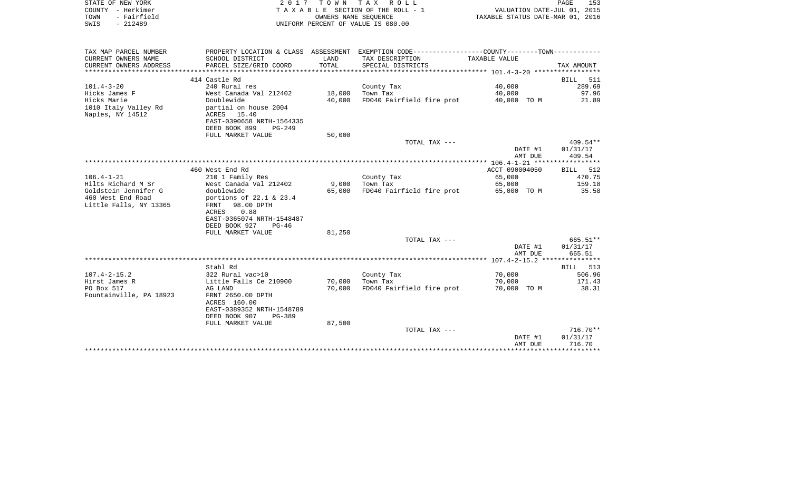| COUNTY - Herkimer<br>TOWN<br>- Fairfield<br>$-212489$<br>SWIS |                                     |        | TAXABLE SECTION OF THE ROLL - 1<br>OWNERS NAME SEOUENCE<br>UNIFORM PERCENT OF VALUE IS 080.00 | VALUATION DATE-JUL 01, 2015<br>TAXABLE STATUS DATE-MAR 01, 2016 |            |
|---------------------------------------------------------------|-------------------------------------|--------|-----------------------------------------------------------------------------------------------|-----------------------------------------------------------------|------------|
|                                                               |                                     |        |                                                                                               |                                                                 |            |
| TAX MAP PARCEL NUMBER                                         |                                     |        | PROPERTY LOCATION & CLASS ASSESSMENT EXEMPTION CODE---------------COUNTY-------TOWN---------- |                                                                 |            |
| CURRENT OWNERS NAME                                           | SCHOOL DISTRICT                     | LAND   | TAX DESCRIPTION                                                                               | TAXABLE VALUE                                                   |            |
| CURRENT OWNERS ADDRESS                                        | PARCEL SIZE/GRID COORD              | TOTAL  | SPECIAL DISTRICTS                                                                             |                                                                 | TAX AMOUNT |
|                                                               | 414 Castle Rd                       |        |                                                                                               |                                                                 | BILL 511   |
| $101.4 - 3 - 20$                                              | 240 Rural res                       |        | County Tax                                                                                    | 40,000                                                          | 289.69     |
| Hicks James F                                                 | West Canada Val 212402              | 18,000 | Town Tax                                                                                      | 40,000                                                          | 97.96      |
| Hicks Marie                                                   | Doublewide                          | 40,000 | FD040 Fairfield fire prot                                                                     | 40,000 TO M                                                     | 21.89      |
| 1010 Italy Valley Rd                                          | partial on house 2004               |        |                                                                                               |                                                                 |            |
| Naples, NY 14512                                              | ACRES<br>15.40                      |        |                                                                                               |                                                                 |            |
|                                                               | EAST-0390658 NRTH-1564335           |        |                                                                                               |                                                                 |            |
|                                                               | DEED BOOK 899<br>$PG-249$           |        |                                                                                               |                                                                 |            |
|                                                               | FULL MARKET VALUE                   | 50,000 | TOTAL TAX ---                                                                                 |                                                                 | $409.54**$ |
|                                                               |                                     |        |                                                                                               | DATE #1                                                         | 01/31/17   |
|                                                               |                                     |        |                                                                                               | AMT DUE                                                         | 409.54     |
|                                                               |                                     |        |                                                                                               |                                                                 |            |
|                                                               | 460 West End Rd                     |        |                                                                                               | ACCT 090004050                                                  | BILL 512   |
| $106.4 - 1 - 21$                                              | 210 1 Family Res                    |        | County Tax                                                                                    | 65,000                                                          | 470.75     |
| Hilts Richard M Sr                                            | West Canada Val 212402              | 9,000  | Town Tax                                                                                      | 65,000                                                          | 159.18     |
| Goldstein Jennifer G                                          | doublewide                          | 65,000 | FD040 Fairfield fire prot                                                                     | 65,000 TO M                                                     | 35.58      |
| 460 West End Road                                             | portions of $22.1$ & $23.4$         |        |                                                                                               |                                                                 |            |
| Little Falls, NY 13365                                        | 98.00 DPTH<br>FRNT<br>0.88<br>ACRES |        |                                                                                               |                                                                 |            |
|                                                               | EAST-0365074 NRTH-1548487           |        |                                                                                               |                                                                 |            |
|                                                               | DEED BOOK 927<br>$PG-46$            |        |                                                                                               |                                                                 |            |
|                                                               | FULL MARKET VALUE                   | 81,250 |                                                                                               |                                                                 |            |
|                                                               |                                     |        | TOTAL TAX ---                                                                                 |                                                                 | 665.51**   |
|                                                               |                                     |        |                                                                                               | DATE #1                                                         | 01/31/17   |
|                                                               |                                     |        |                                                                                               | AMT DUE                                                         | 665.51     |
|                                                               |                                     |        |                                                                                               |                                                                 |            |
|                                                               | Stahl Rd                            |        |                                                                                               |                                                                 | BILL 513   |
| $107.4 - 2 - 15.2$                                            | 322 Rural vac>10                    |        | County Tax                                                                                    | 70,000                                                          | 506.96     |
| Hirst James R                                                 | Little Falls Ce 210900              | 70,000 | Town Tax                                                                                      | 70,000                                                          | 171.43     |
| PO Box 517<br>Fountainville, PA 18923                         | AG LAND<br>FRNT 2650.00 DPTH        | 70,000 | FD040 Fairfield fire prot                                                                     | 70,000 TO M                                                     | 38.31      |
|                                                               | ACRES 160.00                        |        |                                                                                               |                                                                 |            |
|                                                               | EAST-0389352 NRTH-1548789           |        |                                                                                               |                                                                 |            |
|                                                               | DEED BOOK 907<br>PG-389             |        |                                                                                               |                                                                 |            |
|                                                               | FULL MARKET VALUE                   | 87,500 |                                                                                               |                                                                 |            |
|                                                               |                                     |        | TOTAL TAX ---                                                                                 |                                                                 | $716.70**$ |
|                                                               |                                     |        |                                                                                               | DATE #1                                                         | 01/31/17   |
|                                                               |                                     |        |                                                                                               | AMT DUE                                                         | 716.70     |
|                                                               |                                     |        |                                                                                               |                                                                 |            |

PAGE 153

STATE OF NEW YORK **EXECUTE:**  $2017$  TOWN TAX ROLL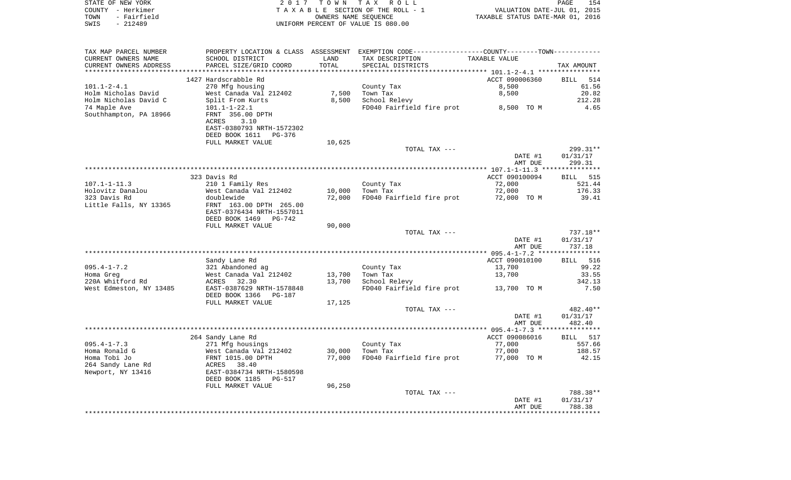| STATE OF NEW YORK   | 2017 TOWN TAX ROLL                 | 154<br>PAGE                      |
|---------------------|------------------------------------|----------------------------------|
| COUNTY - Herkimer   | TAXABLE SECTION OF THE ROLL - 1    | VALUATION DATE-JUL 01, 2015      |
| - Fairfield<br>TOWN | OWNERS NAME SEOUENCE               | TAXABLE STATUS DATE-MAR 01, 2016 |
| - 212489<br>SWIS    | UNIFORM PERCENT OF VALUE IS 080.00 |                                  |

| TAX MAP PARCEL NUMBER<br>CURRENT OWNERS NAME    | PROPERTY LOCATION & CLASS ASSESSMENT<br>SCHOOL DISTRICT | LAND   | EXEMPTION CODE-----------------COUNTY-------TOWN----------<br>TAX DESCRIPTION | TAXABLE VALUE      |                    |
|-------------------------------------------------|---------------------------------------------------------|--------|-------------------------------------------------------------------------------|--------------------|--------------------|
| CURRENT OWNERS ADDRESS<br>********************* | PARCEL SIZE/GRID COORD<br>**************************    | TOTAL  | SPECIAL DISTRICTS                                                             |                    | TAX AMOUNT         |
|                                                 | 1427 Hardscrabble Rd                                    |        |                                                                               | ACCT 090006360     | <b>BILL</b><br>514 |
| $101.1 - 2 - 4.1$                               | 270 Mfg housing                                         |        | County Tax                                                                    | 8,500              | 61.56              |
| Holm Nicholas David                             | West Canada Val 212402                                  | 7,500  | Town Tax                                                                      | 8,500              | 20.82              |
| Holm Nicholas David C                           | Split From Kurts                                        | 8,500  | School Relevy                                                                 |                    | 212.28             |
| 74 Maple Ave                                    | $101.1 - 1 - 22.1$                                      |        | FD040 Fairfield fire prot                                                     | 8,500 TO M         | 4.65               |
| Southhampton, PA 18966                          | FRNT 356.00 DPTH<br>3.10<br>ACRES                       |        |                                                                               |                    |                    |
|                                                 | EAST-0380793 NRTH-1572302<br>DEED BOOK 1611<br>PG-376   |        |                                                                               |                    |                    |
|                                                 | FULL MARKET VALUE                                       | 10,625 |                                                                               |                    |                    |
|                                                 |                                                         |        | TOTAL TAX ---                                                                 |                    | 299.31**           |
|                                                 |                                                         |        |                                                                               | DATE #1            | 01/31/17           |
|                                                 |                                                         |        |                                                                               | AMT DUE            | 299.31             |
|                                                 | 323 Davis Rd                                            |        |                                                                               | ACCT 090100094     | <b>BILL</b> 515    |
| $107.1 - 1 - 11.3$                              | 210 1 Family Res                                        |        | County Tax                                                                    | 72,000             | 521.44             |
| Holovitz Danalou                                | West Canada Val 212402                                  | 10,000 | Town Tax                                                                      | 72,000             | 176.33             |
| 323 Davis Rd                                    | doublewide                                              | 72,000 | FD040 Fairfield fire prot                                                     | 72,000 TO M        | 39.41              |
| Little Falls, NY 13365                          | FRNT 163.00 DPTH 265.00<br>EAST-0376434 NRTH-1557011    |        |                                                                               |                    |                    |
|                                                 | DEED BOOK 1469<br>PG-742                                |        |                                                                               |                    |                    |
|                                                 | FULL MARKET VALUE                                       | 90,000 |                                                                               |                    |                    |
|                                                 |                                                         |        | TOTAL TAX ---                                                                 |                    | 737.18**           |
|                                                 |                                                         |        |                                                                               | DATE #1<br>AMT DUE | 01/31/17<br>737.18 |
|                                                 |                                                         |        |                                                                               |                    |                    |
|                                                 | Sandy Lane Rd                                           |        |                                                                               | ACCT 090010100     | 516<br><b>BILL</b> |
| $095.4 - 1 - 7.2$                               | 321 Abandoned ag                                        |        | County Tax                                                                    | 13,700             | 99.22              |
| Homa Greg                                       | West Canada Val 212402                                  | 13,700 | Town Tax                                                                      | 13,700             | 33.55              |
| 220A Whitford Rd<br>West Edmeston, NY 13485     | ACRES<br>32.30<br>EAST-0387629 NRTH-1578848             | 13,700 | School Relevy<br>FD040 Fairfield fire prot                                    | 13,700 TO M        | 342.13<br>7.50     |
|                                                 | DEED BOOK 1366<br>PG-187<br>FULL MARKET VALUE           | 17,125 |                                                                               |                    |                    |
|                                                 |                                                         |        | TOTAL TAX ---                                                                 |                    | 482.40**           |
|                                                 |                                                         |        |                                                                               | DATE #1<br>AMT DUE | 01/31/17<br>482.40 |
|                                                 |                                                         |        |                                                                               |                    |                    |
|                                                 | 264 Sandy Lane Rd                                       |        |                                                                               | ACCT 090086016     | BILL 517           |
| $095.4 - 1 - 7.3$                               | 271 Mfg housings                                        |        | County Tax                                                                    | 77,000             | 557.66             |
| Homa Ronald G                                   | West Canada Val 212402                                  | 30,000 | Town Tax                                                                      | 77,000             | 188.57             |
| Homa Tobi Jo                                    | FRNT 1015.00 DPTH                                       | 77,000 | FD040 Fairfield fire prot                                                     | 77,000 TO M        | 42.15              |
| 264 Sandy Lane Rd                               | 38.40<br>ACRES                                          |        |                                                                               |                    |                    |
| Newport, NY 13416                               | EAST-0384734 NRTH-1580598<br>DEED BOOK 1185<br>PG-517   |        |                                                                               |                    |                    |
|                                                 | FULL MARKET VALUE                                       | 96,250 |                                                                               |                    |                    |
|                                                 |                                                         |        | TOTAL TAX ---                                                                 |                    | 788.38**           |
|                                                 |                                                         |        |                                                                               | DATE #1<br>AMT DUE | 01/31/17<br>788.38 |
|                                                 |                                                         |        |                                                                               |                    |                    |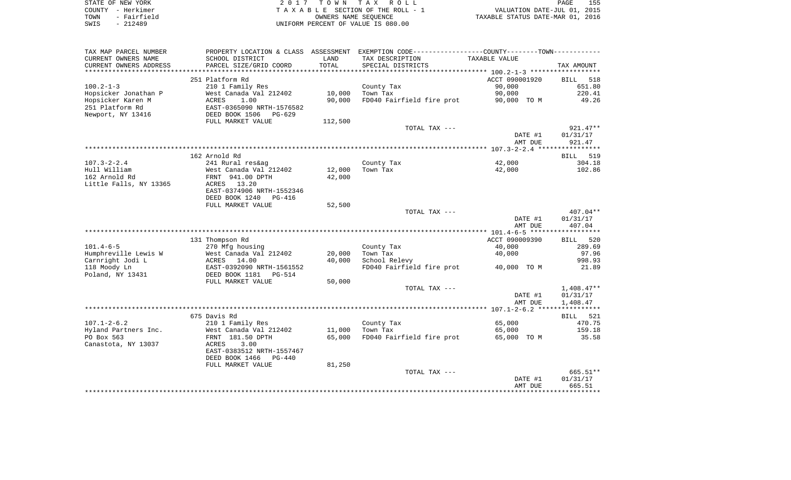|        | STATE OF NEW YORK | 2017 TOWN TAX ROLL                    | PAGE                             | 155 |
|--------|-------------------|---------------------------------------|----------------------------------|-----|
| COUNTY | - Herkimer        | T A X A B L E SECTION OF THE ROLL - 1 | VALUATION DATE-JUL 01, 2015      |     |
| TOWN   | - Fairfield       | OWNERS NAME SEOUENCE                  | TAXABLE STATUS DATE-MAR 01, 2016 |     |
| SWIS   | $-212489$         | UNIFORM PERCENT OF VALUE IS 080.00    |                                  |     |

| CURRENT OWNERS NAME<br>SCHOOL DISTRICT<br>LAND<br>TAX DESCRIPTION<br>TAXABLE VALUE<br>TOTAL<br>CURRENT OWNERS ADDRESS<br>PARCEL SIZE/GRID COORD<br>SPECIAL DISTRICTS<br>TAX AMOUNT<br>************************<br>***************<br>*******************<br>251 Platform Rd<br>ACCT 090001920<br>BILL<br>518<br>$100.2 - 1 - 3$<br>210 1 Family Res<br>County Tax<br>90,000<br>651.80<br>Hopsicker Jonathan P<br>West Canada Val 212402<br>10,000<br>Town Tax<br>90,000<br>220.41<br>FD040 Fairfield fire prot<br>Hopsicker Karen M<br>ACRES<br>1.00<br>90,000<br>49.26<br>90,000 TO M<br>251 Platform Rd<br>EAST-0365090 NRTH-1576582<br>Newport, NY 13416<br>DEED BOOK 1506<br>PG-629<br>FULL MARKET VALUE<br>112,500<br>TOTAL TAX ---<br>$921.47**$<br>DATE #1<br>01/31/17<br>AMT DUE<br>921.47<br>162 Arnold Rd<br>519<br>BILL<br>42,000<br>304.18<br>$107.3 - 2 - 2.4$<br>241 Rural res&ag<br>County Tax<br>12,000<br>102.86<br>Hull William<br>Town Tax<br>42,000<br>West Canada Val 212402<br>162 Arnold Rd<br>FRNT 941.00 DPTH<br>42,000<br>Little Falls, NY 13365<br>ACRES 13.20<br>EAST-0374906 NRTH-1552346<br>DEED BOOK 1240<br>$PG-416$<br>52,500<br>FULL MARKET VALUE<br>$407.04**$<br>TOTAL TAX ---<br>DATE #1<br>01/31/17<br>AMT DUE<br>407.04<br>ACCT 090009390<br>131 Thompson Rd<br>520<br>BILL<br>$101.4 - 6 - 5$<br>270 Mfg housing<br>40,000<br>289.69<br>County Tax<br>Humphreville Lewis W<br>West Canada Val 212402<br>20,000<br>Town Tax<br>97.96<br>40,000<br>Carnright Jodi L<br>ACRES 14.00<br>40,000<br>School Relevy<br>998.93<br>118 Moody Ln<br>FD040 Fairfield fire prot<br>EAST-0392090 NRTH-1561552<br>40,000 TO M<br>21.89<br>Poland, NY 13431<br>DEED BOOK 1181    PG-514<br>FULL MARKET VALUE<br>50,000<br>$1,408.47**$<br>TOTAL TAX ---<br>DATE #1<br>01/31/17<br>AMT DUE<br>1,408.47<br>675 Davis Rd<br>BILL 521<br>$107.1 - 2 - 6.2$<br>210 1 Family Res<br>470.75<br>County Tax<br>65,000<br>Hyland Partners Inc.<br>West Canada Val 212402<br>11,000<br>Town Tax<br>65,000<br>159.18<br>FD040 Fairfield fire prot<br>35.58<br>PO Box 563<br>FRNT 181.50 DPTH<br>65,000<br>65,000 TO M<br>Canastota, NY 13037<br>3.00<br>ACRES<br>EAST-0383512 NRTH-1557467<br>DEED BOOK 1466<br>PG-440<br>81,250<br>FULL MARKET VALUE<br>$665.51**$<br>TOTAL TAX ---<br>DATE #1<br>01/31/17<br>665.51<br>AMT DUE | TAX MAP PARCEL NUMBER | PROPERTY LOCATION & CLASS ASSESSMENT | EXEMPTION CODE-----------------COUNTY-------TOWN----------- |  |
|----------------------------------------------------------------------------------------------------------------------------------------------------------------------------------------------------------------------------------------------------------------------------------------------------------------------------------------------------------------------------------------------------------------------------------------------------------------------------------------------------------------------------------------------------------------------------------------------------------------------------------------------------------------------------------------------------------------------------------------------------------------------------------------------------------------------------------------------------------------------------------------------------------------------------------------------------------------------------------------------------------------------------------------------------------------------------------------------------------------------------------------------------------------------------------------------------------------------------------------------------------------------------------------------------------------------------------------------------------------------------------------------------------------------------------------------------------------------------------------------------------------------------------------------------------------------------------------------------------------------------------------------------------------------------------------------------------------------------------------------------------------------------------------------------------------------------------------------------------------------------------------------------------------------------------------------------------------------------------------------------------------------------------------------------------------------------------------------------------------------------------------------------------------------------------------------------------------------------------------------------------------------------------------------------------------------------------------------|-----------------------|--------------------------------------|-------------------------------------------------------------|--|
|                                                                                                                                                                                                                                                                                                                                                                                                                                                                                                                                                                                                                                                                                                                                                                                                                                                                                                                                                                                                                                                                                                                                                                                                                                                                                                                                                                                                                                                                                                                                                                                                                                                                                                                                                                                                                                                                                                                                                                                                                                                                                                                                                                                                                                                                                                                                              |                       |                                      |                                                             |  |
|                                                                                                                                                                                                                                                                                                                                                                                                                                                                                                                                                                                                                                                                                                                                                                                                                                                                                                                                                                                                                                                                                                                                                                                                                                                                                                                                                                                                                                                                                                                                                                                                                                                                                                                                                                                                                                                                                                                                                                                                                                                                                                                                                                                                                                                                                                                                              |                       |                                      |                                                             |  |
|                                                                                                                                                                                                                                                                                                                                                                                                                                                                                                                                                                                                                                                                                                                                                                                                                                                                                                                                                                                                                                                                                                                                                                                                                                                                                                                                                                                                                                                                                                                                                                                                                                                                                                                                                                                                                                                                                                                                                                                                                                                                                                                                                                                                                                                                                                                                              |                       |                                      |                                                             |  |
|                                                                                                                                                                                                                                                                                                                                                                                                                                                                                                                                                                                                                                                                                                                                                                                                                                                                                                                                                                                                                                                                                                                                                                                                                                                                                                                                                                                                                                                                                                                                                                                                                                                                                                                                                                                                                                                                                                                                                                                                                                                                                                                                                                                                                                                                                                                                              |                       |                                      |                                                             |  |
|                                                                                                                                                                                                                                                                                                                                                                                                                                                                                                                                                                                                                                                                                                                                                                                                                                                                                                                                                                                                                                                                                                                                                                                                                                                                                                                                                                                                                                                                                                                                                                                                                                                                                                                                                                                                                                                                                                                                                                                                                                                                                                                                                                                                                                                                                                                                              |                       |                                      |                                                             |  |
|                                                                                                                                                                                                                                                                                                                                                                                                                                                                                                                                                                                                                                                                                                                                                                                                                                                                                                                                                                                                                                                                                                                                                                                                                                                                                                                                                                                                                                                                                                                                                                                                                                                                                                                                                                                                                                                                                                                                                                                                                                                                                                                                                                                                                                                                                                                                              |                       |                                      |                                                             |  |
|                                                                                                                                                                                                                                                                                                                                                                                                                                                                                                                                                                                                                                                                                                                                                                                                                                                                                                                                                                                                                                                                                                                                                                                                                                                                                                                                                                                                                                                                                                                                                                                                                                                                                                                                                                                                                                                                                                                                                                                                                                                                                                                                                                                                                                                                                                                                              |                       |                                      |                                                             |  |
|                                                                                                                                                                                                                                                                                                                                                                                                                                                                                                                                                                                                                                                                                                                                                                                                                                                                                                                                                                                                                                                                                                                                                                                                                                                                                                                                                                                                                                                                                                                                                                                                                                                                                                                                                                                                                                                                                                                                                                                                                                                                                                                                                                                                                                                                                                                                              |                       |                                      |                                                             |  |
|                                                                                                                                                                                                                                                                                                                                                                                                                                                                                                                                                                                                                                                                                                                                                                                                                                                                                                                                                                                                                                                                                                                                                                                                                                                                                                                                                                                                                                                                                                                                                                                                                                                                                                                                                                                                                                                                                                                                                                                                                                                                                                                                                                                                                                                                                                                                              |                       |                                      |                                                             |  |
|                                                                                                                                                                                                                                                                                                                                                                                                                                                                                                                                                                                                                                                                                                                                                                                                                                                                                                                                                                                                                                                                                                                                                                                                                                                                                                                                                                                                                                                                                                                                                                                                                                                                                                                                                                                                                                                                                                                                                                                                                                                                                                                                                                                                                                                                                                                                              |                       |                                      |                                                             |  |
|                                                                                                                                                                                                                                                                                                                                                                                                                                                                                                                                                                                                                                                                                                                                                                                                                                                                                                                                                                                                                                                                                                                                                                                                                                                                                                                                                                                                                                                                                                                                                                                                                                                                                                                                                                                                                                                                                                                                                                                                                                                                                                                                                                                                                                                                                                                                              |                       |                                      |                                                             |  |
|                                                                                                                                                                                                                                                                                                                                                                                                                                                                                                                                                                                                                                                                                                                                                                                                                                                                                                                                                                                                                                                                                                                                                                                                                                                                                                                                                                                                                                                                                                                                                                                                                                                                                                                                                                                                                                                                                                                                                                                                                                                                                                                                                                                                                                                                                                                                              |                       |                                      |                                                             |  |
|                                                                                                                                                                                                                                                                                                                                                                                                                                                                                                                                                                                                                                                                                                                                                                                                                                                                                                                                                                                                                                                                                                                                                                                                                                                                                                                                                                                                                                                                                                                                                                                                                                                                                                                                                                                                                                                                                                                                                                                                                                                                                                                                                                                                                                                                                                                                              |                       |                                      |                                                             |  |
|                                                                                                                                                                                                                                                                                                                                                                                                                                                                                                                                                                                                                                                                                                                                                                                                                                                                                                                                                                                                                                                                                                                                                                                                                                                                                                                                                                                                                                                                                                                                                                                                                                                                                                                                                                                                                                                                                                                                                                                                                                                                                                                                                                                                                                                                                                                                              |                       |                                      |                                                             |  |
|                                                                                                                                                                                                                                                                                                                                                                                                                                                                                                                                                                                                                                                                                                                                                                                                                                                                                                                                                                                                                                                                                                                                                                                                                                                                                                                                                                                                                                                                                                                                                                                                                                                                                                                                                                                                                                                                                                                                                                                                                                                                                                                                                                                                                                                                                                                                              |                       |                                      |                                                             |  |
|                                                                                                                                                                                                                                                                                                                                                                                                                                                                                                                                                                                                                                                                                                                                                                                                                                                                                                                                                                                                                                                                                                                                                                                                                                                                                                                                                                                                                                                                                                                                                                                                                                                                                                                                                                                                                                                                                                                                                                                                                                                                                                                                                                                                                                                                                                                                              |                       |                                      |                                                             |  |
|                                                                                                                                                                                                                                                                                                                                                                                                                                                                                                                                                                                                                                                                                                                                                                                                                                                                                                                                                                                                                                                                                                                                                                                                                                                                                                                                                                                                                                                                                                                                                                                                                                                                                                                                                                                                                                                                                                                                                                                                                                                                                                                                                                                                                                                                                                                                              |                       |                                      |                                                             |  |
|                                                                                                                                                                                                                                                                                                                                                                                                                                                                                                                                                                                                                                                                                                                                                                                                                                                                                                                                                                                                                                                                                                                                                                                                                                                                                                                                                                                                                                                                                                                                                                                                                                                                                                                                                                                                                                                                                                                                                                                                                                                                                                                                                                                                                                                                                                                                              |                       |                                      |                                                             |  |
|                                                                                                                                                                                                                                                                                                                                                                                                                                                                                                                                                                                                                                                                                                                                                                                                                                                                                                                                                                                                                                                                                                                                                                                                                                                                                                                                                                                                                                                                                                                                                                                                                                                                                                                                                                                                                                                                                                                                                                                                                                                                                                                                                                                                                                                                                                                                              |                       |                                      |                                                             |  |
|                                                                                                                                                                                                                                                                                                                                                                                                                                                                                                                                                                                                                                                                                                                                                                                                                                                                                                                                                                                                                                                                                                                                                                                                                                                                                                                                                                                                                                                                                                                                                                                                                                                                                                                                                                                                                                                                                                                                                                                                                                                                                                                                                                                                                                                                                                                                              |                       |                                      |                                                             |  |
|                                                                                                                                                                                                                                                                                                                                                                                                                                                                                                                                                                                                                                                                                                                                                                                                                                                                                                                                                                                                                                                                                                                                                                                                                                                                                                                                                                                                                                                                                                                                                                                                                                                                                                                                                                                                                                                                                                                                                                                                                                                                                                                                                                                                                                                                                                                                              |                       |                                      |                                                             |  |
|                                                                                                                                                                                                                                                                                                                                                                                                                                                                                                                                                                                                                                                                                                                                                                                                                                                                                                                                                                                                                                                                                                                                                                                                                                                                                                                                                                                                                                                                                                                                                                                                                                                                                                                                                                                                                                                                                                                                                                                                                                                                                                                                                                                                                                                                                                                                              |                       |                                      |                                                             |  |
|                                                                                                                                                                                                                                                                                                                                                                                                                                                                                                                                                                                                                                                                                                                                                                                                                                                                                                                                                                                                                                                                                                                                                                                                                                                                                                                                                                                                                                                                                                                                                                                                                                                                                                                                                                                                                                                                                                                                                                                                                                                                                                                                                                                                                                                                                                                                              |                       |                                      |                                                             |  |
|                                                                                                                                                                                                                                                                                                                                                                                                                                                                                                                                                                                                                                                                                                                                                                                                                                                                                                                                                                                                                                                                                                                                                                                                                                                                                                                                                                                                                                                                                                                                                                                                                                                                                                                                                                                                                                                                                                                                                                                                                                                                                                                                                                                                                                                                                                                                              |                       |                                      |                                                             |  |
|                                                                                                                                                                                                                                                                                                                                                                                                                                                                                                                                                                                                                                                                                                                                                                                                                                                                                                                                                                                                                                                                                                                                                                                                                                                                                                                                                                                                                                                                                                                                                                                                                                                                                                                                                                                                                                                                                                                                                                                                                                                                                                                                                                                                                                                                                                                                              |                       |                                      |                                                             |  |
|                                                                                                                                                                                                                                                                                                                                                                                                                                                                                                                                                                                                                                                                                                                                                                                                                                                                                                                                                                                                                                                                                                                                                                                                                                                                                                                                                                                                                                                                                                                                                                                                                                                                                                                                                                                                                                                                                                                                                                                                                                                                                                                                                                                                                                                                                                                                              |                       |                                      |                                                             |  |
|                                                                                                                                                                                                                                                                                                                                                                                                                                                                                                                                                                                                                                                                                                                                                                                                                                                                                                                                                                                                                                                                                                                                                                                                                                                                                                                                                                                                                                                                                                                                                                                                                                                                                                                                                                                                                                                                                                                                                                                                                                                                                                                                                                                                                                                                                                                                              |                       |                                      |                                                             |  |
|                                                                                                                                                                                                                                                                                                                                                                                                                                                                                                                                                                                                                                                                                                                                                                                                                                                                                                                                                                                                                                                                                                                                                                                                                                                                                                                                                                                                                                                                                                                                                                                                                                                                                                                                                                                                                                                                                                                                                                                                                                                                                                                                                                                                                                                                                                                                              |                       |                                      |                                                             |  |
|                                                                                                                                                                                                                                                                                                                                                                                                                                                                                                                                                                                                                                                                                                                                                                                                                                                                                                                                                                                                                                                                                                                                                                                                                                                                                                                                                                                                                                                                                                                                                                                                                                                                                                                                                                                                                                                                                                                                                                                                                                                                                                                                                                                                                                                                                                                                              |                       |                                      |                                                             |  |
|                                                                                                                                                                                                                                                                                                                                                                                                                                                                                                                                                                                                                                                                                                                                                                                                                                                                                                                                                                                                                                                                                                                                                                                                                                                                                                                                                                                                                                                                                                                                                                                                                                                                                                                                                                                                                                                                                                                                                                                                                                                                                                                                                                                                                                                                                                                                              |                       |                                      |                                                             |  |
|                                                                                                                                                                                                                                                                                                                                                                                                                                                                                                                                                                                                                                                                                                                                                                                                                                                                                                                                                                                                                                                                                                                                                                                                                                                                                                                                                                                                                                                                                                                                                                                                                                                                                                                                                                                                                                                                                                                                                                                                                                                                                                                                                                                                                                                                                                                                              |                       |                                      |                                                             |  |
|                                                                                                                                                                                                                                                                                                                                                                                                                                                                                                                                                                                                                                                                                                                                                                                                                                                                                                                                                                                                                                                                                                                                                                                                                                                                                                                                                                                                                                                                                                                                                                                                                                                                                                                                                                                                                                                                                                                                                                                                                                                                                                                                                                                                                                                                                                                                              |                       |                                      |                                                             |  |
|                                                                                                                                                                                                                                                                                                                                                                                                                                                                                                                                                                                                                                                                                                                                                                                                                                                                                                                                                                                                                                                                                                                                                                                                                                                                                                                                                                                                                                                                                                                                                                                                                                                                                                                                                                                                                                                                                                                                                                                                                                                                                                                                                                                                                                                                                                                                              |                       |                                      |                                                             |  |
|                                                                                                                                                                                                                                                                                                                                                                                                                                                                                                                                                                                                                                                                                                                                                                                                                                                                                                                                                                                                                                                                                                                                                                                                                                                                                                                                                                                                                                                                                                                                                                                                                                                                                                                                                                                                                                                                                                                                                                                                                                                                                                                                                                                                                                                                                                                                              |                       |                                      |                                                             |  |
|                                                                                                                                                                                                                                                                                                                                                                                                                                                                                                                                                                                                                                                                                                                                                                                                                                                                                                                                                                                                                                                                                                                                                                                                                                                                                                                                                                                                                                                                                                                                                                                                                                                                                                                                                                                                                                                                                                                                                                                                                                                                                                                                                                                                                                                                                                                                              |                       |                                      |                                                             |  |
|                                                                                                                                                                                                                                                                                                                                                                                                                                                                                                                                                                                                                                                                                                                                                                                                                                                                                                                                                                                                                                                                                                                                                                                                                                                                                                                                                                                                                                                                                                                                                                                                                                                                                                                                                                                                                                                                                                                                                                                                                                                                                                                                                                                                                                                                                                                                              |                       |                                      |                                                             |  |
|                                                                                                                                                                                                                                                                                                                                                                                                                                                                                                                                                                                                                                                                                                                                                                                                                                                                                                                                                                                                                                                                                                                                                                                                                                                                                                                                                                                                                                                                                                                                                                                                                                                                                                                                                                                                                                                                                                                                                                                                                                                                                                                                                                                                                                                                                                                                              |                       |                                      |                                                             |  |
|                                                                                                                                                                                                                                                                                                                                                                                                                                                                                                                                                                                                                                                                                                                                                                                                                                                                                                                                                                                                                                                                                                                                                                                                                                                                                                                                                                                                                                                                                                                                                                                                                                                                                                                                                                                                                                                                                                                                                                                                                                                                                                                                                                                                                                                                                                                                              |                       |                                      |                                                             |  |
|                                                                                                                                                                                                                                                                                                                                                                                                                                                                                                                                                                                                                                                                                                                                                                                                                                                                                                                                                                                                                                                                                                                                                                                                                                                                                                                                                                                                                                                                                                                                                                                                                                                                                                                                                                                                                                                                                                                                                                                                                                                                                                                                                                                                                                                                                                                                              |                       |                                      |                                                             |  |
|                                                                                                                                                                                                                                                                                                                                                                                                                                                                                                                                                                                                                                                                                                                                                                                                                                                                                                                                                                                                                                                                                                                                                                                                                                                                                                                                                                                                                                                                                                                                                                                                                                                                                                                                                                                                                                                                                                                                                                                                                                                                                                                                                                                                                                                                                                                                              |                       |                                      |                                                             |  |
|                                                                                                                                                                                                                                                                                                                                                                                                                                                                                                                                                                                                                                                                                                                                                                                                                                                                                                                                                                                                                                                                                                                                                                                                                                                                                                                                                                                                                                                                                                                                                                                                                                                                                                                                                                                                                                                                                                                                                                                                                                                                                                                                                                                                                                                                                                                                              |                       |                                      |                                                             |  |
|                                                                                                                                                                                                                                                                                                                                                                                                                                                                                                                                                                                                                                                                                                                                                                                                                                                                                                                                                                                                                                                                                                                                                                                                                                                                                                                                                                                                                                                                                                                                                                                                                                                                                                                                                                                                                                                                                                                                                                                                                                                                                                                                                                                                                                                                                                                                              |                       |                                      |                                                             |  |
|                                                                                                                                                                                                                                                                                                                                                                                                                                                                                                                                                                                                                                                                                                                                                                                                                                                                                                                                                                                                                                                                                                                                                                                                                                                                                                                                                                                                                                                                                                                                                                                                                                                                                                                                                                                                                                                                                                                                                                                                                                                                                                                                                                                                                                                                                                                                              |                       |                                      |                                                             |  |
|                                                                                                                                                                                                                                                                                                                                                                                                                                                                                                                                                                                                                                                                                                                                                                                                                                                                                                                                                                                                                                                                                                                                                                                                                                                                                                                                                                                                                                                                                                                                                                                                                                                                                                                                                                                                                                                                                                                                                                                                                                                                                                                                                                                                                                                                                                                                              |                       |                                      |                                                             |  |
|                                                                                                                                                                                                                                                                                                                                                                                                                                                                                                                                                                                                                                                                                                                                                                                                                                                                                                                                                                                                                                                                                                                                                                                                                                                                                                                                                                                                                                                                                                                                                                                                                                                                                                                                                                                                                                                                                                                                                                                                                                                                                                                                                                                                                                                                                                                                              |                       |                                      |                                                             |  |
|                                                                                                                                                                                                                                                                                                                                                                                                                                                                                                                                                                                                                                                                                                                                                                                                                                                                                                                                                                                                                                                                                                                                                                                                                                                                                                                                                                                                                                                                                                                                                                                                                                                                                                                                                                                                                                                                                                                                                                                                                                                                                                                                                                                                                                                                                                                                              |                       |                                      |                                                             |  |
|                                                                                                                                                                                                                                                                                                                                                                                                                                                                                                                                                                                                                                                                                                                                                                                                                                                                                                                                                                                                                                                                                                                                                                                                                                                                                                                                                                                                                                                                                                                                                                                                                                                                                                                                                                                                                                                                                                                                                                                                                                                                                                                                                                                                                                                                                                                                              |                       |                                      |                                                             |  |
|                                                                                                                                                                                                                                                                                                                                                                                                                                                                                                                                                                                                                                                                                                                                                                                                                                                                                                                                                                                                                                                                                                                                                                                                                                                                                                                                                                                                                                                                                                                                                                                                                                                                                                                                                                                                                                                                                                                                                                                                                                                                                                                                                                                                                                                                                                                                              |                       |                                      |                                                             |  |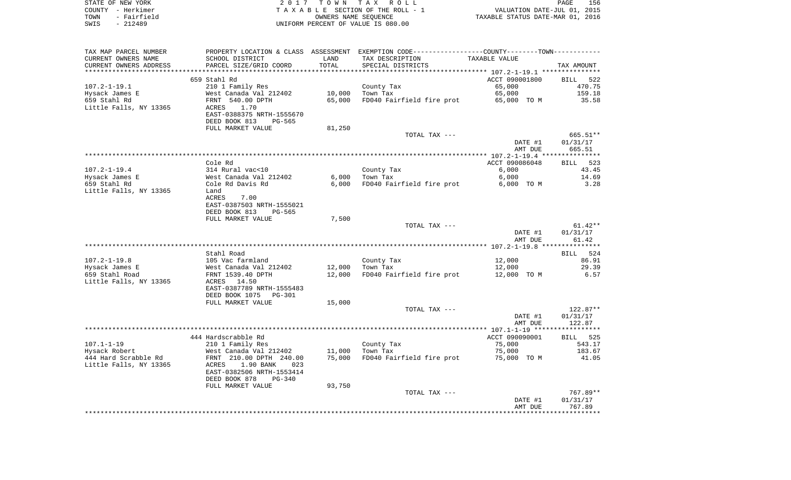| STATE OF NEW YORK   | 2017 TOWN TAX ROLL                 | 156<br>PAGE                      |
|---------------------|------------------------------------|----------------------------------|
| COUNTY - Herkimer   | TAXABLE SECTION OF THE ROLL - 1    | VALUATION DATE-JUL 01, 2015      |
| - Fairfield<br>TOWN | OWNERS NAME SEOUENCE               | TAXABLE STATUS DATE-MAR 01, 2016 |
| SWIS<br>- 212489    | UNIFORM PERCENT OF VALUE IS 080.00 |                                  |

| TAX MAP PARCEL NUMBER  |                           |        | PROPERTY LOCATION & CLASS ASSESSMENT EXEMPTION CODE----------------COUNTY-------TOWN--------- |                    |                    |
|------------------------|---------------------------|--------|-----------------------------------------------------------------------------------------------|--------------------|--------------------|
| CURRENT OWNERS NAME    | SCHOOL DISTRICT           | LAND   | TAX DESCRIPTION                                                                               | TAXABLE VALUE      |                    |
| CURRENT OWNERS ADDRESS | PARCEL SIZE/GRID COORD    | TOTAL  | SPECIAL DISTRICTS                                                                             |                    | TAX AMOUNT         |
|                        |                           |        |                                                                                               |                    |                    |
|                        | 659 Stahl Rd              |        |                                                                                               | ACCT 090001800     | BILL 522           |
| $107.2 - 1 - 19.1$     | 210 1 Family Res          |        | County Tax                                                                                    | 65,000             | 470.75             |
| Hysack James E         | West Canada Val 212402    | 10,000 | Town Tax                                                                                      | 65,000             | 159.18             |
| 659 Stahl Rd           | FRNT 540.00 DPTH          | 65,000 | FD040 Fairfield fire prot                                                                     | 65,000 TO M        | 35.58              |
| Little Falls, NY 13365 | 1.70<br>ACRES             |        |                                                                                               |                    |                    |
|                        | EAST-0388375 NRTH-1555670 |        |                                                                                               |                    |                    |
|                        | DEED BOOK 813<br>PG-565   |        |                                                                                               |                    |                    |
|                        | FULL MARKET VALUE         | 81,250 |                                                                                               |                    |                    |
|                        |                           |        | TOTAL TAX ---                                                                                 |                    | 665.51**           |
|                        |                           |        |                                                                                               | DATE #1            | 01/31/17           |
|                        |                           |        |                                                                                               | AMT DUE            | 665.51             |
|                        |                           |        |                                                                                               |                    |                    |
|                        | Cole Rd                   |        |                                                                                               | ACCT 090086048     | 523<br>BILL        |
| $107.2 - 1 - 19.4$     | 314 Rural vac<10          |        | County Tax                                                                                    | 6,000              | 43.45              |
| Hysack James E         | West Canada Val 212402    | 6,000  | Town Tax                                                                                      | 6,000              | 14.69              |
| 659 Stahl Rd           | Cole Rd Davis Rd          | 6,000  | FD040 Fairfield fire prot                                                                     | 6,000 TO M         | 3.28               |
| Little Falls, NY 13365 | Land                      |        |                                                                                               |                    |                    |
|                        | <b>ACRES</b><br>7.00      |        |                                                                                               |                    |                    |
|                        | EAST-0387503 NRTH-1555021 |        |                                                                                               |                    |                    |
|                        | DEED BOOK 813<br>PG-565   |        |                                                                                               |                    |                    |
|                        | FULL MARKET VALUE         | 7,500  |                                                                                               |                    |                    |
|                        |                           |        | TOTAL TAX ---                                                                                 |                    | $61.42**$          |
|                        |                           |        |                                                                                               | DATE #1            | 01/31/17           |
|                        |                           |        |                                                                                               | AMT DUE            | 61.42              |
|                        |                           |        |                                                                                               |                    |                    |
|                        | Stahl Road                |        |                                                                                               |                    | BILL 524           |
| $107.2 - 1 - 19.8$     | 105 Vac farmland          |        | County Tax                                                                                    | 12,000             | 86.91              |
| Hysack James E         | West Canada Val 212402    | 12,000 | Town Tax                                                                                      | 12,000             | 29.39              |
| 659 Stahl Road         | FRNT 1539.40 DPTH         | 12,000 | FD040 Fairfield fire prot                                                                     | 12,000 TO M        | 6.57               |
| Little Falls, NY 13365 | ACRES 14.50               |        |                                                                                               |                    |                    |
|                        | EAST-0387789 NRTH-1555483 |        |                                                                                               |                    |                    |
|                        | DEED BOOK 1075 PG-301     |        |                                                                                               |                    |                    |
|                        | FULL MARKET VALUE         | 15,000 |                                                                                               |                    |                    |
|                        |                           |        | TOTAL TAX ---                                                                                 |                    | 122.87**           |
|                        |                           |        |                                                                                               | DATE #1            | 01/31/17           |
|                        |                           |        |                                                                                               | AMT DUE            | 122.87             |
|                        |                           |        |                                                                                               |                    |                    |
|                        | 444 Hardscrabble Rd       |        |                                                                                               | ACCT 090090001     | BILL 525           |
| $107.1 - 1 - 19$       | 210 1 Family Res          |        | County Tax                                                                                    | 75,000             | 543.17             |
| Hysack Robert          | West Canada Val 212402    | 11,000 | Town Tax                                                                                      | 75,000             | 183.67             |
| 444 Hard Scrabble Rd   | FRNT 210.00 DPTH 240.00   | 75,000 | FD040 Fairfield fire prot 75,000 TO M                                                         |                    | 41.05              |
| Little Falls, NY 13365 | 1.90 BANK<br>ACRES<br>023 |        |                                                                                               |                    |                    |
|                        | EAST-0382506 NRTH-1553414 |        |                                                                                               |                    |                    |
|                        | DEED BOOK 878<br>PG-340   |        |                                                                                               |                    |                    |
|                        | FULL MARKET VALUE         | 93,750 |                                                                                               |                    |                    |
|                        |                           |        | TOTAL TAX ---                                                                                 |                    | 767.89**           |
|                        |                           |        |                                                                                               |                    |                    |
|                        |                           |        |                                                                                               | DATE #1<br>AMT DUE | 01/31/17<br>767.89 |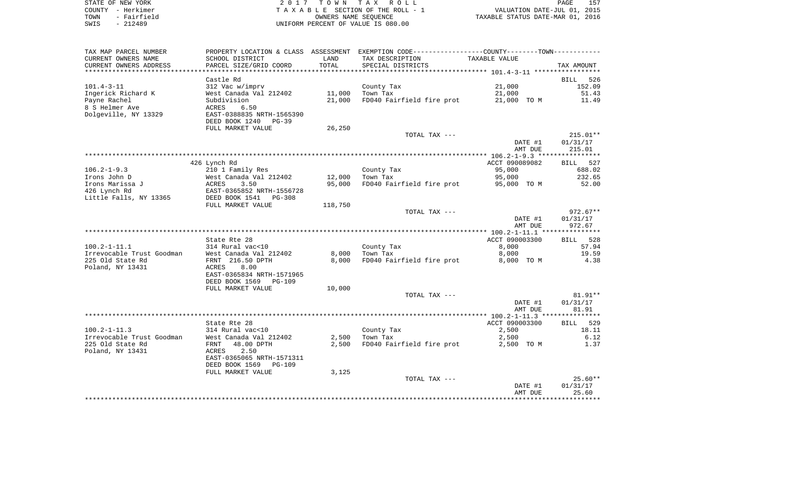| STATE OF NEW YORK   | 2017 TOWN TAX ROLL                 | 157<br>PAGE                      |
|---------------------|------------------------------------|----------------------------------|
| COUNTY - Herkimer   | TAXABLE SECTION OF THE ROLL - 1    | VALUATION DATE-JUL 01, 2015      |
| - Fairfield<br>TOWN | OWNERS NAME SEOUENCE               | TAXABLE STATUS DATE-MAR 01, 2016 |
| SWIS<br>- 212489    | UNIFORM PERCENT OF VALUE IS 080.00 |                                  |

| TAX MAP PARCEL NUMBER                  |                                                  |         | PROPERTY LOCATION & CLASS ASSESSMENT EXEMPTION CODE----------------COUNTY-------TOWN----------- |                |                    |
|----------------------------------------|--------------------------------------------------|---------|-------------------------------------------------------------------------------------------------|----------------|--------------------|
| CURRENT OWNERS NAME                    | SCHOOL DISTRICT                                  | LAND    | TAX DESCRIPTION                                                                                 | TAXABLE VALUE  |                    |
| CURRENT OWNERS ADDRESS                 | PARCEL SIZE/GRID COORD<br>********************** | TOTAL   | SPECIAL DISTRICTS                                                                               |                | TAX AMOUNT         |
| *********************                  |                                                  |         |                                                                                                 |                |                    |
|                                        | Castle Rd                                        |         |                                                                                                 |                | <b>BILL</b><br>526 |
| $101.4 - 3 - 11$                       | 312 Vac w/imprv                                  |         | County Tax                                                                                      | 21,000         | 152.09             |
| Ingerick Richard K                     | West Canada Val 212402                           | 11,000  | Town Tax                                                                                        | 21,000         | 51.43              |
| Payne Rachel                           | Subdivision                                      | 21,000  | FD040 Fairfield fire prot                                                                       | 21,000 TO M    | 11.49              |
| 8 S Helmer Ave<br>Dolgeville, NY 13329 | 6.50<br>ACRES<br>EAST-0388835 NRTH-1565390       |         |                                                                                                 |                |                    |
|                                        | DEED BOOK 1240<br>$PG-39$                        |         |                                                                                                 |                |                    |
|                                        | FULL MARKET VALUE                                | 26,250  |                                                                                                 |                |                    |
|                                        |                                                  |         | TOTAL TAX ---                                                                                   |                | $215.01**$         |
|                                        |                                                  |         |                                                                                                 | DATE #1        | 01/31/17           |
|                                        |                                                  |         |                                                                                                 | AMT DUE        | 215.01             |
|                                        |                                                  |         |                                                                                                 |                |                    |
|                                        | 426 Lynch Rd                                     |         |                                                                                                 | ACCT 090089082 | BILL 527           |
| $106.2 - 1 - 9.3$                      | 210 1 Family Res                                 |         | County Tax                                                                                      | 95,000         | 688.02             |
| Irons John D                           | West Canada Val 212402                           | 12,000  | Town Tax                                                                                        | 95,000         | 232.65             |
| Irons Marissa J                        | 3.50<br>ACRES                                    | 95,000  | FD040 Fairfield fire prot                                                                       | 95,000 TO M    | 52.00              |
| 426 Lynch Rd                           | EAST-0365852 NRTH-1556728                        |         |                                                                                                 |                |                    |
| Little Falls, NY 13365                 | DEED BOOK 1541<br>$PG-308$                       |         |                                                                                                 |                |                    |
|                                        | FULL MARKET VALUE                                | 118,750 |                                                                                                 |                |                    |
|                                        |                                                  |         | TOTAL TAX ---                                                                                   |                | $972.67**$         |
|                                        |                                                  |         |                                                                                                 | DATE #1        | 01/31/17           |
|                                        |                                                  |         |                                                                                                 | AMT DUE        | 972.67             |
|                                        |                                                  |         |                                                                                                 |                |                    |
|                                        | State Rte 28                                     |         |                                                                                                 | ACCT 090003300 | BILL 528           |
| $100.2 - 1 - 11.1$                     | 314 Rural vac<10                                 |         | County Tax                                                                                      | 8,000          | 57.94              |
| Irrevocable Trust Goodman              | West Canada Val 212402                           | 8,000   | Town Tax                                                                                        | 8,000          | 19.59              |
| 225 Old State Rd                       | FRNT 216.50 DPTH<br>8.00                         | 8,000   | FD040 Fairfield fire prot                                                                       | 8,000 TO M     | 4.38               |
| Poland, NY 13431                       | ACRES<br>EAST-0365834 NRTH-1571965               |         |                                                                                                 |                |                    |
|                                        | DEED BOOK 1569<br>PG-109                         |         |                                                                                                 |                |                    |
|                                        | FULL MARKET VALUE                                | 10,000  |                                                                                                 |                |                    |
|                                        |                                                  |         | TOTAL TAX ---                                                                                   |                | $81.91**$          |
|                                        |                                                  |         |                                                                                                 | DATE #1        | 01/31/17           |
|                                        |                                                  |         |                                                                                                 | AMT DUE        | 81.91              |
|                                        |                                                  |         |                                                                                                 |                |                    |
|                                        | State Rte 28                                     |         |                                                                                                 | ACCT 090003300 | 529<br><b>BILL</b> |
| $100.2 - 1 - 11.3$                     | 314 Rural vac<10                                 |         | County Tax                                                                                      | 2,500          | 18.11              |
| Irrevocable Trust Goodman              | West Canada Val 212402                           | 2,500   | Town Tax                                                                                        | 2,500          | 6.12               |
| 225 Old State Rd                       | 48.00 DPTH<br>FRNT                               | 2,500   | FD040 Fairfield fire prot                                                                       | 2,500 TO M     | 1.37               |
| Poland, NY 13431                       | 2.50<br>ACRES                                    |         |                                                                                                 |                |                    |
|                                        | EAST-0365065 NRTH-1571311                        |         |                                                                                                 |                |                    |
|                                        | DEED BOOK 1569<br><b>PG-109</b>                  |         |                                                                                                 |                |                    |
|                                        | FULL MARKET VALUE                                | 3,125   |                                                                                                 |                |                    |
|                                        |                                                  |         | TOTAL TAX ---                                                                                   |                | $25.60**$          |
|                                        |                                                  |         |                                                                                                 | DATE #1        | 01/31/17           |
|                                        |                                                  |         |                                                                                                 | AMT DUE        | 25.60              |
|                                        |                                                  |         |                                                                                                 |                |                    |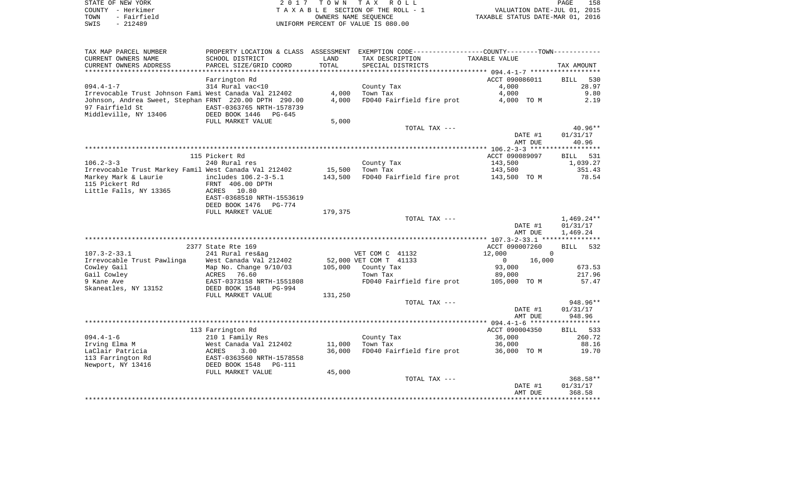| STATE OF NEW YORK   | 2017 TOWN TAX ROLL                 | 158<br>PAGE                      |
|---------------------|------------------------------------|----------------------------------|
| COUNTY - Herkimer   | TAXABLE SECTION OF THE ROLL - 1    | VALUATION DATE-JUL 01, 2015      |
| - Fairfield<br>TOWN | OWNERS NAME SEOUENCE               | TAXABLE STATUS DATE-MAR 01, 2016 |
| $-212489$<br>SWIS   | UNIFORM PERCENT OF VALUE IS 080.00 |                                  |

| TAX MAP PARCEL NUMBER<br>CURRENT OWNERS NAME                                                       | SCHOOL DISTRICT                                                                      | LAND    | PROPERTY LOCATION & CLASS ASSESSMENT EXEMPTION CODE---------------COUNTY-------TOWN----------<br>TAX DESCRIPTION | TAXABLE VALUE      |                                      |
|----------------------------------------------------------------------------------------------------|--------------------------------------------------------------------------------------|---------|------------------------------------------------------------------------------------------------------------------|--------------------|--------------------------------------|
| CURRENT OWNERS ADDRESS                                                                             | PARCEL SIZE/GRID COORD                                                               | TOTAL   | SPECIAL DISTRICTS                                                                                                |                    | TAX AMOUNT                           |
| *************************                                                                          |                                                                                      |         |                                                                                                                  |                    |                                      |
|                                                                                                    | Farrington Rd                                                                        |         |                                                                                                                  | ACCT 090086011     | 530<br>BILL                          |
| $094.4 - 1 - 7$                                                                                    | 314 Rural vac<10                                                                     |         | County Tax                                                                                                       | 4,000              | 28.97                                |
| Irrevocable Trust Johnson Fami West Canada Val 212402                                              |                                                                                      | 4,000   | Town Tax                                                                                                         | 4,000              | 9.80                                 |
| Johnson, Andrea Sweet, Stephan FRNT 220.00 DPTH 290.00<br>97 Fairfield St<br>Middleville, NY 13406 | EAST-0363765 NRTH-1578739<br>DEED BOOK 1446<br>PG-645                                | 4,000   | FD040 Fairfield fire prot                                                                                        | 4,000 TO M         | 2.19                                 |
|                                                                                                    | FULL MARKET VALUE                                                                    | 5,000   |                                                                                                                  |                    |                                      |
|                                                                                                    |                                                                                      |         | TOTAL TAX ---                                                                                                    |                    | $40.96**$                            |
|                                                                                                    |                                                                                      |         |                                                                                                                  | DATE #1<br>AMT DUE | 01/31/17<br>40.96                    |
|                                                                                                    |                                                                                      |         |                                                                                                                  |                    |                                      |
|                                                                                                    | 115 Pickert Rd                                                                       |         |                                                                                                                  | ACCT 090089097     | 531<br><b>BILL</b>                   |
| $106.2 - 3 - 3$                                                                                    | 240 Rural res                                                                        |         | County Tax                                                                                                       | 143,500            | 1,039.27                             |
| Irrevocable Trust Markey Famil West Canada Val 212402                                              |                                                                                      | 15,500  | Town Tax                                                                                                         | 143,500            | 351.43                               |
| Markey Mark & Laurie<br>115 Pickert Rd<br>Little Falls, NY 13365                                   | includes 106.2-3-5.1<br>FRNT 406.00 DPTH<br>ACRES 10.80<br>EAST-0368510 NRTH-1553619 | 143,500 | FD040 Fairfield fire prot                                                                                        | 143,500 TO M       | 78.54                                |
|                                                                                                    | DEED BOOK 1476<br>PG-774                                                             |         |                                                                                                                  |                    |                                      |
|                                                                                                    | FULL MARKET VALUE                                                                    | 179,375 |                                                                                                                  |                    |                                      |
|                                                                                                    |                                                                                      |         | TOTAL TAX ---                                                                                                    | DATE #1<br>AMT DUE | $1,469.24**$<br>01/31/17<br>1,469.24 |
|                                                                                                    |                                                                                      |         |                                                                                                                  |                    |                                      |
|                                                                                                    | 2377 State Rte 169                                                                   |         |                                                                                                                  | ACCT 090007260     | <b>BILL</b><br>532                   |
| $107.3 - 2 - 33.1$                                                                                 | 241 Rural res&ag                                                                     |         | VET COM C 41132                                                                                                  | 12,000             | $\overline{0}$                       |
| Irrevocable Trust Pawlinga                                                                         | West Canada Val 212402                                                               |         | 52,000 VET COM T 41133                                                                                           | 16,000<br>$\Omega$ |                                      |
| Cowley Gail                                                                                        | Map No. Change 9/10/03                                                               | 105,000 | County Tax                                                                                                       | 93,000             | 673.53                               |
| Gail Cowley                                                                                        | 76.60<br>ACRES                                                                       |         | Town Tax                                                                                                         | 89,000             | 217.96                               |
| 9 Kane Ave                                                                                         | EAST-0373158 NRTH-1551808                                                            |         | FD040 Fairfield fire prot                                                                                        | 105,000 TO M       | 57.47                                |
| Skaneatles, NY 13152                                                                               | DEED BOOK 1548<br>PG-994                                                             |         |                                                                                                                  |                    |                                      |
|                                                                                                    | FULL MARKET VALUE                                                                    | 131,250 |                                                                                                                  |                    |                                      |
|                                                                                                    |                                                                                      |         | TOTAL TAX ---                                                                                                    |                    | 948.96**                             |
|                                                                                                    |                                                                                      |         |                                                                                                                  | DATE #1<br>AMT DUE | 01/31/17<br>948.96                   |
|                                                                                                    |                                                                                      |         |                                                                                                                  |                    |                                      |
|                                                                                                    | 113 Farrington Rd                                                                    |         |                                                                                                                  | ACCT 090004350     | BILL 533                             |
| $094.4 - 1 - 6$                                                                                    | 210 1 Family Res                                                                     |         | County Tax                                                                                                       | 36,000             | 260.72                               |
| Irving Elma M                                                                                      | West Canada Val 212402                                                               | 11,000  | Town Tax                                                                                                         | 36,000             | 88.16                                |
| LaClair Patricia                                                                                   | 3.00<br>ACRES                                                                        | 36,000  | FD040 Fairfield fire prot                                                                                        | 36,000 TO M        | 19.70                                |
| 113 Farrington Rd                                                                                  | EAST-0363560 NRTH-1578558                                                            |         |                                                                                                                  |                    |                                      |
| Newport, NY 13416                                                                                  | DEED BOOK 1548<br>PG-111                                                             |         |                                                                                                                  |                    |                                      |
|                                                                                                    | FULL MARKET VALUE                                                                    | 45,000  |                                                                                                                  |                    |                                      |
|                                                                                                    |                                                                                      |         | TOTAL TAX ---                                                                                                    |                    | $368.58**$                           |
|                                                                                                    |                                                                                      |         |                                                                                                                  | DATE #1<br>AMT DUE | 01/31/17<br>368.58                   |
|                                                                                                    |                                                                                      |         |                                                                                                                  |                    |                                      |
|                                                                                                    |                                                                                      |         |                                                                                                                  |                    |                                      |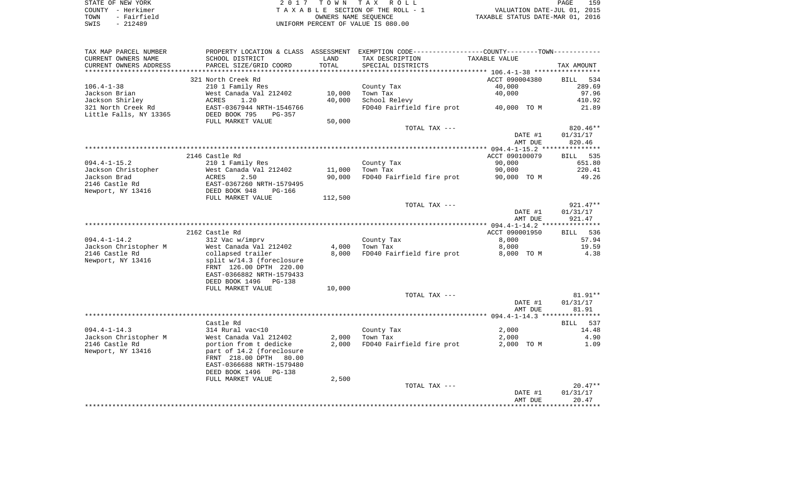| STATE OF NEW YORK   | 2017 TOWN TAX ROLL                 | 159<br>PAGE                      |
|---------------------|------------------------------------|----------------------------------|
| COUNTY - Herkimer   | TAXABLE SECTION OF THE ROLL - 1    | VALUATION DATE-JUL 01, 2015      |
| - Fairfield<br>TOWN | OWNERS NAME SEOUENCE               | TAXABLE STATUS DATE-MAR 01, 2016 |
| $-212489$<br>SWIS   | UNIFORM PERCENT OF VALUE IS 080.00 |                                  |

| TAX MAP PARCEL NUMBER<br>CURRENT OWNERS NAME | SCHOOL DISTRICT                                      | LAND    | PROPERTY LOCATION & CLASS ASSESSMENT EXEMPTION CODE----------------COUNTY--------TOWN----------<br>TAX DESCRIPTION | TAXABLE VALUE  |            |
|----------------------------------------------|------------------------------------------------------|---------|--------------------------------------------------------------------------------------------------------------------|----------------|------------|
| CURRENT OWNERS ADDRESS                       | PARCEL SIZE/GRID COORD                               | TOTAL   | SPECIAL DISTRICTS                                                                                                  |                | TAX AMOUNT |
| *********************                        |                                                      |         |                                                                                                                    |                |            |
|                                              | 321 North Creek Rd                                   |         |                                                                                                                    | ACCT 090004380 | BILL 534   |
| $106.4 - 1 - 38$                             | 210 1 Family Res                                     |         | County Tax                                                                                                         | 40,000         | 289.69     |
| Jackson Brian                                | West Canada Val 212402                               | 10,000  | Town Tax                                                                                                           | 40,000         | 97.96      |
| Jackson Shirley                              | ACRES<br>1.20                                        | 40,000  | School Relevy                                                                                                      |                | 410.92     |
| 321 North Creek Rd                           | EAST-0367944 NRTH-1546766                            |         | FD040 Fairfield fire prot 40,000 TO M                                                                              |                | 21.89      |
| Little Falls, NY 13365                       | DEED BOOK 795<br>$PG-357$                            |         |                                                                                                                    |                |            |
|                                              | FULL MARKET VALUE                                    | 50,000  | TOTAL TAX ---                                                                                                      |                | $820.46**$ |
|                                              |                                                      |         |                                                                                                                    | DATE #1        | 01/31/17   |
|                                              |                                                      |         |                                                                                                                    | AMT DUE        | 820.46     |
|                                              |                                                      |         |                                                                                                                    |                |            |
|                                              | 2146 Castle Rd                                       |         |                                                                                                                    | ACCT 090100079 | BILL 535   |
| $094.4 - 1 - 15.2$                           | 210 1 Family Res                                     |         | County Tax                                                                                                         | 90,000         | 651.80     |
| Jackson Christopher                          | West Canada Val 212402                               | 11,000  | Town Tax                                                                                                           | 90,000         | 220.41     |
| Jackson Brad                                 | ACRES<br>2.50                                        | 90,000  | FD040 Fairfield fire prot                                                                                          | 90,000 TO M    | 49.26      |
| 2146 Castle Rd                               |                                                      |         |                                                                                                                    |                |            |
| Newport, NY 13416                            | EAST-0367260 NRTH-1579495<br>DEED BOOK 948    PG-166 |         |                                                                                                                    |                |            |
|                                              | FULL MARKET VALUE                                    | 112,500 |                                                                                                                    |                |            |
|                                              |                                                      |         | TOTAL TAX ---                                                                                                      |                | 921.47**   |
|                                              |                                                      |         |                                                                                                                    | DATE #1        | 01/31/17   |
|                                              |                                                      |         |                                                                                                                    | AMT DUE        | 921.47     |
|                                              |                                                      |         |                                                                                                                    |                |            |
|                                              | 2162 Castle Rd                                       |         |                                                                                                                    | ACCT 090001950 | BILL 536   |
| 094.4-1-14.2                                 | 312 Vac w/imprv                                      |         | County Tax                                                                                                         | 8,000          | 57.94      |
| Jackson Christopher M                        | West Canada Val 212402                               | 4,000   | Town Tax                                                                                                           | 8,000          | 19.59      |
| 2146 Castle Rd                               | collapsed trailer                                    | 8,000   | FD040 Fairfield fire prot                                                                                          | 8,000 TO M     | 4.38       |
| Newport, NY 13416                            | split w/14.3 (foreclosure                            |         |                                                                                                                    |                |            |
|                                              | FRNT 126.00 DPTH 220.00<br>EAST-0366882 NRTH-1579433 |         |                                                                                                                    |                |            |
|                                              | DEED BOOK 1496 PG-138                                |         |                                                                                                                    |                |            |
|                                              | FULL MARKET VALUE                                    | 10,000  |                                                                                                                    |                |            |
|                                              |                                                      |         | TOTAL TAX ---                                                                                                      |                | $81.91**$  |
|                                              |                                                      |         |                                                                                                                    | DATE #1        | 01/31/17   |
|                                              |                                                      |         |                                                                                                                    | AMT DUE        | 81.91      |
|                                              |                                                      |         |                                                                                                                    |                |            |
|                                              | Castle Rd                                            |         |                                                                                                                    |                | BILL 537   |
| $094.4 - 1 - 14.3$                           | 314 Rural vac<10                                     |         | County Tax                                                                                                         | 2,000          | 14.48      |
| Jackson Christopher M                        | West Canada Val 212402                               | 2,000   | Town Tax                                                                                                           | 2,000          | 4.90       |
| 2146 Castle Rd                               | portion from t dedicke                               | 2,000   | FD040 Fairfield fire prot                                                                                          | 2,000 TO M     | 1.09       |
| Newport, NY 13416                            | part of 14.2 (foreclosure                            |         |                                                                                                                    |                |            |
|                                              | FRNT 218.00 DPTH 80.00                               |         |                                                                                                                    |                |            |
|                                              | EAST-0366688 NRTH-1579480                            |         |                                                                                                                    |                |            |
|                                              | DEED BOOK 1496 PG-138                                |         |                                                                                                                    |                |            |
|                                              | FULL MARKET VALUE                                    | 2,500   |                                                                                                                    |                |            |
|                                              |                                                      |         | TOTAL TAX ---                                                                                                      |                | $20.47**$  |
|                                              |                                                      |         |                                                                                                                    | DATE #1        | 01/31/17   |
|                                              |                                                      |         |                                                                                                                    | AMT DUE        | 20.47      |
|                                              |                                                      |         |                                                                                                                    |                |            |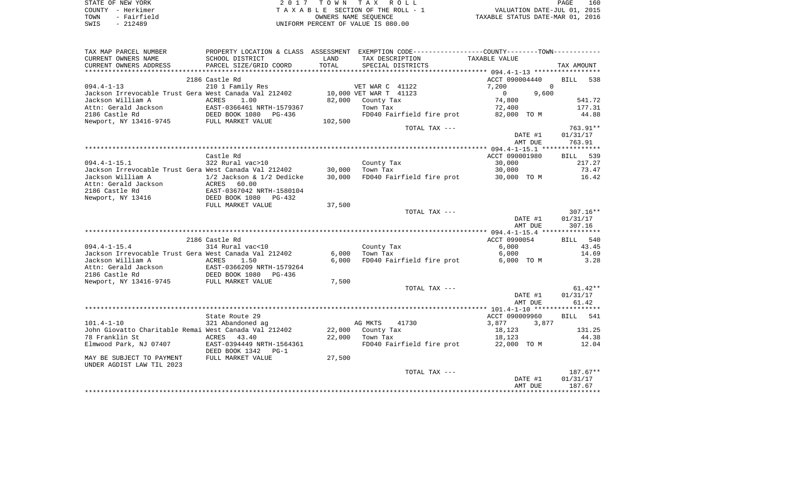| STATE OF NEW YORK   | 2017 TOWN TAX ROLL                 | 160<br>PAGE                      |
|---------------------|------------------------------------|----------------------------------|
| COUNTY - Herkimer   | TAXABLE SECTION OF THE ROLL - 1    | VALUATION DATE-JUL 01, 2015      |
| - Fairfield<br>TOWN | OWNERS NAME SEOUENCE               | TAXABLE STATUS DATE-MAR 01, 2016 |
| $-212489$<br>SWIS   | UNIFORM PERCENT OF VALUE IS 080.00 |                                  |

| TAX MAP PARCEL NUMBER<br>CURRENT OWNERS NAME<br>CURRENT OWNERS ADDRESS | PROPERTY LOCATION & CLASS<br>SCHOOL DISTRICT<br>PARCEL SIZE/GRID COORD | ASSESSMENT<br>LAND<br>TOTAL | EXEMPTION CODE----------------COUNTY-------TOWN-----------<br>TAX DESCRIPTION<br>SPECIAL DISTRICTS | TAXABLE VALUE         | TAX AMOUNT         |
|------------------------------------------------------------------------|------------------------------------------------------------------------|-----------------------------|----------------------------------------------------------------------------------------------------|-----------------------|--------------------|
|                                                                        |                                                                        |                             |                                                                                                    |                       |                    |
|                                                                        | 2186 Castle Rd                                                         |                             |                                                                                                    | ACCT 090004440        | <b>BILL</b><br>538 |
| $094.4 - 1 - 13$                                                       | 210 1 Family Res                                                       |                             | VET WAR C 41122                                                                                    | 7,200<br>$\Omega$     |                    |
| Jackson Irrevocable Trust Gera West Canada Val 212402                  |                                                                        |                             | 10,000 VET WAR T 41123                                                                             | 9,600<br>$\mathbf{0}$ |                    |
| Jackson William A                                                      | ACRES<br>1.00                                                          | 82,000                      | County Tax                                                                                         | 74,800                | 541.72             |
| Attn: Gerald Jackson                                                   | EAST-0366461 NRTH-1579367                                              |                             | Town Tax                                                                                           | 72,400                | 177.31             |
| 2186 Castle Rd                                                         | DEED BOOK 1080<br>PG-436                                               |                             | FD040 Fairfield fire prot                                                                          | 82,000 TO M           | 44.88              |
| Newport, NY 13416-9745                                                 | FULL MARKET VALUE                                                      | 102,500                     |                                                                                                    |                       |                    |
|                                                                        |                                                                        |                             | TOTAL TAX ---                                                                                      |                       | 763.91**           |
|                                                                        |                                                                        |                             |                                                                                                    | DATE #1               | 01/31/17           |
|                                                                        |                                                                        |                             |                                                                                                    | AMT DUE               | 763.91             |
|                                                                        |                                                                        |                             |                                                                                                    |                       |                    |
|                                                                        | Castle Rd                                                              |                             |                                                                                                    | ACCT 090001980        | 539<br>BILL        |
| $094.4 - 1 - 15.1$                                                     | 322 Rural vac>10                                                       |                             | County Tax                                                                                         | 30,000                | 217.27             |
| Jackson Irrevocable Trust Gera West Canada Val 212402                  |                                                                        | 30,000                      | Town Tax                                                                                           | 30,000                | 73.47              |
| Jackson William A                                                      | 1/2 Jackson & 1/2 Dedicke                                              | 30,000                      | FD040 Fairfield fire prot                                                                          | 30,000 TO M           | 16.42              |
| Attn: Gerald Jackson                                                   | ACRES<br>60.00                                                         |                             |                                                                                                    |                       |                    |
| 2186 Castle Rd                                                         | EAST-0367042 NRTH-1580104                                              |                             |                                                                                                    |                       |                    |
| Newport, NY 13416                                                      | DEED BOOK 1080<br>$PG-432$                                             |                             |                                                                                                    |                       |                    |
|                                                                        | FULL MARKET VALUE                                                      | 37,500                      |                                                                                                    |                       |                    |
|                                                                        |                                                                        |                             | TOTAL TAX ---                                                                                      |                       | $307.16**$         |
|                                                                        |                                                                        |                             |                                                                                                    | DATE #1               | 01/31/17           |
|                                                                        |                                                                        |                             |                                                                                                    | AMT DUE               | 307.16             |
|                                                                        |                                                                        |                             |                                                                                                    |                       |                    |
|                                                                        | 2186 Castle Rd                                                         |                             |                                                                                                    | ACCT 0990054          | BILL 540           |
| $094.4 - 1 - 15.4$                                                     | 314 Rural vac<10                                                       |                             | County Tax                                                                                         | 6,000                 | 43.45              |
| Jackson Irrevocable Trust Gera West Canada Val 212402                  |                                                                        | 6,000                       | Town Tax                                                                                           | 6,000                 | 14.69              |
| Jackson William A                                                      | ACRES<br>1.50                                                          | 6,000                       | FD040 Fairfield fire prot                                                                          | 6,000 TO M            | 3.28               |
| Attn: Gerald Jackson                                                   | EAST-0366209 NRTH-1579264                                              |                             |                                                                                                    |                       |                    |
| 2186 Castle Rd                                                         | DEED BOOK 1080<br>$PG-436$                                             |                             |                                                                                                    |                       |                    |
| Newport, NY 13416-9745                                                 | FULL MARKET VALUE                                                      | 7,500                       |                                                                                                    |                       |                    |
|                                                                        |                                                                        |                             | TOTAL TAX ---                                                                                      |                       | $61.42**$          |
|                                                                        |                                                                        |                             |                                                                                                    | DATE #1               | 01/31/17           |
|                                                                        |                                                                        |                             |                                                                                                    | AMT DUE               | 61.42              |
|                                                                        |                                                                        |                             |                                                                                                    |                       |                    |
|                                                                        | State Route 29                                                         |                             |                                                                                                    | ACCT 090009960        | 541<br><b>BILL</b> |
| $101.4 - 1 - 10$                                                       | 321 Abandoned ag                                                       |                             | AG MKTS<br>41730                                                                                   | 3,877<br>3,877        |                    |
| John Giovatto Charitable Remai West Canada Val 212402                  |                                                                        | 22,000                      | County Tax                                                                                         | 18,123                | 131.25             |
| 78 Franklin St                                                         | ACRES<br>43.40                                                         | 22,000                      | Town Tax                                                                                           | 18,123                | 44.38              |
| Elmwood Park, NJ 07407                                                 | EAST-0394449 NRTH-1564361<br>DEED BOOK 1342<br>$PG-1$                  |                             | FD040 Fairfield fire prot                                                                          | 22,000 TO M           | 12.04              |
| MAY BE SUBJECT TO PAYMENT<br>UNDER AGDIST LAW TIL 2023                 | FULL MARKET VALUE                                                      | 27,500                      |                                                                                                    |                       |                    |
|                                                                        |                                                                        |                             | TOTAL TAX ---                                                                                      |                       | $187.67**$         |
|                                                                        |                                                                        |                             |                                                                                                    | DATE #1               | 01/31/17           |
|                                                                        |                                                                        |                             |                                                                                                    | AMT DUE               | 187.67             |
|                                                                        |                                                                        |                             |                                                                                                    |                       |                    |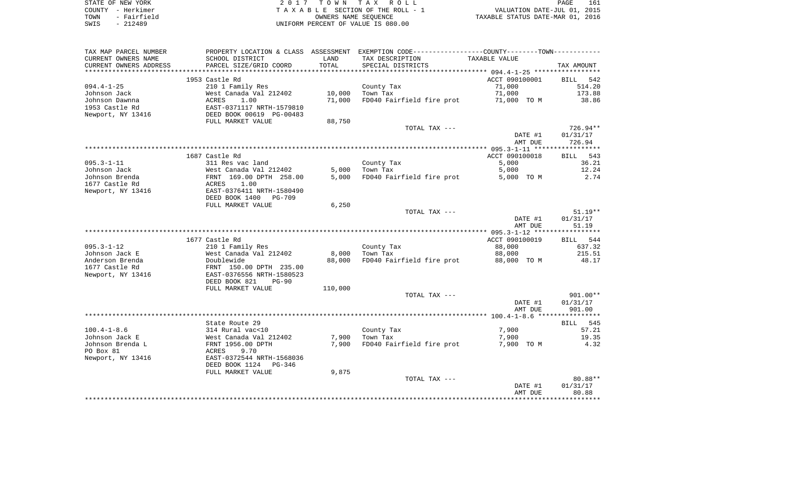| STATE OF NEW YORK |             | 2017 TOWN TAX ROLL                 | PAGE                             | 161 |
|-------------------|-------------|------------------------------------|----------------------------------|-----|
| COUNTY - Herkimer |             | TAXABLE SECTION OF THE ROLL - 1    | VALUATION DATE-JUL 01, 2015      |     |
| TOWN              | - Fairfield | OWNERS NAME SEOUENCE               | TAXABLE STATUS DATE-MAR 01, 2016 |     |
| SWIS              | $-212489$   | UNIFORM PERCENT OF VALUE IS 080.00 |                                  |     |

| TAX MAP PARCEL NUMBER  |                                 |         | PROPERTY LOCATION & CLASS ASSESSMENT EXEMPTION CODE---------------COUNTY-------TOWN---------- |                |                   |
|------------------------|---------------------------------|---------|-----------------------------------------------------------------------------------------------|----------------|-------------------|
| CURRENT OWNERS NAME    | SCHOOL DISTRICT                 | LAND    | TAX DESCRIPTION                                                                               | TAXABLE VALUE  |                   |
| CURRENT OWNERS ADDRESS | PARCEL SIZE/GRID COORD          | TOTAL   | SPECIAL DISTRICTS                                                                             |                | TAX AMOUNT        |
|                        |                                 |         |                                                                                               |                |                   |
|                        | 1953 Castle Rd                  |         |                                                                                               | ACCT 090100001 | 542<br>BILL       |
| $094.4 - 1 - 25$       | 210 1 Family Res                |         | County Tax                                                                                    | 71,000         | 514.20            |
| Johnson Jack           | West Canada Val 212402          | 10,000  | Town Tax                                                                                      | 71,000         | 173.88            |
| Johnson Dawnna         | ACRES<br>1.00                   | 71,000  | FD040 Fairfield fire prot                                                                     | 71,000 TO M    | 38.86             |
| 1953 Castle Rd         | EAST-0371117 NRTH-1579810       |         |                                                                                               |                |                   |
| Newport, NY 13416      | DEED BOOK 00619 PG-00483        |         |                                                                                               |                |                   |
|                        | FULL MARKET VALUE               | 88,750  |                                                                                               |                |                   |
|                        |                                 |         | TOTAL TAX ---                                                                                 |                | 726.94**          |
|                        |                                 |         |                                                                                               | DATE #1        | 01/31/17          |
|                        |                                 |         |                                                                                               | AMT DUE        | 726.94            |
|                        |                                 |         |                                                                                               |                |                   |
|                        | 1687 Castle Rd                  |         |                                                                                               | ACCT 090100018 | 543<br>BILL       |
| $095.3 - 1 - 11$       | 311 Res vac land                |         | County Tax                                                                                    | 5,000          | 36.21             |
| Johnson Jack           | West Canada Val 212402          | 5,000   | Town Tax                                                                                      | 5,000          | 12.24             |
| Johnson Brenda         | FRNT 169.00 DPTH 258.00         | 5,000   | FD040 Fairfield fire prot                                                                     | 5,000 TO M     | 2.74              |
| 1677 Castle Rd         | 1.00<br>ACRES                   |         |                                                                                               |                |                   |
| Newport, NY 13416      | EAST-0376411 NRTH-1580490       |         |                                                                                               |                |                   |
|                        | DEED BOOK 1400<br><b>PG-709</b> |         |                                                                                               |                |                   |
|                        | FULL MARKET VALUE               | 6,250   |                                                                                               |                |                   |
|                        |                                 |         | TOTAL TAX ---                                                                                 |                | $51.19**$         |
|                        |                                 |         |                                                                                               | DATE #1        | 01/31/17<br>51.19 |
|                        |                                 |         |                                                                                               | AMT DUE        |                   |
|                        | 1677 Castle Rd                  |         |                                                                                               | ACCT 090100019 | BILL 544          |
| $095.3 - 1 - 12$       | 210 1 Family Res                |         | County Tax                                                                                    | 88,000         | 637.32            |
| Johnson Jack E         | West Canada Val 212402          | 8,000   | Town Tax                                                                                      | 88,000         | 215.51            |
| Anderson Brenda        | Doublewide                      | 88,000  | FD040 Fairfield fire prot                                                                     | 88,000 TO M    | 48.17             |
| 1677 Castle Rd         | FRNT 150.00 DPTH 235.00         |         |                                                                                               |                |                   |
| Newport, NY 13416      | EAST-0376556 NRTH-1580523       |         |                                                                                               |                |                   |
|                        | DEED BOOK 821<br>$PG-90$        |         |                                                                                               |                |                   |
|                        | FULL MARKET VALUE               | 110,000 |                                                                                               |                |                   |
|                        |                                 |         | TOTAL TAX ---                                                                                 |                | 901.00**          |
|                        |                                 |         |                                                                                               | DATE #1        | 01/31/17          |
|                        |                                 |         |                                                                                               | AMT DUE        | 901.00            |
|                        |                                 |         |                                                                                               |                |                   |
|                        | State Route 29                  |         |                                                                                               |                | BILL 545          |
| $100.4 - 1 - 8.6$      | 314 Rural vac<10                |         | County Tax                                                                                    | 7,900          | 57.21             |
| Johnson Jack E         | West Canada Val 212402          | 7,900   | Town Tax                                                                                      | 7,900          | 19.35             |
| Johnson Brenda L       | FRNT 1956.00 DPTH               | 7,900   | FD040 Fairfield fire prot                                                                     | 7,900 TO M     | 4.32              |
| PO Box 81              | ACRES<br>9.70                   |         |                                                                                               |                |                   |
| Newport, NY 13416      | EAST-0372544 NRTH-1568036       |         |                                                                                               |                |                   |
|                        | DEED BOOK 1124<br>PG-346        |         |                                                                                               |                |                   |
|                        | FULL MARKET VALUE               | 9,875   |                                                                                               |                |                   |
|                        |                                 |         | TOTAL TAX ---                                                                                 |                | 80.88**           |
|                        |                                 |         |                                                                                               | DATE #1        | 01/31/17          |
|                        |                                 |         |                                                                                               | AMT DUE        | 80.88             |
|                        |                                 |         |                                                                                               |                |                   |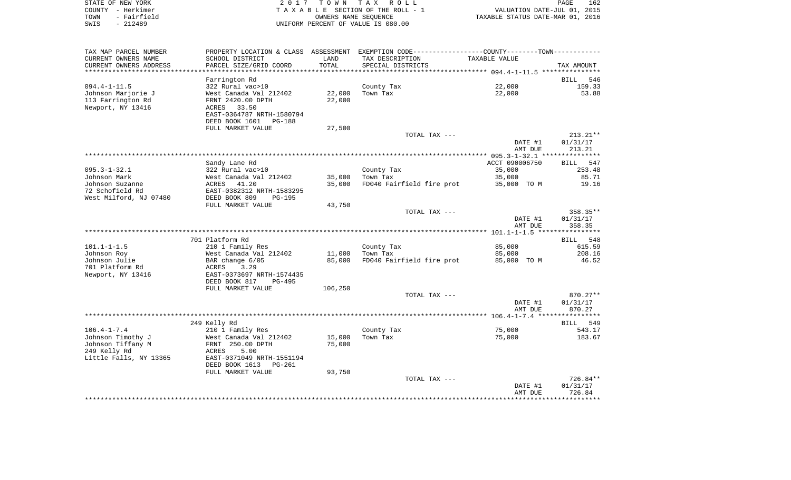|      | STATE OF NEW YORK | 2017 TOWN TAX ROLL                 | <b>PAGE</b>                      | 162 |
|------|-------------------|------------------------------------|----------------------------------|-----|
|      | COUNTY – Herkimer | TAXABLE SECTION OF THE ROLL - 1    | VALUATION DATE-JUL 01, 2015      |     |
| TOWN | - Fairfield       | OWNERS NAME SEOUENCE               | TAXABLE STATUS DATE-MAR 01, 2016 |     |
| SWIS | - 212489          | UNIFORM PERCENT OF VALUE IS 080.00 |                                  |     |

| TAX MAP PARCEL NUMBER  | PROPERTY LOCATION & CLASS ASSESSMENT EXEMPTION CODE----------------COUNTY--------TOWN-------- |         |                           |                |             |
|------------------------|-----------------------------------------------------------------------------------------------|---------|---------------------------|----------------|-------------|
| CURRENT OWNERS NAME    | SCHOOL DISTRICT                                                                               | LAND    | TAX DESCRIPTION           | TAXABLE VALUE  |             |
| CURRENT OWNERS ADDRESS | PARCEL SIZE/GRID COORD                                                                        | TOTAL   | SPECIAL DISTRICTS         |                | TAX AMOUNT  |
|                        |                                                                                               |         |                           |                |             |
|                        | Farrington Rd                                                                                 |         |                           |                | BILL 546    |
| $094.4 - 1 - 11.5$     | 322 Rural vac>10                                                                              |         | County Tax                | 22,000         | 159.33      |
| Johnson Marjorie J     | West Canada Val 212402                                                                        | 22,000  | Town Tax                  | 22,000         | 53.88       |
| 113 Farrington Rd      | FRNT 2420.00 DPTH                                                                             | 22,000  |                           |                |             |
| Newport, NY 13416      | 33.50<br>ACRES                                                                                |         |                           |                |             |
|                        | EAST-0364787 NRTH-1580794                                                                     |         |                           |                |             |
|                        | DEED BOOK 1601<br>PG-188                                                                      |         |                           |                |             |
|                        | FULL MARKET VALUE                                                                             | 27,500  |                           |                |             |
|                        |                                                                                               |         | TOTAL TAX ---             |                | $213.21**$  |
|                        |                                                                                               |         |                           | DATE #1        | 01/31/17    |
|                        |                                                                                               |         |                           | AMT DUE        | 213.21      |
|                        |                                                                                               |         |                           |                |             |
|                        | Sandy Lane Rd                                                                                 |         |                           | ACCT 090006750 | BILL 547    |
| $095.3 - 1 - 32.1$     | 322 Rural vac>10                                                                              |         | County Tax                | 35,000         | 253.48      |
| Johnson Mark           | West Canada Val 212402                                                                        | 35,000  | Town Tax                  | 35,000         | 85.71       |
| Johnson Suzanne        | ACRES 41.20                                                                                   | 35,000  | FD040 Fairfield fire prot | 35,000 TO M    | 19.16       |
| 72 Schofield Rd        | EAST-0382312 NRTH-1583295                                                                     |         |                           |                |             |
| West Milford, NJ 07480 | DEED BOOK 809<br>PG-195                                                                       |         |                           |                |             |
|                        | FULL MARKET VALUE                                                                             | 43,750  |                           |                |             |
|                        |                                                                                               |         | TOTAL TAX ---             |                | 358.35**    |
|                        |                                                                                               |         |                           | DATE #1        | 01/31/17    |
|                        |                                                                                               |         |                           | AMT DUE        | 358.35      |
|                        |                                                                                               |         |                           |                |             |
|                        | 701 Platform Rd                                                                               |         |                           |                | BILL 548    |
| $101.1 - 1 - 1.5$      | 210 1 Family Res                                                                              |         | County Tax                | 85,000         | 615.59      |
| Johnson Roy            | West Canada Val 212402                                                                        | 11,000  | Town Tax                  | 85,000         | 208.16      |
| Johnson Julie          | BAR change 6/05                                                                               | 85,000  | FD040 Fairfield fire prot | 85,000 TO M    | 46.52       |
| 701 Platform Rd        | ACRES<br>3.29                                                                                 |         |                           |                |             |
| Newport, NY 13416      | EAST-0373697 NRTH-1574435                                                                     |         |                           |                |             |
|                        | DEED BOOK 817<br><b>PG-495</b>                                                                |         |                           |                |             |
|                        | FULL MARKET VALUE                                                                             | 106,250 |                           |                |             |
|                        |                                                                                               |         | TOTAL TAX ---             |                | $870.27**$  |
|                        |                                                                                               |         |                           | DATE #1        | 01/31/17    |
|                        |                                                                                               |         |                           | AMT DUE        | 870.27      |
|                        |                                                                                               |         |                           |                |             |
|                        | 249 Kelly Rd                                                                                  |         |                           |                | BILL<br>549 |
| $106.4 - 1 - 7.4$      | 210 1 Family Res                                                                              |         | County Tax                | 75,000         | 543.17      |
| Johnson Timothy J      | West Canada Val 212402                                                                        | 15,000  | Town Tax                  | 75,000         | 183.67      |
| Johnson Tiffany M      | FRNT 250.00 DPTH                                                                              | 75,000  |                           |                |             |
| 249 Kelly Rd           | <b>ACRES</b><br>5.00                                                                          |         |                           |                |             |
| Little Falls, NY 13365 | EAST-0371049 NRTH-1551194                                                                     |         |                           |                |             |
|                        | DEED BOOK 1613<br><b>PG-261</b>                                                               |         |                           |                |             |
|                        | FULL MARKET VALUE                                                                             | 93,750  |                           |                |             |
|                        |                                                                                               |         | TOTAL TAX ---             |                | 726.84**    |
|                        |                                                                                               |         |                           | DATE #1        | 01/31/17    |
|                        |                                                                                               |         |                           | AMT DUE        | 726.84      |
|                        |                                                                                               |         |                           |                |             |
|                        |                                                                                               |         |                           |                |             |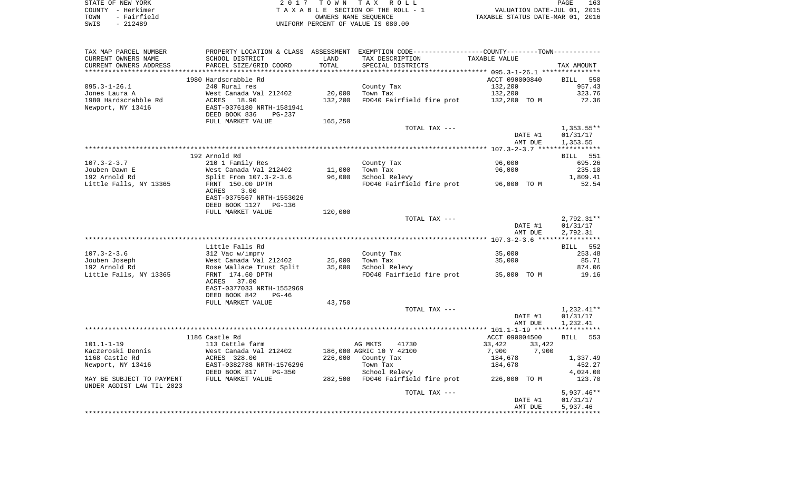| STATE OF NEW YORK   | 2017 TOWN TAX ROLL                 | 163<br>PAGE                      |
|---------------------|------------------------------------|----------------------------------|
| COUNTY - Herkimer   | TAXABLE SECTION OF THE ROLL - 1    | VALUATION DATE-JUL 01, 2015      |
| - Fairfield<br>TOWN | OWNERS NAME SEOUENCE               | TAXABLE STATUS DATE-MAR 01, 2016 |
| SWIS<br>- 212489    | UNIFORM PERCENT OF VALUE IS 080.00 |                                  |

| TAX MAP PARCEL NUMBER     |                                           |         | PROPERTY LOCATION & CLASS ASSESSMENT EXEMPTION CODE----------------COUNTY--------TOWN----------- |                                    |                 |
|---------------------------|-------------------------------------------|---------|--------------------------------------------------------------------------------------------------|------------------------------------|-----------------|
| CURRENT OWNERS NAME       | SCHOOL DISTRICT                           | LAND    | TAX DESCRIPTION                                                                                  | TAXABLE VALUE                      |                 |
| CURRENT OWNERS ADDRESS    | PARCEL SIZE/GRID COORD                    | TOTAL   | SPECIAL DISTRICTS                                                                                |                                    | TAX AMOUNT      |
|                           |                                           |         |                                                                                                  |                                    |                 |
|                           | 1980 Hardscrabble Rd                      |         |                                                                                                  | ACCT 090000840                     | BILL 550        |
| $095.3 - 1 - 26.1$        | 240 Rural res                             |         | County Tax                                                                                       | 132,200                            | 957.43          |
| Jones Laura A             | West Canada Val 212402                    | 20,000  | Town Tax                                                                                         | 132,200                            | 323.76          |
| 1980 Hardscrabble Rd      | 18.90<br>ACRES                            | 132,200 | FD040 Fairfield fire prot                                                                        | 132,200 TO M                       | 72.36           |
| Newport, NY 13416         | EAST-0376180 NRTH-1581941                 |         |                                                                                                  |                                    |                 |
|                           | DEED BOOK 836<br>PG-237                   |         |                                                                                                  |                                    |                 |
|                           | FULL MARKET VALUE                         | 165,250 |                                                                                                  |                                    |                 |
|                           |                                           |         | TOTAL TAX ---                                                                                    |                                    | $1,353.55**$    |
|                           |                                           |         |                                                                                                  | DATE #1                            | 01/31/17        |
|                           |                                           |         |                                                                                                  | AMT DUE                            | 1,353.55        |
|                           |                                           |         |                                                                                                  |                                    |                 |
|                           | 192 Arnold Rd                             |         |                                                                                                  |                                    | <b>BILL</b> 551 |
| $107.3 - 2 - 3.7$         | 210 1 Family Res                          |         | County Tax                                                                                       | 96,000                             | 695.26          |
| Jouben Dawn E             | West Canada Val 212402                    | 11,000  | Town Tax                                                                                         | 96,000                             | 235.10          |
| 192 Arnold Rd             | Split From 107.3-2-3.6                    | 96,000  | School Relevy                                                                                    |                                    | 1,809.41        |
| Little Falls, NY 13365    | FRNT 150.00 DPTH                          |         | FD040 Fairfield fire prot                                                                        | 96,000 TO M                        | 52.54           |
|                           | ACRES<br>3.00                             |         |                                                                                                  |                                    |                 |
|                           | EAST-0375567 NRTH-1553026                 |         |                                                                                                  |                                    |                 |
|                           | DEED BOOK 1127<br>PG-136                  |         |                                                                                                  |                                    |                 |
|                           | FULL MARKET VALUE                         | 120,000 |                                                                                                  |                                    |                 |
|                           |                                           |         | TOTAL TAX ---                                                                                    |                                    | $2,792.31**$    |
|                           |                                           |         |                                                                                                  | DATE #1                            | 01/31/17        |
|                           |                                           |         |                                                                                                  | AMT DUE                            | 2,792.31        |
|                           |                                           |         |                                                                                                  |                                    |                 |
|                           | Little Falls Rd                           |         |                                                                                                  |                                    | BILL 552        |
| $107.3 - 2 - 3.6$         | 312 Vac w/imprv                           |         | County Tax                                                                                       | 35,000                             | 253.48          |
| Jouben Joseph             | West Canada Val 212402                    | 25,000  | Town Tax                                                                                         | 35,000                             | 85.71           |
| 192 Arnold Rd             | Rose Wallace Trust Split                  | 35,000  | School Relevy                                                                                    |                                    | 874.06          |
| Little Falls, NY 13365    | FRNT 174.60 DPTH                          |         | FD040 Fairfield fire prot                                                                        | 35,000 TO M                        | 19.16           |
|                           | ACRES<br>37.00                            |         |                                                                                                  |                                    |                 |
|                           | EAST-0377033 NRTH-1552969                 |         |                                                                                                  |                                    |                 |
|                           | DEED BOOK 842<br>$PG-46$                  |         |                                                                                                  |                                    |                 |
|                           | FULL MARKET VALUE                         | 43,750  |                                                                                                  |                                    |                 |
|                           |                                           |         | TOTAL TAX ---                                                                                    |                                    | 1,232.41**      |
|                           |                                           |         |                                                                                                  | DATE #1                            | 01/31/17        |
|                           |                                           |         |                                                                                                  | AMT DUE                            | 1,232.41        |
|                           | 1186 Castle Rd                            |         |                                                                                                  | ACCT 090004500                     | BILL 553        |
| $101.1 - 1 - 19$          |                                           |         | 41730                                                                                            |                                    |                 |
| Kaczeroski Dennis         | 113 Cattle farm<br>West Canada Val 212402 |         | AG MKTS<br>186,000 AGRIC 10 Y 42100                                                              | 33,422<br>33,422<br>7,900<br>7,900 |                 |
| 1168 Castle Rd            | ACRES 328.00                              |         |                                                                                                  |                                    |                 |
|                           |                                           |         | 226,000 County Tax                                                                               | 184,678                            | 1,337.49        |
| Newport, NY 13416         | EAST-0382788 NRTH-1576296                 |         | Town Tax                                                                                         | 184,678                            | 452.27          |
|                           | DEED BOOK 817<br><b>PG-350</b>            |         | School Relevy                                                                                    |                                    | 4,024.00        |
| MAY BE SUBJECT TO PAYMENT | FULL MARKET VALUE                         |         | 282,500 FD040 Fairfield fire prot 226,000 TO M                                                   |                                    | 123.70          |
| UNDER AGDIST LAW TIL 2023 |                                           |         | TOTAL TAX ---                                                                                    |                                    | $5,937.46**$    |
|                           |                                           |         |                                                                                                  | DATE #1                            | 01/31/17        |
|                           |                                           |         |                                                                                                  | AMT DUE                            | 5,937.46        |
|                           |                                           |         |                                                                                                  |                                    |                 |
|                           |                                           |         |                                                                                                  |                                    |                 |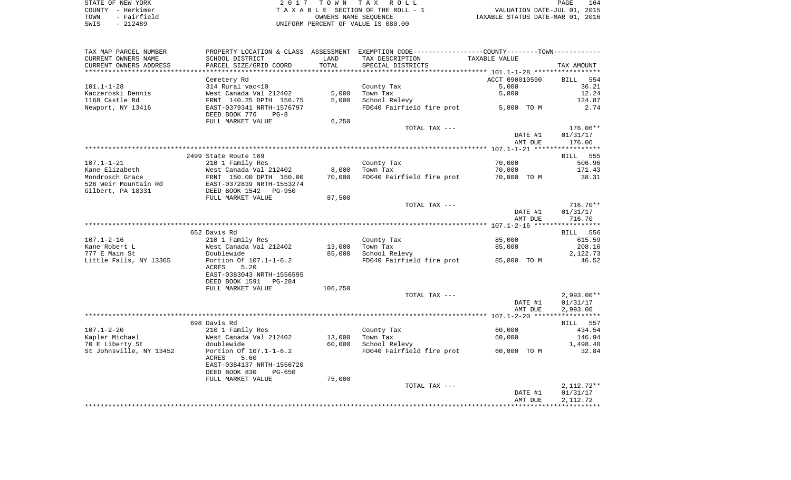| STATE OF NEW YORK |             |  |
|-------------------|-------------|--|
| COUNTY - Herkimer |             |  |
| TOWN              | - Fairfield |  |
| SWIS              | $-212489$   |  |

STATE OF NEW YORK 2 0 1 7 T O W N T A X R O L L PAGE 164TA X A B L E SECTION OF THE ROLL - 1 TOWN - Fairfield OWNERS NAME SEQUENCE TAXABLE STATUS DATE-MAR 01, 2016 UNIFORM PERCENT OF VALUE IS 080.00

| TAX MAP PARCEL NUMBER     | PROPERTY LOCATION & CLASS ASSESSMENT       |         | EXEMPTION CODE-----------------COUNTY-------TOWN----------- |                    |                          |
|---------------------------|--------------------------------------------|---------|-------------------------------------------------------------|--------------------|--------------------------|
| CURRENT OWNERS NAME       | SCHOOL DISTRICT                            | LAND    | TAX DESCRIPTION                                             | TAXABLE VALUE      |                          |
| CURRENT OWNERS ADDRESS    | PARCEL SIZE/GRID COORD                     | TOTAL   | SPECIAL DISTRICTS                                           |                    | TAX AMOUNT               |
| ************************* |                                            |         |                                                             |                    |                          |
|                           | Cemetery Rd                                |         |                                                             | ACCT 090010590     | <b>BILL</b><br>554       |
| $101.1 - 1 - 28$          | 314 Rural vac<10                           |         | County Tax                                                  | 5,000              | 36.21                    |
| Kaczeroski Dennis         | West Canada Val 212402                     | 5,000   | Town Tax                                                    | 5,000              | 12.24                    |
| 1168 Castle Rd            | FRNT 140.25 DPTH 156.75                    | 5,000   | School Relevy                                               |                    | 124.87                   |
| Newport, NY 13416         | EAST-0379341 NRTH-1576797                  |         | FD040 Fairfield fire prot                                   | 5,000 TO M         | 2.74                     |
|                           | DEED BOOK 776<br>$PG-8$                    |         |                                                             |                    |                          |
|                           | FULL MARKET VALUE                          | 6,250   |                                                             |                    |                          |
|                           |                                            |         | TOTAL TAX ---                                               |                    | 176.06**                 |
|                           |                                            |         |                                                             | DATE #1            | 01/31/17                 |
|                           |                                            |         |                                                             | AMT DUE            | 176.06                   |
|                           |                                            |         |                                                             |                    |                          |
|                           | 2499 State Route 169                       |         |                                                             |                    | <b>BILL</b> 555          |
| $107.1 - 1 - 21$          | 210 1 Family Res                           |         | County Tax                                                  | 70,000             | 506.96                   |
| Kane Elizabeth            | West Canada Val 212402                     | 8,000   | Town Tax                                                    | 70,000             | 171.43                   |
| Mondrosch Grace           | FRNT 150.00 DPTH 150.00                    | 70,000  | FD040 Fairfield fire prot                                   | 70,000 TO M        | 38.31                    |
| 526 Weir Mountain Rd      | EAST-0372839 NRTH-1553274                  |         |                                                             |                    |                          |
| Gilbert, PA 18331         | DEED BOOK 1542 PG-950<br>FULL MARKET VALUE |         |                                                             |                    |                          |
|                           |                                            | 87,500  | TOTAL TAX ---                                               |                    | $716.70**$               |
|                           |                                            |         |                                                             | DATE #1            | 01/31/17                 |
|                           |                                            |         |                                                             | AMT DUE            | 716.70                   |
|                           |                                            |         |                                                             |                    |                          |
|                           | 652 Davis Rd                               |         |                                                             |                    | BILL 556                 |
| $107.1 - 2 - 16$          | 210 1 Family Res                           |         | County Tax                                                  | 85,000             | 615.59                   |
| Kane Robert L             | West Canada Val 212402                     | 13,000  | Town Tax                                                    | 85,000             | 208.16                   |
| 777 E Main St             | Doublewide                                 | 85,000  | School Relevy                                               |                    | 2,122.73                 |
| Little Falls, NY 13365    | Portion Of 107.1-1-6.2                     |         | FD040 Fairfield fire prot                                   | 85,000 TO M        | 46.52                    |
|                           | 5.20<br>ACRES                              |         |                                                             |                    |                          |
|                           | EAST-0383043 NRTH-1556595                  |         |                                                             |                    |                          |
|                           | DEED BOOK 1591 PG-284                      |         |                                                             |                    |                          |
|                           | FULL MARKET VALUE                          | 106,250 |                                                             |                    |                          |
|                           |                                            |         | TOTAL TAX ---                                               |                    | $2,993.00**$             |
|                           |                                            |         |                                                             | DATE #1            | 01/31/17                 |
|                           |                                            |         |                                                             | AMT DUE            | 2,993.00                 |
|                           |                                            |         |                                                             |                    |                          |
|                           | 698 Davis Rd                               |         |                                                             |                    | 557<br>BILL              |
| $107.1 - 2 - 20$          | 210 1 Family Res                           |         | County Tax                                                  | 60,000             | 434.54                   |
| Kapler Michael            | West Canada Val 212402                     | 13,000  | Town Tax                                                    | 60,000             | 146.94                   |
| 70 E Liberty St           | doublewide                                 | 60,000  | School Relevy                                               |                    | 1,498.40                 |
| St Johnsville, NY 13452   | Portion Of 107.1-1-6.2                     |         | FD040 Fairfield fire prot                                   | 60,000 TO M        | 32.84                    |
|                           | ACRES<br>5.60                              |         |                                                             |                    |                          |
|                           | EAST-0384137 NRTH-1556720                  |         |                                                             |                    |                          |
|                           | DEED BOOK 830<br>$PG-650$                  |         |                                                             |                    |                          |
|                           | FULL MARKET VALUE                          | 75,000  |                                                             |                    |                          |
|                           |                                            |         | TOTAL TAX ---                                               |                    | $2,112.72**$<br>01/31/17 |
|                           |                                            |         |                                                             | DATE #1<br>AMT DUE | 2,112.72                 |
|                           |                                            |         |                                                             |                    |                          |
|                           |                                            |         |                                                             |                    |                          |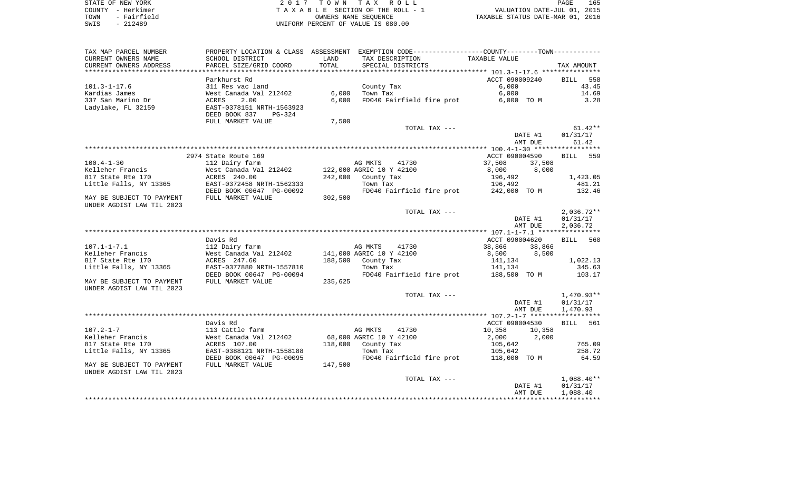STATE OF NEW YORK **EXECUTE:**  $2017$  TOWN TAX ROLL COUNTY - Herkimer<br>
T A X A B L E SECTION OF THE ROLL - 1<br>
TOWN - Fairfield<br>
SWIS - 212489 - 212489 TOWN - Fairfield OWNERS NAME SEQUENCE TAXABLE STATUS DATE-MAR 01, 2016 SWIS - 212489 UNIFORM PERCENT OF VALUE IS 080.00

| TAX MAP PARCEL NUMBER     |                           |         | PROPERTY LOCATION & CLASS ASSESSMENT EXEMPTION CODE----------------COUNTY-------TOWN---------- |                      |              |
|---------------------------|---------------------------|---------|------------------------------------------------------------------------------------------------|----------------------|--------------|
| CURRENT OWNERS NAME       | SCHOOL DISTRICT           | LAND    | TAX DESCRIPTION                                                                                | TAXABLE VALUE        |              |
| CURRENT OWNERS ADDRESS    | PARCEL SIZE/GRID COORD    | TOTAL   | SPECIAL DISTRICTS                                                                              |                      | TAX AMOUNT   |
|                           |                           |         |                                                                                                |                      |              |
|                           | Parkhurst Rd              |         |                                                                                                | ACCT 090009240       | BILL 558     |
| $101.3 - 1 - 17.6$        | 311 Res vac land          |         | County Tax                                                                                     | 6.000                | 43.45        |
| Kardias James             | West Canada Val 212402    | 6,000   | Town Tax                                                                                       | 6,000                | 14.69        |
| 337 San Marino Dr         | 2.00<br>ACRES             | 6,000   | FD040 Fairfield fire prot                                                                      | 6,000 TO M           | 3.28         |
| Ladylake, FL 32159        | EAST-0378151 NRTH-1563923 |         |                                                                                                |                      |              |
|                           | DEED BOOK 837<br>PG-324   |         |                                                                                                |                      |              |
|                           | FULL MARKET VALUE         | 7,500   |                                                                                                |                      |              |
|                           |                           |         | TOTAL TAX ---                                                                                  |                      | $61.42**$    |
|                           |                           |         |                                                                                                | DATE #1              | 01/31/17     |
|                           |                           |         |                                                                                                | AMT DUE              | 61.42        |
|                           |                           |         |                                                                                                |                      |              |
|                           | 2974 State Route 169      |         |                                                                                                | ACCT 090004590       | BILL 559     |
| $100.4 - 1 - 30$          | 112 Dairy farm            |         | AG MKTS<br>41730                                                                               | 37,508<br>37,508     |              |
| Kelleher Francis          | West Canada Val 212402    |         | 122,000 AGRIC 10 Y 42100                                                                       | 8,000<br>8,000       |              |
| 817 State Rte 170         | ACRES 240.00              | 242,000 | County Tax                                                                                     | $196,492$<br>196.492 | 1,423.05     |
| Little Falls, NY 13365    | EAST-0372458 NRTH-1562333 |         | Town Tax                                                                                       | 196,492              | 481.21       |
|                           | DEED BOOK 00647 PG-00092  |         | FD040 Fairfield fire prot 242,000 TO M                                                         |                      | 132.46       |
| MAY BE SUBJECT TO PAYMENT | FULL MARKET VALUE         | 302,500 |                                                                                                |                      |              |
| UNDER AGDIST LAW TIL 2023 |                           |         |                                                                                                |                      |              |
|                           |                           |         | TOTAL TAX ---                                                                                  |                      | $2,036.72**$ |
|                           |                           |         |                                                                                                | DATE #1              | 01/31/17     |
|                           |                           |         |                                                                                                | AMT DUE              | 2,036.72     |
|                           |                           |         |                                                                                                |                      |              |
|                           | Davis Rd                  |         |                                                                                                | ACCT 090004620       | BILL<br>560  |
| $107.1 - 1 - 7.1$         | 112 Dairy farm            |         | AG MKTS<br>41730                                                                               | 38,866<br>38,866     |              |
| Kelleher Francis          | West Canada Val 212402    |         | 141,000 AGRIC 10 Y 42100                                                                       | 8,500 8,500          |              |
| 817 State Rte 170         | ACRES 247.60              |         | 188,500 County Tax                                                                             | 141,134              | 1,022.13     |
| Little Falls, NY 13365    | EAST-0377880 NRTH-1557810 |         | Town Tax                                                                                       | 141,134              | 345.63       |
|                           | DEED BOOK 00647 PG-00094  |         | FD040 Fairfield fire prot                                                                      | 188,500 TO M         | 103.17       |
| MAY BE SUBJECT TO PAYMENT | FULL MARKET VALUE         | 235,625 |                                                                                                |                      |              |
| UNDER AGDIST LAW TIL 2023 |                           |         |                                                                                                |                      |              |
|                           |                           |         | TOTAL TAX ---                                                                                  |                      | $1,470.93**$ |
|                           |                           |         |                                                                                                | DATE #1              | 01/31/17     |
|                           |                           |         |                                                                                                | AMT DUE              | 1,470.93     |
|                           |                           |         |                                                                                                |                      |              |
|                           | Davis Rd                  |         |                                                                                                | ACCT 090004530       | BILL 561     |
| $107.2 - 1 - 7$           | 113 Cattle farm           |         | AG MKTS<br>41730                                                                               | 10,358<br>10,358     |              |
| Kelleher Francis          | West Canada Val 212402    |         | 68,000 AGRIC 10 Y 42100                                                                        | 2,000<br>2,000       |              |
| 817 State Rte 170         | ACRES 107.00              |         | 118,000 County Tax                                                                             | 105,642              | 765.09       |
| Little Falls, NY 13365    | EAST-0388121 NRTH-1558188 |         | Town Tax                                                                                       | 105,642              | 258.72       |
|                           | DEED BOOK 00647 PG-00095  |         | FD040 Fairfield fire prot                                                                      | 118,000 TO M         | 64.59        |
| MAY BE SUBJECT TO PAYMENT | FULL MARKET VALUE         | 147,500 |                                                                                                |                      |              |
| UNDER AGDIST LAW TIL 2023 |                           |         |                                                                                                |                      |              |
|                           |                           |         | TOTAL TAX ---                                                                                  |                      | $1,088.40**$ |
|                           |                           |         |                                                                                                | DATE #1              | 01/31/17     |
|                           |                           |         |                                                                                                | AMT DUE              | 1,088.40     |
|                           |                           |         |                                                                                                |                      |              |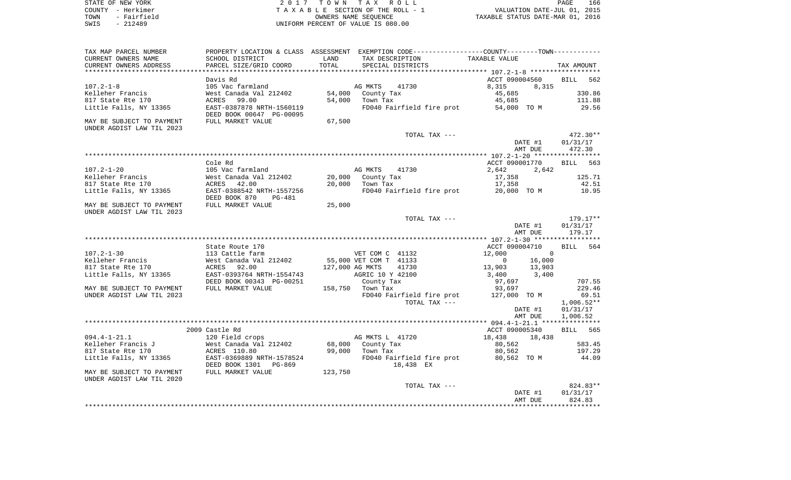| STATE OF NEW YORK |  |             |  |
|-------------------|--|-------------|--|
| COUNTY - Herkimer |  |             |  |
| TOWN              |  | - Fairfield |  |
| SWIS              |  | $-212489$   |  |

2017 TOWN TAX ROLL TA X A B L E SECTION OF THE ROLL - 1 TOWN - Fairfield OWNERS NAME SEQUENCE TAXABLE STATUS DATE-MAR 01, 2016 SWIS - 212489 UNIFORM PERCENT OF VALUE IS 080.00

| TAX MAP PARCEL NUMBER                                   |                                                                                   |                  | PROPERTY LOCATION & CLASS ASSESSMENT EXEMPTION CODE---------------COUNTY-------TOWN---------- |                                                                                           |              |
|---------------------------------------------------------|-----------------------------------------------------------------------------------|------------------|-----------------------------------------------------------------------------------------------|-------------------------------------------------------------------------------------------|--------------|
| CURRENT OWNERS NAME                                     | SCHOOL DISTRICT                                                                   | LAND             | TAX DESCRIPTION                                                                               | TAXABLE VALUE                                                                             |              |
| CURRENT OWNERS ADDRESS                                  | PARCEL SIZE/GRID COORD                                                            | TOTAL            | SPECIAL DISTRICTS                                                                             |                                                                                           | TAX AMOUNT   |
|                                                         |                                                                                   |                  |                                                                                               |                                                                                           |              |
|                                                         | Davis Rd                                                                          |                  |                                                                                               | ACCT 090004560                                                                            | BILL 562     |
| $107.2 - 1 - 8$                                         | 105 Vac farmland                                                                  |                  | AG MKTS 41730                                                                                 | 8,315<br>8,315                                                                            |              |
| Kelleher Francis                                        | West Canada Val 212402                                                            |                  | 54,000 County Tax                                                                             | 45,685                                                                                    | 330.86       |
| 817 State Rte 170                                       | ACRES 99.00                                                                       |                  | 54,000 Town Tax                                                                               | 45,685                                                                                    | 111.88       |
|                                                         |                                                                                   |                  |                                                                                               |                                                                                           |              |
| Little Falls, NY 13365                                  | EAST-0387878 NRTH-1560119<br>DEED BOOK 00647 PG-00095                             |                  | FD040 Fairfield fire prot 54,000 TO M                                                         |                                                                                           | 29.56        |
| MAY BE SUBJECT TO PAYMENT<br>UNDER AGDIST LAW TIL 2023  | FULL MARKET VALUE                                                                 | 67,500           |                                                                                               |                                                                                           |              |
|                                                         |                                                                                   |                  | TOTAL TAX ---                                                                                 |                                                                                           | $472.30**$   |
|                                                         |                                                                                   |                  |                                                                                               | DATE #1                                                                                   | 01/31/17     |
|                                                         |                                                                                   |                  |                                                                                               | AMT DUE                                                                                   | 472.30       |
|                                                         |                                                                                   |                  |                                                                                               |                                                                                           |              |
|                                                         | Cole Rd                                                                           |                  |                                                                                               | ACCT 090001770                                                                            | BILL 563     |
|                                                         |                                                                                   |                  |                                                                                               |                                                                                           |              |
| $107.2 - 1 - 20$                                        | 105 Vac farmland                                                                  |                  | AG MKTS<br>41730                                                                              | 2,642 2,642                                                                               |              |
| Kelleher Francis                                        | West Canada Val 212402                                                            |                  | 20,000 County Tax                                                                             | 17,358                                                                                    | 125.71       |
| 817 State Rte 170                                       | ACRES 42.00                                                                       |                  | 20,000 Town Tax                                                                               | 17,358                                                                                    | 42.51        |
| Little Falls, NY 13365                                  | EAST-0388542 NRTH-1557256<br>DEED BOOK 870<br>PG-481                              |                  | FD040 Fairfield fire prot 20,000 TO M                                                         |                                                                                           | 10.95        |
| MAY BE SUBJECT TO PAYMENT<br>UNDER AGDIST LAW TIL 2023  | FULL MARKET VALUE                                                                 | 25,000           |                                                                                               |                                                                                           |              |
|                                                         |                                                                                   |                  | TOTAL TAX ---                                                                                 |                                                                                           | $179.17**$   |
|                                                         |                                                                                   |                  |                                                                                               |                                                                                           |              |
|                                                         |                                                                                   |                  |                                                                                               | DATE #1                                                                                   | 01/31/17     |
|                                                         |                                                                                   |                  |                                                                                               | AMT DUE                                                                                   | 179.17       |
|                                                         |                                                                                   |                  |                                                                                               |                                                                                           |              |
|                                                         | State Route 170                                                                   |                  |                                                                                               | ACCT 090004710                                                                            | BILL 564     |
| $107.2 - 1 - 30$                                        | 113 Cattle farm                                                                   |                  |                                                                                               | 12,000<br>$\overline{a}$                                                                  |              |
| Kelleher Francis                                        | West Canada Val 212402                                                            |                  |                                                                                               |                                                                                           |              |
| 817 State Rte 170                                       | ACRES 92.00                                                                       | 127,000 AG MKTS  | VET COM C<br>55,000 VET COM T 41133<br>55,000 AG MKTS 41730                                   | $\begin{array}{ccc} & 0 & 16\,,000\\ 13\,,903 & 13\,,903\\ 3\,,400 & 3\,,400 \end{array}$ |              |
| Little Falls, NY 13365                                  | EAST-0393764 NRTH-1554743 AGRIC 10 Y 42100<br>DEED BOOK 00343 PG-00251 County Tax |                  |                                                                                               |                                                                                           |              |
|                                                         |                                                                                   |                  | County Tax                                                                                    | 97,697                                                                                    | 707.55       |
| MAY BE SUBJECT TO PAYMENT                               | FULL MARKET VALUE                                                                 | 158,750 Town Tax |                                                                                               | 93,697                                                                                    | 229.46       |
| UNDER AGDIST LAW TIL 2023                               |                                                                                   |                  | FD040 Fairfield fire prot 127,000 TO M                                                        |                                                                                           | 69.51        |
|                                                         |                                                                                   |                  | TOTAL TAX ---                                                                                 |                                                                                           | $1,006.52**$ |
|                                                         |                                                                                   |                  |                                                                                               | DATE #1                                                                                   | 01/31/17     |
|                                                         |                                                                                   |                  |                                                                                               | AMT DUE                                                                                   | 1,006.52     |
|                                                         |                                                                                   |                  |                                                                                               |                                                                                           |              |
|                                                         |                                                                                   |                  |                                                                                               |                                                                                           |              |
|                                                         | 2009 Castle Rd                                                                    |                  |                                                                                               | ACCT 090005340                                                                            | BILL 565     |
| $094.4 - 1 - 21.1$                                      | 120 Field crops                                                                   |                  | AG MKTS L 41720                                                                               | 18,438 18,438                                                                             |              |
| Kelleher Francis J<br>$V$ West Canada Val 212402<br>$V$ |                                                                                   |                  | 68,000 County Tax                                                                             | 80,562                                                                                    | 583.45       |
| 817 State Rte 170                                       | ACRES 110.80                                                                      |                  | 99,000 Town Tax                                                                               | 80,562                                                                                    | 197.29       |
| Little Falls, NY 13365                                  | EAST-0369889 NRTH-1578524<br>DEED BOOK 1301 PG-869                                |                  | FD040 Fairfield fire prot 80,562 TO M<br>18,438 EX                                            |                                                                                           | 44.09        |
| MAY BE SUBJECT TO PAYMENT<br>UNDER AGDIST LAW TIL 2020  | FULL MARKET VALUE                                                                 | 123,750          |                                                                                               |                                                                                           |              |
|                                                         |                                                                                   |                  | TOTAL TAX ---                                                                                 |                                                                                           | 824.83**     |
|                                                         |                                                                                   |                  |                                                                                               |                                                                                           |              |
|                                                         |                                                                                   |                  |                                                                                               | DATE #1<br>פוזרי ה                                                                        | 01/31/17     |
|                                                         |                                                                                   |                  |                                                                                               | AMT DUE                                                                                   | 824.83       |
|                                                         |                                                                                   |                  |                                                                                               |                                                                                           |              |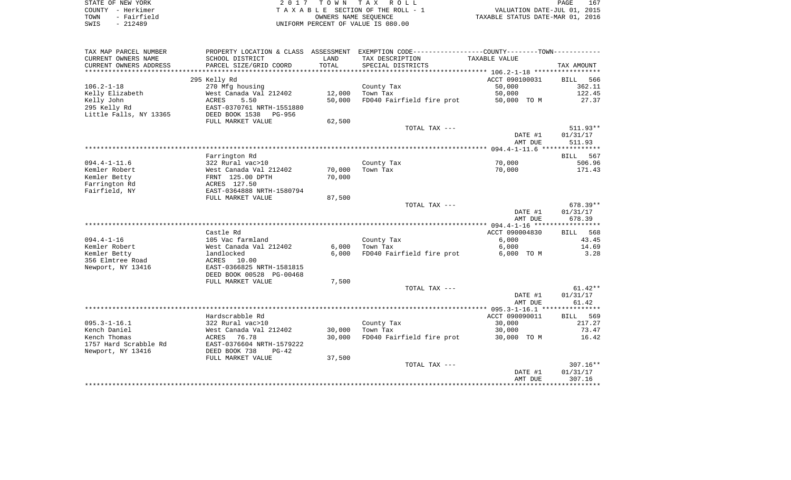| STATE OF NEW YORK   | 2017 TOWN TAX ROLL                 | 167<br>PAGE                      |
|---------------------|------------------------------------|----------------------------------|
| COUNTY - Herkimer   | TAXABLE SECTION OF THE ROLL - 1    | VALUATION DATE-JUL 01, 2015      |
| - Fairfield<br>TOWN | OWNERS NAME SEOUENCE               | TAXABLE STATUS DATE-MAR 01, 2016 |
| $-212489$<br>SWIS   | UNIFORM PERCENT OF VALUE IS 080.00 |                                  |

| TAX MAP PARCEL NUMBER  | PROPERTY LOCATION & CLASS |             | ASSESSMENT EXEMPTION CODE-----------------COUNTY-------TOWN----------- |                |                    |
|------------------------|---------------------------|-------------|------------------------------------------------------------------------|----------------|--------------------|
| CURRENT OWNERS NAME    | SCHOOL DISTRICT           | LAND        | TAX DESCRIPTION                                                        | TAXABLE VALUE  |                    |
| CURRENT OWNERS ADDRESS | PARCEL SIZE/GRID COORD    | TOTAL       | SPECIAL DISTRICTS                                                      |                | TAX AMOUNT         |
|                        |                           | *********** |                                                                        |                |                    |
|                        | 295 Kelly Rd              |             |                                                                        | ACCT 090100031 | <b>BILL</b><br>566 |
| $106.2 - 1 - 18$       | 270 Mfg housing           |             | County Tax                                                             | 50,000         | 362.11             |
| Kelly Elizabeth        | West Canada Val 212402    | 12,000      | Town Tax                                                               | 50,000         | 122.45             |
| Kelly John             | <b>ACRES</b><br>5.50      | 50,000      | FD040 Fairfield fire prot                                              | 50,000 TO M    | 27.37              |
| 295 Kelly Rd           | EAST-0370761 NRTH-1551880 |             |                                                                        |                |                    |
| Little Falls, NY 13365 | DEED BOOK 1538<br>PG-956  |             |                                                                        |                |                    |
|                        | FULL MARKET VALUE         | 62,500      |                                                                        |                |                    |
|                        |                           |             | TOTAL TAX ---                                                          |                | $511.93**$         |
|                        |                           |             |                                                                        | DATE #1        | 01/31/17           |
|                        |                           |             |                                                                        | AMT DUE        | 511.93             |
|                        |                           |             |                                                                        |                |                    |
|                        | Farrington Rd             |             |                                                                        |                | 567<br>BILL        |
| $094.4 - 1 - 11.6$     | 322 Rural vac>10          |             | County Tax                                                             | 70,000         | 506.96             |
|                        |                           |             |                                                                        |                |                    |
| Kemler Robert          | West Canada Val 212402    | 70,000      | Town Tax                                                               | 70,000         | 171.43             |
| Kemler Betty           | FRNT 125.00 DPTH          | 70,000      |                                                                        |                |                    |
| Farrington Rd          | ACRES 127.50              |             |                                                                        |                |                    |
| Fairfield, NY          | EAST-0364888 NRTH-1580794 |             |                                                                        |                |                    |
|                        | FULL MARKET VALUE         | 87,500      |                                                                        |                |                    |
|                        |                           |             | TOTAL TAX ---                                                          |                | 678.39**           |
|                        |                           |             |                                                                        | DATE #1        | 01/31/17           |
|                        |                           |             |                                                                        | AMT DUE        | 678.39             |
|                        |                           |             |                                                                        |                |                    |
|                        | Castle Rd                 |             |                                                                        | ACCT 090004830 | BILL 568           |
| $094.4 - 1 - 16$       | 105 Vac farmland          |             | County Tax                                                             | 6,000          | 43.45              |
| Kemler Robert          | West Canada Val 212402    | 6,000       | Town Tax                                                               | 6,000          | 14.69              |
| Kemler Betty           | landlocked                | 6,000       | FD040 Fairfield fire prot                                              | 6,000 TO M     | 3.28               |
| 356 Elmtree Road       | ACRES<br>10.00            |             |                                                                        |                |                    |
| Newport, NY 13416      | EAST-0366825 NRTH-1581815 |             |                                                                        |                |                    |
|                        | DEED BOOK 00528 PG-00468  |             |                                                                        |                |                    |
|                        | FULL MARKET VALUE         | 7,500       |                                                                        |                |                    |
|                        |                           |             | TOTAL TAX ---                                                          |                | $61.42**$          |
|                        |                           |             |                                                                        | DATE #1        | 01/31/17           |
|                        |                           |             |                                                                        | AMT DUE        | 61.42              |
|                        |                           |             |                                                                        |                |                    |
|                        | Hardscrabble Rd           |             |                                                                        | ACCT 090090011 | BILL<br>569        |
| $095.3 - 1 - 16.1$     | 322 Rural vac>10          |             | County Tax                                                             | 30,000         | 217.27             |
| Kench Daniel           | West Canada Val 212402    | 30,000      | Town Tax                                                               | 30,000         | 73.47              |
| Kench Thomas           | ACRES<br>76.78            | 30,000      | FD040 Fairfield fire prot                                              | 30,000 TO M    | 16.42              |
| 1757 Hard Scrabble Rd  | EAST-0376604 NRTH-1579222 |             |                                                                        |                |                    |
|                        |                           |             |                                                                        |                |                    |
| Newport, NY 13416      | DEED BOOK 738<br>$PG-42$  |             |                                                                        |                |                    |
|                        | FULL MARKET VALUE         | 37,500      |                                                                        |                |                    |
|                        |                           |             | TOTAL TAX ---                                                          |                | $307.16**$         |
|                        |                           |             |                                                                        | DATE #1        | 01/31/17           |
|                        |                           |             |                                                                        | AMT DUE        | 307.16             |
|                        |                           |             |                                                                        |                |                    |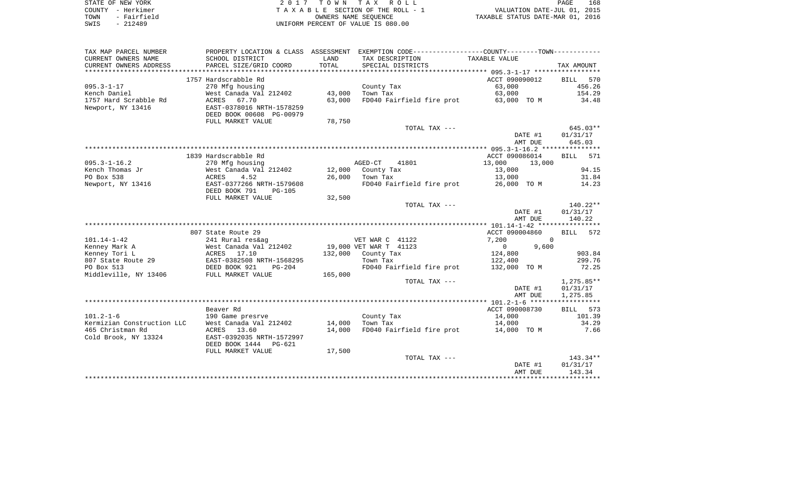|      | STATE OF NEW YORK | 2017 TOWN TAX ROLL                 | PAGE                             | 168 |
|------|-------------------|------------------------------------|----------------------------------|-----|
|      | COUNTY - Herkimer | TAXABLE SECTION OF THE ROLL - 1    | VALUATION DATE-JUL 01, 2015      |     |
| TOWN | - Fairfield       | OWNERS NAME SEOUENCE               | TAXABLE STATUS DATE-MAR 01, 2016 |     |
| SWIS | - 212489          | UNIFORM PERCENT OF VALUE IS 080.00 |                                  |     |

| TAX MAP PARCEL NUMBER                          |                                          |                  | PROPERTY LOCATION & CLASS ASSESSMENT EXEMPTION CODE----------------COUNTY--------TOWN---------- |                         |               |
|------------------------------------------------|------------------------------------------|------------------|-------------------------------------------------------------------------------------------------|-------------------------|---------------|
| CURRENT OWNERS NAME                            | SCHOOL DISTRICT                          | LAND             | TAX DESCRIPTION                                                                                 | TAXABLE VALUE           |               |
| CURRENT OWNERS ADDRESS                         | PARCEL SIZE/GRID COORD                   | TOTAL            | SPECIAL DISTRICTS                                                                               |                         | TAX AMOUNT    |
|                                                |                                          |                  |                                                                                                 |                         |               |
|                                                | 1757 Hardscrabble Rd                     |                  |                                                                                                 | ACCT 090090012          | BILL<br>570   |
| $095.3 - 1 - 17$                               | 270 Mfg housing                          |                  | County Tax                                                                                      | 63,000                  | 456.26        |
| Kench Daniel                                   | West Canada Val 212402                   | 43,000           | Town Tax                                                                                        | 63,000                  | 154.29        |
| 1757 Hard Scrabble Rd                          | ACRES 67.70                              | 63,000           | FD040 Fairfield fire prot                                                                       | 63,000 TO M             | 34.48         |
| Newport, NY 13416                              | EAST-0378016 NRTH-1578259                |                  |                                                                                                 |                         |               |
|                                                | DEED BOOK 00608 PG-00979                 |                  |                                                                                                 |                         |               |
|                                                | FULL MARKET VALUE                        | 78,750           |                                                                                                 |                         |               |
|                                                |                                          |                  | TOTAL TAX ---                                                                                   |                         | $645.03**$    |
|                                                |                                          |                  |                                                                                                 | DATE #1                 | 01/31/17      |
|                                                |                                          |                  |                                                                                                 | AMT DUE                 | 645.03        |
|                                                |                                          |                  |                                                                                                 |                         |               |
|                                                | 1839 Hardscrabble Rd                     |                  |                                                                                                 | ACCT 090086014          | BILL 571      |
| $095.3 - 1 - 16.2$                             | 270 Mfg housing                          |                  | AGED-CT<br>41801                                                                                | 13,000<br>13,000        |               |
| Kench Thomas Jr                                | West Canada Val 212402                   | 12,000           | County Tax                                                                                      | 13,000                  | 94.15         |
| PO Box 538                                     | 4.52<br>ACRES                            | 26,000           | Town Tax                                                                                        | 13,000                  | 31.84         |
| Newport, NY 13416                              | EAST-0377266 NRTH-1579608                |                  | FD040 Fairfield fire prot                                                                       | 26,000 TO M             | 14.23         |
|                                                | DEED BOOK 791<br>PG-105                  |                  |                                                                                                 |                         |               |
|                                                | FULL MARKET VALUE                        | 32,500           |                                                                                                 |                         |               |
|                                                |                                          |                  | TOTAL TAX ---                                                                                   |                         | 140.22**      |
|                                                |                                          |                  |                                                                                                 | DATE #1                 | 01/31/17      |
|                                                |                                          |                  |                                                                                                 | AMT DUE                 | 140.22        |
|                                                |                                          |                  |                                                                                                 |                         |               |
|                                                | 807 State Route 29                       |                  |                                                                                                 | ACCT 090004860          | BILL 572      |
| $101.14 - 1 - 42$                              | 241 Rural res&ag                         |                  | VET WAR C 41122                                                                                 | 7,200                   | $\Omega$      |
| Kenney Mark A                                  | West Canada Val 212402                   |                  | 19,000 VET WAR T 41123                                                                          | 9,600<br>$\overline{0}$ |               |
| Kenney Tori L                                  | ACRES 17.10                              |                  | 132,000 County Tax                                                                              | 124,800                 | 903.84        |
| 807 State Route 29                             | EAST-0382508 NRTH-1568295                |                  | Town Tax                                                                                        | 122,400                 | 299.76        |
| PO Box 513                                     | DEED BOOK 921<br>PG-204                  |                  | FD040 Fairfield fire prot                                                                       | 132,000 TO M            | 72.25         |
| Middleville, NY 13406                          | FULL MARKET VALUE                        | 165,000          |                                                                                                 |                         |               |
|                                                |                                          |                  | TOTAL TAX ---                                                                                   |                         | 1,275.85**    |
|                                                |                                          |                  |                                                                                                 | DATE #1                 | 01/31/17      |
|                                                |                                          |                  |                                                                                                 | AMT DUE                 | 1,275.85      |
|                                                |                                          |                  |                                                                                                 |                         |               |
| $101.2 - 1 - 6$                                | Beaver Rd                                |                  |                                                                                                 | ACCT 090008730          | BILL 573      |
|                                                | 190 Game presrve                         |                  | County Tax                                                                                      | 14,000                  | 101.39        |
| Kermizian Construction LLC<br>465 Christman Rd | West Canada Val 212402                   | 14,000<br>14,000 | Town Tax<br>FD040 Fairfield fire prot                                                           | 14,000                  | 34.29<br>7.66 |
| Cold Brook, NY 13324                           | ACRES 13.60<br>EAST-0392035 NRTH-1572997 |                  |                                                                                                 | 14,000 TO M             |               |
|                                                | DEED BOOK 1444 PG-621                    |                  |                                                                                                 |                         |               |
|                                                | FULL MARKET VALUE                        | 17,500           |                                                                                                 |                         |               |
|                                                |                                          |                  | TOTAL TAX ---                                                                                   |                         | $143.34**$    |
|                                                |                                          |                  |                                                                                                 | DATE #1                 | 01/31/17      |
|                                                |                                          |                  |                                                                                                 | AMT DUE                 | 143.34        |
|                                                |                                          |                  |                                                                                                 |                         |               |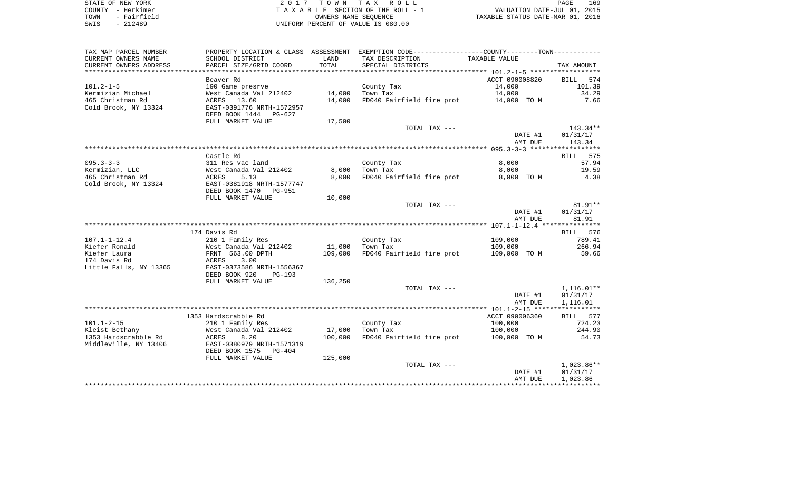| STATE OF NEW YORK   | 2017 TOWN TAX ROLL                 | 169<br>PAGE                      |
|---------------------|------------------------------------|----------------------------------|
| COUNTY - Herkimer   | TAXABLE SECTION OF THE ROLL - 1    | VALUATION DATE-JUL 01, 2015      |
| - Fairfield<br>TOWN | OWNERS NAME SEOUENCE               | TAXABLE STATUS DATE-MAR 01, 2016 |
| $-212489$<br>SWIS   | UNIFORM PERCENT OF VALUE IS 080.00 |                                  |

PAGE 169

| TAX MAP PARCEL NUMBER  |                           |         | PROPERTY LOCATION & CLASS ASSESSMENT EXEMPTION CODE---------------COUNTY-------TOWN---------- |                    |                    |
|------------------------|---------------------------|---------|-----------------------------------------------------------------------------------------------|--------------------|--------------------|
| CURRENT OWNERS NAME    | SCHOOL DISTRICT           | LAND    | TAX DESCRIPTION                                                                               | TAXABLE VALUE      |                    |
| CURRENT OWNERS ADDRESS | PARCEL SIZE/GRID COORD    | TOTAL   | SPECIAL DISTRICTS                                                                             |                    | TAX AMOUNT         |
|                        |                           |         |                                                                                               |                    |                    |
|                        | Beaver Rd                 |         |                                                                                               | ACCT 090008820     | 574<br><b>BILL</b> |
| $101.2 - 1 - 5$        | 190 Game presrve          |         | County Tax                                                                                    | 14,000             | 101.39             |
| Kermizian Michael      | West Canada Val 212402    | 14,000  | Town Tax                                                                                      | 14,000             | 34.29              |
| 465 Christman Rd       | ACRES 13.60               | 14,000  | FD040 Fairfield fire prot                                                                     | 14,000 TO M        | 7.66               |
| Cold Brook, NY 13324   | EAST-0391776 NRTH-1572957 |         |                                                                                               |                    |                    |
|                        | DEED BOOK 1444 PG-627     |         |                                                                                               |                    |                    |
|                        | FULL MARKET VALUE         | 17,500  |                                                                                               |                    |                    |
|                        |                           |         | TOTAL TAX ---                                                                                 |                    | $143.34**$         |
|                        |                           |         |                                                                                               | DATE #1            | 01/31/17           |
|                        |                           |         |                                                                                               | AMT DUE            | 143.34             |
|                        |                           |         |                                                                                               |                    |                    |
|                        | Castle Rd                 |         |                                                                                               |                    | BILL 575           |
| $095.3 - 3 - 3$        | 311 Res vac land          |         | County Tax                                                                                    | 8,000              | 57.94              |
| Kermizian, LLC         | West Canada Val 212402    | 8,000   | Town Tax                                                                                      | 8,000              | 19.59              |
| 465 Christman Rd       | 5.13<br>ACRES             | 8,000   | FD040 Fairfield fire prot                                                                     | 8,000 TO M         | 4.38               |
| Cold Brook, NY 13324   | EAST-0381918 NRTH-1577747 |         |                                                                                               |                    |                    |
|                        | DEED BOOK 1470<br>PG-951  |         |                                                                                               |                    |                    |
|                        | FULL MARKET VALUE         | 10,000  |                                                                                               |                    |                    |
|                        |                           |         | TOTAL TAX ---                                                                                 |                    | $81.91**$          |
|                        |                           |         |                                                                                               | DATE #1<br>AMT DUE | 01/31/17<br>81.91  |
|                        |                           |         |                                                                                               |                    |                    |
|                        | 174 Davis Rd              |         |                                                                                               |                    | BILL 576           |
| $107.1 - 1 - 12.4$     | 210 1 Family Res          |         | County Tax                                                                                    | 109,000            | 789.41             |
| Kiefer Ronald          | West Canada Val 212402    | 11,000  | Town Tax                                                                                      | 109,000            | 266.94             |
| Kiefer Laura           | FRNT 563.00 DPTH          | 109,000 | FD040 Fairfield fire prot                                                                     | 109,000 TO M       | 59.66              |
| 174 Davis Rd           | 3.00<br>ACRES             |         |                                                                                               |                    |                    |
| Little Falls, NY 13365 | EAST-0373586 NRTH-1556367 |         |                                                                                               |                    |                    |
|                        | DEED BOOK 920<br>PG-193   |         |                                                                                               |                    |                    |
|                        | FULL MARKET VALUE         | 136,250 |                                                                                               |                    |                    |
|                        |                           |         | TOTAL TAX ---                                                                                 |                    | $1,116.01**$       |
|                        |                           |         |                                                                                               | DATE #1            | 01/31/17           |
|                        |                           |         |                                                                                               | AMT DUE            | 1,116.01           |
|                        |                           |         |                                                                                               |                    |                    |
|                        | 1353 Hardscrabble Rd      |         |                                                                                               | ACCT 090006360     | BILL 577           |
| $101.1 - 2 - 15$       | 210 1 Family Res          |         | County Tax                                                                                    | 100,000            | 724.23             |
| Kleist Bethany         | West Canada Val 212402    | 17,000  | Town Tax                                                                                      | 100,000            | 244.90             |
| 1353 Hardscrabble Rd   | ACRES<br>8.20             | 100,000 | FD040 Fairfield fire prot                                                                     | 100,000 TO M       | 54.73              |
| Middleville, NY 13406  | EAST-0380979 NRTH-1571319 |         |                                                                                               |                    |                    |
|                        | DEED BOOK 1575 PG-404     |         |                                                                                               |                    |                    |
|                        | FULL MARKET VALUE         | 125,000 |                                                                                               |                    |                    |
|                        |                           |         | TOTAL TAX ---                                                                                 |                    | 1,023.86**         |
|                        |                           |         |                                                                                               | DATE #1            | 01/31/17           |
|                        |                           |         |                                                                                               | AMT DUE            | 1,023.86           |
|                        |                           |         |                                                                                               |                    |                    |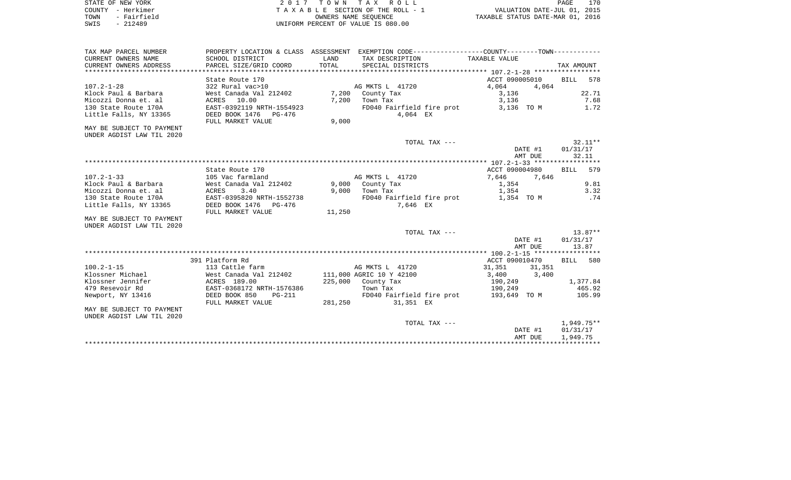| STATE OF NEW YORK     | 2017 TOWN TAX ROLL                 | 170<br>PAGE                      |
|-----------------------|------------------------------------|----------------------------------|
| COUNTY - Herkimer     | TAXABLE SECTION OF THE ROLL - 1    | VALUATION DATE-JUL 01, 2015      |
| - Fairfield<br>TOWN   | OWNERS NAME SEOUENCE               | TAXABLE STATUS DATE-MAR 01, 2016 |
| 212489<br>SWIS<br>$-$ | UNIFORM PERCENT OF VALUE IS 080.00 |                                  |

| TAX MAP PARCEL NUMBER     |                           |         | PROPERTY LOCATION & CLASS ASSESSMENT EXEMPTION CODE----------------COUNTY--------TOWN---------- |                |         |            |           |
|---------------------------|---------------------------|---------|-------------------------------------------------------------------------------------------------|----------------|---------|------------|-----------|
| CURRENT OWNERS NAME       | SCHOOL DISTRICT           | LAND    | TAX DESCRIPTION                                                                                 | TAXABLE VALUE  |         |            |           |
| CURRENT OWNERS ADDRESS    | PARCEL SIZE/GRID COORD    | TOTAL   | SPECIAL DISTRICTS                                                                               |                |         | TAX AMOUNT |           |
|                           |                           |         |                                                                                                 |                |         |            |           |
|                           | State Route 170           |         |                                                                                                 | ACCT 090005010 |         | BILL 578   |           |
| $107.2 - 1 - 28$          | 322 Rural vac>10          |         | AG MKTS L 41720                                                                                 | 4,064          | 4,064   |            |           |
| Klock Paul & Barbara      | West Canada Val 212402    | 7,200   | County Tax                                                                                      | 3,136          |         |            | 22.71     |
| Micozzi Donna et. al      | ACRES 10.00               | 7,200   | Town Tax                                                                                        | 3,136          |         |            | 7.68      |
| 130 State Route 170A      | EAST-0392119 NRTH-1554923 |         | FD040 Fairfield fire prot 3,136 TO M                                                            |                |         |            | 1.72      |
| Little Falls, NY 13365    | DEED BOOK 1476 PG-476     |         | 4,064 EX                                                                                        |                |         |            |           |
|                           | FULL MARKET VALUE         | 9,000   |                                                                                                 |                |         |            |           |
| MAY BE SUBJECT TO PAYMENT |                           |         |                                                                                                 |                |         |            |           |
| UNDER AGDIST LAW TIL 2020 |                           |         |                                                                                                 |                |         |            |           |
|                           |                           |         | TOTAL TAX ---                                                                                   |                |         |            | $32.11**$ |
|                           |                           |         |                                                                                                 |                | DATE #1 | 01/31/17   |           |
|                           |                           |         |                                                                                                 |                | AMT DUE |            | 32.11     |
|                           |                           |         |                                                                                                 |                |         |            |           |
|                           | State Route 170           |         |                                                                                                 | ACCT 090004980 |         | BILL 579   |           |
| $107.2 - 1 - 33$          | 105 Vac farmland          |         | AG MKTS L 41720                                                                                 | 7,646 7,646    |         |            |           |
| Klock Paul & Barbara      | West Canada Val 212402    |         | 9,000 County Tax                                                                                | 1,354          |         |            | 9.81      |
| Micozzi Donna et. al      | <b>ACRES</b><br>3.40      | 9,000   | Town Tax                                                                                        | 1,354          |         |            | 3.32      |
| 130 State Route 170A      | EAST-0395820 NRTH-1552738 |         | FD040 Fairfield fire prot 1,354 TO M                                                            |                |         |            | .74       |
| Little Falls, NY 13365    | DEED BOOK 1476 PG-476     |         | 7,646 EX                                                                                        |                |         |            |           |
|                           | FULL MARKET VALUE         | 11,250  |                                                                                                 |                |         |            |           |
| MAY BE SUBJECT TO PAYMENT |                           |         |                                                                                                 |                |         |            |           |
| UNDER AGDIST LAW TIL 2020 |                           |         |                                                                                                 |                |         |            |           |
|                           |                           |         | TOTAL TAX ---                                                                                   |                |         |            | $13.87**$ |
|                           |                           |         |                                                                                                 |                | DATE #1 | 01/31/17   |           |
|                           |                           |         |                                                                                                 |                | AMT DUE |            | 13.87     |
|                           |                           |         |                                                                                                 |                |         |            |           |
|                           | 391 Platform Rd           |         |                                                                                                 | ACCT 090010470 |         | BILL 580   |           |
| $100.2 - 1 - 15$          | 113 Cattle farm           |         | AG MKTS L 41720                                                                                 | 31,351         | 31,351  |            |           |
| Klossner Michael          | West Canada Val 212402    |         | 111,000 AGRIC 10 Y 42100                                                                        | 3,400 3,400    |         |            |           |
| Klossner Jennifer         | ACRES 189.00              |         | 225,000 County Tax                                                                              | 190,249        |         |            | 1,377.84  |
| 479 Resevoir Rd           | EAST-0368172 NRTH-1576386 |         | Town Tax                                                                                        | 190,249        |         |            | 465.92    |
| Newport, NY 13416         | DEED BOOK 850<br>$PG-211$ |         | FD040 Fairfield fire prot 193,649 TO M                                                          |                |         |            | 105.99    |
|                           | FULL MARKET VALUE         | 281,250 | 31,351 EX                                                                                       |                |         |            |           |
| MAY BE SUBJECT TO PAYMENT |                           |         |                                                                                                 |                |         |            |           |
| UNDER AGDIST LAW TIL 2020 |                           |         |                                                                                                 |                |         |            |           |
|                           |                           |         | TOTAL TAX ---                                                                                   |                |         | 1,949.75** |           |
|                           |                           |         |                                                                                                 |                | DATE #1 | 01/31/17   |           |
|                           |                           |         |                                                                                                 |                | AMT DUE | 1,949.75   |           |
|                           |                           |         |                                                                                                 |                |         |            |           |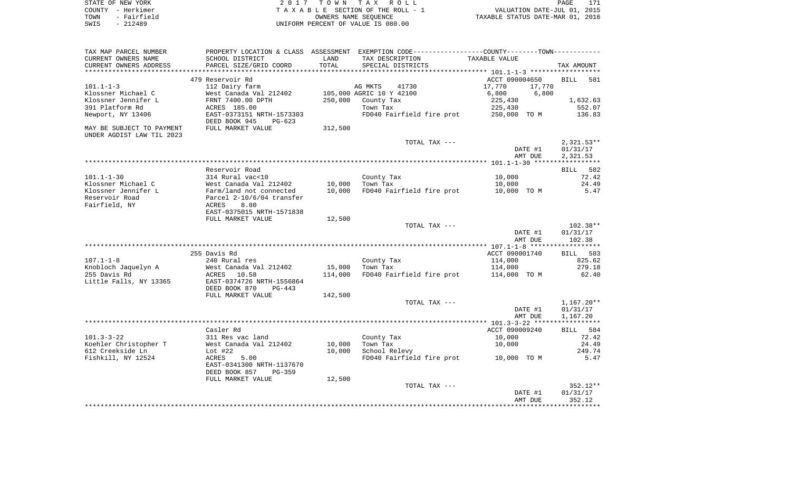| STATE OF NEW YORK   | 2017 TOWN TAX ROLL                 | PAGE                             |
|---------------------|------------------------------------|----------------------------------|
| COUNTY – Herkimer   | TAXABLE SECTION OF THE ROLL - 1    | VALUATION DATE-JUL 01, 2015      |
| - Fairfield<br>TOWN | OWNERS NAME SEOUENCE               | TAXABLE STATUS DATE-MAR 01, 2016 |
| - 212489<br>SWIS    | UNIFORM PERCENT OF VALUE IS 080.00 |                                  |

| TAX MAP PARCEL NUMBER                                  |                                                        |         | PROPERTY LOCATION & CLASS ASSESSMENT EXEMPTION CODE---------------COUNTY-------TOWN---------- |                                                     |                    |
|--------------------------------------------------------|--------------------------------------------------------|---------|-----------------------------------------------------------------------------------------------|-----------------------------------------------------|--------------------|
| CURRENT OWNERS NAME                                    | SCHOOL DISTRICT                                        | LAND    | TAX DESCRIPTION                                                                               | TAXABLE VALUE                                       |                    |
| CURRENT OWNERS ADDRESS<br>*********************        | PARCEL SIZE/GRID COORD<br>*************************    | TOTAL   | SPECIAL DISTRICTS                                                                             |                                                     | TAX AMOUNT         |
|                                                        |                                                        |         | **************************                                                                    | ********************* 101.1-1-3 ******************* |                    |
|                                                        | 479 Reservoir Rd                                       |         |                                                                                               | ACCT 090004650                                      | <b>BILL</b><br>581 |
| $101.1 - 1 - 3$                                        | 112 Dairy farm                                         |         | AG MKTS<br>41730                                                                              | 17,770<br>17,770                                    |                    |
| Klossner Michael C                                     | West Canada Val 212402                                 |         | 105,000 AGRIC 10 Y 42100                                                                      | 6,800<br>6,800                                      |                    |
| Klossner Jennifer L                                    | FRNT 7400.00 DPTH                                      | 250,000 | County Tax                                                                                    | 225,430                                             | 1,632.63           |
| 391 Platform Rd                                        | ACRES 185.00                                           |         | Town Tax                                                                                      | 225,430                                             | 552.07             |
| Newport, NY 13406                                      | EAST-0373151 NRTH-1573303<br>DEED BOOK 945<br>$PG-623$ |         | FD040 Fairfield fire prot                                                                     | 250,000 TO M                                        | 136.83             |
| MAY BE SUBJECT TO PAYMENT<br>UNDER AGDIST LAW TIL 2023 | FULL MARKET VALUE                                      | 312,500 |                                                                                               |                                                     |                    |
|                                                        |                                                        |         | TOTAL TAX ---                                                                                 |                                                     | $2,321.53**$       |
|                                                        |                                                        |         |                                                                                               | DATE #1                                             | 01/31/17           |
|                                                        |                                                        |         |                                                                                               | AMT DUE                                             | 2,321.53           |
|                                                        |                                                        |         |                                                                                               |                                                     |                    |
|                                                        | Reservoir Road                                         |         |                                                                                               |                                                     | 582<br>BILL        |
| $101.1 - 1 - 30$                                       | 314 Rural vac<10                                       |         | County Tax                                                                                    | 10,000                                              | 72.42              |
| Klossner Michael C                                     | West Canada Val 212402                                 | 10,000  | Town Tax                                                                                      | 10,000                                              | 24.49              |
| Klossner Jennifer L                                    | Farm/land not connected                                | 10,000  | FD040 Fairfield fire prot                                                                     | 10,000 TO M                                         | 5.47               |
| Reservoir Road                                         | Parcel 2-10/6/04 transfer                              |         |                                                                                               |                                                     |                    |
| Fairfield, NY                                          | 8.80<br>ACRES                                          |         |                                                                                               |                                                     |                    |
|                                                        | EAST-0375015 NRTH-1571838                              |         |                                                                                               |                                                     |                    |
|                                                        | FULL MARKET VALUE                                      | 12,500  |                                                                                               |                                                     |                    |
|                                                        |                                                        |         | TOTAL TAX ---                                                                                 |                                                     | $102.38**$         |
|                                                        |                                                        |         |                                                                                               | DATE #1                                             | 01/31/17           |
|                                                        |                                                        |         |                                                                                               | AMT DUE                                             | 102.38             |
|                                                        | *****************                                      |         |                                                                                               |                                                     |                    |
|                                                        | 255 Davis Rd                                           |         |                                                                                               | ACCT 090001740                                      | BILL 583           |
| $107.1 - 1 - 8$                                        | 240 Rural res                                          |         | County Tax                                                                                    | 114,000                                             | 825.62             |
| Knobloch Jaquelyn A                                    | West Canada Val 212402                                 | 15,000  | Town Tax                                                                                      | 114,000                                             | 279.18             |
| 255 Davis Rd                                           | 10.58<br>ACRES                                         | 114,000 | FD040 Fairfield fire prot                                                                     | 114,000 TO M                                        | 62.40              |
| Little Falls, NY 13365                                 | EAST-0374726 NRTH-1556864<br>DEED BOOK 870<br>$PG-443$ |         |                                                                                               |                                                     |                    |
|                                                        | FULL MARKET VALUE                                      | 142,500 |                                                                                               |                                                     |                    |
|                                                        |                                                        |         | TOTAL TAX ---                                                                                 |                                                     | $1,167.20**$       |
|                                                        |                                                        |         |                                                                                               | DATE #1                                             | 01/31/17           |
|                                                        |                                                        |         |                                                                                               | AMT DUE                                             | 1,167.20           |
|                                                        |                                                        |         |                                                                                               |                                                     |                    |
|                                                        | Casler Rd                                              |         |                                                                                               | ACCT 090009240                                      | BILL 584           |
| $101.3 - 3 - 22$                                       | 311 Res vac land                                       |         | County Tax                                                                                    | 10,000                                              | 72.42              |
| Koehler Christopher T                                  | West Canada Val 212402                                 | 10,000  | Town Tax                                                                                      | 10,000                                              | 24.49              |
| 612 Creekside Ln                                       | Lot $#22$                                              | 10,000  | School Relevy                                                                                 |                                                     | 249.74             |
| Fishkill, NY 12524                                     | ACRES<br>5.00                                          |         | FD040 Fairfield fire prot                                                                     | 10,000 TO M                                         | 5.47               |
|                                                        | EAST-0341300 NRTH-1137670                              |         |                                                                                               |                                                     |                    |
|                                                        | DEED BOOK 857<br>$PG-359$                              |         |                                                                                               |                                                     |                    |
|                                                        | FULL MARKET VALUE                                      | 12,500  |                                                                                               |                                                     |                    |
|                                                        |                                                        |         | TOTAL TAX ---                                                                                 |                                                     | 352.12**           |
|                                                        |                                                        |         |                                                                                               | DATE #1                                             | 01/31/17           |
|                                                        |                                                        |         |                                                                                               | AMT DUE                                             | 352.12             |
|                                                        |                                                        |         |                                                                                               |                                                     |                    |
|                                                        |                                                        |         |                                                                                               |                                                     |                    |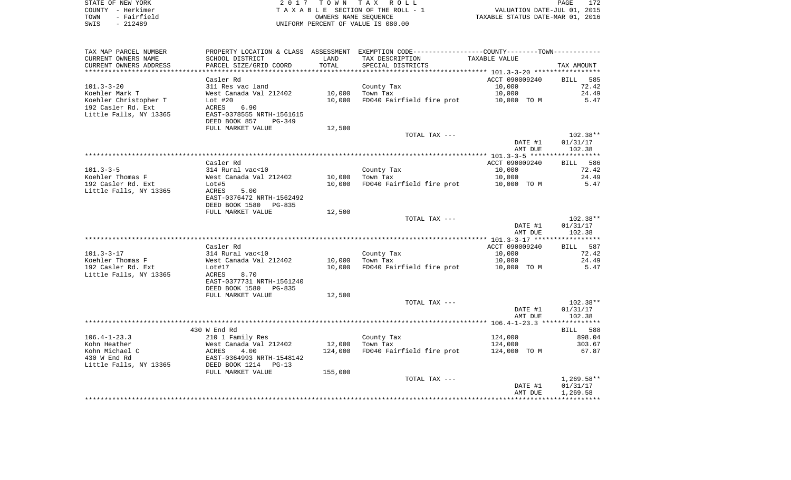| STATE OF NEW YORK   | 2017 TOWN TAX ROLL                 | 172<br>PAGE                      |
|---------------------|------------------------------------|----------------------------------|
| COUNTY - Herkimer   | TAXABLE SECTION OF THE ROLL - 1    | VALUATION DATE-JUL 01, 2015      |
| - Fairfield<br>TOWN | OWNERS NAME SEOUENCE               | TAXABLE STATUS DATE-MAR 01, 2016 |
| SWIS<br>$-212489$   | UNIFORM PERCENT OF VALUE IS 080.00 |                                  |

| TAX MAP PARCEL NUMBER                            |                                                         |         | PROPERTY LOCATION & CLASS ASSESSMENT EXEMPTION CODE----------------COUNTY--------TOWN----------- |                |              |
|--------------------------------------------------|---------------------------------------------------------|---------|--------------------------------------------------------------------------------------------------|----------------|--------------|
| CURRENT OWNERS NAME                              | SCHOOL DISTRICT                                         | LAND    | TAX DESCRIPTION                                                                                  | TAXABLE VALUE  |              |
| CURRENT OWNERS ADDRESS<br>********************** | PARCEL SIZE/GRID COORD<br>***************************** | TOTAL   | SPECIAL DISTRICTS                                                                                |                | TAX AMOUNT   |
|                                                  | Casler Rd                                               |         |                                                                                                  | ACCT 090009240 | BILL<br>585  |
| $101.3 - 3 - 20$                                 | 311 Res vac land                                        |         |                                                                                                  | 10,000         | 72.42        |
|                                                  | West Canada Val 212402                                  | 10,000  | County Tax<br>Town Tax                                                                           | 10,000         | 24.49        |
| Koehler Mark T<br>Koehler Christopher T          | Lot $#20$                                               | 10,000  | FD040 Fairfield fire prot                                                                        | 10,000 TO M    | 5.47         |
| 192 Casler Rd. Ext                               | 6.90<br>ACRES                                           |         |                                                                                                  |                |              |
| Little Falls, NY 13365                           | EAST-0378555 NRTH-1561615                               |         |                                                                                                  |                |              |
|                                                  | DEED BOOK 857<br>$PG-349$                               |         |                                                                                                  |                |              |
|                                                  | FULL MARKET VALUE                                       | 12,500  |                                                                                                  |                |              |
|                                                  |                                                         |         | TOTAL TAX ---                                                                                    |                | 102.38**     |
|                                                  |                                                         |         |                                                                                                  | DATE #1        | 01/31/17     |
|                                                  |                                                         |         |                                                                                                  | AMT DUE        | 102.38       |
|                                                  |                                                         |         |                                                                                                  |                |              |
|                                                  | Casler Rd                                               |         |                                                                                                  | ACCT 090009240 | BILL 586     |
| $101.3 - 3 - 5$                                  | 314 Rural vac<10                                        |         | County Tax                                                                                       | 10,000         | 72.42        |
| Koehler Thomas F                                 | West Canada Val 212402                                  | 10,000  | Town Tax                                                                                         | 10,000         | 24.49        |
| 192 Casler Rd. Ext                               | Lot#5                                                   | 10,000  | FD040 Fairfield fire prot                                                                        | 10,000 TO M    | 5.47         |
| Little Falls, NY 13365                           | 5.00<br>ACRES                                           |         |                                                                                                  |                |              |
|                                                  | EAST-0376472 NRTH-1562492                               |         |                                                                                                  |                |              |
|                                                  | DEED BOOK 1580<br>PG-835                                |         |                                                                                                  |                |              |
|                                                  | FULL MARKET VALUE                                       | 12,500  |                                                                                                  |                |              |
|                                                  |                                                         |         | TOTAL TAX ---                                                                                    |                | $102.38**$   |
|                                                  |                                                         |         |                                                                                                  | DATE #1        | 01/31/17     |
|                                                  |                                                         |         |                                                                                                  | AMT DUE        | 102.38       |
|                                                  |                                                         |         |                                                                                                  |                |              |
|                                                  | Casler Rd                                               |         |                                                                                                  | ACCT 090009240 | BILL 587     |
| $101.3 - 3 - 17$                                 | 314 Rural vac<10                                        |         | County Tax                                                                                       | 10,000         | 72.42        |
| Koehler Thomas F                                 | West Canada Val 212402                                  | 10,000  | Town Tax                                                                                         | 10,000         | 24.49        |
| 192 Casler Rd. Ext                               | Lot#17                                                  | 10,000  | FD040 Fairfield fire prot                                                                        | 10,000 TO M    | 5.47         |
| Little Falls, NY 13365                           | 8.70<br>ACRES                                           |         |                                                                                                  |                |              |
|                                                  | EAST-0377731 NRTH-1561240                               |         |                                                                                                  |                |              |
|                                                  | DEED BOOK 1580<br>PG-835                                |         |                                                                                                  |                |              |
|                                                  | FULL MARKET VALUE                                       | 12,500  |                                                                                                  |                |              |
|                                                  |                                                         |         | TOTAL TAX ---                                                                                    |                | $102.38**$   |
|                                                  |                                                         |         |                                                                                                  | DATE #1        | 01/31/17     |
|                                                  |                                                         |         |                                                                                                  | AMT DUE        | 102.38       |
|                                                  |                                                         |         |                                                                                                  |                |              |
|                                                  | 430 W End Rd                                            |         |                                                                                                  |                | BILL 588     |
| $106.4 - 1 - 23.3$                               | 210 1 Family Res                                        |         | County Tax                                                                                       | 124,000        | 898.04       |
| Kohn Heather                                     | West Canada Val 212402                                  | 12,000  | Town Tax                                                                                         | 124,000        | 303.67       |
| Kohn Michael C                                   | ACRES<br>4.00                                           | 124,000 | FD040 Fairfield fire prot                                                                        | 124,000 TO M   | 67.87        |
| 430 W End Rd                                     | EAST-0364993 NRTH-1548142                               |         |                                                                                                  |                |              |
| Little Falls, NY 13365                           | DEED BOOK 1214<br>$PG-13$                               |         |                                                                                                  |                |              |
|                                                  | FULL MARKET VALUE                                       | 155,000 | TOTAL TAX ---                                                                                    |                | $1,269.58**$ |
|                                                  |                                                         |         |                                                                                                  | DATE #1        | 01/31/17     |
|                                                  |                                                         |         |                                                                                                  | AMT DUE        | 1,269.58     |
|                                                  |                                                         |         |                                                                                                  |                |              |
|                                                  |                                                         |         |                                                                                                  |                |              |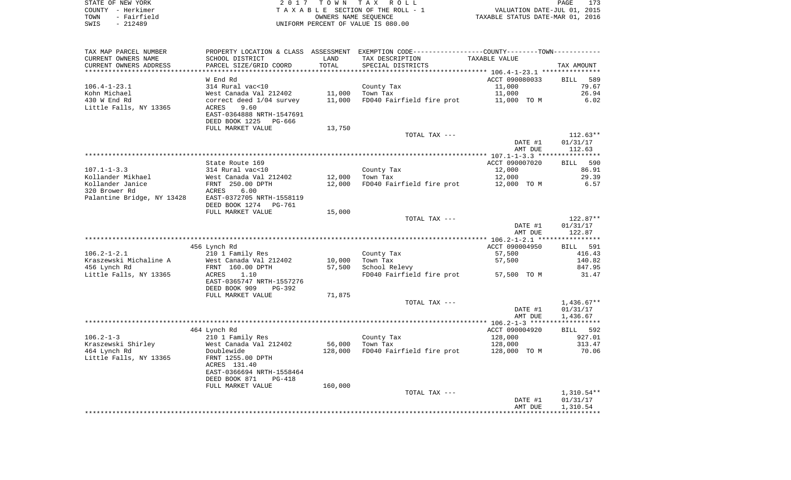| STATE OF NEW YORK   | 2017 TOWN TAX ROLL                 | PAGE                             |
|---------------------|------------------------------------|----------------------------------|
| COUNTY - Herkimer   | TAXABLE SECTION OF THE ROLL - 1    | VALUATION DATE-JUL 01, 2015      |
| - Fairfield<br>TOWN | OWNERS NAME SEOUENCE               | TAXABLE STATUS DATE-MAR 01, 2016 |
| SWIS<br>$-212489$   | UNIFORM PERCENT OF VALUE IS 080.00 |                                  |

| TAX MAP PARCEL NUMBER      |                                |         | PROPERTY LOCATION & CLASS ASSESSMENT EXEMPTION CODE---------------COUNTY-------TOWN---------- |                |                    |
|----------------------------|--------------------------------|---------|-----------------------------------------------------------------------------------------------|----------------|--------------------|
| CURRENT OWNERS NAME        | SCHOOL DISTRICT                | LAND    | TAX DESCRIPTION                                                                               | TAXABLE VALUE  |                    |
| CURRENT OWNERS ADDRESS     | PARCEL SIZE/GRID COORD         | TOTAL   | SPECIAL DISTRICTS                                                                             |                | TAX AMOUNT         |
|                            |                                |         |                                                                                               |                |                    |
|                            | W End Rd                       |         |                                                                                               | ACCT 090080033 | <b>BILL</b><br>589 |
| $106.4 - 1 - 23.1$         | 314 Rural vac<10               |         | County Tax                                                                                    | 11,000         | 79.67              |
| Kohn Michael               | West Canada Val 212402         | 11,000  | Town Tax                                                                                      | 11,000         | 26.94              |
| 430 W End Rd               | correct deed 1/04 survey       | 11,000  | FD040 Fairfield fire prot                                                                     | 11,000 TO M    | 6.02               |
| Little Falls, NY 13365     | <b>ACRES</b><br>9.60           |         |                                                                                               |                |                    |
|                            | EAST-0364888 NRTH-1547691      |         |                                                                                               |                |                    |
|                            | DEED BOOK 1225<br>PG-666       |         |                                                                                               |                |                    |
|                            | FULL MARKET VALUE              | 13,750  |                                                                                               |                |                    |
|                            |                                |         | TOTAL TAX ---                                                                                 |                | $112.63**$         |
|                            |                                |         |                                                                                               | DATE #1        | 01/31/17           |
|                            |                                |         |                                                                                               | AMT DUE        | 112.63             |
|                            | State Route 169                |         |                                                                                               | ACCT 090007020 | BILL 590           |
| $107.1 - 1 - 3.3$          | 314 Rural vac<10               |         | County Tax                                                                                    | 12,000         | 86.91              |
| Kollander Mikhael          | West Canada Val 212402         | 12,000  | Town Tax                                                                                      | 12,000         | 29.39              |
| Kollander Janice           | FRNT 250.00 DPTH               | 12,000  | FD040 Fairfield fire prot                                                                     | 12,000 TO M    | 6.57               |
| 320 Brower Rd              | 6.00<br>ACRES                  |         |                                                                                               |                |                    |
| Palantine Bridge, NY 13428 | EAST-0372705 NRTH-1558119      |         |                                                                                               |                |                    |
|                            | DEED BOOK 1274 PG-761          |         |                                                                                               |                |                    |
|                            | FULL MARKET VALUE              | 15,000  |                                                                                               |                |                    |
|                            |                                |         | TOTAL TAX ---                                                                                 |                | 122.87**           |
|                            |                                |         |                                                                                               | DATE #1        | 01/31/17           |
|                            |                                |         |                                                                                               | AMT DUE        | 122.87             |
|                            |                                |         |                                                                                               |                | **********         |
|                            | 456 Lynch Rd                   |         |                                                                                               | ACCT 090004950 | BILL 591           |
| $106.2 - 1 - 2.1$          | 210 1 Family Res               |         | County Tax                                                                                    | 57,500         | 416.43             |
| Kraszewski Michaline A     | West Canada Val 212402         | 10,000  | Town Tax                                                                                      | 57,500         | 140.82             |
| 456 Lynch Rd               | FRNT 160.00 DPTH               | 57,500  | School Relevy                                                                                 |                | 847.95             |
| Little Falls, NY 13365     | ACRES<br>1.10                  |         | FD040 Fairfield fire prot                                                                     | 57,500 TO M    | 31.47              |
|                            | EAST-0365747 NRTH-1557276      |         |                                                                                               |                |                    |
|                            | DEED BOOK 909<br>PG-392        |         |                                                                                               |                |                    |
|                            | FULL MARKET VALUE              | 71,875  | TOTAL TAX ---                                                                                 |                | $1,436.67**$       |
|                            |                                |         |                                                                                               | DATE #1        | 01/31/17           |
|                            |                                |         |                                                                                               | AMT DUE        | 1,436.67           |
|                            |                                |         |                                                                                               |                |                    |
|                            | 464 Lynch Rd                   |         |                                                                                               | ACCT 090004920 | BILL 592           |
| $106.2 - 1 - 3$            | 210 1 Family Res               |         | County Tax                                                                                    | 128,000        | 927.01             |
| Kraszewski Shirley         | West Canada Val 212402         | 56,000  | Town Tax                                                                                      | 128,000        | 313.47             |
| 464 Lynch Rd               | Doublewide                     | 128,000 | FD040 Fairfield fire prot                                                                     | 128,000 TO M   | 70.06              |
| Little Falls, NY 13365     | FRNT 1255.00 DPTH              |         |                                                                                               |                |                    |
|                            | ACRES 131.40                   |         |                                                                                               |                |                    |
|                            | EAST-0366694 NRTH-1558464      |         |                                                                                               |                |                    |
|                            | DEED BOOK 871<br><b>PG-418</b> |         |                                                                                               |                |                    |
|                            | FULL MARKET VALUE              | 160,000 |                                                                                               |                |                    |
|                            |                                |         | TOTAL TAX ---                                                                                 |                | $1,310.54**$       |
|                            |                                |         |                                                                                               | DATE #1        | 01/31/17           |
|                            |                                |         |                                                                                               | AMT DUE        | 1,310.54           |
|                            |                                |         |                                                                                               |                |                    |
|                            |                                |         |                                                                                               |                |                    |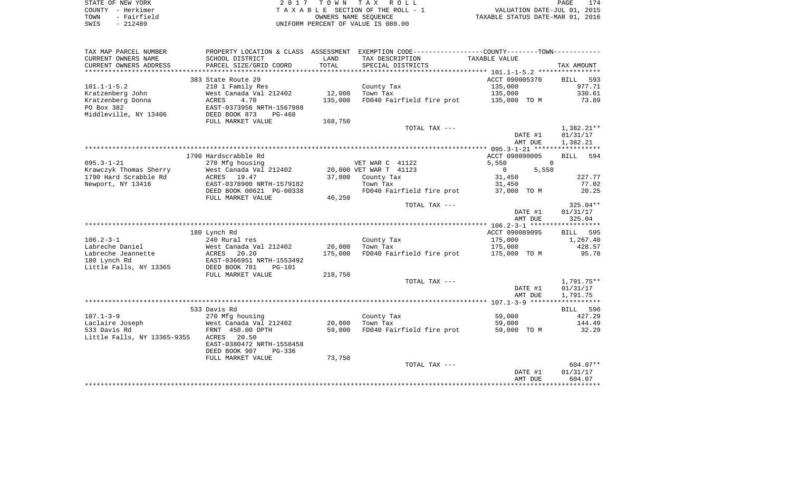| STATE OF NEW YORK                          | <i>1</i> TOWN TAX ROLL<br>ו חי     | 174<br>PAGE                      |
|--------------------------------------------|------------------------------------|----------------------------------|
| COUNTY - Herkimer                          | TAXABLE SECTION OF THE ROLL - 1    | VALUATION DATE-JUL 01, 2015      |
| - Fairfield<br>TOWN                        | OWNERS NAME SEOUENCE               | TAXABLE STATUS DATE-MAR 01, 2016 |
| 212489<br>SWIS<br>$\overline{\phantom{0}}$ | UNIFORM PERCENT OF VALUE IS 080.00 |                                  |

 $\frac{174}{2015}$ 

| TAX MAP PARCEL NUMBER       | PROPERTY LOCATION & CLASS ASSESSMENT          |         |                           | EXEMPTION CODE-----------------COUNTY-------TOWN----------- |                    |
|-----------------------------|-----------------------------------------------|---------|---------------------------|-------------------------------------------------------------|--------------------|
| CURRENT OWNERS NAME         | SCHOOL DISTRICT                               | LAND    | TAX DESCRIPTION           | TAXABLE VALUE                                               |                    |
| CURRENT OWNERS ADDRESS      | PARCEL SIZE/GRID COORD                        | TOTAL   | SPECIAL DISTRICTS         |                                                             | TAX AMOUNT         |
| *************************   |                                               |         |                           |                                                             |                    |
|                             | 383 State Route 29                            |         |                           | ACCT 090005370                                              | 593<br><b>BILL</b> |
| $101.1 - 1 - 5.2$           | 210 1 Family Res                              |         | County Tax                | 135,000                                                     | 977.71             |
| Kratzenberg John            | West Canada Val 212402                        | 12,000  | Town Tax                  | 135,000                                                     | 330.61             |
| Kratzenberg Donna           | 4.70<br>ACRES                                 | 135,000 | FD040 Fairfield fire prot | 135,000 TO M                                                | 73.89              |
| PO Box 382                  | EAST-0373956 NRTH-1567988                     |         |                           |                                                             |                    |
| Middleville, NY 13406       | DEED BOOK 873<br>$PG-468$                     |         |                           |                                                             |                    |
|                             | FULL MARKET VALUE                             | 168,750 |                           |                                                             |                    |
|                             |                                               |         | TOTAL TAX ---             |                                                             | $1,382.21**$       |
|                             |                                               |         |                           | DATE #1                                                     | 01/31/17           |
|                             |                                               |         |                           | AMT DUE                                                     | 1,382.21           |
|                             |                                               |         |                           |                                                             |                    |
|                             | 1790 Hardscrabble Rd                          |         |                           | ACCT 090090005                                              | 594<br>BILL        |
| $095.3 - 1 - 21$            | 270 Mfg housing                               |         | VET WAR C 41122           | $\Omega$<br>5,550                                           |                    |
| Krawczyk Thomas Sherry      | West Canada Val 212402                        |         | 20,000 VET WAR T 41123    | $\circ$<br>5,550                                            |                    |
| 1790 Hard Scrabble Rd       | ACRES 19.47                                   | 37,000  | County Tax                | 31,450                                                      | 227.77             |
| Newport, NY 13416           | EAST-0378900 NRTH-1579182                     |         | Town Tax                  | 31,450                                                      | 77.02              |
|                             | DEED BOOK 00621 PG-00338<br>FULL MARKET VALUE | 46,250  | FD040 Fairfield fire prot | 37,000 TO M                                                 | 20.25              |
|                             |                                               |         | TOTAL TAX ---             |                                                             | $325.04**$         |
|                             |                                               |         |                           | DATE #1                                                     | 01/31/17           |
|                             |                                               |         |                           | AMT DUE                                                     | 325.04             |
|                             |                                               |         |                           |                                                             |                    |
|                             | 180 Lynch Rd                                  |         |                           | ACCT 090089095                                              | <b>BILL</b><br>595 |
| $106.2 - 3 - 1$             | 240 Rural res                                 |         | County Tax                | 175,000                                                     | 1,267.40           |
| Labreche Daniel             | West Canada Val 212402                        | 20,000  | Town Tax                  | 175,000                                                     | 428.57             |
| Labreche Jeannette          | ACRES 20.20                                   | 175,000 | FD040 Fairfield fire prot | 175,000 TO M                                                | 95.78              |
| 180 Lynch Rd                | EAST-0366951 NRTH-1553492                     |         |                           |                                                             |                    |
| Little Falls, NY 13365      | DEED BOOK 781<br>$PG-101$                     |         |                           |                                                             |                    |
|                             | FULL MARKET VALUE                             | 218,750 |                           |                                                             |                    |
|                             |                                               |         | TOTAL TAX ---             |                                                             | 1,791.75**         |
|                             |                                               |         |                           | DATE #1                                                     | 01/31/17           |
|                             |                                               |         |                           | AMT DUE                                                     | 1,791.75           |
|                             |                                               |         |                           |                                                             |                    |
|                             | 533 Davis Rd                                  |         |                           |                                                             | BILL 596           |
| $107.1 - 3 - 9$             | 270 Mfg housing                               |         | County Tax                | 59,000                                                      | 427.29             |
| Laclaire Joseph             | West Canada Val 212402                        | 20,000  | Town Tax                  | 59,000                                                      | 144.49             |
| 533 Davis Rd                | FRNT 450.00 DPTH                              | 59,000  | FD040 Fairfield fire prot | 59,000 TO M                                                 | 32.29              |
| Little Falls, NY 13365-9355 | ACRES<br>20.50                                |         |                           |                                                             |                    |
|                             | EAST-0380472 NRTH-1558458                     |         |                           |                                                             |                    |
|                             | DEED BOOK 907<br>$PG-336$                     |         |                           |                                                             |                    |
|                             | FULL MARKET VALUE                             | 73,750  |                           |                                                             |                    |
|                             |                                               |         | TOTAL TAX ---             |                                                             | $604.07**$         |
|                             |                                               |         |                           | DATE #1                                                     | 01/31/17           |
|                             |                                               |         |                           | AMT DUE                                                     | 604.07             |
|                             |                                               |         |                           |                                                             |                    |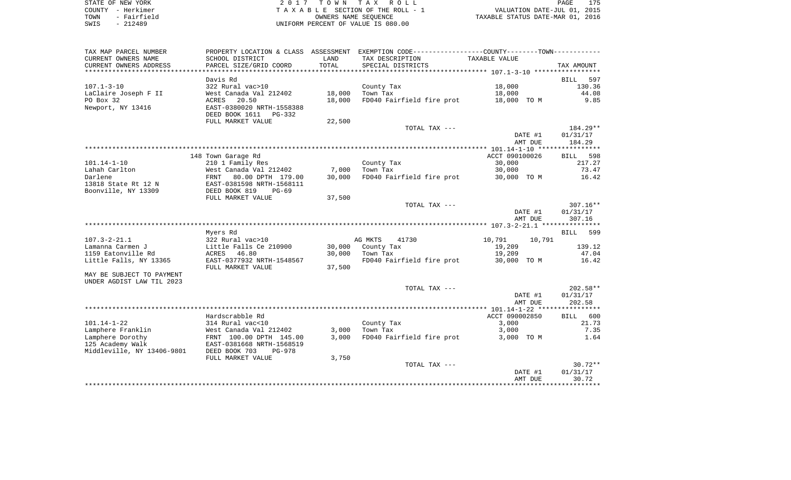| STATE OF NEW YORK   | 2017 TOWN TAX ROLL                 | PAGE                             |
|---------------------|------------------------------------|----------------------------------|
| COUNTY - Herkimer   | TAXABLE SECTION OF THE ROLL - 1    | VALUATION DATE-JUL 01, 2015      |
| - Fairfield<br>TOWN | OWNERS NAME SEOUENCE               | TAXABLE STATUS DATE-MAR 01, 2016 |
| - 212489<br>SWIS    | UNIFORM PERCENT OF VALUE IS 080.00 |                                  |

175<br>2015

| TAX MAP PARCEL NUMBER      |                                                      |        | PROPERTY LOCATION & CLASS ASSESSMENT EXEMPTION CODE---------------COUNTY-------TOWN---------- |                         |                    |
|----------------------------|------------------------------------------------------|--------|-----------------------------------------------------------------------------------------------|-------------------------|--------------------|
| CURRENT OWNERS NAME        | SCHOOL DISTRICT                                      | LAND   | TAX DESCRIPTION                                                                               | TAXABLE VALUE           |                    |
| CURRENT OWNERS ADDRESS     | PARCEL SIZE/GRID COORD                               | TOTAL  | SPECIAL DISTRICTS                                                                             |                         | TAX AMOUNT         |
|                            |                                                      |        |                                                                                               |                         |                    |
|                            | Davis Rd                                             |        |                                                                                               |                         | 597<br>BILL        |
| $107.1 - 3 - 10$           | 322 Rural vac>10                                     |        | County Tax                                                                                    | 18,000                  | 130.36             |
| LaClaire Joseph F II       | West Canada Val 212402                               | 18,000 | Town Tax                                                                                      | 18,000                  | 44.08              |
| PO Box 32                  | ACRES<br>20.50                                       | 18,000 | FD040 Fairfield fire prot                                                                     | 18,000 TO M             | 9.85               |
| Newport, NY 13416          | EAST-0380020 NRTH-1558388                            |        |                                                                                               |                         |                    |
|                            | DEED BOOK 1611<br>PG-332                             |        |                                                                                               |                         |                    |
|                            | FULL MARKET VALUE                                    | 22,500 |                                                                                               |                         |                    |
|                            |                                                      |        | TOTAL TAX ---                                                                                 |                         | 184.29**           |
|                            |                                                      |        |                                                                                               | DATE #1<br>AMT DUE      | 01/31/17<br>184.29 |
|                            |                                                      |        |                                                                                               |                         |                    |
|                            | 148 Town Garage Rd                                   |        |                                                                                               | ACCT 090100026          | BILL 598           |
| 101.14-1-10                | 210 1 Family Res                                     |        | County Tax                                                                                    | 30,000                  | 217.27             |
| Lahah Carlton              | West Canada Val 212402                               | 7,000  | Town Tax                                                                                      | 30,000                  | 73.47              |
| Darlene                    | FRNT 80.00 DPTH 179.00                               | 30,000 | FD040 Fairfield fire prot                                                                     | 30,000 TO M             | 16.42              |
| 13818 State Rt 12 N        | EAST-0381598 NRTH-1568111                            |        |                                                                                               |                         |                    |
| Boonville, NY 13309        | DEED BOOK 819<br>$PG-69$                             |        |                                                                                               |                         |                    |
|                            | FULL MARKET VALUE                                    | 37,500 |                                                                                               |                         |                    |
|                            |                                                      |        | TOTAL TAX ---                                                                                 |                         | $307.16**$         |
|                            |                                                      |        |                                                                                               | DATE #1                 | 01/31/17           |
|                            |                                                      |        |                                                                                               | AMT DUE                 | 307.16             |
|                            |                                                      |        |                                                                                               |                         |                    |
|                            | Myers Rd                                             |        |                                                                                               |                         | BILL 599           |
| $107.3 - 2 - 21.1$         | 322 Rural vac>10                                     |        | AG MKTS<br>41730                                                                              | 10,791<br>10,791        |                    |
| Lamanna Carmen J           | Little Falls Ce 210900                               | 30,000 | County Tax                                                                                    | 19,209                  | 139.12             |
| 1159 Eatonville Rd         | ACRES 46.80                                          | 30,000 | Town Tax                                                                                      | 19,209                  | 47.04              |
| Little Falls, NY 13365     | EAST-0377932 NRTH-1548567                            |        | FD040 Fairfield fire prot                                                                     | 30,000 TO M             | 16.42              |
|                            | FULL MARKET VALUE                                    | 37,500 |                                                                                               |                         |                    |
| MAY BE SUBJECT TO PAYMENT  |                                                      |        |                                                                                               |                         |                    |
| UNDER AGDIST LAW TIL 2023  |                                                      |        |                                                                                               |                         |                    |
|                            |                                                      |        | TOTAL TAX ---                                                                                 |                         | $202.58**$         |
|                            |                                                      |        |                                                                                               | DATE #1                 | 01/31/17           |
|                            |                                                      |        |                                                                                               | AMT DUE                 | 202.58             |
|                            | Hardscrabble Rd                                      |        |                                                                                               |                         |                    |
| 101.14-1-22                | 314 Rural vac<10                                     |        | County Tax                                                                                    | ACCT 090002850<br>3,000 | BILL 600<br>21.73  |
| Lamphere Franklin          | West Canada Val 212402                               | 3,000  | Town Tax                                                                                      | 3,000                   | 7.35               |
| Lamphere Dorothy           |                                                      | 3,000  | FD040 Fairfield fire prot                                                                     | 3,000 TO M              | 1.64               |
| 125 Academy Walk           | FRNT 100.00 DPTH 145.00<br>EAST-0381668 NRTH-1568519 |        |                                                                                               |                         |                    |
| Middleville, NY 13406-9801 | DEED BOOK 703<br><b>PG-978</b>                       |        |                                                                                               |                         |                    |
|                            | FULL MARKET VALUE                                    | 3,750  |                                                                                               |                         |                    |
|                            |                                                      |        | TOTAL TAX ---                                                                                 |                         | $30.72**$          |
|                            |                                                      |        |                                                                                               | DATE #1                 | 01/31/17           |
|                            |                                                      |        |                                                                                               | AMT DUE                 | 30.72              |
|                            |                                                      |        |                                                                                               |                         |                    |
|                            |                                                      |        |                                                                                               |                         |                    |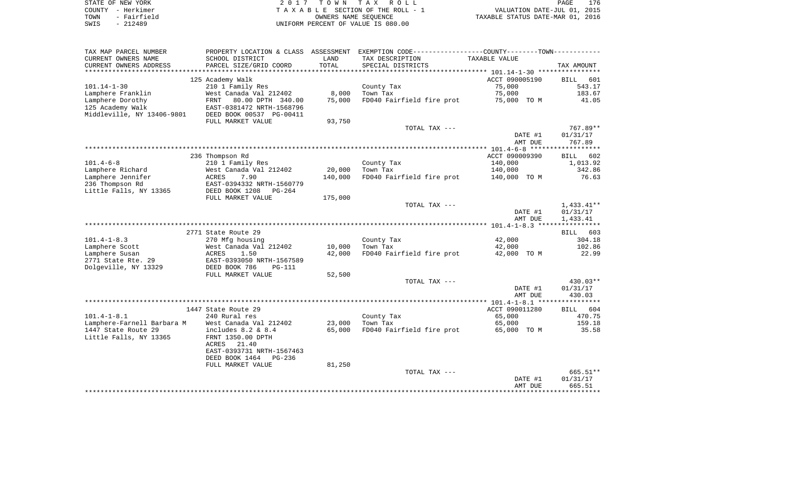|      | STATE OF NEW YORK | 2017 TOWN TAX ROLL                 | PAGE                             | 176 |
|------|-------------------|------------------------------------|----------------------------------|-----|
|      | COUNTY - Herkimer | TAXABLE SECTION OF THE ROLL - 1    | VALUATION DATE-JUL 01, 2015      |     |
| TOWN | - Fairfield       | OWNERS NAME SEOUENCE               | TAXABLE STATUS DATE-MAR 01, 2016 |     |
| SWIS | $-212489$         | UNIFORM PERCENT OF VALUE IS 080.00 |                                  |     |

PAGE 176

| TAX MAP PARCEL NUMBER      | PROPERTY LOCATION & CLASS                               | ASSESSMENT    | EXEMPTION CODE-----------------COUNTY-------TOWN----------- |                |             |
|----------------------------|---------------------------------------------------------|---------------|-------------------------------------------------------------|----------------|-------------|
| CURRENT OWNERS NAME        | SCHOOL DISTRICT                                         | LAND          | TAX DESCRIPTION                                             | TAXABLE VALUE  |             |
| CURRENT OWNERS ADDRESS     | PARCEL SIZE/GRID COORD                                  | TOTAL         | SPECIAL DISTRICTS                                           |                | TAX AMOUNT  |
| *******************        |                                                         | ************* |                                                             |                |             |
|                            | 125 Academy Walk                                        |               |                                                             | ACCT 090005190 | BILL<br>601 |
| $101.14 - 1 - 30$          | 210 1 Family Res                                        |               | County Tax                                                  | 75,000         | 543.17      |
| Lamphere Franklin          | West Canada Val 212402                                  | 8,000         | Town Tax                                                    | 75,000         | 183.67      |
| Lamphere Dorothy           | FRNT<br>80.00 DPTH 340.00                               | 75,000        | FD040 Fairfield fire prot                                   | 75,000 TO M    | 41.05       |
| 125 Academy Walk           | EAST-0381472 NRTH-1568796                               |               |                                                             |                |             |
| Middleville, NY 13406-9801 | DEED BOOK 00537 PG-00411                                |               |                                                             |                |             |
|                            | FULL MARKET VALUE                                       | 93,750        |                                                             |                |             |
|                            |                                                         |               | TOTAL TAX ---                                               |                | 767.89**    |
|                            |                                                         |               |                                                             | DATE #1        | 01/31/17    |
|                            |                                                         |               |                                                             | AMT DUE        | 767.89      |
|                            |                                                         |               |                                                             |                |             |
|                            | 236 Thompson Rd                                         |               |                                                             | ACCT 090009390 | 602<br>BILL |
| $101.4 - 6 - 8$            | 210 1 Family Res                                        |               | County Tax                                                  | 140,000        | 1,013.92    |
| Lamphere Richard           | West Canada Val 212402                                  | 20,000        | Town Tax                                                    | 140,000        | 342.86      |
| Lamphere Jennifer          | 7.90<br>ACRES                                           | 140,000       | FD040 Fairfield fire prot                                   | 140,000 TO M   | 76.63       |
| 236 Thompson Rd            | EAST-0394332 NRTH-1560779                               |               |                                                             |                |             |
| Little Falls, NY 13365     | DEED BOOK 1208<br>$PG-264$                              |               |                                                             |                |             |
|                            | FULL MARKET VALUE                                       | 175,000       |                                                             |                |             |
|                            |                                                         |               | TOTAL TAX ---                                               |                | 1,433.41**  |
|                            |                                                         |               |                                                             | DATE #1        | 01/31/17    |
|                            |                                                         |               |                                                             | AMT DUE        | 1,433.41    |
|                            |                                                         |               |                                                             |                |             |
|                            | 2771 State Route 29                                     |               |                                                             |                | BILL 603    |
| $101.4 - 1 - 8.3$          | 270 Mfg housing                                         |               | County Tax                                                  | 42,000         | 304.18      |
| Lamphere Scott             | West Canada Val 212402                                  | 10,000        | Town Tax                                                    | 42,000         | 102.86      |
| Lamphere Susan             | 1.50<br>ACRES                                           | 42,000        | FD040 Fairfield fire prot                                   | 42,000 TO M    | 22.99       |
| 2771 State Rte. 29         | EAST-0393050 NRTH-1567589                               |               |                                                             |                |             |
| Dolgeville, NY 13329       | DEED BOOK 786<br>PG-111                                 |               |                                                             |                |             |
|                            | FULL MARKET VALUE                                       | 52,500        |                                                             |                |             |
|                            |                                                         |               | TOTAL TAX ---                                               |                | 430.03**    |
|                            |                                                         |               |                                                             | DATE #1        | 01/31/17    |
|                            |                                                         |               |                                                             | AMT DUE        | 430.03      |
|                            |                                                         |               |                                                             |                |             |
|                            | 1447 State Route 29                                     |               |                                                             | ACCT 090011280 | BILL 604    |
| $101.4 - 1 - 8.1$          | 240 Rural res                                           |               | County Tax                                                  | 65,000         | 470.75      |
| Lamphere-Farnell Barbara M | West Canada Val 212402                                  | 23,000        | Town Tax                                                    | 65,000         | 159.18      |
| 1447 State Route 29        | includes $8.2 \& 8.4$                                   | 65,000        | FD040 Fairfield fire prot                                   | 65,000 TO M    | 35.58       |
| Little Falls, NY 13365     | FRNT 1350.00 DPTH                                       |               |                                                             |                |             |
|                            | 21.40<br>ACRES                                          |               |                                                             |                |             |
|                            | EAST-0393731 NRTH-1567463<br>DEED BOOK 1464<br>$PG-236$ |               |                                                             |                |             |
|                            |                                                         |               |                                                             |                |             |
|                            | FULL MARKET VALUE                                       | 81,250        |                                                             |                | 665.51**    |
|                            |                                                         |               | TOTAL TAX ---                                               | DATE #1        | 01/31/17    |
|                            |                                                         |               |                                                             | AMT DUE        | 665.51      |
|                            |                                                         |               |                                                             |                |             |
|                            |                                                         |               |                                                             |                |             |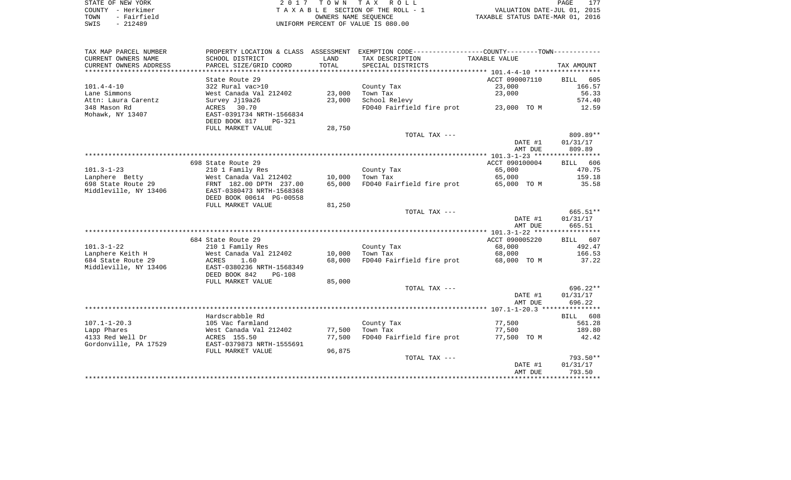| STATE OF NEW YORK   | 2017 TOWN TAX ROLL                 | 177<br>PAGE                      |
|---------------------|------------------------------------|----------------------------------|
| COUNTY - Herkimer   | TAXABLE SECTION OF THE ROLL - 1    | VALUATION DATE-JUL 01, 2015      |
| - Fairfield<br>TOWN | OWNERS NAME SEOUENCE               | TAXABLE STATUS DATE-MAR 01, 2016 |
| $-212489$<br>SWIS   | UNIFORM PERCENT OF VALUE IS 080.00 |                                  |

| TAX MAP PARCEL NUMBER  |                                            |        | PROPERTY LOCATION & CLASS ASSESSMENT EXEMPTION CODE----------------COUNTY-------TOWN---------- |                          |                    |
|------------------------|--------------------------------------------|--------|------------------------------------------------------------------------------------------------|--------------------------|--------------------|
| CURRENT OWNERS NAME    | SCHOOL DISTRICT                            | LAND   | TAX DESCRIPTION                                                                                | TAXABLE VALUE            |                    |
| CURRENT OWNERS ADDRESS | PARCEL SIZE/GRID COORD                     | TOTAL  | SPECIAL DISTRICTS                                                                              |                          | TAX AMOUNT         |
|                        |                                            |        |                                                                                                |                          |                    |
|                        | State Route 29                             |        |                                                                                                | ACCT 090007110           | BILL<br>605        |
| $101.4 - 4 - 10$       | 322 Rural vac>10                           |        | County Tax                                                                                     | 23,000                   | 166.57             |
| Lane Simmons           | West Canada Val 212402                     | 23,000 | Town Tax                                                                                       | 23,000                   | 56.33              |
| Attn: Laura Carentz    | Survey Ji19a26                             | 23,000 | School Relevy                                                                                  |                          | 574.40             |
| 348 Mason Rd           | ACRES 30.70                                |        | FD040 Fairfield fire prot                                                                      | 23,000 TO M              | 12.59              |
| Mohawk, NY 13407       | EAST-0391734 NRTH-1566834                  |        |                                                                                                |                          |                    |
|                        | DEED BOOK 817<br>PG-321                    |        |                                                                                                |                          |                    |
|                        | FULL MARKET VALUE                          | 28,750 |                                                                                                |                          |                    |
|                        |                                            |        | TOTAL TAX ---                                                                                  |                          | 809.89**           |
|                        |                                            |        |                                                                                                | DATE #1                  | 01/31/17           |
|                        |                                            |        |                                                                                                | AMT DUE                  | 809.89             |
|                        |                                            |        |                                                                                                |                          |                    |
|                        | 698 State Route 29                         |        |                                                                                                | ACCT 090100004           | BILL 606           |
| $101.3 - 1 - 23$       | 210 1 Family Res                           |        | County Tax                                                                                     | 65,000                   | 470.75             |
| Lanphere Betty         | West Canada Val 212402                     | 10,000 | Town Tax                                                                                       | 65,000                   | 159.18             |
| 698 State Route 29     | FRNT 182.00 DPTH 237.00                    | 65,000 | FD040 Fairfield fire prot                                                                      | 65,000 TO M              | 35.58              |
| Middleville, NY 13406  | EAST-0380473 NRTH-1568368                  |        |                                                                                                |                          |                    |
|                        | DEED BOOK 00614 PG-00558                   |        |                                                                                                |                          |                    |
|                        | FULL MARKET VALUE                          | 81,250 |                                                                                                |                          |                    |
|                        |                                            |        | TOTAL TAX ---                                                                                  |                          | 665.51**           |
|                        |                                            |        |                                                                                                | DATE #1                  | 01/31/17           |
|                        |                                            |        |                                                                                                | AMT DUE                  | 665.51             |
|                        |                                            |        |                                                                                                |                          |                    |
| $101.3 - 1 - 22$       | 684 State Route 29                         |        |                                                                                                | ACCT 090005220<br>68,000 | BILL 607<br>492.47 |
| Lanphere Keith H       | 210 1 Family Res<br>West Canada Val 212402 | 10,000 | County Tax<br>Town Tax                                                                         | 68,000                   | 166.53             |
| 684 State Route 29     | ACRES<br>1.60                              | 68,000 | FD040 Fairfield fire prot                                                                      | 68,000 TO M              | 37.22              |
| Middleville, NY 13406  | EAST-0380236 NRTH-1568349                  |        |                                                                                                |                          |                    |
|                        | DEED BOOK 842<br><b>PG-108</b>             |        |                                                                                                |                          |                    |
|                        | FULL MARKET VALUE                          | 85,000 |                                                                                                |                          |                    |
|                        |                                            |        | TOTAL TAX ---                                                                                  |                          | $696.22**$         |
|                        |                                            |        |                                                                                                | DATE #1                  | 01/31/17           |
|                        |                                            |        |                                                                                                | AMT DUE                  | 696.22             |
|                        |                                            |        |                                                                                                |                          |                    |
|                        | Hardscrabble Rd                            |        |                                                                                                |                          | BILL 608           |
| $107.1 - 1 - 20.3$     | 105 Vac farmland                           |        | County Tax                                                                                     | 77,500                   | 561.28             |
| Lapp Phares            | West Canada Val 212402                     | 77,500 | Town Tax                                                                                       | 77,500                   | 189.80             |
| 4133 Red Well Dr       | ACRES 155.50                               | 77,500 | FD040 Fairfield fire prot                                                                      | 77,500 TO M              | 42.42              |
| Gordonville, PA 17529  | EAST-0379873 NRTH-1555691                  |        |                                                                                                |                          |                    |
|                        | FULL MARKET VALUE                          | 96,875 |                                                                                                |                          |                    |
|                        |                                            |        | TOTAL TAX ---                                                                                  |                          | 793.50**           |
|                        |                                            |        |                                                                                                | DATE #1                  | 01/31/17           |
|                        |                                            |        |                                                                                                | AMT DUE                  | 793.50             |
|                        |                                            |        |                                                                                                |                          |                    |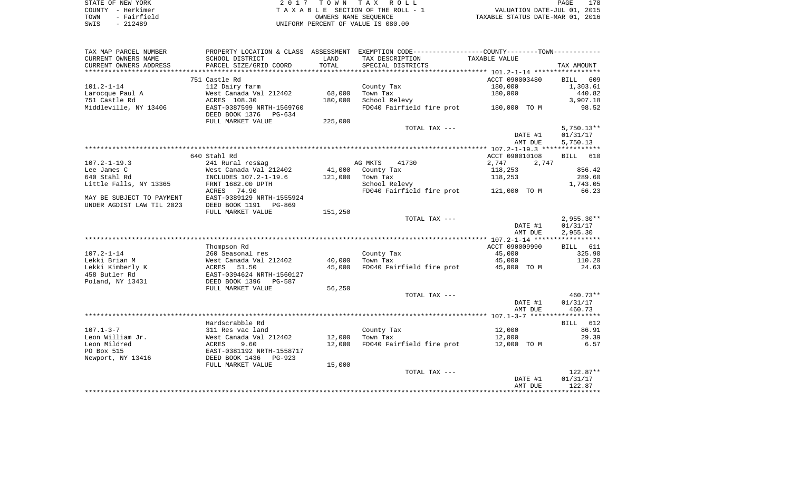| STATE OF NEW YORK   | 2017 TOWN TAX ROLL                 | 178<br>PAGE                      |
|---------------------|------------------------------------|----------------------------------|
| COUNTY - Herkimer   | TAXABLE SECTION OF THE ROLL - 1    | VALUATION DATE-JUL 01, 2015      |
| - Fairfield<br>TOWN | OWNERS NAME SEOUENCE               | TAXABLE STATUS DATE-MAR 01, 2016 |
| $-212489$<br>SWIS   | UNIFORM PERCENT OF VALUE IS 080.00 |                                  |

| TAX MAP PARCEL NUMBER     |                            |         | PROPERTY LOCATION & CLASS ASSESSMENT EXEMPTION CODE----------------COUNTY-------TOWN---------- |                |              |
|---------------------------|----------------------------|---------|------------------------------------------------------------------------------------------------|----------------|--------------|
| CURRENT OWNERS NAME       | SCHOOL DISTRICT            | LAND    | TAX DESCRIPTION                                                                                | TAXABLE VALUE  |              |
| CURRENT OWNERS ADDRESS    | PARCEL SIZE/GRID COORD     | TOTAL   | SPECIAL DISTRICTS                                                                              |                | TAX AMOUNT   |
|                           |                            |         |                                                                                                |                |              |
|                           | 751 Castle Rd              |         |                                                                                                | ACCT 090003480 | BILL 609     |
| $101.2 - 1 - 14$          | 112 Dairy farm             |         | County Tax                                                                                     | 180,000        | 1,303.61     |
| Larocque Paul A           | West Canada Val 212402     | 68,000  | Town Tax                                                                                       | 180,000        | 440.82       |
| 751 Castle Rd             | ACRES 108.30               | 180,000 | School Relevy                                                                                  |                | 3,907.18     |
| Middleville, NY 13406     | EAST-0387599 NRTH-1569760  |         | FD040 Fairfield fire prot                                                                      | 180,000 TO M   | 98.52        |
|                           | DEED BOOK 1376<br>PG-634   |         |                                                                                                |                |              |
|                           | FULL MARKET VALUE          | 225,000 |                                                                                                |                |              |
|                           |                            |         | TOTAL TAX ---                                                                                  |                | $5,750.13**$ |
|                           |                            |         |                                                                                                | DATE #1        | 01/31/17     |
|                           |                            |         |                                                                                                | AMT DUE        | 5,750.13     |
|                           |                            |         |                                                                                                |                |              |
|                           | 640 Stahl Rd               |         |                                                                                                | ACCT 090010108 | BILL 610     |
| $107.2 - 1 - 19.3$        | 241 Rural res&ag           |         | AG MKTS<br>41730                                                                               | 2,747<br>2,747 |              |
| Lee James C               | West Canada Val 212402     | 41,000  | County Tax                                                                                     | 118,253        | 856.42       |
| 640 Stahl Rd              | INCLUDES 107.2-1-19.6      | 121,000 | Town Tax                                                                                       | 118,253        | 289.60       |
| Little Falls, NY 13365    | FRNT 1682.00 DPTH          |         | School Relevy                                                                                  |                | 1,743.05     |
|                           | ACRES 74.90                |         | FD040 Fairfield fire prot 121,000 TO M                                                         |                | 66.23        |
| MAY BE SUBJECT TO PAYMENT | EAST-0389129 NRTH-1555924  |         |                                                                                                |                |              |
| UNDER AGDIST LAW TIL 2023 | DEED BOOK 1191<br>PG-869   |         |                                                                                                |                |              |
|                           | FULL MARKET VALUE          | 151,250 |                                                                                                |                |              |
|                           |                            |         | TOTAL TAX ---                                                                                  |                | $2,955.30**$ |
|                           |                            |         |                                                                                                | DATE #1        | 01/31/17     |
|                           |                            |         |                                                                                                | AMT DUE        | 2,955.30     |
|                           |                            |         |                                                                                                |                |              |
|                           | Thompson Rd                |         |                                                                                                | ACCT 090009990 | BILL 611     |
| $107.2 - 1 - 14$          | 260 Seasonal res           |         | County Tax                                                                                     | 45,000         | 325.90       |
| Lekki Brian M             | West Canada Val 212402     | 40,000  | Town Tax                                                                                       | 45,000         | 110.20       |
| Lekki Kimberly K          | 51.50<br>ACRES             | 45,000  | FD040 Fairfield fire prot                                                                      | 45,000 TO M    | 24.63        |
| 458 Butler Rd             | EAST-0394624 NRTH-1560127  |         |                                                                                                |                |              |
| Poland, NY 13431          | DEED BOOK 1396<br>PG-587   |         |                                                                                                |                |              |
|                           | FULL MARKET VALUE          | 56,250  |                                                                                                |                |              |
|                           |                            |         | TOTAL TAX ---                                                                                  |                | 460.73**     |
|                           |                            |         |                                                                                                | DATE #1        | 01/31/17     |
|                           |                            |         |                                                                                                | AMT DUE        | 460.73       |
|                           |                            |         |                                                                                                |                |              |
|                           | Hardscrabble Rd            |         |                                                                                                |                | BILL 612     |
| $107.1 - 3 - 7$           | 311 Res vac land           |         | County Tax                                                                                     | 12,000         | 86.91        |
| Leon William Jr.          | West Canada Val 212402     | 12,000  | Town Tax                                                                                       | 12,000         | 29.39        |
| Leon Mildred              | ACRES<br>9.60              | 12,000  | FD040 Fairfield fire prot                                                                      | 12,000 TO M    | 6.57         |
| PO Box 515                | EAST-0381192 NRTH-1558717  |         |                                                                                                |                |              |
| Newport, NY 13416         | DEED BOOK 1436<br>$PG-923$ |         |                                                                                                |                |              |
|                           | FULL MARKET VALUE          | 15,000  |                                                                                                |                |              |
|                           |                            |         | TOTAL TAX ---                                                                                  |                | 122.87**     |
|                           |                            |         |                                                                                                | DATE #1        | 01/31/17     |
|                           |                            |         |                                                                                                | AMT DUE        | 122.87       |
|                           |                            |         |                                                                                                |                |              |
|                           |                            |         |                                                                                                |                |              |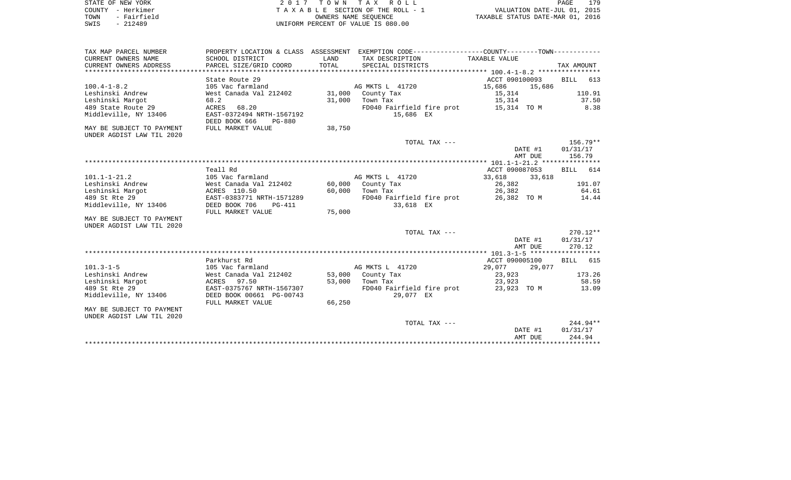|      | STATE OF NEW YORK | 2017 TOWN TAX ROLL                 | PAGE                             | 179 |
|------|-------------------|------------------------------------|----------------------------------|-----|
|      |                   |                                    |                                  |     |
|      | COUNTY - Herkimer | TAXABLE SECTION OF THE ROLL - 1    | VALUATION DATE-JUL 01, 2015      |     |
| TOWN | - Fairfield       | OWNERS NAME SEOUENCE               | TAXABLE STATUS DATE-MAR 01, 2016 |     |
| SWIS | $-212489$         | UNIFORM PERCENT OF VALUE IS 080.00 |                                  |     |
|      |                   |                                    |                                  |     |
|      |                   |                                    |                                  |     |

| TAX MAP PARCEL NUMBER                                  |                                          |        | PROPERTY LOCATION & CLASS ASSESSMENT EXEMPTION CODE---------------COUNTY-------TOWN---------- |                  |                     |
|--------------------------------------------------------|------------------------------------------|--------|-----------------------------------------------------------------------------------------------|------------------|---------------------|
| CURRENT OWNERS NAME                                    | SCHOOL DISTRICT                          | LAND   | TAX DESCRIPTION                                                                               | TAXABLE VALUE    |                     |
| CURRENT OWNERS ADDRESS                                 | PARCEL SIZE/GRID COORD                   | TOTAL  | SPECIAL DISTRICTS                                                                             |                  | TAX AMOUNT          |
|                                                        |                                          |        |                                                                                               |                  |                     |
|                                                        | State Route 29                           |        |                                                                                               | ACCT 090100093   | BILL 613            |
| $100.4 - 1 - 8.2$                                      | 105 Vac farmland                         |        | AG MKTS L 41720                                                                               | 15,686           | 15,686              |
| Leshinski Andrew                                       | West Canada Val 212402 31,000 County Tax |        |                                                                                               | 15,314           | 110.91              |
| Leshinski Margot                                       | 68.2                                     | 31,000 | Town Tax                                                                                      | 15,314           | 37.50               |
| 489 State Route 29                                     | ACRES 68.20                              |        | FD040 Fairfield fire prot 15,314 TO M                                                         |                  | 8.38                |
| Middleville, NY 13406                                  | EAST-0372494 NRTH-1567192                |        | 15,686 EX                                                                                     |                  |                     |
|                                                        | DEED BOOK 666<br>PG-880                  |        |                                                                                               |                  |                     |
| MAY BE SUBJECT TO PAYMENT                              | FULL MARKET VALUE                        | 38,750 |                                                                                               |                  |                     |
| UNDER AGDIST LAW TIL 2020                              |                                          |        |                                                                                               |                  |                     |
|                                                        |                                          |        | TOTAL TAX ---                                                                                 |                  | 156.79**            |
|                                                        |                                          |        |                                                                                               |                  | 01/31/17<br>DATE #1 |
|                                                        |                                          |        |                                                                                               |                  | AMT DUE<br>156.79   |
|                                                        |                                          |        |                                                                                               |                  |                     |
|                                                        | Teall Rd                                 |        |                                                                                               | ACCT 090087053   | BILL 614            |
| $101.1 - 1 - 21.2$                                     | 105 Vac farmland                         |        | AG MKTS L 41720                                                                               | 33,618           | 33,618              |
| Leshinski Andrew                                       | West Canada Val 212402                   |        | 60,000 County Tax                                                                             | 26,382           | 191.07              |
| Leshinski Margot                                       | ACRES 110.50                             | 60,000 | Town Tax                                                                                      | 26,382<br>26,382 | 64.61               |
| 489 St Rte 29                                          | EAST-0383771 NRTH-1571289                |        | FD040 Fairfield fire prot                                                                     | 26,382 TO M      | 14.44               |
| Middleville, NY 13406                                  | DEED BOOK 706<br>PG-411                  |        | 33,618 EX                                                                                     |                  |                     |
|                                                        | FULL MARKET VALUE                        | 75,000 |                                                                                               |                  |                     |
|                                                        |                                          |        |                                                                                               |                  |                     |
| MAY BE SUBJECT TO PAYMENT<br>UNDER AGDIST LAW TIL 2020 |                                          |        |                                                                                               |                  |                     |
|                                                        |                                          |        | TOTAL TAX ---                                                                                 |                  | $270.12**$          |
|                                                        |                                          |        |                                                                                               |                  | DATE #1<br>01/31/17 |
|                                                        |                                          |        |                                                                                               |                  | AMT DUE<br>270.12   |
|                                                        |                                          |        |                                                                                               |                  |                     |
|                                                        |                                          |        |                                                                                               |                  |                     |
| $101.3 - 1 - 5$                                        | Parkhurst Rd                             |        | AG MKTS L 41720                                                                               | ACCT 090005100   | BILL 615            |
|                                                        | 105 Vac farmland                         |        |                                                                                               | 29,077           | 29,077              |
| Leshinski Andrew                                       | West Canada Val 212402                   |        | 53,000 County Tax                                                                             | 23,923           | 173.26              |
| Leshinski Margot                                       | ACRES 97.50                              | 53,000 | Town Tax                                                                                      | 23,923           | 58.59               |
| 489 St Rte 29                                          | EAST-0375767 NRTH-1567307                |        | FD040 Fairfield fire prot 23,923 TO M                                                         |                  | 13.09               |
| Middleville, NY 13406                                  | DEED BOOK 00661 PG-00743                 |        | 29,077 EX                                                                                     |                  |                     |
|                                                        | FULL MARKET VALUE                        | 66,250 |                                                                                               |                  |                     |
| MAY BE SUBJECT TO PAYMENT                              |                                          |        |                                                                                               |                  |                     |
| UNDER AGDIST LAW TIL 2020                              |                                          |        |                                                                                               |                  |                     |
|                                                        |                                          |        | TOTAL TAX ---                                                                                 |                  | $244.94**$          |
|                                                        |                                          |        |                                                                                               |                  | 01/31/17<br>DATE #1 |
|                                                        |                                          |        |                                                                                               |                  | 244.94<br>AMT DUE   |
|                                                        |                                          |        |                                                                                               |                  |                     |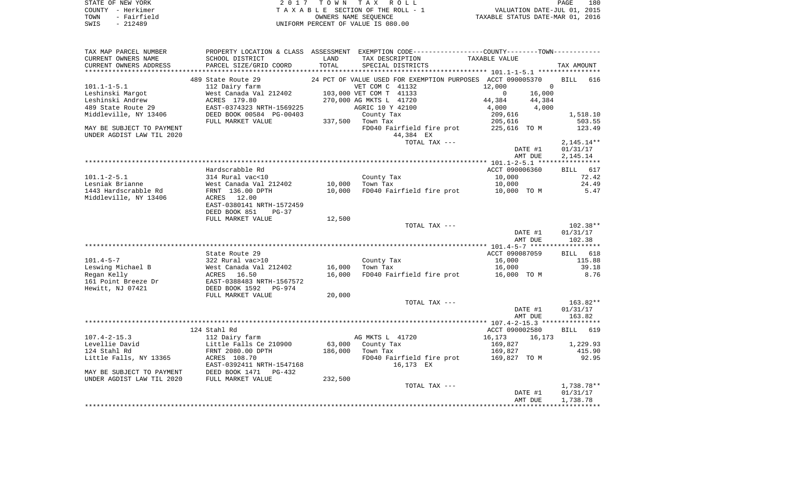|      | STATE OF NEW YORK | 2017 TOWN TAX ROLL                 | 180<br><b>PAGE</b>               |
|------|-------------------|------------------------------------|----------------------------------|
|      | COUNTY - Herkimer | TAXABLE SECTION OF THE ROLL - 1    | VALUATION DATE-JUL 01, 2015      |
| TOWN | - Fairfield       | OWNERS NAME SEOUENCE               | TAXABLE STATUS DATE-MAR 01, 2016 |
| SWIS | - 212489          | UNIFORM PERCENT OF VALUE IS 080.00 |                                  |

| TAX MAP PARCEL NUMBER<br>CURRENT OWNERS NAME<br>CURRENT OWNERS ADDRESS                                                                                             | PROPERTY LOCATION & CLASS ASSESSMENT EXEMPTION CODE---------------COUNTY-------TOWN----------<br>SCHOOL DISTRICT<br>PARCEL SIZE/GRID COORD                   | LAND<br>TOTAL | TAX DESCRIPTION<br>SPECIAL DISTRICTS                                                                                                                                                                                                  | TAXABLE VALUE                                                                                                                                 | TAX AMOUNT                                                         |
|--------------------------------------------------------------------------------------------------------------------------------------------------------------------|--------------------------------------------------------------------------------------------------------------------------------------------------------------|---------------|---------------------------------------------------------------------------------------------------------------------------------------------------------------------------------------------------------------------------------------|-----------------------------------------------------------------------------------------------------------------------------------------------|--------------------------------------------------------------------|
| ************************                                                                                                                                           | ***************************                                                                                                                                  |               |                                                                                                                                                                                                                                       |                                                                                                                                               |                                                                    |
| $101.1 - 1 - 5.1$<br>Leshinski Margot<br>Leshinski Andrew<br>489 State Route 29<br>Middleville, NY 13406<br>MAY BE SUBJECT TO PAYMENT<br>UNDER AGDIST LAW TIL 2020 | 489 State Route 29<br>112 Dairy farm<br>West Canada Val 212402<br>ACRES 179.80<br>EAST-0374323 NRTH-1569225<br>DEED BOOK 00584 PG-00403<br>FULL MARKET VALUE |               | 24 PCT OF VALUE USED FOR EXEMPTION PURPOSES<br>VET COM C 41132<br>103,000 VET COM T 41133<br>270,000 AG MKTS L 41720<br>AGRIC 10 Y 42100<br>County Tax<br>337,500 Town Tax<br>FD040 Fairfield fire prot<br>44,384 EX<br>TOTAL TAX --- | ACCT 090005370<br>12,000<br>$\mathbf 0$<br>16,000<br>$\mathbf{0}$<br>44,384<br>44,384<br>4,000<br>4,000<br>209,616<br>205,616<br>225,616 TO M | <b>BILL</b><br>616<br>1,518.10<br>503.55<br>123.49<br>$2,145.14**$ |
|                                                                                                                                                                    |                                                                                                                                                              |               |                                                                                                                                                                                                                                       | DATE #1                                                                                                                                       | 01/31/17                                                           |
|                                                                                                                                                                    |                                                                                                                                                              |               |                                                                                                                                                                                                                                       | AMT DUE                                                                                                                                       | 2,145.14                                                           |
|                                                                                                                                                                    |                                                                                                                                                              |               |                                                                                                                                                                                                                                       |                                                                                                                                               |                                                                    |
|                                                                                                                                                                    | Hardscrabble Rd<br>314 Rural vac<10                                                                                                                          |               |                                                                                                                                                                                                                                       | ACCT 090006360<br>10,000                                                                                                                      | <b>BILL</b><br>617<br>72.42                                        |
| $101.1 - 2 - 5.1$<br>Lesniak Brianne                                                                                                                               | West Canada Val 212402                                                                                                                                       | 10,000        | County Tax<br>Town Tax                                                                                                                                                                                                                | 10,000                                                                                                                                        | 24.49                                                              |
| 1443 Hardscrabble Rd                                                                                                                                               | FRNT 136.00 DPTH                                                                                                                                             | 10,000        | FD040 Fairfield fire prot                                                                                                                                                                                                             | 10,000 TO M                                                                                                                                   | 5.47                                                               |
| Middleville, NY 13406                                                                                                                                              | ACRES 12.00<br>EAST-0380141 NRTH-1572459<br>DEED BOOK 851<br>$PG-37$                                                                                         |               |                                                                                                                                                                                                                                       |                                                                                                                                               |                                                                    |
|                                                                                                                                                                    | FULL MARKET VALUE                                                                                                                                            | 12,500        |                                                                                                                                                                                                                                       |                                                                                                                                               |                                                                    |
|                                                                                                                                                                    |                                                                                                                                                              |               | TOTAL TAX ---                                                                                                                                                                                                                         |                                                                                                                                               | $102.38**$                                                         |
|                                                                                                                                                                    |                                                                                                                                                              |               |                                                                                                                                                                                                                                       | DATE #1<br>AMT DUE                                                                                                                            | 01/31/17<br>102.38                                                 |
|                                                                                                                                                                    |                                                                                                                                                              |               |                                                                                                                                                                                                                                       |                                                                                                                                               |                                                                    |
|                                                                                                                                                                    | State Route 29                                                                                                                                               |               |                                                                                                                                                                                                                                       | ACCT 090087059                                                                                                                                | BILL 618                                                           |
| $101.4 - 5 - 7$                                                                                                                                                    | 322 Rural vac>10                                                                                                                                             |               | County Tax                                                                                                                                                                                                                            | 16,000                                                                                                                                        | 115.88                                                             |
| Leswing Michael B                                                                                                                                                  | West Canada Val 212402                                                                                                                                       | 16,000        | Town Tax                                                                                                                                                                                                                              | 16,000                                                                                                                                        | 39.18                                                              |
| Regan Kelly<br>161 Point Breeze Dr                                                                                                                                 | ACRES 16.50<br>EAST-0388483 NRTH-1567572                                                                                                                     | 16,000        | FD040 Fairfield fire prot                                                                                                                                                                                                             | 16,000 TO M                                                                                                                                   | 8.76                                                               |
| Hewitt, NJ 07421                                                                                                                                                   | DEED BOOK 1592<br>$PG-974$                                                                                                                                   |               |                                                                                                                                                                                                                                       |                                                                                                                                               |                                                                    |
|                                                                                                                                                                    | FULL MARKET VALUE                                                                                                                                            | 20,000        | TOTAL TAX ---                                                                                                                                                                                                                         |                                                                                                                                               | 163.82**                                                           |
|                                                                                                                                                                    |                                                                                                                                                              |               |                                                                                                                                                                                                                                       | DATE #1<br>AMT DUE                                                                                                                            | 01/31/17<br>163.82                                                 |
|                                                                                                                                                                    |                                                                                                                                                              |               |                                                                                                                                                                                                                                       | ************** 107.4-2-15.3 ****************                                                                                                  |                                                                    |
|                                                                                                                                                                    | 124 Stahl Rd                                                                                                                                                 |               |                                                                                                                                                                                                                                       | ACCT 090002580                                                                                                                                | 619<br>BILL                                                        |
| $107.4 - 2 - 15.3$                                                                                                                                                 | 112 Dairy farm                                                                                                                                               |               | AG MKTS L 41720                                                                                                                                                                                                                       | 16,173<br>16,173                                                                                                                              |                                                                    |
| Levellie David                                                                                                                                                     | Little Falls Ce 210900                                                                                                                                       | 63,000        | County Tax                                                                                                                                                                                                                            | 169,827                                                                                                                                       | 1,229.93                                                           |
| 124 Stahl Rd                                                                                                                                                       | FRNT 2080.00 DPTH                                                                                                                                            | 186,000       | Town Tax                                                                                                                                                                                                                              | 169,827                                                                                                                                       | 415.90                                                             |
| Little Falls, NY 13365                                                                                                                                             | ACRES 108.70<br>EAST-0392411 NRTH-1547168                                                                                                                    |               | FD040 Fairfield fire prot<br>16,173 EX                                                                                                                                                                                                | 169,827 TO M                                                                                                                                  | 92.95                                                              |
| MAY BE SUBJECT TO PAYMENT<br>UNDER AGDIST LAW TIL 2020                                                                                                             | DEED BOOK 1471 PG-432<br>FULL MARKET VALUE                                                                                                                   | 232,500       |                                                                                                                                                                                                                                       |                                                                                                                                               |                                                                    |
|                                                                                                                                                                    |                                                                                                                                                              |               | TOTAL TAX ---                                                                                                                                                                                                                         |                                                                                                                                               | 1,738.78**                                                         |
|                                                                                                                                                                    |                                                                                                                                                              |               |                                                                                                                                                                                                                                       | DATE #1                                                                                                                                       | 01/31/17                                                           |
|                                                                                                                                                                    |                                                                                                                                                              |               |                                                                                                                                                                                                                                       | AMT DUE                                                                                                                                       | 1,738.78                                                           |
|                                                                                                                                                                    |                                                                                                                                                              |               |                                                                                                                                                                                                                                       |                                                                                                                                               |                                                                    |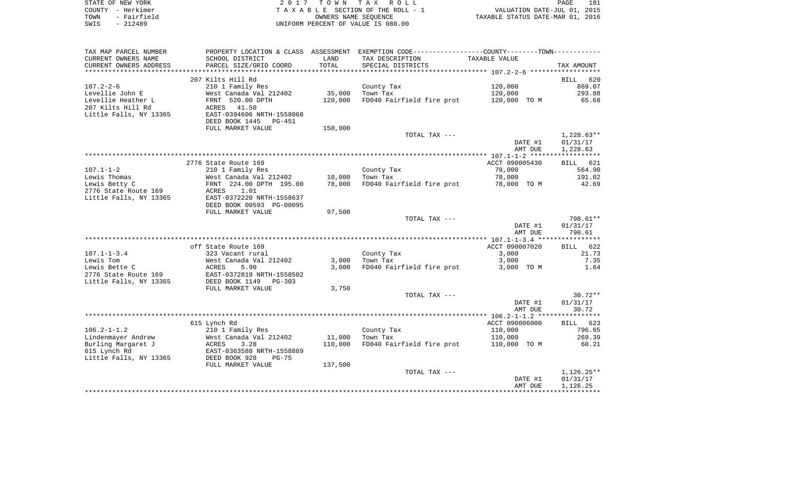|      | STATE OF NEW YORK | 2017 TOWN TAX ROLL                 | 181<br>PAGE                      |
|------|-------------------|------------------------------------|----------------------------------|
|      | COUNTY – Herkimer | TAXABLE SECTION OF THE ROLL - 1    | VALUATION DATE-JUL 01, 2015      |
| TOWN | - Fairfield       | OWNERS NAME SEOUENCE               | TAXABLE STATUS DATE-MAR 01, 2016 |
| SWIS | $-212489$         | UNIFORM PERCENT OF VALUE IS 080.00 |                                  |

| TAX MAP PARCEL NUMBER  |                           |         | PROPERTY LOCATION & CLASS ASSESSMENT EXEMPTION CODE---------------COUNTY-------TOWN---------- |                |              |
|------------------------|---------------------------|---------|-----------------------------------------------------------------------------------------------|----------------|--------------|
| CURRENT OWNERS NAME    | SCHOOL DISTRICT           | LAND    | TAX DESCRIPTION                                                                               | TAXABLE VALUE  |              |
| CURRENT OWNERS ADDRESS | PARCEL SIZE/GRID COORD    | TOTAL   | SPECIAL DISTRICTS                                                                             |                | TAX AMOUNT   |
| ********************   |                           |         |                                                                                               |                |              |
|                        | 207 Kilts Hill Rd         |         |                                                                                               |                | BILL 620     |
| $107.2 - 2 - 6$        | 210 1 Family Res          |         | County Tax                                                                                    | 120,000        | 869.07       |
| Levellie John E        | West Canada Val 212402    | 35,000  | Town Tax                                                                                      | 120,000        | 293.88       |
| Levellie Heather L     | FRNT 520.00 DPTH          | 120,000 | FD040 Fairfield fire prot                                                                     | 120,000 TO M   | 65.68        |
| 207 Kilts Hill Rd      | ACRES<br>41.50            |         |                                                                                               |                |              |
| Little Falls, NY 13365 | EAST-0394606 NRTH-1558068 |         |                                                                                               |                |              |
|                        | DEED BOOK 1445<br>PG-451  |         |                                                                                               |                |              |
|                        | FULL MARKET VALUE         | 150,000 |                                                                                               |                |              |
|                        |                           |         | TOTAL TAX ---                                                                                 |                | $1,228.63**$ |
|                        |                           |         |                                                                                               | DATE #1        | 01/31/17     |
|                        |                           |         |                                                                                               | AMT DUE        | 1,228.63     |
|                        | 2776 State Route 169      |         |                                                                                               | ACCT 090005430 | BILL 621     |
| $107.1 - 1 - 2$        | 210 1 Family Res          |         | County Tax                                                                                    | 78,000         | 564.90       |
| Lewis Thomas           | West Canada Val 212402    | 10,000  | Town Tax                                                                                      | 78,000         | 191.02       |
| Lewis Betty C          | FRNT 224.00 DPTH 195.00   | 78,000  | FD040 Fairfield fire prot                                                                     | 78,000 TO M    | 42.69        |
| 2776 State Route 169   | 1.01<br>ACRES             |         |                                                                                               |                |              |
| Little Falls, NY 13365 | EAST-0372220 NRTH-1558637 |         |                                                                                               |                |              |
|                        | DEED BOOK 00593 PG-00095  |         |                                                                                               |                |              |
|                        | FULL MARKET VALUE         | 97,500  |                                                                                               |                |              |
|                        |                           |         | TOTAL TAX ---                                                                                 |                | 798.61**     |
|                        |                           |         |                                                                                               | DATE #1        | 01/31/17     |
|                        |                           |         |                                                                                               | AMT DUE        | 798.61       |
|                        |                           |         |                                                                                               |                |              |
|                        | off State Route 169       |         |                                                                                               | ACCT 090007020 | BILL 622     |
| $107.1 - 1 - 3.4$      | 323 Vacant rural          |         | County Tax                                                                                    | 3,000          | 21.73        |
| Lewis Tom              | West Canada Val 212402    | 3,000   | Town Tax                                                                                      | 3,000          | 7.35         |
| Lewis Bette C          | ACRES<br>5.90             | 3,000   | FD040 Fairfield fire prot                                                                     | 3,000 TO M     | 1.64         |
| 2776 State Route 169   | EAST-0372819 NRTH-1558502 |         |                                                                                               |                |              |
| Little Falls, NY 13365 | DEED BOOK 1149<br>PG-303  |         |                                                                                               |                |              |
|                        | FULL MARKET VALUE         | 3,750   |                                                                                               |                | $30.72**$    |
|                        |                           |         | TOTAL TAX ---                                                                                 | DATE #1        | 01/31/17     |
|                        |                           |         |                                                                                               | AMT DUE        | 30.72        |
|                        |                           |         |                                                                                               |                |              |
|                        | 615 Lynch Rd              |         |                                                                                               | ACCT 090006000 | BILL 623     |
| $106.2 - 1 - 1.2$      | 210 1 Family Res          |         | County Tax                                                                                    | 110,000        | 796.65       |
| Lindenmayer Andrew     | West Canada Val 212402    | 11,000  | Town Tax                                                                                      | 110,000        | 269.39       |
| Burling Margaret J     | ACRES<br>3.28             | 110,000 | FD040 Fairfield fire prot                                                                     | 110,000 TO M   | 60.21        |
| 615 Lynch Rd           | EAST-0363588 NRTH-1558889 |         |                                                                                               |                |              |
| Little Falls, NY 13365 | DEED BOOK 928<br>$PG-75$  |         |                                                                                               |                |              |
|                        | FULL MARKET VALUE         | 137,500 |                                                                                               |                |              |
|                        |                           |         | TOTAL TAX ---                                                                                 |                | $1,126.25**$ |
|                        |                           |         |                                                                                               | DATE #1        | 01/31/17     |
|                        |                           |         |                                                                                               | AMT DUE        | 1,126.25     |
|                        |                           |         |                                                                                               |                |              |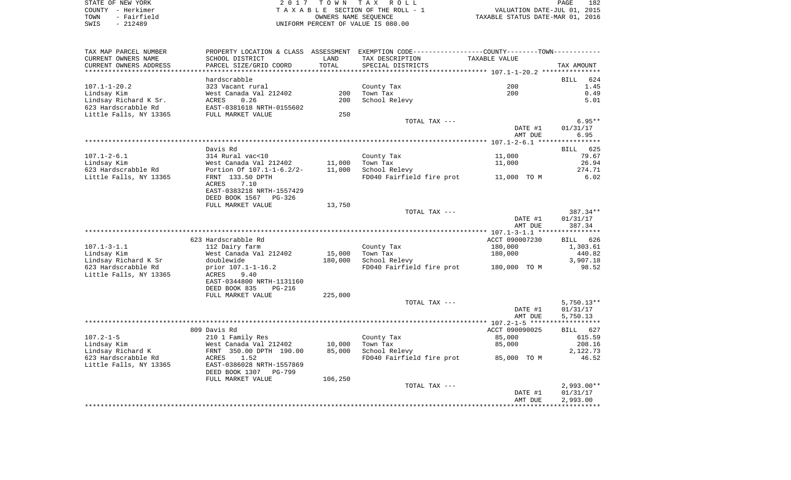| STATE OF NEW YORK   | 2017 TOWN TAX ROLL                 | 182<br>PAGE                      |
|---------------------|------------------------------------|----------------------------------|
| COUNTY - Herkimer   | TAXABLE SECTION OF THE ROLL - 1    | VALUATION DATE-JUL 01, 2015      |
| - Fairfield<br>TOWN | OWNERS NAME SEOUENCE               | TAXABLE STATUS DATE-MAR 01, 2016 |
| - 212489<br>SWIS    | UNIFORM PERCENT OF VALUE IS 080.00 |                                  |

| TAX MAP PARCEL NUMBER                         |                                                         |         | PROPERTY LOCATION & CLASS ASSESSMENT EXEMPTION CODE----------------COUNTY-------TOWN---------- |                      |                    |
|-----------------------------------------------|---------------------------------------------------------|---------|------------------------------------------------------------------------------------------------|----------------------|--------------------|
| CURRENT OWNERS NAME                           | SCHOOL DISTRICT                                         | LAND    | TAX DESCRIPTION                                                                                | <b>TAXABLE VALUE</b> |                    |
| CURRENT OWNERS ADDRESS                        | PARCEL SIZE/GRID COORD                                  | TOTAL   | SPECIAL DISTRICTS                                                                              |                      | TAX AMOUNT         |
| **********************                        | *********************                                   |         |                                                                                                |                      |                    |
|                                               | hardscrabble                                            |         |                                                                                                |                      | <b>BILL</b><br>624 |
| $107.1 - 1 - 20.2$                            | 323 Vacant rural                                        |         | County Tax                                                                                     | 200                  | 1.45               |
| Lindsay Kim                                   | West Canada Val 212402                                  | 200     | Town Tax                                                                                       | 200                  | 0.49               |
| Lindsay Richard K Sr.                         | ACRES<br>0.26                                           | 200     | School Relevy                                                                                  |                      | 5.01               |
| 623 Hardscrabble Rd<br>Little Falls, NY 13365 | EAST-0381618 NRTH-0155602<br>FULL MARKET VALUE          | 250     |                                                                                                |                      |                    |
|                                               |                                                         |         | TOTAL TAX ---                                                                                  |                      | $6.95**$           |
|                                               |                                                         |         |                                                                                                | DATE #1              | 01/31/17           |
|                                               |                                                         |         |                                                                                                | AMT DUE              | 6.95               |
|                                               |                                                         |         |                                                                                                |                      |                    |
|                                               | Davis Rd                                                |         |                                                                                                |                      | 625<br>BILL        |
| $107.1 - 2 - 6.1$                             | 314 Rural vac<10                                        |         | County Tax                                                                                     | 11,000               | 79.67              |
| Lindsay Kim                                   | West Canada Val 212402                                  | 11,000  | Town Tax                                                                                       | 11,000               | 26.94              |
| 623 Hardscrabble Rd                           | Portion Of 107.1-1-6.2/2-                               | 11,000  | School Relevy                                                                                  |                      | 274.71             |
| Little Falls, NY 13365                        | FRNT 133.50 DPTH                                        |         | FD040 Fairfield fire prot                                                                      | 11,000 TO M          | 6.02               |
|                                               | 7.10<br>ACRES                                           |         |                                                                                                |                      |                    |
|                                               | EAST-0383218 NRTH-1557429<br>DEED BOOK 1567<br>$PG-326$ |         |                                                                                                |                      |                    |
|                                               | FULL MARKET VALUE                                       | 13,750  |                                                                                                |                      |                    |
|                                               |                                                         |         | TOTAL TAX ---                                                                                  |                      | 387.34**           |
|                                               |                                                         |         |                                                                                                | DATE #1              | 01/31/17           |
|                                               |                                                         |         |                                                                                                | AMT DUE              | 387.34             |
|                                               |                                                         |         |                                                                                                |                      |                    |
|                                               | 623 Hardscrabble Rd                                     |         |                                                                                                | ACCT 090007230       | <b>BILL</b><br>626 |
| $107.1 - 3 - 1.1$                             | 112 Dairy farm                                          |         | County Tax                                                                                     | 180,000              | 1,303.61           |
| Lindsay Kim                                   | West Canada Val 212402                                  | 15,000  | Town Tax                                                                                       | 180,000              | 440.82             |
| Lindsay Richard K Sr                          | doublewide                                              | 180,000 | School Relevy                                                                                  |                      | 3,907.18           |
| 623 Hardscrabble Rd                           | prior 107.1-1-16.2                                      |         | FD040 Fairfield fire prot                                                                      | 180,000 TO M         | 98.52              |
| Little Falls, NY 13365                        | ACRES<br>9.40<br>EAST-0344800 NRTH-1131160              |         |                                                                                                |                      |                    |
|                                               | DEED BOOK 835<br><b>PG-216</b>                          |         |                                                                                                |                      |                    |
|                                               | FULL MARKET VALUE                                       | 225,000 |                                                                                                |                      |                    |
|                                               |                                                         |         | TOTAL TAX ---                                                                                  |                      | $5,750.13**$       |
|                                               |                                                         |         |                                                                                                | DATE #1              | 01/31/17           |
|                                               |                                                         |         |                                                                                                | AMT DUE              | 5,750.13           |
|                                               |                                                         |         |                                                                                                |                      |                    |
|                                               | 809 Davis Rd                                            |         |                                                                                                | ACCT 090090025       | <b>BILL</b><br>627 |
| $107.2 - 1 - 5$                               | 210 1 Family Res                                        |         | County Tax                                                                                     | 85,000               | 615.59             |
| Lindsay Kim                                   | West Canada Val 212402                                  | 10,000  | Town Tax                                                                                       | 85,000               | 208.16             |
| Lindsay Richard K                             | FRNT 350.00 DPTH 190.00                                 | 85,000  | School Relevy                                                                                  |                      | 2,122.73           |
| 623 Hardscrabble Rd<br>Little Falls, NY 13365 | ACRES<br>1.52<br>EAST-0386028 NRTH-1557869              |         | FD040 Fairfield fire prot                                                                      | 85,000 TO M          | 46.52              |
|                                               | DEED BOOK 1307<br><b>PG-799</b>                         |         |                                                                                                |                      |                    |
|                                               | FULL MARKET VALUE                                       | 106,250 |                                                                                                |                      |                    |
|                                               |                                                         |         | TOTAL TAX ---                                                                                  |                      | $2,993.00**$       |
|                                               |                                                         |         |                                                                                                | DATE #1              | 01/31/17           |
|                                               |                                                         |         |                                                                                                | AMT DUE              | 2,993.00           |
|                                               |                                                         |         |                                                                                                |                      |                    |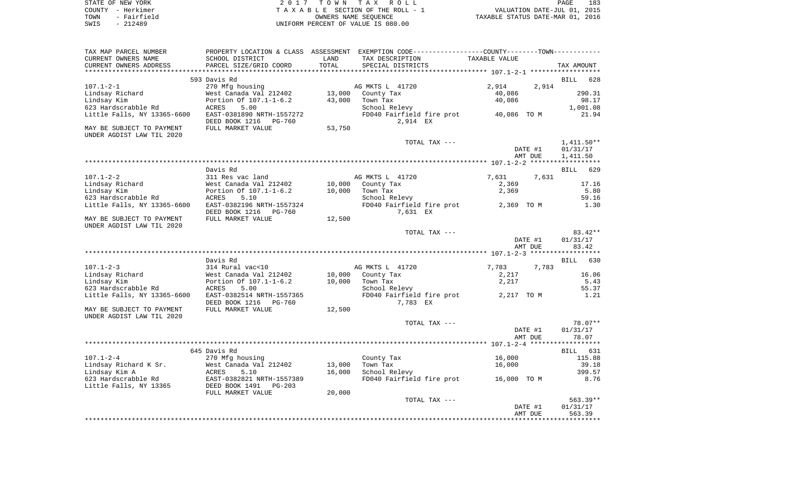| STATE OF NEW YORK   | 2017 TOWN TAX ROLL                 |                                  | PAGE | 183 |
|---------------------|------------------------------------|----------------------------------|------|-----|
| COUNTY - Herkimer   | TAXABLE SECTION OF THE ROLL - 1    | VALUATION DATE-JUL 01, 2015      |      |     |
| - Fairfield<br>TOWN | OWNERS NAME SEOUENCE               | TAXABLE STATUS DATE-MAR 01, 2016 |      |     |
| - 212489<br>SWIS    | UNIFORM PERCENT OF VALUE IS 080.00 |                                  |      |     |

| TAX MAP PARCEL NUMBER<br>CURRENT OWNERS NAME           | PROPERTY LOCATION & CLASS ASSESSMENT<br>SCHOOL DISTRICT      | LAND   | EXEMPTION CODE-----------------COUNTY-------TOWN-----------<br>TAX DESCRIPTION | <b>TAXABLE VALUE</b> |                    |
|--------------------------------------------------------|--------------------------------------------------------------|--------|--------------------------------------------------------------------------------|----------------------|--------------------|
| CURRENT OWNERS ADDRESS                                 | PARCEL SIZE/GRID COORD                                       | TOTAL  | SPECIAL DISTRICTS                                                              |                      | TAX AMOUNT         |
|                                                        |                                                              |        |                                                                                |                      |                    |
|                                                        | 593 Davis Rd                                                 |        |                                                                                |                      | <b>BILL</b><br>628 |
| $107.1 - 2 - 1$                                        | 270 Mfg housing                                              |        | AG MKTS L 41720                                                                | 2,914                | 2,914              |
| Lindsay Richard                                        | West Canada Val 212402                                       | 13,000 | County Tax                                                                     | 40,086               | 290.31             |
| Lindsay Kim                                            | Portion Of 107.1-1-6.2                                       | 43,000 | Town Tax                                                                       | 40,086               | 98.17              |
| 623 Hardscrabble Rd                                    | <b>ACRES</b><br>5.00                                         |        | School Relevy                                                                  |                      | 1,001.08           |
| Little Falls, NY 13365-6600                            | EAST-0381890 NRTH-1557272<br>DEED BOOK 1216<br><b>PG-760</b> |        | FD040 Fairfield fire prot<br>2,914 EX                                          | 40,086 TO M          | 21.94              |
| MAY BE SUBJECT TO PAYMENT                              | FULL MARKET VALUE                                            | 53,750 |                                                                                |                      |                    |
| UNDER AGDIST LAW TIL 2020                              |                                                              |        |                                                                                |                      |                    |
|                                                        |                                                              |        | TOTAL TAX ---                                                                  |                      | $1,411.50**$       |
|                                                        |                                                              |        |                                                                                | DATE #1              | 01/31/17           |
|                                                        |                                                              |        |                                                                                | AMT DUE              | 1,411.50           |
|                                                        |                                                              |        |                                                                                |                      | ****************** |
|                                                        | Davis Rd                                                     |        |                                                                                |                      | 629<br><b>BILL</b> |
| $107.1 - 2 - 2$                                        | 311 Res vac land                                             |        | AG MKTS L 41720                                                                | 7,631                | 7,631              |
| Lindsay Richard                                        | West Canada Val 212402                                       | 10,000 | County Tax                                                                     | 2,369                | 17.16              |
| Lindsay Kim                                            | Portion Of 107.1-1-6.2                                       | 10,000 | Town Tax                                                                       | 2,369                | 5.80               |
| 623 Hardscrabble Rd                                    | <b>ACRES</b><br>5.10                                         |        | School Relevy                                                                  |                      | 59.16              |
| Little Falls, NY 13365-6600                            | EAST-0382196 NRTH-1557324                                    |        | FD040 Fairfield fire prot                                                      | 2,369 TO M           | 1.30               |
|                                                        | DEED BOOK 1216<br><b>PG-760</b>                              |        | 7,631 EX                                                                       |                      |                    |
| MAY BE SUBJECT TO PAYMENT<br>UNDER AGDIST LAW TIL 2020 | FULL MARKET VALUE                                            | 12,500 |                                                                                |                      |                    |
|                                                        |                                                              |        | TOTAL TAX ---                                                                  |                      | 83.42**            |
|                                                        |                                                              |        |                                                                                | DATE #1              | 01/31/17           |
|                                                        |                                                              |        |                                                                                | AMT DUE              | 83.42              |
|                                                        |                                                              |        |                                                                                |                      | ********           |
|                                                        | Davis Rd                                                     |        |                                                                                |                      | 630<br><b>BILL</b> |
| $107.1 - 2 - 3$                                        | 314 Rural vac<10                                             |        | AG MKTS L 41720                                                                | 7,783                | 7,783              |
| Lindsay Richard                                        | West Canada Val 212402                                       | 10,000 | County Tax                                                                     | 2,217                | 16.06              |
| Lindsay Kim                                            | Portion Of 107.1-1-6.2                                       | 10,000 | Town Tax                                                                       | 2,217                | 5.43               |
| 623 Hardscrabble Rd                                    | 5.00<br><b>ACRES</b>                                         |        | School Relevy                                                                  |                      | 55.37              |
| Little Falls, NY 13365-6600                            | EAST-0382514 NRTH-1557365                                    |        | FD040 Fairfield fire prot                                                      | 2,217 TO M           | 1.21               |
|                                                        | DEED BOOK 1216<br><b>PG-760</b>                              |        | 7,783 EX                                                                       |                      |                    |
| MAY BE SUBJECT TO PAYMENT                              | FULL MARKET VALUE                                            | 12,500 |                                                                                |                      |                    |
| UNDER AGDIST LAW TIL 2020                              |                                                              |        |                                                                                |                      |                    |
|                                                        |                                                              |        | TOTAL TAX ---                                                                  |                      | $78.07**$          |
|                                                        |                                                              |        |                                                                                | DATE #1              | 01/31/17           |
|                                                        |                                                              |        |                                                                                | AMT DUE              | 78.07              |
|                                                        |                                                              |        |                                                                                |                      | ****************** |
|                                                        | 645 Davis Rd                                                 |        |                                                                                |                      | 631<br>BILL        |
| $107.1 - 2 - 4$                                        | 270 Mfg housing                                              |        | County Tax                                                                     | 16,000               | 115.88             |
| Lindsay Richard K Sr.                                  | West Canada Val 212402                                       | 13,000 | Town Tax                                                                       | 16,000               | 39.18              |
| Lindsay Kim A                                          | 5.10<br>ACRES                                                | 16,000 | School Relevy                                                                  |                      | 399.57             |
| 623 Hardscrabble Rd                                    | EAST-0382821 NRTH-1557389                                    |        | FD040 Fairfield fire prot                                                      | 16,000 TO M          | 8.76               |
| Little Falls, NY 13365                                 | DEED BOOK 1491<br>$PG-203$                                   |        |                                                                                |                      |                    |
|                                                        | FULL MARKET VALUE                                            | 20,000 |                                                                                |                      |                    |
|                                                        |                                                              |        | TOTAL TAX ---                                                                  |                      | 563.39**           |
|                                                        |                                                              |        |                                                                                | DATE #1              | 01/31/17           |
|                                                        |                                                              |        |                                                                                | AMT DUE              | 563.39             |
|                                                        |                                                              |        |                                                                                |                      |                    |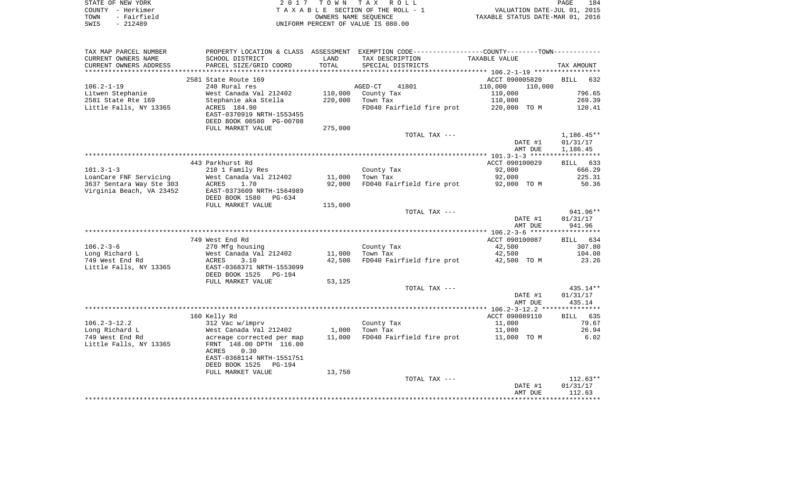| STATE OF NEW YORK   | 2017 TOWN TAX ROLL                 | 184<br>PAGE                      |
|---------------------|------------------------------------|----------------------------------|
| COUNTY - Herkimer   | TAXABLE SECTION OF THE ROLL - 1    | VALUATION DATE-JUL 01, 2015      |
| - Fairfield<br>TOWN | OWNERS NAME SEOUENCE               | TAXABLE STATUS DATE-MAR 01, 2016 |
| - 212489<br>SWIS    | UNIFORM PERCENT OF VALUE IS 080.00 |                                  |

| TAX MAP PARCEL NUMBER    |                                            |                  | PROPERTY LOCATION & CLASS ASSESSMENT EXEMPTION CODE----------------COUNTY--------TOWN----------- |                      |                    |
|--------------------------|--------------------------------------------|------------------|--------------------------------------------------------------------------------------------------|----------------------|--------------------|
| CURRENT OWNERS NAME      | SCHOOL DISTRICT                            | LAND             | TAX DESCRIPTION                                                                                  | <b>TAXABLE VALUE</b> |                    |
| CURRENT OWNERS ADDRESS   | PARCEL SIZE/GRID COORD                     | TOTAL            | SPECIAL DISTRICTS                                                                                |                      | TAX AMOUNT         |
| *******************      |                                            |                  |                                                                                                  |                      |                    |
|                          | 2581 State Route 169                       |                  |                                                                                                  | ACCT 090005820       | 632<br><b>BILL</b> |
| $106.2 - 1 - 19$         | 240 Rural res                              |                  | 41801<br>AGED-CT                                                                                 | 110,000<br>110,000   |                    |
| Litwen Stephanie         | West Canada Val 212402                     | 110,000          | County Tax                                                                                       | 110,000              | 796.65             |
| 2581 State Rte 169       | Stephanie aka Stella                       | 220,000          | Town Tax                                                                                         | 110,000              | 269.39             |
| Little Falls, NY 13365   | ACRES 184.90                               |                  | FD040 Fairfield fire prot                                                                        | 220,000 TO M         | 120.41             |
|                          | EAST-0370919 NRTH-1553455                  |                  |                                                                                                  |                      |                    |
|                          | DEED BOOK 00580 PG-00708                   |                  |                                                                                                  |                      |                    |
|                          | FULL MARKET VALUE                          | 275,000          |                                                                                                  |                      |                    |
|                          |                                            |                  | TOTAL TAX ---                                                                                    |                      | $1,186.45**$       |
|                          |                                            |                  |                                                                                                  | DATE #1              | 01/31/17           |
|                          |                                            |                  |                                                                                                  | AMT DUE              | 1,186.45           |
|                          |                                            |                  |                                                                                                  |                      |                    |
| $101.3 - 1 - 3$          | 443 Parkhurst Rd                           |                  |                                                                                                  | ACCT 090100029       | BILL 633<br>666.29 |
| LoanCare FNF Servicing   | 210 1 Family Res<br>West Canada Val 212402 |                  | County Tax<br>Town Tax                                                                           | 92,000<br>92,000     | 225.31             |
| 3637 Sentara Way Ste 303 | 1.70<br>ACRES                              | 11,000<br>92,000 | FD040 Fairfield fire prot                                                                        | 92,000 TO M          | 50.36              |
| Virginia Beach, VA 23452 | EAST-0373609 NRTH-1564989                  |                  |                                                                                                  |                      |                    |
|                          | DEED BOOK 1580<br>PG-634                   |                  |                                                                                                  |                      |                    |
|                          | FULL MARKET VALUE                          | 115,000          |                                                                                                  |                      |                    |
|                          |                                            |                  | TOTAL TAX ---                                                                                    |                      | 941.96**           |
|                          |                                            |                  |                                                                                                  | DATE #1              | 01/31/17           |
|                          |                                            |                  |                                                                                                  | AMT DUE              | 941.96             |
|                          |                                            |                  |                                                                                                  |                      | ****************** |
|                          | 749 West End Rd                            |                  |                                                                                                  | ACCT 090100087       | BILL 634           |
| $106.2 - 3 - 6$          | 270 Mfg housing                            |                  | County Tax                                                                                       | 42,500               | 307.80             |
| Long Richard L           | West Canada Val 212402                     | 11,000           | Town Tax                                                                                         | 42,500               | 104.08             |
| 749 West End Rd          | 3.10<br><b>ACRES</b>                       | 42,500           | FD040 Fairfield fire prot                                                                        | 42,500 TO M          | 23.26              |
| Little Falls, NY 13365   | EAST-0368371 NRTH-1553099                  |                  |                                                                                                  |                      |                    |
|                          | DEED BOOK 1525<br>PG-194                   |                  |                                                                                                  |                      |                    |
|                          | FULL MARKET VALUE                          | 53,125           |                                                                                                  |                      |                    |
|                          |                                            |                  | TOTAL TAX ---                                                                                    |                      | $435.14**$         |
|                          |                                            |                  |                                                                                                  | DATE #1              | 01/31/17           |
|                          |                                            |                  |                                                                                                  | AMT DUE              | 435.14             |
|                          |                                            |                  |                                                                                                  |                      |                    |
|                          | 160 Kelly Rd                               |                  |                                                                                                  | ACCT 090089110       | 635<br><b>BILL</b> |
| $106.2 - 3 - 12.2$       | 312 Vac w/imprv                            |                  | County Tax                                                                                       | 11,000               | 79.67              |
| Long Richard L           | West Canada Val 212402                     | 1,000            | Town Tax                                                                                         | 11,000               | 26.94              |
| 749 West End Rd          | acreage corrected per map                  | 11,000           | FD040 Fairfield fire prot                                                                        | 11,000 TO M          | 6.02               |
| Little Falls, NY 13365   | FRNT 148.00 DPTH 116.00                    |                  |                                                                                                  |                      |                    |
|                          | 0.30<br>ACRES                              |                  |                                                                                                  |                      |                    |
|                          | EAST-0368114 NRTH-1551751                  |                  |                                                                                                  |                      |                    |
|                          | DEED BOOK 1525<br>PG-194                   |                  |                                                                                                  |                      |                    |
|                          | FULL MARKET VALUE                          | 13,750           | TOTAL TAX ---                                                                                    |                      | $112.63**$         |
|                          |                                            |                  |                                                                                                  | DATE #1              | 01/31/17           |
|                          |                                            |                  |                                                                                                  | AMT DUE              | 112.63             |
|                          |                                            |                  |                                                                                                  |                      |                    |
|                          |                                            |                  |                                                                                                  |                      |                    |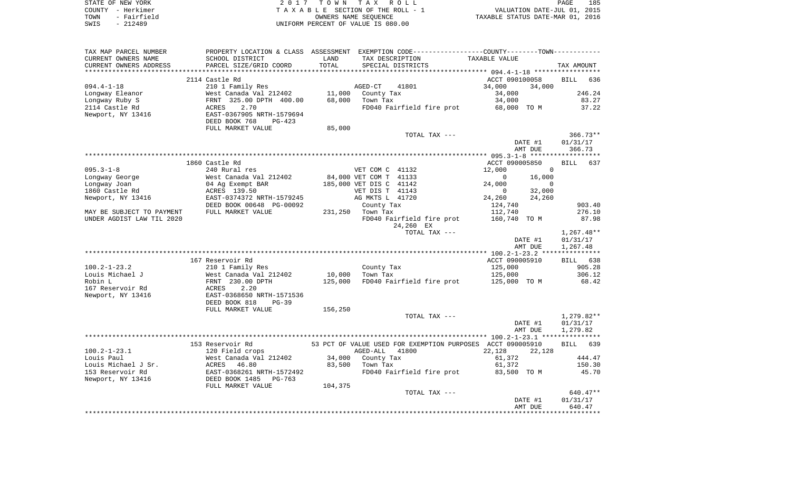|      | STATE OF NEW YORK | 2017 TOWN TAX ROLL                 | PAGE                             | 185 |
|------|-------------------|------------------------------------|----------------------------------|-----|
|      | COUNTY - Herkimer | TAXABLE SECTION OF THE ROLL - 1    | VALUATION DATE-JUL 01, 2015      |     |
| TOWN | - Fairfield       | OWNERS NAME SEOUENCE               | TAXABLE STATUS DATE-MAR 01, 2016 |     |
| SWIS | - 212489          | UNIFORM PERCENT OF VALUE IS 080.00 |                                  |     |

| TAX MAP PARCEL NUMBER     |                                                    |         |                           | PROPERTY LOCATION & CLASS ASSESSMENT EXEMPTION CODE---------------COUNTY-------TOWN---------- |              |
|---------------------------|----------------------------------------------------|---------|---------------------------|-----------------------------------------------------------------------------------------------|--------------|
| CURRENT OWNERS NAME       | SCHOOL DISTRICT                                    | LAND    | TAX DESCRIPTION           | TAXABLE VALUE                                                                                 |              |
| CURRENT OWNERS ADDRESS    | PARCEL SIZE/GRID COORD                             | TOTAL   | SPECIAL DISTRICTS         |                                                                                               | TAX AMOUNT   |
|                           |                                                    |         |                           |                                                                                               |              |
|                           | 2114 Castle Rd                                     |         |                           | ACCT 090100058                                                                                | BILL<br>636  |
| $094.4 - 1 - 18$          | 210 1 Family Res                                   |         | AGED-CT<br>41801          | 34,000<br>34,000                                                                              |              |
| Longway Eleanor           | West Canada Val 212402                             | 11,000  | County Tax                | 34,000                                                                                        | 246.24       |
| Longway Ruby S            | FRNT 325.00 DPTH 400.00                            | 68,000  | Town Tax                  | 34,000                                                                                        | 83.27        |
| 2114 Castle Rd            | 2.70<br>ACRES                                      |         |                           | FD040 Fairfield fire prot 68,000 TO M                                                         | 37.22        |
| Newport, NY 13416         | EAST-0367905 NRTH-1579694                          |         |                           |                                                                                               |              |
|                           | DEED BOOK 768<br>$PG-423$                          |         |                           |                                                                                               |              |
|                           | FULL MARKET VALUE                                  | 85,000  |                           |                                                                                               |              |
|                           |                                                    |         | TOTAL TAX ---             |                                                                                               | $366.73**$   |
|                           |                                                    |         |                           | DATE #1                                                                                       | 01/31/17     |
|                           |                                                    |         |                           | AMT DUE                                                                                       | 366.73       |
|                           |                                                    |         |                           |                                                                                               |              |
|                           | 1860 Castle Rd                                     |         |                           | ACCT 090005850                                                                                | 637<br>BILL  |
| $095.3 - 1 - 8$           | 240 Rural res                                      |         | VET COM C 41132           | 12,000<br>$\overline{0}$                                                                      |              |
| Longway George            | West Canada Val 212402                             |         | 84,000 VET COM T 41133    | 16,000<br>$\overline{0}$                                                                      |              |
| Longway Joan              | 04 Ag Exempt BAR                                   |         | 185,000 VET DIS C 41142   | 24,000<br>$\overline{0}$                                                                      |              |
| 1860 Castle Rd            | ACRES 139.50                                       |         | VET DIS T 41143           | 32,000<br>$\sim$ 0                                                                            |              |
| Newport, NY 13416         | EAST-0374372 NRTH-1579245                          |         | AG MKTS L 41720           | 24,260<br>24,260                                                                              |              |
|                           | DEED BOOK 00648 PG-00092                           |         | County Tax                | 124,740                                                                                       | 903.40       |
| MAY BE SUBJECT TO PAYMENT | FULL MARKET VALUE                                  |         | 231,250 Town Tax          | 112,740                                                                                       | 276.10       |
| UNDER AGDIST LAW TIL 2020 |                                                    |         | FD040 Fairfield fire prot | 160,740 TO M                                                                                  | 87.98        |
|                           |                                                    |         | 24,260 EX                 |                                                                                               |              |
|                           |                                                    |         | TOTAL TAX ---             |                                                                                               | $1,267.48**$ |
|                           |                                                    |         |                           | DATE #1                                                                                       | 01/31/17     |
|                           |                                                    |         |                           | AMT DUE                                                                                       | 1,267.48     |
|                           |                                                    |         |                           |                                                                                               |              |
|                           | 167 Reservoir Rd                                   |         |                           | ACCT 090005910                                                                                | BILL 638     |
| $100.2 - 1 - 23.2$        | 210 1 Family Res                                   |         | County Tax                | 125,000                                                                                       | 905.28       |
| Louis Michael J           | West Canada Val 212402                             | 10,000  | Town Tax                  | 125,000                                                                                       | 306.12       |
| Robin L                   | FRNT 230.00 DPTH                                   | 125,000 | FD040 Fairfield fire prot | 125,000 TO M                                                                                  | 68.42        |
| 167 Reservoir Rd          | 2.20<br>ACRES                                      |         |                           |                                                                                               |              |
| Newport, NY 13416         | EAST-0368650 NRTH-1571536                          |         |                           |                                                                                               |              |
|                           | DEED BOOK 818<br>$PG-39$                           |         |                           |                                                                                               |              |
|                           | FULL MARKET VALUE                                  | 156,250 |                           |                                                                                               |              |
|                           |                                                    |         | TOTAL TAX ---             |                                                                                               | $1,279.82**$ |
|                           |                                                    |         |                           | DATE #1                                                                                       | 01/31/17     |
|                           |                                                    |         |                           | AMT DUE                                                                                       | 1,279.82     |
|                           |                                                    |         |                           |                                                                                               |              |
|                           | 153 Reservoir Rd                                   |         |                           | 53 PCT OF VALUE USED FOR EXEMPTION PURPOSES ACCT 090005910                                    | BILL 639     |
| $100.2 - 1 - 23.1$        | 120 Field crops                                    |         | AGED-ALL<br>41800         | 22,128<br>22,128                                                                              |              |
| Louis Paul                | West Canada Val 212402                             | 34,000  | County Tax                | 61,372                                                                                        | 444.47       |
| Louis Michael J Sr.       | ACRES 46.80                                        | 83,500  | Town Tax                  | 61,372                                                                                        | 150.30       |
| 153 Reservoir Rd          | EAST-0368261 NRTH-1572492<br>DEED BOOK 1485 PG-763 |         | FD040 Fairfield fire prot | 83,500 TO M                                                                                   | 45.70        |
| Newport, NY 13416         |                                                    |         |                           |                                                                                               |              |
|                           | FULL MARKET VALUE                                  | 104,375 |                           |                                                                                               |              |
|                           |                                                    |         | TOTAL TAX ---             |                                                                                               | $640.47**$   |
|                           |                                                    |         |                           | DATE #1                                                                                       | 01/31/17     |
|                           |                                                    |         |                           | AMT DUE                                                                                       | 640.47       |
|                           |                                                    |         |                           |                                                                                               |              |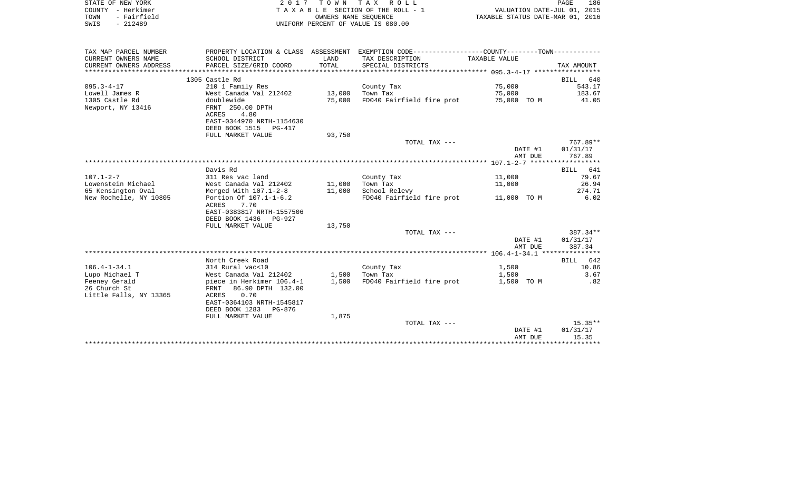| STATE OF NEW YORK      |                                                |                      | 2017 TOWN TAX ROLL                                          |                                  | PAGE<br>186        |
|------------------------|------------------------------------------------|----------------------|-------------------------------------------------------------|----------------------------------|--------------------|
| COUNTY<br>- Herkimer   |                                                |                      | TAXABLE SECTION OF THE ROLL - 1                             | VALUATION DATE-JUL 01, 2015      |                    |
| - Fairfield<br>TOWN    |                                                | OWNERS NAME SEOUENCE |                                                             | TAXABLE STATUS DATE-MAR 01, 2016 |                    |
| $-212489$<br>SWIS      |                                                |                      | UNIFORM PERCENT OF VALUE IS 080.00                          |                                  |                    |
|                        |                                                |                      |                                                             |                                  |                    |
| TAX MAP PARCEL NUMBER  | PROPERTY LOCATION & CLASS ASSESSMENT           |                      | EXEMPTION CODE-----------------COUNTY-------TOWN----------- |                                  |                    |
| CURRENT OWNERS NAME    | SCHOOL DISTRICT                                | LAND                 | TAX DESCRIPTION                                             | TAXABLE VALUE                    |                    |
| CURRENT OWNERS ADDRESS | PARCEL SIZE/GRID COORD                         | TOTAL                | SPECIAL DISTRICTS                                           |                                  | TAX AMOUNT         |
|                        |                                                |                      |                                                             |                                  |                    |
|                        | 1305 Castle Rd                                 |                      |                                                             |                                  | <b>BILL</b><br>640 |
| $095.3 - 4 - 17$       | 210 1 Family Res                               |                      | County Tax                                                  | 75,000                           | 543.17             |
| Lowell James R         | West Canada Val 212402                         | 13,000               | Town Tax                                                    | 75,000                           | 183.67             |
| 1305 Castle Rd         | doublewide                                     | 75,000               | FD040 Fairfield fire prot                                   | 75,000 TO M                      | 41.05              |
| Newport, NY 13416      | FRNT 250.00 DPTH                               |                      |                                                             |                                  |                    |
|                        | 4.80<br><b>ACRES</b>                           |                      |                                                             |                                  |                    |
|                        | EAST-0344970 NRTH-1154630                      |                      |                                                             |                                  |                    |
|                        | DEED BOOK 1515<br>PG-417                       |                      |                                                             |                                  |                    |
|                        | FULL MARKET VALUE                              | 93,750               |                                                             |                                  |                    |
|                        |                                                |                      | TOTAL TAX ---                                               |                                  | $767.89**$         |
|                        |                                                |                      |                                                             | DATE #1                          | 01/31/17           |
|                        |                                                |                      |                                                             | AMT DUE                          | 767.89             |
|                        |                                                |                      |                                                             |                                  |                    |
|                        | Davis Rd                                       |                      |                                                             |                                  | 641<br>BILL        |
| $107.1 - 2 - 7$        | 311 Res vac land                               |                      | County Tax                                                  | 11,000                           | 79.67              |
| Lowenstein Michael     | West Canada Val 212402                         | 11,000               | Town Tax                                                    | 11,000                           | 26.94              |
| 65 Kensington Oval     | Merged With 107.1-2-8                          | 11,000               | School Relevy                                               |                                  | 274.71             |
| New Rochelle, NY 10805 | Portion Of 107.1-1-6.2<br>7.70<br><b>ACRES</b> |                      | FD040 Fairfield fire prot                                   | 11,000 TO M                      | 6.02               |
|                        | EAST-0383817 NRTH-1557506                      |                      |                                                             |                                  |                    |
|                        | DEED BOOK 1436 PG-927                          |                      |                                                             |                                  |                    |
|                        | FULL MARKET VALUE                              | 13,750               |                                                             |                                  |                    |
|                        |                                                |                      | TOTAL TAX ---                                               |                                  | $387.34**$         |
|                        |                                                |                      |                                                             | DATE #1                          | 01/31/17           |
|                        |                                                |                      |                                                             | AMT DUE                          | 387.34             |
|                        |                                                |                      |                                                             |                                  |                    |
|                        | North Creek Road                               |                      |                                                             |                                  | 642<br><b>BILL</b> |

| TOTAL TAX --- |          |
|---------------|----------|
| DATE #1       | 01/31/17 |
| AMT DUE       | 15.35    |
|               |          |

106.4-1-34.1 314 Rural vac<10 County Tax 1,500 10.86 Lupo Michael T West Canada Val 212402 1,500 Town Tax 1,500 3.67

Feeney Gerald piece in Herkimer 106.4-1 1,500 FD040 Fairfield fire prot 1,500 TO M .82

FULL MARKET VALUE 1,875

 EAST-0364103 NRTH-1545817 DEED BOOK 1283 PG-876

26 Church St FRNT 86.90 DPTH 132.00

Little Falls, NY 13365 ACRES 0.70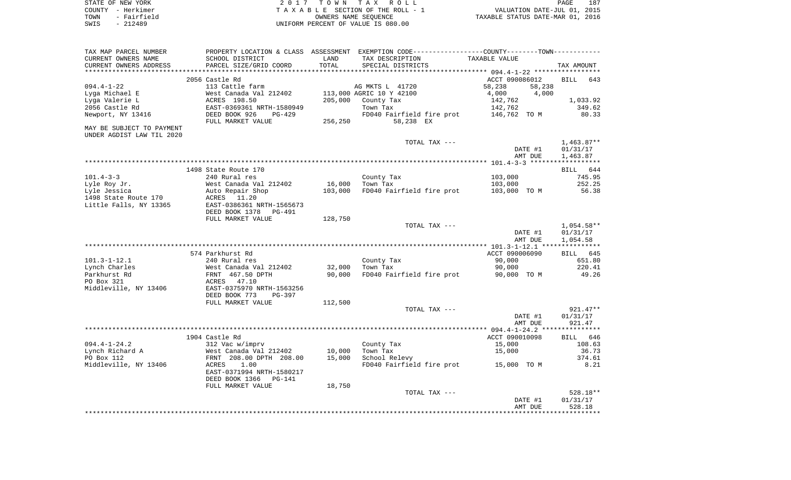| STATE OF NEW YORK   | 2017 TOWN TAX ROLL                 | 187<br>PAGE                      |
|---------------------|------------------------------------|----------------------------------|
| COUNTY - Herkimer   | TAXABLE SECTION OF THE ROLL - 1    | VALUATION DATE-JUL 01, 2015      |
| - Fairfield<br>TOWN | OWNERS NAME SEOUENCE               | TAXABLE STATUS DATE-MAR 01, 2016 |
| $-212489$<br>SWIS   | UNIFORM PERCENT OF VALUE IS 080.00 |                                  |

| TAX MAP PARCEL NUMBER<br>CURRENT OWNERS NAME<br>CURRENT OWNERS ADDRESS | SCHOOL DISTRICT<br>PARCEL SIZE/GRID COORD                                                                | LAND<br>TOTAL       | PROPERTY LOCATION & CLASS ASSESSMENT EXEMPTION CODE---------------COUNTY-------TOWN----------<br>TAX DESCRIPTION<br>SPECIAL DISTRICTS | TAXABLE VALUE                                                              | TAX AMOUNT                           |
|------------------------------------------------------------------------|----------------------------------------------------------------------------------------------------------|---------------------|---------------------------------------------------------------------------------------------------------------------------------------|----------------------------------------------------------------------------|--------------------------------------|
| *****************                                                      |                                                                                                          | ******************* |                                                                                                                                       |                                                                            |                                      |
| $094.4 - 1 - 22$<br>Lyga Michael E<br>Lyga Valerie L<br>2056 Castle Rd | 2056 Castle Rd<br>113 Cattle farm<br>West Canada Val 212402<br>ACRES 198.50<br>EAST-0369361 NRTH-1580949 | 205,000             | AG MKTS L 41720<br>113,000 AGRIC 10 Y 42100<br>County Tax<br>Town Tax                                                                 | ACCT 090086012<br>58,238<br>58,238<br>4,000<br>4,000<br>142,762<br>142,762 | 643<br>BILL<br>1,033.92<br>349.62    |
| Newport, NY 13416                                                      | DEED BOOK 926<br>$PG-429$<br>FULL MARKET VALUE                                                           | 256,250             | FD040 Fairfield fire prot<br>58,238 EX                                                                                                | 146,762 TO M                                                               | 80.33                                |
| MAY BE SUBJECT TO PAYMENT<br>UNDER AGDIST LAW TIL 2020                 |                                                                                                          |                     |                                                                                                                                       |                                                                            |                                      |
|                                                                        |                                                                                                          |                     | TOTAL TAX ---                                                                                                                         | DATE #1                                                                    | $1,463.87**$<br>01/31/17             |
|                                                                        |                                                                                                          |                     |                                                                                                                                       | AMT DUE                                                                    | 1,463.87                             |
|                                                                        | 1498 State Route 170                                                                                     |                     |                                                                                                                                       |                                                                            | BILL 644                             |
| $101.4 - 3 - 3$                                                        | 240 Rural res                                                                                            |                     | County Tax                                                                                                                            | 103,000                                                                    | 745.95                               |
| Lyle Roy Jr.                                                           | West Canada Val 212402                                                                                   | 16,000              | Town Tax                                                                                                                              | 103,000                                                                    | 252.25                               |
| Lyle Jessica                                                           | Auto Repair Shop                                                                                         | 103,000             | FD040 Fairfield fire prot                                                                                                             | 103,000 TO M                                                               | 56.38                                |
| 1498 State Route 170                                                   | ACRES 11.20                                                                                              |                     |                                                                                                                                       |                                                                            |                                      |
| Little Falls, NY 13365                                                 | EAST-0386361 NRTH-1565673                                                                                |                     |                                                                                                                                       |                                                                            |                                      |
|                                                                        | DEED BOOK 1378<br><b>PG-491</b>                                                                          |                     |                                                                                                                                       |                                                                            |                                      |
|                                                                        | FULL MARKET VALUE                                                                                        | 128,750             |                                                                                                                                       |                                                                            |                                      |
|                                                                        |                                                                                                          |                     | TOTAL TAX ---                                                                                                                         | DATE #1<br>AMT DUE                                                         | $1,054.58**$<br>01/31/17<br>1,054.58 |
|                                                                        |                                                                                                          |                     |                                                                                                                                       |                                                                            |                                      |
|                                                                        | 574 Parkhurst Rd                                                                                         |                     |                                                                                                                                       | ACCT 090006090                                                             | BILL 645                             |
| $101.3 - 1 - 12.1$                                                     | 240 Rural res                                                                                            |                     | County Tax                                                                                                                            | 90,000                                                                     | 651.80                               |
| Lynch Charles                                                          | West Canada Val 212402                                                                                   | 32,000              | Town Tax                                                                                                                              | 90,000                                                                     | 220.41                               |
| Parkhurst Rd                                                           | FRNT 467.50 DPTH                                                                                         | 90,000              | FD040 Fairfield fire prot                                                                                                             | 90,000 TO M                                                                | 49.26                                |
| PO Box 321<br>Middleville, NY 13406                                    | ACRES<br>47.10<br>EAST-0375970 NRTH-1563256<br>DEED BOOK 773<br>PG-397                                   |                     |                                                                                                                                       |                                                                            |                                      |
|                                                                        | FULL MARKET VALUE                                                                                        | 112,500             |                                                                                                                                       |                                                                            |                                      |
|                                                                        |                                                                                                          |                     | TOTAL TAX ---                                                                                                                         |                                                                            | $921.47**$                           |
|                                                                        |                                                                                                          |                     |                                                                                                                                       | DATE #1<br>AMT DUE                                                         | 01/31/17<br>921.47                   |
|                                                                        |                                                                                                          |                     |                                                                                                                                       |                                                                            |                                      |
|                                                                        | 1904 Castle Rd                                                                                           |                     |                                                                                                                                       | ACCT 090010098                                                             | BILL 646                             |
| $094.4 - 1 - 24.2$                                                     | 312 Vac w/imprv                                                                                          |                     | County Tax                                                                                                                            | 15,000                                                                     | 108.63                               |
| Lynch Richard A                                                        | West Canada Val 212402                                                                                   | 10,000              | Town Tax                                                                                                                              | 15,000                                                                     | 36.73                                |
| PO Box 112<br>Middleville, NY 13406                                    | FRNT 208.00 DPTH 208.00<br>ACRES<br>1.00                                                                 | 15,000              | School Relevy<br>FD040 Fairfield fire prot                                                                                            | 15,000 TO M                                                                | 374.61<br>8.21                       |
|                                                                        | EAST-0371994 NRTH-1580217<br>DEED BOOK 1366<br>PG-141                                                    |                     |                                                                                                                                       |                                                                            |                                      |
|                                                                        | FULL MARKET VALUE                                                                                        | 18,750              |                                                                                                                                       |                                                                            |                                      |
|                                                                        |                                                                                                          |                     | TOTAL TAX ---                                                                                                                         |                                                                            | 528.18**                             |
|                                                                        |                                                                                                          |                     |                                                                                                                                       | DATE #1<br>AMT DUE                                                         | 01/31/17<br>528.18                   |
|                                                                        |                                                                                                          |                     |                                                                                                                                       |                                                                            |                                      |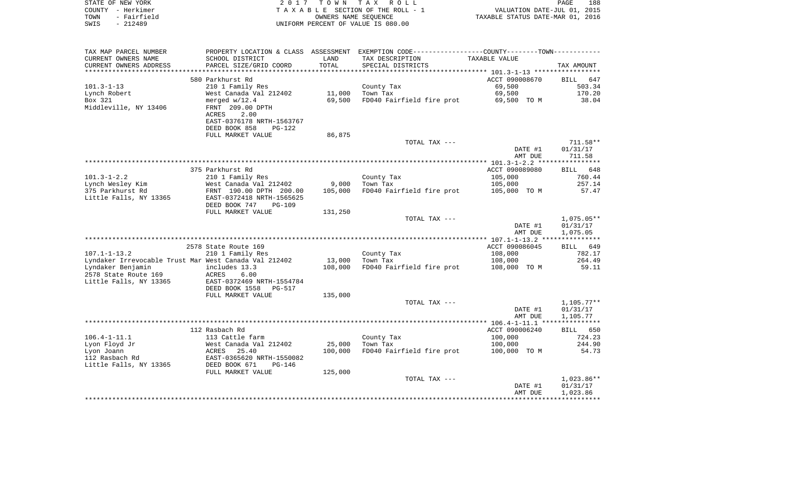| STATE OF NEW YORK   | 2017 TOWN TAX ROLL                 | 188<br>PAGE                      |
|---------------------|------------------------------------|----------------------------------|
| COUNTY - Herkimer   | TAXABLE SECTION OF THE ROLL - 1    | VALUATION DATE-JUL 01, 2015      |
| - Fairfield<br>TOWN | OWNERS NAME SEOUENCE               | TAXABLE STATUS DATE-MAR 01, 2016 |
| SWIS<br>- 212489    | UNIFORM PERCENT OF VALUE IS 080.00 |                                  |

| TAX MAP PARCEL NUMBER                                 |                                                                    |         | PROPERTY LOCATION & CLASS ASSESSMENT EXEMPTION CODE---------------COUNTY-------TOWN---------- |                |              |
|-------------------------------------------------------|--------------------------------------------------------------------|---------|-----------------------------------------------------------------------------------------------|----------------|--------------|
| CURRENT OWNERS NAME                                   | SCHOOL DISTRICT                                                    | LAND    | TAX DESCRIPTION                                                                               | TAXABLE VALUE  |              |
| CURRENT OWNERS ADDRESS                                | PARCEL SIZE/GRID COORD                                             | TOTAL   | SPECIAL DISTRICTS                                                                             |                | TAX AMOUNT   |
|                                                       |                                                                    |         |                                                                                               |                |              |
|                                                       | 580 Parkhurst Rd                                                   |         |                                                                                               | ACCT 090008670 | BILL 647     |
| $101.3 - 1 - 13$                                      | 210 1 Family Res                                                   |         | County Tax                                                                                    | 69,500         | 503.34       |
| Lynch Robert                                          | West Canada Val 212402                                             | 11,000  | Town Tax                                                                                      | 69,500         | 170.20       |
| Box 321                                               | merged $w/12.4$                                                    | 69,500  | FD040 Fairfield fire prot                                                                     | 69,500 TO M    | 38.04        |
| Middleville, NY 13406                                 | FRNT 209.00 DPTH                                                   |         |                                                                                               |                |              |
|                                                       |                                                                    |         |                                                                                               |                |              |
|                                                       | 2.00<br>ACRES                                                      |         |                                                                                               |                |              |
|                                                       | EAST-0376178 NRTH-1563767                                          |         |                                                                                               |                |              |
|                                                       | DEED BOOK 858<br>$PG-122$                                          |         |                                                                                               |                |              |
|                                                       | FULL MARKET VALUE                                                  | 86,875  |                                                                                               |                |              |
|                                                       |                                                                    |         | TOTAL TAX ---                                                                                 |                | $711.58**$   |
|                                                       |                                                                    |         |                                                                                               | DATE #1        | 01/31/17     |
|                                                       |                                                                    |         |                                                                                               | AMT DUE        | 711.58       |
|                                                       |                                                                    |         |                                                                                               |                |              |
|                                                       | 375 Parkhurst Rd                                                   |         |                                                                                               | ACCT 090089080 | BILL 648     |
| $101.3 - 1 - 2.2$                                     | 210 1 Family Res                                                   |         | County Tax                                                                                    | 105,000        | 760.44       |
| Lynch Wesley Kim                                      | West Canada Val 212402                                             | 9,000   | Town Tax                                                                                      | 105,000        | 257.14       |
| 375 Parkhurst Rd                                      | FRNT 190.00 DPTH 200.00                                            | 105,000 | FD040 Fairfield fire prot                                                                     | 105,000 TO M   | 57.47        |
| Little Falls, NY 13365                                | EAST-0372418 NRTH-1565625                                          |         |                                                                                               |                |              |
|                                                       | DEED BOOK 747<br><b>PG-109</b>                                     |         |                                                                                               |                |              |
|                                                       |                                                                    |         |                                                                                               |                |              |
|                                                       | FULL MARKET VALUE                                                  | 131,250 |                                                                                               |                |              |
|                                                       |                                                                    |         | TOTAL TAX ---                                                                                 |                | $1,075.05**$ |
|                                                       |                                                                    |         |                                                                                               | DATE #1        | 01/31/17     |
|                                                       |                                                                    |         |                                                                                               | AMT DUE        | 1,075.05     |
|                                                       |                                                                    |         |                                                                                               |                |              |
|                                                       | 2578 State Route 169                                               |         |                                                                                               | ACCT 090086045 | BILL 649     |
| $107.1 - 1 - 13.2$                                    | 210 1 Family Res                                                   |         | County Tax                                                                                    | 108,000        | 782.17       |
| Lyndaker Irrevocable Trust Mar West Canada Val 212402 |                                                                    | 13,000  | Town Tax                                                                                      | 108,000        | 264.49       |
| Lyndaker Benjamin                                     | includes 13.3                                                      | 108,000 | FD040 Fairfield fire prot                                                                     | 108,000 TO M   | 59.11        |
| 2578 State Route 169                                  | ACRES<br>6.00                                                      |         |                                                                                               |                |              |
| Little Falls, NY 13365                                | EAST-0372469 NRTH-1554784                                          |         |                                                                                               |                |              |
|                                                       | DEED BOOK 1558<br>PG-517                                           |         |                                                                                               |                |              |
|                                                       | FULL MARKET VALUE                                                  | 135,000 |                                                                                               |                |              |
|                                                       |                                                                    |         | TOTAL TAX ---                                                                                 |                | $1,105.77**$ |
|                                                       |                                                                    |         |                                                                                               | DATE #1        | 01/31/17     |
|                                                       |                                                                    |         |                                                                                               | AMT DUE        | 1,105.77     |
|                                                       |                                                                    |         |                                                                                               |                |              |
|                                                       | 112 Rasbach Rd                                                     |         |                                                                                               | ACCT 090006240 | BILL 650     |
|                                                       |                                                                    |         |                                                                                               |                |              |
| $106.4 - 1 - 11.1$                                    | 113 Cattle farm                                                    |         | County Tax                                                                                    | 100,000        | 724.23       |
| Lyon Floyd Jr                                         | West Canada Val 212402<br>ACRES 25.40<br>EAST-0365620 NRTH-1550082 | 25,000  | Town Tax                                                                                      | 100,000        | 244.90       |
| Lyon Joann                                            |                                                                    | 100,000 | FD040 Fairfield fire prot                                                                     | 100,000 TO M   | 54.73        |
| 112 Rasbach Rd                                        |                                                                    |         |                                                                                               |                |              |
| Little Falls, NY 13365                                | DEED BOOK 671<br>PG-146                                            |         |                                                                                               |                |              |
|                                                       | FULL MARKET VALUE                                                  | 125,000 |                                                                                               |                |              |
|                                                       |                                                                    |         | TOTAL TAX ---                                                                                 |                | $1,023.86**$ |
|                                                       |                                                                    |         |                                                                                               | DATE #1        | 01/31/17     |
|                                                       |                                                                    |         |                                                                                               | AMT DUE        | 1,023.86     |
|                                                       |                                                                    |         |                                                                                               |                |              |
|                                                       |                                                                    |         |                                                                                               |                |              |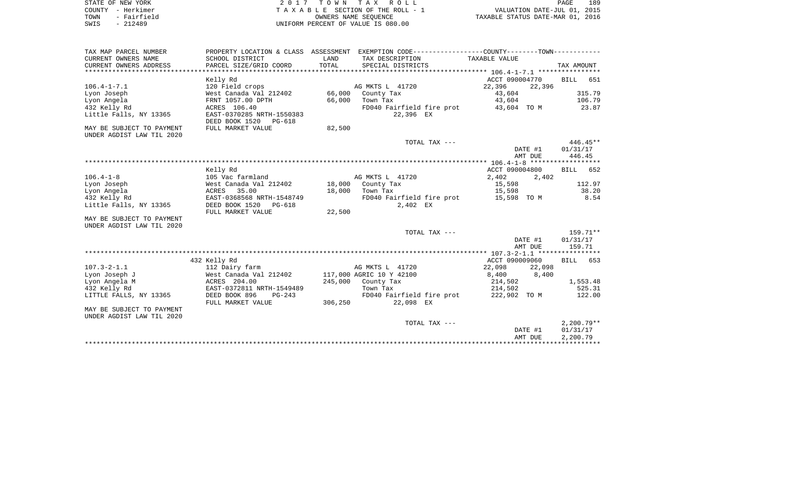| STATE OF NEW YORK   | 2017 TOWN TAX ROLL                 | 189<br>PAGE                      |
|---------------------|------------------------------------|----------------------------------|
| COUNTY - Herkimer   | TAXABLE SECTION OF THE ROLL - 1    | VALUATION DATE-JUL 01, 2015      |
| - Fairfield<br>TOWN | OWNERS NAME SEOUENCE               | TAXABLE STATUS DATE-MAR 01, 2016 |
| - 212489<br>SWIS    | UNIFORM PERCENT OF VALUE IS 080.00 |                                  |

| TAX MAP PARCEL NUMBER     |                           |         | PROPERTY LOCATION & CLASS ASSESSMENT EXEMPTION CODE---------------COUNTY--------TOWN---------- |                |         |                    |
|---------------------------|---------------------------|---------|------------------------------------------------------------------------------------------------|----------------|---------|--------------------|
| CURRENT OWNERS NAME       | SCHOOL DISTRICT           | LAND    | TAX DESCRIPTION                                                                                | TAXABLE VALUE  |         |                    |
| CURRENT OWNERS ADDRESS    | PARCEL SIZE/GRID COORD    | TOTAL   | SPECIAL DISTRICTS                                                                              |                |         | TAX AMOUNT         |
|                           |                           |         |                                                                                                |                |         |                    |
|                           | Kelly Rd                  |         |                                                                                                | ACCT 090004770 |         | BILL 651           |
| $106.4 - 1 - 7.1$         | 120 Field crops           |         | AG MKTS L 41720                                                                                | 22,396         | 22,396  |                    |
| Lyon Joseph               | West Canada Val 212402    | 66,000  | County Tax                                                                                     | 43,604         |         | 315.79             |
| Lyon Angela               | FRNT 1057.00 DPTH         | 66,000  | Town Tax                                                                                       | 43,604         |         | 106.79             |
| 432 Kelly Rd              | ACRES 106.40              |         | FD040 Fairfield fire prot                                                                      | 43,604 TO M    |         | 23.87              |
| Little Falls, NY 13365    | EAST-0370285 NRTH-1550383 |         | 22,396 EX                                                                                      |                |         |                    |
|                           | DEED BOOK 1520<br>PG-618  |         |                                                                                                |                |         |                    |
| MAY BE SUBJECT TO PAYMENT | FULL MARKET VALUE         | 82,500  |                                                                                                |                |         |                    |
| UNDER AGDIST LAW TIL 2020 |                           |         |                                                                                                |                |         |                    |
|                           |                           |         | TOTAL TAX ---                                                                                  |                |         | 446.45**           |
|                           |                           |         |                                                                                                |                | DATE #1 | 01/31/17           |
|                           |                           |         |                                                                                                |                | AMT DUE | 446.45             |
|                           |                           |         |                                                                                                |                |         | ****************** |
|                           | Kelly Rd                  |         |                                                                                                | ACCT 090004800 |         | BILL<br>652        |
| $106.4 - 1 - 8$           | 105 Vac farmland          |         | AG MKTS L 41720                                                                                | 2,402          | 2,402   |                    |
| Lyon Joseph               | West Canada Val 212402    |         | 18,000 County Tax                                                                              | 15,598         |         | 112.97             |
| Lyon Angela               | 35.00<br>ACRES            | 18,000  | Town Tax                                                                                       | 15,598         |         | 38.20              |
| 432 Kelly Rd              | EAST-0368568 NRTH-1548749 |         | FD040 Fairfield fire prot                                                                      | 15,598 TO M    |         | 8.54               |
| Little Falls, NY 13365    | DEED BOOK 1520<br>PG-618  |         | 2,402 EX                                                                                       |                |         |                    |
|                           | FULL MARKET VALUE         | 22,500  |                                                                                                |                |         |                    |
| MAY BE SUBJECT TO PAYMENT |                           |         |                                                                                                |                |         |                    |
| UNDER AGDIST LAW TIL 2020 |                           |         |                                                                                                |                |         |                    |
|                           |                           |         | TOTAL TAX ---                                                                                  |                |         | $159.71**$         |
|                           |                           |         |                                                                                                |                | DATE #1 | 01/31/17           |
|                           |                           |         |                                                                                                |                | AMT DUE | 159.71             |
|                           |                           |         |                                                                                                |                |         |                    |
|                           | 432 Kelly Rd              |         |                                                                                                | ACCT 090009060 |         | BILL<br>653        |
| $107.3 - 2 - 1.1$         | 112 Dairy farm            |         | AG MKTS L 41720                                                                                | 22,098         | 22,098  |                    |
| Lyon Joseph J             | West Canada Val 212402    |         | 117,000 AGRIC 10 Y 42100                                                                       | 8,400          | 8,400   |                    |
| Lyon Angela M             | ACRES 204.00              | 245,000 | County Tax                                                                                     | 214,502        |         | 1,553.48           |
| 432 Kelly Rd              | EAST-0372811 NRTH-1549489 |         | Town Tax                                                                                       | 214,502        |         | 525.31             |
| LITTLE FALLS, NY 13365    | DEED BOOK 896<br>$PG-243$ |         | FD040 Fairfield fire prot                                                                      | 222,902 TO M   |         | 122.00             |
|                           | FULL MARKET VALUE         | 306,250 | 22,098 EX                                                                                      |                |         |                    |
| MAY BE SUBJECT TO PAYMENT |                           |         |                                                                                                |                |         |                    |
| UNDER AGDIST LAW TIL 2020 |                           |         |                                                                                                |                |         |                    |
|                           |                           |         | TOTAL TAX ---                                                                                  |                |         | $2.200.79**$       |
|                           |                           |         |                                                                                                |                | DATE #1 | 01/31/17           |
|                           |                           |         |                                                                                                |                | AMT DUE | 2,200.79           |
|                           |                           |         |                                                                                                |                |         |                    |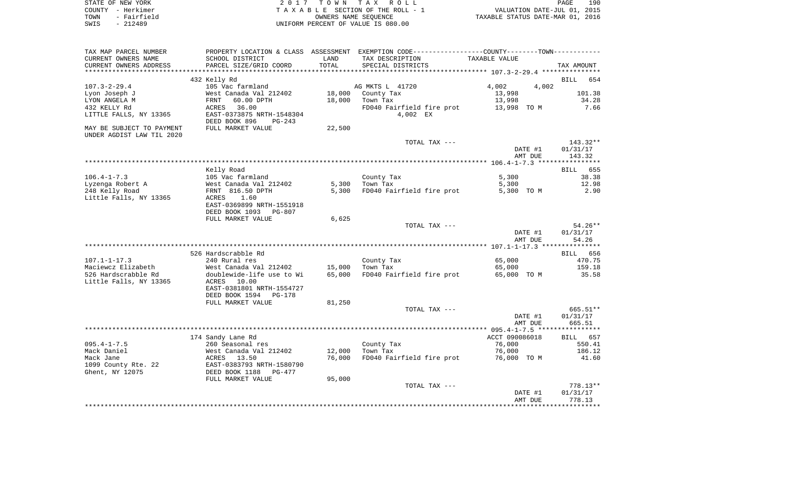|      | STATE OF NEW YORK | 2017 TOWN TAX ROLL                 | PAGE                             | 190 |
|------|-------------------|------------------------------------|----------------------------------|-----|
|      | COUNTY - Herkimer | TAXABLE SECTION OF THE ROLL - 1    | VALUATION DATE-JUL 01, 2015      |     |
| TOWN | - Fairfield       | OWNERS NAME SEOUENCE               | TAXABLE STATUS DATE-MAR 01, 2016 |     |
| SWIS | $-212489$         | UNIFORM PERCENT OF VALUE IS 080.00 |                                  |     |

| TAX MAP PARCEL NUMBER     |                                                                              |        | PROPERTY LOCATION & CLASS ASSESSMENT EXEMPTION CODE---------------COUNTY-------TOWN---------- |                |             |
|---------------------------|------------------------------------------------------------------------------|--------|-----------------------------------------------------------------------------------------------|----------------|-------------|
| CURRENT OWNERS NAME       | SCHOOL DISTRICT                                                              | LAND   | TAX DESCRIPTION                                                                               | TAXABLE VALUE  |             |
| CURRENT OWNERS ADDRESS    | PARCEL SIZE/GRID COORD                                                       | TOTAL  | SPECIAL DISTRICTS                                                                             |                | TAX AMOUNT  |
|                           |                                                                              |        |                                                                                               |                |             |
|                           | 432 Kelly Rd                                                                 |        |                                                                                               |                | BILL 654    |
| $107.3 - 2 - 29.4$        | 105 Vac farmland                                                             |        | AG MKTS L 41720                                                                               | 4,002<br>4,002 |             |
| Lyon Joseph J             | West Canada Val 212402                                                       |        | 18,000 County Tax                                                                             | 13,998         | 101.38      |
| LYON ANGELA M             | 60.00 DPTH<br>FRNT                                                           | 18,000 | Town Tax                                                                                      | 13,998         | 34.28       |
| 432 KELLY Rd              | 36.00<br>ACRES                                                               |        | FD040 Fairfield fire prot                                                                     | 13,998 TO M    | 7.66        |
| LITTLE FALLS, NY 13365    | EAST-0373875 NRTH-1548304                                                    |        | 4,002 EX                                                                                      |                |             |
|                           | DEED BOOK 896<br>$PG-243$                                                    |        |                                                                                               |                |             |
| MAY BE SUBJECT TO PAYMENT | FULL MARKET VALUE                                                            | 22,500 |                                                                                               |                |             |
| UNDER AGDIST LAW TIL 2020 |                                                                              |        |                                                                                               |                |             |
|                           |                                                                              |        | TOTAL TAX ---                                                                                 |                | $143.32**$  |
|                           |                                                                              |        |                                                                                               |                |             |
|                           |                                                                              |        |                                                                                               | DATE #1        | 01/31/17    |
|                           |                                                                              |        |                                                                                               | AMT DUE        | 143.32      |
|                           |                                                                              |        |                                                                                               |                |             |
|                           | Kelly Road                                                                   |        |                                                                                               |                | 655<br>BILL |
| $106.4 - 1 - 7.3$         | 105 Vac farmland                                                             |        | County Tax                                                                                    | 5,300          | 38.38       |
| Lyzenga Robert A          | West Canada Val 212402                                                       |        | 5,300 Town Tax                                                                                | 5,300          | 12.98       |
| 248 Kelly Road            | FRNT 816.50 DPTH                                                             | 5,300  | FD040 Fairfield fire prot                                                                     | 5,300 TO M     | 2.90        |
| Little Falls, NY 13365    | 1.60<br>ACRES                                                                |        |                                                                                               |                |             |
|                           | EAST-0369899 NRTH-1551918                                                    |        |                                                                                               |                |             |
|                           | DEED BOOK 1093<br>PG-807                                                     |        |                                                                                               |                |             |
|                           | FULL MARKET VALUE                                                            | 6,625  |                                                                                               |                |             |
|                           |                                                                              |        | TOTAL TAX ---                                                                                 |                | $54.26**$   |
|                           |                                                                              |        |                                                                                               | DATE #1        | 01/31/17    |
|                           |                                                                              |        |                                                                                               | AMT DUE        | 54.26       |
|                           |                                                                              |        |                                                                                               |                |             |
|                           | 526 Hardscrabble Rd                                                          |        |                                                                                               |                | BILL 656    |
| $107.1 - 1 - 17.3$        | 240 Rural res                                                                |        | County Tax                                                                                    | 65,000         | 470.75      |
| Maciewcz Elizabeth        | West Canada Val 212402                                                       | 15,000 | Town Tax                                                                                      | 65,000         | 159.18      |
| 526 Hardscrabble Rd       | doublewide-life use to Wi                                                    | 65,000 | FD040 Fairfield fire prot 65,000 TO M                                                         |                | 35.58       |
| Little Falls, NY 13365    | ACRES 10.00                                                                  |        |                                                                                               |                |             |
|                           | EAST-0381801 NRTH-1554727                                                    |        |                                                                                               |                |             |
|                           | DEED BOOK 1594 PG-178                                                        |        |                                                                                               |                |             |
|                           | FULL MARKET VALUE                                                            | 81,250 |                                                                                               |                |             |
|                           |                                                                              |        |                                                                                               |                | 665.51**    |
|                           |                                                                              |        | TOTAL TAX ---                                                                                 |                |             |
|                           |                                                                              |        |                                                                                               | DATE #1        | 01/31/17    |
|                           |                                                                              |        |                                                                                               | AMT DUE        | 665.51      |
|                           |                                                                              |        |                                                                                               |                |             |
|                           | 174 Sandy Lane Rd                                                            |        |                                                                                               | ACCT 090086018 | BILL 657    |
| $095.4 - 1 - 7.5$         | 260 Seasonal res                                                             |        | County Tax                                                                                    | 76,000         | 550.41      |
| Mack Daniel               | West Canada Val 212402                                                       | 12,000 | Town Tax                                                                                      | 76,000         | 186.12      |
| Mack Jane                 | ACRES 13.50                                                                  | 76,000 | FD040 Fairfield fire prot 76,000 TO M                                                         |                | 41.60       |
| 1099 County Rte. 22       | EAST-USOS / 2<br>DEED BOOK 1188<br>- ******T VA<br>EAST-0383793 NRTH-1580790 |        |                                                                                               |                |             |
| Ghent, NY 12075           | PG-477                                                                       |        |                                                                                               |                |             |
|                           | FULL MARKET VALUE                                                            | 95,000 |                                                                                               |                |             |
|                           |                                                                              |        | TOTAL TAX ---                                                                                 |                | $778.13**$  |
|                           |                                                                              |        |                                                                                               | DATE #1        | 01/31/17    |
|                           |                                                                              |        |                                                                                               | AMT DUE        | 778.13      |
|                           |                                                                              |        |                                                                                               |                |             |
|                           |                                                                              |        |                                                                                               |                |             |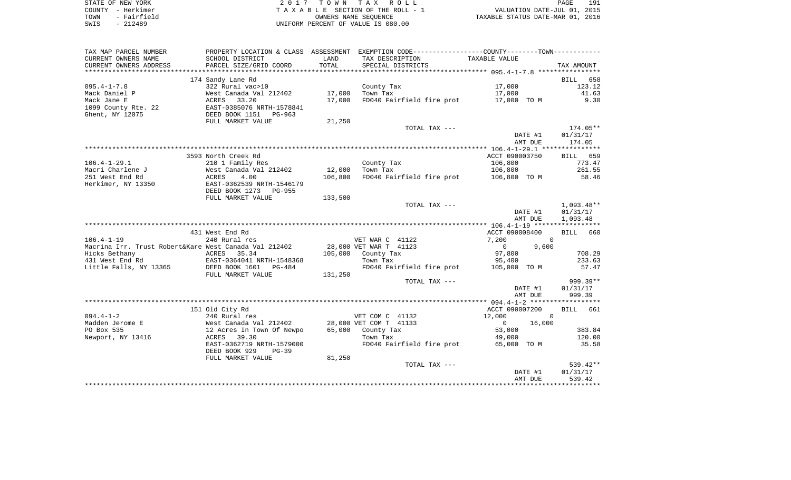| STATE OF NEW YORK   | 2017 TOWN TAX ROLL                 | 191<br>PAGE                      |
|---------------------|------------------------------------|----------------------------------|
| COUNTY - Herkimer   | TAXABLE SECTION OF THE ROLL - 1    | VALUATION DATE-JUL 01, 2015      |
| - Fairfield<br>TOWN | OWNERS NAME SEOUENCE               | TAXABLE STATUS DATE-MAR 01, 2016 |
| - 212489<br>SWIS    | UNIFORM PERCENT OF VALUE IS 080.00 |                                  |

191<br>2015

| TAX MAP PARCEL NUMBER                                 |                                                     |         | PROPERTY LOCATION & CLASS ASSESSMENT EXEMPTION CODE---------------COUNTY-------TOWN---------- |                          |                |
|-------------------------------------------------------|-----------------------------------------------------|---------|-----------------------------------------------------------------------------------------------|--------------------------|----------------|
| CURRENT OWNERS NAME                                   | SCHOOL DISTRICT                                     | LAND    | TAX DESCRIPTION                                                                               | TAXABLE VALUE            |                |
| CURRENT OWNERS ADDRESS                                | PARCEL SIZE/GRID COORD                              | TOTAL   | SPECIAL DISTRICTS                                                                             |                          | TAX AMOUNT     |
|                                                       |                                                     |         |                                                                                               |                          |                |
|                                                       | 174 Sandy Lane Rd                                   |         |                                                                                               |                          | BILL 658       |
| $095.4 - 1 - 7.8$                                     | 322 Rural vac>10                                    |         | County Tax                                                                                    | 17,000                   | 123.12         |
| Mack Daniel P                                         | West Canada Val 212402                              | 17,000  | Town Tax                                                                                      | 17,000                   | 41.63          |
| Mack Jane E                                           | ACRES 33.20                                         | 17,000  | FD040 Fairfield fire prot 17,000 TO M                                                         |                          | 9.30           |
| 1099 County Rte. 22                                   | EAST-0385076 NRTH-1578841<br>DEED BOOK 1151 PG-963  |         |                                                                                               |                          |                |
| Ghent, NY 12075                                       |                                                     |         |                                                                                               |                          |                |
|                                                       | FULL MARKET VALUE                                   | 21,250  | TOTAL TAX ---                                                                                 |                          | $174.05**$     |
|                                                       |                                                     |         |                                                                                               | DATE #1                  | 01/31/17       |
|                                                       |                                                     |         |                                                                                               | AMT DUE                  | 174.05         |
|                                                       |                                                     |         |                                                                                               |                          |                |
|                                                       | 3593 North Creek Rd                                 |         |                                                                                               | ACCT 090003750           | BILL 659       |
| $106.4 - 1 - 29.1$                                    | 210 1 Family Res                                    |         | County Tax                                                                                    | 106,800                  | 773.47         |
| Macri Charlene J                                      | West Canada Val 212402                              | 12,000  | Town Tax                                                                                      | 106,800                  | 261.55         |
| 251 West End Rd                                       | 4.00<br>ACRES                                       | 106,800 | FD040 Fairfield fire prot 106,800 TO M                                                        |                          | 58.46          |
| Herkimer, NY 13350                                    | EAST-0362539 NRTH-1546179                           |         |                                                                                               |                          |                |
|                                                       | DEED BOOK 1273 PG-955                               |         |                                                                                               |                          |                |
|                                                       | FULL MARKET VALUE                                   | 133,500 |                                                                                               |                          |                |
|                                                       |                                                     |         | TOTAL TAX ---                                                                                 |                          | $1,093.48**$   |
|                                                       |                                                     |         |                                                                                               | DATE #1                  | 01/31/17       |
|                                                       |                                                     |         |                                                                                               | AMT DUE                  | 1,093.48       |
|                                                       |                                                     |         |                                                                                               |                          |                |
|                                                       | 431 West End Rd                                     |         |                                                                                               | ACCT 090008400           | BILL 660       |
| $106.4 - 1 - 19$                                      | 240 Rural res                                       |         | VET WAR C 41122                                                                               | 7,200                    | $\overline{0}$ |
| Macrina Irr. Trust Robert&Kare West Canada Val 212402 |                                                     |         | 28,000 VET WAR T 41123                                                                        | $\overline{0}$<br>9,600  |                |
| Hicks Bethany                                         | ACRES 35.34                                         |         | 105,000 County Tax                                                                            | 97,800                   | 708.29         |
| 431 West End Rd                                       | EAST-0364041 NRTH-1548368                           |         | Town Tax                                                                                      | 95,400                   | 233.63         |
| Little Falls, NY 13365                                | DEED BOOK 1601 PG-484                               |         | FD040 Fairfield fire prot                                                                     | 105,000 TO M             | 57.47          |
|                                                       | FULL MARKET VALUE                                   | 131,250 | TOTAL TAX ---                                                                                 |                          | 999.39**       |
|                                                       |                                                     |         |                                                                                               | DATE #1                  | 01/31/17       |
|                                                       |                                                     |         |                                                                                               | AMT DUE                  | 999.39         |
|                                                       |                                                     |         |                                                                                               |                          |                |
|                                                       | 151 Old City Rd                                     |         |                                                                                               | ACCT 090007200           | BILL 661       |
| $094.4 - 1 - 2$                                       | 240 Rural res                                       |         | VET COM C 41132                                                                               | 12,000                   | $\Omega$       |
| Madden Jerome E                                       |                                                     |         | 28,000 VET COM T 41133                                                                        | 16,000<br>$\overline{0}$ |                |
| PO Box 535                                            | West Canada Val 212402<br>12 Acres In Town Of Newpo |         | 65,000 County Tax                                                                             | 53,000                   | 383.84         |
| Newport, NY 13416                                     | ACRES 39.30                                         |         | Town Tax                                                                                      | 49,000                   | 120.00         |
|                                                       | EAST-0362719 NRTH-1579000                           |         | FD040 Fairfield fire prot                                                                     | 65,000 TO M              | 35.58          |
|                                                       | DEED BOOK 929<br>$PG-39$                            |         |                                                                                               |                          |                |
|                                                       | FULL MARKET VALUE                                   | 81,250  |                                                                                               |                          |                |
|                                                       |                                                     |         | TOTAL TAX ---                                                                                 |                          | 539.42**       |
|                                                       |                                                     |         |                                                                                               | DATE #1                  | 01/31/17       |
|                                                       |                                                     |         |                                                                                               | AMT DUE                  | 539.42         |
|                                                       |                                                     |         |                                                                                               |                          |                |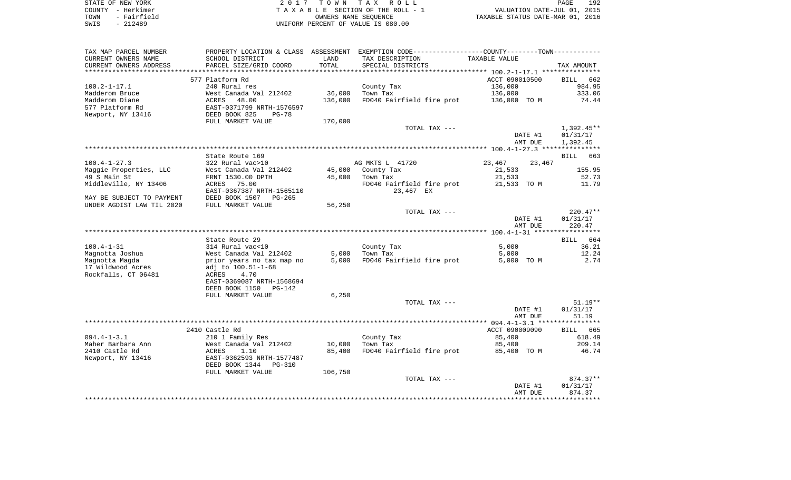| STATE OF NEW YORK   | 2017 TOWN TAX ROLL                 | 192<br>PAGE                      |
|---------------------|------------------------------------|----------------------------------|
| COUNTY - Herkimer   | TAXABLE SECTION OF THE ROLL - 1    | VALUATION DATE-JUL 01, 2015      |
| - Fairfield<br>TOWN | OWNERS NAME SEOUENCE               | TAXABLE STATUS DATE-MAR 01, 2016 |
| $-212489$<br>SWIS   | UNIFORM PERCENT OF VALUE IS 080.00 |                                  |

| TAX MAP PARCEL NUMBER                  |                                             |                             | PROPERTY LOCATION & CLASS ASSESSMENT EXEMPTION CODE---------------COUNTY-------TOWN---------- |                       |                    |
|----------------------------------------|---------------------------------------------|-----------------------------|-----------------------------------------------------------------------------------------------|-----------------------|--------------------|
| CURRENT OWNERS NAME                    | SCHOOL DISTRICT                             | LAND                        | TAX DESCRIPTION                                                                               | TAXABLE VALUE         |                    |
| CURRENT OWNERS ADDRESS                 | PARCEL SIZE/GRID COORD                      | TOTAL                       | SPECIAL DISTRICTS                                                                             |                       | TAX AMOUNT         |
|                                        |                                             | * * * * * * * * * * * * * * |                                                                                               |                       |                    |
|                                        | 577 Platform Rd                             |                             |                                                                                               | ACCT 090010500        | BILL 662           |
| $100.2 - 1 - 17.1$                     | 240 Rural res                               |                             | County Tax                                                                                    | 136,000               | 984.95             |
| Madderom Bruce                         | West Canada Val 212402                      | 36,000                      | Town Tax                                                                                      | 136,000               | 333.06             |
| Madderom Diane                         | ACRES    48.00<br>EAST-0371799 NRTH-1576597 | 136,000                     | FD040 Fairfield fire prot                                                                     | 136,000 TO M          | 74.44              |
| 577 Platform Rd                        |                                             |                             |                                                                                               |                       |                    |
| Newport, NY 13416                      | DEED BOOK 825<br>PG-78                      |                             |                                                                                               |                       |                    |
|                                        | FULL MARKET VALUE                           | 170,000                     |                                                                                               |                       |                    |
|                                        |                                             |                             | TOTAL TAX ---                                                                                 |                       | $1,392.45**$       |
|                                        |                                             |                             |                                                                                               | DATE #1               | 01/31/17           |
|                                        |                                             |                             |                                                                                               | AMT DUE               | 1,392.45           |
|                                        |                                             |                             |                                                                                               |                       |                    |
|                                        | State Route 169                             |                             |                                                                                               |                       | <b>BILL</b><br>663 |
| $100.4 - 1 - 27.3$                     | 322 Rural vac>10                            |                             | AG MKTS L 41720                                                                               | 23,467                | 23,467             |
| Maggie Properties, LLC<br>49 S Main St | West Canada Val 212402                      | 45,000                      | County Tax                                                                                    | 21,533                | 155.95             |
| Middleville, NY 13406                  | FRNT 1530.00 DPTH<br>75.00<br>ACRES         | 45,000                      | Town Tax<br>FD040 Fairfield fire prot                                                         | 21,533<br>21,533 TO M | 52.73<br>11.79     |
|                                        | EAST-0367387 NRTH-1565110                   |                             | 23,467 EX                                                                                     |                       |                    |
| MAY BE SUBJECT TO PAYMENT              | DEED BOOK 1507<br>PG-265                    |                             |                                                                                               |                       |                    |
| UNDER AGDIST LAW TIL 2020              | FULL MARKET VALUE                           | 56,250                      |                                                                                               |                       |                    |
|                                        |                                             |                             | TOTAL TAX ---                                                                                 |                       | $220.47**$         |
|                                        |                                             |                             |                                                                                               | DATE #1               | 01/31/17           |
|                                        |                                             |                             |                                                                                               | AMT DUE               | 220.47             |
|                                        |                                             |                             |                                                                                               |                       |                    |
|                                        | State Route 29                              |                             |                                                                                               |                       | BILL 664           |
| $100.4 - 1 - 31$                       | 314 Rural vac<10                            |                             | County Tax                                                                                    | 5,000                 | 36.21              |
| Magnotta Joshua                        | West Canada Val 212402                      | 5,000                       | Town Tax                                                                                      | 5,000                 | 12.24              |
| Magnotta Magda                         | prior years no tax map no                   | 5,000                       | FD040 Fairfield fire prot                                                                     | 5,000 TO M            | 2.74               |
| 17 Wildwood Acres                      | adj to 100.51-1-68                          |                             |                                                                                               |                       |                    |
| Rockfalls, CT 06481                    | ACRES<br>4.70                               |                             |                                                                                               |                       |                    |
|                                        | EAST-0369087 NRTH-1568694                   |                             |                                                                                               |                       |                    |
|                                        | DEED BOOK 1150<br>PG-142                    |                             |                                                                                               |                       |                    |
|                                        | FULL MARKET VALUE                           | 6,250                       |                                                                                               |                       |                    |
|                                        |                                             |                             | TOTAL TAX ---                                                                                 |                       | $51.19**$          |
|                                        |                                             |                             |                                                                                               | DATE #1               | 01/31/17           |
|                                        |                                             |                             |                                                                                               | AMT DUE               | 51.19              |
|                                        | 2410 Castle Rd                              |                             |                                                                                               | ACCT 090009090        | BILL 665           |
| $094.4 - 1 - 3.1$                      | 210 1 Family Res                            |                             | County Tax                                                                                    | 85,400                | 618.49             |
| Maher Barbara Ann                      | West Canada Val 212402                      | 10,000                      | Town Tax                                                                                      | 85,400                | 209.14             |
| 2410 Castle Rd                         | 1.10<br>ACRES                               | 85,400                      | FD040 Fairfield fire prot                                                                     | 85,400 TO M           | 46.74              |
| Newport, NY 13416                      | EAST-0362593 NRTH-1577487                   |                             |                                                                                               |                       |                    |
|                                        | DEED BOOK 1344<br>PG-310                    |                             |                                                                                               |                       |                    |
|                                        | FULL MARKET VALUE                           | 106,750                     |                                                                                               |                       |                    |
|                                        |                                             |                             | TOTAL TAX ---                                                                                 |                       | 874.37**           |
|                                        |                                             |                             |                                                                                               | DATE #1               | 01/31/17           |
|                                        |                                             |                             |                                                                                               | AMT DUE               | 874.37             |
|                                        |                                             |                             |                                                                                               |                       |                    |
|                                        |                                             |                             |                                                                                               |                       |                    |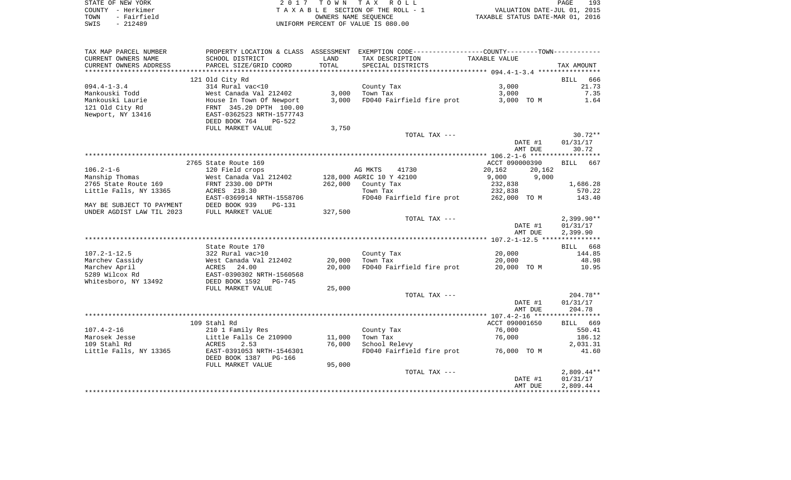|      | STATE OF NEW YORK | 2017 TOWN TAX ROLL                 | 193<br>PAGE                      |
|------|-------------------|------------------------------------|----------------------------------|
|      | COUNTY - Herkimer | TAXABLE SECTION OF THE ROLL - 1    | VALUATION DATE-JUL 01, 2015      |
| TOWN | - Fairfield       | OWNERS NAME SEOUENCE               | TAXABLE STATUS DATE-MAR 01, 2016 |
| SWIS | $-212489$         | UNIFORM PERCENT OF VALUE IS 080.00 |                                  |

| CURRENT OWNERS NAME<br>SCHOOL DISTRICT<br>LAND<br>TAX DESCRIPTION<br>TAXABLE VALUE<br>CURRENT OWNERS ADDRESS<br>PARCEL SIZE/GRID COORD<br>TOTAL<br>SPECIAL DISTRICTS | TAX AMOUNT               |
|----------------------------------------------------------------------------------------------------------------------------------------------------------------------|--------------------------|
|                                                                                                                                                                      |                          |
|                                                                                                                                                                      |                          |
|                                                                                                                                                                      |                          |
| 121 Old City Rd                                                                                                                                                      | 666<br><b>BILL</b>       |
| $094.4 - 1 - 3.4$<br>314 Rural vac<10<br>3,000<br>County Tax                                                                                                         | 21.73                    |
| 3,000<br>3,000<br>Mankouski Todd<br>West Canada Val 212402<br>Town Tax                                                                                               | 7.35                     |
| Mankouski Laurie<br>3.000<br>FD040 Fairfield fire prot<br>3,000 TO M<br>House In Town Of Newport<br>121 Old City Rd<br>FRNT 345.20 DPTH 100.00                       | 1.64                     |
| Newport, NY 13416<br>EAST-0362523 NRTH-1577743                                                                                                                       |                          |
| DEED BOOK 764<br>$PG-522$                                                                                                                                            |                          |
| FULL MARKET VALUE<br>3,750                                                                                                                                           |                          |
| TOTAL TAX ---                                                                                                                                                        | $30.72**$                |
| DATE #1                                                                                                                                                              | 01/31/17                 |
| AMT DUE                                                                                                                                                              | 30.72                    |
|                                                                                                                                                                      |                          |
| 2765 State Route 169<br>ACCT 090000390                                                                                                                               | <b>BILL</b><br>667       |
| $106.2 - 1 - 6$<br>120 Field crops<br>AG MKTS<br>41730<br>20,162<br>20,162                                                                                           |                          |
| Manship Thomas<br>West Canada Val 212402<br>128,000 AGRIC 10 Y 42100<br>9,000<br>9,000                                                                               |                          |
| 2765 State Route 169<br>262,000<br>County Tax<br>FRNT 2330.00 DPTH<br>232,838                                                                                        | 1,686.28                 |
| Little Falls, NY 13365<br>ACRES 218.30<br>Town Tax<br>232,838                                                                                                        | 570.22                   |
| EAST-0369914 NRTH-1558706<br>FD040 Fairfield fire prot<br>262,000 TO M                                                                                               | 143.40                   |
| DEED BOOK 939<br>MAY BE SUBJECT TO PAYMENT<br>PG-131                                                                                                                 |                          |
| UNDER AGDIST LAW TIL 2023<br>FULL MARKET VALUE<br>327,500                                                                                                            |                          |
| TOTAL TAX ---<br>DATE #1                                                                                                                                             | $2,399.90**$<br>01/31/17 |
| AMT DUE                                                                                                                                                              | 2,399.90                 |
|                                                                                                                                                                      |                          |
| State Route 170                                                                                                                                                      | BILL 668                 |
| $107.2 - 1 - 12.5$<br>20,000<br>322 Rural vac>10<br>County Tax                                                                                                       | 144.85                   |
| Marchev Cassidy<br>20,000<br>20,000<br>West Canada Val 212402<br>Town Tax                                                                                            | 48.98                    |
| 20,000<br>FD040 Fairfield fire prot<br>Marchev April<br>ACRES<br>24.00<br>20,000 TO M                                                                                | 10.95                    |
| 5289 Wilcox Rd<br>EAST-0390302 NRTH-1560568                                                                                                                          |                          |
| Whitesboro, NY 13492<br>DEED BOOK 1592<br>PG-745                                                                                                                     |                          |
| FULL MARKET VALUE<br>25,000                                                                                                                                          |                          |
| TOTAL TAX ---                                                                                                                                                        | $204.78**$               |
| DATE #1                                                                                                                                                              | 01/31/17                 |
| AMT DUE                                                                                                                                                              | 204.78                   |
|                                                                                                                                                                      |                          |
| 109 Stahl Rd<br>ACCT 090001650<br>76,000<br>$107.4 - 2 - 16$                                                                                                         | BILL 669<br>550.41       |
| 210 1 Family Res<br>County Tax<br>Marosek Jesse<br>Little Falls Ce 210900<br>11,000<br>Town Tax<br>76,000                                                            | 186.12                   |
| 109 Stahl Rd<br>ACRES<br>2.53<br>76,000<br>School Relevy                                                                                                             | 2,031.31                 |
| Little Falls, NY 13365<br>EAST-0391053 NRTH-1546301<br>FD040 Fairfield fire prot 76,000 TO M                                                                         | 41.60                    |
| DEED BOOK 1387 PG-166                                                                                                                                                |                          |
| 95,000<br>FULL MARKET VALUE                                                                                                                                          |                          |
| TOTAL TAX ---                                                                                                                                                        | $2,809.44**$             |
| DATE #1                                                                                                                                                              | 01/31/17                 |
| AMT DUE                                                                                                                                                              | 2,809.44                 |
|                                                                                                                                                                      |                          |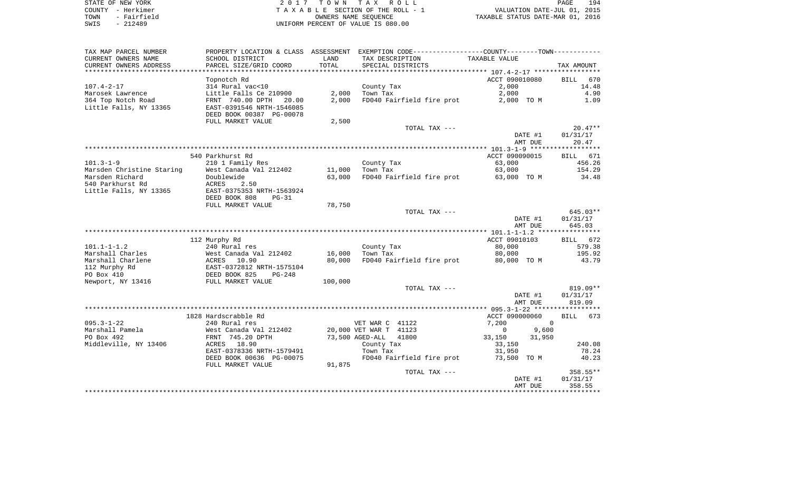| STATE OF NEW YORK |             |
|-------------------|-------------|
| COUNTY - Herkimer |             |
| TOWN              | - Fairfield |
| SWIS              | $-212489$   |

STATE OF NEW YORK 2 0 1 7 T O W N T A X R O L L PAGE 194TA X A B L E SECTION OF THE ROLL - 1 TOWN - Fairfield OWNERS NAME SEQUENCE TAXABLE STATUS DATE-MAR 01, 2016 UNIFORM PERCENT OF VALUE IS 080.00

| TAX MAP PARCEL NUMBER     | PROPERTY LOCATION & CLASS ASSESSMENT |         | EXEMPTION CODE-----------------COUNTY-------TOWN----------- |                       |                    |
|---------------------------|--------------------------------------|---------|-------------------------------------------------------------|-----------------------|--------------------|
| CURRENT OWNERS NAME       | SCHOOL DISTRICT                      | LAND    | TAX DESCRIPTION                                             | TAXABLE VALUE         |                    |
| CURRENT OWNERS ADDRESS    | PARCEL SIZE/GRID COORD               | TOTAL   | SPECIAL DISTRICTS                                           |                       | TAX AMOUNT         |
| ***********************   |                                      |         |                                                             |                       |                    |
|                           | Topnotch Rd                          |         |                                                             | ACCT 090010080        | 670<br><b>BILL</b> |
| $107.4 - 2 - 17$          | 314 Rural vac<10                     |         | County Tax                                                  | 2,000                 | 14.48              |
| Marosek Lawrence          | Little Falls Ce 210900               |         | $2,000$ Town Tax                                            | 2,000                 | 4.90               |
| 364 Top Notch Road        | FRNT 740.00 DPTH 20.00               | 2,000   | FD040 Fairfield fire prot                                   | 2,000 TO M            | 1.09               |
| Little Falls, NY 13365    | EAST-0391546 NRTH-1546085            |         |                                                             |                       |                    |
|                           | DEED BOOK 00387 PG-00078             |         |                                                             |                       |                    |
|                           | FULL MARKET VALUE                    | 2,500   |                                                             |                       |                    |
|                           |                                      |         | TOTAL TAX ---                                               |                       | $20.47**$          |
|                           |                                      |         |                                                             | DATE #1               | 01/31/17           |
|                           |                                      |         |                                                             | AMT DUE               | 20.47              |
|                           |                                      |         |                                                             |                       |                    |
|                           | 540 Parkhurst Rd                     |         |                                                             | ACCT 090090015        | BILL 671           |
| $101.3 - 1 - 9$           | 210 1 Family Res                     |         | County Tax                                                  | 63,000                | 456.26             |
| Marsden Christine Staring | West Canada Val 212402               |         | 11,000 Town Tax                                             | 63,000                | 154.29             |
| Marsden Richard           | Doublewide                           |         | 63,000 FD040 Fairfield fire prot                            | 63,000 TO M           | 34.48              |
| 540 Parkhurst Rd          | ACRES<br>2.50                        |         |                                                             |                       |                    |
| Little Falls, NY 13365    | EAST-0375353 NRTH-1563924            |         |                                                             |                       |                    |
|                           | DEED BOOK 808<br>$PG-31$             |         |                                                             |                       |                    |
|                           | FULL MARKET VALUE                    | 78,750  |                                                             |                       |                    |
|                           |                                      |         | TOTAL TAX ---                                               |                       | 645.03**           |
|                           |                                      |         |                                                             | DATE #1               | 01/31/17           |
|                           |                                      |         |                                                             | AMT DUE               | 645.03             |
|                           |                                      |         |                                                             |                       |                    |
|                           | 112 Murphy Rd                        |         |                                                             | ACCT 09010103         | BILL 672           |
| $101.1 - 1 - 1.2$         | 240 Rural res                        |         | County Tax                                                  | 80,000                | 579.38             |
| Marshall Charles          | West Canada Val 212402               |         | 16,000 Town Tax                                             | 80,000                | 195.92             |
| Marshall Charlene         | 10.90<br>ACRES                       | 80,000  | FD040 Fairfield fire prot                                   | 80,000 TO M           | 43.79              |
| 112 Murphy Rd             | EAST-0372812 NRTH-1575104            |         |                                                             |                       |                    |
| PO Box 410                | DEED BOOK 825<br>$PG-248$            |         |                                                             |                       |                    |
| Newport, NY 13416         | FULL MARKET VALUE                    | 100,000 |                                                             |                       |                    |
|                           |                                      |         | TOTAL TAX ---                                               |                       | 819.09**           |
|                           |                                      |         |                                                             | DATE #1               | 01/31/17<br>819.09 |
|                           |                                      |         |                                                             | AMT DUE               |                    |
|                           | 1828 Hardscrabble Rd                 |         |                                                             | ACCT 090000060        | BILL 673           |
| $095.3 - 1 - 22$          | 240 Rural res                        |         | VET WAR C 41122                                             | 7,200<br>$\Omega$     |                    |
| Marshall Pamela           | West Canada Val 212402               |         | 20,000 VET WAR T 41123                                      | 9,600<br>$\mathbf{0}$ |                    |
| PO Box 492                | FRNT 745.20 DPTH                     |         | 41800<br>73,500 AGED-ALL                                    | 33,150<br>31,950      |                    |
| Middleville, NY 13406     | ACRES 18.90                          |         | County Tax                                                  | 33,150                | 240.08             |
|                           | EAST-0378336 NRTH-1579491            |         | Town Tax                                                    | 31,950                | 78.24              |
|                           | DEED BOOK 00636 PG-00075             |         | FD040 Fairfield fire prot                                   | 73,500 TO M           | 40.23              |
|                           | FULL MARKET VALUE                    | 91,875  |                                                             |                       |                    |
|                           |                                      |         | TOTAL TAX ---                                               |                       | 358.55**           |
|                           |                                      |         |                                                             | DATE #1               | 01/31/17           |
|                           |                                      |         |                                                             | AMT DUE               | 358.55             |
|                           |                                      |         |                                                             |                       |                    |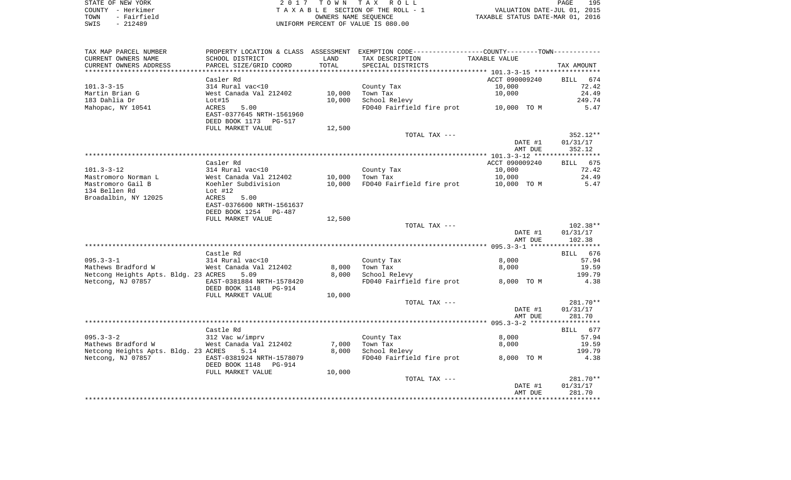| STATE OF NEW YORK |             |                                    | 2017 TOWN TAX ROLL              |                                  | PAGE | 195 |
|-------------------|-------------|------------------------------------|---------------------------------|----------------------------------|------|-----|
| COUNTY - Herkimer |             |                                    | TAXABLE SECTION OF THE ROLL - 1 | VALUATION DATE-JUL 01, 2015      |      |     |
| TOWN              | - Fairfield |                                    | OWNERS NAME SEOUENCE            | TAXABLE STATUS DATE-MAR 01, 2016 |      |     |
| SWIS              | - 212489    | UNIFORM PERCENT OF VALUE IS 080.00 |                                 |                                  |      |     |

| TAX MAP PARCEL NUMBER                |                              |        | PROPERTY LOCATION & CLASS ASSESSMENT EXEMPTION CODE----------------COUNTY--------TOWN----------- |                |                    |
|--------------------------------------|------------------------------|--------|--------------------------------------------------------------------------------------------------|----------------|--------------------|
| CURRENT OWNERS NAME                  | SCHOOL DISTRICT              | LAND   | TAX DESCRIPTION                                                                                  | TAXABLE VALUE  |                    |
| CURRENT OWNERS ADDRESS               | PARCEL SIZE/GRID COORD       | TOTAL  | SPECIAL DISTRICTS                                                                                |                | TAX AMOUNT         |
| **********************               |                              |        |                                                                                                  |                |                    |
|                                      | Casler Rd                    |        |                                                                                                  | ACCT 090009240 | BILL<br>674        |
| $101.3 - 3 - 15$                     | 314 Rural vac<10             |        | County Tax                                                                                       | 10,000         | 72.42              |
| Martin Brian G                       | West Canada Val 212402       | 10,000 | Town Tax                                                                                         | 10,000         | 24.49              |
| 183 Dahlia Dr                        | Lot#15                       | 10,000 | School Relevy                                                                                    |                | 249.74             |
| Mahopac, NY 10541                    | 5.00<br>ACRES                |        | FD040 Fairfield fire prot                                                                        | 10,000 TO M    | 5.47               |
|                                      | EAST-0377645 NRTH-1561960    |        |                                                                                                  |                |                    |
|                                      | DEED BOOK 1173 PG-517        |        |                                                                                                  |                |                    |
|                                      | FULL MARKET VALUE            | 12,500 |                                                                                                  |                |                    |
|                                      |                              |        | TOTAL TAX ---                                                                                    |                | $352.12**$         |
|                                      |                              |        |                                                                                                  | DATE #1        | 01/31/17           |
|                                      |                              |        |                                                                                                  | AMT DUE        | 352.12             |
|                                      |                              |        |                                                                                                  |                |                    |
|                                      | Casler Rd                    |        |                                                                                                  | ACCT 090009240 | BILL 675           |
| $101.3 - 3 - 12$                     | 314 Rural vac<10             |        | County Tax                                                                                       | 10,000         | 72.42              |
| Mastromoro Norman L                  | West Canada Val 212402       | 10,000 | Town Tax                                                                                         | 10,000         | 24.49              |
| Mastromoro Gail B                    | Koehler Subdivision          | 10,000 | FD040 Fairfield fire prot                                                                        | 10,000 TO M    | 5.47               |
| 134 Bellen Rd                        | Lot #12                      |        |                                                                                                  |                |                    |
| Broadalbin, NY 12025                 | ACRES<br>5.00                |        |                                                                                                  |                |                    |
|                                      | EAST-0376600 NRTH-1561637    |        |                                                                                                  |                |                    |
|                                      | DEED BOOK 1254<br>PG-487     |        |                                                                                                  |                |                    |
|                                      | FULL MARKET VALUE            | 12,500 |                                                                                                  |                |                    |
|                                      |                              |        | TOTAL TAX ---                                                                                    |                | $102.38**$         |
|                                      |                              |        |                                                                                                  | DATE #1        | 01/31/17           |
|                                      |                              |        |                                                                                                  | AMT DUE        | 102.38             |
|                                      |                              |        |                                                                                                  |                |                    |
|                                      | Castle Rd                    |        |                                                                                                  |                | BILL 676           |
| $095.3 - 3 - 1$                      | 314 Rural vac<10             |        | County Tax                                                                                       | 8,000          | 57.94              |
| Mathews Bradford W                   | West Canada Val 212402       | 8,000  | Town Tax                                                                                         | 8,000          | 19.59              |
| Netcong Heights Apts. Bldg. 23 ACRES | 5.09                         | 8,000  | School Relevy                                                                                    |                | 199.79             |
| Netcong, NJ 07857                    | EAST-0381884 NRTH-1578420    |        | FD040 Fairfield fire prot                                                                        | 8,000 TO M     | 4.38               |
|                                      | DEED BOOK 1148<br>PG-914     |        |                                                                                                  |                |                    |
|                                      | FULL MARKET VALUE            | 10,000 | TOTAL TAX ---                                                                                    |                | $281.70**$         |
|                                      |                              |        |                                                                                                  | DATE #1        |                    |
|                                      |                              |        |                                                                                                  | AMT DUE        | 01/31/17<br>281.70 |
|                                      |                              |        |                                                                                                  |                |                    |
|                                      |                              |        |                                                                                                  |                |                    |
| $095.3 - 3 - 2$                      | Castle Rd<br>312 Vac w/imprv |        | County Tax                                                                                       | 8,000          | BILL 677<br>57.94  |
| Mathews Bradford W                   | West Canada Val 212402       | 7,000  | Town Tax                                                                                         | 8,000          | 19.59              |
| Netcong Heights Apts. Bldg. 23 ACRES | 5.14                         | 8,000  | School Relevy                                                                                    |                | 199.79             |
| Netcong, NJ 07857                    | EAST-0381924 NRTH-1578079    |        | FD040 Fairfield fire prot                                                                        | 8,000 TO M     | 4.38               |
|                                      | DEED BOOK 1148<br>PG-914     |        |                                                                                                  |                |                    |
|                                      | FULL MARKET VALUE            | 10,000 |                                                                                                  |                |                    |
|                                      |                              |        | TOTAL TAX ---                                                                                    |                | $281.70**$         |
|                                      |                              |        |                                                                                                  | DATE #1        | 01/31/17           |
|                                      |                              |        |                                                                                                  | AMT DUE        | 281.70             |
|                                      |                              |        |                                                                                                  |                |                    |
|                                      |                              |        |                                                                                                  |                |                    |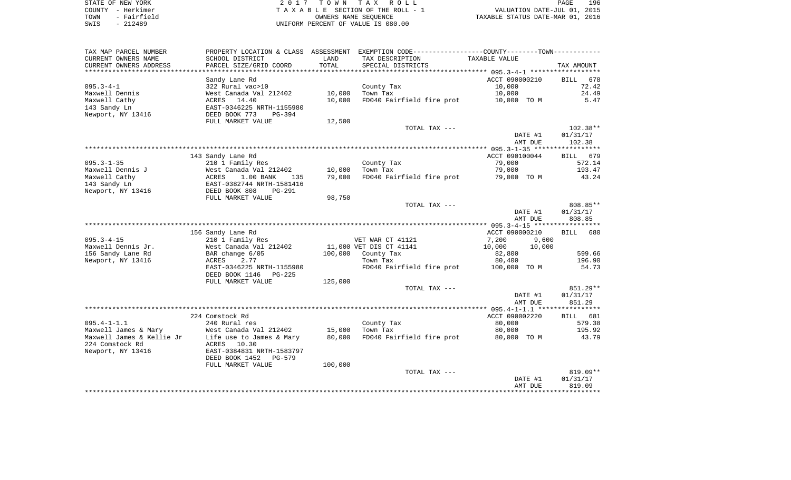| STATE OF NEW YORK    | 2017 TOWN TAX ROLL                  |
|----------------------|-------------------------------------|
| COUNTY - Herkimer    | T A X A B L E SECTION OF THE ROLL - |
| TOWN - Fairfield     | OWNERS NAME SEOUENCE                |
| смте <u>-</u> 212490 | INITEOPM PERCENT OF VALUE IS 080 00 |

COUNTY - Herkimer T A X A B L E SECTION OF THE ROLL - 1 TOWN - Fairfield OWNERS NAME SEQUENCE TAXABLE STATUS DATE-MAR 01, 2016 SWIS - 212489 UNIFORM PERCENT OF VALUE IS 080.00

| CURRENT OWNERS NAME<br>SCHOOL DISTRICT<br>TAX DESCRIPTION<br>TAXABLE VALUE<br>LAND<br>PARCEL SIZE/GRID COORD<br>TOTAL<br>CURRENT OWNERS ADDRESS<br>SPECIAL DISTRICTS<br>TAX AMOUNT<br>**********************<br>***************<br>ACCT 090000210<br>678<br>Sandy Lane Rd<br><b>BILL</b><br>$095.3 - 4 - 1$<br>72.42<br>322 Rural vac>10<br>County Tax<br>10,000<br>Maxwell Dennis<br>West Canada Val 212402<br>10,000<br>Town Tax<br>10,000<br>24.49<br>Maxwell Cathy<br>ACRES 14.40<br>10,000<br>FD040 Fairfield fire prot<br>5.47<br>10,000 TO M<br>143 Sandy Ln<br>EAST-0346225 NRTH-1155980<br>Newport, NY 13416<br>DEED BOOK 773<br>PG-394<br>FULL MARKET VALUE<br>12,500<br>$102.38**$<br>TOTAL TAX ---<br>DATE #1<br>01/31/17<br>AMT DUE<br>102.38<br>143 Sandy Lane Rd<br>ACCT 090100044<br>679<br>BILL<br>$095.3 - 1 - 35$<br>79,000<br>210 1 Family Res<br>County Tax<br>572.14<br>193.47<br>Maxwell Dennis J<br>West Canada Val 212402<br>10,000<br>Town Tax<br>79,000<br>Maxwell Cathy<br>1.00 BANK<br>79,000<br>FD040 Fairfield fire prot<br>79,000 TO M<br>43.24<br>ACRES<br>135<br>143 Sandy Ln<br>EAST-0382744 NRTH-1581416<br>Newport, NY 13416<br>DEED BOOK 808<br><b>PG-291</b><br>98,750<br>FULL MARKET VALUE<br>808.85**<br>TOTAL TAX ---<br>DATE #1<br>01/31/17<br>808.85<br>AMT DUE<br>156 Sandy Lane Rd<br>ACCT 090000210<br>BILL<br>680<br>$095.3 - 4 - 15$<br>7,200<br>210 1 Family Res<br>VET WAR CT 41121<br>9,600<br>Maxwell Dennis Jr.<br>11,000 VET DIS CT 41141<br>10,000<br>10,000<br>West Canada Val 212402<br>599.66<br>156 Sandy Lane Rd<br>BAR change 6/05<br>100,000<br>County Tax<br>82,800<br>2.77<br>Newport, NY 13416<br><b>ACRES</b><br>80,400<br>196.90<br>Town Tax<br>EAST-0346225 NRTH-1155980<br>FD040 Fairfield fire prot<br>54.73<br>100,000 TO M<br>DEED BOOK 1146<br>$PG-225$<br>125,000<br>FULL MARKET VALUE<br>851.29**<br>TOTAL TAX ---<br>01/31/17<br>DATE #1<br>AMT DUE<br>851.29<br>224 Comstock Rd<br>ACCT 090002220<br>BILL 681<br>$095.4 - 1 - 1.1$<br>240 Rural res<br>County Tax<br>80,000<br>579.38<br>Maxwell James & Mary<br>West Canada Val 212402<br>15,000<br>Town Tax<br>80,000<br>195.92<br>FD040 Fairfield fire prot<br>Maxwell James & Kellie Jr<br>Life use to James & Mary<br>80,000<br>80,000 TO M<br>43.79<br>224 Comstock Rd<br>10.30<br>ACRES<br>Newport, NY 13416<br>EAST-0384831 NRTH-1583797<br>DEED BOOK 1452<br>PG-579<br>100,000<br>FULL MARKET VALUE<br>819.09**<br>TOTAL TAX ---<br>DATE #1<br>01/31/17<br>AMT DUE<br>819.09 | TAX MAP PARCEL NUMBER | PROPERTY LOCATION & CLASS | ASSESSMENT | EXEMPTION CODE----------------COUNTY-------TOWN----------- |  |
|---------------------------------------------------------------------------------------------------------------------------------------------------------------------------------------------------------------------------------------------------------------------------------------------------------------------------------------------------------------------------------------------------------------------------------------------------------------------------------------------------------------------------------------------------------------------------------------------------------------------------------------------------------------------------------------------------------------------------------------------------------------------------------------------------------------------------------------------------------------------------------------------------------------------------------------------------------------------------------------------------------------------------------------------------------------------------------------------------------------------------------------------------------------------------------------------------------------------------------------------------------------------------------------------------------------------------------------------------------------------------------------------------------------------------------------------------------------------------------------------------------------------------------------------------------------------------------------------------------------------------------------------------------------------------------------------------------------------------------------------------------------------------------------------------------------------------------------------------------------------------------------------------------------------------------------------------------------------------------------------------------------------------------------------------------------------------------------------------------------------------------------------------------------------------------------------------------------------------------------------------------------------------------------------------------------------------------------------------------------------------------------------------------------------------------------------------------------------------------------------------------------------|-----------------------|---------------------------|------------|------------------------------------------------------------|--|
|                                                                                                                                                                                                                                                                                                                                                                                                                                                                                                                                                                                                                                                                                                                                                                                                                                                                                                                                                                                                                                                                                                                                                                                                                                                                                                                                                                                                                                                                                                                                                                                                                                                                                                                                                                                                                                                                                                                                                                                                                                                                                                                                                                                                                                                                                                                                                                                                                                                                                                                     |                       |                           |            |                                                            |  |
|                                                                                                                                                                                                                                                                                                                                                                                                                                                                                                                                                                                                                                                                                                                                                                                                                                                                                                                                                                                                                                                                                                                                                                                                                                                                                                                                                                                                                                                                                                                                                                                                                                                                                                                                                                                                                                                                                                                                                                                                                                                                                                                                                                                                                                                                                                                                                                                                                                                                                                                     |                       |                           |            |                                                            |  |
|                                                                                                                                                                                                                                                                                                                                                                                                                                                                                                                                                                                                                                                                                                                                                                                                                                                                                                                                                                                                                                                                                                                                                                                                                                                                                                                                                                                                                                                                                                                                                                                                                                                                                                                                                                                                                                                                                                                                                                                                                                                                                                                                                                                                                                                                                                                                                                                                                                                                                                                     |                       |                           |            |                                                            |  |
|                                                                                                                                                                                                                                                                                                                                                                                                                                                                                                                                                                                                                                                                                                                                                                                                                                                                                                                                                                                                                                                                                                                                                                                                                                                                                                                                                                                                                                                                                                                                                                                                                                                                                                                                                                                                                                                                                                                                                                                                                                                                                                                                                                                                                                                                                                                                                                                                                                                                                                                     |                       |                           |            |                                                            |  |
|                                                                                                                                                                                                                                                                                                                                                                                                                                                                                                                                                                                                                                                                                                                                                                                                                                                                                                                                                                                                                                                                                                                                                                                                                                                                                                                                                                                                                                                                                                                                                                                                                                                                                                                                                                                                                                                                                                                                                                                                                                                                                                                                                                                                                                                                                                                                                                                                                                                                                                                     |                       |                           |            |                                                            |  |
|                                                                                                                                                                                                                                                                                                                                                                                                                                                                                                                                                                                                                                                                                                                                                                                                                                                                                                                                                                                                                                                                                                                                                                                                                                                                                                                                                                                                                                                                                                                                                                                                                                                                                                                                                                                                                                                                                                                                                                                                                                                                                                                                                                                                                                                                                                                                                                                                                                                                                                                     |                       |                           |            |                                                            |  |
|                                                                                                                                                                                                                                                                                                                                                                                                                                                                                                                                                                                                                                                                                                                                                                                                                                                                                                                                                                                                                                                                                                                                                                                                                                                                                                                                                                                                                                                                                                                                                                                                                                                                                                                                                                                                                                                                                                                                                                                                                                                                                                                                                                                                                                                                                                                                                                                                                                                                                                                     |                       |                           |            |                                                            |  |
|                                                                                                                                                                                                                                                                                                                                                                                                                                                                                                                                                                                                                                                                                                                                                                                                                                                                                                                                                                                                                                                                                                                                                                                                                                                                                                                                                                                                                                                                                                                                                                                                                                                                                                                                                                                                                                                                                                                                                                                                                                                                                                                                                                                                                                                                                                                                                                                                                                                                                                                     |                       |                           |            |                                                            |  |
|                                                                                                                                                                                                                                                                                                                                                                                                                                                                                                                                                                                                                                                                                                                                                                                                                                                                                                                                                                                                                                                                                                                                                                                                                                                                                                                                                                                                                                                                                                                                                                                                                                                                                                                                                                                                                                                                                                                                                                                                                                                                                                                                                                                                                                                                                                                                                                                                                                                                                                                     |                       |                           |            |                                                            |  |
|                                                                                                                                                                                                                                                                                                                                                                                                                                                                                                                                                                                                                                                                                                                                                                                                                                                                                                                                                                                                                                                                                                                                                                                                                                                                                                                                                                                                                                                                                                                                                                                                                                                                                                                                                                                                                                                                                                                                                                                                                                                                                                                                                                                                                                                                                                                                                                                                                                                                                                                     |                       |                           |            |                                                            |  |
|                                                                                                                                                                                                                                                                                                                                                                                                                                                                                                                                                                                                                                                                                                                                                                                                                                                                                                                                                                                                                                                                                                                                                                                                                                                                                                                                                                                                                                                                                                                                                                                                                                                                                                                                                                                                                                                                                                                                                                                                                                                                                                                                                                                                                                                                                                                                                                                                                                                                                                                     |                       |                           |            |                                                            |  |
|                                                                                                                                                                                                                                                                                                                                                                                                                                                                                                                                                                                                                                                                                                                                                                                                                                                                                                                                                                                                                                                                                                                                                                                                                                                                                                                                                                                                                                                                                                                                                                                                                                                                                                                                                                                                                                                                                                                                                                                                                                                                                                                                                                                                                                                                                                                                                                                                                                                                                                                     |                       |                           |            |                                                            |  |
|                                                                                                                                                                                                                                                                                                                                                                                                                                                                                                                                                                                                                                                                                                                                                                                                                                                                                                                                                                                                                                                                                                                                                                                                                                                                                                                                                                                                                                                                                                                                                                                                                                                                                                                                                                                                                                                                                                                                                                                                                                                                                                                                                                                                                                                                                                                                                                                                                                                                                                                     |                       |                           |            |                                                            |  |
|                                                                                                                                                                                                                                                                                                                                                                                                                                                                                                                                                                                                                                                                                                                                                                                                                                                                                                                                                                                                                                                                                                                                                                                                                                                                                                                                                                                                                                                                                                                                                                                                                                                                                                                                                                                                                                                                                                                                                                                                                                                                                                                                                                                                                                                                                                                                                                                                                                                                                                                     |                       |                           |            |                                                            |  |
|                                                                                                                                                                                                                                                                                                                                                                                                                                                                                                                                                                                                                                                                                                                                                                                                                                                                                                                                                                                                                                                                                                                                                                                                                                                                                                                                                                                                                                                                                                                                                                                                                                                                                                                                                                                                                                                                                                                                                                                                                                                                                                                                                                                                                                                                                                                                                                                                                                                                                                                     |                       |                           |            |                                                            |  |
|                                                                                                                                                                                                                                                                                                                                                                                                                                                                                                                                                                                                                                                                                                                                                                                                                                                                                                                                                                                                                                                                                                                                                                                                                                                                                                                                                                                                                                                                                                                                                                                                                                                                                                                                                                                                                                                                                                                                                                                                                                                                                                                                                                                                                                                                                                                                                                                                                                                                                                                     |                       |                           |            |                                                            |  |
|                                                                                                                                                                                                                                                                                                                                                                                                                                                                                                                                                                                                                                                                                                                                                                                                                                                                                                                                                                                                                                                                                                                                                                                                                                                                                                                                                                                                                                                                                                                                                                                                                                                                                                                                                                                                                                                                                                                                                                                                                                                                                                                                                                                                                                                                                                                                                                                                                                                                                                                     |                       |                           |            |                                                            |  |
|                                                                                                                                                                                                                                                                                                                                                                                                                                                                                                                                                                                                                                                                                                                                                                                                                                                                                                                                                                                                                                                                                                                                                                                                                                                                                                                                                                                                                                                                                                                                                                                                                                                                                                                                                                                                                                                                                                                                                                                                                                                                                                                                                                                                                                                                                                                                                                                                                                                                                                                     |                       |                           |            |                                                            |  |
|                                                                                                                                                                                                                                                                                                                                                                                                                                                                                                                                                                                                                                                                                                                                                                                                                                                                                                                                                                                                                                                                                                                                                                                                                                                                                                                                                                                                                                                                                                                                                                                                                                                                                                                                                                                                                                                                                                                                                                                                                                                                                                                                                                                                                                                                                                                                                                                                                                                                                                                     |                       |                           |            |                                                            |  |
|                                                                                                                                                                                                                                                                                                                                                                                                                                                                                                                                                                                                                                                                                                                                                                                                                                                                                                                                                                                                                                                                                                                                                                                                                                                                                                                                                                                                                                                                                                                                                                                                                                                                                                                                                                                                                                                                                                                                                                                                                                                                                                                                                                                                                                                                                                                                                                                                                                                                                                                     |                       |                           |            |                                                            |  |
|                                                                                                                                                                                                                                                                                                                                                                                                                                                                                                                                                                                                                                                                                                                                                                                                                                                                                                                                                                                                                                                                                                                                                                                                                                                                                                                                                                                                                                                                                                                                                                                                                                                                                                                                                                                                                                                                                                                                                                                                                                                                                                                                                                                                                                                                                                                                                                                                                                                                                                                     |                       |                           |            |                                                            |  |
|                                                                                                                                                                                                                                                                                                                                                                                                                                                                                                                                                                                                                                                                                                                                                                                                                                                                                                                                                                                                                                                                                                                                                                                                                                                                                                                                                                                                                                                                                                                                                                                                                                                                                                                                                                                                                                                                                                                                                                                                                                                                                                                                                                                                                                                                                                                                                                                                                                                                                                                     |                       |                           |            |                                                            |  |
|                                                                                                                                                                                                                                                                                                                                                                                                                                                                                                                                                                                                                                                                                                                                                                                                                                                                                                                                                                                                                                                                                                                                                                                                                                                                                                                                                                                                                                                                                                                                                                                                                                                                                                                                                                                                                                                                                                                                                                                                                                                                                                                                                                                                                                                                                                                                                                                                                                                                                                                     |                       |                           |            |                                                            |  |
|                                                                                                                                                                                                                                                                                                                                                                                                                                                                                                                                                                                                                                                                                                                                                                                                                                                                                                                                                                                                                                                                                                                                                                                                                                                                                                                                                                                                                                                                                                                                                                                                                                                                                                                                                                                                                                                                                                                                                                                                                                                                                                                                                                                                                                                                                                                                                                                                                                                                                                                     |                       |                           |            |                                                            |  |
|                                                                                                                                                                                                                                                                                                                                                                                                                                                                                                                                                                                                                                                                                                                                                                                                                                                                                                                                                                                                                                                                                                                                                                                                                                                                                                                                                                                                                                                                                                                                                                                                                                                                                                                                                                                                                                                                                                                                                                                                                                                                                                                                                                                                                                                                                                                                                                                                                                                                                                                     |                       |                           |            |                                                            |  |
|                                                                                                                                                                                                                                                                                                                                                                                                                                                                                                                                                                                                                                                                                                                                                                                                                                                                                                                                                                                                                                                                                                                                                                                                                                                                                                                                                                                                                                                                                                                                                                                                                                                                                                                                                                                                                                                                                                                                                                                                                                                                                                                                                                                                                                                                                                                                                                                                                                                                                                                     |                       |                           |            |                                                            |  |
|                                                                                                                                                                                                                                                                                                                                                                                                                                                                                                                                                                                                                                                                                                                                                                                                                                                                                                                                                                                                                                                                                                                                                                                                                                                                                                                                                                                                                                                                                                                                                                                                                                                                                                                                                                                                                                                                                                                                                                                                                                                                                                                                                                                                                                                                                                                                                                                                                                                                                                                     |                       |                           |            |                                                            |  |
|                                                                                                                                                                                                                                                                                                                                                                                                                                                                                                                                                                                                                                                                                                                                                                                                                                                                                                                                                                                                                                                                                                                                                                                                                                                                                                                                                                                                                                                                                                                                                                                                                                                                                                                                                                                                                                                                                                                                                                                                                                                                                                                                                                                                                                                                                                                                                                                                                                                                                                                     |                       |                           |            |                                                            |  |
|                                                                                                                                                                                                                                                                                                                                                                                                                                                                                                                                                                                                                                                                                                                                                                                                                                                                                                                                                                                                                                                                                                                                                                                                                                                                                                                                                                                                                                                                                                                                                                                                                                                                                                                                                                                                                                                                                                                                                                                                                                                                                                                                                                                                                                                                                                                                                                                                                                                                                                                     |                       |                           |            |                                                            |  |
|                                                                                                                                                                                                                                                                                                                                                                                                                                                                                                                                                                                                                                                                                                                                                                                                                                                                                                                                                                                                                                                                                                                                                                                                                                                                                                                                                                                                                                                                                                                                                                                                                                                                                                                                                                                                                                                                                                                                                                                                                                                                                                                                                                                                                                                                                                                                                                                                                                                                                                                     |                       |                           |            |                                                            |  |
|                                                                                                                                                                                                                                                                                                                                                                                                                                                                                                                                                                                                                                                                                                                                                                                                                                                                                                                                                                                                                                                                                                                                                                                                                                                                                                                                                                                                                                                                                                                                                                                                                                                                                                                                                                                                                                                                                                                                                                                                                                                                                                                                                                                                                                                                                                                                                                                                                                                                                                                     |                       |                           |            |                                                            |  |
|                                                                                                                                                                                                                                                                                                                                                                                                                                                                                                                                                                                                                                                                                                                                                                                                                                                                                                                                                                                                                                                                                                                                                                                                                                                                                                                                                                                                                                                                                                                                                                                                                                                                                                                                                                                                                                                                                                                                                                                                                                                                                                                                                                                                                                                                                                                                                                                                                                                                                                                     |                       |                           |            |                                                            |  |
|                                                                                                                                                                                                                                                                                                                                                                                                                                                                                                                                                                                                                                                                                                                                                                                                                                                                                                                                                                                                                                                                                                                                                                                                                                                                                                                                                                                                                                                                                                                                                                                                                                                                                                                                                                                                                                                                                                                                                                                                                                                                                                                                                                                                                                                                                                                                                                                                                                                                                                                     |                       |                           |            |                                                            |  |
|                                                                                                                                                                                                                                                                                                                                                                                                                                                                                                                                                                                                                                                                                                                                                                                                                                                                                                                                                                                                                                                                                                                                                                                                                                                                                                                                                                                                                                                                                                                                                                                                                                                                                                                                                                                                                                                                                                                                                                                                                                                                                                                                                                                                                                                                                                                                                                                                                                                                                                                     |                       |                           |            |                                                            |  |
|                                                                                                                                                                                                                                                                                                                                                                                                                                                                                                                                                                                                                                                                                                                                                                                                                                                                                                                                                                                                                                                                                                                                                                                                                                                                                                                                                                                                                                                                                                                                                                                                                                                                                                                                                                                                                                                                                                                                                                                                                                                                                                                                                                                                                                                                                                                                                                                                                                                                                                                     |                       |                           |            |                                                            |  |
|                                                                                                                                                                                                                                                                                                                                                                                                                                                                                                                                                                                                                                                                                                                                                                                                                                                                                                                                                                                                                                                                                                                                                                                                                                                                                                                                                                                                                                                                                                                                                                                                                                                                                                                                                                                                                                                                                                                                                                                                                                                                                                                                                                                                                                                                                                                                                                                                                                                                                                                     |                       |                           |            |                                                            |  |
|                                                                                                                                                                                                                                                                                                                                                                                                                                                                                                                                                                                                                                                                                                                                                                                                                                                                                                                                                                                                                                                                                                                                                                                                                                                                                                                                                                                                                                                                                                                                                                                                                                                                                                                                                                                                                                                                                                                                                                                                                                                                                                                                                                                                                                                                                                                                                                                                                                                                                                                     |                       |                           |            |                                                            |  |
|                                                                                                                                                                                                                                                                                                                                                                                                                                                                                                                                                                                                                                                                                                                                                                                                                                                                                                                                                                                                                                                                                                                                                                                                                                                                                                                                                                                                                                                                                                                                                                                                                                                                                                                                                                                                                                                                                                                                                                                                                                                                                                                                                                                                                                                                                                                                                                                                                                                                                                                     |                       |                           |            |                                                            |  |
|                                                                                                                                                                                                                                                                                                                                                                                                                                                                                                                                                                                                                                                                                                                                                                                                                                                                                                                                                                                                                                                                                                                                                                                                                                                                                                                                                                                                                                                                                                                                                                                                                                                                                                                                                                                                                                                                                                                                                                                                                                                                                                                                                                                                                                                                                                                                                                                                                                                                                                                     |                       |                           |            |                                                            |  |
|                                                                                                                                                                                                                                                                                                                                                                                                                                                                                                                                                                                                                                                                                                                                                                                                                                                                                                                                                                                                                                                                                                                                                                                                                                                                                                                                                                                                                                                                                                                                                                                                                                                                                                                                                                                                                                                                                                                                                                                                                                                                                                                                                                                                                                                                                                                                                                                                                                                                                                                     |                       |                           |            |                                                            |  |
|                                                                                                                                                                                                                                                                                                                                                                                                                                                                                                                                                                                                                                                                                                                                                                                                                                                                                                                                                                                                                                                                                                                                                                                                                                                                                                                                                                                                                                                                                                                                                                                                                                                                                                                                                                                                                                                                                                                                                                                                                                                                                                                                                                                                                                                                                                                                                                                                                                                                                                                     |                       |                           |            |                                                            |  |
|                                                                                                                                                                                                                                                                                                                                                                                                                                                                                                                                                                                                                                                                                                                                                                                                                                                                                                                                                                                                                                                                                                                                                                                                                                                                                                                                                                                                                                                                                                                                                                                                                                                                                                                                                                                                                                                                                                                                                                                                                                                                                                                                                                                                                                                                                                                                                                                                                                                                                                                     |                       |                           |            |                                                            |  |
|                                                                                                                                                                                                                                                                                                                                                                                                                                                                                                                                                                                                                                                                                                                                                                                                                                                                                                                                                                                                                                                                                                                                                                                                                                                                                                                                                                                                                                                                                                                                                                                                                                                                                                                                                                                                                                                                                                                                                                                                                                                                                                                                                                                                                                                                                                                                                                                                                                                                                                                     |                       |                           |            |                                                            |  |
|                                                                                                                                                                                                                                                                                                                                                                                                                                                                                                                                                                                                                                                                                                                                                                                                                                                                                                                                                                                                                                                                                                                                                                                                                                                                                                                                                                                                                                                                                                                                                                                                                                                                                                                                                                                                                                                                                                                                                                                                                                                                                                                                                                                                                                                                                                                                                                                                                                                                                                                     |                       |                           |            |                                                            |  |
|                                                                                                                                                                                                                                                                                                                                                                                                                                                                                                                                                                                                                                                                                                                                                                                                                                                                                                                                                                                                                                                                                                                                                                                                                                                                                                                                                                                                                                                                                                                                                                                                                                                                                                                                                                                                                                                                                                                                                                                                                                                                                                                                                                                                                                                                                                                                                                                                                                                                                                                     |                       |                           |            |                                                            |  |
|                                                                                                                                                                                                                                                                                                                                                                                                                                                                                                                                                                                                                                                                                                                                                                                                                                                                                                                                                                                                                                                                                                                                                                                                                                                                                                                                                                                                                                                                                                                                                                                                                                                                                                                                                                                                                                                                                                                                                                                                                                                                                                                                                                                                                                                                                                                                                                                                                                                                                                                     |                       |                           |            |                                                            |  |
|                                                                                                                                                                                                                                                                                                                                                                                                                                                                                                                                                                                                                                                                                                                                                                                                                                                                                                                                                                                                                                                                                                                                                                                                                                                                                                                                                                                                                                                                                                                                                                                                                                                                                                                                                                                                                                                                                                                                                                                                                                                                                                                                                                                                                                                                                                                                                                                                                                                                                                                     |                       |                           |            |                                                            |  |
|                                                                                                                                                                                                                                                                                                                                                                                                                                                                                                                                                                                                                                                                                                                                                                                                                                                                                                                                                                                                                                                                                                                                                                                                                                                                                                                                                                                                                                                                                                                                                                                                                                                                                                                                                                                                                                                                                                                                                                                                                                                                                                                                                                                                                                                                                                                                                                                                                                                                                                                     |                       |                           |            |                                                            |  |
|                                                                                                                                                                                                                                                                                                                                                                                                                                                                                                                                                                                                                                                                                                                                                                                                                                                                                                                                                                                                                                                                                                                                                                                                                                                                                                                                                                                                                                                                                                                                                                                                                                                                                                                                                                                                                                                                                                                                                                                                                                                                                                                                                                                                                                                                                                                                                                                                                                                                                                                     |                       |                           |            |                                                            |  |
|                                                                                                                                                                                                                                                                                                                                                                                                                                                                                                                                                                                                                                                                                                                                                                                                                                                                                                                                                                                                                                                                                                                                                                                                                                                                                                                                                                                                                                                                                                                                                                                                                                                                                                                                                                                                                                                                                                                                                                                                                                                                                                                                                                                                                                                                                                                                                                                                                                                                                                                     |                       |                           |            |                                                            |  |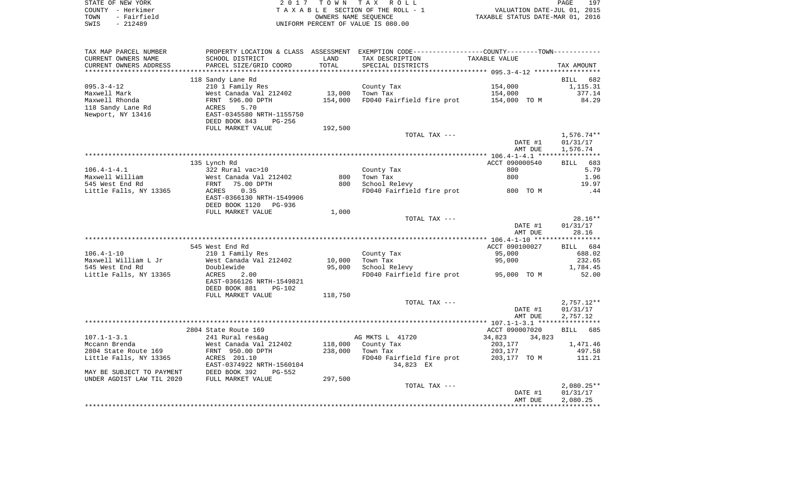| STATE OF NEW YORK   | 2017 TOWN TAX ROLL                 | 197<br>PAGE                      |
|---------------------|------------------------------------|----------------------------------|
| COUNTY - Herkimer   | TAXABLE SECTION OF THE ROLL - 1    | VALUATION DATE-JUL 01, 2015      |
| - Fairfield<br>TOWN | OWNERS NAME SEOUENCE               | TAXABLE STATUS DATE-MAR 01, 2016 |
| $-212489$<br>SWIS   | UNIFORM PERCENT OF VALUE IS 080.00 |                                  |

| TAX MAP PARCEL NUMBER     | PROPERTY LOCATION & CLASS ASSESSMENT |         | EXEMPTION CODE-----------------COUNTY--------TOWN----------- |                  |                    |
|---------------------------|--------------------------------------|---------|--------------------------------------------------------------|------------------|--------------------|
| CURRENT OWNERS NAME       | SCHOOL DISTRICT                      | LAND    | TAX DESCRIPTION                                              | TAXABLE VALUE    |                    |
| CURRENT OWNERS ADDRESS    | PARCEL SIZE/GRID COORD               | TOTAL   | SPECIAL DISTRICTS                                            |                  | TAX AMOUNT         |
|                           |                                      |         |                                                              |                  |                    |
|                           | 118 Sandy Lane Rd                    |         |                                                              |                  | BILL<br>682        |
| $095.3 - 4 - 12$          | 210 1 Family Res                     |         | County Tax                                                   | 154,000          | 1,115.31           |
| Maxwell Mark              | West Canada Val 212402               | 13,000  | Town Tax                                                     | 154,000          | 377.14             |
|                           |                                      |         |                                                              |                  |                    |
| Maxwell Rhonda            | FRNT 596.00 DPTH                     | 154,000 | FD040 Fairfield fire prot                                    | 154,000 TO M     | 84.29              |
| 118 Sandy Lane Rd         | ACRES<br>5.70                        |         |                                                              |                  |                    |
| Newport, NY 13416         | EAST-0345580 NRTH-1155750            |         |                                                              |                  |                    |
|                           | DEED BOOK 843<br>PG-256              |         |                                                              |                  |                    |
|                           | FULL MARKET VALUE                    | 192,500 |                                                              |                  |                    |
|                           |                                      |         | TOTAL TAX ---                                                |                  | $1,576.74**$       |
|                           |                                      |         |                                                              | DATE #1          | 01/31/17           |
|                           |                                      |         |                                                              | AMT DUE          | 1,576.74           |
|                           |                                      |         |                                                              |                  |                    |
|                           | 135 Lynch Rd                         |         |                                                              | ACCT 090000540   | 683<br>BILL        |
| $106.4 - 1 - 4.1$         | 322 Rural vac>10                     |         | County Tax                                                   | 800              | 5.79               |
| Maxwell William           | West Canada Val 212402               | 800     | Town Tax                                                     | 800              | 1.96               |
| 545 West End Rd           | 75.00 DPTH<br>FRNT                   | 800     | School Relevy                                                |                  | 19.97              |
| Little Falls, NY 13365    | ACRES<br>0.35                        |         | FD040 Fairfield fire prot                                    | 800 TO M         | .44                |
|                           | EAST-0366130 NRTH-1549906            |         |                                                              |                  |                    |
|                           |                                      |         |                                                              |                  |                    |
|                           | DEED BOOK 1120<br>PG-936             |         |                                                              |                  |                    |
|                           | FULL MARKET VALUE                    | 1,000   |                                                              |                  |                    |
|                           |                                      |         | TOTAL TAX ---                                                |                  | $28.16**$          |
|                           |                                      |         |                                                              | DATE #1          | 01/31/17           |
|                           |                                      |         |                                                              | AMT DUE          | 28.16              |
|                           |                                      |         |                                                              |                  |                    |
|                           | 545 West End Rd                      |         |                                                              | ACCT 090100027   | <b>BILL</b><br>684 |
| $106.4 - 1 - 10$          | 210 1 Family Res                     |         | County Tax                                                   | 95,000           | 688.02             |
| Maxwell William L Jr      | West Canada Val 212402               | 10,000  | Town Tax                                                     | 95,000           | 232.65             |
| 545 West End Rd           | Doublewide                           | 95,000  | School Relevy                                                |                  | 1,784.45           |
| Little Falls, NY 13365    | ACRES<br>2.00                        |         | FD040 Fairfield fire prot                                    | 95,000 TO M      | 52.00              |
|                           | EAST-0366126 NRTH-1549821            |         |                                                              |                  |                    |
|                           | DEED BOOK 881<br>$PG-102$            |         |                                                              |                  |                    |
|                           | FULL MARKET VALUE                    | 118,750 |                                                              |                  |                    |
|                           |                                      |         |                                                              |                  |                    |
|                           |                                      |         | TOTAL TAX ---                                                |                  | $2,757.12**$       |
|                           |                                      |         |                                                              | DATE #1          | 01/31/17           |
|                           |                                      |         |                                                              | AMT DUE          | 2,757.12           |
|                           |                                      |         |                                                              |                  |                    |
|                           | 2804 State Route 169                 |         |                                                              | ACCT 090007020   | <b>BILL</b><br>685 |
| $107.1 - 1 - 3.1$         | 241 Rural res&ag                     |         | AG MKTS L 41720                                              | 34,823<br>34,823 |                    |
| Mccann Brenda             | West Canada Val 212402               | 118,000 | County Tax                                                   | 203,177          | 1,471.46           |
| 2804 State Route 169      | FRNT 950.00 DPTH                     | 238,000 | Town Tax                                                     | 203,177          | 497.58             |
| Little Falls, NY 13365    | ACRES 201.10                         |         | FD040 Fairfield fire prot                                    | 203,177 TO M     | 111.21             |
|                           | EAST-0374922 NRTH-1560104            |         | 34,823 EX                                                    |                  |                    |
| MAY BE SUBJECT TO PAYMENT | DEED BOOK 392<br>$PG-552$            |         |                                                              |                  |                    |
| UNDER AGDIST LAW TIL 2020 | FULL MARKET VALUE                    | 297,500 |                                                              |                  |                    |
|                           |                                      |         | TOTAL TAX ---                                                |                  | $2,080.25**$       |
|                           |                                      |         |                                                              | DATE #1          | 01/31/17           |
|                           |                                      |         |                                                              |                  |                    |
|                           |                                      |         |                                                              | AMT DUE          | 2,080.25           |
|                           |                                      |         |                                                              |                  |                    |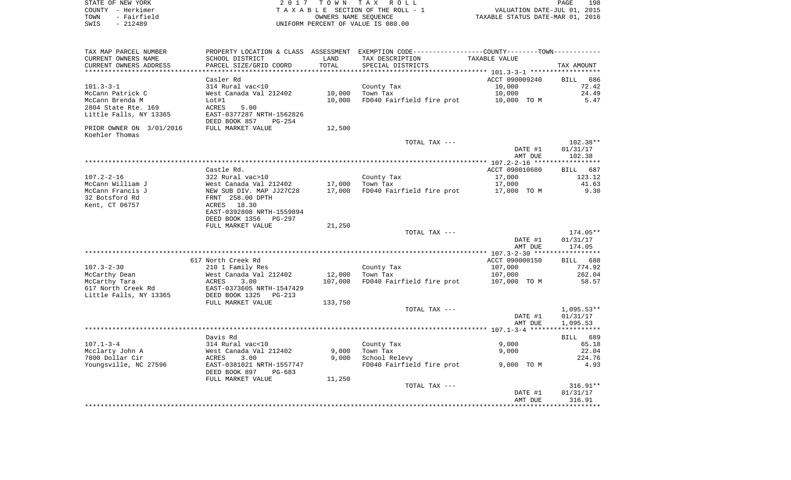| STATE OF NEW YORK<br>COUNTY - Herkimer<br>TOWN<br>- Fairfield<br>$-212489$<br>SWIS |                                                    |         | 2017 TOWN TAX ROLL<br>TAXABLE SECTION OF THE ROLL - 1<br>OWNERS NAME SEOUENCE<br>UNIFORM PERCENT OF VALUE IS 080.00 | VALUATION DATE-JUL 01, 2015<br>TAXABLE STATUS DATE-MAR 01, 2016 | PAGE<br>198  |
|------------------------------------------------------------------------------------|----------------------------------------------------|---------|---------------------------------------------------------------------------------------------------------------------|-----------------------------------------------------------------|--------------|
| TAX MAP PARCEL NUMBER                                                              |                                                    |         | PROPERTY LOCATION & CLASS ASSESSMENT EXEMPTION CODE---------------COUNTY-------TOWN----------                       |                                                                 |              |
| CURRENT OWNERS NAME                                                                | SCHOOL DISTRICT                                    | LAND    | TAX DESCRIPTION                                                                                                     | TAXABLE VALUE                                                   |              |
| CURRENT OWNERS ADDRESS                                                             | PARCEL SIZE/GRID COORD                             | TOTAL   | SPECIAL DISTRICTS                                                                                                   |                                                                 | TAX AMOUNT   |
|                                                                                    |                                                    |         |                                                                                                                     | *********** 101.3-3-1 *******************                       |              |
|                                                                                    | Casler Rd                                          |         |                                                                                                                     | ACCT 090009240                                                  | BILL<br>686  |
| $101.3 - 3 - 1$                                                                    | 314 Rural vac<10                                   |         | County Tax                                                                                                          | 10,000                                                          | 72.42        |
| McCann Patrick C                                                                   | West Canada Val 212402                             | 10,000  | Town Tax                                                                                                            | 10,000                                                          | 24.49        |
| McCann Brenda M                                                                    | Lot#1                                              | 10,000  | FD040 Fairfield fire prot                                                                                           | 10,000 TO M                                                     | 5.47         |
| 2804 State Rte. 169<br>Little Falls, NY 13365                                      | 5.00<br>ACRES<br>EAST-0377287 NRTH-1562826         |         |                                                                                                                     |                                                                 |              |
|                                                                                    | DEED BOOK 857<br>PG-254                            |         |                                                                                                                     |                                                                 |              |
| PRIOR OWNER ON 3/01/2016                                                           | FULL MARKET VALUE                                  | 12,500  |                                                                                                                     |                                                                 |              |
| Koehler Thomas                                                                     |                                                    |         |                                                                                                                     |                                                                 |              |
|                                                                                    |                                                    |         | TOTAL TAX ---                                                                                                       |                                                                 | $102.38**$   |
|                                                                                    |                                                    |         |                                                                                                                     | DATE #1                                                         | 01/31/17     |
|                                                                                    |                                                    |         |                                                                                                                     | AMT DUE                                                         | 102.38       |
|                                                                                    |                                                    |         |                                                                                                                     |                                                                 |              |
|                                                                                    | Castle Rd.                                         |         |                                                                                                                     | ACCT 090010680                                                  | 687<br>BILL  |
| 107.2-2-16                                                                         | 322 Rural vac>10                                   |         | County Tax                                                                                                          | 17,000                                                          | 123.12       |
| McCann William J                                                                   | West Canada Val 212402<br>NEW SUB DIV. MAP JJ27C28 | 17,000  | Town Tax                                                                                                            | 17,000                                                          | 41.63        |
| McCann Francis J                                                                   |                                                    | 17,000  | FD040 Fairfield fire prot                                                                                           | 17,000 TO M                                                     | 9.30         |
| 32 Botsford Rd<br>Kent, CT 06757                                                   | FRNT 258.00 DPTH<br>ACRES 18.30                    |         |                                                                                                                     |                                                                 |              |
|                                                                                    | EAST-0392808 NRTH-1559894                          |         |                                                                                                                     |                                                                 |              |
|                                                                                    | DEED BOOK 1356 PG-297                              |         |                                                                                                                     |                                                                 |              |
|                                                                                    | FULL MARKET VALUE                                  | 21,250  |                                                                                                                     |                                                                 |              |
|                                                                                    |                                                    |         | TOTAL TAX ---                                                                                                       |                                                                 | 174.05**     |
|                                                                                    |                                                    |         |                                                                                                                     | DATE #1                                                         | 01/31/17     |
|                                                                                    |                                                    |         |                                                                                                                     | AMT DUE                                                         | 174.05       |
|                                                                                    |                                                    |         |                                                                                                                     |                                                                 |              |
|                                                                                    | 617 North Creek Rd                                 |         |                                                                                                                     | ACCT 090000150                                                  | BILL 688     |
| $107.3 - 2 - 30$                                                                   | 210 1 Family Res                                   |         | County Tax                                                                                                          | 107,000                                                         | 774.92       |
| McCarthy Dean                                                                      | West Canada Val 212402                             | 12,000  | Town Tax                                                                                                            | 107,000                                                         | 262.04       |
| McCarthy Tara                                                                      | <b>ACRES</b><br>3.00                               | 107,000 | FD040 Fairfield fire prot                                                                                           | 107,000 TO M                                                    | 58.57        |
| 617 North Creek Rd<br>Little Falls, NY 13365                                       | EAST-0373605 NRTH-1547429<br>DEED BOOK 1325 PG-213 |         |                                                                                                                     |                                                                 |              |
|                                                                                    | FULL MARKET VALUE                                  | 133,750 |                                                                                                                     |                                                                 |              |
|                                                                                    |                                                    |         | TOTAL TAX ---                                                                                                       |                                                                 | $1,095.53**$ |
|                                                                                    |                                                    |         |                                                                                                                     | DATE #1                                                         | 01/31/17     |
|                                                                                    |                                                    |         |                                                                                                                     | AMT DUE                                                         | 1,095.53     |
|                                                                                    |                                                    |         |                                                                                                                     |                                                                 |              |
|                                                                                    | Davis Rd                                           |         |                                                                                                                     |                                                                 | BILL 689     |
| $107.1 - 3 - 4$                                                                    | 314 Rural vac<10<br>West Canada Val 212402         |         | County Tax                                                                                                          | 9,000                                                           | 65.18        |
| Mcclarty John A                                                                    |                                                    | 9,000   | Town Tax                                                                                                            | 9,000                                                           | 22.04        |
| 7800 Dollar Cir                                                                    | ACRES<br>3.00                                      | 9,000   | School Relevy                                                                                                       |                                                                 | 224.76       |
| Youngsville, NC 27596                                                              | EAST-0381021 NRTH-1557747                          |         | FD040 Fairfield fire prot                                                                                           | 9,000 TO M                                                      | 4.93         |
|                                                                                    | DEED BOOK 897<br>PG-683                            |         |                                                                                                                     |                                                                 |              |
|                                                                                    | FULL MARKET VALUE                                  | 11,250  | TOTAL TAX ---                                                                                                       |                                                                 | $316.91**$   |
|                                                                                    |                                                    |         |                                                                                                                     | DATE #1                                                         | 01/31/17     |
|                                                                                    |                                                    |         |                                                                                                                     | AMT DUE                                                         | 316.91       |
|                                                                                    |                                                    |         |                                                                                                                     |                                                                 | ***********  |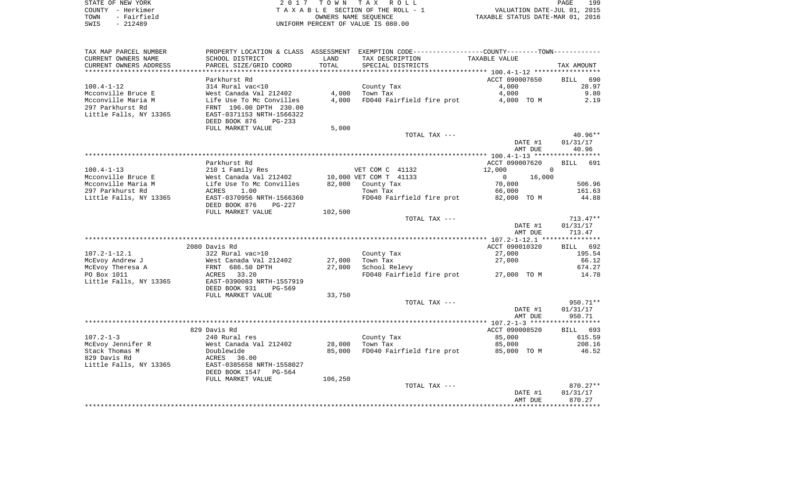| STATE OF NEW YORK   | 2017 TOWN TAX ROLL                 | 199<br>PAGE                      |
|---------------------|------------------------------------|----------------------------------|
| COUNTY - Herkimer   | TAXABLE SECTION OF THE ROLL - 1    | VALUATION DATE-JUL 01, 2015      |
| - Fairfield<br>TOWN | OWNERS NAME SEOUENCE               | TAXABLE STATUS DATE-MAR 01, 2016 |
| SWIS<br>$-212489$   | UNIFORM PERCENT OF VALUE IS 080.00 |                                  |

| TAX MAP PARCEL NUMBER               |                                            |                  | PROPERTY LOCATION & CLASS ASSESSMENT EXEMPTION CODE----------------COUNTY--------TOWN----------- |                    |                    |
|-------------------------------------|--------------------------------------------|------------------|--------------------------------------------------------------------------------------------------|--------------------|--------------------|
| CURRENT OWNERS NAME                 | SCHOOL DISTRICT                            | LAND             | TAX DESCRIPTION                                                                                  | TAXABLE VALUE      |                    |
| CURRENT OWNERS ADDRESS              | PARCEL SIZE/GRID COORD                     | TOTAL            | SPECIAL DISTRICTS                                                                                |                    | TAX AMOUNT         |
| **********************              |                                            |                  |                                                                                                  |                    |                    |
|                                     | Parkhurst Rd                               |                  |                                                                                                  | ACCT 090007650     | 690<br><b>BILL</b> |
| $100.4 - 1 - 12$                    | 314 Rural vac<10                           |                  | County Tax                                                                                       | 4,000              | 28.97              |
| Mcconville Bruce E                  | West Canada Val 212402                     | 4,000            | Town Tax                                                                                         | 4,000              | 9.80               |
| Mcconville Maria M                  | Life Use To Mc Convilles                   | 4,000            | FD040 Fairfield fire prot                                                                        | 4,000 TO M         | 2.19               |
| 297 Parkhurst Rd                    | FRNT 196.00 DPTH 230.00                    |                  |                                                                                                  |                    |                    |
| Little Falls, NY 13365              | EAST-0371153 NRTH-1566322                  |                  |                                                                                                  |                    |                    |
|                                     | DEED BOOK 876<br>$PG-233$                  |                  |                                                                                                  |                    |                    |
|                                     | FULL MARKET VALUE                          | 5,000            |                                                                                                  |                    | $40.96**$          |
|                                     |                                            |                  | TOTAL TAX ---                                                                                    | DATE #1            | 01/31/17           |
|                                     |                                            |                  |                                                                                                  | AMT DUE            | 40.96              |
|                                     |                                            |                  |                                                                                                  |                    |                    |
|                                     | Parkhurst Rd                               |                  |                                                                                                  | ACCT 090007620     | BILL 691           |
| $100.4 - 1 - 13$                    | 210 1 Family Res                           |                  | VET COM C 41132                                                                                  | 12,000             | 0                  |
| Mcconville Bruce E                  | West Canada Val 212402                     |                  | 10,000 VET COM T 41133                                                                           | $\Omega$<br>16,000 |                    |
| Mcconville Maria M                  | Life Use To Mc Convilles                   |                  | 82,000 County Tax                                                                                | 70,000             | 506.96             |
| 297 Parkhurst Rd                    | 1.00<br>ACRES                              |                  | Town Tax                                                                                         | 66,000             | 161.63             |
| Little Falls, NY 13365              | EAST-0370956 NRTH-1566360                  |                  | FD040 Fairfield fire prot                                                                        | 82,000 TO M        | 44.88              |
|                                     | DEED BOOK 876<br>PG-227                    |                  |                                                                                                  |                    |                    |
|                                     | FULL MARKET VALUE                          | 102,500          |                                                                                                  |                    |                    |
|                                     |                                            |                  | TOTAL TAX ---                                                                                    |                    | $713.47**$         |
|                                     |                                            |                  |                                                                                                  | DATE #1            | 01/31/17           |
|                                     |                                            |                  |                                                                                                  | AMT DUE            | 713.47             |
|                                     |                                            |                  |                                                                                                  |                    |                    |
|                                     | 2080 Davis Rd                              |                  |                                                                                                  | ACCT 090010320     | BILL 692           |
| $107.2 - 1 - 12.1$                  | 322 Rural vac>10                           |                  | County Tax                                                                                       | 27,000             | 195.54             |
| McEvoy Andrew J<br>McEvoy Theresa A | West Canada Val 212402<br>FRNT 686.50 DPTH | 27,000<br>27,000 | Town Tax<br>School Relevy                                                                        | 27,000             | 66.12<br>674.27    |
| PO Box 1011                         | 33.20<br>ACRES                             |                  | FD040 Fairfield fire prot                                                                        | 27,000 TO M        | 14.78              |
| Little Falls, NY 13365              | EAST-0390083 NRTH-1557919                  |                  |                                                                                                  |                    |                    |
|                                     | DEED BOOK 931<br>PG-569                    |                  |                                                                                                  |                    |                    |
|                                     | FULL MARKET VALUE                          | 33,750           |                                                                                                  |                    |                    |
|                                     |                                            |                  | TOTAL TAX ---                                                                                    |                    | 950.71**           |
|                                     |                                            |                  |                                                                                                  | DATE #1            | 01/31/17           |
|                                     |                                            |                  |                                                                                                  | AMT DUE            | 950.71             |
|                                     |                                            |                  |                                                                                                  |                    |                    |
|                                     | 829 Davis Rd                               |                  |                                                                                                  | ACCT 090008520     | BILL 693           |
| $107.2 - 1 - 3$                     | 240 Rural res                              |                  | County Tax                                                                                       | 85,000             | 615.59             |
| McEvoy Jennifer R                   | West Canada Val 212402                     | 28,000           | Town Tax                                                                                         | 85,000             | 208.16             |
| Stack Thomas M                      | Doublewide                                 | 85,000           | FD040 Fairfield fire prot                                                                        | 85,000 TO M        | 46.52              |
| 829 Davis Rd                        | ACRES<br>36.00                             |                  |                                                                                                  |                    |                    |
| Little Falls, NY 13365              | EAST-0385658 NRTH-1558027                  |                  |                                                                                                  |                    |                    |
|                                     | DEED BOOK 1547<br>PG-564                   |                  |                                                                                                  |                    |                    |
|                                     | FULL MARKET VALUE                          | 106,250          |                                                                                                  |                    |                    |
|                                     |                                            |                  | TOTAL TAX ---                                                                                    | DATE #1            | $870.27**$         |
|                                     |                                            |                  |                                                                                                  | AMT DUE            | 01/31/17<br>870.27 |
|                                     |                                            |                  |                                                                                                  |                    |                    |
|                                     |                                            |                  |                                                                                                  |                    |                    |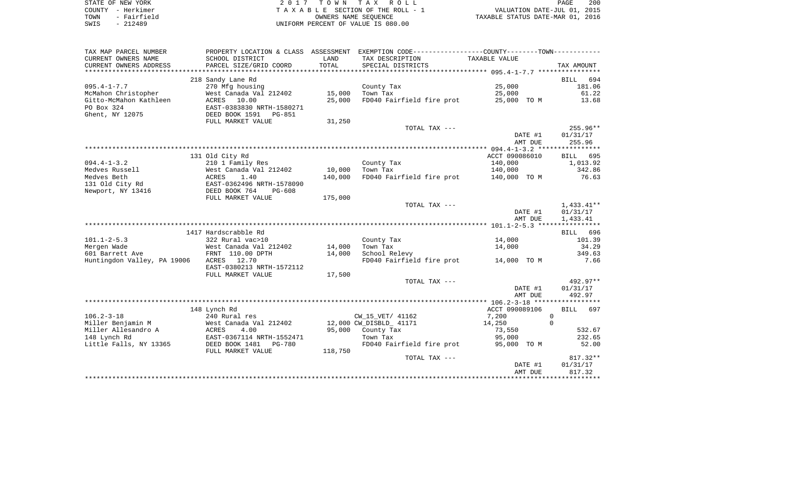| STATE OF NEW YORK   | 2017 TOWN TAX ROLL                 | 200<br>PAGE                      |
|---------------------|------------------------------------|----------------------------------|
| COUNTY - Herkimer   | TAXABLE SECTION OF THE ROLL - 1    | VALUATION DATE-JUL 01, 2015      |
| - Fairfield<br>TOWN | OWNERS NAME SEOUENCE               | TAXABLE STATUS DATE-MAR 01, 2016 |
| $-212489$<br>SWIS   | UNIFORM PERCENT OF VALUE IS 080.00 |                                  |

| TAX MAP PARCEL NUMBER       | PROPERTY LOCATION & CLASS ASSESSMENT |         | EXEMPTION CODE----------------COUNTY-------TOWN----------- |                    |                      |
|-----------------------------|--------------------------------------|---------|------------------------------------------------------------|--------------------|----------------------|
| CURRENT OWNERS NAME         | SCHOOL DISTRICT                      | LAND    | TAX DESCRIPTION                                            | TAXABLE VALUE      |                      |
| CURRENT OWNERS ADDRESS      | PARCEL SIZE/GRID COORD               | TOTAL   | SPECIAL DISTRICTS                                          |                    | TAX AMOUNT           |
|                             |                                      |         |                                                            |                    |                      |
|                             | 218 Sandy Lane Rd                    |         |                                                            |                    | 694<br>BILL          |
| $095.4 - 1 - 7.7$           | 270 Mfg housing                      |         | County Tax                                                 | 25,000             | 181.06               |
| McMahon Christopher         | West Canada Val 212402               | 15,000  | Town Tax                                                   | 25,000             | 61.22                |
| Gitto-McMahon Kathleen      | 10.00<br>ACRES                       | 25,000  | FD040 Fairfield fire prot                                  | 25,000 TO M        | 13.68                |
| PO Box 324                  | EAST-0383830 NRTH-1580271            |         |                                                            |                    |                      |
| Ghent, NY 12075             | DEED BOOK 1591<br>PG-851             |         |                                                            |                    |                      |
|                             | FULL MARKET VALUE                    | 31,250  |                                                            |                    |                      |
|                             |                                      |         | TOTAL TAX ---                                              |                    | 255.96**             |
|                             |                                      |         |                                                            | DATE #1            | 01/31/17             |
|                             |                                      |         |                                                            | AMT DUE            | 255.96               |
|                             |                                      |         |                                                            |                    |                      |
|                             | 131 Old City Rd                      |         |                                                            | ACCT 090086010     | BILL 695             |
| $094.4 - 1 - 3.2$           | 210 1 Family Res                     |         | County Tax                                                 | 140,000            | 1,013.92             |
| Medves Russell              | West Canada Val 212402               | 10,000  | Town Tax                                                   | 140,000            | 342.86               |
| Medves Beth                 | ACRES<br>1.40                        | 140,000 | FD040 Fairfield fire prot                                  | 140,000 TO M       | 76.63                |
| 131 Old City Rd             | EAST-0362496 NRTH-1578090            |         |                                                            |                    |                      |
| Newport, NY 13416           | DEED BOOK 764<br>PG-608              |         |                                                            |                    |                      |
|                             | FULL MARKET VALUE                    | 175,000 | TOTAL TAX ---                                              |                    | $1,433.41**$         |
|                             |                                      |         |                                                            |                    |                      |
|                             |                                      |         |                                                            | DATE #1<br>AMT DUE | 01/31/17<br>1,433.41 |
|                             |                                      |         |                                                            |                    |                      |
|                             | 1417 Hardscrabble Rd                 |         |                                                            |                    | BILL 696             |
| $101.1 - 2 - 5.3$           | 322 Rural vac>10                     |         | County Tax                                                 | 14,000             | 101.39               |
| Mergen Wade                 | West Canada Val 212402               | 14,000  | Town Tax                                                   | 14,000             | 34.29                |
| 601 Barrett Ave             | FRNT 110.00 DPTH                     | 14,000  | School Relevy                                              |                    | 349.63               |
| Huntingdon Valley, PA 19006 | 12.70<br>ACRES                       |         | FD040 Fairfield fire prot                                  | 14,000 TO M        | 7.66                 |
|                             | EAST-0380213 NRTH-1572112            |         |                                                            |                    |                      |
|                             | FULL MARKET VALUE                    | 17,500  |                                                            |                    |                      |
|                             |                                      |         | TOTAL TAX ---                                              |                    | 492.97**             |
|                             |                                      |         |                                                            | DATE #1            | 01/31/17             |
|                             |                                      |         |                                                            | AMT DUE            | 492.97               |
|                             |                                      |         |                                                            |                    |                      |
|                             | 148 Lynch Rd                         |         |                                                            | ACCT 090089106     | <b>BILL</b><br>697   |
| $106.2 - 3 - 18$            | 240 Rural res                        |         | CW_15_VET/ 41162                                           | 7,200              | $\mathbf{0}$         |
| Miller Benjamin M           | West Canada Val 212402               |         | 12,000 CW DISBLD 41171                                     | 14,250             | $\Omega$             |
| Miller Allesandro A         | 4.00<br>ACRES                        | 95,000  | County Tax                                                 | 73,550             | 532.67               |
| 148 Lynch Rd                | EAST-0367114 NRTH-1552471            |         | Town Tax                                                   | 95,000             | 232.65               |
| Little Falls, NY 13365      | DEED BOOK 1481<br>PG-780             |         | FD040 Fairfield fire prot                                  | 95,000 TO M        | 52.00                |
|                             | FULL MARKET VALUE                    | 118,750 |                                                            |                    |                      |
|                             |                                      |         | TOTAL TAX ---                                              |                    | $817.32**$           |
|                             |                                      |         |                                                            | DATE #1            | 01/31/17             |
|                             |                                      |         |                                                            | AMT DUE            | 817.32               |
|                             |                                      |         |                                                            |                    |                      |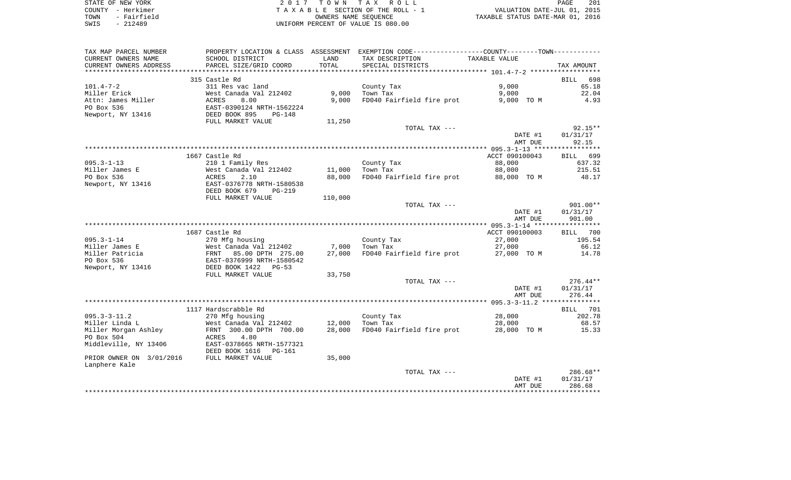| STATE OF NEW YORK   | 2017 TOWN TAX ROLL                 | 201<br>PAGE                      |
|---------------------|------------------------------------|----------------------------------|
| COUNTY - Herkimer   | TAXABLE SECTION OF THE ROLL - 1    | VALUATION DATE-JUL 01, 2015      |
| - Fairfield<br>TOWN | OWNERS NAME SEOUENCE               | TAXABLE STATUS DATE-MAR 01, 2016 |
| SWIS<br>$-212489$   | UNIFORM PERCENT OF VALUE IS 080.00 |                                  |

| SCHOOL DISTRICT<br>LAND<br>TAX DESCRIPTION<br>TAXABLE VALUE<br>TOTAL<br>PARCEL SIZE/GRID COORD<br>SPECIAL DISTRICTS<br>TAX AMOUNT<br>************************<br>315 Castle Rd<br><b>BILL</b><br>698<br>9,000<br>65.18<br>$101.4 - 7 - 2$<br>311 Res vac land<br>County Tax<br>9,000<br>9,000<br>22.04<br>Miller Erick<br>West Canada Val 212402<br>Town Tax<br>9,000<br>FD040 Fairfield fire prot<br>4.93<br>Attn: James Miller<br>ACRES<br>8.00<br>9,000 TO M<br>EAST-0390124 NRTH-1562224<br>PO Box 536<br>Newport, NY 13416<br>DEED BOOK 895<br>$PG-148$<br>FULL MARKET VALUE<br>11,250<br>$92.15**$<br>TOTAL TAX ---<br>DATE #1<br>01/31/17<br>AMT DUE<br>92.15<br>1667 Castle Rd<br>ACCT 090100043<br>BILL 699<br>$095.3 - 1 - 13$<br>88,000<br>210 1 Family Res<br>County Tax<br>637.32<br>215.51<br>Miller James E<br>West Canada Val 212402<br>11,000<br>Town Tax<br>88,000<br>PO Box 536<br>FD040 Fairfield fire prot<br>ACRES<br>2.10<br>88,000<br>88,000 TO M<br>48.17<br>Newport, NY 13416<br>EAST-0376778 NRTH-1580538<br>DEED BOOK 679<br>$PG-219$<br>FULL MARKET VALUE<br>110,000<br>901.00**<br>TOTAL TAX ---<br>DATE #1<br>01/31/17<br>AMT DUE<br>901.00<br>1687 Castle Rd<br>ACCT 090100003<br>BILL 700<br>270 Mfg housing<br>County Tax<br>27,000<br>195.54<br>West Canada Val 212402<br>7,000<br>Town Tax<br>27,000<br>66.12<br>27,000<br>FD040 Fairfield fire prot<br>FRNT 85.00 DPTH 275.00<br>27,000 TO M<br>14.78<br>EAST-0376999 NRTH-1580542<br>DEED BOOK 1422<br>$PG-53$<br>FULL MARKET VALUE<br>33,750<br>TOTAL TAX ---<br>$276.44**$<br>DATE #1<br>01/31/17<br>AMT DUE<br>276.44<br>1117 Hardscrabble Rd<br>BILL 701<br>$095.3 - 3 - 11.2$<br>270 Mfg housing<br>28,000<br>202.78<br>County Tax<br>Miller Linda L<br>12,000<br>28,000<br>68.57<br>West Canada Val 212402<br>Town Tax<br>Miller Morgan Ashley<br>28,000<br>FRNT 300.00 DPTH 700.00<br>FD040 Fairfield fire prot<br>28,000 TO M<br>15.33<br>PO Box 504<br>ACRES<br>4.80<br>Middleville, NY 13406<br>EAST-0378665 NRTH-1577321<br>DEED BOOK 1616<br><b>PG-161</b><br>PRIOR OWNER ON 3/01/2016<br>FULL MARKET VALUE<br>35,000<br>Lanphere Kale<br>$286.68**$<br>TOTAL TAX ---<br>DATE #1<br>01/31/17<br>286.68<br>AMT DUE | TAX MAP PARCEL NUMBER  |  | PROPERTY LOCATION & CLASS ASSESSMENT EXEMPTION CODE---------------COUNTY--------TOWN---------- |  |
|---------------------------------------------------------------------------------------------------------------------------------------------------------------------------------------------------------------------------------------------------------------------------------------------------------------------------------------------------------------------------------------------------------------------------------------------------------------------------------------------------------------------------------------------------------------------------------------------------------------------------------------------------------------------------------------------------------------------------------------------------------------------------------------------------------------------------------------------------------------------------------------------------------------------------------------------------------------------------------------------------------------------------------------------------------------------------------------------------------------------------------------------------------------------------------------------------------------------------------------------------------------------------------------------------------------------------------------------------------------------------------------------------------------------------------------------------------------------------------------------------------------------------------------------------------------------------------------------------------------------------------------------------------------------------------------------------------------------------------------------------------------------------------------------------------------------------------------------------------------------------------------------------------------------------------------------------------------------------------------------------------------------------------------------------------------------------------------------------------------------------------------------------------------------------------------------------------------------|------------------------|--|------------------------------------------------------------------------------------------------|--|
|                                                                                                                                                                                                                                                                                                                                                                                                                                                                                                                                                                                                                                                                                                                                                                                                                                                                                                                                                                                                                                                                                                                                                                                                                                                                                                                                                                                                                                                                                                                                                                                                                                                                                                                                                                                                                                                                                                                                                                                                                                                                                                                                                                                                                     | CURRENT OWNERS NAME    |  |                                                                                                |  |
|                                                                                                                                                                                                                                                                                                                                                                                                                                                                                                                                                                                                                                                                                                                                                                                                                                                                                                                                                                                                                                                                                                                                                                                                                                                                                                                                                                                                                                                                                                                                                                                                                                                                                                                                                                                                                                                                                                                                                                                                                                                                                                                                                                                                                     | CURRENT OWNERS ADDRESS |  |                                                                                                |  |
|                                                                                                                                                                                                                                                                                                                                                                                                                                                                                                                                                                                                                                                                                                                                                                                                                                                                                                                                                                                                                                                                                                                                                                                                                                                                                                                                                                                                                                                                                                                                                                                                                                                                                                                                                                                                                                                                                                                                                                                                                                                                                                                                                                                                                     |                        |  |                                                                                                |  |
|                                                                                                                                                                                                                                                                                                                                                                                                                                                                                                                                                                                                                                                                                                                                                                                                                                                                                                                                                                                                                                                                                                                                                                                                                                                                                                                                                                                                                                                                                                                                                                                                                                                                                                                                                                                                                                                                                                                                                                                                                                                                                                                                                                                                                     |                        |  |                                                                                                |  |
|                                                                                                                                                                                                                                                                                                                                                                                                                                                                                                                                                                                                                                                                                                                                                                                                                                                                                                                                                                                                                                                                                                                                                                                                                                                                                                                                                                                                                                                                                                                                                                                                                                                                                                                                                                                                                                                                                                                                                                                                                                                                                                                                                                                                                     |                        |  |                                                                                                |  |
|                                                                                                                                                                                                                                                                                                                                                                                                                                                                                                                                                                                                                                                                                                                                                                                                                                                                                                                                                                                                                                                                                                                                                                                                                                                                                                                                                                                                                                                                                                                                                                                                                                                                                                                                                                                                                                                                                                                                                                                                                                                                                                                                                                                                                     |                        |  |                                                                                                |  |
|                                                                                                                                                                                                                                                                                                                                                                                                                                                                                                                                                                                                                                                                                                                                                                                                                                                                                                                                                                                                                                                                                                                                                                                                                                                                                                                                                                                                                                                                                                                                                                                                                                                                                                                                                                                                                                                                                                                                                                                                                                                                                                                                                                                                                     |                        |  |                                                                                                |  |
|                                                                                                                                                                                                                                                                                                                                                                                                                                                                                                                                                                                                                                                                                                                                                                                                                                                                                                                                                                                                                                                                                                                                                                                                                                                                                                                                                                                                                                                                                                                                                                                                                                                                                                                                                                                                                                                                                                                                                                                                                                                                                                                                                                                                                     |                        |  |                                                                                                |  |
|                                                                                                                                                                                                                                                                                                                                                                                                                                                                                                                                                                                                                                                                                                                                                                                                                                                                                                                                                                                                                                                                                                                                                                                                                                                                                                                                                                                                                                                                                                                                                                                                                                                                                                                                                                                                                                                                                                                                                                                                                                                                                                                                                                                                                     |                        |  |                                                                                                |  |
|                                                                                                                                                                                                                                                                                                                                                                                                                                                                                                                                                                                                                                                                                                                                                                                                                                                                                                                                                                                                                                                                                                                                                                                                                                                                                                                                                                                                                                                                                                                                                                                                                                                                                                                                                                                                                                                                                                                                                                                                                                                                                                                                                                                                                     |                        |  |                                                                                                |  |
|                                                                                                                                                                                                                                                                                                                                                                                                                                                                                                                                                                                                                                                                                                                                                                                                                                                                                                                                                                                                                                                                                                                                                                                                                                                                                                                                                                                                                                                                                                                                                                                                                                                                                                                                                                                                                                                                                                                                                                                                                                                                                                                                                                                                                     |                        |  |                                                                                                |  |
|                                                                                                                                                                                                                                                                                                                                                                                                                                                                                                                                                                                                                                                                                                                                                                                                                                                                                                                                                                                                                                                                                                                                                                                                                                                                                                                                                                                                                                                                                                                                                                                                                                                                                                                                                                                                                                                                                                                                                                                                                                                                                                                                                                                                                     |                        |  |                                                                                                |  |
|                                                                                                                                                                                                                                                                                                                                                                                                                                                                                                                                                                                                                                                                                                                                                                                                                                                                                                                                                                                                                                                                                                                                                                                                                                                                                                                                                                                                                                                                                                                                                                                                                                                                                                                                                                                                                                                                                                                                                                                                                                                                                                                                                                                                                     |                        |  |                                                                                                |  |
|                                                                                                                                                                                                                                                                                                                                                                                                                                                                                                                                                                                                                                                                                                                                                                                                                                                                                                                                                                                                                                                                                                                                                                                                                                                                                                                                                                                                                                                                                                                                                                                                                                                                                                                                                                                                                                                                                                                                                                                                                                                                                                                                                                                                                     |                        |  |                                                                                                |  |
|                                                                                                                                                                                                                                                                                                                                                                                                                                                                                                                                                                                                                                                                                                                                                                                                                                                                                                                                                                                                                                                                                                                                                                                                                                                                                                                                                                                                                                                                                                                                                                                                                                                                                                                                                                                                                                                                                                                                                                                                                                                                                                                                                                                                                     |                        |  |                                                                                                |  |
|                                                                                                                                                                                                                                                                                                                                                                                                                                                                                                                                                                                                                                                                                                                                                                                                                                                                                                                                                                                                                                                                                                                                                                                                                                                                                                                                                                                                                                                                                                                                                                                                                                                                                                                                                                                                                                                                                                                                                                                                                                                                                                                                                                                                                     |                        |  |                                                                                                |  |
|                                                                                                                                                                                                                                                                                                                                                                                                                                                                                                                                                                                                                                                                                                                                                                                                                                                                                                                                                                                                                                                                                                                                                                                                                                                                                                                                                                                                                                                                                                                                                                                                                                                                                                                                                                                                                                                                                                                                                                                                                                                                                                                                                                                                                     |                        |  |                                                                                                |  |
|                                                                                                                                                                                                                                                                                                                                                                                                                                                                                                                                                                                                                                                                                                                                                                                                                                                                                                                                                                                                                                                                                                                                                                                                                                                                                                                                                                                                                                                                                                                                                                                                                                                                                                                                                                                                                                                                                                                                                                                                                                                                                                                                                                                                                     |                        |  |                                                                                                |  |
|                                                                                                                                                                                                                                                                                                                                                                                                                                                                                                                                                                                                                                                                                                                                                                                                                                                                                                                                                                                                                                                                                                                                                                                                                                                                                                                                                                                                                                                                                                                                                                                                                                                                                                                                                                                                                                                                                                                                                                                                                                                                                                                                                                                                                     |                        |  |                                                                                                |  |
|                                                                                                                                                                                                                                                                                                                                                                                                                                                                                                                                                                                                                                                                                                                                                                                                                                                                                                                                                                                                                                                                                                                                                                                                                                                                                                                                                                                                                                                                                                                                                                                                                                                                                                                                                                                                                                                                                                                                                                                                                                                                                                                                                                                                                     |                        |  |                                                                                                |  |
|                                                                                                                                                                                                                                                                                                                                                                                                                                                                                                                                                                                                                                                                                                                                                                                                                                                                                                                                                                                                                                                                                                                                                                                                                                                                                                                                                                                                                                                                                                                                                                                                                                                                                                                                                                                                                                                                                                                                                                                                                                                                                                                                                                                                                     |                        |  |                                                                                                |  |
|                                                                                                                                                                                                                                                                                                                                                                                                                                                                                                                                                                                                                                                                                                                                                                                                                                                                                                                                                                                                                                                                                                                                                                                                                                                                                                                                                                                                                                                                                                                                                                                                                                                                                                                                                                                                                                                                                                                                                                                                                                                                                                                                                                                                                     |                        |  |                                                                                                |  |
|                                                                                                                                                                                                                                                                                                                                                                                                                                                                                                                                                                                                                                                                                                                                                                                                                                                                                                                                                                                                                                                                                                                                                                                                                                                                                                                                                                                                                                                                                                                                                                                                                                                                                                                                                                                                                                                                                                                                                                                                                                                                                                                                                                                                                     |                        |  |                                                                                                |  |
|                                                                                                                                                                                                                                                                                                                                                                                                                                                                                                                                                                                                                                                                                                                                                                                                                                                                                                                                                                                                                                                                                                                                                                                                                                                                                                                                                                                                                                                                                                                                                                                                                                                                                                                                                                                                                                                                                                                                                                                                                                                                                                                                                                                                                     |                        |  |                                                                                                |  |
|                                                                                                                                                                                                                                                                                                                                                                                                                                                                                                                                                                                                                                                                                                                                                                                                                                                                                                                                                                                                                                                                                                                                                                                                                                                                                                                                                                                                                                                                                                                                                                                                                                                                                                                                                                                                                                                                                                                                                                                                                                                                                                                                                                                                                     |                        |  |                                                                                                |  |
|                                                                                                                                                                                                                                                                                                                                                                                                                                                                                                                                                                                                                                                                                                                                                                                                                                                                                                                                                                                                                                                                                                                                                                                                                                                                                                                                                                                                                                                                                                                                                                                                                                                                                                                                                                                                                                                                                                                                                                                                                                                                                                                                                                                                                     | $095.3 - 1 - 14$       |  |                                                                                                |  |
|                                                                                                                                                                                                                                                                                                                                                                                                                                                                                                                                                                                                                                                                                                                                                                                                                                                                                                                                                                                                                                                                                                                                                                                                                                                                                                                                                                                                                                                                                                                                                                                                                                                                                                                                                                                                                                                                                                                                                                                                                                                                                                                                                                                                                     | Miller James E         |  |                                                                                                |  |
|                                                                                                                                                                                                                                                                                                                                                                                                                                                                                                                                                                                                                                                                                                                                                                                                                                                                                                                                                                                                                                                                                                                                                                                                                                                                                                                                                                                                                                                                                                                                                                                                                                                                                                                                                                                                                                                                                                                                                                                                                                                                                                                                                                                                                     | Miller Patricia        |  |                                                                                                |  |
|                                                                                                                                                                                                                                                                                                                                                                                                                                                                                                                                                                                                                                                                                                                                                                                                                                                                                                                                                                                                                                                                                                                                                                                                                                                                                                                                                                                                                                                                                                                                                                                                                                                                                                                                                                                                                                                                                                                                                                                                                                                                                                                                                                                                                     | PO Box 536             |  |                                                                                                |  |
|                                                                                                                                                                                                                                                                                                                                                                                                                                                                                                                                                                                                                                                                                                                                                                                                                                                                                                                                                                                                                                                                                                                                                                                                                                                                                                                                                                                                                                                                                                                                                                                                                                                                                                                                                                                                                                                                                                                                                                                                                                                                                                                                                                                                                     | Newport, NY 13416      |  |                                                                                                |  |
|                                                                                                                                                                                                                                                                                                                                                                                                                                                                                                                                                                                                                                                                                                                                                                                                                                                                                                                                                                                                                                                                                                                                                                                                                                                                                                                                                                                                                                                                                                                                                                                                                                                                                                                                                                                                                                                                                                                                                                                                                                                                                                                                                                                                                     |                        |  |                                                                                                |  |
|                                                                                                                                                                                                                                                                                                                                                                                                                                                                                                                                                                                                                                                                                                                                                                                                                                                                                                                                                                                                                                                                                                                                                                                                                                                                                                                                                                                                                                                                                                                                                                                                                                                                                                                                                                                                                                                                                                                                                                                                                                                                                                                                                                                                                     |                        |  |                                                                                                |  |
|                                                                                                                                                                                                                                                                                                                                                                                                                                                                                                                                                                                                                                                                                                                                                                                                                                                                                                                                                                                                                                                                                                                                                                                                                                                                                                                                                                                                                                                                                                                                                                                                                                                                                                                                                                                                                                                                                                                                                                                                                                                                                                                                                                                                                     |                        |  |                                                                                                |  |
|                                                                                                                                                                                                                                                                                                                                                                                                                                                                                                                                                                                                                                                                                                                                                                                                                                                                                                                                                                                                                                                                                                                                                                                                                                                                                                                                                                                                                                                                                                                                                                                                                                                                                                                                                                                                                                                                                                                                                                                                                                                                                                                                                                                                                     |                        |  |                                                                                                |  |
|                                                                                                                                                                                                                                                                                                                                                                                                                                                                                                                                                                                                                                                                                                                                                                                                                                                                                                                                                                                                                                                                                                                                                                                                                                                                                                                                                                                                                                                                                                                                                                                                                                                                                                                                                                                                                                                                                                                                                                                                                                                                                                                                                                                                                     |                        |  |                                                                                                |  |
|                                                                                                                                                                                                                                                                                                                                                                                                                                                                                                                                                                                                                                                                                                                                                                                                                                                                                                                                                                                                                                                                                                                                                                                                                                                                                                                                                                                                                                                                                                                                                                                                                                                                                                                                                                                                                                                                                                                                                                                                                                                                                                                                                                                                                     |                        |  |                                                                                                |  |
|                                                                                                                                                                                                                                                                                                                                                                                                                                                                                                                                                                                                                                                                                                                                                                                                                                                                                                                                                                                                                                                                                                                                                                                                                                                                                                                                                                                                                                                                                                                                                                                                                                                                                                                                                                                                                                                                                                                                                                                                                                                                                                                                                                                                                     |                        |  |                                                                                                |  |
|                                                                                                                                                                                                                                                                                                                                                                                                                                                                                                                                                                                                                                                                                                                                                                                                                                                                                                                                                                                                                                                                                                                                                                                                                                                                                                                                                                                                                                                                                                                                                                                                                                                                                                                                                                                                                                                                                                                                                                                                                                                                                                                                                                                                                     |                        |  |                                                                                                |  |
|                                                                                                                                                                                                                                                                                                                                                                                                                                                                                                                                                                                                                                                                                                                                                                                                                                                                                                                                                                                                                                                                                                                                                                                                                                                                                                                                                                                                                                                                                                                                                                                                                                                                                                                                                                                                                                                                                                                                                                                                                                                                                                                                                                                                                     |                        |  |                                                                                                |  |
|                                                                                                                                                                                                                                                                                                                                                                                                                                                                                                                                                                                                                                                                                                                                                                                                                                                                                                                                                                                                                                                                                                                                                                                                                                                                                                                                                                                                                                                                                                                                                                                                                                                                                                                                                                                                                                                                                                                                                                                                                                                                                                                                                                                                                     |                        |  |                                                                                                |  |
|                                                                                                                                                                                                                                                                                                                                                                                                                                                                                                                                                                                                                                                                                                                                                                                                                                                                                                                                                                                                                                                                                                                                                                                                                                                                                                                                                                                                                                                                                                                                                                                                                                                                                                                                                                                                                                                                                                                                                                                                                                                                                                                                                                                                                     |                        |  |                                                                                                |  |
|                                                                                                                                                                                                                                                                                                                                                                                                                                                                                                                                                                                                                                                                                                                                                                                                                                                                                                                                                                                                                                                                                                                                                                                                                                                                                                                                                                                                                                                                                                                                                                                                                                                                                                                                                                                                                                                                                                                                                                                                                                                                                                                                                                                                                     |                        |  |                                                                                                |  |
|                                                                                                                                                                                                                                                                                                                                                                                                                                                                                                                                                                                                                                                                                                                                                                                                                                                                                                                                                                                                                                                                                                                                                                                                                                                                                                                                                                                                                                                                                                                                                                                                                                                                                                                                                                                                                                                                                                                                                                                                                                                                                                                                                                                                                     |                        |  |                                                                                                |  |
|                                                                                                                                                                                                                                                                                                                                                                                                                                                                                                                                                                                                                                                                                                                                                                                                                                                                                                                                                                                                                                                                                                                                                                                                                                                                                                                                                                                                                                                                                                                                                                                                                                                                                                                                                                                                                                                                                                                                                                                                                                                                                                                                                                                                                     |                        |  |                                                                                                |  |
|                                                                                                                                                                                                                                                                                                                                                                                                                                                                                                                                                                                                                                                                                                                                                                                                                                                                                                                                                                                                                                                                                                                                                                                                                                                                                                                                                                                                                                                                                                                                                                                                                                                                                                                                                                                                                                                                                                                                                                                                                                                                                                                                                                                                                     |                        |  |                                                                                                |  |
|                                                                                                                                                                                                                                                                                                                                                                                                                                                                                                                                                                                                                                                                                                                                                                                                                                                                                                                                                                                                                                                                                                                                                                                                                                                                                                                                                                                                                                                                                                                                                                                                                                                                                                                                                                                                                                                                                                                                                                                                                                                                                                                                                                                                                     |                        |  |                                                                                                |  |
|                                                                                                                                                                                                                                                                                                                                                                                                                                                                                                                                                                                                                                                                                                                                                                                                                                                                                                                                                                                                                                                                                                                                                                                                                                                                                                                                                                                                                                                                                                                                                                                                                                                                                                                                                                                                                                                                                                                                                                                                                                                                                                                                                                                                                     |                        |  |                                                                                                |  |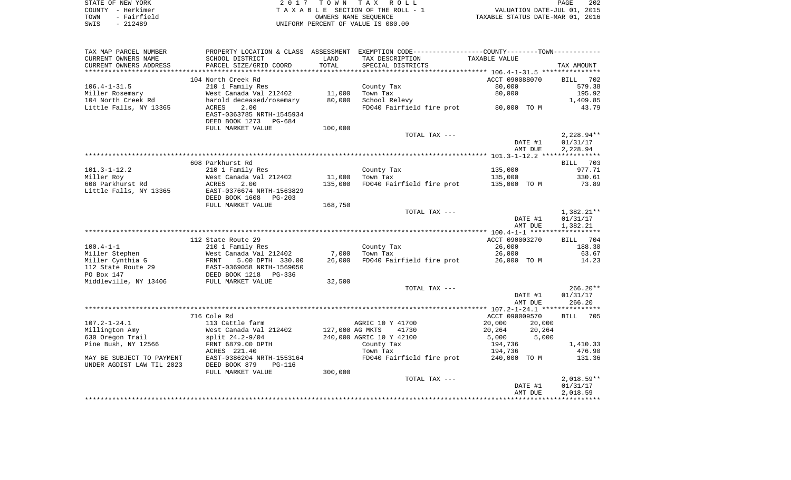| STATE OF NEW YORK   | 2017 TOWN TAX ROLL                 | 202<br><b>PAGE</b>               |
|---------------------|------------------------------------|----------------------------------|
| COUNTY – Herkimer   | TAXABLE SECTION OF THE ROLL - 1    | VALUATION DATE-JUL 01, 2015      |
| - Fairfield<br>TOWN | OWNERS NAME SEOUENCE               | TAXABLE STATUS DATE-MAR 01, 2016 |
| - 212489<br>SWIS    | UNIFORM PERCENT OF VALUE IS 080.00 |                                  |

| TAX MAP PARCEL NUMBER     |                            |                 | PROPERTY LOCATION & CLASS ASSESSMENT EXEMPTION CODE----------------COUNTY--------TOWN----------- |                    |                      |
|---------------------------|----------------------------|-----------------|--------------------------------------------------------------------------------------------------|--------------------|----------------------|
| CURRENT OWNERS NAME       | SCHOOL DISTRICT            | LAND            | TAX DESCRIPTION                                                                                  | TAXABLE VALUE      |                      |
| CURRENT OWNERS ADDRESS    | PARCEL SIZE/GRID COORD     | TOTAL           | SPECIAL DISTRICTS                                                                                |                    | TAX AMOUNT           |
|                           |                            |                 |                                                                                                  |                    |                      |
|                           | 104 North Creek Rd         |                 |                                                                                                  | ACCT 090088070     | BILL<br>702          |
| $106.4 - 1 - 31.5$        | 210 1 Family Res           |                 | County Tax                                                                                       | 80,000             | 579.38               |
| Miller Rosemary           | West Canada Val 212402     | 11,000          | Town Tax                                                                                         | 80,000             | 195.92               |
| 104 North Creek Rd        | harold deceased/rosemary   | 80,000          | School Relevy                                                                                    |                    | 1,409.85             |
| Little Falls, NY 13365    | 2.00<br>ACRES              |                 | FD040 Fairfield fire prot                                                                        | 80,000 TO M        | 43.79                |
|                           | EAST-0363785 NRTH-1545934  |                 |                                                                                                  |                    |                      |
|                           | DEED BOOK 1273<br>PG-684   |                 |                                                                                                  |                    |                      |
|                           | FULL MARKET VALUE          | 100,000         |                                                                                                  |                    |                      |
|                           |                            |                 | TOTAL TAX ---                                                                                    |                    | $2,228.94**$         |
|                           |                            |                 |                                                                                                  | DATE #1            | 01/31/17             |
|                           |                            |                 |                                                                                                  | AMT DUE            | 2,228.94             |
|                           |                            |                 |                                                                                                  |                    |                      |
|                           | 608 Parkhurst Rd           |                 |                                                                                                  |                    | BILL 703             |
| $101.3 - 1 - 12.2$        | 210 1 Family Res           |                 | County Tax                                                                                       | 135,000            | 977.71               |
| Miller Roy                | West Canada Val 212402     | 11,000          | Town Tax                                                                                         | 135,000            | 330.61               |
| 608 Parkhurst Rd          | ACRES<br>2.00              | 135,000         | FD040 Fairfield fire prot                                                                        | 135,000 TO M       | 73.89                |
| Little Falls, NY 13365    | EAST-0376674 NRTH-1563829  |                 |                                                                                                  |                    |                      |
|                           | DEED BOOK 1608<br>$PG-203$ |                 |                                                                                                  |                    |                      |
|                           | FULL MARKET VALUE          | 168,750         |                                                                                                  |                    |                      |
|                           |                            |                 | TOTAL TAX ---                                                                                    |                    | $1,382.21**$         |
|                           |                            |                 |                                                                                                  | DATE #1            | 01/31/17             |
|                           |                            |                 |                                                                                                  | AMT DUE            | 1,382.21             |
|                           |                            |                 |                                                                                                  |                    |                      |
|                           | 112 State Route 29         |                 |                                                                                                  | ACCT 090003270     | BILL 704             |
| $100.4 - 1 - 1$           | 210 1 Family Res           |                 | County Tax                                                                                       | 26,000             | 188.30               |
| Miller Stephen            | West Canada Val 212402     | 7,000           | Town Tax                                                                                         | 26,000             | 63.67                |
| Miller Cynthia G          | FRNT<br>5.00 DPTH 330.00   | 26,000          | FD040 Fairfield fire prot                                                                        | 26,000 TO M        | 14.23                |
| 112 State Route 29        | EAST-0369058 NRTH-1569050  |                 |                                                                                                  |                    |                      |
| PO Box 147                | DEED BOOK 1218<br>PG-336   |                 |                                                                                                  |                    |                      |
| Middleville, NY 13406     | FULL MARKET VALUE          | 32,500          |                                                                                                  |                    |                      |
|                           |                            |                 | TOTAL TAX ---                                                                                    |                    | $266.20**$           |
|                           |                            |                 |                                                                                                  | DATE #1            | 01/31/17             |
|                           |                            |                 |                                                                                                  | AMT DUE            | 266.20               |
|                           |                            |                 |                                                                                                  |                    |                      |
|                           | 716 Cole Rd                |                 |                                                                                                  | ACCT 090009570     | BILL<br>705          |
| $107.2 - 1 - 24.1$        | 113 Cattle farm            |                 | AGRIC 10 Y 41700                                                                                 | 20,000<br>20,000   |                      |
| Millington Amy            | West Canada Val 212402     | 127,000 AG MKTS | 41730                                                                                            | 20,264<br>20,264   |                      |
| 630 Oregon Trail          | split 24.2-9/04            |                 | 240,000 AGRIC 10 Y 42100                                                                         | 5,000<br>5,000     |                      |
| Pine Bush, NY 12566       | FRNT 6879.00 DPTH          |                 | County Tax                                                                                       | 194,736            | 1,410.33             |
|                           | ACRES 221.40               |                 | Town Tax                                                                                         | 194,736            | 476.90               |
| MAY BE SUBJECT TO PAYMENT | EAST-0386204 NRTH-1553164  |                 | FD040 Fairfield fire prot                                                                        | 240,000 TO M       | 131.36               |
| UNDER AGDIST LAW TIL 2023 | DEED BOOK 879<br>$PG-116$  |                 |                                                                                                  |                    |                      |
|                           |                            |                 |                                                                                                  |                    |                      |
|                           | FULL MARKET VALUE          | 300,000         | TOTAL TAX ---                                                                                    |                    | $2,018.59**$         |
|                           |                            |                 |                                                                                                  |                    |                      |
|                           |                            |                 |                                                                                                  | DATE #1<br>AMT DUE | 01/31/17<br>2,018.59 |
|                           |                            |                 |                                                                                                  |                    |                      |
|                           |                            |                 |                                                                                                  |                    |                      |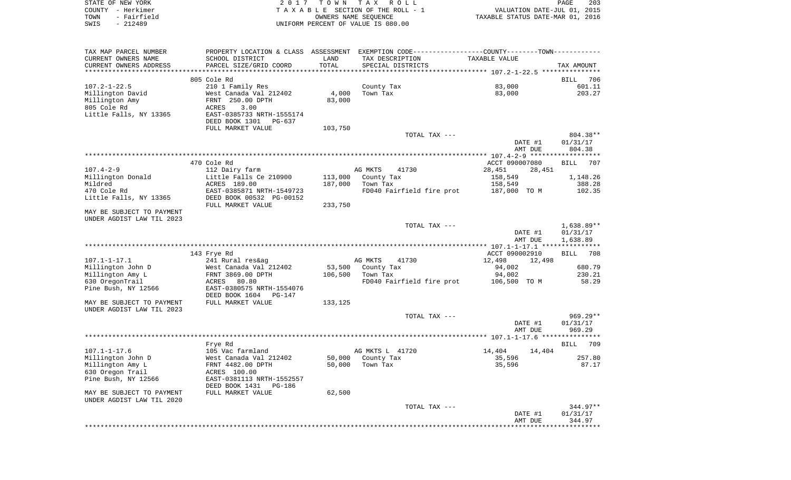| STATE OF NEW YORK<br>COUNTY - Herkimer<br>TOWN<br>- Fairfield<br>$-212489$<br>SWIS | 2017                                          | T O W N | T A X<br>R O L L<br>TAXABLE SECTION OF THE ROLL - 1<br>OWNERS NAME SEQUENCE<br>UNIFORM PERCENT OF VALUE IS 080.00 | VALUATION DATE-JUL 01, 2015<br>TAXABLE STATUS DATE-MAR 01, 2016 | PAGE<br>203        |
|------------------------------------------------------------------------------------|-----------------------------------------------|---------|-------------------------------------------------------------------------------------------------------------------|-----------------------------------------------------------------|--------------------|
|                                                                                    |                                               |         |                                                                                                                   |                                                                 |                    |
| TAX MAP PARCEL NUMBER                                                              |                                               |         | PROPERTY LOCATION & CLASS ASSESSMENT EXEMPTION CODE---------------COUNTY-------TOWN----------                     |                                                                 |                    |
| CURRENT OWNERS NAME                                                                | SCHOOL DISTRICT                               | LAND    | TAX DESCRIPTION                                                                                                   | TAXABLE VALUE                                                   |                    |
| CURRENT OWNERS ADDRESS                                                             | PARCEL SIZE/GRID COORD                        | TOTAL   | SPECIAL DISTRICTS                                                                                                 |                                                                 | TAX AMOUNT         |
| *************************                                                          |                                               |         |                                                                                                                   |                                                                 |                    |
|                                                                                    | 805 Cole Rd<br>210 1 Family Res               |         |                                                                                                                   |                                                                 | 706<br>BILL        |
| $107.2 - 1 - 22.5$<br>Millington David                                             | West Canada Val 212402                        | 4,000   | County Tax<br>Town Tax                                                                                            | 83,000<br>83,000                                                | 601.11<br>203.27   |
| Millington Amy                                                                     | FRNT 250.00 DPTH                              | 83,000  |                                                                                                                   |                                                                 |                    |
| 805 Cole Rd                                                                        | 3.00<br><b>ACRES</b>                          |         |                                                                                                                   |                                                                 |                    |
| Little Falls, NY 13365                                                             | EAST-0385733 NRTH-1555174                     |         |                                                                                                                   |                                                                 |                    |
|                                                                                    | DEED BOOK 1301<br>PG-637                      |         |                                                                                                                   |                                                                 |                    |
|                                                                                    | FULL MARKET VALUE                             | 103,750 |                                                                                                                   |                                                                 |                    |
|                                                                                    |                                               |         | TOTAL TAX ---                                                                                                     |                                                                 | 804.38**           |
|                                                                                    |                                               |         |                                                                                                                   | DATE #1                                                         | 01/31/17           |
|                                                                                    |                                               |         |                                                                                                                   | AMT DUE                                                         | 804.38             |
|                                                                                    | 470 Cole Rd                                   |         |                                                                                                                   | ACCT 090007080                                                  | <b>BILL</b><br>707 |
| $107.4 - 2 - 9$                                                                    | 112 Dairy farm                                |         | AG MKTS<br>41730                                                                                                  | 28,451<br>28,451                                                |                    |
| Millington Donald                                                                  | Little Falls Ce 210900                        | 113,000 | County Tax                                                                                                        | 158,549                                                         | 1,148.26           |
| Mildred                                                                            | ACRES 189.00                                  | 187,000 | Town Tax                                                                                                          | 158,549                                                         | 388.28             |
| 470 Cole Rd                                                                        | EAST-0385871 NRTH-1549723                     |         | FD040 Fairfield fire prot                                                                                         | 187,000 TO M                                                    | 102.35             |
| Little Falls, NY 13365                                                             | DEED BOOK 00532 PG-00152<br>FULL MARKET VALUE | 233,750 |                                                                                                                   |                                                                 |                    |
| MAY BE SUBJECT TO PAYMENT<br>UNDER AGDIST LAW TIL 2023                             |                                               |         |                                                                                                                   |                                                                 |                    |
|                                                                                    |                                               |         | TOTAL TAX ---                                                                                                     |                                                                 | $1,638.89**$       |
|                                                                                    |                                               |         |                                                                                                                   | DATE #1                                                         | 01/31/17           |
|                                                                                    |                                               |         |                                                                                                                   | AMT DUE                                                         | 1,638.89           |
|                                                                                    |                                               |         |                                                                                                                   |                                                                 |                    |
| $107.1 - 1 - 17.1$                                                                 | 143 Frye Rd<br>241 Rural res&ag               |         | AG MKTS<br>41730                                                                                                  | ACCT 090002910<br>12,498<br>12,498                              | BILL<br>708        |
| Millington John D                                                                  | West Canada Val 212402                        | 53,500  | County Tax                                                                                                        | 94,002                                                          | 680.79             |
| Millington Amy L                                                                   | FRNT 3869.00 DPTH                             | 106,500 | Town Tax                                                                                                          | 94,002                                                          | 230.21             |
| 630 OregonTrail                                                                    | 80.80<br>ACRES                                |         | FD040 Fairfield fire prot                                                                                         | 106,500 TO M                                                    | 58.29              |
| Pine Bush, NY 12566                                                                | EAST-0380575 NRTH-1554076                     |         |                                                                                                                   |                                                                 |                    |
|                                                                                    | DEED BOOK 1604 PG-147                         |         |                                                                                                                   |                                                                 |                    |
| MAY BE SUBJECT TO PAYMENT                                                          | FULL MARKET VALUE                             | 133,125 |                                                                                                                   |                                                                 |                    |
| UNDER AGDIST LAW TIL 2023                                                          |                                               |         |                                                                                                                   |                                                                 |                    |
|                                                                                    |                                               |         | TOTAL TAX ---                                                                                                     |                                                                 | $969.29**$         |
|                                                                                    |                                               |         |                                                                                                                   | DATE #1<br>AMT DUE                                              | 01/31/17<br>969.29 |
|                                                                                    |                                               |         |                                                                                                                   |                                                                 |                    |
|                                                                                    | Frye Rd                                       |         |                                                                                                                   |                                                                 | 709<br>BILL        |
| $107.1 - 1 - 17.6$                                                                 | 105 Vac farmland                              |         | AG MKTS L 41720                                                                                                   | 14,404<br>14,404                                                |                    |
| Millington John D                                                                  | West Canada Val 212402                        | 50,000  | County Tax                                                                                                        | 35,596                                                          | 257.80             |
| Millington Amy L                                                                   | FRNT 4482.00 DPTH                             | 50,000  | Town Tax                                                                                                          | 35,596                                                          | 87.17              |
| 630 Oregon Trail                                                                   | ACRES 100.00                                  |         |                                                                                                                   |                                                                 |                    |
| Pine Bush, NY 12566                                                                | EAST-0381113 NRTH-1552557                     |         |                                                                                                                   |                                                                 |                    |
| MAY BE SUBJECT TO PAYMENT                                                          | DEED BOOK 1431<br>PG-186<br>FULL MARKET VALUE | 62,500  |                                                                                                                   |                                                                 |                    |
| UNDER AGDIST LAW TIL 2020                                                          |                                               |         |                                                                                                                   |                                                                 |                    |
|                                                                                    |                                               |         | TOTAL TAX ---                                                                                                     |                                                                 | $344.97**$         |
|                                                                                    |                                               |         |                                                                                                                   | DATE #1                                                         | 01/31/17           |
|                                                                                    |                                               |         |                                                                                                                   | AMT DUE                                                         | 344.97             |
|                                                                                    |                                               |         |                                                                                                                   | ***********************************                             |                    |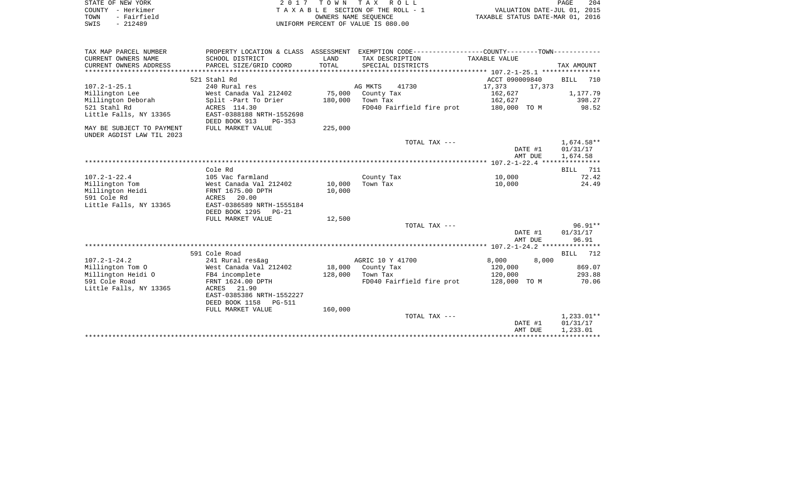| STATE OF NEW YORK<br>COUNTY - Herkimer<br>- Fairfield<br>TOWN<br>$-212489$<br>SWIS |                                                             |                  | 2017 TOWN TAX ROLL<br>TAXABLE SECTION OF THE ROLL - 1<br>OWNERS NAME SEQUENCE<br>UNIFORM PERCENT OF VALUE IS 080.00 | VALUATION DATE-JUL 01, 2015<br>TAXABLE STATUS DATE-MAR 01, 2016 | PAGE<br>204           |
|------------------------------------------------------------------------------------|-------------------------------------------------------------|------------------|---------------------------------------------------------------------------------------------------------------------|-----------------------------------------------------------------|-----------------------|
| TAX MAP PARCEL NUMBER<br>CURRENT OWNERS NAME                                       | SCHOOL DISTRICT                                             | LAND             | PROPERTY LOCATION & CLASS ASSESSMENT EXEMPTION CODE---------------COUNTY-------TOWN----------<br>TAX DESCRIPTION    | TAXABLE VALUE                                                   |                       |
| CURRENT OWNERS ADDRESS                                                             | PARCEL SIZE/GRID COORD                                      | TOTAL            | SPECIAL DISTRICTS                                                                                                   |                                                                 | TAX AMOUNT            |
|                                                                                    |                                                             |                  |                                                                                                                     |                                                                 |                       |
|                                                                                    | 521 Stahl Rd                                                |                  |                                                                                                                     | ACCT 090009840                                                  | <b>BILL</b><br>710    |
| $107.2 - 1 - 25.1$<br>Millington Lee                                               | 240 Rural res<br>West Canada Val 212402                     | 75,000           | AG MKTS<br>41730<br>County Tax                                                                                      | 17,373<br>17,373<br>162,627                                     | 1,177.79              |
| Millington Deborah                                                                 | Split -Part To Drier                                        | 180,000          | Town Tax                                                                                                            | 162,627                                                         | 398.27                |
| 521 Stahl Rd<br>Little Falls, NY 13365                                             | ACRES 114.30<br>EAST-0388188 NRTH-1552698                   |                  | FD040 Fairfield fire prot                                                                                           | 180,000 TO M                                                    | 98.52                 |
| MAY BE SUBJECT TO PAYMENT                                                          | DEED BOOK 913<br>$PG-353$<br>FULL MARKET VALUE              | 225,000          |                                                                                                                     |                                                                 |                       |
| UNDER AGDIST LAW TIL 2023                                                          |                                                             |                  | TOTAL TAX ---                                                                                                       |                                                                 | 1,674.58**            |
|                                                                                    |                                                             |                  |                                                                                                                     | DATE #1<br>AMT DUE                                              | 01/31/17<br>1,674.58  |
|                                                                                    |                                                             |                  |                                                                                                                     |                                                                 |                       |
|                                                                                    | Cole Rd                                                     |                  |                                                                                                                     |                                                                 | BILL<br>711           |
| $107.2 - 1 - 22.4$                                                                 | 105 Vac farmland                                            |                  | County Tax                                                                                                          | 10,000                                                          | 72.42                 |
| Millington Tom<br>Millington Heidi                                                 | West Canada Val 212402<br>FRNT 1675.00 DPTH                 | 10,000<br>10,000 | Town Tax                                                                                                            | 10,000                                                          | 24.49                 |
| 591 Cole Rd                                                                        | ACRES<br>20.00                                              |                  |                                                                                                                     |                                                                 |                       |
| Little Falls, NY 13365                                                             | EAST-0386589 NRTH-1555184                                   |                  |                                                                                                                     |                                                                 |                       |
|                                                                                    | DEED BOOK 1295 PG-21                                        |                  |                                                                                                                     |                                                                 |                       |
|                                                                                    | FULL MARKET VALUE                                           | 12,500           |                                                                                                                     |                                                                 |                       |
|                                                                                    |                                                             |                  | TOTAL TAX ---                                                                                                       | DATE #1                                                         | $96.91**$<br>01/31/17 |
|                                                                                    |                                                             |                  |                                                                                                                     | AMT DUE                                                         | 96.91                 |
|                                                                                    |                                                             |                  |                                                                                                                     |                                                                 |                       |
|                                                                                    | 591 Cole Road                                               |                  |                                                                                                                     |                                                                 | BILL 712              |
| $107.2 - 1 - 24.2$                                                                 | 241 Rural res&ag                                            |                  | AGRIC 10 Y 41700                                                                                                    | 8,000<br>8,000                                                  |                       |
| Millington Tom O                                                                   | West Canada Val 212402                                      | 18,000           | County Tax                                                                                                          | 120,000                                                         | 869.07                |
| Millington Heidi O                                                                 | FB4 incomplete                                              | 128,000          | Town Tax                                                                                                            | 120,000                                                         | 293.88                |
| 591 Cole Road                                                                      | FRNT 1624.00 DPTH<br>21.90                                  |                  | FD040 Fairfield fire prot                                                                                           | 128,000 TO M                                                    | 70.06                 |
| Little Falls, NY 13365                                                             | ACRES<br>EAST-0385386 NRTH-1552227<br>DEED BOOK 1158 PG-511 |                  |                                                                                                                     |                                                                 |                       |
|                                                                                    | FULL MARKET VALUE                                           | 160,000          |                                                                                                                     |                                                                 |                       |
|                                                                                    |                                                             |                  | TOTAL TAX ---                                                                                                       |                                                                 | $1,233.01**$          |
|                                                                                    |                                                             |                  |                                                                                                                     | DATE #1                                                         | 01/31/17              |
|                                                                                    |                                                             |                  |                                                                                                                     | AMT DUE                                                         | 1,233.01              |
|                                                                                    |                                                             |                  |                                                                                                                     |                                                                 | ************          |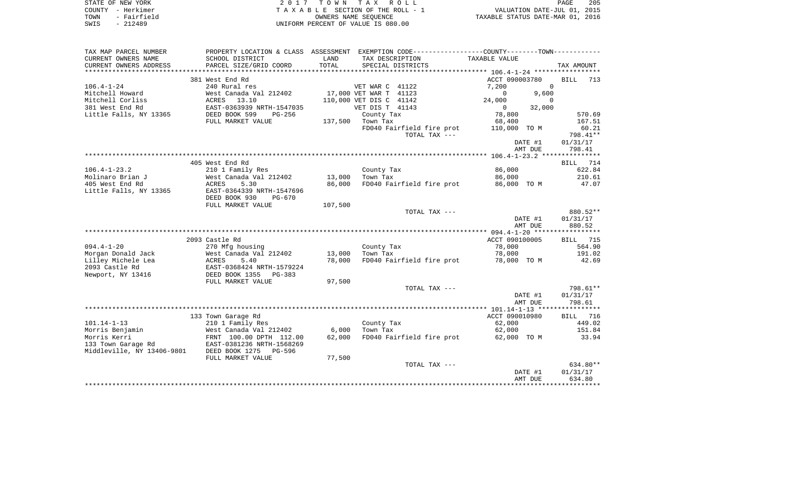| STATE OF NEW YORK   | 2017 TOWN TAX ROLL                 |                                  | PAGE | 205 |
|---------------------|------------------------------------|----------------------------------|------|-----|
| COUNTY - Herkimer   | TAXABLE SECTION OF THE ROLL - 1    | VALUATION DATE-JUL 01, 2015      |      |     |
| - Fairfield<br>TOWN | OWNERS NAME SEOUENCE               | TAXABLE STATUS DATE-MAR 01, 2016 |      |     |
| - 212489<br>SWIS    | UNIFORM PERCENT OF VALUE IS 080.00 |                                  |      |     |

| TAX MAP PARCEL NUMBER           | PROPERTY LOCATION & CLASS ASSESSMENT EXEMPTION CODE----------------COUNTY--------TOWN---------- |                 |                         |                           |                |             |                    |
|---------------------------------|-------------------------------------------------------------------------------------------------|-----------------|-------------------------|---------------------------|----------------|-------------|--------------------|
| CURRENT OWNERS NAME             | SCHOOL DISTRICT                                                                                 | LAND            | TAX DESCRIPTION         |                           | TAXABLE VALUE  |             |                    |
| CURRENT OWNERS ADDRESS          | PARCEL SIZE/GRID COORD                                                                          | TOTAL           | SPECIAL DISTRICTS       |                           |                |             | TAX AMOUNT         |
| *******************             |                                                                                                 |                 |                         |                           |                |             |                    |
|                                 | 381 West End Rd                                                                                 |                 |                         |                           | ACCT 090003780 |             | <b>BILL</b><br>713 |
| $106.4 - 1 - 24$                | 240 Rural res                                                                                   |                 | VET WAR C 41122         |                           | 7,200          | $\Omega$    |                    |
| Mitchell Howard                 | West Canada Val 212402                                                                          |                 | 17,000 VET WAR T 41123  |                           | $\mathbf 0$    | 9,600       |                    |
| Mitchell Corliss                | 13.10<br>ACRES                                                                                  |                 | 110,000 VET DIS C 41142 |                           | 24,000         | $\mathbf 0$ |                    |
| 381 West End Rd                 | EAST-0363939 NRTH-1547035                                                                       |                 | VET DIS T 41143         |                           | $\circ$        | 32,000      |                    |
| Little Falls, NY 13365          | DEED BOOK 599<br>$PG-256$                                                                       |                 | County Tax              |                           | 78,800         |             | 570.69             |
|                                 | FULL MARKET VALUE                                                                               |                 | 137,500 Town Tax        |                           | 68,400         |             | 167.51             |
|                                 |                                                                                                 |                 |                         | FD040 Fairfield fire prot | 110,000 TO M   |             | 60.21              |
|                                 |                                                                                                 |                 |                         | TOTAL TAX ---             |                |             | 798.41**           |
|                                 |                                                                                                 |                 |                         |                           |                | DATE #1     | 01/31/17           |
|                                 |                                                                                                 |                 |                         |                           |                | AMT DUE     | 798.41             |
|                                 |                                                                                                 |                 |                         |                           |                |             |                    |
|                                 | 405 West End Rd                                                                                 |                 |                         |                           |                |             | 714<br>BILL        |
| $106.4 - 1 - 23.2$              | 210 1 Family Res                                                                                |                 | County Tax              |                           | 86,000         |             | 622.84             |
| Molinaro Brian J                | West Canada Val 212402                                                                          | 13,000          | Town Tax                |                           | 86,000         |             | 210.61             |
| 405 West End Rd                 | 5.30<br>ACRES                                                                                   | 86,000          |                         | FD040 Fairfield fire prot | 86,000 TO M    |             | 47.07              |
| Little Falls, NY 13365          | EAST-0364339 NRTH-1547696                                                                       |                 |                         |                           |                |             |                    |
|                                 | DEED BOOK 930<br>PG-670                                                                         |                 |                         |                           |                |             |                    |
|                                 | FULL MARKET VALUE                                                                               | 107,500         |                         |                           |                |             |                    |
|                                 |                                                                                                 |                 |                         | TOTAL TAX ---             |                |             | 880.52**           |
|                                 |                                                                                                 |                 |                         |                           |                | DATE #1     | 01/31/17           |
|                                 |                                                                                                 |                 |                         |                           |                | AMT DUE     | 880.52             |
|                                 |                                                                                                 |                 |                         |                           |                |             |                    |
|                                 | 2093 Castle Rd                                                                                  |                 |                         |                           | ACCT 090100005 |             | <b>BILL</b> 715    |
| $094.4 - 1 - 20$                | 270 Mfg housing                                                                                 |                 | County Tax              |                           | 78,000         |             | 564.90             |
| Morgan Donald Jack              | West Canada Val 212402                                                                          | 13,000          | Town Tax                |                           | 78,000         |             | 191.02             |
| Lilley Michele Lea              | 5.40<br>ACRES                                                                                   | 78,000          |                         | FD040 Fairfield fire prot | 78,000 TO M    |             | 42.69              |
| 2093 Castle Rd                  | EAST-0368424 NRTH-1579224                                                                       |                 |                         |                           |                |             |                    |
| Newport, NY 13416               | DEED BOOK 1355<br>PG-383                                                                        |                 |                         |                           |                |             |                    |
|                                 | FULL MARKET VALUE                                                                               | 97,500          |                         |                           |                |             |                    |
|                                 |                                                                                                 |                 |                         | TOTAL TAX ---             |                |             | 798.61**           |
|                                 |                                                                                                 |                 |                         |                           |                | DATE #1     | 01/31/17           |
|                                 |                                                                                                 |                 |                         |                           |                | AMT DUE     | 798.61             |
|                                 |                                                                                                 |                 |                         |                           | ACCT 090010980 |             | 716<br>BILL        |
| $101.14 - 1 - 13$               | 133 Town Garage Rd<br>210 1 Family Res                                                          |                 | County Tax              |                           | 62,000         |             | 449.02             |
|                                 |                                                                                                 |                 | Town Tax                |                           | 62,000         |             | 151.84             |
| Morris Benjamin<br>Morris Kerri | West Canada Val 212402<br>FRNT 100.00 DPTH 112.00                                               | 6,000<br>62,000 |                         | FD040 Fairfield fire prot | 62,000 TO M    |             | 33.94              |
| 133 Town Garage Rd              | EAST-0381236 NRTH-1568269                                                                       |                 |                         |                           |                |             |                    |
| Middleville, NY 13406-9801      | DEED BOOK 1275<br>PG-596                                                                        |                 |                         |                           |                |             |                    |
|                                 | FULL MARKET VALUE                                                                               | 77,500          |                         |                           |                |             |                    |
|                                 |                                                                                                 |                 |                         | TOTAL TAX ---             |                |             | 634.80**           |
|                                 |                                                                                                 |                 |                         |                           |                | DATE #1     | 01/31/17           |
|                                 |                                                                                                 |                 |                         |                           |                | AMT DUE     | 634.80             |
|                                 |                                                                                                 |                 |                         |                           |                |             |                    |
|                                 |                                                                                                 |                 |                         |                           |                |             |                    |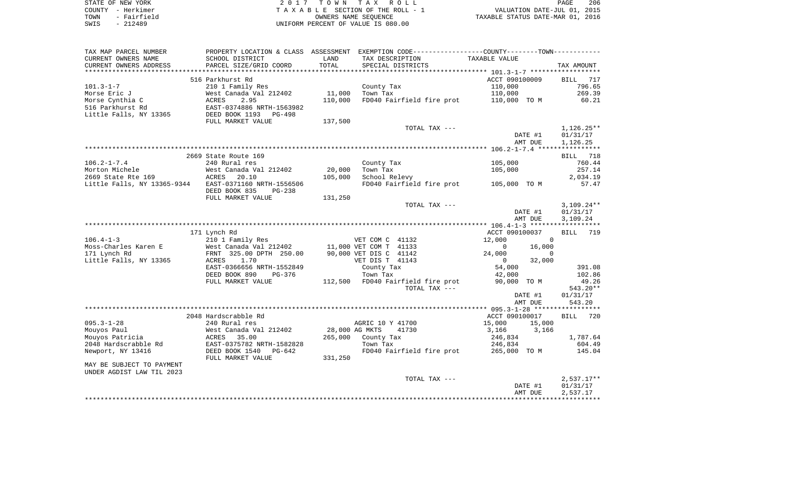|      | STATE OF NEW YORK | 2017 TOWN TAX ROLL                 | PAGE                             | 206 |
|------|-------------------|------------------------------------|----------------------------------|-----|
|      | COUNTY - Herkimer | TAXABLE SECTION OF THE ROLL - 1    | VALUATION DATE-JUL 01, 2015      |     |
| TOWN | - Fairfield       | OWNERS NAME SEOUENCE               | TAXABLE STATUS DATE-MAR 01, 2016 |     |
| SWIS | $-212489$         | UNIFORM PERCENT OF VALUE IS 080.00 |                                  |     |

| TAX MAP PARCEL NUMBER<br>CURRENT OWNERS NAME<br>CURRENT OWNERS ADDRESS | PROPERTY LOCATION & CLASS ASSESSMENT<br>SCHOOL DISTRICT<br>PARCEL SIZE/GRID COORD | LAND<br>TOTAL | EXEMPTION CODE-----------------COUNTY-------TOWN-----------<br>TAX DESCRIPTION | TAXABLE VALUE             |                              |
|------------------------------------------------------------------------|-----------------------------------------------------------------------------------|---------------|--------------------------------------------------------------------------------|---------------------------|------------------------------|
| *************************                                              |                                                                                   |               | SPECIAL DISTRICTS                                                              |                           | TAX AMOUNT                   |
| $101.3 - 1 - 7$                                                        | 516 Parkhurst Rd<br>210 1 Family Res                                              |               | County Tax                                                                     | ACCT 090100009<br>110,000 | <b>BILL</b><br>717<br>796.65 |
| Morse Eric J                                                           | West Canada Val 212402                                                            | 11,000        | Town Tax                                                                       | 110,000                   | 269.39                       |
| Morse Cynthia C                                                        | 2.95<br>ACRES                                                                     | 110,000       | FD040 Fairfield fire prot                                                      | 110,000 TO M              | 60.21                        |
| 516 Parkhurst Rd<br>Little Falls, NY 13365                             | EAST-0374886 NRTH-1563982<br>DEED BOOK 1193<br>PG-498<br>FULL MARKET VALUE        | 137,500       |                                                                                |                           |                              |
|                                                                        |                                                                                   |               | TOTAL TAX ---                                                                  |                           | 1,126.25**                   |
|                                                                        |                                                                                   |               |                                                                                | DATE #1<br>AMT DUE        | 01/31/17<br>1,126.25         |
|                                                                        |                                                                                   |               |                                                                                |                           |                              |
|                                                                        | 2669 State Route 169                                                              |               |                                                                                |                           | 718<br><b>BILL</b>           |
| $106.2 - 1 - 7.4$<br>Morton Michele                                    | 240 Rural res<br>West Canada Val 212402                                           | 20,000        | County Tax<br>Town Tax                                                         | 105,000<br>105,000        | 760.44<br>257.14             |
| 2669 State Rte 169                                                     | ACRES<br>20.10                                                                    | 105,000       | School Relevy                                                                  |                           | 2,034.19                     |
| Little Falls, NY 13365-9344                                            | EAST-0371160 NRTH-1556506<br>DEED BOOK 835<br>PG-238                              |               | FD040 Fairfield fire prot                                                      | 105,000 TO M              | 57.47                        |
|                                                                        | FULL MARKET VALUE                                                                 | 131,250       |                                                                                |                           |                              |
|                                                                        |                                                                                   |               | TOTAL TAX ---                                                                  |                           | $3,109.24**$                 |
|                                                                        |                                                                                   |               |                                                                                | DATE #1                   | 01/31/17                     |
|                                                                        |                                                                                   |               |                                                                                | AMT DUE                   | 3,109.24<br>***********      |
|                                                                        | 171 Lynch Rd                                                                      |               |                                                                                | ACCT 090100037            | 719<br><b>BILL</b>           |
| $106.4 - 1 - 3$                                                        | 210 1 Family Res                                                                  |               | VET COM C 41132                                                                | 12,000<br>$\Omega$        |                              |
| Moss-Charles Karen E                                                   | West Canada Val 212402                                                            |               | 11,000 VET COM T 41133                                                         | 0<br>16,000               |                              |
| 171 Lynch Rd                                                           | FRNT 325.00 DPTH 250.00                                                           |               | 90,000 VET DIS C 41142                                                         | 24,000<br>$\Omega$        |                              |
| Little Falls, NY 13365                                                 | 1.70<br>ACRES                                                                     |               | VET DIS T 41143                                                                | 32,000<br>$\Omega$        |                              |
|                                                                        | EAST-0366656 NRTH-1552849                                                         |               | County Tax                                                                     | 54,000                    | 391.08                       |
|                                                                        | DEED BOOK 890<br>$PG-376$                                                         |               | Town Tax                                                                       | 42,000                    | 102.86                       |
|                                                                        | FULL MARKET VALUE                                                                 | 112,500       | FD040 Fairfield fire prot                                                      | 90,000 TO M               | 49.26                        |
|                                                                        |                                                                                   |               | TOTAL TAX ---                                                                  |                           | $543.20**$                   |
|                                                                        |                                                                                   |               |                                                                                | DATE #1<br>AMT DUE        | 01/31/17<br>543.20           |
|                                                                        |                                                                                   |               |                                                                                |                           |                              |
|                                                                        | 2048 Hardscrabble Rd                                                              |               |                                                                                | ACCT 090100017            | <b>BILL</b><br>720           |
| $095.3 - 1 - 28$                                                       | 240 Rural res                                                                     |               | AGRIC 10 Y 41700                                                               | 15,000<br>15,000          |                              |
| Mouyos Paul                                                            | West Canada Val 212402                                                            |               | 28,000 AG MKTS<br>41730                                                        | 3,166<br>3,166            |                              |
| Mouyos Patricia                                                        | ACRES<br>35.00                                                                    | 265,000       | County Tax                                                                     | 246,834                   | 1,787.64                     |
| 2048 Hardscrabble Rd                                                   | EAST-0375782 NRTH-1582828                                                         |               | Town Tax                                                                       | 246,834                   | 604.49                       |
| Newport, NY 13416                                                      | DEED BOOK 1540<br>$PG-642$<br>FULL MARKET VALUE                                   | 331,250       | FD040 Fairfield fire prot                                                      | 265,000 TO M              | 145.04                       |
| MAY BE SUBJECT TO PAYMENT<br>UNDER AGDIST LAW TIL 2023                 |                                                                                   |               |                                                                                |                           |                              |
|                                                                        |                                                                                   |               | TOTAL TAX ---                                                                  |                           | $2,537.17**$                 |
|                                                                        |                                                                                   |               |                                                                                | DATE #1                   | 01/31/17                     |
|                                                                        |                                                                                   |               |                                                                                | AMT DUE                   | 2,537.17                     |
|                                                                        |                                                                                   |               |                                                                                |                           |                              |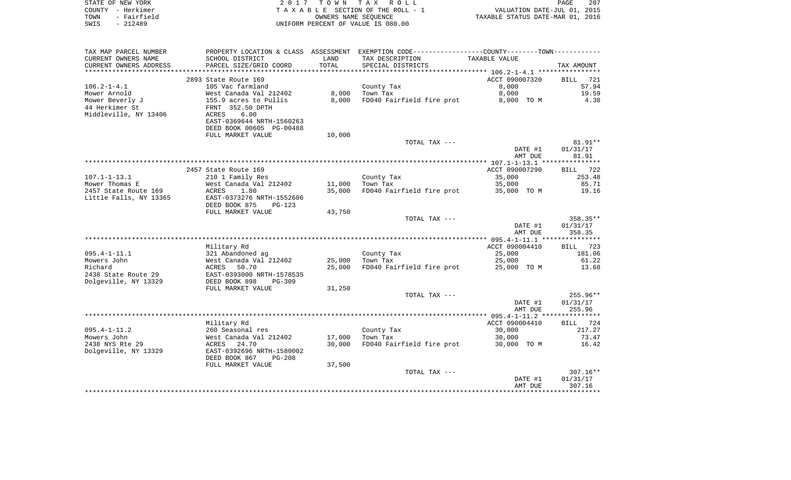| STATE OF NEW YORK   | 2017 TOWN TAX ROLL                 | 207<br><b>PAGE</b>               |
|---------------------|------------------------------------|----------------------------------|
| COUNTY - Herkimer   | TAXABLE SECTION OF THE ROLL - 1    | VALUATION DATE-JUL 01, 2015      |
| - Fairfield<br>TOWN | OWNERS NAME SEOUENCE               | TAXABLE STATUS DATE-MAR 01, 2016 |
| - 212489<br>SWIS    | UNIFORM PERCENT OF VALUE IS 080.00 |                                  |

| TAX MAP PARCEL NUMBER  |                           |              | PROPERTY LOCATION & CLASS ASSESSMENT EXEMPTION CODE---------------COUNTY-------TOWN---------- |                |                    |
|------------------------|---------------------------|--------------|-----------------------------------------------------------------------------------------------|----------------|--------------------|
| CURRENT OWNERS NAME    | SCHOOL DISTRICT           | LAND         | TAX DESCRIPTION                                                                               | TAXABLE VALUE  |                    |
| CURRENT OWNERS ADDRESS | PARCEL SIZE/GRID COORD    | <b>TOTAL</b> | SPECIAL DISTRICTS                                                                             |                | TAX AMOUNT         |
|                        |                           |              |                                                                                               |                |                    |
|                        | 2893 State Route 169      |              |                                                                                               | ACCT 090007320 | 721<br><b>BILL</b> |
| $106.2 - 1 - 4.1$      | 105 Vac farmland          |              | County Tax                                                                                    | 8,000          | 57.94              |
| Mower Arnold           | West Canada Val 212402    | 8,000        | Town Tax                                                                                      | 8,000          | 19.59              |
| Mower Beverly J        | 155.9 acres to Pullis     | 8,000        | FD040 Fairfield fire prot                                                                     | 8,000 TO M     | 4.38               |
| 44 Herkimer St         | FRNT 352.50 DPTH          |              |                                                                                               |                |                    |
| Middleville, NY 13406  | 6.00<br>ACRES             |              |                                                                                               |                |                    |
|                        | EAST-0369644 NRTH-1560263 |              |                                                                                               |                |                    |
|                        | DEED BOOK 00605 PG-00488  |              |                                                                                               |                |                    |
|                        | FULL MARKET VALUE         | 10,000       |                                                                                               |                |                    |
|                        |                           |              | TOTAL TAX ---                                                                                 |                | $81.91**$          |
|                        |                           |              |                                                                                               | DATE #1        | 01/31/17           |
|                        |                           |              |                                                                                               | AMT DUE        | 81.91              |
|                        |                           |              |                                                                                               |                |                    |
|                        | 2457 State Route 169      |              |                                                                                               | ACCT 090007290 | BILL 722           |
| $107.1 - 1 - 13.1$     | 210 1 Family Res          |              | County Tax                                                                                    | 35,000         | 253.48             |
| Mower Thomas E         | West Canada Val 212402    | 11,000       | Town Tax                                                                                      | 35,000         | 85.71              |
| 2457 State Route 169   | 1.80<br>ACRES             | 35,000       | FD040 Fairfield fire prot                                                                     | 35,000 TO M    | 19.16              |
| Little Falls, NY 13365 | EAST-0373276 NRTH-1552606 |              |                                                                                               |                |                    |
|                        | DEED BOOK 875<br>$PG-123$ |              |                                                                                               |                |                    |
|                        | FULL MARKET VALUE         | 43,750       |                                                                                               |                |                    |
|                        |                           |              | TOTAL TAX ---                                                                                 |                | 358.35**           |
|                        |                           |              |                                                                                               | DATE #1        | 01/31/17           |
|                        |                           |              |                                                                                               | AMT DUE        | 358.35             |
|                        | Military Rd               |              |                                                                                               | ACCT 090004410 | BILL 723           |
| $095.4 - 1 - 11.1$     | 321 Abandoned ag          |              | County Tax                                                                                    | 25,000         | 181.06             |
| Mowers John            | West Canada Val 212402    | 25,000       | Town Tax                                                                                      | 25,000         | 61.22              |
| Richard                | ACRES<br>50.70            | 25,000       | FD040 Fairfield fire prot                                                                     | 25,000 TO M    | 13.68              |
| 2438 State Route 29    | EAST-0393000 NRTH-1578535 |              |                                                                                               |                |                    |
| Dolgeville, NY 13329   | DEED BOOK 898<br>$PG-309$ |              |                                                                                               |                |                    |
|                        | FULL MARKET VALUE         | 31,250       |                                                                                               |                |                    |
|                        |                           |              | TOTAL TAX ---                                                                                 |                | $255.96**$         |
|                        |                           |              |                                                                                               | DATE #1        | 01/31/17           |
|                        |                           |              |                                                                                               | AMT DUE        | 255.96             |
|                        |                           |              |                                                                                               |                |                    |
|                        | Military Rd               |              |                                                                                               | ACCT 090004410 | 724<br>BILL        |
| $095.4 - 1 - 11.2$     | 260 Seasonal res          |              | County Tax                                                                                    | 30,000         | 217.27             |
| Mowers John            | West Canada Val 212402    | 17,000       | Town Tax                                                                                      | 30,000         | 73.47              |
| 2438 NYS Rte 29        | ACRES<br>24.70            | 30,000       | FD040 Fairfield fire prot                                                                     | 30,000 TO M    | 16.42              |
| Dolgeville, NY 13329   | EAST-0392696 NRTH-1580002 |              |                                                                                               |                |                    |
|                        | DEED BOOK 867<br>$PG-208$ |              |                                                                                               |                |                    |
|                        | FULL MARKET VALUE         | 37,500       |                                                                                               |                |                    |
|                        |                           |              | TOTAL TAX ---                                                                                 |                | $307.16**$         |
|                        |                           |              |                                                                                               | DATE #1        | 01/31/17           |
|                        |                           |              |                                                                                               | AMT DUE        | 307.16             |
|                        |                           |              |                                                                                               |                |                    |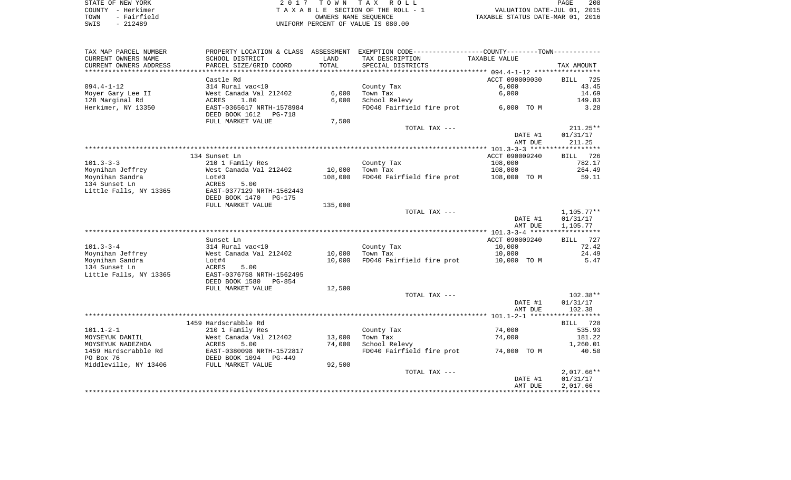| STATE OF NEW YORK   | 2017 TOWN TAX ROLL                 | 208<br>PAGE                      |
|---------------------|------------------------------------|----------------------------------|
| COUNTY - Herkimer   | TAXABLE SECTION OF THE ROLL - 1    | VALUATION DATE-JUL 01, 2015      |
| - Fairfield<br>TOWN | OWNERS NAME SEOUENCE               | TAXABLE STATUS DATE-MAR 01, 2016 |
| $-212489$<br>SWIS   | UNIFORM PERCENT OF VALUE IS 080.00 |                                  |

208<br>2015

| SCHOOL DISTRICT<br>LAND<br>TAX DESCRIPTION<br>TAXABLE VALUE<br>TOTAL<br>PARCEL SIZE/GRID COORD<br>SPECIAL DISTRICTS<br>TAX AMOUNT<br>*********************<br>***************<br>Castle Rd<br>ACCT 090009030<br><b>BILL</b><br>725<br>314 Rural vac<10<br>County Tax<br>6,000<br>43.45<br>6,000<br>Town Tax<br>6,000<br>14.69<br>West Canada Val 212402<br>6,000<br>School Relevy<br>ACRES<br>1.80<br>149.83<br>EAST-0365617 NRTH-1578984<br>FD040 Fairfield fire prot<br>3.28<br>6,000 TO M<br>DEED BOOK 1612<br>PG-718<br>7,500<br>FULL MARKET VALUE<br>$211.25**$<br>TOTAL TAX ---<br>DATE #1<br>01/31/17<br>AMT DUE<br>211.25<br>ACCT 090009240<br>134 Sunset Ln<br>BILL 726<br>108,000<br>782.17<br>210 1 Family Res<br>County Tax<br>10,000<br>264.49<br>West Canada Val 212402<br>108,000<br>Town Tax<br>Moynihan Sandra<br>108,000<br>FD040 Fairfield fire prot<br>108,000 TO M<br>59.11<br>Lot#3<br>134 Sunset Ln<br>ACRES<br>5.00<br>EAST-0377129 NRTH-1562443<br>DEED BOOK 1470<br><b>PG-175</b><br>135,000<br>FULL MARKET VALUE<br>TOTAL TAX ---<br>$1,105.77**$<br>01/31/17<br>DATE #1<br>AMT DUE<br>1,105.77<br>ACCT 090009240<br>Sunset Ln<br>727<br>BILL<br>314 Rural vac<10<br>10,000<br>72.42<br>County Tax<br>West Canada Val 212402<br>10,000<br>Town Tax<br>10,000<br>24.49<br>FD040 Fairfield fire prot<br>10,000 TO M<br>5.47<br>Lot#4<br>10,000<br>ACRES<br>5.00<br>EAST-0376758 NRTH-1562495<br>DEED BOOK 1580<br>PG-854<br>12,500<br>FULL MARKET VALUE<br>$102.38**$<br>TOTAL TAX ---<br>01/31/17<br>DATE #1<br>AMT DUE<br>102.38<br>1459 Hardscrabble Rd<br>BILL<br>728<br>210 1 Family Res<br>County Tax<br>74,000<br>535.93<br>West Canada Val 212402<br>13,000<br>Town Tax<br>74,000<br>181.22<br>5.00<br>74,000<br>School Relevy<br>1,260.01<br>ACRES<br>EAST-0380098 NRTH-1572817<br>FD040 Fairfield fire prot<br>40.50<br>74,000 TO M<br>DEED BOOK 1094<br>PG-449<br>FULL MARKET VALUE<br>92,500<br>TOTAL TAX ---<br>$2,017.66**$<br>DATE #1<br>01/31/17<br>2,017.66<br>AMT DUE | TAX MAP PARCEL NUMBER  |  | PROPERTY LOCATION & CLASS ASSESSMENT EXEMPTION CODE---------------COUNTY--------TOWN---------- |  |
|------------------------------------------------------------------------------------------------------------------------------------------------------------------------------------------------------------------------------------------------------------------------------------------------------------------------------------------------------------------------------------------------------------------------------------------------------------------------------------------------------------------------------------------------------------------------------------------------------------------------------------------------------------------------------------------------------------------------------------------------------------------------------------------------------------------------------------------------------------------------------------------------------------------------------------------------------------------------------------------------------------------------------------------------------------------------------------------------------------------------------------------------------------------------------------------------------------------------------------------------------------------------------------------------------------------------------------------------------------------------------------------------------------------------------------------------------------------------------------------------------------------------------------------------------------------------------------------------------------------------------------------------------------------------------------------------------------------------------------------------------------------------------------------------------------------------------------------------------------------------------------------------------------------------------------------------------------------------------------------------------------------|------------------------|--|------------------------------------------------------------------------------------------------|--|
|                                                                                                                                                                                                                                                                                                                                                                                                                                                                                                                                                                                                                                                                                                                                                                                                                                                                                                                                                                                                                                                                                                                                                                                                                                                                                                                                                                                                                                                                                                                                                                                                                                                                                                                                                                                                                                                                                                                                                                                                                  | CURRENT OWNERS NAME    |  |                                                                                                |  |
|                                                                                                                                                                                                                                                                                                                                                                                                                                                                                                                                                                                                                                                                                                                                                                                                                                                                                                                                                                                                                                                                                                                                                                                                                                                                                                                                                                                                                                                                                                                                                                                                                                                                                                                                                                                                                                                                                                                                                                                                                  | CURRENT OWNERS ADDRESS |  |                                                                                                |  |
|                                                                                                                                                                                                                                                                                                                                                                                                                                                                                                                                                                                                                                                                                                                                                                                                                                                                                                                                                                                                                                                                                                                                                                                                                                                                                                                                                                                                                                                                                                                                                                                                                                                                                                                                                                                                                                                                                                                                                                                                                  |                        |  |                                                                                                |  |
|                                                                                                                                                                                                                                                                                                                                                                                                                                                                                                                                                                                                                                                                                                                                                                                                                                                                                                                                                                                                                                                                                                                                                                                                                                                                                                                                                                                                                                                                                                                                                                                                                                                                                                                                                                                                                                                                                                                                                                                                                  |                        |  |                                                                                                |  |
|                                                                                                                                                                                                                                                                                                                                                                                                                                                                                                                                                                                                                                                                                                                                                                                                                                                                                                                                                                                                                                                                                                                                                                                                                                                                                                                                                                                                                                                                                                                                                                                                                                                                                                                                                                                                                                                                                                                                                                                                                  | $094.4 - 1 - 12$       |  |                                                                                                |  |
|                                                                                                                                                                                                                                                                                                                                                                                                                                                                                                                                                                                                                                                                                                                                                                                                                                                                                                                                                                                                                                                                                                                                                                                                                                                                                                                                                                                                                                                                                                                                                                                                                                                                                                                                                                                                                                                                                                                                                                                                                  | Moyer Gary Lee II      |  |                                                                                                |  |
|                                                                                                                                                                                                                                                                                                                                                                                                                                                                                                                                                                                                                                                                                                                                                                                                                                                                                                                                                                                                                                                                                                                                                                                                                                                                                                                                                                                                                                                                                                                                                                                                                                                                                                                                                                                                                                                                                                                                                                                                                  | 128 Marginal Rd        |  |                                                                                                |  |
|                                                                                                                                                                                                                                                                                                                                                                                                                                                                                                                                                                                                                                                                                                                                                                                                                                                                                                                                                                                                                                                                                                                                                                                                                                                                                                                                                                                                                                                                                                                                                                                                                                                                                                                                                                                                                                                                                                                                                                                                                  | Herkimer, NY 13350     |  |                                                                                                |  |
|                                                                                                                                                                                                                                                                                                                                                                                                                                                                                                                                                                                                                                                                                                                                                                                                                                                                                                                                                                                                                                                                                                                                                                                                                                                                                                                                                                                                                                                                                                                                                                                                                                                                                                                                                                                                                                                                                                                                                                                                                  |                        |  |                                                                                                |  |
|                                                                                                                                                                                                                                                                                                                                                                                                                                                                                                                                                                                                                                                                                                                                                                                                                                                                                                                                                                                                                                                                                                                                                                                                                                                                                                                                                                                                                                                                                                                                                                                                                                                                                                                                                                                                                                                                                                                                                                                                                  |                        |  |                                                                                                |  |
|                                                                                                                                                                                                                                                                                                                                                                                                                                                                                                                                                                                                                                                                                                                                                                                                                                                                                                                                                                                                                                                                                                                                                                                                                                                                                                                                                                                                                                                                                                                                                                                                                                                                                                                                                                                                                                                                                                                                                                                                                  |                        |  |                                                                                                |  |
|                                                                                                                                                                                                                                                                                                                                                                                                                                                                                                                                                                                                                                                                                                                                                                                                                                                                                                                                                                                                                                                                                                                                                                                                                                                                                                                                                                                                                                                                                                                                                                                                                                                                                                                                                                                                                                                                                                                                                                                                                  |                        |  |                                                                                                |  |
|                                                                                                                                                                                                                                                                                                                                                                                                                                                                                                                                                                                                                                                                                                                                                                                                                                                                                                                                                                                                                                                                                                                                                                                                                                                                                                                                                                                                                                                                                                                                                                                                                                                                                                                                                                                                                                                                                                                                                                                                                  |                        |  |                                                                                                |  |
|                                                                                                                                                                                                                                                                                                                                                                                                                                                                                                                                                                                                                                                                                                                                                                                                                                                                                                                                                                                                                                                                                                                                                                                                                                                                                                                                                                                                                                                                                                                                                                                                                                                                                                                                                                                                                                                                                                                                                                                                                  |                        |  |                                                                                                |  |
|                                                                                                                                                                                                                                                                                                                                                                                                                                                                                                                                                                                                                                                                                                                                                                                                                                                                                                                                                                                                                                                                                                                                                                                                                                                                                                                                                                                                                                                                                                                                                                                                                                                                                                                                                                                                                                                                                                                                                                                                                  |                        |  |                                                                                                |  |
|                                                                                                                                                                                                                                                                                                                                                                                                                                                                                                                                                                                                                                                                                                                                                                                                                                                                                                                                                                                                                                                                                                                                                                                                                                                                                                                                                                                                                                                                                                                                                                                                                                                                                                                                                                                                                                                                                                                                                                                                                  | $101.3 - 3 - 3$        |  |                                                                                                |  |
|                                                                                                                                                                                                                                                                                                                                                                                                                                                                                                                                                                                                                                                                                                                                                                                                                                                                                                                                                                                                                                                                                                                                                                                                                                                                                                                                                                                                                                                                                                                                                                                                                                                                                                                                                                                                                                                                                                                                                                                                                  | Moynihan Jeffrey       |  |                                                                                                |  |
|                                                                                                                                                                                                                                                                                                                                                                                                                                                                                                                                                                                                                                                                                                                                                                                                                                                                                                                                                                                                                                                                                                                                                                                                                                                                                                                                                                                                                                                                                                                                                                                                                                                                                                                                                                                                                                                                                                                                                                                                                  |                        |  |                                                                                                |  |
|                                                                                                                                                                                                                                                                                                                                                                                                                                                                                                                                                                                                                                                                                                                                                                                                                                                                                                                                                                                                                                                                                                                                                                                                                                                                                                                                                                                                                                                                                                                                                                                                                                                                                                                                                                                                                                                                                                                                                                                                                  |                        |  |                                                                                                |  |
|                                                                                                                                                                                                                                                                                                                                                                                                                                                                                                                                                                                                                                                                                                                                                                                                                                                                                                                                                                                                                                                                                                                                                                                                                                                                                                                                                                                                                                                                                                                                                                                                                                                                                                                                                                                                                                                                                                                                                                                                                  | Little Falls, NY 13365 |  |                                                                                                |  |
|                                                                                                                                                                                                                                                                                                                                                                                                                                                                                                                                                                                                                                                                                                                                                                                                                                                                                                                                                                                                                                                                                                                                                                                                                                                                                                                                                                                                                                                                                                                                                                                                                                                                                                                                                                                                                                                                                                                                                                                                                  |                        |  |                                                                                                |  |
|                                                                                                                                                                                                                                                                                                                                                                                                                                                                                                                                                                                                                                                                                                                                                                                                                                                                                                                                                                                                                                                                                                                                                                                                                                                                                                                                                                                                                                                                                                                                                                                                                                                                                                                                                                                                                                                                                                                                                                                                                  |                        |  |                                                                                                |  |
|                                                                                                                                                                                                                                                                                                                                                                                                                                                                                                                                                                                                                                                                                                                                                                                                                                                                                                                                                                                                                                                                                                                                                                                                                                                                                                                                                                                                                                                                                                                                                                                                                                                                                                                                                                                                                                                                                                                                                                                                                  |                        |  |                                                                                                |  |
|                                                                                                                                                                                                                                                                                                                                                                                                                                                                                                                                                                                                                                                                                                                                                                                                                                                                                                                                                                                                                                                                                                                                                                                                                                                                                                                                                                                                                                                                                                                                                                                                                                                                                                                                                                                                                                                                                                                                                                                                                  |                        |  |                                                                                                |  |
|                                                                                                                                                                                                                                                                                                                                                                                                                                                                                                                                                                                                                                                                                                                                                                                                                                                                                                                                                                                                                                                                                                                                                                                                                                                                                                                                                                                                                                                                                                                                                                                                                                                                                                                                                                                                                                                                                                                                                                                                                  |                        |  |                                                                                                |  |
|                                                                                                                                                                                                                                                                                                                                                                                                                                                                                                                                                                                                                                                                                                                                                                                                                                                                                                                                                                                                                                                                                                                                                                                                                                                                                                                                                                                                                                                                                                                                                                                                                                                                                                                                                                                                                                                                                                                                                                                                                  |                        |  |                                                                                                |  |
|                                                                                                                                                                                                                                                                                                                                                                                                                                                                                                                                                                                                                                                                                                                                                                                                                                                                                                                                                                                                                                                                                                                                                                                                                                                                                                                                                                                                                                                                                                                                                                                                                                                                                                                                                                                                                                                                                                                                                                                                                  |                        |  |                                                                                                |  |
|                                                                                                                                                                                                                                                                                                                                                                                                                                                                                                                                                                                                                                                                                                                                                                                                                                                                                                                                                                                                                                                                                                                                                                                                                                                                                                                                                                                                                                                                                                                                                                                                                                                                                                                                                                                                                                                                                                                                                                                                                  | $101.3 - 3 - 4$        |  |                                                                                                |  |
|                                                                                                                                                                                                                                                                                                                                                                                                                                                                                                                                                                                                                                                                                                                                                                                                                                                                                                                                                                                                                                                                                                                                                                                                                                                                                                                                                                                                                                                                                                                                                                                                                                                                                                                                                                                                                                                                                                                                                                                                                  | Moynihan Jeffrey       |  |                                                                                                |  |
|                                                                                                                                                                                                                                                                                                                                                                                                                                                                                                                                                                                                                                                                                                                                                                                                                                                                                                                                                                                                                                                                                                                                                                                                                                                                                                                                                                                                                                                                                                                                                                                                                                                                                                                                                                                                                                                                                                                                                                                                                  | Moynihan Sandra        |  |                                                                                                |  |
|                                                                                                                                                                                                                                                                                                                                                                                                                                                                                                                                                                                                                                                                                                                                                                                                                                                                                                                                                                                                                                                                                                                                                                                                                                                                                                                                                                                                                                                                                                                                                                                                                                                                                                                                                                                                                                                                                                                                                                                                                  | 134 Sunset Ln          |  |                                                                                                |  |
|                                                                                                                                                                                                                                                                                                                                                                                                                                                                                                                                                                                                                                                                                                                                                                                                                                                                                                                                                                                                                                                                                                                                                                                                                                                                                                                                                                                                                                                                                                                                                                                                                                                                                                                                                                                                                                                                                                                                                                                                                  | Little Falls, NY 13365 |  |                                                                                                |  |
|                                                                                                                                                                                                                                                                                                                                                                                                                                                                                                                                                                                                                                                                                                                                                                                                                                                                                                                                                                                                                                                                                                                                                                                                                                                                                                                                                                                                                                                                                                                                                                                                                                                                                                                                                                                                                                                                                                                                                                                                                  |                        |  |                                                                                                |  |
|                                                                                                                                                                                                                                                                                                                                                                                                                                                                                                                                                                                                                                                                                                                                                                                                                                                                                                                                                                                                                                                                                                                                                                                                                                                                                                                                                                                                                                                                                                                                                                                                                                                                                                                                                                                                                                                                                                                                                                                                                  |                        |  |                                                                                                |  |
|                                                                                                                                                                                                                                                                                                                                                                                                                                                                                                                                                                                                                                                                                                                                                                                                                                                                                                                                                                                                                                                                                                                                                                                                                                                                                                                                                                                                                                                                                                                                                                                                                                                                                                                                                                                                                                                                                                                                                                                                                  |                        |  |                                                                                                |  |
|                                                                                                                                                                                                                                                                                                                                                                                                                                                                                                                                                                                                                                                                                                                                                                                                                                                                                                                                                                                                                                                                                                                                                                                                                                                                                                                                                                                                                                                                                                                                                                                                                                                                                                                                                                                                                                                                                                                                                                                                                  |                        |  |                                                                                                |  |
|                                                                                                                                                                                                                                                                                                                                                                                                                                                                                                                                                                                                                                                                                                                                                                                                                                                                                                                                                                                                                                                                                                                                                                                                                                                                                                                                                                                                                                                                                                                                                                                                                                                                                                                                                                                                                                                                                                                                                                                                                  |                        |  |                                                                                                |  |
|                                                                                                                                                                                                                                                                                                                                                                                                                                                                                                                                                                                                                                                                                                                                                                                                                                                                                                                                                                                                                                                                                                                                                                                                                                                                                                                                                                                                                                                                                                                                                                                                                                                                                                                                                                                                                                                                                                                                                                                                                  |                        |  |                                                                                                |  |
|                                                                                                                                                                                                                                                                                                                                                                                                                                                                                                                                                                                                                                                                                                                                                                                                                                                                                                                                                                                                                                                                                                                                                                                                                                                                                                                                                                                                                                                                                                                                                                                                                                                                                                                                                                                                                                                                                                                                                                                                                  |                        |  |                                                                                                |  |
|                                                                                                                                                                                                                                                                                                                                                                                                                                                                                                                                                                                                                                                                                                                                                                                                                                                                                                                                                                                                                                                                                                                                                                                                                                                                                                                                                                                                                                                                                                                                                                                                                                                                                                                                                                                                                                                                                                                                                                                                                  | $101.1 - 2 - 1$        |  |                                                                                                |  |
|                                                                                                                                                                                                                                                                                                                                                                                                                                                                                                                                                                                                                                                                                                                                                                                                                                                                                                                                                                                                                                                                                                                                                                                                                                                                                                                                                                                                                                                                                                                                                                                                                                                                                                                                                                                                                                                                                                                                                                                                                  | MOYSEYUK DANIIL        |  |                                                                                                |  |
|                                                                                                                                                                                                                                                                                                                                                                                                                                                                                                                                                                                                                                                                                                                                                                                                                                                                                                                                                                                                                                                                                                                                                                                                                                                                                                                                                                                                                                                                                                                                                                                                                                                                                                                                                                                                                                                                                                                                                                                                                  | MOYSEYUK NADEZHDA      |  |                                                                                                |  |
|                                                                                                                                                                                                                                                                                                                                                                                                                                                                                                                                                                                                                                                                                                                                                                                                                                                                                                                                                                                                                                                                                                                                                                                                                                                                                                                                                                                                                                                                                                                                                                                                                                                                                                                                                                                                                                                                                                                                                                                                                  | 1459 Hardscrabble Rd   |  |                                                                                                |  |
|                                                                                                                                                                                                                                                                                                                                                                                                                                                                                                                                                                                                                                                                                                                                                                                                                                                                                                                                                                                                                                                                                                                                                                                                                                                                                                                                                                                                                                                                                                                                                                                                                                                                                                                                                                                                                                                                                                                                                                                                                  | PO Box 76              |  |                                                                                                |  |
|                                                                                                                                                                                                                                                                                                                                                                                                                                                                                                                                                                                                                                                                                                                                                                                                                                                                                                                                                                                                                                                                                                                                                                                                                                                                                                                                                                                                                                                                                                                                                                                                                                                                                                                                                                                                                                                                                                                                                                                                                  | Middleville, NY 13406  |  |                                                                                                |  |
|                                                                                                                                                                                                                                                                                                                                                                                                                                                                                                                                                                                                                                                                                                                                                                                                                                                                                                                                                                                                                                                                                                                                                                                                                                                                                                                                                                                                                                                                                                                                                                                                                                                                                                                                                                                                                                                                                                                                                                                                                  |                        |  |                                                                                                |  |
|                                                                                                                                                                                                                                                                                                                                                                                                                                                                                                                                                                                                                                                                                                                                                                                                                                                                                                                                                                                                                                                                                                                                                                                                                                                                                                                                                                                                                                                                                                                                                                                                                                                                                                                                                                                                                                                                                                                                                                                                                  |                        |  |                                                                                                |  |
|                                                                                                                                                                                                                                                                                                                                                                                                                                                                                                                                                                                                                                                                                                                                                                                                                                                                                                                                                                                                                                                                                                                                                                                                                                                                                                                                                                                                                                                                                                                                                                                                                                                                                                                                                                                                                                                                                                                                                                                                                  |                        |  |                                                                                                |  |
|                                                                                                                                                                                                                                                                                                                                                                                                                                                                                                                                                                                                                                                                                                                                                                                                                                                                                                                                                                                                                                                                                                                                                                                                                                                                                                                                                                                                                                                                                                                                                                                                                                                                                                                                                                                                                                                                                                                                                                                                                  |                        |  |                                                                                                |  |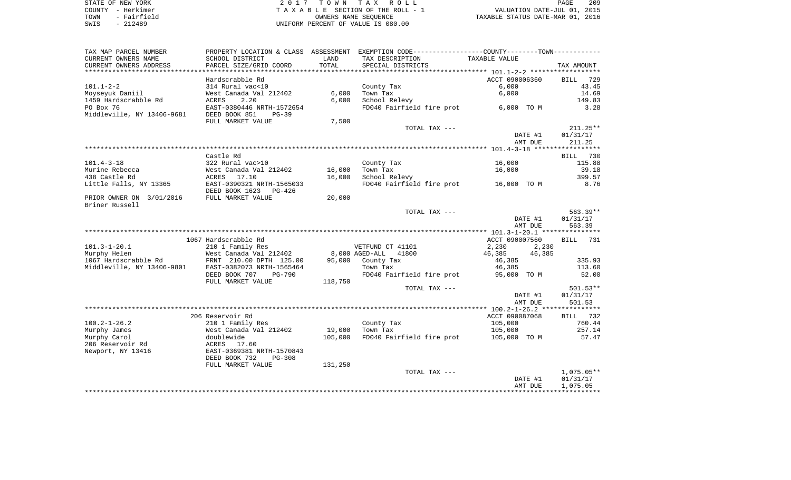| STATE OF NEW YORK   | 2017 TOWN TAX ROLL                 | 209<br>PAGE                      |
|---------------------|------------------------------------|----------------------------------|
| COUNTY - Herkimer   | TAXABLE SECTION OF THE ROLL - 1    | VALUATION DATE-JUL 01, 2015      |
| - Fairfield<br>TOWN | OWNERS NAME SEOUENCE               | TAXABLE STATUS DATE-MAR 01, 2016 |
| - 212489<br>SWIS    | UNIFORM PERCENT OF VALUE IS 080.00 |                                  |

|  | PAGE.                          | 205 |
|--|--------------------------------|-----|
|  | VALUATION DATE-JUL 01, 2015    |     |
|  | XABLE STATUS DATE-MAR 01, 2016 |     |

| TAX MAP PARCEL NUMBER      | PROPERTY LOCATION & CLASS ASSESSMENT |         | EXEMPTION CODE-----------------COUNTY--------TOWN----------- |                  |              |
|----------------------------|--------------------------------------|---------|--------------------------------------------------------------|------------------|--------------|
| CURRENT OWNERS NAME        | SCHOOL DISTRICT                      | LAND    | TAX DESCRIPTION                                              | TAXABLE VALUE    |              |
| CURRENT OWNERS ADDRESS     | PARCEL SIZE/GRID COORD               | TOTAL   | SPECIAL DISTRICTS                                            |                  | TAX AMOUNT   |
| **********************     |                                      |         |                                                              |                  |              |
|                            | Hardscrabble Rd                      |         |                                                              | ACCT 090006360   | 729<br>BILL  |
| $101.1 - 2 - 2$            | 314 Rural vac<10                     |         | County Tax                                                   | 6,000            | 43.45        |
| Moyseyuk Daniil            | West Canada Val 212402               | 6,000   | Town Tax                                                     | 6,000            | 14.69        |
| 1459 Hardscrabble Rd       | 2.20<br>ACRES                        | 6,000   | School Relevy                                                |                  | 149.83       |
| PO Box 76                  | EAST-0380446 NRTH-1572654            |         | FD040 Fairfield fire prot                                    | 6,000 TO M       | 3.28         |
| Middleville, NY 13406-9681 | DEED BOOK 851<br>$PG-39$             |         |                                                              |                  |              |
|                            | FULL MARKET VALUE                    | 7,500   |                                                              |                  |              |
|                            |                                      |         | TOTAL TAX ---                                                |                  | $211.25**$   |
|                            |                                      |         |                                                              | DATE #1          | 01/31/17     |
|                            |                                      |         |                                                              | AMT DUE          | 211.25       |
|                            |                                      |         |                                                              |                  |              |
|                            | Castle Rd                            |         |                                                              |                  | BILL 730     |
| $101.4 - 3 - 18$           | 322 Rural vac>10                     |         | County Tax                                                   | 16,000           | 115.88       |
| Murine Rebecca             | West Canada Val 212402               | 16,000  | Town Tax                                                     | 16,000           | 39.18        |
| 438 Castle Rd              | ACRES 17.10                          | 16,000  | School Relevy                                                |                  | 399.57       |
| Little Falls, NY 13365     | EAST-0390321 NRTH-1565033            |         | FD040 Fairfield fire prot                                    | 16,000 TO M      | 8.76         |
|                            | DEED BOOK 1623<br>PG-426             |         |                                                              |                  |              |
| PRIOR OWNER ON 3/01/2016   | FULL MARKET VALUE                    | 20,000  |                                                              |                  |              |
| Briner Russell             |                                      |         |                                                              |                  |              |
|                            |                                      |         | TOTAL TAX ---                                                |                  | $563.39**$   |
|                            |                                      |         |                                                              | DATE #1          | 01/31/17     |
|                            |                                      |         |                                                              | AMT DUE          | 563.39       |
|                            | 1067 Hardscrabble Rd                 |         |                                                              | ACCT 090007560   | BILL 731     |
| $101.3 - 1 - 20.1$         | 210 1 Family Res                     |         | VETFUND CT 41101                                             | 2,230<br>2,230   |              |
| Murphy Helen               | West Canada Val 212402               |         | 8,000 AGED-ALL<br>41800                                      | 46,385<br>46,385 |              |
| 1067 Hardscrabble Rd       | FRNT 210.00 DPTH 125.00              |         | 95,000 County Tax                                            | 46,385           | 335.93       |
| Middleville, NY 13406-9801 | EAST-0382073 NRTH-1565464            |         | Town Tax                                                     | 46,385           | 113.60       |
|                            | DEED BOOK 707<br><b>PG-790</b>       |         | FD040 Fairfield fire prot                                    | 95,000 TO M      | 52.00        |
|                            | FULL MARKET VALUE                    | 118,750 |                                                              |                  |              |
|                            |                                      |         | TOTAL TAX ---                                                |                  | 501.53**     |
|                            |                                      |         |                                                              | DATE #1          | 01/31/17     |
|                            |                                      |         |                                                              | AMT DUE          | 501.53       |
|                            |                                      |         |                                                              |                  |              |
|                            | 206 Reservoir Rd                     |         |                                                              | ACCT 090087068   | BILL 732     |
| $100.2 - 1 - 26.2$         | 210 1 Family Res                     |         | County Tax                                                   | 105,000          | 760.44       |
| Murphy James               | West Canada Val 212402               | 19,000  | Town Tax                                                     | 105,000          | 257.14       |
| Murphy Carol               | doublewide                           | 105,000 | FD040 Fairfield fire prot                                    | 105,000 TO M     | 57.47        |
| 206 Reservoir Rd           | ACRES 17.60                          |         |                                                              |                  |              |
| Newport, NY 13416          | EAST-0369381 NRTH-1570843            |         |                                                              |                  |              |
|                            | DEED BOOK 732<br><b>PG-308</b>       |         |                                                              |                  |              |
|                            | FULL MARKET VALUE                    | 131,250 |                                                              |                  |              |
|                            |                                      |         | TOTAL TAX ---                                                |                  | $1,075.05**$ |
|                            |                                      |         |                                                              | DATE #1          | 01/31/17     |
|                            |                                      |         |                                                              | AMT DUE          | 1,075.05     |
|                            |                                      |         |                                                              |                  |              |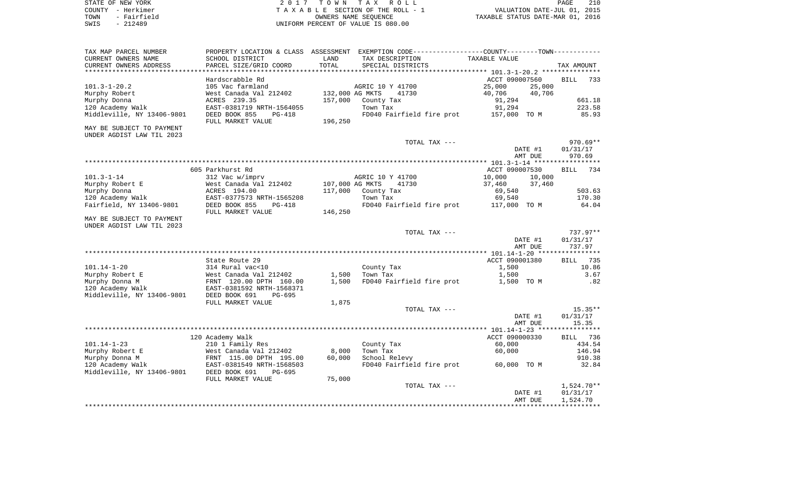|      | STATE OF NEW YORK | 2017 TOWN TAX ROLL                 | 210<br>PAGE                      |
|------|-------------------|------------------------------------|----------------------------------|
|      | COUNTY - Herkimer | TAXABLE SECTION OF THE ROLL - 1    | VALUATION DATE-JUL 01, 2015      |
| TOWN | - Fairfield       | OWNERS NAME SEOUENCE               | TAXABLE STATUS DATE-MAR 01, 2016 |
| SWIS | - 212489          | UNIFORM PERCENT OF VALUE IS 080.00 |                                  |

| TAX MAP PARCEL NUMBER                                  | PROPERTY LOCATION & CLASS |                 | ASSESSMENT EXEMPTION CODE----------------COUNTY-------TOWN---------- |                                                     |                      |
|--------------------------------------------------------|---------------------------|-----------------|----------------------------------------------------------------------|-----------------------------------------------------|----------------------|
| CURRENT OWNERS NAME                                    | SCHOOL DISTRICT           | LAND            | TAX DESCRIPTION                                                      | TAXABLE VALUE                                       |                      |
| CURRENT OWNERS ADDRESS                                 | PARCEL SIZE/GRID COORD    | TOTAL           | SPECIAL DISTRICTS                                                    |                                                     | TAX AMOUNT           |
| **********************                                 | *******************       |                 | *************************                                            | ********************** 101.3-1-20.2 *************** |                      |
|                                                        | Hardscrabble Rd           |                 |                                                                      | ACCT 090007560                                      | <b>BILL</b><br>733   |
| $101.3 - 1 - 20.2$                                     | 105 Vac farmland          |                 | AGRIC 10 Y 41700                                                     | 25,000<br>25,000                                    |                      |
| Murphy Robert                                          | West Canada Val 212402    | 132,000 AG MKTS | 41730                                                                | 40,706<br>40,706                                    |                      |
| Murphy Donna                                           | ACRES 239.35              | 157,000         | County Tax                                                           | 91,294                                              | 661.18               |
| 120 Academy Walk                                       | EAST-0381719 NRTH-1564055 |                 | Town Tax                                                             | 91,294                                              | 223.58               |
| Middleville, NY 13406-9801                             | DEED BOOK 855<br>$PG-418$ |                 | FD040 Fairfield fire prot                                            | 157,000 TO M                                        | 85.93                |
|                                                        | FULL MARKET VALUE         | 196,250         |                                                                      |                                                     |                      |
| MAY BE SUBJECT TO PAYMENT<br>UNDER AGDIST LAW TIL 2023 |                           |                 |                                                                      |                                                     |                      |
|                                                        |                           |                 | TOTAL TAX ---                                                        |                                                     | 970.69**             |
|                                                        |                           |                 |                                                                      | DATE #1                                             | 01/31/17             |
|                                                        |                           |                 |                                                                      | AMT DUE                                             | 970.69               |
|                                                        |                           |                 |                                                                      |                                                     |                      |
|                                                        | 605 Parkhurst Rd          |                 |                                                                      | ACCT 090007530                                      | <b>BILL</b><br>734   |
| $101.3 - 1 - 14$                                       | 312 Vac w/imprv           |                 | AGRIC 10 Y 41700                                                     | 10,000<br>10,000                                    |                      |
| Murphy Robert E                                        | West Canada Val 212402    | 107,000 AG MKTS | 41730                                                                | 37,460<br>37,460                                    |                      |
| Murphy Donna                                           | ACRES 194.00              | 117,000         | County Tax                                                           | 69,540                                              | 503.63               |
| 120 Academy Walk                                       | EAST-0377573 NRTH-1565208 |                 | Town Tax                                                             | 69,540                                              | 170.30               |
| Fairfield, NY 13406-9801                               | DEED BOOK 855<br>PG-418   |                 | FD040 Fairfield fire prot                                            | 117,000 TO M                                        | 64.04                |
|                                                        | FULL MARKET VALUE         | 146,250         |                                                                      |                                                     |                      |
| MAY BE SUBJECT TO PAYMENT<br>UNDER AGDIST LAW TIL 2023 |                           |                 |                                                                      |                                                     |                      |
|                                                        |                           |                 | TOTAL TAX ---                                                        |                                                     | $737.97**$           |
|                                                        |                           |                 |                                                                      | DATE #1<br>AMT DUE                                  | 01/31/17<br>737.97   |
|                                                        |                           |                 |                                                                      |                                                     |                      |
|                                                        | State Route 29            |                 |                                                                      | ACCT 090001380                                      | 735<br><b>BILL</b>   |
| $101.14 - 1 - 20$                                      | 314 Rural vac<10          |                 | County Tax                                                           | 1,500                                               | 10.86                |
| Murphy Robert E                                        | West Canada Val 212402    | 1,500           | Town Tax                                                             | 1,500                                               | 3.67                 |
| Murphy Donna M                                         | FRNT 120.00 DPTH 160.00   | 1,500           | FD040 Fairfield fire prot                                            | 1,500 TO M                                          | .82                  |
| 120 Academy Walk                                       | EAST-0381592 NRTH-1568371 |                 |                                                                      |                                                     |                      |
| Middleville, NY 13406-9801                             | DEED BOOK 691<br>PG-695   |                 |                                                                      |                                                     |                      |
|                                                        | FULL MARKET VALUE         | 1,875           |                                                                      |                                                     |                      |
|                                                        |                           |                 | TOTAL TAX ---                                                        |                                                     | $15.35**$            |
|                                                        |                           |                 |                                                                      | DATE #1                                             | 01/31/17             |
|                                                        |                           |                 |                                                                      | AMT DUE                                             | 15.35                |
|                                                        |                           |                 |                                                                      |                                                     | ***********          |
|                                                        | 120 Academy Walk          |                 |                                                                      | ACCT 090000330                                      | BILL 736             |
| $101.14 - 1 - 23$                                      | 210 1 Family Res          |                 | County Tax                                                           | 60,000                                              | 434.54               |
| Murphy Robert E                                        | West Canada Val 212402    | 8,000           | Town Tax                                                             | 60,000                                              | 146.94               |
| Murphy Donna M                                         | FRNT 115.00 DPTH 195.00   | 60,000          | School Relevy                                                        |                                                     | 910.38               |
| 120 Academy Walk                                       | EAST-0381549 NRTH-1568503 |                 | FD040 Fairfield fire prot                                            | 60,000 TO M                                         | 32.84                |
| Middleville, NY 13406-9801                             | DEED BOOK 691<br>$PG-695$ |                 |                                                                      |                                                     |                      |
|                                                        | FULL MARKET VALUE         | 75,000          |                                                                      |                                                     |                      |
|                                                        |                           |                 | TOTAL TAX ---                                                        |                                                     | 1,524.70**           |
|                                                        |                           |                 |                                                                      | DATE #1<br>AMT DUE                                  | 01/31/17<br>1,524.70 |
|                                                        |                           |                 |                                                                      |                                                     |                      |
|                                                        |                           |                 |                                                                      |                                                     |                      |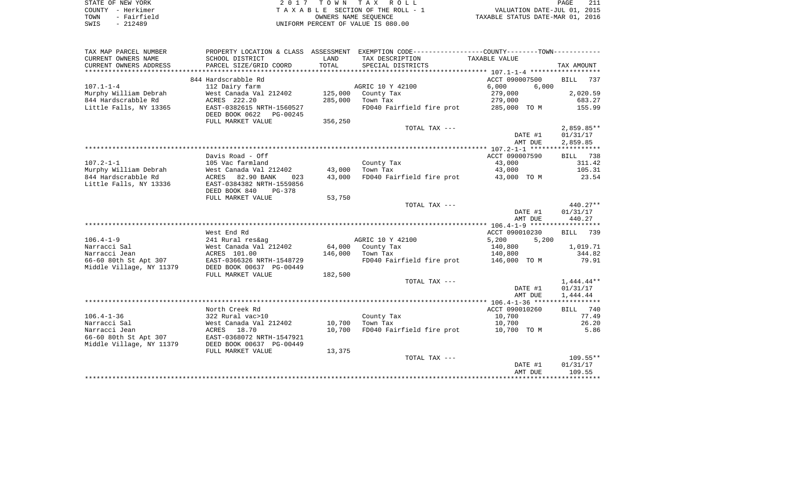| STATE OF NEW YORK   | 2017 TOWN TAX ROLL                 | PAGE                             |
|---------------------|------------------------------------|----------------------------------|
| COUNTY - Herkimer   | TAXABLE SECTION OF THE ROLL - 1    | VALUATION DATE-JUL 01, 2015      |
| - Fairfield<br>TOWN | OWNERS NAME SEOUENCE               | TAXABLE STATUS DATE-MAR 01, 2016 |
| $-212489$<br>SWIS   | UNIFORM PERCENT OF VALUE IS 080.00 |                                  |

| TAX MAP PARCEL NUMBER    |                            |         | PROPERTY LOCATION & CLASS ASSESSMENT EXEMPTION CODE----------------COUNTY--------TOWN---------- |                                                |               |
|--------------------------|----------------------------|---------|-------------------------------------------------------------------------------------------------|------------------------------------------------|---------------|
| CURRENT OWNERS NAME      | SCHOOL DISTRICT            | LAND    | TAX DESCRIPTION                                                                                 | TAXABLE VALUE                                  |               |
| CURRENT OWNERS ADDRESS   | PARCEL SIZE/GRID COORD     | TOTAL   | SPECIAL DISTRICTS                                                                               |                                                | TAX AMOUNT    |
| **********************   |                            |         |                                                                                                 |                                                |               |
|                          | 844 Hardscrabble Rd        |         |                                                                                                 | ACCT 090007500                                 | BILL<br>737   |
| $107.1 - 1 - 4$          | 112 Dairy farm             |         | AGRIC 10 Y 42100                                                                                | 6,000<br>6.000                                 |               |
| Murphy William Debrah    | West Canada Val 212402     |         | 125,000 County Tax                                                                              | 279,000                                        | 2,020.59      |
| 844 Hardscrabble Rd      | ACRES 222.20               | 285,000 | Town Tax                                                                                        | 279,000                                        | 683.27        |
| Little Falls, NY 13365   | EAST-0382615 NRTH-1560527  |         | FD040 Fairfield fire prot                                                                       | 285,000 TO M                                   | 155.99        |
|                          | DEED BOOK 0622<br>PG-00245 |         |                                                                                                 |                                                |               |
|                          | FULL MARKET VALUE          | 356,250 |                                                                                                 |                                                |               |
|                          |                            |         | TOTAL TAX ---                                                                                   |                                                | $2,859.85**$  |
|                          |                            |         |                                                                                                 | DATE #1                                        | 01/31/17      |
|                          |                            |         |                                                                                                 | AMT DUE                                        | 2,859.85      |
|                          |                            |         |                                                                                                 |                                                |               |
|                          | Davis Road - Off           |         |                                                                                                 | ACCT 090007590                                 | BILL 738      |
| $107.2 - 1 - 1$          | 105 Vac farmland           |         | County Tax                                                                                      | 43,000                                         | 311.42        |
| Murphy William Debrah    | West Canada Val 212402     | 43,000  | Town Tax                                                                                        | 43,000                                         | 105.31        |
| 844 Hardscrabble Rd      | ACRES 82.90 BANK<br>023    | 43,000  | FD040 Fairfield fire prot 43,000 TO M                                                           |                                                | 23.54         |
| Little Falls, NY 13336   | EAST-0384382 NRTH-1559856  |         |                                                                                                 |                                                |               |
|                          | DEED BOOK 840<br>PG-378    |         |                                                                                                 |                                                |               |
|                          | FULL MARKET VALUE          | 53,750  |                                                                                                 |                                                |               |
|                          |                            |         | TOTAL TAX ---                                                                                   |                                                | 440.27**      |
|                          |                            |         |                                                                                                 | DATE #1                                        | 01/31/17      |
|                          |                            |         |                                                                                                 | AMT DUE                                        | 440.27        |
|                          |                            |         |                                                                                                 |                                                |               |
|                          | West End Rd                |         |                                                                                                 | ACCT 090010230                                 | BILL 739      |
| $106.4 - 1 - 9$          | 241 Rural res&ag           |         | AGRIC 10 Y 42100                                                                                | 5,200<br>5,200                                 |               |
| Narracci Sal             | West Canada Val 212402     |         | 64,000 County Tax                                                                               | 140,800                                        | 1,019.71      |
| Narracci Jean            | ACRES 101.00               |         | 146,000 Town Tax                                                                                | 140,800                                        | 344.82        |
| 66-60 80th St Apt 307    | EAST-0366326 NRTH-1548729  |         | FD040 Fairfield fire prot 146,000 TO M                                                          |                                                | 79.91         |
| Middle Village, NY 11379 | DEED BOOK 00637 PG-00449   |         |                                                                                                 |                                                |               |
|                          | FULL MARKET VALUE          | 182,500 |                                                                                                 |                                                |               |
|                          |                            |         | TOTAL TAX ---                                                                                   |                                                | $1,444.44***$ |
|                          |                            |         |                                                                                                 | DATE #1                                        | 01/31/17      |
|                          |                            |         |                                                                                                 | AMT DUE                                        | 1,444.44      |
|                          |                            |         |                                                                                                 |                                                |               |
|                          | North Creek Rd             |         |                                                                                                 | ACCT 090010260                                 | BILL 740      |
| $106.4 - 1 - 36$         | 322 Rural vac>10           |         | County Tax                                                                                      | 10,700                                         | 77.49         |
| Narracci Sal             | West Canada Val 212402     | 10,700  | Town Tax                                                                                        | 10,700                                         | 26.20         |
| Narracci Jean            | ACRES 18.70                | 10,700  | FD040 Fairfield fire prot 10,700 TO M                                                           |                                                | 5.86          |
| 66-60 80th St Apt 307    | EAST-0368072 NRTH-1547921  |         |                                                                                                 |                                                |               |
| Middle Village, NY 11379 | DEED BOOK 00637 PG-00449   |         |                                                                                                 |                                                |               |
|                          | FULL MARKET VALUE          | 13,375  |                                                                                                 |                                                |               |
|                          |                            |         | TOTAL TAX ---                                                                                   |                                                | $109.55**$    |
|                          |                            |         |                                                                                                 | DATE #1                                        | 01/31/17      |
|                          |                            |         |                                                                                                 | AMT DUE<br>*********************************** | 109.55        |
|                          |                            |         |                                                                                                 |                                                |               |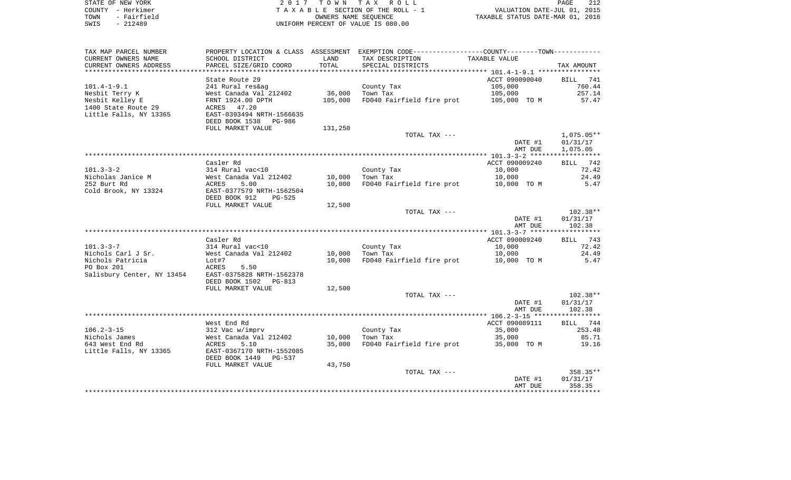| STATE OF NEW YORK   | 2017 TOWN TAX ROLL                 | 212<br><b>PAGE</b>               |
|---------------------|------------------------------------|----------------------------------|
| COUNTY - Herkimer   | TAXABLE SECTION OF THE ROLL - 1    | VALUATION DATE-JUL 01, 2015      |
| - Fairfield<br>TOWN | OWNERS NAME SEOUENCE               | TAXABLE STATUS DATE-MAR 01, 2016 |
| - 212489<br>SWIS    | UNIFORM PERCENT OF VALUE IS 080.00 |                                  |

| TAX MAP PARCEL NUMBER      |                           |         | PROPERTY LOCATION & CLASS ASSESSMENT EXEMPTION CODE----------------COUNTY-------TOWN---------- |                |              |
|----------------------------|---------------------------|---------|------------------------------------------------------------------------------------------------|----------------|--------------|
| CURRENT OWNERS NAME        | SCHOOL DISTRICT           | LAND    | TAX DESCRIPTION                                                                                | TAXABLE VALUE  |              |
| CURRENT OWNERS ADDRESS     | PARCEL SIZE/GRID COORD    | TOTAL   | SPECIAL DISTRICTS                                                                              |                | TAX AMOUNT   |
|                            |                           |         |                                                                                                |                |              |
|                            | State Route 29            |         |                                                                                                | ACCT 090090040 | BILL 741     |
| $101.4 - 1 - 9.1$          | 241 Rural res&ag          |         | County Tax                                                                                     | 105,000        | 760.44       |
| Nesbit Terry K             | West Canada Val 212402    | 36,000  | Town Tax                                                                                       | 105,000        | 257.14       |
| Nesbit Kelley E            | FRNT 1924.00 DPTH         | 105,000 | FD040 Fairfield fire prot                                                                      | 105,000 TO M   | 57.47        |
| 1400 State Route 29        | ACRES 47.20               |         |                                                                                                |                |              |
| Little Falls, NY 13365     | EAST-0393494 NRTH-1566635 |         |                                                                                                |                |              |
|                            | DEED BOOK 1538 PG-986     |         |                                                                                                |                |              |
|                            | FULL MARKET VALUE         | 131,250 |                                                                                                |                |              |
|                            |                           |         | TOTAL TAX ---                                                                                  |                | $1,075.05**$ |
|                            |                           |         |                                                                                                | DATE #1        | 01/31/17     |
|                            |                           |         |                                                                                                | AMT DUE        | 1,075.05     |
|                            |                           |         |                                                                                                |                |              |
|                            | Casler Rd                 |         |                                                                                                | ACCT 090009240 | BILL<br>742  |
| $101.3 - 3 - 2$            | 314 Rural vac<10          |         | County Tax                                                                                     | 10,000         | 72.42        |
| Nicholas Janice M          | West Canada Val 212402    | 10,000  | Town Tax                                                                                       | 10,000         | 24.49        |
| 252 Burt Rd                | ACRES<br>5.00             | 10,000  | FD040 Fairfield fire prot                                                                      | 10,000 TO M    | 5.47         |
| Cold Brook, NY 13324       | EAST-0377579 NRTH-1562504 |         |                                                                                                |                |              |
|                            | DEED BOOK 912<br>PG-525   |         |                                                                                                |                |              |
|                            | FULL MARKET VALUE         | 12,500  |                                                                                                |                |              |
|                            |                           |         | TOTAL TAX ---                                                                                  |                | $102.38**$   |
|                            |                           |         |                                                                                                | DATE #1        | 01/31/17     |
|                            |                           |         |                                                                                                | AMT DUE        | 102.38       |
|                            |                           |         |                                                                                                |                |              |
|                            | Casler Rd                 |         |                                                                                                | ACCT 090009240 | 743<br>BILL  |
| $101.3 - 3 - 7$            | 314 Rural vac<10          |         | County Tax                                                                                     | 10,000         | 72.42        |
| Nichols Carl J Sr.         | West Canada Val 212402    | 10,000  | Town Tax                                                                                       | 10,000         | 24.49        |
| Nichols Patricia           | Lot#7                     | 10,000  | FD040 Fairfield fire prot                                                                      | 10,000 TO M    | 5.47         |
| PO Box 201                 | ACRES<br>5.50             |         |                                                                                                |                |              |
| Salisbury Center, NY 13454 | EAST-0375828 NRTH-1562378 |         |                                                                                                |                |              |
|                            | DEED BOOK 1502<br>PG-813  |         |                                                                                                |                |              |
|                            | FULL MARKET VALUE         | 12,500  |                                                                                                |                |              |
|                            |                           |         | TOTAL TAX ---                                                                                  |                | $102.38**$   |
|                            |                           |         |                                                                                                | DATE #1        | 01/31/17     |
|                            |                           |         |                                                                                                | AMT DUE        | 102.38       |
|                            | West End Rd               |         |                                                                                                | ACCT 090089111 | BILL 744     |
| $106.2 - 3 - 15$           | 312 Vac w/imprv           |         | County Tax                                                                                     | 35,000         | 253.48       |
| Nichols James              | West Canada Val 212402    | 10,000  | Town Tax                                                                                       | 35,000         | 85.71        |
| 643 West End Rd            | ACRES<br>5.10             | 35,000  | FD040 Fairfield fire prot                                                                      | 35,000 TO M    | 19.16        |
| Little Falls, NY 13365     | EAST-0367170 NRTH-1552085 |         |                                                                                                |                |              |
|                            | DEED BOOK 1449<br>PG-537  |         |                                                                                                |                |              |
|                            | FULL MARKET VALUE         | 43,750  |                                                                                                |                |              |
|                            |                           |         | TOTAL TAX ---                                                                                  |                | $358.35**$   |
|                            |                           |         |                                                                                                | DATE #1        | 01/31/17     |
|                            |                           |         |                                                                                                | AMT DUE        | 358.35       |
|                            |                           |         |                                                                                                |                |              |
|                            |                           |         |                                                                                                |                |              |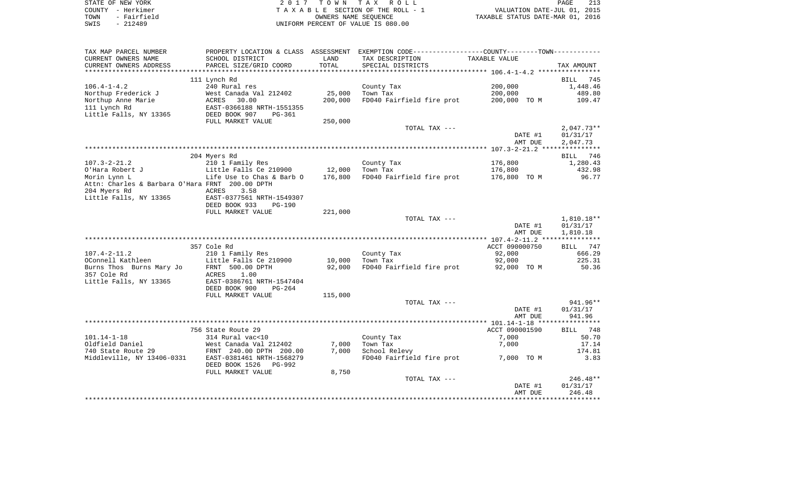|      | STATE OF NEW YORK | 2017 TOWN TAX ROLL                 | PAGE                             |  |
|------|-------------------|------------------------------------|----------------------------------|--|
|      | COUNTY - Herkimer | TAXABLE SECTION OF THE ROLL - 1    | VALUATION DATE-JUL 01, 2015      |  |
| TOWN | - Fairfield       | OWNERS NAME SEOUENCE               | TAXABLE STATUS DATE-MAR 01, 2016 |  |
| SWIS | - 212489          | UNIFORM PERCENT OF VALUE IS 080.00 |                                  |  |

| SCHOOL DISTRICT<br>LAND<br>TAX DESCRIPTION<br>TAXABLE VALUE<br>TOTAL<br>PARCEL SIZE/GRID COORD<br>SPECIAL DISTRICTS<br>TAX AMOUNT<br>**************************<br>***********************<br>111 Lynch Rd<br>745<br>BILL<br>240 Rural res<br>200,000<br>1,448.46<br>County Tax<br>25,000<br>West Canada Val 212402<br>Town Tax<br>200,000<br>489.80<br>200,000<br>FD040 Fairfield fire prot<br>200,000 TO M<br>109.47<br>ACRES<br>30.00<br>EAST-0366188 NRTH-1551355<br>DEED BOOK 907<br>PG-361<br>FULL MARKET VALUE<br>250,000<br>TOTAL TAX ---<br>$2,047.73**$<br>DATE #1<br>01/31/17<br>AMT DUE<br>2,047.73<br>204 Myers Rd<br>746<br>BILL<br>210 1 Family Res<br>176,800<br>County Tax<br>1,280.43<br>Little Falls Ce 210900<br>12,000<br>Town Tax<br>176,800<br>432.98<br>FD040 Fairfield fire prot<br>96.77<br>Life Use to Chas & Barb O<br>176,800<br>176,800 TO M<br>Attn: Charles & Barbara O'Hara FRNT 200.00 DPTH<br>3.58<br>ACRES<br>EAST-0377561 NRTH-1549307<br>DEED BOOK 933<br><b>PG-190</b><br>FULL MARKET VALUE<br>221,000<br>TOTAL TAX ---<br>$1,810.18**$<br>DATE #1<br>01/31/17<br>AMT DUE<br>1,810.18<br>357 Cole Rd<br>ACCT 090000750<br>747<br>BILL<br>210 1 Family Res<br>666.29<br>County Tax<br>92,000<br>Little Falls Ce 210900<br>10,000<br>Town Tax<br>92,000<br>225.31<br>FD040 Fairfield fire prot<br>50.36<br>FRNT 500.00 DPTH<br>92,000<br>92,000 TO M<br>1.00<br>ACRES<br>EAST-0386761 NRTH-1547404<br>DEED BOOK 900<br>$PG-264$<br>115,000<br>FULL MARKET VALUE<br>TOTAL TAX ---<br>941.96**<br>DATE #1<br>01/31/17<br>AMT DUE<br>941.96<br>ACCT 090001590<br>756 State Route 29<br>748<br>BILL<br>7,000<br>314 Rural vac<10<br>County Tax<br>50.70<br>7,000<br>Town Tax<br>7,000<br>17.14<br>West Canada Val 212402<br>FRNT 240.00 DPTH 200.00<br>7,000<br>School Relevy<br>174.81<br>FD040 Fairfield fire prot<br>3.83<br>EAST-0381461 NRTH-1568279<br>7,000 TO M<br>DEED BOOK 1526<br>PG-992<br>FULL MARKET VALUE<br>8,750<br>$246.48**$<br>TOTAL TAX ---<br>DATE #1<br>01/31/17<br>246.48<br>AMT DUE | TAX MAP PARCEL NUMBER      |  | PROPERTY LOCATION & CLASS ASSESSMENT EXEMPTION CODE----------------COUNTY-------TOWN---------- |  |
|-----------------------------------------------------------------------------------------------------------------------------------------------------------------------------------------------------------------------------------------------------------------------------------------------------------------------------------------------------------------------------------------------------------------------------------------------------------------------------------------------------------------------------------------------------------------------------------------------------------------------------------------------------------------------------------------------------------------------------------------------------------------------------------------------------------------------------------------------------------------------------------------------------------------------------------------------------------------------------------------------------------------------------------------------------------------------------------------------------------------------------------------------------------------------------------------------------------------------------------------------------------------------------------------------------------------------------------------------------------------------------------------------------------------------------------------------------------------------------------------------------------------------------------------------------------------------------------------------------------------------------------------------------------------------------------------------------------------------------------------------------------------------------------------------------------------------------------------------------------------------------------------------------------------------------------------------------------------------------------------------------------------------------------------------|----------------------------|--|------------------------------------------------------------------------------------------------|--|
|                                                                                                                                                                                                                                                                                                                                                                                                                                                                                                                                                                                                                                                                                                                                                                                                                                                                                                                                                                                                                                                                                                                                                                                                                                                                                                                                                                                                                                                                                                                                                                                                                                                                                                                                                                                                                                                                                                                                                                                                                                               | CURRENT OWNERS NAME        |  |                                                                                                |  |
|                                                                                                                                                                                                                                                                                                                                                                                                                                                                                                                                                                                                                                                                                                                                                                                                                                                                                                                                                                                                                                                                                                                                                                                                                                                                                                                                                                                                                                                                                                                                                                                                                                                                                                                                                                                                                                                                                                                                                                                                                                               | CURRENT OWNERS ADDRESS     |  |                                                                                                |  |
|                                                                                                                                                                                                                                                                                                                                                                                                                                                                                                                                                                                                                                                                                                                                                                                                                                                                                                                                                                                                                                                                                                                                                                                                                                                                                                                                                                                                                                                                                                                                                                                                                                                                                                                                                                                                                                                                                                                                                                                                                                               |                            |  |                                                                                                |  |
|                                                                                                                                                                                                                                                                                                                                                                                                                                                                                                                                                                                                                                                                                                                                                                                                                                                                                                                                                                                                                                                                                                                                                                                                                                                                                                                                                                                                                                                                                                                                                                                                                                                                                                                                                                                                                                                                                                                                                                                                                                               |                            |  |                                                                                                |  |
|                                                                                                                                                                                                                                                                                                                                                                                                                                                                                                                                                                                                                                                                                                                                                                                                                                                                                                                                                                                                                                                                                                                                                                                                                                                                                                                                                                                                                                                                                                                                                                                                                                                                                                                                                                                                                                                                                                                                                                                                                                               | $106.4 - 1 - 4.2$          |  |                                                                                                |  |
|                                                                                                                                                                                                                                                                                                                                                                                                                                                                                                                                                                                                                                                                                                                                                                                                                                                                                                                                                                                                                                                                                                                                                                                                                                                                                                                                                                                                                                                                                                                                                                                                                                                                                                                                                                                                                                                                                                                                                                                                                                               | Northup Frederick J        |  |                                                                                                |  |
|                                                                                                                                                                                                                                                                                                                                                                                                                                                                                                                                                                                                                                                                                                                                                                                                                                                                                                                                                                                                                                                                                                                                                                                                                                                                                                                                                                                                                                                                                                                                                                                                                                                                                                                                                                                                                                                                                                                                                                                                                                               | Northup Anne Marie         |  |                                                                                                |  |
|                                                                                                                                                                                                                                                                                                                                                                                                                                                                                                                                                                                                                                                                                                                                                                                                                                                                                                                                                                                                                                                                                                                                                                                                                                                                                                                                                                                                                                                                                                                                                                                                                                                                                                                                                                                                                                                                                                                                                                                                                                               | 111 Lynch Rd               |  |                                                                                                |  |
|                                                                                                                                                                                                                                                                                                                                                                                                                                                                                                                                                                                                                                                                                                                                                                                                                                                                                                                                                                                                                                                                                                                                                                                                                                                                                                                                                                                                                                                                                                                                                                                                                                                                                                                                                                                                                                                                                                                                                                                                                                               | Little Falls, NY 13365     |  |                                                                                                |  |
|                                                                                                                                                                                                                                                                                                                                                                                                                                                                                                                                                                                                                                                                                                                                                                                                                                                                                                                                                                                                                                                                                                                                                                                                                                                                                                                                                                                                                                                                                                                                                                                                                                                                                                                                                                                                                                                                                                                                                                                                                                               |                            |  |                                                                                                |  |
|                                                                                                                                                                                                                                                                                                                                                                                                                                                                                                                                                                                                                                                                                                                                                                                                                                                                                                                                                                                                                                                                                                                                                                                                                                                                                                                                                                                                                                                                                                                                                                                                                                                                                                                                                                                                                                                                                                                                                                                                                                               |                            |  |                                                                                                |  |
|                                                                                                                                                                                                                                                                                                                                                                                                                                                                                                                                                                                                                                                                                                                                                                                                                                                                                                                                                                                                                                                                                                                                                                                                                                                                                                                                                                                                                                                                                                                                                                                                                                                                                                                                                                                                                                                                                                                                                                                                                                               |                            |  |                                                                                                |  |
|                                                                                                                                                                                                                                                                                                                                                                                                                                                                                                                                                                                                                                                                                                                                                                                                                                                                                                                                                                                                                                                                                                                                                                                                                                                                                                                                                                                                                                                                                                                                                                                                                                                                                                                                                                                                                                                                                                                                                                                                                                               |                            |  |                                                                                                |  |
|                                                                                                                                                                                                                                                                                                                                                                                                                                                                                                                                                                                                                                                                                                                                                                                                                                                                                                                                                                                                                                                                                                                                                                                                                                                                                                                                                                                                                                                                                                                                                                                                                                                                                                                                                                                                                                                                                                                                                                                                                                               |                            |  |                                                                                                |  |
|                                                                                                                                                                                                                                                                                                                                                                                                                                                                                                                                                                                                                                                                                                                                                                                                                                                                                                                                                                                                                                                                                                                                                                                                                                                                                                                                                                                                                                                                                                                                                                                                                                                                                                                                                                                                                                                                                                                                                                                                                                               |                            |  |                                                                                                |  |
|                                                                                                                                                                                                                                                                                                                                                                                                                                                                                                                                                                                                                                                                                                                                                                                                                                                                                                                                                                                                                                                                                                                                                                                                                                                                                                                                                                                                                                                                                                                                                                                                                                                                                                                                                                                                                                                                                                                                                                                                                                               | $107.3 - 2 - 21.2$         |  |                                                                                                |  |
|                                                                                                                                                                                                                                                                                                                                                                                                                                                                                                                                                                                                                                                                                                                                                                                                                                                                                                                                                                                                                                                                                                                                                                                                                                                                                                                                                                                                                                                                                                                                                                                                                                                                                                                                                                                                                                                                                                                                                                                                                                               | O'Hara Robert J            |  |                                                                                                |  |
|                                                                                                                                                                                                                                                                                                                                                                                                                                                                                                                                                                                                                                                                                                                                                                                                                                                                                                                                                                                                                                                                                                                                                                                                                                                                                                                                                                                                                                                                                                                                                                                                                                                                                                                                                                                                                                                                                                                                                                                                                                               | Morin Lynn L               |  |                                                                                                |  |
|                                                                                                                                                                                                                                                                                                                                                                                                                                                                                                                                                                                                                                                                                                                                                                                                                                                                                                                                                                                                                                                                                                                                                                                                                                                                                                                                                                                                                                                                                                                                                                                                                                                                                                                                                                                                                                                                                                                                                                                                                                               |                            |  |                                                                                                |  |
|                                                                                                                                                                                                                                                                                                                                                                                                                                                                                                                                                                                                                                                                                                                                                                                                                                                                                                                                                                                                                                                                                                                                                                                                                                                                                                                                                                                                                                                                                                                                                                                                                                                                                                                                                                                                                                                                                                                                                                                                                                               | 204 Myers Rd               |  |                                                                                                |  |
|                                                                                                                                                                                                                                                                                                                                                                                                                                                                                                                                                                                                                                                                                                                                                                                                                                                                                                                                                                                                                                                                                                                                                                                                                                                                                                                                                                                                                                                                                                                                                                                                                                                                                                                                                                                                                                                                                                                                                                                                                                               | Little Falls, NY 13365     |  |                                                                                                |  |
|                                                                                                                                                                                                                                                                                                                                                                                                                                                                                                                                                                                                                                                                                                                                                                                                                                                                                                                                                                                                                                                                                                                                                                                                                                                                                                                                                                                                                                                                                                                                                                                                                                                                                                                                                                                                                                                                                                                                                                                                                                               |                            |  |                                                                                                |  |
|                                                                                                                                                                                                                                                                                                                                                                                                                                                                                                                                                                                                                                                                                                                                                                                                                                                                                                                                                                                                                                                                                                                                                                                                                                                                                                                                                                                                                                                                                                                                                                                                                                                                                                                                                                                                                                                                                                                                                                                                                                               |                            |  |                                                                                                |  |
|                                                                                                                                                                                                                                                                                                                                                                                                                                                                                                                                                                                                                                                                                                                                                                                                                                                                                                                                                                                                                                                                                                                                                                                                                                                                                                                                                                                                                                                                                                                                                                                                                                                                                                                                                                                                                                                                                                                                                                                                                                               |                            |  |                                                                                                |  |
|                                                                                                                                                                                                                                                                                                                                                                                                                                                                                                                                                                                                                                                                                                                                                                                                                                                                                                                                                                                                                                                                                                                                                                                                                                                                                                                                                                                                                                                                                                                                                                                                                                                                                                                                                                                                                                                                                                                                                                                                                                               |                            |  |                                                                                                |  |
|                                                                                                                                                                                                                                                                                                                                                                                                                                                                                                                                                                                                                                                                                                                                                                                                                                                                                                                                                                                                                                                                                                                                                                                                                                                                                                                                                                                                                                                                                                                                                                                                                                                                                                                                                                                                                                                                                                                                                                                                                                               |                            |  |                                                                                                |  |
|                                                                                                                                                                                                                                                                                                                                                                                                                                                                                                                                                                                                                                                                                                                                                                                                                                                                                                                                                                                                                                                                                                                                                                                                                                                                                                                                                                                                                                                                                                                                                                                                                                                                                                                                                                                                                                                                                                                                                                                                                                               |                            |  |                                                                                                |  |
|                                                                                                                                                                                                                                                                                                                                                                                                                                                                                                                                                                                                                                                                                                                                                                                                                                                                                                                                                                                                                                                                                                                                                                                                                                                                                                                                                                                                                                                                                                                                                                                                                                                                                                                                                                                                                                                                                                                                                                                                                                               |                            |  |                                                                                                |  |
|                                                                                                                                                                                                                                                                                                                                                                                                                                                                                                                                                                                                                                                                                                                                                                                                                                                                                                                                                                                                                                                                                                                                                                                                                                                                                                                                                                                                                                                                                                                                                                                                                                                                                                                                                                                                                                                                                                                                                                                                                                               | $107.4 - 2 - 11.2$         |  |                                                                                                |  |
|                                                                                                                                                                                                                                                                                                                                                                                                                                                                                                                                                                                                                                                                                                                                                                                                                                                                                                                                                                                                                                                                                                                                                                                                                                                                                                                                                                                                                                                                                                                                                                                                                                                                                                                                                                                                                                                                                                                                                                                                                                               | OConnell Kathleen          |  |                                                                                                |  |
|                                                                                                                                                                                                                                                                                                                                                                                                                                                                                                                                                                                                                                                                                                                                                                                                                                                                                                                                                                                                                                                                                                                                                                                                                                                                                                                                                                                                                                                                                                                                                                                                                                                                                                                                                                                                                                                                                                                                                                                                                                               | Burns Thos Burns Mary Jo   |  |                                                                                                |  |
|                                                                                                                                                                                                                                                                                                                                                                                                                                                                                                                                                                                                                                                                                                                                                                                                                                                                                                                                                                                                                                                                                                                                                                                                                                                                                                                                                                                                                                                                                                                                                                                                                                                                                                                                                                                                                                                                                                                                                                                                                                               | 357 Cole Rd                |  |                                                                                                |  |
|                                                                                                                                                                                                                                                                                                                                                                                                                                                                                                                                                                                                                                                                                                                                                                                                                                                                                                                                                                                                                                                                                                                                                                                                                                                                                                                                                                                                                                                                                                                                                                                                                                                                                                                                                                                                                                                                                                                                                                                                                                               | Little Falls, NY 13365     |  |                                                                                                |  |
|                                                                                                                                                                                                                                                                                                                                                                                                                                                                                                                                                                                                                                                                                                                                                                                                                                                                                                                                                                                                                                                                                                                                                                                                                                                                                                                                                                                                                                                                                                                                                                                                                                                                                                                                                                                                                                                                                                                                                                                                                                               |                            |  |                                                                                                |  |
|                                                                                                                                                                                                                                                                                                                                                                                                                                                                                                                                                                                                                                                                                                                                                                                                                                                                                                                                                                                                                                                                                                                                                                                                                                                                                                                                                                                                                                                                                                                                                                                                                                                                                                                                                                                                                                                                                                                                                                                                                                               |                            |  |                                                                                                |  |
|                                                                                                                                                                                                                                                                                                                                                                                                                                                                                                                                                                                                                                                                                                                                                                                                                                                                                                                                                                                                                                                                                                                                                                                                                                                                                                                                                                                                                                                                                                                                                                                                                                                                                                                                                                                                                                                                                                                                                                                                                                               |                            |  |                                                                                                |  |
|                                                                                                                                                                                                                                                                                                                                                                                                                                                                                                                                                                                                                                                                                                                                                                                                                                                                                                                                                                                                                                                                                                                                                                                                                                                                                                                                                                                                                                                                                                                                                                                                                                                                                                                                                                                                                                                                                                                                                                                                                                               |                            |  |                                                                                                |  |
|                                                                                                                                                                                                                                                                                                                                                                                                                                                                                                                                                                                                                                                                                                                                                                                                                                                                                                                                                                                                                                                                                                                                                                                                                                                                                                                                                                                                                                                                                                                                                                                                                                                                                                                                                                                                                                                                                                                                                                                                                                               |                            |  |                                                                                                |  |
|                                                                                                                                                                                                                                                                                                                                                                                                                                                                                                                                                                                                                                                                                                                                                                                                                                                                                                                                                                                                                                                                                                                                                                                                                                                                                                                                                                                                                                                                                                                                                                                                                                                                                                                                                                                                                                                                                                                                                                                                                                               |                            |  |                                                                                                |  |
|                                                                                                                                                                                                                                                                                                                                                                                                                                                                                                                                                                                                                                                                                                                                                                                                                                                                                                                                                                                                                                                                                                                                                                                                                                                                                                                                                                                                                                                                                                                                                                                                                                                                                                                                                                                                                                                                                                                                                                                                                                               |                            |  |                                                                                                |  |
|                                                                                                                                                                                                                                                                                                                                                                                                                                                                                                                                                                                                                                                                                                                                                                                                                                                                                                                                                                                                                                                                                                                                                                                                                                                                                                                                                                                                                                                                                                                                                                                                                                                                                                                                                                                                                                                                                                                                                                                                                                               | $101.14 - 1 - 18$          |  |                                                                                                |  |
|                                                                                                                                                                                                                                                                                                                                                                                                                                                                                                                                                                                                                                                                                                                                                                                                                                                                                                                                                                                                                                                                                                                                                                                                                                                                                                                                                                                                                                                                                                                                                                                                                                                                                                                                                                                                                                                                                                                                                                                                                                               | Oldfield Daniel            |  |                                                                                                |  |
|                                                                                                                                                                                                                                                                                                                                                                                                                                                                                                                                                                                                                                                                                                                                                                                                                                                                                                                                                                                                                                                                                                                                                                                                                                                                                                                                                                                                                                                                                                                                                                                                                                                                                                                                                                                                                                                                                                                                                                                                                                               | 740 State Route 29         |  |                                                                                                |  |
|                                                                                                                                                                                                                                                                                                                                                                                                                                                                                                                                                                                                                                                                                                                                                                                                                                                                                                                                                                                                                                                                                                                                                                                                                                                                                                                                                                                                                                                                                                                                                                                                                                                                                                                                                                                                                                                                                                                                                                                                                                               | Middleville, NY 13406-0331 |  |                                                                                                |  |
|                                                                                                                                                                                                                                                                                                                                                                                                                                                                                                                                                                                                                                                                                                                                                                                                                                                                                                                                                                                                                                                                                                                                                                                                                                                                                                                                                                                                                                                                                                                                                                                                                                                                                                                                                                                                                                                                                                                                                                                                                                               |                            |  |                                                                                                |  |
|                                                                                                                                                                                                                                                                                                                                                                                                                                                                                                                                                                                                                                                                                                                                                                                                                                                                                                                                                                                                                                                                                                                                                                                                                                                                                                                                                                                                                                                                                                                                                                                                                                                                                                                                                                                                                                                                                                                                                                                                                                               |                            |  |                                                                                                |  |
|                                                                                                                                                                                                                                                                                                                                                                                                                                                                                                                                                                                                                                                                                                                                                                                                                                                                                                                                                                                                                                                                                                                                                                                                                                                                                                                                                                                                                                                                                                                                                                                                                                                                                                                                                                                                                                                                                                                                                                                                                                               |                            |  |                                                                                                |  |
|                                                                                                                                                                                                                                                                                                                                                                                                                                                                                                                                                                                                                                                                                                                                                                                                                                                                                                                                                                                                                                                                                                                                                                                                                                                                                                                                                                                                                                                                                                                                                                                                                                                                                                                                                                                                                                                                                                                                                                                                                                               |                            |  |                                                                                                |  |
|                                                                                                                                                                                                                                                                                                                                                                                                                                                                                                                                                                                                                                                                                                                                                                                                                                                                                                                                                                                                                                                                                                                                                                                                                                                                                                                                                                                                                                                                                                                                                                                                                                                                                                                                                                                                                                                                                                                                                                                                                                               |                            |  |                                                                                                |  |
|                                                                                                                                                                                                                                                                                                                                                                                                                                                                                                                                                                                                                                                                                                                                                                                                                                                                                                                                                                                                                                                                                                                                                                                                                                                                                                                                                                                                                                                                                                                                                                                                                                                                                                                                                                                                                                                                                                                                                                                                                                               |                            |  |                                                                                                |  |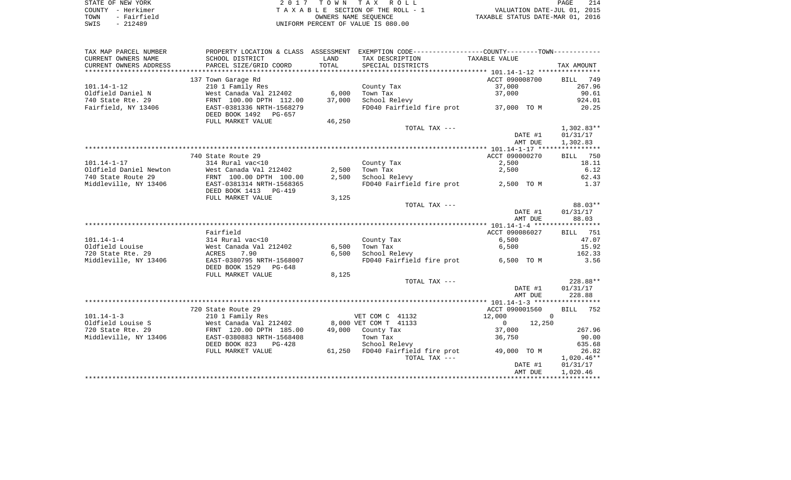| STATE OF NEW YORK   | 2017 TOWN TAX ROLL                 | 214<br>PAGE                      |
|---------------------|------------------------------------|----------------------------------|
| COUNTY - Herkimer   | TAXABLE SECTION OF THE ROLL - 1    | VALUATION DATE-JUL 01, 2015      |
| - Fairfield<br>TOWN | OWNERS NAME SEOUENCE               | TAXABLE STATUS DATE-MAR 01, 2016 |
| SWIS<br>$-212489$   | UNIFORM PERCENT OF VALUE IS 080.00 |                                  |

| TAX MAP PARCEL NUMBER  |                                                       |        | PROPERTY LOCATION & CLASS ASSESSMENT EXEMPTION CODE---------------COUNTY-------TOWN---------- |                          |                    |
|------------------------|-------------------------------------------------------|--------|-----------------------------------------------------------------------------------------------|--------------------------|--------------------|
| CURRENT OWNERS NAME    | SCHOOL DISTRICT                                       | LAND   | TAX DESCRIPTION                                                                               | TAXABLE VALUE            |                    |
| CURRENT OWNERS ADDRESS | PARCEL SIZE/GRID COORD                                | TOTAL  | SPECIAL DISTRICTS                                                                             |                          | TAX AMOUNT         |
|                        |                                                       |        |                                                                                               |                          |                    |
|                        | 137 Town Garage Rd                                    |        |                                                                                               | ACCT 090008700           | 749<br>BILL        |
| $101.14 - 1 - 12$      | 210 1 Family Res                                      |        | County Tax                                                                                    | 37,000                   | 267.96             |
| Oldfield Daniel N      | West Canada Val 212402                                | 6,000  | Town Tax                                                                                      | 37,000                   | 90.61              |
| 740 State Rte. 29      | FRNT 100.00 DPTH 112.00                               | 37,000 | School Relevy                                                                                 |                          | 924.01             |
| Fairfield, NY 13406    | EAST-0381336 NRTH-1568279<br>DEED BOOK 1492<br>PG-657 |        | FD040 Fairfield fire prot                                                                     | 37,000 TO M              | 20.25              |
|                        | FULL MARKET VALUE                                     | 46,250 |                                                                                               |                          |                    |
|                        |                                                       |        | TOTAL TAX ---                                                                                 |                          | $1,302.83**$       |
|                        |                                                       |        |                                                                                               | DATE #1                  | 01/31/17           |
|                        |                                                       |        |                                                                                               | AMT DUE                  | 1,302.83           |
|                        |                                                       |        |                                                                                               |                          |                    |
|                        | 740 State Route 29                                    |        |                                                                                               | ACCT 090000270           | BILL<br>750        |
| $101.14 - 1 - 17$      | 314 Rural vac<10                                      |        | County Tax                                                                                    | 2,500                    | 18.11              |
| Oldfield Daniel Newton | West Canada Val 212402                                | 2,500  | Town Tax                                                                                      | 2,500                    | 6.12               |
| 740 State Route 29     | FRNT 100.00 DPTH 100.00                               | 2,500  | School Relevy                                                                                 |                          | 62.43              |
| Middleville, NY 13406  | EAST-0381314 NRTH-1568365                             |        | FD040 Fairfield fire prot                                                                     | 2,500 TO M               | 1.37               |
|                        | DEED BOOK 1413 PG-419                                 |        |                                                                                               |                          |                    |
|                        | FULL MARKET VALUE                                     | 3,125  | TOTAL TAX ---                                                                                 |                          | 88.03**            |
|                        |                                                       |        |                                                                                               | DATE #1                  | 01/31/17           |
|                        |                                                       |        |                                                                                               | AMT DUE                  | 88.03              |
|                        |                                                       |        |                                                                                               |                          |                    |
|                        | Fairfield                                             |        |                                                                                               | ACCT 090086027           | 751<br>BILL        |
| $101.14 - 1 - 4$       | 314 Rural vac<10                                      |        | County Tax                                                                                    | $6,500$                  | 47.07              |
| Oldfield Louise        | West Canada Val 212402                                | 6,500  | Town Tax                                                                                      | 6,500                    | 15.92              |
| 720 State Rte. 29      | 7.90<br>ACRES                                         | 6,500  | School Relevy                                                                                 |                          | 162.33             |
| Middleville, NY 13406  | EAST-0380795 NRTH-1568007<br>DEED BOOK 1529<br>PG-648 |        | FD040 Fairfield fire prot                                                                     | 6,500 TO M               | 3.56               |
|                        | FULL MARKET VALUE                                     | 8,125  |                                                                                               |                          |                    |
|                        |                                                       |        | TOTAL TAX ---                                                                                 |                          | 228.88**           |
|                        |                                                       |        |                                                                                               | DATE #1                  | 01/31/17           |
|                        |                                                       |        |                                                                                               | AMT DUE                  | 228.88             |
|                        |                                                       |        |                                                                                               |                          |                    |
|                        | 720 State Route 29                                    |        |                                                                                               | ACCT 090001560           | <b>BILL</b><br>752 |
| $101.14 - 1 - 3$       | 210 1 Family Res                                      |        | VET COM C 41132                                                                               | 12,000                   | $\overline{0}$     |
| Oldfield Louise S      | West Canada Val 212402                                |        | 8,000 VET COM T 41133                                                                         | 12,250<br>$\overline{0}$ |                    |
| 720 State Rte. 29      | FRNT 120.00 DPTH 185.00                               | 49,000 | County Tax                                                                                    | 37,000                   | 267.96             |
| Middleville, NY 13406  | EAST-0380883 NRTH-1568408                             |        | Town Tax                                                                                      | 36,750                   | 90.00              |
|                        | DEED BOOK 823<br>$PG-428$                             |        | School Relevy                                                                                 |                          | 635.68             |
|                        | FULL MARKET VALUE                                     |        | 61,250 FD040 Fairfield fire prot                                                              | 49,000 TO M              | 26.82              |
|                        |                                                       |        | TOTAL TAX ---                                                                                 |                          | $1,020.46**$       |
|                        |                                                       |        |                                                                                               | DATE #1                  | 01/31/17           |
|                        |                                                       |        |                                                                                               | AMT DUE                  | 1,020.46           |
|                        |                                                       |        |                                                                                               |                          |                    |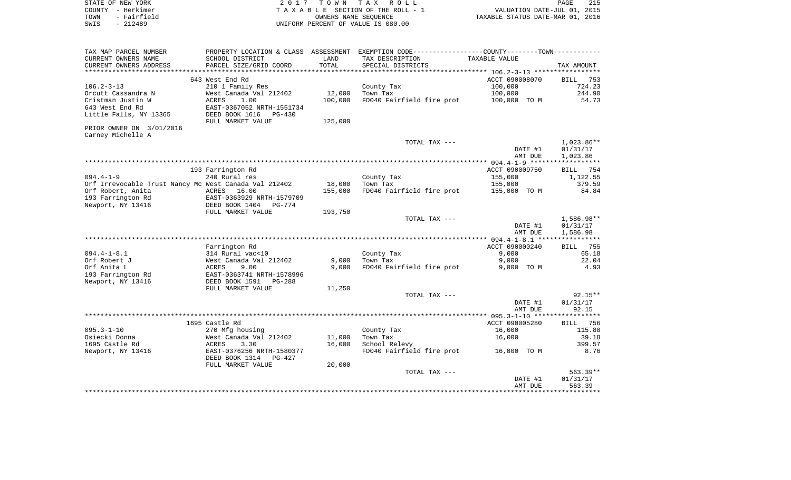| STATE OF NEW YORK<br>COUNTY - Herkimer                | 2 0 1 7                                 | T O W N        | TAX ROLL<br>TAXABLE SECTION OF THE ROLL - 1                                                  | VALUATION DATE-JUL 01,           | 215<br>PAGE<br>2015 |
|-------------------------------------------------------|-----------------------------------------|----------------|----------------------------------------------------------------------------------------------|----------------------------------|---------------------|
| - Fairfield<br>TOWN                                   |                                         |                | OWNERS NAME SEQUENCE                                                                         | TAXABLE STATUS DATE-MAR 01, 2016 |                     |
| SWIS<br>$-212489$                                     |                                         |                | UNIFORM PERCENT OF VALUE IS 080.00                                                           |                                  |                     |
|                                                       |                                         |                |                                                                                              |                                  |                     |
|                                                       |                                         |                |                                                                                              |                                  |                     |
| TAX MAP PARCEL NUMBER                                 |                                         |                | PROPERTY LOCATION & CLASS ASSESSMENT EXEMPTION CODE---------------COUNTY-------TOWN--------- |                                  |                     |
| CURRENT OWNERS NAME                                   | SCHOOL DISTRICT                         | LAND<br>TOTAL  | TAX DESCRIPTION                                                                              | TAXABLE VALUE                    |                     |
| CURRENT OWNERS ADDRESS<br>***********************     | PARCEL SIZE/GRID COORD                  |                | SPECIAL DISTRICTS                                                                            |                                  | TAX AMOUNT          |
|                                                       | 643 West End Rd                         |                |                                                                                              | ACCT 090008070                   | 753<br>BILL         |
| $106.2 - 3 - 13$                                      | 210 1 Family Res                        |                | County Tax                                                                                   | 100,000                          | 724.23              |
| Orcutt Cassandra N                                    | West Canada Val 212402                  | 12,000         | Town Tax                                                                                     | 100,000                          | 244.90              |
| Cristman Justin W                                     | <b>ACRES</b><br>1.00                    | 100,000        | FD040 Fairfield fire prot                                                                    | 100,000 TO M                     | 54.73               |
| 643 West End Rd                                       | EAST-0367052 NRTH-1551734               |                |                                                                                              |                                  |                     |
| Little Falls, NY 13365                                | DEED BOOK 1616 PG-430                   |                |                                                                                              |                                  |                     |
|                                                       | FULL MARKET VALUE                       | 125,000        |                                                                                              |                                  |                     |
| PRIOR OWNER ON 3/01/2016                              |                                         |                |                                                                                              |                                  |                     |
| Carney Michelle A                                     |                                         |                |                                                                                              |                                  |                     |
|                                                       |                                         |                | TOTAL TAX ---                                                                                |                                  | $1,023.86**$        |
|                                                       |                                         |                |                                                                                              | DATE #1                          | 01/31/17            |
|                                                       |                                         |                |                                                                                              | AMT DUE                          | 1,023.86            |
|                                                       | 193 Farrington Rd                       |                |                                                                                              | ACCT 090009750                   | <b>BILL</b><br>754  |
| $094.4 - 1 - 9$                                       | 240 Rural res                           |                | County Tax                                                                                   | 155,000                          | 1,122.55            |
| Orf Irrevocable Trust Nancy Mc West Canada Val 212402 |                                         | 18,000         | Town Tax                                                                                     | 155,000                          | 379.59              |
| Orf Robert, Anita                                     | ACRES<br>16.00                          | 155,000        | FD040 Fairfield fire prot                                                                    | 155,000 TO M                     | 84.84               |
| 193 Farrington Rd                                     | EAST-0363929 NRTH-1579709               |                |                                                                                              |                                  |                     |
| Newport, NY 13416                                     | DEED BOOK 1404<br>PG-774                |                |                                                                                              |                                  |                     |
|                                                       | FULL MARKET VALUE                       | 193,750        |                                                                                              |                                  |                     |
|                                                       |                                         |                | TOTAL TAX ---                                                                                |                                  | 1,586.98**          |
|                                                       |                                         |                |                                                                                              | DATE #1                          | 01/31/17            |
|                                                       |                                         |                |                                                                                              | AMT DUE                          | 1,586.98            |
|                                                       |                                         |                |                                                                                              |                                  |                     |
|                                                       | Farrington Rd                           |                |                                                                                              | ACCT 090000240                   | <b>BILL</b><br>755  |
| $094.4 - 1 - 8.1$                                     | 314 Rural vac<10                        |                | County Tax                                                                                   | 9,000                            | 65.18               |
| Orf Robert J<br>Orf Anita L                           | West Canada Val 212402<br>ACRES<br>9.00 | 9,000<br>9,000 | Town Tax<br>FD040 Fairfield fire prot                                                        | 9,000<br>9,000 TO M              | 22.04<br>4.93       |
| 193 Farrington Rd                                     | EAST-0363741 NRTH-1578996               |                |                                                                                              |                                  |                     |
| Newport, NY 13416                                     | DEED BOOK 1591<br>PG-288                |                |                                                                                              |                                  |                     |
|                                                       | FULL MARKET VALUE                       | 11,250         |                                                                                              |                                  |                     |
|                                                       |                                         |                | TOTAL TAX ---                                                                                |                                  | $92.15**$           |
|                                                       |                                         |                |                                                                                              | DATE #1                          | 01/31/17            |
|                                                       |                                         |                |                                                                                              | AMT DUE                          | 92.15               |
|                                                       |                                         |                |                                                                                              |                                  | * * * * * * * *     |
|                                                       | 1695 Castle Rd                          |                |                                                                                              | ACCT 090005280                   | 756<br>BILL         |
| $095.3 - 1 - 10$                                      | 270 Mfg housing                         |                | County Tax                                                                                   | 16,000                           | 115.88              |
| Osiecki Donna                                         | West Canada Val 212402                  | 11,000         | Town Tax                                                                                     | 16,000                           | 39.18               |
| 1695 Castle Rd                                        | <b>ACRES</b><br>3.30                    | 16,000         | School Relevy                                                                                |                                  | 399.57              |
| Newport, NY 13416                                     | EAST-0376256 NRTH-1580377               |                | FD040 Fairfield fire prot                                                                    | 16,000 TO M                      | 8.76                |
|                                                       | DEED BOOK 1314<br>PG-427                |                |                                                                                              |                                  |                     |
|                                                       | FULL MARKET VALUE                       | 20,000         | TOTAL TAX ---                                                                                |                                  | $563.39**$          |
|                                                       |                                         |                |                                                                                              | DATE #1                          | 01/31/17            |
|                                                       |                                         |                |                                                                                              | AMT DUE                          | 563.39              |
|                                                       |                                         |                |                                                                                              |                                  | ********            |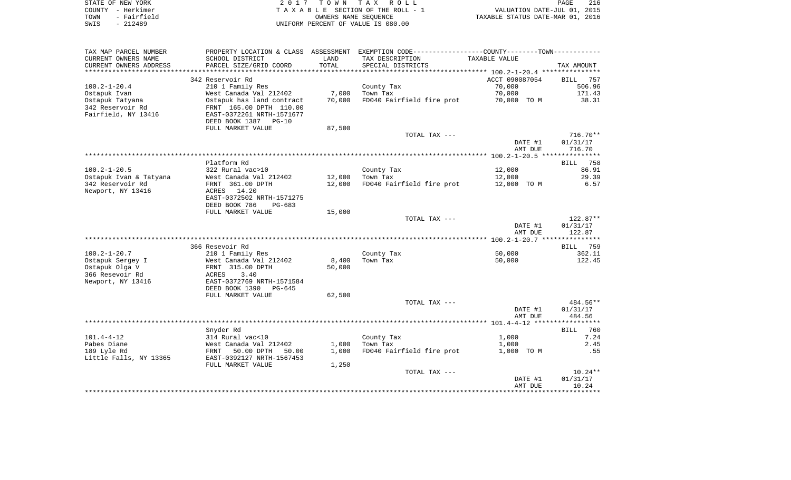|      | STATE OF NEW YORK | 2017 TOWN TAX ROLL                 | PAGE                             | 216 |
|------|-------------------|------------------------------------|----------------------------------|-----|
|      | COUNTY - Herkimer | TAXABLE SECTION OF THE ROLL - 1    | VALUATION DATE-JUL 01, 2015      |     |
| TOWN | - Fairfield       | OWNERS NAME SEOUENCE               | TAXABLE STATUS DATE-MAR 01, 2016 |     |
| SWIS | $-212489$         | UNIFORM PERCENT OF VALUE IS 080.00 |                                  |     |

| TAX MAP PARCEL NUMBER  | PROPERTY LOCATION & CLASS                              | ASSESSMENT          | EXEMPTION CODE-----------------COUNTY-------TOWN-----------    |                |                      |
|------------------------|--------------------------------------------------------|---------------------|----------------------------------------------------------------|----------------|----------------------|
| CURRENT OWNERS NAME    | SCHOOL DISTRICT                                        | LAND                | TAX DESCRIPTION                                                | TAXABLE VALUE  |                      |
| CURRENT OWNERS ADDRESS | PARCEL SIZE/GRID COORD                                 | TOTAL               | SPECIAL DISTRICTS                                              |                | TAX AMOUNT           |
|                        |                                                        | * * * * * * * * * * | ********************************* 100.2-1-20.4 *************** |                |                      |
|                        | 342 Reservoir Rd                                       |                     |                                                                | ACCT 090087054 | <b>BILL</b><br>757   |
| $100.2 - 1 - 20.4$     | 210 1 Family Res                                       |                     | County Tax                                                     | 70,000         | 506.96               |
| Ostapuk Ivan           | West Canada Val 212402                                 | 7,000               | Town Tax                                                       | 70,000         | 171.43               |
| Ostapuk Tatyana        | Ostapuk has land contract                              | 70,000              | FD040 Fairfield fire prot                                      | 70,000 TO M    | 38.31                |
| 342 Reservoir Rd       | FRNT 165.00 DPTH 110.00                                |                     |                                                                |                |                      |
| Fairfield, NY 13416    | EAST-0372261 NRTH-1571677<br>DEED BOOK 1387<br>$PG-10$ |                     |                                                                |                |                      |
|                        | FULL MARKET VALUE                                      | 87,500              |                                                                |                |                      |
|                        |                                                        |                     | TOTAL TAX ---                                                  |                | $716.70**$           |
|                        |                                                        |                     |                                                                | DATE #1        | 01/31/17             |
|                        |                                                        |                     |                                                                | AMT DUE        | 716.70               |
|                        |                                                        |                     |                                                                |                |                      |
|                        | Platform Rd                                            |                     |                                                                |                | 758<br>BILL          |
| $100.2 - 1 - 20.5$     | 322 Rural vac>10                                       |                     | County Tax                                                     | 12,000         | 86.91                |
| Ostapuk Ivan & Tatyana | West Canada Val 212402                                 | 12,000              | Town Tax                                                       | 12,000         | 29.39                |
| 342 Reservoir Rd       | FRNT 361.00 DPTH                                       | 12,000              | FD040 Fairfield fire prot                                      | 12,000 TO M    | 6.57                 |
| Newport, NY 13416      | 14.20<br>ACRES                                         |                     |                                                                |                |                      |
|                        | EAST-0372502 NRTH-1571275                              |                     |                                                                |                |                      |
|                        | DEED BOOK 786<br>$PG-683$                              |                     |                                                                |                |                      |
|                        | FULL MARKET VALUE                                      | 15,000              |                                                                |                |                      |
|                        |                                                        |                     | TOTAL TAX ---                                                  | DATE #1        | 122.87**<br>01/31/17 |
|                        |                                                        |                     |                                                                | AMT DUE        | 122.87               |
|                        |                                                        |                     |                                                                |                |                      |
|                        | 366 Resevoir Rd                                        |                     |                                                                |                | 759<br>BILL          |
| $100.2 - 1 - 20.7$     | 210 1 Family Res                                       |                     | County Tax                                                     | 50,000         | 362.11               |
| Ostapuk Sergey I       | West Canada Val 212402                                 | 8,400               | Town Tax                                                       | 50,000         | 122.45               |
| Ostapuk Olga V         | FRNT 315.00 DPTH                                       | 50,000              |                                                                |                |                      |
| 366 Resevoir Rd        | 3.40<br>ACRES                                          |                     |                                                                |                |                      |
| Newport, NY 13416      | EAST-0372769 NRTH-1571584                              |                     |                                                                |                |                      |
|                        | DEED BOOK 1390<br>$PG-645$                             |                     |                                                                |                |                      |
|                        | FULL MARKET VALUE                                      | 62,500              |                                                                |                |                      |
|                        |                                                        |                     | TOTAL TAX ---                                                  |                | 484.56**             |
|                        |                                                        |                     |                                                                | DATE #1        | 01/31/17             |
|                        |                                                        |                     |                                                                | AMT DUE        | 484.56               |
|                        | Snyder Rd                                              |                     |                                                                |                | <b>BILL</b><br>760   |
| $101.4 - 4 - 12$       | 314 Rural vac<10                                       |                     | County Tax                                                     | 1,000          | 7.24                 |
| Pabes Diane            | West Canada Val 212402                                 | 1,000               | Town Tax                                                       | 1,000          | 2.45                 |
| 189 Lyle Rd            | 50.00 DPTH<br>FRNT<br>50.00                            | 1,000               | FD040 Fairfield fire prot                                      | 1,000 TO M     | .55                  |
| Little Falls, NY 13365 | EAST-0392127 NRTH-1567453                              |                     |                                                                |                |                      |
|                        | FULL MARKET VALUE                                      | 1,250               |                                                                |                |                      |
|                        |                                                        |                     | TOTAL TAX ---                                                  |                | $10.24**$            |
|                        |                                                        |                     |                                                                | DATE #1        | 01/31/17             |
|                        |                                                        |                     |                                                                | AMT DUE        | 10.24                |
|                        |                                                        |                     |                                                                |                |                      |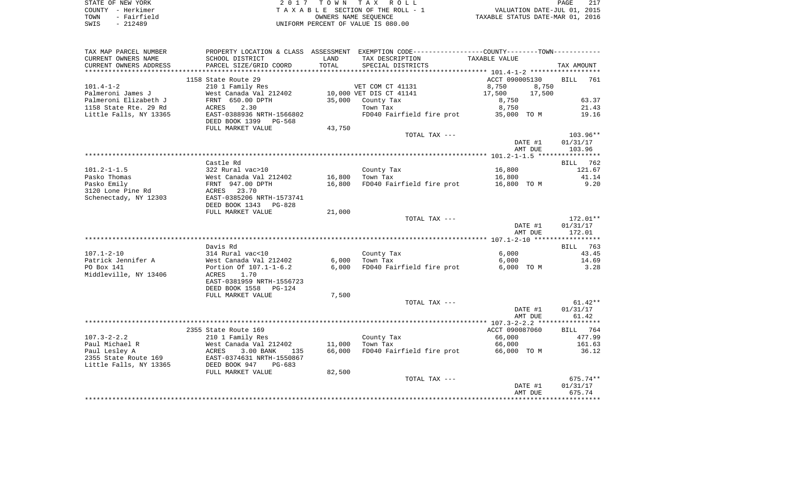| STATE OF NEW YORK   | 2017 TOWN TAX ROLL                 | PAGE                             |
|---------------------|------------------------------------|----------------------------------|
| COUNTY – Herkimer   | TAXABLE SECTION OF THE ROLL - 1    | VALUATION DATE-JUL 01, 2015      |
| - Fairfield<br>TOWN | OWNERS NAME SEOUENCE               | TAXABLE STATUS DATE-MAR 01, 2016 |
| SWIS<br>- 212489    | UNIFORM PERCENT OF VALUE IS 080.00 |                                  |

| TAX MAP PARCEL NUMBER               |                                         |        | PROPERTY LOCATION & CLASS ASSESSMENT EXEMPTION CODE---------------COUNTY-------TOWN---------- |                  |                    |
|-------------------------------------|-----------------------------------------|--------|-----------------------------------------------------------------------------------------------|------------------|--------------------|
| CURRENT OWNERS NAME                 | SCHOOL DISTRICT                         | LAND   | TAX DESCRIPTION                                                                               | TAXABLE VALUE    |                    |
| CURRENT OWNERS ADDRESS              | PARCEL SIZE/GRID COORD                  | TOTAL  | SPECIAL DISTRICTS                                                                             |                  | TAX AMOUNT         |
|                                     |                                         |        |                                                                                               |                  |                    |
|                                     | 1158 State Route 29                     |        |                                                                                               | ACCT 090005130   | <b>BILL</b><br>761 |
| $101.4 - 1 - 2$                     | 210 1 Family Res                        |        | VET COM CT 41131                                                                              | 8,750<br>8,750   |                    |
| Palmeroni James J                   | West Canada Val 212402                  |        | 10,000 VET DIS CT 41141                                                                       | 17,500<br>17,500 |                    |
| Palmeroni Elizabeth J               | FRNT 650.00 DPTH                        | 35,000 | County Tax                                                                                    | 8,750            | 63.37              |
| 1158 State Rte. 29 Rd               | 2.30<br>ACRES                           |        | Town Tax                                                                                      | 8,750            | 21.43              |
| Little Falls, NY 13365              | EAST-0388936 NRTH-1566802               |        | FD040 Fairfield fire prot                                                                     | 35,000 TO M      | 19.16              |
|                                     | DEED BOOK 1399<br>PG-568                |        |                                                                                               |                  |                    |
|                                     | FULL MARKET VALUE                       | 43,750 | TOTAL TAX ---                                                                                 |                  | $103.96**$         |
|                                     |                                         |        |                                                                                               | DATE #1          | 01/31/17           |
|                                     |                                         |        |                                                                                               | AMT DUE          | 103.96             |
|                                     |                                         |        |                                                                                               |                  |                    |
|                                     | Castle Rd                               |        |                                                                                               |                  | BILL 762           |
| $101.2 - 1 - 1.5$                   | 322 Rural vac>10                        |        | County Tax                                                                                    | 16,800           | 121.67             |
| Pasko Thomas                        | West Canada Val 212402                  | 16,800 | Town Tax                                                                                      | 16,800           | 41.14              |
| Pasko Emily                         | FRNT 947.00 DPTH                        | 16,800 | FD040 Fairfield fire prot                                                                     | 16,800 TO M      | 9.20               |
| 3120 Lone Pine Rd                   | 23.70<br>ACRES                          |        |                                                                                               |                  |                    |
| Schenectady, NY 12303               | EAST-0385206 NRTH-1573741               |        |                                                                                               |                  |                    |
|                                     | DEED BOOK 1343<br>PG-828                |        |                                                                                               |                  |                    |
|                                     | FULL MARKET VALUE                       | 21,000 |                                                                                               |                  |                    |
|                                     |                                         |        | TOTAL TAX ---                                                                                 |                  | $172.01**$         |
|                                     |                                         |        |                                                                                               | DATE #1          | 01/31/17           |
|                                     |                                         |        |                                                                                               | AMT DUE          | 172.01             |
|                                     |                                         |        |                                                                                               |                  |                    |
|                                     | Davis Rd                                |        |                                                                                               |                  | BILL<br>763        |
| $107.1 - 2 - 10$                    | 314 Rural vac<10                        |        | County Tax                                                                                    | 6,000            | 43.45              |
| Patrick Jennifer A                  | West Canada Val 212402                  | 6,000  | Town Tax                                                                                      | 6,000            | 14.69              |
| PO Box 141<br>Middleville, NY 13406 | Portion Of 107.1-1-6.2<br>1.70<br>ACRES | 6,000  | FD040 Fairfield fire prot                                                                     | 6,000 TO M       | 3.28               |
|                                     | EAST-0381959 NRTH-1556723               |        |                                                                                               |                  |                    |
|                                     | DEED BOOK 1558<br>$PG-124$              |        |                                                                                               |                  |                    |
|                                     | FULL MARKET VALUE                       | 7,500  |                                                                                               |                  |                    |
|                                     |                                         |        | TOTAL TAX ---                                                                                 |                  | $61.42**$          |
|                                     |                                         |        |                                                                                               | DATE #1          | 01/31/17           |
|                                     |                                         |        |                                                                                               | AMT DUE          | 61.42              |
|                                     |                                         |        |                                                                                               |                  |                    |
|                                     | 2355 State Route 169                    |        |                                                                                               | ACCT 090087060   | 764<br><b>BILL</b> |
| $107.3 - 2 - 2.2$                   | 210 1 Family Res                        |        | County Tax                                                                                    | 66,000           | 477.99             |
| Paul Michael R                      | West Canada Val 212402                  | 11,000 | Town Tax                                                                                      | 66,000           | 161.63             |
| Paul Lesley A                       | ACRES<br>3.00 BANK<br>135               | 66,000 | FD040 Fairfield fire prot                                                                     | 66,000 TO M      | 36.12              |
| 2355 State Route 169                | EAST-0374631 NRTH-1550867               |        |                                                                                               |                  |                    |
| Little Falls, NY 13365              | DEED BOOK 947<br>$PG-683$               |        |                                                                                               |                  |                    |
|                                     | FULL MARKET VALUE                       | 82,500 |                                                                                               |                  |                    |
|                                     |                                         |        | TOTAL TAX ---                                                                                 |                  | $675.74**$         |
|                                     |                                         |        |                                                                                               | DATE #1          | 01/31/17           |
|                                     |                                         |        |                                                                                               | AMT DUE          | 675.74             |
|                                     |                                         |        |                                                                                               |                  |                    |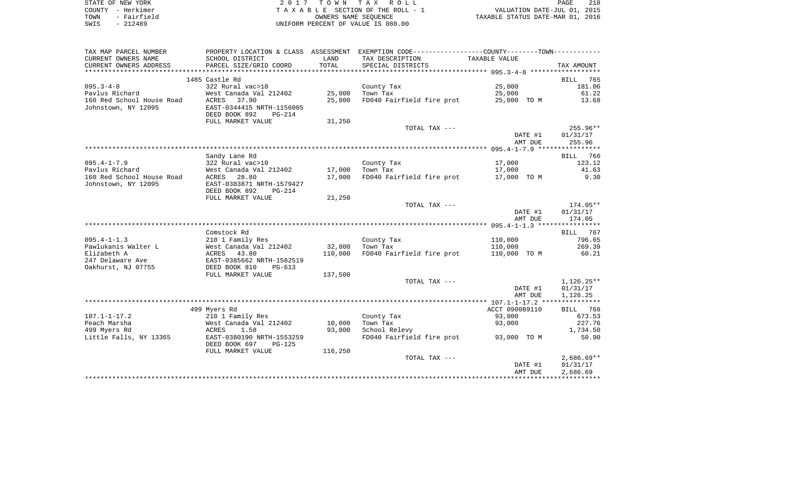|      | STATE OF NEW YORK | 2017 TOWN TAX ROLL                 | PAGE                             |  |
|------|-------------------|------------------------------------|----------------------------------|--|
|      | COUNTY - Herkimer | TAXABLE SECTION OF THE ROLL - 1    | VALUATION DATE-JUL 01, 2015      |  |
| TOWN | - Fairfield       | OWNERS NAME SEOUENCE               | TAXABLE STATUS DATE-MAR 01, 2016 |  |
| SWIS | - 212489          | UNIFORM PERCENT OF VALUE IS 080.00 |                                  |  |

| TAX MAP PARCEL NUMBER                  |                                                             |         | PROPERTY LOCATION & CLASS ASSESSMENT EXEMPTION CODE----------------COUNTY--------TOWN---------- |                |                   |
|----------------------------------------|-------------------------------------------------------------|---------|-------------------------------------------------------------------------------------------------|----------------|-------------------|
| CURRENT OWNERS NAME                    | SCHOOL DISTRICT                                             | LAND    | TAX DESCRIPTION                                                                                 | TAXABLE VALUE  |                   |
| CURRENT OWNERS ADDRESS                 | PARCEL SIZE/GRID COORD                                      | TOTAL   | SPECIAL DISTRICTS                                                                               |                | TAX AMOUNT        |
|                                        |                                                             |         |                                                                                                 |                |                   |
|                                        | 1485 Castle Rd                                              |         |                                                                                                 |                | BILL<br>765       |
| $095.3 - 4 - 8$                        | 322 Rural vac>10                                            |         | County Tax                                                                                      | 25,000         | 181.06            |
| Pavlus Richard                         | West Canada Val 212402                                      | 25,000  | Town Tax                                                                                        | 25,000         | 61.22             |
| 160 Red School House Road              | ACRES<br>37.90                                              | 25,000  | FD040 Fairfield fire prot                                                                       | 25,000 TO M    | 13.68             |
| Johnstown, NY 12095                    | EAST-0344415 NRTH-1156005<br>DEED BOOK 892<br><b>PG-214</b> |         |                                                                                                 |                |                   |
|                                        | FULL MARKET VALUE                                           | 31,250  |                                                                                                 |                |                   |
|                                        |                                                             |         | TOTAL TAX ---                                                                                   |                | $255.96**$        |
|                                        |                                                             |         |                                                                                                 | DATE #1        | 01/31/17          |
|                                        |                                                             |         |                                                                                                 | AMT DUE        | 255.96            |
|                                        |                                                             |         |                                                                                                 |                |                   |
|                                        | Sandy Lane Rd                                               |         |                                                                                                 |                | BILL 766          |
| $095.4 - 1 - 7.9$                      | 322 Rural vac>10                                            |         | County Tax                                                                                      | 17,000         | 123.12            |
| Pavlus Richard                         | West Canada Val 212402                                      | 17,000  | Town Tax                                                                                        | 17,000         | 41.63             |
| 160 Red School House Road              | ACRES 28.80                                                 | 17,000  | FD040 Fairfield fire prot                                                                       | 17,000 TO M    | 9.30              |
| Johnstown, NY 12095                    | EAST-0383871 NRTH-1579427                                   |         |                                                                                                 |                |                   |
|                                        | DEED BOOK 892<br>PG-214                                     |         |                                                                                                 |                |                   |
|                                        | FULL MARKET VALUE                                           | 21,250  |                                                                                                 |                |                   |
|                                        |                                                             |         | TOTAL TAX ---                                                                                   |                | 174.05**          |
|                                        |                                                             |         |                                                                                                 | DATE #1        | 01/31/17          |
|                                        |                                                             |         |                                                                                                 | AMT DUE        | 174.05            |
|                                        |                                                             |         |                                                                                                 |                |                   |
|                                        | Comstock Rd                                                 |         |                                                                                                 |                | BILL 767          |
| $095.4 - 1 - 1.3$                      | 210 1 Family Res                                            |         | County Tax                                                                                      | 110,000        | 796.65            |
| Pawlukanis Walter L                    | West Canada Val 212402                                      | 32,000  | Town Tax                                                                                        | 110,000        | 269.39            |
| Elizabeth A                            | ACRES 43.80                                                 | 110,000 | FD040 Fairfield fire prot                                                                       | 110,000 TO M   | 60.21             |
| 247 Delaware Ave                       | EAST-0385662 NRTH-1582519                                   |         |                                                                                                 |                |                   |
| Oakhurst, NJ 07755                     | DEED BOOK 810<br>$PG-613$                                   |         |                                                                                                 |                |                   |
|                                        | FULL MARKET VALUE                                           | 137,500 |                                                                                                 |                |                   |
|                                        |                                                             |         | TOTAL TAX ---                                                                                   |                | $1,126.25**$      |
|                                        |                                                             |         |                                                                                                 | DATE #1        | 01/31/17          |
|                                        |                                                             |         |                                                                                                 | AMT DUE        | 1,126.25          |
|                                        |                                                             |         |                                                                                                 |                |                   |
|                                        | 499 Myers Rd                                                |         |                                                                                                 | ACCT 090089110 | BILL 768          |
| $107.1 - 1 - 17.2$                     | 210 1 Family Res                                            |         | County Tax                                                                                      | 93,000         | 673.53            |
| Peach Marsha                           | West Canada Val 212402                                      | 10,000  | Town Tax                                                                                        | 93,000         | 227.76            |
| 499 Myers Rd<br>Little Falls, NY 13365 | ACRES<br>1.58<br>EAST-0380190 NRTH-1553259                  | 93,000  | School Relevy<br>FD040 Fairfield fire prot                                                      | 93,000 TO M    | 1,734.50<br>50.90 |
|                                        | DEED BOOK 697<br>$PG-125$                                   |         |                                                                                                 |                |                   |
|                                        | FULL MARKET VALUE                                           | 116,250 |                                                                                                 |                |                   |
|                                        |                                                             |         | TOTAL TAX ---                                                                                   |                | $2,686.69**$      |
|                                        |                                                             |         |                                                                                                 | DATE #1        | 01/31/17          |
|                                        |                                                             |         |                                                                                                 | AMT DUE        | 2,686.69          |
|                                        |                                                             |         |                                                                                                 |                |                   |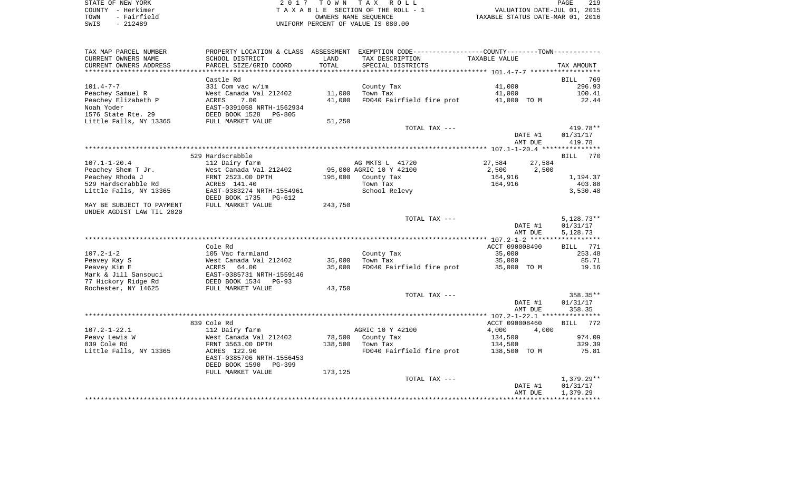| STATE OF NEW YORK   | 2017 TOWN TAX ROLL                 | 219<br>PAGE                      |
|---------------------|------------------------------------|----------------------------------|
| COUNTY - Herkimer   | TAXABLE SECTION OF THE ROLL - 1    | VALUATION DATE-JUL 01, 2015      |
| TOWN<br>- Fairfield | OWNERS NAME SEOUENCE               | TAXABLE STATUS DATE-MAR 01, 2016 |
| SWIS<br>- 212489    | UNIFORM PERCENT OF VALUE IS 080.00 |                                  |

| TAX MAP PARCEL NUMBER     |                           |         | PROPERTY LOCATION & CLASS ASSESSMENT EXEMPTION CODE---------------COUNTY-------TOWN---------- |                  |                    |
|---------------------------|---------------------------|---------|-----------------------------------------------------------------------------------------------|------------------|--------------------|
| CURRENT OWNERS NAME       | SCHOOL DISTRICT           | LAND    | TAX DESCRIPTION                                                                               | TAXABLE VALUE    |                    |
| CURRENT OWNERS ADDRESS    | PARCEL SIZE/GRID COORD    | TOTAL   | SPECIAL DISTRICTS                                                                             |                  | TAX AMOUNT         |
|                           |                           |         |                                                                                               |                  |                    |
|                           | Castle Rd                 |         |                                                                                               |                  | BILL 769           |
| $101.4 - 7 - 7$           | 331 Com vac w/im          |         | County Tax                                                                                    | 41,000           | 296.93             |
| Peachey Samuel R          | West Canada Val 212402    | 11,000  | Town Tax                                                                                      | 41,000           | 100.41             |
|                           |                           |         |                                                                                               |                  |                    |
| Peachey Elizabeth P       | ACRES<br>7.00             | 41,000  | FD040 Fairfield fire prot                                                                     | 41,000 TO M      | 22.44              |
| Noah Yoder                | EAST-0391058 NRTH-1562934 |         |                                                                                               |                  |                    |
| 1576 State Rte. 29        | DEED BOOK 1528<br>PG-805  |         |                                                                                               |                  |                    |
| Little Falls, NY 13365    | FULL MARKET VALUE         | 51,250  |                                                                                               |                  |                    |
|                           |                           |         | TOTAL TAX ---                                                                                 |                  | 419.78**           |
|                           |                           |         |                                                                                               | DATE #1          | 01/31/17           |
|                           |                           |         |                                                                                               | AMT DUE          | 419.78             |
|                           |                           |         |                                                                                               |                  |                    |
|                           | 529 Hardscrabble          |         |                                                                                               |                  | 770<br><b>BILL</b> |
| $107.1 - 1 - 20.4$        | 112 Dairy farm            |         | AG MKTS L 41720                                                                               | 27,584<br>27,584 |                    |
| Peachey Shem T Jr.        | West Canada Val 212402    |         | 95,000 AGRIC 10 Y 42100                                                                       | 2,500<br>2,500   |                    |
| Peachey Rhoda J           | FRNT 2523.00 DPTH         | 195,000 | County Tax                                                                                    | 164,916          | 1,194.37           |
| 529 Hardscrabble Rd       | ACRES 141.40              |         | Town Tax                                                                                      | 164,916          | 403.88             |
| Little Falls, NY 13365    | EAST-0383274 NRTH-1554961 |         | School Relevy                                                                                 |                  | 3,530.48           |
|                           |                           |         |                                                                                               |                  |                    |
|                           | DEED BOOK 1735<br>PG-612  |         |                                                                                               |                  |                    |
| MAY BE SUBJECT TO PAYMENT | FULL MARKET VALUE         | 243,750 |                                                                                               |                  |                    |
| UNDER AGDIST LAW TIL 2020 |                           |         |                                                                                               |                  |                    |
|                           |                           |         | TOTAL TAX ---                                                                                 |                  | $5,128.73**$       |
|                           |                           |         |                                                                                               | DATE #1          | 01/31/17           |
|                           |                           |         |                                                                                               | AMT DUE          | 5,128.73           |
|                           |                           |         |                                                                                               |                  |                    |
|                           | Cole Rd                   |         |                                                                                               | ACCT 090008490   | BILL 771           |
| $107.2 - 1 - 2$           | 105 Vac farmland          |         | County Tax                                                                                    | 35,000           | 253.48             |
| Peavey Kay S              | West Canada Val 212402    | 35,000  | Town Tax                                                                                      | 35,000           | 85.71              |
| Peavey Kim E              | ACRES 64.00               | 35,000  | FD040 Fairfield fire prot                                                                     | 35,000 TO M      | 19.16              |
| Mark & Jill Sansouci      | EAST-0385731 NRTH-1559146 |         |                                                                                               |                  |                    |
| 77 Hickory Ridge Rd       | DEED BOOK 1534 PG-93      |         |                                                                                               |                  |                    |
| Rochester, NY 14625       | FULL MARKET VALUE         | 43,750  |                                                                                               |                  |                    |
|                           |                           |         | TOTAL TAX ---                                                                                 |                  | 358.35**           |
|                           |                           |         |                                                                                               | DATE #1          | 01/31/17           |
|                           |                           |         |                                                                                               | AMT DUE          | 358.35             |
|                           |                           |         |                                                                                               |                  |                    |
|                           |                           |         |                                                                                               |                  |                    |
|                           | 839 Cole Rd               |         |                                                                                               | ACCT 090008460   | BILL 772           |
| $107.2 - 1 - 22.1$        | 112 Dairy farm            |         | AGRIC 10 Y 42100                                                                              | 4,000<br>4,000   |                    |
| Peavy Lewis W             | West Canada Val 212402    |         | 78,500 County Tax                                                                             | 134,500          | 974.09             |
| 839 Cole Rd               | FRNT 3563.00 DPTH         | 138,500 | Town Tax                                                                                      | 134,500          | 329.39             |
| Little Falls, NY 13365    | ACRES 122.90              |         | FD040 Fairfield fire prot                                                                     | 138,500 TO M     | 75.81              |
|                           | EAST-0385706 NRTH-1556453 |         |                                                                                               |                  |                    |
|                           | DEED BOOK 1590<br>PG-399  |         |                                                                                               |                  |                    |
|                           | FULL MARKET VALUE         | 173,125 |                                                                                               |                  |                    |
|                           |                           |         | TOTAL TAX ---                                                                                 |                  | $1,379.29**$       |
|                           |                           |         |                                                                                               |                  |                    |
|                           |                           |         |                                                                                               | DATE #1          | 01/31/17           |
|                           |                           |         |                                                                                               | AMT DUE          | 1,379.29           |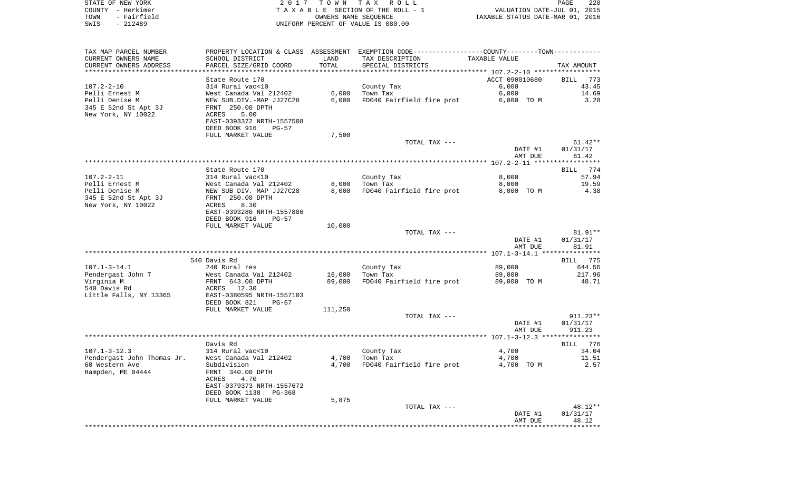| STATE OF NEW YORK   | 2017 TOWN TAX ROLL                 |                                  | PAGE | 220 |
|---------------------|------------------------------------|----------------------------------|------|-----|
| COUNTY - Herkimer   | TAXABLE SECTION OF THE ROLL - 1    | VALUATION DATE-JUL 01, 2015      |      |     |
| TOWN<br>- Fairfield | OWNERS NAME SEOUENCE               | TAXABLE STATUS DATE-MAR 01, 2016 |      |     |
| SWIS<br>- 212489    | UNIFORM PERCENT OF VALUE IS 080.00 |                                  |      |     |

| TAX MAP PARCEL NUMBER      |                            |         | PROPERTY LOCATION & CLASS ASSESSMENT EXEMPTION CODE---------------COUNTY-------TOWN---------- |                |            |
|----------------------------|----------------------------|---------|-----------------------------------------------------------------------------------------------|----------------|------------|
| CURRENT OWNERS NAME        | SCHOOL DISTRICT            | LAND    | TAX DESCRIPTION                                                                               | TAXABLE VALUE  |            |
| CURRENT OWNERS ADDRESS     | PARCEL SIZE/GRID COORD     | TOTAL   | SPECIAL DISTRICTS                                                                             |                | TAX AMOUNT |
|                            |                            |         |                                                                                               |                |            |
|                            | State Route 170            |         |                                                                                               | ACCT 090010680 | BILL 773   |
| $107.2 - 2 - 10$           | 314 Rural vac<10           |         | County Tax                                                                                    | 6,000          | 43.45      |
| Pelli Ernest M             | West Canada Val 212402     | 6,000   | Town Tax                                                                                      | 6,000          | 14.69      |
| Pelli Denise M             | NEW SUB.DIV.-MAP JJ27C28   | 6,000   | FD040 Fairfield fire prot                                                                     | 6,000 TO M     | 3.28       |
| 345 E 52nd St Apt 3J       | FRNT 250.00 DPTH           |         |                                                                                               |                |            |
| New York, NY 10022         | 5.00<br>ACRES              |         |                                                                                               |                |            |
|                            | EAST-0393372 NRTH-1557508  |         |                                                                                               |                |            |
|                            | DEED BOOK 916<br>$PG-57$   |         |                                                                                               |                |            |
|                            | FULL MARKET VALUE          | 7,500   |                                                                                               |                |            |
|                            |                            |         | TOTAL TAX ---                                                                                 |                | $61.42**$  |
|                            |                            |         |                                                                                               | DATE #1        | 01/31/17   |
|                            |                            |         |                                                                                               | AMT DUE        | 61.42      |
|                            |                            |         |                                                                                               |                |            |
|                            | State Route 170            |         |                                                                                               |                | BILL 774   |
| $107.2 - 2 - 11$           | 314 Rural vac<10           |         | County Tax                                                                                    | 8,000          | 57.94      |
| Pelli Ernest M             | West Canada Val 212402     | 8,000   | Town Tax                                                                                      | 8,000          | 19.59      |
| Pelli Denise M             | NEW SUB DIV. MAP JJ27C28   | 8,000   | FD040 Fairfield fire prot                                                                     | 8,000 TO M     | 4.38       |
| 345 E 52nd St Apt 3J       | FRNT 250.00 DPTH           |         |                                                                                               |                |            |
| New York, NY 10022         | 8.30<br>ACRES              |         |                                                                                               |                |            |
|                            | EAST-0393280 NRTH-1557886  |         |                                                                                               |                |            |
|                            | DEED BOOK 916<br>$PG-57$   |         |                                                                                               |                |            |
|                            | FULL MARKET VALUE          | 10,000  |                                                                                               |                |            |
|                            |                            |         | TOTAL TAX ---                                                                                 |                | 81.91**    |
|                            |                            |         |                                                                                               | DATE #1        | 01/31/17   |
|                            |                            |         |                                                                                               | AMT DUE        | 81.91      |
|                            |                            |         |                                                                                               |                |            |
|                            | 540 Davis Rd               |         |                                                                                               |                | BILL 775   |
| $107.1 - 3 - 14.1$         | 240 Rural res              |         | County Tax                                                                                    | 89,000         | 644.56     |
| Pendergast John T          | West Canada Val 212402     | 16,000  | Town Tax                                                                                      | 89,000         | 217.96     |
| Virginia M                 | FRNT 643.00 DPTH           | 89,000  | FD040 Fairfield fire prot                                                                     | 89,000 TO M    | 48.71      |
| 540 Davis Rd               | ACRES<br>12.30             |         |                                                                                               |                |            |
| Little Falls, NY 13365     | EAST-0380595 NRTH-1557103  |         |                                                                                               |                |            |
|                            | DEED BOOK 821<br>$PG-67$   |         |                                                                                               |                |            |
|                            | FULL MARKET VALUE          | 111,250 |                                                                                               |                |            |
|                            |                            |         | TOTAL TAX ---                                                                                 |                | $911.23**$ |
|                            |                            |         |                                                                                               | DATE #1        | 01/31/17   |
|                            |                            |         |                                                                                               | AMT DUE        | 911.23     |
|                            | **********                 |         |                                                                                               |                |            |
|                            | Davis Rd                   |         |                                                                                               |                | BILL 776   |
| $107.1 - 3 - 12.3$         | 314 Rural vac<10           |         | County Tax                                                                                    | 4,700          | 34.04      |
| Pendergast John Thomas Jr. | West Canada Val 212402     | 4,700   | Town Tax                                                                                      | 4,700          | 11.51      |
| 60 Western Ave             | Subdivision                |         | 4,700 FD040 Fairfield fire prot                                                               | 4,700 TO M     | 2.57       |
| Hampden, ME 04444          | FRNT 340.00 DPTH           |         |                                                                                               |                |            |
|                            | 4.70<br>ACRES              |         |                                                                                               |                |            |
|                            | EAST-0379373 NRTH-1557672  |         |                                                                                               |                |            |
|                            | DEED BOOK 1138<br>$PG-368$ |         |                                                                                               |                |            |
|                            | FULL MARKET VALUE          | 5,875   |                                                                                               |                |            |
|                            |                            |         | TOTAL TAX ---                                                                                 |                | 48.12**    |
|                            |                            |         |                                                                                               | DATE #1        | 01/31/17   |
|                            |                            |         |                                                                                               | AMT DUE        | 48.12      |
|                            |                            |         |                                                                                               |                |            |
|                            |                            |         |                                                                                               |                |            |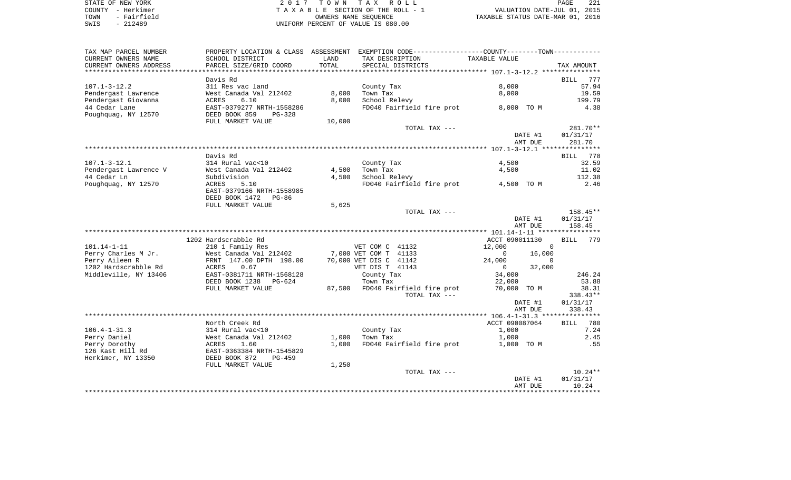| STATE OF NEW YORK   | 2017 TOWN TAX ROLL                 | 221<br>PAGE                      |
|---------------------|------------------------------------|----------------------------------|
| COUNTY - Herkimer   | TAXABLE SECTION OF THE ROLL - 1    | VALUATION DATE-JUL 01, 2015      |
| - Fairfield<br>TOWN | OWNERS NAME SEOUENCE               | TAXABLE STATUS DATE-MAR 01, 2016 |
| $-212489$<br>SWIS   | UNIFORM PERCENT OF VALUE IS 080.00 |                                  |

| TAX MAP PARCEL NUMBER              |                                            |               | PROPERTY LOCATION & CLASS ASSESSMENT EXEMPTION CODE----------------COUNTY--------TOWN----------- |                          |                    |
|------------------------------------|--------------------------------------------|---------------|--------------------------------------------------------------------------------------------------|--------------------------|--------------------|
| CURRENT OWNERS NAME                | SCHOOL DISTRICT                            | LAND          | TAX DESCRIPTION                                                                                  | TAXABLE VALUE            |                    |
| CURRENT OWNERS ADDRESS             | PARCEL SIZE/GRID COORD                     | TOTAL         | SPECIAL DISTRICTS                                                                                |                          | TAX AMOUNT         |
|                                    |                                            | ************* |                                                                                                  |                          |                    |
|                                    | Davis Rd                                   |               |                                                                                                  |                          | <b>BILL</b><br>777 |
| $107.1 - 3 - 12.2$                 | 311 Res vac land                           |               | County Tax                                                                                       | 8,000                    | 57.94              |
| Pendergast Lawrence                | West Canada Val 212402                     | 8,000         | Town Tax                                                                                         | 8,000                    | 19.59              |
| Pendergast Giovanna                | ACRES<br>6.10                              | 8,000         | School Relevy                                                                                    |                          | 199.79             |
| 44 Cedar Lane                      | EAST-0379277 NRTH-1558286                  |               | FD040 Fairfield fire prot                                                                        | 8,000 TO M               | 4.38               |
| Poughquag, NY 12570                | DEED BOOK 859<br>PG-328                    |               |                                                                                                  |                          |                    |
|                                    | FULL MARKET VALUE                          | 10,000        |                                                                                                  |                          |                    |
|                                    |                                            |               | TOTAL TAX ---                                                                                    |                          | 281.70**           |
|                                    |                                            |               |                                                                                                  | DATE #1                  | 01/31/17           |
|                                    |                                            |               |                                                                                                  | AMT DUE                  | 281.70             |
|                                    | Davis Rd                                   |               |                                                                                                  |                          | BILL 778           |
| $107.1 - 3 - 12.1$                 | 314 Rural vac<10                           |               | County Tax                                                                                       | 4,500                    | 32.59              |
| Pendergast Lawrence V              | West Canada Val 212402                     | 4,500         | Town Tax                                                                                         | 4,500                    | 11.02              |
| 44 Cedar Ln                        | Subdivision                                | 4,500         | School Relevy                                                                                    |                          | 112.38             |
| Poughquag, NY 12570                | ACRES<br>5.10                              |               | FD040 Fairfield fire prot                                                                        | 4,500 TO M               | 2.46               |
|                                    | EAST-0379166 NRTH-1558985                  |               |                                                                                                  |                          |                    |
|                                    | DEED BOOK 1472<br>PG-86                    |               |                                                                                                  |                          |                    |
|                                    | FULL MARKET VALUE                          | 5,625         |                                                                                                  |                          |                    |
|                                    |                                            |               | TOTAL TAX ---                                                                                    |                          | $158.45**$         |
|                                    |                                            |               |                                                                                                  | DATE #1                  | 01/31/17           |
|                                    |                                            |               |                                                                                                  | AMT DUE                  | 158.45             |
|                                    |                                            |               |                                                                                                  |                          |                    |
|                                    | 1202 Hardscrabble Rd                       |               |                                                                                                  | ACCT 090011130           | <b>BILL</b><br>779 |
| 101.14-1-11                        | 210 1 Family Res                           |               | VET COM C 41132                                                                                  | 12,000<br>$\Omega$       |                    |
| Perry Charles M Jr.                | West Canada Val 212402                     |               | 7,000 VET COM T 41133                                                                            | 16,000<br>$\mathbf 0$    |                    |
| Perry Aileen R                     | FRNT 147.00 DPTH 198.00                    |               | 70,000 VET DIS C 41142                                                                           | 24,000<br>$\Omega$       |                    |
| 1202 Hardscrabble Rd               | ACRES<br>0.67                              |               | VET DIS T 41143                                                                                  | 32,000<br>$\overline{0}$ |                    |
| Middleville, NY 13406              | EAST-0381711 NRTH-1568128                  |               | County Tax                                                                                       | 34,000                   | 246.24             |
|                                    | DEED BOOK 1238<br>PG-624                   |               | Town Tax                                                                                         | 22,000                   | 53.88              |
|                                    | FULL MARKET VALUE                          |               | 87,500 FD040 Fairfield fire prot                                                                 | 70,000 TO M              | 38.31              |
|                                    |                                            |               | TOTAL TAX ---                                                                                    |                          | 338.43**           |
|                                    |                                            |               |                                                                                                  | DATE #1                  | 01/31/17           |
|                                    |                                            |               |                                                                                                  | AMT DUE                  | 338.43             |
|                                    |                                            |               |                                                                                                  |                          |                    |
|                                    | North Creek Rd                             |               |                                                                                                  | ACCT 090087064           | BILL 780           |
| $106.4 - 1 - 31.3$<br>Perry Daniel | 314 Rural vac<10<br>West Canada Val 212402 | 1,000         | County Tax                                                                                       | 1,000                    | 7.24<br>2.45       |
| Perry Dorothy                      |                                            | 1,000         | Town Tax<br>FD040 Fairfield fire prot                                                            | 1,000                    | .55                |
| 126 Kast Hill Rd                   | 1.60<br>ACRES<br>EAST-0363384 NRTH-1545829 |               |                                                                                                  | 1,000 TO M               |                    |
| Herkimer, NY 13350                 | DEED BOOK 872<br>PG-459                    |               |                                                                                                  |                          |                    |
|                                    | FULL MARKET VALUE                          | 1,250         |                                                                                                  |                          |                    |
|                                    |                                            |               | TOTAL TAX ---                                                                                    |                          | $10.24**$          |
|                                    |                                            |               |                                                                                                  | DATE #1                  | 01/31/17           |
|                                    |                                            |               |                                                                                                  | AMT DUE                  | 10.24              |
|                                    |                                            |               |                                                                                                  |                          |                    |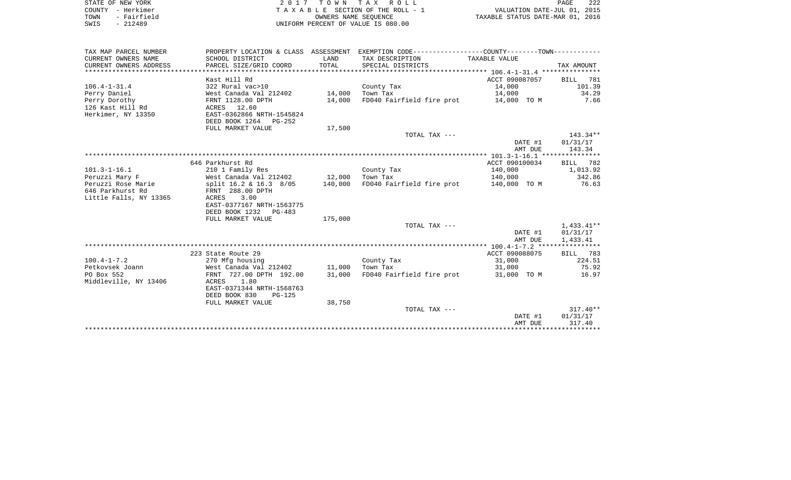| STATE OF NEW YORK   | 2017 TOWN TAX ROLL                 | 222<br>PAGE                      |
|---------------------|------------------------------------|----------------------------------|
| COUNTY - Herkimer   | TAXABLE SECTION OF THE ROLL - 1    | VALUATION DATE-JUL 01, 2015      |
| - Fairfield<br>TOWN | OWNERS NAME SEOUENCE               | TAXABLE STATUS DATE-MAR 01, 2016 |
| SWIS<br>- 212489    | UNIFORM PERCENT OF VALUE IS 080.00 |                                  |

| TAX MAP PARCEL NUMBER  |                               |         | PROPERTY LOCATION & CLASS ASSESSMENT EXEMPTION CODE----------------COUNTY--------TOWN---------- |                         |            |
|------------------------|-------------------------------|---------|-------------------------------------------------------------------------------------------------|-------------------------|------------|
| CURRENT OWNERS NAME    | SCHOOL DISTRICT               | LAND    | TAX DESCRIPTION                                                                                 | TAXABLE VALUE           |            |
| CURRENT OWNERS ADDRESS | PARCEL SIZE/GRID COORD        | TOTAL   | SPECIAL DISTRICTS                                                                               |                         | TAX AMOUNT |
|                        |                               |         |                                                                                                 |                         |            |
|                        | Kast Hill Rd                  |         |                                                                                                 | ACCT 090087057 BILL 781 |            |
| $106.4 - 1 - 31.4$     | 322 Rural vac>10              |         | County Tax                                                                                      | 14,000                  | 101.39     |
| Perry Daniel           | West Canada Val 212402 14,000 |         | Town Tax                                                                                        | 14,000                  | 34.29      |
| Perry Dorothy          | FRNT 1128.00 DPTH             | 14,000  | FD040 Fairfield fire prot 14,000 TO M                                                           |                         | 7.66       |
| 126 Kast Hill Rd       | ACRES 12.60                   |         |                                                                                                 |                         |            |
| Herkimer, NY 13350     | EAST-0362866 NRTH-1545824     |         |                                                                                                 |                         |            |
|                        | DEED BOOK 1264 PG-252         |         |                                                                                                 |                         |            |
|                        | FULL MARKET VALUE             | 17,500  |                                                                                                 |                         |            |
|                        |                               |         | TOTAL TAX ---                                                                                   |                         | $143.34**$ |
|                        |                               |         |                                                                                                 | DATE #1                 | 01/31/17   |
|                        |                               |         |                                                                                                 | AMT DUE                 | 143.34     |
|                        |                               |         |                                                                                                 |                         |            |
|                        | 646 Parkhurst Rd              |         |                                                                                                 | ACCT 090100034          | BILL 782   |
| $101.3 - 1 - 16.1$     | 210 1 Family Res              |         | County Tax                                                                                      | 140,000                 | 1,013.92   |
| Peruzzi Mary F         | West Canada Val 212402 12,000 |         | Town Tax                                                                                        | 140,000                 | 342.86     |
| Peruzzi Rose Marie     | split 16.2 & 16.3 8/05        | 140,000 | FD040 Fairfield fire prot 140,000 TO M                                                          |                         | 76.63      |
| 646 Parkhurst Rd       | FRNT 288.00 DPTH              |         |                                                                                                 |                         |            |
| Little Falls, NY 13365 | 3.00<br>ACRES                 |         |                                                                                                 |                         |            |
|                        | EAST-0377167 NRTH-1563775     |         |                                                                                                 |                         |            |
|                        | DEED BOOK 1232 PG-483         |         |                                                                                                 |                         |            |
|                        | FULL MARKET VALUE             | 175,000 |                                                                                                 |                         |            |
|                        |                               |         | TOTAL TAX ---                                                                                   |                         | 1,433.41** |
|                        |                               |         |                                                                                                 | DATE #1<br>AMT DUE      | 01/31/17   |
|                        |                               |         |                                                                                                 |                         | 1,433.41   |
|                        | 223 State Route 29            |         |                                                                                                 | ACCT 090088075          | BILL 783   |
| $100.4 - 1 - 7.2$      | 270 Mfg housing               |         | County Tax                                                                                      | 31,000                  | 224.51     |
| Petkovsek Joann        | West Canada Val 212402 11,000 |         | Town Tax                                                                                        | 31,000                  | 75.92      |
| PO Box 552             | FRNT 727.00 DPTH 192.00       | 31,000  | FD040 Fairfield fire prot                                                                       | 31,000 TO M             | 16.97      |
| Middleville, NY 13406  | 1.80<br>ACRES                 |         |                                                                                                 |                         |            |
|                        | EAST-0371344 NRTH-1568763     |         |                                                                                                 |                         |            |
|                        | DEED BOOK 830<br>PG-125       |         |                                                                                                 |                         |            |
|                        | FULL MARKET VALUE             | 38,750  |                                                                                                 |                         |            |
|                        |                               |         | TOTAL TAX ---                                                                                   |                         | $317.40**$ |
|                        |                               |         |                                                                                                 | DATE #1                 | 01/31/17   |
|                        |                               |         |                                                                                                 | AMT DUE                 | 317.40     |
|                        |                               |         |                                                                                                 |                         |            |
|                        |                               |         |                                                                                                 |                         |            |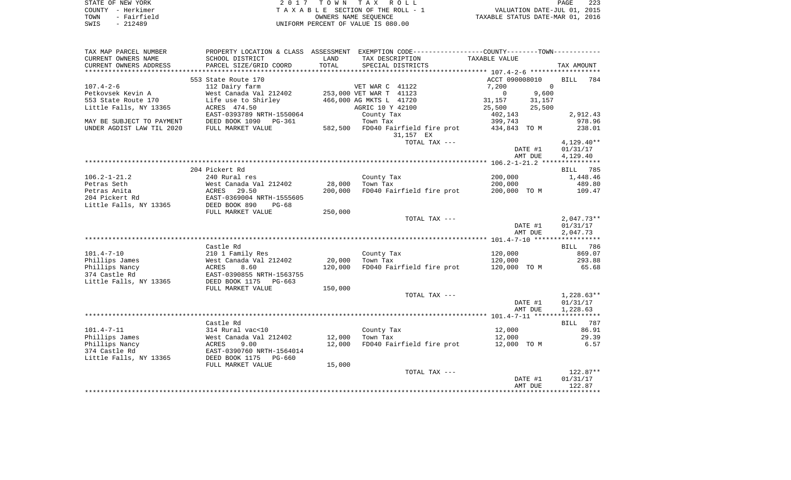|      | STATE OF NEW YORK | 2017 TOWN TAX ROLL                 | 223<br>PAGE                      |
|------|-------------------|------------------------------------|----------------------------------|
|      | COUNTY - Herkimer | TAXABLE SECTION OF THE ROLL - 1    | VALUATION DATE-JUL 01, 2015      |
| TOWN | - Fairfield       | OWNERS NAME SEOUENCE               | TAXABLE STATUS DATE-MAR 01, 2016 |
| SWIS | $-212489$         | UNIFORM PERCENT OF VALUE IS 080.00 |                                  |

| TAX MAP PARCEL NUMBER     | PROPERTY LOCATION & CLASS ASSESSMENT |         | EXEMPTION CODE-----------------COUNTY-------TOWN----------- |                    |                    |
|---------------------------|--------------------------------------|---------|-------------------------------------------------------------|--------------------|--------------------|
| CURRENT OWNERS NAME       | SCHOOL DISTRICT                      | LAND    | TAX DESCRIPTION                                             | TAXABLE VALUE      |                    |
| CURRENT OWNERS ADDRESS    | PARCEL SIZE/GRID COORD               | TOTAL   | SPECIAL DISTRICTS                                           |                    | TAX AMOUNT         |
|                           |                                      |         |                                                             |                    |                    |
|                           | 553 State Route 170                  |         |                                                             | ACCT 090008010     | <b>BILL</b><br>784 |
| $107.4 - 2 - 6$           | 112 Dairy farm                       |         | VET WAR C 41122                                             | 7,200<br>$\Omega$  |                    |
| Petkovsek Kevin A         | West Canada Val 212402               |         | 253,000 VET WAR T 41123                                     | $\Omega$<br>9,600  |                    |
| 553 State Route 170       | Life use to Shirley                  |         | 466,000 AG MKTS L 41720                                     | 31,157<br>31,157   |                    |
| Little Falls, NY 13365    | ACRES 474.50                         |         | AGRIC 10 Y 42100                                            | 25,500<br>25,500   |                    |
|                           | EAST-0393789 NRTH-1550064            |         | County Tax                                                  | 402,143            | 2,912.43           |
| MAY BE SUBJECT TO PAYMENT | DEED BOOK 1090 PG-361                |         | Town Tax                                                    | 399,743            | 978.96             |
| UNDER AGDIST LAW TIL 2020 | FULL MARKET VALUE                    | 582,500 | FD040 Fairfield fire prot                                   | 434,843 TO M       | 238.01             |
|                           |                                      |         | 31,157 EX                                                   |                    |                    |
|                           |                                      |         | TOTAL TAX ---                                               |                    | $4,129.40**$       |
|                           |                                      |         |                                                             | DATE #1            | 01/31/17           |
|                           |                                      |         |                                                             | AMT DUE            | 4,129.40           |
|                           |                                      |         |                                                             |                    |                    |
|                           | 204 Pickert Rd                       |         |                                                             |                    | <b>BILL</b> 785    |
| $106.2 - 1 - 21.2$        | 240 Rural res                        |         | County Tax                                                  | 200,000            | 1,448.46           |
| Petras Seth               | West Canada Val 212402               | 28,000  | Town Tax                                                    | 200,000            | 489.80             |
| Petras Anita              | 29.50<br>ACRES                       | 200,000 | FD040 Fairfield fire prot                                   | 200,000 TO M       | 109.47             |
| 204 Pickert Rd            | EAST-0369004 NRTH-1555605            |         |                                                             |                    |                    |
| Little Falls, NY 13365    | DEED BOOK 890<br>$PG-68$             |         |                                                             |                    |                    |
|                           | FULL MARKET VALUE                    | 250,000 |                                                             |                    |                    |
|                           |                                      |         | TOTAL TAX ---                                               |                    | $2,047.73**$       |
|                           |                                      |         |                                                             | DATE #1            | 01/31/17           |
|                           |                                      |         |                                                             | AMT DUE            | 2,047.73           |
|                           |                                      |         |                                                             |                    |                    |
|                           | Castle Rd                            |         |                                                             |                    | 786<br>BILL        |
| $101.4 - 7 - 10$          | 210 1 Family Res                     |         | County Tax                                                  | 120,000            | 869.07             |
| Phillips James            | West Canada Val 212402               | 20,000  | Town Tax                                                    | 120,000            | 293.88             |
| Phillips Nancy            | ACRES<br>8.60                        | 120,000 | FD040 Fairfield fire prot                                   | 120,000 TO M       | 65.68              |
| 374 Castle Rd             | EAST-0390855 NRTH-1563755            |         |                                                             |                    |                    |
| Little Falls, NY 13365    | DEED BOOK 1175<br>$PG-663$           |         |                                                             |                    |                    |
|                           | FULL MARKET VALUE                    | 150,000 | TOTAL TAX ---                                               |                    | $1,228.63**$       |
|                           |                                      |         |                                                             |                    | 01/31/17           |
|                           |                                      |         |                                                             | DATE #1<br>AMT DUE | 1,228.63           |
|                           |                                      |         |                                                             |                    |                    |
|                           | Castle Rd                            |         |                                                             |                    | 787<br>BILL        |
| $101.4 - 7 - 11$          | 314 Rural vac<10                     |         | County Tax                                                  | 12,000             | 86.91              |
| Phillips James            | West Canada Val 212402               | 12,000  | Town Tax                                                    | 12,000             | 29.39              |
| Phillips Nancy            | ACRES<br>9.00                        | 12,000  | FD040 Fairfield fire prot                                   | 12,000 TO M        | 6.57               |
| 374 Castle Rd             | EAST-0390760 NRTH-1564014            |         |                                                             |                    |                    |
| Little Falls, NY 13365    | DEED BOOK 1175<br>$PG-660$           |         |                                                             |                    |                    |
|                           | FULL MARKET VALUE                    | 15,000  |                                                             |                    |                    |
|                           |                                      |         | TOTAL TAX ---                                               |                    | $122.87**$         |
|                           |                                      |         |                                                             | DATE #1            | 01/31/17           |
|                           |                                      |         |                                                             | AMT DUE            | 122.87             |
|                           |                                      |         |                                                             |                    |                    |
|                           |                                      |         |                                                             |                    |                    |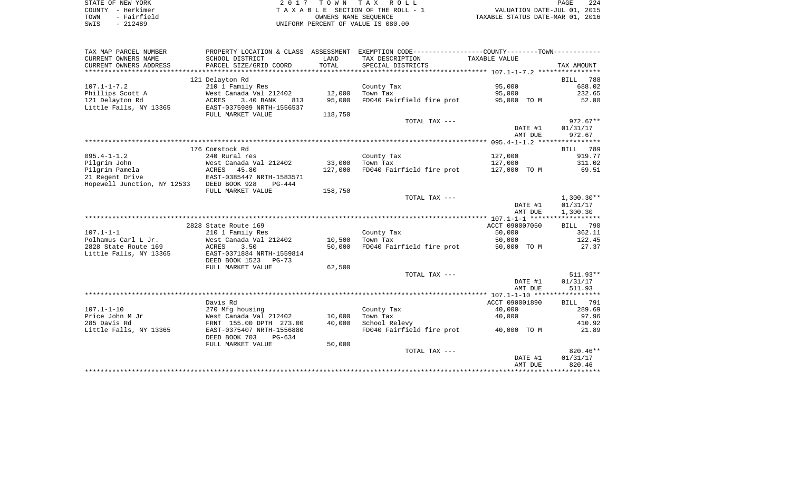|      | STATE OF NEW YORK | 2017 TOWN TAX ROLL                 | PAGE                             | 224 |
|------|-------------------|------------------------------------|----------------------------------|-----|
|      | COUNTY - Herkimer | TAXABLE SECTION OF THE ROLL - 1    | VALUATION DATE-JUL 01, 2015      |     |
| TOWN | - Fairfield       | OWNERS NAME SEOUENCE               | TAXABLE STATUS DATE-MAR 01, 2016 |     |
| SWIS | - 212489          | UNIFORM PERCENT OF VALUE IS 080.00 |                                  |     |

| TAX MAP PARCEL NUMBER                       |                                    |                  | PROPERTY LOCATION & CLASS ASSESSMENT EXEMPTION CODE----------------COUNTY--------TOWN---------- |                       |                  |
|---------------------------------------------|------------------------------------|------------------|-------------------------------------------------------------------------------------------------|-----------------------|------------------|
| CURRENT OWNERS NAME                         | SCHOOL DISTRICT                    | LAND             | TAX DESCRIPTION                                                                                 | TAXABLE VALUE         |                  |
| CURRENT OWNERS ADDRESS                      | PARCEL SIZE/GRID COORD             | TOTAL            | SPECIAL DISTRICTS                                                                               |                       | TAX AMOUNT       |
|                                             |                                    |                  |                                                                                                 |                       |                  |
|                                             | 121 Delayton Rd                    |                  |                                                                                                 |                       | 788<br>BILL      |
| $107.1 - 1 - 7.2$                           | 210 1 Family Res                   |                  | County Tax                                                                                      | 95,000                | 688.02           |
| Phillips Scott A                            | West Canada Val 212402             | 12,000           | Town Tax                                                                                        | 95,000                | 232.65           |
| 121 Delayton Rd                             | ACRES<br>3.40 BANK<br>813          | 95,000           | FD040 Fairfield fire prot                                                                       | 95,000 TO M           | 52.00            |
| Little Falls, NY 13365                      | EAST-0375989 NRTH-1556537          |                  |                                                                                                 |                       |                  |
|                                             | FULL MARKET VALUE                  | 118,750          |                                                                                                 |                       |                  |
|                                             |                                    |                  | TOTAL TAX ---                                                                                   |                       | $972.67**$       |
|                                             |                                    |                  |                                                                                                 | DATE #1               | 01/31/17         |
|                                             |                                    |                  |                                                                                                 | AMT DUE               | 972.67           |
|                                             |                                    |                  |                                                                                                 |                       |                  |
|                                             | 176 Comstock Rd                    |                  |                                                                                                 |                       | BILL 789         |
| $095.4 - 1 - 1.2$                           | 240 Rural res                      |                  | County Tax                                                                                      | 127,000               | 919.77           |
| Pilgrim John                                | West Canada Val 212402             | 33,000           | Town Tax                                                                                        | 127,000               | 311.02           |
| Pilgrim Pamela                              | ACRES 45.80                        | 127,000          | FD040 Fairfield fire prot                                                                       | 127,000 TO M          | 69.51            |
| 21 Regent Drive                             | EAST-0385447 NRTH-1583571          |                  |                                                                                                 |                       |                  |
| Hopewell Junction, NY 12533                 | DEED BOOK 928<br>$PG-444$          |                  |                                                                                                 |                       |                  |
|                                             | FULL MARKET VALUE                  | 158,750          |                                                                                                 |                       |                  |
|                                             |                                    |                  | TOTAL TAX ---                                                                                   |                       | $1,300.30**$     |
|                                             |                                    |                  |                                                                                                 | DATE #1               | 01/31/17         |
|                                             |                                    |                  |                                                                                                 | AMT DUE               | 1,300.30         |
|                                             |                                    |                  |                                                                                                 | ACCT 090007050        |                  |
|                                             | 2828 State Route 169               |                  |                                                                                                 |                       | BILL 790         |
| $107.1 - 1 - 1$                             | 210 1 Family Res                   |                  | County Tax                                                                                      | 50,000                | 362.11<br>122.45 |
| Polhamus Carl L Jr.<br>2828 State Route 169 | West Canada Val 212402<br>3.50     | 10,500<br>50,000 | Town Tax<br>FD040 Fairfield fire prot                                                           | 50,000<br>50,000 TO M | 27.37            |
| Little Falls, NY 13365                      | ACRES<br>EAST-0371884 NRTH-1559814 |                  |                                                                                                 |                       |                  |
|                                             | DEED BOOK 1523 PG-73               |                  |                                                                                                 |                       |                  |
|                                             | FULL MARKET VALUE                  | 62,500           |                                                                                                 |                       |                  |
|                                             |                                    |                  | TOTAL TAX ---                                                                                   |                       | $511.93**$       |
|                                             |                                    |                  |                                                                                                 | DATE #1               | 01/31/17         |
|                                             |                                    |                  |                                                                                                 | AMT DUE               | 511.93           |
|                                             |                                    |                  |                                                                                                 |                       |                  |
|                                             | Davis Rd                           |                  |                                                                                                 | ACCT 090001890        | BILL 791         |
| $107.1 - 1 - 10$                            | 270 Mfg housing                    |                  | County Tax                                                                                      | 40,000                | 289.69           |
| Price John M Jr                             | West Canada Val 212402             | 10,000           | Town Tax                                                                                        | 40,000                | 97.96            |
| 285 Davis Rd                                | FRNT 155.00 DPTH 273.00            | 40,000           | School Relevy                                                                                   |                       | 410.92           |
| Little Falls, NY 13365                      | EAST-0375407 NRTH-1556880          |                  | FD040 Fairfield fire prot 40,000 TO M                                                           |                       | 21.89            |
|                                             | DEED BOOK 703<br>PG-634            |                  |                                                                                                 |                       |                  |
|                                             | FULL MARKET VALUE                  | 50,000           |                                                                                                 |                       |                  |
|                                             |                                    |                  | TOTAL TAX ---                                                                                   |                       | $820.46**$       |
|                                             |                                    |                  |                                                                                                 | DATE #1               | 01/31/17         |
|                                             |                                    |                  |                                                                                                 | AMT DUE               | 820.46           |
|                                             |                                    |                  |                                                                                                 |                       |                  |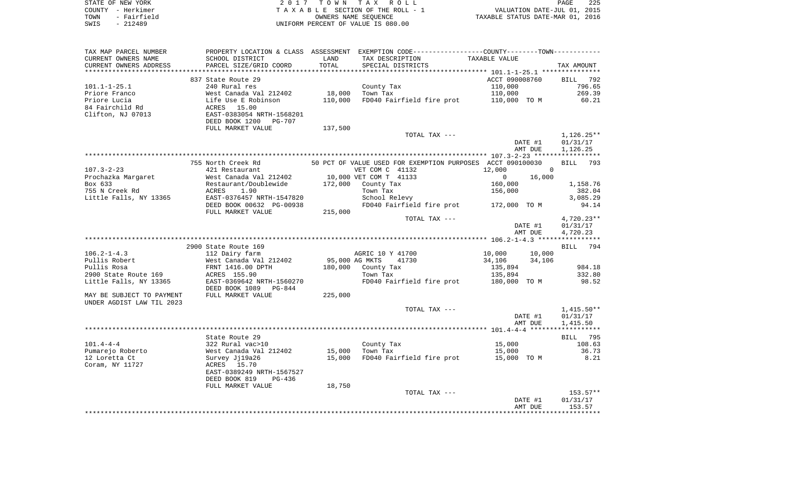| STATE OF NEW YORK      |                           | TOWN       | T A X<br>ROLL                                               |                                  | 225<br>PAGE     |
|------------------------|---------------------------|------------|-------------------------------------------------------------|----------------------------------|-----------------|
| - Herkimer<br>COUNTY   | TAXABLE                   |            | SECTION OF THE ROLL - 1                                     | VALUATION DATE-JUL 01, 2015      |                 |
| - Fairfield<br>TOWN    |                           |            | OWNERS NAME SEOUENCE                                        | TAXABLE STATUS DATE-MAR 01, 2016 |                 |
| $-212489$<br>SWIS      |                           |            | UNIFORM PERCENT OF VALUE IS 080.00                          |                                  |                 |
|                        |                           |            |                                                             |                                  |                 |
| TAX MAP PARCEL NUMBER  | PROPERTY LOCATION & CLASS | ASSESSMENT | EXEMPTION CODE-----------------COUNTY-------TOWN----------- |                                  |                 |
| CURRENT OWNERS NAME    | SCHOOL DISTRICT           | LAND       | TAX DESCRIPTION                                             | TAXABLE VALUE                    |                 |
| CURRENT OWNERS ADDRESS | PARCEL SIZE/GRID COORD    | TOTAL      | SPECIAL DISTRICTS                                           |                                  | TAX AMOUNT      |
|                        |                           |            |                                                             |                                  | *************** |
|                        | 837 State Route 29        |            |                                                             | ACCT 090008760                   | BILL<br>792     |
| $101.1 - 1 - 25.1$     | 240 Rural res             |            | County Tax                                                  | 110,000                          | 796.65          |
| Priore Franco          | West Canada Val 212402    | 18,000     | Town Tax                                                    | 110,000                          | 269.39          |
| Priore Lucia           | Life Use E Robinson       | 110,000    | FD040 Fairfield fire prot                                   | 110,000 TO M                     | 60.21           |
| 84 Fairchild Rd        | 15.00<br>ACRES            |            |                                                             |                                  |                 |
| Clifton, NJ 07013      | EAST-0383054 NRTH-1568201 |            |                                                             |                                  |                 |
|                        | DEED BOOK 1200<br>PG-707  |            |                                                             |                                  |                 |
|                        |                           |            |                                                             |                                  |                 |
|                        | FULL MARKET VALUE         | 137,500    |                                                             |                                  |                 |
|                        |                           |            | TOTAL TAX ---                                               |                                  | 1,126.25**      |
|                        |                           |            |                                                             | DATE #1                          | 01/31/17        |

AMT DUE 1,126.25

|                           | 755 North Creek Rd                                        |         |                  | 50 PCT OF VALUE USED FOR EXEMPTION PURPOSES ACCT 090100030 |               |          | BILL 793     |        |
|---------------------------|-----------------------------------------------------------|---------|------------------|------------------------------------------------------------|---------------|----------|--------------|--------|
| $107.3 - 2 - 23$          | 421 Restaurant                                            |         | VET COM C 41132  |                                                            | 12,000        | $\Omega$ |              |        |
| Prochazka Margaret        | West Canada Val 212402 10,000 VET COM T 41133             |         |                  |                                                            | $0 \t 16,000$ |          |              |        |
| Box 633                   | Restaurant/Doublewide 172,000                             |         | County Tax       |                                                            | 160,000       |          | 1,158.76     |        |
| 755 N Creek Rd            | ACRES 1.90                                                |         | Town Tax         |                                                            | 156,000       |          |              | 382.04 |
| Little Falls, NY 13365    | EAST-0376457 NRTH-1547820                                 |         | School Relevy    |                                                            |               |          | 3,085.29     |        |
|                           | DEED BOOK 00632 PG-00938                                  |         |                  | FD040 Fairfield fire prot 172,000 TO M                     |               |          |              | 94.14  |
|                           | FULL MARKET VALUE                                         | 215,000 |                  |                                                            |               |          |              |        |
|                           |                                                           |         |                  | TOTAL TAX ---                                              |               |          | $4,720.23**$ |        |
|                           |                                                           |         |                  |                                                            |               | DATE #1  | 01/31/17     |        |
|                           |                                                           |         |                  |                                                            |               | AMT DUE  | 4,720.23     |        |
|                           |                                                           |         |                  |                                                            |               |          |              |        |
|                           | 2900 State Route 169                                      |         |                  |                                                            |               |          | BILL 794     |        |
| $106.2 - 1 - 4.3$         | 112 Dairy farm                                            |         | AGRIC 10 Y 41700 |                                                            | 10,000 10,000 |          |              |        |
| Pullis Robert             | West Canada Val 212402           95,000 AG MKTS     41730 |         |                  |                                                            | 34,106 34,106 |          |              |        |
| Pullis Rosa               | FRNT 1416.00 DPTH                                         | 180,000 | County Tax       |                                                            | 135,894       |          |              | 984.18 |
| 2900 State Route 169      | ACRES 155.90                                              |         | Town Tax         |                                                            | 135,894       |          |              | 332.80 |
| Little Falls, NY 13365    | EAST-0369642 NRTH-1560270                                 |         |                  | FD040 Fairfield fire prot 180,000 TO M                     |               |          |              | 98.52  |
|                           | DEED BOOK 1089 PG-844                                     |         |                  |                                                            |               |          |              |        |
| MAY BE SUBJECT TO PAYMENT | FULL MARKET VALUE                                         | 225,000 |                  |                                                            |               |          |              |        |
| UNDER AGDIST LAW TIL 2023 |                                                           |         |                  |                                                            |               |          |              |        |
|                           |                                                           |         |                  | TOTAL TAX ---                                              |               |          | $1,415.50**$ |        |
|                           |                                                           |         |                  |                                                            |               | DATE #1  | 01/31/17     |        |
|                           |                                                           |         |                  |                                                            |               | AMT DUE  | 1,415.50     |        |
|                           |                                                           |         |                  |                                                            |               |          |              |        |

|                  | State Route 29            |        |                           |                | 795<br>BILL |
|------------------|---------------------------|--------|---------------------------|----------------|-------------|
| $101.4 - 4 - 4$  | 322 Rural vac>10          |        | County Tax                | 15,000         | 108.63      |
| Pumarejo Roberto | West Canada Val 212402    | 15,000 | Town Tax                  | 15,000         | 36.73       |
| 12 Loretta Ct    | Survey Ji19a26            | 15,000 | FD040 Fairfield fire prot | 15,000<br>TO M | 8.21        |
| Coram, NY 11727  | 15.70<br>ACRES            |        |                           |                |             |
|                  | EAST-0389249 NRTH-1567527 |        |                           |                |             |
|                  | DEED BOOK 819<br>PG-436   |        |                           |                |             |
|                  | FULL MARKET VALUE         | 18,750 |                           |                |             |
|                  |                           |        | TOTAL TAX ---             |                | $153.57**$  |
|                  |                           |        |                           | DATE #1        | 01/31/17    |
|                  |                           |        |                           | AMT DUE        | 153.57      |
|                  |                           |        |                           |                |             |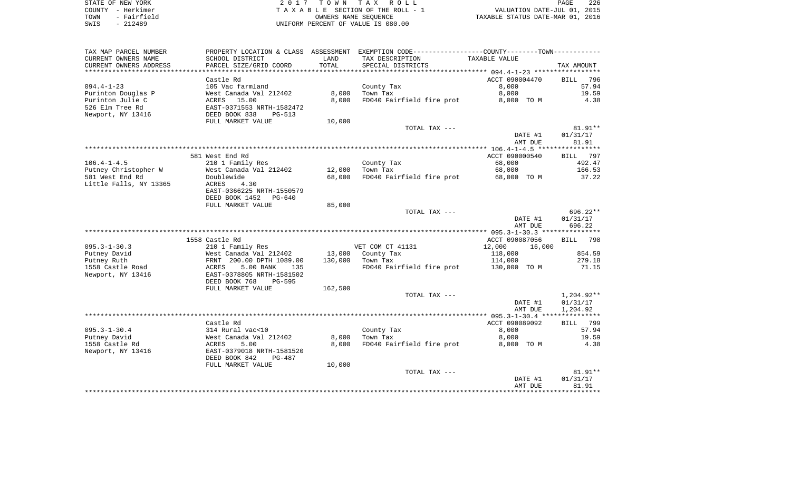| STATE OF NEW YORK   | 2017 TOWN TAX ROLL                 | 226<br>PAGE                      |
|---------------------|------------------------------------|----------------------------------|
| COUNTY - Herkimer   | TAXABLE SECTION OF THE ROLL - 1    | VALUATION DATE-JUL 01, 2015      |
| - Fairfield<br>TOWN | OWNERS NAME SEOUENCE               | TAXABLE STATUS DATE-MAR 01, 2016 |
| $-212489$<br>SWIS   | UNIFORM PERCENT OF VALUE IS 080.00 |                                  |

| TAX MAP PARCEL NUMBER  | PROPERTY LOCATION & CLASS ASSESSMENT |         | EXEMPTION CODE-----------------COUNTY-------TOWN----------- |                          |                       |
|------------------------|--------------------------------------|---------|-------------------------------------------------------------|--------------------------|-----------------------|
| CURRENT OWNERS NAME    | SCHOOL DISTRICT                      | LAND    | TAX DESCRIPTION                                             | TAXABLE VALUE            |                       |
| CURRENT OWNERS ADDRESS | PARCEL SIZE/GRID COORD               | TOTAL   | SPECIAL DISTRICTS                                           |                          | TAX AMOUNT            |
|                        |                                      |         |                                                             |                          |                       |
|                        | Castle Rd                            |         |                                                             | ACCT 090004470           | 796<br><b>BILL</b>    |
| $094.4 - 1 - 23$       | 105 Vac farmland                     |         | County Tax                                                  | 8,000                    | 57.94                 |
| Purinton Douglas P     | West Canada Val 212402               | 8,000   | Town Tax                                                    | 8,000                    | 19.59                 |
| Purinton Julie C       | ACRES<br>15.00                       | 8,000   | FD040 Fairfield fire prot                                   | 8,000 TO M               | 4.38                  |
| 526 Elm Tree Rd        | EAST-0371553 NRTH-1582472            |         |                                                             |                          |                       |
| Newport, NY 13416      | DEED BOOK 838<br>$PG-513$            |         |                                                             |                          |                       |
|                        | FULL MARKET VALUE                    | 10,000  |                                                             |                          |                       |
|                        |                                      |         | TOTAL TAX ---                                               |                          | $81.91**$             |
|                        |                                      |         |                                                             | DATE #1                  | 01/31/17              |
|                        |                                      |         |                                                             | AMT DUE                  | 81.91<br>***********  |
|                        |                                      |         |                                                             |                          |                       |
| $106.4 - 1 - 4.5$      | 581 West End Rd<br>210 1 Family Res  |         | County Tax                                                  | ACCT 090000540<br>68,000 | 797<br>BILL<br>492.47 |
| Putney Christopher W   | West Canada Val 212402               | 12,000  | Town Tax                                                    | 68,000                   | 166.53                |
| 581 West End Rd        | Doublewide                           | 68,000  | FD040 Fairfield fire prot                                   | 68,000 TO M              | 37.22                 |
| Little Falls, NY 13365 | ACRES<br>4.30                        |         |                                                             |                          |                       |
|                        | EAST-0366225 NRTH-1550579            |         |                                                             |                          |                       |
|                        | DEED BOOK 1452<br>PG-640             |         |                                                             |                          |                       |
|                        | FULL MARKET VALUE                    | 85,000  |                                                             |                          |                       |
|                        |                                      |         | TOTAL TAX ---                                               |                          | $696.22**$            |
|                        |                                      |         |                                                             | DATE #1                  | 01/31/17              |
|                        |                                      |         |                                                             | AMT DUE                  | 696.22                |
|                        |                                      |         |                                                             |                          |                       |
|                        | 1558 Castle Rd                       |         |                                                             | ACCT 090087056           | <b>BILL</b><br>798    |
| $095.3 - 1 - 30.3$     | 210 1 Family Res                     |         | VET COM CT 41131                                            | 12,000<br>16,000         |                       |
| Putney David           | West Canada Val 212402               | 13,000  | County Tax                                                  | 118,000                  | 854.59                |
| Putney Ruth            | FRNT 200.00 DPTH 1089.00             | 130,000 | Town Tax                                                    | 114,000                  | 279.18                |
| 1558 Castle Road       | ACRES<br>5.00 BANK<br>135            |         | FD040 Fairfield fire prot                                   | 130,000 TO M             | 71.15                 |
| Newport, NY 13416      | EAST-0378805 NRTH-1581502            |         |                                                             |                          |                       |
|                        | DEED BOOK 768<br>PG-595              |         |                                                             |                          |                       |
|                        | FULL MARKET VALUE                    | 162,500 |                                                             |                          |                       |
|                        |                                      |         | TOTAL TAX ---                                               |                          | $1,204.92**$          |
|                        |                                      |         |                                                             | DATE #1                  | 01/31/17              |
|                        |                                      |         |                                                             | AMT DUE                  | 1,204.92              |
|                        |                                      |         |                                                             |                          |                       |
|                        | Castle Rd                            |         |                                                             | ACCT 090089092           | 799<br><b>BILL</b>    |
| $095.3 - 1 - 30.4$     | 314 Rural vac<10                     |         | County Tax                                                  | 8,000                    | 57.94                 |
| Putney David           | West Canada Val 212402               | 8,000   | Town Tax                                                    | 8,000                    | 19.59                 |
| 1558 Castle Rd         | ACRES<br>5.00                        | 8,000   | FD040 Fairfield fire prot                                   | 8,000 TO M               | 4.38                  |
| Newport, NY 13416      | EAST-0379018 NRTH-1581520            |         |                                                             |                          |                       |
|                        | DEED BOOK 842<br>PG-487              |         |                                                             |                          |                       |
|                        | FULL MARKET VALUE                    | 10,000  | TOTAL TAX ---                                               |                          | $81.91**$             |
|                        |                                      |         |                                                             | DATE #1                  | 01/31/17              |
|                        |                                      |         |                                                             | AMT DUE                  | 81.91                 |
|                        |                                      |         |                                                             |                          |                       |
|                        |                                      |         |                                                             |                          |                       |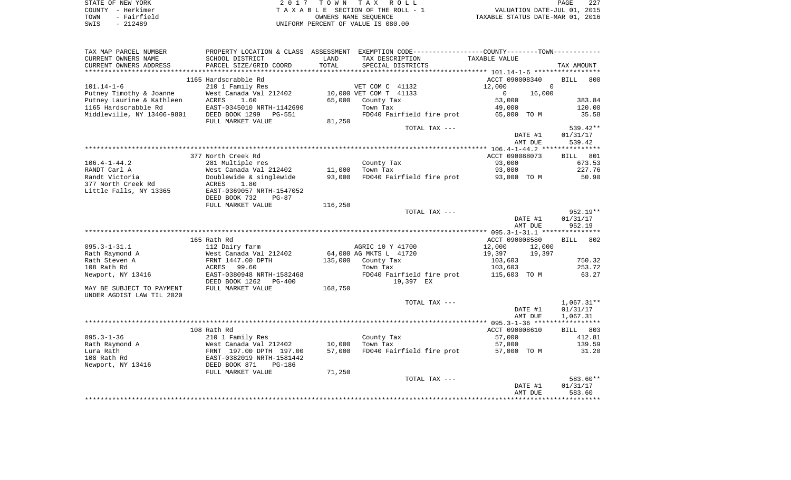|      | STATE OF NEW YORK | 2017 TOWN TAX ROLL                 | PAGE                             | 227 |
|------|-------------------|------------------------------------|----------------------------------|-----|
|      | COUNTY - Herkimer | TAXABLE SECTION OF THE ROLL - 1    | VALUATION DATE-JUL 01, 2015      |     |
| TOWN | - Fairfield       | OWNERS NAME SEOUENCE               | TAXABLE STATUS DATE-MAR 01, 2016 |     |
| SWIS | - 212489          | UNIFORM PERCENT OF VALUE IS 080.00 |                                  |     |

|                                                                                        |                                                                                                                                                                                                                                                            | PROPERTY LOCATION & CLASS ASSESSMENT EXEMPTION CODE---------------COUNTY-------TOWN--------- |                                                                                                                                                  |                                                                                                                                                                                                                                                         |                                                                                                                                                                                                                                                                                                           |
|----------------------------------------------------------------------------------------|------------------------------------------------------------------------------------------------------------------------------------------------------------------------------------------------------------------------------------------------------------|----------------------------------------------------------------------------------------------|--------------------------------------------------------------------------------------------------------------------------------------------------|---------------------------------------------------------------------------------------------------------------------------------------------------------------------------------------------------------------------------------------------------------|-----------------------------------------------------------------------------------------------------------------------------------------------------------------------------------------------------------------------------------------------------------------------------------------------------------|
| PARCEL SIZE/GRID COORD                                                                 | TOTAL                                                                                                                                                                                                                                                      | SPECIAL DISTRICTS                                                                            |                                                                                                                                                  | TAX AMOUNT                                                                                                                                                                                                                                              |                                                                                                                                                                                                                                                                                                           |
| 1165 Hardscrabble Rd<br>210 1 Family Res<br>West Canada Val 212402                     |                                                                                                                                                                                                                                                            |                                                                                              | 12,000<br>$\mathbf{0}$                                                                                                                           | <b>BILL</b><br>$\mathbf 0$<br>16,000                                                                                                                                                                                                                    | 800                                                                                                                                                                                                                                                                                                       |
| EAST-0345010 NRTH-1142690<br>DEED BOOK 1299<br>PG-551                                  |                                                                                                                                                                                                                                                            | Town Tax                                                                                     | 49,000                                                                                                                                           | 120.00<br>35.58                                                                                                                                                                                                                                         |                                                                                                                                                                                                                                                                                                           |
|                                                                                        |                                                                                                                                                                                                                                                            |                                                                                              |                                                                                                                                                  | 539.42**<br>01/31/17<br>539.42                                                                                                                                                                                                                          |                                                                                                                                                                                                                                                                                                           |
|                                                                                        |                                                                                                                                                                                                                                                            |                                                                                              |                                                                                                                                                  |                                                                                                                                                                                                                                                         |                                                                                                                                                                                                                                                                                                           |
| 281 Multiple res                                                                       |                                                                                                                                                                                                                                                            | County Tax                                                                                   | 93,000                                                                                                                                           | 673.53                                                                                                                                                                                                                                                  |                                                                                                                                                                                                                                                                                                           |
| Doublewide & singlewide<br>1.80<br>ACRES<br>EAST-0369057 NRTH-1547052                  | 93,000                                                                                                                                                                                                                                                     |                                                                                              |                                                                                                                                                  | 50.90                                                                                                                                                                                                                                                   |                                                                                                                                                                                                                                                                                                           |
| FULL MARKET VALUE                                                                      | 116,250                                                                                                                                                                                                                                                    |                                                                                              |                                                                                                                                                  | 952.19**<br>01/31/17<br>952.19                                                                                                                                                                                                                          |                                                                                                                                                                                                                                                                                                           |
|                                                                                        |                                                                                                                                                                                                                                                            |                                                                                              |                                                                                                                                                  |                                                                                                                                                                                                                                                         |                                                                                                                                                                                                                                                                                                           |
|                                                                                        |                                                                                                                                                                                                                                                            |                                                                                              |                                                                                                                                                  |                                                                                                                                                                                                                                                         |                                                                                                                                                                                                                                                                                                           |
|                                                                                        |                                                                                                                                                                                                                                                            |                                                                                              |                                                                                                                                                  |                                                                                                                                                                                                                                                         |                                                                                                                                                                                                                                                                                                           |
| FRNT 1447.00 DPTH<br>ACRES 99.60                                                       | 135,000                                                                                                                                                                                                                                                    | County Tax<br>Town Tax                                                                       | 103,603<br>103,603                                                                                                                               | 750.32<br>253.72                                                                                                                                                                                                                                        |                                                                                                                                                                                                                                                                                                           |
| EAST-0380948 NRTH-1582468<br>DEED BOOK 1262<br>PG-400                                  |                                                                                                                                                                                                                                                            | 19,397 EX                                                                                    |                                                                                                                                                  | 63.27                                                                                                                                                                                                                                                   |                                                                                                                                                                                                                                                                                                           |
| FULL MARKET VALUE                                                                      |                                                                                                                                                                                                                                                            |                                                                                              |                                                                                                                                                  |                                                                                                                                                                                                                                                         |                                                                                                                                                                                                                                                                                                           |
|                                                                                        |                                                                                                                                                                                                                                                            |                                                                                              |                                                                                                                                                  | 01/31/17<br>1,067.31                                                                                                                                                                                                                                    |                                                                                                                                                                                                                                                                                                           |
|                                                                                        |                                                                                                                                                                                                                                                            |                                                                                              |                                                                                                                                                  |                                                                                                                                                                                                                                                         |                                                                                                                                                                                                                                                                                                           |
| 210 1 Family Res                                                                       |                                                                                                                                                                                                                                                            | County Tax                                                                                   | 57,000                                                                                                                                           | 412.81                                                                                                                                                                                                                                                  |                                                                                                                                                                                                                                                                                                           |
| FRNT 197.00 DPTH 197.00<br>EAST-0382019 NRTH-1581442<br>DEED BOOK 871<br><b>PG-186</b> | 57,000                                                                                                                                                                                                                                                     |                                                                                              |                                                                                                                                                  | 31.20                                                                                                                                                                                                                                                   |                                                                                                                                                                                                                                                                                                           |
|                                                                                        |                                                                                                                                                                                                                                                            |                                                                                              |                                                                                                                                                  | 583.60**<br>01/31/17<br>DATE #1                                                                                                                                                                                                                         |                                                                                                                                                                                                                                                                                                           |
|                                                                                        | SCHOOL DISTRICT<br>ACRES<br>1.60<br>FULL MARKET VALUE<br>377 North Creek Rd<br>West Canada Val 212402<br>DEED BOOK 732<br>$PG-87$<br>165 Rath Rd<br>112 Dairy farm<br>West Canada Val 212402<br>108 Rath Rd<br>West Canada Val 212402<br>FULL MARKET VALUE | LAND<br>65,000<br>81,250<br>11,000<br>168,750<br>10,000<br>71,250                            | TAX DESCRIPTION<br>VET COM C 41132<br>10,000 VET COM T 41133<br>County Tax<br>Town Tax<br>AGRIC 10 Y 41700<br>64,000 AG MKTS L 41720<br>Town Tax | TAXABLE VALUE<br>53,000<br>FD040 Fairfield fire prot<br>TOTAL TAX ---<br>93,000<br>FD040 Fairfield fire prot<br>TOTAL TAX ---<br>12,000<br>19,397<br>FD040 Fairfield fire prot<br>TOTAL TAX ---<br>57,000<br>FD040 Fairfield fire prot<br>TOTAL TAX --- | ACCT 090008340<br>383.84<br>65,000 TO M<br>DATE #1<br>AMT DUE<br>ACCT 090088073<br>BILL 801<br>227.76<br>93,000 TO M<br>DATE #1<br>AMT DUE<br>ACCT 090008580<br>BILL 802<br>12,000<br>19,397<br>115,603 TO M<br>$1,067.31**$<br>DATE #1<br>AMT DUE<br>ACCT 090008610<br>BILL 803<br>139.59<br>57,000 TO M |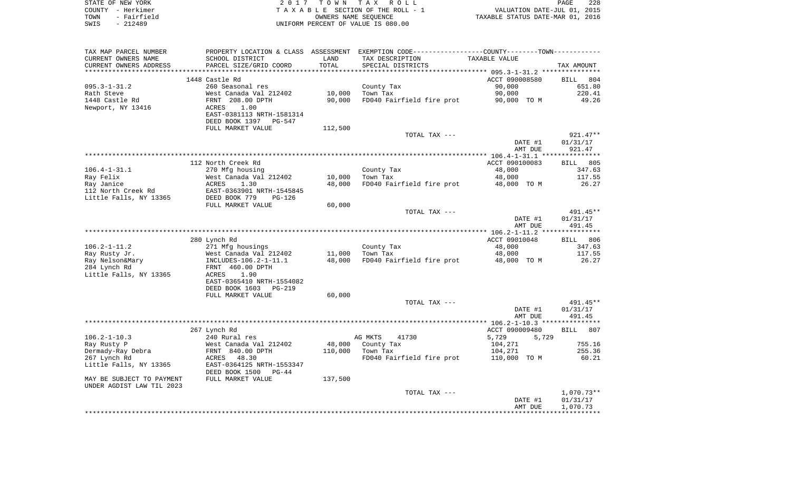| STATE OF NEW YORK   | 2017 TOWN TAX ROLL                 | 228<br>PAGE                      |
|---------------------|------------------------------------|----------------------------------|
| COUNTY – Herkimer   | TAXABLE SECTION OF THE ROLL - 1    | VALUATION DATE-JUL 01, 2015      |
| - Fairfield<br>TOWN | OWNERS NAME SEOUENCE               | TAXABLE STATUS DATE-MAR 01, 2016 |
| $-212489$<br>SWIS   | UNIFORM PERCENT OF VALUE IS 080.00 |                                  |

| TAX MAP PARCEL NUMBER           |                                           |         | PROPERTY LOCATION & CLASS ASSESSMENT EXEMPTION CODE---------------COUNTY-------TOWN---------- |                |                    |
|---------------------------------|-------------------------------------------|---------|-----------------------------------------------------------------------------------------------|----------------|--------------------|
| CURRENT OWNERS NAME             | SCHOOL DISTRICT                           | LAND    | TAX DESCRIPTION                                                                               | TAXABLE VALUE  |                    |
| CURRENT OWNERS ADDRESS          | PARCEL SIZE/GRID COORD                    | TOTAL   | SPECIAL DISTRICTS                                                                             |                | TAX AMOUNT         |
|                                 |                                           |         |                                                                                               |                |                    |
|                                 | 1448 Castle Rd                            |         |                                                                                               | ACCT 090008580 | 804<br>BILL        |
| $095.3 - 1 - 31.2$              | 260 Seasonal res                          |         | County Tax                                                                                    | 90,000         | 651.80             |
| Rath Steve                      | West Canada Val 212402                    | 10,000  | Town Tax                                                                                      | 90,000         | 220.41             |
| 1448 Castle Rd                  | FRNT 208.00 DPTH                          | 90,000  | FD040 Fairfield fire prot                                                                     | 90,000 TO M    | 49.26              |
| Newport, NY 13416               | ACRES<br>1.00                             |         |                                                                                               |                |                    |
|                                 | EAST-0381113 NRTH-1581314                 |         |                                                                                               |                |                    |
|                                 | DEED BOOK 1397 PG-547                     |         |                                                                                               |                |                    |
|                                 | FULL MARKET VALUE                         | 112,500 |                                                                                               |                |                    |
|                                 |                                           |         | TOTAL TAX ---                                                                                 |                | $921.47**$         |
|                                 |                                           |         |                                                                                               | DATE #1        | 01/31/17           |
|                                 |                                           |         |                                                                                               | AMT DUE        | 921.47             |
|                                 |                                           |         |                                                                                               |                |                    |
|                                 | 112 North Creek Rd                        |         |                                                                                               | ACCT 090100083 | <b>BILL</b> 805    |
| $106.4 - 1 - 31.1$              | 270 Mfg housing                           |         | County Tax                                                                                    | 48,000         | 347.63             |
| Ray Felix                       | West Canada Val 212402                    | 10,000  | Town Tax                                                                                      | 48,000         | 117.55             |
| Ray Janice                      | ACRES<br>1.30                             | 48,000  | FD040 Fairfield fire prot                                                                     | 48,000 TO M    | 26.27              |
| 112 North Creek Rd              | EAST-0363901 NRTH-1545845                 |         |                                                                                               |                |                    |
| Little Falls, NY 13365          | DEED BOOK 779<br>PG-126                   |         |                                                                                               |                |                    |
|                                 | FULL MARKET VALUE                         | 60,000  |                                                                                               |                |                    |
|                                 |                                           |         | TOTAL TAX ---                                                                                 |                | 491.45**           |
|                                 |                                           |         |                                                                                               | DATE #1        | 01/31/17           |
|                                 |                                           |         |                                                                                               | AMT DUE        | 491.45             |
|                                 |                                           |         |                                                                                               | ACCT 09010048  | BILL 806           |
| $106.2 - 1 - 11.2$              | 280 Lynch Rd<br>271 Mfg housings          |         |                                                                                               | 48,000         | 347.63             |
|                                 | West Canada Val 212402                    | 11,000  | County Tax<br>Town Tax                                                                        | 48,000         | 117.55             |
| Ray Rusty Jr.                   |                                           |         |                                                                                               |                |                    |
| Ray Nelson&Mary<br>284 Lynch Rd | INCLUDES-106.2-1-11.1<br>FRNT 460.00 DPTH | 48,000  | FD040 Fairfield fire prot                                                                     | 48,000 TO M    | 26.27              |
| Little Falls, NY 13365          | 1.90<br>ACRES                             |         |                                                                                               |                |                    |
|                                 | EAST-0365410 NRTH-1554082                 |         |                                                                                               |                |                    |
|                                 | DEED BOOK 1603<br><b>PG-219</b>           |         |                                                                                               |                |                    |
|                                 | FULL MARKET VALUE                         | 60,000  |                                                                                               |                |                    |
|                                 |                                           |         | TOTAL TAX ---                                                                                 |                | $491.45**$         |
|                                 |                                           |         |                                                                                               | DATE #1        | 01/31/17           |
|                                 |                                           |         |                                                                                               | AMT DUE        | 491.45             |
|                                 |                                           |         |                                                                                               |                |                    |
|                                 | 267 Lynch Rd                              |         |                                                                                               | ACCT 090009480 | 807<br><b>BILL</b> |
| $106.2 - 1 - 10.3$              | 240 Rural res                             |         | AG MKTS<br>41730                                                                              | 5,729<br>5,729 |                    |
| Ray Rusty P                     | West Canada Val 212402                    | 48,000  | County Tax                                                                                    | 104,271        | 755.16             |
| Dermady-Ray Debra               | FRNT 840.00 DPTH                          | 110,000 | Town Tax                                                                                      | 104,271        | 255.36             |
| 267 Lynch Rd                    | 48.30<br>ACRES                            |         | FD040 Fairfield fire prot                                                                     | 110,000 TO M   | 60.21              |
| Little Falls, NY 13365          | EAST-0364125 NRTH-1553347                 |         |                                                                                               |                |                    |
|                                 | DEED BOOK 1500<br>$PG-44$                 |         |                                                                                               |                |                    |
| MAY BE SUBJECT TO PAYMENT       | FULL MARKET VALUE                         | 137,500 |                                                                                               |                |                    |
| UNDER AGDIST LAW TIL 2023       |                                           |         |                                                                                               |                |                    |
|                                 |                                           |         | TOTAL TAX ---                                                                                 |                | $1,070.73**$       |
|                                 |                                           |         |                                                                                               | DATE #1        | 01/31/17           |
|                                 |                                           |         |                                                                                               | AMT DUE        | 1,070.73           |
|                                 |                                           |         |                                                                                               |                |                    |
|                                 |                                           |         |                                                                                               |                |                    |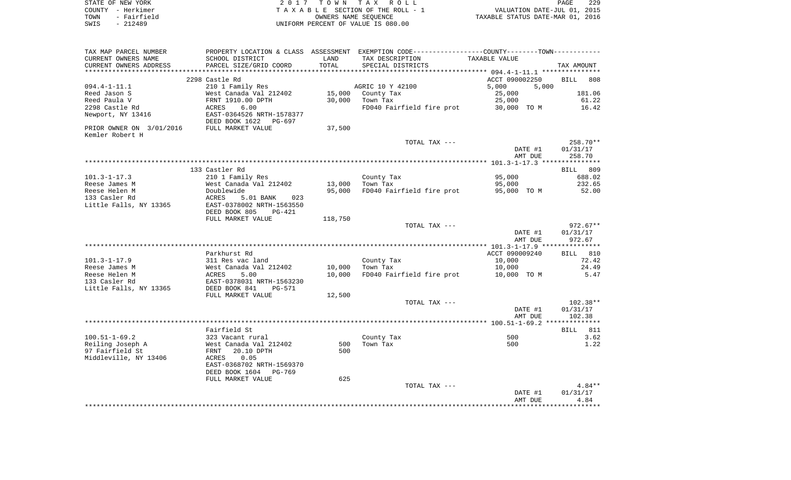| STATE OF NEW YORK   | 2017 TOWN TAX ROLL                 | 229<br>PAGE                      |
|---------------------|------------------------------------|----------------------------------|
| COUNTY - Herkimer   | TAXABLE SECTION OF THE ROLL - 1    | VALUATION DATE-JUL 01, 2015      |
| TOWN<br>- Fairfield | OWNERS NAME SEOUENCE               | TAXABLE STATUS DATE-MAR 01, 2016 |
| - 212489<br>SWIS    | UNIFORM PERCENT OF VALUE IS 080.00 |                                  |

| TAX MAP PARCEL NUMBER    |                                 |         | PROPERTY LOCATION & CLASS ASSESSMENT EXEMPTION CODE-----------------COUNTY-------TOWN- |                |                    |
|--------------------------|---------------------------------|---------|----------------------------------------------------------------------------------------|----------------|--------------------|
| CURRENT OWNERS NAME      | SCHOOL DISTRICT                 | LAND    | TAX DESCRIPTION                                                                        | TAXABLE VALUE  |                    |
| CURRENT OWNERS ADDRESS   | PARCEL SIZE/GRID COORD          | TOTAL   | SPECIAL DISTRICTS                                                                      |                | TAX AMOUNT         |
|                          |                                 |         |                                                                                        |                |                    |
|                          | 2298 Castle Rd                  |         |                                                                                        | ACCT 090002250 | <b>BILL</b><br>808 |
| $094.4 - 1 - 11.1$       | 210 1 Family Res                |         | AGRIC 10 Y 42100                                                                       | 5,000<br>5,000 |                    |
| Reed Jason S             | West Canada Val 212402          | 15,000  | County Tax                                                                             | 25,000         | 181.06             |
| Reed Paula V             | FRNT 1910.00 DPTH               | 30,000  | Town Tax                                                                               | 25,000         | 61.22              |
| 2298 Castle Rd           | 6.00<br>ACRES                   |         | FD040 Fairfield fire prot                                                              | 30,000 TO M    | 16.42              |
| Newport, NY 13416        | EAST-0364526 NRTH-1578377       |         |                                                                                        |                |                    |
|                          | DEED BOOK 1622<br>PG-697        |         |                                                                                        |                |                    |
|                          | FULL MARKET VALUE               |         |                                                                                        |                |                    |
| PRIOR OWNER ON 3/01/2016 |                                 | 37,500  |                                                                                        |                |                    |
| Kemler Robert H          |                                 |         |                                                                                        |                |                    |
|                          |                                 |         | TOTAL TAX ---                                                                          |                | 258.70**           |
|                          |                                 |         |                                                                                        | DATE #1        | 01/31/17           |
|                          |                                 |         |                                                                                        | AMT DUE        | 258.70             |
|                          |                                 |         |                                                                                        |                |                    |
|                          | 133 Castler Rd                  |         |                                                                                        |                | 809<br><b>BILL</b> |
| $101.3 - 1 - 17.3$       | 210 1 Family Res                |         | County Tax                                                                             | 95,000         | 688.02             |
| Reese James M            | West Canada Val 212402          | 13,000  | Town Tax                                                                               | 95,000         | 232.65             |
| Reese Helen M            | Doublewide                      | 95,000  | FD040 Fairfield fire prot                                                              | 95,000 TO M    | 52.00              |
| 133 Casler Rd            | ACRES<br>5.01 BANK<br>023       |         |                                                                                        |                |                    |
| Little Falls, NY 13365   | EAST-0378002 NRTH-1563550       |         |                                                                                        |                |                    |
|                          | DEED BOOK 805<br>$PG-421$       |         |                                                                                        |                |                    |
|                          | FULL MARKET VALUE               | 118,750 |                                                                                        |                |                    |
|                          |                                 |         | TOTAL TAX ---                                                                          |                | $972.67**$         |
|                          |                                 |         |                                                                                        | DATE #1        | 01/31/17           |
|                          |                                 |         |                                                                                        | AMT DUE        | 972.67             |
|                          |                                 |         |                                                                                        |                |                    |
|                          | Parkhurst Rd                    |         |                                                                                        | ACCT 090009240 | <b>BILL</b> 810    |
| $101.3 - 1 - 17.9$       | 311 Res vac land                |         | County Tax                                                                             | 10,000         | 72.42              |
| Reese James M            | West Canada Val 212402          | 10,000  | Town Tax                                                                               | 10,000         | 24.49              |
| Reese Helen M            | 5.00<br>ACRES                   | 10,000  | FD040 Fairfield fire prot                                                              | 10,000 TO M    | 5.47               |
|                          |                                 |         |                                                                                        |                |                    |
| 133 Casler Rd            | EAST-0378031 NRTH-1563230       |         |                                                                                        |                |                    |
| Little Falls, NY 13365   | DEED BOOK 841<br>$PG-571$       |         |                                                                                        |                |                    |
|                          | FULL MARKET VALUE               | 12,500  |                                                                                        |                |                    |
|                          |                                 |         | TOTAL TAX ---                                                                          |                | $102.38**$         |
|                          |                                 |         |                                                                                        | DATE #1        | 01/31/17           |
|                          |                                 |         |                                                                                        | AMT DUE        | 102.38             |
|                          |                                 |         |                                                                                        |                |                    |
|                          | Fairfield St                    |         |                                                                                        |                | 811<br>BILL        |
| $100.51 - 1 - 69.2$      | 323 Vacant rural                |         | County Tax                                                                             | 500            | 3.62               |
| Reiling Joseph A         | West Canada Val 212402          | 500     | Town Tax                                                                               | 500            | 1.22               |
| 97 Fairfield St          | 20.10 DPTH<br>FRNT              | 500     |                                                                                        |                |                    |
| Middleville, NY 13406    | 0.05<br>ACRES                   |         |                                                                                        |                |                    |
|                          | EAST-0368702 NRTH-1569370       |         |                                                                                        |                |                    |
|                          | DEED BOOK 1604<br><b>PG-769</b> |         |                                                                                        |                |                    |
|                          | FULL MARKET VALUE               | 625     |                                                                                        |                |                    |
|                          |                                 |         | TOTAL TAX ---                                                                          |                | $4.84**$           |
|                          |                                 |         |                                                                                        | DATE #1        | 01/31/17           |
|                          |                                 |         |                                                                                        | AMT DUE        | 4.84               |
|                          |                                 |         |                                                                                        |                |                    |
|                          |                                 |         |                                                                                        |                |                    |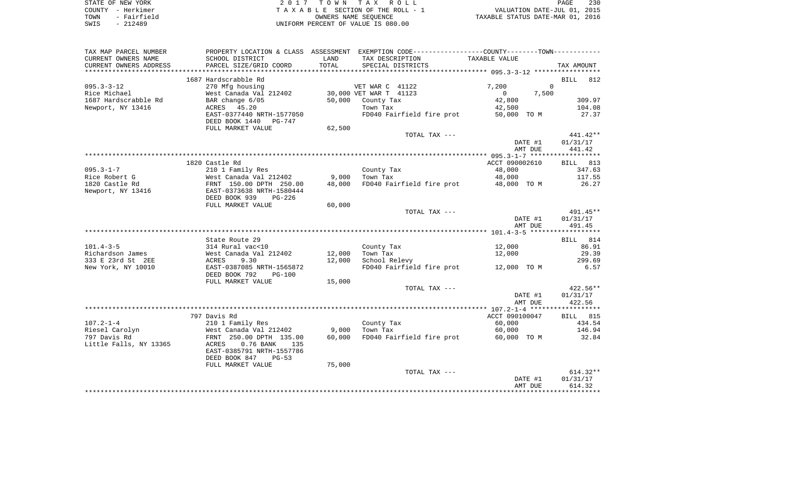| STATE OF NEW YORK   | 2017 TOWN TAX ROLL                 | 230<br>PAGE                      |
|---------------------|------------------------------------|----------------------------------|
| COUNTY - Herkimer   | TAXABLE SECTION OF THE ROLL - 1    | VALUATION DATE-JUL 01, 2015      |
| - Fairfield<br>TOWN | OWNERS NAME SEOUENCE               | TAXABLE STATUS DATE-MAR 01, 2016 |
| $-212489$<br>SWIS   | UNIFORM PERCENT OF VALUE IS 080.00 |                                  |

| TAX MAP PARCEL NUMBER  | PROPERTY LOCATION & CLASS ASSESSMENT EXEMPTION CODE---------------COUNTY-------TOWN---------- |        |                                       |               |                |         |             |
|------------------------|-----------------------------------------------------------------------------------------------|--------|---------------------------------------|---------------|----------------|---------|-------------|
| CURRENT OWNERS NAME    | SCHOOL DISTRICT                                                                               | LAND   | TAX DESCRIPTION                       |               | TAXABLE VALUE  |         |             |
| CURRENT OWNERS ADDRESS | PARCEL SIZE/GRID COORD                                                                        | TOTAL  | SPECIAL DISTRICTS                     |               |                |         | TAX AMOUNT  |
|                        |                                                                                               |        |                                       |               |                |         |             |
|                        | 1687 Hardscrabble Rd                                                                          |        |                                       |               |                |         | 812<br>BILL |
| $095.3 - 3 - 12$       | 270 Mfg housing                                                                               |        | VET WAR C 41122                       |               | 7,200          |         | $\Omega$    |
| Rice Michael           | West Canada Val 212402                                                                        |        | 30,000 VET WAR T 41123                |               | $\overline{0}$ | 7,500   |             |
| 1687 Hardscrabble Rd   | BAR change 6/05                                                                               | 50,000 | County Tax                            |               | 42,800         |         | 309.97      |
| Newport, NY 13416      | ACRES 45.20                                                                                   |        | Town Tax                              |               | 42,500         |         | 104.08      |
|                        | EAST-0377440 NRTH-1577050                                                                     |        | FD040 Fairfield fire prot             |               | 50,000 TO M    |         | 27.37       |
|                        | DEED BOOK 1440 PG-747                                                                         |        |                                       |               |                |         |             |
|                        | FULL MARKET VALUE                                                                             | 62,500 |                                       |               |                |         |             |
|                        |                                                                                               |        |                                       | TOTAL TAX --- |                |         | $441.42**$  |
|                        |                                                                                               |        |                                       |               |                | DATE #1 | 01/31/17    |
|                        |                                                                                               |        |                                       |               |                | AMT DUE | 441.42      |
|                        |                                                                                               |        |                                       |               |                |         |             |
|                        | 1820 Castle Rd                                                                                |        |                                       |               | ACCT 090002610 |         | BILL 813    |
| $095.3 - 1 - 7$        | 210 1 Family Res                                                                              |        | County Tax                            |               | 48,000         |         | 347.63      |
| Rice Robert G          | West Canada Val 212402                                                                        | 9,000  | Town Tax                              |               | 48,000         |         | 117.55      |
| 1820 Castle Rd         | FRNT 150.00 DPTH 250.00                                                                       | 48,000 | FD040 Fairfield fire prot 48,000 TO M |               |                |         | 26.27       |
| Newport, NY 13416      | EAST-0373638 NRTH-1580444                                                                     |        |                                       |               |                |         |             |
|                        | DEED BOOK 939<br>$PG-226$                                                                     |        |                                       |               |                |         |             |
|                        | FULL MARKET VALUE                                                                             | 60,000 |                                       |               |                |         |             |
|                        |                                                                                               |        |                                       | TOTAL TAX --- |                |         | $491.45**$  |
|                        |                                                                                               |        |                                       |               |                | DATE #1 | 01/31/17    |
|                        |                                                                                               |        |                                       |               |                | AMT DUE | 491.45      |
|                        |                                                                                               |        |                                       |               |                |         |             |
|                        | State Route 29                                                                                |        |                                       |               |                |         | BILL 814    |
| $101.4 - 3 - 5$        | 314 Rural vac<10                                                                              |        | County Tax                            |               | 12,000         |         | 86.91       |
| Richardson James       | West Canada Val 212402                                                                        | 12,000 | Town Tax                              |               | 12,000         |         | 29.39       |
| 333 E 23rd St 2EE      | 9.30<br>ACRES                                                                                 | 12,000 | School Relevy                         |               |                |         | 299.69      |
| New York, NY 10010     | EAST-0387085 NRTH-1565872                                                                     |        | FD040 Fairfield fire prot 12,000 TO M |               |                |         | 6.57        |
|                        | DEED BOOK 792<br>$PG-100$                                                                     |        |                                       |               |                |         |             |
|                        | FULL MARKET VALUE                                                                             | 15,000 |                                       |               |                |         |             |
|                        |                                                                                               |        |                                       | TOTAL TAX --- |                |         | $422.56**$  |
|                        |                                                                                               |        |                                       |               |                | DATE #1 | 01/31/17    |
|                        |                                                                                               |        |                                       |               |                | AMT DUE | 422.56      |
|                        |                                                                                               |        |                                       |               |                |         |             |
|                        | 797 Davis Rd                                                                                  |        |                                       |               | ACCT 090100047 |         | BILL 815    |
| $107.2 - 1 - 4$        | 210 1 Family Res                                                                              |        | County Tax                            |               | 60,000         |         | 434.54      |
| Riesel Carolyn         | West Canada Val 212402                                                                        | 9,000  | Town Tax                              |               | 60,000         |         | 146.94      |
| 797 Davis Rd           | FRNT 250.00 DPTH 135.00                                                                       | 60,000 | FD040 Fairfield fire prot             |               | 60,000 TO M    |         | 32.84       |
| Little Falls, NY 13365 | $0.76$ BANK<br>ACRES<br>135                                                                   |        |                                       |               |                |         |             |
|                        | EAST-0385791 NRTH-1557786                                                                     |        |                                       |               |                |         |             |
|                        | DEED BOOK 847<br>$PG-53$                                                                      |        |                                       |               |                |         |             |
|                        | FULL MARKET VALUE                                                                             | 75,000 |                                       |               |                |         |             |
|                        |                                                                                               |        |                                       | TOTAL TAX --- |                |         | $614.32**$  |
|                        |                                                                                               |        |                                       |               |                | DATE #1 | 01/31/17    |
|                        |                                                                                               |        |                                       |               |                | AMT DUE | 614.32      |
|                        |                                                                                               |        |                                       |               |                |         |             |
|                        |                                                                                               |        |                                       |               |                |         |             |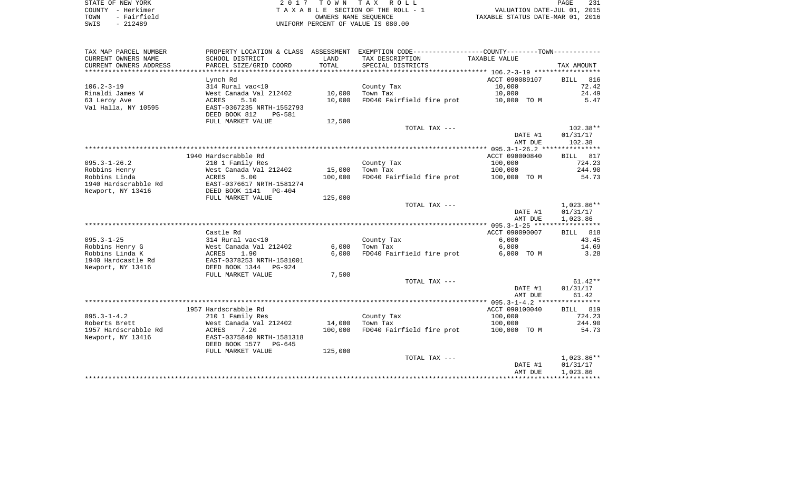| STATE OF NEW YORK    | 2017 TOWN TAX ROLL                 | PAGE                             | 231 |
|----------------------|------------------------------------|----------------------------------|-----|
| – Herkimer<br>COUNTY | TAXABLE SECTION OF THE ROLL - 1    | VALUATION DATE-JUL 01, 2015      |     |
| - Fairfield<br>TOWN  | OWNERS NAME SEOUENCE               | TAXABLE STATUS DATE-MAR 01, 2016 |     |
| - 212489<br>SWIS     | UNIFORM PERCENT OF VALUE IS 080.00 |                                  |     |

|  | PAGE.                          | -231 |
|--|--------------------------------|------|
|  | VALUATION DATE-JUL 01, 2015    |      |
|  | XABLE STATUS DATE-MAR 01, 2016 |      |

| TAX MAP PARCEL NUMBER  | PROPERTY LOCATION & CLASS ASSESSMENT |         | EXEMPTION CODE-----------------COUNTY--------TOWN----------- |                |                    |
|------------------------|--------------------------------------|---------|--------------------------------------------------------------|----------------|--------------------|
| CURRENT OWNERS NAME    | SCHOOL DISTRICT                      | LAND    | TAX DESCRIPTION                                              | TAXABLE VALUE  |                    |
| CURRENT OWNERS ADDRESS | PARCEL SIZE/GRID COORD               | TOTAL   | SPECIAL DISTRICTS                                            |                | TAX AMOUNT         |
|                        |                                      |         |                                                              |                |                    |
|                        | Lynch Rd                             |         |                                                              | ACCT 090089107 | 816<br><b>BILL</b> |
| $106.2 - 3 - 19$       | 314 Rural vac<10                     |         | County Tax                                                   | 10,000         | 72.42              |
| Rinaldi James W        | West Canada Val 212402               | 10,000  | Town Tax                                                     | 10,000         | 24.49              |
| 63 Leroy Ave           | 5.10<br>ACRES                        | 10,000  | FD040 Fairfield fire prot                                    | 10,000 TO M    | 5.47               |
| Val Halla, NY 10595    | EAST-0367235 NRTH-1552793            |         |                                                              |                |                    |
|                        | DEED BOOK 812<br>PG-581              |         |                                                              |                |                    |
|                        | FULL MARKET VALUE                    | 12,500  |                                                              |                |                    |
|                        |                                      |         | TOTAL TAX ---                                                |                | $102.38**$         |
|                        |                                      |         |                                                              | DATE #1        | 01/31/17           |
|                        |                                      |         |                                                              | AMT DUE        | 102.38             |
|                        |                                      |         |                                                              |                |                    |
|                        | 1940 Hardscrabble Rd                 |         |                                                              | ACCT 090000840 | BILL 817           |
| $095.3 - 1 - 26.2$     | 210 1 Family Res                     |         | County Tax                                                   | 100,000        | 724.23             |
| Robbins Henry          | West Canada Val 212402               | 15,000  | Town Tax                                                     | 100,000        | 244.90             |
| Robbins Linda          | ACRES<br>5.00                        | 100,000 | FD040 Fairfield fire prot                                    | 100,000 TO M   | 54.73              |
| 1940 Hardscrabble Rd   | EAST-0376617 NRTH-1581274            |         |                                                              |                |                    |
| Newport, NY 13416      | DEED BOOK 1141<br>PG-404             |         |                                                              |                |                    |
|                        | FULL MARKET VALUE                    | 125,000 |                                                              |                |                    |
|                        |                                      |         | TOTAL TAX ---                                                |                | $1,023.86**$       |
|                        |                                      |         |                                                              | DATE #1        | 01/31/17           |
|                        |                                      |         |                                                              | AMT DUE        | 1,023.86           |
|                        |                                      |         |                                                              |                |                    |
|                        | Castle Rd                            |         |                                                              | ACCT 090090007 | BILL 818           |
| $095.3 - 1 - 25$       | 314 Rural vac<10                     |         | County Tax                                                   | 6.000          | 43.45              |
| Robbins Henry G        | West Canada Val 212402               | 6,000   | Town Tax                                                     | 6,000          | 14.69              |
| Robbins Linda K        | ACRES<br>1.90                        | 6,000   | FD040 Fairfield fire prot                                    | 6,000 TO M     | 3.28               |
| 1940 Hardcastle Rd     | EAST-0378253 NRTH-1581001            |         |                                                              |                |                    |
| Newport, NY 13416      | DEED BOOK 1344 PG-924                |         |                                                              |                |                    |
|                        | FULL MARKET VALUE                    | 7,500   |                                                              |                |                    |
|                        |                                      |         | TOTAL TAX ---                                                |                | $61.42**$          |
|                        |                                      |         |                                                              | DATE #1        | 01/31/17           |
|                        |                                      |         |                                                              | AMT DUE        | 61.42              |
|                        |                                      |         |                                                              |                |                    |
|                        | 1957 Hardscrabble Rd                 |         |                                                              | ACCT 090100040 | <b>BILL</b> 819    |
| $095.3 - 1 - 4.2$      | 210 1 Family Res                     |         | County Tax                                                   | 100,000        | 724.23             |
| Roberts Brett          | West Canada Val 212402               | 14,000  | Town Tax                                                     | 100,000        | 244.90             |
| 1957 Hardscrabble Rd   | ACRES<br>7.20                        | 100,000 | FD040 Fairfield fire prot                                    | 100,000 TO M   | 54.73              |
| Newport, NY 13416      | EAST-0375840 NRTH-1581318            |         |                                                              |                |                    |
|                        |                                      |         |                                                              |                |                    |
|                        | DEED BOOK 1577<br>PG-645             |         |                                                              |                |                    |
|                        | FULL MARKET VALUE                    | 125,000 | TOTAL TAX ---                                                |                | 1,023.86**         |
|                        |                                      |         |                                                              |                |                    |
|                        |                                      |         |                                                              | DATE #1        | 01/31/17           |
|                        |                                      |         |                                                              | AMT DUE        | 1,023.86           |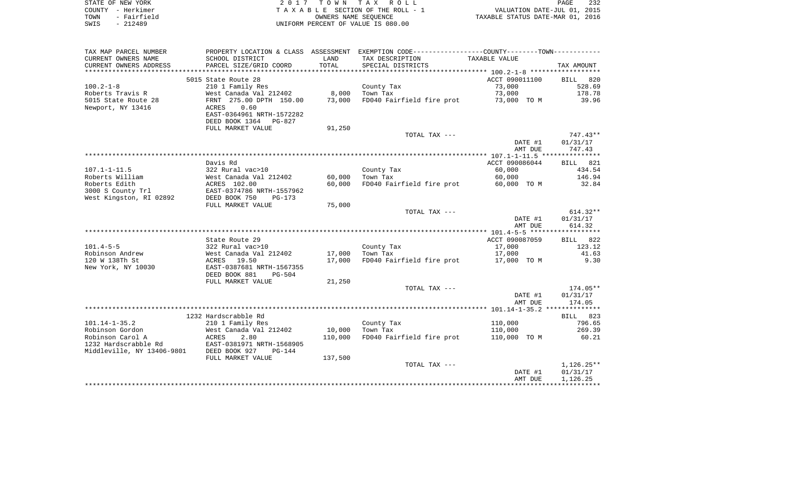| STATE OF NEW YORK   | 2017 TOWN TAX ROLL                 | 232<br><b>PAGE</b>               |
|---------------------|------------------------------------|----------------------------------|
| COUNTY - Herkimer   | TAXABLE SECTION OF THE ROLL - 1    | VALUATION DATE-JUL 01, 2015      |
| - Fairfield<br>TOWN | OWNERS NAME SEOUENCE               | TAXABLE STATUS DATE-MAR 01, 2016 |
| - 212489<br>SWIS    | UNIFORM PERCENT OF VALUE IS 080.00 |                                  |

| TAX MAP PARCEL NUMBER      |                                                                        |         | PROPERTY LOCATION & CLASS ASSESSMENT EXEMPTION CODE---------------COUNTY-------TOWN---------- |                    |                    |
|----------------------------|------------------------------------------------------------------------|---------|-----------------------------------------------------------------------------------------------|--------------------|--------------------|
| CURRENT OWNERS NAME        | SCHOOL DISTRICT                                                        | LAND    | TAX DESCRIPTION                                                                               | TAXABLE VALUE      |                    |
| CURRENT OWNERS ADDRESS     | PARCEL SIZE/GRID COORD                                                 | TOTAL   | SPECIAL DISTRICTS                                                                             |                    | TAX AMOUNT         |
| *****************          |                                                                        |         |                                                                                               |                    |                    |
|                            | 5015 State Route 28                                                    |         |                                                                                               | ACCT 090011100     | <b>BILL</b><br>820 |
| $100.2 - 1 - 8$            | 210 1 Family Res                                                       |         | County Tax                                                                                    | 73,000             | 528.69             |
| Roberts Travis R           | West Canada Val 212402                                                 | 8,000   | Town Tax                                                                                      | 73,000             | 178.78             |
| 5015 State Route 28        | FRNT 275.00 DPTH 150.00                                                | 73,000  | FD040 Fairfield fire prot                                                                     | 73,000 TO M        | 39.96              |
| Newport, NY 13416          | ACRES<br>0.60<br>EAST-0364961 NRTH-1572282<br>DEED BOOK 1364<br>PG-827 |         |                                                                                               |                    |                    |
|                            | FULL MARKET VALUE                                                      | 91,250  |                                                                                               |                    |                    |
|                            |                                                                        |         | TOTAL TAX ---                                                                                 |                    | 747.43**           |
|                            |                                                                        |         |                                                                                               | DATE #1            | 01/31/17           |
|                            |                                                                        |         |                                                                                               | AMT DUE            | 747.43             |
|                            |                                                                        |         |                                                                                               |                    |                    |
|                            | Davis Rd                                                               |         |                                                                                               | ACCT 090086044     | BILL 821           |
| $107.1 - 1 - 11.5$         | 322 Rural vac>10                                                       |         | County Tax                                                                                    | 60,000             | 434.54             |
| Roberts William            | West Canada Val 212402                                                 | 60,000  | Town Tax                                                                                      | 60,000             | 146.94             |
| Roberts Edith              | ACRES 102.00                                                           | 60,000  | FD040 Fairfield fire prot                                                                     | 60,000 TO M        | 32.84              |
| 3000 S County Trl          | EAST-0374786 NRTH-1557962                                              |         |                                                                                               |                    |                    |
| West Kingston, RI 02892    | DEED BOOK 750<br>$PG-173$                                              |         |                                                                                               |                    |                    |
|                            | FULL MARKET VALUE                                                      | 75,000  |                                                                                               |                    |                    |
|                            |                                                                        |         | TOTAL TAX ---                                                                                 |                    | $614.32**$         |
|                            |                                                                        |         |                                                                                               | DATE #1<br>AMT DUE | 01/31/17<br>614.32 |
|                            |                                                                        |         |                                                                                               |                    |                    |
|                            | State Route 29                                                         |         |                                                                                               | ACCT 090087059     | BILL 822           |
| $101.4 - 5 - 5$            | 322 Rural vac>10                                                       |         | County Tax                                                                                    | 17,000             | 123.12             |
| Robinson Andrew            | West Canada Val 212402                                                 | 17,000  | Town Tax                                                                                      | 17,000             | 41.63              |
| 120 W 138Th St             | 19.50<br>ACRES                                                         | 17,000  | FD040 Fairfield fire prot                                                                     | 17,000 TO M        | 9.30               |
| New York, NY 10030         | EAST-0387681 NRTH-1567355<br>DEED BOOK 881<br>$PG-504$                 |         |                                                                                               |                    |                    |
|                            | FULL MARKET VALUE                                                      | 21,250  |                                                                                               |                    |                    |
|                            |                                                                        |         | TOTAL TAX ---                                                                                 |                    | 174.05**           |
|                            |                                                                        |         |                                                                                               | DATE #1            | 01/31/17           |
|                            |                                                                        |         |                                                                                               | AMT DUE            | 174.05             |
|                            |                                                                        |         |                                                                                               |                    |                    |
|                            | 1232 Hardscrabble Rd                                                   |         |                                                                                               |                    | BILL 823           |
| $101.14 - 1 - 35.2$        | 210 1 Family Res                                                       |         | County Tax                                                                                    | 110,000            | 796.65             |
| Robinson Gordon            | West Canada Val 212402                                                 | 10,000  | Town Tax                                                                                      | 110,000            | 269.39             |
| Robinson Carol A           | ACRES<br>2.80                                                          | 110,000 | FD040 Fairfield fire prot                                                                     | 110,000 TO M       | 60.21              |
| 1232 Hardscrabble Rd       | EAST-0381971 NRTH-1568905                                              |         |                                                                                               |                    |                    |
| Middleville, NY 13406-9801 | DEED BOOK 927<br>$PG-144$                                              |         |                                                                                               |                    |                    |
|                            | FULL MARKET VALUE                                                      | 137,500 |                                                                                               |                    |                    |
|                            |                                                                        |         | TOTAL TAX ---                                                                                 |                    | $1,126.25**$       |
|                            |                                                                        |         |                                                                                               | DATE #1            | 01/31/17           |
|                            |                                                                        |         |                                                                                               | AMT DUE            | 1,126.25           |
|                            |                                                                        |         |                                                                                               |                    |                    |
|                            |                                                                        |         |                                                                                               |                    |                    |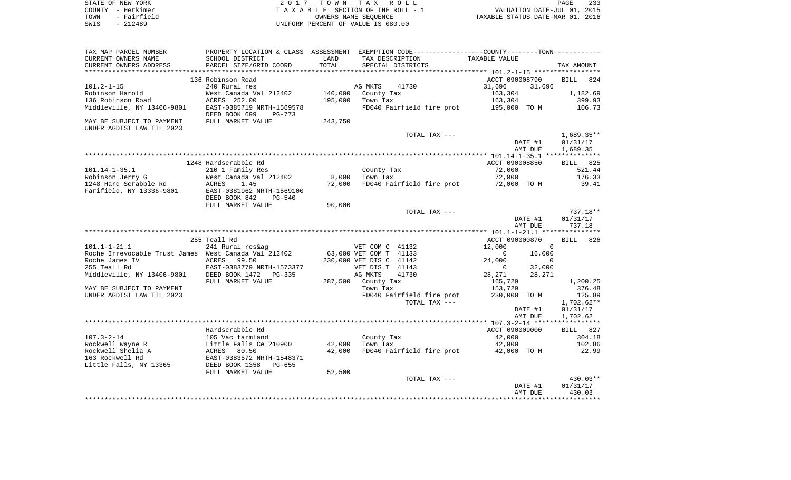| STATE OF NEW YORK   | 2017 TOWN TAX ROLL                 | 233<br>PAGE                      |
|---------------------|------------------------------------|----------------------------------|
| COUNTY - Herkimer   | TAXABLE SECTION OF THE ROLL - 1    | VALUATION DATE-JUL 01, 2015      |
| - Fairfield<br>TOWN | OWNERS NAME SEOUENCE               | TAXABLE STATUS DATE-MAR 01, 2016 |
| SWIS<br>$-212489$   | UNIFORM PERCENT OF VALUE IS 080.00 |                                  |

| TAX MAP PARCEL NUMBER                                | PROPERTY LOCATION & CLASS ASSESSMENT EXEMPTION CODE----------------COUNTY--------TOWN----------- |                       |                         |                           |                          |          |                      |        |
|------------------------------------------------------|--------------------------------------------------------------------------------------------------|-----------------------|-------------------------|---------------------------|--------------------------|----------|----------------------|--------|
| CURRENT OWNERS NAME                                  | SCHOOL DISTRICT                                                                                  | LAND                  | TAX DESCRIPTION         |                           | TAXABLE VALUE            |          |                      |        |
| CURRENT OWNERS ADDRESS                               | PARCEL SIZE/GRID COORD                                                                           | TOTAL                 |                         | SPECIAL DISTRICTS         |                          |          | TAX AMOUNT           |        |
|                                                      |                                                                                                  | * * * * * * * * * * * |                         |                           |                          |          |                      |        |
|                                                      | 136 Robinson Road                                                                                |                       |                         |                           | ACCT 090008790           |          | <b>BILL</b>          | 824    |
| $101.2 - 1 - 15$                                     | 240 Rural res                                                                                    |                       | AG MKTS                 | 41730                     | 31,696                   | 31,696   |                      |        |
| Robinson Harold                                      | West Canada Val 212402                                                                           | 140,000               | County Tax              |                           | 163,304                  |          | 1,182.69             |        |
| 136 Robinson Road                                    | ACRES 252.00                                                                                     | 195,000               | Town Tax                |                           | 163,304                  |          | 399.93               |        |
| Middleville, NY 13406-9801                           | EAST-0385719 NRTH-1569578                                                                        |                       |                         | FD040 Fairfield fire prot | 195,000 TO M             |          |                      | 106.73 |
|                                                      | DEED BOOK 699<br>PG-773                                                                          |                       |                         |                           |                          |          |                      |        |
| MAY BE SUBJECT TO PAYMENT                            | FULL MARKET VALUE                                                                                | 243,750               |                         |                           |                          |          |                      |        |
| UNDER AGDIST LAW TIL 2023                            |                                                                                                  |                       |                         |                           |                          |          |                      |        |
|                                                      |                                                                                                  |                       |                         | TOTAL TAX ---             |                          | DATE #1  | $1,689.35**$         |        |
|                                                      |                                                                                                  |                       |                         |                           |                          | AMT DUE  | 01/31/17<br>1,689.35 |        |
|                                                      |                                                                                                  |                       |                         |                           |                          |          |                      |        |
|                                                      | 1248 Hardscrabble Rd                                                                             |                       |                         |                           | ACCT 090008850           |          | BILL 825             |        |
| $101.14 - 1 - 35.1$                                  | 210 1 Family Res                                                                                 |                       | County Tax              |                           | 72,000                   |          |                      | 521.44 |
| Robinson Jerry G                                     | West Canada Val 212402                                                                           | 8,000                 | Town Tax                |                           | 72,000                   |          |                      | 176.33 |
| 1248 Hard Scrabble Rd                                | ACRES<br>1.45                                                                                    | 72,000                |                         | FD040 Fairfield fire prot | 72,000 TO M              |          |                      | 39.41  |
| Farifield, NY 13336-9801                             | EAST-0381962 NRTH-1569100                                                                        |                       |                         |                           |                          |          |                      |        |
|                                                      | DEED BOOK 842<br>$PG-540$                                                                        |                       |                         |                           |                          |          |                      |        |
|                                                      | FULL MARKET VALUE                                                                                | 90,000                |                         |                           |                          |          |                      |        |
|                                                      |                                                                                                  |                       |                         | TOTAL TAX ---             |                          |          | 737.18**             |        |
|                                                      |                                                                                                  |                       |                         |                           |                          | DATE #1  | 01/31/17             |        |
|                                                      |                                                                                                  |                       |                         |                           |                          | AMT DUE  | 737.18               |        |
|                                                      | ****************                                                                                 |                       |                         |                           |                          |          |                      |        |
|                                                      | 255 Teall Rd                                                                                     |                       |                         |                           | ACCT 090000870           |          | BILL                 | 826    |
| $101.1 - 1 - 21.1$                                   | 241 Rural res&ag                                                                                 |                       | VET COM C 41132         |                           | 12,000                   | $\Omega$ |                      |        |
| Roche Irrevocable Trust James West Canada Val 212402 |                                                                                                  |                       | 63,000 VET COM T 41133  |                           | $\mathbf{0}$             | 16,000   |                      |        |
| Roche James IV                                       | ACRES<br>99.50                                                                                   |                       | 230,000 VET DIS C 41142 |                           | 24,000                   | $\Omega$ |                      |        |
| 255 Teall Rd                                         | EAST-0383779 NRTH-1573377                                                                        |                       | VET DIS T 41143         |                           | $\overline{0}$           | 32,000   |                      |        |
| Middleville, NY 13406-9801                           | DEED BOOK 1472<br>PG-335                                                                         |                       | AG MKTS                 | 41730                     | 28,271                   | 28,271   |                      |        |
|                                                      | FULL MARKET VALUE                                                                                |                       | 287,500 County Tax      |                           | 165,729                  |          | 1,200.25             |        |
| MAY BE SUBJECT TO PAYMENT                            |                                                                                                  |                       | Town Tax                |                           | 153,729                  |          |                      | 376.48 |
| UNDER AGDIST LAW TIL 2023                            |                                                                                                  |                       |                         | FD040 Fairfield fire prot | 230,000 TO M             |          |                      | 125.89 |
|                                                      |                                                                                                  |                       |                         | TOTAL TAX ---             |                          |          | $1,702.62**$         |        |
|                                                      |                                                                                                  |                       |                         |                           |                          | DATE #1  | 01/31/17             |        |
|                                                      |                                                                                                  |                       |                         |                           |                          | AMT DUE  | 1,702.62             |        |
|                                                      |                                                                                                  |                       |                         |                           |                          |          |                      |        |
| $107.3 - 2 - 14$                                     | Hardscrabble Rd<br>105 Vac farmland                                                              |                       |                         |                           | ACCT 090009000<br>42,000 |          | BILL 827             | 304.18 |
| Rockwell Wayne R                                     | Little Falls Ce 210900                                                                           | 42,000                | County Tax<br>Town Tax  |                           | 42,000                   |          |                      | 102.86 |
| Rockwell Shelia A                                    | 80.50<br>ACRES                                                                                   | 42,000                |                         | FD040 Fairfield fire prot | 42,000 TO M              |          | 22.99                |        |
| 163 Rockwell Rd                                      | EAST-0383572 NRTH-1548371                                                                        |                       |                         |                           |                          |          |                      |        |
| Little Falls, NY 13365                               | DEED BOOK 1358<br>PG-655                                                                         |                       |                         |                           |                          |          |                      |        |
|                                                      | FULL MARKET VALUE                                                                                | 52,500                |                         |                           |                          |          |                      |        |
|                                                      |                                                                                                  |                       |                         | TOTAL TAX ---             |                          |          | 430.03**             |        |
|                                                      |                                                                                                  |                       |                         |                           |                          | DATE #1  | 01/31/17             |        |
|                                                      |                                                                                                  |                       |                         |                           |                          | AMT DUE  | 430.03               |        |
|                                                      |                                                                                                  |                       |                         |                           |                          |          |                      |        |
|                                                      |                                                                                                  |                       |                         |                           |                          |          |                      |        |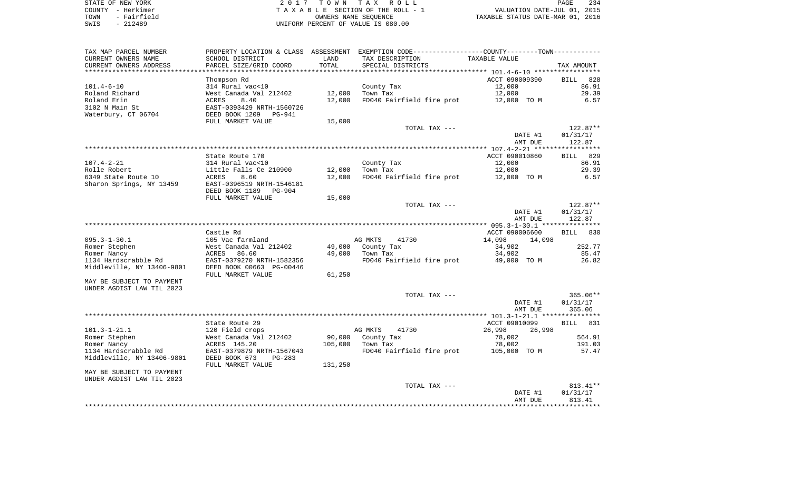| STATE OF NEW YORK |  |             |  |
|-------------------|--|-------------|--|
| COUNTY - Herkimer |  |             |  |
| TOWN              |  | - Fairfield |  |
| SWTS              |  | $-212489$   |  |

STATE OF THE TAX ROLL TA X A B L E SECTION OF THE ROLL - 1 TOWN - Fairfield OWNERS NAME SEQUENCE TAXABLE STATUS DATE-MAR 01, 2016 SWIS - 212489 UNIFORM PERCENT OF VALUE IS 080.00

| TAX MAP PARCEL NUMBER      |                           |         | PROPERTY LOCATION & CLASS ASSESSMENT EXEMPTION CODE---------------COUNTY-------TOWN---------- |                  |             |
|----------------------------|---------------------------|---------|-----------------------------------------------------------------------------------------------|------------------|-------------|
| CURRENT OWNERS NAME        | SCHOOL DISTRICT           | LAND    | TAX DESCRIPTION                                                                               | TAXABLE VALUE    |             |
| CURRENT OWNERS ADDRESS     | PARCEL SIZE/GRID COORD    | TOTAL   | SPECIAL DISTRICTS                                                                             |                  | TAX AMOUNT  |
|                            |                           |         |                                                                                               |                  |             |
|                            | Thompson Rd               |         |                                                                                               | ACCT 090009390   | BILL 828    |
| $101.4 - 6 - 10$           | 314 Rural vac<10          |         | County Tax                                                                                    | 12,000           | 86.91       |
| Roland Richard             | West Canada Val 212402    | 12,000  | Town Tax                                                                                      | 12,000           | 29.39       |
| Roland Erin                | 8.40<br><b>ACRES</b>      | 12,000  | FD040 Fairfield fire prot                                                                     | 12,000 TO M      | 6.57        |
|                            |                           |         |                                                                                               |                  |             |
| 3102 N Main St             | EAST-0393429 NRTH-1560726 |         |                                                                                               |                  |             |
| Waterbury, CT 06704        | DEED BOOK 1209<br>PG-941  |         |                                                                                               |                  |             |
|                            | FULL MARKET VALUE         | 15,000  |                                                                                               |                  |             |
|                            |                           |         | TOTAL TAX ---                                                                                 |                  | $122.87**$  |
|                            |                           |         |                                                                                               | DATE #1          | 01/31/17    |
|                            |                           |         |                                                                                               | AMT DUE          | 122.87      |
|                            |                           |         |                                                                                               |                  |             |
|                            | State Route 170           |         |                                                                                               | ACCT 090010860   | BILL 829    |
| $107.4 - 2 - 21$           | 314 Rural vac<10          |         | County Tax                                                                                    | 12,000           | 86.91       |
| Rolle Robert               | Little Falls Ce 210900    | 12,000  | Town Tax                                                                                      | 12,000           | 29.39       |
| 6349 State Route 10        | 8.60<br><b>ACRES</b>      | 12,000  | FD040 Fairfield fire prot                                                                     | 12,000 TO M      | 6.57        |
| Sharon Springs, NY 13459   | EAST-0396519 NRTH-1546181 |         |                                                                                               |                  |             |
|                            | DEED BOOK 1189<br>PG-904  |         |                                                                                               |                  |             |
|                            |                           |         |                                                                                               |                  |             |
|                            | FULL MARKET VALUE         | 15,000  |                                                                                               |                  |             |
|                            |                           |         | TOTAL TAX ---                                                                                 |                  | $122.87**$  |
|                            |                           |         |                                                                                               | DATE #1          | 01/31/17    |
|                            |                           |         |                                                                                               | AMT DUE          | 122.87      |
|                            |                           |         |                                                                                               |                  |             |
|                            | Castle Rd                 |         |                                                                                               | ACCT 090006600   | 830<br>BILL |
| $095.3 - 1 - 30.1$         | 105 Vac farmland          |         | AG MKTS<br>41730                                                                              | 14,098<br>14,098 |             |
| Romer Stephen              | West Canada Val 212402    | 49,000  | County Tax                                                                                    | 34,902           | 252.77      |
| Romer Nancy                | ACRES<br>86.60            | 49,000  | Town Tax                                                                                      | 34,902           | 85.47       |
| 1134 Hardscrabble Rd       | EAST-0379270 NRTH-1582356 |         | FD040 Fairfield fire prot                                                                     | 49,000 TO M      | 26.82       |
| Middleville, NY 13406-9801 | DEED BOOK 00663 PG-00446  |         |                                                                                               |                  |             |
|                            | FULL MARKET VALUE         | 61,250  |                                                                                               |                  |             |
| MAY BE SUBJECT TO PAYMENT  |                           |         |                                                                                               |                  |             |
| UNDER AGDIST LAW TIL 2023  |                           |         |                                                                                               |                  |             |
|                            |                           |         | TOTAL TAX ---                                                                                 |                  | 365.06**    |
|                            |                           |         |                                                                                               |                  |             |
|                            |                           |         |                                                                                               | DATE #1          | 01/31/17    |
|                            |                           |         |                                                                                               | AMT DUE          | 365.06      |
|                            |                           |         |                                                                                               |                  |             |
|                            | State Route 29            |         |                                                                                               | ACCT 09010099    | 831<br>BILL |
| $101.3 - 1 - 21.1$         | 120 Field crops           |         | AG MKTS<br>41730                                                                              | 26,998<br>26,998 |             |
| Romer Stephen              | West Canada Val 212402    | 90,000  | County Tax                                                                                    | 78,002           | 564.91      |
| Romer Nancy                | ACRES 145.20              | 105,000 | Town Tax                                                                                      | 78,002           | 191.03      |
| 1134 Hardscrabble Rd       | EAST-0379879 NRTH-1567043 |         | FD040 Fairfield fire prot                                                                     | 105,000 TO M     | 57.47       |
| Middleville, NY 13406-9801 | DEED BOOK 673<br>$PG-283$ |         |                                                                                               |                  |             |
|                            | FULL MARKET VALUE         | 131,250 |                                                                                               |                  |             |
| MAY BE SUBJECT TO PAYMENT  |                           |         |                                                                                               |                  |             |
| UNDER AGDIST LAW TIL 2023  |                           |         |                                                                                               |                  |             |
|                            |                           |         | TOTAL TAX ---                                                                                 |                  | 813.41**    |
|                            |                           |         |                                                                                               | DATE #1          | 01/31/17    |
|                            |                           |         |                                                                                               | AMT DUE          | 813.41      |
|                            |                           |         |                                                                                               |                  |             |
|                            |                           |         |                                                                                               |                  |             |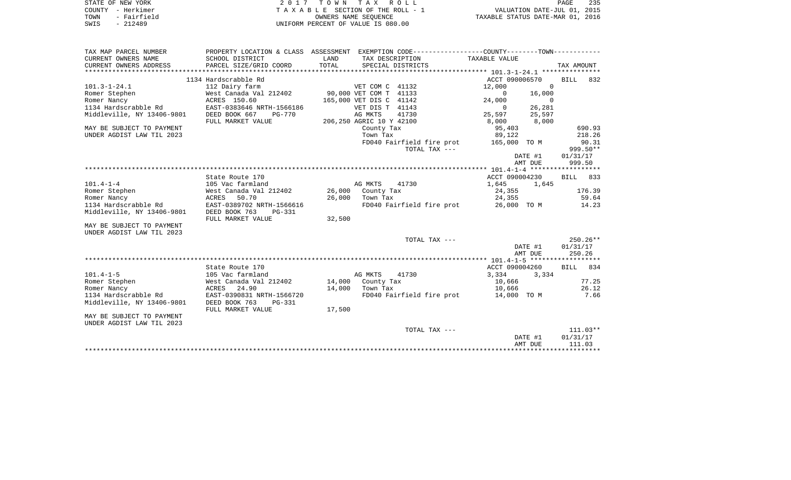|      | STATE OF NEW YORK | 2017 TOWN TAX ROLL                 | 235<br><b>PAGE</b>               |
|------|-------------------|------------------------------------|----------------------------------|
|      | COUNTY - Herkimer | TAXABLE SECTION OF THE ROLL - 1    | VALUATION DATE-JUL 01, 2015      |
| TOWN | - Fairfield       | OWNERS NAME SEOUENCE               | TAXABLE STATUS DATE-MAR 01, 2016 |
| SWIS | $-212489$         | UNIFORM PERCENT OF VALUE IS 080.00 |                                  |

| PROPERTY LOCATION & CLASS ASSESSMENT EXEMPTION CODE----------------COUNTY--------TOWN----------<br>TAX MAP PARCEL NUMBER |            |
|--------------------------------------------------------------------------------------------------------------------------|------------|
| TAXABLE VALUE<br>CURRENT OWNERS NAME<br>SCHOOL DISTRICT<br>LAND<br>TAX DESCRIPTION<br>TOTAL                              |            |
| PARCEL SIZE/GRID COORD<br>SPECIAL DISTRICTS<br>CURRENT OWNERS ADDRESS                                                    | TAX AMOUNT |
| ACCT 090006570<br>1134 Hardscrabble Rd                                                                                   | 832        |
| BILL                                                                                                                     |            |
| $101.3 - 1 - 24.1$<br>$\Omega$<br>112 Dairy farm<br>VET COM C 41132<br>12,000                                            |            |
| 90,000 VET COM T 41133<br>Romer Stephen<br>West Canada Val 212402<br>0<br>16,000                                         |            |
| Romer Nancy<br>ACRES 150.60<br>165,000 VET DIS C 41142<br>$\Omega$<br>24,000                                             |            |
| 1134 Hardscrabble Rd<br>EAST-0383646 NRTH-1566186<br>VET DIS T 41143<br>26,281<br>$\mathbf{0}$                           |            |
| 41730<br>Middleville, NY 13406-9801<br>DEED BOOK 667<br>AG MKTS<br>25,597<br><b>PG-770</b><br>25,597                     |            |
| FULL MARKET VALUE<br>206,250 AGRIC 10 Y 42100<br>8,000<br>8,000                                                          |            |
| 95,403<br>MAY BE SUBJECT TO PAYMENT<br>County Tax                                                                        | 690.93     |
| UNDER AGDIST LAW TIL 2023<br>Town Tax<br>89,122                                                                          | 218.26     |
| 165,000 TO M<br>FD040 Fairfield fire prot                                                                                | 90.31      |
| TOTAL TAX ---                                                                                                            | 999.50**   |
| DATE #1                                                                                                                  | 01/31/17   |
| AMT DUE                                                                                                                  | 999.50     |
|                                                                                                                          |            |
| State Route 170<br>ACCT 090004230<br>BILL                                                                                | 833        |
| $101.4 - 1 - 4$<br>105 Vac farmland<br>AG MKTS<br>41730<br>1,645<br>1,645                                                |            |
| Romer Stephen<br>West Canada Val 212402<br>26,000<br>County Tax<br>24,355                                                | 176.39     |
| Romer Nancy<br><b>ACRES</b><br>50.70<br>26,000<br>Town Tax<br>24,355                                                     | 59.64      |
| 1134 Hardscrabble Rd<br>EAST-0389702 NRTH-1566616<br>FD040 Fairfield fire prot<br>26,000 TO M                            | 14.23      |
| Middleville, NY 13406-9801<br>DEED BOOK 763<br><b>PG-331</b>                                                             |            |
| FULL MARKET VALUE<br>32,500                                                                                              |            |
| MAY BE SUBJECT TO PAYMENT                                                                                                |            |
| UNDER AGDIST LAW TIL 2023                                                                                                |            |
| TOTAL TAX ---                                                                                                            | $250.26**$ |
| DATE #1                                                                                                                  | 01/31/17   |
| AMT DUE                                                                                                                  | 250.26     |
|                                                                                                                          |            |
| State Route 170<br>ACCT 090004260<br><b>BILL</b>                                                                         | 834        |
| $101.4 - 1 - 5$<br>AG MKTS<br>41730<br>3,334<br>105 Vac farmland<br>3,334                                                |            |
| Romer Stephen<br>West Canada Val 212402<br>14,000<br>10,666<br>County Tax                                                | 77.25      |
| 24.90<br>14,000<br>Romer Nancy<br>ACRES<br>Town Tax<br>10,666                                                            | 26.12      |
| 1134 Hardscrabble Rd<br>EAST-0390831 NRTH-1566720<br>FD040 Fairfield fire prot<br>14,000 TO M                            | 7.66       |
| DEED BOOK 763                                                                                                            |            |
| Middleville, NY 13406-9801<br>PG-331                                                                                     |            |
| FULL MARKET VALUE<br>17,500                                                                                              |            |
| MAY BE SUBJECT TO PAYMENT                                                                                                |            |
| UNDER AGDIST LAW TIL 2023                                                                                                |            |
| TOTAL TAX ---                                                                                                            | $111.03**$ |
| DATE #1                                                                                                                  | 01/31/17   |
| AMT DUE                                                                                                                  | 111.03     |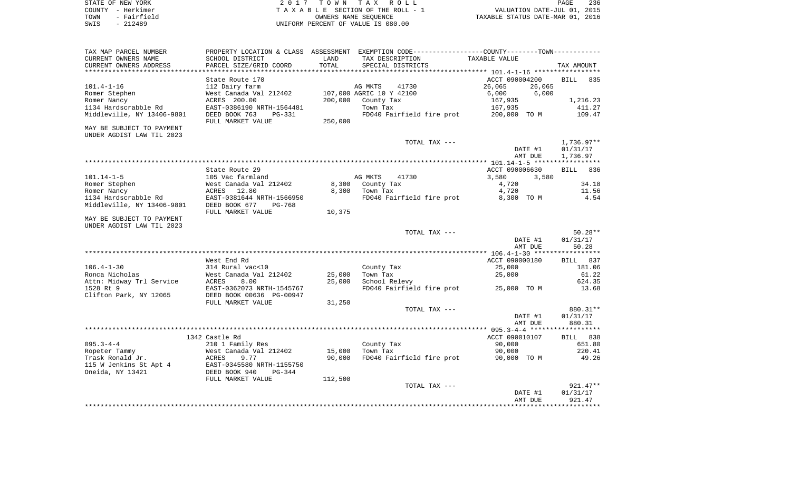| STATE OF NEW YORK   | 2017 TOWN TAX ROLL                 | 236<br>PAGE                      |
|---------------------|------------------------------------|----------------------------------|
| COUNTY - Herkimer   | TAXABLE SECTION OF THE ROLL - 1    | VALUATION DATE-JUL 01, 2015      |
| - Fairfield<br>TOWN | OWNERS NAME SEOUENCE               | TAXABLE STATUS DATE-MAR 01, 2016 |
| $-212489$<br>SWIS   | UNIFORM PERCENT OF VALUE IS 080.00 |                                  |

| TAX MAP PARCEL NUMBER      |                           |         | PROPERTY LOCATION & CLASS ASSESSMENT EXEMPTION CODE----------------COUNTY-------TOWN---------- |                  |                    |
|----------------------------|---------------------------|---------|------------------------------------------------------------------------------------------------|------------------|--------------------|
| CURRENT OWNERS NAME        | SCHOOL DISTRICT           | LAND    | TAX DESCRIPTION                                                                                | TAXABLE VALUE    |                    |
| CURRENT OWNERS ADDRESS     | PARCEL SIZE/GRID COORD    | TOTAL   | SPECIAL DISTRICTS                                                                              |                  | TAX AMOUNT         |
|                            |                           |         |                                                                                                |                  |                    |
|                            | State Route 170           |         |                                                                                                | ACCT 090004200   | <b>BILL</b><br>835 |
| $101.4 - 1 - 16$           | 112 Dairy farm            |         | AG MKTS<br>41730                                                                               | 26,065<br>26,065 |                    |
| Romer Stephen              | West Canada Val 212402    |         | 107,000 AGRIC 10 Y 42100                                                                       | 6,000<br>6,000   |                    |
| Romer Nancy                | ACRES 200.00              | 200,000 | County Tax                                                                                     | 167,935          | 1,216.23           |
| 1134 Hardscrabble Rd       | EAST-0386190 NRTH-1564481 |         | Town Tax                                                                                       | 167,935          | 411.27             |
| Middleville, NY 13406-9801 | DEED BOOK 763<br>$PG-331$ |         | FD040 Fairfield fire prot                                                                      | 200,000 TO M     | 109.47             |
|                            | FULL MARKET VALUE         | 250,000 |                                                                                                |                  |                    |
| MAY BE SUBJECT TO PAYMENT  |                           |         |                                                                                                |                  |                    |
| UNDER AGDIST LAW TIL 2023  |                           |         |                                                                                                |                  |                    |
|                            |                           |         | TOTAL TAX ---                                                                                  |                  | $1,736.97**$       |
|                            |                           |         |                                                                                                | DATE #1          | 01/31/17           |
|                            |                           |         |                                                                                                | AMT DUE          | 1,736.97           |
|                            |                           |         |                                                                                                |                  |                    |
|                            | State Route 29            |         |                                                                                                | ACCT 090006630   | 836<br><b>BILL</b> |
| $101.14 - 1 - 5$           | 105 Vac farmland          |         | AG MKTS<br>41730                                                                               | 3,580<br>3,580   |                    |
| Romer Stephen              | West Canada Val 212402    | 8,300   | County Tax                                                                                     | 4,720            | 34.18              |
| Romer Nancy                | ACRES<br>12.80            | 8,300   | Town Tax                                                                                       | 4,720            | 11.56              |
| 1134 Hardscrabble Rd       | EAST-0381644 NRTH-1566950 |         | FD040 Fairfield fire prot                                                                      | 8,300 TO M       | 4.54               |
| Middleville, NY 13406-9801 | DEED BOOK 677<br>PG-768   |         |                                                                                                |                  |                    |
|                            | FULL MARKET VALUE         | 10,375  |                                                                                                |                  |                    |
| MAY BE SUBJECT TO PAYMENT  |                           |         |                                                                                                |                  |                    |
| UNDER AGDIST LAW TIL 2023  |                           |         |                                                                                                |                  |                    |
|                            |                           |         | TOTAL TAX ---                                                                                  |                  | $50.28**$          |
|                            |                           |         |                                                                                                | DATE #1          | 01/31/17           |
|                            |                           |         |                                                                                                | AMT DUE          | 50.28              |
|                            |                           |         |                                                                                                |                  |                    |
|                            | West End Rd               |         |                                                                                                | ACCT 090000180   | 837<br><b>BILL</b> |
| $106.4 - 1 - 30$           | 314 Rural vac<10          |         | County Tax                                                                                     | 25,000           | 181.06             |
| Ronca Nicholas             | West Canada Val 212402    | 25,000  | Town Tax                                                                                       | 25,000           | 61.22              |
| Attn: Midway Trl Service   | 8.00<br>ACRES             | 25,000  | School Relevy                                                                                  |                  | 624.35             |
| 1528 Rt 9                  | EAST-0362073 NRTH-1545767 |         | FD040 Fairfield fire prot                                                                      | 25,000 TO M      | 13.68              |
| Clifton Park, NY 12065     | DEED BOOK 00636 PG-00947  |         |                                                                                                |                  |                    |
|                            | FULL MARKET VALUE         | 31,250  |                                                                                                |                  |                    |
|                            |                           |         | TOTAL TAX ---                                                                                  |                  | 880.31**           |
|                            |                           |         |                                                                                                | DATE #1          | 01/31/17           |
|                            |                           |         |                                                                                                | AMT DUE          | 880.31             |
|                            |                           |         |                                                                                                |                  |                    |
|                            | 1342 Castle Rd            |         |                                                                                                | ACCT 090010107   | BILL 838           |
| $095.3 - 4 - 4$            | 210 1 Family Res          |         | County Tax                                                                                     | 90,000           | 651.80             |
| Ropeter Tammy              | West Canada Val 212402    | 15,000  | Town Tax                                                                                       | 90,000           | 220.41             |
| Trask Ronald Jr.           | 9.77<br>ACRES             | 90,000  | FD040 Fairfield fire prot                                                                      | 90,000 TO M      | 49.26              |
| 115 W Jenkins St Apt 4     | EAST-0345580 NRTH-1155750 |         |                                                                                                |                  |                    |
| Oneida, NY 13421           | DEED BOOK 940<br>$PG-344$ |         |                                                                                                |                  |                    |
|                            | FULL MARKET VALUE         | 112,500 |                                                                                                |                  |                    |
|                            |                           |         | TOTAL TAX ---                                                                                  |                  | $921.47**$         |
|                            |                           |         |                                                                                                | DATE #1          | 01/31/17           |
|                            |                           |         |                                                                                                |                  |                    |
|                            |                           |         |                                                                                                | AMT DUE          | 921.47             |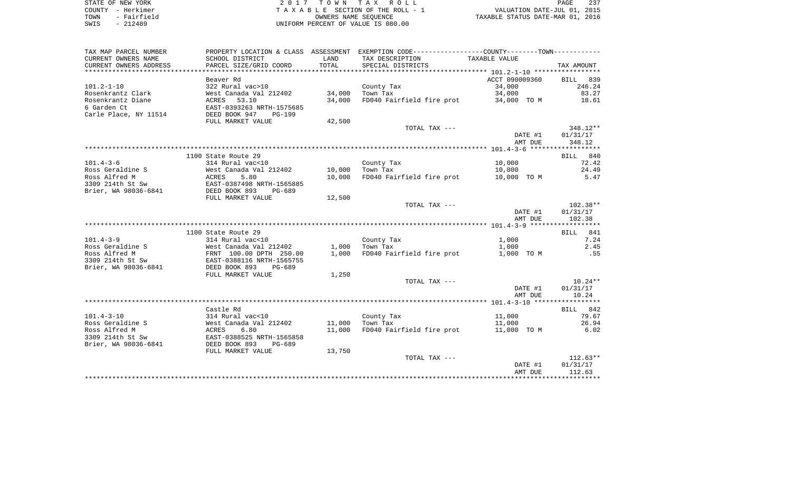| STATE OF NEW YORK   | 2017 TOWN TAX ROLL                 | 237<br>PAGE                      |
|---------------------|------------------------------------|----------------------------------|
| COUNTY - Herkimer   | TAXABLE SECTION OF THE ROLL - 1    | VALUATION DATE-JUL 01, 2015      |
| - Fairfield<br>TOWN | OWNERS NAME SEOUENCE               | TAXABLE STATUS DATE-MAR 01, 2016 |
| $-212489$<br>SWIS   | UNIFORM PERCENT OF VALUE IS 080.00 |                                  |

| TAX MAP PARCEL NUMBER                     |                                                                                                              |        | PROPERTY LOCATION & CLASS ASSESSMENT EXEMPTION CODE----------------COUNTY--------TOWN---------- |                |                  |
|-------------------------------------------|--------------------------------------------------------------------------------------------------------------|--------|-------------------------------------------------------------------------------------------------|----------------|------------------|
| CURRENT OWNERS NAME                       | SCHOOL DISTRICT                                                                                              | LAND   | TAX DESCRIPTION                                                                                 | TAXABLE VALUE  |                  |
| CURRENT OWNERS ADDRESS                    | PARCEL SIZE/GRID COORD                                                                                       | TOTAL  | SPECIAL DISTRICTS                                                                               |                | TAX AMOUNT       |
|                                           |                                                                                                              |        |                                                                                                 |                |                  |
|                                           | Beaver Rd                                                                                                    |        |                                                                                                 | ACCT 090009360 | BILL 839         |
| $101.2 - 1 - 10$                          | 322 Rural vac>10                                                                                             |        | County Tax                                                                                      | 34,000         | 246.24           |
| Rosenkrantz Clark                         |                                                                                                              | 34,000 | Town Tax                                                                                        | 34,000         | 83.27            |
| Rosenkrantz Diane                         |                                                                                                              | 34,000 | FD040 Fairfield fire prot 34,000 TO M                                                           |                | 18.61            |
| 6 Garden Ct                               | West Canada Val 212402<br>ACRES   53.10<br>EAST-0393263 NRTH-1575685                                         |        |                                                                                                 |                |                  |
| Carle Place, NY 11514                     | DEED BOOK 947<br>PG-199                                                                                      |        |                                                                                                 |                |                  |
|                                           | FULL MARKET VALUE                                                                                            | 42,500 |                                                                                                 |                |                  |
|                                           |                                                                                                              |        | TOTAL TAX ---                                                                                   |                | 348.12**         |
|                                           |                                                                                                              |        |                                                                                                 |                | DATE #1 01/31/17 |
|                                           |                                                                                                              |        |                                                                                                 | AMT DUE        | 348.12           |
|                                           |                                                                                                              |        |                                                                                                 |                |                  |
|                                           | 1100 State Route 29                                                                                          |        |                                                                                                 |                | BILL 840         |
| $101.4 - 3 - 6$                           | 314 Rural vac<10                                                                                             |        | County Tax                                                                                      | 10,000         | 72.42            |
| Ross Geraldine S                          | West Canada Val 212402<br>ACRES 5.80<br>EAST-0387498 NRTH-1565885<br>West Canada Val 212402 10,000 Town Tax  |        |                                                                                                 | 10,000         | 24.49            |
| Ross Alfred M                             |                                                                                                              | 10,000 | FD040 Fairfield fire prot 10,000 TO M                                                           |                | 5.47             |
| 3309 214th St Sw                          |                                                                                                              |        |                                                                                                 |                |                  |
| Brier, WA 98036-6841 DEED BOOK 893 PG-689 |                                                                                                              |        |                                                                                                 |                |                  |
|                                           | FULL MARKET VALUE                                                                                            | 12,500 |                                                                                                 |                |                  |
|                                           |                                                                                                              |        | TOTAL TAX ---                                                                                   |                | 102.38**         |
|                                           |                                                                                                              |        |                                                                                                 | DATE #1        | 01/31/17         |
|                                           |                                                                                                              |        |                                                                                                 | AMT DUE        | 102.38           |
|                                           |                                                                                                              |        |                                                                                                 |                |                  |
|                                           | 1100 State Route 29                                                                                          |        |                                                                                                 |                | BILL 841         |
| $101.4 - 3 - 9$                           | 314 Rural vac<10                                                                                             |        | County Tax                                                                                      | 1,000          | 7.24             |
| Ross Geraldine S                          | West Canada Val 212402                                                                                       | 1,000  | Town Tax                                                                                        | 1,000          | 2.45             |
| Ross Alfred M                             | FRNT 100.00 DPTH 250.00<br>EAST-0388116 NRTH-1565755                                                         | 1,000  | FD040 Fairfield fire prot 1,000 TO M                                                            |                | .55              |
| 3309 214th St Sw                          |                                                                                                              |        |                                                                                                 |                |                  |
| Brier, WA 98036-6841                      | DEED BOOK 893<br>PG-689                                                                                      |        |                                                                                                 |                |                  |
|                                           | FULL MARKET VALUE                                                                                            | 1,250  |                                                                                                 |                |                  |
|                                           |                                                                                                              |        | TOTAL TAX ---                                                                                   |                | $10.24**$        |
|                                           |                                                                                                              |        |                                                                                                 | DATE #1        | 01/31/17         |
|                                           |                                                                                                              |        |                                                                                                 | AMT DUE        | 10.24            |
|                                           |                                                                                                              |        |                                                                                                 |                |                  |
|                                           | Castle Rd                                                                                                    |        |                                                                                                 |                | BILL 842         |
| $101.4 - 3 - 10$                          | 314 Rural vac<10                                                                                             |        | County Tax                                                                                      | 11,000         | 79.67            |
| Ross Geraldine S                          |                                                                                                              |        | 11,000 Town Tax                                                                                 | 11,000         | 26.94            |
| Ross Alfred M                             |                                                                                                              | 11,000 | FD040 Fairfield fire prot 11,000 TO M                                                           |                | 6.02             |
| 3309 214th St Sw                          | West Canada val 212<br>ACRES 6.80<br>EAST-0388525 NRTH-1565858<br>DEED BOOK 893 PG-689<br>----- MADKET VALUE |        |                                                                                                 |                |                  |
| Brier, WA 98036-6841                      |                                                                                                              |        |                                                                                                 |                |                  |
|                                           |                                                                                                              | 13,750 |                                                                                                 |                |                  |
|                                           |                                                                                                              |        | TOTAL TAX ---                                                                                   |                | $112.63**$       |
|                                           |                                                                                                              |        |                                                                                                 | DATE #1        | 01/31/17         |
|                                           |                                                                                                              |        |                                                                                                 | AMT DUE        | 112.63           |
|                                           |                                                                                                              |        |                                                                                                 |                |                  |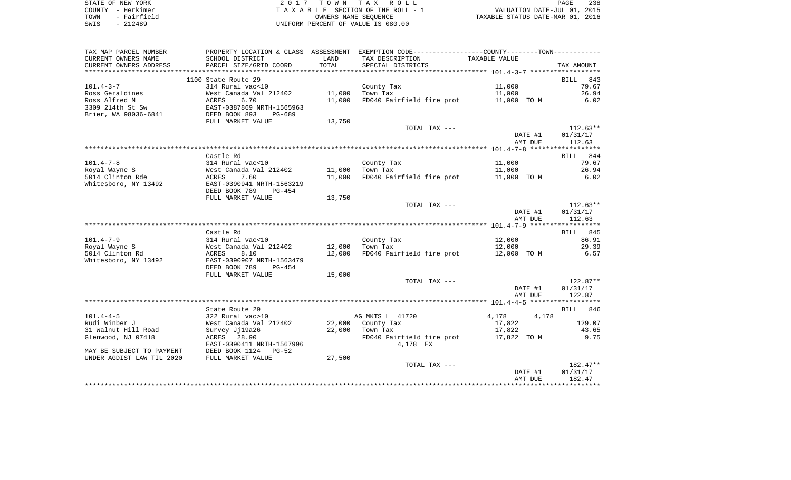| STATE OF NEW YORK   | 2017 TOWN TAX ROLL                 | 238<br>PAGE                      |
|---------------------|------------------------------------|----------------------------------|
| COUNTY - Herkimer   | TAXABLE SECTION OF THE ROLL - 1    | VALUATION DATE-JUL 01, 2015      |
| - Fairfield<br>TOWN | OWNERS NAME SEOUENCE               | TAXABLE STATUS DATE-MAR 01, 2016 |
| SWIS<br>$-212489$   | UNIFORM PERCENT OF VALUE IS 080.00 |                                  |

| TAX MAP PARCEL NUMBER     | PROPERTY LOCATION & CLASS ASSESSMENT EXEMPTION CODE----------------COUNTY--------TOWN---------- |        |                                       |                                       |                    |
|---------------------------|-------------------------------------------------------------------------------------------------|--------|---------------------------------------|---------------------------------------|--------------------|
| CURRENT OWNERS NAME       | SCHOOL DISTRICT                                                                                 | LAND   | TAX DESCRIPTION                       | TAXABLE VALUE                         |                    |
| CURRENT OWNERS ADDRESS    | PARCEL SIZE/GRID COORD                                                                          | TOTAL  | SPECIAL DISTRICTS                     |                                       | TAX AMOUNT         |
| *******************       | ****************************                                                                    |        |                                       |                                       |                    |
|                           | 1100 State Route 29                                                                             |        |                                       |                                       | <b>BILL</b><br>843 |
| $101.4 - 3 - 7$           | 314 Rural vac<10                                                                                |        | County Tax                            | 11,000                                | 79.67              |
| Ross Geraldines           | West Canada Val 212402                                                                          | 11,000 | Town Tax                              | 11,000                                | 26.94              |
| Ross Alfred M             | <b>ACRES</b><br>6.70                                                                            | 11,000 | FD040 Fairfield fire prot 11,000 TO M |                                       | 6.02               |
| 3309 214th St Sw          | EAST-0387869 I<br>DEED BOOK 893<br>EAST-0387869 NRTH-1565963                                    |        |                                       |                                       |                    |
| Brier, WA 98036-6841      | $PG-689$                                                                                        |        |                                       |                                       |                    |
|                           | FULL MARKET VALUE                                                                               | 13,750 |                                       |                                       |                    |
|                           |                                                                                                 |        | TOTAL TAX ---                         |                                       | $112.63**$         |
|                           |                                                                                                 |        |                                       | DATE #1                               | 01/31/17           |
|                           |                                                                                                 |        |                                       | AMT DUE                               | 112.63             |
|                           |                                                                                                 |        |                                       |                                       |                    |
|                           | Castle Rd                                                                                       |        |                                       |                                       | BILL 844           |
| $101.4 - 7 - 8$           | 314 Rural vac<10                                                                                |        | County Tax                            | 11,000                                | 79.67              |
| Royal Wayne S             | West Canada Val 212402                                                                          | 11,000 | Town Tax                              | 11,000                                | 26.94              |
| 5014 Clinton Rde          | ACRES<br>7.60                                                                                   | 11,000 |                                       | FD040 Fairfield fire prot 11,000 TO M | 6.02               |
| Whitesboro, NY 13492      | EAST-0390941 NRTH-1563219                                                                       |        |                                       |                                       |                    |
|                           | DEED BOOK 789<br>PG-454                                                                         |        |                                       |                                       |                    |
|                           | FULL MARKET VALUE                                                                               | 13,750 |                                       |                                       |                    |
|                           |                                                                                                 |        | TOTAL TAX ---                         |                                       | $112.63**$         |
|                           |                                                                                                 |        |                                       | DATE #1                               | 01/31/17           |
|                           |                                                                                                 |        |                                       | AMT DUE                               | 112.63             |
|                           |                                                                                                 |        |                                       |                                       |                    |
|                           | Castle Rd                                                                                       |        |                                       |                                       | BILL 845           |
| $101.4 - 7 - 9$           | 314 Rural vac<10                                                                                |        | County Tax                            | 12,000                                | 86.91              |
| Royal Wayne S             | West Canada Val 212402 12,000 Town Tax                                                          |        |                                       | 12,000                                | 29.39              |
| 5014 Clinton Rd           | 8.10<br>ACRES                                                                                   | 12,000 | FD040 Fairfield fire prot 12,000 TO M |                                       | 6.57               |
| Whitesboro, NY 13492      | EAST-0390907 NRTH-1563479                                                                       |        |                                       |                                       |                    |
|                           | DEED BOOK 789<br>PG-454                                                                         |        |                                       |                                       |                    |
|                           | FULL MARKET VALUE                                                                               | 15,000 |                                       |                                       |                    |
|                           |                                                                                                 |        | TOTAL TAX ---                         |                                       | $122.87**$         |
|                           |                                                                                                 |        |                                       | DATE #1                               | 01/31/17           |
|                           |                                                                                                 |        |                                       | AMT DUE                               | 122.87             |
|                           |                                                                                                 |        |                                       |                                       |                    |
|                           | State Route 29                                                                                  |        |                                       |                                       | BILL 846           |
| $101.4 - 4 - 5$           | 322 Rural vac>10                                                                                |        | AG MKTS L 41720                       | 4,178<br>4,178                        |                    |
| Rudi Winber J             | West Canada Val 212402                                                                          | 22,000 | County Tax                            | 17,822                                | 129.07             |
| 31 Walnut Hill Road       | Survey Jj19a26                                                                                  | 22,000 | Town Tax                              | 17,822                                | 43.65              |
| Glenwood, NJ 07418        | ACRES 28.90                                                                                     |        |                                       | FD040 Fairfield fire prot 17,822 TO M | 9.75               |
|                           | EAST-0390411 NRTH-1567996                                                                       |        | 4,178 EX                              |                                       |                    |
| MAY BE SUBJECT TO PAYMENT | DEED BOOK 1124<br>$PG-52$                                                                       |        |                                       |                                       |                    |
| UNDER AGDIST LAW TIL 2020 | FULL MARKET VALUE                                                                               | 27,500 |                                       |                                       |                    |
|                           |                                                                                                 |        | TOTAL TAX ---                         |                                       | 182.47**           |
|                           |                                                                                                 |        |                                       | DATE #1                               | 01/31/17           |
|                           |                                                                                                 |        |                                       | AMT DUE                               | 182.47             |
|                           |                                                                                                 |        |                                       |                                       |                    |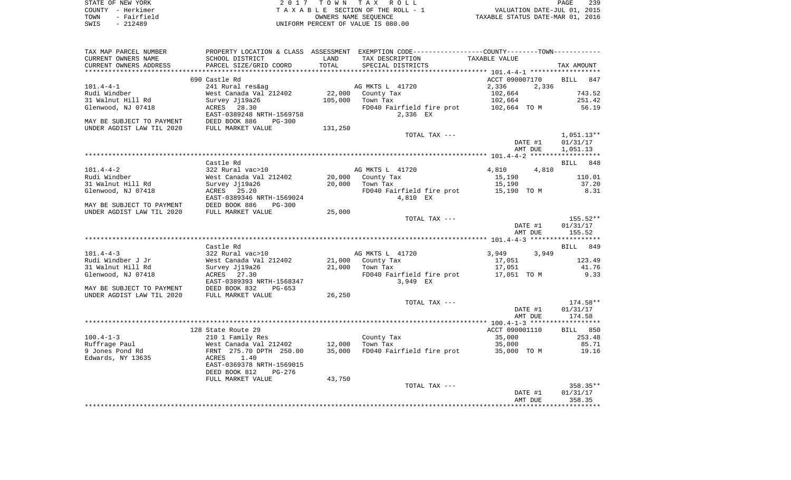| STATE OF NEW YORK   | 2017 TOWN TAX ROLL                 | 239<br><b>PAGE</b>               |
|---------------------|------------------------------------|----------------------------------|
| COUNTY - Herkimer   | TAXABLE SECTION OF THE ROLL - 1    | VALUATION DATE-JUL 01, 2015      |
| - Fairfield<br>TOWN | OWNERS NAME SEOUENCE               | TAXABLE STATUS DATE-MAR 01, 2016 |
| SWIS<br>- 212489    | UNIFORM PERCENT OF VALUE IS 080.00 |                                  |

| TAX MAP PARCEL NUMBER                                  |                                                                                                   |         | PROPERTY LOCATION & CLASS ASSESSMENT EXEMPTION CODE---------------COUNTY-------TOWN--------- |                |              |
|--------------------------------------------------------|---------------------------------------------------------------------------------------------------|---------|----------------------------------------------------------------------------------------------|----------------|--------------|
| CURRENT OWNERS NAME                                    | SCHOOL DISTRICT                                                                                   | LAND    | TAX DESCRIPTION                                                                              | TAXABLE VALUE  |              |
| CURRENT OWNERS ADDRESS                                 | PARCEL SIZE/GRID COORD                                                                            | TOTAL   | SPECIAL DISTRICTS                                                                            |                | TAX AMOUNT   |
|                                                        |                                                                                                   |         |                                                                                              |                |              |
|                                                        | 690 Castle Rd                                                                                     |         |                                                                                              | ACCT 090007170 | BILL 847     |
| $101.4 - 4 - 1$                                        | 241 Rural res&ag                                                                                  |         | AG MKTS L 41720                                                                              | 2,336<br>2,336 |              |
| Rudi Windber                                           | West Canada Val 212402                                                                            |         |                                                                                              | 102,664        | 743.52       |
| 31 Walnut Hill Rd                                      | Survey Jj19a26                                                                                    |         | 22,000 County Tax<br>105,000 Town Tax<br>$\mathbf{z}$                                        | 102,664        | 251.42       |
|                                                        |                                                                                                   |         |                                                                                              |                |              |
| Glenwood, NJ 07418                                     | ACRES 28.30                                                                                       |         | FD040 Fairfield fire prot 102,664 TO M                                                       |                | 56.19        |
|                                                        | EAST-0389248 NRTH-1569758                                                                         |         | 2,336 EX                                                                                     |                |              |
| MAY BE SUBJECT TO PAYMENT                              | DEED BOOK 886<br>$PG-300$                                                                         |         |                                                                                              |                |              |
| UNDER AGDIST LAW TIL 2020                              | FULL MARKET VALUE                                                                                 | 131,250 |                                                                                              |                |              |
|                                                        |                                                                                                   |         | TOTAL TAX ---                                                                                |                | $1,051.13**$ |
|                                                        |                                                                                                   |         |                                                                                              | DATE #1        | 01/31/17     |
|                                                        |                                                                                                   |         |                                                                                              | AMT DUE        | 1,051.13     |
|                                                        |                                                                                                   |         |                                                                                              |                |              |
|                                                        | Castle Rd                                                                                         |         |                                                                                              |                | BILL 848     |
| $101.4 - 4 - 2$                                        | 322 Rural vac>10                                                                                  |         | AG MKTS L 41720                                                                              | 4,810 4,810    |              |
| Rudi Windber                                           |                                                                                                   |         |                                                                                              | 15,190         | 110.01       |
| 31 Walnut Hill Rd                                      | Survey Jj19a26                                                                                    |         |                                                                                              | 15,190         | 37.20        |
| Glenwood, NJ 07418                                     | ACRES 25.20                                                                                       |         | FD040 Fairfield fire prot 15,190 TOM 8.31                                                    |                |              |
|                                                        | EAST-0389346 NRTH-1569024                                                                         |         | 4,810 EX                                                                                     |                |              |
|                                                        |                                                                                                   |         |                                                                                              |                |              |
| MAY BE SUBJECT TO PAYMENT<br>UNDER AGDIST LAW TIL 2020 | DEED BOOK 886<br>PG-300                                                                           |         |                                                                                              |                |              |
|                                                        | FULL MARKET VALUE                                                                                 | 25,000  |                                                                                              |                |              |
|                                                        |                                                                                                   |         | TOTAL TAX ---                                                                                |                | 155.52**     |
|                                                        |                                                                                                   |         |                                                                                              | DATE #1        | 01/31/17     |
|                                                        |                                                                                                   |         |                                                                                              | AMT DUE        | 155.52       |
|                                                        |                                                                                                   |         |                                                                                              |                |              |
|                                                        | Castle Rd                                                                                         |         |                                                                                              |                | BILL 849     |
| $101.4 - 4 - 3$                                        | 322 Rural vac>10                                                                                  |         | AG MKTS L 41720                                                                              | 3,949 3,949    |              |
| Rudi Windber J Jr                                      |                                                                                                   |         | $21,000$ County Tax                                                                          | 17,051         | 123.49       |
| 31 Walnut Hill Rd                                      | yzz Kurur vacsio<br>West Canada Val 212402<br>Survey Jj19a26<br>Survey Jj19a26                    |         | 21,000 Town Tax                                                                              | 17,051         | 41.76        |
| Glenwood, NJ 07418                                     | ACRES 27.30                                                                                       |         | FD040 Fairfield fire prot 17,051 TO M                                                        |                | 9.33         |
|                                                        | EAST-0389393 NRTH-1568347                                                                         |         | 3,949 EX                                                                                     |                |              |
| MAY BE SUBJECT TO PAYMENT                              | PG-653                                                                                            |         |                                                                                              |                |              |
| UNDER AGDIST LAW TIL 2020                              | DEED BOOK 832 I<br>FULL MARKET VALUE                                                              | 26,250  |                                                                                              |                |              |
|                                                        |                                                                                                   |         | TOTAL TAX ---                                                                                |                | $174.58**$   |
|                                                        |                                                                                                   |         |                                                                                              |                |              |
|                                                        |                                                                                                   |         |                                                                                              | DATE #1        | 01/31/17     |
|                                                        |                                                                                                   |         |                                                                                              | AMT DUE        | 174.58       |
|                                                        |                                                                                                   |         |                                                                                              |                |              |
|                                                        | 128 State Route 29                                                                                |         |                                                                                              | ACCT 090001110 | BILL 850     |
| $100.4 - 1 - 3$                                        |                                                                                                   |         | County Tax                                                                                   | 35,000         | 253.48       |
| Ruffrage Paul                                          |                                                                                                   |         | Town Tax                                                                                     | 35,000         | 85.71        |
| 9 Jones Pond Rd                                        |                                                                                                   |         | FD040 Fairfield fire prot 35,000 TO M                                                        |                | 19.16        |
| Edwards, NY 13635                                      | 210 1 Family Res<br>West Canada Val 212402 12,000<br>FRNT 275.70 DPTH 250.00 35,000<br>ACRES 1.40 |         |                                                                                              |                |              |
|                                                        | EAST-0369378 NRTH-1569015                                                                         |         |                                                                                              |                |              |
|                                                        | DEED BOOK 812<br>PG-276                                                                           |         |                                                                                              |                |              |
|                                                        | FULL MARKET VALUE                                                                                 | 43,750  |                                                                                              |                |              |
|                                                        |                                                                                                   |         | TOTAL TAX ---                                                                                |                | 358.35**     |
|                                                        |                                                                                                   |         |                                                                                              | DATE #1        | 01/31/17     |
|                                                        |                                                                                                   |         |                                                                                              | AMT DUE        | 358.35       |
|                                                        |                                                                                                   |         |                                                                                              |                |              |
|                                                        |                                                                                                   |         |                                                                                              |                |              |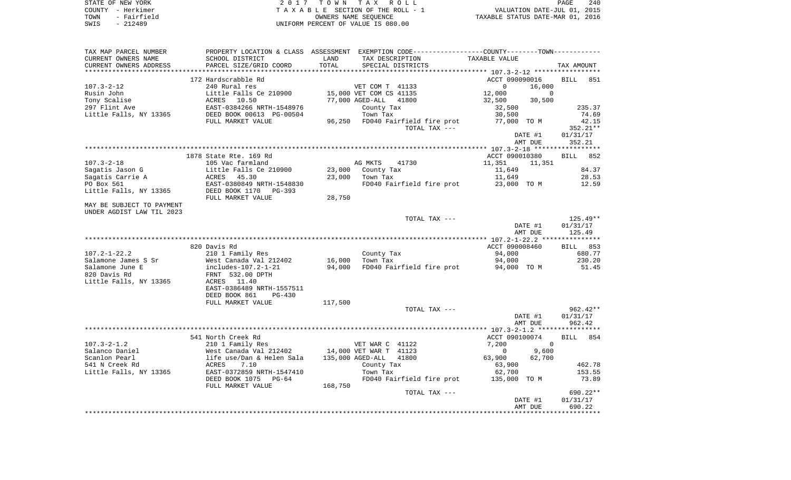| STATE OF NEW YORK   | 2017 TOWN TAX ROLL                 | 240<br>PAGE                      |
|---------------------|------------------------------------|----------------------------------|
| COUNTY - Herkimer   | TAXABLE SECTION OF THE ROLL - 1    | VALUATION DATE-JUL 01, 2015      |
| - Fairfield<br>TOWN | OWNERS NAME SEOUENCE               | TAXABLE STATUS DATE-MAR 01, 2016 |
| SWIS<br>$-212489$   | UNIFORM PERCENT OF VALUE IS 080.00 |                                  |

| TAX MAP PARCEL NUMBER     |                                                                                                                                                                  |         | PROPERTY LOCATION & CLASS ASSESSMENT EXEMPTION CODE----------------COUNTY--------TOWN----------- |                          |                    |
|---------------------------|------------------------------------------------------------------------------------------------------------------------------------------------------------------|---------|--------------------------------------------------------------------------------------------------|--------------------------|--------------------|
| CURRENT OWNERS NAME       | SCHOOL DISTRICT                                                                                                                                                  | LAND    | TAX DESCRIPTION                                                                                  | TAXABLE VALUE            |                    |
| CURRENT OWNERS ADDRESS    | PARCEL SIZE/GRID COORD                                                                                                                                           | TOTAL   | SPECIAL DISTRICTS                                                                                |                          | TAX AMOUNT         |
|                           |                                                                                                                                                                  |         |                                                                                                  |                          |                    |
|                           | 172 Hardscrabble Rd                                                                                                                                              |         |                                                                                                  | ACCT 090090016           | <b>BILL</b><br>851 |
| $107.3 - 2 - 12$          | 240 Rural res                                                                                                                                                    |         | VET COM T 41133                                                                                  | $\overline{0}$<br>16,000 |                    |
| Rusin John                | Little Falls Ce 210900                                                                                                                                           |         | 15,000 VET COM CS 41135                                                                          | 12,000<br>$\overline{0}$ |                    |
|                           |                                                                                                                                                                  |         | 77,000 AGED-ALL 41800                                                                            | 32,500<br>30,500         |                    |
|                           |                                                                                                                                                                  |         | County Tax                                                                                       | 32,500                   | 235.37             |
|                           |                                                                                                                                                                  |         | Town Tax                                                                                         | 30,500                   | 74.69              |
|                           | FULL MARKET VALUE                                                                                                                                                |         | 96,250 FD040 Fairfield fire prot                                                                 | 77,000 TO M              | 42.15              |
|                           |                                                                                                                                                                  |         | TOTAL TAX ---                                                                                    |                          | 352.21**           |
|                           |                                                                                                                                                                  |         |                                                                                                  |                          |                    |
|                           |                                                                                                                                                                  |         |                                                                                                  | DATE #1                  | 01/31/17           |
|                           |                                                                                                                                                                  |         |                                                                                                  | AMT DUE                  | 352.21             |
|                           |                                                                                                                                                                  |         |                                                                                                  |                          |                    |
|                           | 1878 State Rte. 169 Rd                                                                                                                                           |         |                                                                                                  | ACCT 090010380           | BILL 852           |
| $107.3 - 2 - 18$          | 105 Vac farmland                                                                                                                                                 |         | AG MKTS<br>41730                                                                                 | 11,351<br>11,351         |                    |
| Sagatis Jason G           | Little Falls Ce 210900                                                                                                                                           | 23,000  | County Tax                                                                                       | 11,649                   | 84.37              |
| Sagatis Carrie A          | ACRES 45.30                                                                                                                                                      |         | 23,000 Town Tax                                                                                  | 11,649                   | 28.53              |
| PO Box 561                | EAST-0380849 NRTH-1548830                                                                                                                                        |         | FD040 Fairfield fire prot 23,000 TO M                                                            |                          | 12.59              |
| Little Falls, NY 13365    | DEED BOOK 1170 PG-393                                                                                                                                            |         |                                                                                                  |                          |                    |
|                           | FULL MARKET VALUE                                                                                                                                                | 28,750  |                                                                                                  |                          |                    |
| MAY BE SUBJECT TO PAYMENT |                                                                                                                                                                  |         |                                                                                                  |                          |                    |
| UNDER AGDIST LAW TIL 2023 |                                                                                                                                                                  |         |                                                                                                  |                          |                    |
|                           |                                                                                                                                                                  |         | TOTAL TAX ---                                                                                    |                          | 125.49**           |
|                           |                                                                                                                                                                  |         |                                                                                                  | DATE #1                  | 01/31/17           |
|                           |                                                                                                                                                                  |         |                                                                                                  | AMT DUE                  | 125.49             |
|                           |                                                                                                                                                                  |         |                                                                                                  |                          |                    |
|                           | 820 Davis Rd                                                                                                                                                     |         |                                                                                                  | ACCT 090008460           | BILL 853           |
| $107.2 - 1 - 22.2$        | 210 1 Family Res                                                                                                                                                 |         | County Tax                                                                                       | 94,000                   | 680.77             |
| Salamone James S Sr       | West Canada Val 212402                                                                                                                                           | 16,000  | Town Tax                                                                                         | 94,000                   | 230.20             |
| Salamone June E           | includes-107.2-1-21                                                                                                                                              |         | 94,000 FD040 Fairfield fire prot                                                                 | 94,000 TO M              | 51.45              |
| 820 Davis Rd              | FRNT 532.00 DPTH                                                                                                                                                 |         |                                                                                                  |                          |                    |
| Little Falls, NY 13365    | ACRES 11.40                                                                                                                                                      |         |                                                                                                  |                          |                    |
|                           | EAST-0386489 NRTH-1557511                                                                                                                                        |         |                                                                                                  |                          |                    |
|                           | DEED BOOK 861<br>PG-430                                                                                                                                          |         |                                                                                                  |                          |                    |
|                           | FULL MARKET VALUE                                                                                                                                                | 117,500 |                                                                                                  |                          |                    |
|                           |                                                                                                                                                                  |         | TOTAL TAX ---                                                                                    |                          | $962.42**$         |
|                           |                                                                                                                                                                  |         |                                                                                                  | DATE #1                  | 01/31/17           |
|                           |                                                                                                                                                                  |         |                                                                                                  | AMT DUE                  | 962.42             |
|                           |                                                                                                                                                                  |         |                                                                                                  |                          |                    |
|                           |                                                                                                                                                                  |         |                                                                                                  |                          |                    |
|                           | 541 North Creek Rd                                                                                                                                               |         |                                                                                                  | ACCT 090100074           | BILL 854           |
| $107.3 - 2 - 1.2$         | 210 1 Family Res                                                                                                                                                 |         | VET WAR C 41122                                                                                  | 7,200<br>$\overline{0}$  |                    |
| Salanco Daniel            | West Canada Val 212402 14,000 VET WAR T 41123<br>1ife use/Dan & Helen Sala 135,000 AGED-ALL 41800<br>2CRES 7.10 County Tax<br>EAST-0372859 NRTH-1547410 Town Tax |         |                                                                                                  | 9,600<br>$\mathbf 0$     |                    |
| Scanlon Pearl             |                                                                                                                                                                  |         |                                                                                                  | 63,900<br>62,700         |                    |
| 541 N Creek Rd            |                                                                                                                                                                  |         | County Tax                                                                                       | 63,900                   | 462.78             |
| Little Falls, NY 13365    |                                                                                                                                                                  |         |                                                                                                  | 62,700                   | 153.55             |
|                           | DEED BOOK 1075 PG-64                                                                                                                                             |         | FD040 Fairfield fire prot 135,000 TO M                                                           |                          | 73.89              |
|                           | FULL MARKET VALUE                                                                                                                                                | 168,750 |                                                                                                  |                          |                    |
|                           |                                                                                                                                                                  |         | TOTAL TAX ---                                                                                    |                          | 690.22**           |
|                           |                                                                                                                                                                  |         |                                                                                                  | DATE #1                  | 01/31/17           |
|                           |                                                                                                                                                                  |         |                                                                                                  | AMT DUE                  | 690.22             |
|                           |                                                                                                                                                                  |         |                                                                                                  |                          |                    |
|                           |                                                                                                                                                                  |         |                                                                                                  |                          |                    |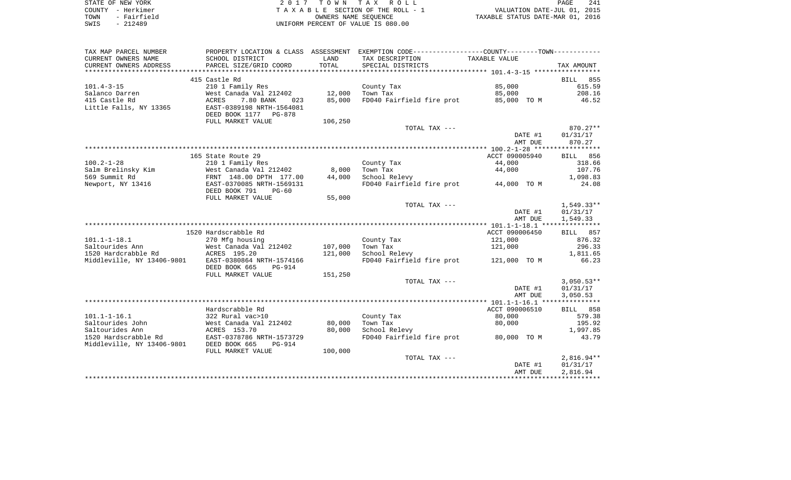| STATE OF NEW YORK   | 2017 TOWN TAX ROLL                 | 241<br>PAGE                      |
|---------------------|------------------------------------|----------------------------------|
| COUNTY - Herkimer   | TAXABLE SECTION OF THE ROLL - 1    | VALUATION DATE-JUL 01, 2015      |
| - Fairfield<br>TOWN | OWNERS NAME SEOUENCE               | TAXABLE STATUS DATE-MAR 01, 2016 |
| SWIS<br>$-212489$   | UNIFORM PERCENT OF VALUE IS 080.00 |                                  |

| TAX MAP PARCEL NUMBER                 | PROPERTY LOCATION & CLASS ASSESSMENT |         | EXEMPTION CODE-----------------COUNTY-------TOWN----------- |                |                    |
|---------------------------------------|--------------------------------------|---------|-------------------------------------------------------------|----------------|--------------------|
| CURRENT OWNERS NAME                   | SCHOOL DISTRICT                      | LAND    | TAX DESCRIPTION                                             | TAXABLE VALUE  |                    |
| CURRENT OWNERS ADDRESS                | PARCEL SIZE/GRID COORD               | TOTAL   | SPECIAL DISTRICTS                                           |                | TAX AMOUNT         |
|                                       |                                      |         |                                                             |                |                    |
|                                       | 415 Castle Rd                        |         |                                                             |                | <b>BILL</b><br>855 |
| $101.4 - 3 - 15$                      | 210 1 Family Res                     |         | County Tax                                                  | 85,000         | 615.59             |
| Salanco Darren                        | West Canada Val 212402               | 12,000  | Town Tax                                                    | 85,000         | 208.16             |
| 415 Castle Rd                         | 7.80 BANK<br>ACRES<br>023            | 85,000  | FD040 Fairfield fire prot                                   | 85,000 TO M    | 46.52              |
| Little Falls, NY 13365                | EAST-0389198 NRTH-1564081            |         |                                                             |                |                    |
|                                       | DEED BOOK 1177 PG-878                |         |                                                             |                |                    |
|                                       | FULL MARKET VALUE                    | 106,250 |                                                             |                |                    |
|                                       |                                      |         | TOTAL TAX ---                                               |                | 870.27**           |
|                                       |                                      |         |                                                             | DATE #1        | 01/31/17           |
|                                       |                                      |         |                                                             | AMT DUE        | 870.27             |
|                                       |                                      |         |                                                             |                |                    |
|                                       | 165 State Route 29                   |         |                                                             | ACCT 090005940 | BILL 856           |
| $100.2 - 1 - 28$                      | 210 1 Family Res                     |         | County Tax                                                  | 44,000         | 318.66             |
| Salm Brelinsky Kim                    | West Canada Val 212402               | 8,000   | Town Tax                                                    | 44,000         | 107.76             |
| 569 Summit Rd                         | FRNT 148.00 DPTH 177.00              | 44,000  | School Relevy                                               |                | 1,098.83           |
| Newport, NY 13416                     | EAST-0370085 NRTH-1569131            |         | FD040 Fairfield fire prot 44,000 TO M                       |                | 24.08              |
|                                       | DEED BOOK 791<br>$PG-60$             |         |                                                             |                |                    |
|                                       |                                      |         |                                                             |                |                    |
|                                       | FULL MARKET VALUE                    | 55,000  | TOTAL TAX ---                                               |                | $1,549.33**$       |
|                                       |                                      |         |                                                             |                |                    |
|                                       |                                      |         |                                                             | DATE #1        | 01/31/17           |
|                                       |                                      |         |                                                             | AMT DUE        | 1,549.33           |
|                                       | 1520 Hardscrabble Rd                 |         |                                                             |                |                    |
|                                       |                                      |         |                                                             | ACCT 090006450 | 857<br>BILL        |
| $101.1 - 1 - 18.1$<br>Saltourides Ann | 270 Mfg housing                      | 107,000 | County Tax                                                  | 121,000        | 876.32             |
|                                       | West Canada Val 212402               |         | Town Tax                                                    | 121,000        | 296.33             |
| 1520 Hardcrabble Rd                   | ACRES 195.20                         | 121,000 | School Relevy                                               |                | 1,811.65           |
| Middleville, NY 13406-9801            | EAST-0380864 NRTH-1574166            |         | FD040 Fairfield fire prot                                   | 121,000 TO M   | 66.23              |
|                                       | DEED BOOK 665<br><b>PG-914</b>       |         |                                                             |                |                    |
|                                       | FULL MARKET VALUE                    | 151,250 |                                                             |                |                    |
|                                       |                                      |         | TOTAL TAX ---                                               |                | $3,050.53**$       |
|                                       |                                      |         |                                                             | DATE #1        | 01/31/17           |
|                                       |                                      |         |                                                             | AMT DUE        | 3,050.53           |
|                                       |                                      |         |                                                             |                |                    |
|                                       | Hardscrabble Rd                      |         |                                                             | ACCT 090006510 | BILL 858           |
| $101.1 - 1 - 16.1$                    | 322 Rural vac>10                     |         | County Tax                                                  | 80,000         | 579.38             |
| Saltourides John                      | West Canada Val 212402               | 80,000  | Town Tax                                                    | 80,000         | 195.92             |
| Saltourides Ann                       | ACRES 153.70                         | 80,000  | School Relevy                                               |                | 1,997.85           |
| 1520 Hardscrabble Rd                  | EAST-0378786 NRTH-1573729            |         | FD040 Fairfield fire prot 80,000 TO M                       |                | 43.79              |
| Middleville, NY 13406-9801            | DEED BOOK 665<br>PG-914              |         |                                                             |                |                    |
|                                       | FULL MARKET VALUE                    | 100,000 |                                                             |                |                    |
|                                       |                                      |         | TOTAL TAX ---                                               |                | $2,816.94**$       |
|                                       |                                      |         |                                                             | DATE #1        | 01/31/17           |
|                                       |                                      |         |                                                             | AMT DUE        | 2,816.94           |
|                                       |                                      |         |                                                             |                |                    |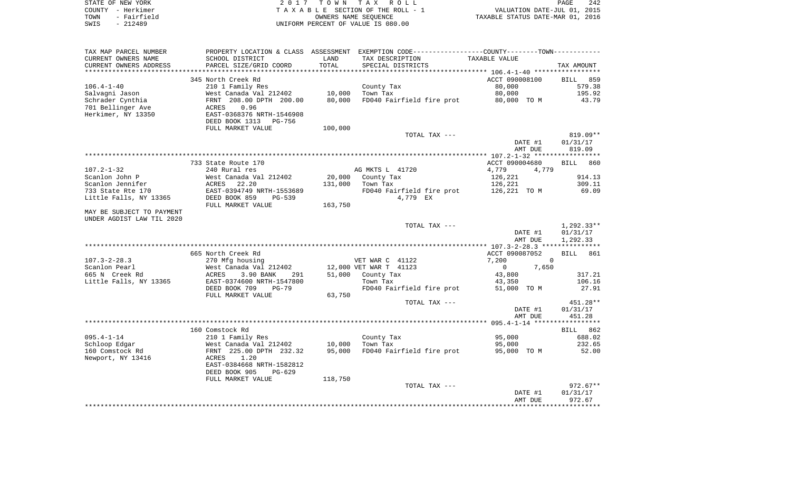| STATE OF NEW YORK   | 2017 TOWN TAX ROLL                 | 242<br>PAGE                      |
|---------------------|------------------------------------|----------------------------------|
| COUNTY - Herkimer   | TAXABLE SECTION OF THE ROLL - 1    | VALUATION DATE-JUL 01, 2015      |
| - Fairfield<br>TOWN | OWNERS NAME SEOUENCE               | TAXABLE STATUS DATE-MAR 01, 2016 |
| SWIS<br>$-212489$   | UNIFORM PERCENT OF VALUE IS 080.00 |                                  |

| TAX MAP PARCEL NUMBER     |                                                       |         | PROPERTY LOCATION & CLASS ASSESSMENT EXEMPTION CODE----------------COUNTY-------TOWN---------- |                       |                    |
|---------------------------|-------------------------------------------------------|---------|------------------------------------------------------------------------------------------------|-----------------------|--------------------|
| CURRENT OWNERS NAME       | SCHOOL DISTRICT                                       | LAND    | TAX DESCRIPTION                                                                                | TAXABLE VALUE         |                    |
| CURRENT OWNERS ADDRESS    | PARCEL SIZE/GRID COORD                                | TOTAL   | SPECIAL DISTRICTS                                                                              |                       | TAX AMOUNT         |
| **********************    |                                                       |         |                                                                                                |                       |                    |
|                           | 345 North Creek Rd                                    |         |                                                                                                | ACCT 090008100        | 859<br><b>BILL</b> |
| $106.4 - 1 - 40$          | 210 1 Family Res                                      |         | County Tax                                                                                     | 80,000                | 579.38             |
| Salvagni Jason            | West Canada Val 212402                                | 10,000  | Town Tax                                                                                       | 80,000                | 195.92             |
| Schrader Cynthia          | FRNT 208.00 DPTH 200.00                               | 80,000  | FD040 Fairfield fire prot                                                                      | 80,000 TO M           | 43.79              |
| 701 Bellinger Ave         | 0.96<br>ACRES                                         |         |                                                                                                |                       |                    |
| Herkimer, NY 13350        | EAST-0368376 NRTH-1546908                             |         |                                                                                                |                       |                    |
|                           | DEED BOOK 1313<br>PG-756                              |         |                                                                                                |                       |                    |
|                           | FULL MARKET VALUE                                     | 100,000 | TOTAL TAX ---                                                                                  |                       | 819.09**           |
|                           |                                                       |         |                                                                                                | DATE #1               | 01/31/17           |
|                           |                                                       |         |                                                                                                | AMT DUE               | 819.09             |
|                           |                                                       |         |                                                                                                |                       |                    |
|                           | 733 State Route 170                                   |         |                                                                                                | ACCT 090004680        | BILL 860           |
| $107.2 - 1 - 32$          | 240 Rural res                                         |         | AG MKTS L 41720                                                                                | 4,779<br>4,779        |                    |
| Scanlon John P            | West Canada Val 212402                                | 20,000  | County Tax                                                                                     | 126,221               | 914.13             |
| Scanlon Jennifer          | 22.20<br>ACRES                                        | 131,000 | Town Tax                                                                                       | 126,221               | 309.11             |
| 733 State Rte 170         | EAST-0394749 NRTH-1553689                             |         | FD040 Fairfield fire prot                                                                      | 126,221 TO M          | 69.09              |
| Little Falls, NY 13365    | DEED BOOK 859<br>PG-539                               |         | 4,779 EX                                                                                       |                       |                    |
|                           | FULL MARKET VALUE                                     | 163,750 |                                                                                                |                       |                    |
| MAY BE SUBJECT TO PAYMENT |                                                       |         |                                                                                                |                       |                    |
| UNDER AGDIST LAW TIL 2020 |                                                       |         |                                                                                                |                       |                    |
|                           |                                                       |         | TOTAL TAX ---                                                                                  |                       | $1,292.33**$       |
|                           |                                                       |         |                                                                                                | DATE #1               | 01/31/17           |
|                           |                                                       |         |                                                                                                | AMT DUE               | 1,292.33           |
|                           |                                                       |         |                                                                                                |                       |                    |
|                           | 665 North Creek Rd                                    |         |                                                                                                | ACCT 090087052        | <b>BILL</b><br>861 |
| $107.3 - 2 - 28.3$        | 270 Mfg housing                                       |         | VET WAR C 41122                                                                                | 7,200<br>$\mathbf 0$  |                    |
| Scanlon Pearl             | West Canada Val 212402                                |         | 12,000 VET WAR T 41123                                                                         | 0<br>7,650            |                    |
| 665 N Creek Rd            | ACRES<br>3.90 BANK<br>291                             | 51,000  | County Tax<br>Town Tax                                                                         | 43,800                | 317.21<br>106.16   |
| Little Falls, NY 13365    | EAST-0374600 NRTH-1547800<br>DEED BOOK 709<br>$PG-79$ |         | FD040 Fairfield fire prot                                                                      | 43,350<br>51,000 TO M | 27.91              |
|                           | FULL MARKET VALUE                                     | 63,750  |                                                                                                |                       |                    |
|                           |                                                       |         | TOTAL TAX ---                                                                                  |                       | 451.28**           |
|                           |                                                       |         |                                                                                                | DATE #1               | 01/31/17           |
|                           |                                                       |         |                                                                                                | AMT DUE               | 451.28             |
|                           |                                                       |         |                                                                                                |                       |                    |
|                           | 160 Comstock Rd                                       |         |                                                                                                |                       | BILL 862           |
| $095.4 - 1 - 14$          | 210 1 Family Res                                      |         | County Tax                                                                                     | 95,000                | 688.02             |
| Schloop Edgar             | West Canada Val 212402                                | 10,000  | Town Tax                                                                                       | 95,000                | 232.65             |
| 160 Comstock Rd           | FRNT 225.00 DPTH 232.32                               | 95,000  | FD040 Fairfield fire prot                                                                      | 95,000 TO M           | 52.00              |
| Newport, NY 13416         | ACRES<br>1.20                                         |         |                                                                                                |                       |                    |
|                           | EAST-0384668 NRTH-1582812                             |         |                                                                                                |                       |                    |
|                           | DEED BOOK 905<br>$PG-629$                             |         |                                                                                                |                       |                    |
|                           | FULL MARKET VALUE                                     | 118,750 |                                                                                                |                       |                    |
|                           |                                                       |         | TOTAL TAX ---                                                                                  |                       | $972.67**$         |
|                           |                                                       |         |                                                                                                | DATE #1               | 01/31/17           |
|                           |                                                       |         |                                                                                                | AMT DUE               | 972.67             |
|                           |                                                       |         |                                                                                                |                       |                    |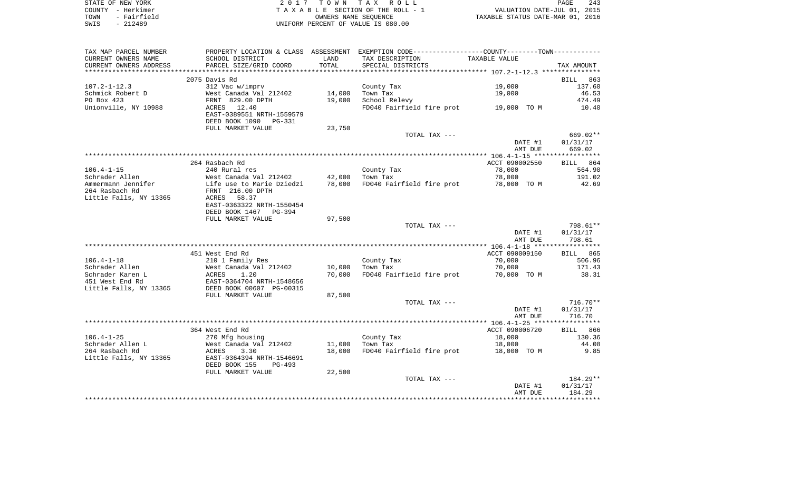| STATE OF NEW YORK   | 2017 TOWN TAX ROLL                 | 243<br>PAGE                      |
|---------------------|------------------------------------|----------------------------------|
| COUNTY - Herkimer   | TAXABLE SECTION OF THE ROLL - 1    | VALUATION DATE-JUL 01, 2015      |
| - Fairfield<br>TOWN | OWNERS NAME SEOUENCE               | TAXABLE STATUS DATE-MAR 01, 2016 |
| $-212489$<br>SWIS   | UNIFORM PERCENT OF VALUE IS 080.00 |                                  |

| TAX MAP PARCEL NUMBER  |                                 |        | PROPERTY LOCATION & CLASS ASSESSMENT EXEMPTION CODE---------------COUNTY-------TOWN---------- |                    |                      |
|------------------------|---------------------------------|--------|-----------------------------------------------------------------------------------------------|--------------------|----------------------|
| CURRENT OWNERS NAME    | SCHOOL DISTRICT                 | LAND   | TAX DESCRIPTION                                                                               | TAXABLE VALUE      |                      |
| CURRENT OWNERS ADDRESS | PARCEL SIZE/GRID COORD          | TOTAL  | SPECIAL DISTRICTS                                                                             |                    | TAX AMOUNT           |
|                        |                                 |        |                                                                                               |                    |                      |
|                        | 2075 Davis Rd                   |        |                                                                                               |                    | 863<br>BILL          |
| $107.2 - 1 - 12.3$     | 312 Vac w/imprv                 |        | County Tax                                                                                    | 19,000             | 137.60               |
| Schmick Robert D       | West Canada Val 212402          | 14,000 | Town Tax                                                                                      | 19,000             | 46.53                |
| PO Box 423             | FRNT 829.00 DPTH                | 19,000 | School Relevy                                                                                 |                    | 474.49               |
| Unionville, NY 10988   | 12.40<br>ACRES                  |        | FD040 Fairfield fire prot                                                                     | 19,000 TO M        | 10.40                |
|                        | EAST-0389551 NRTH-1559579       |        |                                                                                               |                    |                      |
|                        | DEED BOOK 1090<br><b>PG-331</b> |        |                                                                                               |                    |                      |
|                        | FULL MARKET VALUE               | 23,750 |                                                                                               |                    |                      |
|                        |                                 |        | TOTAL TAX ---                                                                                 |                    | 669.02**<br>01/31/17 |
|                        |                                 |        |                                                                                               | DATE #1<br>AMT DUE | 669.02               |
|                        |                                 |        |                                                                                               |                    |                      |
|                        | 264 Rasbach Rd                  |        |                                                                                               | ACCT 090002550     | BILL 864             |
| $106.4 - 1 - 15$       | 240 Rural res                   |        | County Tax                                                                                    | 78,000             | 564.90               |
| Schrader Allen         | West Canada Val 212402          | 42,000 | Town Tax                                                                                      | 78,000             | 191.02               |
| Ammermann Jennifer     | Life use to Marie Dziedzi       | 78,000 | FD040 Fairfield fire prot                                                                     | 78,000 TO M        | 42.69                |
| 264 Rasbach Rd         | FRNT 216.00 DPTH                |        |                                                                                               |                    |                      |
| Little Falls, NY 13365 | <b>ACRES</b><br>58.37           |        |                                                                                               |                    |                      |
|                        | EAST-0363322 NRTH-1550454       |        |                                                                                               |                    |                      |
|                        | DEED BOOK 1467<br>PG-394        |        |                                                                                               |                    |                      |
|                        | FULL MARKET VALUE               | 97,500 |                                                                                               |                    |                      |
|                        |                                 |        | TOTAL TAX ---                                                                                 |                    | 798.61**             |
|                        |                                 |        |                                                                                               | DATE #1            | 01/31/17             |
|                        |                                 |        |                                                                                               | AMT DUE            | 798.61               |
|                        |                                 |        |                                                                                               |                    |                      |
|                        | 451 West End Rd                 |        |                                                                                               | ACCT 090009150     | 865<br>BILL          |
| $106.4 - 1 - 18$       | 210 1 Family Res                |        | County Tax                                                                                    | 70,000             | 506.96               |
| Schrader Allen         | West Canada Val 212402          | 10,000 | Town Tax                                                                                      | 70,000             | 171.43               |
| Schrader Karen L       | ACRES<br>1.20                   | 70,000 | FD040 Fairfield fire prot                                                                     | 70,000 TO M        | 38.31                |
| 451 West End Rd        | EAST-0364704 NRTH-1548656       |        |                                                                                               |                    |                      |
| Little Falls, NY 13365 | DEED BOOK 00607 PG-00315        |        |                                                                                               |                    |                      |
|                        | FULL MARKET VALUE               | 87,500 | TOTAL TAX ---                                                                                 |                    | $716.70**$           |
|                        |                                 |        |                                                                                               | DATE #1            | 01/31/17             |
|                        |                                 |        |                                                                                               | AMT DUE            | 716.70               |
|                        |                                 |        |                                                                                               |                    |                      |
|                        | 364 West End Rd                 |        |                                                                                               | ACCT 090006720     | BILL 866             |
| $106.4 - 1 - 25$       | 270 Mfg housing                 |        | County Tax                                                                                    | 18,000             | 130.36               |
| Schrader Allen L       | West Canada Val 212402          | 11,000 | Town Tax                                                                                      | 18,000             | 44.08                |
| 264 Rasbach Rd         | 3.30<br>ACRES                   | 18,000 | FD040 Fairfield fire prot                                                                     | 18,000 TO M        | 9.85                 |
| Little Falls, NY 13365 | EAST-0364394 NRTH-1546691       |        |                                                                                               |                    |                      |
|                        | DEED BOOK 155<br>PG-493         |        |                                                                                               |                    |                      |
|                        | FULL MARKET VALUE               | 22,500 |                                                                                               |                    |                      |
|                        |                                 |        | TOTAL TAX ---                                                                                 |                    | 184.29**             |
|                        |                                 |        |                                                                                               | DATE #1            | 01/31/17             |
|                        |                                 |        |                                                                                               | AMT DUE            | 184.29               |
|                        |                                 |        |                                                                                               |                    |                      |
|                        |                                 |        |                                                                                               |                    |                      |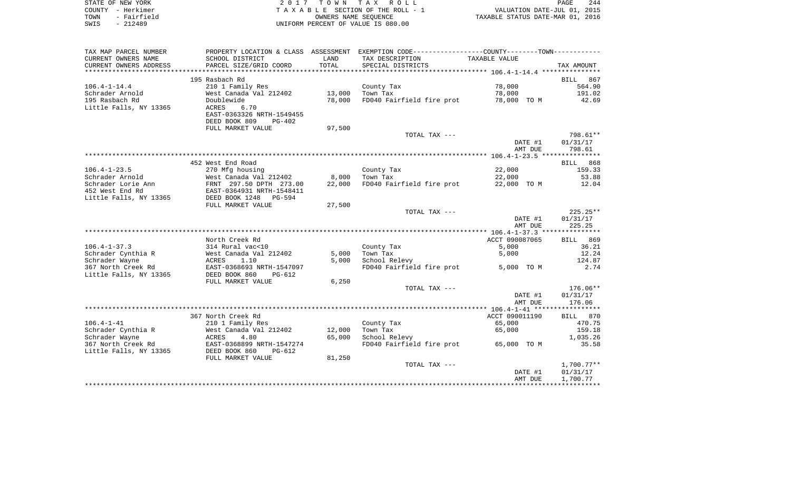| STATE OF NEW YORK   | 2017 TOWN TAX ROLL                 | 244<br>PAGE                      |
|---------------------|------------------------------------|----------------------------------|
| COUNTY – Herkimer   | TAXABLE SECTION OF THE ROLL - 1    | VALUATION DATE-JUL 01, 2015      |
| - Fairfield<br>TOWN | OWNERS NAME SEOUENCE               | TAXABLE STATUS DATE-MAR 01, 2016 |
| SWIS<br>- 212489    | UNIFORM PERCENT OF VALUE IS 080.00 |                                  |

| TAX MAP PARCEL NUMBER  | PROPERTY LOCATION & CLASS ASSESSMENT |        | EXEMPTION CODE-----------------COUNTY--------TOWN----------- |                |                    |
|------------------------|--------------------------------------|--------|--------------------------------------------------------------|----------------|--------------------|
| CURRENT OWNERS NAME    | SCHOOL DISTRICT                      | LAND   | TAX DESCRIPTION                                              | TAXABLE VALUE  |                    |
| CURRENT OWNERS ADDRESS | PARCEL SIZE/GRID COORD               | TOTAL  | SPECIAL DISTRICTS                                            |                | TAX AMOUNT         |
| ********************** |                                      |        |                                                              |                |                    |
|                        | 195 Rasbach Rd                       |        |                                                              |                | BILL<br>867        |
| $106.4 - 1 - 14.4$     | 210 1 Family Res                     |        | County Tax                                                   | 78,000         | 564.90             |
| Schrader Arnold        | West Canada Val 212402               | 13,000 | Town Tax                                                     | 78,000         | 191.02             |
| 195 Rasbach Rd         | Doublewide                           | 78,000 | FD040 Fairfield fire prot                                    | 78,000 TO M    | 42.69              |
| Little Falls, NY 13365 | <b>ACRES</b><br>6.70                 |        |                                                              |                |                    |
|                        | EAST-0363326 NRTH-1549455            |        |                                                              |                |                    |
|                        | DEED BOOK 809<br>$PG-402$            |        |                                                              |                |                    |
|                        | FULL MARKET VALUE                    | 97,500 |                                                              |                |                    |
|                        |                                      |        | TOTAL TAX ---                                                |                | 798.61**           |
|                        |                                      |        |                                                              | DATE #1        | 01/31/17           |
|                        |                                      |        |                                                              | AMT DUE        | 798.61             |
|                        |                                      |        |                                                              |                |                    |
|                        | 452 West End Road                    |        |                                                              |                | 868<br><b>BILL</b> |
| $106.4 - 1 - 23.5$     | 270 Mfg housing                      |        | County Tax                                                   | 22,000         | 159.33             |
| Schrader Arnold        | West Canada Val 212402               | 8,000  | Town Tax                                                     | 22,000         | 53.88              |
| Schrader Lorie Ann     | FRNT 297.50 DPTH 273.00              | 22,000 | FD040 Fairfield fire prot                                    | 22,000 TO M    | 12.04              |
| 452 West End Rd        | EAST-0364931 NRTH-1548411            |        |                                                              |                |                    |
| Little Falls, NY 13365 | DEED BOOK 1248<br>$PG - 594$         |        |                                                              |                |                    |
|                        | FULL MARKET VALUE                    | 27,500 |                                                              |                |                    |
|                        |                                      |        | TOTAL TAX ---                                                |                | $225.25**$         |
|                        |                                      |        |                                                              | DATE #1        | 01/31/17           |
|                        |                                      |        |                                                              | AMT DUE        | 225.25             |
|                        |                                      |        |                                                              |                |                    |
|                        | North Creek Rd                       |        |                                                              | ACCT 090087065 | BILL 869           |
| $106.4 - 1 - 37.3$     | 314 Rural vac<10                     |        | County Tax                                                   | 5,000          | 36.21              |
| Schrader Cynthia R     | West Canada Val 212402               | 5,000  | Town Tax                                                     | 5,000          | 12.24              |
| Schrader Wayne         | <b>ACRES</b><br>1.10                 | 5,000  | School Relevy                                                |                | 124.87             |
| 367 North Creek Rd     | EAST-0368693 NRTH-1547097            |        | FD040 Fairfield fire prot                                    | 5,000 TO M     | 2.74               |
| Little Falls, NY 13365 | DEED BOOK 860<br>$PG-612$            |        |                                                              |                |                    |
|                        | FULL MARKET VALUE                    | 6,250  |                                                              |                |                    |
|                        |                                      |        | TOTAL TAX ---                                                |                | $176.06**$         |
|                        |                                      |        |                                                              | DATE #1        | 01/31/17           |
|                        |                                      |        |                                                              | AMT DUE        | 176.06             |
|                        |                                      |        |                                                              |                |                    |
|                        | 367 North Creek Rd                   |        |                                                              | ACCT 090011190 | BILL 870           |
| $106.4 - 1 - 41$       | 210 1 Family Res                     |        | County Tax                                                   | 65,000         | 470.75             |
| Schrader Cynthia R     | West Canada Val 212402               | 12,000 | Town Tax                                                     | 65,000         | 159.18             |
| Schrader Wayne         | ACRES<br>4.80                        | 65,000 | School Relevy                                                |                | 1,035.26           |
| 367 North Creek Rd     | EAST-0368899 NRTH-1547274            |        | FD040 Fairfield fire prot                                    | 65,000 TO M    | 35.58              |
| Little Falls, NY 13365 | DEED BOOK 860<br>PG-612              |        |                                                              |                |                    |
|                        | FULL MARKET VALUE                    | 81,250 |                                                              |                |                    |
|                        |                                      |        | TOTAL TAX ---                                                |                | $1,700.77**$       |
|                        |                                      |        |                                                              | DATE #1        | 01/31/17           |
|                        |                                      |        |                                                              | AMT DUE        | 1,700.77           |
|                        |                                      |        |                                                              |                |                    |
|                        |                                      |        |                                                              |                |                    |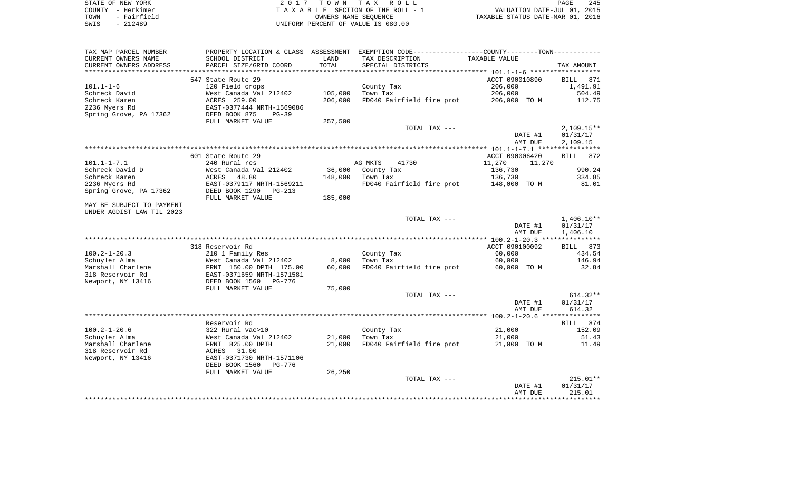| STATE OF NEW YORK   | 2017 TOWN TAX ROLL                 | 245<br>PAGE                      |
|---------------------|------------------------------------|----------------------------------|
| COUNTY - Herkimer   | TAXABLE SECTION OF THE ROLL - 1    | VALUATION DATE-JUL 01, 2015      |
| - Fairfield<br>TOWN | OWNERS NAME SEOUENCE               | TAXABLE STATUS DATE-MAR 01, 2016 |
| $-212489$<br>SWIS   | UNIFORM PERCENT OF VALUE IS 080.00 |                                  |

| TAX MAP PARCEL NUMBER     | PROPERTY LOCATION & CLASS ASSESSMENT |         | EXEMPTION CODE-----------------COUNTY--------TOWN----------- |                  |                    |
|---------------------------|--------------------------------------|---------|--------------------------------------------------------------|------------------|--------------------|
| CURRENT OWNERS NAME       | SCHOOL DISTRICT                      | LAND    | TAX DESCRIPTION                                              | TAXABLE VALUE    |                    |
| CURRENT OWNERS ADDRESS    | PARCEL SIZE/GRID COORD               | TOTAL   | SPECIAL DISTRICTS                                            |                  | TAX AMOUNT         |
|                           |                                      |         |                                                              |                  |                    |
|                           | 547 State Route 29                   |         |                                                              | ACCT 090010890   | <b>BILL</b><br>871 |
| $101.1 - 1 - 6$           | 120 Field crops                      |         | County Tax                                                   | 206,000          | 1,491.91           |
| Schreck David             | West Canada Val 212402               | 105,000 | Town Tax                                                     | 206,000          | 504.49             |
| Schreck Karen             | ACRES 259.00                         | 206,000 | FD040 Fairfield fire prot                                    | 206,000 TO M     | 112.75             |
| 2236 Myers Rd             | EAST-0377444 NRTH-1569086            |         |                                                              |                  |                    |
| Spring Grove, PA 17362    | DEED BOOK 875<br>$PG-39$             |         |                                                              |                  |                    |
|                           | FULL MARKET VALUE                    | 257,500 |                                                              |                  |                    |
|                           |                                      |         | TOTAL TAX ---                                                |                  | $2,109.15**$       |
|                           |                                      |         |                                                              | DATE #1          | 01/31/17           |
|                           |                                      |         |                                                              | AMT DUE          | 2,109.15           |
|                           |                                      |         |                                                              |                  |                    |
|                           | 601 State Route 29                   |         |                                                              | ACCT 090006420   | <b>BILL</b><br>872 |
| $101.1 - 1 - 7.1$         | 240 Rural res                        |         | AG MKTS<br>41730                                             | 11,270<br>11,270 |                    |
| Schreck David D           | West Canada Val 212402               | 36,000  | County Tax                                                   | 136,730          | 990.24             |
| Schreck Karen             | ACRES<br>48.80                       | 148,000 | Town Tax                                                     | 136,730          | 334.85             |
| 2236 Myers Rd             | EAST-0379117 NRTH-1569211            |         | FD040 Fairfield fire prot                                    | 148,000 TO M     | 81.01              |
| Spring Grove, PA 17362    | DEED BOOK 1290<br>$PG-213$           |         |                                                              |                  |                    |
|                           | FULL MARKET VALUE                    | 185,000 |                                                              |                  |                    |
| MAY BE SUBJECT TO PAYMENT |                                      |         |                                                              |                  |                    |
| UNDER AGDIST LAW TIL 2023 |                                      |         |                                                              |                  |                    |
|                           |                                      |         | TOTAL TAX ---                                                |                  | $1,406.10**$       |
|                           |                                      |         |                                                              | DATE #1          | 01/31/17           |
|                           |                                      |         |                                                              | AMT DUE          | 1,406.10           |
|                           |                                      |         |                                                              |                  |                    |
|                           | 318 Reservoir Rd                     |         |                                                              | ACCT 090100092   | BILL 873           |
| $100.2 - 1 - 20.3$        | 210 1 Family Res                     |         | County Tax                                                   | 60,000           | 434.54             |
| Schuyler Alma             | West Canada Val 212402               | 8,000   | Town Tax                                                     | 60,000           | 146.94             |
| Marshall Charlene         | FRNT 150.00 DPTH 175.00              | 60,000  | FD040 Fairfield fire prot                                    | 60,000 TO M      | 32.84              |
| 318 Reservoir Rd          | EAST-0371659 NRTH-1571581            |         |                                                              |                  |                    |
| Newport, NY 13416         | DEED BOOK 1560<br>PG-776             |         |                                                              |                  |                    |
|                           | FULL MARKET VALUE                    | 75,000  |                                                              |                  |                    |
|                           |                                      |         | TOTAL TAX ---                                                |                  | $614.32**$         |
|                           |                                      |         |                                                              | DATE #1          | 01/31/17           |
|                           |                                      |         |                                                              | AMT DUE          | 614.32             |
|                           |                                      |         |                                                              |                  |                    |
|                           | Reservoir Rd                         |         |                                                              |                  | 874<br>BILL        |
| $100.2 - 1 - 20.6$        | 322 Rural vac>10                     |         | County Tax                                                   | 21,000           | 152.09             |
| Schuyler Alma             | West Canada Val 212402               | 21,000  | Town Tax                                                     | 21,000           | 51.43              |
| Marshall Charlene         | FRNT 825.00 DPTH                     | 21,000  | FD040 Fairfield fire prot                                    | 21,000 TO M      | 11.49              |
| 318 Reservoir Rd          | ACRES<br>31.00                       |         |                                                              |                  |                    |
| Newport, NY 13416         | EAST-0371730 NRTH-1571106            |         |                                                              |                  |                    |
|                           | DEED BOOK 1560<br><b>PG-776</b>      |         |                                                              |                  |                    |
|                           | FULL MARKET VALUE                    | 26,250  |                                                              |                  |                    |
|                           |                                      |         | TOTAL TAX ---                                                |                  | $215.01**$         |
|                           |                                      |         |                                                              | DATE #1          | 01/31/17           |
|                           |                                      |         |                                                              | AMT DUE          | 215.01             |
|                           |                                      |         |                                                              |                  |                    |
|                           |                                      |         |                                                              |                  |                    |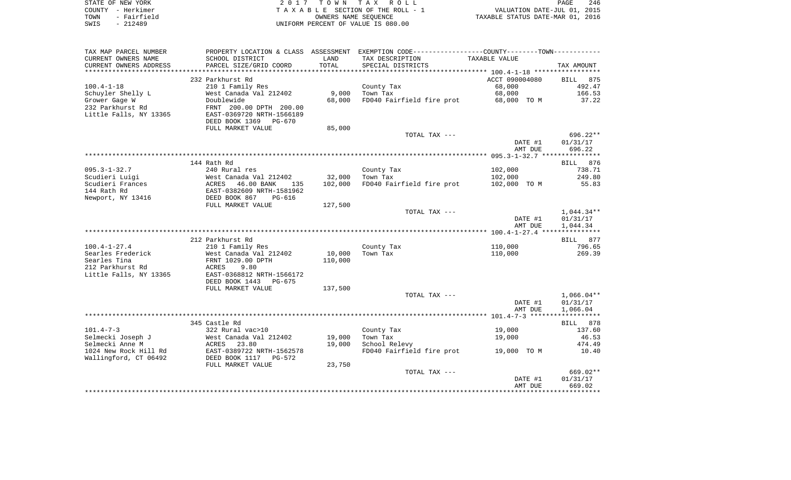| STATE OF NEW YORK   | 2017 TOWN TAX ROLL                 | 246<br>PAGE                      |
|---------------------|------------------------------------|----------------------------------|
| COUNTY - Herkimer   | TAXABLE SECTION OF THE ROLL - 1    | VALUATION DATE-JUL 01, 2015      |
| - Fairfield<br>TOWN | OWNERS NAME SEOUENCE               | TAXABLE STATUS DATE-MAR 01, 2016 |
| - 212489<br>SWIS    | UNIFORM PERCENT OF VALUE IS 080.00 |                                  |

| TAX MAP PARCEL NUMBER  |                           |         | PROPERTY LOCATION & CLASS ASSESSMENT EXEMPTION CODE---------------COUNTY-------TOWN--------- |                    |                      |
|------------------------|---------------------------|---------|----------------------------------------------------------------------------------------------|--------------------|----------------------|
| CURRENT OWNERS NAME    | SCHOOL DISTRICT           | LAND    | TAX DESCRIPTION                                                                              | TAXABLE VALUE      |                      |
| CURRENT OWNERS ADDRESS | PARCEL SIZE/GRID COORD    | TOTAL   | SPECIAL DISTRICTS                                                                            |                    | TAX AMOUNT           |
|                        |                           |         |                                                                                              |                    |                      |
|                        | 232 Parkhurst Rd          |         |                                                                                              | ACCT 090004080     | BILL 875             |
| $100.4 - 1 - 18$       | 210 1 Family Res          |         | County Tax                                                                                   | 68,000             | 492.47               |
| Schuyler Shelly L      | West Canada Val 212402    | 9,000   | Town Tax                                                                                     | 68,000             | 166.53               |
| Grower Gage W          | Doublewide                | 68,000  | FD040 Fairfield fire prot                                                                    | 68,000 TO M        | 37.22                |
| 232 Parkhurst Rd       | FRNT 200.00 DPTH 200.00   |         |                                                                                              |                    |                      |
| Little Falls, NY 13365 | EAST-0369720 NRTH-1566189 |         |                                                                                              |                    |                      |
|                        | DEED BOOK 1369 PG-670     |         |                                                                                              |                    |                      |
|                        | FULL MARKET VALUE         | 85,000  |                                                                                              |                    |                      |
|                        |                           |         | TOTAL TAX ---                                                                                |                    | $696.22**$           |
|                        |                           |         |                                                                                              | DATE #1            | 01/31/17             |
|                        |                           |         |                                                                                              | AMT DUE            | 696.22               |
|                        |                           |         |                                                                                              |                    |                      |
|                        | 144 Rath Rd               |         |                                                                                              |                    | BILL 876             |
| $095.3 - 1 - 32.7$     | 240 Rural res             |         | County Tax                                                                                   | 102,000            | 738.71               |
| Scudieri Luigi         | West Canada Val 212402    | 32,000  | Town Tax                                                                                     | 102,000            | 249.80               |
| Scudieri Frances       | ACRES 46.00 BANK<br>135   | 102,000 | FD040 Fairfield fire prot                                                                    | 102,000 TO M       | 55.83                |
| 144 Rath Rd            | EAST-0382609 NRTH-1581962 |         |                                                                                              |                    |                      |
| Newport, NY 13416      | DEED BOOK 867<br>PG-616   |         |                                                                                              |                    |                      |
|                        | FULL MARKET VALUE         | 127,500 |                                                                                              |                    |                      |
|                        |                           |         | TOTAL TAX ---                                                                                |                    | $1,044.34**$         |
|                        |                           |         |                                                                                              | DATE #1<br>AMT DUE | 01/31/17<br>1,044.34 |
|                        |                           |         |                                                                                              |                    |                      |
|                        | 212 Parkhurst Rd          |         |                                                                                              |                    | BILL 877             |
| $100.4 - 1 - 27.4$     | 210 1 Family Res          |         | County Tax                                                                                   | 110,000            | 796.65               |
| Searles Frederick      | West Canada Val 212402    | 10,000  | Town Tax                                                                                     | 110,000            | 269.39               |
| Searles Tina           | FRNT 1029.00 DPTH         | 110,000 |                                                                                              |                    |                      |
| 212 Parkhurst Rd       | ACRES<br>9.80             |         |                                                                                              |                    |                      |
| Little Falls, NY 13365 | EAST-0368812 NRTH-1566172 |         |                                                                                              |                    |                      |
|                        | DEED BOOK 1443 PG-675     |         |                                                                                              |                    |                      |
|                        | FULL MARKET VALUE         | 137,500 |                                                                                              |                    |                      |
|                        |                           |         | TOTAL TAX ---                                                                                |                    | $1,066.04**$         |
|                        |                           |         |                                                                                              | DATE #1            | 01/31/17             |
|                        |                           |         |                                                                                              | AMT DUE            | 1,066.04             |
|                        |                           |         |                                                                                              |                    |                      |
|                        | 345 Castle Rd             |         |                                                                                              |                    | BILL 878             |
| $101.4 - 7 - 3$        | 322 Rural vac>10          |         | County Tax                                                                                   | 19,000             | 137.60               |
| Selmecki Joseph J      | West Canada Val 212402    | 19,000  | Town Tax                                                                                     | 19,000             | 46.53                |
| Selmecki Anne M        | ACRES<br>23.80            | 19,000  | School Relevy                                                                                |                    | 474.49               |
| 1024 New Rock Hill Rd  | EAST-0389722 NRTH-1562578 |         | FD040 Fairfield fire prot                                                                    | 19,000 TO M        | 10.40                |
| Wallingford, CT 06492  | DEED BOOK 1117 PG-572     |         |                                                                                              |                    |                      |
|                        | FULL MARKET VALUE         | 23,750  |                                                                                              |                    |                      |
|                        |                           |         | TOTAL TAX ---                                                                                |                    | 669.02**             |
|                        |                           |         |                                                                                              | DATE #1            | 01/31/17             |
|                        |                           |         |                                                                                              | AMT DUE            | 669.02               |
|                        |                           |         |                                                                                              |                    |                      |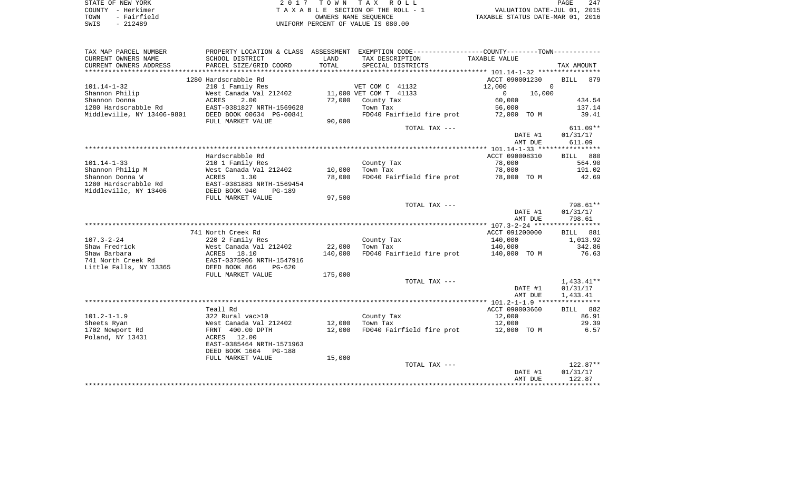| STATE OF NEW YORK   | 2017 TOWN TAX ROLL                 | 247<br>PAGE                      |
|---------------------|------------------------------------|----------------------------------|
| COUNTY - Herkimer   | TAXABLE SECTION OF THE ROLL - 1    | VALUATION DATE-JUL 01, 2015      |
| - Fairfield<br>TOWN | OWNERS NAME SEOUENCE               | TAXABLE STATUS DATE-MAR 01, 2016 |
| - 212489<br>SWIS    | UNIFORM PERCENT OF VALUE IS 080.00 |                                  |

| TAX MAP PARCEL NUMBER      | PROPERTY LOCATION & CLASS ASSESSMENT EXEMPTION CODE---------------COUNTY-------TOWN---------- |         |                           |                |                    |
|----------------------------|-----------------------------------------------------------------------------------------------|---------|---------------------------|----------------|--------------------|
| CURRENT OWNERS NAME        | SCHOOL DISTRICT                                                                               | LAND    | TAX DESCRIPTION           | TAXABLE VALUE  |                    |
| CURRENT OWNERS ADDRESS     | PARCEL SIZE/GRID COORD                                                                        | TOTAL   | SPECIAL DISTRICTS         |                | TAX AMOUNT         |
| *************************  |                                                                                               |         |                           |                |                    |
|                            | 1280 Hardscrabble Rd                                                                          |         |                           | ACCT 090001230 | <b>BILL</b><br>879 |
| $101.14 - 1 - 32$          | 210 1 Family Res                                                                              |         | VET COM C 41132           | 12,000         | $\mathbf 0$        |
| Shannon Philip             | West Canada Val 212402                                                                        |         | 11,000 VET COM T 41133    | 16,000<br>0    |                    |
| Shannon Donna              | 2.00<br>ACRES                                                                                 | 72,000  | County Tax                | 60,000         | 434.54             |
| 1280 Hardscrabble Rd       | EAST-0381827 NRTH-1569628                                                                     |         | Town Tax                  | 56,000         | 137.14             |
| Middleville, NY 13406-9801 | DEED BOOK 00634 PG-00841                                                                      |         | FD040 Fairfield fire prot | 72,000 TO M    | 39.41              |
|                            | FULL MARKET VALUE                                                                             | 90,000  |                           |                |                    |
|                            |                                                                                               |         | TOTAL TAX ---             |                | $611.09**$         |
|                            |                                                                                               |         |                           | DATE #1        | 01/31/17           |
|                            |                                                                                               |         |                           | AMT DUE        | 611.09             |
|                            |                                                                                               |         |                           |                |                    |
|                            | Hardscrabble Rd                                                                               |         |                           | ACCT 090008310 | BILL 880           |
| $101.14 - 1 - 33$          | 210 1 Family Res                                                                              |         | County Tax                | 78,000         | 564.90             |
| Shannon Philip M           | West Canada Val 212402                                                                        | 10,000  | Town Tax                  | 78,000         | 191.02             |
| Shannon Donna W            | ACRES<br>1.30                                                                                 | 78,000  | FD040 Fairfield fire prot | 78,000 TO M    | 42.69              |
| 1280 Hardscrabble Rd       | EAST-0381883 NRTH-1569454                                                                     |         |                           |                |                    |
| Middleville, NY 13406      | DEED BOOK 940<br><b>PG-189</b>                                                                | 97,500  |                           |                |                    |
|                            | FULL MARKET VALUE                                                                             |         | TOTAL TAX ---             |                | 798.61**           |
|                            |                                                                                               |         |                           | DATE #1        | 01/31/17           |
|                            |                                                                                               |         |                           | AMT DUE        | 798.61             |
|                            |                                                                                               |         |                           |                |                    |
|                            | 741 North Creek Rd                                                                            |         |                           | ACCT 091200000 | BILL 881           |
| $107.3 - 2 - 24$           | 220 2 Family Res                                                                              |         | County Tax                | 140,000        | 1,013.92           |
| Shaw Fredrick              | West Canada Val 212402                                                                        | 22,000  | Town Tax                  | 140,000        | 342.86             |
| Shaw Barbara               | ACRES<br>18.10                                                                                | 140,000 | FD040 Fairfield fire prot | 140,000 TO M   | 76.63              |
| 741 North Creek Rd         | EAST-0375906 NRTH-1547916                                                                     |         |                           |                |                    |
| Little Falls, NY 13365     | DEED BOOK 866<br>$PG-620$                                                                     |         |                           |                |                    |
|                            | FULL MARKET VALUE                                                                             | 175,000 |                           |                |                    |
|                            |                                                                                               |         | TOTAL TAX ---             |                | $1,433.41**$       |
|                            |                                                                                               |         |                           | DATE #1        | 01/31/17           |
|                            |                                                                                               |         |                           | AMT DUE        | 1,433.41           |
|                            |                                                                                               |         |                           |                |                    |
|                            | Teall Rd                                                                                      |         |                           | ACCT 090003660 | BILL 882           |
| $101.2 - 1 - 1.9$          | 322 Rural vac>10                                                                              |         | County Tax                | 12,000         | 86.91              |
| Sheets Ryan                | West Canada Val 212402                                                                        | 12,000  | Town Tax                  | 12,000         | 29.39              |
| 1702 Newport Rd            | FRNT 400.00 DPTH                                                                              | 12,000  | FD040 Fairfield fire prot | 12,000 TO M    | 6.57               |
| Poland, NY 13431           | 12.00<br>ACRES                                                                                |         |                           |                |                    |
|                            | EAST-0385464 NRTH-1571963                                                                     |         |                           |                |                    |
|                            | DEED BOOK 1604<br><b>PG-188</b>                                                               |         |                           |                |                    |
|                            | FULL MARKET VALUE                                                                             | 15,000  |                           |                |                    |
|                            |                                                                                               |         | TOTAL TAX ---             |                | $122.87**$         |
|                            |                                                                                               |         |                           | DATE #1        | 01/31/17           |
|                            |                                                                                               |         |                           | AMT DUE        | 122.87             |
|                            |                                                                                               |         |                           |                |                    |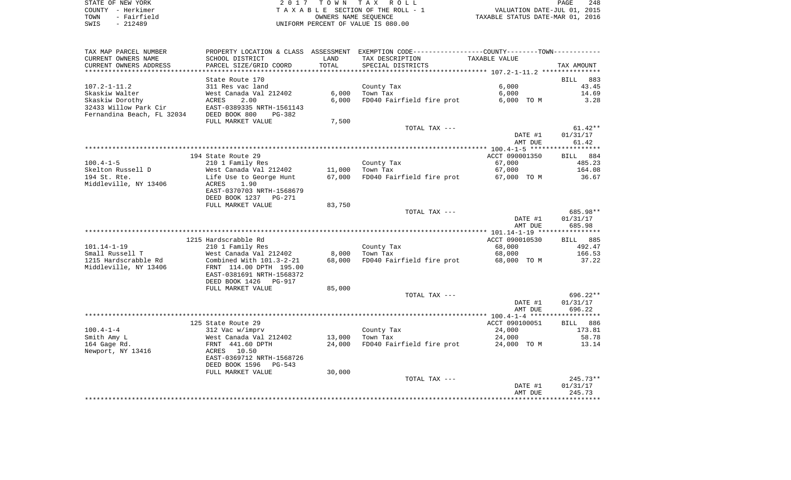| STATE OF NEW YORK   | 2017 TOWN TAX ROLL                 | 248<br>PAGE                      |
|---------------------|------------------------------------|----------------------------------|
| COUNTY - Herkimer   | TAXABLE SECTION OF THE ROLL - 1    | VALUATION DATE-JUL 01, 2015      |
| - Fairfield<br>TOWN | OWNERS NAME SEOUENCE               | TAXABLE STATUS DATE-MAR 01, 2016 |
| $-212489$<br>SWIS   | UNIFORM PERCENT OF VALUE IS 080.00 |                                  |

| CURRENT OWNERS NAME<br>SCHOOL DISTRICT<br>LAND<br>TAX DESCRIPTION<br>TAXABLE VALUE<br>CURRENT OWNERS ADDRESS<br>PARCEL SIZE/GRID COORD<br>TOTAL<br>SPECIAL DISTRICTS<br>TAX AMOUNT<br>***********************<br>State Route 170<br>883<br>BILL<br>6.000<br>$107.2 - 1 - 11.2$<br>311 Res vac land<br>43.45<br>County Tax<br>6,000<br>Skaskiw Walter<br>West Canada Val 212402<br>Town Tax<br>6,000<br>14.69<br>Skaskiw Dorothy<br>ACRES<br>2.00<br>6,000<br>FD040 Fairfield fire prot<br>6,000 TO M<br>3.28<br>32433 Willow Park Cir<br>EAST-0389335 NRTH-1561143<br>Fernandina Beach, FL 32034<br>DEED BOOK 800<br>PG-382<br>7,500<br>FULL MARKET VALUE<br>TOTAL TAX ---<br>$61.42**$<br>01/31/17<br>DATE #1<br>AMT DUE<br>61.42<br>194 State Route 29<br>ACCT 090001350<br>BILL 884<br>210 1 Family Res<br>County Tax<br>67,000<br>485.23<br>11,000<br>67,000<br>164.08<br>West Canada Val 212402<br>Town Tax<br>Life Use to George Hunt<br>67,000<br>FD040 Fairfield fire prot<br>67,000 TO M<br>36.67<br>1.90<br>ACRES<br>EAST-0370703 NRTH-1568679<br>DEED BOOK 1237 PG-271<br>FULL MARKET VALUE<br>83,750<br>685.98**<br>TOTAL TAX ---<br>DATE #1<br>01/31/17<br>685.98<br>AMT DUE<br>1215 Hardscrabble Rd<br>ACCT 090010530<br>BILL 885<br>$101.14 - 1 - 19$<br>210 1 Family Res<br>County Tax<br>68,000<br>492.47<br>Small Russell T<br>Town Tax<br>166.53<br>West Canada Val 212402<br>8,000<br>68,000<br>Combined With 101.3-2-21<br>68,000<br>FD040 Fairfield fire prot<br>68,000 TO M<br>37.22<br>FRNT 114.00 DPTH 195.00<br>EAST-0381691 NRTH-1568372<br>DEED BOOK 1426<br><b>PG-917</b><br>FULL MARKET VALUE<br>85,000<br>696.22**<br>TOTAL TAX ---<br>01/31/17<br>DATE #1<br>AMT DUE<br>696.22<br>125 State Route 29<br>ACCT 090100051<br>BILL<br>886<br>$100.4 - 1 - 4$<br>24,000<br>173.81<br>312 Vac w/imprv<br>County Tax<br>Smith Amy L<br>13,000<br>Town Tax<br>58.78<br>West Canada Val 212402<br>24,000<br>FD040 Fairfield fire prot<br>164 Gage Rd.<br>FRNT 441.60 DPTH<br>24,000<br>24,000 TO M<br>13.14<br>Newport, NY 13416<br>ACRES<br>10.50<br>EAST-0369712 NRTH-1568726<br>DEED BOOK 1596<br>PG-543<br>30,000<br>FULL MARKET VALUE<br>$245.73**$<br>TOTAL TAX ---<br>DATE #1<br>01/31/17<br>AMT DUE<br>245.73 | TAX MAP PARCEL NUMBER |  | PROPERTY LOCATION & CLASS ASSESSMENT EXEMPTION CODE----------------COUNTY--------TOWN----------- |  |
|----------------------------------------------------------------------------------------------------------------------------------------------------------------------------------------------------------------------------------------------------------------------------------------------------------------------------------------------------------------------------------------------------------------------------------------------------------------------------------------------------------------------------------------------------------------------------------------------------------------------------------------------------------------------------------------------------------------------------------------------------------------------------------------------------------------------------------------------------------------------------------------------------------------------------------------------------------------------------------------------------------------------------------------------------------------------------------------------------------------------------------------------------------------------------------------------------------------------------------------------------------------------------------------------------------------------------------------------------------------------------------------------------------------------------------------------------------------------------------------------------------------------------------------------------------------------------------------------------------------------------------------------------------------------------------------------------------------------------------------------------------------------------------------------------------------------------------------------------------------------------------------------------------------------------------------------------------------------------------------------------------------------------------------------------------------------------------------------------------------------------------------------------------------------------------------------------------------------------------------------|-----------------------|--|--------------------------------------------------------------------------------------------------|--|
|                                                                                                                                                                                                                                                                                                                                                                                                                                                                                                                                                                                                                                                                                                                                                                                                                                                                                                                                                                                                                                                                                                                                                                                                                                                                                                                                                                                                                                                                                                                                                                                                                                                                                                                                                                                                                                                                                                                                                                                                                                                                                                                                                                                                                                              |                       |  |                                                                                                  |  |
|                                                                                                                                                                                                                                                                                                                                                                                                                                                                                                                                                                                                                                                                                                                                                                                                                                                                                                                                                                                                                                                                                                                                                                                                                                                                                                                                                                                                                                                                                                                                                                                                                                                                                                                                                                                                                                                                                                                                                                                                                                                                                                                                                                                                                                              |                       |  |                                                                                                  |  |
|                                                                                                                                                                                                                                                                                                                                                                                                                                                                                                                                                                                                                                                                                                                                                                                                                                                                                                                                                                                                                                                                                                                                                                                                                                                                                                                                                                                                                                                                                                                                                                                                                                                                                                                                                                                                                                                                                                                                                                                                                                                                                                                                                                                                                                              |                       |  |                                                                                                  |  |
|                                                                                                                                                                                                                                                                                                                                                                                                                                                                                                                                                                                                                                                                                                                                                                                                                                                                                                                                                                                                                                                                                                                                                                                                                                                                                                                                                                                                                                                                                                                                                                                                                                                                                                                                                                                                                                                                                                                                                                                                                                                                                                                                                                                                                                              |                       |  |                                                                                                  |  |
|                                                                                                                                                                                                                                                                                                                                                                                                                                                                                                                                                                                                                                                                                                                                                                                                                                                                                                                                                                                                                                                                                                                                                                                                                                                                                                                                                                                                                                                                                                                                                                                                                                                                                                                                                                                                                                                                                                                                                                                                                                                                                                                                                                                                                                              |                       |  |                                                                                                  |  |
|                                                                                                                                                                                                                                                                                                                                                                                                                                                                                                                                                                                                                                                                                                                                                                                                                                                                                                                                                                                                                                                                                                                                                                                                                                                                                                                                                                                                                                                                                                                                                                                                                                                                                                                                                                                                                                                                                                                                                                                                                                                                                                                                                                                                                                              |                       |  |                                                                                                  |  |
|                                                                                                                                                                                                                                                                                                                                                                                                                                                                                                                                                                                                                                                                                                                                                                                                                                                                                                                                                                                                                                                                                                                                                                                                                                                                                                                                                                                                                                                                                                                                                                                                                                                                                                                                                                                                                                                                                                                                                                                                                                                                                                                                                                                                                                              |                       |  |                                                                                                  |  |
|                                                                                                                                                                                                                                                                                                                                                                                                                                                                                                                                                                                                                                                                                                                                                                                                                                                                                                                                                                                                                                                                                                                                                                                                                                                                                                                                                                                                                                                                                                                                                                                                                                                                                                                                                                                                                                                                                                                                                                                                                                                                                                                                                                                                                                              |                       |  |                                                                                                  |  |
|                                                                                                                                                                                                                                                                                                                                                                                                                                                                                                                                                                                                                                                                                                                                                                                                                                                                                                                                                                                                                                                                                                                                                                                                                                                                                                                                                                                                                                                                                                                                                                                                                                                                                                                                                                                                                                                                                                                                                                                                                                                                                                                                                                                                                                              |                       |  |                                                                                                  |  |
|                                                                                                                                                                                                                                                                                                                                                                                                                                                                                                                                                                                                                                                                                                                                                                                                                                                                                                                                                                                                                                                                                                                                                                                                                                                                                                                                                                                                                                                                                                                                                                                                                                                                                                                                                                                                                                                                                                                                                                                                                                                                                                                                                                                                                                              |                       |  |                                                                                                  |  |
|                                                                                                                                                                                                                                                                                                                                                                                                                                                                                                                                                                                                                                                                                                                                                                                                                                                                                                                                                                                                                                                                                                                                                                                                                                                                                                                                                                                                                                                                                                                                                                                                                                                                                                                                                                                                                                                                                                                                                                                                                                                                                                                                                                                                                                              |                       |  |                                                                                                  |  |
|                                                                                                                                                                                                                                                                                                                                                                                                                                                                                                                                                                                                                                                                                                                                                                                                                                                                                                                                                                                                                                                                                                                                                                                                                                                                                                                                                                                                                                                                                                                                                                                                                                                                                                                                                                                                                                                                                                                                                                                                                                                                                                                                                                                                                                              |                       |  |                                                                                                  |  |
|                                                                                                                                                                                                                                                                                                                                                                                                                                                                                                                                                                                                                                                                                                                                                                                                                                                                                                                                                                                                                                                                                                                                                                                                                                                                                                                                                                                                                                                                                                                                                                                                                                                                                                                                                                                                                                                                                                                                                                                                                                                                                                                                                                                                                                              |                       |  |                                                                                                  |  |
|                                                                                                                                                                                                                                                                                                                                                                                                                                                                                                                                                                                                                                                                                                                                                                                                                                                                                                                                                                                                                                                                                                                                                                                                                                                                                                                                                                                                                                                                                                                                                                                                                                                                                                                                                                                                                                                                                                                                                                                                                                                                                                                                                                                                                                              |                       |  |                                                                                                  |  |
|                                                                                                                                                                                                                                                                                                                                                                                                                                                                                                                                                                                                                                                                                                                                                                                                                                                                                                                                                                                                                                                                                                                                                                                                                                                                                                                                                                                                                                                                                                                                                                                                                                                                                                                                                                                                                                                                                                                                                                                                                                                                                                                                                                                                                                              | $100.4 - 1 - 5$       |  |                                                                                                  |  |
|                                                                                                                                                                                                                                                                                                                                                                                                                                                                                                                                                                                                                                                                                                                                                                                                                                                                                                                                                                                                                                                                                                                                                                                                                                                                                                                                                                                                                                                                                                                                                                                                                                                                                                                                                                                                                                                                                                                                                                                                                                                                                                                                                                                                                                              | Skelton Russell D     |  |                                                                                                  |  |
|                                                                                                                                                                                                                                                                                                                                                                                                                                                                                                                                                                                                                                                                                                                                                                                                                                                                                                                                                                                                                                                                                                                                                                                                                                                                                                                                                                                                                                                                                                                                                                                                                                                                                                                                                                                                                                                                                                                                                                                                                                                                                                                                                                                                                                              | 194 St. Rte.          |  |                                                                                                  |  |
|                                                                                                                                                                                                                                                                                                                                                                                                                                                                                                                                                                                                                                                                                                                                                                                                                                                                                                                                                                                                                                                                                                                                                                                                                                                                                                                                                                                                                                                                                                                                                                                                                                                                                                                                                                                                                                                                                                                                                                                                                                                                                                                                                                                                                                              | Middleville, NY 13406 |  |                                                                                                  |  |
|                                                                                                                                                                                                                                                                                                                                                                                                                                                                                                                                                                                                                                                                                                                                                                                                                                                                                                                                                                                                                                                                                                                                                                                                                                                                                                                                                                                                                                                                                                                                                                                                                                                                                                                                                                                                                                                                                                                                                                                                                                                                                                                                                                                                                                              |                       |  |                                                                                                  |  |
|                                                                                                                                                                                                                                                                                                                                                                                                                                                                                                                                                                                                                                                                                                                                                                                                                                                                                                                                                                                                                                                                                                                                                                                                                                                                                                                                                                                                                                                                                                                                                                                                                                                                                                                                                                                                                                                                                                                                                                                                                                                                                                                                                                                                                                              |                       |  |                                                                                                  |  |
|                                                                                                                                                                                                                                                                                                                                                                                                                                                                                                                                                                                                                                                                                                                                                                                                                                                                                                                                                                                                                                                                                                                                                                                                                                                                                                                                                                                                                                                                                                                                                                                                                                                                                                                                                                                                                                                                                                                                                                                                                                                                                                                                                                                                                                              |                       |  |                                                                                                  |  |
|                                                                                                                                                                                                                                                                                                                                                                                                                                                                                                                                                                                                                                                                                                                                                                                                                                                                                                                                                                                                                                                                                                                                                                                                                                                                                                                                                                                                                                                                                                                                                                                                                                                                                                                                                                                                                                                                                                                                                                                                                                                                                                                                                                                                                                              |                       |  |                                                                                                  |  |
|                                                                                                                                                                                                                                                                                                                                                                                                                                                                                                                                                                                                                                                                                                                                                                                                                                                                                                                                                                                                                                                                                                                                                                                                                                                                                                                                                                                                                                                                                                                                                                                                                                                                                                                                                                                                                                                                                                                                                                                                                                                                                                                                                                                                                                              |                       |  |                                                                                                  |  |
|                                                                                                                                                                                                                                                                                                                                                                                                                                                                                                                                                                                                                                                                                                                                                                                                                                                                                                                                                                                                                                                                                                                                                                                                                                                                                                                                                                                                                                                                                                                                                                                                                                                                                                                                                                                                                                                                                                                                                                                                                                                                                                                                                                                                                                              |                       |  |                                                                                                  |  |
|                                                                                                                                                                                                                                                                                                                                                                                                                                                                                                                                                                                                                                                                                                                                                                                                                                                                                                                                                                                                                                                                                                                                                                                                                                                                                                                                                                                                                                                                                                                                                                                                                                                                                                                                                                                                                                                                                                                                                                                                                                                                                                                                                                                                                                              |                       |  |                                                                                                  |  |
|                                                                                                                                                                                                                                                                                                                                                                                                                                                                                                                                                                                                                                                                                                                                                                                                                                                                                                                                                                                                                                                                                                                                                                                                                                                                                                                                                                                                                                                                                                                                                                                                                                                                                                                                                                                                                                                                                                                                                                                                                                                                                                                                                                                                                                              |                       |  |                                                                                                  |  |
|                                                                                                                                                                                                                                                                                                                                                                                                                                                                                                                                                                                                                                                                                                                                                                                                                                                                                                                                                                                                                                                                                                                                                                                                                                                                                                                                                                                                                                                                                                                                                                                                                                                                                                                                                                                                                                                                                                                                                                                                                                                                                                                                                                                                                                              |                       |  |                                                                                                  |  |
|                                                                                                                                                                                                                                                                                                                                                                                                                                                                                                                                                                                                                                                                                                                                                                                                                                                                                                                                                                                                                                                                                                                                                                                                                                                                                                                                                                                                                                                                                                                                                                                                                                                                                                                                                                                                                                                                                                                                                                                                                                                                                                                                                                                                                                              | 1215 Hardscrabble Rd  |  |                                                                                                  |  |
|                                                                                                                                                                                                                                                                                                                                                                                                                                                                                                                                                                                                                                                                                                                                                                                                                                                                                                                                                                                                                                                                                                                                                                                                                                                                                                                                                                                                                                                                                                                                                                                                                                                                                                                                                                                                                                                                                                                                                                                                                                                                                                                                                                                                                                              | Middleville, NY 13406 |  |                                                                                                  |  |
|                                                                                                                                                                                                                                                                                                                                                                                                                                                                                                                                                                                                                                                                                                                                                                                                                                                                                                                                                                                                                                                                                                                                                                                                                                                                                                                                                                                                                                                                                                                                                                                                                                                                                                                                                                                                                                                                                                                                                                                                                                                                                                                                                                                                                                              |                       |  |                                                                                                  |  |
|                                                                                                                                                                                                                                                                                                                                                                                                                                                                                                                                                                                                                                                                                                                                                                                                                                                                                                                                                                                                                                                                                                                                                                                                                                                                                                                                                                                                                                                                                                                                                                                                                                                                                                                                                                                                                                                                                                                                                                                                                                                                                                                                                                                                                                              |                       |  |                                                                                                  |  |
|                                                                                                                                                                                                                                                                                                                                                                                                                                                                                                                                                                                                                                                                                                                                                                                                                                                                                                                                                                                                                                                                                                                                                                                                                                                                                                                                                                                                                                                                                                                                                                                                                                                                                                                                                                                                                                                                                                                                                                                                                                                                                                                                                                                                                                              |                       |  |                                                                                                  |  |
|                                                                                                                                                                                                                                                                                                                                                                                                                                                                                                                                                                                                                                                                                                                                                                                                                                                                                                                                                                                                                                                                                                                                                                                                                                                                                                                                                                                                                                                                                                                                                                                                                                                                                                                                                                                                                                                                                                                                                                                                                                                                                                                                                                                                                                              |                       |  |                                                                                                  |  |
|                                                                                                                                                                                                                                                                                                                                                                                                                                                                                                                                                                                                                                                                                                                                                                                                                                                                                                                                                                                                                                                                                                                                                                                                                                                                                                                                                                                                                                                                                                                                                                                                                                                                                                                                                                                                                                                                                                                                                                                                                                                                                                                                                                                                                                              |                       |  |                                                                                                  |  |
|                                                                                                                                                                                                                                                                                                                                                                                                                                                                                                                                                                                                                                                                                                                                                                                                                                                                                                                                                                                                                                                                                                                                                                                                                                                                                                                                                                                                                                                                                                                                                                                                                                                                                                                                                                                                                                                                                                                                                                                                                                                                                                                                                                                                                                              |                       |  |                                                                                                  |  |
|                                                                                                                                                                                                                                                                                                                                                                                                                                                                                                                                                                                                                                                                                                                                                                                                                                                                                                                                                                                                                                                                                                                                                                                                                                                                                                                                                                                                                                                                                                                                                                                                                                                                                                                                                                                                                                                                                                                                                                                                                                                                                                                                                                                                                                              |                       |  |                                                                                                  |  |
|                                                                                                                                                                                                                                                                                                                                                                                                                                                                                                                                                                                                                                                                                                                                                                                                                                                                                                                                                                                                                                                                                                                                                                                                                                                                                                                                                                                                                                                                                                                                                                                                                                                                                                                                                                                                                                                                                                                                                                                                                                                                                                                                                                                                                                              |                       |  |                                                                                                  |  |
|                                                                                                                                                                                                                                                                                                                                                                                                                                                                                                                                                                                                                                                                                                                                                                                                                                                                                                                                                                                                                                                                                                                                                                                                                                                                                                                                                                                                                                                                                                                                                                                                                                                                                                                                                                                                                                                                                                                                                                                                                                                                                                                                                                                                                                              |                       |  |                                                                                                  |  |
|                                                                                                                                                                                                                                                                                                                                                                                                                                                                                                                                                                                                                                                                                                                                                                                                                                                                                                                                                                                                                                                                                                                                                                                                                                                                                                                                                                                                                                                                                                                                                                                                                                                                                                                                                                                                                                                                                                                                                                                                                                                                                                                                                                                                                                              |                       |  |                                                                                                  |  |
|                                                                                                                                                                                                                                                                                                                                                                                                                                                                                                                                                                                                                                                                                                                                                                                                                                                                                                                                                                                                                                                                                                                                                                                                                                                                                                                                                                                                                                                                                                                                                                                                                                                                                                                                                                                                                                                                                                                                                                                                                                                                                                                                                                                                                                              |                       |  |                                                                                                  |  |
|                                                                                                                                                                                                                                                                                                                                                                                                                                                                                                                                                                                                                                                                                                                                                                                                                                                                                                                                                                                                                                                                                                                                                                                                                                                                                                                                                                                                                                                                                                                                                                                                                                                                                                                                                                                                                                                                                                                                                                                                                                                                                                                                                                                                                                              |                       |  |                                                                                                  |  |
|                                                                                                                                                                                                                                                                                                                                                                                                                                                                                                                                                                                                                                                                                                                                                                                                                                                                                                                                                                                                                                                                                                                                                                                                                                                                                                                                                                                                                                                                                                                                                                                                                                                                                                                                                                                                                                                                                                                                                                                                                                                                                                                                                                                                                                              |                       |  |                                                                                                  |  |
|                                                                                                                                                                                                                                                                                                                                                                                                                                                                                                                                                                                                                                                                                                                                                                                                                                                                                                                                                                                                                                                                                                                                                                                                                                                                                                                                                                                                                                                                                                                                                                                                                                                                                                                                                                                                                                                                                                                                                                                                                                                                                                                                                                                                                                              |                       |  |                                                                                                  |  |
|                                                                                                                                                                                                                                                                                                                                                                                                                                                                                                                                                                                                                                                                                                                                                                                                                                                                                                                                                                                                                                                                                                                                                                                                                                                                                                                                                                                                                                                                                                                                                                                                                                                                                                                                                                                                                                                                                                                                                                                                                                                                                                                                                                                                                                              |                       |  |                                                                                                  |  |
|                                                                                                                                                                                                                                                                                                                                                                                                                                                                                                                                                                                                                                                                                                                                                                                                                                                                                                                                                                                                                                                                                                                                                                                                                                                                                                                                                                                                                                                                                                                                                                                                                                                                                                                                                                                                                                                                                                                                                                                                                                                                                                                                                                                                                                              |                       |  |                                                                                                  |  |
|                                                                                                                                                                                                                                                                                                                                                                                                                                                                                                                                                                                                                                                                                                                                                                                                                                                                                                                                                                                                                                                                                                                                                                                                                                                                                                                                                                                                                                                                                                                                                                                                                                                                                                                                                                                                                                                                                                                                                                                                                                                                                                                                                                                                                                              |                       |  |                                                                                                  |  |
|                                                                                                                                                                                                                                                                                                                                                                                                                                                                                                                                                                                                                                                                                                                                                                                                                                                                                                                                                                                                                                                                                                                                                                                                                                                                                                                                                                                                                                                                                                                                                                                                                                                                                                                                                                                                                                                                                                                                                                                                                                                                                                                                                                                                                                              |                       |  |                                                                                                  |  |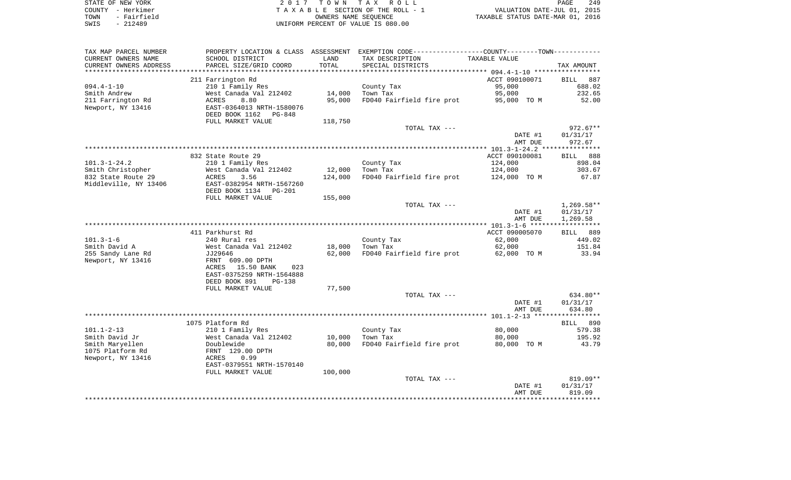|      | STATE OF NEW YORK | 2017 TOWN TAX ROLL                 | 249<br>PAGE                      |
|------|-------------------|------------------------------------|----------------------------------|
|      | COUNTY - Herkimer | TAXABLE SECTION OF THE ROLL - 1    | VALUATION DATE-JUL 01, 2015      |
| TOWN | - Fairfield       | OWNERS NAME SEOUENCE               | TAXABLE STATUS DATE-MAR 01, 2016 |
| SWIS | - 212489          | UNIFORM PERCENT OF VALUE IS 080.00 |                                  |

| TAX MAP PARCEL NUMBER                  | PROPERTY LOCATION & CLASS ASSESSMENT           |            | EXEMPTION CODE-----------------COUNTY-------TOWN----------- |                    |                    |
|----------------------------------------|------------------------------------------------|------------|-------------------------------------------------------------|--------------------|--------------------|
| CURRENT OWNERS NAME                    | SCHOOL DISTRICT                                | LAND       | TAX DESCRIPTION                                             | TAXABLE VALUE      |                    |
| CURRENT OWNERS ADDRESS                 | PARCEL SIZE/GRID COORD                         | TOTAL      | SPECIAL DISTRICTS                                           |                    | TAX AMOUNT         |
| *****************                      | ***********************                        | ********** |                                                             |                    |                    |
|                                        | 211 Farrington Rd                              |            |                                                             | ACCT 090100071     | <b>BILL</b><br>887 |
| $094.4 - 1 - 10$                       | 210 1 Family Res                               |            | County Tax                                                  | 95,000             | 688.02             |
| Smith Andrew                           | West Canada Val 212402                         | 14,000     | Town Tax                                                    | 95,000             | 232.65             |
| 211 Farrington Rd                      | ACRES<br>8.80                                  | 95,000     | FD040 Fairfield fire prot                                   | 95,000 TO M        | 52.00              |
| Newport, NY 13416                      | EAST-0364013 NRTH-1580076                      |            |                                                             |                    |                    |
|                                        | DEED BOOK 1162 PG-848                          |            |                                                             |                    |                    |
|                                        | FULL MARKET VALUE                              | 118,750    |                                                             |                    |                    |
|                                        |                                                |            | TOTAL TAX ---                                               |                    | $972.67**$         |
|                                        |                                                |            |                                                             | DATE #1<br>AMT DUE | 01/31/17<br>972.67 |
|                                        |                                                |            |                                                             |                    |                    |
|                                        | 832 State Route 29                             |            |                                                             | ACCT 090100081     | BILL<br>888        |
| $101.3 - 1 - 24.2$                     | 210 1 Family Res                               |            | County Tax                                                  | 124,000            | 898.04             |
| Smith Christopher                      | West Canada Val 212402                         | 12,000     | Town Tax                                                    | 124,000            | 303.67             |
| 832 State Route 29                     | 3.56<br>ACRES                                  | 124,000    | FD040 Fairfield fire prot                                   | 124,000 TO M       | 67.87              |
| Middleville, NY 13406                  | EAST-0382954 NRTH-1567260                      |            |                                                             |                    |                    |
|                                        | DEED BOOK 1134<br><b>PG-201</b>                |            |                                                             |                    |                    |
|                                        | FULL MARKET VALUE                              | 155,000    |                                                             |                    |                    |
|                                        |                                                |            | TOTAL TAX ---                                               |                    | $1,269.58**$       |
|                                        |                                                |            |                                                             | DATE #1            | 01/31/17           |
|                                        |                                                |            |                                                             | AMT DUE            | 1,269.58           |
|                                        |                                                |            |                                                             |                    |                    |
|                                        | 411 Parkhurst Rd                               |            |                                                             | ACCT 090005070     | BILL 889           |
| $101.3 - 1 - 6$                        | 240 Rural res                                  |            | County Tax                                                  | 62,000             | 449.02             |
| Smith David A                          | West Canada Val 212402                         | 18,000     | Town Tax                                                    | 62,000             | 151.84             |
| 255 Sandy Lane Rd<br>Newport, NY 13416 | JJ29646                                        | 62,000     | FD040 Fairfield fire prot                                   | 62,000 TO M        | 33.94              |
|                                        | FRNT 609.00 DPTH<br>ACRES<br>15.50 BANK<br>023 |            |                                                             |                    |                    |
|                                        | EAST-0375259 NRTH-1564888                      |            |                                                             |                    |                    |
|                                        | DEED BOOK 891<br><b>PG-138</b>                 |            |                                                             |                    |                    |
|                                        | FULL MARKET VALUE                              | 77,500     |                                                             |                    |                    |
|                                        |                                                |            | TOTAL TAX ---                                               |                    | 634.80**           |
|                                        |                                                |            |                                                             | DATE #1            | 01/31/17           |
|                                        |                                                |            |                                                             | AMT DUE            | 634.80             |
|                                        |                                                |            |                                                             |                    |                    |
|                                        | 1075 Platform Rd                               |            |                                                             |                    | BILL 890           |
| $101.1 - 2 - 13$                       | 210 1 Family Res                               |            | County Tax                                                  | 80,000             | 579.38             |
| Smith David Jr                         | West Canada Val 212402                         | 10,000     | Town Tax                                                    | 80,000             | 195.92             |
| Smith Maryellen                        | Doublewide                                     | 80,000     | FD040 Fairfield fire prot                                   | 80,000 TO M        | 43.79              |
| 1075 Platform Rd                       | FRNT 129.00 DPTH                               |            |                                                             |                    |                    |
| Newport, NY 13416                      | 0.99<br>ACRES                                  |            |                                                             |                    |                    |
|                                        | EAST-0379551 NRTH-1570140                      |            |                                                             |                    |                    |
|                                        | FULL MARKET VALUE                              | 100,000    | TOTAL TAX ---                                               |                    | $819.09**$         |
|                                        |                                                |            |                                                             | DATE #1            | 01/31/17           |
|                                        |                                                |            |                                                             | AMT DUE            | 819.09             |
|                                        |                                                |            |                                                             |                    |                    |
|                                        |                                                |            |                                                             |                    |                    |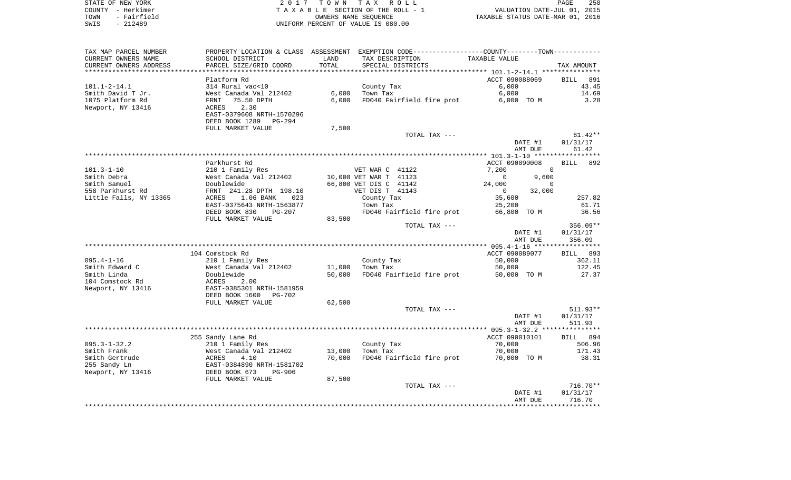| STATE OF NEW YORK   | 2017 TOWN TAX ROLL                 | 250<br>PAGE                      |
|---------------------|------------------------------------|----------------------------------|
| COUNTY - Herkimer   | TAXABLE SECTION OF THE ROLL - 1    | VALUATION DATE-JUL 01, 2015      |
| - Fairfield<br>TOWN | OWNERS NAME SEOUENCE               | TAXABLE STATUS DATE-MAR 01, 2016 |
| - 212489<br>SWIS    | UNIFORM PERCENT OF VALUE IS 080.00 |                                  |

| TAX MAP PARCEL NUMBER  | PROPERTY LOCATION & CLASS ASSESSMENT EXEMPTION CODE---------------COUNTY-------TOWN---------- |                 |                           |                |          |                               |
|------------------------|-----------------------------------------------------------------------------------------------|-----------------|---------------------------|----------------|----------|-------------------------------|
| CURRENT OWNERS NAME    | SCHOOL DISTRICT                                                                               | LAND            | TAX DESCRIPTION           | TAXABLE VALUE  |          |                               |
| CURRENT OWNERS ADDRESS | PARCEL SIZE/GRID COORD                                                                        | TOTAL           | SPECIAL DISTRICTS         |                |          | TAX AMOUNT                    |
| *******************    | **********************                                                                        | *************** |                           |                |          |                               |
|                        | Platform Rd                                                                                   |                 |                           | ACCT 090088069 |          | <b>BILL</b><br>891            |
| $101.1 - 2 - 14.1$     | 314 Rural vac<10                                                                              |                 | County Tax                | 6,000          |          | 43.45                         |
| Smith David T Jr.      | West Canada Val 212402                                                                        | 6,000           | Town Tax                  | 6,000          |          | 14.69                         |
| 1075 Platform Rd       | 75.50 DPTH<br>FRNT                                                                            | 6,000           | FD040 Fairfield fire prot | 6,000 TO M     |          | 3.28                          |
| Newport, NY 13416      | 2.30<br>ACRES                                                                                 |                 |                           |                |          |                               |
|                        | EAST-0379608 NRTH-1570296                                                                     |                 |                           |                |          |                               |
|                        | DEED BOOK 1289<br>PG-294                                                                      |                 |                           |                |          |                               |
|                        | FULL MARKET VALUE                                                                             | 7,500           |                           |                |          |                               |
|                        |                                                                                               |                 | TOTAL TAX ---             |                |          | $61.42**$                     |
|                        |                                                                                               |                 |                           |                | DATE #1  | 01/31/17                      |
|                        |                                                                                               |                 |                           |                | AMT DUE  | 61.42                         |
|                        |                                                                                               |                 |                           |                |          |                               |
|                        | Parkhurst Rd                                                                                  |                 |                           | ACCT 090090008 |          | 892<br><b>BILL</b>            |
| $101.3 - 1 - 10$       | 210 1 Family Res                                                                              |                 | VET WAR C 41122           | 7,200          | $\Omega$ |                               |
| Smith Debra            | West Canada Val 212402                                                                        |                 | 10,000 VET WAR T 41123    | $\Omega$       | 9,600    |                               |
| Smith Samuel           | Doublewide                                                                                    |                 | 66,800 VET DIS C 41142    | 24,000         | $\Omega$ |                               |
| 558 Parkhurst Rd       | FRNT 241.28 DPTH 198.10                                                                       |                 | VET DIS T 41143           | $\mathbf{0}$   | 32,000   |                               |
| Little Falls, NY 13365 | 1.06 BANK<br>ACRES<br>023                                                                     |                 | County Tax                | 35,600         |          | 257.82                        |
|                        | EAST-0375643 NRTH-1563877                                                                     |                 | Town Tax                  | 25,200         |          | 61.71                         |
|                        | DEED BOOK 830<br>$PG-207$                                                                     |                 | FD040 Fairfield fire prot | 66,800 TO M    |          | 36.56                         |
|                        | FULL MARKET VALUE                                                                             | 83,500          |                           |                |          |                               |
|                        |                                                                                               |                 |                           | TOTAL TAX ---  |          | 356.09**                      |
|                        |                                                                                               |                 |                           |                | DATE #1  | 01/31/17                      |
|                        |                                                                                               |                 |                           |                | AMT DUE  | 356.09                        |
|                        |                                                                                               |                 |                           |                |          |                               |
|                        | 104 Comstock Rd                                                                               |                 |                           | ACCT 090089077 |          | BILL 893                      |
| $095.4 - 1 - 16$       | 210 1 Family Res                                                                              |                 | County Tax                | 50,000         |          | 362.11                        |
| Smith Edward C         | West Canada Val 212402                                                                        | 11,000          | Town Tax                  | 50,000         |          | 122.45<br>27.37               |
| Smith Linda            | Doublewide                                                                                    | 50,000          | FD040 Fairfield fire prot | 50,000 TO M    |          |                               |
| 104 Comstock Rd        | ACRES<br>2.00                                                                                 |                 |                           |                |          |                               |
| Newport, NY 13416      | EAST-0385301 NRTH-1581959<br><b>PG-702</b>                                                    |                 |                           |                |          |                               |
|                        | DEED BOOK 1600<br>FULL MARKET VALUE                                                           | 62,500          |                           |                |          |                               |
|                        |                                                                                               |                 | TOTAL TAX ---             |                |          | $511.93**$                    |
|                        |                                                                                               |                 |                           |                | DATE #1  | 01/31/17                      |
|                        |                                                                                               |                 |                           |                | AMT DUE  | 511.93                        |
|                        |                                                                                               |                 |                           |                |          |                               |
|                        | 255 Sandy Lane Rd                                                                             |                 |                           | ACCT 090010101 |          | BILL 894                      |
| $095.3 - 1 - 32.2$     | 210 1 Family Res                                                                              |                 | County Tax                | 70,000         |          | 506.96                        |
| Smith Frank            | West Canada Val 212402                                                                        | 13,000          | Town Tax                  | 70,000         |          | 171.43                        |
| Smith Gertrude         | 4.10<br>ACRES                                                                                 | 70,000          | FD040 Fairfield fire prot | 70,000 TO M    |          | 38.31                         |
| 255 Sandy Ln           | EAST-0384890 NRTH-1581702                                                                     |                 |                           |                |          |                               |
| Newport, NY 13416      | DEED BOOK 673<br><b>PG-906</b>                                                                |                 |                           |                |          |                               |
|                        | FULL MARKET VALUE                                                                             | 87,500          |                           |                |          |                               |
|                        |                                                                                               |                 | TOTAL TAX ---             |                |          | $716.70**$                    |
|                        |                                                                                               |                 |                           |                | DATE #1  | 01/31/17                      |
|                        |                                                                                               |                 |                           |                | AMT DUE  | 716.70                        |
|                        |                                                                                               |                 |                           |                |          | ***************************** |
|                        |                                                                                               |                 |                           |                |          |                               |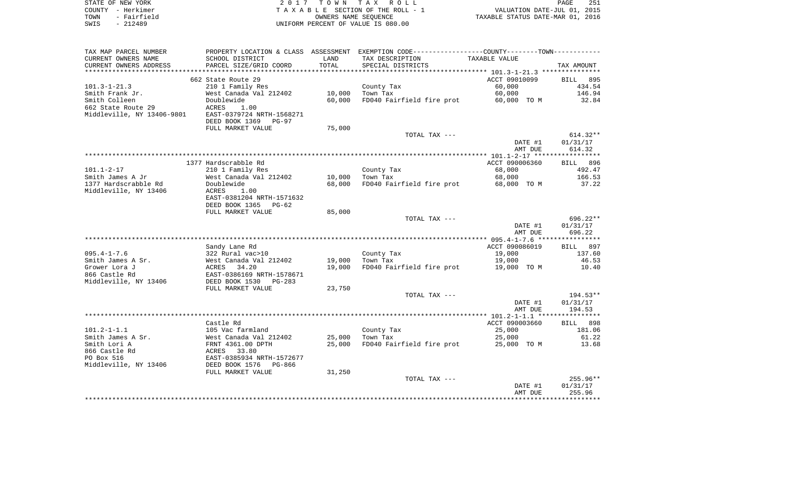| STATE OF NEW YORK   | 2017 TOWN TAX ROLL                 | 251<br>PAGE                      |
|---------------------|------------------------------------|----------------------------------|
| COUNTY - Herkimer   | TAXABLE SECTION OF THE ROLL - 1    | VALUATION DATE-JUL 01, 2015      |
| - Fairfield<br>TOWN | OWNERS NAME SEOUENCE               | TAXABLE STATUS DATE-MAR 01, 2016 |
| SWIS<br>$-212489$   | UNIFORM PERCENT OF VALUE IS 080.00 |                                  |

| TAX MAP PARCEL NUMBER      |                                |        | PROPERTY LOCATION & CLASS ASSESSMENT EXEMPTION CODE----------------COUNTY-------TOWN-------- |                |             |
|----------------------------|--------------------------------|--------|----------------------------------------------------------------------------------------------|----------------|-------------|
| CURRENT OWNERS NAME        | SCHOOL DISTRICT                | LAND   | TAX DESCRIPTION                                                                              | TAXABLE VALUE  |             |
| CURRENT OWNERS ADDRESS     | PARCEL SIZE/GRID COORD         | TOTAL  | SPECIAL DISTRICTS                                                                            |                | TAX AMOUNT  |
|                            |                                |        |                                                                                              |                |             |
|                            | 662 State Route 29             |        |                                                                                              | ACCT 09010099  | BILL 895    |
| $101.3 - 1 - 21.3$         | 210 1 Family Res               |        | County Tax                                                                                   | 60,000         | 434.54      |
| Smith Frank Jr.            | West Canada Val 212402         | 10,000 | Town Tax                                                                                     | 60,000         | 146.94      |
|                            | Doublewide                     |        |                                                                                              |                |             |
| Smith Colleen              |                                | 60,000 | FD040 Fairfield fire prot                                                                    | 60,000 TO M    | 32.84       |
| 662 State Route 29         | ACRES<br>1.00                  |        |                                                                                              |                |             |
| Middleville, NY 13406-9801 | EAST-0379724 NRTH-1568271      |        |                                                                                              |                |             |
|                            | DEED BOOK 1369<br><b>PG-97</b> |        |                                                                                              |                |             |
|                            | FULL MARKET VALUE              | 75,000 |                                                                                              |                |             |
|                            |                                |        | TOTAL TAX ---                                                                                |                | $614.32**$  |
|                            |                                |        |                                                                                              | DATE #1        | 01/31/17    |
|                            |                                |        |                                                                                              | AMT DUE        | 614.32      |
|                            |                                |        |                                                                                              |                |             |
|                            | 1377 Hardscrabble Rd           |        |                                                                                              | ACCT 090006360 | BILL 896    |
| $101.1 - 2 - 17$           | 210 1 Family Res               |        | County Tax                                                                                   | 68,000         | 492.47      |
| Smith James A Jr           | West Canada Val 212402         | 10,000 | Town Tax                                                                                     | 68,000         | 166.53      |
| 1377 Hardscrabble Rd       | Doublewide                     | 68,000 | FD040 Fairfield fire prot                                                                    | 68,000 TO M    | 37.22       |
|                            |                                |        |                                                                                              |                |             |
| Middleville, NY 13406      | 1.00<br>ACRES                  |        |                                                                                              |                |             |
|                            | EAST-0381204 NRTH-1571632      |        |                                                                                              |                |             |
|                            | DEED BOOK 1365<br>$PG-62$      |        |                                                                                              |                |             |
|                            | FULL MARKET VALUE              | 85,000 |                                                                                              |                |             |
|                            |                                |        | TOTAL TAX ---                                                                                |                | $696.22**$  |
|                            |                                |        |                                                                                              | DATE #1        | 01/31/17    |
|                            |                                |        |                                                                                              | AMT DUE        | 696.22      |
|                            |                                |        |                                                                                              |                |             |
|                            | Sandy Lane Rd                  |        |                                                                                              | ACCT 090086019 | 897<br>BILL |
| $095.4 - 1 - 7.6$          | 322 Rural vac>10               |        | County Tax                                                                                   | 19,000         | 137.60      |
| Smith James A Sr.          | West Canada Val 212402         | 19,000 | Town Tax                                                                                     | 19,000         | 46.53       |
| Grower Lora J              | ACRES<br>34.20                 | 19,000 | FD040 Fairfield fire prot                                                                    | 19,000 TO M    | 10.40       |
| 866 Castle Rd              | EAST-0386169 NRTH-1578671      |        |                                                                                              |                |             |
|                            | DEED BOOK 1530                 |        |                                                                                              |                |             |
| Middleville, NY 13406      | PG-283                         |        |                                                                                              |                |             |
|                            | FULL MARKET VALUE              | 23,750 |                                                                                              |                |             |
|                            |                                |        | TOTAL TAX ---                                                                                |                | $194.53**$  |
|                            |                                |        |                                                                                              | DATE #1        | 01/31/17    |
|                            |                                |        |                                                                                              | AMT DUE        | 194.53      |
|                            |                                |        |                                                                                              |                |             |
|                            | Castle Rd                      |        |                                                                                              | ACCT 090003660 | 898<br>BILL |
| $101.2 - 1 - 1.1$          | 105 Vac farmland               |        | County Tax                                                                                   | 25,000         | 181.06      |
| Smith James A Sr.          | West Canada Val 212402         | 25,000 | Town Tax                                                                                     | 25,000         | 61.22       |
| Smith Lori A               | FRNT 4361.00 DPTH              | 25,000 | FD040 Fairfield fire prot                                                                    | 25,000 TO M    | 13.68       |
| 866 Castle Rd              | 33.80<br>ACRES                 |        |                                                                                              |                |             |
| PO Box 516                 | EAST-0385934 NRTH-1572677      |        |                                                                                              |                |             |
| Middleville, NY 13406      | DEED BOOK 1576<br>PG-866       |        |                                                                                              |                |             |
|                            |                                | 31,250 |                                                                                              |                |             |
|                            | FULL MARKET VALUE              |        |                                                                                              |                |             |
|                            |                                |        | TOTAL TAX ---                                                                                |                | $255.96**$  |
|                            |                                |        |                                                                                              | DATE #1        | 01/31/17    |
|                            |                                |        |                                                                                              | AMT DUE        | 255.96      |
|                            |                                |        |                                                                                              |                |             |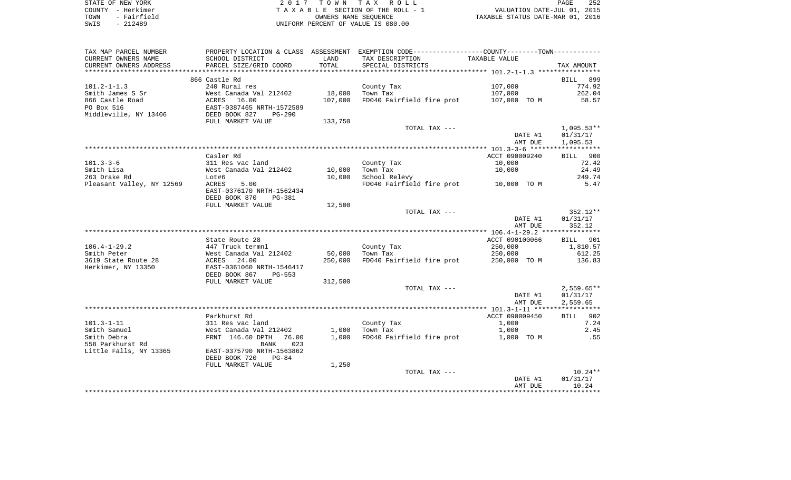| STATE OF NEW YORK   | 2017 TOWN TAX ROLL                 | 252<br>PAGE                      |
|---------------------|------------------------------------|----------------------------------|
| COUNTY - Herkimer   | TAXABLE SECTION OF THE ROLL - 1    | VALUATION DATE-JUL 01, 2015      |
| - Fairfield<br>TOWN | OWNERS NAME SEOUENCE               | TAXABLE STATUS DATE-MAR 01, 2016 |
| SWIS<br>$-212489$   | UNIFORM PERCENT OF VALUE IS 080.00 |                                  |

| TAX MAP PARCEL NUMBER               |                                          |         | PROPERTY LOCATION & CLASS ASSESSMENT EXEMPTION CODE---------------COUNTY--------TOWN---------- |                |              |
|-------------------------------------|------------------------------------------|---------|------------------------------------------------------------------------------------------------|----------------|--------------|
| CURRENT OWNERS NAME                 | SCHOOL DISTRICT                          | LAND    | TAX DESCRIPTION                                                                                | TAXABLE VALUE  |              |
| CURRENT OWNERS ADDRESS              | PARCEL SIZE/GRID COORD                   | TOTAL   | SPECIAL DISTRICTS                                                                              |                | TAX AMOUNT   |
|                                     |                                          |         |                                                                                                |                |              |
|                                     | 866 Castle Rd                            |         |                                                                                                |                | BILL 899     |
| $101.2 - 1 - 1.3$                   | 240 Rural res                            |         | County Tax                                                                                     | 107,000        | 774.92       |
| Smith James S Sr                    | West Canada Val 212402                   | 18,000  | Town Tax                                                                                       | 107,000        | 262.04       |
| 866 Castle Road<br>PO Box 516       | ACRES 16.00<br>EAST-0387465 NRTH-1572589 | 107,000 | FD040 Fairfield fire prot                                                                      | 107,000 TO M   | 58.57        |
| Middleville, NY 13406 DEED BOOK 827 | PG-290                                   |         |                                                                                                |                |              |
|                                     | FULL MARKET VALUE                        | 133,750 |                                                                                                |                |              |
|                                     |                                          |         | TOTAL TAX ---                                                                                  |                | $1,095.53**$ |
|                                     |                                          |         |                                                                                                | DATE #1        | 01/31/17     |
|                                     |                                          |         |                                                                                                | AMT DUE        | 1,095.53     |
|                                     |                                          |         |                                                                                                |                |              |
|                                     | Casler Rd                                |         |                                                                                                | ACCT 090009240 | BILL 900     |
| $101.3 - 3 - 6$                     | 311 Res vac land                         |         | County Tax                                                                                     | 10,000         | 72.42        |
| Smith Lisa                          | West Canada Val 212402                   | 10,000  | Town Tax                                                                                       | 10,000         | 24.49        |
| 263 Drake Rd                        | Lot#6                                    | 10,000  | School Relevy                                                                                  |                | 249.74       |
| Pleasant Valley, NY 12569           | 5.00<br>ACRES                            |         | FD040 Fairfield fire prot 10,000 TO M                                                          |                | 5.47         |
|                                     | EAST-0376170 NRTH-1562434                |         |                                                                                                |                |              |
|                                     | DEED BOOK 870<br>PG-381                  |         |                                                                                                |                |              |
|                                     | FULL MARKET VALUE                        | 12,500  |                                                                                                |                | 352.12**     |
|                                     |                                          |         | TOTAL TAX ---                                                                                  | DATE #1        | 01/31/17     |
|                                     |                                          |         |                                                                                                | AMT DUE        | 352.12       |
|                                     |                                          |         |                                                                                                |                |              |
|                                     | State Route 28                           |         |                                                                                                | ACCT 090100066 | BILL 901     |
| $106.4 - 1 - 29.2$                  | 447 Truck termnl                         |         | County Tax                                                                                     | 250,000        | 1,810.57     |
| Smith Peter                         |                                          | 50,000  | Town Tax                                                                                       | 250,000        | 612.25       |
| 3619 State Route 28                 | West Canada Val 212402<br>ACRES   24.00  | 250,000 | FD040 Fairfield fire prot                                                                      | 250,000 TO M   | 136.83       |
| Herkimer, NY 13350                  | EAST-0361060 NRTH-1546417                |         |                                                                                                |                |              |
|                                     | DEED BOOK 867<br>$PG-553$                |         |                                                                                                |                |              |
|                                     | FULL MARKET VALUE                        | 312,500 |                                                                                                |                |              |
|                                     |                                          |         | TOTAL TAX ---                                                                                  |                | $2,559.65**$ |
|                                     |                                          |         |                                                                                                | DATE #1        | 01/31/17     |
|                                     |                                          |         |                                                                                                | AMT DUE        | 2,559.65     |
|                                     | Parkhurst Rd                             |         |                                                                                                | ACCT 090009450 | BILL 902     |
| $101.3 - 1 - 11$                    | 311 Res vac land                         |         | County Tax                                                                                     | 1,000          | 7.24         |
| Smith Samuel                        | West Canada Val 212402                   |         | $1.000$ Town Tax                                                                               | 1,000          | 2.45         |
| Smith Debra                         | FRNT 146.60 DPTH<br>76.00                |         | 1,000 FD040 Fairfield fire prot                                                                | 1,000 TO M     | .55          |
| 558 Parkhurst Rd                    | BANK<br>023                              |         |                                                                                                |                |              |
| Little Falls, NY 13365              | EAST-0375790 NRTH-1563862                |         |                                                                                                |                |              |
|                                     | DEED BOOK 720<br>$PG-84$                 |         |                                                                                                |                |              |
|                                     | FULL MARKET VALUE                        | 1,250   |                                                                                                |                |              |
|                                     |                                          |         | TOTAL TAX ---                                                                                  |                | $10.24**$    |
|                                     |                                          |         |                                                                                                | DATE #1        | 01/31/17     |
|                                     |                                          |         |                                                                                                | AMT DUE        | 10.24        |
|                                     |                                          |         |                                                                                                |                |              |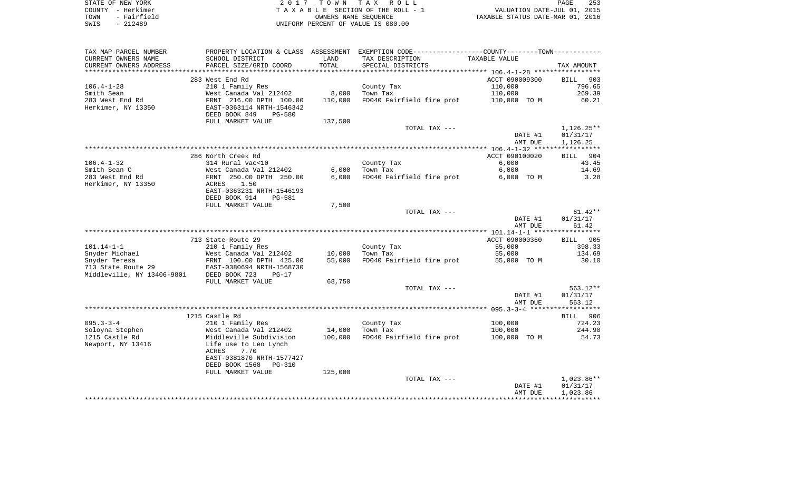| STATE OF NEW YORK   | 2017 TOWN TAX ROLL                 | 253<br>PAGE                      |
|---------------------|------------------------------------|----------------------------------|
| COUNTY - Herkimer   | TAXABLE SECTION OF THE ROLL - 1    | VALUATION DATE-JUL 01, 2015      |
| - Fairfield<br>TOWN | OWNERS NAME SEOUENCE               | TAXABLE STATUS DATE-MAR 01, 2016 |
| $-212489$<br>SWIS   | UNIFORM PERCENT OF VALUE IS 080.00 |                                  |

| TAX MAP PARCEL NUMBER      |                                                      |         | PROPERTY LOCATION & CLASS ASSESSMENT EXEMPTION CODE---------------COUNTY-------TOWN---------- |                         |                      |
|----------------------------|------------------------------------------------------|---------|-----------------------------------------------------------------------------------------------|-------------------------|----------------------|
| CURRENT OWNERS NAME        | SCHOOL DISTRICT                                      | LAND    | TAX DESCRIPTION                                                                               | TAXABLE VALUE           |                      |
| CURRENT OWNERS ADDRESS     | PARCEL SIZE/GRID COORD                               | TOTAL   | SPECIAL DISTRICTS                                                                             |                         | TAX AMOUNT           |
|                            |                                                      |         |                                                                                               |                         |                      |
|                            | 283 West End Rd                                      |         |                                                                                               | ACCT 090009300          | BILL 903             |
| $106.4 - 1 - 28$           | 210 1 Family Res                                     |         | County Tax                                                                                    | 110,000                 | 796.65               |
| Smith Sean                 | West Canada Val 212402                               | 8,000   | Town Tax                                                                                      | 110,000                 | 269.39               |
| 283 West End Rd            | FRNT 216.00 DPTH 100.00                              | 110,000 | FD040 Fairfield fire prot                                                                     | 110,000 TO M            | 60.21                |
| Herkimer, NY 13350         | EAST-0363114 NRTH-1546342                            |         |                                                                                               |                         |                      |
|                            | DEED BOOK 849<br><b>PG-580</b>                       |         |                                                                                               |                         |                      |
|                            | FULL MARKET VALUE                                    | 137,500 |                                                                                               |                         |                      |
|                            |                                                      |         | TOTAL TAX ---                                                                                 |                         | 1,126.25**           |
|                            |                                                      |         |                                                                                               | DATE #1                 | 01/31/17             |
|                            |                                                      |         |                                                                                               | AMT DUE                 | 1,126.25             |
|                            |                                                      |         |                                                                                               |                         |                      |
| $106.4 - 1 - 32$           | 286 North Creek Rd<br>314 Rural vac<10               |         | County Tax                                                                                    | ACCT 090100020<br>6,000 | 904<br>BILL<br>43.45 |
| Smith Sean C               |                                                      | 6,000   | Town Tax                                                                                      | 6,000                   | 14.69                |
| 283 West End Rd            | West Canada Val 212402<br>FRNT 250.00 DPTH 250.00    | 6,000   | FD040 Fairfield fire prot                                                                     | 6,000 TO M              | 3.28                 |
| Herkimer, NY 13350         | 1.50<br>ACRES                                        |         |                                                                                               |                         |                      |
|                            | EAST-0363231 NRTH-1546193                            |         |                                                                                               |                         |                      |
|                            | DEED BOOK 914<br><b>PG-581</b>                       |         |                                                                                               |                         |                      |
|                            | FULL MARKET VALUE                                    | 7,500   |                                                                                               |                         |                      |
|                            |                                                      |         | TOTAL TAX ---                                                                                 |                         | $61.42**$            |
|                            |                                                      |         |                                                                                               | DATE #1                 | 01/31/17             |
|                            |                                                      |         |                                                                                               | AMT DUE                 | 61.42                |
|                            |                                                      |         |                                                                                               |                         |                      |
|                            | 713 State Route 29                                   |         |                                                                                               | ACCT 090000360          | BILL 905             |
| $101.14 - 1 - 1$           | 210 1 Family Res                                     |         | County Tax                                                                                    | 55,000                  | 398.33               |
| Snyder Michael             | West Canada Val 212402                               | 10,000  | Town Tax                                                                                      | 55,000                  | 134.69               |
| Snyder Teresa              |                                                      | 55,000  | FD040 Fairfield fire prot                                                                     | 55,000 TO M             | 30.10                |
| 713 State Route 29         | FRNT 100.00 DPTH 425.00<br>EAST-0380694 NRTH-1568730 |         |                                                                                               |                         |                      |
| Middleville, NY 13406-9801 | DEED BOOK 723<br>$PG-17$                             |         |                                                                                               |                         |                      |
|                            | FULL MARKET VALUE                                    | 68,750  |                                                                                               |                         |                      |
|                            |                                                      |         | TOTAL TAX ---                                                                                 |                         | $563.12**$           |
|                            |                                                      |         |                                                                                               | DATE #1                 | 01/31/17             |
|                            |                                                      |         |                                                                                               | AMT DUE                 | 563.12               |
|                            |                                                      |         |                                                                                               |                         |                      |
|                            | 1215 Castle Rd                                       |         |                                                                                               |                         | BILL 906             |
| $095.3 - 3 - 4$            | 210 1 Family Res                                     |         | County Tax                                                                                    | 100,000                 | 724.23               |
| Soloyna Stephen            | West Canada Val 212402                               | 14,000  | Town Tax                                                                                      | 100,000                 | 244.90               |
| 1215 Castle Rd             | Middleville Subdivision                              | 100,000 | FD040 Fairfield fire prot                                                                     | 100,000 TO M            | 54.73                |
| Newport, NY 13416          | Life use to Leo Lynch                                |         |                                                                                               |                         |                      |
|                            | 7.70<br>ACRES                                        |         |                                                                                               |                         |                      |
|                            | EAST-0381870 NRTH-1577427                            |         |                                                                                               |                         |                      |
|                            | DEED BOOK 1568<br>PG-310                             |         |                                                                                               |                         |                      |
|                            | FULL MARKET VALUE                                    | 125,000 |                                                                                               |                         |                      |
|                            |                                                      |         | TOTAL TAX ---                                                                                 |                         | 1,023.86**           |
|                            |                                                      |         |                                                                                               | DATE #1                 | 01/31/17             |
|                            |                                                      |         |                                                                                               | AMT DUE                 | 1,023.86             |
|                            |                                                      |         |                                                                                               |                         |                      |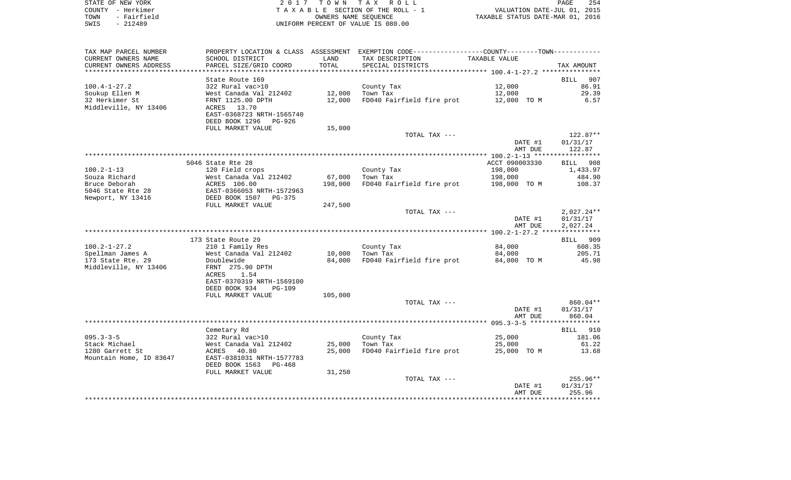| STATE OF NEW YORK   | 2017 TOWN TAX ROLL                 | 254<br>PAGE                      |
|---------------------|------------------------------------|----------------------------------|
| COUNTY - Herkimer   | TAXABLE SECTION OF THE ROLL - 1    | VALUATION DATE-JUL 01, 2015      |
| - Fairfield<br>TOWN | OWNERS NAME SEOUENCE               | TAXABLE STATUS DATE-MAR 01, 2016 |
| SWIS<br>$-212489$   | UNIFORM PERCENT OF VALUE IS 080.00 |                                  |

| TAX MAP PARCEL NUMBER   |                                                       |         | PROPERTY LOCATION & CLASS ASSESSMENT EXEMPTION CODE---------------COUNTY-------TOWN---------- |                |                    |
|-------------------------|-------------------------------------------------------|---------|-----------------------------------------------------------------------------------------------|----------------|--------------------|
| CURRENT OWNERS NAME     | SCHOOL DISTRICT                                       | LAND    | TAX DESCRIPTION                                                                               | TAXABLE VALUE  |                    |
| CURRENT OWNERS ADDRESS  | PARCEL SIZE/GRID COORD                                | TOTAL   | SPECIAL DISTRICTS                                                                             |                | TAX AMOUNT         |
|                         |                                                       |         |                                                                                               |                |                    |
|                         | State Route 169                                       |         |                                                                                               |                | <b>BILL</b><br>907 |
| $100.4 - 1 - 27.2$      | 322 Rural vac>10                                      |         | County Tax                                                                                    | 12,000         | 86.91              |
| Soukup Ellen M          | West Canada Val 212402                                | 12,000  | Town Tax                                                                                      | 12,000         | 29.39              |
| 32 Herkimer St          | FRNT 1125.00 DPTH                                     | 12,000  | FD040 Fairfield fire prot                                                                     | 12,000 TO M    | 6.57               |
| Middleville, NY 13406   | ACRES 13.70                                           |         |                                                                                               |                |                    |
|                         | EAST-0368723 NRTH-1565740                             |         |                                                                                               |                |                    |
|                         | DEED BOOK 1296 PG-926                                 |         |                                                                                               |                |                    |
|                         | FULL MARKET VALUE                                     | 15,000  | TOTAL TAX ---                                                                                 |                | 122.87**           |
|                         |                                                       |         |                                                                                               | DATE #1        | 01/31/17           |
|                         |                                                       |         |                                                                                               | AMT DUE        | 122.87             |
|                         |                                                       |         |                                                                                               |                |                    |
|                         | 5046 State Rte 28                                     |         |                                                                                               | ACCT 090003330 | BILL 908           |
| 100.2-1-13              | 120 Field crops                                       |         | County Tax                                                                                    | 198,000        | 1,433.97           |
| Souza Richard           | West Canada Val 212402                                | 67,000  | Town Tax                                                                                      | 198,000        | 484.90             |
| Bruce Deborah           | ACRES 106.00                                          | 198,000 | FD040 Fairfield fire prot                                                                     | 198,000 TO M   | 108.37             |
| 5046 State Rte 28       | EAST-0366053 NRTH-1572963<br>DEED BOOK 1507 PG-375    |         |                                                                                               |                |                    |
| Newport, NY 13416       |                                                       |         |                                                                                               |                |                    |
|                         | FULL MARKET VALUE                                     | 247,500 |                                                                                               |                |                    |
|                         |                                                       |         | TOTAL TAX ---                                                                                 |                | 2,027.24**         |
|                         |                                                       |         |                                                                                               | DATE #1        | 01/31/17           |
|                         |                                                       |         |                                                                                               | AMT DUE        | 2,027.24           |
|                         |                                                       |         |                                                                                               |                |                    |
| $100.2 - 1 - 27.2$      | 173 State Route 29<br>210 1 Family Res                |         | County Tax                                                                                    | 84,000         | BILL 909<br>608.35 |
| Spellman James A        | West Canada Val 212402                                | 10,000  | Town Tax                                                                                      | 84,000         | 205.71             |
| 173 State Rte. 29       | Doublewide                                            | 84,000  | FD040 Fairfield fire prot                                                                     | 84,000 TO M    | 45.98              |
| Middleville, NY 13406   | FRNT 275.90 DPTH                                      |         |                                                                                               |                |                    |
|                         | 1.54<br>ACRES                                         |         |                                                                                               |                |                    |
|                         | EAST-0370319 NRTH-1569100                             |         |                                                                                               |                |                    |
|                         | DEED BOOK 934<br><b>PG-109</b>                        |         |                                                                                               |                |                    |
|                         | FULL MARKET VALUE                                     | 105,000 |                                                                                               |                |                    |
|                         |                                                       |         | TOTAL TAX ---                                                                                 |                | 860.04**           |
|                         |                                                       |         |                                                                                               | DATE #1        | 01/31/17           |
|                         |                                                       |         |                                                                                               | AMT DUE        | 860.04             |
|                         |                                                       |         |                                                                                               |                |                    |
|                         | Cemetary Rd                                           |         |                                                                                               |                | BILL 910           |
| $095.3 - 3 - 5$         | 322 Rural vac>10                                      |         | County Tax                                                                                    | 25,000         | 181.06             |
| Stack Michael           | West Canada Val 212402                                | 25,000  | Town Tax                                                                                      | 25,000         | 61.22              |
| 1280 Garrett St         | ACRES 40.80                                           | 25,000  | FD040 Fairfield fire prot                                                                     | 25,000 TO M    | 13.68              |
| Mountain Home, ID 83647 | EAST-0381031 NRTH-1577783<br>DEED BOOK 1563<br>PG-468 |         |                                                                                               |                |                    |
|                         | FULL MARKET VALUE                                     | 31,250  |                                                                                               |                |                    |
|                         |                                                       |         | TOTAL TAX ---                                                                                 |                | 255.96**           |
|                         |                                                       |         |                                                                                               | DATE #1        | 01/31/17           |
|                         |                                                       |         |                                                                                               | AMT DUE        | 255.96             |
|                         |                                                       |         |                                                                                               |                |                    |
|                         |                                                       |         |                                                                                               |                |                    |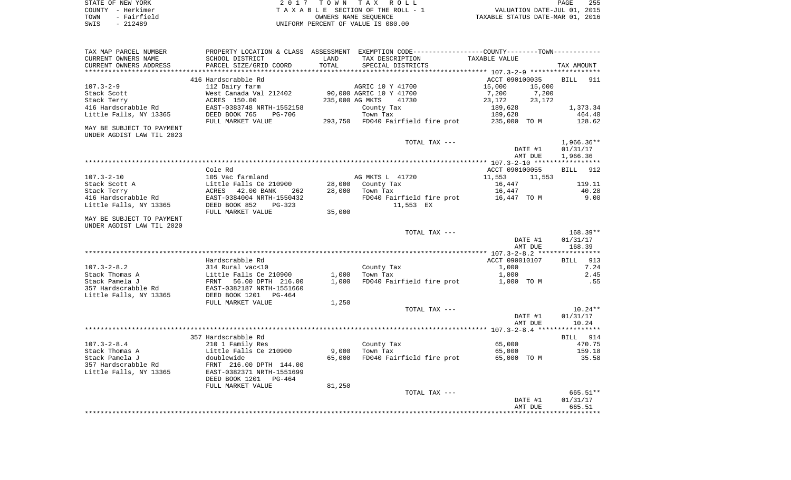| STATE OF NEW YORK   | 2017 TOWN TAX ROLL                 | 255<br>PAGE                      |
|---------------------|------------------------------------|----------------------------------|
| COUNTY - Herkimer   | TAXABLE SECTION OF THE ROLL - 1    | VALUATION DATE-JUL 01, 2015      |
| - Fairfield<br>TOWN | OWNERS NAME SEOUENCE               | TAXABLE STATUS DATE-MAR 01, 2016 |
| - 212489<br>SWIS    | UNIFORM PERCENT OF VALUE IS 080.00 |                                  |

| TAX MAP PARCEL NUMBER<br>CURRENT OWNERS NAME                                      | PROPERTY LOCATION & CLASS ASSESSMENT EXEMPTION CODE---------------COUNTY-------TOWN----------<br>SCHOOL DISTRICT | LAND            | TAX DESCRIPTION                                      | TAXABLE VALUE                   |                                      |
|-----------------------------------------------------------------------------------|------------------------------------------------------------------------------------------------------------------|-----------------|------------------------------------------------------|---------------------------------|--------------------------------------|
| CURRENT OWNERS ADDRESS                                                            | PARCEL SIZE/GRID COORD                                                                                           | TOTAL           | SPECIAL DISTRICTS                                    |                                 | TAX AMOUNT                           |
|                                                                                   | 416 Hardscrabble Rd                                                                                              |                 |                                                      | ACCT 090100035                  | 911<br><b>BILL</b>                   |
| $107.3 - 2 - 9$<br>Stack Scott<br>Stack Terry                                     | 112 Dairy farm<br>West Canada Val 212402<br>ACRES 150.00                                                         | 235,000 AG MKTS | AGRIC 10 Y 41700<br>90,000 AGRIC 10 Y 41700<br>41730 | 15,000<br>7,200<br>23,172       | 15,000<br>7,200<br>23,172            |
| 416 Hardscrabble Rd<br>Little Falls, NY 13365                                     | EAST-0383748 NRTH-1552158<br>DEED BOOK 765<br>PG-706                                                             |                 | County Tax<br>Town Tax                               | 189,628<br>189,628              | 1,373.34<br>464.40                   |
| MAY BE SUBJECT TO PAYMENT<br>UNDER AGDIST LAW TIL 2023                            | FULL MARKET VALUE                                                                                                |                 | 293,750 FD040 Fairfield fire prot                    | 235,000 TO M                    | 128.62                               |
|                                                                                   |                                                                                                                  |                 | TOTAL TAX ---                                        | DATE #1<br>AMT DUE              | $1,966.36**$<br>01/31/17<br>1,966.36 |
|                                                                                   |                                                                                                                  |                 |                                                      |                                 |                                      |
|                                                                                   | Cole Rd                                                                                                          |                 |                                                      | ACCT 090100055                  | 912<br><b>BILL</b>                   |
| $107.3 - 2 - 10$<br>Stack Scott A                                                 | 105 Vac farmland<br>Little Falls Ce 210900                                                                       | 28,000          | AG MKTS L 41720<br>County Tax                        | 11,553<br>16,447                | 11,553<br>119.11                     |
| Stack Terry                                                                       | ACRES 42.00 BANK<br>262                                                                                          | 28,000          | Town Tax                                             | 16,447                          | 40.28                                |
| 416 Hardscrabble Rd                                                               | EAST-0384004 NRTH-1550432                                                                                        |                 | FD040 Fairfield fire prot 16,447 TO M                |                                 | 9.00                                 |
| Little Falls, NY 13365                                                            | DEED BOOK 852<br>$PG-323$<br>FULL MARKET VALUE                                                                   | 35,000          | 11,553 EX                                            |                                 |                                      |
| MAY BE SUBJECT TO PAYMENT                                                         |                                                                                                                  |                 |                                                      |                                 |                                      |
| UNDER AGDIST LAW TIL 2020                                                         |                                                                                                                  |                 |                                                      |                                 |                                      |
|                                                                                   |                                                                                                                  |                 | TOTAL TAX ---                                        | DATE #1<br>AMT DUE              | $168.39**$<br>01/31/17<br>168.39     |
|                                                                                   |                                                                                                                  |                 |                                                      |                                 |                                      |
|                                                                                   | Hardscrabble Rd                                                                                                  |                 |                                                      | ACCT 090010107                  | 913<br>BILL                          |
| $107.3 - 2 - 8.2$                                                                 | 314 Rural vac<10                                                                                                 |                 | County Tax                                           | 1,000                           | 7.24                                 |
| Stack Thomas A<br>Stack Pamela J<br>357 Hardscrabble Rd<br>Little Falls, NY 13365 | Little Falls Ce 210900<br>FRNT<br>56.00 DPTH 216.00<br>EAST-0382187 NRTH-1551660<br>DEED BOOK 1201 PG-464        | 1,000<br>1,000  | Town Tax<br>FD040 Fairfield fire prot                | 1,000<br>1,000 TO M             | 2.45<br>.55                          |
|                                                                                   | FULL MARKET VALUE                                                                                                | 1,250           | TOTAL TAX ---                                        |                                 | $10.24**$                            |
|                                                                                   |                                                                                                                  |                 |                                                      | DATE #1<br>AMT DUE              | 01/31/17<br>10.24                    |
|                                                                                   |                                                                                                                  |                 |                                                      |                                 |                                      |
|                                                                                   | 357 Hardscrabble Rd                                                                                              |                 |                                                      |                                 | BILL 914                             |
| $107.3 - 2 - 8.4$<br>Stack Thomas A<br>Stack Pamela J<br>357 Hardscrabble Rd      | 210 1 Family Res<br>Little Falls Ce 210900<br>doublewide<br>FRNT 216.00 DPTH 144.00                              | 9,000<br>65,000 | County Tax<br>Town Tax<br>FD040 Fairfield fire prot  | 65,000<br>65,000<br>65,000 TO M | 470.75<br>159.18<br>35.58            |
| Little Falls, NY 13365                                                            | EAST-0382371 NRTH-1551699<br>DEED BOOK 1201<br>PG-464<br>FULL MARKET VALUE                                       | 81,250          |                                                      |                                 |                                      |
|                                                                                   |                                                                                                                  |                 | TOTAL TAX ---                                        |                                 | 665.51**                             |
|                                                                                   |                                                                                                                  |                 |                                                      | DATE #1<br>AMT DUE              | 01/31/17<br>665.51                   |
|                                                                                   |                                                                                                                  |                 |                                                      |                                 |                                      |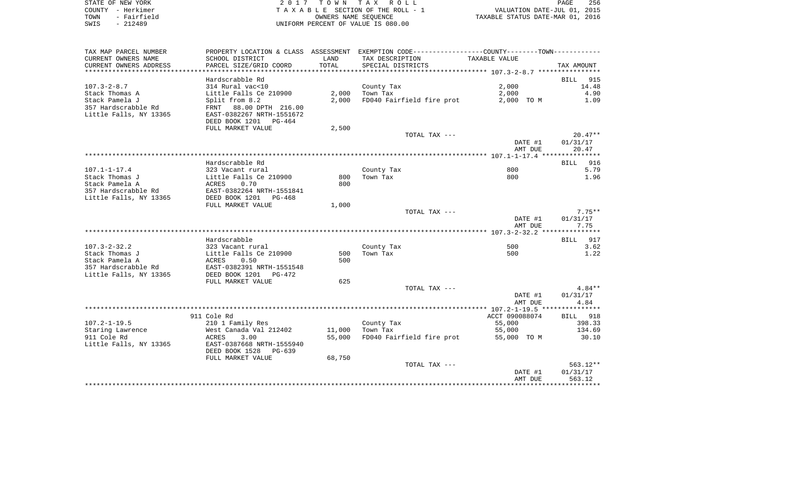|      | STATE OF NEW YORK | 2017 TOWN TAX ROLL                 | PAGE                             | 256 |
|------|-------------------|------------------------------------|----------------------------------|-----|
|      | COUNTY - Herkimer | TAXABLE SECTION OF THE ROLL - 1    | VALUATION DATE-JUL 01, 2015      |     |
| TOWN | - Fairfield       | OWNERS NAME SEOUENCE               | TAXABLE STATUS DATE-MAR 01, 2016 |     |
| SWIS | $-212489$         | UNIFORM PERCENT OF VALUE IS 080.00 |                                  |     |

| TAX MAP PARCEL NUMBER                                           |                                                                                                   |        | PROPERTY LOCATION & CLASS ASSESSMENT EXEMPTION CODE----------------COUNTY--------TOWN----------- |                    |                    |
|-----------------------------------------------------------------|---------------------------------------------------------------------------------------------------|--------|--------------------------------------------------------------------------------------------------|--------------------|--------------------|
| CURRENT OWNERS NAME                                             | SCHOOL DISTRICT                                                                                   | LAND   | TAX DESCRIPTION                                                                                  | TAXABLE VALUE      |                    |
| CURRENT OWNERS ADDRESS                                          | PARCEL SIZE/GRID COORD                                                                            | TOTAL  | SPECIAL DISTRICTS                                                                                |                    | TAX AMOUNT         |
| *********************                                           |                                                                                                   |        |                                                                                                  |                    |                    |
|                                                                 | Hardscrabble Rd                                                                                   |        |                                                                                                  |                    | BILL<br>915        |
| $107.3 - 2 - 8.7$                                               | 314 Rural vac<10                                                                                  |        | County Tax                                                                                       | 2,000              | 14.48              |
| Stack Thomas A                                                  | Little Falls Ce 210900                                                                            | 2,000  | Town Tax                                                                                         | 2,000              | 4.90               |
| Stack Pamela J                                                  | Split from 8.2                                                                                    | 2,000  | FD040 Fairfield fire prot                                                                        | 2,000 TO M         | 1.09               |
| 357 Hardscrabble Rd<br>Little Falls, NY 13365                   | FRNT 88.00 DPTH 216.00<br>EAST-0382267 NRTH-1551672<br>DEED BOOK 1201 PG-464<br>FULL MARKET VALUE | 2,500  |                                                                                                  |                    |                    |
|                                                                 |                                                                                                   |        | TOTAL TAX ---                                                                                    |                    | $20.47**$          |
|                                                                 |                                                                                                   |        |                                                                                                  | DATE #1            | 01/31/17           |
|                                                                 |                                                                                                   |        |                                                                                                  | AMT DUE            | 20.47              |
|                                                                 |                                                                                                   |        |                                                                                                  |                    |                    |
|                                                                 | Hardscrabble Rd                                                                                   |        |                                                                                                  |                    | BILL 916           |
| $107.1 - 1 - 17.4$                                              | 323 Vacant rural                                                                                  |        | County Tax                                                                                       | 800                | 5.79               |
| Stack Thomas J                                                  | Little Falls Ce 210900                                                                            | 800    | Town Tax                                                                                         | 800                | 1.96               |
| Stack Pamela A<br>357 Hardscrabble Rd<br>Little Falls, NY 13365 | ACRES<br>0.70<br>EAST-0382264 NRTH-1551841                                                        | 800    |                                                                                                  |                    |                    |
|                                                                 | FULL MARKET VALUE                                                                                 | 1,000  |                                                                                                  |                    |                    |
|                                                                 |                                                                                                   |        | TOTAL TAX ---                                                                                    |                    | $7.75**$           |
|                                                                 |                                                                                                   |        |                                                                                                  | DATE #1<br>AMT DUE | 01/31/17<br>7.75   |
|                                                                 |                                                                                                   |        |                                                                                                  |                    |                    |
|                                                                 | Hardscrabble                                                                                      |        |                                                                                                  |                    | BILL 917           |
| $107.3 - 2 - 32.2$                                              | 323 Vacant rural                                                                                  |        | County Tax                                                                                       | 500                | 3.62               |
| Stack Thomas J                                                  | Little Falls Ce 210900                                                                            | 500    | Town Tax                                                                                         | 500                | 1.22               |
| Stack Pamela A<br>357 Hardscrabble Rd                           | ACRES<br>0.50<br>EAST-0382391 NRTH-1551548                                                        | 500    |                                                                                                  |                    |                    |
| Little Falls, NY 13365                                          | DEED BOOK 1201<br>PG-472                                                                          |        |                                                                                                  |                    |                    |
|                                                                 | FULL MARKET VALUE                                                                                 | 625    |                                                                                                  |                    |                    |
|                                                                 |                                                                                                   |        | TOTAL TAX ---                                                                                    |                    | 4.84**             |
|                                                                 |                                                                                                   |        |                                                                                                  | DATE #1<br>AMT DUE | 01/31/17<br>4.84   |
|                                                                 |                                                                                                   |        |                                                                                                  |                    |                    |
|                                                                 | 911 Cole Rd                                                                                       |        |                                                                                                  | ACCT 090088074     | BILL 918           |
| $107.2 - 1 - 19.5$                                              | 210 1 Family Res                                                                                  |        | County Tax                                                                                       | 55,000             | 398.33             |
| Staring Lawrence                                                | West Canada Val 212402                                                                            | 11,000 | Town Tax                                                                                         | 55,000             | 134.69             |
| 911 Cole Rd<br>Little Falls, NY 13365                           | 3.00<br>ACRES<br>EAST-0387668 NRTH-1555940<br>DEED BOOK 1528 PG-639                               | 55,000 | FD040 Fairfield fire prot 55,000 TO M                                                            |                    | 30.10              |
|                                                                 | FULL MARKET VALUE                                                                                 | 68,750 |                                                                                                  |                    |                    |
|                                                                 |                                                                                                   |        | TOTAL TAX ---                                                                                    |                    | $563.12**$         |
|                                                                 |                                                                                                   |        |                                                                                                  | DATE #1<br>AMT DUE | 01/31/17<br>563.12 |
|                                                                 |                                                                                                   |        |                                                                                                  |                    |                    |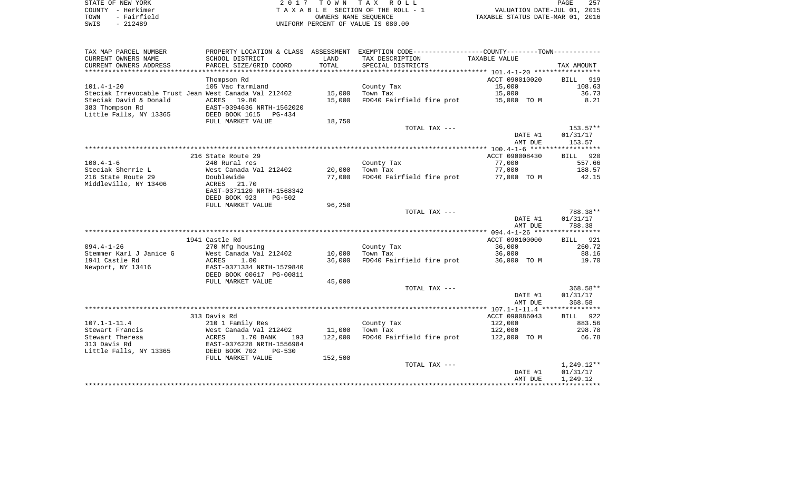| STATE OF NEW YORK   | 2017 TOWN TAX ROLL                 | 257<br>PAGE                      |
|---------------------|------------------------------------|----------------------------------|
| COUNTY - Herkimer   | TAXABLE SECTION OF THE ROLL - 1    | VALUATION DATE-JUL 01, 2015      |
| - Fairfield<br>TOWN | OWNERS NAME SEOUENCE               | TAXABLE STATUS DATE-MAR 01, 2016 |
| $-212489$<br>SWIS   | UNIFORM PERCENT OF VALUE IS 080.00 |                                  |

| TAX MAP PARCEL NUMBER                                 |                                |         | PROPERTY LOCATION & CLASS ASSESSMENT EXEMPTION CODE----------------COUNTY--------TOWN---------- |                |                        |
|-------------------------------------------------------|--------------------------------|---------|-------------------------------------------------------------------------------------------------|----------------|------------------------|
| CURRENT OWNERS NAME                                   | SCHOOL DISTRICT                | LAND    | TAX DESCRIPTION                                                                                 | TAXABLE VALUE  |                        |
| CURRENT OWNERS ADDRESS                                | PARCEL SIZE/GRID COORD         | TOTAL   | SPECIAL DISTRICTS                                                                               |                | TAX AMOUNT             |
|                                                       |                                |         |                                                                                                 |                |                        |
|                                                       | Thompson Rd                    |         |                                                                                                 | ACCT 090010020 | BILL 919               |
| $101.4 - 1 - 20$                                      | 105 Vac farmland               |         | County Tax                                                                                      | 15,000         | 108.63                 |
| Steciak Irrevocable Trust Jean West Canada Val 212402 |                                | 15,000  | Town Tax                                                                                        | 15,000         | 36.73                  |
| Steciak David & Donald                                | ACRES 19.80                    | 15,000  | FD040 Fairfield fire prot                                                                       | 15,000 TO M    | 8.21                   |
| 383 Thompson Rd                                       | EAST-0394636 NRTH-1562020      |         |                                                                                                 |                |                        |
| Little Falls, NY 13365                                | DEED BOOK 1615<br>PG-434       |         |                                                                                                 |                |                        |
|                                                       | FULL MARKET VALUE              | 18,750  |                                                                                                 |                |                        |
|                                                       |                                |         | TOTAL TAX ---                                                                                   |                | $153.57**$             |
|                                                       |                                |         |                                                                                                 | DATE #1        | 01/31/17               |
|                                                       |                                |         |                                                                                                 | AMT DUE        | 153.57                 |
|                                                       |                                |         |                                                                                                 |                |                        |
|                                                       | 216 State Route 29             |         |                                                                                                 | ACCT 090008430 | BILL 920               |
| $100.4 - 1 - 6$                                       | 240 Rural res                  |         | County Tax                                                                                      | 77,000         | 557.66                 |
| Steciak Sherrie L                                     | West Canada Val 212402         | 20,000  | Town Tax                                                                                        | 77,000         | 188.57                 |
| 216 State Route 29                                    | Doublewide                     | 77,000  | FD040 Fairfield fire prot 77,000 TO M                                                           |                | 42.15                  |
| Middleville, NY 13406                                 | ACRES<br>21.70                 |         |                                                                                                 |                |                        |
|                                                       | EAST-0371120 NRTH-1568342      |         |                                                                                                 |                |                        |
|                                                       | DEED BOOK 923<br><b>PG-502</b> |         |                                                                                                 |                |                        |
|                                                       | FULL MARKET VALUE              | 96,250  |                                                                                                 |                |                        |
|                                                       |                                |         | TOTAL TAX ---                                                                                   |                | 788.38**               |
|                                                       |                                |         |                                                                                                 | DATE #1        | 01/31/17               |
|                                                       |                                |         |                                                                                                 | AMT DUE        | 788.38                 |
|                                                       |                                |         |                                                                                                 |                |                        |
|                                                       | 1941 Castle Rd                 |         |                                                                                                 | ACCT 090100000 | BILL 921               |
| $094.4 - 1 - 26$                                      | 270 Mfg housing                |         | County Tax                                                                                      | 36,000         | 260.72                 |
| Stemmer Karl J Janice G                               | West Canada Val 212402         | 10,000  | Town Tax                                                                                        | 36,000         | 88.16                  |
| 1941 Castle Rd                                        | ACRES<br>1.00                  | 36,000  | FD040 Fairfield fire prot 36,000 TO M                                                           |                | 19.70                  |
| Newport, NY 13416                                     | EAST-0371334 NRTH-1579840      |         |                                                                                                 |                |                        |
|                                                       | DEED BOOK 00617 PG-00811       |         |                                                                                                 |                |                        |
|                                                       | FULL MARKET VALUE              | 45,000  | TOTAL TAX ---                                                                                   |                |                        |
|                                                       |                                |         |                                                                                                 | DATE #1        | $368.58**$<br>01/31/17 |
|                                                       |                                |         |                                                                                                 | AMT DUE        | 368.58                 |
|                                                       |                                |         |                                                                                                 |                |                        |
|                                                       | 313 Davis Rd                   |         |                                                                                                 | ACCT 090086043 | BILL 922               |
| $107.1 - 1 - 11.4$                                    | 210 1 Family Res               |         | County Tax                                                                                      | 122,000        | 883.56                 |
| Stewart Francis                                       | West Canada Val 212402         | 11,000  | Town Tax                                                                                        | 122,000        | 298.78                 |
| Stewart Theresa                                       | 1.70 BANK<br>ACRES<br>193      | 122,000 | FD040 Fairfield fire prot                                                                       | 122,000 TO M   | 66.78                  |
| 313 Davis Rd                                          | EAST-0376228 NRTH-1556984      |         |                                                                                                 |                |                        |
| Little Falls, NY 13365                                | DEED BOOK 702<br><b>PG-530</b> |         |                                                                                                 |                |                        |
|                                                       | FULL MARKET VALUE              | 152,500 |                                                                                                 |                |                        |
|                                                       |                                |         | TOTAL TAX ---                                                                                   |                | $1,249.12**$           |
|                                                       |                                |         |                                                                                                 | DATE #1        | 01/31/17               |
|                                                       |                                |         |                                                                                                 | AMT DUE        | 1,249.12               |
|                                                       |                                |         |                                                                                                 |                |                        |
|                                                       |                                |         |                                                                                                 |                |                        |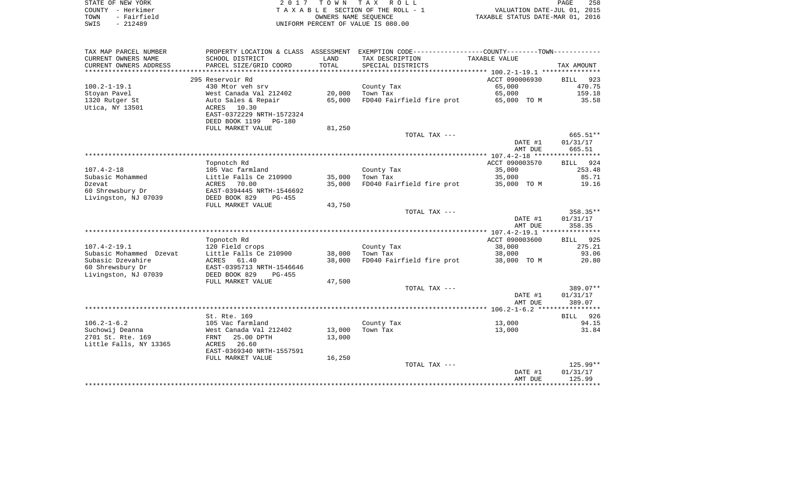|      | STATE OF NEW YORK | 2017 TOWN TAX ROLL                 | <b>PAGE</b>                      | 258 |
|------|-------------------|------------------------------------|----------------------------------|-----|
|      | COUNTY - Herkimer | TAXABLE SECTION OF THE ROLL - 1    | VALUATION DATE-JUL 01, 2015      |     |
| TOWN | - Fairfield       | OWNERS NAME SEOUENCE               | TAXABLE STATUS DATE-MAR 01, 2016 |     |
| SWIS | - 212489          | UNIFORM PERCENT OF VALUE IS 080.00 |                                  |     |

| TAX MAP PARCEL NUMBER   |                           |            | PROPERTY LOCATION & CLASS ASSESSMENT EXEMPTION CODE----------------COUNTY--------TOWN---------- |                |                    |
|-------------------------|---------------------------|------------|-------------------------------------------------------------------------------------------------|----------------|--------------------|
| CURRENT OWNERS NAME     | SCHOOL DISTRICT           | LAND       | TAX DESCRIPTION                                                                                 | TAXABLE VALUE  |                    |
| CURRENT OWNERS ADDRESS  | PARCEL SIZE/GRID COORD    | TOTAL      | SPECIAL DISTRICTS                                                                               |                | TAX AMOUNT         |
| *****************       |                           | ********** |                                                                                                 |                |                    |
|                         | 295 Reservoir Rd          |            |                                                                                                 | ACCT 090006930 | BILL 923           |
| $100.2 - 1 - 19.1$      | 430 Mtor veh srv          |            | County Tax                                                                                      | 65,000         | 470.75             |
| Stoyan Pavel            | West Canada Val 212402    | 20,000     | Town Tax                                                                                        | 65,000         | 159.18             |
| 1320 Rutger St          | Auto Sales & Repair       | 65,000     | FD040 Fairfield fire prot                                                                       | 65,000 TO M    | 35.58              |
| Utica, NY 13501         | ACRES 10.30               |            |                                                                                                 |                |                    |
|                         | EAST-0372229 NRTH-1572324 |            |                                                                                                 |                |                    |
|                         | DEED BOOK 1199<br>PG-180  |            |                                                                                                 |                |                    |
|                         | FULL MARKET VALUE         | 81,250     |                                                                                                 |                |                    |
|                         |                           |            | TOTAL TAX ---                                                                                   |                | 665.51**           |
|                         |                           |            |                                                                                                 | DATE #1        | 01/31/17           |
|                         |                           |            |                                                                                                 | AMT DUE        | 665.51             |
|                         |                           |            |                                                                                                 |                |                    |
|                         | Topnotch Rd               |            |                                                                                                 | ACCT 090003570 | BILL 924           |
| $107.4 - 2 - 18$        | 105 Vac farmland          |            | County Tax                                                                                      | 35,000         | 253.48             |
| Subasic Mohammed        | Little Falls Ce 210900    | 35,000     | Town Tax                                                                                        | 35,000         | 85.71              |
| Dzevat                  | ACRES<br>70.00            | 35,000     | FD040 Fairfield fire prot                                                                       | 35,000 TO M    | 19.16              |
| 60 Shrewsbury Dr        | EAST-0394445 NRTH-1546692 |            |                                                                                                 |                |                    |
| Livingston, NJ 07039    | DEED BOOK 829<br>$PG-455$ |            |                                                                                                 |                |                    |
|                         | FULL MARKET VALUE         | 43,750     |                                                                                                 |                |                    |
|                         |                           |            | TOTAL TAX ---                                                                                   |                | 358.35**           |
|                         |                           |            |                                                                                                 | DATE #1        | 01/31/17           |
|                         |                           |            |                                                                                                 | AMT DUE        | 358.35             |
|                         |                           |            |                                                                                                 |                |                    |
|                         | Topnotch Rd               |            |                                                                                                 | ACCT 090003600 | BILL 925           |
| $107.4 - 2 - 19.1$      | 120 Field crops           |            | County Tax                                                                                      | 38,000         | 275.21             |
| Subasic Mohammed Dzevat | Little Falls Ce 210900    | 38,000     | Town Tax                                                                                        | 38,000         | 93.06              |
| Subasic Dzevahire       | 61.40<br>ACRES            | 38,000     | FD040 Fairfield fire prot                                                                       | 38,000 TO M    | 20.80              |
| 60 Shrewsbury Dr        | EAST-0395713 NRTH-1546646 |            |                                                                                                 |                |                    |
| Livingston, NJ 07039    | DEED BOOK 829<br>$PG-455$ |            |                                                                                                 |                |                    |
|                         | FULL MARKET VALUE         | 47,500     |                                                                                                 |                |                    |
|                         |                           |            | TOTAL TAX ---                                                                                   |                | 389.07**           |
|                         |                           |            |                                                                                                 | DATE #1        | 01/31/17           |
|                         |                           |            |                                                                                                 | AMT DUE        | 389.07             |
|                         |                           |            |                                                                                                 |                |                    |
|                         | St. Rte. 169              |            |                                                                                                 |                | BILL 926           |
| $106.2 - 1 - 6.2$       | 105 Vac farmland          |            | County Tax                                                                                      | 13,000         | 94.15              |
| Suchowij Deanna         | West Canada Val 212402    | 13,000     | Town Tax                                                                                        | 13,000         | 31.84              |
| 2701 St. Rte. 169       | 25.00 DPTH<br>FRNT        | 13,000     |                                                                                                 |                |                    |
| Little Falls, NY 13365  | ACRES<br>26.60            |            |                                                                                                 |                |                    |
|                         | EAST-0369340 NRTH-1557591 |            |                                                                                                 |                |                    |
|                         | FULL MARKET VALUE         | 16,250     |                                                                                                 |                |                    |
|                         |                           |            | TOTAL TAX ---                                                                                   |                | 125.99**           |
|                         |                           |            |                                                                                                 | DATE #1        | 01/31/17<br>125.99 |
|                         |                           |            |                                                                                                 | AMT DUE        |                    |
|                         |                           |            |                                                                                                 |                |                    |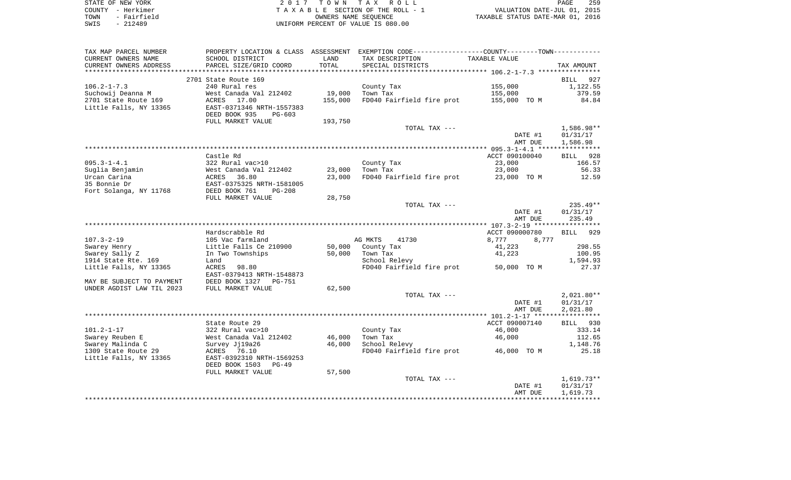| STATE OF NEW YORK   | 2017 TOWN TAX ROLL                 | 259<br>PAGE                      |
|---------------------|------------------------------------|----------------------------------|
| COUNTY - Herkimer   | TAXABLE SECTION OF THE ROLL - 1    | VALUATION DATE-JUL 01, 2015      |
| - Fairfield<br>TOWN | OWNERS NAME SEOUENCE               | TAXABLE STATUS DATE-MAR 01, 2016 |
| $-212489$<br>SWIS   | UNIFORM PERCENT OF VALUE IS 080.00 |                                  |

| TAX MAP PARCEL NUMBER           | PROPERTY LOCATION & CLASS ASSESSMENT                   |               | EXEMPTION CODE-----------------COUNTY-------TOWN----------- |                  |                    |
|---------------------------------|--------------------------------------------------------|---------------|-------------------------------------------------------------|------------------|--------------------|
| CURRENT OWNERS NAME             | SCHOOL DISTRICT                                        | LAND          | TAX DESCRIPTION                                             | TAXABLE VALUE    |                    |
| CURRENT OWNERS ADDRESS          | PARCEL SIZE/GRID COORD                                 | TOTAL         | SPECIAL DISTRICTS                                           |                  | TAX AMOUNT         |
| *******************             |                                                        | ************* |                                                             |                  |                    |
|                                 | 2701 State Route 169                                   |               |                                                             |                  | 927<br>BILL        |
| $106.2 - 1 - 7.3$               | 240 Rural res                                          |               | County Tax                                                  | 155,000          | 1,122.55           |
| Suchowij Deanna M               | West Canada Val 212402                                 | 19,000        | Town Tax                                                    | 155,000          | 379.59             |
| 2701 State Route 169            | ACRES 17.00                                            | 155,000       | FD040 Fairfield fire prot                                   | 155,000 TO M     | 84.84              |
| Little Falls, NY 13365          | EAST-0371346 NRTH-1557383                              |               |                                                             |                  |                    |
|                                 | DEED BOOK 935<br>$PG-603$                              |               |                                                             |                  |                    |
|                                 | FULL MARKET VALUE                                      | 193,750       |                                                             |                  |                    |
|                                 |                                                        |               | TOTAL TAX ---                                               |                  | 1,586.98**         |
|                                 |                                                        |               |                                                             | DATE #1          | 01/31/17           |
|                                 |                                                        |               |                                                             | AMT DUE          | 1,586.98           |
|                                 | Castle Rd                                              |               |                                                             |                  |                    |
| $095.3 - 1 - 4.1$               | 322 Rural vac>10                                       |               |                                                             | ACCT 090100040   | <b>BILL</b><br>928 |
|                                 | West Canada Val 212402                                 | 23,000        | County Tax                                                  | 23,000<br>23,000 | 166.57<br>56.33    |
| Suglia Benjamin<br>Urcan Carina | 36.80<br>ACRES                                         | 23,000        | Town Tax<br>FD040 Fairfield fire prot                       | 23,000 TO M      | 12.59              |
| 35 Bonnie Dr                    | EAST-0375325 NRTH-1581005                              |               |                                                             |                  |                    |
| Fort Solanga, NY 11768          | DEED BOOK 761<br>$PG-208$                              |               |                                                             |                  |                    |
|                                 | FULL MARKET VALUE                                      | 28,750        |                                                             |                  |                    |
|                                 |                                                        |               | TOTAL TAX ---                                               |                  | $235.49**$         |
|                                 |                                                        |               |                                                             | DATE #1          | 01/31/17           |
|                                 |                                                        |               |                                                             | AMT DUE          | 235.49             |
|                                 |                                                        |               |                                                             |                  |                    |
|                                 | Hardscrabble Rd                                        |               |                                                             | ACCT 090000780   | 929<br>BILL        |
| $107.3 - 2 - 19$                | 105 Vac farmland                                       |               | AG MKTS<br>41730                                            | 8,777<br>8,777   |                    |
| Swarey Henry                    | Little Falls Ce 210900                                 | 50,000        | County Tax                                                  | 41,223           | 298.55             |
| Swarey Sally Z                  | In Two Townships                                       | 50,000        | Town Tax                                                    | 41,223           | 100.95             |
| 1914 State Rte. 169             | Land                                                   |               | School Relevy                                               |                  | 1,594.93           |
| Little Falls, NY 13365          | ACRES<br>98.80                                         |               | FD040 Fairfield fire prot 50,000 TO M                       |                  | 27.37              |
|                                 | EAST-0379413 NRTH-1548873                              |               |                                                             |                  |                    |
| MAY BE SUBJECT TO PAYMENT       | DEED BOOK 1327 PG-751                                  |               |                                                             |                  |                    |
| UNDER AGDIST LAW TIL 2023       | FULL MARKET VALUE                                      | 62,500        |                                                             |                  |                    |
|                                 |                                                        |               | TOTAL TAX ---                                               |                  | $2,021.80**$       |
|                                 |                                                        |               |                                                             | DATE #1          | 01/31/17           |
|                                 |                                                        |               |                                                             | AMT DUE          | 2,021.80           |
|                                 |                                                        |               |                                                             |                  |                    |
|                                 | State Route 29                                         |               |                                                             | ACCT 090007140   | BILL 930           |
| $101.2 - 1 - 17$                | 322 Rural vac>10                                       |               | County Tax                                                  | 46,000           | 333.14             |
| Swarey Reuben E                 | West Canada Val 212402                                 | 46,000        | Town Tax                                                    | 46,000           | 112.65             |
| Swarey Malinda C                | Survey Jj19a26                                         | 46,000        | School Relevy                                               |                  | 1,148.76           |
| 1309 State Route 29             | ACRES 76.10                                            |               | FD040 Fairfield fire prot 46,000 TO M                       |                  | 25.18              |
| Little Falls, NY 13365          | EAST-0392310 NRTH-1569253<br>DEED BOOK 1503<br>$PG-49$ |               |                                                             |                  |                    |
|                                 |                                                        |               |                                                             |                  |                    |
|                                 | FULL MARKET VALUE                                      | 57,500        | TOTAL TAX ---                                               |                  | $1,619.73**$       |
|                                 |                                                        |               |                                                             | DATE #1          | 01/31/17           |
|                                 |                                                        |               |                                                             | AMT DUE          | 1,619.73           |
|                                 |                                                        |               |                                                             |                  |                    |
|                                 |                                                        |               |                                                             |                  |                    |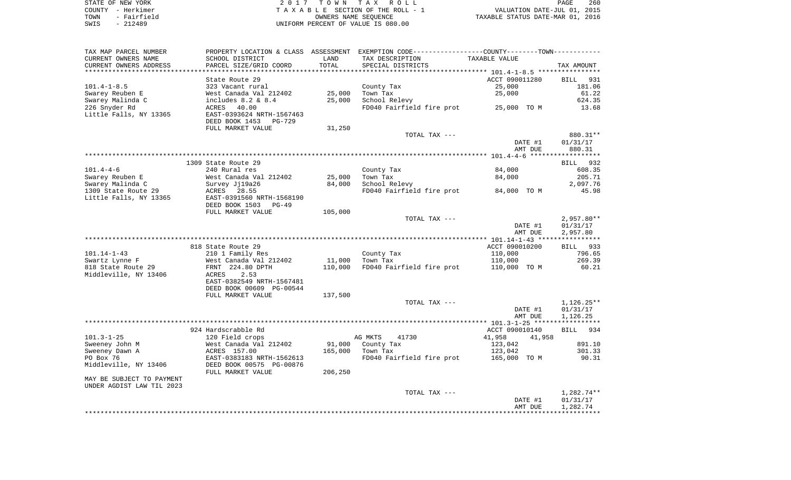|      | STATE OF NEW YORK | 2017 TOWN TAX ROLL                 | 260<br>PAGE                      |  |
|------|-------------------|------------------------------------|----------------------------------|--|
|      | COUNTY - Herkimer | TAXABLE SECTION OF THE ROLL - 1    | VALUATION DATE-JUL 01, 2015      |  |
| TOWN | - Fairfield       | OWNERS NAME SEOUENCE               | TAXABLE STATUS DATE-MAR 01, 2016 |  |
| SWIS | - 212489          | UNIFORM PERCENT OF VALUE IS 080.00 |                                  |  |

| TAX MAP PARCEL NUMBER                                  |                           |         | PROPERTY LOCATION & CLASS ASSESSMENT EXEMPTION CODE----------------COUNTY--------TOWN----------- |                  |                        |
|--------------------------------------------------------|---------------------------|---------|--------------------------------------------------------------------------------------------------|------------------|------------------------|
| CURRENT OWNERS NAME                                    | SCHOOL DISTRICT           | LAND    | TAX DESCRIPTION                                                                                  | TAXABLE VALUE    |                        |
| CURRENT OWNERS ADDRESS                                 | PARCEL SIZE/GRID COORD    | TOTAL   | SPECIAL DISTRICTS                                                                                |                  | TAX AMOUNT             |
|                                                        |                           |         |                                                                                                  |                  |                        |
|                                                        | State Route 29            |         |                                                                                                  | ACCT 090011280   | BILL 931               |
| $101.4 - 1 - 8.5$                                      | 323 Vacant rural          |         | County Tax                                                                                       | 25,000           | 181.06                 |
| Swarey Reuben E                                        | West Canada Val 212402    | 25,000  | Town Tax                                                                                         | 25,000           | 61.22                  |
| Swarey Malinda C                                       | includes $8.2 \& 8.4$     | 25,000  | School Relevy                                                                                    |                  | 624.35                 |
| 226 Snyder Rd                                          | ACRES<br>40.00            |         | FD040 Fairfield fire prot 25,000 TO M                                                            |                  | 13.68                  |
| Little Falls, NY 13365                                 | EAST-0393624 NRTH-1567463 |         |                                                                                                  |                  |                        |
|                                                        | DEED BOOK 1453<br>PG-729  |         |                                                                                                  |                  |                        |
|                                                        | FULL MARKET VALUE         | 31,250  |                                                                                                  |                  |                        |
|                                                        |                           |         | TOTAL TAX ---                                                                                    |                  | 880.31**               |
|                                                        |                           |         |                                                                                                  | DATE #1          | 01/31/17               |
|                                                        |                           |         |                                                                                                  | AMT DUE          | 880.31                 |
|                                                        |                           |         |                                                                                                  |                  |                        |
|                                                        | 1309 State Route 29       |         |                                                                                                  |                  | BILL 932               |
| $101.4 - 4 - 6$                                        | 240 Rural res             |         | County Tax                                                                                       | 84,000           | 608.35                 |
| Swarey Reuben E                                        | West Canada Val 212402    | 25,000  | Town Tax                                                                                         | 84,000           | 205.71                 |
| Swarey Malinda C                                       | Survey Jj19a26            | 84,000  | School Relevy                                                                                    |                  | 2,097.76               |
| 1309 State Route 29                                    | 28.55<br>ACRES            |         | FD040 Fairfield fire prot 84,000 TO M                                                            |                  | 45.98                  |
| Little Falls, NY 13365                                 | EAST-0391560 NRTH-1568190 |         |                                                                                                  |                  |                        |
|                                                        | DEED BOOK 1503 PG-49      |         |                                                                                                  |                  |                        |
|                                                        | FULL MARKET VALUE         | 105,000 |                                                                                                  |                  |                        |
|                                                        |                           |         | TOTAL TAX ---                                                                                    |                  | $2,957.80**$           |
|                                                        |                           |         |                                                                                                  | DATE #1          | 01/31/17               |
|                                                        |                           |         |                                                                                                  | AMT DUE          | 2,957.80               |
|                                                        |                           |         |                                                                                                  |                  |                        |
|                                                        | 818 State Route 29        |         |                                                                                                  | ACCT 090010200   | BILL 933               |
| 101.14-1-43                                            | 210 1 Family Res          |         | County Tax                                                                                       | 110,000          | 796.65                 |
| Swartz Lynne F                                         | West Canada Val 212402    | 11,000  | Town Tax                                                                                         | 110,000          | 269.39                 |
| 818 State Route 29                                     | FRNT 224.80 DPTH          | 110,000 | FD040 Fairfield fire prot                                                                        | 110,000 TO M     | 60.21                  |
| Middleville, NY 13406                                  | 2.53<br>ACRES             |         |                                                                                                  |                  |                        |
|                                                        | EAST-0382549 NRTH-1567481 |         |                                                                                                  |                  |                        |
|                                                        | DEED BOOK 00609 PG-00544  |         |                                                                                                  |                  |                        |
|                                                        | FULL MARKET VALUE         | 137,500 |                                                                                                  |                  |                        |
|                                                        |                           |         | TOTAL TAX ---                                                                                    |                  | $1,126.25**$           |
|                                                        |                           |         |                                                                                                  | DATE #1          | 01/31/17               |
|                                                        |                           |         |                                                                                                  | AMT DUE          | 1,126.25               |
|                                                        |                           |         |                                                                                                  |                  |                        |
|                                                        | 924 Hardscrabble Rd       |         |                                                                                                  | ACCT 090010140   | BILL 934               |
| $101.3 - 1 - 25$                                       | 120 Field crops           |         | AG MKTS<br>41730                                                                                 | 41,958<br>41,958 |                        |
| Sweeney John M                                         | West Canada Val 212402    | 91,000  | County Tax                                                                                       | 123,042          | 891.10                 |
| Sweeney Dawn A                                         | ACRES 157.00              | 165,000 | Town Tax                                                                                         | 123,042          | 301.33                 |
| PO Box 76                                              | EAST-0383183 NRTH-1562613 |         | FD040 Fairfield fire prot                                                                        | 165,000 TO M     | 90.31                  |
|                                                        |                           |         |                                                                                                  |                  |                        |
| Middleville, NY 13406                                  | DEED BOOK 00575 PG-00876  |         |                                                                                                  |                  |                        |
|                                                        | FULL MARKET VALUE         | 206,250 |                                                                                                  |                  |                        |
| MAY BE SUBJECT TO PAYMENT<br>UNDER AGDIST LAW TIL 2023 |                           |         |                                                                                                  |                  |                        |
|                                                        |                           |         | TOTAL TAX ---                                                                                    |                  |                        |
|                                                        |                           |         |                                                                                                  | DATE #1          | 1,282.74**<br>01/31/17 |
|                                                        |                           |         |                                                                                                  | AMT DUE          |                        |
|                                                        |                           |         |                                                                                                  |                  | 1,282.74               |
|                                                        |                           |         |                                                                                                  |                  |                        |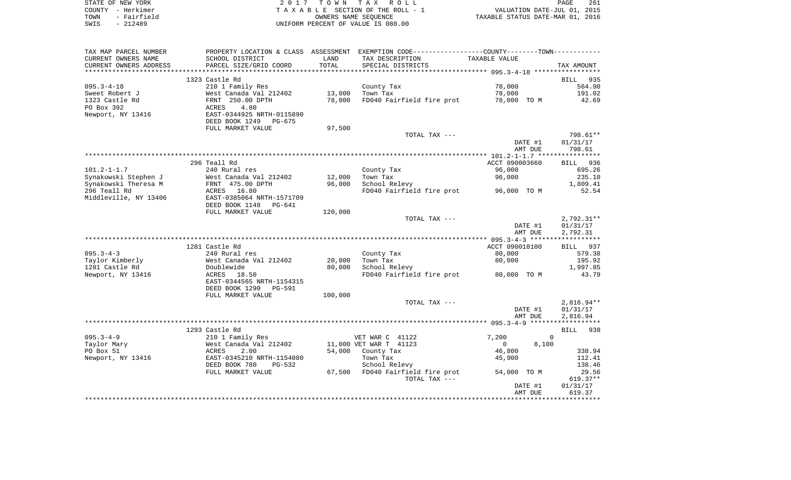| STATE OF NEW YORK |             | 2017 TOWN TAX ROLL                 | PAGE                             | 261 |
|-------------------|-------------|------------------------------------|----------------------------------|-----|
| COUNTY - Herkimer |             | TAXABLE SECTION OF THE ROLL - 1    | VALUATION DATE-JUL 01, 2015      |     |
| TOWN              | - Fairfield | OWNERS NAME SEOUENCE               | TAXABLE STATUS DATE-MAR 01, 2016 |     |
| SWIS              | - 212489    | UNIFORM PERCENT OF VALUE IS 080.00 |                                  |     |

| TAX MAP PARCEL NUMBER  |                                                       |         | PROPERTY LOCATION & CLASS ASSESSMENT EXEMPTION CODE----------------COUNTY-------TOWN---------- |                         |              |
|------------------------|-------------------------------------------------------|---------|------------------------------------------------------------------------------------------------|-------------------------|--------------|
| CURRENT OWNERS NAME    | SCHOOL DISTRICT                                       | LAND    | TAX DESCRIPTION                                                                                | TAXABLE VALUE           |              |
| CURRENT OWNERS ADDRESS | PARCEL SIZE/GRID COORD                                | TOTAL   | SPECIAL DISTRICTS                                                                              |                         | TAX AMOUNT   |
|                        |                                                       |         |                                                                                                |                         |              |
|                        | 1323 Castle Rd                                        |         |                                                                                                |                         | 935<br>BILL  |
| $095.3 - 4 - 18$       | 210 1 Family Res                                      |         | County Tax                                                                                     | 78,000                  | 564.90       |
| Sweet Robert J         | West Canada Val 212402                                | 13,000  | Town Tax                                                                                       | 78,000                  | 191.02       |
| 1323 Castle Rd         | FRNT 250.00 DPTH                                      | 78,000  | FD040 Fairfield fire prot                                                                      | 78,000 TO M             | 42.69        |
| PO Box 392             | 4.80<br>ACRES                                         |         |                                                                                                |                         |              |
| Newport, NY 13416      | EAST-0344925 NRTH-0115890                             |         |                                                                                                |                         |              |
|                        | DEED BOOK 1249<br>PG-675                              |         |                                                                                                |                         |              |
|                        | FULL MARKET VALUE                                     | 97,500  |                                                                                                |                         |              |
|                        |                                                       |         | TOTAL TAX ---                                                                                  |                         | 798.61**     |
|                        |                                                       |         |                                                                                                | DATE #1                 | 01/31/17     |
|                        |                                                       |         |                                                                                                | AMT DUE                 | 798.61       |
|                        |                                                       |         |                                                                                                |                         |              |
|                        | 296 Teall Rd                                          |         |                                                                                                | ACCT 090003660          | BILL 936     |
| $101.2 - 1 - 1.7$      | 240 Rural res                                         |         | County Tax                                                                                     | 96,000                  | 695.26       |
| Synakowski Stephen J   | West Canada Val 212402                                | 12,000  | Town Tax                                                                                       | 96,000                  | 235.10       |
| Synakowski Theresa M   | FRNT 475.00 DPTH                                      | 96,000  | School Relevy                                                                                  |                         | 1,809.41     |
| 296 Teall Rd           | ACRES 16.80                                           |         | FD040 Fairfield fire prot                                                                      | 96,000 TO M             | 52.54        |
| Middleville, NY 13406  | EAST-0385064 NRTH-1571709<br>DEED BOOK 1148<br>PG-641 |         |                                                                                                |                         |              |
|                        | FULL MARKET VALUE                                     | 120,000 |                                                                                                |                         |              |
|                        |                                                       |         | TOTAL TAX ---                                                                                  |                         | $2,792.31**$ |
|                        |                                                       |         |                                                                                                | DATE #1                 | 01/31/17     |
|                        |                                                       |         |                                                                                                | AMT DUE                 | 2,792.31     |
|                        |                                                       |         |                                                                                                |                         |              |
|                        | 1281 Castle Rd                                        |         |                                                                                                | ACCT 090010100          | BILL 937     |
| $095.3 - 4 - 3$        | 240 Rural res                                         |         | County Tax                                                                                     | 80,000                  | 579.38       |
| Taylor Kimberly        | West Canada Val 212402                                | 20,000  | Town Tax                                                                                       | 80,000                  | 195.92       |
| 1281 Castle Rd         | Doublewide                                            | 80,000  | School Relevy                                                                                  |                         | 1,997.85     |
| Newport, NY 13416      | ACRES 18.50                                           |         | FD040 Fairfield fire prot                                                                      | 80,000 TO M             | 43.79        |
|                        | EAST-0344565 NRTH-1154315                             |         |                                                                                                |                         |              |
|                        | DEED BOOK 1290<br>PG-591                              |         |                                                                                                |                         |              |
|                        | FULL MARKET VALUE                                     | 100,000 |                                                                                                |                         |              |
|                        |                                                       |         | TOTAL TAX ---                                                                                  |                         | $2,816.94**$ |
|                        |                                                       |         |                                                                                                | DATE #1                 | 01/31/17     |
|                        |                                                       |         |                                                                                                | AMT DUE                 | 2,816.94     |
|                        |                                                       |         |                                                                                                |                         |              |
|                        | 1293 Castle Rd                                        |         |                                                                                                |                         | BILL<br>938  |
| $095.3 - 4 - 9$        | 210 1 Family Res                                      |         | VET WAR C 41122                                                                                | 7,200<br>$\Omega$       |              |
| Taylor Mary            | West Canada Val 212402                                |         | 11,000 VET WAR T 41123                                                                         | $\overline{0}$<br>8,100 |              |
| PO Box 51              | ACRES<br>2.00                                         |         | 54,000 County Tax                                                                              | 46,800                  | 338.94       |
| Newport, NY 13416      | EAST-0345210 NRTH-1154080                             |         | Town Tax                                                                                       | 45,900                  | 112.41       |
|                        | DEED BOOK 780<br>PG-532                               |         | School Relevy                                                                                  |                         | 138.46       |
|                        | FULL MARKET VALUE                                     | 67,500  | FD040 Fairfield fire prot                                                                      | 54,000 TO M             | 29.56        |
|                        |                                                       |         | TOTAL TAX ---                                                                                  |                         | $619.37**$   |
|                        |                                                       |         |                                                                                                | DATE #1                 | 01/31/17     |
|                        |                                                       |         |                                                                                                | AMT DUE                 | 619.37       |
|                        |                                                       |         |                                                                                                |                         |              |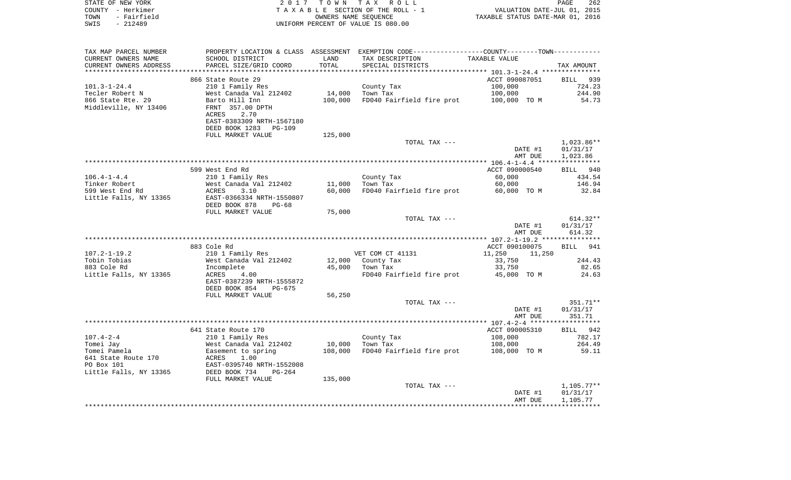| STATE OF NEW YORK<br>COUNTY - Herkimer<br>- Fairfield<br>TOWN | 2017                                                 | T O W N<br>OWNERS NAME SEQUENCE | TAX ROLL<br>TAXABLE SECTION OF THE ROLL - 1                                                    | VALUATION DATE-JUL 01, 2015<br>VALUATION DATE-JUL UI, 2015<br>TAXABLE STATUS DATE-MAR 01, 2016 | PAGE<br>262                          |
|---------------------------------------------------------------|------------------------------------------------------|---------------------------------|------------------------------------------------------------------------------------------------|------------------------------------------------------------------------------------------------|--------------------------------------|
| SWIS<br>$-212489$                                             |                                                      |                                 | UNIFORM PERCENT OF VALUE IS 080.00                                                             |                                                                                                |                                      |
| TAX MAP PARCEL NUMBER                                         |                                                      |                                 | PROPERTY LOCATION & CLASS ASSESSMENT EXEMPTION CODE----------------COUNTY-------TOWN---------- |                                                                                                |                                      |
| CURRENT OWNERS NAME                                           | SCHOOL DISTRICT                                      | LAND                            | TAX DESCRIPTION                                                                                | TAXABLE VALUE                                                                                  |                                      |
| CURRENT OWNERS ADDRESS<br>*******************                 | PARCEL SIZE/GRID COORD                               | TOTAL<br>********               | SPECIAL DISTRICTS                                                                              |                                                                                                | TAX AMOUNT                           |
|                                                               | 866 State Route 29                                   |                                 |                                                                                                | *************************** 101.3-1-24.4 ***************<br>ACCT 090087051                     | <b>BILL</b><br>939                   |
| $101.3 - 1 - 24.4$                                            | 210 1 Family Res                                     |                                 | County Tax                                                                                     | 100,000                                                                                        | 724.23                               |
| Tecler Robert N                                               | West Canada Val 212402                               | 14,000                          | Town Tax                                                                                       | 100,000                                                                                        | 244.90                               |
| 866 State Rte. 29                                             | Barto Hill Inn                                       | 100,000                         | FD040 Fairfield fire prot                                                                      | 100,000 TO M                                                                                   | 54.73                                |
| Middleville, NY 13406                                         | FRNT 357.00 DPTH<br>ACRES<br>2.70                    |                                 |                                                                                                |                                                                                                |                                      |
|                                                               | EAST-0383309 NRTH-1567180                            |                                 |                                                                                                |                                                                                                |                                      |
|                                                               | DEED BOOK 1283<br><b>PG-109</b>                      |                                 |                                                                                                |                                                                                                |                                      |
|                                                               | FULL MARKET VALUE                                    | 125,000                         |                                                                                                |                                                                                                |                                      |
|                                                               |                                                      |                                 | TOTAL TAX ---                                                                                  | DATE #1<br>AMT DUE                                                                             | $1,023.86**$<br>01/31/17<br>1,023.86 |
|                                                               |                                                      |                                 |                                                                                                |                                                                                                |                                      |
|                                                               | 599 West End Rd                                      |                                 |                                                                                                | ACCT 090000540                                                                                 | BILL 940                             |
| $106.4 - 1 - 4.4$                                             | 210 1 Family Res                                     |                                 | County Tax                                                                                     | 60,000                                                                                         | 434.54                               |
| Tinker Robert                                                 | West Canada Val 212402                               | 11,000                          | Town Tax                                                                                       | 60,000                                                                                         | 146.94                               |
| 599 West End Rd                                               | ACRES<br>3.10                                        | 60,000                          | FD040 Fairfield fire prot                                                                      | 60,000 TO M                                                                                    | 32.84                                |
| Little Falls, NY 13365                                        | EAST-0366334 NRTH-1550807                            |                                 |                                                                                                |                                                                                                |                                      |
|                                                               | DEED BOOK 878<br>$PG-68$<br>FULL MARKET VALUE        | 75,000                          |                                                                                                |                                                                                                |                                      |
|                                                               |                                                      |                                 | TOTAL TAX ---                                                                                  |                                                                                                | 614.32**                             |
|                                                               |                                                      |                                 |                                                                                                | DATE #1                                                                                        | 01/31/17                             |
|                                                               |                                                      |                                 |                                                                                                | AMT DUE                                                                                        | 614.32                               |
|                                                               |                                                      |                                 |                                                                                                |                                                                                                |                                      |
|                                                               | 883 Cole Rd                                          |                                 |                                                                                                | ACCT 090100075                                                                                 | 941<br><b>BILL</b>                   |
| $107.2 - 1 - 19.2$                                            | 210 1 Family Res                                     |                                 | VET COM CT 41131                                                                               | 11,250<br>11,250                                                                               |                                      |
| Tobin Tobias                                                  | West Canada Val 212402                               | 12,000                          | County Tax                                                                                     | 33,750                                                                                         | 244.43                               |
| 883 Cole Rd<br>Little Falls, NY 13365                         | Incomplete<br>ACRES<br>4.00                          | 45,000                          | Town Tax<br>FD040 Fairfield fire prot                                                          | 33,750<br>45,000 TO M                                                                          | 82.65<br>24.63                       |
|                                                               | EAST-0387239 NRTH-1555872<br>DEED BOOK 854<br>PG-675 |                                 |                                                                                                |                                                                                                |                                      |
|                                                               | FULL MARKET VALUE                                    | 56,250                          |                                                                                                |                                                                                                |                                      |
|                                                               |                                                      |                                 | TOTAL TAX ---                                                                                  |                                                                                                | 351.71**                             |
|                                                               |                                                      |                                 |                                                                                                | DATE #1                                                                                        | 01/31/17                             |
|                                                               |                                                      |                                 |                                                                                                | AMT DUE                                                                                        | 351.71                               |
|                                                               |                                                      |                                 |                                                                                                |                                                                                                | ***********                          |
|                                                               | 641 State Route 170                                  |                                 |                                                                                                | ACCT 090005310                                                                                 | <b>BILL</b><br>942                   |
| $107.4 - 2 - 4$                                               | 210 1 Family Res                                     |                                 | County Tax                                                                                     | 108,000                                                                                        | 782.17                               |
| Tomei Jay                                                     | West Canada Val 212402                               | 10,000                          | Town Tax                                                                                       | 108,000                                                                                        | 264.49                               |
| Tomei Pamela<br>641 State Route 170                           | Easement to spring<br>1.00<br>ACRES                  | 108,000                         | FD040 Fairfield fire prot                                                                      | 108,000 TO M                                                                                   | 59.11                                |
| PO Box 101                                                    | EAST-0395740 NRTH-1552008                            |                                 |                                                                                                |                                                                                                |                                      |
| Little Falls, NY 13365                                        | DEED BOOK 734<br>$PG-264$                            |                                 |                                                                                                |                                                                                                |                                      |
|                                                               | FULL MARKET VALUE                                    | 135,000                         |                                                                                                |                                                                                                |                                      |
|                                                               |                                                      |                                 | TOTAL TAX ---                                                                                  |                                                                                                | $1,105.77**$                         |
|                                                               |                                                      |                                 |                                                                                                | DATE #1                                                                                        | 01/31/17                             |
|                                                               |                                                      |                                 |                                                                                                | AMT DUE                                                                                        | 1,105.77                             |
|                                                               |                                                      |                                 |                                                                                                |                                                                                                |                                      |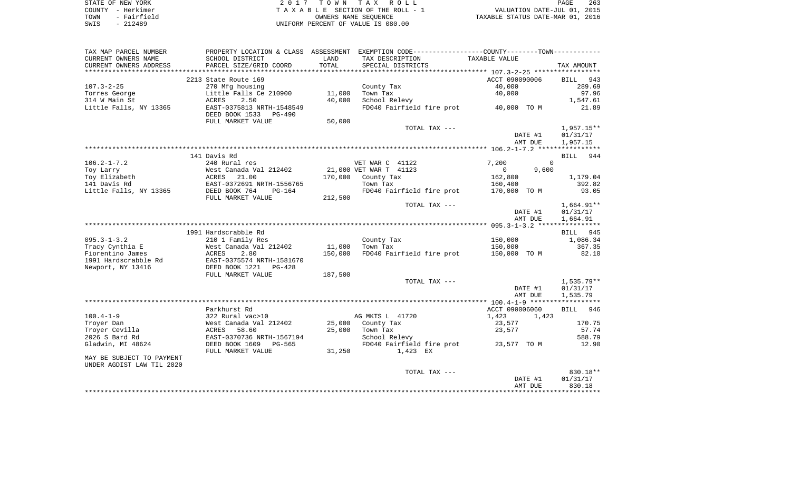| STATE OF NEW YORK   | 2017 TOWN TAX ROLL                 | 263<br>PAGE                      |
|---------------------|------------------------------------|----------------------------------|
| COUNTY - Herkimer   | TAXABLE SECTION OF THE ROLL - 1    | VALUATION DATE-JUL 01, 2015      |
| - Fairfield<br>TOWN | OWNERS NAME SEOUENCE               | TAXABLE STATUS DATE-MAR 01, 2016 |
| $-212489$<br>SWIS   | UNIFORM PERCENT OF VALUE IS 080.00 |                                  |

| TAX MAP PARCEL NUMBER     |                                                       |         | PROPERTY LOCATION & CLASS ASSESSMENT EXEMPTION CODE---------------COUNTY-------TOWN---------- |                         |                      |
|---------------------------|-------------------------------------------------------|---------|-----------------------------------------------------------------------------------------------|-------------------------|----------------------|
| CURRENT OWNERS NAME       | SCHOOL DISTRICT                                       | LAND    | TAX DESCRIPTION                                                                               | TAXABLE VALUE           |                      |
| CURRENT OWNERS ADDRESS    | PARCEL SIZE/GRID COORD                                | TOTAL   | SPECIAL DISTRICTS                                                                             |                         | TAX AMOUNT           |
|                           |                                                       |         |                                                                                               |                         |                      |
|                           | 2213 State Route 169                                  |         |                                                                                               | ACCT 090090006          | BILL 943             |
| $107.3 - 2 - 25$          | 270 Mfg housing                                       |         | County Tax                                                                                    | 40,000                  | 289.69               |
| Torres George             | Little Falls Ce 210900                                | 11,000  | Town Tax                                                                                      | 40,000                  | 97.96                |
| 314 W Main St             | ACRES<br>2.50                                         | 40,000  | School Relevy                                                                                 |                         | 1,547.61             |
| Little Falls, NY 13365    | EAST-0375813 NRTH-1548549<br>DEED BOOK 1533<br>PG-490 |         | FD040 Fairfield fire prot 40,000 TO M                                                         |                         | 21.89                |
|                           | FULL MARKET VALUE                                     | 50,000  |                                                                                               |                         |                      |
|                           |                                                       |         | TOTAL TAX ---                                                                                 |                         | $1,957.15**$         |
|                           |                                                       |         |                                                                                               | DATE #1                 | 01/31/17             |
|                           |                                                       |         |                                                                                               | AMT DUE                 | 1,957.15             |
|                           |                                                       |         |                                                                                               |                         |                      |
|                           | 141 Davis Rd                                          |         |                                                                                               |                         | BILL<br>944          |
| $106.2 - 1 - 7.2$         | 240 Rural res                                         |         | VET WAR C 41122                                                                               | 7,200<br>$\Omega$       |                      |
| Toy Larry                 | West Canada Val 212402<br>West c<br>ACRES             |         | 21,000 VET WAR T 41123                                                                        | 9,600<br>$\overline{0}$ |                      |
| Toy Elizabeth             | 21.00                                                 |         | 170,000 County Tax                                                                            | 162,800                 | 1,179.04             |
| 141 Davis Rd              | EAST-0372691 NRTH-1556765                             |         | Town Tax                                                                                      | 160,400                 | 392.82               |
| Little Falls, NY 13365    | DEED BOOK 764<br>$PG-164$                             |         | FD040 Fairfield fire prot                                                                     | 170,000 TO M            | 93.05                |
|                           | FULL MARKET VALUE                                     | 212,500 |                                                                                               |                         |                      |
|                           |                                                       |         | TOTAL TAX ---                                                                                 | DATE #1                 | 1,664.91**           |
|                           |                                                       |         |                                                                                               | AMT DUE                 | 01/31/17<br>1,664.91 |
|                           |                                                       |         |                                                                                               |                         |                      |
|                           | 1991 Hardscrabble Rd                                  |         |                                                                                               |                         | BILL 945             |
| $095.3 - 1 - 3.2$         | 210 1 Family Res                                      |         | County Tax                                                                                    | 150,000                 | 1,086.34             |
| Tracy Cynthia E           | West Canada Val 212402                                | 11,000  | Town Tax                                                                                      | 150,000                 | 367.35               |
| Fiorentino James          | ACRES<br>2.80                                         | 150,000 | FD040 Fairfield fire prot                                                                     | 150,000 TO M            | 82.10                |
| 1991 Hardscrabble Rd      | EAST-0375574 NRTH-1581670                             |         |                                                                                               |                         |                      |
| Newport, NY 13416         | DEED BOOK 1221<br>PG-428                              |         |                                                                                               |                         |                      |
|                           | FULL MARKET VALUE                                     | 187,500 |                                                                                               |                         |                      |
|                           |                                                       |         | TOTAL TAX ---                                                                                 |                         | $1,535.79**$         |
|                           |                                                       |         |                                                                                               | DATE #1                 | 01/31/17             |
|                           |                                                       |         |                                                                                               | AMT DUE                 | 1,535.79             |
|                           |                                                       |         |                                                                                               |                         |                      |
|                           | Parkhurst Rd                                          |         |                                                                                               | ACCT 090006060          | BILL 946             |
| $100.4 - 1 - 9$           | 322 Rural vac>10                                      |         | AG MKTS L 41720                                                                               | 1,423<br>1,423          |                      |
| Troyer Dan                | West Canada Val 212402                                |         | 25,000 County Tax                                                                             | 23,577                  | 170.75               |
| Troyer Cevilla            | 58.60<br>ACRES                                        | 25,000  | Town Tax                                                                                      | 23,577                  | 57.74                |
| 2026 S Bard Rd            | EAST-0370736 NRTH-1567194                             |         | School Relevy                                                                                 |                         | 588.79               |
| Gladwin, MI 48624         | DEED BOOK 1609<br>PG-565                              |         | FD040 Fairfield fire prot                                                                     | 23,577 TO M             | 12.90                |
|                           | FULL MARKET VALUE                                     | 31,250  | 1,423 EX                                                                                      |                         |                      |
| MAY BE SUBJECT TO PAYMENT |                                                       |         |                                                                                               |                         |                      |
| UNDER AGDIST LAW TIL 2020 |                                                       |         |                                                                                               |                         |                      |
|                           |                                                       |         | TOTAL TAX ---                                                                                 |                         | 830.18**             |
|                           |                                                       |         |                                                                                               | DATE #1<br>AMT DUE      | 01/31/17<br>830.18   |
|                           |                                                       |         |                                                                                               |                         |                      |
|                           |                                                       |         |                                                                                               |                         |                      |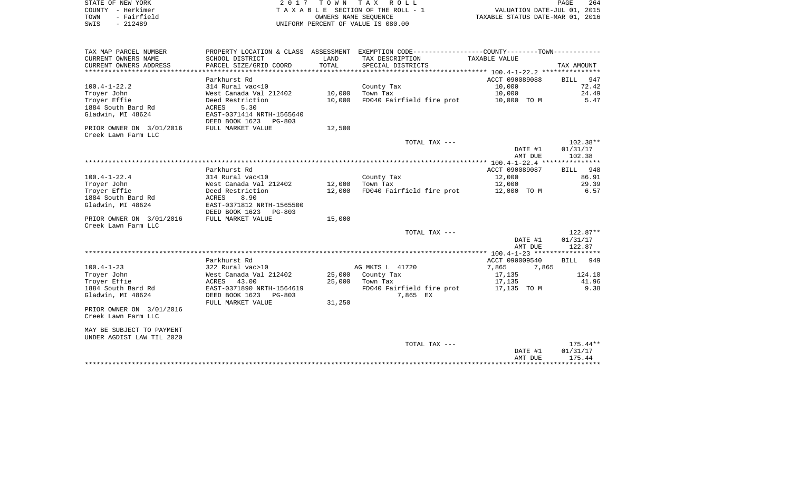|      | STATE OF NEW YORK | 2017 TOWN TAX ROLL                 |                                  | PAGE | 264 |
|------|-------------------|------------------------------------|----------------------------------|------|-----|
|      | COUNTY - Herkimer | TAXABLE SECTION OF THE ROLL - 1    | VALUATION DATE-JUL 01, 2015      |      |     |
| TOWN | - Fairfield       | OWNERS NAME SEOUENCE               | TAXABLE STATUS DATE-MAR 01, 2016 |      |     |
| SWIS | - 212489          | UNIFORM PERCENT OF VALUE IS 080.00 |                                  |      |     |
|      |                   |                                    |                                  |      |     |
|      |                   |                                    |                                  |      |     |

| TAX MAP PARCEL NUMBER     |                           |                   | PROPERTY LOCATION & CLASS ASSESSMENT EXEMPTION CODE----------------COUNTY--------TOWN---------- |                |            |
|---------------------------|---------------------------|-------------------|-------------------------------------------------------------------------------------------------|----------------|------------|
| CURRENT OWNERS NAME       | SCHOOL DISTRICT           | LAND              | TAX DESCRIPTION                                                                                 | TAXABLE VALUE  |            |
| CURRENT OWNERS ADDRESS    | PARCEL SIZE/GRID COORD    | TOTAL             | SPECIAL DISTRICTS                                                                               |                | TAX AMOUNT |
|                           |                           |                   |                                                                                                 |                |            |
|                           | Parkhurst Rd              |                   |                                                                                                 | ACCT 090089088 | BILL 947   |
| $100.4 - 1 - 22.2$        | 314 Rural vac<10          |                   | County Tax                                                                                      | 10,000         | 72.42      |
| Troyer John               | West Canada Val 212402    | 10,000            | Town Tax                                                                                        | 10,000         | 24.49      |
| Troyer Effie              | Deed Restriction          | 10,000            | FD040 Fairfield fire prot 10,000 TO M                                                           |                | 5.47       |
| 1884 South Bard Rd        | ACRES<br>5.30             |                   |                                                                                                 |                |            |
| Gladwin, MI 48624         | EAST-0371414 NRTH-1565640 |                   |                                                                                                 |                |            |
|                           | DEED BOOK 1623 PG-803     |                   |                                                                                                 |                |            |
| PRIOR OWNER ON 3/01/2016  | FULL MARKET VALUE         | 12,500            |                                                                                                 |                |            |
| Creek Lawn Farm LLC       |                           |                   |                                                                                                 |                |            |
|                           |                           |                   | TOTAL TAX ---                                                                                   |                | 102.38**   |
|                           |                           |                   |                                                                                                 | DATE #1        | 01/31/17   |
|                           |                           |                   |                                                                                                 |                |            |
|                           |                           |                   |                                                                                                 | AMT DUE        | 102.38     |
|                           |                           |                   |                                                                                                 |                |            |
|                           | Parkhurst Rd              |                   |                                                                                                 | ACCT 090089087 | BILL 948   |
| $100.4 - 1 - 22.4$        | 314 Rural vac<10          |                   | County Tax                                                                                      | 12,000         | 86.91      |
| Troyer John               | West Canada Val 212402    | $12,000$ Town Tax |                                                                                                 | 12,000         | 29.39      |
| Troyer Effie              | Deed Restriction          |                   | 12,000 FD040 Fairfield fire prot                                                                | 12,000 TO M    | 6.57       |
| 1884 South Bard Rd        | 8.90<br>ACRES             |                   |                                                                                                 |                |            |
| Gladwin, MI 48624         | EAST-0371812 NRTH-1565500 |                   |                                                                                                 |                |            |
|                           | DEED BOOK 1623 PG-803     |                   |                                                                                                 |                |            |
| PRIOR OWNER ON 3/01/2016  | FULL MARKET VALUE         | 15,000            |                                                                                                 |                |            |
| Creek Lawn Farm LLC       |                           |                   |                                                                                                 |                |            |
|                           |                           |                   | TOTAL TAX ---                                                                                   |                | 122.87**   |
|                           |                           |                   |                                                                                                 | DATE #1        | 01/31/17   |
|                           |                           |                   |                                                                                                 | AMT DUE        | 122.87     |
|                           |                           |                   |                                                                                                 |                |            |
|                           | Parkhurst Rd              |                   |                                                                                                 | ACCT 090009540 | BILL 949   |
| $100.4 - 1 - 23$          | 322 Rural vac>10          |                   | AG MKTS L 41720                                                                                 | 7,865<br>7,865 |            |
| Troyer John               | West Canada Val 212402    |                   | 25,000 County Tax                                                                               | 17,135         | 124.10     |
| Troyer Effie              | ACRES 43.00               |                   | 25,000 Town Tax                                                                                 | 17,135         | 41.96      |
| 1884 South Bard Rd        | EAST-0371890 NRTH-1564619 |                   | FD040 Fairfield fire prot                                                                       | 17,135 TO M    | 9.38       |
| Gladwin, MI 48624         | DEED BOOK 1623 PG-803     |                   | 7,865 EX                                                                                        |                |            |
|                           | FULL MARKET VALUE         | 31,250            |                                                                                                 |                |            |
| PRIOR OWNER ON 3/01/2016  |                           |                   |                                                                                                 |                |            |
| Creek Lawn Farm LLC       |                           |                   |                                                                                                 |                |            |
|                           |                           |                   |                                                                                                 |                |            |
| MAY BE SUBJECT TO PAYMENT |                           |                   |                                                                                                 |                |            |
| UNDER AGDIST LAW TIL 2020 |                           |                   |                                                                                                 |                |            |
|                           |                           |                   | TOTAL TAX ---                                                                                   |                | $175.44**$ |
|                           |                           |                   |                                                                                                 | DATE #1        | 01/31/17   |
|                           |                           |                   |                                                                                                 | AMT DUE        | 175.44     |
|                           |                           |                   |                                                                                                 |                |            |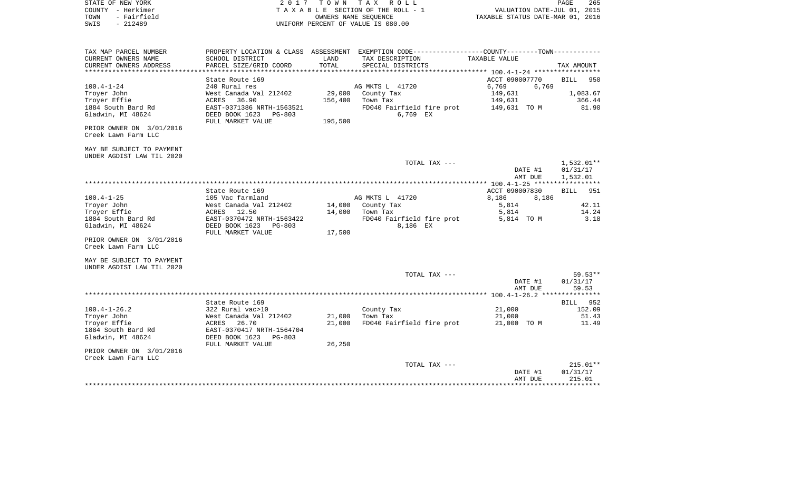|      | STATE OF NEW YORK | 2017 TOWN TAX ROLL                 | 265<br>PAGE                      |
|------|-------------------|------------------------------------|----------------------------------|
|      | COUNTY - Herkimer | TAXABLE SECTION OF THE ROLL - 1    | VALUATION DATE-JUL 01, 2015      |
| TOWN | - Fairfield       | OWNERS NAME SEOUENCE               | TAXABLE STATUS DATE-MAR 01, 2016 |
| SWIS | - 212489          | UNIFORM PERCENT OF VALUE IS 080.00 |                                  |
|      |                   |                                    |                                  |
|      |                   |                                    |                                  |

| TAX MAP PARCEL NUMBER     |                           |         | PROPERTY LOCATION & CLASS ASSESSMENT EXEMPTION CODE-----------------COUNTY--------TOWN----------- |                |                    |
|---------------------------|---------------------------|---------|---------------------------------------------------------------------------------------------------|----------------|--------------------|
| CURRENT OWNERS NAME       | SCHOOL DISTRICT           | LAND    | TAX DESCRIPTION                                                                                   | TAXABLE VALUE  |                    |
| CURRENT OWNERS ADDRESS    | PARCEL SIZE/GRID COORD    | TOTAL   | SPECIAL DISTRICTS                                                                                 |                | TAX AMOUNT         |
|                           |                           |         |                                                                                                   |                |                    |
|                           | State Route 169           |         |                                                                                                   | ACCT 090007770 | <b>BILL</b><br>950 |
| $100.4 - 1 - 24$          | 240 Rural res             |         | AG MKTS L 41720                                                                                   | 6,769<br>6,769 |                    |
| Troyer John               | West Canada Val 212402    | 29,000  | County Tax                                                                                        | 149,631        | 1,083.67           |
| Troyer Effie              | 36.90<br>ACRES            | 156,400 | Town Tax                                                                                          | 149,631        | 366.44             |
| 1884 South Bard Rd        | EAST-0371386 NRTH-1563521 |         | FD040 Fairfield fire prot                                                                         | 149,631   TO M | 81.90              |
| Gladwin, MI 48624         | DEED BOOK 1623 PG-803     |         | 6,769 EX                                                                                          |                |                    |
|                           |                           |         |                                                                                                   |                |                    |
|                           | FULL MARKET VALUE         | 195,500 |                                                                                                   |                |                    |
| PRIOR OWNER ON 3/01/2016  |                           |         |                                                                                                   |                |                    |
| Creek Lawn Farm LLC       |                           |         |                                                                                                   |                |                    |
|                           |                           |         |                                                                                                   |                |                    |
| MAY BE SUBJECT TO PAYMENT |                           |         |                                                                                                   |                |                    |
| UNDER AGDIST LAW TIL 2020 |                           |         |                                                                                                   |                |                    |
|                           |                           |         | TOTAL TAX ---                                                                                     |                | $1,532.01**$       |
|                           |                           |         |                                                                                                   | DATE #1        | 01/31/17           |
|                           |                           |         |                                                                                                   | AMT DUE        | 1,532.01           |
|                           |                           |         |                                                                                                   |                | *****              |
|                           | State Route 169           |         |                                                                                                   | ACCT 090007830 | <b>BILL</b><br>951 |
| $100.4 - 1 - 25$          | 105 Vac farmland          |         | AG MKTS L 41720                                                                                   | 8,186<br>8,186 |                    |
| Troyer John               | West Canada Val 212402    |         | 14,000 County Tax                                                                                 | 5,814          | 42.11              |
| Troyer Effie              | 12.50<br>ACRES            | 14,000  | Town Tax                                                                                          | 5,814          | 14.24              |
| 1884 South Bard Rd        | EAST-0370472 NRTH-1563422 |         | FD040 Fairfield fire prot                                                                         | 5,814 TO M     | 3.18               |
| Gladwin, MI 48624         | DEED BOOK 1623<br>PG-803  |         | 8,186 EX                                                                                          |                |                    |
|                           | FULL MARKET VALUE         | 17,500  |                                                                                                   |                |                    |
| PRIOR OWNER ON 3/01/2016  |                           |         |                                                                                                   |                |                    |
| Creek Lawn Farm LLC       |                           |         |                                                                                                   |                |                    |
|                           |                           |         |                                                                                                   |                |                    |
| MAY BE SUBJECT TO PAYMENT |                           |         |                                                                                                   |                |                    |
| UNDER AGDIST LAW TIL 2020 |                           |         |                                                                                                   |                |                    |
|                           |                           |         | TOTAL TAX ---                                                                                     |                | $59.53**$          |
|                           |                           |         |                                                                                                   | DATE #1        | 01/31/17           |
|                           |                           |         |                                                                                                   | AMT DUE        | 59.53              |
|                           |                           |         |                                                                                                   |                |                    |
|                           |                           |         |                                                                                                   |                |                    |
|                           | State Route 169           |         |                                                                                                   |                | BILL 952           |
| $100.4 - 1 - 26.2$        | 322 Rural vac>10          |         | County Tax                                                                                        | 21,000         | 152.09             |
| Troyer John               | West Canada Val 212402    | 21,000  | Town Tax                                                                                          | 21,000         | 51.43              |
| Troyer Effie              | ACRES<br>26.70            | 21,000  | FD040 Fairfield fire prot                                                                         | 21,000 TO M    | 11.49              |
| 1884 South Bard Rd        | EAST-0370417 NRTH-1564704 |         |                                                                                                   |                |                    |
| Gladwin, MI 48624         | DEED BOOK 1623<br>PG-803  |         |                                                                                                   |                |                    |
|                           | FULL MARKET VALUE         | 26,250  |                                                                                                   |                |                    |
| PRIOR OWNER ON 3/01/2016  |                           |         |                                                                                                   |                |                    |
| Creek Lawn Farm LLC       |                           |         |                                                                                                   |                |                    |
|                           |                           |         | TOTAL TAX ---                                                                                     |                | $215.01**$         |
|                           |                           |         |                                                                                                   | DATE #1        | 01/31/17           |
|                           |                           |         |                                                                                                   | AMT DUE        | 215.01             |
|                           |                           |         |                                                                                                   |                |                    |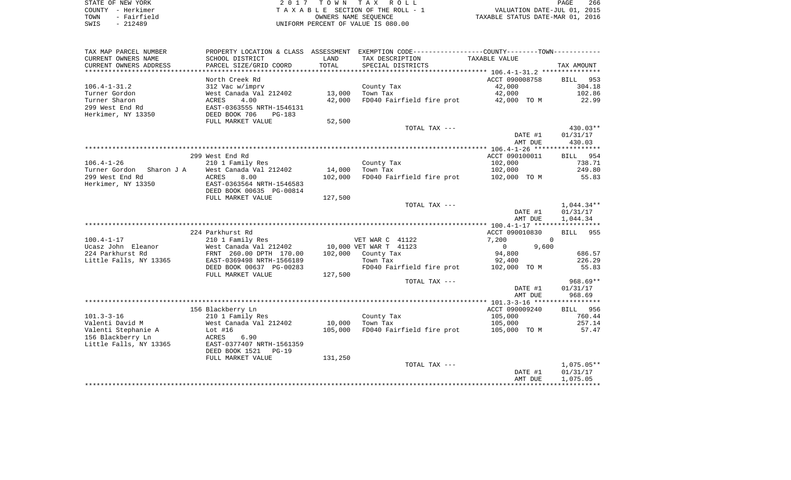| STATE OF NEW YORK   | 2017 TOWN TAX ROLL                 | 266<br>PAGE                      |
|---------------------|------------------------------------|----------------------------------|
| COUNTY - Herkimer   | TAXABLE SECTION OF THE ROLL - 1    | VALUATION DATE-JUL 01, 2015      |
| - Fairfield<br>TOWN | OWNERS NAME SEOUENCE               | TAXABLE STATUS DATE-MAR 01, 2016 |
| $-212489$<br>SWIS   | UNIFORM PERCENT OF VALUE IS 080.00 |                                  |

| TAX MAP PARCEL NUMBER    | PROPERTY LOCATION & CLASS ASSESSMENT |            | EXEMPTION CODE-----------------COUNTY-------TOWN----------- |                  |              |
|--------------------------|--------------------------------------|------------|-------------------------------------------------------------|------------------|--------------|
| CURRENT OWNERS NAME      | SCHOOL DISTRICT                      | LAND       | TAX DESCRIPTION                                             | TAXABLE VALUE    |              |
| CURRENT OWNERS ADDRESS   | PARCEL SIZE/GRID COORD               | TOTAL      | SPECIAL DISTRICTS                                           |                  | TAX AMOUNT   |
| ******************       | *******************                  | ********** |                                                             |                  |              |
|                          | North Creek Rd                       |            |                                                             | ACCT 090008758   | BILL 953     |
| $106.4 - 1 - 31.2$       | 312 Vac w/imprv                      |            | County Tax                                                  | 42,000           | 304.18       |
| Turner Gordon            | West Canada Val 212402               | 13,000     | Town Tax                                                    | 42,000           | 102.86       |
| Turner Sharon            | 4.00<br>ACRES                        | 42,000     | FD040 Fairfield fire prot                                   | 42,000 TO M      | 22.99        |
| 299 West End Rd          | EAST-0363555 NRTH-1546131            |            |                                                             |                  |              |
| Herkimer, NY 13350       | DEED BOOK 706<br>$PG-183$            |            |                                                             |                  |              |
|                          | FULL MARKET VALUE                    | 52,500     |                                                             |                  |              |
|                          |                                      |            | TOTAL TAX ---                                               |                  | 430.03**     |
|                          |                                      |            |                                                             | DATE #1          | 01/31/17     |
|                          |                                      |            |                                                             | AMT DUE          | 430.03       |
|                          |                                      |            |                                                             |                  |              |
|                          | 299 West End Rd                      |            |                                                             | ACCT 090100011   | BILL 954     |
| $106.4 - 1 - 26$         | 210 1 Family Res                     |            | County Tax                                                  | 102,000          | 738.71       |
| Turner Gordon Sharon J A | West Canada Val 212402               | 14,000     | Town Tax                                                    | 102,000          | 249.80       |
| 299 West End Rd          | ACRES<br>8.00                        | 102,000    | FD040 Fairfield fire prot 102,000 TO M                      |                  | 55.83        |
| Herkimer, NY 13350       | EAST-0363564 NRTH-1546583            |            |                                                             |                  |              |
|                          | DEED BOOK 00635 PG-00814             |            |                                                             |                  |              |
|                          | FULL MARKET VALUE                    | 127,500    | TOTAL TAX ---                                               |                  | $1,044.34**$ |
|                          |                                      |            |                                                             | DATE #1          | 01/31/17     |
|                          |                                      |            |                                                             | AMT DUE          | 1,044.34     |
|                          |                                      |            |                                                             |                  |              |
|                          | 224 Parkhurst Rd                     |            |                                                             | ACCT 090010830   | BILL 955     |
| $100.4 - 1 - 17$         | 210 1 Family Res                     |            | VET WAR C 41122                                             | 7,200            | $\Omega$     |
| Ucasz John Eleanor       | West Canada Val 212402               |            | 10,000 VET WAR T 41123                                      | 9,600<br>$\circ$ |              |
| 224 Parkhurst Rd         | FRNT 260.00 DPTH 170.00              | 102,000    | County Tax                                                  | 94,800           | 686.57       |
| Little Falls, NY 13365   | EAST-0369498 NRTH-1566189            |            | Town Tax                                                    | 92,400           | 226.29       |
|                          | DEED BOOK 00637 PG-00283             |            | FD040 Fairfield fire prot                                   | 102,000 TO M     | 55.83        |
|                          | FULL MARKET VALUE                    | 127,500    |                                                             |                  |              |
|                          |                                      |            | TOTAL TAX ---                                               |                  | $968.69**$   |
|                          |                                      |            |                                                             | DATE #1          | 01/31/17     |
|                          |                                      |            |                                                             | AMT DUE          | 968.69       |
|                          |                                      |            |                                                             |                  |              |
|                          | 156 Blackberry Ln                    |            |                                                             | ACCT 090009240   | BILL 956     |
| $101.3 - 3 - 16$         | 210 1 Family Res                     |            | County Tax                                                  | 105,000          | 760.44       |
| Valenti David M          | West Canada Val 212402               | 10,000     | Town Tax                                                    | 105,000          | 257.14       |
| Valenti Stephanie A      | Lot $#16$                            | 105,000    | FD040 Fairfield fire prot                                   | 105,000 TO M     | 57.47        |
| 156 Blackberry Ln        | ACRES<br>6.90                        |            |                                                             |                  |              |
| Little Falls, NY 13365   | EAST-0377407 NRTH-1561359            |            |                                                             |                  |              |
|                          | DEED BOOK 1521<br>$PG-19$            |            |                                                             |                  |              |
|                          | FULL MARKET VALUE                    | 131,250    |                                                             |                  |              |
|                          |                                      |            | TOTAL TAX ---                                               |                  | $1,075.05**$ |
|                          |                                      |            |                                                             | DATE #1          | 01/31/17     |
|                          |                                      |            |                                                             | AMT DUE          | 1,075.05     |
|                          |                                      |            |                                                             |                  |              |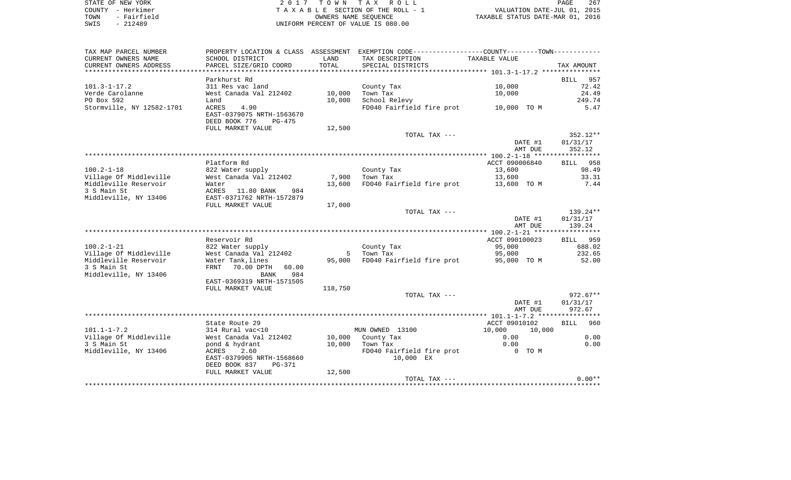| STATE OF NEW YORK   | 2017 TOWN TAX ROLL                 | 267<br>PAGE                      |
|---------------------|------------------------------------|----------------------------------|
| COUNTY - Herkimer   | TAXABLE SECTION OF THE ROLL - 1    | VALUATION DATE-JUL 01, 2015      |
| - Fairfield<br>TOWN | OWNERS NAME SEOUENCE               | TAXABLE STATUS DATE-MAR 01, 2016 |
| SWIS<br>$-212489$   | UNIFORM PERCENT OF VALUE IS 080.00 |                                  |

| TAX MAP PARCEL NUMBER     |                                                                       |         | PROPERTY LOCATION & CLASS ASSESSMENT EXEMPTION CODE---------------COUNTY-------TOWN---------- |                    |                    |
|---------------------------|-----------------------------------------------------------------------|---------|-----------------------------------------------------------------------------------------------|--------------------|--------------------|
| CURRENT OWNERS NAME       | SCHOOL DISTRICT                                                       | LAND    | TAX DESCRIPTION                                                                               | TAXABLE VALUE      |                    |
| CURRENT OWNERS ADDRESS    | PARCEL SIZE/GRID COORD                                                | TOTAL   | SPECIAL DISTRICTS                                                                             |                    | TAX AMOUNT         |
|                           |                                                                       |         |                                                                                               |                    |                    |
|                           | Parkhurst Rd                                                          |         |                                                                                               |                    | <b>BILL</b><br>957 |
| $101.3 - 1 - 17.2$        | 311 Res vac land                                                      |         | County Tax                                                                                    | 10,000             | 72.42              |
| Verde Carolanne           | West Canada Val 212402                                                | 10,000  | Town Tax                                                                                      | 10,000             | 24.49              |
| PO Box 592                | Land                                                                  | 10,000  | School Relevy                                                                                 |                    | 249.74             |
| Stormville, NY 12582-1701 | ACRES<br>4.90<br>EAST-0379075 NRTH-1563670<br>DEED BOOK 776<br>PG-475 |         | FD040 Fairfield fire prot                                                                     | 10,000 TO M        | 5.47               |
|                           | FULL MARKET VALUE                                                     | 12,500  |                                                                                               |                    |                    |
|                           |                                                                       |         | TOTAL TAX ---                                                                                 |                    | $352.12**$         |
|                           |                                                                       |         |                                                                                               | DATE #1            | 01/31/17           |
|                           |                                                                       |         |                                                                                               | AMT DUE            | 352.12             |
|                           |                                                                       |         |                                                                                               |                    |                    |
|                           | Platform Rd                                                           |         |                                                                                               | ACCT 090006840     | BILL 958           |
| $100.2 - 1 - 18$          | 822 Water supply                                                      |         | County Tax                                                                                    | 13,600             | 98.49              |
| Village Of Middleville    | West Canada Val 212402                                                | 7,900   | Town Tax                                                                                      | 13,600             | 33.31              |
| Middleville Reservoir     | Water                                                                 | 13,600  | FD040 Fairfield fire prot                                                                     | 13,600 TO M        | 7.44               |
| 3 S Main St               | ACRES<br>11.80 BANK<br>984                                            |         |                                                                                               |                    |                    |
| Middleville, NY 13406     | EAST-0371762 NRTH-1572879<br>FULL MARKET VALUE                        | 17,000  |                                                                                               |                    |                    |
|                           |                                                                       |         | TOTAL TAX ---                                                                                 |                    | 139.24**           |
|                           |                                                                       |         |                                                                                               | DATE #1            | 01/31/17           |
|                           |                                                                       |         |                                                                                               | AMT DUE            | 139.24             |
|                           |                                                                       |         |                                                                                               |                    |                    |
|                           | Reservoir Rd                                                          |         |                                                                                               | ACCT 090100023     | BILL 959           |
| $100.2 - 1 - 21$          | 822 Water supply                                                      |         | County Tax                                                                                    | 95,000             | 688.02             |
| Village Of Middleville    | West Canada Val 212402                                                | 5       | Town Tax                                                                                      | 95,000             | 232.65             |
| Middleville Reservoir     | Water Tank, lines                                                     | 95,000  | FD040 Fairfield fire prot                                                                     | 95,000 TO M        | 52.00              |
| 3 S Main St               | FRNT<br>70.00 DPTH<br>60.00                                           |         |                                                                                               |                    |                    |
| Middleville, NY 13406     | <b>BANK</b><br>984                                                    |         |                                                                                               |                    |                    |
|                           | EAST-0369319 NRTH-1571505                                             |         |                                                                                               |                    |                    |
|                           | FULL MARKET VALUE                                                     | 118,750 |                                                                                               |                    |                    |
|                           |                                                                       |         | TOTAL TAX ---                                                                                 |                    | $972.67**$         |
|                           |                                                                       |         |                                                                                               | DATE #1<br>AMT DUE | 01/31/17<br>972.67 |
|                           |                                                                       |         |                                                                                               |                    |                    |
|                           | State Route 29                                                        |         |                                                                                               | ACCT 09010102      | <b>BILL</b><br>960 |
| $101.1 - 1 - 7.2$         | 314 Rural vac<10                                                      |         | MUN OWNED 13100                                                                               | 10,000<br>10,000   |                    |
| Village Of Middleville    | West Canada Val 212402                                                | 10,000  | County Tax                                                                                    | 0.00               | 0.00               |
| 3 S Main St               | pond & hydrant                                                        | 10,000  | Town Tax                                                                                      | 0.00               | 0.00               |
| Middleville, NY 13406     | 2.60<br>ACRES                                                         |         | FD040 Fairfield fire prot                                                                     | 0 TO M             |                    |
|                           | EAST-0379905 NRTH-1568660                                             |         | 10,000 EX                                                                                     |                    |                    |
|                           | DEED BOOK 837<br>PG-371                                               |         |                                                                                               |                    |                    |
|                           | FULL MARKET VALUE                                                     | 12,500  |                                                                                               |                    |                    |
|                           |                                                                       |         | TOTAL TAX ---                                                                                 |                    | $0.00**$           |
|                           |                                                                       |         |                                                                                               |                    |                    |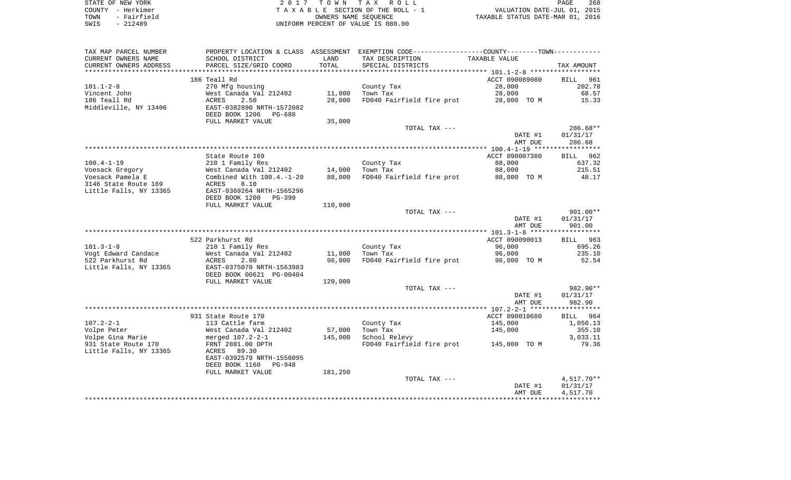| STATE OF NEW YORK   | 2017 TOWN TAX ROLL                 | 268<br>PAGE                      |
|---------------------|------------------------------------|----------------------------------|
| COUNTY - Herkimer   | TAXABLE SECTION OF THE ROLL - 1    | VALUATION DATE-JUL 01, 2015      |
| - Fairfield<br>TOWN | OWNERS NAME SEOUENCE               | TAXABLE STATUS DATE-MAR 01, 2016 |
| SWIS<br>$-212489$   | UNIFORM PERCENT OF VALUE IS 080.00 |                                  |

| TAX MAP PARCEL NUMBER  |                                 |         | PROPERTY LOCATION & CLASS ASSESSMENT EXEMPTION CODE---------------COUNTY-------TOWN---------- |                |                    |
|------------------------|---------------------------------|---------|-----------------------------------------------------------------------------------------------|----------------|--------------------|
| CURRENT OWNERS NAME    | SCHOOL DISTRICT                 | LAND    | TAX DESCRIPTION                                                                               | TAXABLE VALUE  |                    |
| CURRENT OWNERS ADDRESS | PARCEL SIZE/GRID COORD          | TOTAL   | SPECIAL DISTRICTS                                                                             |                | TAX AMOUNT         |
|                        |                                 |         |                                                                                               |                |                    |
|                        | 186 Teall Rd                    |         |                                                                                               | ACCT 090089080 | 961<br><b>BILL</b> |
| $101.1 - 2 - 8$        | 270 Mfg housing                 |         | County Tax                                                                                    | 28,000         | 202.78             |
| Vincent John           | West Canada Val 212402          | 11,000  | Town Tax                                                                                      | 28,000         | 68.57              |
| 186 Teall Rd           | ACRES<br>2.50                   | 28,000  | FD040 Fairfield fire prot                                                                     | 28,000 TO M    | 15.33              |
| Middleville, NY 13406  | EAST-0382890 NRTH-1572082       |         |                                                                                               |                |                    |
|                        | DEED BOOK 1206<br>PG-688        |         |                                                                                               |                |                    |
|                        | FULL MARKET VALUE               | 35,000  |                                                                                               |                |                    |
|                        |                                 |         | TOTAL TAX ---                                                                                 |                | $286.68**$         |
|                        |                                 |         |                                                                                               | DATE #1        | 01/31/17           |
|                        |                                 |         |                                                                                               | AMT DUE        | 286.68             |
|                        |                                 |         |                                                                                               |                |                    |
|                        | State Route 169                 |         |                                                                                               | ACCT 090007380 | <b>BILL</b><br>962 |
| $100.4 - 1 - 19$       | 210 1 Family Res                |         | County Tax                                                                                    | 88,000         | 637.32             |
| Voesack Gregory        | West Canada Val 212402          | 14,000  | Town Tax                                                                                      | 88,000         | 215.51             |
| Voesack Pamela E       | Combined With $100.4.-1-20$     | 88,000  | FD040 Fairfield fire prot                                                                     | 88,000 TO M    | 48.17              |
| 3146 State Route 169   | 8.10<br>ACRES                   |         |                                                                                               |                |                    |
| Little Falls, NY 13365 | EAST-0369264 NRTH-1565296       |         |                                                                                               |                |                    |
|                        | DEED BOOK 1200<br>PG-399        | 110,000 |                                                                                               |                |                    |
|                        | FULL MARKET VALUE               |         | TOTAL TAX ---                                                                                 |                | 901.00**           |
|                        |                                 |         |                                                                                               | DATE #1        | 01/31/17           |
|                        |                                 |         |                                                                                               | AMT DUE        | 901.00             |
|                        |                                 |         |                                                                                               |                |                    |
|                        | 522 Parkhurst Rd                |         |                                                                                               | ACCT 090090013 | BILL 963           |
| $101.3 - 1 - 8$        | 210 1 Family Res                |         | County Tax                                                                                    | 96,000         | 695.26             |
| Vogt Edward Candace    | West Canada Val 212402          | 11,000  | Town Tax                                                                                      | 96,000         | 235.10             |
| 522 Parkhurst Rd       | 2.00<br>ACRES                   | 96,000  | FD040 Fairfield fire prot                                                                     | 96,000 TO M    | 52.54              |
| Little Falls, NY 13365 | EAST-0375070 NRTH-1563983       |         |                                                                                               |                |                    |
|                        | DEED BOOK 00621 PG-00404        |         |                                                                                               |                |                    |
|                        | FULL MARKET VALUE               | 120,000 |                                                                                               |                |                    |
|                        |                                 |         | TOTAL TAX ---                                                                                 |                | 982.90**           |
|                        |                                 |         |                                                                                               | DATE #1        | 01/31/17           |
|                        |                                 |         |                                                                                               | AMT DUE        | 982.90             |
|                        |                                 |         |                                                                                               |                |                    |
|                        | 931 State Route 170             |         |                                                                                               | ACCT 090010680 | BILL 964           |
| $107.2 - 2 - 1$        | 113 Cattle farm                 |         | County Tax                                                                                    | 145,000        | 1,050.13           |
| Volpe Peter            | West Canada Val 212402          | 57,000  | Town Tax                                                                                      | 145,000        | 355.10             |
| Volpe Gina Marie       | merged 107.2-2-1                | 145,000 | School Relevy                                                                                 |                | 3,033.11           |
| 931 State Route 170    | FRNT 2881.00 DPTH               |         | FD040 Fairfield fire prot                                                                     | 145,000 TO M   | 79.36              |
| Little Falls, NY 13365 | 89.30<br>ACRES                  |         |                                                                                               |                |                    |
|                        | EAST-0392579 NRTH-1556095       |         |                                                                                               |                |                    |
|                        | DEED BOOK 1160<br><b>PG-948</b> |         |                                                                                               |                |                    |
|                        | FULL MARKET VALUE               | 181,250 |                                                                                               |                |                    |
|                        |                                 |         | TOTAL TAX ---                                                                                 |                | 4,517.70**         |
|                        |                                 |         |                                                                                               | DATE #1        | 01/31/17           |
|                        |                                 |         |                                                                                               | AMT DUE        | 4,517.70           |
|                        |                                 |         |                                                                                               |                |                    |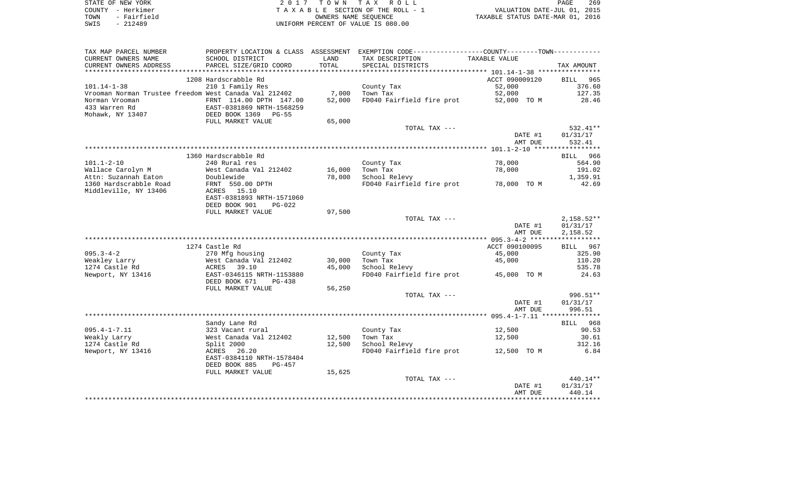| STATE OF NEW YORK   | 2017 TOWN TAX ROLL                 | 269<br>PAGE                      |
|---------------------|------------------------------------|----------------------------------|
| COUNTY - Herkimer   | TAXABLE SECTION OF THE ROLL - 1    | VALUATION DATE-JUL 01, 2015      |
| - Fairfield<br>TOWN | OWNERS NAME SEOUENCE               | TAXABLE STATUS DATE-MAR 01, 2016 |
| $-212489$<br>SWIS   | UNIFORM PERCENT OF VALUE IS 080.00 |                                  |

| TAX MAP PARCEL NUMBER                                 |                                   |        | PROPERTY LOCATION & CLASS ASSESSMENT EXEMPTION CODE---------------COUNTY-------TOWN---------- |                  |                    |
|-------------------------------------------------------|-----------------------------------|--------|-----------------------------------------------------------------------------------------------|------------------|--------------------|
| CURRENT OWNERS NAME                                   | SCHOOL DISTRICT                   | LAND   | TAX DESCRIPTION                                                                               | TAXABLE VALUE    |                    |
| CURRENT OWNERS ADDRESS                                | PARCEL SIZE/GRID COORD            | TOTAL  | SPECIAL DISTRICTS                                                                             |                  | TAX AMOUNT         |
| **********************                                | ******************************    |        |                                                                                               |                  |                    |
|                                                       | 1208 Hardscrabble Rd              |        |                                                                                               | ACCT 090009120   | 965<br><b>BILL</b> |
| $101.14 - 1 - 38$                                     | 210 1 Family Res                  |        | County Tax                                                                                    | 52,000           | 376.60             |
| Vrooman Norman Trustee freedom West Canada Val 212402 |                                   | 7,000  | Town Tax                                                                                      | 52,000           | 127.35             |
| Norman Vrooman                                        | FRNT 114.00 DPTH 147.00           | 52,000 | FD040 Fairfield fire prot                                                                     | 52,000 TO M      | 28.46              |
| 433 Warren Rd                                         | EAST-0381869 NRTH-1568259         |        |                                                                                               |                  |                    |
| Mohawk, NY 13407                                      | DEED BOOK 1369<br>$PG-55$         |        |                                                                                               |                  |                    |
|                                                       | FULL MARKET VALUE                 | 65,000 |                                                                                               |                  |                    |
|                                                       |                                   |        | TOTAL TAX ---                                                                                 |                  | 532.41**           |
|                                                       |                                   |        |                                                                                               | DATE #1          | 01/31/17           |
|                                                       |                                   |        |                                                                                               | AMT DUE          | 532.41             |
|                                                       |                                   |        |                                                                                               |                  |                    |
|                                                       | 1360 Hardscrabble Rd              |        |                                                                                               |                  | 966<br>BILL        |
| $101.1 - 2 - 10$                                      | 240 Rural res                     |        | County Tax                                                                                    | 78,000           | 564.90             |
| Wallace Carolyn M                                     | West Canada Val 212402            | 16,000 | Town Tax                                                                                      | 78,000           | 191.02             |
| Attn: Suzannah Eaton                                  | Doublewide                        | 78,000 | School Relevy                                                                                 |                  | 1,359.91           |
| 1360 Hardscrabble Road                                | FRNT 550.00 DPTH                  |        | FD040 Fairfield fire prot                                                                     | 78,000 TO M      | 42.69              |
| Middleville, NY 13406                                 | ACRES 15.10                       |        |                                                                                               |                  |                    |
|                                                       | EAST-0381893 NRTH-1571060         |        |                                                                                               |                  |                    |
|                                                       | DEED BOOK 901<br>$PG-022$         |        |                                                                                               |                  |                    |
|                                                       | FULL MARKET VALUE                 | 97,500 |                                                                                               |                  |                    |
|                                                       |                                   |        | TOTAL TAX ---                                                                                 |                  | $2,158.52**$       |
|                                                       |                                   |        |                                                                                               | DATE #1          | 01/31/17           |
|                                                       |                                   |        |                                                                                               | AMT DUE          | 2,158.52           |
|                                                       |                                   |        |                                                                                               |                  |                    |
|                                                       | 1274 Castle Rd                    |        |                                                                                               | ACCT 090100095   | 967<br>BILL        |
| $095.3 - 4 - 2$                                       | 270 Mfg housing                   |        | County Tax                                                                                    | 45,000           | 325.90             |
| Weakley Larry                                         | West Canada Val 212402            | 30,000 | Town Tax                                                                                      | 45,000           | 110.20             |
| 1274 Castle Rd                                        | ACRES 39.10                       | 45,000 | School Relevy                                                                                 |                  | 535.78             |
| Newport, NY 13416                                     | EAST-0346115 NRTH-1153880         |        | FD040 Fairfield fire prot                                                                     | 45,000 TO M      | 24.63              |
|                                                       | DEED BOOK 671<br>$PG-438$         |        |                                                                                               |                  |                    |
|                                                       | FULL MARKET VALUE                 | 56,250 |                                                                                               |                  |                    |
|                                                       |                                   |        | TOTAL TAX ---                                                                                 |                  | 996.51**           |
|                                                       |                                   |        |                                                                                               | DATE #1          | 01/31/17           |
|                                                       |                                   |        |                                                                                               | AMT DUE          | 996.51             |
|                                                       |                                   |        |                                                                                               |                  |                    |
| $095.4 - 1 - 7.11$                                    | Sandy Lane Rd<br>323 Vacant rural |        |                                                                                               |                  | BILL 968           |
| Weakly Larry                                          | West Canada Val 212402            | 12,500 | County Tax<br>Town Tax                                                                        | 12,500<br>12,500 | 90.53<br>30.61     |
| 1274 Castle Rd                                        |                                   |        | School Relevy                                                                                 |                  | 312.16             |
| Newport, NY 13416                                     | Split 2000<br>26.20<br>ACRES      | 12,500 | FD040 Fairfield fire prot                                                                     | 12,500 TO M      | 6.84               |
|                                                       | EAST-0384110 NRTH-1578404         |        |                                                                                               |                  |                    |
|                                                       | DEED BOOK 885<br>$PG-457$         |        |                                                                                               |                  |                    |
|                                                       | FULL MARKET VALUE                 | 15,625 |                                                                                               |                  |                    |
|                                                       |                                   |        | TOTAL TAX ---                                                                                 |                  | $440.14**$         |
|                                                       |                                   |        |                                                                                               | DATE #1          | 01/31/17           |
|                                                       |                                   |        |                                                                                               | AMT DUE          | 440.14             |
|                                                       |                                   |        |                                                                                               |                  |                    |
|                                                       |                                   |        |                                                                                               |                  |                    |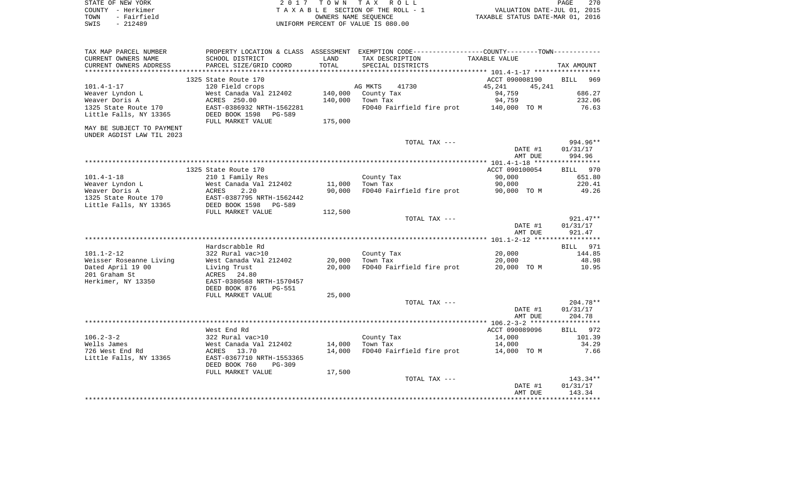| STATE OF NEW YORK   | 2017 TOWN TAX ROLL                 | 270<br>PAGE                      |
|---------------------|------------------------------------|----------------------------------|
| COUNTY - Herkimer   | TAXABLE SECTION OF THE ROLL - 1    | VALUATION DATE-JUL 01, 2015      |
| - Fairfield<br>TOWN | OWNERS NAME SEOUENCE               | TAXABLE STATUS DATE-MAR 01, 2016 |
| SWIS<br>- 212489    | UNIFORM PERCENT OF VALUE IS 080.00 |                                  |

| TAX MAP PARCEL NUMBER             |                                                    |         | PROPERTY LOCATION & CLASS ASSESSMENT EXEMPTION CODE---------------COUNTY-------TOWN---------- |                  |                    |
|-----------------------------------|----------------------------------------------------|---------|-----------------------------------------------------------------------------------------------|------------------|--------------------|
| CURRENT OWNERS NAME               | SCHOOL DISTRICT                                    | LAND    | TAX DESCRIPTION                                                                               | TAXABLE VALUE    |                    |
| CURRENT OWNERS ADDRESS            | PARCEL SIZE/GRID COORD                             | TOTAL   | SPECIAL DISTRICTS                                                                             |                  | TAX AMOUNT         |
|                                   |                                                    |         |                                                                                               |                  |                    |
|                                   | 1325 State Route 170                               |         |                                                                                               | ACCT 090008190   | <b>BILL</b><br>969 |
| $101.4 - 1 - 17$                  | 120 Field crops                                    |         | AG MKTS<br>41730                                                                              | 45,241<br>45,241 |                    |
| Weaver Lyndon L                   | West Canada Val 212402                             | 140,000 | County Tax                                                                                    | 94,759           | 686.27             |
| Weaver Doris A                    | ACRES 250.00                                       | 140,000 | Town Tax                                                                                      | 94,759           | 232.06             |
| 1325 State Route 170              | EAST-0386932 NRTH-1562281                          |         | FD040 Fairfield fire prot 140,000 TO M                                                        |                  | 76.63              |
| Little Falls, NY 13365            | DEED BOOK 1598<br>PG-589                           |         |                                                                                               |                  |                    |
|                                   | FULL MARKET VALUE                                  | 175,000 |                                                                                               |                  |                    |
| MAY BE SUBJECT TO PAYMENT         |                                                    |         |                                                                                               |                  |                    |
| UNDER AGDIST LAW TIL 2023         |                                                    |         |                                                                                               |                  |                    |
|                                   |                                                    |         | TOTAL TAX ---                                                                                 |                  | 994.96**           |
|                                   |                                                    |         |                                                                                               | DATE #1          | 01/31/17           |
|                                   |                                                    |         |                                                                                               | AMT DUE          | 994.96             |
|                                   |                                                    |         |                                                                                               |                  |                    |
|                                   | 1325 State Route 170                               |         |                                                                                               | ACCT 090100054   | BILL 970           |
| $101.4 - 1 - 18$                  | 210 1 Family Res                                   | 11,000  | County Tax<br>Town Tax                                                                        | 90,000<br>90,000 | 651.80<br>220.41   |
| Weaver Lyndon L<br>Weaver Doris A | West Canada Val 212402<br>ACRES<br>2.20            | 90,000  | FD040 Fairfield fire prot                                                                     |                  | 49.26              |
| 1325 State Route 170              |                                                    |         |                                                                                               | 90,000 TO M      |                    |
| Little Falls, NY 13365            | EAST-0387795 NRTH-1562442<br>DEED BOOK 1598 PG-589 |         |                                                                                               |                  |                    |
|                                   | FULL MARKET VALUE                                  | 112,500 |                                                                                               |                  |                    |
|                                   |                                                    |         | TOTAL TAX ---                                                                                 |                  | $921.47**$         |
|                                   |                                                    |         |                                                                                               | DATE #1          | 01/31/17           |
|                                   |                                                    |         |                                                                                               | AMT DUE          | 921.47             |
|                                   |                                                    |         |                                                                                               |                  |                    |
|                                   | Hardscrabble Rd                                    |         |                                                                                               |                  | BILL 971           |
| $101.1 - 2 - 12$                  | 322 Rural vac>10                                   |         | County Tax                                                                                    | 20,000           | 144.85             |
| Weisser Roseanne Living           | West Canada Val 212402                             | 20,000  | Town Tax                                                                                      | 20,000           | 48.98              |
| Dated April 19 00                 | Living Trust                                       | 20,000  | FD040 Fairfield fire prot                                                                     | 20,000 TO M      | 10.95              |
| 201 Graham St                     | ACRES 24.80                                        |         |                                                                                               |                  |                    |
| Herkimer, NY 13350                | EAST-0380568 NRTH-1570457                          |         |                                                                                               |                  |                    |
|                                   | DEED BOOK 876<br>PG-551                            |         |                                                                                               |                  |                    |
|                                   | FULL MARKET VALUE                                  | 25,000  |                                                                                               |                  |                    |
|                                   |                                                    |         | TOTAL TAX ---                                                                                 |                  | $204.78**$         |
|                                   |                                                    |         |                                                                                               | DATE #1          | 01/31/17           |
|                                   |                                                    |         |                                                                                               | AMT DUE          | 204.78             |
|                                   |                                                    |         |                                                                                               |                  |                    |
|                                   | West End Rd                                        |         |                                                                                               | ACCT 090089096   | BILL 972           |
| $106.2 - 3 - 2$                   |                                                    |         | County Tax                                                                                    | 14,000           | 101.39             |
| Wells James                       | 322 Rural vac>10<br>West Canada Val 212402<br>-    | 14,000  | Town Tax                                                                                      | 14,000           | 34.29              |
| 726 West End Rd                   | ACRES 13.70                                        | 14,000  | FD040 Fairfield fire prot                                                                     | 14,000 TO M      | 7.66               |
| Little Falls, NY 13365            | EAST-0367710 NRTH-1553365                          |         |                                                                                               |                  |                    |
|                                   | DEED BOOK 760<br><b>PG-309</b>                     |         |                                                                                               |                  |                    |
|                                   | FULL MARKET VALUE                                  | 17,500  |                                                                                               |                  |                    |
|                                   |                                                    |         | TOTAL TAX ---                                                                                 |                  | $143.34**$         |
|                                   |                                                    |         |                                                                                               | DATE #1          | 01/31/17           |
|                                   |                                                    |         |                                                                                               | AMT DUE          | 143.34             |
|                                   |                                                    |         |                                                                                               |                  |                    |
|                                   |                                                    |         |                                                                                               |                  |                    |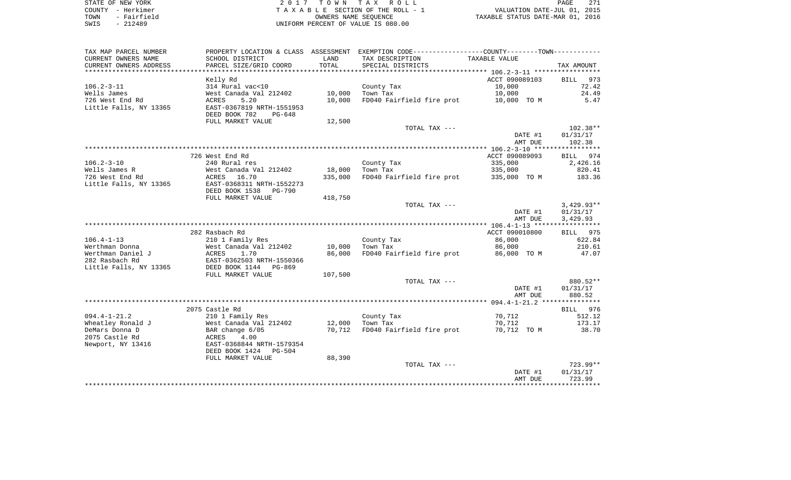| STATE OF NEW YORK   | 2017 TOWN TAX ROLL                 | 271<br>PAGE                      |
|---------------------|------------------------------------|----------------------------------|
| COUNTY - Herkimer   | TAXABLE SECTION OF THE ROLL - 1    | VALUATION DATE-JUL 01, 2015      |
| - Fairfield<br>TOWN | OWNERS NAME SEOUENCE               | TAXABLE STATUS DATE-MAR 01, 2016 |
| $-212489$<br>SWIS   | UNIFORM PERCENT OF VALUE IS 080.00 |                                  |

271<br>2015

| TAX MAP PARCEL NUMBER                   |                                                        |         | PROPERTY LOCATION & CLASS ASSESSMENT EXEMPTION CODE----------------COUNTY-------TOWN---------- |                       |                    |
|-----------------------------------------|--------------------------------------------------------|---------|------------------------------------------------------------------------------------------------|-----------------------|--------------------|
| CURRENT OWNERS NAME                     | SCHOOL DISTRICT                                        | LAND    | TAX DESCRIPTION                                                                                | TAXABLE VALUE         |                    |
| CURRENT OWNERS ADDRESS                  | PARCEL SIZE/GRID COORD                                 | TOTAL   | SPECIAL DISTRICTS                                                                              |                       | TAX AMOUNT         |
|                                         |                                                        |         |                                                                                                |                       |                    |
|                                         | Kelly Rd                                               |         |                                                                                                | ACCT 090089103        | 973<br><b>BILL</b> |
| $106.2 - 3 - 11$                        | 314 Rural vac<10                                       |         | County Tax                                                                                     | 10,000                | 72.42              |
| Wells James                             | West Canada Val 212402                                 | 10,000  | Town Tax                                                                                       | 10,000                | 24.49              |
| 726 West End Rd                         | 5.20<br><b>ACRES</b>                                   | 10,000  | FD040 Fairfield fire prot                                                                      | 10,000 TO M           | 5.47               |
| Little Falls, NY 13365                  | EAST-0367819 NRTH-1551953<br>DEED BOOK 782<br>$PG-648$ |         |                                                                                                |                       |                    |
|                                         | FULL MARKET VALUE                                      | 12,500  |                                                                                                |                       |                    |
|                                         |                                                        |         | TOTAL TAX ---                                                                                  |                       | $102.38**$         |
|                                         |                                                        |         |                                                                                                | DATE #1               | 01/31/17           |
|                                         |                                                        |         |                                                                                                | AMT DUE               | 102.38             |
|                                         |                                                        |         |                                                                                                |                       |                    |
|                                         | 726 West End Rd                                        |         |                                                                                                | ACCT 090089093        | 974<br>BILL        |
| $106.2 - 3 - 10$                        | 240 Rural res                                          |         | County Tax                                                                                     | 335,000               | 2,426.16           |
| Wells James R<br>726 West End Rd        | West Canada Val 212402<br>ACRES<br>16.70               | 18,000  | Town Tax<br>FD040 Fairfield fire prot                                                          | 335,000               | 820.41<br>183.36   |
| Little Falls, NY 13365                  | EAST-0368311 NRTH-1552273                              | 335,000 |                                                                                                | 335,000 TO M          |                    |
|                                         | DEED BOOK 1538<br>PG-790                               |         |                                                                                                |                       |                    |
|                                         | FULL MARKET VALUE                                      | 418,750 |                                                                                                |                       |                    |
|                                         |                                                        |         | TOTAL TAX ---                                                                                  |                       | $3,429.93**$       |
|                                         |                                                        |         |                                                                                                | DATE #1               | 01/31/17           |
|                                         |                                                        |         |                                                                                                | AMT DUE               | 3,429.93           |
|                                         |                                                        |         |                                                                                                |                       |                    |
|                                         | 282 Rasbach Rd                                         |         |                                                                                                | ACCT 090010800        | BILL 975           |
| $106.4 - 1 - 13$                        | 210 1 Family Res                                       |         | County Tax                                                                                     | 86,000                | 622.84             |
| Werthman Donna                          | West Canada Val 212402                                 | 10,000  | Town Tax                                                                                       | 86,000                | 210.61             |
| Werthman Daniel J                       | ACRES<br>1.70                                          | 86,000  | FD040 Fairfield fire prot                                                                      | 86,000 TO M           | 47.07              |
| 282 Rasbach Rd                          | EAST-0362503 NRTH-1550366                              |         |                                                                                                |                       |                    |
| Little Falls, NY 13365                  | DEED BOOK 1144 PG-869                                  |         |                                                                                                |                       |                    |
|                                         | FULL MARKET VALUE                                      | 107,500 |                                                                                                |                       |                    |
|                                         |                                                        |         | TOTAL TAX ---                                                                                  |                       | 880.52**           |
|                                         |                                                        |         |                                                                                                | DATE #1               | 01/31/17           |
|                                         |                                                        |         |                                                                                                | AMT DUE               | 880.52             |
|                                         |                                                        |         |                                                                                                |                       |                    |
|                                         | 2075 Castle Rd                                         |         |                                                                                                |                       | 976<br>BILL        |
| $094.4 - 1 - 21.2$<br>Wheatley Ronald J | 210 1 Family Res<br>West Canada Val 212402             | 12,000  | County Tax                                                                                     | 70,712                | 512.12             |
| DeMars Donna D                          | BAR change 6/05                                        | 70,712  | Town Tax<br>FD040 Fairfield fire prot                                                          | 70,712<br>70,712 TO M | 173.17<br>38.70    |
| 2075 Castle Rd                          | ACRES<br>4.00                                          |         |                                                                                                |                       |                    |
| Newport, NY 13416                       | EAST-0368844 NRTH-1579354                              |         |                                                                                                |                       |                    |
|                                         | DEED BOOK 1424<br>PG-504                               |         |                                                                                                |                       |                    |
|                                         | FULL MARKET VALUE                                      | 88,390  |                                                                                                |                       |                    |
|                                         |                                                        |         | TOTAL TAX ---                                                                                  |                       | 723.99**           |
|                                         |                                                        |         |                                                                                                | DATE #1               | 01/31/17           |
|                                         |                                                        |         |                                                                                                | AMT DUE               | 723.99             |
|                                         |                                                        |         |                                                                                                |                       |                    |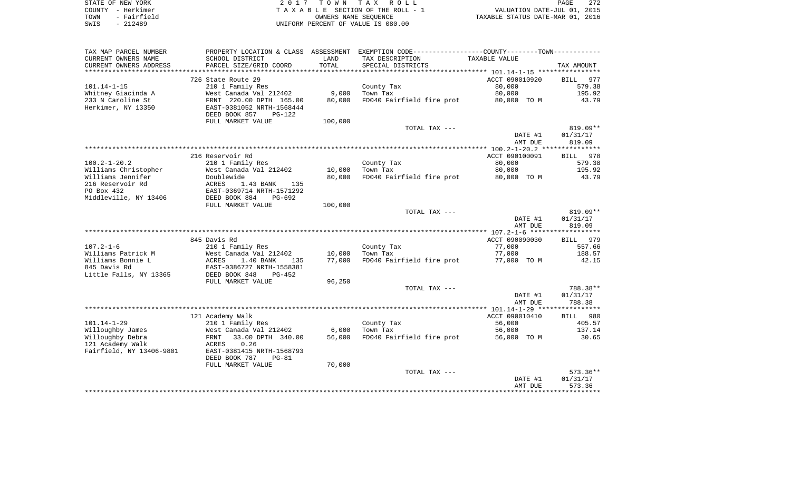| STATE OF NEW YORK   | 2017 TOWN TAX ROLL                 | 272<br>PAGE                      |
|---------------------|------------------------------------|----------------------------------|
| COUNTY - Herkimer   | TAXABLE SECTION OF THE ROLL - 1    | VALUATION DATE-JUL 01, 2015      |
| - Fairfield<br>TOWN | OWNERS NAME SEOUENCE               | TAXABLE STATUS DATE-MAR 01, 2016 |
| $-212489$<br>SWIS   | UNIFORM PERCENT OF VALUE IS 080.00 |                                  |

| TAX MAP PARCEL NUMBER    |                           |         | PROPERTY LOCATION & CLASS ASSESSMENT EXEMPTION CODE---------------COUNTY-------TOWN---------- |                |                    |
|--------------------------|---------------------------|---------|-----------------------------------------------------------------------------------------------|----------------|--------------------|
| CURRENT OWNERS NAME      | SCHOOL DISTRICT           | LAND    | TAX DESCRIPTION                                                                               | TAXABLE VALUE  |                    |
| CURRENT OWNERS ADDRESS   | PARCEL SIZE/GRID COORD    | TOTAL   | SPECIAL DISTRICTS                                                                             |                | TAX AMOUNT         |
|                          |                           |         |                                                                                               |                |                    |
|                          | 726 State Route 29        |         |                                                                                               | ACCT 090010920 | 977<br>BILL        |
| $101.14 - 1 - 15$        | 210 1 Family Res          |         | County Tax                                                                                    | 80,000         | 579.38             |
| Whitney Giacinda A       | West Canada Val 212402    | 9,000   | Town Tax                                                                                      | 80,000         | 195.92             |
| 233 N Caroline St        | FRNT 220.00 DPTH 165.00   | 80,000  | FD040 Fairfield fire prot                                                                     | 80,000 TO M    | 43.79              |
| Herkimer, NY 13350       | EAST-0381052 NRTH-1568444 |         |                                                                                               |                |                    |
|                          | DEED BOOK 857<br>$PG-122$ |         |                                                                                               |                |                    |
|                          | FULL MARKET VALUE         | 100,000 |                                                                                               |                |                    |
|                          |                           |         | TOTAL TAX ---                                                                                 |                | $819.09**$         |
|                          |                           |         |                                                                                               | DATE #1        | 01/31/17           |
|                          |                           |         |                                                                                               | AMT DUE        | 819.09             |
|                          |                           |         |                                                                                               |                |                    |
|                          | 216 Reservoir Rd          |         |                                                                                               | ACCT 090100091 | <b>BILL</b><br>978 |
| $100.2 - 1 - 20.2$       | 210 1 Family Res          |         | County Tax                                                                                    | 80,000         | 579.38             |
| Williams Christopher     | West Canada Val 212402    | 10,000  | Town Tax                                                                                      | 80,000         | 195.92             |
| Williams Jennifer        | Doublewide                | 80,000  | FD040 Fairfield fire prot                                                                     | 80,000 TO M    | 43.79              |
| 216 Reservoir Rd         | 135<br>ACRES<br>1.43 BANK |         |                                                                                               |                |                    |
| PO Box 432               | EAST-0369714 NRTH-1571292 |         |                                                                                               |                |                    |
| Middleville, NY 13406    | DEED BOOK 884<br>$PG-692$ |         |                                                                                               |                |                    |
|                          | FULL MARKET VALUE         | 100,000 |                                                                                               |                |                    |
|                          |                           |         | TOTAL TAX ---                                                                                 |                | $819.09**$         |
|                          |                           |         |                                                                                               | DATE #1        | 01/31/17           |
|                          |                           |         |                                                                                               | AMT DUE        | 819.09             |
|                          |                           |         |                                                                                               |                |                    |
|                          | 845 Davis Rd              |         |                                                                                               | ACCT 090090030 | BILL 979           |
| $107.2 - 1 - 6$          | 210 1 Family Res          |         | County Tax                                                                                    | 77,000         | 557.66             |
| Williams Patrick M       | West Canada Val 212402    | 10,000  | Town Tax                                                                                      | 77,000         | 188.57             |
| Williams Bonnie L        | ACRES<br>1.40 BANK<br>135 | 77,000  | FD040 Fairfield fire prot                                                                     | 77,000 TO M    | 42.15              |
| 845 Davis Rd             | EAST-0386727 NRTH-1558381 |         |                                                                                               |                |                    |
| Little Falls, NY 13365   | DEED BOOK 848<br>PG-452   |         |                                                                                               |                |                    |
|                          | FULL MARKET VALUE         | 96,250  |                                                                                               |                |                    |
|                          |                           |         | TOTAL TAX ---                                                                                 |                | 788.38**           |
|                          |                           |         |                                                                                               | DATE #1        | 01/31/17           |
|                          |                           |         |                                                                                               | AMT DUE        | 788.38             |
|                          |                           |         |                                                                                               |                |                    |
|                          | 121 Academy Walk          |         |                                                                                               | ACCT 090010410 | BILL 980           |
| $101.14 - 1 - 29$        | 210 1 Family Res          |         | County Tax                                                                                    | 56,000         | 405.57             |
| Willoughby James         | West Canada Val 212402    | 6,000   | Town Tax                                                                                      | 56,000         | 137.14             |
| Willoughby Debra         | 33.00 DPTH 340.00<br>FRNT | 56,000  | FD040 Fairfield fire prot                                                                     | 56,000 TO M    | 30.65              |
| 121 Academy Walk         | ACRES<br>0.26             |         |                                                                                               |                |                    |
| Fairfield, NY 13406-9801 | EAST-0381415 NRTH-1568793 |         |                                                                                               |                |                    |
|                          | DEED BOOK 787<br>$PG-81$  |         |                                                                                               |                |                    |
|                          | FULL MARKET VALUE         | 70,000  |                                                                                               |                |                    |
|                          |                           |         | TOTAL TAX ---                                                                                 |                | $573.36**$         |
|                          |                           |         |                                                                                               | DATE #1        | 01/31/17           |
|                          |                           |         |                                                                                               | AMT DUE        | 573.36             |
|                          |                           |         |                                                                                               |                |                    |
|                          |                           |         |                                                                                               |                |                    |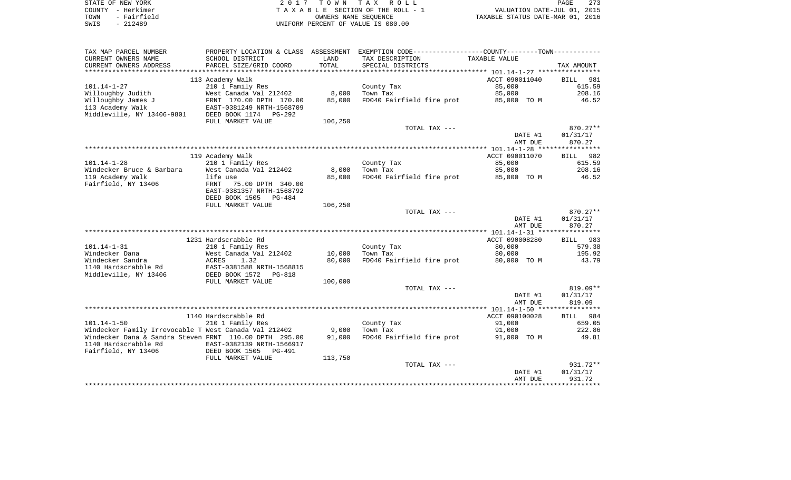| STATE OF NEW YORK   | 2017 TOWN TAX ROLL                 | 273<br>PAGE                      |
|---------------------|------------------------------------|----------------------------------|
| COUNTY - Herkimer   | TAXABLE SECTION OF THE ROLL - 1    | VALUATION DATE-JUL 01, 2015      |
| - Fairfield<br>TOWN | OWNERS NAME SEOUENCE               | TAXABLE STATUS DATE-MAR 01, 2016 |
| $-212489$<br>SWIS   | UNIFORM PERCENT OF VALUE IS 080.00 |                                  |

| TAX MAP PARCEL NUMBER                                  |                            |         | PROPERTY LOCATION & CLASS ASSESSMENT EXEMPTION CODE----------------COUNTY--------TOWN----------- |                |                    |
|--------------------------------------------------------|----------------------------|---------|--------------------------------------------------------------------------------------------------|----------------|--------------------|
| CURRENT OWNERS NAME                                    | SCHOOL DISTRICT            | LAND    | TAX DESCRIPTION                                                                                  | TAXABLE VALUE  |                    |
| CURRENT OWNERS ADDRESS                                 | PARCEL SIZE/GRID COORD     | TOTAL   | SPECIAL DISTRICTS                                                                                |                | TAX AMOUNT         |
| ***********************                                |                            |         |                                                                                                  |                |                    |
|                                                        | 113 Academy Walk           |         |                                                                                                  | ACCT 090011040 | <b>BILL</b><br>981 |
| $101.14 - 1 - 27$                                      | 210 1 Family Res           |         | County Tax                                                                                       | 85,000         | 615.59             |
| Willoughby Judith                                      | West Canada Val 212402     | 8,000   | Town Tax                                                                                         | 85,000         | 208.16             |
| Willoughby James J                                     | FRNT 170.00 DPTH 170.00    | 85,000  | FD040 Fairfield fire prot                                                                        | 85,000 TO M    | 46.52              |
| 113 Academy Walk                                       | EAST-0381249 NRTH-1568709  |         |                                                                                                  |                |                    |
| Middleville, NY 13406-9801                             | DEED BOOK 1174<br>PG-292   |         |                                                                                                  |                |                    |
|                                                        | FULL MARKET VALUE          | 106,250 |                                                                                                  |                |                    |
|                                                        |                            |         | TOTAL TAX ---                                                                                    |                | 870.27**           |
|                                                        |                            |         |                                                                                                  | DATE #1        | 01/31/17           |
|                                                        |                            |         |                                                                                                  | AMT DUE        | 870.27             |
|                                                        |                            |         |                                                                                                  |                |                    |
|                                                        | 119 Academy Walk           |         |                                                                                                  | ACCT 090011070 | 982<br>BILL        |
| $101.14 - 1 - 28$                                      | 210 1 Family Res           |         | County Tax                                                                                       | 85,000         | 615.59             |
| Windecker Bruce & Barbara                              | West Canada Val 212402     | 8,000   | Town Tax                                                                                         | 85,000         | 208.16             |
| 119 Academy Walk                                       | life use                   | 85,000  | FD040 Fairfield fire prot                                                                        | 85,000 TO M    | 46.52              |
| Fairfield, NY 13406                                    | FRNT<br>75.00 DPTH 340.00  |         |                                                                                                  |                |                    |
|                                                        | EAST-0381357 NRTH-1568792  |         |                                                                                                  |                |                    |
|                                                        | DEED BOOK 1505<br>$PG-484$ | 106,250 |                                                                                                  |                |                    |
|                                                        | FULL MARKET VALUE          |         | TOTAL TAX ---                                                                                    |                | 870.27**           |
|                                                        |                            |         |                                                                                                  | DATE #1        | 01/31/17           |
|                                                        |                            |         |                                                                                                  | AMT DUE        | 870.27             |
|                                                        |                            |         |                                                                                                  |                |                    |
|                                                        | 1231 Hardscrabble Rd       |         |                                                                                                  | ACCT 090008280 | BILL 983           |
| $101.14 - 1 - 31$                                      | 210 1 Family Res           |         | County Tax                                                                                       | 80,000         | 579.38             |
| Windecker Dana                                         | West Canada Val 212402     | 10,000  | Town Tax                                                                                         | 80,000         | 195.92             |
| Windecker Sandra                                       | 1.32<br>ACRES              | 80,000  | FD040 Fairfield fire prot                                                                        | 80,000 TO M    | 43.79              |
| 1140 Hardscrabble Rd                                   | EAST-0381588 NRTH-1568815  |         |                                                                                                  |                |                    |
| Middleville, NY 13406                                  | DEED BOOK 1572<br>PG-818   |         |                                                                                                  |                |                    |
|                                                        | FULL MARKET VALUE          | 100,000 |                                                                                                  |                |                    |
|                                                        |                            |         | TOTAL TAX ---                                                                                    |                | $819.09**$         |
|                                                        |                            |         |                                                                                                  | DATE #1        | 01/31/17           |
|                                                        |                            |         |                                                                                                  | AMT DUE        | 819.09             |
|                                                        |                            |         |                                                                                                  |                |                    |
|                                                        | 1140 Hardscrabble Rd       |         |                                                                                                  | ACCT 090100028 | BILL 984           |
| $101.14 - 1 - 50$                                      | 210 1 Family Res           |         | County Tax                                                                                       | 91,000         | 659.05             |
| Windecker Family Irrevocable T West Canada Val 212402  |                            | 9,000   | Town Tax                                                                                         | 91,000         | 222.86             |
| Windecker Dana & Sandra Steven FRNT 110.00 DPTH 295.00 |                            | 91,000  | FD040 Fairfield fire prot                                                                        | 91,000 TO M    | 49.81              |
| 1140 Hardscrabble Rd                                   | EAST-0382139 NRTH-1566917  |         |                                                                                                  |                |                    |
| Fairfield, NY 13406                                    | DEED BOOK 1505<br>PG-491   |         |                                                                                                  |                |                    |
|                                                        | FULL MARKET VALUE          | 113,750 |                                                                                                  |                |                    |
|                                                        |                            |         | TOTAL TAX ---                                                                                    |                | 931.72**           |
|                                                        |                            |         |                                                                                                  | DATE #1        | 01/31/17           |
|                                                        |                            |         |                                                                                                  | AMT DUE        | 931.72             |
|                                                        |                            |         |                                                                                                  |                |                    |
|                                                        |                            |         |                                                                                                  |                |                    |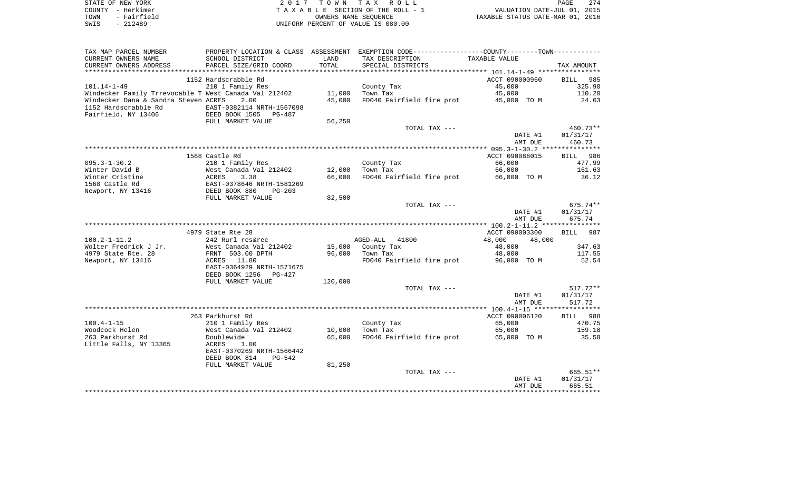| STATE OF NEW YORK   | 2017 TOWN TAX ROLL                 | 274<br>PAGE                      |
|---------------------|------------------------------------|----------------------------------|
| COUNTY - Herkimer   | TAXABLE SECTION OF THE ROLL - 1    | VALUATION DATE-JUL 01, 2015      |
| - Fairfield<br>TOWN | OWNERS NAME SEOUENCE               | TAXABLE STATUS DATE-MAR 01, 2016 |
| - 212489<br>SWIS    | UNIFORM PERCENT OF VALUE IS 080.00 |                                  |

| TAX MAP PARCEL NUMBER                                 |                                             |         | PROPERTY LOCATION & CLASS ASSESSMENT EXEMPTION CODE---------------COUNTY-------TOWN---------- |                    |                      |
|-------------------------------------------------------|---------------------------------------------|---------|-----------------------------------------------------------------------------------------------|--------------------|----------------------|
| CURRENT OWNERS NAME                                   | SCHOOL DISTRICT                             | LAND    | TAX DESCRIPTION                                                                               | TAXABLE VALUE      |                      |
| CURRENT OWNERS ADDRESS                                | PARCEL SIZE/GRID COORD                      | TOTAL   | SPECIAL DISTRICTS                                                                             |                    | TAX AMOUNT           |
| **********************                                | ***************************                 |         |                                                                                               |                    |                      |
|                                                       | 1152 Hardscrabble Rd                        |         |                                                                                               | ACCT 090000960     | <b>BILL</b><br>985   |
| $101.14 - 1 - 49$                                     | 210 1 Family Res                            |         | County Tax                                                                                    | 45,000             | 325.90               |
| Windecker Family Trrevocable T West Canada Val 212402 |                                             | 11,000  | Town Tax                                                                                      | 45,000             | 110.20               |
| Windecker Dana & Sandra Steven ACRES                  | 2.00                                        | 45,000  | FD040 Fairfield fire prot                                                                     | 45,000 TO M        | 24.63                |
| 1152 Hardscrabble Rd                                  | EAST-0382114 NRTH-1567098                   |         |                                                                                               |                    |                      |
| Fairfield, NY 13406                                   | DEED BOOK 1505<br>PG-487                    |         |                                                                                               |                    |                      |
|                                                       | FULL MARKET VALUE                           | 56,250  |                                                                                               |                    |                      |
|                                                       |                                             |         | TOTAL TAX ---                                                                                 |                    | 460.73**<br>01/31/17 |
|                                                       |                                             |         |                                                                                               | DATE #1<br>AMT DUE | 460.73               |
|                                                       |                                             |         |                                                                                               |                    |                      |
|                                                       | 1568 Castle Rd                              |         |                                                                                               | ACCT 090086015     | BILL 986             |
| $095.3 - 1 - 30.2$                                    | 210 1 Family Res                            |         | County Tax                                                                                    | 66,000             | 477.99               |
| Winter David B                                        | West Canada Val 212402                      | 12,000  | Town Tax                                                                                      | 66,000             | 161.63               |
| Winter Cristine                                       | 3.38<br>ACRES                               | 66,000  | FD040 Fairfield fire prot                                                                     | 66,000 TO M        | 36.12                |
| 1568 Castle Rd                                        | EAST-0378646 NRTH-1581269                   |         |                                                                                               |                    |                      |
| Newport, NY 13416                                     | DEED BOOK 880<br>$PG-203$                   |         |                                                                                               |                    |                      |
|                                                       | FULL MARKET VALUE                           | 82,500  |                                                                                               |                    |                      |
|                                                       |                                             |         | TOTAL TAX ---                                                                                 |                    | 675.74**             |
|                                                       |                                             |         |                                                                                               | DATE #1            | 01/31/17             |
|                                                       |                                             |         |                                                                                               | AMT DUE            | 675.74               |
|                                                       |                                             |         |                                                                                               |                    |                      |
|                                                       | 4979 State Rte 28                           |         |                                                                                               | ACCT 090003300     | <b>BILL</b><br>987   |
| $100.2 - 1 - 11.2$                                    | 242 Rurl res&rec                            |         | AGED-ALL 41800                                                                                | 48,000<br>48,000   |                      |
| Wolter Fredrick J Jr.                                 | West Canada Val 212402                      | 15,000  | County Tax                                                                                    | 48,000             | 347.63               |
| 4979 State Rte. 28                                    | FRNT 503.00 DPTH                            | 96,000  | Town Tax                                                                                      | 48,000             | 117.55               |
| Newport, NY 13416                                     | 11.80<br>ACRES<br>EAST-0364929 NRTH-1571675 |         | FD040 Fairfield fire prot                                                                     | 96,000 TO M        | 52.54                |
|                                                       | DEED BOOK 1256<br>PG-427                    |         |                                                                                               |                    |                      |
|                                                       | FULL MARKET VALUE                           | 120,000 |                                                                                               |                    |                      |
|                                                       |                                             |         | TOTAL TAX ---                                                                                 |                    | $517.72**$           |
|                                                       |                                             |         |                                                                                               | DATE #1            | 01/31/17             |
|                                                       |                                             |         |                                                                                               | AMT DUE            | 517.72               |
|                                                       |                                             |         |                                                                                               |                    |                      |
|                                                       | 263 Parkhurst Rd                            |         |                                                                                               | ACCT 090006120     | BILL 988             |
| $100.4 - 1 - 15$                                      | 210 1 Family Res                            |         | County Tax                                                                                    | 65,000             | 470.75               |
| Woodcock Helen                                        | West Canada Val 212402                      | 10,000  | Town Tax                                                                                      | 65,000             | 159.18               |
| 263 Parkhurst Rd                                      | Doublewide                                  | 65,000  | FD040 Fairfield fire prot                                                                     | 65,000 TO M        | 35.58                |
| Little Falls, NY 13365                                | <b>ACRES</b><br>1.00                        |         |                                                                                               |                    |                      |
|                                                       | EAST-0370269 NRTH-1566442                   |         |                                                                                               |                    |                      |
|                                                       | DEED BOOK 814<br>PG-542                     |         |                                                                                               |                    |                      |
|                                                       | FULL MARKET VALUE                           | 81,250  |                                                                                               |                    |                      |
|                                                       |                                             |         | TOTAL TAX ---                                                                                 |                    | 665.51**             |
|                                                       |                                             |         |                                                                                               | DATE #1            | 01/31/17             |
|                                                       |                                             |         |                                                                                               | AMT DUE            | 665.51               |
|                                                       |                                             |         |                                                                                               |                    |                      |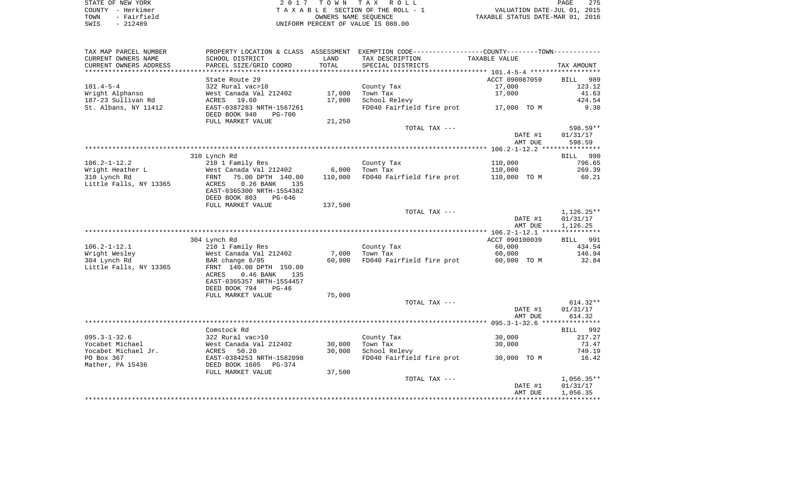| STATE OF NEW YORK   | 2017 TOWN TAX ROLL                 | 275<br>PAGE                      |
|---------------------|------------------------------------|----------------------------------|
| COUNTY - Herkimer   | TAXABLE SECTION OF THE ROLL - 1    | VALUATION DATE-JUL 01, 2015      |
| - Fairfield<br>TOWN | OWNERS NAME SEOUENCE               | TAXABLE STATUS DATE-MAR 01, 2016 |
| $-212489$<br>SWIS   | UNIFORM PERCENT OF VALUE IS 080.00 |                                  |

| TAX MAP PARCEL NUMBER  |                                                                          |         | PROPERTY LOCATION & CLASS ASSESSMENT EXEMPTION CODE----------------COUNTY--------TOWN---------- |                    |                      |
|------------------------|--------------------------------------------------------------------------|---------|-------------------------------------------------------------------------------------------------|--------------------|----------------------|
| CURRENT OWNERS NAME    | SCHOOL DISTRICT                                                          | LAND    | TAX DESCRIPTION                                                                                 | TAXABLE VALUE      |                      |
| CURRENT OWNERS ADDRESS | PARCEL SIZE/GRID COORD                                                   | TOTAL   | SPECIAL DISTRICTS                                                                               |                    | TAX AMOUNT           |
|                        |                                                                          |         |                                                                                                 |                    |                      |
|                        | State Route 29                                                           |         |                                                                                                 | ACCT 090087059     | BILL 989             |
| $101.4 - 5 - 4$        | 322 Rural vac>10                                                         |         | County Tax                                                                                      | 17,000             | 123.12               |
| Wright Alphanso        | West Canada Val 212402                                                   | 17,000  | Town Tax                                                                                        | 17,000             | 41.63                |
| 187-23 Sullivan Rd     | ACRES<br>19.60                                                           | 17,000  | School Relevy                                                                                   |                    | 424.54               |
| St. Albans, NY 11412   | EAST-0387283 NRTH-1567261                                                |         | FD040 Fairfield fire prot 17,000 TO M                                                           |                    | 9.30                 |
|                        | DEED BOOK 940<br>PG-700                                                  |         |                                                                                                 |                    |                      |
|                        | FULL MARKET VALUE                                                        | 21,250  |                                                                                                 |                    |                      |
|                        |                                                                          |         | TOTAL TAX ---                                                                                   |                    | 598.59**             |
|                        |                                                                          |         |                                                                                                 | DATE #1            | 01/31/17             |
|                        |                                                                          |         |                                                                                                 | AMT DUE            | 598.59               |
|                        |                                                                          |         |                                                                                                 |                    |                      |
|                        | 310 Lynch Rd                                                             |         |                                                                                                 |                    | BILL 990             |
| $106.2 - 1 - 12.2$     | 210 1 Family Res                                                         |         | County Tax                                                                                      | 110,000            | 796.65               |
| Wright Heather L       |                                                                          | 6,000   | Town Tax                                                                                        | 110,000            | 269.39               |
| 310 Lynch Rd           | West Canada Val 212402<br>FRNT   75.00 DPTH  140.00<br>75.00 DPTH 140.00 | 110,000 | FD040 Fairfield fire prot                                                                       | 110,000 TO M       | 60.21                |
| Little Falls, NY 13365 | ACRES<br>$0.26$ BANK<br>135                                              |         |                                                                                                 |                    |                      |
|                        | EAST-0365300 NRTH-1554382                                                |         |                                                                                                 |                    |                      |
|                        | DEED BOOK 803<br>PG-646                                                  |         |                                                                                                 |                    |                      |
|                        | FULL MARKET VALUE                                                        | 137,500 |                                                                                                 |                    |                      |
|                        |                                                                          |         | TOTAL TAX ---                                                                                   |                    | $1,126.25**$         |
|                        |                                                                          |         |                                                                                                 | DATE #1            | 01/31/17             |
|                        |                                                                          |         |                                                                                                 | AMT DUE            | 1,126.25             |
|                        |                                                                          |         |                                                                                                 |                    |                      |
|                        | 304 Lynch Rd                                                             |         |                                                                                                 | ACCT 090100039     | <b>BILL</b> 991      |
| $106.2 - 1 - 12.1$     | 210 1 Family Res                                                         |         | County Tax                                                                                      | 60,000             | 434.54               |
| Wright Wesley          | West Canada Val 212402                                                   | 7,000   | Town Tax                                                                                        | 60,000             | 146.94               |
| 304 Lynch Rd           | BAR change 6/05                                                          | 60,000  | FD040 Fairfield fire prot                                                                       | 60,000 TO M        | 32.84                |
| Little Falls, NY 13365 | FRNT 140.00 DPTH 150.00                                                  |         |                                                                                                 |                    |                      |
|                        | $0.46$ BANK<br>ACRES<br>135                                              |         |                                                                                                 |                    |                      |
|                        | EAST-0365357 NRTH-1554457                                                |         |                                                                                                 |                    |                      |
|                        | DEED BOOK 794<br>$PG-46$                                                 |         |                                                                                                 |                    |                      |
|                        | FULL MARKET VALUE                                                        | 75,000  |                                                                                                 |                    |                      |
|                        |                                                                          |         | TOTAL TAX ---                                                                                   |                    | $614.32**$           |
|                        |                                                                          |         |                                                                                                 | DATE #1            | 01/31/17             |
|                        |                                                                          |         |                                                                                                 | AMT DUE            | 614.32               |
|                        |                                                                          |         |                                                                                                 |                    |                      |
|                        | Comstock Rd                                                              |         |                                                                                                 |                    | BILL 992             |
| $095.3 - 1 - 32.6$     | 322 Rural vac>10                                                         |         | County Tax                                                                                      | 30,000             | 217.27               |
|                        | West Canada Val 212402                                                   | 30,000  | Town Tax                                                                                        | 30,000             | 73.47                |
|                        |                                                                          | 30,000  | School Relevy                                                                                   |                    | 749.19               |
| Yocabet Michael        |                                                                          |         |                                                                                                 |                    | 16.42                |
| Yocabet Michael Jr.    | 50.20<br><b>ACRES</b>                                                    |         |                                                                                                 |                    |                      |
| PO Box 367             | EAST-0384253 NRTH-1582098                                                |         | FD040 Fairfield fire prot                                                                       | 30,000 TO M        |                      |
| Mather, PA 15436       | DEED BOOK 1605<br>PG-374                                                 |         |                                                                                                 |                    |                      |
|                        | FULL MARKET VALUE                                                        | 37,500  |                                                                                                 |                    |                      |
|                        |                                                                          |         | TOTAL TAX ---                                                                                   |                    | $1,056.35**$         |
|                        |                                                                          |         |                                                                                                 | DATE #1<br>AMT DUE | 01/31/17<br>1,056.35 |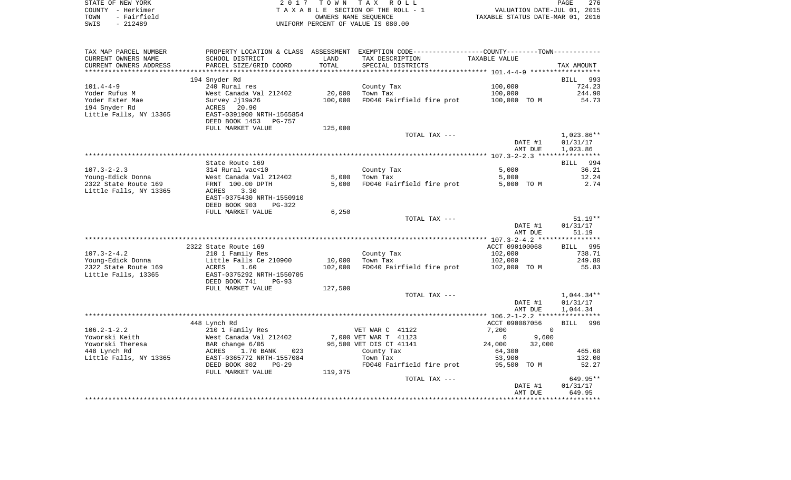|      | STATE OF NEW YORK | 2017 TOWN TAX ROLL                 | 276<br>PAGE                      |
|------|-------------------|------------------------------------|----------------------------------|
|      | COUNTY – Herkimer | TAXABLE SECTION OF THE ROLL - 1    | VALUATION DATE-JUL 01, 2015      |
| TOWN | - Fairfield       | OWNERS NAME SEOUENCE               | TAXABLE STATUS DATE-MAR 01, 2016 |
| SWIS | - 212489          | UNIFORM PERCENT OF VALUE IS 080.00 |                                  |

| TAX MAP PARCEL NUMBER  |                                 |         | PROPERTY LOCATION & CLASS ASSESSMENT EXEMPTION CODE---------------COUNTY-------TOWN---------- |                      |              |
|------------------------|---------------------------------|---------|-----------------------------------------------------------------------------------------------|----------------------|--------------|
| CURRENT OWNERS NAME    | SCHOOL DISTRICT                 | LAND    | TAX DESCRIPTION                                                                               | TAXABLE VALUE        |              |
| CURRENT OWNERS ADDRESS | PARCEL SIZE/GRID COORD          | TOTAL   | SPECIAL DISTRICTS                                                                             |                      | TAX AMOUNT   |
|                        |                                 |         |                                                                                               |                      |              |
|                        | 194 Snyder Rd                   |         |                                                                                               |                      | BILL 993     |
| $101.4 - 4 - 9$        | 240 Rural res                   |         | County Tax                                                                                    | 100,000              | 724.23       |
| Yoder Rufus M          | West Canada Val 212402          | 20,000  | Town Tax                                                                                      | 100,000              | 244.90       |
| Yoder Ester Mae        | Survey Jj19a26                  | 100,000 | FD040 Fairfield fire prot                                                                     | 100,000 TO M         | 54.73        |
| 194 Snyder Rd          | ACRES 20.90                     |         |                                                                                               |                      |              |
| Little Falls, NY 13365 | EAST-0391900 NRTH-1565854       |         |                                                                                               |                      |              |
|                        | DEED BOOK 1453<br><b>PG-757</b> |         |                                                                                               |                      |              |
|                        | FULL MARKET VALUE               | 125,000 |                                                                                               |                      |              |
|                        |                                 |         | TOTAL TAX ---                                                                                 |                      | $1,023.86**$ |
|                        |                                 |         |                                                                                               | DATE #1              | 01/31/17     |
|                        |                                 |         |                                                                                               | AMT DUE              | 1,023.86     |
|                        |                                 |         |                                                                                               |                      |              |
|                        |                                 |         |                                                                                               |                      |              |
|                        | State Route 169                 |         |                                                                                               |                      | BILL 994     |
| $107.3 - 2 - 2.3$      | 314 Rural vac<10                |         | County Tax                                                                                    | 5,000                | 36.21        |
| Young-Edick Donna      | West Canada Val 212402          | 5,000   | Town Tax                                                                                      | 5,000                | 12.24        |
| 2322 State Route 169   | FRNT 100.00 DPTH                | 5,000   | FD040 Fairfield fire prot                                                                     | 5,000 TO M           | 2.74         |
| Little Falls, NY 13365 | 3.30<br>ACRES                   |         |                                                                                               |                      |              |
|                        | EAST-0375430 NRTH-1550910       |         |                                                                                               |                      |              |
|                        | DEED BOOK 903<br>$PG-322$       |         |                                                                                               |                      |              |
|                        | FULL MARKET VALUE               | 6,250   |                                                                                               |                      |              |
|                        |                                 |         | TOTAL TAX ---                                                                                 |                      | $51.19**$    |
|                        |                                 |         |                                                                                               | DATE #1              | 01/31/17     |
|                        |                                 |         |                                                                                               | AMT DUE              | 51.19        |
|                        |                                 |         |                                                                                               |                      |              |
|                        | 2322 State Route 169            |         |                                                                                               | ACCT 090100068       | BILL 995     |
| $107.3 - 2 - 4.2$      | 210 1 Family Res                |         | County Tax                                                                                    | 102,000              | 738.71       |
| Young-Edick Donna      | Little Falls Ce 210900          | 10,000  | Town Tax                                                                                      | 102,000              | 249.80       |
| 2322 State Route 169   | 1.60<br>ACRES                   | 102,000 | FD040 Fairfield fire prot                                                                     | 102,000 TO M         | 55.83        |
| Little Falls, 13365    | EAST-0375292 NRTH-1550705       |         |                                                                                               |                      |              |
|                        | DEED BOOK 741<br>$PG-93$        |         |                                                                                               |                      |              |
|                        | FULL MARKET VALUE               | 127,500 |                                                                                               |                      |              |
|                        |                                 |         | TOTAL TAX ---                                                                                 |                      | $1,044.34**$ |
|                        |                                 |         |                                                                                               | DATE #1              | 01/31/17     |
|                        |                                 |         |                                                                                               | AMT DUE              | 1,044.34     |
|                        |                                 |         |                                                                                               |                      |              |
|                        | 448 Lynch Rd                    |         |                                                                                               | ACCT 090087056       | BILL 996     |
| $106.2 - 1 - 2.2$      | 210 1 Family Res                |         | VET WAR C 41122                                                                               | 7,200<br>$\Omega$    |              |
| Yoworski Keith         | West Canada Val 212402          |         | 7,000 VET WAR T 41123                                                                         | $\mathbf 0$<br>9,600 |              |
| Yoworski Theresa       | BAR change 6/05                 |         | 95,500 VET DIS CT 41141                                                                       | 24,000<br>32,000     |              |
| 448 Lynch Rd           | ACRES<br>1.70 BANK<br>023       |         | County Tax                                                                                    | 64,300               | 465.68       |
| Little Falls, NY 13365 | EAST-0365772 NRTH-1557084       |         | Town Tax                                                                                      | 53,900               | 132.00       |
|                        | DEED BOOK 802<br>$PG-29$        |         | FD040 Fairfield fire prot                                                                     | 95,500 TO M          | 52.27        |
|                        | FULL MARKET VALUE               | 119,375 |                                                                                               |                      |              |
|                        |                                 |         | TOTAL TAX ---                                                                                 |                      | 649.95**     |
|                        |                                 |         |                                                                                               | DATE #1              | 01/31/17     |
|                        |                                 |         |                                                                                               | AMT DUE              | 649.95       |
|                        |                                 |         |                                                                                               |                      |              |
|                        |                                 |         |                                                                                               |                      |              |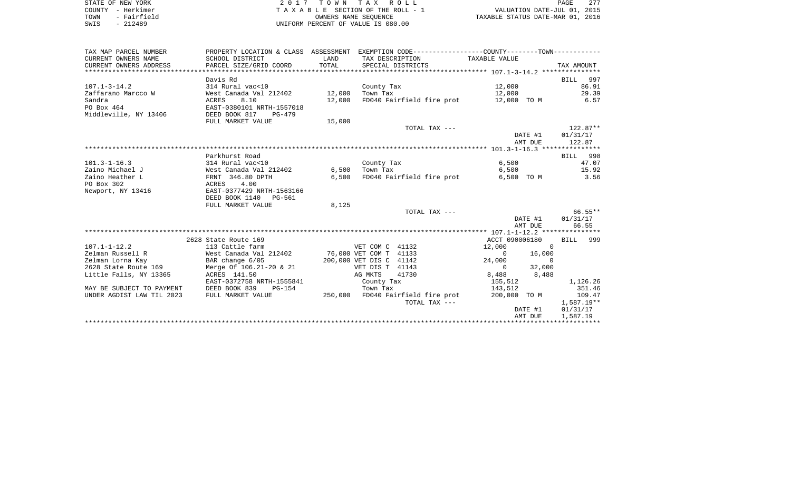| STATE OF NEW YORK   | 2017 TOWN TAX ROLL                 | 277<br>PAGE                      |
|---------------------|------------------------------------|----------------------------------|
| COUNTY - Herkimer   | TAXABLE SECTION OF THE ROLL - 1    | VALUATION DATE-JUL 01, 2015      |
| - Fairfield<br>TOWN | OWNERS NAME SEOUENCE               | TAXABLE STATUS DATE-MAR 01, 2016 |
| - 212489<br>SWIS    | UNIFORM PERCENT OF VALUE IS 080.00 |                                  |

| TAX MAP PARCEL NUMBER     | PROPERTY LOCATION & CLASS ASSESSMENT EXEMPTION CODE---------------COUNTY-------TOWN---------- |        |                                   |                          |            |
|---------------------------|-----------------------------------------------------------------------------------------------|--------|-----------------------------------|--------------------------|------------|
| CURRENT OWNERS NAME       | SCHOOL DISTRICT                                                                               | LAND   | TAX DESCRIPTION                   | TAXABLE VALUE            |            |
| CURRENT OWNERS ADDRESS    | PARCEL SIZE/GRID COORD                                                                        | TOTAL  | SPECIAL DISTRICTS                 |                          | TAX AMOUNT |
|                           |                                                                                               |        |                                   |                          |            |
|                           | Davis Rd                                                                                      |        |                                   |                          | BILL 997   |
| $107.1 - 3 - 14.2$        | 314 Rural vac<10                                                                              |        | County Tax                        | 12,000                   | 86.91      |
| Zaffarano Marcco W        | West Canada Val 212402                                                                        | 12,000 | Town Tax                          | 12,000                   | 29.39      |
| Sandra                    | 8.10<br>ACRES                                                                                 | 12,000 | FD040 Fairfield fire prot         | 12,000 TO M              | 6.57       |
| PO Box 464                | EAST-0380101 NRTH-1557018                                                                     |        |                                   |                          |            |
| Middleville, NY 13406     | DEED BOOK 817<br>PG-479                                                                       |        |                                   |                          |            |
|                           | FULL MARKET VALUE                                                                             | 15,000 |                                   |                          |            |
|                           |                                                                                               |        | TOTAL TAX ---                     |                          | $122.87**$ |
|                           |                                                                                               |        |                                   | DATE #1                  | 01/31/17   |
|                           |                                                                                               |        |                                   | AMT DUE                  | 122.87     |
|                           |                                                                                               |        |                                   |                          |            |
|                           | Parkhurst Road                                                                                |        |                                   |                          | BILL 998   |
| $101.3 - 1 - 16.3$        | 314 Rural vac<10                                                                              |        | County Tax                        | 6,500                    | 47.07      |
| Zaino Michael J           | West Canada Val 212402                                                                        | 6,500  | Town Tax                          | 6,500                    | 15.92      |
| Zaino Heather L           | FRNT 346.80 DPTH                                                                              | 6,500  | FD040 Fairfield fire prot         | 6,500 TO M               | 3.56       |
| PO Box 302                | ACRES<br>4.00                                                                                 |        |                                   |                          |            |
| Newport, NY 13416         | EAST-0377429 NRTH-1563166                                                                     |        |                                   |                          |            |
|                           | DEED BOOK 1140 PG-561                                                                         |        |                                   |                          |            |
|                           | FULL MARKET VALUE                                                                             | 8,125  |                                   |                          |            |
|                           |                                                                                               |        | TOTAL TAX ---                     |                          | $66.55***$ |
|                           |                                                                                               |        |                                   | DATE #1                  | 01/31/17   |
|                           |                                                                                               |        |                                   | AMT DUE                  | 66.55      |
|                           |                                                                                               |        |                                   |                          |            |
|                           | 2628 State Route 169                                                                          |        |                                   | ACCT 090006180           | BILL 999   |
| $107.1 - 1 - 12.2$        | 113 Cattle farm                                                                               |        | VET COM C 41132                   | 12,000<br>$\mathbf 0$    |            |
| Zelman Russell R          | West Canada Val 212402                                                                        |        | 76,000 VET COM T 41133            | $\overline{0}$<br>16,000 |            |
| Zelman Lorna Kay          | BAR change 6/05                                                                               |        | 200,000 VET DIS C 41142           | 24,000<br>$\Omega$       |            |
| 2628 State Route 169      | Merge Of 106.21-20 & 21                                                                       |        | VET DIS T 41143                   | 32,000<br>$\Omega$       |            |
| Little Falls, NY 13365    | ACRES 141.50                                                                                  |        | AG MKTS<br>41730                  | 8,488<br>8,488           |            |
|                           | EAST-0372758 NRTH-1555841                                                                     |        | County Tax                        | 155,512                  | 1,126.26   |
| MAY BE SUBJECT TO PAYMENT | DEED BOOK 839<br>$PG-154$                                                                     |        | Town Tax                          | 143,512                  | 351.46     |
| UNDER AGDIST LAW TIL 2023 | FULL MARKET VALUE                                                                             |        | 250,000 FD040 Fairfield fire prot | 200,000 TO M             | 109.47     |
|                           |                                                                                               |        | TOTAL TAX ---                     |                          | 1,587.19** |
|                           |                                                                                               |        |                                   | DATE #1                  | 01/31/17   |
|                           |                                                                                               |        |                                   | AMT DUE                  | 1,587.19   |
|                           |                                                                                               |        |                                   |                          |            |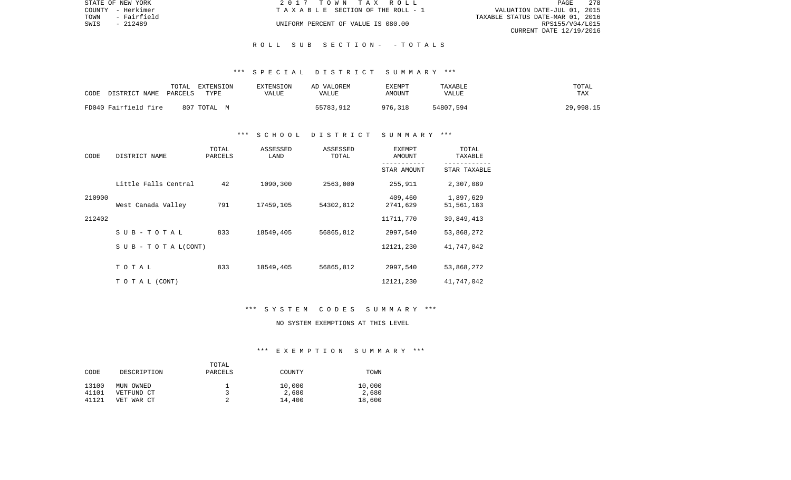| STATE OF NEW YORK |                   | 2017 TOWN TAX ROLL                    |                                  | PAGE            | 278 |
|-------------------|-------------------|---------------------------------------|----------------------------------|-----------------|-----|
|                   | COUNTY - Herkimer | T A X A B L E SECTION OF THE ROLL - 1 | VALUATION DATE-JUL 01, 2015      |                 |     |
| TOWN              | - Fairfield       |                                       | TAXABLE STATUS DATE-MAR 01, 2016 |                 |     |
| SWIS              | - 212489          | UNIFORM PERCENT OF VALUE IS 080.00    |                                  | RPS155/V04/L015 |     |
|                   |                   |                                       | CURRENT DATE 12/19/2016          |                 |     |

#### \*\*\* S P E C I A L D I S T R I C T S U M M A R Y \*\*\*

| CODE<br>DISTRICT NAME | TOTAL<br><b>TYPE</b><br>PARCELS | EXTENSION<br>EXTENSION<br>VALUE | AD VALOREM<br>VALUE | EXEMPT<br>AMOUNT | TAXABLE<br>VALUE | TOTAL<br>TAX |
|-----------------------|---------------------------------|---------------------------------|---------------------|------------------|------------------|--------------|
| FD040 Fairfield fire  | 807 TOTAL M                     |                                 | 55783,912           | 976,318          | 54807,594        | 29,998.15    |

#### \*\*\* S C H O O L D I S T R I C T S U M M A R Y \*\*\*

| CODE   | DISTRICT NAME                    | TOTAL<br>PARCELS | ASSESSED<br>LAND | ASSESSED<br>TOTAL | <b>EXEMPT</b><br>AMOUNT | TOTAL<br>TAXABLE        |
|--------|----------------------------------|------------------|------------------|-------------------|-------------------------|-------------------------|
|        |                                  |                  |                  |                   | STAR AMOUNT             | STAR TAXABLE            |
|        | Little Falls Central             | 42               | 1090,300         | 2563,000          | 255,911                 | 2,307,089               |
| 210900 | West Canada Valley               | 791              | 17459,105        | 54302,812         | 409,460<br>2741,629     | 1,897,629<br>51,561,183 |
| 212402 |                                  |                  |                  |                   | 11711,770               | 39,849,413              |
|        | SUB-TOTAL                        | 833              | 18549,405        | 56865,812         | 2997,540                | 53,868,272              |
|        | $S \cup B - T \cup T A L (CONT)$ |                  |                  |                   | 12121,230               | 41,747,042              |
|        | TOTAL                            | 833              | 18549,405        | 56865,812         | 2997,540                | 53,868,272              |
|        | T O T A L (CONT)                 |                  |                  |                   | 12121,230               | 41,747,042              |

#### \*\*\* S Y S T E M C O D E S S U M M A R Y \*\*\*

# NO SYSTEM EXEMPTIONS AT THIS LEVEL

#### \*\*\* E X E M P T I O N S U M M A R Y \*\*\*

|       |             | TOTAL   |        |        |
|-------|-------------|---------|--------|--------|
| CODE  | DESCRIPTION | PARCELS | COUNTY | TOWN   |
|       |             |         |        |        |
| 13100 | MUN OWNED   |         | 10,000 | 10,000 |
| 41101 | VETFUND CT  |         | 2,680  | 2,680  |
| 41121 | VET WAR CT  |         | 14,400 | 18,600 |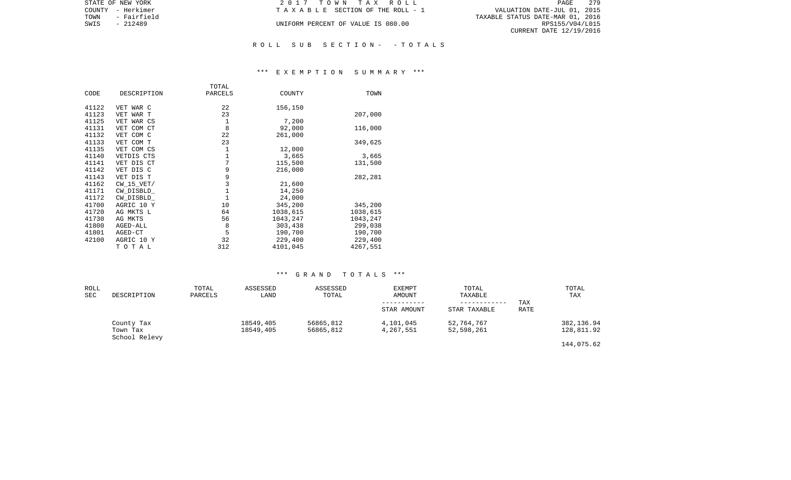| STATE OF NEW YORK   | 2017 TOWN TAX ROLL                 | 279<br>PAGE                      |
|---------------------|------------------------------------|----------------------------------|
| COUNTY - Herkimer   | TAXABLE SECTION OF THE ROLL - 1    | VALUATION DATE-JUL 01, 2015      |
| TOWN<br>- Fairfield |                                    | TAXABLE STATUS DATE-MAR 01, 2016 |
| SWIS<br>- 212489    | UNIFORM PERCENT OF VALUE IS 080.00 | RPS155/V04/L015                  |
|                     |                                    | CURRENT DATE 12/19/2016          |
|                     |                                    |                                  |

#### \*\*\* E X E M P T I O N S U M M A R Y \*\*\*

| CODE  | DESCRIPTION    | TOTAL<br>PARCELS | COUNTY   | TOWN     |
|-------|----------------|------------------|----------|----------|
|       |                |                  |          |          |
| 41122 | VET WAR C      | 22               | 156,150  |          |
| 41123 | VET WAR T      | 23               |          | 207,000  |
| 41125 | VET WAR CS     | 1                | 7,200    |          |
| 41131 | VET COM CT     | 8                | 92,000   | 116,000  |
| 41132 | VET COM C      | 22               | 261,000  |          |
| 41133 | VET COM T      | 23               |          | 349,625  |
| 41135 | VET COM CS     | 1                | 12,000   |          |
| 41140 | VETDIS CTS     | 1                | 3,665    | 3,665    |
| 41141 | VET DIS CT     | $\overline{7}$   | 115,500  | 131,500  |
| 41142 | VET DIS C      | 9                | 216,000  |          |
| 41143 | VET DIS T      | $\mathsf 9$      |          | 282,281  |
| 41162 | $CW$ 15 $VET/$ | 3                | 21,600   |          |
| 41171 | CW DISBLD      | $\mathbf 1$      | 14,250   |          |
| 41172 | CW DISBLD      | $\mathbf{1}$     | 24,000   |          |
| 41700 | AGRIC 10 Y     | 10               | 345,200  | 345,200  |
| 41720 | AG MKTS L      | 64               | 1038,615 | 1038,615 |
| 41730 | AG MKTS        | 56               | 1043,247 | 1043,247 |
| 41800 | AGED-ALL       | 8                | 303,438  | 299,038  |
| 41801 | AGED-CT        | 5                | 190,700  | 190,700  |
| 42100 | AGRIC 10 Y     | 32               | 229,400  | 229,400  |
|       | TOTAL          | 312              | 4101,045 | 4267,551 |

| ROLL<br><b>SEC</b> | DESCRIPTION            | TOTAL<br>PARCELS | ASSESSED<br>LAND       | ASSESSED<br>TOTAL      | <b>EXEMPT</b><br><b>AMOUNT</b><br>STAR AMOUNT | TOTAL<br>TAXABLE<br>------------<br>STAR TAXABLE | TAX<br><b>RATE</b> | TOTAL<br>TAX             |
|--------------------|------------------------|------------------|------------------------|------------------------|-----------------------------------------------|--------------------------------------------------|--------------------|--------------------------|
|                    | County Tax<br>Town Tax |                  | 18549,405<br>18549,405 | 56865,812<br>56865,812 | 4,101,045<br>4,267,551                        | 52,764,767<br>52,598,261                         |                    | 382,136.94<br>128,811.92 |
|                    | School Relevy          |                  |                        |                        |                                               |                                                  |                    | 144,075.62               |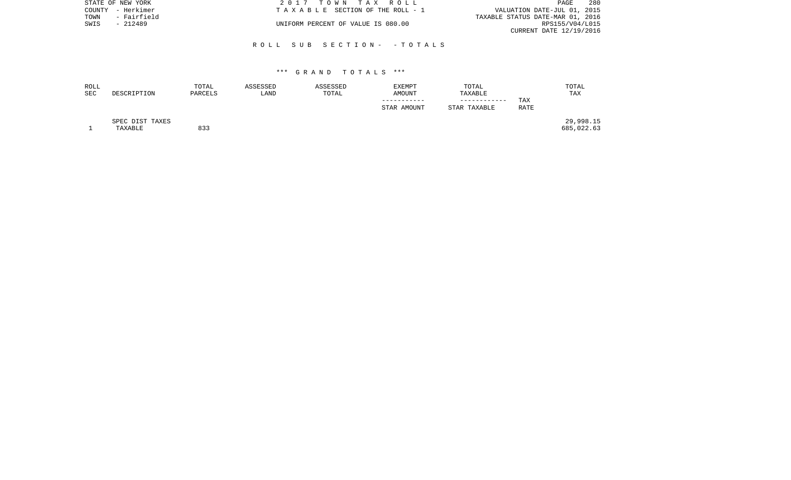|      | STATE OF NEW YORK | 2017 TOWN TAX ROLL                 | PAGE                             | - 280 |
|------|-------------------|------------------------------------|----------------------------------|-------|
|      | COUNTY - Herkimer | TAXABLE SECTION OF THE ROLL - 1    | VALUATION DATE-JUL 01, 2015      |       |
| TOWN | - Fairfield       |                                    | TAXABLE STATUS DATE-MAR 01, 2016 |       |
| SWIS | - 212489          | UNIFORM PERCENT OF VALUE IS 080.00 | RPS155/V04/L015                  |       |
|      |                   |                                    | CURRENT DATE 12/19/2016          |       |

| ROLL<br><b>SEC</b> | DESCRIPTION     | TOTAL<br>PARCELS | ASSESSED<br>LAND | ASSESSED<br>TOTAL | EXEMPT<br><b>AMOUNT</b> | TOTAL<br>TAXABLE |             | TOTAL<br>TAX |
|--------------------|-----------------|------------------|------------------|-------------------|-------------------------|------------------|-------------|--------------|
|                    |                 |                  |                  |                   |                         |                  | TAX         |              |
|                    |                 |                  |                  |                   | STAR AMOUNT             | STAR TAXABLE     | <b>RATE</b> |              |
|                    | SPEC DIST TAXES |                  |                  |                   |                         |                  |             | 29,998.15    |
|                    | TAXABLE         | 833              |                  |                   |                         |                  |             | 685,022.63   |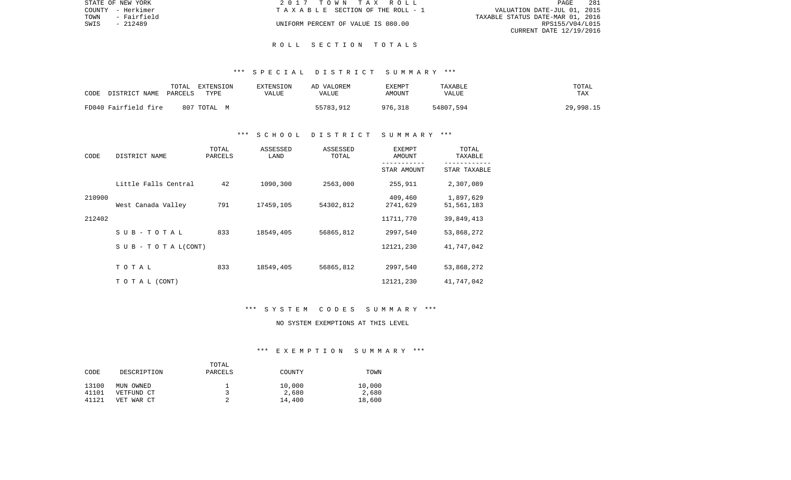|      | STATE OF NEW YORK | 2017 TOWN TAX ROLL                    | -281<br>PAGE                     |  |
|------|-------------------|---------------------------------------|----------------------------------|--|
|      | COUNTY - Herkimer | T A X A B L E SECTION OF THE ROLL - 1 | VALUATION DATE-JUL 01, 2015      |  |
| TOWN | - Fairfield       |                                       | TAXABLE STATUS DATE-MAR 01, 2016 |  |
| SWIS | - 212489          | UNIFORM PERCENT OF VALUE IS 080.00    | RPS155/V04/L015                  |  |
|      |                   |                                       | CURRENT DATE 12/19/2016          |  |

#### R O L L S E C T I O N T O T A L S

#### \*\*\* S P E C I A L D I S T R I C T S U M M A R Y \*\*\*

| CODE                 | TOTAL   | EXTENSION   | <b>EXTENSION</b> | AD VALOREM | EXEMPT        | TAXABLE      | TOTAL     |
|----------------------|---------|-------------|------------------|------------|---------------|--------------|-----------|
| DISTRICT NAME        | PARCELS | TYPE        | VALUE            | VALUE      | <b>AMOUNT</b> | <b>VALUE</b> | TAX       |
| FD040 Fairfield fire |         | 807 TOTAL M |                  | 55783,912  | 976,318       | 54807,594    | 29,998.15 |

#### \*\*\* S C H O O L D I S T R I C T S U M M A R Y \*\*\*

| CODE   | DISTRICT NAME                    | TOTAL<br>PARCELS | ASSESSED<br>LAND | ASSESSED<br>TOTAL | <b>EXEMPT</b><br>AMOUNT | TOTAL<br>TAXABLE        |
|--------|----------------------------------|------------------|------------------|-------------------|-------------------------|-------------------------|
|        |                                  |                  |                  |                   | STAR AMOUNT             | STAR TAXABLE            |
|        | Little Falls Central             | 42               | 1090,300         | 2563,000          | 255,911                 | 2,307,089               |
| 210900 | West Canada Valley               | 791              | 17459,105        | 54302,812         | 409,460<br>2741,629     | 1,897,629<br>51,561,183 |
| 212402 |                                  |                  |                  |                   | 11711,770               | 39,849,413              |
|        | $SUB - TO T AL$                  | 833              | 18549,405        | 56865,812         | 2997,540                | 53,868,272              |
|        | $S \cup B - T \cup T A L (CONT)$ |                  |                  |                   | 12121,230               | 41,747,042              |
|        | TOTAL                            | 833              | 18549,405        | 56865,812         | 2997,540                | 53,868,272              |
|        | T O T A L (CONT)                 |                  |                  |                   | 12121,230               | 41,747,042              |

#### \*\*\* S Y S T E M C O D E S S U M M A R Y \*\*\*

# NO SYSTEM EXEMPTIONS AT THIS LEVEL

#### \*\*\* E X E M P T I O N S U M M A R Y \*\*\*

|       |             | TOTAL   |        |        |
|-------|-------------|---------|--------|--------|
| CODE  | DESCRIPTION | PARCELS | COUNTY | TOWN   |
|       |             |         |        |        |
| 13100 | MUN OWNED   |         | 10,000 | 10,000 |
| 41101 | VETFUND CT  |         | 2,680  | 2,680  |
| 41121 | VET WAR CT  |         | 14,400 | 18,600 |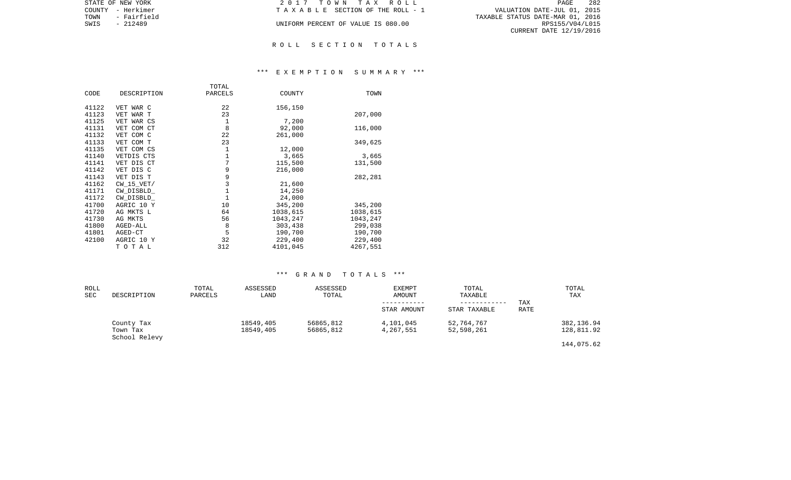| STATE OF NEW YORK   | 2017 TOWN TAX ROLL                 | 282<br>PAGE                      |
|---------------------|------------------------------------|----------------------------------|
| COUNTY - Herkimer   | TAXABLE SECTION OF THE ROLL - 1    | VALUATION DATE-JUL 01, 2015      |
| TOWN<br>- Fairfield |                                    | TAXABLE STATUS DATE-MAR 01, 2016 |
| SWIS<br>- 212489    | UNIFORM PERCENT OF VALUE IS 080.00 | RPS155/V04/L015                  |
|                     |                                    | CURRENT DATE 12/19/2016          |

#### R O L L S E C T I O N T O T A L S

#### \*\*\* E X E M P T I O N S U M M A R Y \*\*\*

| CODE  | DESCRIPTION    | TOTAL<br>PARCELS | COUNTY   | TOWN     |
|-------|----------------|------------------|----------|----------|
|       |                |                  |          |          |
| 41122 | VET WAR C      | 22               | 156,150  |          |
| 41123 | VET WAR T      | 23               |          | 207,000  |
| 41125 | VET WAR CS     | $\mathbf 1$      | 7,200    |          |
| 41131 | VET COM CT     | 8                | 92,000   | 116,000  |
| 41132 | VET COM C      | 22               | 261,000  |          |
| 41133 | VET COM T      | 23               |          | 349,625  |
| 41135 | VET COM CS     | 1                | 12,000   |          |
| 41140 | VETDIS CTS     | 1                | 3,665    | 3,665    |
| 41141 | VET DIS CT     | 7                | 115,500  | 131,500  |
| 41142 | VET DIS C      | 9                | 216,000  |          |
| 41143 | VET DIS T      | 9                |          | 282,281  |
| 41162 | $CW$ 15 $VET/$ | 3                | 21,600   |          |
| 41171 | CW DISBLD      | $\mathbf{1}$     | 14,250   |          |
| 41172 | CW DISBLD      | $\mathbf{1}$     | 24,000   |          |
| 41700 | AGRIC 10 Y     | 10               | 345,200  | 345,200  |
| 41720 | AG MKTS L      | 64               | 1038,615 | 1038,615 |
| 41730 | AG MKTS        | 56               | 1043,247 | 1043,247 |
| 41800 | AGED-ALL       | 8                | 303,438  | 299,038  |
| 41801 | AGED-CT        | 5                | 190,700  | 190,700  |
| 42100 | AGRIC 10 Y     | 32               | 229,400  | 229,400  |
|       | TOTAL          | 312              | 4101,045 | 4267,551 |

| ROLL<br>SEC | DESCRIPTION                             | TOTAL<br>PARCELS | ASSESSED<br>LAND       | ASSESSED<br>TOTAL      | <b>EXEMPT</b><br>AMOUNT<br>STAR AMOUNT | TOTAL<br>TAXABLE<br>------------<br>STAR TAXABLE | <b>TAX</b><br><b>RATE</b> | TOTAL<br>TAX             |
|-------------|-----------------------------------------|------------------|------------------------|------------------------|----------------------------------------|--------------------------------------------------|---------------------------|--------------------------|
|             | County Tax<br>Town Tax<br>School Relevy |                  | 18549,405<br>18549,405 | 56865,812<br>56865,812 | 4,101,045<br>4,267,551                 | 52,764,767<br>52,598,261                         |                           | 382,136.94<br>128,811.92 |
|             |                                         |                  |                        |                        |                                        |                                                  |                           | 144,075.62               |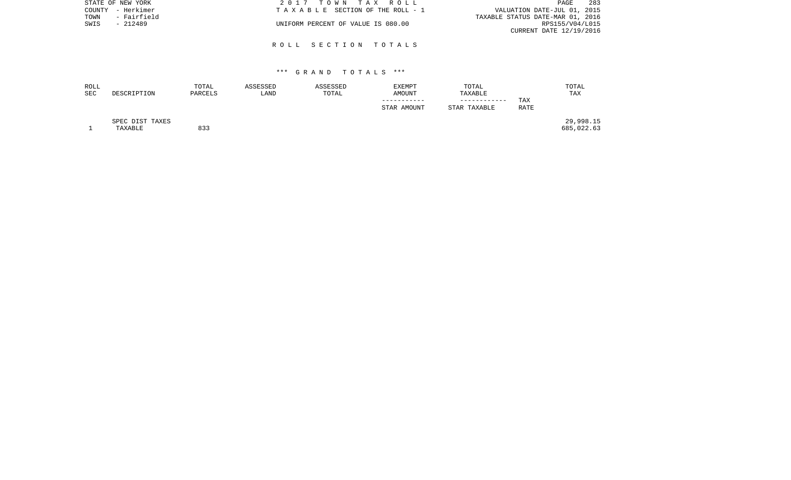| STATE OF NEW YORK   | 2017 TOWN TAX ROLL                 | 283<br>PAGE                      |
|---------------------|------------------------------------|----------------------------------|
| COUNTY - Herkimer   | TAXABLE SECTION OF THE ROLL - 1    | VALUATION DATE-JUL 01, 2015      |
| - Fairfield<br>TOWN |                                    | TAXABLE STATUS DATE-MAR 01, 2016 |
| SWIS<br>- 212489    | UNIFORM PERCENT OF VALUE IS 080.00 | RPS155/V04/L015                  |
|                     |                                    | CURRENT DATE 12/19/2016          |
|                     |                                    |                                  |

#### R O L L S E C T I O N T O T A L S

| ROLL<br><b>SEC</b> | DESCRIPTION                | TOTAL<br>PARCELS | ASSESSED<br>LAND | ASSESSED<br>TOTAL | <b>EXEMPT</b><br><b>AMOUNT</b> | TOTAL<br>TAXABLE |      | TOTAL<br>TAX            |
|--------------------|----------------------------|------------------|------------------|-------------------|--------------------------------|------------------|------|-------------------------|
|                    |                            |                  |                  |                   |                                | ------------     | TAX  |                         |
|                    |                            |                  |                  |                   | STAR AMOUNT                    | STAR TAXABLE     | RATE |                         |
|                    | SPEC DIST TAXES<br>TAXABLE | 833              |                  |                   |                                |                  |      | 29,998.15<br>685,022.63 |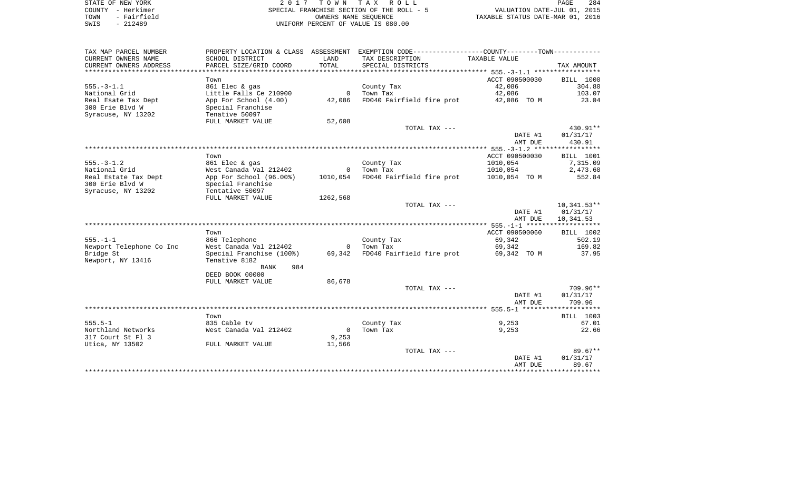|      | STATE OF NEW YORK | 2017 TOWN TAX ROLL                        |                                  | PAGE | 284 |
|------|-------------------|-------------------------------------------|----------------------------------|------|-----|
|      | COUNTY - Herkimer | SPECIAL FRANCHISE SECTION OF THE ROLL - 5 | VALUATION DATE-JUL 01, 2015      |      |     |
| TOWN | - Fairfield       | OWNERS NAME SEOUENCE                      | TAXABLE STATUS DATE-MAR 01, 2016 |      |     |
| SWIS | - 212489          | UNIFORM PERCENT OF VALUE IS 080.00        |                                  |      |     |

| TAX MAP PARCEL NUMBER    | PROPERTY LOCATION & CLASS ASSESSMENT |                | EXEMPTION CODE-----------------COUNTY--------TOWN----------- |                |                  |
|--------------------------|--------------------------------------|----------------|--------------------------------------------------------------|----------------|------------------|
| CURRENT OWNERS NAME      | SCHOOL DISTRICT                      | LAND           | TAX DESCRIPTION                                              | TAXABLE VALUE  |                  |
| CURRENT OWNERS ADDRESS   | PARCEL SIZE/GRID COORD               | TOTAL          | SPECIAL DISTRICTS                                            |                | TAX AMOUNT       |
|                          |                                      |                |                                                              |                |                  |
|                          | Town                                 |                |                                                              | ACCT 090500030 | BILL 1000        |
| $555. - 3 - 1.1$         | 861 Elec & gas                       |                | County Tax                                                   | 42,086         | 304.80           |
| National Grid            | Little Falls Ce 210900               | $\overline{0}$ | Town Tax                                                     | 42,086         | 103.07           |
| Real Esate Tax Dept      | App For School (4.00)                | 42,086         | FD040 Fairfield fire prot                                    | 42,086 TO M    | 23.04            |
| 300 Erie Blvd W          | Special Franchise                    |                |                                                              |                |                  |
| Syracuse, NY 13202       | Tenative 50097                       |                |                                                              |                |                  |
|                          | FULL MARKET VALUE                    | 52,608         |                                                              |                |                  |
|                          |                                      |                | TOTAL TAX ---                                                |                | 430.91**         |
|                          |                                      |                |                                                              | DATE #1        | 01/31/17         |
|                          |                                      |                |                                                              | AMT DUE        | 430.91           |
|                          |                                      |                |                                                              |                |                  |
|                          | Town                                 |                |                                                              | ACCT 090500030 | BILL 1001        |
| $555. - 3 - 1.2$         | 861 Elec & gas                       |                | County Tax                                                   | 1010,054       | 7,315.09         |
| National Grid            | West Canada Val 212402               |                | 0 Town Tax                                                   | 1010,054       | 2,473.60         |
| Real Estate Tax Dept     | App For School (96.00%)              |                | 1010,054 FD040 Fairfield fire prot                           | 1010,054 TO M  | 552.84           |
| 300 Erie Blvd W          | Special Franchise                    |                |                                                              |                |                  |
| Syracuse, NY 13202       | Tentative 50097                      |                |                                                              |                |                  |
|                          | FULL MARKET VALUE                    | 1262,568       |                                                              |                |                  |
|                          |                                      |                | TOTAL TAX ---                                                |                | $10,341.53**$    |
|                          |                                      |                |                                                              | DATE #1        | 01/31/17         |
|                          |                                      |                |                                                              | AMT DUE        | 10,341.53        |
|                          |                                      |                |                                                              |                |                  |
|                          | Town                                 |                |                                                              | ACCT 090500060 | <b>BILL 1002</b> |
| $555. - 1 - 1$           | 866 Telephone                        |                | County Tax                                                   | 69,342         | 502.19           |
| Newport Telephone Co Inc | West Canada Val 212402               |                | 0 Town Tax                                                   | 69,342         | 169.82           |
| Bridge St                | Special Franchise (100%)             | 69,342         | FD040 Fairfield fire prot                                    | 69,342 TO M    | 37.95            |
| Newport, NY 13416        | Tenative 8182                        |                |                                                              |                |                  |
|                          | <b>BANK</b><br>984                   |                |                                                              |                |                  |
|                          | DEED BOOK 00000                      |                |                                                              |                |                  |
|                          | FULL MARKET VALUE                    | 86,678         |                                                              |                |                  |
|                          |                                      |                | TOTAL TAX ---                                                |                | 709.96**         |
|                          |                                      |                |                                                              | DATE #1        | 01/31/17         |
|                          |                                      |                |                                                              | AMT DUE        | 709.96           |
|                          |                                      |                |                                                              |                |                  |
|                          | Town                                 |                |                                                              |                | <b>BILL</b> 1003 |
| $555.5 - 1$              | 835 Cable tv                         |                | County Tax                                                   | 9,253          | 67.01            |
| Northland Networks       | West Canada Val 212402               | $\overline{0}$ | Town Tax                                                     | 9,253          | 22.66            |
| 317 Court St Fl 3        |                                      | 9,253          |                                                              |                |                  |
| Utica, NY 13502          | FULL MARKET VALUE                    | 11,566         |                                                              |                |                  |
|                          |                                      |                | TOTAL TAX ---                                                |                | $89.67**$        |
|                          |                                      |                |                                                              | DATE #1        | 01/31/17         |
|                          |                                      |                |                                                              | AMT DUE        | 89.67            |
|                          |                                      |                |                                                              |                |                  |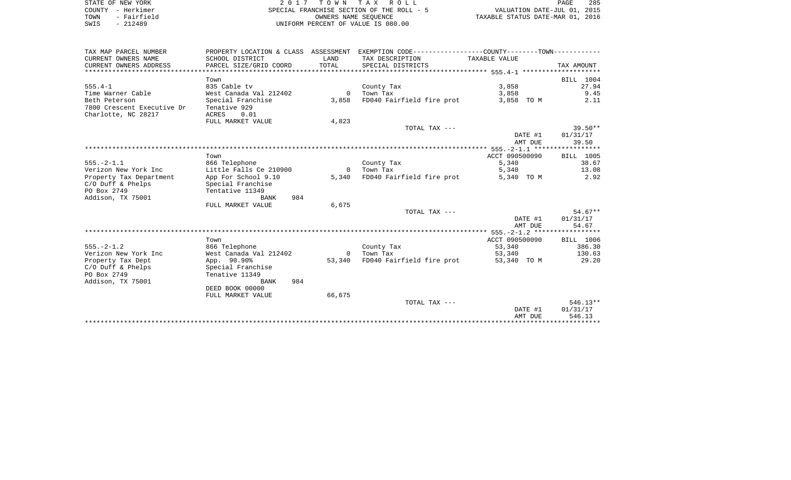| STATE OF NEW YORK |             | 2017 TOWN TAX ROLL                        | PAGE                             | 285 |
|-------------------|-------------|-------------------------------------------|----------------------------------|-----|
| COUNTY - Herkimer |             | SPECIAL FRANCHISE SECTION OF THE ROLL - 5 | VALUATION DATE-JUL 01, 2015      |     |
| TOWN              | - Fairfield | OWNERS NAME SEOUENCE                      | TAXABLE STATUS DATE-MAR 01, 2016 |     |
| SWIS              | $-212489$   | UNIFORM PERCENT OF VALUE IS 080.00        |                                  |     |

| TAX MAP PARCEL NUMBER      |                        |          | PROPERTY LOCATION & CLASS ASSESSMENT EXEMPTION CODE----------------COUNTY--------TOWN---------- |                |                  |
|----------------------------|------------------------|----------|-------------------------------------------------------------------------------------------------|----------------|------------------|
| CURRENT OWNERS NAME        | SCHOOL DISTRICT        | LAND     | TAX DESCRIPTION                                                                                 | TAXABLE VALUE  |                  |
| CURRENT OWNERS ADDRESS     | PARCEL SIZE/GRID COORD | TOTAL    | SPECIAL DISTRICTS                                                                               |                | TAX AMOUNT       |
|                            |                        |          |                                                                                                 |                |                  |
|                            | Town                   |          |                                                                                                 |                | BILL 1004        |
| $555.4 - 1$                | 835 Cable tv           |          | County Tax                                                                                      | 3,858          | 27.94            |
| Time Warner Cable          | West Canada Val 212402 |          | 0 Town Tax                                                                                      | 3,858          | 9.45             |
| Beth Peterson              | Special Franchise      | 3,858    | FD040 Fairfield fire prot                                                                       | 3,858 TO M     | 2.11             |
| 7800 Crescent Executive Dr | Tenative 929           |          |                                                                                                 |                |                  |
| Charlotte, NC 28217        | ACRES<br>0.01          |          |                                                                                                 |                |                  |
|                            | FULL MARKET VALUE      | 4,823    |                                                                                                 |                |                  |
|                            |                        |          | TOTAL TAX ---                                                                                   |                | $39.50**$        |
|                            |                        |          |                                                                                                 | DATE #1        | 01/31/17         |
|                            |                        |          |                                                                                                 | AMT DUE        | 39.50            |
|                            |                        |          |                                                                                                 |                |                  |
|                            | Town                   |          |                                                                                                 | ACCT 090500090 | <b>BILL 1005</b> |
| $555. - 2 - 1.1$           | 866 Telephone          |          | County Tax                                                                                      | 5,340          | 38.67            |
| Verizon New York Inc       | Little Falls Ce 210900 | $\Omega$ | Town Tax                                                                                        | 5,340          | 13.08            |
| Property Tax Department    | App For School 9.10    | 5,340    | FD040 Fairfield fire prot                                                                       | 5,340 TO M     | 2.92             |
| $C/O$ Duff & Phelps        | Special Franchise      |          |                                                                                                 |                |                  |
| PO Box 2749                | Tentative 11349        |          |                                                                                                 |                |                  |
| Addison, TX 75001          | 984<br>BANK            |          |                                                                                                 |                |                  |
|                            | FULL MARKET VALUE      | 6,675    |                                                                                                 |                |                  |
|                            |                        |          | TOTAL TAX ---                                                                                   |                | $54.67**$        |
|                            |                        |          |                                                                                                 | DATE #1        | 01/31/17         |
|                            |                        |          |                                                                                                 | AMT DUE        | 54.67            |
|                            |                        |          |                                                                                                 |                |                  |
|                            | Town                   |          |                                                                                                 | ACCT 090500090 | BILL 1006        |
| $555. - 2 - 1.2$           | 866 Telephone          |          | County Tax                                                                                      | 53,340         | 386.30           |
| Verizon New York Inc       | West Canada Val 212402 | $\Omega$ | Town Tax                                                                                        | 53,340         | 130.63           |
| Property Tax Dept          | App. 90.90%            | 53,340   | FD040 Fairfield fire prot                                                                       | 53,340 TO M    | 29.20            |
| $C/O$ Duff & Phelps        | Special Franchise      |          |                                                                                                 |                |                  |
| PO Box 2749                | Tenative 11349         |          |                                                                                                 |                |                  |
| Addison, TX 75001          | 984<br>BANK            |          |                                                                                                 |                |                  |
|                            | DEED BOOK 00000        |          |                                                                                                 |                |                  |
|                            | FULL MARKET VALUE      | 66,675   |                                                                                                 |                |                  |
|                            |                        |          | TOTAL TAX ---                                                                                   |                | $546.13**$       |
|                            |                        |          |                                                                                                 | DATE #1        | 01/31/17         |
|                            |                        |          |                                                                                                 | AMT DUE        | 546.13           |
|                            |                        |          |                                                                                                 |                |                  |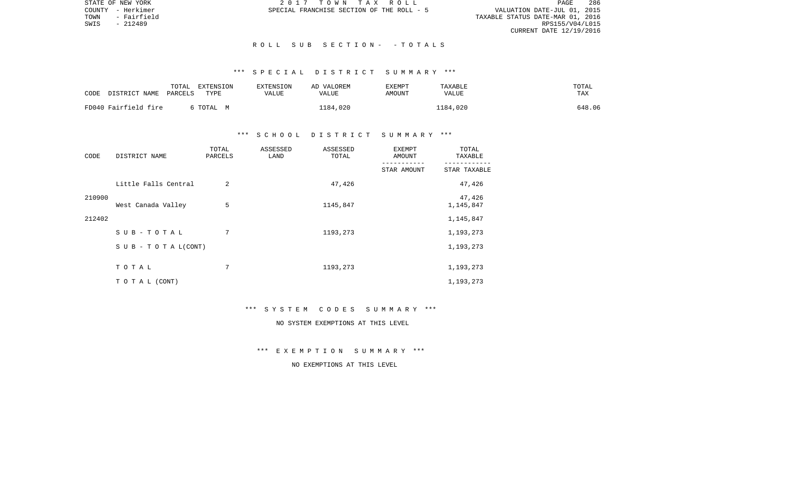VALUATION DATE-JUL 01, 2015 TOWN - Fairfield TAXABLE STATUS DATE-MAR 01, 2016 RPS155/V04/L015 CURRENT DATE 12/19/2016

STATE OF NEW YORK 2 0 1 7 T O W N T A X R O L L PAGE 286COUNTY - Herkimer SPECIAL FRANCHISE SECTION OF THE ROLL - 5

#### R O L L S U B S E C T I O N - - T O T A L S

# \*\*\* S P E C I A L D I S T R I C T S U M M A R Y \*\*\*

| CODE | DISTRICT NAME        | TOTAL<br>PARCELS | EXTENSION<br>TYPE | EXTENSION<br>VALUE | AD VALOREM<br>VALUE | EXEMPT<br>AMOUNT | TAXABLE<br>VALUE | TOTAL<br><b>TAX</b> |
|------|----------------------|------------------|-------------------|--------------------|---------------------|------------------|------------------|---------------------|
|      | FD040 Fairfield fire |                  | TOTAL M           |                    | 1184,020            |                  | 1184,020         | 648.06              |

#### \*\*\* S C H O O L D I S T R I C T S U M M A R Y \*\*\*

| CODE   | DISTRICT NAME                    | TOTAL<br>PARCELS | ASSESSED<br>LAND | ASSESSED<br>TOTAL | <b>EXEMPT</b><br>AMOUNT   | TOTAL<br>TAXABLE          |
|--------|----------------------------------|------------------|------------------|-------------------|---------------------------|---------------------------|
|        |                                  |                  |                  |                   | ----------<br>STAR AMOUNT | ---------<br>STAR TAXABLE |
|        | Little Falls Central             | 2                |                  | 47,426            |                           | 47,426                    |
| 210900 | West Canada Valley               | 5                |                  | 1145,847          |                           | 47,426<br>1,145,847       |
| 212402 |                                  |                  |                  |                   |                           | 1,145,847                 |
|        | SUB-TOTAL                        | 7                |                  | 1193,273          |                           | 1,193,273                 |
|        | $S \cup B - T \cup T A L (CONT)$ |                  |                  |                   |                           | 1,193,273                 |
|        | TOTAL                            | 7                |                  | 1193,273          |                           | 1,193,273                 |
|        | TO TAL (CONT)                    |                  |                  |                   |                           | 1,193,273                 |

#### \*\*\* S Y S T E M C O D E S S U M M A R Y \*\*\*

# NO SYSTEM EXEMPTIONS AT THIS LEVEL

\*\*\* E X E M P T I O N S U M M A R Y \*\*\*

### NO EXEMPTIONS AT THIS LEVEL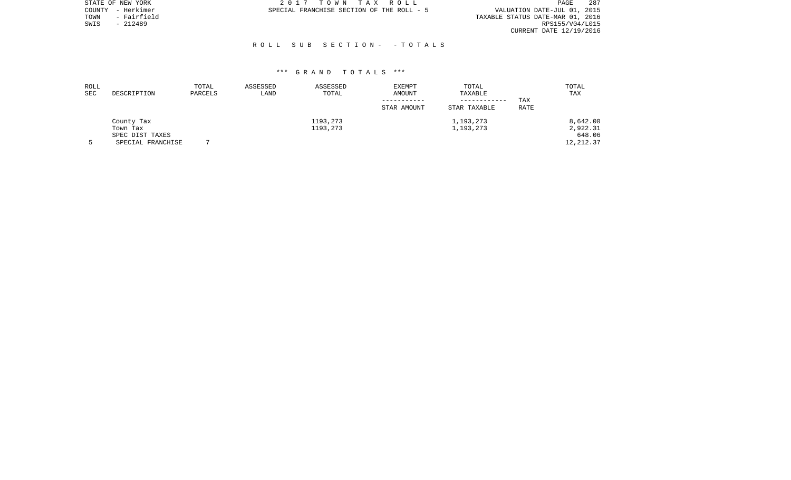|      | STATE OF NEW YORK | 2017 TOWN TAX ROLL                                                       | PAGE                    | -287 |
|------|-------------------|--------------------------------------------------------------------------|-------------------------|------|
|      | COUNTY - Herkimer | VALUATION DATE-JUL 01, 2015<br>SPECIAL FRANCHISE SECTION OF THE ROLL - 5 |                         |      |
| TOWN | - Fairfield       | TAXABLE STATUS DATE-MAR 01, 2016                                         |                         |      |
| SWIS | - 212489          |                                                                          | RPS155/V04/L015         |      |
|      |                   |                                                                          | CURRENT DATE 12/19/2016 |      |

| ROLL<br><b>SEC</b> | DESCRIPTION       | TOTAL<br>PARCELS | ASSESSED<br>LAND | ASSESSED<br>TOTAL | EXEMPT<br>AMOUNT | TOTAL<br>TAXABLE<br>------------ | TAX         | TOTAL<br>TAX |
|--------------------|-------------------|------------------|------------------|-------------------|------------------|----------------------------------|-------------|--------------|
|                    |                   |                  |                  |                   | STAR AMOUNT      | STAR TAXABLE                     | <b>RATE</b> |              |
|                    | County Tax        |                  |                  | 1193,273          |                  | 1,193,273                        |             | 8,642.00     |
|                    | Town Tax          |                  |                  | 1193,273          |                  | 1,193,273                        |             | 2,922.31     |
|                    | SPEC DIST TAXES   |                  |                  |                   |                  |                                  |             | 648.06       |
|                    | SPECIAL FRANCHISE |                  |                  |                   |                  |                                  |             | 12,212.37    |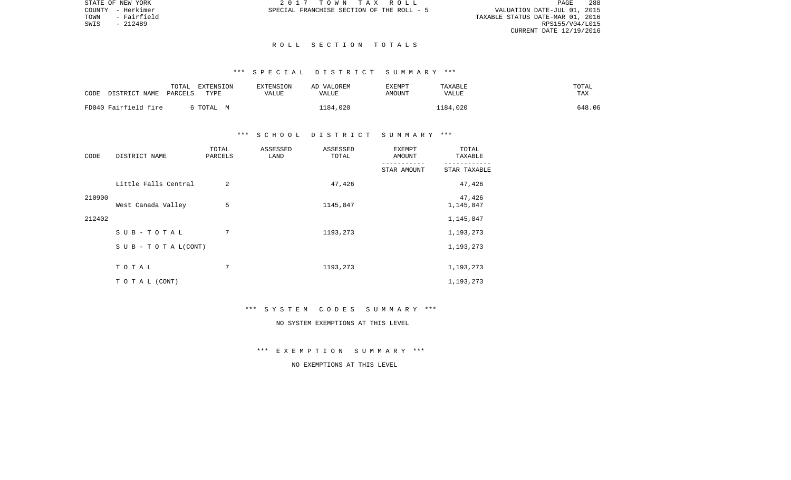VALUATION DATE-JUL 01, 2015 TOWN - Fairfield TAXABLE STATUS DATE-MAR 01, 2016 CURRENT DATE 12/19/2016

STATE OF NEW YORK 2 0 1 7 T O W N T A X R O L L PAGE 288COUNTY - Herkimer SPECIAL FRANCHISE SECTION OF THE ROLL - 5

SWIS - 212489

### R O L L S E C T I O N T O T A L S

# \*\*\* S P E C I A L D I S T R I C T S U M M A R Y \*\*\*

| CODE | DISTRICT NAME        | TOTAL<br>PARCELS | EXTENSION<br>TYPE | EXTENSION<br>VALUE | AD VALOREM<br><b>VALUE</b> | EXEMPT<br><b>AMOUNT</b> | TAXABLE<br><b>VALUE</b> | TOTAL<br>TAX |
|------|----------------------|------------------|-------------------|--------------------|----------------------------|-------------------------|-------------------------|--------------|
|      | FD040 Fairfield fire |                  | TOTAI, M          |                    | 1184,020                   |                         | L184,020                | 648.06       |

## \*\*\* S C H O O L D I S T R I C T S U M M A R Y \*\*\*

| CODE   | DISTRICT NAME                    | TOTAL<br>PARCELS | ASSESSED<br>LAND | ASSESSED<br>TOTAL | <b>EXEMPT</b><br>AMOUNT | TOTAL<br>TAXABLE    |
|--------|----------------------------------|------------------|------------------|-------------------|-------------------------|---------------------|
|        |                                  |                  |                  |                   | STAR AMOUNT             | STAR TAXABLE        |
|        | Little Falls Central             | $\overline{2}$   |                  | 47,426            |                         | 47,426              |
| 210900 | West Canada Valley               | 5                |                  | 1145,847          |                         | 47,426<br>1,145,847 |
| 212402 |                                  |                  |                  |                   |                         | 1,145,847           |
|        | SUB-TOTAL                        | 7                |                  | 1193,273          |                         | 1,193,273           |
|        | $S \cup B - T \cup T A L (CONT)$ |                  |                  |                   |                         | 1,193,273           |
|        | TOTAL                            | 7                |                  | 1193,273          |                         | 1,193,273           |
|        | TO TAL (CONT)                    |                  |                  |                   |                         | 1,193,273           |

#### \*\*\* S Y S T E M C O D E S S U M M A R Y \*\*\*

# NO SYSTEM EXEMPTIONS AT THIS LEVEL

\*\*\* E X E M P T I O N S U M M A R Y \*\*\*

# NO EXEMPTIONS AT THIS LEVEL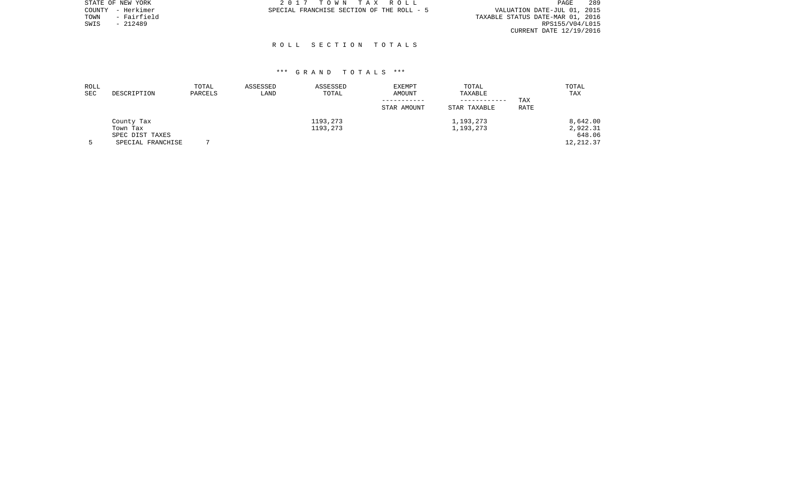|      | STATE OF NEW YORK | 2017 TOWN TAX ROLL                                                       | PAGE                    | 289 |
|------|-------------------|--------------------------------------------------------------------------|-------------------------|-----|
|      | COUNTY - Herkimer | VALUATION DATE-JUL 01, 2015<br>SPECIAL FRANCHISE SECTION OF THE ROLL - 5 |                         |     |
| TOWN | - Fairfield       | TAXABLE STATUS DATE-MAR 01, 2016                                         |                         |     |
| SWIS | $-212489$         |                                                                          | RPS155/V04/L015         |     |
|      |                   |                                                                          | CURRENT DATE 12/19/2016 |     |

## R O L L S E C T I O N T O T A L S

| ROLL<br><b>SEC</b> | DESCRIPTION                          | TOTAL<br>PARCELS | ASSESSED<br>LAND | ASSESSED<br>TOTAL    | EXEMPT<br>AMOUNT | TOTAL<br>TAXABLE             |             | TOTAL<br>TAX         |
|--------------------|--------------------------------------|------------------|------------------|----------------------|------------------|------------------------------|-------------|----------------------|
|                    |                                      |                  |                  |                      | STAR AMOUNT      | ------------<br>STAR TAXABLE | TAX<br>RATE |                      |
|                    | County Tax<br>Town Tax               |                  |                  | 1193,273<br>1193,273 |                  | 1,193,273<br>1,193,273       |             | 8,642.00<br>2,922.31 |
|                    | SPEC DIST TAXES<br>SPECIAL FRANCHISE |                  |                  |                      |                  |                              |             | 648.06<br>12, 212.37 |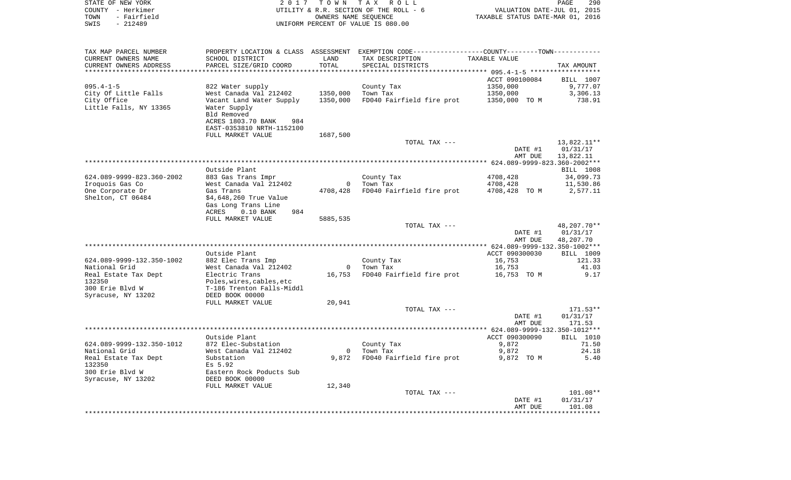| STATE OF NEW YORK<br>COUNTY - Herkimer<br>TOWN<br>- Fairfield<br>SWIS<br>$-212489$ | 2017                                         | T O W N                | TAX ROLL<br>UTILITY & R.R. SECTION OF THE ROLL - 6<br>OWNERS NAME SEQUENCE<br>UNIFORM PERCENT OF VALUE IS 080.00 | VALUATION DATE-JUL 01, 2015<br>TAXABLE STATUS DATE-MAR 01, 2016 | PAGE<br>290            |
|------------------------------------------------------------------------------------|----------------------------------------------|------------------------|------------------------------------------------------------------------------------------------------------------|-----------------------------------------------------------------|------------------------|
|                                                                                    |                                              |                        |                                                                                                                  |                                                                 |                        |
| TAX MAP PARCEL NUMBER                                                              |                                              |                        | PROPERTY LOCATION & CLASS ASSESSMENT EXEMPTION CODE---------------COUNTY-------TOWN----------                    |                                                                 |                        |
| CURRENT OWNERS NAME                                                                | SCHOOL DISTRICT                              | LAND                   | TAX DESCRIPTION                                                                                                  | TAXABLE VALUE                                                   |                        |
| CURRENT OWNERS ADDRESS<br>**********************                                   | PARCEL SIZE/GRID COORD                       | TOTAL<br>************* | SPECIAL DISTRICTS                                                                                                |                                                                 | TAX AMOUNT             |
|                                                                                    |                                              |                        |                                                                                                                  | ACCT 090100084                                                  | BILL 1007              |
| $095.4 - 1 - 5$                                                                    | 822 Water supply                             |                        | County Tax                                                                                                       | 1350,000                                                        | 9,777.07               |
| City Of Little Falls                                                               | West Canada Val 212402                       | 1350,000               | Town Tax                                                                                                         | 1350,000                                                        | 3,306.13               |
| City Office                                                                        | Vacant Land Water Supply                     | 1350,000               | FD040 Fairfield fire prot                                                                                        | 1350,000 TO M                                                   | 738.91                 |
| Little Falls, NY 13365                                                             | Water Supply                                 |                        |                                                                                                                  |                                                                 |                        |
|                                                                                    | Bld Removed<br>ACRES 1803.70 BANK<br>984     |                        |                                                                                                                  |                                                                 |                        |
|                                                                                    | EAST-0353810 NRTH-1152100                    |                        |                                                                                                                  |                                                                 |                        |
|                                                                                    | FULL MARKET VALUE                            | 1687,500               |                                                                                                                  |                                                                 |                        |
|                                                                                    |                                              |                        | TOTAL TAX ---                                                                                                    |                                                                 | 13,822.11**            |
|                                                                                    |                                              |                        |                                                                                                                  | DATE #1                                                         | 01/31/17               |
|                                                                                    |                                              |                        |                                                                                                                  | AMT DUE                                                         | 13,822.11              |
|                                                                                    | Outside Plant                                |                        |                                                                                                                  |                                                                 |                        |
| 624.089-9999-823.360-2002                                                          | 883 Gas Trans Impr                           |                        | County Tax                                                                                                       | 4708,428                                                        | BILL 1008<br>34,099.73 |
| Iroquois Gas Co                                                                    | West Canada Val 212402                       | $\mathbf{0}$           | Town Tax                                                                                                         | 4708,428                                                        | 11,530.86              |
| One Corporate Dr                                                                   | Gas Trans                                    | 4708,428               | FD040 Fairfield fire prot                                                                                        | 4708,428 TO M                                                   | 2,577.11               |
| Shelton, CT 06484                                                                  | \$4,648,260 True Value                       |                        |                                                                                                                  |                                                                 |                        |
|                                                                                    | Gas Long Trans Line                          |                        |                                                                                                                  |                                                                 |                        |
|                                                                                    | ACRES<br>$0.10$ BANK<br>984                  | 5885,535               |                                                                                                                  |                                                                 |                        |
|                                                                                    | FULL MARKET VALUE                            |                        | TOTAL TAX ---                                                                                                    |                                                                 | 48,207.70**            |
|                                                                                    |                                              |                        |                                                                                                                  | DATE #1                                                         | 01/31/17               |
|                                                                                    |                                              |                        |                                                                                                                  | AMT DUE                                                         | 48,207.70              |
|                                                                                    |                                              |                        |                                                                                                                  |                                                                 |                        |
|                                                                                    | Outside Plant                                |                        |                                                                                                                  | ACCT 090300030                                                  | BILL 1009              |
| 624.089-9999-132.350-1002<br>National Grid                                         | 882 Elec Trans Imp<br>West Canada Val 212402 | $\overline{0}$         | County Tax<br>Town Tax                                                                                           | 16,753<br>16,753                                                | 121.33<br>41.03        |
| Real Estate Tax Dept                                                               | Electric Trans                               | 16,753                 | FD040 Fairfield fire prot                                                                                        | 16,753 TO M                                                     | 9.17                   |
| 132350                                                                             | Poles, wires, cables, etc                    |                        |                                                                                                                  |                                                                 |                        |
| 300 Erie Blvd W                                                                    | T-186 Trenton Falls-Middl                    |                        |                                                                                                                  |                                                                 |                        |
| Syracuse, NY 13202                                                                 | DEED BOOK 00000                              |                        |                                                                                                                  |                                                                 |                        |
|                                                                                    | FULL MARKET VALUE                            | 20,941                 |                                                                                                                  |                                                                 |                        |
|                                                                                    |                                              |                        | TOTAL TAX ---                                                                                                    | DATE #1                                                         | 171.53**<br>01/31/17   |
|                                                                                    |                                              |                        |                                                                                                                  | AMT DUE                                                         | 171.53                 |
|                                                                                    |                                              |                        |                                                                                                                  |                                                                 |                        |
|                                                                                    | Outside Plant                                |                        |                                                                                                                  | ACCT 090300090                                                  | BILL 1010              |
| 624.089-9999-132.350-1012                                                          | 872 Elec-Substation                          |                        | County Tax                                                                                                       | 9,872                                                           | 71.50                  |
| National Grid                                                                      | West Canada Val 212402                       |                        | 0 Town Tax                                                                                                       | 9,872                                                           | 24.18                  |
| Real Estate Tax Dept<br>132350                                                     | Substation<br>Es 5.92                        |                        | 9,872 FD040 Fairfield fire prot                                                                                  | 9,872 TO M                                                      | 5.40                   |
| 300 Erie Blvd W                                                                    | Eastern Rock Poducts Sub                     |                        |                                                                                                                  |                                                                 |                        |
| Syracuse, NY 13202                                                                 | DEED BOOK 00000                              |                        |                                                                                                                  |                                                                 |                        |
|                                                                                    | FULL MARKET VALUE                            | 12,340                 |                                                                                                                  |                                                                 |                        |
|                                                                                    |                                              |                        | TOTAL TAX ---                                                                                                    |                                                                 | $101.08**$             |
|                                                                                    |                                              |                        |                                                                                                                  | DATE #1                                                         | 01/31/17               |
|                                                                                    |                                              |                        |                                                                                                                  | AMT DUE                                                         | 101.08                 |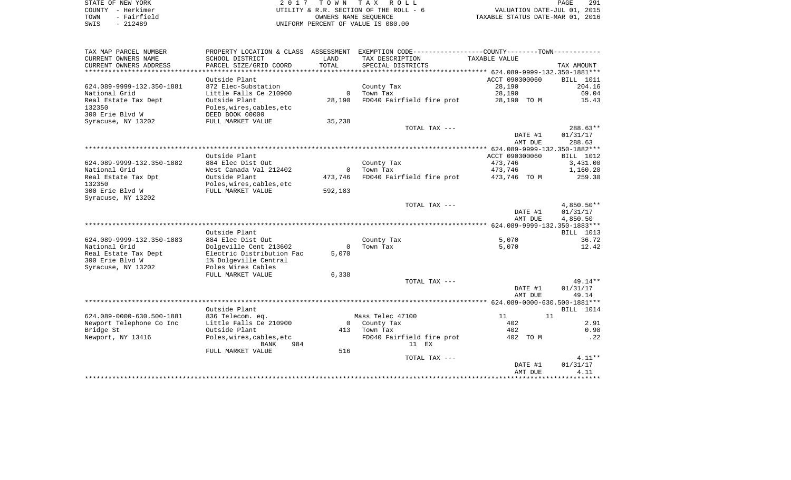| STATE OF NEW YORK   | 2017 TOWN TAX ROLL                     | 291<br>PAGE                      |
|---------------------|----------------------------------------|----------------------------------|
| COUNTY - Herkimer   | UTILITY & R.R. SECTION OF THE ROLL - 6 | VALUATION DATE-JUL 01, 2015      |
| - Fairfield<br>TOWN | OWNERS NAME SEOUENCE                   | TAXABLE STATUS DATE-MAR 01, 2016 |
| SWIS<br>- 212489    | UNIFORM PERCENT OF VALUE IS 080.00     |                                  |

| TAX MAP PARCEL NUMBER     | PROPERTY LOCATION & CLASS | ASSESSMENT   | EXEMPTION CODE----------------COUNTY-------TOWN----------- |                |              |
|---------------------------|---------------------------|--------------|------------------------------------------------------------|----------------|--------------|
| CURRENT OWNERS NAME       | SCHOOL DISTRICT           | LAND         | TAX DESCRIPTION                                            | TAXABLE VALUE  |              |
| CURRENT OWNERS ADDRESS    | PARCEL SIZE/GRID COORD    | TOTAL        | SPECIAL DISTRICTS                                          |                | TAX AMOUNT   |
| *******************       | ******************        | **********   |                                                            |                |              |
|                           | Outside Plant             |              |                                                            | ACCT 090300060 | BILL 1011    |
| 624.089-9999-132.350-1881 | 872 Elec-Substation       |              | County Tax                                                 | 28,190         | 204.16       |
| National Grid             | Little Falls Ce 210900    | $\mathbf{0}$ | Town Tax                                                   | 28,190         | 69.04        |
| Real Estate Tax Dept      | Outside Plant             | 28,190       | FD040 Fairfield fire prot                                  | 28,190 TO M    | 15.43        |
| 132350                    | Poles, wires, cables, etc |              |                                                            |                |              |
| 300 Erie Blvd W           | DEED BOOK 00000           |              |                                                            |                |              |
| Syracuse, NY 13202        | FULL MARKET VALUE         | 35,238       |                                                            |                |              |
|                           |                           |              | TOTAL TAX ---                                              |                | $288.63**$   |
|                           |                           |              |                                                            | DATE #1        | 01/31/17     |
|                           |                           |              |                                                            | AMT DUE        | 288.63       |
|                           |                           |              |                                                            |                |              |
|                           | Outside Plant             |              |                                                            | ACCT 090300060 | BILL 1012    |
| 624.089-9999-132.350-1882 | 884 Elec Dist Out         |              | County Tax                                                 | 473,746        | 3,431.00     |
| National Grid             | West Canada Val 212402    | 0            | Town Tax                                                   | 473,746        | 1,160.20     |
| Real Estate Tax Dpt       | Outside Plant             | 473,746      | FD040 Fairfield fire prot                                  | 473,746 TO M   | 259.30       |
| 132350                    | Poles, wires, cables, etc |              |                                                            |                |              |
| 300 Erie Blvd W           | FULL MARKET VALUE         | 592,183      |                                                            |                |              |
| Syracuse, NY 13202        |                           |              |                                                            |                |              |
|                           |                           |              | TOTAL TAX ---                                              |                | $4,850.50**$ |
|                           |                           |              |                                                            | DATE #1        | 01/31/17     |
|                           |                           |              |                                                            | AMT DUE        | 4,850.50     |
|                           |                           |              |                                                            |                |              |
|                           | Outside Plant             |              |                                                            |                | BILL 1013    |
| 624.089-9999-132.350-1883 | 884 Elec Dist Out         |              | County Tax                                                 | 5,070          | 36.72        |
| National Grid             | Dolgeville Cent 213602    | $\Omega$     | Town Tax                                                   | 5,070          | 12.42        |
| Real Estate Tax Dept      | Electric Distribution Fac | 5,070        |                                                            |                |              |
| 300 Erie Blvd W           | 1% Dolgeville Central     |              |                                                            |                |              |
| Syracuse, NY 13202        | Poles Wires Cables        |              |                                                            |                |              |
|                           | FULL MARKET VALUE         | 6,338        |                                                            |                |              |
|                           |                           |              | TOTAL TAX ---                                              |                | 49.14**      |
|                           |                           |              |                                                            | DATE #1        | 01/31/17     |
|                           |                           |              |                                                            | AMT DUE        | 49.14        |
|                           |                           |              |                                                            |                |              |
|                           | Outside Plant             |              |                                                            |                | BILL 1014    |
| 624.089-0000-630.500-1881 | 836 Telecom. eq.          |              | Mass Telec 47100                                           | 11             | 11           |
| Newport Telephone Co Inc  | Little Falls Ce 210900    |              | 0 County Tax                                               | 402            | 2.91         |
| Bridge St                 | Outside Plant             | 413          | Town Tax                                                   | 402            | 0.98         |
| Newport, NY 13416         | Poles, wires, cables, etc |              | FD040 Fairfield fire prot                                  | 402 TO M       | .22          |
|                           | 984<br>BANK               |              | 11 EX                                                      |                |              |
|                           | FULL MARKET VALUE         | 516          |                                                            |                |              |
|                           |                           |              | TOTAL TAX ---                                              |                | $4.11**$     |
|                           |                           |              |                                                            | DATE #1        | 01/31/17     |
|                           |                           |              |                                                            | AMT DUE        | 4.11         |
|                           |                           |              |                                                            |                |              |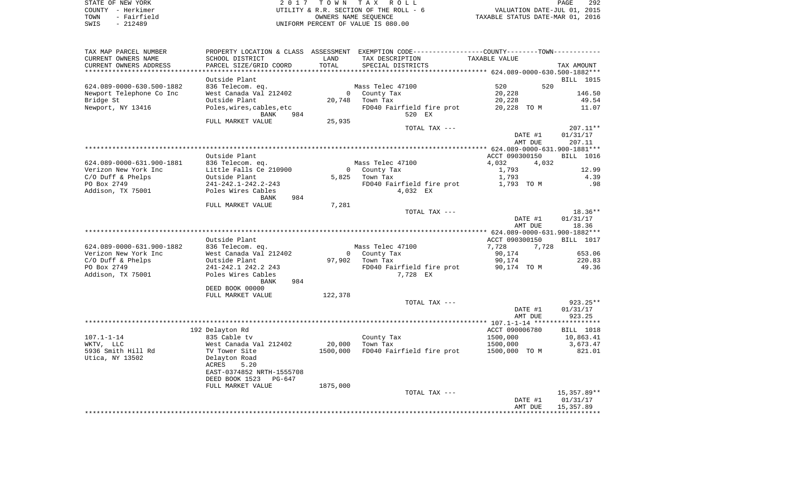|      | STATE OF NEW YORK | 2017 TOWN TAX ROLL                     | PAGE                             | 292 |
|------|-------------------|----------------------------------------|----------------------------------|-----|
|      | COUNTY - Herkimer | UTILITY & R.R. SECTION OF THE ROLL - 6 | VALUATION DATE-JUL 01, 2015      |     |
| TOWN | - Fairfield       | OWNERS NAME SEOUENCE                   | TAXABLE STATUS DATE-MAR 01, 2016 |     |
| SWIS | $-212489$         | UNIFORM PERCENT OF VALUE IS 080.00     |                                  |     |

| TAX MAP PARCEL NUMBER     |                           |          | PROPERTY LOCATION & CLASS ASSESSMENT EXEMPTION CODE----------------COUNTY--------TOWN---------- |                    |                    |
|---------------------------|---------------------------|----------|-------------------------------------------------------------------------------------------------|--------------------|--------------------|
| CURRENT OWNERS NAME       | SCHOOL DISTRICT           | LAND     | TAX DESCRIPTION                                                                                 | TAXABLE VALUE      |                    |
| CURRENT OWNERS ADDRESS    | PARCEL SIZE/GRID COORD    | TOTAL    | SPECIAL DISTRICTS                                                                               |                    | TAX AMOUNT         |
| ***********************   |                           |          |                                                                                                 |                    |                    |
|                           | Outside Plant             |          |                                                                                                 |                    | <b>BILL</b> 1015   |
| 624.089-0000-630.500-1882 | 836 Telecom. eq.          |          | Mass Telec 47100                                                                                | 520<br>520         |                    |
| Newport Telephone Co Inc  | West Canada Val 212402    | $\Omega$ | County Tax                                                                                      | 20,228             | 146.50             |
| Bridge St                 | Outside Plant             | 20,748   | Town Tax                                                                                        | 20,228             | 49.54              |
| Newport, NY 13416         | Poles, wires, cables, etc |          | FD040 Fairfield fire prot                                                                       | 20,228 TO M        | 11.07              |
|                           | <b>BANK</b><br>984        |          | 520 EX                                                                                          |                    |                    |
|                           | FULL MARKET VALUE         | 25,935   |                                                                                                 |                    |                    |
|                           |                           |          | TOTAL TAX ---                                                                                   |                    | $207.11**$         |
|                           |                           |          |                                                                                                 |                    |                    |
|                           |                           |          |                                                                                                 | DATE #1<br>AMT DUE | 01/31/17<br>207.11 |
|                           |                           |          |                                                                                                 |                    |                    |
|                           |                           |          |                                                                                                 |                    |                    |
|                           | Outside Plant             |          |                                                                                                 | ACCT 090300150     | <b>BILL</b> 1016   |
| 624.089-0000-631.900-1881 | 836 Telecom. eq.          |          | Mass Telec 47100                                                                                | 4,032<br>4,032     |                    |
| Verizon New York Inc      | Little Falls Ce 210900    |          | County Tax                                                                                      | 1,793              | 12.99              |
| $C/O$ Duff & Phelps       | Outside Plant             |          | $5,825$ Town Tax                                                                                | 1,793              | 4.39               |
| PO Box 2749               | 241-242.1-242.2-243       |          | FD040 Fairfield fire prot                                                                       | 1,793 TO M         | .98                |
| Addison, TX 75001         | Poles Wires Cables        |          | 4,032 EX                                                                                        |                    |                    |
|                           | 984<br>BANK               |          |                                                                                                 |                    |                    |
|                           | FULL MARKET VALUE         | 7,281    |                                                                                                 |                    |                    |
|                           |                           |          | TOTAL TAX ---                                                                                   |                    | $18.36**$          |
|                           |                           |          |                                                                                                 | DATE #1            | 01/31/17           |
|                           |                           |          |                                                                                                 | AMT DUE            | 18.36              |
|                           |                           |          |                                                                                                 |                    |                    |
|                           | Outside Plant             |          |                                                                                                 | ACCT 090300150     | <b>BILL</b> 1017   |
| 624.089-0000-631.900-1882 | 836 Telecom. eq.          |          | Mass Telec 47100                                                                                | 7,728<br>7,728     |                    |
| Verizon New York Inc      | West Canada Val 212402    |          | 0 County Tax                                                                                    | 90,174             | 653.06             |
| $C/O$ Duff & Phelps       | Outside Plant             |          | 97,902 Town Tax                                                                                 | 90,174             | 220.83             |
| PO Box 2749               | 241-242.1 242.2 243       |          | FD040 Fairfield fire prot                                                                       | 90,174 TO M        | 49.36              |
| Addison, TX 75001         | Poles Wires Cables        |          | 7,728 EX                                                                                        |                    |                    |
|                           | 984<br>BANK               |          |                                                                                                 |                    |                    |
|                           | DEED BOOK 00000           |          |                                                                                                 |                    |                    |
|                           | FULL MARKET VALUE         | 122,378  |                                                                                                 |                    |                    |
|                           |                           |          | TOTAL TAX ---                                                                                   |                    | $923.25**$         |
|                           |                           |          |                                                                                                 | DATE #1            | 01/31/17           |
|                           |                           |          |                                                                                                 | AMT DUE            | 923.25             |
|                           |                           |          |                                                                                                 |                    |                    |
|                           |                           |          |                                                                                                 |                    |                    |
|                           | 192 Delayton Rd           |          |                                                                                                 | ACCT 090006780     | BILL 1018          |
| $107.1 - 1 - 14$          | 835 Cable tv              |          | County Tax                                                                                      | 1500,000           | 10,863.41          |
| WKTV, LLC                 | West Canada Val 212402    | 20,000   | Town Tax                                                                                        | 1500,000           | 3,673.47           |
| 5936 Smith Hill Rd        | TV Tower Site             | 1500,000 | FD040 Fairfield fire prot                                                                       | 1500,000 TO M      | 821.01             |
| Utica, NY 13502           | Delayton Road             |          |                                                                                                 |                    |                    |
|                           | ACRES<br>5.20             |          |                                                                                                 |                    |                    |
|                           | EAST-0374852 NRTH-1555708 |          |                                                                                                 |                    |                    |
|                           | DEED BOOK 1523<br>PG-647  |          |                                                                                                 |                    |                    |
|                           | FULL MARKET VALUE         | 1875,000 |                                                                                                 |                    |                    |
|                           |                           |          | TOTAL TAX ---                                                                                   |                    | 15,357.89**        |
|                           |                           |          |                                                                                                 | DATE #1            | 01/31/17           |
|                           |                           |          |                                                                                                 | AMT DUE            | 15,357.89          |
|                           |                           |          |                                                                                                 |                    |                    |
|                           |                           |          |                                                                                                 |                    |                    |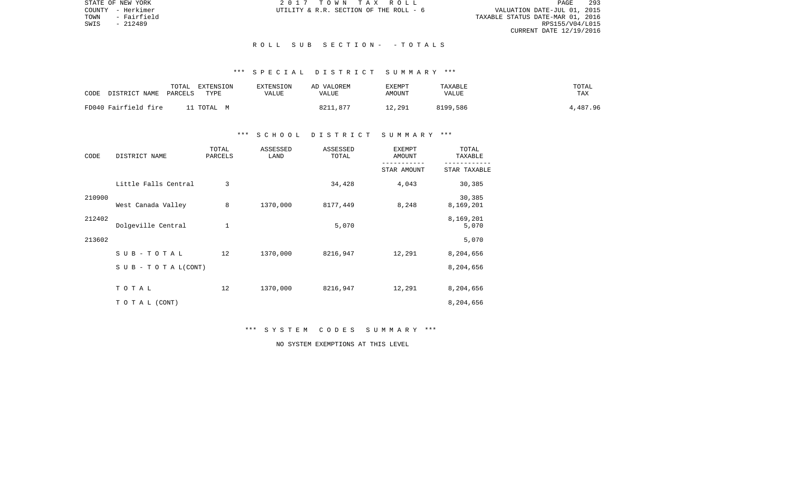STATE OF NEW YORK 2 0 1 7 T O W N T A X R O L L PAGE 293VALUATION DATE-JUL 01, 2015 TOWN - Fairfield TAXABLE STATUS DATE-MAR 01, 2016 RPS155/V04/L015 CURRENT DATE 12/19/2016

COUNTY - Herkimer  $UTILLITY \& R.R.$  SECTION OF THE ROLL - 6

## R O L L S U B S E C T I O N - - T O T A L S

# \*\*\* S P E C I A L D I S T R I C T S U M M A R Y \*\*\*

| CODE | DISTRICT NAME        | TOTAL<br>PARCELS | EXTENSION<br>TYPE | <b>EXTENSION</b><br>VALUE | AD VALOREM<br>VALUE | <b>EXEMPT</b><br>AMOUNT | TAXABLE<br>VALUE | TOTAL<br>TAX |
|------|----------------------|------------------|-------------------|---------------------------|---------------------|-------------------------|------------------|--------------|
|      | FD040 Fairfield fire |                  | . TOTAL M         |                           | 8211,877            | 12,291                  | 8199,586         | 4,487.96     |

## \*\*\* S C H O O L D I S T R I C T S U M M A R Y \*\*\*

| CODE   | DISTRICT NAME        | TOTAL<br>PARCELS | ASSESSED<br>LAND | ASSESSED<br>TOTAL | <b>EXEMPT</b><br>AMOUNT | TOTAL<br>TAXABLE    |
|--------|----------------------|------------------|------------------|-------------------|-------------------------|---------------------|
|        |                      |                  |                  |                   | STAR AMOUNT             | STAR TAXABLE        |
|        | Little Falls Central | 3                |                  | 34,428            | 4,043                   | 30,385              |
| 210900 | West Canada Valley   | 8                | 1370,000         | 8177,449          | 8,248                   | 30,385<br>8,169,201 |
| 212402 | Dolgeville Central   | $\mathbf 1$      |                  | 5,070             |                         | 8,169,201<br>5,070  |
| 213602 |                      |                  |                  |                   |                         | 5,070               |
|        | $SUB - TO T AL$      | 12               | 1370,000         | 8216,947          | 12,291                  | 8,204,656           |
|        | SUB - TO TAL(CONT)   |                  |                  |                   |                         | 8,204,656           |
|        | TOTAL                | 12               | 1370,000         | 8216,947          | 12,291                  | 8,204,656           |
|        | TO TAL (CONT)        |                  |                  |                   |                         | 8,204,656           |

# \*\*\* S Y S T E M C O D E S S U M M A R Y \*\*\*

NO SYSTEM EXEMPTIONS AT THIS LEVEL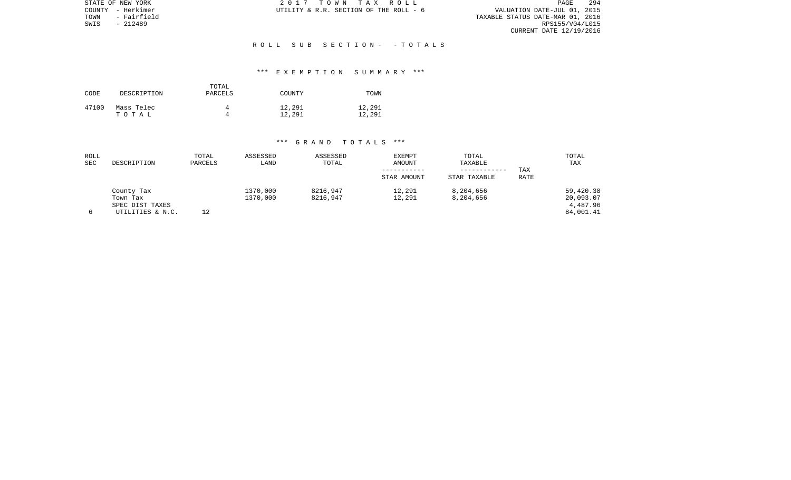| STATE OF NEW YORK   | 2017 TOWN TAX ROLL                     | PAGE                             | 294 |
|---------------------|----------------------------------------|----------------------------------|-----|
| COUNTY - Herkimer   | UTILITY & R.R. SECTION OF THE ROLL - 6 | VALUATION DATE-JUL 01, 2015      |     |
| - Fairfield<br>TOWN |                                        | TAXABLE STATUS DATE-MAR 01, 2016 |     |
| - 212489<br>SWIS    |                                        | RPS155/V04/L015                  |     |
|                     |                                        | CURRENT DATE 12/19/2016          |     |

### R O L L S U B S E C T I O N - - T O T A L S

### \*\*\* E X E M P T I O N S U M M A R Y \*\*\*

| CODE  | DESCRIPTION | TOTAL<br>PARCELS | COUNTY | TOWN   |
|-------|-------------|------------------|--------|--------|
| 47100 | Mass Telec  | 4                | 12,291 | 12,291 |
|       | тотаь       | Δ                | 12,291 | 12,291 |

| ROLL<br>SEC | DESCRIPTION                                                   | TOTAL<br>PARCELS | ASSESSED<br>LAND     | ASSESSED<br>TOTAL    | <b>EXEMPT</b><br>AMOUNT<br>STAR AMOUNT | TOTAL<br>TAXABLE<br>STAR TAXABLE | TAX<br><b>RATE</b> | TOTAL<br><b>TAX</b>                             |
|-------------|---------------------------------------------------------------|------------------|----------------------|----------------------|----------------------------------------|----------------------------------|--------------------|-------------------------------------------------|
|             | County Tax<br>Town Tax<br>SPEC DIST TAXES<br>UTILITIES & N.C. | 12               | 1370,000<br>1370,000 | 8216,947<br>8216,947 | 12,291<br>12,291                       | 8,204,656<br>8,204,656           |                    | 59,420.38<br>20,093.07<br>4,487.96<br>84,001.41 |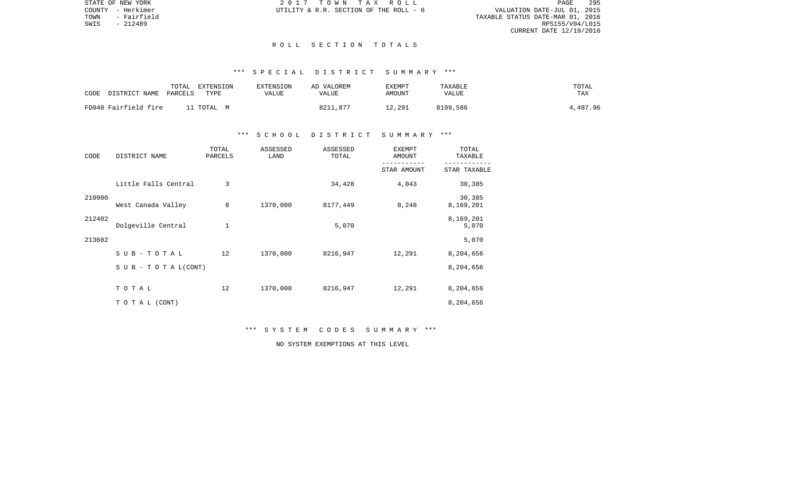STATE OF NEW YORK 2 0 1 7 T O W N T A X R O L L PAGE 295VALUATION DATE-JUL 01, 2015 TOWN - Fairfield TAXABLE STATUS DATE-MAR 01, 2016 RPS155/V04/L015 CURRENT DATE 12/19/2016

COUNTY - Herkimer  $UTILLITY \& R.R.$  SECTION OF THE ROLL - 6

### R O L L S E C T I O N T O T A L S

# \*\*\* S P E C I A L D I S T R I C T S U M M A R Y \*\*\*

| DISTRICT NAME        | TOTAL   | EXTENSION  | EXTENSION | AD VALOREM | EXEMPT | TAXABLE  | TOTAL    |
|----------------------|---------|------------|-----------|------------|--------|----------|----------|
| CODE                 | PARCELS | TYPE       | VALUE     | VALUE      | AMOUNT | VALUE    | TAX      |
| FD040 Fairfield fire |         | '1 TOTAL M |           | 8211,877   | 12,291 | 8199,586 | 4,487.96 |

## \*\*\* S C H O O L D I S T R I C T S U M M A R Y \*\*\*

| CODE   | DISTRICT NAME        | TOTAL<br>PARCELS | ASSESSED<br>LAND | ASSESSED<br>TOTAL | <b>EXEMPT</b><br>AMOUNT | TOTAL<br>TAXABLE    |
|--------|----------------------|------------------|------------------|-------------------|-------------------------|---------------------|
|        |                      |                  |                  |                   | STAR AMOUNT             | STAR TAXABLE        |
|        | Little Falls Central | 3                |                  | 34,428            | 4,043                   | 30,385              |
| 210900 | West Canada Valley   | 8                | 1370,000         | 8177,449          | 8,248                   | 30,385<br>8,169,201 |
| 212402 | Dolgeville Central   | $\mathbf 1$      |                  | 5,070             |                         | 8,169,201<br>5,070  |
| 213602 |                      |                  |                  |                   |                         | 5,070               |
|        | $SUB - TO T AL$      | 12               | 1370,000         | 8216,947          | 12,291                  | 8,204,656           |
|        | SUB - TO TAL(CONT)   |                  |                  |                   |                         | 8,204,656           |
|        | TOTAL                | 12               | 1370,000         | 8216,947          | 12,291                  | 8,204,656           |
|        | TO TAL (CONT)        |                  |                  |                   |                         | 8,204,656           |

\*\*\* S Y S T E M C O D E S S U M M A R Y \*\*\*

NO SYSTEM EXEMPTIONS AT THIS LEVEL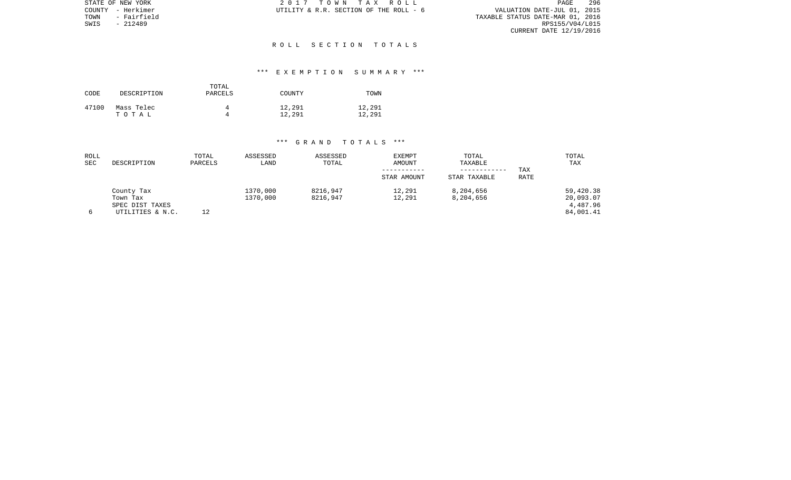| STATE OF NEW YORK   | 2017 TOWN TAX ROLL                     | 296<br>PAGE                      |
|---------------------|----------------------------------------|----------------------------------|
| COUNTY - Herkimer   | UTILITY & R.R. SECTION OF THE ROLL - 6 | VALUATION DATE-JUL 01, 2015      |
| TOWN<br>- Fairfield |                                        | TAXABLE STATUS DATE-MAR 01, 2016 |
| SWIS<br>- 212489    |                                        | RPS155/V04/L015                  |
|                     |                                        | CURRENT DATE 12/19/2016          |

### R O L L S E C T I O N T O T A L S

# \*\*\* E X E M P T I O N S U M M A R Y \*\*\*

| CODE  | DESCRIPTION         | TOTAL<br>PARCELS | COUNTY           | TOWN             |
|-------|---------------------|------------------|------------------|------------------|
| 47100 | Mass Telec<br>тотаь |                  | 12,291<br>12,291 | 12,291<br>12,291 |

| ROLL<br><b>SEC</b> | DESCRIPTION                                                   | TOTAL<br>PARCELS | ASSESSED<br>LAND     | ASSESSED<br>TOTAL    | <b>EXEMPT</b><br>AMOUNT<br>STAR AMOUNT | TOTAL<br>TAXABLE<br>STAR TAXABLE | TAX<br><b>RATE</b> | TOTAL<br>TAX                                    |
|--------------------|---------------------------------------------------------------|------------------|----------------------|----------------------|----------------------------------------|----------------------------------|--------------------|-------------------------------------------------|
|                    | County Tax<br>Town Tax<br>SPEC DIST TAXES<br>UTILITIES & N.C. | 12               | 1370,000<br>1370,000 | 8216,947<br>8216,947 | 12,291<br>12,291                       | 8,204,656<br>8,204,656           |                    | 59,420.38<br>20,093.07<br>4,487.96<br>84,001.41 |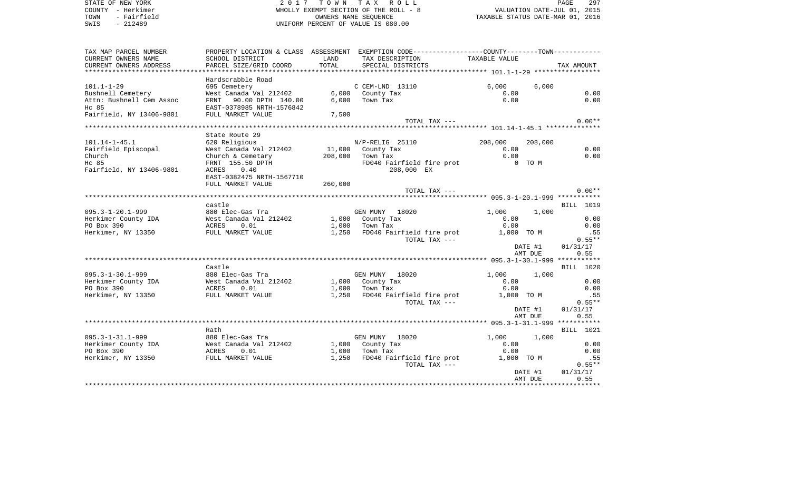| STATE OF NEW YORK<br>COUNTY - Herkimer<br>- Fairfield<br>TOWN<br>$-212489$<br>SWIS                                                               |                                                                                  |       | 2017 TOWN TAX ROLL<br>WHOLLY EXEMPT SECTION OF THE ROLL - 8<br>OWNERS NAME SEOUENCE<br>UNIFORM PERCENT OF VALUE IS 080.00 | PAGE 297<br>2015 DLL - 8 VALUATION DATE-JUL 01, 2015<br>2016 TAXABLE STATUS DATE-MAR 01, 2016 |         | PAGE       | 297          |
|--------------------------------------------------------------------------------------------------------------------------------------------------|----------------------------------------------------------------------------------|-------|---------------------------------------------------------------------------------------------------------------------------|-----------------------------------------------------------------------------------------------|---------|------------|--------------|
| TAX MAP PARCEL NUMBER                                                                                                                            |                                                                                  |       | PROPERTY LOCATION & CLASS ASSESSMENT EXEMPTION CODE---------------COUNTY-------TOWN----------                             |                                                                                               |         |            |              |
| CURRENT OWNERS NAME<br>CURRENT OWNERS ADDRESS                                                                                                    | SCHOOL DISTRICT<br>PARCEL SIZE/GRID COORD                                        | LAND  | TAX DESCRIPTION TAXABLE VALUE<br>TOTAL SPECIAL DISTRICTS                                                                  |                                                                                               |         | TAX AMOUNT |              |
|                                                                                                                                                  |                                                                                  |       |                                                                                                                           |                                                                                               |         |            |              |
|                                                                                                                                                  | Hardscrabble Road                                                                |       |                                                                                                                           |                                                                                               |         |            |              |
| $101.1 - 1 - 29$                                                                                                                                 | 695 Cemetery                                                                     |       | C CEM-LND 13110                                                                                                           | 6,000                                                                                         | 6,000   |            |              |
| Bushnell Cemetery<br>Attn: Bushnell Cem Assoc                                                                                                    | West Canada Val 212402 6,000 County Ta:<br>FRNT 90.00 DPTH 140.00 6,000 Town Tax |       | 6,000 County Tax                                                                                                          | 0.00<br>0.00                                                                                  |         |            | 0.00         |
| Hc 85                                                                                                                                            | EAST-0378985 NRTH-1576842                                                        |       |                                                                                                                           |                                                                                               |         |            | 0.00         |
| Fairfield, NY 13406-9801                                                                                                                         | FULL MARKET VALUE                                                                | 7,500 |                                                                                                                           |                                                                                               |         |            |              |
|                                                                                                                                                  |                                                                                  |       | TOTAL TAX ---                                                                                                             |                                                                                               |         |            | $0.00**$     |
|                                                                                                                                                  | State Route 29                                                                   |       |                                                                                                                           |                                                                                               |         |            |              |
| $101.14 - 1 - 45.1$                                                                                                                              | 620 Religious                                                                    |       | N/P-RELIG 25110                                                                                                           | 208,000                                                                                       | 208,000 |            |              |
| Fairfield Episcopal                                                                                                                              | West Canada Val 212402                                                           |       | 11,000 County Tax                                                                                                         | 0.00                                                                                          |         |            | 0.00         |
| Church                                                                                                                                           | Church & Cemetary $208,000$ Town Tax                                             |       | $\mathbf{z}$                                                                                                              | 0.00                                                                                          |         |            | 0.00         |
| Hc 85                                                                                                                                            | FRNT 155.50 DPTH                                                                 |       | FD040 Fairfield fire prot                                                                                                 | 0 TO M                                                                                        |         |            |              |
| Fairfield, NY 13406-9801                                                                                                                         | ACRES 0.40                                                                       |       | 208,000 EX                                                                                                                |                                                                                               |         |            |              |
|                                                                                                                                                  | EAST-0382475 NRTH-1567710<br>FULL MARKET VALUE 260,000                           |       |                                                                                                                           |                                                                                               |         |            |              |
|                                                                                                                                                  |                                                                                  |       | TOTAL TAX ---                                                                                                             |                                                                                               |         |            | $0.00**$     |
|                                                                                                                                                  |                                                                                  |       |                                                                                                                           |                                                                                               |         |            |              |
|                                                                                                                                                  | castle                                                                           |       |                                                                                                                           |                                                                                               |         |            | BILL 1019    |
| $095.3 - 1 - 20.1 - 999$                                                                                                                         | 880 Elec-Gas Tra                                                                 |       | GEN MUNY 18020                                                                                                            | 1,000                                                                                         | 1,000   |            |              |
|                                                                                                                                                  |                                                                                  |       |                                                                                                                           | 0.00<br>0.00                                                                                  |         |            | 0.00<br>0.00 |
|                                                                                                                                                  |                                                                                  |       | 1,250 FD040 Fairfield fire prot 1,000 TO M                                                                                |                                                                                               |         |            | .55          |
|                                                                                                                                                  |                                                                                  |       | TOTAL TAX ---                                                                                                             |                                                                                               |         |            | $0.55**$     |
|                                                                                                                                                  |                                                                                  |       |                                                                                                                           |                                                                                               | DATE #1 | 01/31/17   |              |
|                                                                                                                                                  |                                                                                  |       |                                                                                                                           |                                                                                               | AMT DUE |            | 0.55         |
|                                                                                                                                                  |                                                                                  |       |                                                                                                                           |                                                                                               |         |            |              |
|                                                                                                                                                  | Castle                                                                           |       |                                                                                                                           |                                                                                               |         |            | BILL 1020    |
| $095.3 - 1 - 30.1 - 999$                                                                                                                         | 880 Elec-Gas Tra                                                                 |       | GEN MUNY 18020<br>$1,000$ County Tax                                                                                      | 1,000<br>0.00                                                                                 | 1,000   |            | 0.00         |
|                                                                                                                                                  |                                                                                  |       |                                                                                                                           | 0.00                                                                                          |         |            | 0.00         |
| 095.3-1-30.1-999 880 Elec-Gas Tra<br>Herkimer County IDA West Canada Val 212402<br>PO Box 390 ACRES 0.01<br>Herkimer, NY 13350 FULL MARKET VALUE |                                                                                  |       | 1,250 FD040 Fairfield fire prot 1,000 TO M                                                                                |                                                                                               |         |            | .55          |
|                                                                                                                                                  |                                                                                  |       | TOTAL TAX ---                                                                                                             |                                                                                               |         |            | $0.55**$     |
|                                                                                                                                                  |                                                                                  |       |                                                                                                                           |                                                                                               | DATE #1 | 01/31/17   |              |
|                                                                                                                                                  |                                                                                  |       |                                                                                                                           |                                                                                               | AMT DUE |            | 0.55         |
|                                                                                                                                                  |                                                                                  |       |                                                                                                                           |                                                                                               |         |            |              |
| $095.3 - 1 - 31.1 - 999$                                                                                                                         | Rath<br>880 Elec-Gas Tra                                                         |       | GEN MUNY 18020                                                                                                            | 1,000                                                                                         | 1,000   |            | BILL 1021    |
|                                                                                                                                                  |                                                                                  |       |                                                                                                                           | 0.00                                                                                          |         |            | 0.00         |
|                                                                                                                                                  |                                                                                  |       | $1,000$ County Tax                                                                                                        | 0.00                                                                                          |         |            | 0.00         |
| 095.3-1-31.1-999 880 Elec-Gas Tra<br>Herkimer County IDA West Canada Val 212402<br>PO Box 390 ACRES 0.01<br>Herkimer, NY 13350 FULL MARKET VALUE |                                                                                  |       | 1,250 FD040 Fairfield fire prot 1,000 TO M                                                                                |                                                                                               |         |            | .55          |
|                                                                                                                                                  |                                                                                  |       | TOTAL TAX ---                                                                                                             |                                                                                               |         |            | $0.55***$    |
|                                                                                                                                                  |                                                                                  |       |                                                                                                                           |                                                                                               | DATE #1 | 01/31/17   |              |
|                                                                                                                                                  |                                                                                  |       |                                                                                                                           |                                                                                               | AMT DUE |            | 0.55         |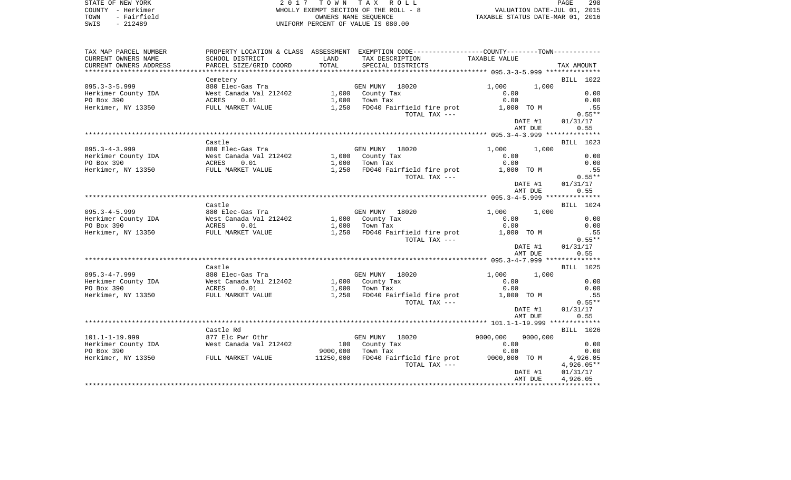STATE OF NEW YORK **EXECUTE:**  $2017$  TOWN TAX ROLL COUNTY - Herkimer WHOLLY EXEMPT SECTION OF THE ROLL - 8 VALUATION DATE-JUL 01, 2015 TOWN - Fairfield OWNERS NAME SEQUENCE TAXABLE STATUS DATE-MAR 01, 2016 SWIS - 212489 UNIFORM PERCENT OF VALUE IS 080.00

| TAX MAP PARCEL NUMBER  |                        |           | PROPERTY LOCATION & CLASS ASSESSMENT EXEMPTION CODE---------------COUNTY-------TOWN---------- |                      |            |
|------------------------|------------------------|-----------|-----------------------------------------------------------------------------------------------|----------------------|------------|
| CURRENT OWNERS NAME    | SCHOOL DISTRICT        | LAND      | TAX DESCRIPTION                                                                               | TAXABLE VALUE        |            |
| CURRENT OWNERS ADDRESS | PARCEL SIZE/GRID COORD | TOTAL     | SPECIAL DISTRICTS                                                                             |                      | TAX AMOUNT |
| ********************** |                        |           |                                                                                               |                      |            |
|                        | Cemetery               |           |                                                                                               |                      | BILL 1022  |
| $095.3 - 3 - 5.999$    | 880 Elec-Gas Tra       |           | GEN MUNY 18020                                                                                | 1,000<br>1,000       |            |
| Herkimer County IDA    | West Canada Val 212402 |           | 1,000 County Tax                                                                              | 0.00                 | 0.00       |
| PO Box 390             | ACRES<br>0.01          | 1,000     | Town Tax                                                                                      | 0.00                 | 0.00       |
| Herkimer, NY 13350     | FULL MARKET VALUE      | 1,250     | FD040 Fairfield fire prot                                                                     | 1,000 TO M           | .55        |
|                        |                        |           | TOTAL TAX ---                                                                                 |                      | $0.55**$   |
|                        |                        |           |                                                                                               | DATE #1              | 01/31/17   |
|                        |                        |           |                                                                                               | AMT DUE              | 0.55       |
|                        |                        |           |                                                                                               |                      |            |
|                        | Castle                 |           |                                                                                               |                      | BILL 1023  |
| $095.3 - 4 - 3.999$    | 880 Elec-Gas Tra       |           | GEN MUNY 18020                                                                                | 1,000<br>1,000       |            |
| Herkimer County IDA    | West Canada Val 212402 |           | 1,000 County Tax                                                                              | 0.00                 | 0.00       |
| PO Box 390             | ACRES<br>0.01          | 1,000     | Town Tax                                                                                      | 0.00                 | 0.00       |
| Herkimer, NY 13350     | FULL MARKET VALUE      | 1,250     | FD040 Fairfield fire prot                                                                     | 1,000 TO M           | .55        |
|                        |                        |           | TOTAL TAX ---                                                                                 |                      | $0.55**$   |
|                        |                        |           |                                                                                               | DATE #1              | 01/31/17   |
|                        |                        |           |                                                                                               | AMT DUE              | 0.55       |
|                        |                        |           |                                                                                               |                      |            |
|                        | Castle                 |           |                                                                                               |                      | BILL 1024  |
| $095.3 - 4 - 5.999$    | 880 Elec-Gas Tra       |           | GEN MUNY 18020                                                                                | 1,000<br>1,000       |            |
| Herkimer County IDA    | West Canada Val 212402 | 1,000     | County Tax                                                                                    | 0.00                 | 0.00       |
| PO Box 390             | ACRES<br>0.01          | 1,000     | Town Tax                                                                                      | 0.00                 | 0.00       |
| Herkimer, NY 13350     | FULL MARKET VALUE      | 1,250     | FD040 Fairfield fire prot                                                                     | 1,000 TO M           | .55        |
|                        |                        |           | TOTAL TAX ---                                                                                 |                      | $0.55**$   |
|                        |                        |           |                                                                                               | DATE #1              | 01/31/17   |
|                        |                        |           |                                                                                               | AMT DUE              | 0.55       |
|                        |                        |           |                                                                                               |                      |            |
|                        | Castle                 |           |                                                                                               |                      | BILL 1025  |
| $095.3 - 4 - 7.999$    | 880 Elec-Gas Tra       |           | GEN MUNY<br>18020                                                                             | 1,000<br>1,000       |            |
| Herkimer County IDA    | West Canada Val 212402 |           | 1,000 County Tax                                                                              | 0.00                 | 0.00       |
| PO Box 390             | ACRES<br>0.01          | 1,000     |                                                                                               | 0.00                 | 0.00       |
| Herkimer, NY 13350     | FULL MARKET VALUE      | 1,250     | Town Tax<br>FD040 Fairfield fire prot                                                         | 1,000 TO M           | .55        |
|                        |                        |           | TOTAL TAX ---                                                                                 |                      | $0.55**$   |
|                        |                        |           |                                                                                               |                      |            |
|                        |                        |           |                                                                                               | DATE #1              | 01/31/17   |
|                        |                        |           |                                                                                               | AMT DUE              | 0.55       |
|                        |                        |           |                                                                                               |                      |            |
|                        | Castle Rd              |           |                                                                                               |                      | BILL 1026  |
| $101.1 - 1 - 19.999$   | 877 Elc Pwr Othr       |           | GEN MUNY 18020                                                                                | 9000,000<br>9000,000 |            |
| Herkimer County IDA    | West Canada Val 212402 | 100       | County Tax                                                                                    | 0.00                 | 0.00       |
| PO Box 390             |                        | 9000,000  | Town Tax                                                                                      | 0.00                 | 0.00       |
| Herkimer, NY 13350     | FULL MARKET VALUE      | 11250,000 | FD040 Fairfield fire prot                                                                     | 9000,000 TO M        | 4,926.05   |
|                        |                        |           | TOTAL TAX ---                                                                                 |                      | 4,926.05** |
|                        |                        |           |                                                                                               | DATE #1              | 01/31/17   |
|                        |                        |           |                                                                                               | AMT DUE              | 4,926.05   |
|                        |                        |           |                                                                                               |                      |            |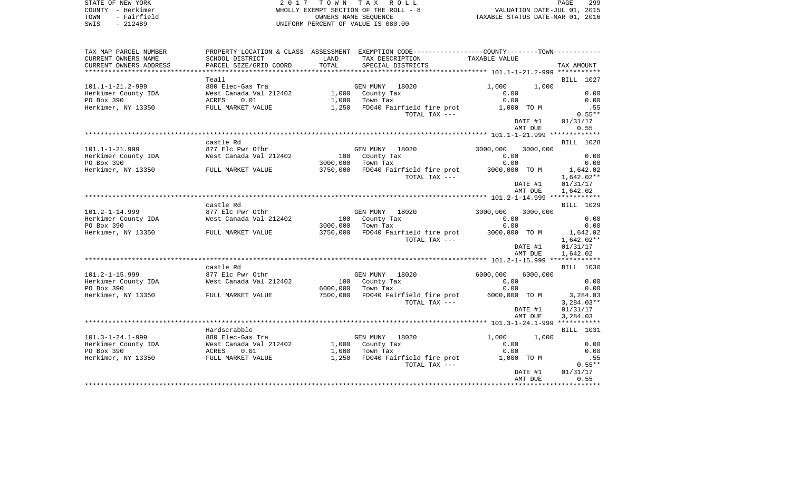|                                  | PAGE                        | 299 |  |
|----------------------------------|-----------------------------|-----|--|
|                                  | VALUATION DATE-JUL 01, 2015 |     |  |
| TAXABLE STATUS DATE-MAR 01, 2016 |                             |     |  |

STATE OF NEW YORK 2017 TOWN TAX ROLL<br>
COUNTY - Herkimer<br>
TOWN - Fairfield<br>
SWIS - 212489 COUNTY - 212489 WHOLLY EXEMPT SECTION OF THE ROLL -  $8$ OWNERS NAME SEQUENCE SWIS - 212489 UNIFORM PERCENT OF VALUE IS 080.00

| TAX MAP PARCEL NUMBER    |                        |          | PROPERTY LOCATION & CLASS ASSESSMENT EXEMPTION CODE---------------COUNTY-------TOWN---------- |                    |          |                  |
|--------------------------|------------------------|----------|-----------------------------------------------------------------------------------------------|--------------------|----------|------------------|
| CURRENT OWNERS NAME      | SCHOOL DISTRICT        | LAND     | TAX DESCRIPTION                                                                               | TAXABLE VALUE      |          |                  |
| CURRENT OWNERS ADDRESS   | PARCEL SIZE/GRID COORD | TOTAL    | SPECIAL DISTRICTS                                                                             |                    |          | TAX AMOUNT       |
|                          |                        |          |                                                                                               |                    |          |                  |
|                          | Teall                  |          |                                                                                               |                    |          | BILL 1027        |
| $101.1 - 1 - 21.2 - 999$ | 880 Elec-Gas Tra       |          | GEN MUNY 18020                                                                                | 1,000              | 1,000    |                  |
| Herkimer County IDA      | West Canada Val 212402 |          | 1,000 County Tax                                                                              | 0.00               |          | 0.00             |
| PO Box 390               | <b>ACRES</b><br>0.01   | 1,000    | Town Tax                                                                                      | 0.00               |          | 0.00             |
| Herkimer, NY 13350       | FULL MARKET VALUE      |          | 1,250 FD040 Fairfield fire prot                                                               | 1,000 TO M         |          | .55              |
|                          |                        |          | TOTAL TAX ---                                                                                 |                    |          | $0.55**$         |
|                          |                        |          |                                                                                               |                    | DATE #1  | 01/31/17         |
|                          |                        |          |                                                                                               |                    | AMT DUE  | 0.55             |
|                          |                        |          |                                                                                               |                    |          |                  |
|                          |                        |          |                                                                                               |                    |          |                  |
|                          | castle Rd              |          |                                                                                               |                    |          | <b>BILL</b> 1028 |
| $101.1 - 1 - 21.999$     | 877 Elc Pwr Othr       |          | GEN MUNY 18020                                                                                | 3000,000           | 3000,000 |                  |
| Herkimer County IDA      | West Canada Val 212402 |          | 100 County Tax                                                                                | 0.00               |          | 0.00             |
| PO Box 390               |                        | 3000,000 | Town Tax                                                                                      | 0.00               |          | 0.00             |
| Herkimer, NY 13350       | FULL MARKET VALUE      |          | 3750,000 FD040 Fairfield fire prot                                                            | 3000,000 TO M      |          | 1,642.02         |
|                          |                        |          | TOTAL TAX ---                                                                                 |                    |          | $1,642.02**$     |
|                          |                        |          |                                                                                               |                    | DATE #1  | 01/31/17         |
|                          |                        |          |                                                                                               |                    | AMT DUE  | 1,642.02         |
|                          |                        |          |                                                                                               |                    |          |                  |
|                          | castle Rd              |          |                                                                                               |                    |          | <b>BILL</b> 1029 |
| $101.2 - 1 - 14.999$     | 877 Elc Pwr Othr       |          | GEN MUNY 18020                                                                                | 3000,000           | 3000,000 |                  |
| Herkimer County IDA      | West Canada Val 212402 |          | 100 County Tax                                                                                | 0.00               |          | 0.00             |
| PO Box 390               |                        | 3000,000 | Town Tax                                                                                      | 0.00               |          | 0.00             |
| Herkimer, NY 13350       | FULL MARKET VALUE      |          | 3750,000 FD040 Fairfield fire prot                                                            | 3000,000 TO M      |          | 1,642.02         |
|                          |                        |          | TOTAL TAX ---                                                                                 |                    |          | $1,642.02**$     |
|                          |                        |          |                                                                                               |                    | DATE #1  | 01/31/17         |
|                          |                        |          |                                                                                               |                    | AMT DUE  | 1,642.02         |
|                          |                        |          |                                                                                               |                    |          |                  |
|                          | castle Rd              |          |                                                                                               |                    |          | <b>BILL</b> 1030 |
| $101.2 - 1 - 15.999$     | 877 Elc Pwr Othr       |          | GEN MUNY 18020                                                                                | 6000,000           | 6000,000 |                  |
| Herkimer County IDA      | West Canada Val 212402 | 100      | County Tax                                                                                    | 0.00               |          | 0.00             |
| PO Box 390               |                        | 6000,000 | Town Tax                                                                                      | 0.00               |          | 0.00             |
| Herkimer, NY 13350       | FULL MARKET VALUE      | 7500,000 | FD040 Fairfield fire prot                                                                     | 6000,000 TO M      |          | 3,284.03         |
|                          |                        |          | TOTAL TAX ---                                                                                 |                    |          | $3,284.03**$     |
|                          |                        |          |                                                                                               |                    | DATE #1  | 01/31/17         |
|                          |                        |          |                                                                                               |                    | AMT DUE  | 3,284.03         |
|                          |                        |          |                                                                                               |                    |          |                  |
|                          | Hardscrabble           |          |                                                                                               |                    |          | <b>BILL</b> 1031 |
| $101.3 - 1 - 24.1 - 999$ | 880 Elec-Gas Tra       |          | GEN MUNY 18020                                                                                | 1,000              | 1,000    |                  |
| Herkimer County IDA      | West Canada Val 212402 |          | 1,000 County Tax                                                                              | 0.00               |          | 0.00             |
| PO Box 390               |                        |          |                                                                                               |                    |          |                  |
| Herkimer, NY 13350       | ACRES<br>0.01          |          | $1,000$ Town Tax<br>1,250 FD040 Fairfield fire prot                                           | 0.00<br>1,000 TO M |          | 0.00             |
|                          | FULL MARKET VALUE      |          |                                                                                               |                    |          | .55              |
|                          |                        |          | TOTAL TAX ---                                                                                 |                    |          | $0.55**$         |
|                          |                        |          |                                                                                               |                    | DATE #1  | 01/31/17         |
|                          |                        |          |                                                                                               |                    | AMT DUE  | 0.55             |
|                          |                        |          |                                                                                               |                    |          |                  |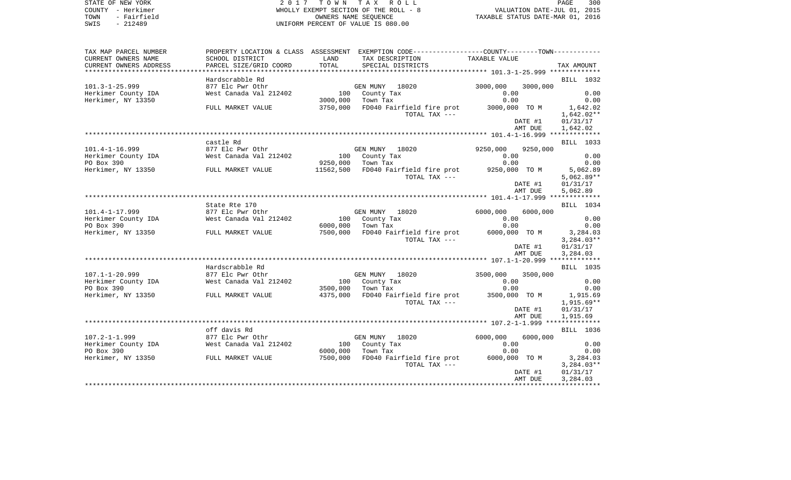| COUNTY - Herkimer<br>TOWN<br>- Fairfield<br>SWIS<br>$-212489$ |                        |           | WHOLLY EXEMPT SECTION OF THE ROLL - 8<br>OWNERS NAME SEQUENCE<br>UNIFORM PERCENT OF VALUE IS 080.00 | VALUATION DATE-JUL 01, 2015 |                    | TAXABLE STATUS DATE-MAR 01, 2016 |
|---------------------------------------------------------------|------------------------|-----------|-----------------------------------------------------------------------------------------------------|-----------------------------|--------------------|----------------------------------|
| TAX MAP PARCEL NUMBER                                         |                        |           | PROPERTY LOCATION & CLASS ASSESSMENT EXEMPTION CODE---------------COUNTY-------TOWN----------       |                             |                    |                                  |
| CURRENT OWNERS NAME                                           | SCHOOL DISTRICT        | LAND      | TAX DESCRIPTION                                                                                     | TAXABLE VALUE               |                    |                                  |
| CURRENT OWNERS ADDRESS                                        | PARCEL SIZE/GRID COORD | TOTAL     | SPECIAL DISTRICTS                                                                                   |                             |                    | TAX AMOUNT                       |
|                                                               | Hardscrabble Rd        |           |                                                                                                     |                             |                    | BILL 1032                        |
| $101.3 - 1 - 25.999$                                          | 877 Elc Pwr Othr       |           | GEN MUNY 18020                                                                                      | 3000,000                    | 3000,000           |                                  |
| Herkimer County IDA                                           | West Canada Val 212402 |           | 100 County Tax                                                                                      | 0.00                        |                    | 0.00                             |
| Herkimer, NY 13350                                            |                        | 3000,000  | Town Tax                                                                                            | 0.00                        |                    | 0.00                             |
|                                                               | FULL MARKET VALUE      | 3750,000  | FD040 Fairfield fire prot                                                                           | 3000,000 TO M               |                    | 1,642.02                         |
|                                                               |                        |           | TOTAL TAX ---                                                                                       |                             |                    | $1,642.02**$                     |
|                                                               |                        |           |                                                                                                     |                             | DATE #1            | 01/31/17                         |
|                                                               |                        |           |                                                                                                     |                             | AMT DUE            | 1,642.02                         |
|                                                               |                        |           |                                                                                                     |                             |                    |                                  |
|                                                               | castle Rd              |           |                                                                                                     |                             |                    | BILL 1033                        |
| $101.4 - 1 - 16.999$                                          | 877 Elc Pwr Othr       |           | GEN MUNY 18020                                                                                      | 9250,000                    | 9250,000           |                                  |
| Herkimer County IDA<br>PO Box 390                             | West Canada Val 212402 | 9250,000  | 100 County Tax<br>Town Tax                                                                          | 0.00<br>0.00                |                    | 0.00<br>0.00                     |
| Herkimer, NY 13350 FULL MARKET VALUE                          |                        | 11562,500 | FD040 Fairfield fire prot                                                                           | 9250,000 TO M               |                    | 5,062.89                         |
|                                                               |                        |           | TOTAL TAX ---                                                                                       |                             |                    | $5,062.89**$                     |
|                                                               |                        |           |                                                                                                     |                             | DATE #1            | 01/31/17                         |
|                                                               |                        |           |                                                                                                     |                             | AMT DUE            | 5,062.89                         |
|                                                               |                        |           |                                                                                                     |                             |                    |                                  |
|                                                               | State Rte 170          |           |                                                                                                     |                             |                    | BILL 1034                        |
| $101.4 - 1 - 17.999$                                          | 877 Elc Pwr Othr       |           | GEN MUNY 18020                                                                                      | 6000,000                    | 6000,000           |                                  |
| Herkimer County IDA<br>PO Box 390                             | West Canada Val 212402 | 6000,000  | 100 County Tax<br>Town Tax                                                                          | 0.00<br>0.00                |                    | 0.00<br>0.00                     |
| Herkimer, NY 13350                                            | FULL MARKET VALUE      | 7500,000  | FD040 Fairfield fire prot                                                                           | 6000,000 TO M               |                    | 3,284.03                         |
|                                                               |                        |           | TOTAL TAX ---                                                                                       |                             |                    | $3,284.03**$                     |
|                                                               |                        |           |                                                                                                     |                             | DATE #1            | 01/31/17                         |
|                                                               |                        |           |                                                                                                     |                             | AMT DUE            | 3,284.03                         |
|                                                               |                        |           |                                                                                                     |                             |                    |                                  |
|                                                               | Hardscrabble Rd        |           |                                                                                                     |                             |                    | BILL 1035                        |
| $107.1 - 1 - 20.999$                                          | 877 Elc Pwr Othr       |           | GEN MUNY 18020                                                                                      | 3500,000                    | 3500,000           |                                  |
| Herkimer County IDA                                           | West Canada Val 212402 |           | 100 County Tax                                                                                      | 0.00                        |                    | 0.00                             |
| PO Box 390                                                    |                        | 3500,000  | Town Tax                                                                                            | 0.00                        |                    | 0.00                             |
| Herkimer, NY 13350                                            | FULL MARKET VALUE      | 4375,000  | FD040 Fairfield fire prot<br>TOTAL TAX ---                                                          | 3500,000 TO M               |                    | 1,915.69<br>$1,915.69**$         |
|                                                               |                        |           |                                                                                                     |                             | DATE #1            | 01/31/17                         |
|                                                               |                        |           |                                                                                                     |                             | AMT DUE            | 1,915.69                         |
|                                                               |                        |           |                                                                                                     |                             |                    |                                  |
|                                                               | off davis Rd           |           |                                                                                                     |                             |                    | BILL 1036                        |
| $107.2 - 1 - 1.999$                                           | 877 Elc Pwr Othr       |           | GEN MUNY 18020                                                                                      | 6000,000                    | 6000,000           |                                  |
| Herkimer County IDA                                           | West Canada Val 212402 |           | 100 County Tax                                                                                      | 0.00                        |                    | 0.00                             |
| PO Box 390                                                    |                        | 6000,000  | Town Tax                                                                                            | 0.00                        |                    | 0.00                             |
| Herkimer, NY 13350 FULL MARKET VALUE                          |                        | 7500,000  | FD040 Fairfield fire prot                                                                           | 6000,000 TO M               |                    | 3,284.03                         |
|                                                               |                        |           | TOTAL TAX ---                                                                                       |                             |                    | $3,284.03**$                     |
|                                                               |                        |           |                                                                                                     |                             | DATE #1<br>AMT DUE | 01/31/17<br>3,284.03             |
|                                                               |                        |           |                                                                                                     |                             |                    |                                  |

PAGE 300

STATE OF NEW YORK **EXECUTE:**  $2017$  TOWN TAX ROLL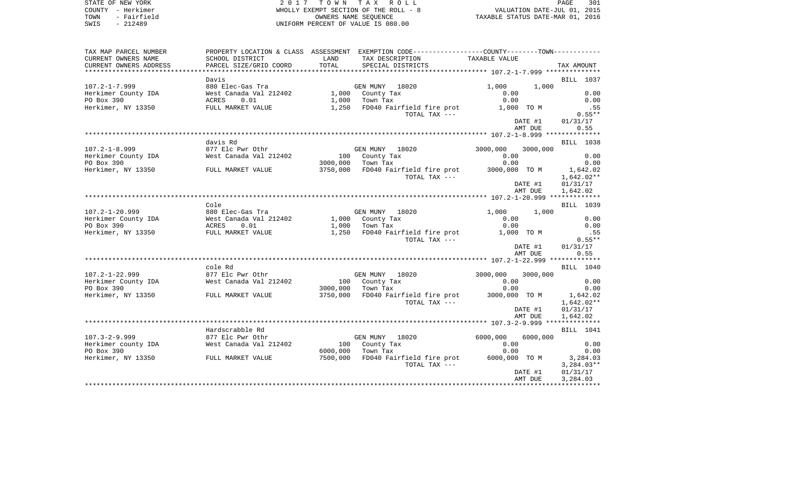| LL   |  |                                  | PAGE | 301 |
|------|--|----------------------------------|------|-----|
| $-8$ |  | VALUATION DATE-JUL 01, 2015      |      |     |
|      |  | TAXABLE STATUS DATE-MAR 01, 2016 |      |     |

STATE OF NEW YORK 2017 TOWN TAX RO COUNTY - Herkimer WHOLLY EXEMPT SECTION OF THE ROLL TOWN - Fairfield CONNERS NAME SEQUENCE CONNERS NAME SEQUENCE SWIS - 212489 SWIS - 212489 UNIFORM PERCENT OF VALUE IS 080.00

| TAX MAP PARCEL NUMBER  |                        |          | PROPERTY LOCATION & CLASS ASSESSMENT EXEMPTION CODE---------------COUNTY-------TOWN---------- |                      |                  |
|------------------------|------------------------|----------|-----------------------------------------------------------------------------------------------|----------------------|------------------|
| CURRENT OWNERS NAME    | SCHOOL DISTRICT        | LAND     | TAX DESCRIPTION                                                                               | TAXABLE VALUE        |                  |
| CURRENT OWNERS ADDRESS | PARCEL SIZE/GRID COORD | TOTAL    | SPECIAL DISTRICTS                                                                             |                      | TAX AMOUNT       |
|                        |                        |          |                                                                                               |                      |                  |
|                        | Davis                  |          |                                                                                               |                      | BILL 1037        |
| $107.2 - 1 - 7.999$    | 880 Elec-Gas Tra       |          | GEN MUNY 18020                                                                                | 1,000<br>1,000       |                  |
| Herkimer County IDA    | West Canada Val 212402 | 1,000    | County Tax                                                                                    | 0.00                 | 0.00             |
| PO Box 390             | ACRES<br>0.01          | 1,000    | Town Tax                                                                                      | 0.00                 | 0.00             |
| Herkimer, NY 13350     | FULL MARKET VALUE      | 1,250    | FD040 Fairfield fire prot                                                                     | 1,000 TO M           | .55              |
|                        |                        |          | TOTAL TAX ---                                                                                 |                      | $0.55**$         |
|                        |                        |          |                                                                                               | DATE #1              | 01/31/17         |
|                        |                        |          |                                                                                               | AMT DUE              | 0.55             |
|                        |                        |          |                                                                                               |                      |                  |
|                        | davis Rd               |          |                                                                                               |                      | BILL 1038        |
| $107.2 - 1 - 8.999$    | 877 Elc Pwr Othr       |          | GEN MUNY 18020                                                                                | 3000,000<br>3000,000 |                  |
| Herkimer County IDA    | West Canada Val 212402 |          | 100 County Tax                                                                                | 0.00                 | 0.00             |
| PO Box 390             |                        | 3000,000 | Town Tax                                                                                      | 0.00                 | 0.00             |
| Herkimer, NY 13350     | FULL MARKET VALUE      | 3750,000 | FD040 Fairfield fire prot                                                                     | 3000,000 TO M        | 1,642.02         |
|                        |                        |          | TOTAL TAX ---                                                                                 |                      | 1,642.02**       |
|                        |                        |          |                                                                                               | DATE #1              | 01/31/17         |
|                        |                        |          |                                                                                               | AMT DUE              | 1,642.02         |
|                        |                        |          |                                                                                               |                      |                  |
|                        | Cole                   |          |                                                                                               |                      | BILL 1039        |
| $107.2 - 1 - 20.999$   | 880 Elec-Gas Tra       |          | GEN MUNY 18020                                                                                | 1,000<br>1,000       |                  |
| Herkimer County IDA    | West Canada Val 212402 |          | 1,000 County Tax                                                                              | 0.00                 | 0.00             |
| PO Box 390             | ACRES<br>0.01          |          | $1,000$ Town Tax                                                                              | 0.00                 | 0.00             |
| Herkimer, NY 13350     | FULL MARKET VALUE      |          | 1,250 FD040 Fairfield fire prot                                                               | 1,000 TO M           | .55              |
|                        |                        |          | TOTAL TAX ---                                                                                 |                      | $0.55**$         |
|                        |                        |          |                                                                                               | DATE #1              | 01/31/17         |
|                        |                        |          |                                                                                               | AMT DUE              | 0.55             |
|                        |                        |          |                                                                                               |                      |                  |
|                        | cole Rd                |          |                                                                                               |                      | <b>BILL</b> 1040 |
| $107.2 - 1 - 22.999$   | 877 Elc Pwr Othr       |          | GEN MUNY 18020                                                                                | 3000,000<br>3000,000 |                  |
| Herkimer County IDA    | West Canada Val 212402 | 100      | County Tax                                                                                    | 0.00                 | 0.00             |
| PO Box 390             |                        | 3000,000 | Town Tax                                                                                      | 0.00                 | 0.00             |
| Herkimer, NY 13350     | FULL MARKET VALUE      | 3750,000 | FD040 Fairfield fire prot                                                                     | 3000,000 TO M        | 1,642.02         |
|                        |                        |          | TOTAL TAX ---                                                                                 |                      | $1,642.02**$     |
|                        |                        |          |                                                                                               | DATE #1              | 01/31/17         |
|                        |                        |          |                                                                                               | AMT DUE              | 1,642.02         |
|                        |                        |          |                                                                                               |                      |                  |
|                        | Hardscrabble Rd        |          |                                                                                               |                      | BILL 1041        |
| $107.3 - 2 - 9.999$    | 877 Elc Pwr Othr       |          | GEN MUNY<br>18020                                                                             | 6000,000<br>6000,000 |                  |
| Herkimer county IDA    | West Canada Val 212402 | 100      | County Tax                                                                                    | 0.00                 | 0.00             |
| PO Box 390             |                        | 6000,000 | Town Tax                                                                                      | 0.00                 | 0.00             |
| Herkimer, NY 13350     | FULL MARKET VALUE      |          | 7500,000 FD040 Fairfield fire prot 6000,000 TO M                                              |                      | 3,284.03         |
|                        |                        |          | TOTAL TAX ---                                                                                 |                      | $3,284.03**$     |
|                        |                        |          |                                                                                               | DATE #1              | 01/31/17         |
|                        |                        |          |                                                                                               | AMT DUE              | 3,284.03         |
|                        |                        |          |                                                                                               |                      |                  |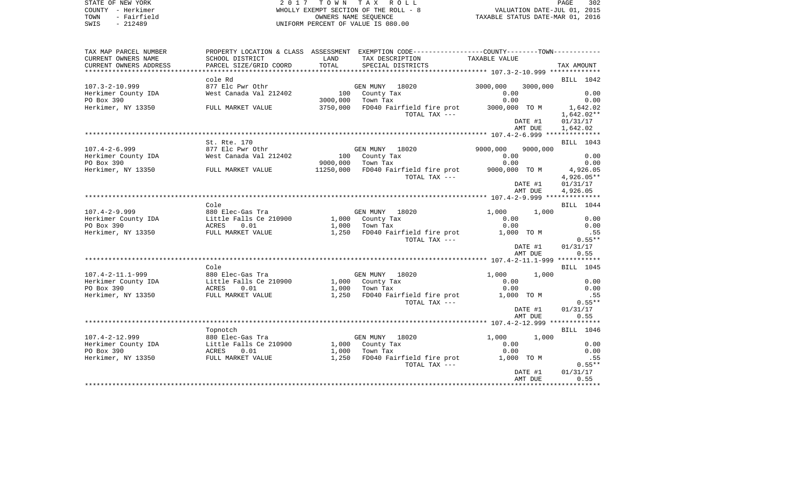| SWIS<br>$-212489$                                                      |                                            |               | UNIFORM PERCENT OF VALUE IS 080.00                                                                                                    |               |            |                          |
|------------------------------------------------------------------------|--------------------------------------------|---------------|---------------------------------------------------------------------------------------------------------------------------------------|---------------|------------|--------------------------|
| TAX MAP PARCEL NUMBER<br>CURRENT OWNERS NAME<br>CURRENT OWNERS ADDRESS | SCHOOL DISTRICT<br>PARCEL SIZE/GRID COORD  | LAND<br>TOTAL | PROPERTY LOCATION & CLASS ASSESSMENT EXEMPTION CODE---------------COUNTY-------TOWN----------<br>TAX DESCRIPTION<br>SPECIAL DISTRICTS | TAXABLE VALUE |            | TAX AMOUNT               |
| ********************                                                   |                                            |               |                                                                                                                                       |               |            |                          |
| $107.3 - 2 - 10.999$                                                   | cole Rd<br>877 Elc Pwr Othr                |               | GEN MUNY<br>18020                                                                                                                     | 3000,000      | 3000,000   | BILL 1042                |
| Herkimer County IDA                                                    | West Canada Val 212402                     |               | 100 County Tax                                                                                                                        | 0.00          |            | 0.00                     |
| PO Box 390                                                             |                                            | 3000,000      | Town Tax                                                                                                                              | 0.00          |            | 0.00                     |
| Herkimer, NY 13350                                                     | FULL MARKET VALUE                          | 3750,000      | FD040 Fairfield fire prot<br>TOTAL TAX ---                                                                                            | 3000,000 TO M |            | 1,642.02<br>$1,642.02**$ |
|                                                                        |                                            |               |                                                                                                                                       |               | DATE #1    | 01/31/17                 |
|                                                                        |                                            |               |                                                                                                                                       |               | AMT DUE    | 1,642.02                 |
|                                                                        | St. Rte. 170                               |               |                                                                                                                                       |               |            | BILL 1043                |
| $107.4 - 2 - 6.999$                                                    | 877 Elc Pwr Othr                           |               | GEN MUNY 18020                                                                                                                        | 9000,000      | 9000,000   |                          |
| Herkimer County IDA                                                    | West Canada Val 212402                     |               | 100 County Tax                                                                                                                        | 0.00          |            | 0.00                     |
| PO Box 390                                                             |                                            | 9000,000      | Town Tax                                                                                                                              | 0.00          |            | 0.00                     |
| Herkimer, NY 13350                                                     | FULL MARKET VALUE                          | 11250,000     | FD040 Fairfield fire prot                                                                                                             | 9000,000 TO M |            | 4,926.05                 |
|                                                                        |                                            |               | TOTAL TAX ---                                                                                                                         |               |            | 4,926.05**               |
|                                                                        |                                            |               |                                                                                                                                       |               | DATE #1    | 01/31/17                 |
|                                                                        |                                            |               |                                                                                                                                       |               | AMT DUE    | 4,926.05                 |
|                                                                        |                                            |               |                                                                                                                                       |               |            |                          |
|                                                                        | Cole                                       |               |                                                                                                                                       |               |            | BILL 1044                |
| $107.4 - 2 - 9.999$<br>Herkimer County IDA                             | 880 Elec-Gas Tra<br>Little Falls Ce 210900 |               | GEN MUNY 18020<br>1,000 County Tax                                                                                                    | 1,000<br>0.00 | 1,000      | 0.00                     |
| PO Box 390                                                             | ACRES 0.01                                 | 1,000         | Town Tax                                                                                                                              | 0.00          |            | 0.00                     |
| Herkimer, NY 13350                                                     | FULL MARKET VALUE                          | 1,250         | FD040 Fairfield fire prot                                                                                                             | 1,000 TO M    |            | .55                      |
|                                                                        |                                            |               | TOTAL TAX ---                                                                                                                         |               |            | $0.55**$                 |
|                                                                        |                                            |               |                                                                                                                                       |               | DATE #1    | 01/31/17                 |
|                                                                        |                                            |               |                                                                                                                                       |               | AMT DUE    | 0.55                     |
|                                                                        |                                            |               |                                                                                                                                       |               |            |                          |
|                                                                        | Cole                                       |               |                                                                                                                                       |               |            | <b>BILL</b> 1045         |
| $107.4 - 2 - 11.1 - 999$                                               | 880 Elec-Gas Tra                           |               | GEN MUNY 18020                                                                                                                        | 1,000         | 1,000      |                          |
| Herkimer County IDA                                                    | Little Falls Ce 210900                     |               | 1,000 County Tax                                                                                                                      | 0.00          |            | 0.00                     |
| PO Box 390                                                             | ACRES<br>0.01                              | 1,000         | Town Tax                                                                                                                              | 0.00          |            | 0.00                     |
| Herkimer, NY 13350                                                     | FULL MARKET VALUE                          | 1,250         | FD040 Fairfield fire prot                                                                                                             |               | 1,000 TO M | .55                      |
|                                                                        |                                            |               | TOTAL TAX ---                                                                                                                         |               | DATE #1    | $0.55**$<br>01/31/17     |
|                                                                        |                                            |               |                                                                                                                                       |               | AMT DUE    | 0.55                     |
|                                                                        |                                            |               |                                                                                                                                       |               |            |                          |
|                                                                        | Topnotch                                   |               |                                                                                                                                       |               |            | BILL 1046                |
| $107.4 - 2 - 12.999$                                                   | 880 Elec-Gas Tra                           |               | GEN MUNY 18020                                                                                                                        | 1,000         | 1,000      |                          |
| Herkimer County IDA                                                    | Little Falls Ce 210900                     |               | 1,000 County Tax                                                                                                                      | 0.00          |            | 0.00                     |
| PO Box 390                                                             | ACRES<br>0.01                              | 1,000         | Town Tax                                                                                                                              | 0.00          |            | 0.00                     |
| Herkimer, NY 13350                                                     | FULL MARKET VALUE                          | 1,250         | FD040 Fairfield fire prot                                                                                                             | 1,000 TO M    |            | .55                      |
|                                                                        |                                            |               | TOTAL TAX ---                                                                                                                         |               |            | $0.55**$                 |
|                                                                        |                                            |               |                                                                                                                                       |               | DATE #1    | 01/31/17                 |
|                                                                        |                                            |               |                                                                                                                                       |               | AMT DUE    | 0.55                     |

WHOLLY EXEMPT SECTION OF THE ROLL - 8 TOWN - Fairfield OWNERS NAME SEQUENCE TAXABLE STATUS DATE-MAR 01, 2016

STATE OF NEW YORK 2 0 1 7 T O W N T A X R O L L PAGE 302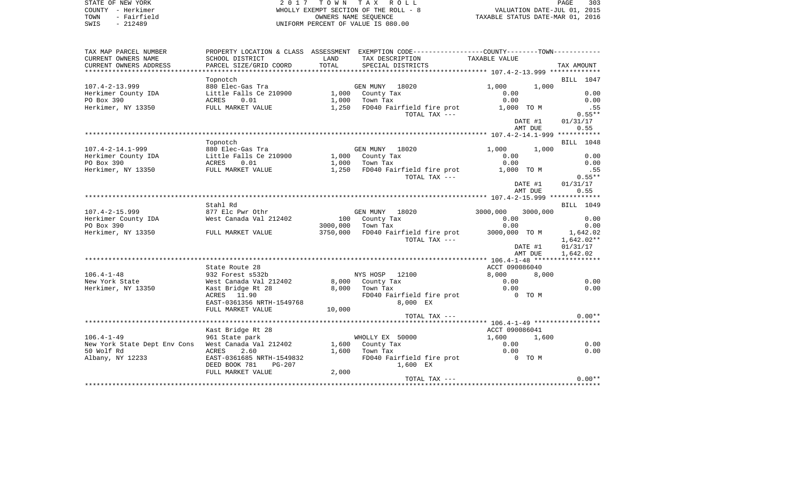| R O L L  |                                  |                             | PAGE. | 303 |
|----------|----------------------------------|-----------------------------|-------|-----|
| ROLL - 8 |                                  | VALUATION DATE-JUL 01, 2015 |       |     |
| ľЕ       | TAXABLE STATUS DATE-MAR 01, 2016 |                             |       |     |
|          |                                  |                             |       |     |

STATE OF NEW YORK  $2017$  TOWN TAX COUNTY - Herkimer WHOLLY EXEMPT SECTION OF THE ROUNTY - 8 VALUATION OF THE ROLL OWNERS NAME SEQUENC TOWN - Fairfield CONNECE TOWN - Fairfield CONNECE TAXABLE SEQUENCE TAXABLE STATUS OWNERS NAME SEQUENCE TAXABLE STATUS DATE-MAR 01, 2016 SWIS - 212489 UNIFORM PERCENT OF VALUE IS 080.00

| TAX MAP PARCEL NUMBER                                                |                                         |        | PROPERTY LOCATION & CLASS ASSESSMENT EXEMPTION CODE---------------COUNTY-------TOWN---------- |                   |                  |
|----------------------------------------------------------------------|-----------------------------------------|--------|-----------------------------------------------------------------------------------------------|-------------------|------------------|
| CURRENT OWNERS NAME                                                  | SCHOOL DISTRICT                         | LAND   | TAX DESCRIPTION                                                                               | TAXABLE VALUE     |                  |
| CURRENT OWNERS ADDRESS                                               | PARCEL SIZE/GRID COORD                  | TOTAL  | SPECIAL DISTRICTS                                                                             |                   | TAX AMOUNT       |
|                                                                      |                                         |        |                                                                                               |                   |                  |
|                                                                      | Topnotch                                |        |                                                                                               |                   | BILL 1047        |
| $107.4 - 2 - 13.999$                                                 | 880 Elec-Gas Tra                        |        | GEN MUNY 18020                                                                                | $1,000$ $1,000$   |                  |
| Herkimer County IDA                                                  | Little Falls Ce 210900                  |        | 1,000 County Tax                                                                              | 0.00              | 0.00             |
| PO Box 390                                                           | ACRES 0.01                              |        | 1,000 Town Tax                                                                                | 0.00              | 0.00             |
| Herkimer, NY 13350                                                   |                                         |        | FULL MARKET VALUE 1,250 FD040 Fairfield fire prot 1,000 TO M                                  |                   | .55              |
|                                                                      |                                         |        | TOTAL TAX ---                                                                                 |                   | $0.55**$         |
|                                                                      |                                         |        |                                                                                               | DATE #1           | 01/31/17         |
|                                                                      |                                         |        |                                                                                               | AMT DUE           | 0.55             |
|                                                                      |                                         |        |                                                                                               |                   |                  |
|                                                                      | Topnotch                                |        |                                                                                               |                   | <b>BILL</b> 1048 |
| $107.4 - 2 - 14.1 - 999$                                             | 880 Elec-Gas Tra                        |        | GEN MUNY 18020<br>1,000 County Tax                                                            | $1,000$ $1,000$   |                  |
|                                                                      | Little Falls Ce 210900                  |        |                                                                                               | 0.00              | 0.00             |
|                                                                      |                                         |        | $1,000$ Town Tax                                                                              | 0.00              | 0.00             |
|                                                                      |                                         |        | 1,250 FD040 Fairfield fire prot                                                               | 1,000 TO M        | .55<br>$0.55**$  |
|                                                                      |                                         |        | TOTAL TAX ---                                                                                 | DATE #1           | 01/31/17         |
|                                                                      |                                         |        |                                                                                               | AMT DUE           | 0.55             |
|                                                                      |                                         |        |                                                                                               |                   |                  |
|                                                                      | Stahl Rd                                |        |                                                                                               |                   | BILL 1049        |
| $107.4 - 2 - 15.999$                                                 | 877 Elc Pwr Othr                        |        | GEN MUNY 18020                                                                                | 3000,000 3000,000 |                  |
| Herkimer County IDA                                                  | West Canada Val 212402                  |        | 100 County Tax                                                                                | 0.00              | 0.00             |
| PO Box 390                                                           |                                         |        | 3000,000 Town Tax                                                                             | 0.00              | 0.00             |
| Herkimer, NY 13350 FULL MARKET VALUE                                 |                                         |        | 3750,000 FD040 Fairfield fire prot 3000,000 TO M 1,642.02                                     |                   |                  |
|                                                                      |                                         |        | TOTAL TAX ---                                                                                 |                   | 1,642.02**       |
|                                                                      |                                         |        |                                                                                               |                   | DATE #1 01/31/17 |
|                                                                      |                                         |        |                                                                                               | AMT DUE           | 1,642.02         |
|                                                                      |                                         |        |                                                                                               |                   |                  |
|                                                                      | State Route 28                          |        |                                                                                               | ACCT 090086040    |                  |
| $106.4 - 1 - 48$                                                     | 932 Forest s532b                        |        | NYS HOSP 12100                                                                                | 8,000 8,000       |                  |
| New York State                                                       | West Canada Val 212402 8,000 County Tax |        |                                                                                               | 0.00              | 0.00             |
| Herkimer, NY 13350                                                   | Kast Bridge Rt 28                       |        | 8,000 Town Tax                                                                                | 0.00              | 0.00             |
|                                                                      | ACRES 11.90                             |        | FD040 Fairfield fire prot 0 TO M                                                              |                   |                  |
|                                                                      | EAST-0361356 NRTH-1549768               |        | 8,000 EX                                                                                      |                   |                  |
|                                                                      | FULL MARKET VALUE                       | 10,000 |                                                                                               |                   |                  |
|                                                                      |                                         |        | TOTAL TAX ---                                                                                 |                   | $0.00**$         |
|                                                                      |                                         |        |                                                                                               |                   |                  |
|                                                                      | Kast Bridge Rt 28                       |        |                                                                                               | ACCT 090086041    |                  |
| $106.4 - 1 - 49$                                                     | 961 State park                          |        | WHOLLY EX 50000                                                                               | 1,600 1,600       |                  |
| New York State Dept Env Cons West Canada Val 212402 1,600 County Tax |                                         |        |                                                                                               | 0.00              | 0.00             |
| 50 Wolf Rd                                                           | ACRES<br>2.60                           |        | $1.600$ Town Tax                                                                              | 0.00              | 0.00             |
| Albany, NY 12233                                                     | EAST-0361685 NRTH-1549832               |        | FD040 Fairfield fire prot 0 TO M                                                              |                   |                  |
|                                                                      | DEED BOOK 781<br>PG-207                 |        | 1,600 EX                                                                                      |                   |                  |
|                                                                      | FULL MARKET VALUE                       | 2,000  | TOTAL TAX $---$                                                                               |                   | $0.00**$         |
|                                                                      |                                         |        |                                                                                               |                   |                  |
|                                                                      |                                         |        |                                                                                               |                   |                  |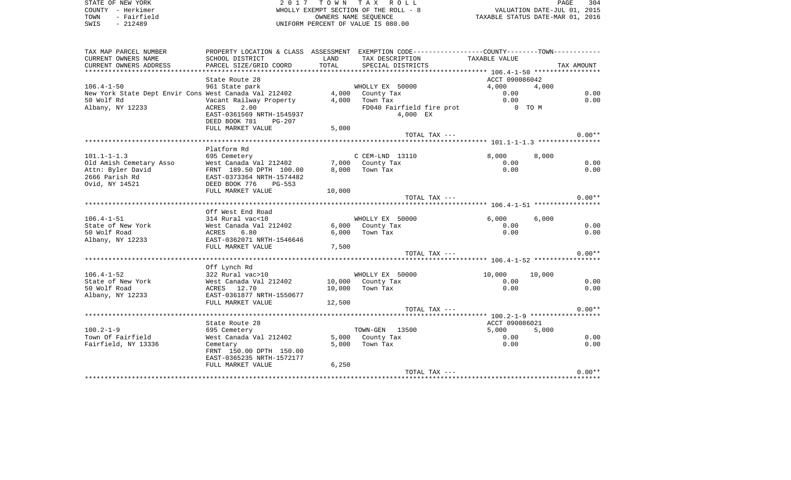STATE OF NEW YORK **2017 TOWN TAX ROLL** PAGE 304 COUNTY - Herkimer WHOLLY EXEMPT SECTION OF THE ROLL - 8 TOUNTY - Herkimer (1991) - Herkimer (1991) - THE ROLL FOUNTY - Herkimer (1991) - SECTION OF THE ROLL - 8 (2015<br>TOWN - Fairfield (1991) - OWNERS NAME SEQUENCE (2016) - OWNERS NAME SEQUENCE (2016) - SECTION DATE-MAR 01, 2016 UNIFORM PERCENT OF VALUE IS 080.00

| TAX MAP PARCEL NUMBER                                 |                           |        | PROPERTY LOCATION & CLASS ASSESSMENT EXEMPTION CODE---------------COUNTY-------TOWN---------- |                |            |
|-------------------------------------------------------|---------------------------|--------|-----------------------------------------------------------------------------------------------|----------------|------------|
| CURRENT OWNERS NAME                                   | SCHOOL DISTRICT           | LAND   | TAX DESCRIPTION                                                                               | TAXABLE VALUE  |            |
| CURRENT OWNERS ADDRESS                                | PARCEL SIZE/GRID COORD    | TOTAL  | SPECIAL DISTRICTS                                                                             |                | TAX AMOUNT |
| ******************************                        |                           |        |                                                                                               |                |            |
|                                                       | State Route 28            |        |                                                                                               | ACCT 090086042 |            |
| $106.4 - 1 - 50$                                      | 961 State park            |        | WHOLLY EX 50000                                                                               | 4,000          | 4,000      |
| New York State Dept Envir Cons West Canada Val 212402 |                           |        | 4,000 County Tax                                                                              | 0.00           | 0.00       |
| 50 Wolf Rd                                            | Vacant Railway Property   | 4,000  | Town Tax                                                                                      | 0.00           | 0.00       |
| Albany, NY 12233                                      | <b>ACRES</b><br>2.00      |        | FD040 Fairfield fire prot                                                                     |                | 0 TO M     |
|                                                       | EAST-0361569 NRTH-1545937 |        | 4,000 EX                                                                                      |                |            |
|                                                       | DEED BOOK 781<br>PG-207   |        |                                                                                               |                |            |
|                                                       | FULL MARKET VALUE         | 5,000  |                                                                                               |                |            |
|                                                       |                           |        | TOTAL TAX ---                                                                                 |                | $0.00**$   |
|                                                       |                           |        |                                                                                               |                |            |
|                                                       | Platform Rd               |        |                                                                                               |                |            |
| $101.1 - 1 - 1.3$                                     | 695 Cemetery              |        | C CEM-LND 13110                                                                               | 8,000          | 8,000      |
| Old Amish Cemetary Asso                               | West Canada Val 212402    |        | 7,000 County Tax                                                                              | 0.00           | 0.00       |
| Attn: Byler David                                     | FRNT 189.50 DPTH 100.00   | 8.000  | Town Tax                                                                                      | 0.00           | 0.00       |
| 2666 Parish Rd                                        | EAST-0373364 NRTH-1574482 |        |                                                                                               |                |            |
| Ovid, NY 14521                                        | DEED BOOK 776<br>PG-553   |        |                                                                                               |                |            |
|                                                       | FULL MARKET VALUE         | 10,000 |                                                                                               |                |            |
|                                                       |                           |        | TOTAL TAX ---                                                                                 |                | $0.00**$   |
|                                                       |                           |        |                                                                                               |                |            |
|                                                       | Off West End Road         |        |                                                                                               |                |            |
| $106.4 - 1 - 51$                                      | 314 Rural vac<10          |        | WHOLLY EX 50000                                                                               | 6,000          | 6.000      |
| State of New York                                     | West Canada Val 212402    |        | 6,000 County Tax                                                                              | 0.00           | 0.00       |
| 50 Wolf Road                                          | ACRES<br>6.80             | 6,000  | Town Tax                                                                                      | 0.00           | 0.00       |
| Albany, NY 12233                                      | EAST-0362071 NRTH-1546646 |        |                                                                                               |                |            |
|                                                       | FULL MARKET VALUE         | 7,500  |                                                                                               |                |            |
|                                                       |                           |        | TOTAL TAX ---                                                                                 |                | $0.00**$   |
|                                                       |                           |        |                                                                                               |                |            |
|                                                       | Off Lynch Rd              |        |                                                                                               |                |            |
| $106.4 - 1 - 52$                                      | 322 Rural vac>10          |        | WHOLLY EX 50000                                                                               | 10,000         | 10,000     |
| State of New York                                     | West Canada Val 212402    |        | 10,000 County Tax                                                                             | 0.00           | 0.00       |
| 50 Wolf Road                                          | ACRES 12.70               | 10,000 | Town Tax                                                                                      | 0.00           | 0.00       |
| Albany, NY 12233                                      | EAST-0361877 NRTH-1550677 |        |                                                                                               |                |            |
|                                                       | FULL MARKET VALUE         | 12,500 |                                                                                               |                |            |
|                                                       |                           |        | TOTAL TAX ---                                                                                 |                | $0.00**$   |
|                                                       |                           |        |                                                                                               |                |            |
|                                                       | State Route 28            |        |                                                                                               | ACCT 090086021 |            |
| $100.2 - 1 - 9$                                       | 695 Cemetery              |        | TOWN-GEN 13500                                                                                | 5,000          | 5,000      |
| Town Of Fairfield                                     | West Canada Val 212402    |        | 5,000 County Tax                                                                              | 0.00           | 0.00       |
| Fairfield, NY 13336                                   | Cemetary                  | 5,000  | Town Tax                                                                                      | 0.00           | 0.00       |
|                                                       | FRNT 150.00 DPTH 150.00   |        |                                                                                               |                |            |
|                                                       | EAST-0365235 NRTH-1572177 |        |                                                                                               |                |            |
|                                                       | FULL MARKET VALUE         | 6,250  |                                                                                               |                |            |
|                                                       |                           |        | TOTAL TAX ---                                                                                 |                | $0.00**$   |
|                                                       |                           |        |                                                                                               |                |            |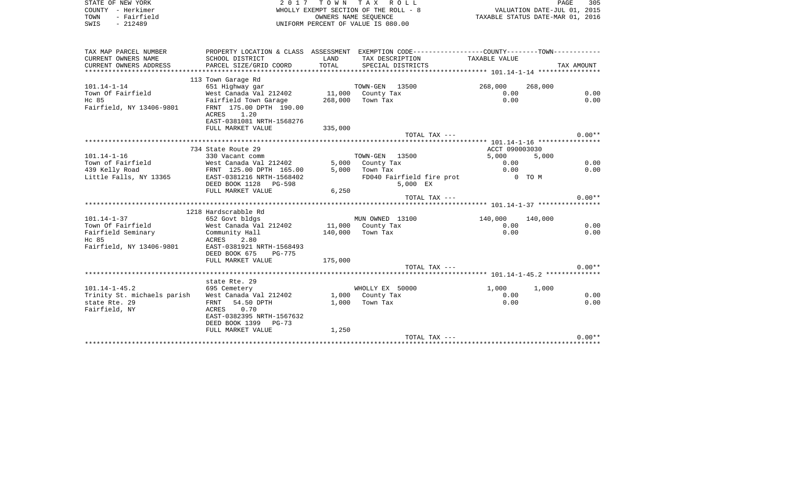| STATE OF NEW YORK<br>COUNTY - Herkimer<br>- Fairfield<br>TOWN<br>$-212489$<br>SWIS | 2 0 1 7                                                        | T A X<br>R O L L<br>WHOLLY EXEMPT SECTION OF THE ROLL - 8<br>OWNERS NAME SEOUENCE<br>UNIFORM PERCENT OF VALUE IS 080.00 | TAXABLE STATUS DATE-MAR 01, 2016                                                              | VALUATION DATE-JUL 01, 2015 | PAGE<br>305 |            |
|------------------------------------------------------------------------------------|----------------------------------------------------------------|-------------------------------------------------------------------------------------------------------------------------|-----------------------------------------------------------------------------------------------|-----------------------------|-------------|------------|
| TAX MAP PARCEL NUMBER                                                              |                                                                |                                                                                                                         | PROPERTY LOCATION & CLASS ASSESSMENT EXEMPTION CODE---------------COUNTY-------TOWN---------- |                             |             |            |
| CURRENT OWNERS NAME                                                                | SCHOOL DISTRICT                                                | LAND                                                                                                                    | TAX DESCRIPTION                                                                               | TAXABLE VALUE               |             |            |
| CURRENT OWNERS ADDRESS                                                             | PARCEL SIZE/GRID COORD                                         | TOTAL                                                                                                                   | SPECIAL DISTRICTS                                                                             |                             |             | TAX AMOUNT |
|                                                                                    |                                                                |                                                                                                                         |                                                                                               |                             |             |            |
|                                                                                    | 113 Town Garage Rd                                             |                                                                                                                         |                                                                                               |                             |             |            |
| $101.14 - 1 - 14$                                                                  | 651 Highway gar                                                |                                                                                                                         | TOWN-GEN 13500                                                                                | 268,000                     | 268,000     |            |
| Town Of Fairfield                                                                  | West Canada Val 212402                                         | 11,000                                                                                                                  | County Tax                                                                                    | 0.00                        |             | 0.00       |
| Hc 85<br>Fairfield, NY 13406-9801                                                  | Fairfield Town Garage<br>FRNT 175.00 DPTH 190.00<br>ACRES 1.20 | 268,000                                                                                                                 | Town Tax                                                                                      | 0.00                        |             | 0.00       |
|                                                                                    | EAST-0381081 NRTH-1568276                                      |                                                                                                                         |                                                                                               |                             |             |            |
|                                                                                    | FULL MARKET VALUE                                              | 335,000                                                                                                                 |                                                                                               |                             |             | $0.00**$   |
|                                                                                    |                                                                |                                                                                                                         | TOTAL TAX ---                                                                                 |                             |             |            |
|                                                                                    | 734 State Route 29                                             |                                                                                                                         |                                                                                               | ACCT 090003030              |             |            |
| $101.14 - 1 - 16$                                                                  | 330 Vacant comm                                                |                                                                                                                         | TOWN-GEN 13500                                                                                | 5,000                       | 5,000       |            |
| Town of Fairfield                                                                  | West Canada Val 212402                                         | 5,000                                                                                                                   | County Tax                                                                                    | 0.00                        |             | 0.00       |
| 439 Kelly Road                                                                     | FRNT 125.00 DPTH 165.00                                        | 5,000                                                                                                                   | Town Tax                                                                                      | 0.00                        |             | 0.00       |
| Little Falls, NY 13365                                                             | EAST-0381216 NRTH-1568402<br>DEED BOOK 1128 PG-598             |                                                                                                                         | FD040 Fairfield fire prot<br>5,000 EX                                                         |                             | 0 TO M      |            |
|                                                                                    | FULL MARKET VALUE                                              | 6,250                                                                                                                   |                                                                                               |                             |             |            |
|                                                                                    |                                                                |                                                                                                                         | TOTAL TAX ---                                                                                 |                             |             | $0.00**$   |
|                                                                                    |                                                                |                                                                                                                         |                                                                                               |                             |             |            |
|                                                                                    | 1218 Hardscrabble Rd                                           |                                                                                                                         |                                                                                               |                             |             |            |
| $101.14 - 1 - 37$                                                                  | 652 Govt bldgs                                                 |                                                                                                                         | MUN OWNED 13100                                                                               | 140,000                     | 140,000     |            |
| Town Of Fairfield                                                                  | West Canada Val 212402                                         | 11,000                                                                                                                  | County Tax                                                                                    | 0.00                        |             | 0.00       |
| Fairfield Seminary                                                                 | Community Hall                                                 | 140,000                                                                                                                 | Town Tax                                                                                      | 0.00                        |             | 0.00       |
| Hc 85                                                                              | ACRES<br>2.80                                                  |                                                                                                                         |                                                                                               |                             |             |            |
| Fairfield, NY 13406-9801                                                           | EAST-0381921 NRTH-1568493                                      |                                                                                                                         |                                                                                               |                             |             |            |
|                                                                                    | DEED BOOK 675<br><b>PG-775</b>                                 |                                                                                                                         |                                                                                               |                             |             |            |
|                                                                                    | FULL MARKET VALUE                                              | 175,000                                                                                                                 |                                                                                               |                             |             |            |
|                                                                                    |                                                                |                                                                                                                         | TOTAL TAX ---                                                                                 |                             |             | $0.00**$   |
|                                                                                    | state Rte. 29                                                  |                                                                                                                         |                                                                                               |                             |             |            |
| $101.14 - 1 - 45.2$                                                                |                                                                |                                                                                                                         | WHOLLY EX 50000                                                                               |                             |             |            |
| Trinity St. michaels parish                                                        | 695 Cemetery<br>West Canada Val 212402                         |                                                                                                                         | 1,000 County Tax                                                                              | 1,000<br>0.00               | 1,000       | 0.00       |
| state Rte. 29                                                                      | 54.50 DPTH<br>FRNT                                             | 1,000                                                                                                                   | Town Tax                                                                                      | 0.00                        |             | 0.00       |
| Fairfield, NY                                                                      | ACRES<br>0.70                                                  |                                                                                                                         |                                                                                               |                             |             |            |
|                                                                                    | EAST-0382395 NRTH-1567632                                      |                                                                                                                         |                                                                                               |                             |             |            |
|                                                                                    | DEED BOOK 1399 PG-73                                           |                                                                                                                         |                                                                                               |                             |             |            |
|                                                                                    | FULL MARKET VALUE                                              | 1,250                                                                                                                   |                                                                                               |                             |             |            |
|                                                                                    |                                                                |                                                                                                                         | TOTAL TAX ---                                                                                 |                             |             | $0.00**$   |
|                                                                                    |                                                                |                                                                                                                         |                                                                                               |                             |             |            |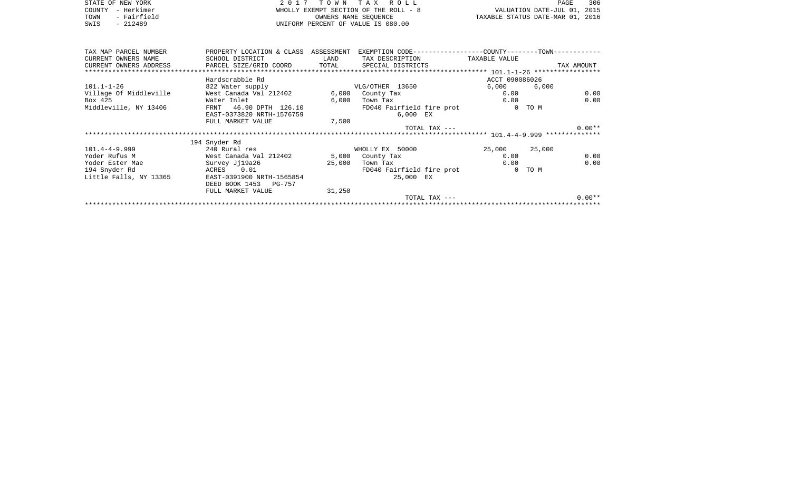|      | STATE OF NEW YORK | 2017 TOWN TAX ROLL                    | 306<br>PAGE                      |
|------|-------------------|---------------------------------------|----------------------------------|
|      | COUNTY - Herkimer | WHOLLY EXEMPT SECTION OF THE ROLL - 8 | VALUATION DATE-JUL 01, 2015      |
| TOWN | - Fairfield       | OWNERS NAME SEOUENCE                  | TAXABLE STATUS DATE-MAR 01, 2016 |
| SWIS | $-212489$         | UNIFORM PERCENT OF VALUE IS 080.00    |                                  |

| TAX MAP PARCEL NUMBER                                                             | PROPERTY LOCATION & CLASS ASSESSMENT |        | EXEMPTION CODE------------------COUNTY--------TOWN----------- |                |              |
|-----------------------------------------------------------------------------------|--------------------------------------|--------|---------------------------------------------------------------|----------------|--------------|
| CURRENT OWNERS NAME                                                               | SCHOOL DISTRICT                      | LAND   | TAX DESCRIPTION                                               | TAXABLE VALUE  |              |
| CURRENT OWNERS ADDRESS     PARCEL SIZE/GRID COORD     TOTAL     SPECIAL DISTRICTS |                                      |        |                                                               |                | TAX AMOUNT   |
|                                                                                   |                                      |        |                                                               |                |              |
|                                                                                   | Hardscrabble Rd                      |        |                                                               | ACCT 090086026 |              |
| $101.1 - 1 - 26$                                                                  | 822 Water supply                     |        | VLG/OTHER 13650                                               | 6,000 6        | 6,000        |
| Village Of Middleville                                                            | West Canada Val 212402               |        | 6,000 County Tax                                              | 0.00           | 0.00         |
| Box 425                                                                           | Water Inlet                          | 6,000  | Town Tax                                                      |                | 0.00<br>0.00 |
| Middleville, NY 13406                                                             | FRNT 46.90 DPTH 126.10               |        | FD040 Fairfield fire prot                                     |                | 0 TO M       |
|                                                                                   | EAST-0373820 NRTH-1576759            |        | 6,000 EX                                                      |                |              |
|                                                                                   | FULL MARKET VALUE                    | 7,500  |                                                               |                |              |
|                                                                                   |                                      |        | TOTAL TAX ---                                                 |                | $0.00**$     |
|                                                                                   |                                      |        |                                                               |                |              |
|                                                                                   | 194 Snyder Rd                        |        |                                                               |                |              |
| $101.4 - 4 - 9.999$                                                               | 240 Rural res                        |        | WHOLLY EX 50000                                               | 25,000 25,000  |              |
| Yoder Rufus M                                                                     | West Canada Val 212402               |        | 5,000 County Tax                                              | 0.00           | 0.00         |
| Yoder Ester Mae                                                                   | Survey Jj19a26                       | 25,000 | Town Tax                                                      |                | 0.00<br>0.00 |
| 194 Snyder Rd                                                                     | ACRES 0.01                           |        | FD040 Fairfield fire prot                                     |                | 0 TO M       |
| Little Falls, NY 13365                                                            | EAST-0391900 NRTH-1565854            |        | 25,000 EX                                                     |                |              |
|                                                                                   | DEED BOOK 1453 PG-757                |        |                                                               |                |              |
|                                                                                   | FULL MARKET VALUE                    | 31,250 |                                                               |                |              |
|                                                                                   |                                      |        | TOTAL TAX $---$                                               |                | $0.00**$     |
|                                                                                   |                                      |        |                                                               |                |              |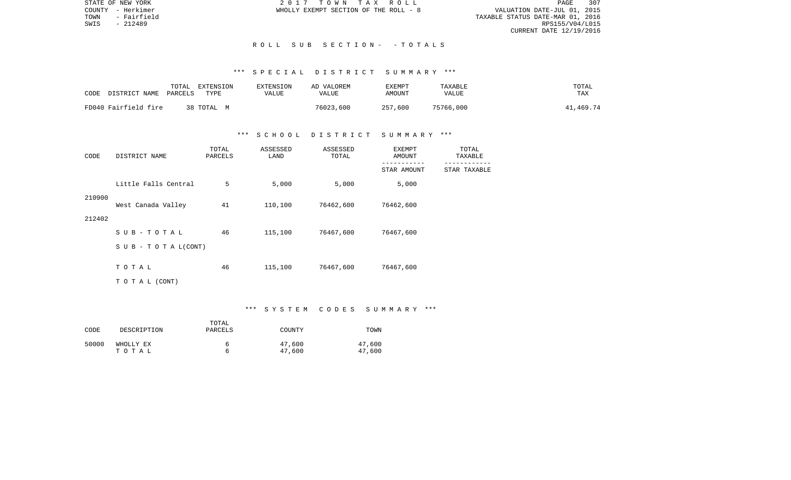STATE OF NEW YORK 2 0 1 7 T O W N T A X R O L L PAGE 307PAGE 307 TOWN - Fairfield TAXABLE STATUS DATE-MAR 01, 2016 CURRENT DATE 12/19/2016

COUNTY - Herkimer WHOLLY EXEMPT SECTION OF THE ROLL - 8

SWIS - 212489

## R O L L S U B S E C T I O N - - T O T A L S

### \*\*\* S P E C I A L D I S T R I C T S U M M A R Y \*\*\*

| CODE | DISTRICT NAME        | TOTAL<br>PARCELS | EXTENSION<br>TYPE | EXTENSION<br>VALUE | AD VALOREM<br>VALUE | EXEMPT<br>AMOUNT | TAXABLE<br><b>VALUE</b> | TOTAL<br>TAX |
|------|----------------------|------------------|-------------------|--------------------|---------------------|------------------|-------------------------|--------------|
|      | FD040 Fairfield fire |                  | 38 TOTAL M        |                    | 76023,600           | 257,600          | 75766,000               | 41,469.74    |

# \*\*\* S C H O O L D I S T R I C T S U M M A R Y \*\*\*

| CODE   | DISTRICT NAME             | TOTAL<br>PARCELS | ASSESSED<br>LAND | ASSESSED<br>TOTAL | EXEMPT<br>AMOUNT | TOTAL<br>TAXABLE |
|--------|---------------------------|------------------|------------------|-------------------|------------------|------------------|
|        |                           |                  |                  |                   | STAR AMOUNT      | STAR TAXABLE     |
|        | Little Falls Central      | 5                | 5,000            | 5,000             | 5,000            |                  |
| 210900 | West Canada Valley        | 41               | 110,100          | 76462,600         | 76462,600        |                  |
| 212402 |                           |                  |                  |                   |                  |                  |
|        | $S$ U B - T O T A L       | 46               | 115,100          | 76467,600         | 76467,600        |                  |
|        | S U B - T O T A $L(CONT)$ |                  |                  |                   |                  |                  |
|        | TOTAL                     | 46               | 115,100          | 76467,600         | 76467,600        |                  |
|        | T O T A L (CONT)          |                  |                  |                   |                  |                  |

#### \*\*\* S Y S T E M C O D E S S U M M A R Y \*\*\*

| CODE  | DESCRIPTION | TOTAL<br>PARCELS | <b>COUNTY</b> | TOWN   |
|-------|-------------|------------------|---------------|--------|
| 50000 | WHOLLY EX   | 6                | 47,600        | 47,600 |
|       | тотаь       | h                | 47,600        | 47,600 |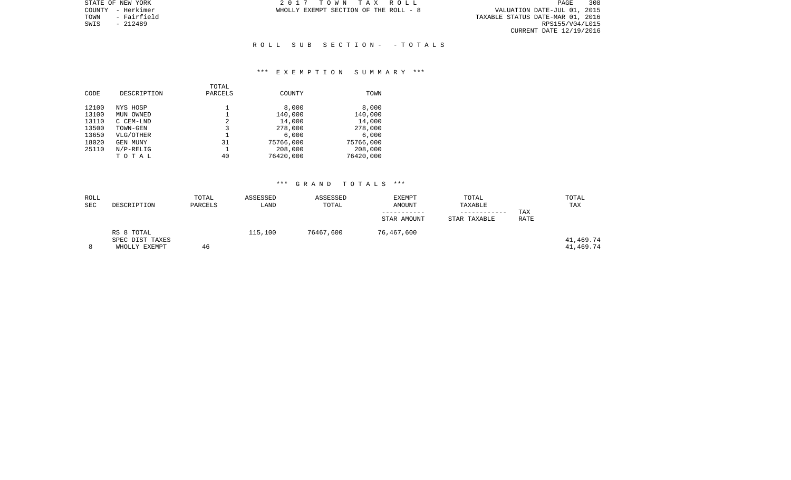STATE OF NEW YORK 2 0 1 7 T O W N T A X R O L L PAGE 308TOWN - Fairfield TAXABLE STATUS DATE-MAR 01, 2016 SWIS - 212489 RPS155/V04/L015 CURRENT DATE 12/19/2016

COUNTY - Herkimer **WHOLLY EXEMPT SECTION OF THE ROLL** - 8

## R O L L S U B S E C T I O N - - T O T A L S

### \*\*\* E X E M P T I O N S U M M A R Y \*\*\*

| CODE  | DESCRIPTION     | TOTAL<br>PARCELS | COUNTY    | TOWN      |
|-------|-----------------|------------------|-----------|-----------|
| 12100 | NYS HOSP        |                  | 8,000     | 8,000     |
| 13100 | MUN OWNED       |                  | 140,000   | 140,000   |
| 13110 | C CEM-LND       | 2                | 14,000    | 14,000    |
| 13500 | TOWN-GEN        | 3                | 278,000   | 278,000   |
| 13650 | VLG/OTHER       |                  | 6.000     | 6.000     |
| 18020 | <b>GEN MUNY</b> | 31               | 75766,000 | 75766,000 |
| 25110 | $N/P-RELIG$     |                  | 208,000   | 208,000   |
|       | TOTAL           | 40               | 76420,000 | 76420,000 |
|       |                 |                  |           |           |

| ROLL<br>SEC | DESCRIPTION                                    | TOTAL<br>PARCELS | ASSESSED<br>LAND | ASSESSED<br>TOTAL | EXEMPT<br>AMOUNT<br>STAR AMOUNT | TOTAL<br>TAXABLE<br>STAR TAXABLE | TAX<br>RATE | TOTAL<br>TAX           |
|-------------|------------------------------------------------|------------------|------------------|-------------------|---------------------------------|----------------------------------|-------------|------------------------|
|             | RS 8 TOTAL<br>SPEC DIST TAXES<br>WHOLLY EXEMPT | 46               | 115,100          | 76467,600         | 76,467,600                      |                                  |             | 41,469.74<br>41,469.74 |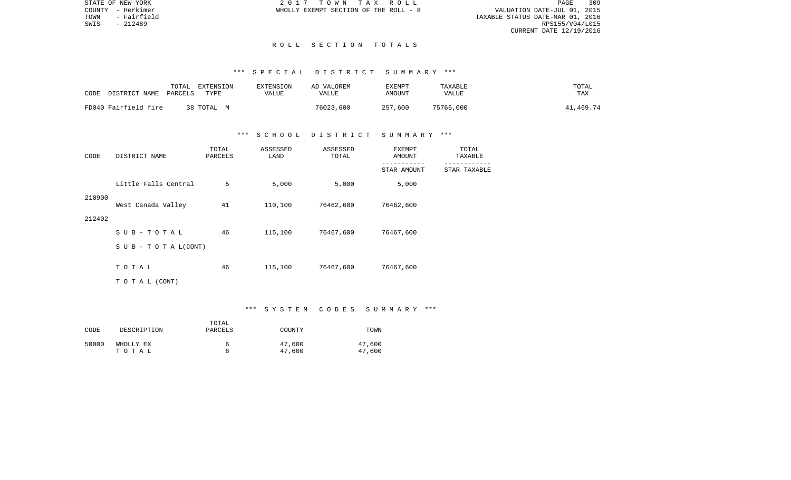STATE OF NEW YORK 2 0 1 7 T O W N T A X R O L L PAGE 309PAGE 309 TOWN - Fairfield TAXABLE STATUS DATE-MAR 01, 2016 CURRENT DATE 12/19/2016

COUNTY - Herkimer WHOLLY EXEMPT SECTION OF THE ROLL - 8

SWIS - 212489

## R O L L S E C T I O N T O T A L S

### \*\*\* S P E C I A L D I S T R I C T S U M M A R Y \*\*\*

| CODE | DISTRICT NAME        | TOTAL<br>PARCELS | EXTENSION<br>TYPE | EXTENSION<br>VALUE | AD VALOREM<br><b>VALUE</b> | EXEMPT<br>AMOUNT | TAXABLE<br><b>VALUE</b> | TOTAL<br>TAX |
|------|----------------------|------------------|-------------------|--------------------|----------------------------|------------------|-------------------------|--------------|
|      | FD040 Fairfield fire |                  | 38 TOTAL M        |                    | 76023,600                  | 257,600          | 75766,000               | 41,469.74    |

## \*\*\* S C H O O L D I S T R I C T S U M M A R Y \*\*\*

| CODE   | DISTRICT NAME              | TOTAL<br>PARCELS | ASSESSED<br>LAND | ASSESSED<br>TOTAL | EXEMPT<br>AMOUNT | TOTAL<br>TAXABLE |
|--------|----------------------------|------------------|------------------|-------------------|------------------|------------------|
|        |                            |                  |                  |                   | STAR AMOUNT      | STAR TAXABLE     |
|        | Little Falls Central       | 5                | 5,000            | 5,000             | 5,000            |                  |
| 210900 | West Canada Valley         | 41               | 110,100          | 76462,600         | 76462,600        |                  |
| 212402 |                            |                  |                  |                   |                  |                  |
|        | $SUB - TO T AL$            | 46               | 115,100          | 76467,600         | 76467,600        |                  |
|        | S U B - T O T A $L$ (CONT) |                  |                  |                   |                  |                  |
|        | TOTAL                      | 46               | 115,100          | 76467,600         | 76467,600        |                  |
|        | TO TAL (CONT)              |                  |                  |                   |                  |                  |

#### \*\*\* S Y S T E M C O D E S S U M M A R Y \*\*\*

| CODE  | DESCRIPTION | TOTAL<br>PARCELS | COUNTY | TOWN   |
|-------|-------------|------------------|--------|--------|
| 50000 | WHOLLY EX   | 6                | 47,600 | 47,600 |
|       | тотаь       | h                | 47,600 | 47,600 |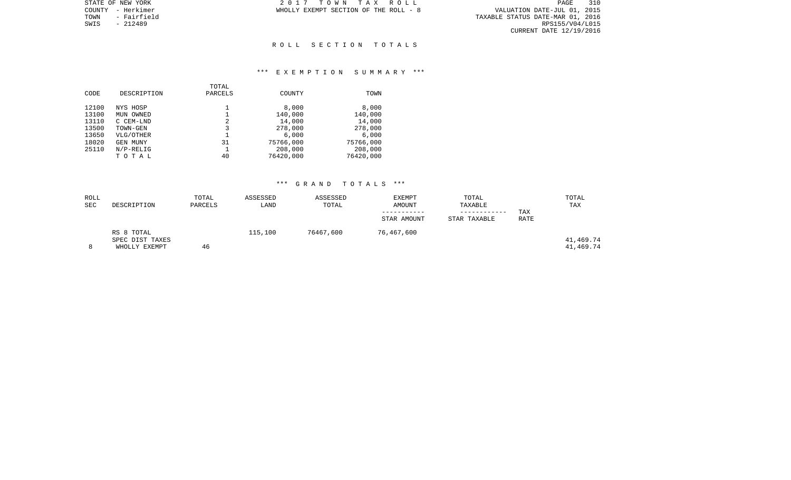TOWN - Fairfield TAXABLE STATUS DATE-MAR 01, 2016 SWIS - 212489<br>SWIS - 212489<br>SWIS - 212489<br>SWIS - 212489 CURRENT DATE 12/19/2016

STATE OF NEW YORK **2017** TOWN TAX ROLL COUNTY - Herkimer **WHOLLY EXEMPT SECTION OF THE ROLL** - 8

### R O L L S E C T I O N T O T A L S

## \*\*\* E X E M P T I O N S U M M A R Y \*\*\*

|       |              | TOTAL   |               |           |
|-------|--------------|---------|---------------|-----------|
| CODE  | DESCRIPTION  | PARCELS | <b>COUNTY</b> | TOWN      |
|       |              |         |               |           |
| 12100 | NYS HOSP     |         | 8,000         | 8,000     |
| 13100 | MUN OWNED    |         | 140,000       | 140,000   |
| 13110 | C CEM-LND    | 2       | 14,000        | 14,000    |
| 13500 | TOWN-GEN     | 3       | 278,000       | 278,000   |
| 13650 | VLG/OTHER    |         | 6,000         | 6,000     |
| 18020 | GEN MUNY     | 31      | 75766,000     | 75766,000 |
| 25110 | $N/P-RELLIG$ |         | 208,000       | 208,000   |
|       | TOTAL        | 40      | 76420,000     | 76420,000 |

| ROLL<br><b>SEC</b> | DESCRIPTION                      | TOTAL<br>PARCELS | ASSESSED<br>LAND | ASSESSED<br>TOTAL | <b>EXEMPT</b><br>AMOUNT | TOTAL<br>TAXABLE | TAX  | TOTAL<br>TAX           |
|--------------------|----------------------------------|------------------|------------------|-------------------|-------------------------|------------------|------|------------------------|
|                    |                                  |                  |                  |                   | STAR AMOUNT             | STAR TAXABLE     | RATE |                        |
|                    | RS 8 TOTAL                       |                  | 115,100          | 76467,600         | 76,467,600              |                  |      |                        |
| 8                  | SPEC DIST TAXES<br>WHOLLY EXEMPT | 46               |                  |                   |                         |                  |      | 41,469.74<br>41,469.74 |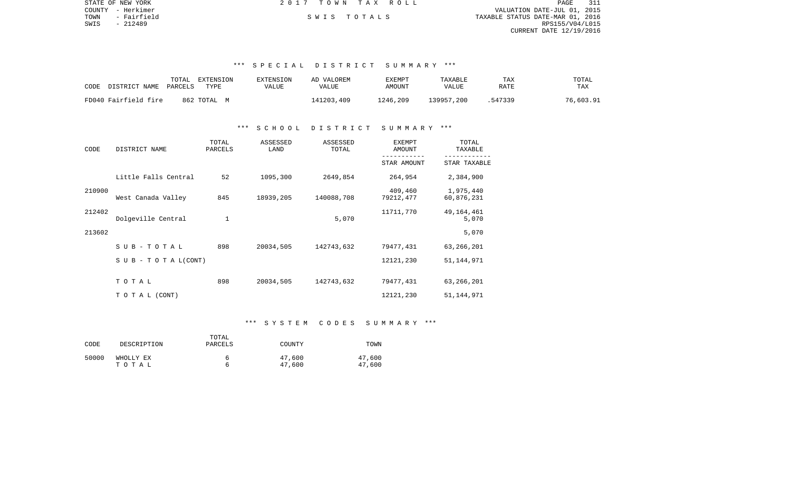| STATE OF NEW YORK   | 2017 TOWN TAX ROLL | 311<br>PAGE                      |
|---------------------|--------------------|----------------------------------|
| COUNTY - Herkimer   |                    | VALUATION DATE-JUL 01, 2015      |
| - Fairfield<br>TOWN | SWIS TOTALS        | TAXABLE STATUS DATE-MAR 01, 2016 |
| SWIS<br>- 212489    |                    | RPS155/V04/L015                  |
|                     |                    | CURRENT DATE 12/19/2016          |
|                     |                    |                                  |
|                     |                    |                                  |

# \*\*\* S P E C I A L D I S T R I C T S U M M A R Y \*\*\*

| CODE                 | TOTAL   | EXTENSION      | EXTENSION | AD VALOREM | EXEMPT   | TAXABLE      | TAX     | TOTAL     |
|----------------------|---------|----------------|-----------|------------|----------|--------------|---------|-----------|
| DISTRICT NAME        | PARCELS | TYPE           | VALUE     | VALUE      | AMOUNT   | <b>VALUE</b> | RATE    | TAX       |
| FD040 Fairfield fire |         | 862 ТОТАL<br>M |           | 141203,409 | 1246,209 | 139957,200   | .547339 | 76,603.91 |

## \*\*\* S C H O O L D I S T R I C T S U M M A R Y \*\*\*

| CODE   | DISTRICT NAME                    | TOTAL<br>PARCELS | ASSESSED<br>LAND | ASSESSED<br>TOTAL | EXEMPT<br>AMOUNT     | TOTAL<br>TAXABLE        |
|--------|----------------------------------|------------------|------------------|-------------------|----------------------|-------------------------|
|        |                                  |                  |                  |                   | STAR AMOUNT          | STAR TAXABLE            |
|        | Little Falls Central             | 52               | 1095,300         | 2649,854          | 264,954              | 2,384,900               |
| 210900 | West Canada Valley               | 845              | 18939,205        | 140088,708        | 409,460<br>79212,477 | 1,975,440<br>60,876,231 |
| 212402 | Dolgeville Central               | 1                |                  | 5,070             | 11711,770            | 49, 164, 461<br>5,070   |
| 213602 |                                  |                  |                  |                   |                      | 5,070                   |
|        | SUB-TOTAL                        | 898              | 20034,505        | 142743,632        | 79477,431            | 63,266,201              |
|        | $S \cup B - T \cup T A L (CONT)$ |                  |                  |                   | 12121,230            | 51, 144, 971            |
|        | TOTAL                            | 898              | 20034,505        | 142743,632        | 79477,431            | 63,266,201              |
|        | T O T A L (CONT)                 |                  |                  |                   | 12121,230            | 51, 144, 971            |

# \*\*\* S Y S T E M C O D E S S U M M A R Y \*\*\*

| CODE  | DESCRIPTION        | TOTAL<br>PARCELS | COUNTY           | TOWN             |
|-------|--------------------|------------------|------------------|------------------|
| 50000 | WHOLLY EX<br>тотаь | h                | 47,600<br>47,600 | 47,600<br>47,600 |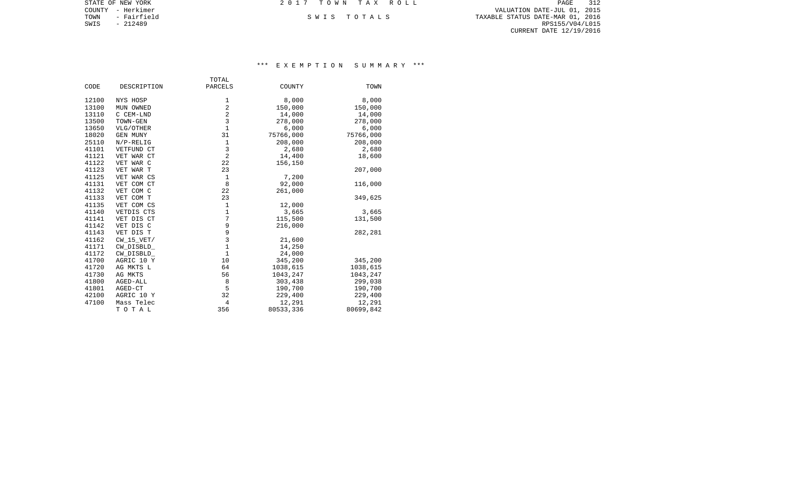COUNTY - Herkimer VALUATION DATE-JUL 01, 2015 TOWN - Fairfield S W I S T O T A L S TAXABLE STATUS DATE-MAR 01, 2016 EXAMPLE SWIS - AND RESERVE TO THE SWIS - 212489<br>SWIS - 212489 RPS155/V04/L015 RMS - 212489 CURRENT DATE 12/19/2016

STATE OF NEW YORK **2017 TOWN TAX ROLL** 

# \*\*\* E X E M P T I O N S U M M A R Y \*\*\*

| PARCELS<br>CODE<br>DESCRIPTION<br>COUNTY<br>TOWN<br>8,000<br>12100<br>NYS HOSP<br>1<br>8,000<br>2<br>150,000<br>13100<br>150,000<br>MUN OWNED<br>$\overline{2}$<br>14,000<br>13110<br>14,000<br>C CEM-LND<br>3<br>13500<br>TOWN-GEN<br>278,000<br>278,000<br>$\mathbf{1}$<br>13650<br>6,000<br>6,000<br>VLG/OTHER<br>75766,000<br>18020<br>31<br>75766,000<br><b>GEN MUNY</b><br>$1\,$<br>25110<br>208,000<br>208,000<br>$N/P-RELIG$<br>3<br>41101<br>2,680<br>2,680<br>VETFUND CT<br>$\overline{2}$<br>41121<br>VET WAR CT<br>14,400<br>18,600<br>22<br>41122<br>156,150<br>VET WAR C<br>23<br>207,000<br>41123<br>VET WAR T<br>$\mathbf{1}$<br>7,200<br>41125<br>VET WAR CS<br>8<br>92,000<br>41131<br>VET COM CT<br>116,000<br>41132<br>22<br>VET COM C<br>261,000<br>41133<br>VET COM T<br>23<br>349,625<br>$1\,$<br>41135<br>VET COM CS<br>12,000<br>$\mathbf 1$<br>VETDIS CTS<br>3,665<br>41140<br>3,665<br>7<br>41141<br>VET DIS CT<br>115,500<br>131,500<br>9<br>41142<br>VET DIS C<br>216,000<br>9<br>41143<br>VET DIS T<br>282,281<br>3<br>41162<br>$CW_15_VET/$<br>21,600<br>$\mathbf 1$<br>14,250<br>41171<br>CW DISBLD<br>$\mathbf{1}$<br>24,000<br>41172<br>CW_DISBLD_<br>41700<br>10<br>345,200<br>AGRIC 10 Y<br>345,200<br>41720<br>64<br>1038,615<br>1038,615<br>AG MKTS L<br>41730<br>56<br>1043,247<br>1043,247<br>AG MKTS |       | TOTAL |         |         |
|-----------------------------------------------------------------------------------------------------------------------------------------------------------------------------------------------------------------------------------------------------------------------------------------------------------------------------------------------------------------------------------------------------------------------------------------------------------------------------------------------------------------------------------------------------------------------------------------------------------------------------------------------------------------------------------------------------------------------------------------------------------------------------------------------------------------------------------------------------------------------------------------------------------------------------------------------------------------------------------------------------------------------------------------------------------------------------------------------------------------------------------------------------------------------------------------------------------------------------------------------------------------------------------------------------------------------------------------------|-------|-------|---------|---------|
|                                                                                                                                                                                                                                                                                                                                                                                                                                                                                                                                                                                                                                                                                                                                                                                                                                                                                                                                                                                                                                                                                                                                                                                                                                                                                                                                               |       |       |         |         |
|                                                                                                                                                                                                                                                                                                                                                                                                                                                                                                                                                                                                                                                                                                                                                                                                                                                                                                                                                                                                                                                                                                                                                                                                                                                                                                                                               |       |       |         |         |
|                                                                                                                                                                                                                                                                                                                                                                                                                                                                                                                                                                                                                                                                                                                                                                                                                                                                                                                                                                                                                                                                                                                                                                                                                                                                                                                                               |       |       |         |         |
|                                                                                                                                                                                                                                                                                                                                                                                                                                                                                                                                                                                                                                                                                                                                                                                                                                                                                                                                                                                                                                                                                                                                                                                                                                                                                                                                               |       |       |         |         |
|                                                                                                                                                                                                                                                                                                                                                                                                                                                                                                                                                                                                                                                                                                                                                                                                                                                                                                                                                                                                                                                                                                                                                                                                                                                                                                                                               |       |       |         |         |
|                                                                                                                                                                                                                                                                                                                                                                                                                                                                                                                                                                                                                                                                                                                                                                                                                                                                                                                                                                                                                                                                                                                                                                                                                                                                                                                                               |       |       |         |         |
|                                                                                                                                                                                                                                                                                                                                                                                                                                                                                                                                                                                                                                                                                                                                                                                                                                                                                                                                                                                                                                                                                                                                                                                                                                                                                                                                               |       |       |         |         |
|                                                                                                                                                                                                                                                                                                                                                                                                                                                                                                                                                                                                                                                                                                                                                                                                                                                                                                                                                                                                                                                                                                                                                                                                                                                                                                                                               |       |       |         |         |
|                                                                                                                                                                                                                                                                                                                                                                                                                                                                                                                                                                                                                                                                                                                                                                                                                                                                                                                                                                                                                                                                                                                                                                                                                                                                                                                                               |       |       |         |         |
|                                                                                                                                                                                                                                                                                                                                                                                                                                                                                                                                                                                                                                                                                                                                                                                                                                                                                                                                                                                                                                                                                                                                                                                                                                                                                                                                               |       |       |         |         |
|                                                                                                                                                                                                                                                                                                                                                                                                                                                                                                                                                                                                                                                                                                                                                                                                                                                                                                                                                                                                                                                                                                                                                                                                                                                                                                                                               |       |       |         |         |
|                                                                                                                                                                                                                                                                                                                                                                                                                                                                                                                                                                                                                                                                                                                                                                                                                                                                                                                                                                                                                                                                                                                                                                                                                                                                                                                                               |       |       |         |         |
|                                                                                                                                                                                                                                                                                                                                                                                                                                                                                                                                                                                                                                                                                                                                                                                                                                                                                                                                                                                                                                                                                                                                                                                                                                                                                                                                               |       |       |         |         |
|                                                                                                                                                                                                                                                                                                                                                                                                                                                                                                                                                                                                                                                                                                                                                                                                                                                                                                                                                                                                                                                                                                                                                                                                                                                                                                                                               |       |       |         |         |
|                                                                                                                                                                                                                                                                                                                                                                                                                                                                                                                                                                                                                                                                                                                                                                                                                                                                                                                                                                                                                                                                                                                                                                                                                                                                                                                                               |       |       |         |         |
|                                                                                                                                                                                                                                                                                                                                                                                                                                                                                                                                                                                                                                                                                                                                                                                                                                                                                                                                                                                                                                                                                                                                                                                                                                                                                                                                               |       |       |         |         |
|                                                                                                                                                                                                                                                                                                                                                                                                                                                                                                                                                                                                                                                                                                                                                                                                                                                                                                                                                                                                                                                                                                                                                                                                                                                                                                                                               |       |       |         |         |
|                                                                                                                                                                                                                                                                                                                                                                                                                                                                                                                                                                                                                                                                                                                                                                                                                                                                                                                                                                                                                                                                                                                                                                                                                                                                                                                                               |       |       |         |         |
|                                                                                                                                                                                                                                                                                                                                                                                                                                                                                                                                                                                                                                                                                                                                                                                                                                                                                                                                                                                                                                                                                                                                                                                                                                                                                                                                               |       |       |         |         |
|                                                                                                                                                                                                                                                                                                                                                                                                                                                                                                                                                                                                                                                                                                                                                                                                                                                                                                                                                                                                                                                                                                                                                                                                                                                                                                                                               |       |       |         |         |
|                                                                                                                                                                                                                                                                                                                                                                                                                                                                                                                                                                                                                                                                                                                                                                                                                                                                                                                                                                                                                                                                                                                                                                                                                                                                                                                                               |       |       |         |         |
|                                                                                                                                                                                                                                                                                                                                                                                                                                                                                                                                                                                                                                                                                                                                                                                                                                                                                                                                                                                                                                                                                                                                                                                                                                                                                                                                               |       |       |         |         |
|                                                                                                                                                                                                                                                                                                                                                                                                                                                                                                                                                                                                                                                                                                                                                                                                                                                                                                                                                                                                                                                                                                                                                                                                                                                                                                                                               |       |       |         |         |
|                                                                                                                                                                                                                                                                                                                                                                                                                                                                                                                                                                                                                                                                                                                                                                                                                                                                                                                                                                                                                                                                                                                                                                                                                                                                                                                                               |       |       |         |         |
|                                                                                                                                                                                                                                                                                                                                                                                                                                                                                                                                                                                                                                                                                                                                                                                                                                                                                                                                                                                                                                                                                                                                                                                                                                                                                                                                               |       |       |         |         |
|                                                                                                                                                                                                                                                                                                                                                                                                                                                                                                                                                                                                                                                                                                                                                                                                                                                                                                                                                                                                                                                                                                                                                                                                                                                                                                                                               |       |       |         |         |
|                                                                                                                                                                                                                                                                                                                                                                                                                                                                                                                                                                                                                                                                                                                                                                                                                                                                                                                                                                                                                                                                                                                                                                                                                                                                                                                                               |       |       |         |         |
|                                                                                                                                                                                                                                                                                                                                                                                                                                                                                                                                                                                                                                                                                                                                                                                                                                                                                                                                                                                                                                                                                                                                                                                                                                                                                                                                               |       |       |         |         |
| AGED-ALL                                                                                                                                                                                                                                                                                                                                                                                                                                                                                                                                                                                                                                                                                                                                                                                                                                                                                                                                                                                                                                                                                                                                                                                                                                                                                                                                      | 41800 | 8     | 303,438 | 299,038 |
| 5<br>41801<br>190,700<br>AGED-CT<br>190,700                                                                                                                                                                                                                                                                                                                                                                                                                                                                                                                                                                                                                                                                                                                                                                                                                                                                                                                                                                                                                                                                                                                                                                                                                                                                                                   |       |       |         |         |
| 32<br>42100<br>AGRIC 10 Y<br>229,400<br>229,400                                                                                                                                                                                                                                                                                                                                                                                                                                                                                                                                                                                                                                                                                                                                                                                                                                                                                                                                                                                                                                                                                                                                                                                                                                                                                               |       |       |         |         |
| 47100<br>12,291<br>Mass Telec<br>4<br>12,291                                                                                                                                                                                                                                                                                                                                                                                                                                                                                                                                                                                                                                                                                                                                                                                                                                                                                                                                                                                                                                                                                                                                                                                                                                                                                                  |       |       |         |         |
| 356<br>80533,336<br>80699,842<br>TOTAL                                                                                                                                                                                                                                                                                                                                                                                                                                                                                                                                                                                                                                                                                                                                                                                                                                                                                                                                                                                                                                                                                                                                                                                                                                                                                                        |       |       |         |         |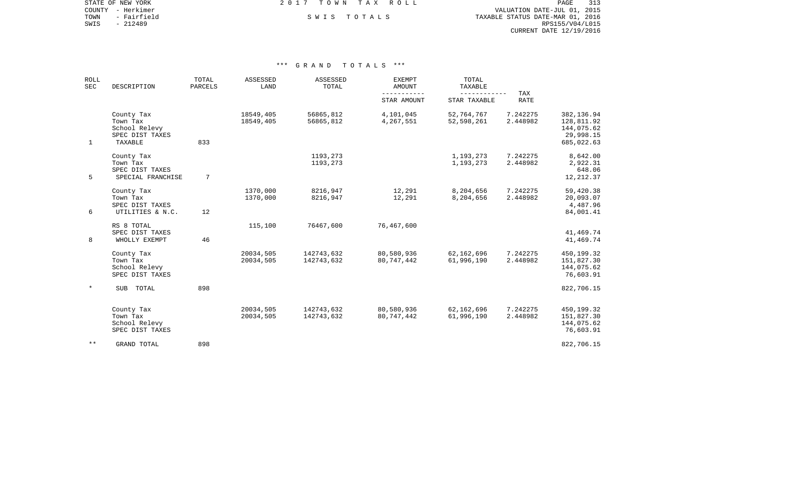COUNTY - Herkimer VALUATION DATE-JUL 01, 2015 TOWN - Fairfield S W I S T O T A L S TAXABLE STATUS DATE-MAR 01, 2016 EXAMPLE SONT A SANTIFICAL SANTIFICAL SANTIFICAL SANTIFICAL SANTIFICAL SANTIFICAL SANTIFICAL DELITION OF TOWN<br>SWIS - 212489 RPS155/V04/L015 CURRENT DATE 12/19/2016

STATE OF NEW YORK **EXECUTE:** TOWN TAX ROLL

| <b>ROLL</b><br><b>SEC</b> | DESCRIPTION                                                           | TOTAL<br>PARCELS | ASSESSED<br>LAND       | ASSESSED<br>TOTAL        | <b>EXEMPT</b><br>AMOUNT  | TOTAL<br>TAXABLE         |                           |                                                                   |
|---------------------------|-----------------------------------------------------------------------|------------------|------------------------|--------------------------|--------------------------|--------------------------|---------------------------|-------------------------------------------------------------------|
|                           |                                                                       |                  |                        |                          | STAR AMOUNT              | STAR TAXABLE             | <b>TAX</b><br><b>RATE</b> |                                                                   |
| $\mathbf{1}$              | County Tax<br>Town Tax<br>School Relevy<br>SPEC DIST TAXES<br>TAXABLE | 833              | 18549,405<br>18549,405 | 56865,812<br>56865,812   | 4,101,045<br>4,267,551   | 52,764,767<br>52,598,261 | 7.242275<br>2.448982      | 382,136.94<br>128,811.92<br>144,075.62<br>29,998.15<br>685,022.63 |
| 5                         | County Tax<br>Town Tax<br>SPEC DIST TAXES<br>SPECIAL FRANCHISE        | 7                |                        | 1193,273<br>1193,273     |                          | 1,193,273<br>1,193,273   | 7.242275<br>2.448982      | 8,642.00<br>2,922.31<br>648.06<br>12, 212.37                      |
| 6                         | County Tax<br>Town Tax<br>SPEC DIST TAXES<br>UTILITIES & N.C.         | 12               | 1370,000<br>1370,000   | 8216,947<br>8216,947     | 12,291<br>12,291         | 8,204,656<br>8,204,656   | 7.242275<br>2.448982      | 59,420.38<br>20,093.07<br>4,487.96<br>84,001.41                   |
| 8                         | RS 8 TOTAL<br>SPEC DIST TAXES<br>WHOLLY EXEMPT                        | 46               | 115,100                | 76467,600                | 76,467,600               |                          |                           | 41,469.74<br>41,469.74                                            |
|                           | County Tax<br>Town Tax<br>School Relevy<br>SPEC DIST TAXES            |                  | 20034,505<br>20034,505 | 142743,632<br>142743,632 | 80,580,936<br>80,747,442 | 62,162,696<br>61,996,190 | 7.242275<br>2.448982      | 450,199.32<br>151,827.30<br>144,075.62<br>76,603.91               |
| $\ast$                    | TOTAL<br>SUB                                                          | 898              |                        |                          |                          |                          |                           | 822,706.15                                                        |
|                           | County Tax<br>Town Tax<br>School Relevy<br>SPEC DIST TAXES            |                  | 20034,505<br>20034,505 | 142743,632<br>142743,632 | 80,580,936<br>80,747,442 | 62,162,696<br>61,996,190 | 7.242275<br>2.448982      | 450,199.32<br>151,827.30<br>144,075.62<br>76,603.91               |
| $***$                     | <b>GRAND TOTAL</b>                                                    | 898              |                        |                          |                          |                          |                           | 822,706.15                                                        |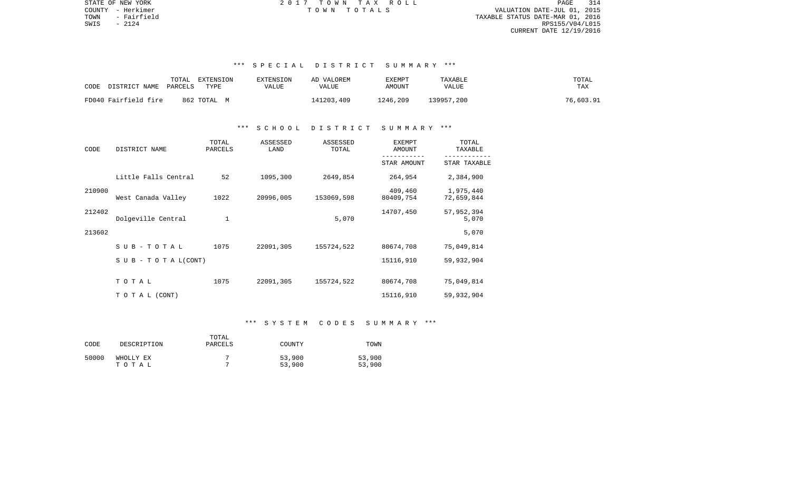PAGE 314 COUNTY - Herkimer T O W N T O T A L S VALUATION DATE-JUL 01, 2015 TOWN - Fairfield TAXABLE STATUS DATE-MAR 01, 2016  $S WIS$  - 2124 RPS155/V04/L015 CURRENT DATE 12/19/2016

STATE OF NEW YORK **EXECUTE:**  $2017$  TOWN TAX ROLL

# \*\*\* S P E C I A L D I S T R I C T S U M M A R Y \*\*\*

| DISTRICT NAME<br>CODE | TOTAL<br>EXTENSION<br>PARCELS<br>TYPE | <b>EXTENSION</b><br>VALUE | AD VALOREM<br>VALUE | EXEMPT<br>AMOUNT | TAXABLE<br>VALUE | TOTAL<br>TAX |
|-----------------------|---------------------------------------|---------------------------|---------------------|------------------|------------------|--------------|
| FD040 Fairfield fire  | 862 TOTAL M                           |                           | 141203,409          | 1246,209         | 139957,200       | 76,603.91    |

## \*\*\* S C H O O L D I S T R I C T S U M M A R Y \*\*\*

| CODE   | DISTRICT NAME                    | TOTAL<br>PARCELS | ASSESSED<br>LAND | ASSESSED<br>TOTAL | <b>EXEMPT</b><br>AMOUNT | TOTAL<br>TAXABLE        |  |
|--------|----------------------------------|------------------|------------------|-------------------|-------------------------|-------------------------|--|
|        |                                  |                  |                  |                   | STAR AMOUNT             | STAR TAXABLE            |  |
|        | Little Falls Central             | 52               | 1095,300         | 2649,854          | 264,954                 | 2,384,900               |  |
| 210900 | West Canada Valley               | 1022             | 20996,005        | 153069,598        | 409,460<br>80409,754    | 1,975,440<br>72,659,844 |  |
| 212402 | Dolgeville Central               | 1                |                  | 5,070             | 14707,450               | 57,952,394<br>5,070     |  |
| 213602 |                                  |                  |                  |                   |                         | 5,070                   |  |
|        | SUB-TOTAL                        | 1075             | 22091,305        | 155724,522        | 80674,708               | 75,049,814              |  |
|        | $S \cup B - T \cup T A L (CONT)$ |                  |                  |                   | 15116,910               | 59,932,904              |  |
|        | TOTAL                            | 1075             | 22091,305        | 155724,522        | 80674,708               | 75,049,814              |  |
|        | TO TAL (CONT)                    |                  |                  |                   | 15116,910               | 59,932,904              |  |

# \*\*\* S Y S T E M C O D E S S U M M A R Y \*\*\*

| CODE  | DESCRIPTION        | TOTAL<br>PARCELS | COUNTY           | TOWN             |
|-------|--------------------|------------------|------------------|------------------|
| 50000 | WHOLLY EX<br>тотаь |                  | 53,900<br>53,900 | 53,900<br>53,900 |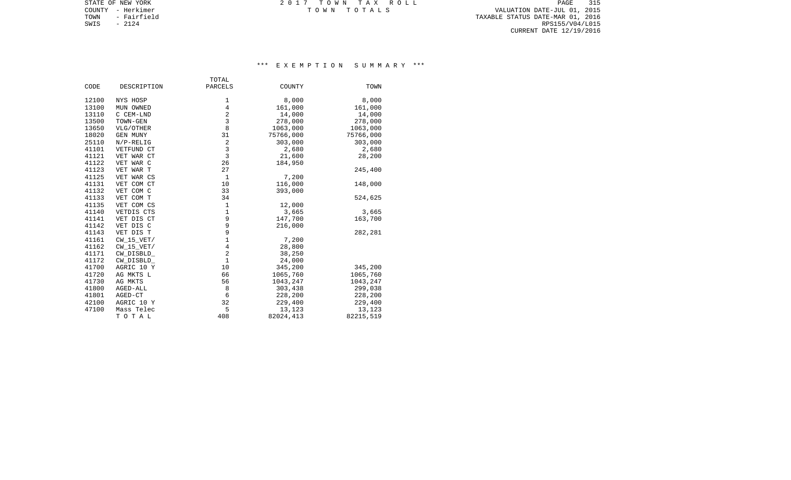TOWN - Fairfield TAXABLE STATUS DATE-MAR 01, 2016 SWIS - Pairfield Resources and the state of the state of the state of the state of the state of the state of the<br>SWIS - 2124 RPS155/V04/L015 CURRENT DATE 12/19/2016

STATE OF NEW YORK **EXECUTE:** TOWN TAX ROLL COUNTY - Herkimer T O W N T O T A L S VALUATION DATE-JUL 01, 2015

# \*\*\* E X E M P T I O N S U M M A R Y \*\*\*

| PARCELS<br>CODE<br>DESCRIPTION<br>COUNTY<br>TOWN<br>12100<br>NYS HOSP<br>1<br>8,000<br>8,000<br>13100<br>4<br>161,000<br>161,000<br>MUN OWNED<br>$\overline{2}$<br>14,000<br>14,000<br>13110<br>C CEM-LND<br>3<br>278,000<br>13500<br>278,000<br>TOWN-GEN<br>8<br>13650<br>1063,000<br>VLG/OTHER<br>1063,000<br>18020<br>75766,000<br><b>GEN MUNY</b><br>31<br>75766,000<br>$\overline{2}$<br>25110<br>303,000<br>303,000<br>$N/P-RELIG$<br>3<br>2,680<br>41101<br>VETFUND CT<br>2,680<br>3<br>41121<br>21,600<br>28,200<br>VET WAR CT<br>26<br>41122<br>VET WAR C<br>184,950<br>27<br>41123<br>VET WAR T<br>245,400<br>$\mathbf{1}$<br>41125<br>VET WAR CS<br>7,200<br>41131<br>VET COM CT<br>116,000<br>10<br>148,000<br>41132<br>VET COM C<br>33<br>393,000<br>41133<br>VET COM T<br>34<br>524,625<br>$\mathbf 1$<br>41135<br>VET COM CS<br>12,000<br>1<br>3,665<br>41140<br>VETDIS CTS<br>3,665<br>9<br>147,700<br>41141<br>VET DIS CT<br>163,700 |
|-------------------------------------------------------------------------------------------------------------------------------------------------------------------------------------------------------------------------------------------------------------------------------------------------------------------------------------------------------------------------------------------------------------------------------------------------------------------------------------------------------------------------------------------------------------------------------------------------------------------------------------------------------------------------------------------------------------------------------------------------------------------------------------------------------------------------------------------------------------------------------------------------------------------------------------------------------|
|                                                                                                                                                                                                                                                                                                                                                                                                                                                                                                                                                                                                                                                                                                                                                                                                                                                                                                                                                       |
|                                                                                                                                                                                                                                                                                                                                                                                                                                                                                                                                                                                                                                                                                                                                                                                                                                                                                                                                                       |
|                                                                                                                                                                                                                                                                                                                                                                                                                                                                                                                                                                                                                                                                                                                                                                                                                                                                                                                                                       |
|                                                                                                                                                                                                                                                                                                                                                                                                                                                                                                                                                                                                                                                                                                                                                                                                                                                                                                                                                       |
|                                                                                                                                                                                                                                                                                                                                                                                                                                                                                                                                                                                                                                                                                                                                                                                                                                                                                                                                                       |
|                                                                                                                                                                                                                                                                                                                                                                                                                                                                                                                                                                                                                                                                                                                                                                                                                                                                                                                                                       |
|                                                                                                                                                                                                                                                                                                                                                                                                                                                                                                                                                                                                                                                                                                                                                                                                                                                                                                                                                       |
|                                                                                                                                                                                                                                                                                                                                                                                                                                                                                                                                                                                                                                                                                                                                                                                                                                                                                                                                                       |
|                                                                                                                                                                                                                                                                                                                                                                                                                                                                                                                                                                                                                                                                                                                                                                                                                                                                                                                                                       |
|                                                                                                                                                                                                                                                                                                                                                                                                                                                                                                                                                                                                                                                                                                                                                                                                                                                                                                                                                       |
|                                                                                                                                                                                                                                                                                                                                                                                                                                                                                                                                                                                                                                                                                                                                                                                                                                                                                                                                                       |
|                                                                                                                                                                                                                                                                                                                                                                                                                                                                                                                                                                                                                                                                                                                                                                                                                                                                                                                                                       |
|                                                                                                                                                                                                                                                                                                                                                                                                                                                                                                                                                                                                                                                                                                                                                                                                                                                                                                                                                       |
|                                                                                                                                                                                                                                                                                                                                                                                                                                                                                                                                                                                                                                                                                                                                                                                                                                                                                                                                                       |
|                                                                                                                                                                                                                                                                                                                                                                                                                                                                                                                                                                                                                                                                                                                                                                                                                                                                                                                                                       |
|                                                                                                                                                                                                                                                                                                                                                                                                                                                                                                                                                                                                                                                                                                                                                                                                                                                                                                                                                       |
|                                                                                                                                                                                                                                                                                                                                                                                                                                                                                                                                                                                                                                                                                                                                                                                                                                                                                                                                                       |
|                                                                                                                                                                                                                                                                                                                                                                                                                                                                                                                                                                                                                                                                                                                                                                                                                                                                                                                                                       |
|                                                                                                                                                                                                                                                                                                                                                                                                                                                                                                                                                                                                                                                                                                                                                                                                                                                                                                                                                       |
|                                                                                                                                                                                                                                                                                                                                                                                                                                                                                                                                                                                                                                                                                                                                                                                                                                                                                                                                                       |
| 9<br>41142<br>216,000<br>VET DIS C                                                                                                                                                                                                                                                                                                                                                                                                                                                                                                                                                                                                                                                                                                                                                                                                                                                                                                                    |
| 9<br>VET DIS T<br>41143<br>282,281                                                                                                                                                                                                                                                                                                                                                                                                                                                                                                                                                                                                                                                                                                                                                                                                                                                                                                                    |
| $\mathbf{1}$<br>41161<br>7,200<br>CW 15 VET/                                                                                                                                                                                                                                                                                                                                                                                                                                                                                                                                                                                                                                                                                                                                                                                                                                                                                                          |
| 4<br>41162<br>28,800<br>$CW_15_VET/$                                                                                                                                                                                                                                                                                                                                                                                                                                                                                                                                                                                                                                                                                                                                                                                                                                                                                                                  |
| 2<br>41171<br>CW DISBLD<br>38,250                                                                                                                                                                                                                                                                                                                                                                                                                                                                                                                                                                                                                                                                                                                                                                                                                                                                                                                     |
| $\mathbf{1}$<br>41172<br>24,000<br>CW DISBLD                                                                                                                                                                                                                                                                                                                                                                                                                                                                                                                                                                                                                                                                                                                                                                                                                                                                                                          |
| 10<br>345,200<br>41700<br>AGRIC 10 Y<br>345,200                                                                                                                                                                                                                                                                                                                                                                                                                                                                                                                                                                                                                                                                                                                                                                                                                                                                                                       |
| 66<br>1065,760<br>41720<br>AG MKTS L<br>1065,760                                                                                                                                                                                                                                                                                                                                                                                                                                                                                                                                                                                                                                                                                                                                                                                                                                                                                                      |
| 41730<br>AG MKTS<br>56<br>1043,247<br>1043,247                                                                                                                                                                                                                                                                                                                                                                                                                                                                                                                                                                                                                                                                                                                                                                                                                                                                                                        |
| 8<br>303,438<br>41800<br>AGED-ALL<br>299,038                                                                                                                                                                                                                                                                                                                                                                                                                                                                                                                                                                                                                                                                                                                                                                                                                                                                                                          |
| 6<br>41801<br>228,200<br>228,200<br>AGED-CT                                                                                                                                                                                                                                                                                                                                                                                                                                                                                                                                                                                                                                                                                                                                                                                                                                                                                                           |
| 32<br>42100<br>AGRIC 10 Y<br>229,400<br>229,400                                                                                                                                                                                                                                                                                                                                                                                                                                                                                                                                                                                                                                                                                                                                                                                                                                                                                                       |
| 5<br>47100<br>Mass Telec<br>13,123<br>13,123                                                                                                                                                                                                                                                                                                                                                                                                                                                                                                                                                                                                                                                                                                                                                                                                                                                                                                          |
| 408<br>82024,413<br>82215,519<br>TOTAL                                                                                                                                                                                                                                                                                                                                                                                                                                                                                                                                                                                                                                                                                                                                                                                                                                                                                                                |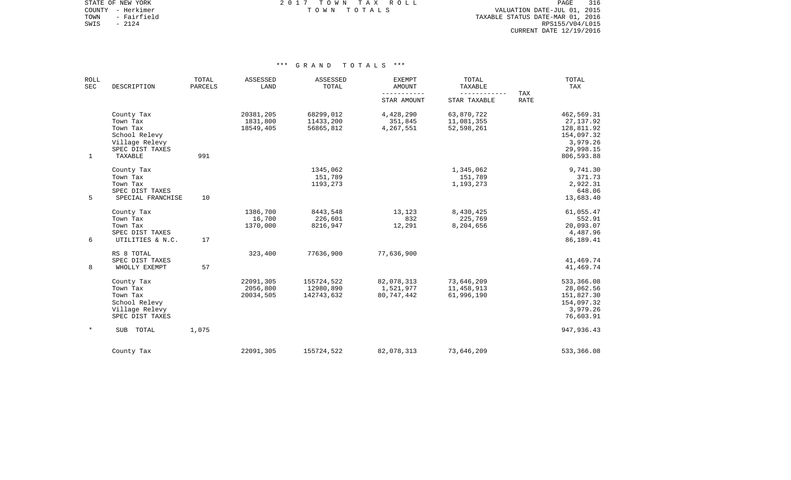STATE OF NEW YORK **EXECUTE:** A 2017 TOWN TAX ROLL COUNTY - Herkimer T O W N T O T A L S VALUATION DATE-JUL 01, 2015

TOWN - Fairfield TAXABLE STATUS DATE-MAR 01, 2016 SWIS - 2124<br>
SWIS - 2124<br>
SWIS - 2124<br>
RPS155/V04/L015 CURRENT DATE 12/19/2016

| <b>ROLL</b><br>SEC | DESCRIPTION                                                                              | TOTAL<br>PARCELS | ASSESSED<br>LAND                   | ASSESSED<br>TOTAL                     | <b>EXEMPT</b><br><b>AMOUNT</b>        | TOTAL<br>TAXABLE<br>------------       | TAX         | TOTAL<br>TAX                                                                  |
|--------------------|------------------------------------------------------------------------------------------|------------------|------------------------------------|---------------------------------------|---------------------------------------|----------------------------------------|-------------|-------------------------------------------------------------------------------|
|                    |                                                                                          |                  |                                    |                                       | STAR AMOUNT                           | STAR TAXABLE                           | <b>RATE</b> |                                                                               |
|                    | County Tax<br>Town Tax<br>Town Tax<br>School Relevy<br>Village Relevy<br>SPEC DIST TAXES |                  | 20381,205<br>1831,800<br>18549,405 | 68299,012<br>11433,200<br>56865,812   | 4,428,290<br>351,845<br>4,267,551     | 63,870,722<br>11,081,355<br>52,598,261 |             | 462,569.31<br>27, 137.92<br>128,811.92<br>154,097.32<br>3,979.26<br>29,998.15 |
| $\mathbf{1}$       | TAXABLE                                                                                  | 991              |                                    |                                       |                                       |                                        |             | 806,593.88                                                                    |
|                    | County Tax<br>Town Tax<br>Town Tax<br>SPEC DIST TAXES                                    |                  |                                    | 1345,062<br>151,789<br>1193,273       |                                       | 1,345,062<br>151,789<br>1,193,273      |             | 9,741.30<br>371.73<br>2,922.31<br>648.06                                      |
| 5                  | SPECIAL FRANCHISE                                                                        | 10               |                                    |                                       |                                       |                                        |             | 13,683.40                                                                     |
|                    | County Tax<br>Town Tax<br>Town Tax<br>SPEC DIST TAXES                                    |                  | 1386,700<br>16,700<br>1370,000     | 8443,548<br>226,601<br>8216,947       | 13,123<br>832<br>12,291               | 8,430,425<br>225,769<br>8,204,656      |             | 61,055.47<br>552.91<br>20,093.07<br>4,487.96                                  |
| 6                  | UTILITIES & N.C.                                                                         | 17               |                                    |                                       |                                       |                                        |             | 86,189.41                                                                     |
| 8                  | RS 8 TOTAL<br>SPEC DIST TAXES<br>WHOLLY EXEMPT                                           | 57               | 323,400                            | 77636,900                             | 77,636,900                            |                                        |             | 41,469.74<br>41,469.74                                                        |
|                    | County Tax<br>Town Tax<br>Town Tax<br>School Relevy<br>Village Relevy<br>SPEC DIST TAXES |                  | 22091,305<br>2056,800<br>20034,505 | 155724,522<br>12980,890<br>142743,632 | 82,078,313<br>1,521,977<br>80,747,442 | 73,646,209<br>11,458,913<br>61,996,190 |             | 533,366.08<br>28,062.56<br>151,827.30<br>154,097.32<br>3,979.26<br>76,603.91  |
| $\ast$             | SUB<br>TOTAL                                                                             | 1,075            |                                    |                                       |                                       |                                        |             | 947, 936.43                                                                   |
|                    | County Tax                                                                               |                  | 22091,305                          | 155724,522                            | 82,078,313                            | 73,646,209                             |             | 533,366.08                                                                    |